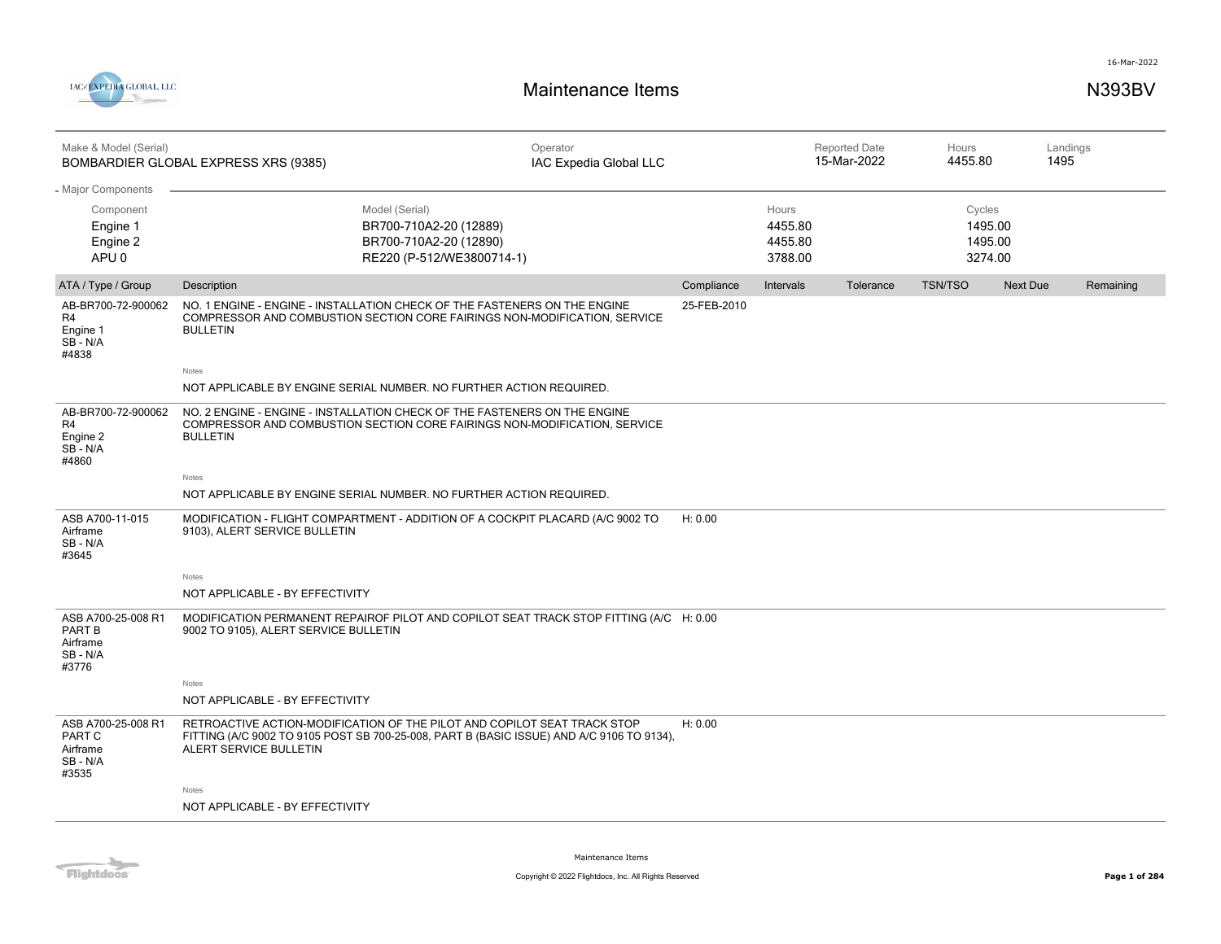



| Make & Model (Serial)                                                       | BOMBARDIER GLOBAL EXPRESS XRS (9385)                                                                                                                                                            | Operator<br>IAC Expedia Global LLC |             |                                        | <b>Reported Date</b><br>15-Mar-2022 | Hours<br>4455.80                        | 1495     | Landings  |
|-----------------------------------------------------------------------------|-------------------------------------------------------------------------------------------------------------------------------------------------------------------------------------------------|------------------------------------|-------------|----------------------------------------|-------------------------------------|-----------------------------------------|----------|-----------|
| - Major Components<br>Component<br>Engine 1<br>Engine 2<br>APU <sub>0</sub> | Model (Serial)<br>BR700-710A2-20 (12889)<br>BR700-710A2-20 (12890)<br>RE220 (P-512/WE3800714-1)                                                                                                 |                                    |             | Hours<br>4455.80<br>4455.80<br>3788.00 |                                     | Cycles<br>1495.00<br>1495.00<br>3274.00 |          |           |
| ATA / Type / Group                                                          | Description                                                                                                                                                                                     |                                    | Compliance  | Intervals                              | Tolerance                           | <b>TSN/TSO</b>                          | Next Due | Remaining |
| AB-BR700-72-900062<br>R4<br>Engine 1<br>SB-N/A<br>#4838                     | NO. 1 ENGINE - ENGINE - INSTALLATION CHECK OF THE FASTENERS ON THE ENGINE<br>COMPRESSOR AND COMBUSTION SECTION CORE FAIRINGS NON-MODIFICATION, SERVICE<br><b>BULLETIN</b><br>Notes              |                                    | 25-FEB-2010 |                                        |                                     |                                         |          |           |
|                                                                             | NOT APPLICABLE BY ENGINE SERIAL NUMBER. NO FURTHER ACTION REQUIRED.                                                                                                                             |                                    |             |                                        |                                     |                                         |          |           |
| AB-BR700-72-900062<br>R4<br>Engine 2<br>SB-N/A<br>#4860                     | NO. 2 ENGINE - ENGINE - INSTALLATION CHECK OF THE FASTENERS ON THE ENGINE<br>COMPRESSOR AND COMBUSTION SECTION CORE FAIRINGS NON-MODIFICATION, SERVICE<br><b>BULLETIN</b>                       |                                    |             |                                        |                                     |                                         |          |           |
|                                                                             | Notes                                                                                                                                                                                           |                                    |             |                                        |                                     |                                         |          |           |
|                                                                             | NOT APPLICABLE BY ENGINE SERIAL NUMBER. NO FURTHER ACTION REQUIRED.                                                                                                                             |                                    |             |                                        |                                     |                                         |          |           |
| ASB A700-11-015<br>Airframe<br>SB - N/A<br>#3645                            | MODIFICATION - FLIGHT COMPARTMENT - ADDITION OF A COCKPIT PLACARD (A/C 9002 TO<br>9103), ALERT SERVICE BULLETIN                                                                                 |                                    | H: 0.00     |                                        |                                     |                                         |          |           |
|                                                                             | Notes                                                                                                                                                                                           |                                    |             |                                        |                                     |                                         |          |           |
|                                                                             | NOT APPLICABLE - BY EFFECTIVITY                                                                                                                                                                 |                                    |             |                                        |                                     |                                         |          |           |
| ASB A700-25-008 R1<br>PART B<br>Airframe<br>SB - N/A<br>#3776               | MODIFICATION PERMANENT REPAIROF PILOT AND COPILOT SEAT TRACK STOP FITTING (A/C H: 0.00<br>9002 TO 9105), ALERT SERVICE BULLETIN                                                                 |                                    |             |                                        |                                     |                                         |          |           |
|                                                                             | Notes                                                                                                                                                                                           |                                    |             |                                        |                                     |                                         |          |           |
|                                                                             | NOT APPLICABLE - BY EFFECTIVITY                                                                                                                                                                 |                                    |             |                                        |                                     |                                         |          |           |
| ASB A700-25-008 R1<br>PART C<br>Airframe<br>SB - N/A<br>#3535               | RETROACTIVE ACTION-MODIFICATION OF THE PILOT AND COPILOT SEAT TRACK STOP<br>FITTING (A/C 9002 TO 9105 POST SB 700-25-008, PART B (BASIC ISSUE) AND A/C 9106 TO 9134),<br>ALERT SERVICE BULLETIN |                                    | H: 0.00     |                                        |                                     |                                         |          |           |
|                                                                             | Notes                                                                                                                                                                                           |                                    |             |                                        |                                     |                                         |          |           |
|                                                                             | NOT APPLICABLE - BY EFFECTIVITY                                                                                                                                                                 |                                    |             |                                        |                                     |                                         |          |           |

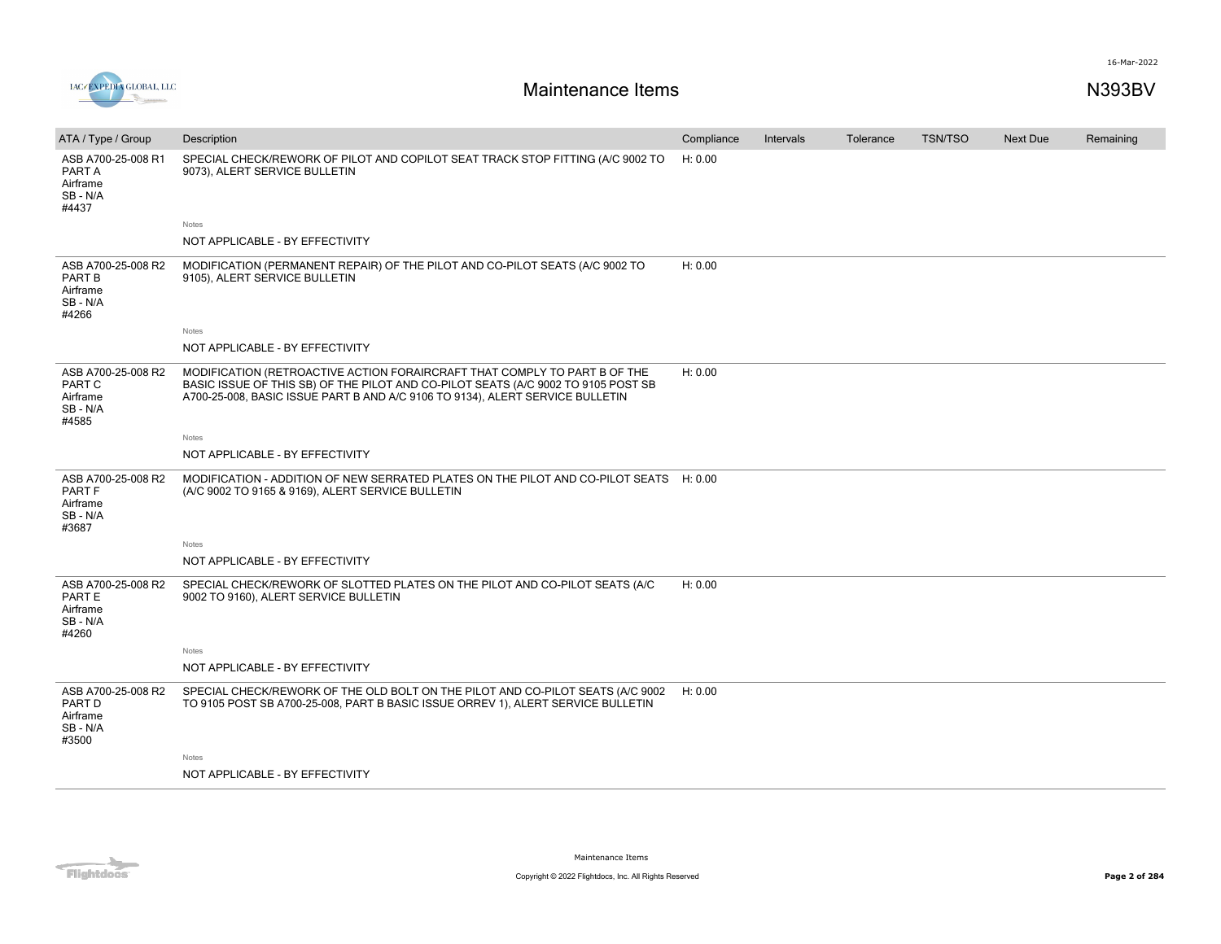

| ATA / Type / Group                                            | Description                                                                                                                                                                                                                                     | Compliance | Intervals | Tolerance | <b>TSN/TSO</b> | <b>Next Due</b> | Remaining |
|---------------------------------------------------------------|-------------------------------------------------------------------------------------------------------------------------------------------------------------------------------------------------------------------------------------------------|------------|-----------|-----------|----------------|-----------------|-----------|
| ASB A700-25-008 R1<br>PART A<br>Airframe<br>SB-N/A<br>#4437   | SPECIAL CHECK/REWORK OF PILOT AND COPILOT SEAT TRACK STOP FITTING (A/C 9002 TO<br>9073), ALERT SERVICE BULLETIN                                                                                                                                 | H: 0.00    |           |           |                |                 |           |
|                                                               | Notes                                                                                                                                                                                                                                           |            |           |           |                |                 |           |
|                                                               | NOT APPLICABLE - BY EFFECTIVITY                                                                                                                                                                                                                 |            |           |           |                |                 |           |
| ASB A700-25-008 R2<br>PART B<br>Airframe<br>SB-N/A<br>#4266   | MODIFICATION (PERMANENT REPAIR) OF THE PILOT AND CO-PILOT SEATS (A/C 9002 TO<br>9105), ALERT SERVICE BULLETIN                                                                                                                                   | H: 0.00    |           |           |                |                 |           |
|                                                               | Notes                                                                                                                                                                                                                                           |            |           |           |                |                 |           |
|                                                               | NOT APPLICABLE - BY EFFECTIVITY                                                                                                                                                                                                                 |            |           |           |                |                 |           |
| ASB A700-25-008 R2<br>PART C<br>Airframe<br>SB-N/A<br>#4585   | MODIFICATION (RETROACTIVE ACTION FORAIRCRAFT THAT COMPLY TO PART B OF THE<br>BASIC ISSUE OF THIS SB) OF THE PILOT AND CO-PILOT SEATS (A/C 9002 TO 9105 POST SB<br>A700-25-008, BASIC ISSUE PART B AND A/C 9106 TO 9134), ALERT SERVICE BULLETIN | H: 0.00    |           |           |                |                 |           |
|                                                               | <b>Notes</b>                                                                                                                                                                                                                                    |            |           |           |                |                 |           |
|                                                               | NOT APPLICABLE - BY EFFECTIVITY                                                                                                                                                                                                                 |            |           |           |                |                 |           |
| ASB A700-25-008 R2<br>PART F<br>Airframe<br>SB - N/A<br>#3687 | MODIFICATION - ADDITION OF NEW SERRATED PLATES ON THE PILOT AND CO-PILOT SEATS H: 0.00<br>(A/C 9002 TO 9165 & 9169), ALERT SERVICE BULLETIN                                                                                                     |            |           |           |                |                 |           |
|                                                               | Notes                                                                                                                                                                                                                                           |            |           |           |                |                 |           |
|                                                               | NOT APPLICABLE - BY EFFECTIVITY                                                                                                                                                                                                                 |            |           |           |                |                 |           |
| ASB A700-25-008 R2<br>PART E<br>Airframe<br>SB - N/A<br>#4260 | SPECIAL CHECK/REWORK OF SLOTTED PLATES ON THE PILOT AND CO-PILOT SEATS (A/C<br>9002 TO 9160), ALERT SERVICE BULLETIN                                                                                                                            | H: 0.00    |           |           |                |                 |           |
|                                                               | Notes                                                                                                                                                                                                                                           |            |           |           |                |                 |           |
|                                                               | NOT APPLICABLE - BY EFFECTIVITY                                                                                                                                                                                                                 |            |           |           |                |                 |           |
| ASB A700-25-008 R2<br>PART D<br>Airframe<br>SB - N/A<br>#3500 | SPECIAL CHECK/REWORK OF THE OLD BOLT ON THE PILOT AND CO-PILOT SEATS (A/C 9002<br>TO 9105 POST SB A700-25-008, PART B BASIC ISSUE ORREV 1), ALERT SERVICE BULLETIN                                                                              | H: 0.00    |           |           |                |                 |           |
|                                                               | Notes                                                                                                                                                                                                                                           |            |           |           |                |                 |           |
|                                                               | NOT APPLICABLE - BY EFFECTIVITY                                                                                                                                                                                                                 |            |           |           |                |                 |           |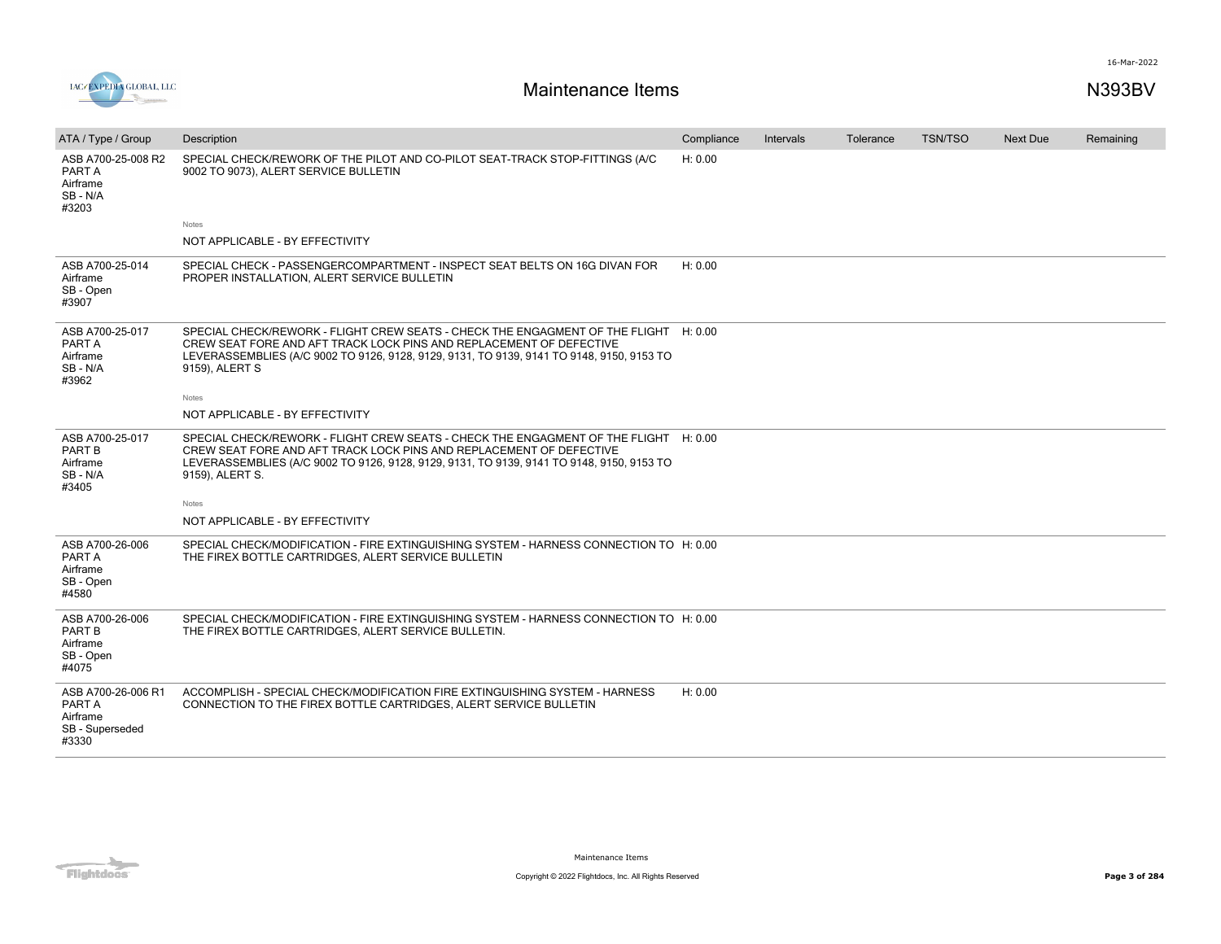

| ATA / Type / Group                                                   | Description                                                                                                                                                                                                                                                                 | Compliance | Intervals | Tolerance | <b>TSN/TSO</b> | <b>Next Due</b> | Remaining |
|----------------------------------------------------------------------|-----------------------------------------------------------------------------------------------------------------------------------------------------------------------------------------------------------------------------------------------------------------------------|------------|-----------|-----------|----------------|-----------------|-----------|
| ASB A700-25-008 R2<br>PART A<br>Airframe<br>SB-N/A<br>#3203          | SPECIAL CHECK/REWORK OF THE PILOT AND CO-PILOT SEAT-TRACK STOP-FITTINGS (A/C<br>9002 TO 9073), ALERT SERVICE BULLETIN                                                                                                                                                       | H: 0.00    |           |           |                |                 |           |
|                                                                      | Notes                                                                                                                                                                                                                                                                       |            |           |           |                |                 |           |
|                                                                      | NOT APPLICABLE - BY EFFECTIVITY                                                                                                                                                                                                                                             |            |           |           |                |                 |           |
| ASB A700-25-014<br>Airframe<br>SB - Open<br>#3907                    | SPECIAL CHECK - PASSENGERCOMPARTMENT - INSPECT SEAT BELTS ON 16G DIVAN FOR<br>PROPER INSTALLATION, ALERT SERVICE BULLETIN                                                                                                                                                   | H: 0.00    |           |           |                |                 |           |
| ASB A700-25-017<br>PART A<br>Airframe<br>SB - N/A<br>#3962           | SPECIAL CHECK/REWORK - FLIGHT CREW SEATS - CHECK THE ENGAGMENT OF THE FLIGHT H: 0.00<br>CREW SEAT FORE AND AFT TRACK LOCK PINS AND REPLACEMENT OF DEFECTIVE<br>LEVERASSEMBLIES (A/C 9002 TO 9126, 9128, 9129, 9131, TO 9139, 9141 TO 9148, 9150, 9153 TO<br>9159), ALERT S  |            |           |           |                |                 |           |
|                                                                      | Notes                                                                                                                                                                                                                                                                       |            |           |           |                |                 |           |
|                                                                      | NOT APPLICABLE - BY EFFECTIVITY                                                                                                                                                                                                                                             |            |           |           |                |                 |           |
| ASB A700-25-017<br>PART B<br>Airframe<br>SB - N/A<br>#3405           | SPECIAL CHECK/REWORK - FLIGHT CREW SEATS - CHECK THE ENGAGMENT OF THE FLIGHT H: 0.00<br>CREW SEAT FORE AND AFT TRACK LOCK PINS AND REPLACEMENT OF DEFECTIVE<br>LEVERASSEMBLIES (A/C 9002 TO 9126, 9128, 9129, 9131, TO 9139, 9141 TO 9148, 9150, 9153 TO<br>9159), ALERT S. |            |           |           |                |                 |           |
|                                                                      | Notes                                                                                                                                                                                                                                                                       |            |           |           |                |                 |           |
|                                                                      | NOT APPLICABLE - BY EFFECTIVITY                                                                                                                                                                                                                                             |            |           |           |                |                 |           |
| ASB A700-26-006<br>PART A<br>Airframe<br>SB - Open<br>#4580          | SPECIAL CHECK/MODIFICATION - FIRE EXTINGUISHING SYSTEM - HARNESS CONNECTION TO H: 0.00<br>THE FIREX BOTTLE CARTRIDGES, ALERT SERVICE BULLETIN                                                                                                                               |            |           |           |                |                 |           |
| ASB A700-26-006<br><b>PART B</b><br>Airframe<br>SB - Open<br>#4075   | SPECIAL CHECK/MODIFICATION - FIRE EXTINGUISHING SYSTEM - HARNESS CONNECTION TO H: 0.00<br>THE FIREX BOTTLE CARTRIDGES, ALERT SERVICE BULLETIN.                                                                                                                              |            |           |           |                |                 |           |
| ASB A700-26-006 R1<br>PART A<br>Airframe<br>SB - Superseded<br>#3330 | ACCOMPLISH - SPECIAL CHECK/MODIFICATION FIRE EXTINGUISHING SYSTEM - HARNESS<br>CONNECTION TO THE FIREX BOTTLE CARTRIDGES, ALERT SERVICE BULLETIN                                                                                                                            | H: 0.00    |           |           |                |                 |           |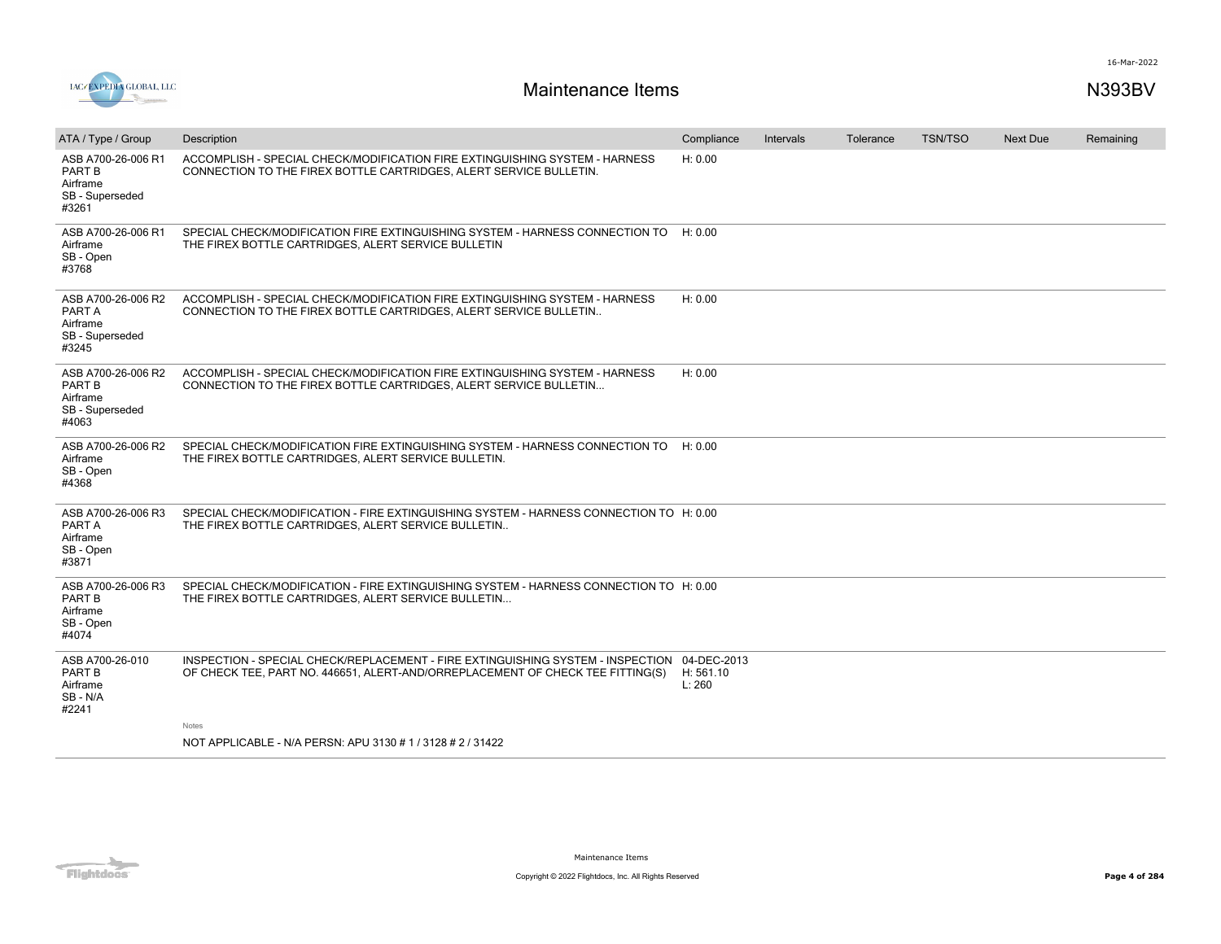

| ATA / Type / Group                                                          | Description                                                                                                                                                                   | Compliance          | Intervals | Tolerance | <b>TSN/TSO</b> | <b>Next Due</b> | Remaining |
|-----------------------------------------------------------------------------|-------------------------------------------------------------------------------------------------------------------------------------------------------------------------------|---------------------|-----------|-----------|----------------|-----------------|-----------|
| ASB A700-26-006 R1<br><b>PART B</b><br>Airframe<br>SB - Superseded<br>#3261 | ACCOMPLISH - SPECIAL CHECK/MODIFICATION FIRE EXTINGUISHING SYSTEM - HARNESS<br>CONNECTION TO THE FIREX BOTTLE CARTRIDGES, ALERT SERVICE BULLETIN.                             | H: 0.00             |           |           |                |                 |           |
| ASB A700-26-006 R1<br>Airframe<br>SB - Open<br>#3768                        | SPECIAL CHECK/MODIFICATION FIRE EXTINGUISHING SYSTEM - HARNESS CONNECTION TO<br>THE FIREX BOTTLE CARTRIDGES, ALERT SERVICE BULLETIN                                           | H: 0.00             |           |           |                |                 |           |
| ASB A700-26-006 R2<br>PART A<br>Airframe<br>SB - Superseded<br>#3245        | ACCOMPLISH - SPECIAL CHECK/MODIFICATION FIRE EXTINGUISHING SYSTEM - HARNESS<br>CONNECTION TO THE FIREX BOTTLE CARTRIDGES, ALERT SERVICE BULLETIN                              | H: 0.00             |           |           |                |                 |           |
| ASB A700-26-006 R2<br>PART B<br>Airframe<br>SB - Superseded<br>#4063        | ACCOMPLISH - SPECIAL CHECK/MODIFICATION FIRE EXTINGUISHING SYSTEM - HARNESS<br>CONNECTION TO THE FIREX BOTTLE CARTRIDGES, ALERT SERVICE BULLETIN                              | H: 0.00             |           |           |                |                 |           |
| ASB A700-26-006 R2<br>Airframe<br>SB - Open<br>#4368                        | SPECIAL CHECK/MODIFICATION FIRE EXTINGUISHING SYSTEM - HARNESS CONNECTION TO<br>THE FIREX BOTTLE CARTRIDGES, ALERT SERVICE BULLETIN.                                          | H: 0.00             |           |           |                |                 |           |
| ASB A700-26-006 R3<br>PART A<br>Airframe<br>SB - Open<br>#3871              | SPECIAL CHECK/MODIFICATION - FIRE EXTINGUISHING SYSTEM - HARNESS CONNECTION TO H: 0.00<br>THE FIREX BOTTLE CARTRIDGES, ALERT SERVICE BULLETIN                                 |                     |           |           |                |                 |           |
| ASB A700-26-006 R3<br>PART B<br>Airframe<br>SB - Open<br>#4074              | SPECIAL CHECK/MODIFICATION - FIRE EXTINGUISHING SYSTEM - HARNESS CONNECTION TO H: 0.00<br>THE FIREX BOTTLE CARTRIDGES, ALERT SERVICE BULLETIN                                 |                     |           |           |                |                 |           |
| ASB A700-26-010<br>PART B<br>Airframe<br>SB-N/A<br>#2241                    | INSPECTION - SPECIAL CHECK/REPLACEMENT - FIRE EXTINGUISHING SYSTEM - INSPECTION 04-DEC-2013<br>OF CHECK TEE, PART NO. 446651, ALERT-AND/ORREPLACEMENT OF CHECK TEE FITTING(S) | H: 561.10<br>L: 260 |           |           |                |                 |           |
|                                                                             | <b>Notes</b>                                                                                                                                                                  |                     |           |           |                |                 |           |
|                                                                             | NOT APPLICABLE - N/A PERSN: APU 3130 # 1 / 3128 # 2 / 31422                                                                                                                   |                     |           |           |                |                 |           |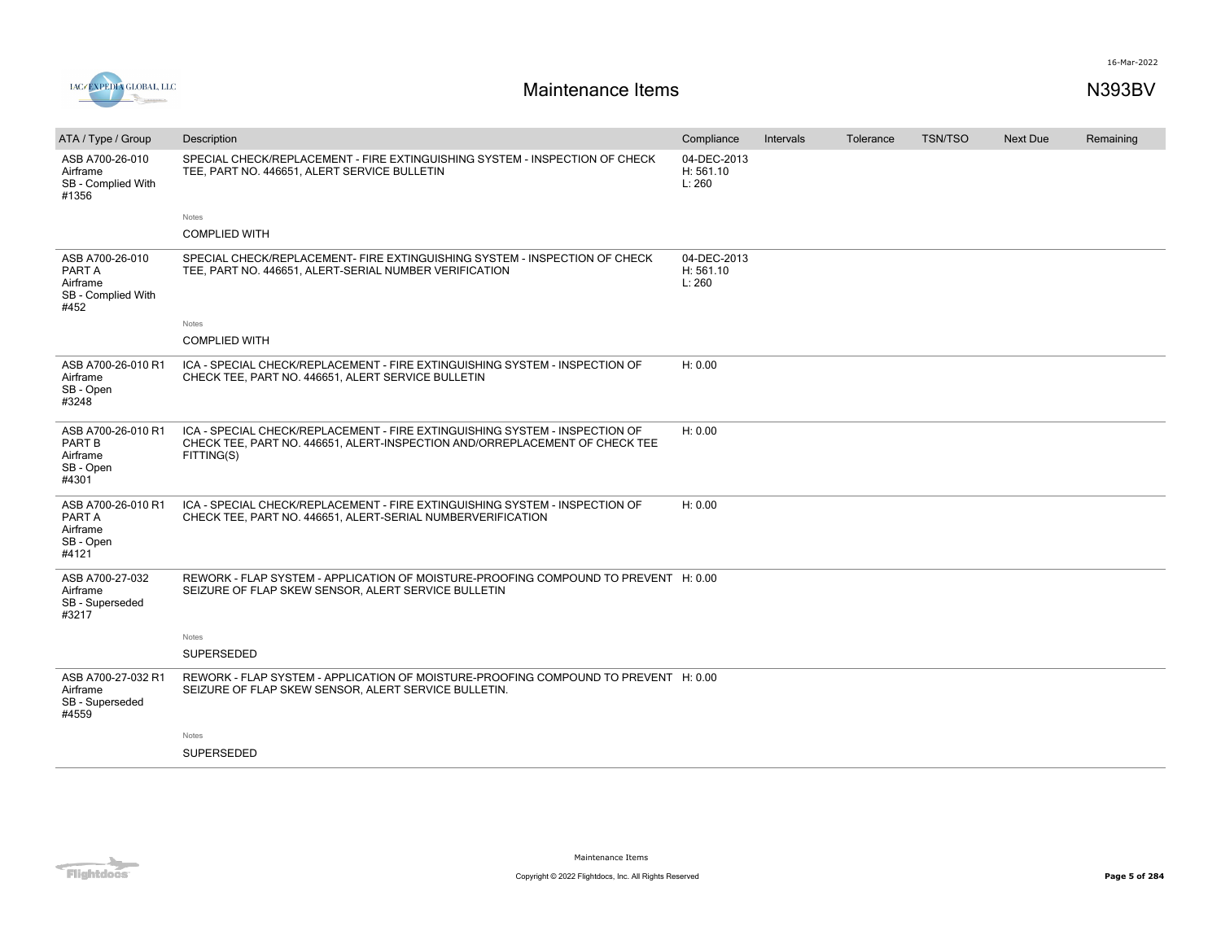

| ATA / Type / Group                                                    | Description                                                                                                                                                              | Compliance                         | <b>Intervals</b> | Tolerance | <b>TSN/TSO</b> | Next Due | Remaining |
|-----------------------------------------------------------------------|--------------------------------------------------------------------------------------------------------------------------------------------------------------------------|------------------------------------|------------------|-----------|----------------|----------|-----------|
| ASB A700-26-010<br>Airframe<br>SB - Complied With<br>#1356            | SPECIAL CHECK/REPLACEMENT - FIRE EXTINGUISHING SYSTEM - INSPECTION OF CHECK<br>TEE, PART NO. 446651, ALERT SERVICE BULLETIN                                              | 04-DEC-2013<br>H: 561.10<br>L: 260 |                  |           |                |          |           |
|                                                                       | Notes                                                                                                                                                                    |                                    |                  |           |                |          |           |
|                                                                       | <b>COMPLIED WITH</b>                                                                                                                                                     |                                    |                  |           |                |          |           |
| ASB A700-26-010<br>PART A<br>Airframe<br>SB - Complied With<br>#452   | SPECIAL CHECK/REPLACEMENT- FIRE EXTINGUISHING SYSTEM - INSPECTION OF CHECK<br>TEE, PART NO. 446651, ALERT-SERIAL NUMBER VERIFICATION                                     | 04-DEC-2013<br>H: 561.10<br>L: 260 |                  |           |                |          |           |
|                                                                       | Notes                                                                                                                                                                    |                                    |                  |           |                |          |           |
|                                                                       | <b>COMPLIED WITH</b>                                                                                                                                                     |                                    |                  |           |                |          |           |
| ASB A700-26-010 R1<br>Airframe<br>SB - Open<br>#3248                  | ICA - SPECIAL CHECK/REPLACEMENT - FIRE EXTINGUISHING SYSTEM - INSPECTION OF<br>CHECK TEE, PART NO. 446651, ALERT SERVICE BULLETIN                                        | H: 0.00                            |                  |           |                |          |           |
| ASB A700-26-010 R1<br><b>PART B</b><br>Airframe<br>SB - Open<br>#4301 | ICA - SPECIAL CHECK/REPLACEMENT - FIRE EXTINGUISHING SYSTEM - INSPECTION OF<br>CHECK TEE, PART NO. 446651, ALERT-INSPECTION AND/ORREPLACEMENT OF CHECK TEE<br>FITTING(S) | H: 0.00                            |                  |           |                |          |           |
| ASB A700-26-010 R1<br>PART A<br>Airframe<br>SB - Open<br>#4121        | ICA - SPECIAL CHECK/REPLACEMENT - FIRE EXTINGUISHING SYSTEM - INSPECTION OF<br>CHECK TEE, PART NO. 446651, ALERT-SERIAL NUMBERVERIFICATION                               | H: 0.00                            |                  |           |                |          |           |
| ASB A700-27-032<br>Airframe<br>SB - Superseded<br>#3217               | REWORK - FLAP SYSTEM - APPLICATION OF MOISTURE-PROOFING COMPOUND TO PREVENT H: 0.00<br>SEIZURE OF FLAP SKEW SENSOR, ALERT SERVICE BULLETIN                               |                                    |                  |           |                |          |           |
|                                                                       | Notes                                                                                                                                                                    |                                    |                  |           |                |          |           |
|                                                                       | <b>SUPERSEDED</b>                                                                                                                                                        |                                    |                  |           |                |          |           |
| ASB A700-27-032 R1<br>Airframe<br>SB - Superseded<br>#4559            | REWORK - FLAP SYSTEM - APPLICATION OF MOISTURE-PROOFING COMPOUND TO PREVENT H: 0.00<br>SEIZURE OF FLAP SKEW SENSOR, ALERT SERVICE BULLETIN.                              |                                    |                  |           |                |          |           |
|                                                                       | Notes                                                                                                                                                                    |                                    |                  |           |                |          |           |
|                                                                       | <b>SUPERSEDED</b>                                                                                                                                                        |                                    |                  |           |                |          |           |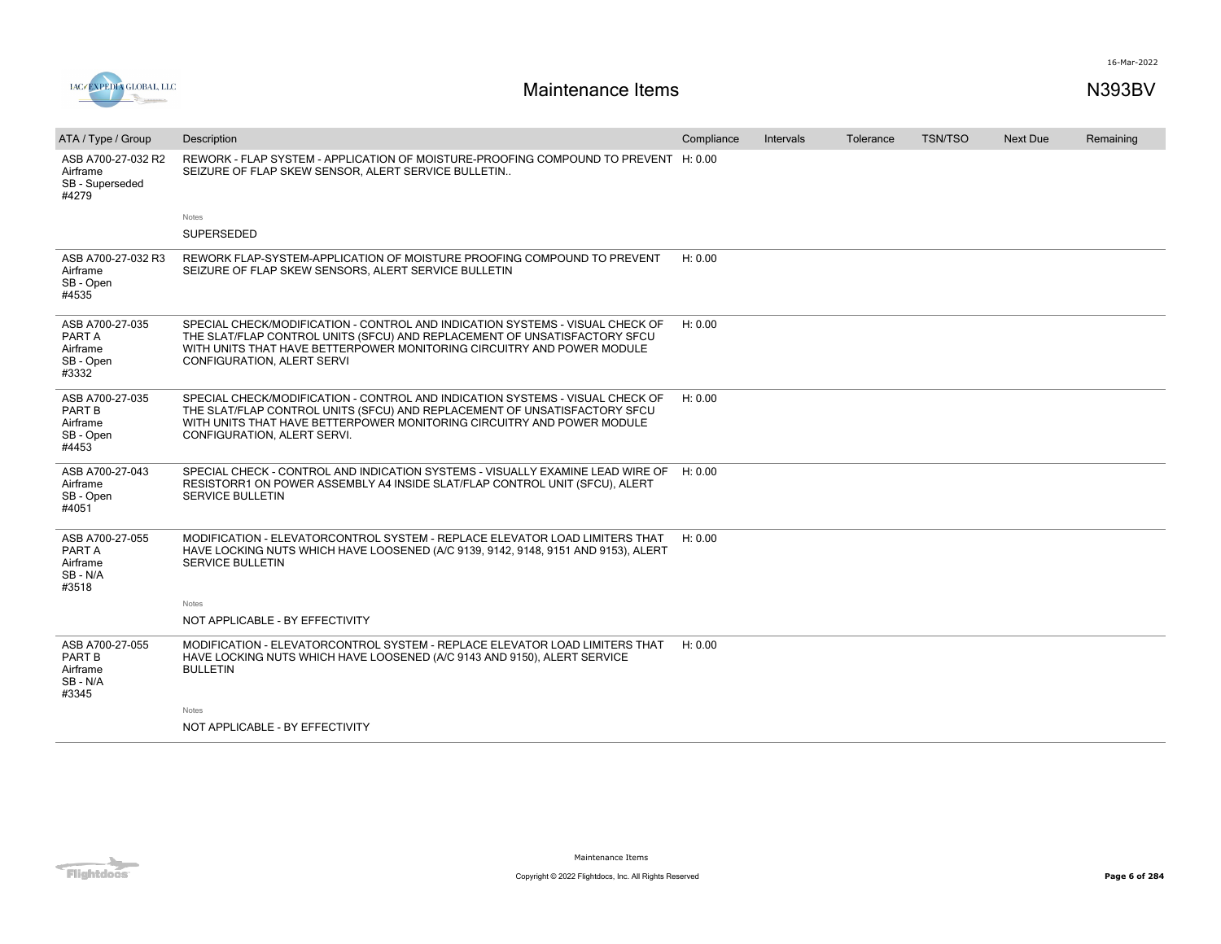

| ATA / Type / Group                                          | Description                                                                                                                                                                                                                                                         | Compliance | Intervals | Tolerance | <b>TSN/TSO</b> | Next Due | Remaining |
|-------------------------------------------------------------|---------------------------------------------------------------------------------------------------------------------------------------------------------------------------------------------------------------------------------------------------------------------|------------|-----------|-----------|----------------|----------|-----------|
| ASB A700-27-032 R2<br>Airframe<br>SB - Superseded<br>#4279  | REWORK - FLAP SYSTEM - APPLICATION OF MOISTURE-PROOFING COMPOUND TO PREVENT H: 0.00<br>SEIZURE OF FLAP SKEW SENSOR, ALERT SERVICE BULLETIN                                                                                                                          |            |           |           |                |          |           |
|                                                             | Notes                                                                                                                                                                                                                                                               |            |           |           |                |          |           |
|                                                             | <b>SUPERSEDED</b>                                                                                                                                                                                                                                                   |            |           |           |                |          |           |
| ASB A700-27-032 R3<br>Airframe<br>SB - Open<br>#4535        | REWORK FLAP-SYSTEM-APPLICATION OF MOISTURE PROOFING COMPOUND TO PREVENT<br>SEIZURE OF FLAP SKEW SENSORS, ALERT SERVICE BULLETIN                                                                                                                                     | H: 0.00    |           |           |                |          |           |
| ASB A700-27-035<br>PART A<br>Airframe<br>SB - Open<br>#3332 | SPECIAL CHECK/MODIFICATION - CONTROL AND INDICATION SYSTEMS - VISUAL CHECK OF<br>THE SLAT/FLAP CONTROL UNITS (SFCU) AND REPLACEMENT OF UNSATISFACTORY SFCU<br>WITH UNITS THAT HAVE BETTERPOWER MONITORING CIRCUITRY AND POWER MODULE<br>CONFIGURATION, ALERT SERVI  | H: 0.00    |           |           |                |          |           |
| ASB A700-27-035<br>PART B<br>Airframe<br>SB - Open<br>#4453 | SPECIAL CHECK/MODIFICATION - CONTROL AND INDICATION SYSTEMS - VISUAL CHECK OF<br>THE SLAT/FLAP CONTROL UNITS (SFCU) AND REPLACEMENT OF UNSATISFACTORY SFCU<br>WITH UNITS THAT HAVE BETTERPOWER MONITORING CIRCUITRY AND POWER MODULE<br>CONFIGURATION, ALERT SERVI. | H: 0.00    |           |           |                |          |           |
| ASB A700-27-043<br>Airframe<br>SB - Open<br>#4051           | SPECIAL CHECK - CONTROL AND INDICATION SYSTEMS - VISUALLY EXAMINE LEAD WIRE OF H: 0.00<br>RESISTORR1 ON POWER ASSEMBLY A4 INSIDE SLAT/FLAP CONTROL UNIT (SFCU), ALERT<br>SERVICE BULLETIN                                                                           |            |           |           |                |          |           |
| ASB A700-27-055<br>PART A<br>Airframe<br>SB - N/A<br>#3518  | MODIFICATION - ELEVATORCONTROL SYSTEM - REPLACE ELEVATOR LOAD LIMITERS THAT<br>HAVE LOCKING NUTS WHICH HAVE LOOSENED (A/C 9139, 9142, 9148, 9151 AND 9153), ALERT<br><b>SERVICE BULLETIN</b>                                                                        | H: 0.00    |           |           |                |          |           |
|                                                             | Notes                                                                                                                                                                                                                                                               |            |           |           |                |          |           |
|                                                             | NOT APPLICABLE - BY EFFECTIVITY                                                                                                                                                                                                                                     |            |           |           |                |          |           |
| ASB A700-27-055<br>PART B<br>Airframe<br>SB-N/A<br>#3345    | MODIFICATION - ELEVATORCONTROL SYSTEM - REPLACE ELEVATOR LOAD LIMITERS THAT<br>HAVE LOCKING NUTS WHICH HAVE LOOSENED (A/C 9143 AND 9150), ALERT SERVICE<br><b>BULLETIN</b>                                                                                          | H: 0.00    |           |           |                |          |           |
|                                                             | Notes                                                                                                                                                                                                                                                               |            |           |           |                |          |           |
|                                                             | NOT APPLICABLE - BY EFFECTIVITY                                                                                                                                                                                                                                     |            |           |           |                |          |           |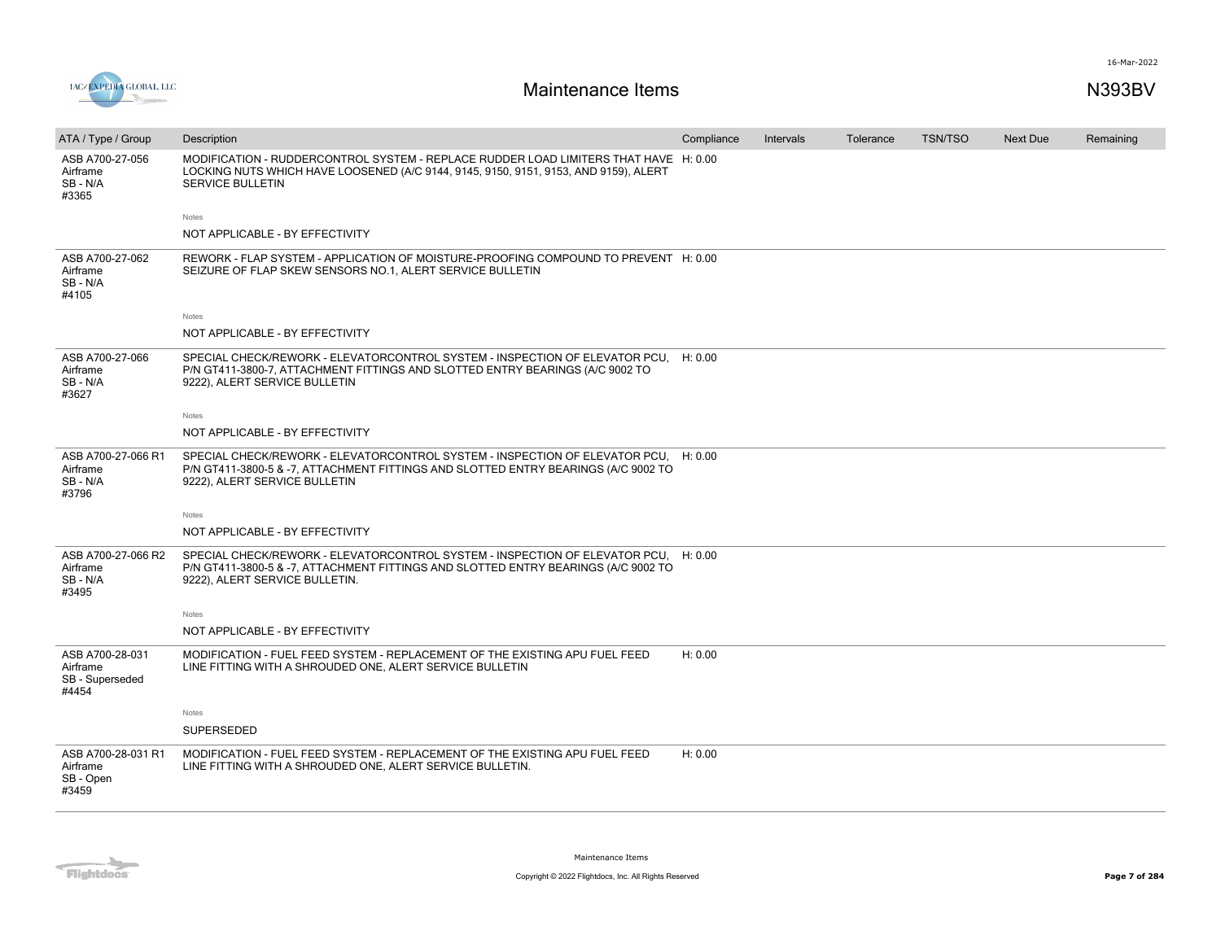

| ATA / Type / Group                                      | Description                                                                                                                                                                                                 | Compliance | Intervals | Tolerance | <b>TSN/TSO</b> | <b>Next Due</b> | Remaining |
|---------------------------------------------------------|-------------------------------------------------------------------------------------------------------------------------------------------------------------------------------------------------------------|------------|-----------|-----------|----------------|-----------------|-----------|
| ASB A700-27-056<br>Airframe<br>SB-N/A<br>#3365          | MODIFICATION - RUDDERCONTROL SYSTEM - REPLACE RUDDER LOAD LIMITERS THAT HAVE H: 0.00<br>LOCKING NUTS WHICH HAVE LOOSENED (A/C 9144, 9145, 9150, 9151, 9153, AND 9159), ALERT<br><b>SERVICE BULLETIN</b>     |            |           |           |                |                 |           |
|                                                         | Notes                                                                                                                                                                                                       |            |           |           |                |                 |           |
|                                                         | NOT APPLICABLE - BY EFFECTIVITY                                                                                                                                                                             |            |           |           |                |                 |           |
| ASB A700-27-062<br>Airframe<br>SB-N/A<br>#4105          | REWORK - FLAP SYSTEM - APPLICATION OF MOISTURE-PROOFING COMPOUND TO PREVENT H: 0.00<br>SEIZURE OF FLAP SKEW SENSORS NO.1, ALERT SERVICE BULLETIN                                                            |            |           |           |                |                 |           |
|                                                         | Notes                                                                                                                                                                                                       |            |           |           |                |                 |           |
|                                                         | NOT APPLICABLE - BY EFFECTIVITY                                                                                                                                                                             |            |           |           |                |                 |           |
| ASB A700-27-066<br>Airframe<br>SB-N/A<br>#3627          | SPECIAL CHECK/REWORK - ELEVATORCONTROL SYSTEM - INSPECTION OF ELEVATOR PCU,<br>P/N GT411-3800-7, ATTACHMENT FITTINGS AND SLOTTED ENTRY BEARINGS (A/C 9002 TO<br>9222), ALERT SERVICE BULLETIN               | H: 0.00    |           |           |                |                 |           |
|                                                         | Notes                                                                                                                                                                                                       |            |           |           |                |                 |           |
|                                                         | NOT APPLICABLE - BY EFFECTIVITY                                                                                                                                                                             |            |           |           |                |                 |           |
| ASB A700-27-066 R1<br>Airframe<br>SB-N/A<br>#3796       | SPECIAL CHECK/REWORK - ELEVATORCONTROL SYSTEM - INSPECTION OF ELEVATOR PCU, H: 0.00<br>P/N GT411-3800-5 & -7, ATTACHMENT FITTINGS AND SLOTTED ENTRY BEARINGS (A/C 9002 TO<br>9222), ALERT SERVICE BULLETIN  |            |           |           |                |                 |           |
|                                                         | Notes                                                                                                                                                                                                       |            |           |           |                |                 |           |
|                                                         | NOT APPLICABLE - BY EFFECTIVITY                                                                                                                                                                             |            |           |           |                |                 |           |
| ASB A700-27-066 R2<br>Airframe<br>SB-N/A<br>#3495       | SPECIAL CHECK/REWORK - ELEVATORCONTROL SYSTEM - INSPECTION OF ELEVATOR PCU, H: 0.00<br>P/N GT411-3800-5 & -7, ATTACHMENT FITTINGS AND SLOTTED ENTRY BEARINGS (A/C 9002 TO<br>9222), ALERT SERVICE BULLETIN. |            |           |           |                |                 |           |
|                                                         | Notes                                                                                                                                                                                                       |            |           |           |                |                 |           |
|                                                         | NOT APPLICABLE - BY EFFECTIVITY                                                                                                                                                                             |            |           |           |                |                 |           |
| ASB A700-28-031<br>Airframe<br>SB - Superseded<br>#4454 | MODIFICATION - FUEL FEED SYSTEM - REPLACEMENT OF THE EXISTING APU FUEL FEED<br>LINE FITTING WITH A SHROUDED ONE, ALERT SERVICE BULLETIN                                                                     | H: 0.00    |           |           |                |                 |           |
|                                                         | Notes                                                                                                                                                                                                       |            |           |           |                |                 |           |
|                                                         | SUPERSEDED                                                                                                                                                                                                  |            |           |           |                |                 |           |
| ASB A700-28-031 R1<br>Airframe<br>SB - Open<br>#3459    | MODIFICATION - FUEL FEED SYSTEM - REPLACEMENT OF THE EXISTING APU FUEL FEED<br>LINE FITTING WITH A SHROUDED ONE, ALERT SERVICE BULLETIN.                                                                    | H: 0.00    |           |           |                |                 |           |

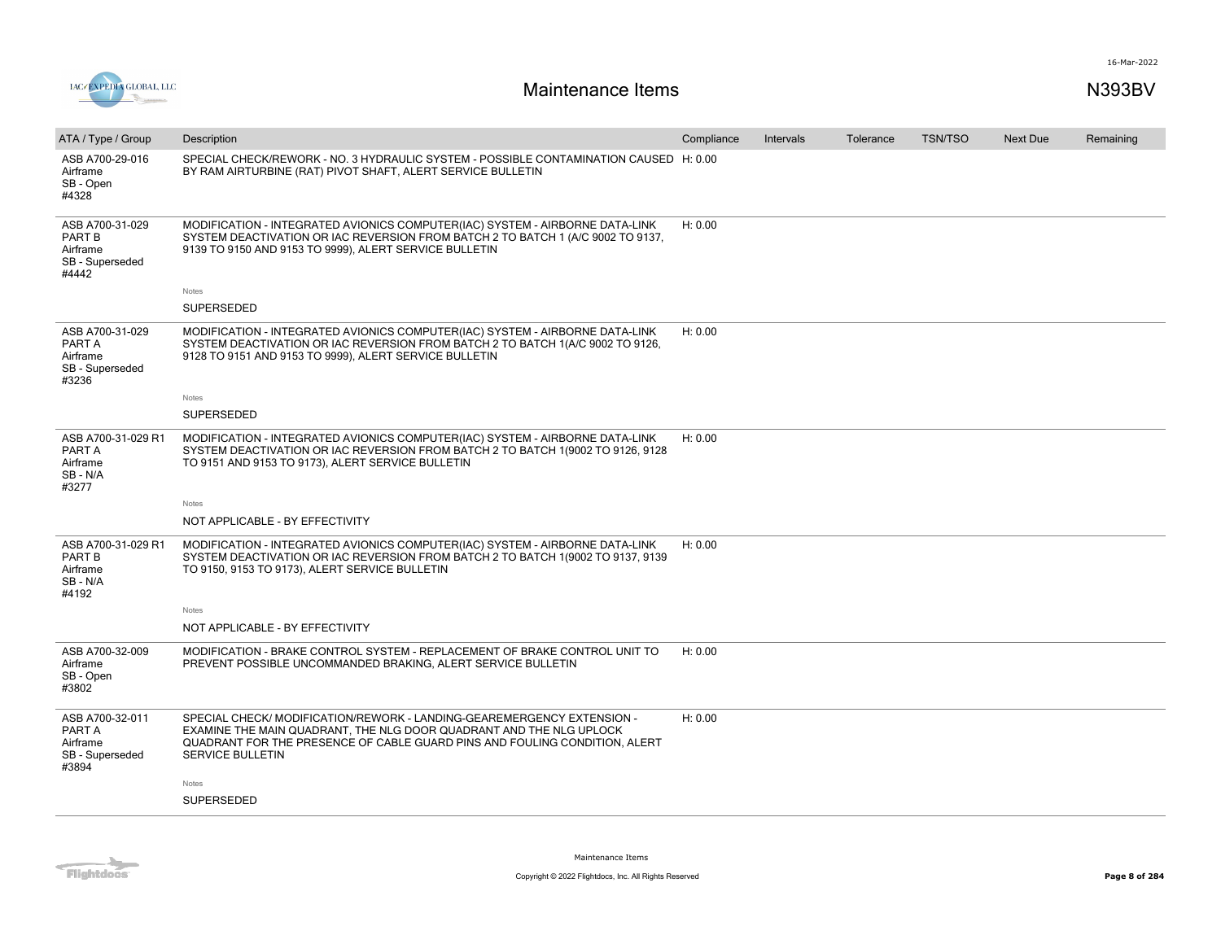



| ATA / Type / Group                                                       | Description                                                                                                                                                                                                                                           | Compliance | Intervals | Tolerance | <b>TSN/TSO</b> | Next Due | Remaining |
|--------------------------------------------------------------------------|-------------------------------------------------------------------------------------------------------------------------------------------------------------------------------------------------------------------------------------------------------|------------|-----------|-----------|----------------|----------|-----------|
| ASB A700-29-016<br>Airframe<br>SB - Open<br>#4328                        | SPECIAL CHECK/REWORK - NO. 3 HYDRAULIC SYSTEM - POSSIBLE CONTAMINATION CAUSED H: 0.00<br>BY RAM AIRTURBINE (RAT) PIVOT SHAFT, ALERT SERVICE BULLETIN                                                                                                  |            |           |           |                |          |           |
| ASB A700-31-029<br><b>PART B</b><br>Airframe<br>SB - Superseded<br>#4442 | MODIFICATION - INTEGRATED AVIONICS COMPUTER(IAC) SYSTEM - AIRBORNE DATA-LINK<br>SYSTEM DEACTIVATION OR IAC REVERSION FROM BATCH 2 TO BATCH 1 (A/C 9002 TO 9137,<br>9139 TO 9150 AND 9153 TO 9999), ALERT SERVICE BULLETIN                             | H: 0.00    |           |           |                |          |           |
|                                                                          | Notes                                                                                                                                                                                                                                                 |            |           |           |                |          |           |
|                                                                          | SUPERSEDED                                                                                                                                                                                                                                            |            |           |           |                |          |           |
| ASB A700-31-029<br>PART A<br>Airframe<br>SB - Superseded<br>#3236        | MODIFICATION - INTEGRATED AVIONICS COMPUTER(IAC) SYSTEM - AIRBORNE DATA-LINK<br>SYSTEM DEACTIVATION OR IAC REVERSION FROM BATCH 2 TO BATCH 1(A/C 9002 TO 9126,<br>9128 TO 9151 AND 9153 TO 9999), ALERT SERVICE BULLETIN                              | H: 0.00    |           |           |                |          |           |
|                                                                          | Notes                                                                                                                                                                                                                                                 |            |           |           |                |          |           |
|                                                                          | SUPERSEDED                                                                                                                                                                                                                                            |            |           |           |                |          |           |
| ASB A700-31-029 R1<br>PART A<br>Airframe<br>SB-N/A<br>#3277              | MODIFICATION - INTEGRATED AVIONICS COMPUTER(IAC) SYSTEM - AIRBORNE DATA-LINK<br>SYSTEM DEACTIVATION OR IAC REVERSION FROM BATCH 2 TO BATCH 1(9002 TO 9126, 9128<br>TO 9151 AND 9153 TO 9173), ALERT SERVICE BULLETIN                                  | H: 0.00    |           |           |                |          |           |
|                                                                          | Notes                                                                                                                                                                                                                                                 |            |           |           |                |          |           |
|                                                                          | NOT APPLICABLE - BY EFFECTIVITY                                                                                                                                                                                                                       |            |           |           |                |          |           |
| ASB A700-31-029 R1<br>PART B<br>Airframe<br>SB - N/A<br>#4192            | MODIFICATION - INTEGRATED AVIONICS COMPUTER(IAC) SYSTEM - AIRBORNE DATA-LINK<br>SYSTEM DEACTIVATION OR IAC REVERSION FROM BATCH 2 TO BATCH 1(9002 TO 9137, 9139<br>TO 9150, 9153 TO 9173), ALERT SERVICE BULLETIN                                     | H: 0.00    |           |           |                |          |           |
|                                                                          | Notes                                                                                                                                                                                                                                                 |            |           |           |                |          |           |
|                                                                          | NOT APPLICABLE - BY EFFECTIVITY                                                                                                                                                                                                                       |            |           |           |                |          |           |
| ASB A700-32-009<br>Airframe<br>SB - Open<br>#3802                        | MODIFICATION - BRAKE CONTROL SYSTEM - REPLACEMENT OF BRAKE CONTROL UNIT TO<br>PREVENT POSSIBLE UNCOMMANDED BRAKING, ALERT SERVICE BULLETIN                                                                                                            | H: 0.00    |           |           |                |          |           |
| ASB A700-32-011<br>PART A<br>Airframe<br>SB - Superseded<br>#3894        | SPECIAL CHECK/MODIFICATION/REWORK - LANDING-GEAREMERGENCY EXTENSION -<br>EXAMINE THE MAIN QUADRANT, THE NLG DOOR QUADRANT AND THE NLG UPLOCK<br>QUADRANT FOR THE PRESENCE OF CABLE GUARD PINS AND FOULING CONDITION, ALERT<br><b>SERVICE BULLETIN</b> | H: 0.00    |           |           |                |          |           |
|                                                                          | Notes                                                                                                                                                                                                                                                 |            |           |           |                |          |           |
|                                                                          | SUPERSEDED                                                                                                                                                                                                                                            |            |           |           |                |          |           |
|                                                                          |                                                                                                                                                                                                                                                       |            |           |           |                |          |           |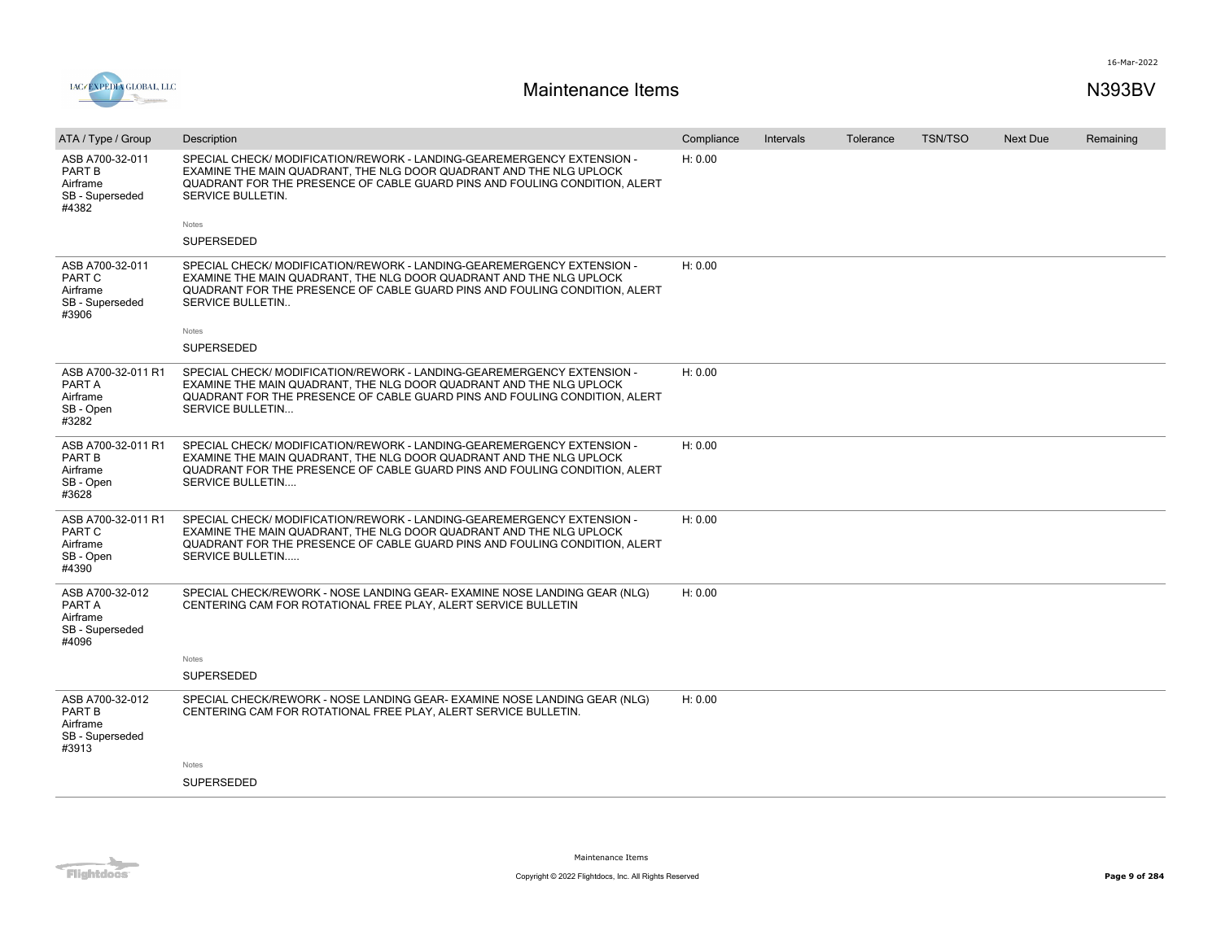

| ATA / Type / Group                                                       | Description                                                                                                                                                                                                                                            | Compliance | Intervals | Tolerance | <b>TSN/TSO</b> | <b>Next Due</b> | Remaining |
|--------------------------------------------------------------------------|--------------------------------------------------------------------------------------------------------------------------------------------------------------------------------------------------------------------------------------------------------|------------|-----------|-----------|----------------|-----------------|-----------|
| ASB A700-32-011<br>PART B<br>Airframe<br>SB - Superseded<br>#4382        | SPECIAL CHECK/MODIFICATION/REWORK - LANDING-GEAREMERGENCY EXTENSION -<br>EXAMINE THE MAIN QUADRANT. THE NLG DOOR QUADRANT AND THE NLG UPLOCK<br>QUADRANT FOR THE PRESENCE OF CABLE GUARD PINS AND FOULING CONDITION, ALERT<br><b>SERVICE BULLETIN.</b> | H: 0.00    |           |           |                |                 |           |
|                                                                          | Notes                                                                                                                                                                                                                                                  |            |           |           |                |                 |           |
|                                                                          | <b>SUPERSEDED</b>                                                                                                                                                                                                                                      |            |           |           |                |                 |           |
| ASB A700-32-011<br>PART C<br>Airframe<br>SB - Superseded<br>#3906        | SPECIAL CHECK/MODIFICATION/REWORK - LANDING-GEAREMERGENCY EXTENSION -<br>EXAMINE THE MAIN QUADRANT, THE NLG DOOR QUADRANT AND THE NLG UPLOCK<br>QUADRANT FOR THE PRESENCE OF CABLE GUARD PINS AND FOULING CONDITION, ALERT<br><b>SERVICE BULLETIN</b>  | H: 0.00    |           |           |                |                 |           |
|                                                                          | Notes                                                                                                                                                                                                                                                  |            |           |           |                |                 |           |
|                                                                          | <b>SUPERSEDED</b>                                                                                                                                                                                                                                      |            |           |           |                |                 |           |
| ASB A700-32-011 R1<br>PART A<br>Airframe<br>SB - Open<br>#3282           | SPECIAL CHECK/MODIFICATION/REWORK - LANDING-GEAREMERGENCY EXTENSION -<br>EXAMINE THE MAIN QUADRANT, THE NLG DOOR QUADRANT AND THE NLG UPLOCK<br>QUADRANT FOR THE PRESENCE OF CABLE GUARD PINS AND FOULING CONDITION, ALERT<br><b>SERVICE BULLETIN</b>  | H: 0.00    |           |           |                |                 |           |
| ASB A700-32-011 R1<br>PART B<br>Airframe<br>SB - Open<br>#3628           | SPECIAL CHECK/MODIFICATION/REWORK - LANDING-GEAREMERGENCY EXTENSION -<br>EXAMINE THE MAIN QUADRANT, THE NLG DOOR QUADRANT AND THE NLG UPLOCK<br>QUADRANT FOR THE PRESENCE OF CABLE GUARD PINS AND FOULING CONDITION. ALERT<br><b>SERVICE BULLETIN</b>  | H: 0.00    |           |           |                |                 |           |
| ASB A700-32-011 R1<br>PART C<br>Airframe<br>SB - Open<br>#4390           | SPECIAL CHECK/MODIFICATION/REWORK - LANDING-GEAREMERGENCY EXTENSION -<br>EXAMINE THE MAIN QUADRANT, THE NLG DOOR QUADRANT AND THE NLG UPLOCK<br>QUADRANT FOR THE PRESENCE OF CABLE GUARD PINS AND FOULING CONDITION. ALERT<br><b>SERVICE BULLETIN</b>  | H: 0.00    |           |           |                |                 |           |
| ASB A700-32-012<br>PART A<br>Airframe<br>SB - Superseded<br>#4096        | SPECIAL CHECK/REWORK - NOSE LANDING GEAR- EXAMINE NOSE LANDING GEAR (NLG)<br>CENTERING CAM FOR ROTATIONAL FREE PLAY, ALERT SERVICE BULLETIN                                                                                                            | H: 0.00    |           |           |                |                 |           |
|                                                                          | Notes                                                                                                                                                                                                                                                  |            |           |           |                |                 |           |
|                                                                          | <b>SUPERSEDED</b>                                                                                                                                                                                                                                      |            |           |           |                |                 |           |
| ASB A700-32-012<br><b>PART B</b><br>Airframe<br>SB - Superseded<br>#3913 | SPECIAL CHECK/REWORK - NOSE LANDING GEAR- EXAMINE NOSE LANDING GEAR (NLG)<br>CENTERING CAM FOR ROTATIONAL FREE PLAY, ALERT SERVICE BULLETIN.                                                                                                           | H: 0.00    |           |           |                |                 |           |
|                                                                          | Notes                                                                                                                                                                                                                                                  |            |           |           |                |                 |           |
|                                                                          | SUPERSEDED                                                                                                                                                                                                                                             |            |           |           |                |                 |           |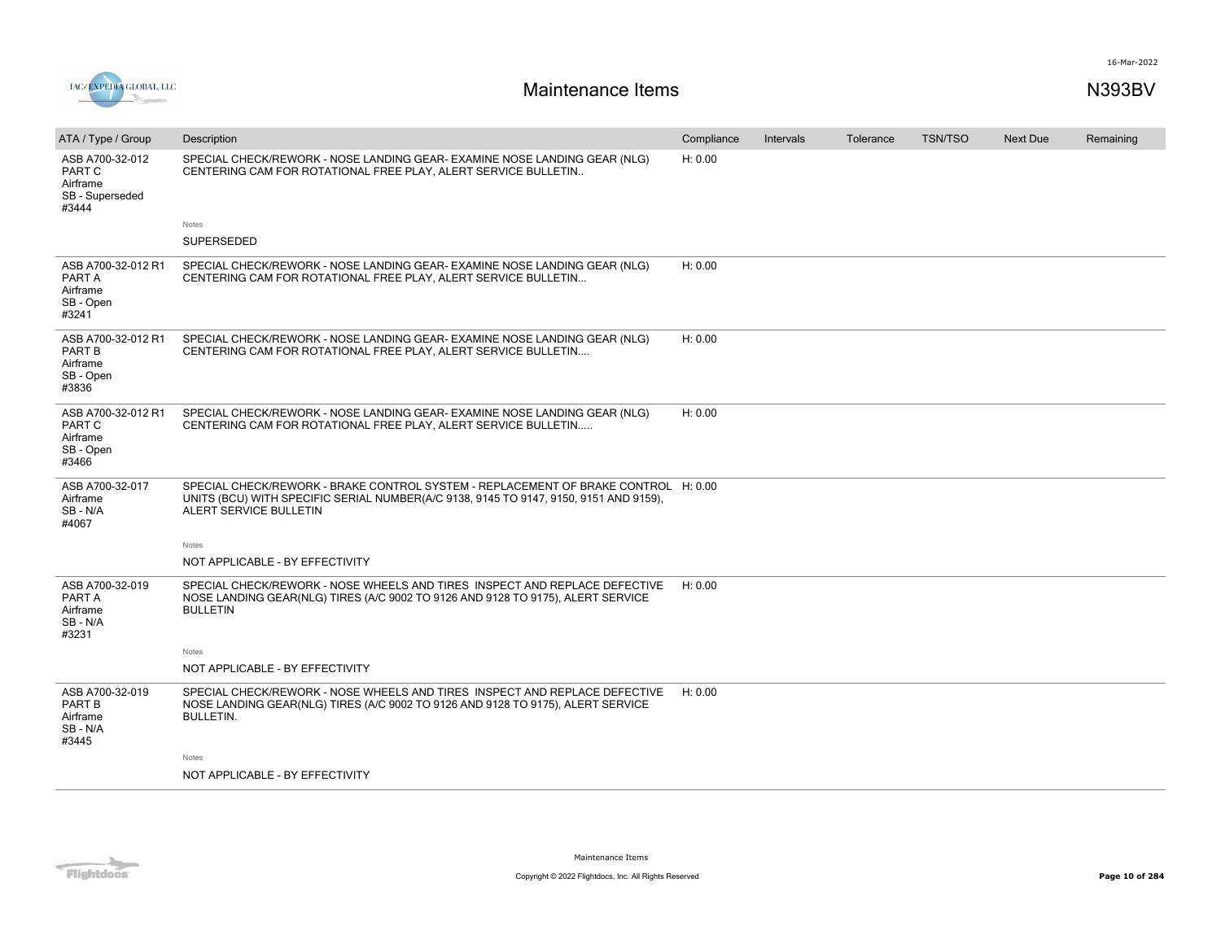



| ATA / Type / Group                                                | Description                                                                                                                                                                                           | Compliance | Intervals | Tolerance | <b>TSN/TSO</b> | Next Due | Remaining |
|-------------------------------------------------------------------|-------------------------------------------------------------------------------------------------------------------------------------------------------------------------------------------------------|------------|-----------|-----------|----------------|----------|-----------|
| ASB A700-32-012<br>PART C<br>Airframe<br>SB - Superseded<br>#3444 | SPECIAL CHECK/REWORK - NOSE LANDING GEAR- EXAMINE NOSE LANDING GEAR (NLG)<br>CENTERING CAM FOR ROTATIONAL FREE PLAY, ALERT SERVICE BULLETIN                                                           | H: 0.00    |           |           |                |          |           |
|                                                                   | Notes                                                                                                                                                                                                 |            |           |           |                |          |           |
|                                                                   | <b>SUPERSEDED</b>                                                                                                                                                                                     |            |           |           |                |          |           |
| ASB A700-32-012 R1<br>PART A<br>Airframe<br>SB - Open<br>#3241    | SPECIAL CHECK/REWORK - NOSE LANDING GEAR- EXAMINE NOSE LANDING GEAR (NLG)<br>CENTERING CAM FOR ROTATIONAL FREE PLAY, ALERT SERVICE BULLETIN                                                           | H: 0.00    |           |           |                |          |           |
| ASB A700-32-012 R1<br>PART B<br>Airframe<br>SB - Open<br>#3836    | SPECIAL CHECK/REWORK - NOSE LANDING GEAR- EXAMINE NOSE LANDING GEAR (NLG)<br>CENTERING CAM FOR ROTATIONAL FREE PLAY, ALERT SERVICE BULLETIN                                                           | H: 0.00    |           |           |                |          |           |
| ASB A700-32-012 R1<br>PART C<br>Airframe<br>SB - Open<br>#3466    | SPECIAL CHECK/REWORK - NOSE LANDING GEAR- EXAMINE NOSE LANDING GEAR (NLG)<br>CENTERING CAM FOR ROTATIONAL FREE PLAY. ALERT SERVICE BULLETIN                                                           | H: 0.00    |           |           |                |          |           |
| ASB A700-32-017<br>Airframe<br>SB-N/A<br>#4067                    | SPECIAL CHECK/REWORK - BRAKE CONTROL SYSTEM - REPLACEMENT OF BRAKE CONTROL H: 0.00<br>UNITS (BCU) WITH SPECIFIC SERIAL NUMBER(A/C 9138, 9145 TO 9147, 9150, 9151 AND 9159),<br>ALERT SERVICE BULLETIN |            |           |           |                |          |           |
|                                                                   | Notes                                                                                                                                                                                                 |            |           |           |                |          |           |
|                                                                   | NOT APPLICABLE - BY EFFECTIVITY                                                                                                                                                                       |            |           |           |                |          |           |
| ASB A700-32-019<br>PART A<br>Airframe<br>SB-N/A<br>#3231          | SPECIAL CHECK/REWORK - NOSE WHEELS AND TIRES INSPECT AND REPLACE DEFECTIVE<br>NOSE LANDING GEAR(NLG) TIRES (A/C 9002 TO 9126 AND 9128 TO 9175), ALERT SERVICE<br><b>BULLETIN</b>                      | H: 0.00    |           |           |                |          |           |
|                                                                   | Notes                                                                                                                                                                                                 |            |           |           |                |          |           |
|                                                                   | NOT APPLICABLE - BY EFFECTIVITY                                                                                                                                                                       |            |           |           |                |          |           |
| ASB A700-32-019<br>PART B<br>Airframe<br>SB-N/A<br>#3445          | SPECIAL CHECK/REWORK - NOSE WHEELS AND TIRES INSPECT AND REPLACE DEFECTIVE<br>NOSE LANDING GEAR(NLG) TIRES (A/C 9002 TO 9126 AND 9128 TO 9175), ALERT SERVICE<br><b>BULLETIN.</b>                     | H: 0.00    |           |           |                |          |           |
|                                                                   | Notes                                                                                                                                                                                                 |            |           |           |                |          |           |
|                                                                   | NOT APPLICABLE - BY EFFECTIVITY                                                                                                                                                                       |            |           |           |                |          |           |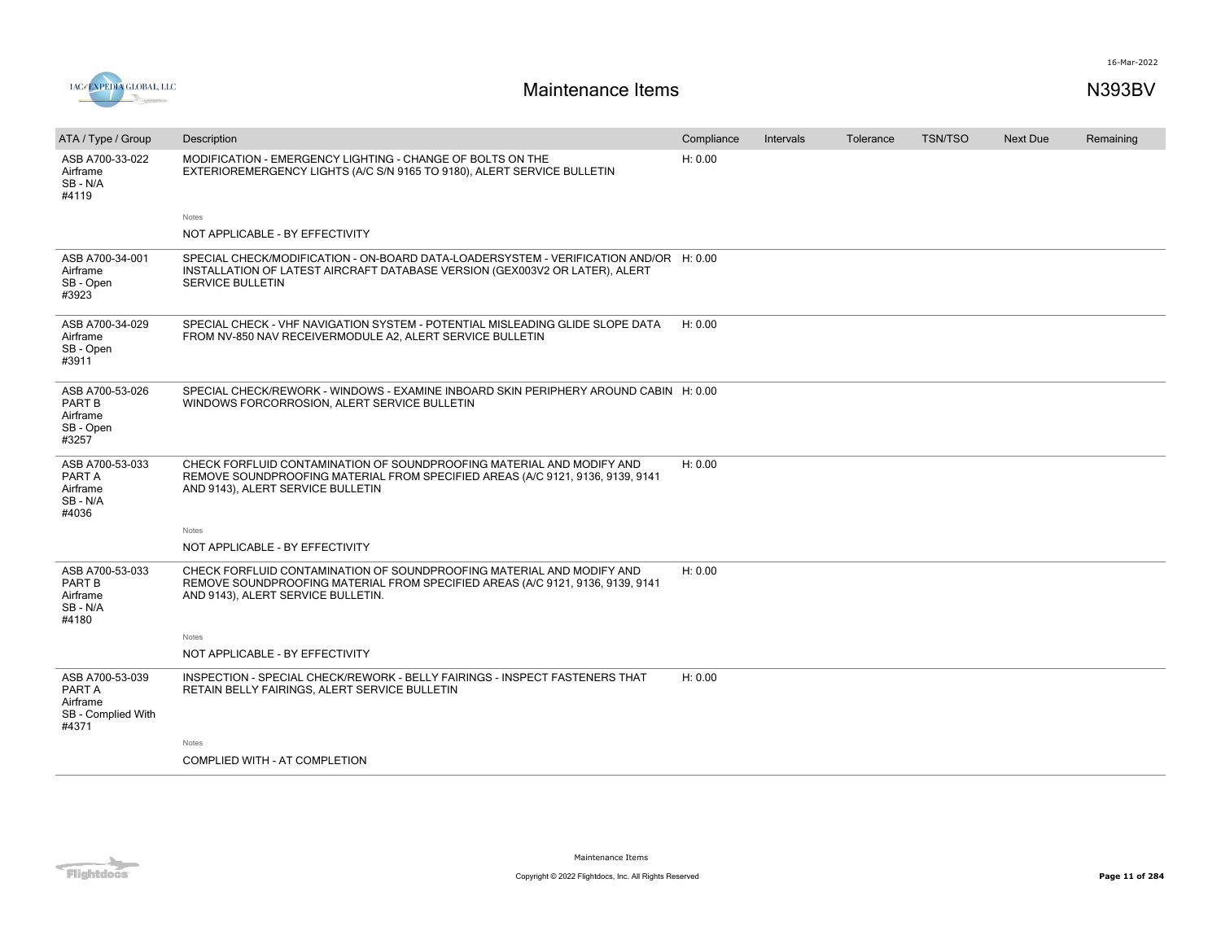

| ATA / Type / Group                                                   | Description                                                                                                                                                                                     | Compliance | Intervals | Tolerance | <b>TSN/TSO</b> | <b>Next Due</b> | Remaining |
|----------------------------------------------------------------------|-------------------------------------------------------------------------------------------------------------------------------------------------------------------------------------------------|------------|-----------|-----------|----------------|-----------------|-----------|
| ASB A700-33-022<br>Airframe<br>SB-N/A<br>#4119                       | MODIFICATION - EMERGENCY LIGHTING - CHANGE OF BOLTS ON THE<br>EXTERIOREMERGENCY LIGHTS (A/C S/N 9165 TO 9180), ALERT SERVICE BULLETIN                                                           | H: 0.00    |           |           |                |                 |           |
|                                                                      | Notes                                                                                                                                                                                           |            |           |           |                |                 |           |
|                                                                      | NOT APPLICABLE - BY EFFECTIVITY                                                                                                                                                                 |            |           |           |                |                 |           |
| ASB A700-34-001<br>Airframe<br>SB - Open<br>#3923                    | SPECIAL CHECK/MODIFICATION - ON-BOARD DATA-LOADERSYSTEM - VERIFICATION AND/OR H: 0.00<br>INSTALLATION OF LATEST AIRCRAFT DATABASE VERSION (GEX003V2 OR LATER), ALERT<br><b>SERVICE BULLETIN</b> |            |           |           |                |                 |           |
| ASB A700-34-029<br>Airframe<br>SB - Open<br>#3911                    | SPECIAL CHECK - VHF NAVIGATION SYSTEM - POTENTIAL MISLEADING GLIDE SLOPE DATA<br>FROM NV-850 NAV RECEIVERMODULE A2, ALERT SERVICE BULLETIN                                                      | H: 0.00    |           |           |                |                 |           |
| ASB A700-53-026<br>PART B<br>Airframe<br>SB - Open<br>#3257          | SPECIAL CHECK/REWORK - WINDOWS - EXAMINE INBOARD SKIN PERIPHERY AROUND CABIN H: 0.00<br>WINDOWS FORCORROSION, ALERT SERVICE BULLETIN                                                            |            |           |           |                |                 |           |
| ASB A700-53-033<br>PART A<br>Airframe<br>SB-N/A<br>#4036             | CHECK FORFLUID CONTAMINATION OF SOUNDPROOFING MATERIAL AND MODIFY AND<br>REMOVE SOUNDPROOFING MATERIAL FROM SPECIFIED AREAS (A/C 9121, 9136, 9139, 9141<br>AND 9143), ALERT SERVICE BULLETIN    | H: 0.00    |           |           |                |                 |           |
|                                                                      | Notes                                                                                                                                                                                           |            |           |           |                |                 |           |
|                                                                      | NOT APPLICABLE - BY EFFECTIVITY                                                                                                                                                                 |            |           |           |                |                 |           |
| ASB A700-53-033<br>PART B<br>Airframe<br>SB-N/A<br>#4180             | CHECK FORFLUID CONTAMINATION OF SOUNDPROOFING MATERIAL AND MODIFY AND<br>REMOVE SOUNDPROOFING MATERIAL FROM SPECIFIED AREAS (A/C 9121, 9136, 9139, 9141<br>AND 9143), ALERT SERVICE BULLETIN.   | H: 0.00    |           |           |                |                 |           |
|                                                                      | Notes                                                                                                                                                                                           |            |           |           |                |                 |           |
|                                                                      | NOT APPLICABLE - BY EFFECTIVITY                                                                                                                                                                 |            |           |           |                |                 |           |
| ASB A700-53-039<br>PART A<br>Airframe<br>SB - Complied With<br>#4371 | INSPECTION - SPECIAL CHECK/REWORK - BELLY FAIRINGS - INSPECT FASTENERS THAT<br>RETAIN BELLY FAIRINGS, ALERT SERVICE BULLETIN                                                                    | H: 0.00    |           |           |                |                 |           |
|                                                                      | Notes                                                                                                                                                                                           |            |           |           |                |                 |           |
|                                                                      | COMPLIED WITH - AT COMPLETION                                                                                                                                                                   |            |           |           |                |                 |           |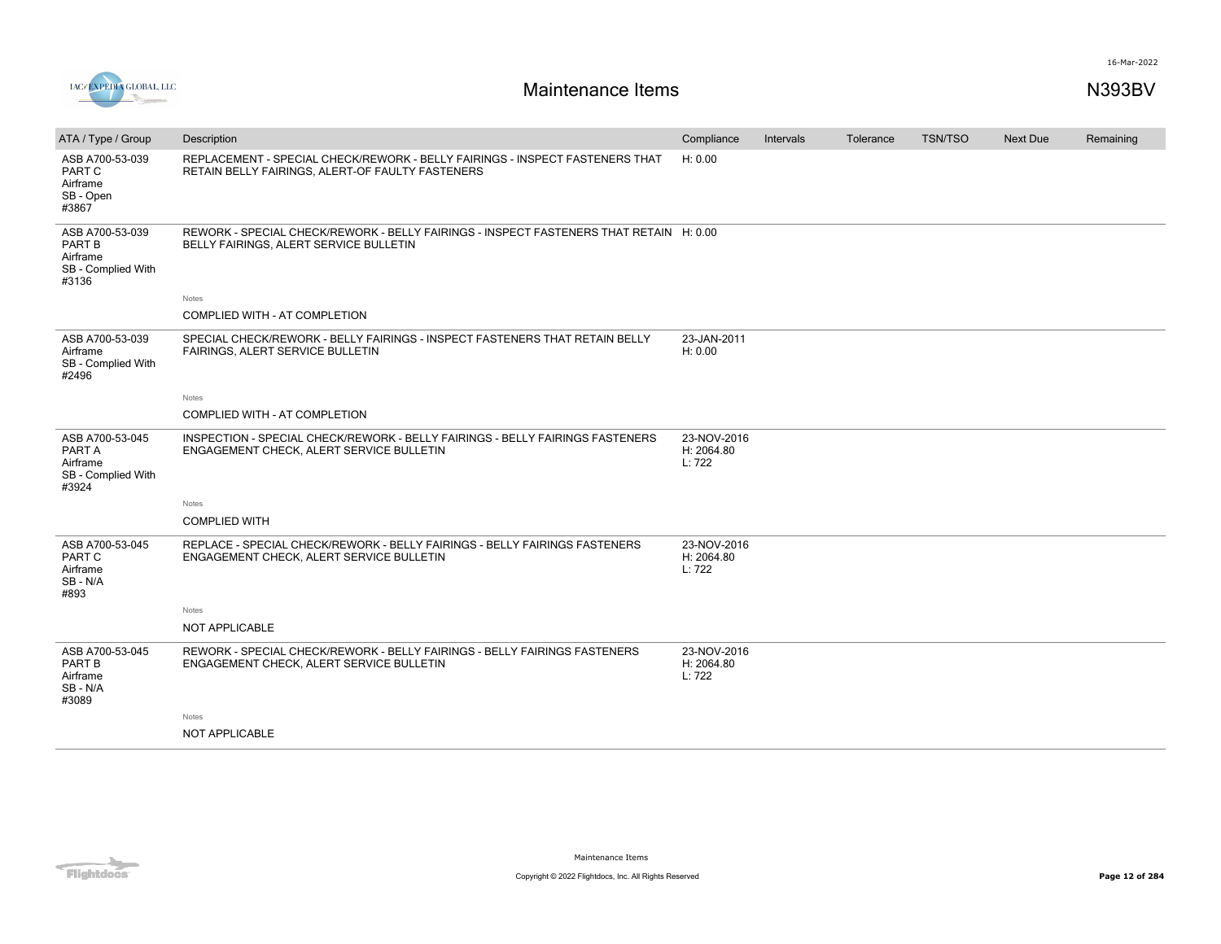

| ATA / Type / Group                                                   | Description                                                                                                                      | Compliance                          | Intervals | Tolerance | <b>TSN/TSO</b> | Next Due | Remaining |
|----------------------------------------------------------------------|----------------------------------------------------------------------------------------------------------------------------------|-------------------------------------|-----------|-----------|----------------|----------|-----------|
| ASB A700-53-039<br>PART C<br>Airframe<br>SB - Open<br>#3867          | REPLACEMENT - SPECIAL CHECK/REWORK - BELLY FAIRINGS - INSPECT FASTENERS THAT<br>RETAIN BELLY FAIRINGS, ALERT-OF FAULTY FASTENERS | H: 0.00                             |           |           |                |          |           |
| ASB A700-53-039<br>PART B<br>Airframe<br>SB - Complied With<br>#3136 | REWORK - SPECIAL CHECK/REWORK - BELLY FAIRINGS - INSPECT FASTENERS THAT RETAIN H: 0.00<br>BELLY FAIRINGS, ALERT SERVICE BULLETIN |                                     |           |           |                |          |           |
|                                                                      | <b>Notes</b>                                                                                                                     |                                     |           |           |                |          |           |
|                                                                      | COMPLIED WITH - AT COMPLETION                                                                                                    |                                     |           |           |                |          |           |
| ASB A700-53-039<br>Airframe<br>SB - Complied With<br>#2496           | SPECIAL CHECK/REWORK - BELLY FAIRINGS - INSPECT FASTENERS THAT RETAIN BELLY<br>FAIRINGS, ALERT SERVICE BULLETIN                  | 23-JAN-2011<br>H: 0.00              |           |           |                |          |           |
|                                                                      | Notes                                                                                                                            |                                     |           |           |                |          |           |
|                                                                      | COMPLIED WITH - AT COMPLETION                                                                                                    |                                     |           |           |                |          |           |
| ASB A700-53-045<br>PART A<br>Airframe<br>SB - Complied With<br>#3924 | INSPECTION - SPECIAL CHECK/REWORK - BELLY FAIRINGS - BELLY FAIRINGS FASTENERS<br>ENGAGEMENT CHECK, ALERT SERVICE BULLETIN        | 23-NOV-2016<br>H: 2064.80<br>L: 722 |           |           |                |          |           |
|                                                                      | Notes                                                                                                                            |                                     |           |           |                |          |           |
|                                                                      | <b>COMPLIED WITH</b>                                                                                                             |                                     |           |           |                |          |           |
| ASB A700-53-045<br>PART C<br>Airframe<br>SB-N/A<br>#893              | REPLACE - SPECIAL CHECK/REWORK - BELLY FAIRINGS - BELLY FAIRINGS FASTENERS<br>ENGAGEMENT CHECK, ALERT SERVICE BULLETIN           | 23-NOV-2016<br>H: 2064.80<br>L: 722 |           |           |                |          |           |
|                                                                      | Notes                                                                                                                            |                                     |           |           |                |          |           |
|                                                                      | NOT APPLICABLE                                                                                                                   |                                     |           |           |                |          |           |
| ASB A700-53-045<br>PART B<br>Airframe<br>SB-N/A<br>#3089             | REWORK - SPECIAL CHECK/REWORK - BELLY FAIRINGS - BELLY FAIRINGS FASTENERS<br>ENGAGEMENT CHECK, ALERT SERVICE BULLETIN            | 23-NOV-2016<br>H: 2064.80<br>L: 722 |           |           |                |          |           |
|                                                                      | Notes                                                                                                                            |                                     |           |           |                |          |           |
|                                                                      | <b>NOT APPLICABLE</b>                                                                                                            |                                     |           |           |                |          |           |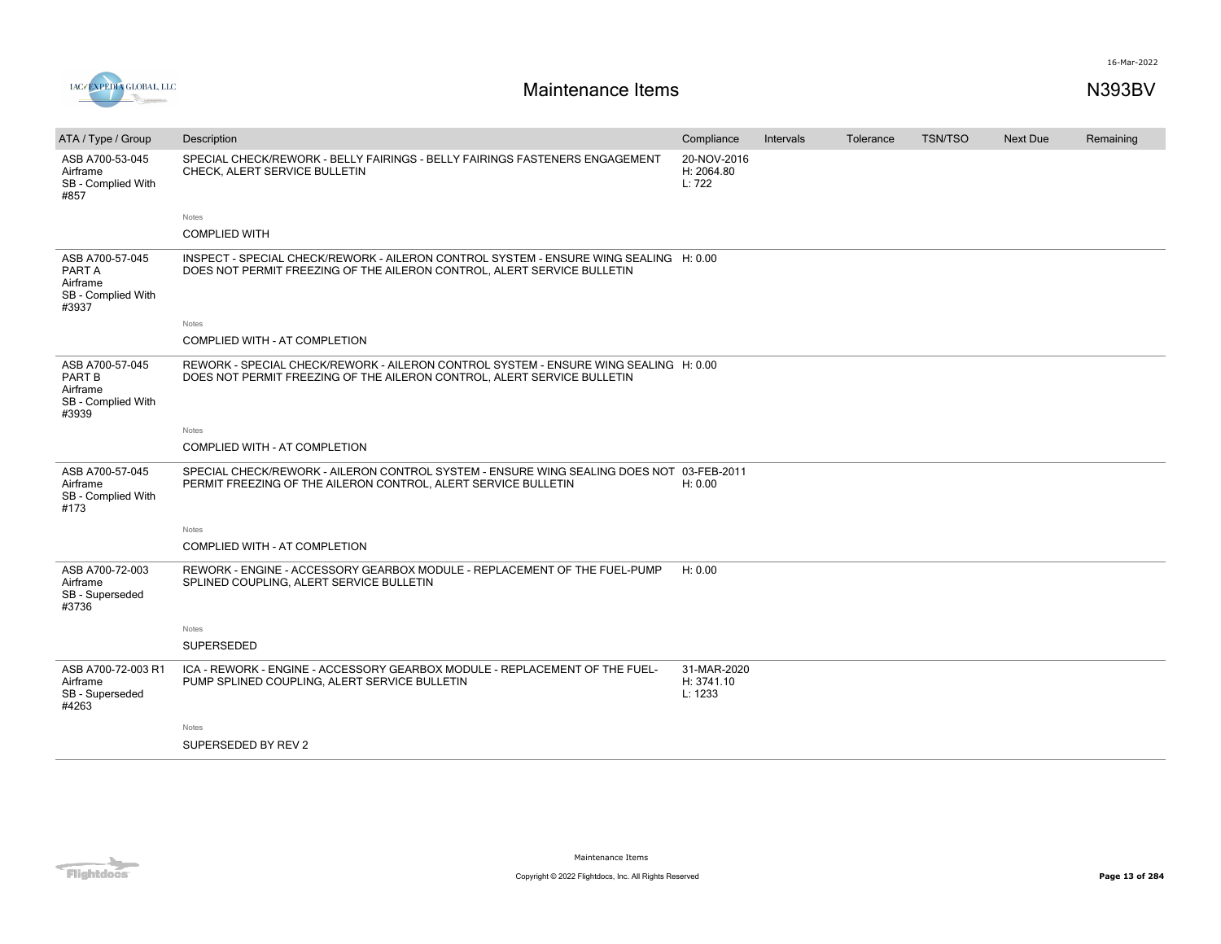

| ATA / Type / Group                                                   | Description                                                                                                                                                      | Compliance                           | Intervals | Tolerance | <b>TSN/TSO</b> | <b>Next Due</b> | Remaining |
|----------------------------------------------------------------------|------------------------------------------------------------------------------------------------------------------------------------------------------------------|--------------------------------------|-----------|-----------|----------------|-----------------|-----------|
| ASB A700-53-045<br>Airframe<br>SB - Complied With<br>#857            | SPECIAL CHECK/REWORK - BELLY FAIRINGS - BELLY FAIRINGS FASTENERS ENGAGEMENT<br>CHECK, ALERT SERVICE BULLETIN                                                     | 20-NOV-2016<br>H: 2064.80<br>L: 722  |           |           |                |                 |           |
|                                                                      | <b>Notes</b>                                                                                                                                                     |                                      |           |           |                |                 |           |
|                                                                      | <b>COMPLIED WITH</b>                                                                                                                                             |                                      |           |           |                |                 |           |
| ASB A700-57-045<br>PART A<br>Airframe<br>SB - Complied With<br>#3937 | INSPECT - SPECIAL CHECK/REWORK - AILERON CONTROL SYSTEM - ENSURE WING SEALING H: 0.00<br>DOES NOT PERMIT FREEZING OF THE AILERON CONTROL, ALERT SERVICE BULLETIN |                                      |           |           |                |                 |           |
|                                                                      | Notes                                                                                                                                                            |                                      |           |           |                |                 |           |
|                                                                      | COMPLIED WITH - AT COMPLETION                                                                                                                                    |                                      |           |           |                |                 |           |
| ASB A700-57-045<br>PART B<br>Airframe<br>SB - Complied With<br>#3939 | REWORK - SPECIAL CHECK/REWORK - AILERON CONTROL SYSTEM - ENSURE WING SEALING H: 0.00<br>DOES NOT PERMIT FREEZING OF THE AILERON CONTROL, ALERT SERVICE BULLETIN  |                                      |           |           |                |                 |           |
|                                                                      | Notes                                                                                                                                                            |                                      |           |           |                |                 |           |
|                                                                      | COMPLIED WITH - AT COMPLETION                                                                                                                                    |                                      |           |           |                |                 |           |
| ASB A700-57-045<br>Airframe<br>SB - Complied With<br>#173            | SPECIAL CHECK/REWORK - AILERON CONTROL SYSTEM - ENSURE WING SEALING DOES NOT 03-FEB-2011<br>PERMIT FREEZING OF THE AILERON CONTROL, ALERT SERVICE BULLETIN       | H: 0.00                              |           |           |                |                 |           |
|                                                                      | Notes                                                                                                                                                            |                                      |           |           |                |                 |           |
|                                                                      | COMPLIED WITH - AT COMPLETION                                                                                                                                    |                                      |           |           |                |                 |           |
| ASB A700-72-003<br>Airframe<br>SB - Superseded<br>#3736              | REWORK - ENGINE - ACCESSORY GEARBOX MODULE - REPLACEMENT OF THE FUEL-PUMP<br>SPLINED COUPLING, ALERT SERVICE BULLETIN                                            | H: 0.00                              |           |           |                |                 |           |
|                                                                      | Notes                                                                                                                                                            |                                      |           |           |                |                 |           |
|                                                                      | <b>SUPERSEDED</b>                                                                                                                                                |                                      |           |           |                |                 |           |
| ASB A700-72-003 R1<br>Airframe<br>SB - Superseded<br>#4263           | ICA - REWORK - ENGINE - ACCESSORY GEARBOX MODULE - REPLACEMENT OF THE FUEL-<br>PUMP SPLINED COUPLING, ALERT SERVICE BULLETIN                                     | 31-MAR-2020<br>H: 3741.10<br>L: 1233 |           |           |                |                 |           |
|                                                                      | Notes                                                                                                                                                            |                                      |           |           |                |                 |           |
|                                                                      | SUPERSEDED BY REV 2                                                                                                                                              |                                      |           |           |                |                 |           |

Flightdocs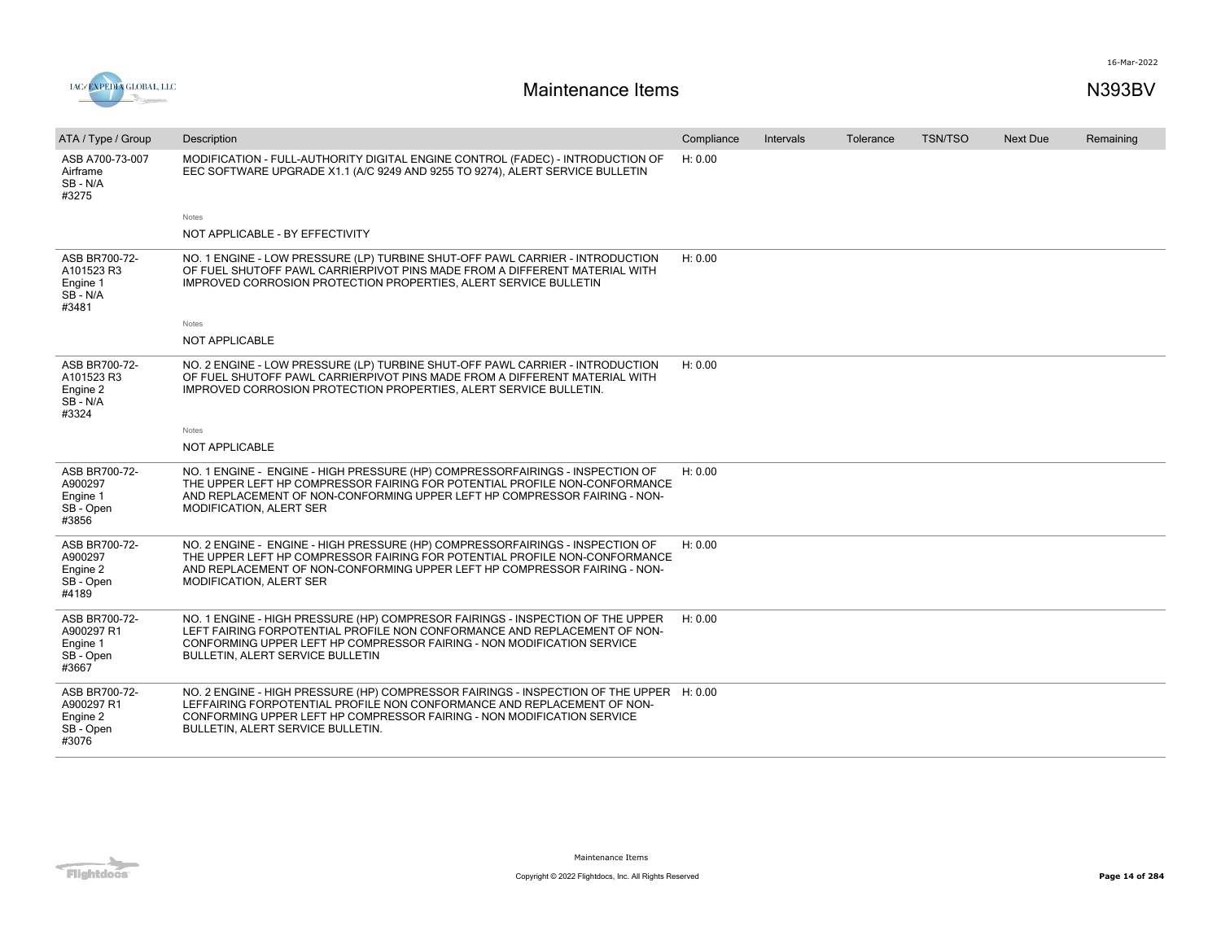

| ATA / Type / Group                                             | Description                                                                                                                                                                                                                                                                       | Compliance | Intervals | Tolerance | <b>TSN/TSO</b> | <b>Next Due</b> | Remaining |
|----------------------------------------------------------------|-----------------------------------------------------------------------------------------------------------------------------------------------------------------------------------------------------------------------------------------------------------------------------------|------------|-----------|-----------|----------------|-----------------|-----------|
| ASB A700-73-007<br>Airframe<br>SB-N/A<br>#3275                 | MODIFICATION - FULL-AUTHORITY DIGITAL ENGINE CONTROL (FADEC) - INTRODUCTION OF<br>EEC SOFTWARE UPGRADE X1.1 (A/C 9249 AND 9255 TO 9274), ALERT SERVICE BULLETIN                                                                                                                   | H: 0.00    |           |           |                |                 |           |
|                                                                | Notes                                                                                                                                                                                                                                                                             |            |           |           |                |                 |           |
|                                                                | NOT APPLICABLE - BY EFFECTIVITY                                                                                                                                                                                                                                                   |            |           |           |                |                 |           |
| ASB BR700-72-<br>A101523 R3<br>Engine 1<br>$SB - N/A$<br>#3481 | NO. 1 ENGINE - LOW PRESSURE (LP) TURBINE SHUT-OFF PAWL CARRIER - INTRODUCTION<br>OF FUEL SHUTOFF PAWL CARRIERPIVOT PINS MADE FROM A DIFFERENT MATERIAL WITH<br>IMPROVED CORROSION PROTECTION PROPERTIES, ALERT SERVICE BULLETIN                                                   | H: 0.00    |           |           |                |                 |           |
|                                                                | Notes                                                                                                                                                                                                                                                                             |            |           |           |                |                 |           |
|                                                                | <b>NOT APPLICABLE</b>                                                                                                                                                                                                                                                             |            |           |           |                |                 |           |
| ASB BR700-72-<br>A101523 R3<br>Engine 2<br>$SB - N/A$<br>#3324 | NO. 2 ENGINE - LOW PRESSURE (LP) TURBINE SHUT-OFF PAWL CARRIER - INTRODUCTION<br>OF FUEL SHUTOFF PAWL CARRIERPIVOT PINS MADE FROM A DIFFERENT MATERIAL WITH<br>IMPROVED CORROSION PROTECTION PROPERTIES, ALERT SERVICE BULLETIN.                                                  | H: 0.00    |           |           |                |                 |           |
|                                                                | <b>Notes</b>                                                                                                                                                                                                                                                                      |            |           |           |                |                 |           |
|                                                                | NOT APPLICABLE                                                                                                                                                                                                                                                                    |            |           |           |                |                 |           |
| ASB BR700-72-<br>A900297<br>Engine 1<br>SB - Open<br>#3856     | NO. 1 ENGINE - ENGINE - HIGH PRESSURE (HP) COMPRESSORFAIRINGS - INSPECTION OF<br>THE UPPER LEFT HP COMPRESSOR FAIRING FOR POTENTIAL PROFILE NON-CONFORMANCE<br>AND REPLACEMENT OF NON-CONFORMING UPPER LEFT HP COMPRESSOR FAIRING - NON-<br>MODIFICATION, ALERT SER               | H: 0.00    |           |           |                |                 |           |
| ASB BR700-72-<br>A900297<br>Engine 2<br>SB - Open<br>#4189     | NO. 2 ENGINE - ENGINE - HIGH PRESSURE (HP) COMPRESSORFAIRINGS - INSPECTION OF<br>THE UPPER LEFT HP COMPRESSOR FAIRING FOR POTENTIAL PROFILE NON-CONFORMANCE<br>AND REPLACEMENT OF NON-CONFORMING UPPER LEFT HP COMPRESSOR FAIRING - NON-<br>MODIFICATION, ALERT SER               | H: 0.00    |           |           |                |                 |           |
| ASB BR700-72-<br>A900297 R1<br>Engine 1<br>SB - Open<br>#3667  | NO. 1 ENGINE - HIGH PRESSURE (HP) COMPRESOR FAIRINGS - INSPECTION OF THE UPPER<br>LEFT FAIRING FORPOTENTIAL PROFILE NON CONFORMANCE AND REPLACEMENT OF NON-<br>CONFORMING UPPER LEFT HP COMPRESSOR FAIRING - NON MODIFICATION SERVICE<br><b>BULLETIN, ALERT SERVICE BULLETIN</b>  | H: 0.00    |           |           |                |                 |           |
| ASB BR700-72-<br>A900297 R1<br>Engine 2<br>SB - Open<br>#3076  | NO. 2 ENGINE - HIGH PRESSURE (HP) COMPRESSOR FAIRINGS - INSPECTION OF THE UPPER H: 0.00<br>LEFFAIRING FORPOTENTIAL PROFILE NON CONFORMANCE AND REPLACEMENT OF NON-<br>CONFORMING UPPER LEFT HP COMPRESSOR FAIRING - NON MODIFICATION SERVICE<br>BULLETIN, ALERT SERVICE BULLETIN. |            |           |           |                |                 |           |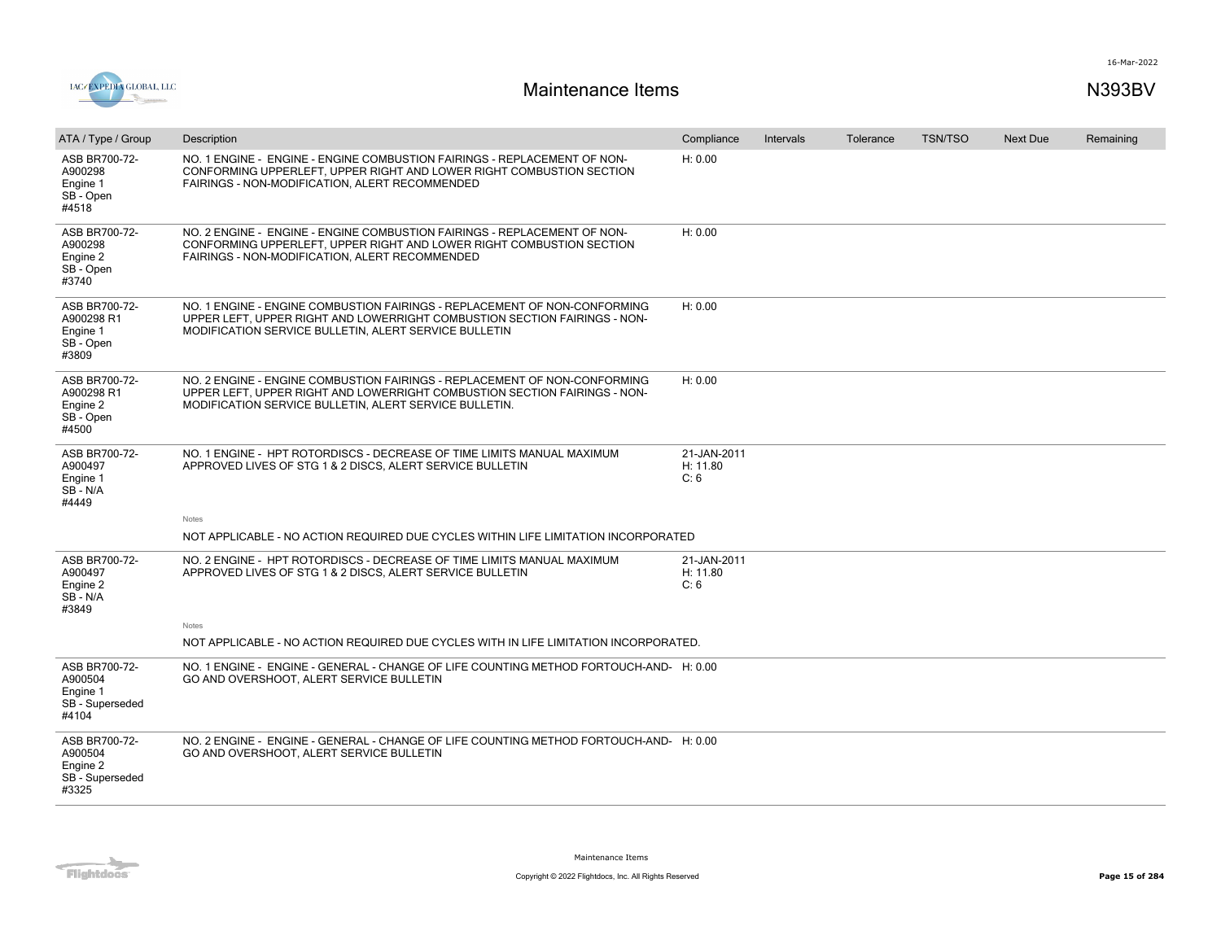

| ATA / Type / Group                                               | Description                                                                                                                                                                                                      | Compliance                      | Intervals | Tolerance | <b>TSN/TSO</b> | Next Due | Remaining |
|------------------------------------------------------------------|------------------------------------------------------------------------------------------------------------------------------------------------------------------------------------------------------------------|---------------------------------|-----------|-----------|----------------|----------|-----------|
| ASB BR700-72-<br>A900298<br>Engine 1<br>SB - Open<br>#4518       | NO. 1 ENGINE - ENGINE - ENGINE COMBUSTION FAIRINGS - REPLACEMENT OF NON-<br>CONFORMING UPPERLEFT. UPPER RIGHT AND LOWER RIGHT COMBUSTION SECTION<br>FAIRINGS - NON-MODIFICATION, ALERT RECOMMENDED               | H: 0.00                         |           |           |                |          |           |
| ASB BR700-72-<br>A900298<br>Engine 2<br>SB - Open<br>#3740       | NO. 2 ENGINE - ENGINE - ENGINE COMBUSTION FAIRINGS - REPLACEMENT OF NON-<br>CONFORMING UPPERLEFT, UPPER RIGHT AND LOWER RIGHT COMBUSTION SECTION<br>FAIRINGS - NON-MODIFICATION, ALERT RECOMMENDED               | H: 0.00                         |           |           |                |          |           |
| ASB BR700-72-<br>A900298 R1<br>Engine 1<br>SB - Open<br>#3809    | NO. 1 ENGINE - ENGINE COMBUSTION FAIRINGS - REPLACEMENT OF NON-CONFORMING<br>UPPER LEFT, UPPER RIGHT AND LOWERRIGHT COMBUSTION SECTION FAIRINGS - NON-<br>MODIFICATION SERVICE BULLETIN, ALERT SERVICE BULLETIN  | H: 0.00                         |           |           |                |          |           |
| ASB BR700-72-<br>A900298 R1<br>Engine 2<br>SB - Open<br>#4500    | NO. 2 ENGINE - ENGINE COMBUSTION FAIRINGS - REPLACEMENT OF NON-CONFORMING<br>UPPER LEFT, UPPER RIGHT AND LOWERRIGHT COMBUSTION SECTION FAIRINGS - NON-<br>MODIFICATION SERVICE BULLETIN, ALERT SERVICE BULLETIN. | H: 0.00                         |           |           |                |          |           |
| ASB BR700-72-<br>A900497<br>Engine 1<br>SB-N/A<br>#4449          | NO. 1 ENGINE - HPT ROTORDISCS - DECREASE OF TIME LIMITS MANUAL MAXIMUM<br>APPROVED LIVES OF STG 1 & 2 DISCS, ALERT SERVICE BULLETIN                                                                              | 21-JAN-2011<br>H: 11.80<br>C: 6 |           |           |                |          |           |
|                                                                  | Notes                                                                                                                                                                                                            |                                 |           |           |                |          |           |
|                                                                  | NOT APPLICABLE - NO ACTION REQUIRED DUE CYCLES WITHIN LIFE LIMITATION INCORPORATED                                                                                                                               |                                 |           |           |                |          |           |
| ASB BR700-72-<br>A900497<br>Engine 2<br>SB-N/A<br>#3849          | NO. 2 ENGINE - HPT ROTORDISCS - DECREASE OF TIME LIMITS MANUAL MAXIMUM<br>APPROVED LIVES OF STG 1 & 2 DISCS, ALERT SERVICE BULLETIN                                                                              | 21-JAN-2011<br>H: 11.80<br>C: 6 |           |           |                |          |           |
|                                                                  | Notes<br>NOT APPLICABLE - NO ACTION REQUIRED DUE CYCLES WITH IN LIFE LIMITATION INCORPORATED.                                                                                                                    |                                 |           |           |                |          |           |
|                                                                  |                                                                                                                                                                                                                  |                                 |           |           |                |          |           |
| ASB BR700-72-<br>A900504<br>Engine 1<br>SB - Superseded<br>#4104 | NO. 1 ENGINE - ENGINE - GENERAL - CHANGE OF LIFE COUNTING METHOD FORTOUCH-AND- H: 0.00<br>GO AND OVERSHOOT, ALERT SERVICE BULLETIN                                                                               |                                 |           |           |                |          |           |
| ASB BR700-72-<br>A900504<br>Engine 2<br>SB - Superseded<br>#3325 | NO. 2 ENGINE - ENGINE - GENERAL - CHANGE OF LIFE COUNTING METHOD FORTOUCH-AND- H: 0.00<br>GO AND OVERSHOOT, ALERT SERVICE BULLETIN                                                                               |                                 |           |           |                |          |           |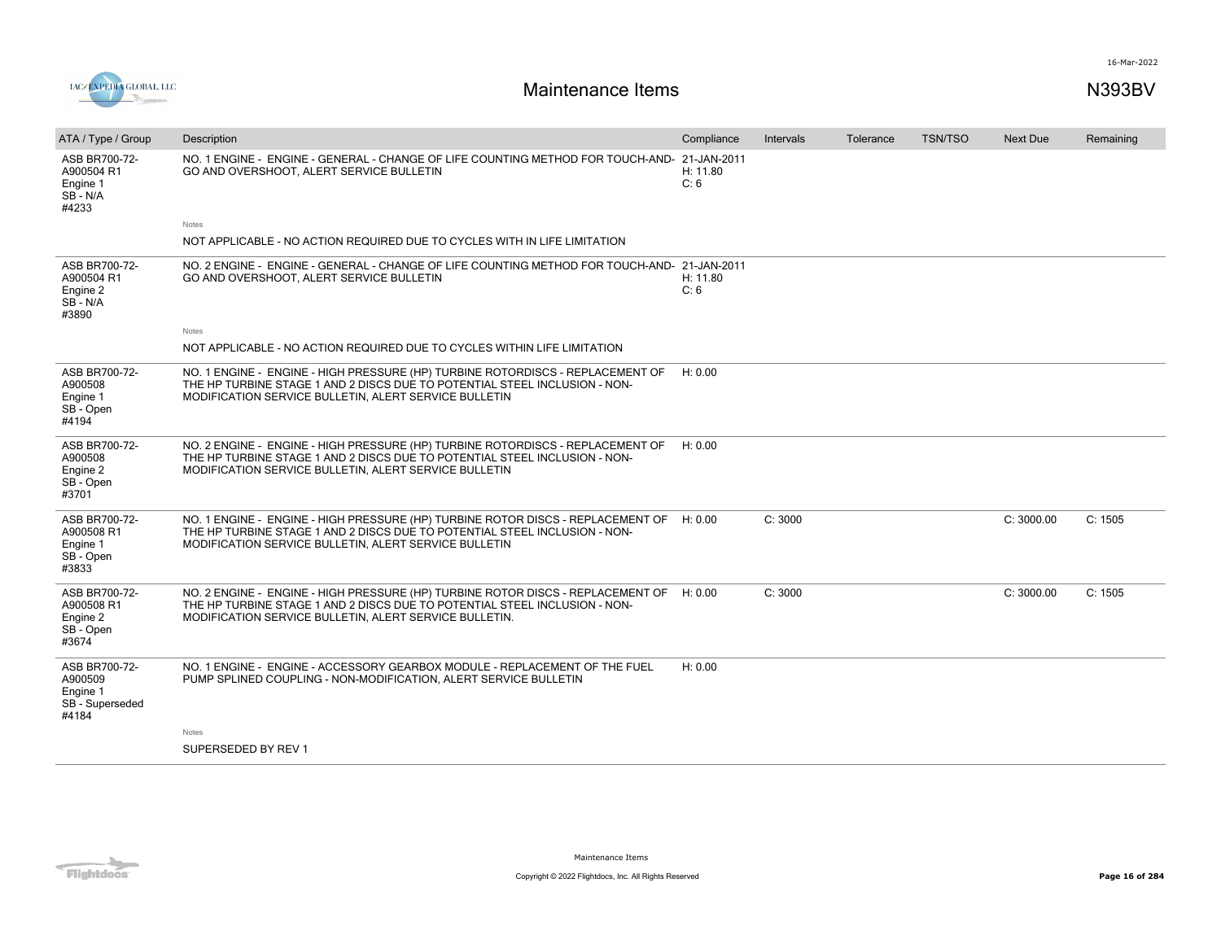

| ATA / Type / Group                                               | Description                                                                                                                                                                                                                     | Compliance       | <b>Intervals</b> | Tolerance | <b>TSN/TSO</b> | Next Due   | Remaining |
|------------------------------------------------------------------|---------------------------------------------------------------------------------------------------------------------------------------------------------------------------------------------------------------------------------|------------------|------------------|-----------|----------------|------------|-----------|
| ASB BR700-72-<br>A900504 R1<br>Engine 1<br>SB - N/A<br>#4233     | NO. 1 ENGINE - ENGINE - GENERAL - CHANGE OF LIFE COUNTING METHOD FOR TOUCH-AND- 21-JAN-2011<br>GO AND OVERSHOOT, ALERT SERVICE BULLETIN                                                                                         | H: 11.80<br>C: 6 |                  |           |                |            |           |
|                                                                  | Notes                                                                                                                                                                                                                           |                  |                  |           |                |            |           |
|                                                                  | NOT APPLICABLE - NO ACTION REQUIRED DUE TO CYCLES WITH IN LIFE LIMITATION                                                                                                                                                       |                  |                  |           |                |            |           |
| ASB BR700-72-<br>A900504 R1<br>Engine 2<br>$SB - N/A$<br>#3890   | NO. 2 ENGINE - ENGINE - GENERAL - CHANGE OF LIFE COUNTING METHOD FOR TOUCH-AND- 21-JAN-2011<br>GO AND OVERSHOOT, ALERT SERVICE BULLETIN                                                                                         | H: 11.80<br>C: 6 |                  |           |                |            |           |
|                                                                  | <b>Notes</b>                                                                                                                                                                                                                    |                  |                  |           |                |            |           |
|                                                                  | NOT APPLICABLE - NO ACTION REQUIRED DUE TO CYCLES WITHIN LIFE LIMITATION                                                                                                                                                        |                  |                  |           |                |            |           |
| ASB BR700-72-<br>A900508<br>Engine 1<br>SB - Open<br>#4194       | NO. 1 ENGINE - ENGINE - HIGH PRESSURE (HP) TURBINE ROTORDISCS - REPLACEMENT OF<br>THE HP TURBINE STAGE 1 AND 2 DISCS DUE TO POTENTIAL STEEL INCLUSION - NON-<br>MODIFICATION SERVICE BULLETIN, ALERT SERVICE BULLETIN           | H: 0.00          |                  |           |                |            |           |
| ASB BR700-72-<br>A900508<br>Engine 2<br>SB - Open<br>#3701       | NO. 2 ENGINE - ENGINE - HIGH PRESSURE (HP) TURBINE ROTORDISCS - REPLACEMENT OF<br>THE HP TURBINE STAGE 1 AND 2 DISCS DUE TO POTENTIAL STEEL INCLUSION - NON-<br>MODIFICATION SERVICE BULLETIN, ALERT SERVICE BULLETIN           | H: 0.00          |                  |           |                |            |           |
| ASB BR700-72-<br>A900508 R1<br>Engine 1<br>SB-Open<br>#3833      | NO. 1 ENGINE - ENGINE - HIGH PRESSURE (HP) TURBINE ROTOR DISCS - REPLACEMENT OF<br>THE HP TURBINE STAGE 1 AND 2 DISCS DUE TO POTENTIAL STEEL INCLUSION - NON-<br>MODIFICATION SERVICE BULLETIN, ALERT SERVICE BULLETIN          | H: 0.00          | C: 3000          |           |                | C: 3000.00 | C: 1505   |
| ASB BR700-72-<br>A900508 R1<br>Engine 2<br>SB - Open<br>#3674    | NO. 2 ENGINE - ENGINE - HIGH PRESSURE (HP) TURBINE ROTOR DISCS - REPLACEMENT OF H: 0.00<br>THE HP TURBINE STAGE 1 AND 2 DISCS DUE TO POTENTIAL STEEL INCLUSION - NON-<br>MODIFICATION SERVICE BULLETIN, ALERT SERVICE BULLETIN. |                  | C: 3000          |           |                | C: 3000.00 | C: 1505   |
| ASB BR700-72-<br>A900509<br>Engine 1<br>SB - Superseded<br>#4184 | NO. 1 ENGINE - ENGINE - ACCESSORY GEARBOX MODULE - REPLACEMENT OF THE FUEL<br>PUMP SPLINED COUPLING - NON-MODIFICATION, ALERT SERVICE BULLETIN                                                                                  | H: 0.00          |                  |           |                |            |           |
|                                                                  | Notes                                                                                                                                                                                                                           |                  |                  |           |                |            |           |
|                                                                  | SUPERSEDED BY REV 1                                                                                                                                                                                                             |                  |                  |           |                |            |           |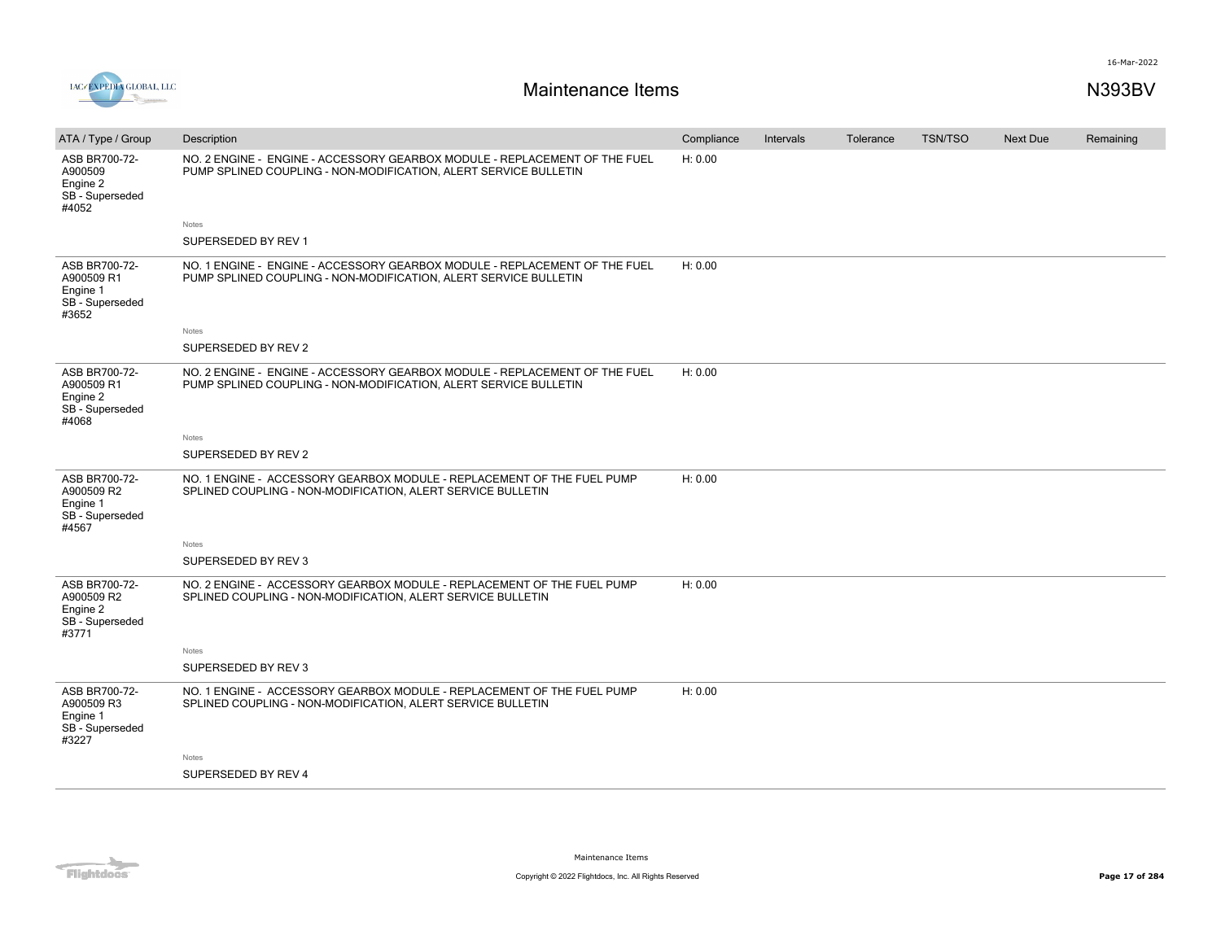



| ATA / Type / Group                                                  | Description                                                                                                                                    | Compliance | Intervals | Tolerance | <b>TSN/TSO</b> | <b>Next Due</b> | Remaining |
|---------------------------------------------------------------------|------------------------------------------------------------------------------------------------------------------------------------------------|------------|-----------|-----------|----------------|-----------------|-----------|
| ASB BR700-72-<br>A900509<br>Engine 2<br>SB - Superseded<br>#4052    | NO. 2 ENGINE - ENGINE - ACCESSORY GEARBOX MODULE - REPLACEMENT OF THE FUEL<br>PUMP SPLINED COUPLING - NON-MODIFICATION, ALERT SERVICE BULLETIN | H: 0.00    |           |           |                |                 |           |
|                                                                     | Notes                                                                                                                                          |            |           |           |                |                 |           |
|                                                                     | SUPERSEDED BY REV 1                                                                                                                            |            |           |           |                |                 |           |
| ASB BR700-72-<br>A900509 R1<br>Engine 1<br>SB - Superseded<br>#3652 | NO. 1 ENGINE - ENGINE - ACCESSORY GEARBOX MODULE - REPLACEMENT OF THE FUEL<br>PUMP SPLINED COUPLING - NON-MODIFICATION, ALERT SERVICE BULLETIN | H: 0.00    |           |           |                |                 |           |
|                                                                     | Notes                                                                                                                                          |            |           |           |                |                 |           |
|                                                                     | SUPERSEDED BY REV 2                                                                                                                            |            |           |           |                |                 |           |
| ASB BR700-72-<br>A900509 R1<br>Engine 2<br>SB - Superseded<br>#4068 | NO. 2 ENGINE - ENGINE - ACCESSORY GEARBOX MODULE - REPLACEMENT OF THE FUEL<br>PUMP SPLINED COUPLING - NON-MODIFICATION, ALERT SERVICE BULLETIN | H: 0.00    |           |           |                |                 |           |
|                                                                     | Notes                                                                                                                                          |            |           |           |                |                 |           |
|                                                                     | SUPERSEDED BY REV 2                                                                                                                            |            |           |           |                |                 |           |
| ASB BR700-72-<br>A900509 R2<br>Engine 1<br>SB - Superseded<br>#4567 | NO. 1 ENGINE - ACCESSORY GEARBOX MODULE - REPLACEMENT OF THE FUEL PUMP<br>SPLINED COUPLING - NON-MODIFICATION, ALERT SERVICE BULLETIN          | H: 0.00    |           |           |                |                 |           |
|                                                                     | Notes                                                                                                                                          |            |           |           |                |                 |           |
|                                                                     | SUPERSEDED BY REV 3                                                                                                                            |            |           |           |                |                 |           |
| ASB BR700-72-<br>A900509 R2<br>Engine 2<br>SB - Superseded<br>#3771 | NO. 2 ENGINE - ACCESSORY GEARBOX MODULE - REPLACEMENT OF THE FUEL PUMP<br>SPLINED COUPLING - NON-MODIFICATION, ALERT SERVICE BULLETIN          | H: 0.00    |           |           |                |                 |           |
|                                                                     | Notes                                                                                                                                          |            |           |           |                |                 |           |
|                                                                     | SUPERSEDED BY REV 3                                                                                                                            |            |           |           |                |                 |           |
| ASB BR700-72-<br>A900509 R3<br>Engine 1<br>SB - Superseded<br>#3227 | NO. 1 ENGINE - ACCESSORY GEARBOX MODULE - REPLACEMENT OF THE FUEL PUMP<br>SPLINED COUPLING - NON-MODIFICATION, ALERT SERVICE BULLETIN          | H: 0.00    |           |           |                |                 |           |
|                                                                     | <b>Notes</b>                                                                                                                                   |            |           |           |                |                 |           |
|                                                                     | SUPERSEDED BY REV 4                                                                                                                            |            |           |           |                |                 |           |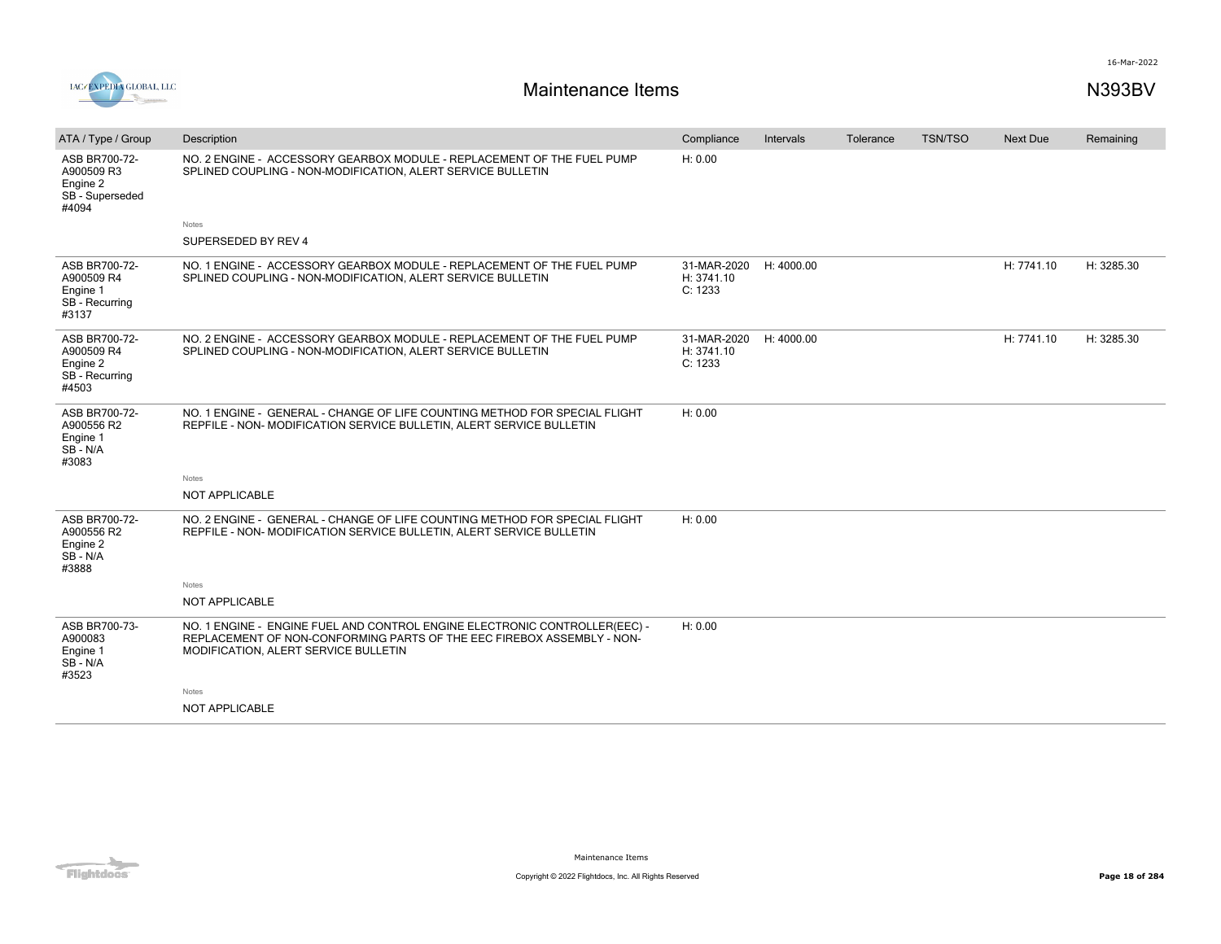



| ATA / Type / Group                                                  | Description                                                                                                                                                                                  | Compliance                           | Intervals  | Tolerance | <b>TSN/TSO</b> | <b>Next Due</b> | Remaining  |
|---------------------------------------------------------------------|----------------------------------------------------------------------------------------------------------------------------------------------------------------------------------------------|--------------------------------------|------------|-----------|----------------|-----------------|------------|
| ASB BR700-72-<br>A900509 R3<br>Engine 2<br>SB - Superseded<br>#4094 | NO. 2 ENGINE - ACCESSORY GEARBOX MODULE - REPLACEMENT OF THE FUEL PUMP<br>SPLINED COUPLING - NON-MODIFICATION, ALERT SERVICE BULLETIN                                                        | H: 0.00                              |            |           |                |                 |            |
|                                                                     | Notes                                                                                                                                                                                        |                                      |            |           |                |                 |            |
|                                                                     | SUPERSEDED BY REV 4                                                                                                                                                                          |                                      |            |           |                |                 |            |
| ASB BR700-72-<br>A900509 R4<br>Engine 1<br>SB - Recurring<br>#3137  | NO. 1 ENGINE - ACCESSORY GEARBOX MODULE - REPLACEMENT OF THE FUEL PUMP<br>SPLINED COUPLING - NON-MODIFICATION, ALERT SERVICE BULLETIN                                                        | 31-MAR-2020<br>H: 3741.10<br>C: 1233 | H: 4000.00 |           |                | H: 7741.10      | H: 3285.30 |
| ASB BR700-72-<br>A900509 R4<br>Engine 2<br>SB - Recurring<br>#4503  | NO. 2 ENGINE - ACCESSORY GEARBOX MODULE - REPLACEMENT OF THE FUEL PUMP<br>SPLINED COUPLING - NON-MODIFICATION, ALERT SERVICE BULLETIN                                                        | 31-MAR-2020<br>H: 3741.10<br>C: 1233 | H: 4000.00 |           |                | H: 7741.10      | H: 3285.30 |
| ASB BR700-72-<br>A900556 R2<br>Engine 1<br>$SB - N/A$<br>#3083      | NO. 1 ENGINE - GENERAL - CHANGE OF LIFE COUNTING METHOD FOR SPECIAL FLIGHT<br>REPFILE - NON- MODIFICATION SERVICE BULLETIN, ALERT SERVICE BULLETIN                                           | H: 0.00                              |            |           |                |                 |            |
|                                                                     | Notes                                                                                                                                                                                        |                                      |            |           |                |                 |            |
|                                                                     | NOT APPLICABLE                                                                                                                                                                               |                                      |            |           |                |                 |            |
| ASB BR700-72-<br>A900556 R2<br>Engine 2<br>SB-N/A<br>#3888          | NO. 2 ENGINE - GENERAL - CHANGE OF LIFE COUNTING METHOD FOR SPECIAL FLIGHT<br>REPFILE - NON-MODIFICATION SERVICE BULLETIN, ALERT SERVICE BULLETIN                                            | H: 0.00                              |            |           |                |                 |            |
|                                                                     | Notes                                                                                                                                                                                        |                                      |            |           |                |                 |            |
|                                                                     | NOT APPLICABLE                                                                                                                                                                               |                                      |            |           |                |                 |            |
| ASB BR700-73-<br>A900083<br>Engine 1<br>SB-N/A<br>#3523             | NO. 1 ENGINE - ENGINE FUEL AND CONTROL ENGINE ELECTRONIC CONTROLLER(EEC) -<br>REPLACEMENT OF NON-CONFORMING PARTS OF THE EEC FIREBOX ASSEMBLY - NON-<br>MODIFICATION, ALERT SERVICE BULLETIN | H: 0.00                              |            |           |                |                 |            |
|                                                                     | Notes                                                                                                                                                                                        |                                      |            |           |                |                 |            |
|                                                                     | <b>NOT APPLICABLE</b>                                                                                                                                                                        |                                      |            |           |                |                 |            |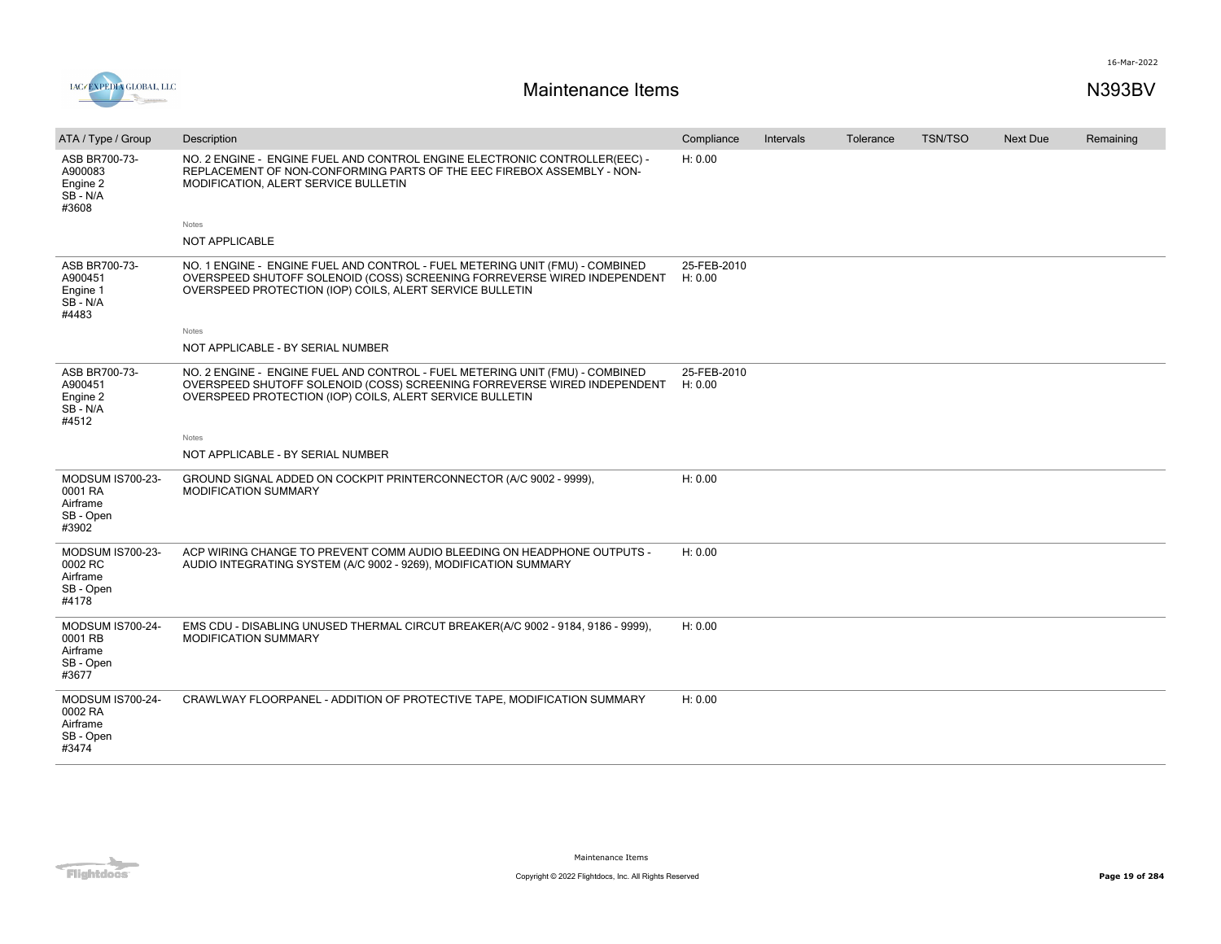

| ATA / Type / Group                                                   | Description                                                                                                                                                                                                          | Compliance             | Intervals | Tolerance | <b>TSN/TSO</b> | <b>Next Due</b> | Remaining |
|----------------------------------------------------------------------|----------------------------------------------------------------------------------------------------------------------------------------------------------------------------------------------------------------------|------------------------|-----------|-----------|----------------|-----------------|-----------|
| ASB BR700-73-<br>A900083<br>Engine 2<br>SB-N/A<br>#3608              | NO. 2 ENGINE - ENGINE FUEL AND CONTROL ENGINE ELECTRONIC CONTROLLER(EEC) -<br>REPLACEMENT OF NON-CONFORMING PARTS OF THE EEC FIREBOX ASSEMBLY - NON-<br>MODIFICATION, ALERT SERVICE BULLETIN                         | H: 0.00                |           |           |                |                 |           |
|                                                                      | Notes                                                                                                                                                                                                                |                        |           |           |                |                 |           |
|                                                                      | NOT APPLICABLE                                                                                                                                                                                                       |                        |           |           |                |                 |           |
| ASB BR700-73-<br>A900451<br>Engine 1<br>SB-N/A<br>#4483              | NO. 1 ENGINE - ENGINE FUEL AND CONTROL - FUEL METERING UNIT (FMU) - COMBINED<br>OVERSPEED SHUTOFF SOLENOID (COSS) SCREENING FORREVERSE WIRED INDEPENDENT<br>OVERSPEED PROTECTION (IOP) COILS, ALERT SERVICE BULLETIN | 25-FEB-2010<br>H: 0.00 |           |           |                |                 |           |
|                                                                      | Notes                                                                                                                                                                                                                |                        |           |           |                |                 |           |
|                                                                      | NOT APPLICABLE - BY SERIAL NUMBER                                                                                                                                                                                    |                        |           |           |                |                 |           |
| ASB BR700-73-<br>A900451<br>Engine 2<br>SB-N/A<br>#4512              | NO. 2 ENGINE - ENGINE FUEL AND CONTROL - FUEL METERING UNIT (FMU) - COMBINED<br>OVERSPEED SHUTOFF SOLENOID (COSS) SCREENING FORREVERSE WIRED INDEPENDENT<br>OVERSPEED PROTECTION (IOP) COILS, ALERT SERVICE BULLETIN | 25-FEB-2010<br>H: 0.00 |           |           |                |                 |           |
|                                                                      | Notes                                                                                                                                                                                                                |                        |           |           |                |                 |           |
|                                                                      | NOT APPLICABLE - BY SERIAL NUMBER                                                                                                                                                                                    |                        |           |           |                |                 |           |
| MODSUM IS700-23-<br>0001 RA<br>Airframe<br>SB - Open<br>#3902        | GROUND SIGNAL ADDED ON COCKPIT PRINTERCONNECTOR (A/C 9002 - 9999),<br><b>MODIFICATION SUMMARY</b>                                                                                                                    | H: 0.00                |           |           |                |                 |           |
| <b>MODSUM IS700-23-</b><br>0002 RC<br>Airframe<br>SB - Open<br>#4178 | ACP WIRING CHANGE TO PREVENT COMM AUDIO BLEEDING ON HEADPHONE OUTPUTS -<br>AUDIO INTEGRATING SYSTEM (A/C 9002 - 9269), MODIFICATION SUMMARY                                                                          | H: 0.00                |           |           |                |                 |           |
| MODSUM IS700-24-<br>0001 RB<br>Airframe<br>SB - Open<br>#3677        | EMS CDU - DISABLING UNUSED THERMAL CIRCUT BREAKER(A/C 9002 - 9184, 9186 - 9999),<br>MODIFICATION SUMMARY                                                                                                             | H: 0.00                |           |           |                |                 |           |
| <b>MODSUM IS700-24-</b><br>0002 RA<br>Airframe<br>SB - Open<br>#3474 | CRAWLWAY FLOORPANEL - ADDITION OF PROTECTIVE TAPE, MODIFICATION SUMMARY                                                                                                                                              | H: 0.00                |           |           |                |                 |           |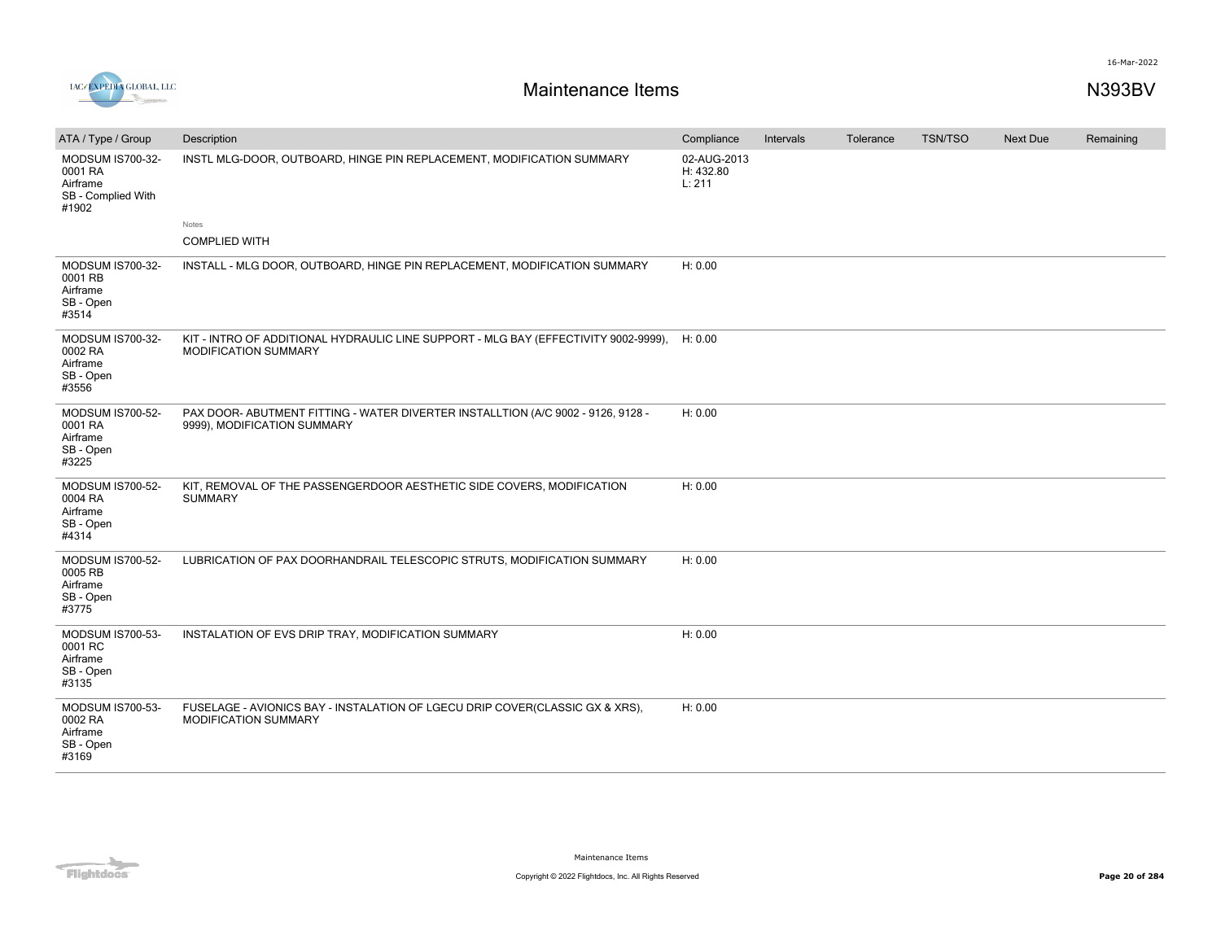



# **Maintenance Items N393BV**

| ATA / Type / Group                                                     | Description                                                                                                        | Compliance                         | Intervals | Tolerance | <b>TSN/TSO</b> | <b>Next Due</b> | Remaining |
|------------------------------------------------------------------------|--------------------------------------------------------------------------------------------------------------------|------------------------------------|-----------|-----------|----------------|-----------------|-----------|
| MODSUM IS700-32-<br>0001 RA<br>Airframe<br>SB - Complied With<br>#1902 | INSTL MLG-DOOR, OUTBOARD, HINGE PIN REPLACEMENT, MODIFICATION SUMMARY                                              | 02-AUG-2013<br>H: 432.80<br>L: 211 |           |           |                |                 |           |
|                                                                        | Notes<br><b>COMPLIED WITH</b>                                                                                      |                                    |           |           |                |                 |           |
|                                                                        |                                                                                                                    |                                    |           |           |                |                 |           |
| MODSUM IS700-32-<br>0001 RB<br>Airframe<br>SB - Open<br>#3514          | INSTALL - MLG DOOR, OUTBOARD, HINGE PIN REPLACEMENT, MODIFICATION SUMMARY                                          | H: 0.00                            |           |           |                |                 |           |
| MODSUM IS700-32-<br>0002 RA<br>Airframe<br>SB - Open<br>#3556          | KIT - INTRO OF ADDITIONAL HYDRAULIC LINE SUPPORT - MLG BAY (EFFECTIVITY 9002-9999),<br><b>MODIFICATION SUMMARY</b> | H: 0.00                            |           |           |                |                 |           |
| <b>MODSUM IS700-52-</b><br>0001 RA<br>Airframe<br>SB - Open<br>#3225   | PAX DOOR- ABUTMENT FITTING - WATER DIVERTER INSTALLTION (A/C 9002 - 9126, 9128 -<br>9999), MODIFICATION SUMMARY    | H: 0.00                            |           |           |                |                 |           |
| <b>MODSUM IS700-52-</b><br>0004 RA<br>Airframe<br>SB - Open<br>#4314   | KIT, REMOVAL OF THE PASSENGERDOOR AESTHETIC SIDE COVERS, MODIFICATION<br><b>SUMMARY</b>                            | H: 0.00                            |           |           |                |                 |           |
| <b>MODSUM IS700-52-</b><br>0005 RB<br>Airframe<br>SB - Open<br>#3775   | LUBRICATION OF PAX DOORHANDRAIL TELESCOPIC STRUTS, MODIFICATION SUMMARY                                            | H: 0.00                            |           |           |                |                 |           |
| MODSUM IS700-53-<br>0001 RC<br>Airframe<br>SB - Open<br>#3135          | INSTALATION OF EVS DRIP TRAY, MODIFICATION SUMMARY                                                                 | H: 0.00                            |           |           |                |                 |           |
| <b>MODSUM IS700-53-</b><br>0002 RA<br>Airframe<br>SB - Open<br>#3169   | FUSELAGE - AVIONICS BAY - INSTALATION OF LGECU DRIP COVER(CLASSIC GX & XRS),<br>MODIFICATION SUMMARY               | H: 0.00                            |           |           |                |                 |           |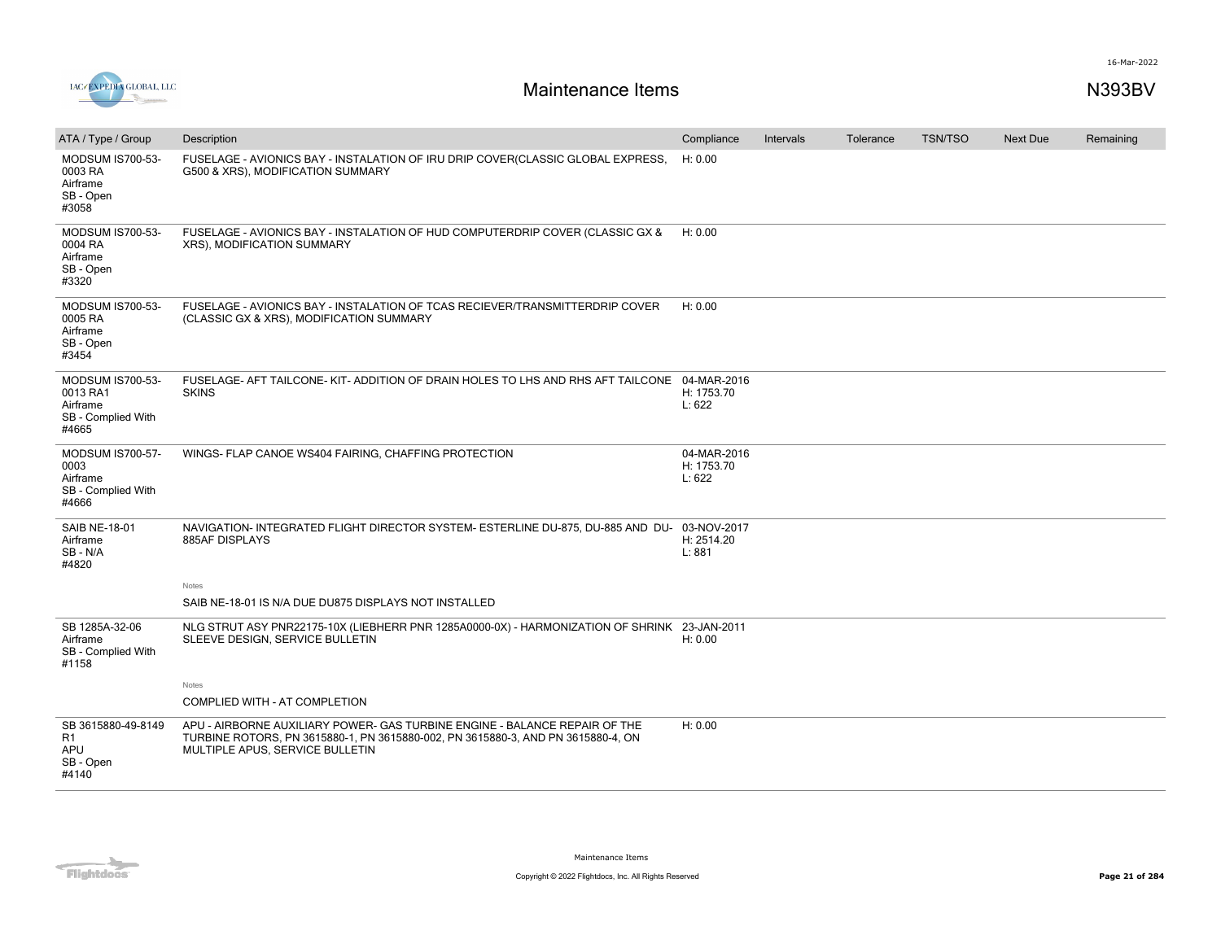



| ATA / Type / Group                                                             | Description                                                                                                                                                                                       | Compliance                          | Intervals | Tolerance | <b>TSN/TSO</b> | <b>Next Due</b> | Remaining |
|--------------------------------------------------------------------------------|---------------------------------------------------------------------------------------------------------------------------------------------------------------------------------------------------|-------------------------------------|-----------|-----------|----------------|-----------------|-----------|
| <b>MODSUM IS700-53-</b><br>0003 RA<br>Airframe<br>SB - Open<br>#3058           | FUSELAGE - AVIONICS BAY - INSTALATION OF IRU DRIP COVER(CLASSIC GLOBAL EXPRESS,<br>G500 & XRS), MODIFICATION SUMMARY                                                                              | H: 0.00                             |           |           |                |                 |           |
| MODSUM IS700-53-<br>0004 RA<br>Airframe<br>SB - Open<br>#3320                  | FUSELAGE - AVIONICS BAY - INSTALATION OF HUD COMPUTERDRIP COVER (CLASSIC GX &<br>XRS), MODIFICATION SUMMARY                                                                                       | H: 0.00                             |           |           |                |                 |           |
| MODSUM IS700-53-<br>0005 RA<br>Airframe<br>SB - Open<br>#3454                  | FUSELAGE - AVIONICS BAY - INSTALATION OF TCAS RECIEVER/TRANSMITTERDRIP COVER<br>(CLASSIC GX & XRS), MODIFICATION SUMMARY                                                                          | H: 0.00                             |           |           |                |                 |           |
| <b>MODSUM IS700-53-</b><br>0013 RA1<br>Airframe<br>SB - Complied With<br>#4665 | FUSELAGE- AFT TAILCONE- KIT- ADDITION OF DRAIN HOLES TO LHS AND RHS AFT TAILCONE 04-MAR-2016<br><b>SKINS</b>                                                                                      | H: 1753.70<br>L: 622                |           |           |                |                 |           |
| <b>MODSUM IS700-57-</b><br>0003<br>Airframe<br>SB - Complied With<br>#4666     | WINGS- FLAP CANOE WS404 FAIRING, CHAFFING PROTECTION                                                                                                                                              | 04-MAR-2016<br>H: 1753.70<br>L: 622 |           |           |                |                 |           |
| <b>SAIB NE-18-01</b><br>Airframe<br>SB-N/A<br>#4820                            | NAVIGATION- INTEGRATED FLIGHT DIRECTOR SYSTEM- ESTERLINE DU-875, DU-885 AND DU-<br>885AF DISPLAYS                                                                                                 | 03-NOV-2017<br>H: 2514.20<br>L: 881 |           |           |                |                 |           |
|                                                                                | Notes                                                                                                                                                                                             |                                     |           |           |                |                 |           |
|                                                                                | SAIB NE-18-01 IS N/A DUE DU875 DISPLAYS NOT INSTALLED                                                                                                                                             |                                     |           |           |                |                 |           |
| SB 1285A-32-06<br>Airframe<br>SB - Complied With<br>#1158                      | NLG STRUT ASY PNR22175-10X (LIEBHERR PNR 1285A0000-0X) - HARMONIZATION OF SHRINK 23-JAN-2011<br>SLEEVE DESIGN, SERVICE BULLETIN                                                                   | H: 0.00                             |           |           |                |                 |           |
|                                                                                | Notes<br>COMPLIED WITH - AT COMPLETION                                                                                                                                                            |                                     |           |           |                |                 |           |
| SB 3615880-49-8149<br>R1<br>APU<br>SB - Open<br>#4140                          | APU - AIRBORNE AUXILIARY POWER- GAS TURBINE ENGINE - BALANCE REPAIR OF THE<br>TURBINE ROTORS, PN 3615880-1, PN 3615880-002, PN 3615880-3, AND PN 3615880-4, ON<br>MULTIPLE APUS, SERVICE BULLETIN | H: 0.00                             |           |           |                |                 |           |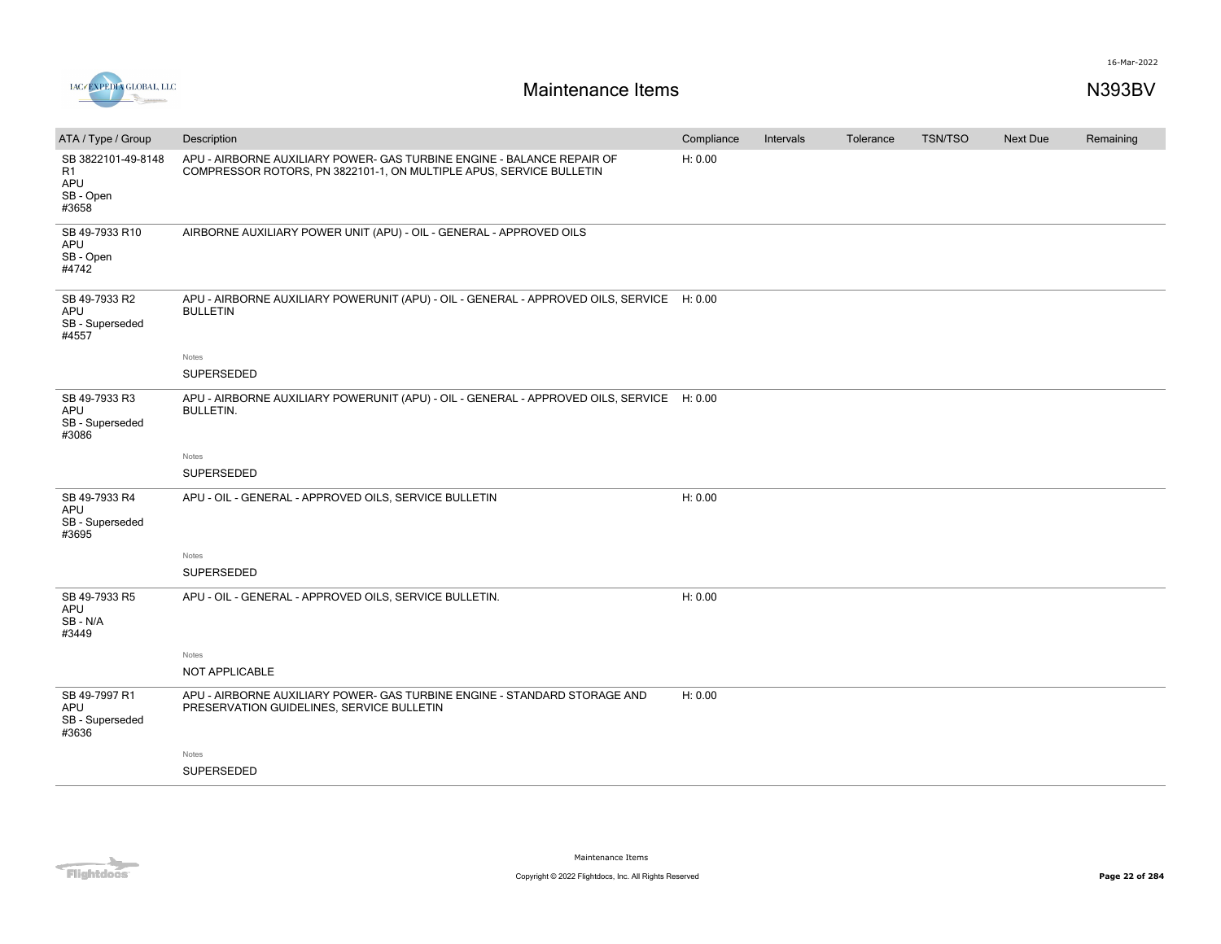

| ATA / Type / Group                                      | Description                                                                                                                                   | Compliance | Intervals | Tolerance | <b>TSN/TSO</b> | <b>Next Due</b> | Remaining |
|---------------------------------------------------------|-----------------------------------------------------------------------------------------------------------------------------------------------|------------|-----------|-----------|----------------|-----------------|-----------|
| SB 3822101-49-8148<br>R1<br>APU<br>SB - Open<br>#3658   | APU - AIRBORNE AUXILIARY POWER- GAS TURBINE ENGINE - BALANCE REPAIR OF<br>COMPRESSOR ROTORS, PN 3822101-1, ON MULTIPLE APUS, SERVICE BULLETIN | H: 0.00    |           |           |                |                 |           |
| SB 49-7933 R10<br>APU<br>SB - Open<br>#4742             | AIRBORNE AUXILIARY POWER UNIT (APU) - OIL - GENERAL - APPROVED OILS                                                                           |            |           |           |                |                 |           |
| SB 49-7933 R2<br><b>APU</b><br>SB - Superseded<br>#4557 | APU - AIRBORNE AUXILIARY POWERUNIT (APU) - OIL - GENERAL - APPROVED OILS, SERVICE H: 0.00<br><b>BULLETIN</b>                                  |            |           |           |                |                 |           |
|                                                         | Notes                                                                                                                                         |            |           |           |                |                 |           |
|                                                         | SUPERSEDED                                                                                                                                    |            |           |           |                |                 |           |
| SB 49-7933 R3<br>APU<br>SB - Superseded<br>#3086        | APU - AIRBORNE AUXILIARY POWERUNIT (APU) - OIL - GENERAL - APPROVED OILS, SERVICE H: 0.00<br><b>BULLETIN.</b>                                 |            |           |           |                |                 |           |
|                                                         | Notes                                                                                                                                         |            |           |           |                |                 |           |
|                                                         | SUPERSEDED                                                                                                                                    |            |           |           |                |                 |           |
| SB 49-7933 R4<br>APU<br>SB - Superseded<br>#3695        | APU - OIL - GENERAL - APPROVED OILS, SERVICE BULLETIN                                                                                         | H: 0.00    |           |           |                |                 |           |
|                                                         | Notes                                                                                                                                         |            |           |           |                |                 |           |
|                                                         | SUPERSEDED                                                                                                                                    |            |           |           |                |                 |           |
| SB 49-7933 R5<br>APU<br>SB - N/A<br>#3449               | APU - OIL - GENERAL - APPROVED OILS, SERVICE BULLETIN.                                                                                        | H: 0.00    |           |           |                |                 |           |
|                                                         | Notes                                                                                                                                         |            |           |           |                |                 |           |
|                                                         | NOT APPLICABLE                                                                                                                                |            |           |           |                |                 |           |
| SB 49-7997 R1<br>APU<br>SB - Superseded<br>#3636        | APU - AIRBORNE AUXILIARY POWER- GAS TURBINE ENGINE - STANDARD STORAGE AND<br>PRESERVATION GUIDELINES, SERVICE BULLETIN                        | H: 0.00    |           |           |                |                 |           |
|                                                         | Notes                                                                                                                                         |            |           |           |                |                 |           |
|                                                         | SUPERSEDED                                                                                                                                    |            |           |           |                |                 |           |
|                                                         |                                                                                                                                               |            |           |           |                |                 |           |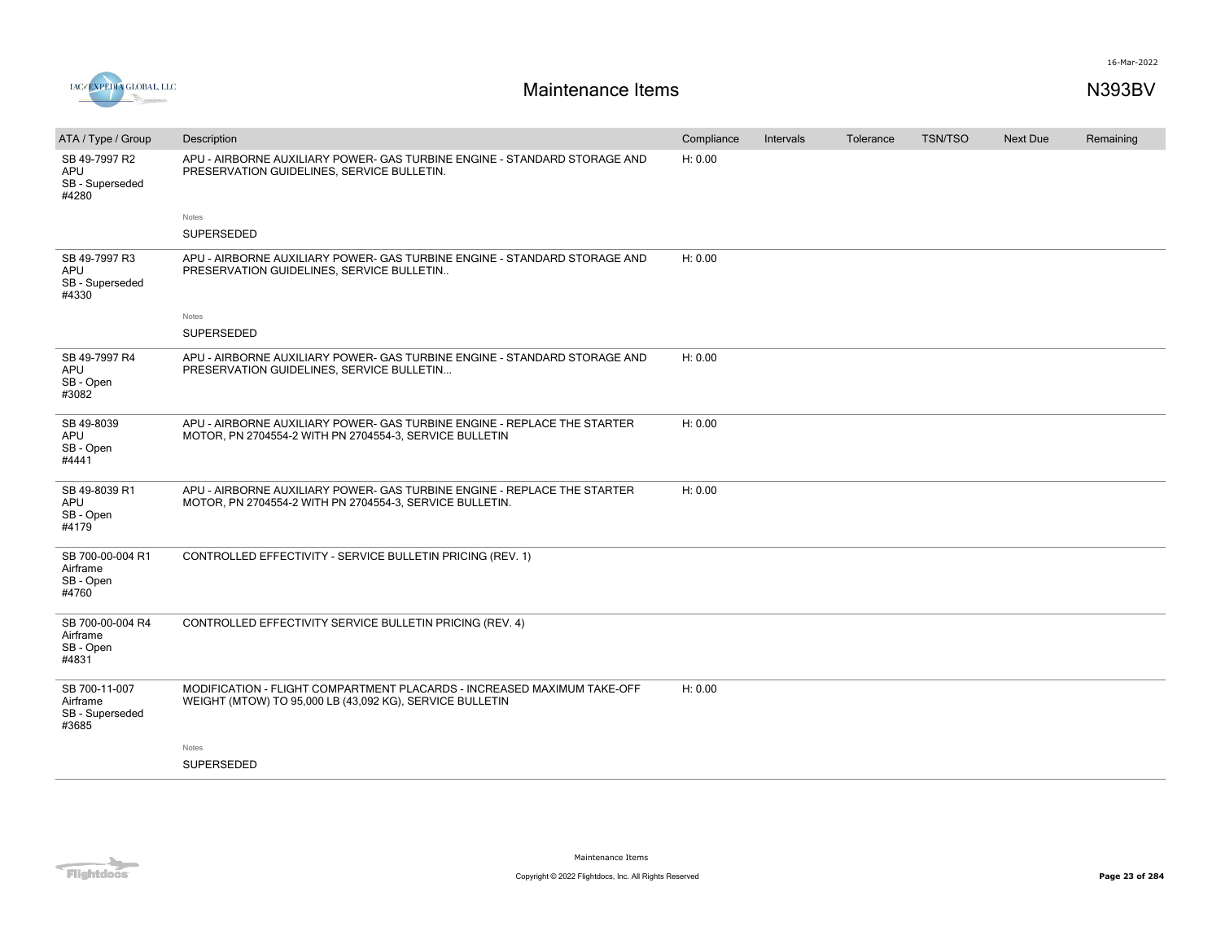



| ATA / Type / Group                                      | Description                                                                                                                          | Compliance | Intervals | Tolerance | <b>TSN/TSO</b> | <b>Next Due</b> | Remaining |
|---------------------------------------------------------|--------------------------------------------------------------------------------------------------------------------------------------|------------|-----------|-----------|----------------|-----------------|-----------|
| SB 49-7997 R2<br><b>APU</b><br>SB - Superseded<br>#4280 | APU - AIRBORNE AUXILIARY POWER- GAS TURBINE ENGINE - STANDARD STORAGE AND<br>PRESERVATION GUIDELINES, SERVICE BULLETIN.              | H: 0.00    |           |           |                |                 |           |
|                                                         | Notes                                                                                                                                |            |           |           |                |                 |           |
|                                                         | <b>SUPERSEDED</b>                                                                                                                    |            |           |           |                |                 |           |
| SB 49-7997 R3<br>APU<br>SB - Superseded<br>#4330        | APU - AIRBORNE AUXILIARY POWER- GAS TURBINE ENGINE - STANDARD STORAGE AND<br>PRESERVATION GUIDELINES, SERVICE BULLETIN               | H: 0.00    |           |           |                |                 |           |
|                                                         | Notes                                                                                                                                |            |           |           |                |                 |           |
|                                                         | SUPERSEDED                                                                                                                           |            |           |           |                |                 |           |
| SB 49-7997 R4<br>APU<br>SB - Open<br>#3082              | APU - AIRBORNE AUXILIARY POWER- GAS TURBINE ENGINE - STANDARD STORAGE AND<br>PRESERVATION GUIDELINES, SERVICE BULLETIN               | H: 0.00    |           |           |                |                 |           |
| SB 49-8039<br>APU<br>SB - Open<br>#4441                 | APU - AIRBORNE AUXILIARY POWER- GAS TURBINE ENGINE - REPLACE THE STARTER<br>MOTOR, PN 2704554-2 WITH PN 2704554-3, SERVICE BULLETIN  | H: 0.00    |           |           |                |                 |           |
| SB 49-8039 R1<br><b>APU</b><br>SB - Open<br>#4179       | APU - AIRBORNE AUXILIARY POWER- GAS TURBINE ENGINE - REPLACE THE STARTER<br>MOTOR, PN 2704554-2 WITH PN 2704554-3, SERVICE BULLETIN. | H: 0.00    |           |           |                |                 |           |
| SB 700-00-004 R1<br>Airframe<br>SB - Open<br>#4760      | CONTROLLED EFFECTIVITY - SERVICE BULLETIN PRICING (REV. 1)                                                                           |            |           |           |                |                 |           |
| SB 700-00-004 R4<br>Airframe<br>SB - Open<br>#4831      | CONTROLLED EFFECTIVITY SERVICE BULLETIN PRICING (REV. 4)                                                                             |            |           |           |                |                 |           |
| SB 700-11-007<br>Airframe<br>SB - Superseded<br>#3685   | MODIFICATION - FLIGHT COMPARTMENT PLACARDS - INCREASED MAXIMUM TAKE-OFF<br>WEIGHT (MTOW) TO 95,000 LB (43,092 KG), SERVICE BULLETIN  | H: 0.00    |           |           |                |                 |           |
|                                                         | Notes                                                                                                                                |            |           |           |                |                 |           |
|                                                         | SUPERSEDED                                                                                                                           |            |           |           |                |                 |           |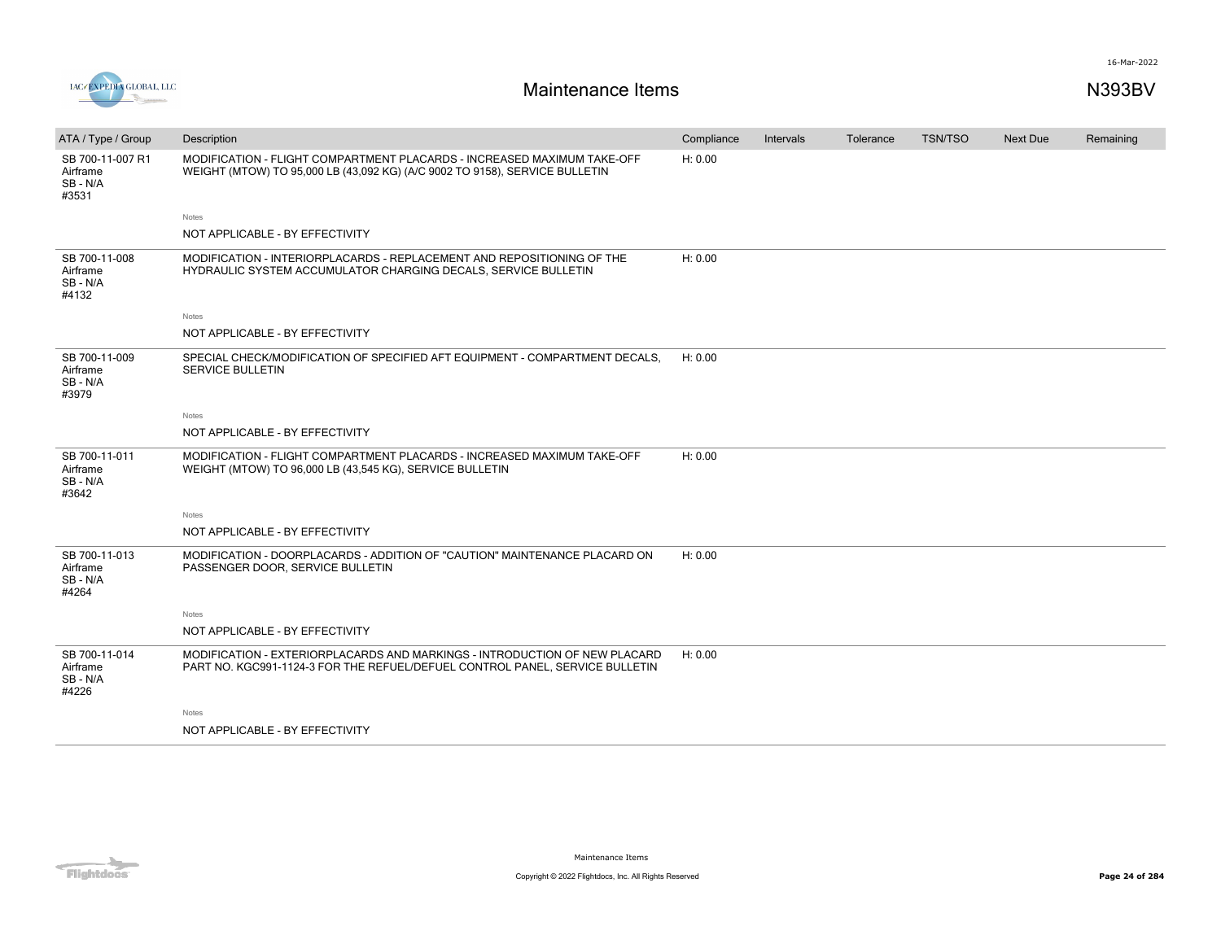

| ATA / Type / Group                              | Description                                                                                                                                                | Compliance | Intervals | Tolerance | <b>TSN/TSO</b> | Next Due | Remaining |
|-------------------------------------------------|------------------------------------------------------------------------------------------------------------------------------------------------------------|------------|-----------|-----------|----------------|----------|-----------|
| SB 700-11-007 R1<br>Airframe<br>SB-N/A<br>#3531 | MODIFICATION - FLIGHT COMPARTMENT PLACARDS - INCREASED MAXIMUM TAKE-OFF<br>WEIGHT (MTOW) TO 95,000 LB (43,092 KG) (A/C 9002 TO 9158), SERVICE BULLETIN     | H: 0.00    |           |           |                |          |           |
|                                                 | Notes                                                                                                                                                      |            |           |           |                |          |           |
|                                                 | NOT APPLICABLE - BY EFFECTIVITY                                                                                                                            |            |           |           |                |          |           |
| SB 700-11-008<br>Airframe<br>SB - N/A<br>#4132  | MODIFICATION - INTERIORPLACARDS - REPLACEMENT AND REPOSITIONING OF THE<br>HYDRAULIC SYSTEM ACCUMULATOR CHARGING DECALS, SERVICE BULLETIN                   | H: 0.00    |           |           |                |          |           |
|                                                 | Notes                                                                                                                                                      |            |           |           |                |          |           |
|                                                 | NOT APPLICABLE - BY EFFECTIVITY                                                                                                                            |            |           |           |                |          |           |
| SB 700-11-009<br>Airframe<br>SB-N/A<br>#3979    | SPECIAL CHECK/MODIFICATION OF SPECIFIED AFT EQUIPMENT - COMPARTMENT DECALS.<br>SERVICE BULLETIN                                                            | H: 0.00    |           |           |                |          |           |
|                                                 | <b>Notes</b>                                                                                                                                               |            |           |           |                |          |           |
|                                                 | NOT APPLICABLE - BY EFFECTIVITY                                                                                                                            |            |           |           |                |          |           |
| SB 700-11-011<br>Airframe<br>SB-N/A<br>#3642    | MODIFICATION - FLIGHT COMPARTMENT PLACARDS - INCREASED MAXIMUM TAKE-OFF<br>WEIGHT (MTOW) TO 96,000 LB (43,545 KG), SERVICE BULLETIN                        | H: 0.00    |           |           |                |          |           |
|                                                 | Notes                                                                                                                                                      |            |           |           |                |          |           |
|                                                 | NOT APPLICABLE - BY EFFECTIVITY                                                                                                                            |            |           |           |                |          |           |
| SB 700-11-013<br>Airframe<br>SB-N/A<br>#4264    | MODIFICATION - DOORPLACARDS - ADDITION OF "CAUTION" MAINTENANCE PLACARD ON<br>PASSENGER DOOR, SERVICE BULLETIN                                             | H: 0.00    |           |           |                |          |           |
|                                                 | Notes                                                                                                                                                      |            |           |           |                |          |           |
|                                                 | NOT APPLICABLE - BY EFFECTIVITY                                                                                                                            |            |           |           |                |          |           |
| SB 700-11-014<br>Airframe<br>SB-N/A<br>#4226    | MODIFICATION - EXTERIORPLACARDS AND MARKINGS - INTRODUCTION OF NEW PLACARD<br>PART NO. KGC991-1124-3 FOR THE REFUEL/DEFUEL CONTROL PANEL, SERVICE BULLETIN | H: 0.00    |           |           |                |          |           |
|                                                 | Notes                                                                                                                                                      |            |           |           |                |          |           |
|                                                 | NOT APPLICABLE - BY EFFECTIVITY                                                                                                                            |            |           |           |                |          |           |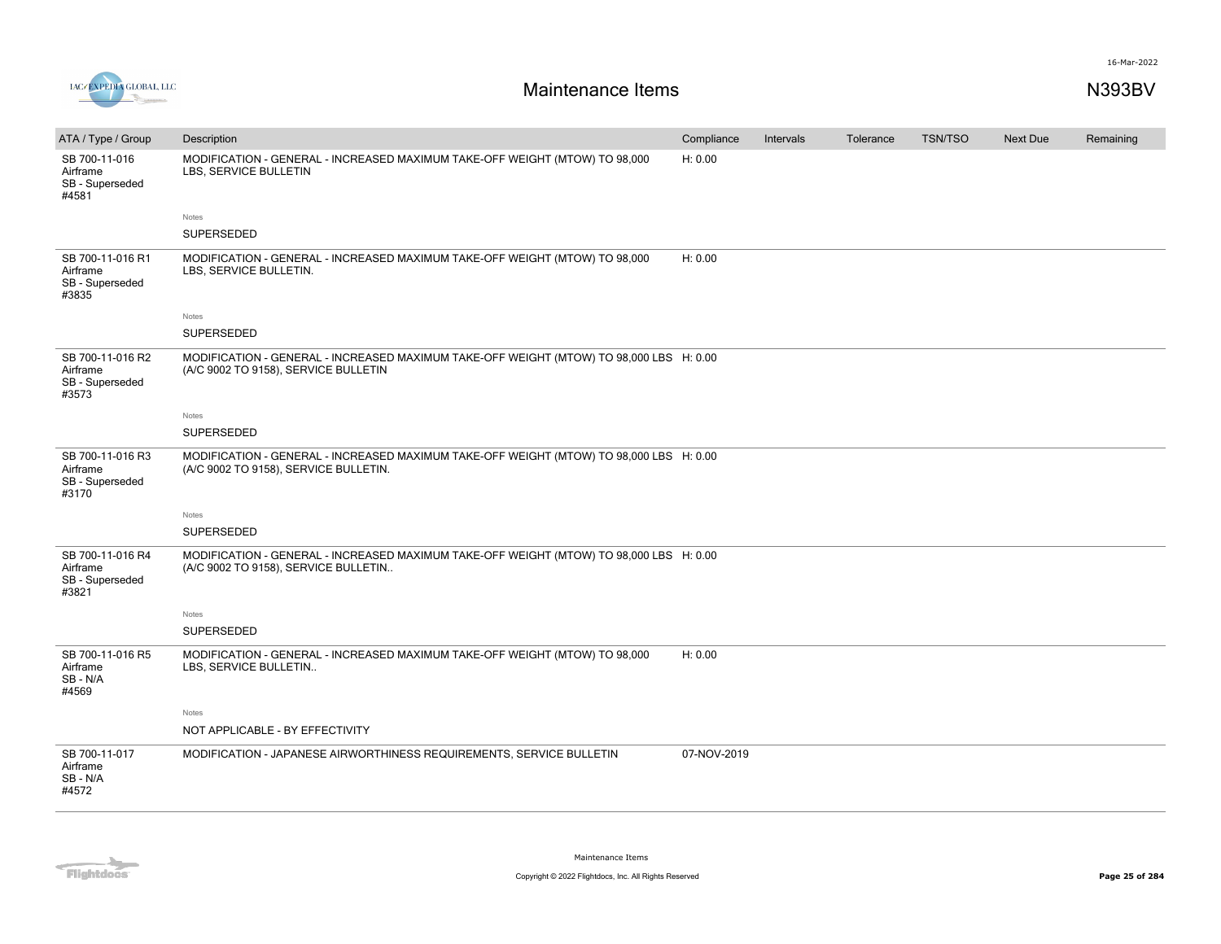

| ATA / Type / Group                                       | Description                                                                                                                      | Compliance  | Intervals | Tolerance | <b>TSN/TSO</b> | <b>Next Due</b> | Remaining |
|----------------------------------------------------------|----------------------------------------------------------------------------------------------------------------------------------|-------------|-----------|-----------|----------------|-----------------|-----------|
| SB 700-11-016<br>Airframe<br>SB - Superseded<br>#4581    | MODIFICATION - GENERAL - INCREASED MAXIMUM TAKE-OFF WEIGHT (MTOW) TO 98,000<br>LBS, SERVICE BULLETIN                             | H: 0.00     |           |           |                |                 |           |
|                                                          | Notes                                                                                                                            |             |           |           |                |                 |           |
|                                                          | SUPERSEDED                                                                                                                       |             |           |           |                |                 |           |
| SB 700-11-016 R1<br>Airframe<br>SB - Superseded<br>#3835 | MODIFICATION - GENERAL - INCREASED MAXIMUM TAKE-OFF WEIGHT (MTOW) TO 98,000<br>LBS, SERVICE BULLETIN.                            | H: 0.00     |           |           |                |                 |           |
|                                                          | Notes                                                                                                                            |             |           |           |                |                 |           |
|                                                          | SUPERSEDED                                                                                                                       |             |           |           |                |                 |           |
| SB 700-11-016 R2<br>Airframe<br>SB - Superseded<br>#3573 | MODIFICATION - GENERAL - INCREASED MAXIMUM TAKE-OFF WEIGHT (MTOW) TO 98,000 LBS H: 0.00<br>(A/C 9002 TO 9158), SERVICE BULLETIN  |             |           |           |                |                 |           |
|                                                          | Notes                                                                                                                            |             |           |           |                |                 |           |
|                                                          | SUPERSEDED                                                                                                                       |             |           |           |                |                 |           |
| SB 700-11-016 R3<br>Airframe<br>SB - Superseded<br>#3170 | MODIFICATION - GENERAL - INCREASED MAXIMUM TAKE-OFF WEIGHT (MTOW) TO 98,000 LBS H: 0.00<br>(A/C 9002 TO 9158), SERVICE BULLETIN. |             |           |           |                |                 |           |
|                                                          | Notes                                                                                                                            |             |           |           |                |                 |           |
|                                                          | SUPERSEDED                                                                                                                       |             |           |           |                |                 |           |
| SB 700-11-016 R4<br>Airframe<br>SB - Superseded<br>#3821 | MODIFICATION - GENERAL - INCREASED MAXIMUM TAKE-OFF WEIGHT (MTOW) TO 98,000 LBS H: 0.00<br>(A/C 9002 TO 9158), SERVICE BULLETIN  |             |           |           |                |                 |           |
|                                                          | Notes                                                                                                                            |             |           |           |                |                 |           |
|                                                          | SUPERSEDED                                                                                                                       |             |           |           |                |                 |           |
| SB 700-11-016 R5<br>Airframe<br>SB-N/A<br>#4569          | MODIFICATION - GENERAL - INCREASED MAXIMUM TAKE-OFF WEIGHT (MTOW) TO 98,000<br>LBS, SERVICE BULLETIN                             | H: 0.00     |           |           |                |                 |           |
|                                                          | Notes                                                                                                                            |             |           |           |                |                 |           |
|                                                          | NOT APPLICABLE - BY EFFECTIVITY                                                                                                  |             |           |           |                |                 |           |
| SB 700-11-017<br>Airframe<br>SB-N/A<br>#4572             | MODIFICATION - JAPANESE AIRWORTHINESS REQUIREMENTS, SERVICE BULLETIN                                                             | 07-NOV-2019 |           |           |                |                 |           |

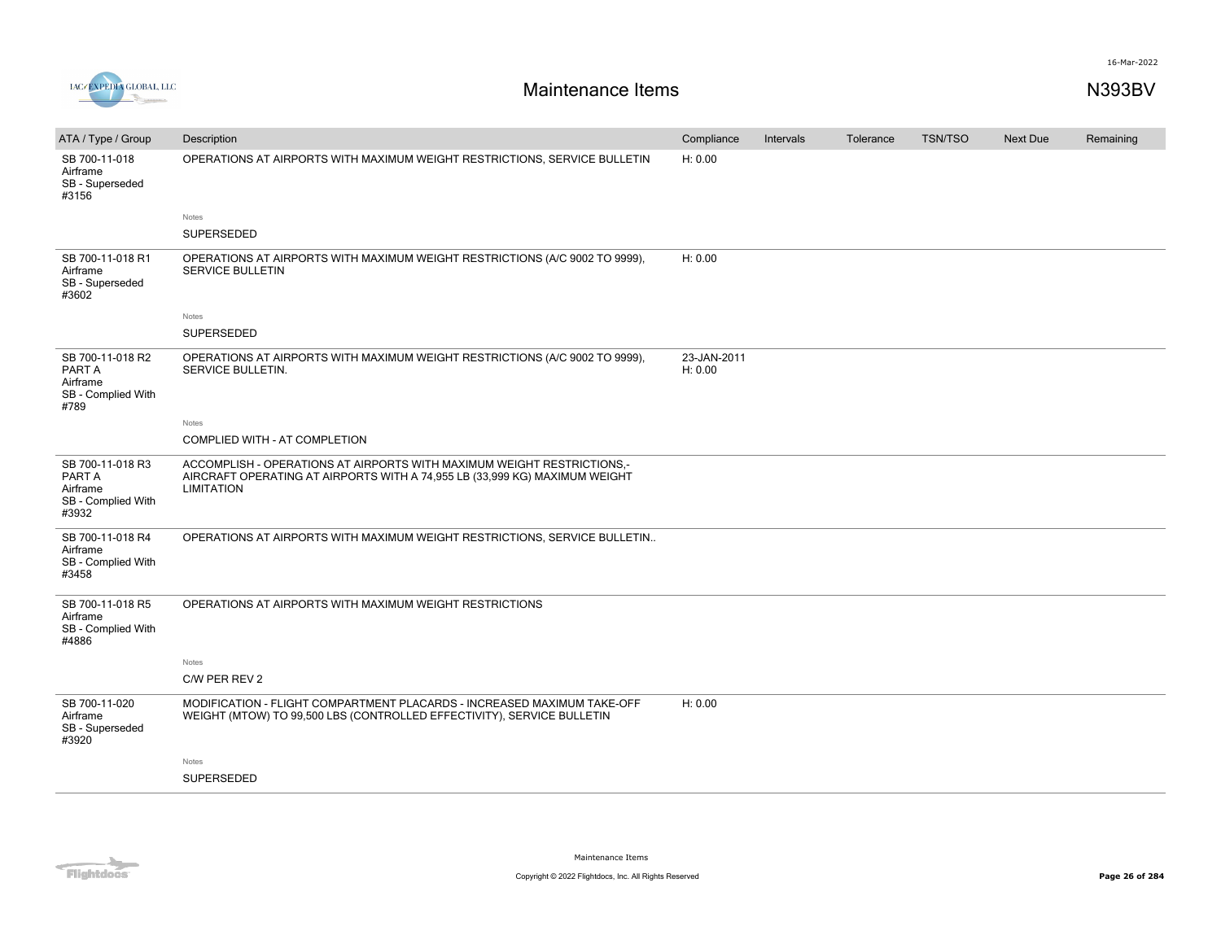

| ATA / Type / Group                                                    | Description                                                                                                                                                               | Compliance             | Intervals | Tolerance | <b>TSN/TSO</b> | <b>Next Due</b> | Remaining |
|-----------------------------------------------------------------------|---------------------------------------------------------------------------------------------------------------------------------------------------------------------------|------------------------|-----------|-----------|----------------|-----------------|-----------|
| SB 700-11-018<br>Airframe<br>SB - Superseded<br>#3156                 | OPERATIONS AT AIRPORTS WITH MAXIMUM WEIGHT RESTRICTIONS, SERVICE BULLETIN                                                                                                 | H: 0.00                |           |           |                |                 |           |
|                                                                       | Notes                                                                                                                                                                     |                        |           |           |                |                 |           |
|                                                                       | <b>SUPERSEDED</b>                                                                                                                                                         |                        |           |           |                |                 |           |
| SB 700-11-018 R1<br>Airframe<br>SB - Superseded<br>#3602              | OPERATIONS AT AIRPORTS WITH MAXIMUM WEIGHT RESTRICTIONS (A/C 9002 TO 9999),<br><b>SERVICE BULLETIN</b>                                                                    | H: 0.00                |           |           |                |                 |           |
|                                                                       | Notes                                                                                                                                                                     |                        |           |           |                |                 |           |
|                                                                       | SUPERSEDED                                                                                                                                                                |                        |           |           |                |                 |           |
| SB 700-11-018 R2<br>PART A<br>Airframe<br>SB - Complied With<br>#789  | OPERATIONS AT AIRPORTS WITH MAXIMUM WEIGHT RESTRICTIONS (A/C 9002 TO 9999),<br>SERVICE BULLETIN.                                                                          | 23-JAN-2011<br>H: 0.00 |           |           |                |                 |           |
|                                                                       | Notes                                                                                                                                                                     |                        |           |           |                |                 |           |
|                                                                       | COMPLIED WITH - AT COMPLETION                                                                                                                                             |                        |           |           |                |                 |           |
| SB 700-11-018 R3<br>PART A<br>Airframe<br>SB - Complied With<br>#3932 | ACCOMPLISH - OPERATIONS AT AIRPORTS WITH MAXIMUM WEIGHT RESTRICTIONS.-<br>AIRCRAFT OPERATING AT AIRPORTS WITH A 74,955 LB (33,999 KG) MAXIMUM WEIGHT<br><b>LIMITATION</b> |                        |           |           |                |                 |           |
| SB 700-11-018 R4<br>Airframe<br>SB - Complied With<br>#3458           | OPERATIONS AT AIRPORTS WITH MAXIMUM WEIGHT RESTRICTIONS, SERVICE BULLETIN                                                                                                 |                        |           |           |                |                 |           |
| SB 700-11-018 R5<br>Airframe<br>SB - Complied With<br>#4886           | OPERATIONS AT AIRPORTS WITH MAXIMUM WEIGHT RESTRICTIONS                                                                                                                   |                        |           |           |                |                 |           |
|                                                                       | Notes                                                                                                                                                                     |                        |           |           |                |                 |           |
|                                                                       | C/W PER REV 2                                                                                                                                                             |                        |           |           |                |                 |           |
| SB 700-11-020<br>Airframe<br>SB - Superseded<br>#3920                 | MODIFICATION - FLIGHT COMPARTMENT PLACARDS - INCREASED MAXIMUM TAKE-OFF<br>WEIGHT (MTOW) TO 99,500 LBS (CONTROLLED EFFECTIVITY), SERVICE BULLETIN                         | H: 0.00                |           |           |                |                 |           |
|                                                                       | Notes                                                                                                                                                                     |                        |           |           |                |                 |           |
|                                                                       | <b>SUPERSEDED</b>                                                                                                                                                         |                        |           |           |                |                 |           |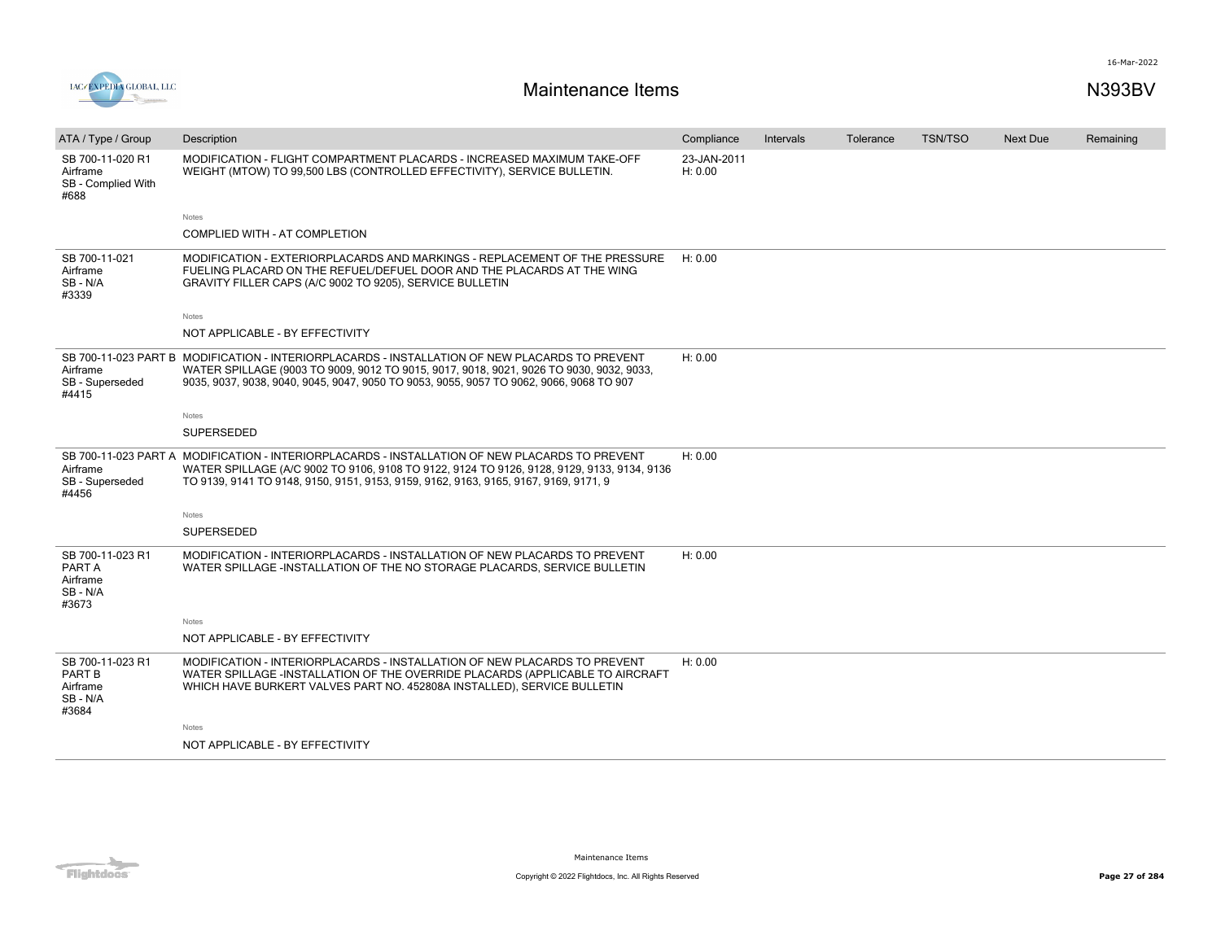



| ATA / Type / Group                                               | Description                                                                                                                                                                                                                                                                          | Compliance             | Intervals | Tolerance | <b>TSN/TSO</b> | <b>Next Due</b> | Remaining |
|------------------------------------------------------------------|--------------------------------------------------------------------------------------------------------------------------------------------------------------------------------------------------------------------------------------------------------------------------------------|------------------------|-----------|-----------|----------------|-----------------|-----------|
| SB 700-11-020 R1<br>Airframe<br>SB - Complied With<br>#688       | MODIFICATION - FLIGHT COMPARTMENT PLACARDS - INCREASED MAXIMUM TAKE-OFF<br>WEIGHT (MTOW) TO 99,500 LBS (CONTROLLED EFFECTIVITY), SERVICE BULLETIN.                                                                                                                                   | 23-JAN-2011<br>H: 0.00 |           |           |                |                 |           |
|                                                                  | Notes                                                                                                                                                                                                                                                                                |                        |           |           |                |                 |           |
|                                                                  | COMPLIED WITH - AT COMPLETION                                                                                                                                                                                                                                                        |                        |           |           |                |                 |           |
| SB 700-11-021<br>Airframe<br>SB-N/A<br>#3339                     | MODIFICATION - EXTERIORPLACARDS AND MARKINGS - REPLACEMENT OF THE PRESSURE<br>FUELING PLACARD ON THE REFUEL/DEFUEL DOOR AND THE PLACARDS AT THE WING<br>GRAVITY FILLER CAPS (A/C 9002 TO 9205), SERVICE BULLETIN                                                                     | H: 0.00                |           |           |                |                 |           |
|                                                                  | Notes                                                                                                                                                                                                                                                                                |                        |           |           |                |                 |           |
|                                                                  | NOT APPLICABLE - BY EFFECTIVITY                                                                                                                                                                                                                                                      |                        |           |           |                |                 |           |
| Airframe<br>SB - Superseded<br>#4415                             | SB 700-11-023 PART B MODIFICATION - INTERIORPLACARDS - INSTALLATION OF NEW PLACARDS TO PREVENT<br>WATER SPILLAGE (9003 TO 9009, 9012 TO 9015, 9017, 9018, 9021, 9026 TO 9030, 9032, 9033,<br>9035, 9037, 9038, 9040, 9045, 9047, 9050 TO 9053, 9055, 9057 TO 9062, 9066, 9068 TO 907 | H: 0.00                |           |           |                |                 |           |
|                                                                  | Notes                                                                                                                                                                                                                                                                                |                        |           |           |                |                 |           |
|                                                                  | <b>SUPERSEDED</b>                                                                                                                                                                                                                                                                    |                        |           |           |                |                 |           |
| Airframe<br>SB - Superseded<br>#4456                             | SB 700-11-023 PART A MODIFICATION - INTERIORPLACARDS - INSTALLATION OF NEW PLACARDS TO PREVENT<br>WATER SPILLAGE (A/C 9002 TO 9106, 9108 TO 9122, 9124 TO 9126, 9128, 9129, 9133, 9134, 9136<br>TO 9139, 9141 TO 9148, 9150, 9151, 9153, 9159, 9162, 9163, 9165, 9167, 9169, 9171, 9 | H: 0.00                |           |           |                |                 |           |
|                                                                  | Notes                                                                                                                                                                                                                                                                                |                        |           |           |                |                 |           |
|                                                                  | <b>SUPERSEDED</b>                                                                                                                                                                                                                                                                    |                        |           |           |                |                 |           |
| SB 700-11-023 R1<br>PART A<br>Airframe<br>SB-N/A<br>#3673        | MODIFICATION - INTERIORPLACARDS - INSTALLATION OF NEW PLACARDS TO PREVENT<br>WATER SPILLAGE -INSTALLATION OF THE NO STORAGE PLACARDS, SERVICE BULLETIN                                                                                                                               | H: 0.00                |           |           |                |                 |           |
|                                                                  | Notes                                                                                                                                                                                                                                                                                |                        |           |           |                |                 |           |
|                                                                  | NOT APPLICABLE - BY EFFECTIVITY                                                                                                                                                                                                                                                      |                        |           |           |                |                 |           |
| SB 700-11-023 R1<br><b>PART B</b><br>Airframe<br>SB-N/A<br>#3684 | MODIFICATION - INTERIORPLACARDS - INSTALLATION OF NEW PLACARDS TO PREVENT<br>WATER SPILLAGE -INSTALLATION OF THE OVERRIDE PLACARDS (APPLICABLE TO AIRCRAFT<br>WHICH HAVE BURKERT VALVES PART NO. 452808A INSTALLED), SERVICE BULLETIN                                                | H: 0.00                |           |           |                |                 |           |
|                                                                  | Notes                                                                                                                                                                                                                                                                                |                        |           |           |                |                 |           |
|                                                                  | NOT APPLICABLE - BY EFFECTIVITY                                                                                                                                                                                                                                                      |                        |           |           |                |                 |           |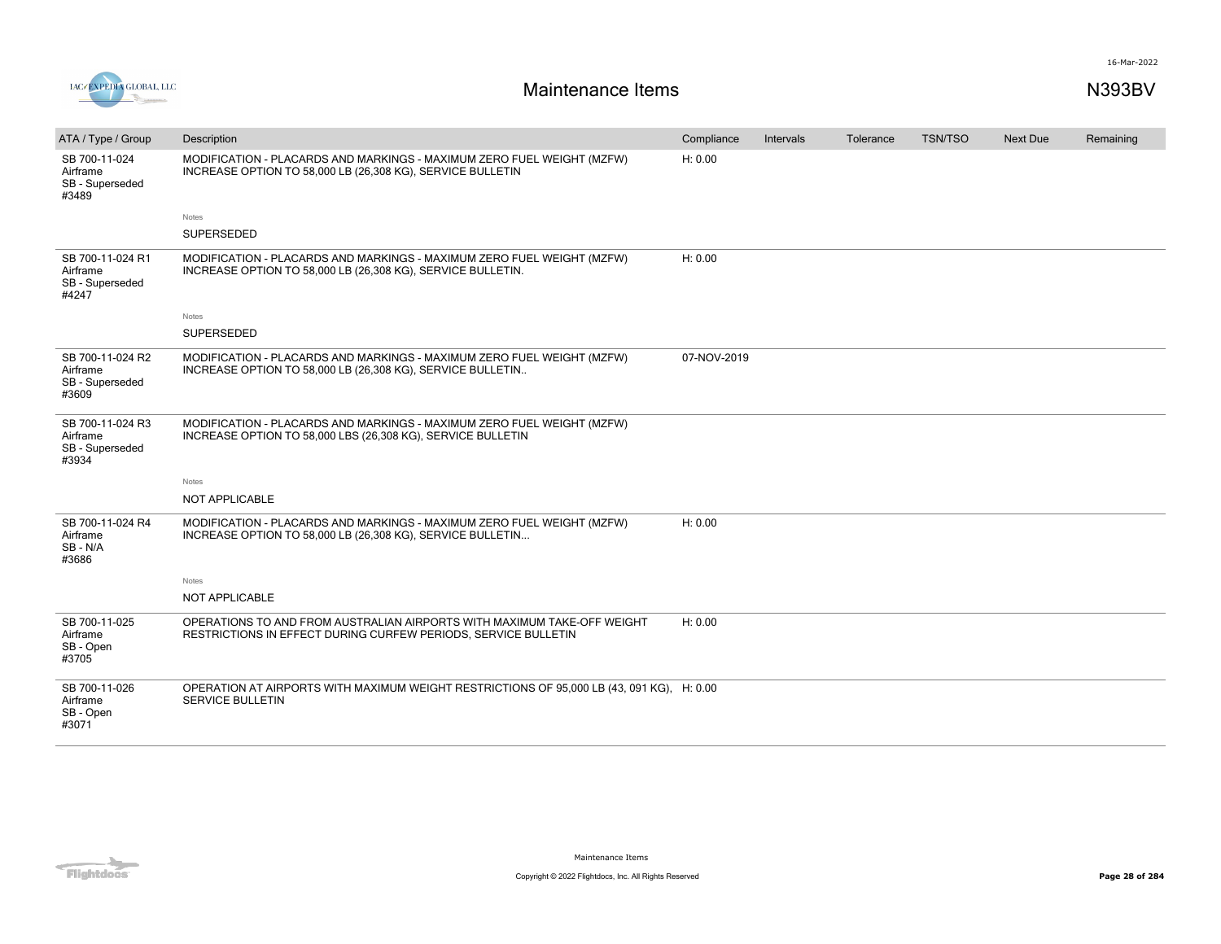



| ATA / Type / Group                                       | Description                                                                                                                               | Compliance  | Intervals | Tolerance | <b>TSN/TSO</b> | Next Due | Remaining |
|----------------------------------------------------------|-------------------------------------------------------------------------------------------------------------------------------------------|-------------|-----------|-----------|----------------|----------|-----------|
| SB 700-11-024<br>Airframe<br>SB - Superseded<br>#3489    | MODIFICATION - PLACARDS AND MARKINGS - MAXIMUM ZERO FUEL WEIGHT (MZFW)<br>INCREASE OPTION TO 58,000 LB (26,308 KG), SERVICE BULLETIN      | H: 0.00     |           |           |                |          |           |
|                                                          | Notes                                                                                                                                     |             |           |           |                |          |           |
|                                                          | <b>SUPERSEDED</b>                                                                                                                         |             |           |           |                |          |           |
| SB 700-11-024 R1<br>Airframe<br>SB - Superseded<br>#4247 | MODIFICATION - PLACARDS AND MARKINGS - MAXIMUM ZERO FUEL WEIGHT (MZFW)<br>INCREASE OPTION TO 58,000 LB (26,308 KG), SERVICE BULLETIN.     | H: 0.00     |           |           |                |          |           |
|                                                          | Notes                                                                                                                                     |             |           |           |                |          |           |
|                                                          | SUPERSEDED                                                                                                                                |             |           |           |                |          |           |
| SB 700-11-024 R2<br>Airframe<br>SB - Superseded<br>#3609 | MODIFICATION - PLACARDS AND MARKINGS - MAXIMUM ZERO FUEL WEIGHT (MZFW)<br>INCREASE OPTION TO 58,000 LB (26,308 KG), SERVICE BULLETIN      | 07-NOV-2019 |           |           |                |          |           |
| SB 700-11-024 R3<br>Airframe<br>SB - Superseded<br>#3934 | MODIFICATION - PLACARDS AND MARKINGS - MAXIMUM ZERO FUEL WEIGHT (MZFW)<br>INCREASE OPTION TO 58,000 LBS (26,308 KG), SERVICE BULLETIN     |             |           |           |                |          |           |
|                                                          | Notes                                                                                                                                     |             |           |           |                |          |           |
|                                                          | NOT APPLICABLE                                                                                                                            |             |           |           |                |          |           |
| SB 700-11-024 R4<br>Airframe<br>SB-N/A<br>#3686          | MODIFICATION - PLACARDS AND MARKINGS - MAXIMUM ZERO FUEL WEIGHT (MZFW)<br>INCREASE OPTION TO 58,000 LB (26,308 KG), SERVICE BULLETIN      | H: 0.00     |           |           |                |          |           |
|                                                          | Notes                                                                                                                                     |             |           |           |                |          |           |
|                                                          | NOT APPLICABLE                                                                                                                            |             |           |           |                |          |           |
| SB 700-11-025<br>Airframe<br>SB - Open<br>#3705          | OPERATIONS TO AND FROM AUSTRALIAN AIRPORTS WITH MAXIMUM TAKE-OFF WEIGHT<br>RESTRICTIONS IN EFFECT DURING CURFEW PERIODS, SERVICE BULLETIN | H: 0.00     |           |           |                |          |           |
| SB 700-11-026<br>Airframe<br>SB - Open<br>#3071          | OPERATION AT AIRPORTS WITH MAXIMUM WEIGHT RESTRICTIONS OF 95,000 LB (43, 091 KG), H: 0.00<br><b>SERVICE BULLETIN</b>                      |             |           |           |                |          |           |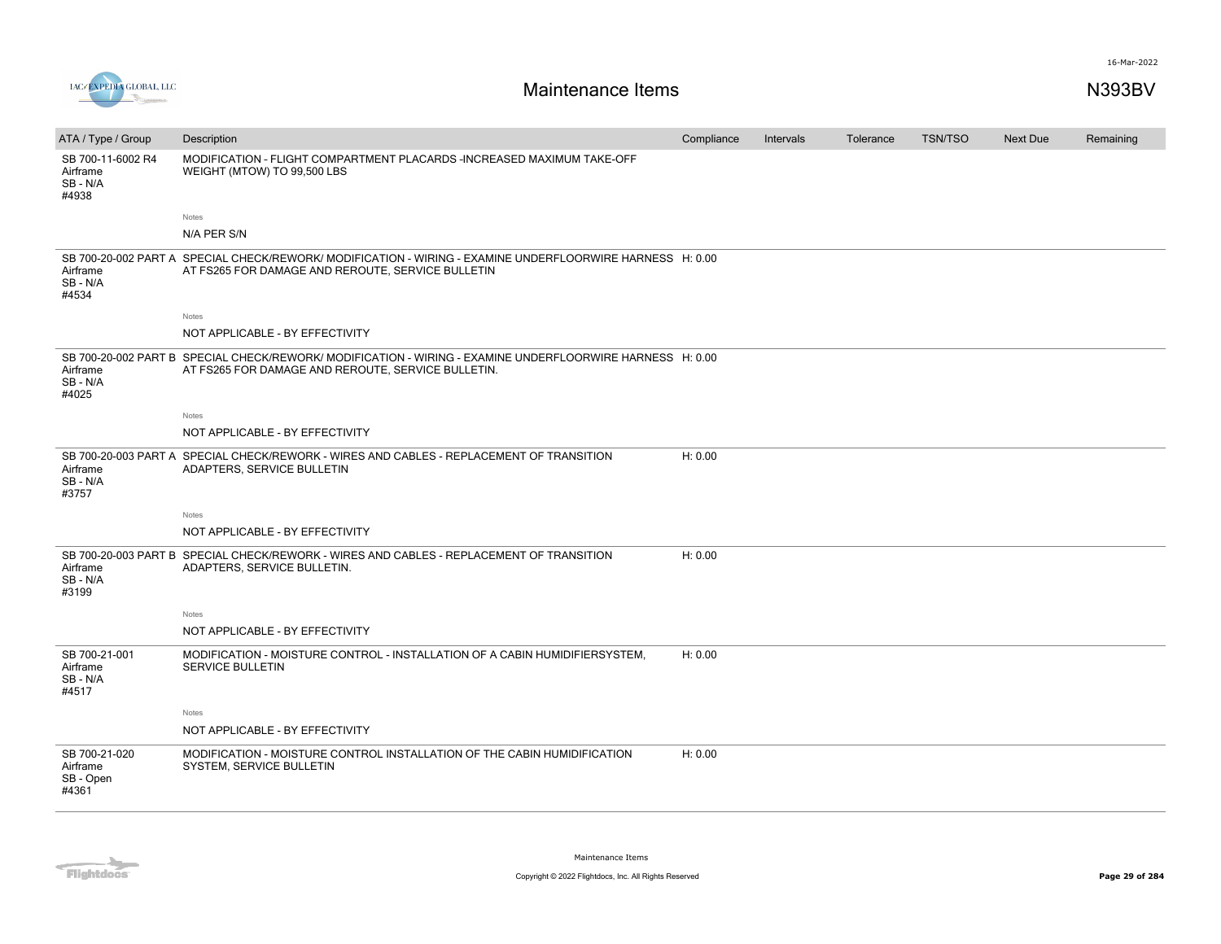

| ATA / Type / Group                               | Description                                                                                                                                                     | Compliance | Intervals | Tolerance | <b>TSN/TSO</b> | <b>Next Due</b> | Remaining |
|--------------------------------------------------|-----------------------------------------------------------------------------------------------------------------------------------------------------------------|------------|-----------|-----------|----------------|-----------------|-----------|
| SB 700-11-6002 R4<br>Airframe<br>SB-N/A<br>#4938 | MODIFICATION - FLIGHT COMPARTMENT PLACARDS -INCREASED MAXIMUM TAKE-OFF<br>WEIGHT (MTOW) TO 99,500 LBS                                                           |            |           |           |                |                 |           |
|                                                  | Notes                                                                                                                                                           |            |           |           |                |                 |           |
|                                                  | N/A PER S/N                                                                                                                                                     |            |           |           |                |                 |           |
| Airframe<br>SB-N/A<br>#4534                      | SB 700-20-002 PART A SPECIAL CHECK/REWORK/ MODIFICATION - WIRING - EXAMINE UNDERFLOORWIRE HARNESS H: 0.00<br>AT FS265 FOR DAMAGE AND REROUTE, SERVICE BULLETIN  |            |           |           |                |                 |           |
|                                                  | Notes                                                                                                                                                           |            |           |           |                |                 |           |
|                                                  | NOT APPLICABLE - BY EFFECTIVITY                                                                                                                                 |            |           |           |                |                 |           |
| Airframe<br>SB-N/A<br>#4025                      | SB 700-20-002 PART B SPECIAL CHECK/REWORK/ MODIFICATION - WIRING - EXAMINE UNDERFLOORWIRE HARNESS H: 0.00<br>AT FS265 FOR DAMAGE AND REROUTE, SERVICE BULLETIN. |            |           |           |                |                 |           |
|                                                  | Notes                                                                                                                                                           |            |           |           |                |                 |           |
|                                                  | NOT APPLICABLE - BY EFFECTIVITY                                                                                                                                 |            |           |           |                |                 |           |
| Airframe<br>SB-N/A<br>#3757                      | SB 700-20-003 PART A SPECIAL CHECK/REWORK - WIRES AND CABLES - REPLACEMENT OF TRANSITION<br>ADAPTERS, SERVICE BULLETIN                                          | H: 0.00    |           |           |                |                 |           |
|                                                  | Notes                                                                                                                                                           |            |           |           |                |                 |           |
|                                                  | NOT APPLICABLE - BY EFFECTIVITY                                                                                                                                 |            |           |           |                |                 |           |
| Airframe<br>SB-N/A<br>#3199                      | SB 700-20-003 PART B SPECIAL CHECK/REWORK - WIRES AND CABLES - REPLACEMENT OF TRANSITION<br>ADAPTERS, SERVICE BULLETIN.                                         | H: 0.00    |           |           |                |                 |           |
|                                                  | Notes                                                                                                                                                           |            |           |           |                |                 |           |
|                                                  | NOT APPLICABLE - BY EFFECTIVITY                                                                                                                                 |            |           |           |                |                 |           |
| SB 700-21-001<br>Airframe<br>SB-N/A<br>#4517     | MODIFICATION - MOISTURE CONTROL - INSTALLATION OF A CABIN HUMIDIFIERSYSTEM,<br><b>SERVICE BULLETIN</b>                                                          | H: 0.00    |           |           |                |                 |           |
|                                                  | Notes                                                                                                                                                           |            |           |           |                |                 |           |
|                                                  | NOT APPLICABLE - BY EFFECTIVITY                                                                                                                                 |            |           |           |                |                 |           |
| SB 700-21-020<br>Airframe<br>SB - Open<br>#4361  | MODIFICATION - MOISTURE CONTROL INSTALLATION OF THE CABIN HUMIDIFICATION<br>SYSTEM, SERVICE BULLETIN                                                            | H: 0.00    |           |           |                |                 |           |

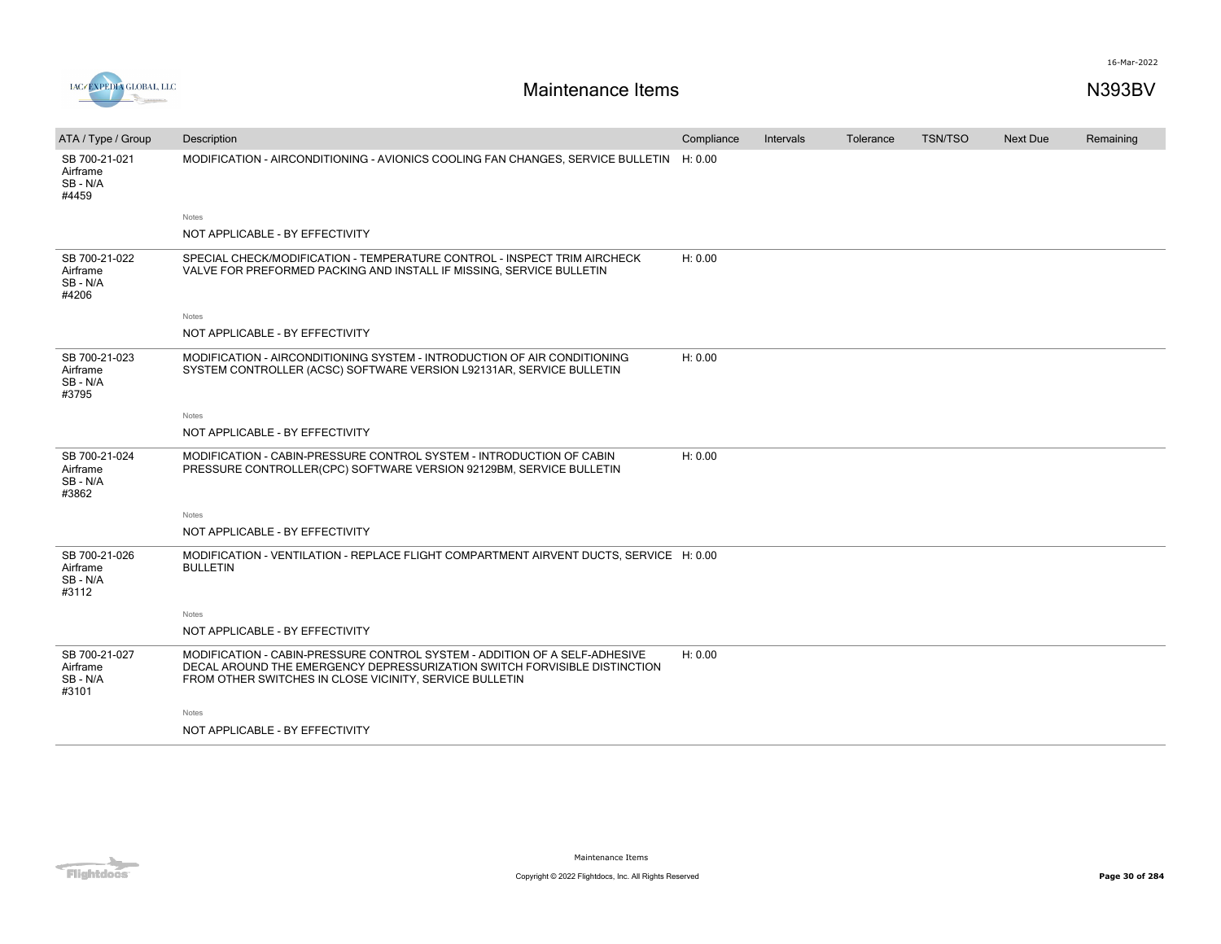



| ATA / Type / Group                             | Description                                                                                                                                                                                                        | Compliance | Intervals | Tolerance | <b>TSN/TSO</b> | <b>Next Due</b> | Remaining |
|------------------------------------------------|--------------------------------------------------------------------------------------------------------------------------------------------------------------------------------------------------------------------|------------|-----------|-----------|----------------|-----------------|-----------|
| SB 700-21-021<br>Airframe<br>SB - N/A<br>#4459 | MODIFICATION - AIRCONDITIONING - AVIONICS COOLING FAN CHANGES, SERVICE BULLETIN H: 0.00                                                                                                                            |            |           |           |                |                 |           |
|                                                | Notes                                                                                                                                                                                                              |            |           |           |                |                 |           |
|                                                | NOT APPLICABLE - BY EFFECTIVITY                                                                                                                                                                                    |            |           |           |                |                 |           |
| SB 700-21-022<br>Airframe<br>SB - N/A<br>#4206 | SPECIAL CHECK/MODIFICATION - TEMPERATURE CONTROL - INSPECT TRIM AIRCHECK<br>VALVE FOR PREFORMED PACKING AND INSTALL IF MISSING, SERVICE BULLETIN                                                                   | H: 0.00    |           |           |                |                 |           |
|                                                | <b>Notes</b>                                                                                                                                                                                                       |            |           |           |                |                 |           |
|                                                | NOT APPLICABLE - BY EFFECTIVITY                                                                                                                                                                                    |            |           |           |                |                 |           |
| SB 700-21-023<br>Airframe<br>SB - N/A<br>#3795 | MODIFICATION - AIRCONDITIONING SYSTEM - INTRODUCTION OF AIR CONDITIONING<br>SYSTEM CONTROLLER (ACSC) SOFTWARE VERSION L92131AR, SERVICE BULLETIN                                                                   | H: 0.00    |           |           |                |                 |           |
|                                                | Notes                                                                                                                                                                                                              |            |           |           |                |                 |           |
|                                                | NOT APPLICABLE - BY EFFECTIVITY                                                                                                                                                                                    |            |           |           |                |                 |           |
| SB 700-21-024<br>Airframe<br>SB - N/A<br>#3862 | MODIFICATION - CABIN-PRESSURE CONTROL SYSTEM - INTRODUCTION OF CABIN<br>PRESSURE CONTROLLER(CPC) SOFTWARE VERSION 92129BM, SERVICE BULLETIN                                                                        | H: 0.00    |           |           |                |                 |           |
|                                                | <b>Notes</b>                                                                                                                                                                                                       |            |           |           |                |                 |           |
|                                                | NOT APPLICABLE - BY EFFECTIVITY                                                                                                                                                                                    |            |           |           |                |                 |           |
| SB 700-21-026<br>Airframe<br>SB - N/A<br>#3112 | MODIFICATION - VENTILATION - REPLACE FLIGHT COMPARTMENT AIRVENT DUCTS, SERVICE H: 0.00<br><b>BULLETIN</b>                                                                                                          |            |           |           |                |                 |           |
|                                                | Notes                                                                                                                                                                                                              |            |           |           |                |                 |           |
|                                                | NOT APPLICABLE - BY EFFECTIVITY                                                                                                                                                                                    |            |           |           |                |                 |           |
| SB 700-21-027<br>Airframe<br>SB - N/A<br>#3101 | MODIFICATION - CABIN-PRESSURE CONTROL SYSTEM - ADDITION OF A SELF-ADHESIVE<br>DECAL AROUND THE EMERGENCY DEPRESSURIZATION SWITCH FORVISIBLE DISTINCTION<br>FROM OTHER SWITCHES IN CLOSE VICINITY, SERVICE BULLETIN | H: 0.00    |           |           |                |                 |           |
|                                                | <b>Notes</b>                                                                                                                                                                                                       |            |           |           |                |                 |           |
|                                                | NOT APPLICABLE - BY EFFECTIVITY                                                                                                                                                                                    |            |           |           |                |                 |           |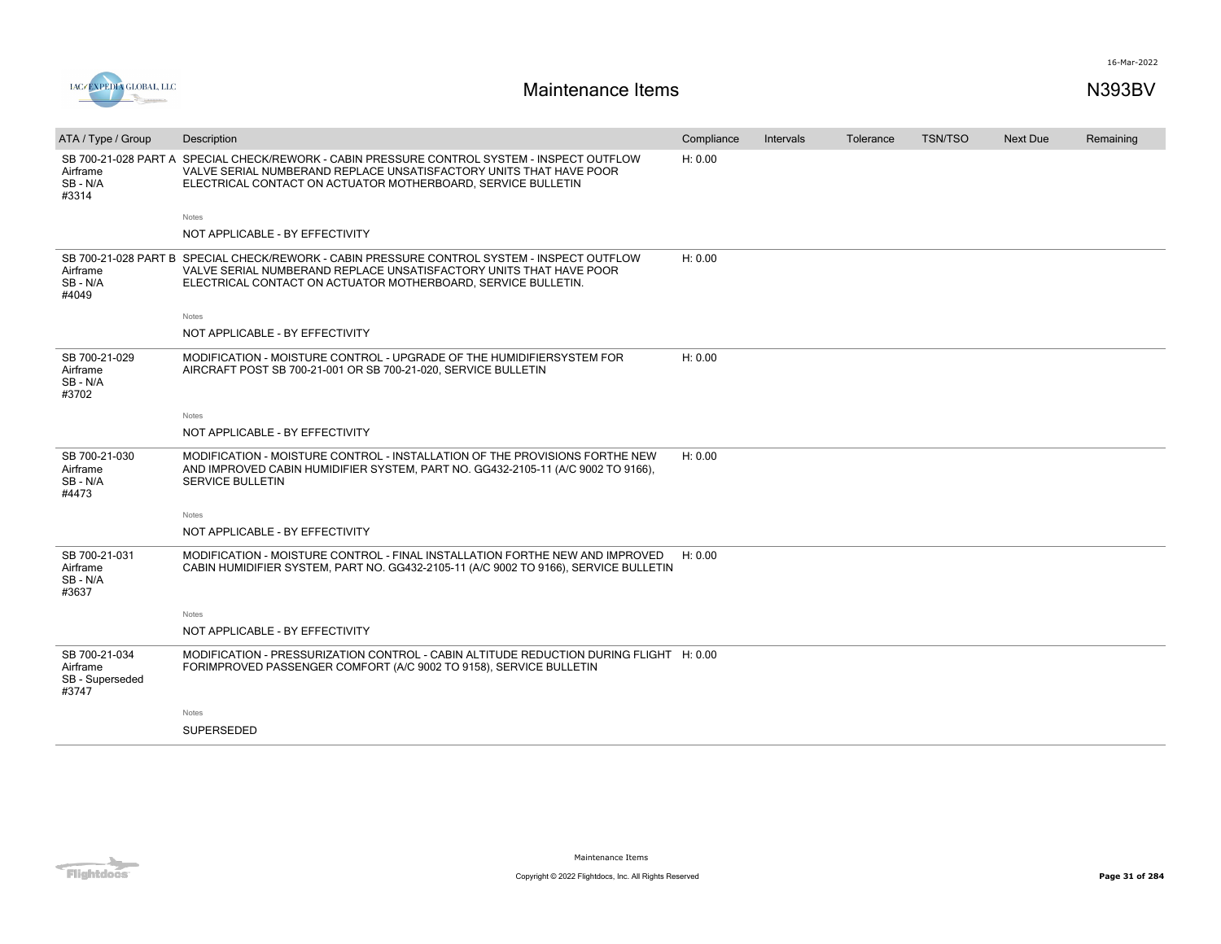

| ATA / Type / Group                                    | Description                                                                                                                                                                                                                        | Compliance | Intervals | Tolerance | <b>TSN/TSO</b> | <b>Next Due</b> | Remaining |
|-------------------------------------------------------|------------------------------------------------------------------------------------------------------------------------------------------------------------------------------------------------------------------------------------|------------|-----------|-----------|----------------|-----------------|-----------|
| Airframe<br>SB-N/A<br>#3314                           | SB 700-21-028 PART A SPECIAL CHECK/REWORK - CABIN PRESSURE CONTROL SYSTEM - INSPECT OUTFLOW<br>VALVE SERIAL NUMBERAND REPLACE UNSATISFACTORY UNITS THAT HAVE POOR<br>ELECTRICAL CONTACT ON ACTUATOR MOTHERBOARD, SERVICE BULLETIN  | H: 0.00    |           |           |                |                 |           |
|                                                       | Notes                                                                                                                                                                                                                              |            |           |           |                |                 |           |
|                                                       | NOT APPLICABLE - BY EFFECTIVITY                                                                                                                                                                                                    |            |           |           |                |                 |           |
| Airframe<br>SB-N/A<br>#4049                           | SB 700-21-028 PART B SPECIAL CHECK/REWORK - CABIN PRESSURE CONTROL SYSTEM - INSPECT OUTFLOW<br>VALVE SERIAL NUMBERAND REPLACE UNSATISFACTORY UNITS THAT HAVE POOR<br>ELECTRICAL CONTACT ON ACTUATOR MOTHERBOARD, SERVICE BULLETIN. | H: 0.00    |           |           |                |                 |           |
|                                                       | Notes                                                                                                                                                                                                                              |            |           |           |                |                 |           |
|                                                       | NOT APPLICABLE - BY EFFECTIVITY                                                                                                                                                                                                    |            |           |           |                |                 |           |
| SB 700-21-029<br>Airframe<br>SB-N/A<br>#3702          | MODIFICATION - MOISTURE CONTROL - UPGRADE OF THE HUMIDIFIERSYSTEM FOR<br>AIRCRAFT POST SB 700-21-001 OR SB 700-21-020, SERVICE BULLETIN                                                                                            | H: 0.00    |           |           |                |                 |           |
|                                                       | Notes                                                                                                                                                                                                                              |            |           |           |                |                 |           |
|                                                       | NOT APPLICABLE - BY EFFECTIVITY                                                                                                                                                                                                    |            |           |           |                |                 |           |
| SB 700-21-030<br>Airframe<br>SB-N/A<br>#4473          | MODIFICATION - MOISTURE CONTROL - INSTALLATION OF THE PROVISIONS FORTHE NEW<br>AND IMPROVED CABIN HUMIDIFIER SYSTEM, PART NO. GG432-2105-11 (A/C 9002 TO 9166),<br><b>SERVICE BULLETIN</b>                                         | H: 0.00    |           |           |                |                 |           |
|                                                       | Notes                                                                                                                                                                                                                              |            |           |           |                |                 |           |
|                                                       | NOT APPLICABLE - BY EFFECTIVITY                                                                                                                                                                                                    |            |           |           |                |                 |           |
| SB 700-21-031<br>Airframe<br>SB-N/A<br>#3637          | MODIFICATION - MOISTURE CONTROL - FINAL INSTALLATION FORTHE NEW AND IMPROVED<br>CABIN HUMIDIFIER SYSTEM, PART NO. GG432-2105-11 (A/C 9002 TO 9166), SERVICE BULLETIN                                                               | H: 0.00    |           |           |                |                 |           |
|                                                       | Notes                                                                                                                                                                                                                              |            |           |           |                |                 |           |
|                                                       | NOT APPLICABLE - BY EFFECTIVITY                                                                                                                                                                                                    |            |           |           |                |                 |           |
| SB 700-21-034<br>Airframe<br>SB - Superseded<br>#3747 | MODIFICATION - PRESSURIZATION CONTROL - CABIN ALTITUDE REDUCTION DURING FLIGHT H: 0.00<br>FORIMPROVED PASSENGER COMFORT (A/C 9002 TO 9158), SERVICE BULLETIN                                                                       |            |           |           |                |                 |           |
|                                                       | Notes                                                                                                                                                                                                                              |            |           |           |                |                 |           |
|                                                       | <b>SUPERSEDED</b>                                                                                                                                                                                                                  |            |           |           |                |                 |           |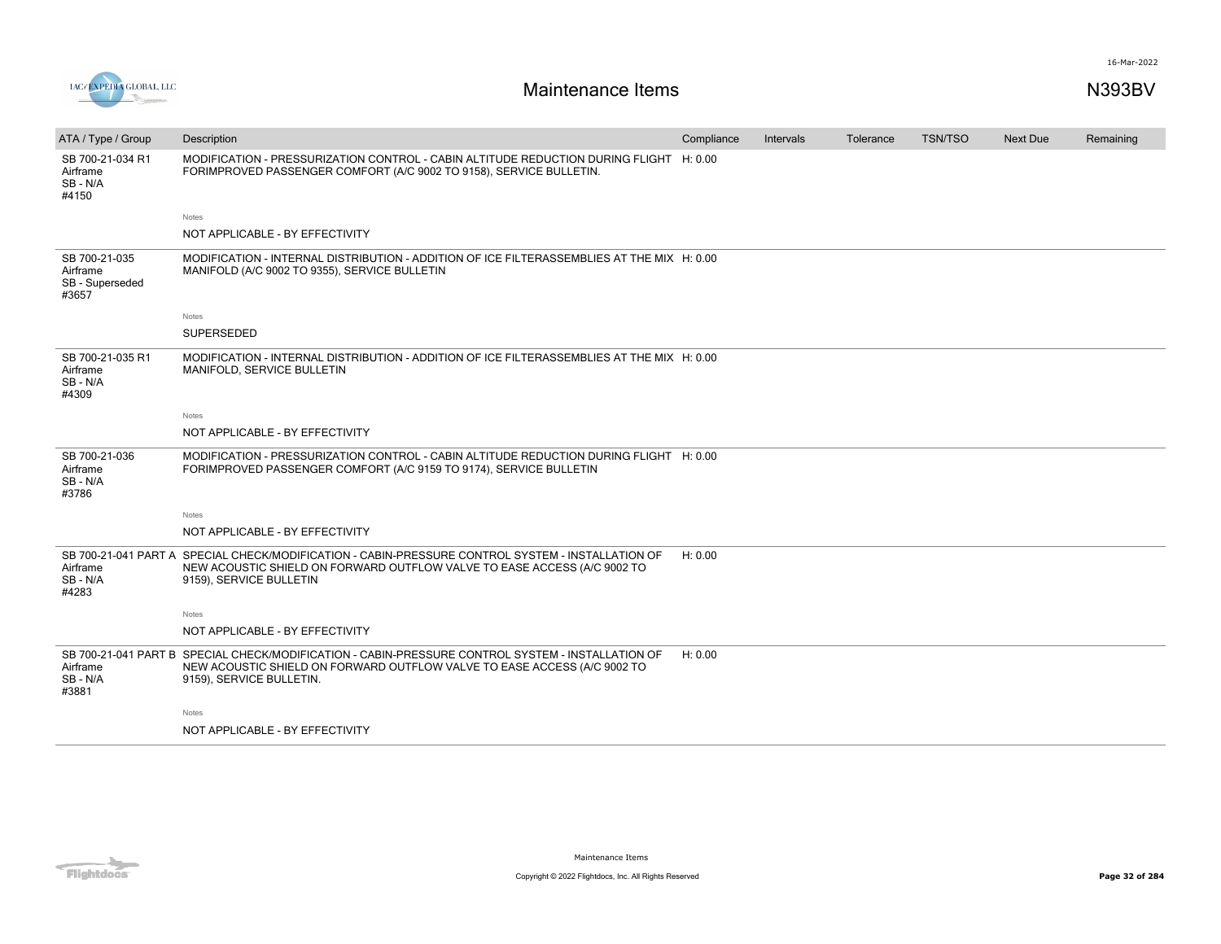

| ATA / Type / Group                                    | Description                                                                                                                                                                                               | Compliance | Intervals | Tolerance | <b>TSN/TSO</b> | <b>Next Due</b> | Remaining |
|-------------------------------------------------------|-----------------------------------------------------------------------------------------------------------------------------------------------------------------------------------------------------------|------------|-----------|-----------|----------------|-----------------|-----------|
| SB 700-21-034 R1<br>Airframe<br>SB-N/A<br>#4150       | MODIFICATION - PRESSURIZATION CONTROL - CABIN ALTITUDE REDUCTION DURING FLIGHT H: 0.00<br>FORIMPROVED PASSENGER COMFORT (A/C 9002 TO 9158), SERVICE BULLETIN.                                             |            |           |           |                |                 |           |
|                                                       | Notes                                                                                                                                                                                                     |            |           |           |                |                 |           |
|                                                       | NOT APPLICABLE - BY EFFECTIVITY                                                                                                                                                                           |            |           |           |                |                 |           |
| SB 700-21-035<br>Airframe<br>SB - Superseded<br>#3657 | MODIFICATION - INTERNAL DISTRIBUTION - ADDITION OF ICE FILTERASSEMBLIES AT THE MIX H: 0.00<br>MANIFOLD (A/C 9002 TO 9355), SERVICE BULLETIN                                                               |            |           |           |                |                 |           |
|                                                       | Notes                                                                                                                                                                                                     |            |           |           |                |                 |           |
|                                                       | SUPERSEDED                                                                                                                                                                                                |            |           |           |                |                 |           |
| SB 700-21-035 R1<br>Airframe<br>SB - N/A<br>#4309     | MODIFICATION - INTERNAL DISTRIBUTION - ADDITION OF ICE FILTERASSEMBLIES AT THE MIX H: 0.00<br>MANIFOLD, SERVICE BULLETIN                                                                                  |            |           |           |                |                 |           |
|                                                       | Notes                                                                                                                                                                                                     |            |           |           |                |                 |           |
|                                                       | NOT APPLICABLE - BY EFFECTIVITY                                                                                                                                                                           |            |           |           |                |                 |           |
| SB 700-21-036<br>Airframe<br>SB - N/A<br>#3786        | MODIFICATION - PRESSURIZATION CONTROL - CABIN ALTITUDE REDUCTION DURING FLIGHT H: 0.00<br>FORIMPROVED PASSENGER COMFORT (A/C 9159 TO 9174), SERVICE BULLETIN                                              |            |           |           |                |                 |           |
|                                                       | Notes                                                                                                                                                                                                     |            |           |           |                |                 |           |
|                                                       | NOT APPLICABLE - BY EFFECTIVITY                                                                                                                                                                           |            |           |           |                |                 |           |
| Airframe<br>SB - N/A<br>#4283                         | SB 700-21-041 PART A SPECIAL CHECK/MODIFICATION - CABIN-PRESSURE CONTROL SYSTEM - INSTALLATION OF<br>NEW ACOUSTIC SHIELD ON FORWARD OUTFLOW VALVE TO EASE ACCESS (A/C 9002 TO<br>9159), SERVICE BULLETIN  | H: 0.00    |           |           |                |                 |           |
|                                                       | Notes                                                                                                                                                                                                     |            |           |           |                |                 |           |
|                                                       | NOT APPLICABLE - BY EFFECTIVITY                                                                                                                                                                           |            |           |           |                |                 |           |
| Airframe<br>SB - N/A<br>#3881                         | SB 700-21-041 PART B SPECIAL CHECK/MODIFICATION - CABIN-PRESSURE CONTROL SYSTEM - INSTALLATION OF<br>NEW ACOUSTIC SHIELD ON FORWARD OUTFLOW VALVE TO EASE ACCESS (A/C 9002 TO<br>9159), SERVICE BULLETIN. | H: 0.00    |           |           |                |                 |           |
|                                                       | Notes                                                                                                                                                                                                     |            |           |           |                |                 |           |
|                                                       | NOT APPLICABLE - BY EFFECTIVITY                                                                                                                                                                           |            |           |           |                |                 |           |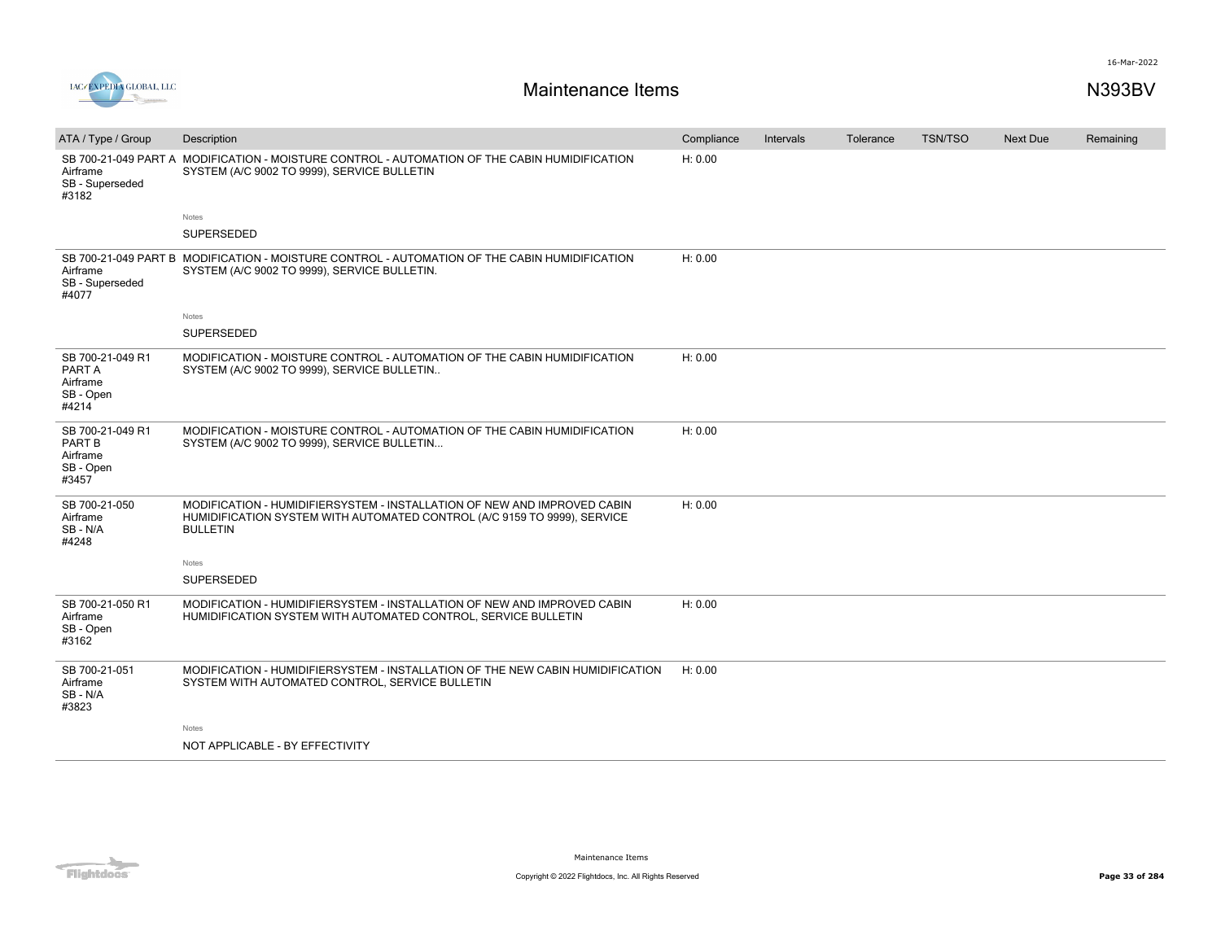

| ATA / Type / Group                                           | Description                                                                                                                                                             | Compliance | Intervals | Tolerance | <b>TSN/TSO</b> | <b>Next Due</b> | Remaining |
|--------------------------------------------------------------|-------------------------------------------------------------------------------------------------------------------------------------------------------------------------|------------|-----------|-----------|----------------|-----------------|-----------|
| Airframe<br>SB - Superseded<br>#3182                         | SB 700-21-049 PART A MODIFICATION - MOISTURE CONTROL - AUTOMATION OF THE CABIN HUMIDIFICATION<br>SYSTEM (A/C 9002 TO 9999), SERVICE BULLETIN                            | H: 0.00    |           |           |                |                 |           |
|                                                              | Notes                                                                                                                                                                   |            |           |           |                |                 |           |
|                                                              | <b>SUPERSEDED</b>                                                                                                                                                       |            |           |           |                |                 |           |
| Airframe<br>SB - Superseded<br>#4077                         | SB 700-21-049 PART B MODIFICATION - MOISTURE CONTROL - AUTOMATION OF THE CABIN HUMIDIFICATION<br>SYSTEM (A/C 9002 TO 9999), SERVICE BULLETIN.                           | H: 0.00    |           |           |                |                 |           |
|                                                              | Notes                                                                                                                                                                   |            |           |           |                |                 |           |
|                                                              | <b>SUPERSEDED</b>                                                                                                                                                       |            |           |           |                |                 |           |
| SB 700-21-049 R1<br>PART A<br>Airframe<br>SB - Open<br>#4214 | MODIFICATION - MOISTURE CONTROL - AUTOMATION OF THE CABIN HUMIDIFICATION<br>SYSTEM (A/C 9002 TO 9999), SERVICE BULLETIN                                                 | H: 0.00    |           |           |                |                 |           |
| SB 700-21-049 R1<br>PART B<br>Airframe<br>SB - Open<br>#3457 | MODIFICATION - MOISTURE CONTROL - AUTOMATION OF THE CABIN HUMIDIFICATION<br>SYSTEM (A/C 9002 TO 9999), SERVICE BULLETIN                                                 | H: 0.00    |           |           |                |                 |           |
| SB 700-21-050<br>Airframe<br>SB-N/A<br>#4248                 | MODIFICATION - HUMIDIFIERSYSTEM - INSTALLATION OF NEW AND IMPROVED CABIN<br>HUMIDIFICATION SYSTEM WITH AUTOMATED CONTROL (A/C 9159 TO 9999), SERVICE<br><b>BULLETIN</b> | H: 0.00    |           |           |                |                 |           |
|                                                              | Notes<br><b>SUPERSEDED</b>                                                                                                                                              |            |           |           |                |                 |           |
| SB 700-21-050 R1<br>Airframe<br>SB - Open<br>#3162           | MODIFICATION - HUMIDIFIERSYSTEM - INSTALLATION OF NEW AND IMPROVED CABIN<br>HUMIDIFICATION SYSTEM WITH AUTOMATED CONTROL, SERVICE BULLETIN                              | H: 0.00    |           |           |                |                 |           |
| SB 700-21-051<br>Airframe<br>SB - N/A<br>#3823               | MODIFICATION - HUMIDIFIERSYSTEM - INSTALLATION OF THE NEW CABIN HUMIDIFICATION<br>SYSTEM WITH AUTOMATED CONTROL, SERVICE BULLETIN                                       | H: 0.00    |           |           |                |                 |           |
|                                                              | Notes                                                                                                                                                                   |            |           |           |                |                 |           |
|                                                              | NOT APPLICABLE - BY EFFECTIVITY                                                                                                                                         |            |           |           |                |                 |           |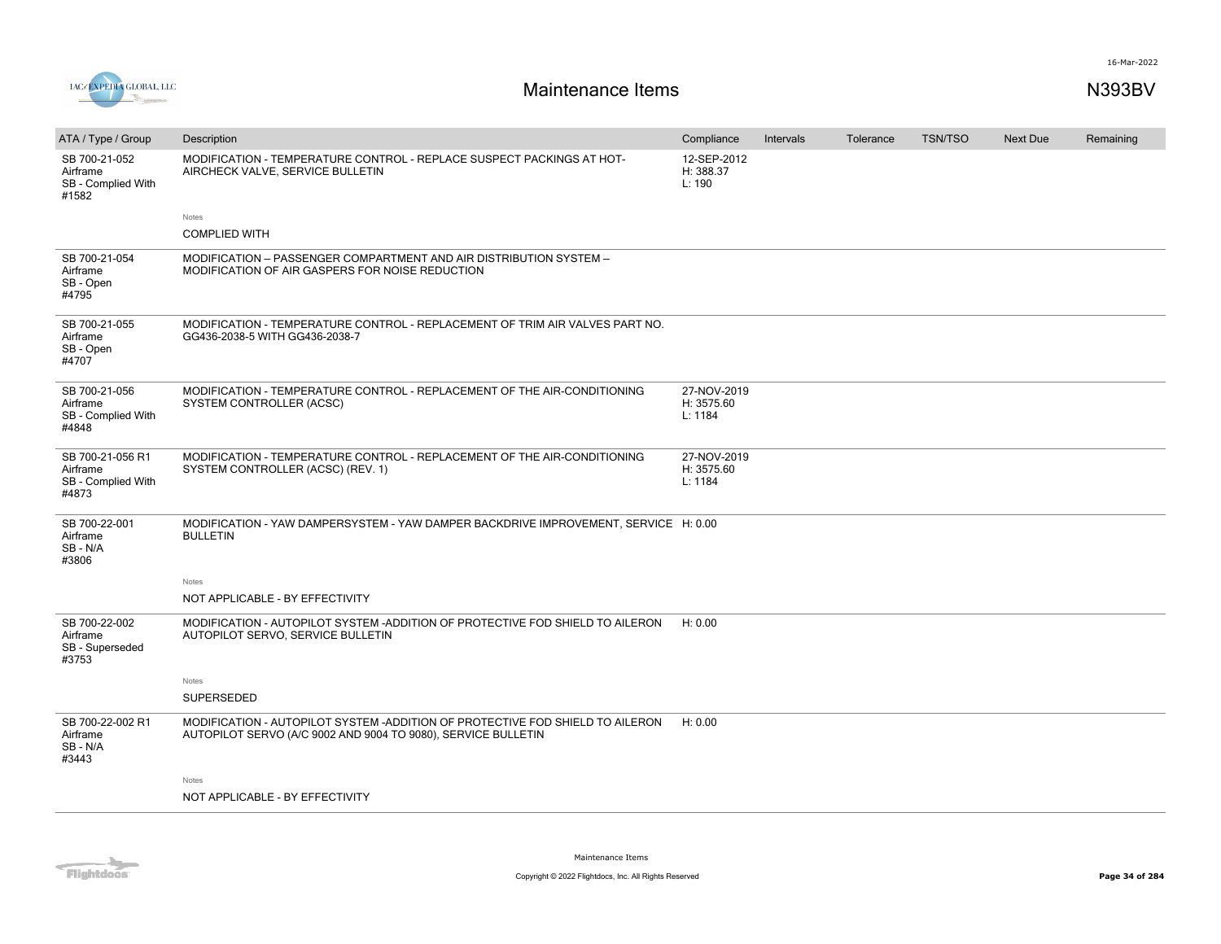

| ATA / Type / Group                                          | Description                                                                                                                                    | Compliance                           | Intervals | Tolerance | <b>TSN/TSO</b> | <b>Next Due</b> | Remaining |
|-------------------------------------------------------------|------------------------------------------------------------------------------------------------------------------------------------------------|--------------------------------------|-----------|-----------|----------------|-----------------|-----------|
| SB 700-21-052<br>Airframe<br>SB - Complied With<br>#1582    | MODIFICATION - TEMPERATURE CONTROL - REPLACE SUSPECT PACKINGS AT HOT-<br>AIRCHECK VALVE, SERVICE BULLETIN                                      | 12-SEP-2012<br>H: 388.37<br>L: 190   |           |           |                |                 |           |
|                                                             | Notes                                                                                                                                          |                                      |           |           |                |                 |           |
|                                                             | <b>COMPLIED WITH</b>                                                                                                                           |                                      |           |           |                |                 |           |
| SB 700-21-054<br>Airframe<br>SB - Open<br>#4795             | MODIFICATION - PASSENGER COMPARTMENT AND AIR DISTRIBUTION SYSTEM -<br>MODIFICATION OF AIR GASPERS FOR NOISE REDUCTION                          |                                      |           |           |                |                 |           |
| SB 700-21-055<br>Airframe<br>SB - Open<br>#4707             | MODIFICATION - TEMPERATURE CONTROL - REPLACEMENT OF TRIM AIR VALVES PART NO.<br>GG436-2038-5 WITH GG436-2038-7                                 |                                      |           |           |                |                 |           |
| SB 700-21-056<br>Airframe<br>SB - Complied With<br>#4848    | MODIFICATION - TEMPERATURE CONTROL - REPLACEMENT OF THE AIR-CONDITIONING<br>SYSTEM CONTROLLER (ACSC)                                           | 27-NOV-2019<br>H: 3575.60<br>L: 1184 |           |           |                |                 |           |
| SB 700-21-056 R1<br>Airframe<br>SB - Complied With<br>#4873 | MODIFICATION - TEMPERATURE CONTROL - REPLACEMENT OF THE AIR-CONDITIONING<br>SYSTEM CONTROLLER (ACSC) (REV. 1)                                  | 27-NOV-2019<br>H: 3575.60<br>L: 1184 |           |           |                |                 |           |
| SB 700-22-001<br>Airframe<br>SB - N/A<br>#3806              | MODIFICATION - YAW DAMPERSYSTEM - YAW DAMPER BACKDRIVE IMPROVEMENT, SERVICE H: 0.00<br><b>BULLETIN</b>                                         |                                      |           |           |                |                 |           |
|                                                             | Notes                                                                                                                                          |                                      |           |           |                |                 |           |
|                                                             | NOT APPLICABLE - BY EFFECTIVITY                                                                                                                |                                      |           |           |                |                 |           |
| SB 700-22-002<br>Airframe<br>SB - Superseded<br>#3753       | MODIFICATION - AUTOPILOT SYSTEM -ADDITION OF PROTECTIVE FOD SHIELD TO AILERON<br>AUTOPILOT SERVO, SERVICE BULLETIN                             | H: 0.00                              |           |           |                |                 |           |
|                                                             | Notes                                                                                                                                          |                                      |           |           |                |                 |           |
|                                                             | <b>SUPERSEDED</b>                                                                                                                              |                                      |           |           |                |                 |           |
| SB 700-22-002 R1<br>Airframe<br>SB - N/A<br>#3443           | MODIFICATION - AUTOPILOT SYSTEM -ADDITION OF PROTECTIVE FOD SHIELD TO AILERON<br>AUTOPILOT SERVO (A/C 9002 AND 9004 TO 9080), SERVICE BULLETIN | H: 0.00                              |           |           |                |                 |           |
|                                                             | Notes                                                                                                                                          |                                      |           |           |                |                 |           |
|                                                             | NOT APPLICABLE - BY EFFECTIVITY                                                                                                                |                                      |           |           |                |                 |           |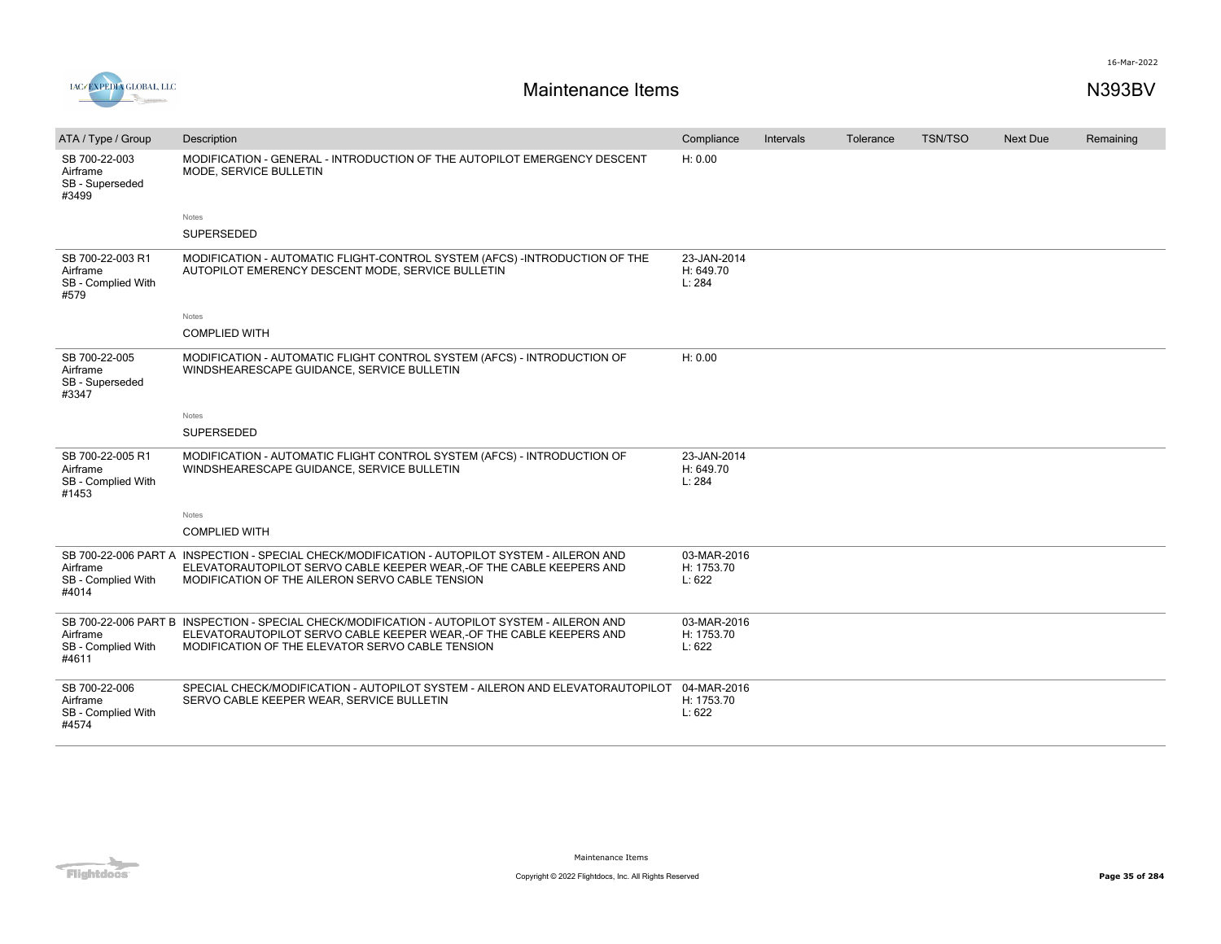

| ATA / Type / Group                                          | Description                                                                                                                                                                                                              | Compliance                          | Intervals | Tolerance | <b>TSN/TSO</b> | Next Due | Remaining |
|-------------------------------------------------------------|--------------------------------------------------------------------------------------------------------------------------------------------------------------------------------------------------------------------------|-------------------------------------|-----------|-----------|----------------|----------|-----------|
| SB 700-22-003<br>Airframe<br>SB - Superseded<br>#3499       | MODIFICATION - GENERAL - INTRODUCTION OF THE AUTOPILOT EMERGENCY DESCENT<br>MODE, SERVICE BULLETIN                                                                                                                       | H: 0.00                             |           |           |                |          |           |
|                                                             | Notes                                                                                                                                                                                                                    |                                     |           |           |                |          |           |
|                                                             | <b>SUPERSEDED</b>                                                                                                                                                                                                        |                                     |           |           |                |          |           |
| SB 700-22-003 R1<br>Airframe<br>SB - Complied With<br>#579  | MODIFICATION - AUTOMATIC FLIGHT-CONTROL SYSTEM (AFCS) -INTRODUCTION OF THE<br>AUTOPILOT EMERENCY DESCENT MODE, SERVICE BULLETIN                                                                                          | 23-JAN-2014<br>H: 649.70<br>L: 284  |           |           |                |          |           |
|                                                             | Notes                                                                                                                                                                                                                    |                                     |           |           |                |          |           |
|                                                             | <b>COMPLIED WITH</b>                                                                                                                                                                                                     |                                     |           |           |                |          |           |
| SB 700-22-005<br>Airframe<br>SB - Superseded<br>#3347       | MODIFICATION - AUTOMATIC FLIGHT CONTROL SYSTEM (AFCS) - INTRODUCTION OF<br>WINDSHEARESCAPE GUIDANCE, SERVICE BULLETIN                                                                                                    | H: 0.00                             |           |           |                |          |           |
|                                                             | Notes                                                                                                                                                                                                                    |                                     |           |           |                |          |           |
|                                                             | SUPERSEDED                                                                                                                                                                                                               |                                     |           |           |                |          |           |
| SB 700-22-005 R1<br>Airframe<br>SB - Complied With<br>#1453 | MODIFICATION - AUTOMATIC FLIGHT CONTROL SYSTEM (AFCS) - INTRODUCTION OF<br>WINDSHEARESCAPE GUIDANCE, SERVICE BULLETIN                                                                                                    | 23-JAN-2014<br>H: 649.70<br>L: 284  |           |           |                |          |           |
|                                                             | <b>Notes</b>                                                                                                                                                                                                             |                                     |           |           |                |          |           |
|                                                             | <b>COMPLIED WITH</b>                                                                                                                                                                                                     |                                     |           |           |                |          |           |
| Airframe<br>SB - Complied With<br>#4014                     | SB 700-22-006 PART A INSPECTION - SPECIAL CHECK/MODIFICATION - AUTOPILOT SYSTEM - AILERON AND<br>ELEVATORAUTOPILOT SERVO CABLE KEEPER WEAR,-OF THE CABLE KEEPERS AND<br>MODIFICATION OF THE AILERON SERVO CABLE TENSION  | 03-MAR-2016<br>H: 1753.70<br>L: 622 |           |           |                |          |           |
| Airframe<br>SB - Complied With<br>#4611                     | SB 700-22-006 PART B INSPECTION - SPECIAL CHECK/MODIFICATION - AUTOPILOT SYSTEM - AILERON AND<br>ELEVATORAUTOPILOT SERVO CABLE KEEPER WEAR, OF THE CABLE KEEPERS AND<br>MODIFICATION OF THE ELEVATOR SERVO CABLE TENSION | 03-MAR-2016<br>H: 1753.70<br>L: 622 |           |           |                |          |           |
| SB 700-22-006<br>Airframe<br>SB - Complied With<br>#4574    | SPECIAL CHECK/MODIFICATION - AUTOPILOT SYSTEM - AILERON AND ELEVATORAUTOPILOT<br>SERVO CABLE KEEPER WEAR, SERVICE BULLETIN                                                                                               | 04-MAR-2016<br>H: 1753.70<br>L: 622 |           |           |                |          |           |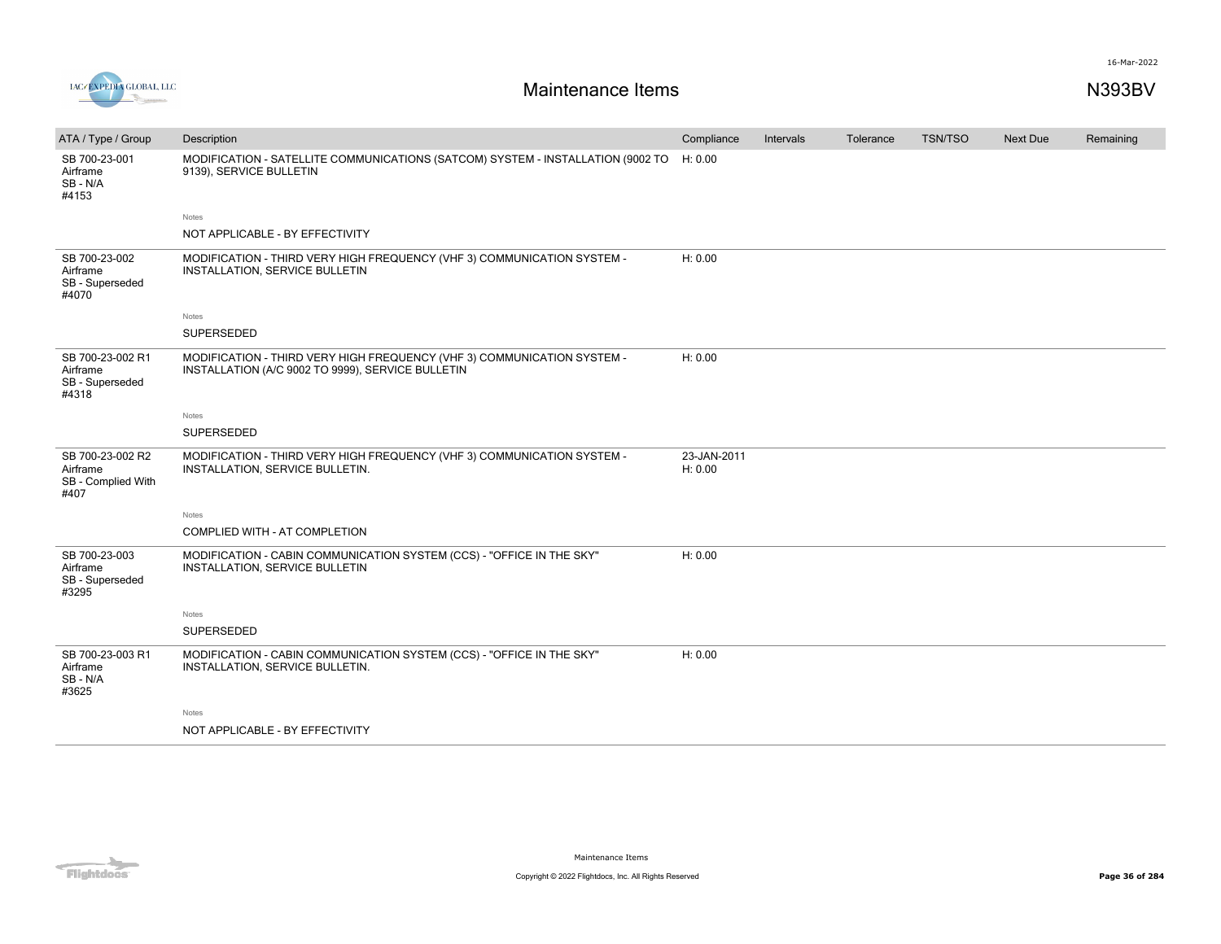

| ATA / Type / Group                                         | Description                                                                                                                  | Compliance             | Intervals | Tolerance | <b>TSN/TSO</b> | <b>Next Due</b> | Remaining |
|------------------------------------------------------------|------------------------------------------------------------------------------------------------------------------------------|------------------------|-----------|-----------|----------------|-----------------|-----------|
| SB 700-23-001<br>Airframe<br>SB-N/A<br>#4153               | MODIFICATION - SATELLITE COMMUNICATIONS (SATCOM) SYSTEM - INSTALLATION (9002 TO<br>9139), SERVICE BULLETIN                   | H: 0.00                |           |           |                |                 |           |
|                                                            | Notes                                                                                                                        |                        |           |           |                |                 |           |
|                                                            | NOT APPLICABLE - BY EFFECTIVITY                                                                                              |                        |           |           |                |                 |           |
| SB 700-23-002<br>Airframe<br>SB - Superseded<br>#4070      | MODIFICATION - THIRD VERY HIGH FREQUENCY (VHF 3) COMMUNICATION SYSTEM -<br>INSTALLATION, SERVICE BULLETIN                    | H: 0.00                |           |           |                |                 |           |
|                                                            | Notes                                                                                                                        |                        |           |           |                |                 |           |
|                                                            | SUPERSEDED                                                                                                                   |                        |           |           |                |                 |           |
| SB 700-23-002 R1<br>Airframe<br>SB - Superseded<br>#4318   | MODIFICATION - THIRD VERY HIGH FREQUENCY (VHF 3) COMMUNICATION SYSTEM -<br>INSTALLATION (A/C 9002 TO 9999), SERVICE BULLETIN | H: 0.00                |           |           |                |                 |           |
|                                                            | Notes                                                                                                                        |                        |           |           |                |                 |           |
|                                                            | SUPERSEDED                                                                                                                   |                        |           |           |                |                 |           |
| SB 700-23-002 R2<br>Airframe<br>SB - Complied With<br>#407 | MODIFICATION - THIRD VERY HIGH FREQUENCY (VHF 3) COMMUNICATION SYSTEM -<br>INSTALLATION, SERVICE BULLETIN.                   | 23-JAN-2011<br>H: 0.00 |           |           |                |                 |           |
|                                                            | Notes                                                                                                                        |                        |           |           |                |                 |           |
|                                                            | COMPLIED WITH - AT COMPLETION                                                                                                |                        |           |           |                |                 |           |
| SB 700-23-003<br>Airframe<br>SB - Superseded<br>#3295      | MODIFICATION - CABIN COMMUNICATION SYSTEM (CCS) - "OFFICE IN THE SKY"<br>INSTALLATION, SERVICE BULLETIN                      | H: 0.00                |           |           |                |                 |           |
|                                                            | Notes                                                                                                                        |                        |           |           |                |                 |           |
|                                                            | SUPERSEDED                                                                                                                   |                        |           |           |                |                 |           |
| SB 700-23-003 R1<br>Airframe<br>SB - N/A<br>#3625          | MODIFICATION - CABIN COMMUNICATION SYSTEM (CCS) - "OFFICE IN THE SKY"<br>INSTALLATION, SERVICE BULLETIN.                     | H: 0.00                |           |           |                |                 |           |
|                                                            | Notes                                                                                                                        |                        |           |           |                |                 |           |
|                                                            | NOT APPLICABLE - BY EFFECTIVITY                                                                                              |                        |           |           |                |                 |           |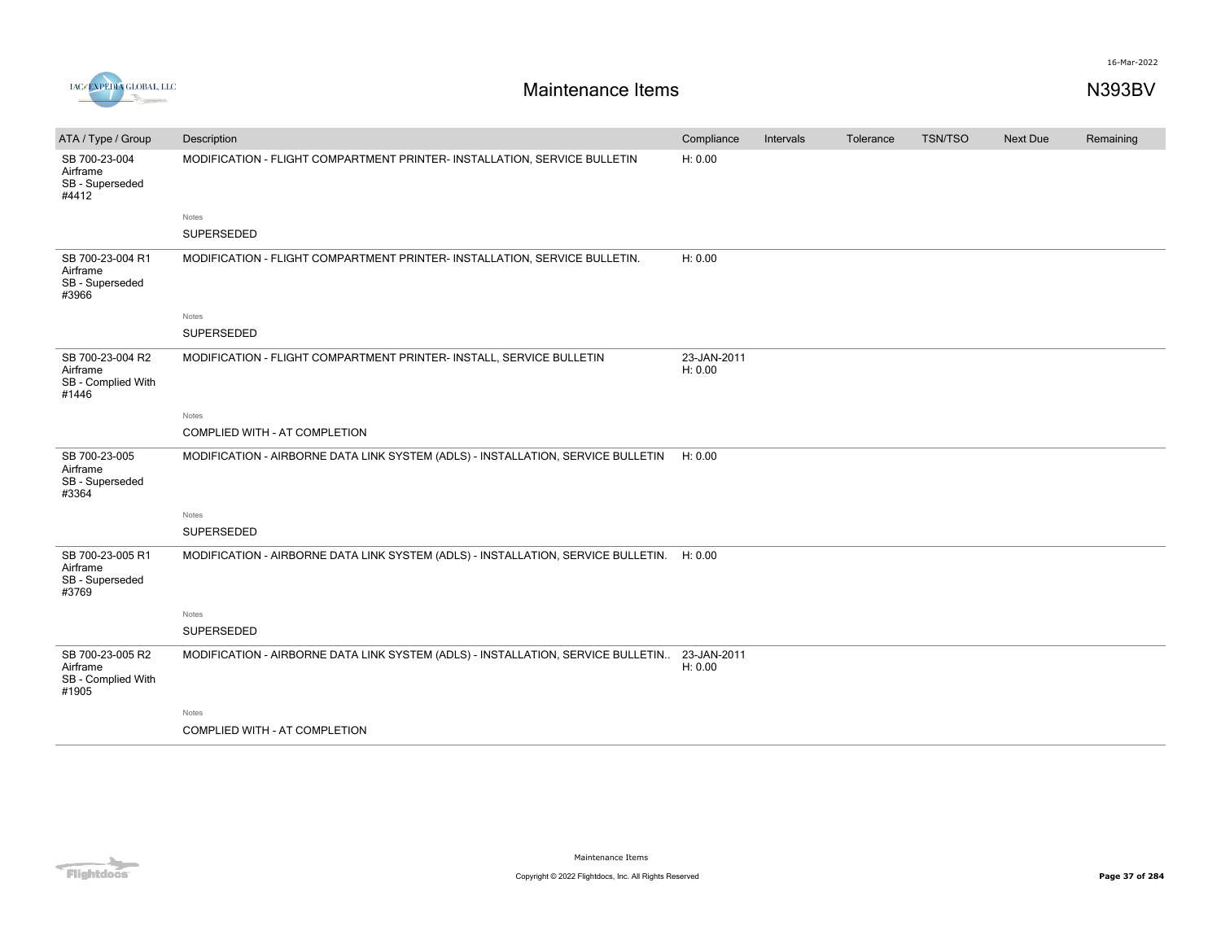

| ATA / Type / Group                                          | Description                                                                       | Compliance             | Intervals | Tolerance | <b>TSN/TSO</b> | <b>Next Due</b> | Remaining |
|-------------------------------------------------------------|-----------------------------------------------------------------------------------|------------------------|-----------|-----------|----------------|-----------------|-----------|
| SB 700-23-004<br>Airframe<br>SB - Superseded<br>#4412       | MODIFICATION - FLIGHT COMPARTMENT PRINTER- INSTALLATION, SERVICE BULLETIN         | H: 0.00                |           |           |                |                 |           |
|                                                             | Notes                                                                             |                        |           |           |                |                 |           |
|                                                             | SUPERSEDED                                                                        |                        |           |           |                |                 |           |
| SB 700-23-004 R1<br>Airframe<br>SB - Superseded<br>#3966    | MODIFICATION - FLIGHT COMPARTMENT PRINTER- INSTALLATION, SERVICE BULLETIN.        | H: 0.00                |           |           |                |                 |           |
|                                                             | <b>Notes</b>                                                                      |                        |           |           |                |                 |           |
|                                                             | SUPERSEDED                                                                        |                        |           |           |                |                 |           |
| SB 700-23-004 R2<br>Airframe<br>SB - Complied With<br>#1446 | MODIFICATION - FLIGHT COMPARTMENT PRINTER- INSTALL, SERVICE BULLETIN              | 23-JAN-2011<br>H: 0.00 |           |           |                |                 |           |
|                                                             | Notes                                                                             |                        |           |           |                |                 |           |
|                                                             | COMPLIED WITH - AT COMPLETION                                                     |                        |           |           |                |                 |           |
| SB 700-23-005<br>Airframe<br>SB - Superseded<br>#3364       | MODIFICATION - AIRBORNE DATA LINK SYSTEM (ADLS) - INSTALLATION, SERVICE BULLETIN  | H: 0.00                |           |           |                |                 |           |
|                                                             | <b>Notes</b>                                                                      |                        |           |           |                |                 |           |
|                                                             | SUPERSEDED                                                                        |                        |           |           |                |                 |           |
| SB 700-23-005 R1<br>Airframe<br>SB - Superseded<br>#3769    | MODIFICATION - AIRBORNE DATA LINK SYSTEM (ADLS) - INSTALLATION, SERVICE BULLETIN. | H: 0.00                |           |           |                |                 |           |
|                                                             | Notes                                                                             |                        |           |           |                |                 |           |
|                                                             | SUPERSEDED                                                                        |                        |           |           |                |                 |           |
| SB 700-23-005 R2<br>Airframe<br>SB - Complied With<br>#1905 | MODIFICATION - AIRBORNE DATA LINK SYSTEM (ADLS) - INSTALLATION, SERVICE BULLETIN  | 23-JAN-2011<br>H: 0.00 |           |           |                |                 |           |
|                                                             | Notes                                                                             |                        |           |           |                |                 |           |
|                                                             | COMPLIED WITH - AT COMPLETION                                                     |                        |           |           |                |                 |           |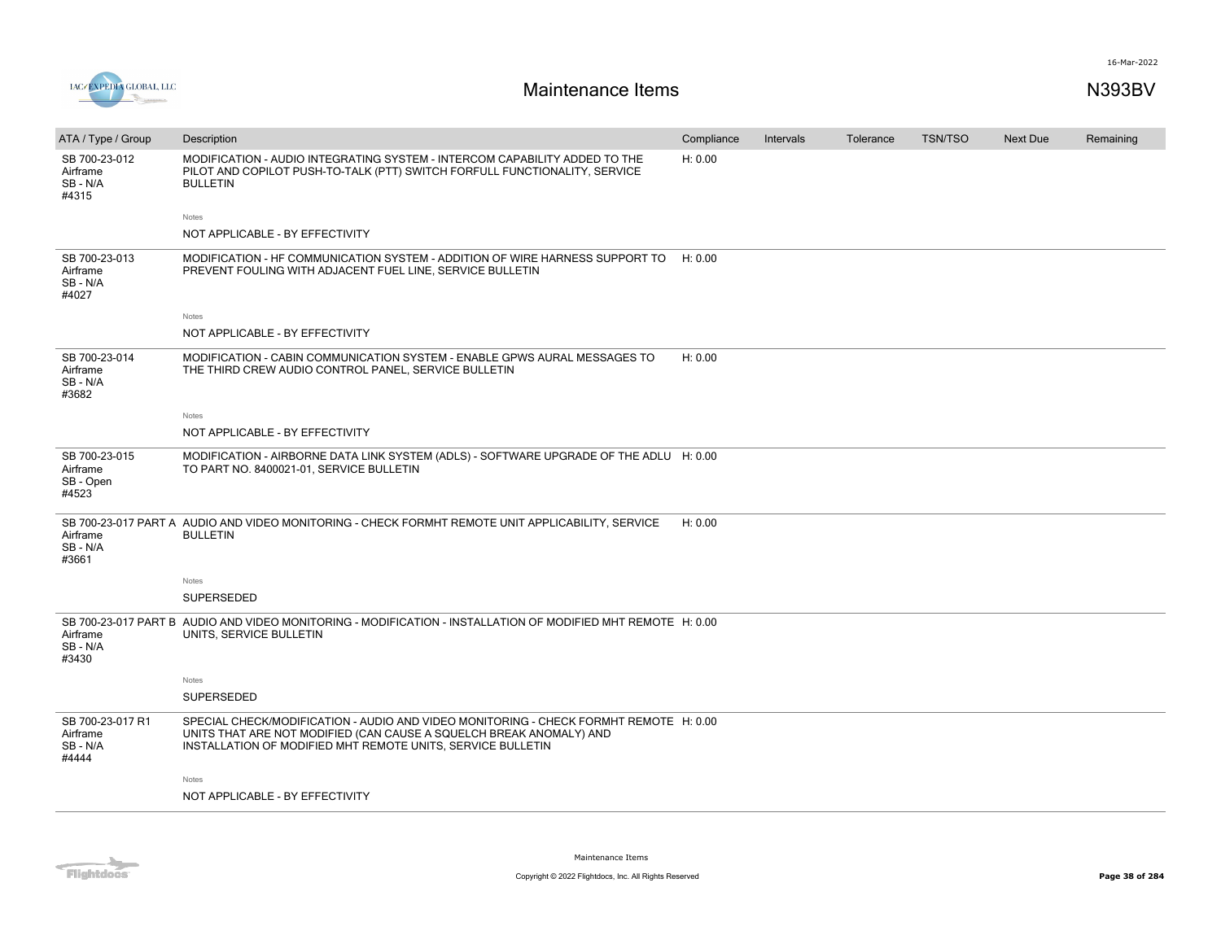

| ATA / Type / Group                                | Description                                                                                                                                                                                                                 | Compliance | <b>Intervals</b> | Tolerance | <b>TSN/TSO</b> | <b>Next Due</b> | Remaining |
|---------------------------------------------------|-----------------------------------------------------------------------------------------------------------------------------------------------------------------------------------------------------------------------------|------------|------------------|-----------|----------------|-----------------|-----------|
| SB 700-23-012<br>Airframe<br>SB - N/A<br>#4315    | MODIFICATION - AUDIO INTEGRATING SYSTEM - INTERCOM CAPABILITY ADDED TO THE<br>PILOT AND COPILOT PUSH-TO-TALK (PTT) SWITCH FORFULL FUNCTIONALITY, SERVICE<br><b>BULLETIN</b>                                                 | H: 0.00    |                  |           |                |                 |           |
|                                                   | Notes                                                                                                                                                                                                                       |            |                  |           |                |                 |           |
|                                                   | NOT APPLICABLE - BY EFFECTIVITY                                                                                                                                                                                             |            |                  |           |                |                 |           |
| SB 700-23-013<br>Airframe<br>SB-N/A<br>#4027      | MODIFICATION - HF COMMUNICATION SYSTEM - ADDITION OF WIRE HARNESS SUPPORT TO<br>PREVENT FOULING WITH ADJACENT FUEL LINE, SERVICE BULLETIN                                                                                   | H: 0.00    |                  |           |                |                 |           |
|                                                   | Notes                                                                                                                                                                                                                       |            |                  |           |                |                 |           |
|                                                   | NOT APPLICABLE - BY EFFECTIVITY                                                                                                                                                                                             |            |                  |           |                |                 |           |
| SB 700-23-014<br>Airframe<br>SB-N/A<br>#3682      | MODIFICATION - CABIN COMMUNICATION SYSTEM - ENABLE GPWS AURAL MESSAGES TO<br>THE THIRD CREW AUDIO CONTROL PANEL, SERVICE BULLETIN                                                                                           | H: 0.00    |                  |           |                |                 |           |
|                                                   | Notes                                                                                                                                                                                                                       |            |                  |           |                |                 |           |
|                                                   | NOT APPLICABLE - BY EFFECTIVITY                                                                                                                                                                                             |            |                  |           |                |                 |           |
| SB 700-23-015<br>Airframe<br>SB - Open<br>#4523   | MODIFICATION - AIRBORNE DATA LINK SYSTEM (ADLS) - SOFTWARE UPGRADE OF THE ADLU H: 0.00<br>TO PART NO. 8400021-01, SERVICE BULLETIN                                                                                          |            |                  |           |                |                 |           |
| Airframe<br>SB-N/A<br>#3661                       | SB 700-23-017 PART A AUDIO AND VIDEO MONITORING - CHECK FORMHT REMOTE UNIT APPLICABILITY, SERVICE<br><b>BULLETIN</b>                                                                                                        | H: 0.00    |                  |           |                |                 |           |
|                                                   | Notes                                                                                                                                                                                                                       |            |                  |           |                |                 |           |
|                                                   | SUPERSEDED                                                                                                                                                                                                                  |            |                  |           |                |                 |           |
| Airframe<br>SB - N/A<br>#3430                     | SB 700-23-017 PART B AUDIO AND VIDEO MONITORING - MODIFICATION - INSTALLATION OF MODIFIED MHT REMOTE H: 0.00<br>UNITS, SERVICE BULLETIN                                                                                     |            |                  |           |                |                 |           |
|                                                   | Notes                                                                                                                                                                                                                       |            |                  |           |                |                 |           |
|                                                   | <b>SUPERSEDED</b>                                                                                                                                                                                                           |            |                  |           |                |                 |           |
| SB 700-23-017 R1<br>Airframe<br>SB - N/A<br>#4444 | SPECIAL CHECK/MODIFICATION - AUDIO AND VIDEO MONITORING - CHECK FORMHT REMOTE H: 0.00<br>UNITS THAT ARE NOT MODIFIED (CAN CAUSE A SQUELCH BREAK ANOMALY) AND<br>INSTALLATION OF MODIFIED MHT REMOTE UNITS, SERVICE BULLETIN |            |                  |           |                |                 |           |
|                                                   | Notes                                                                                                                                                                                                                       |            |                  |           |                |                 |           |
|                                                   | NOT APPLICABLE - BY EFFECTIVITY                                                                                                                                                                                             |            |                  |           |                |                 |           |
|                                                   |                                                                                                                                                                                                                             |            |                  |           |                |                 |           |

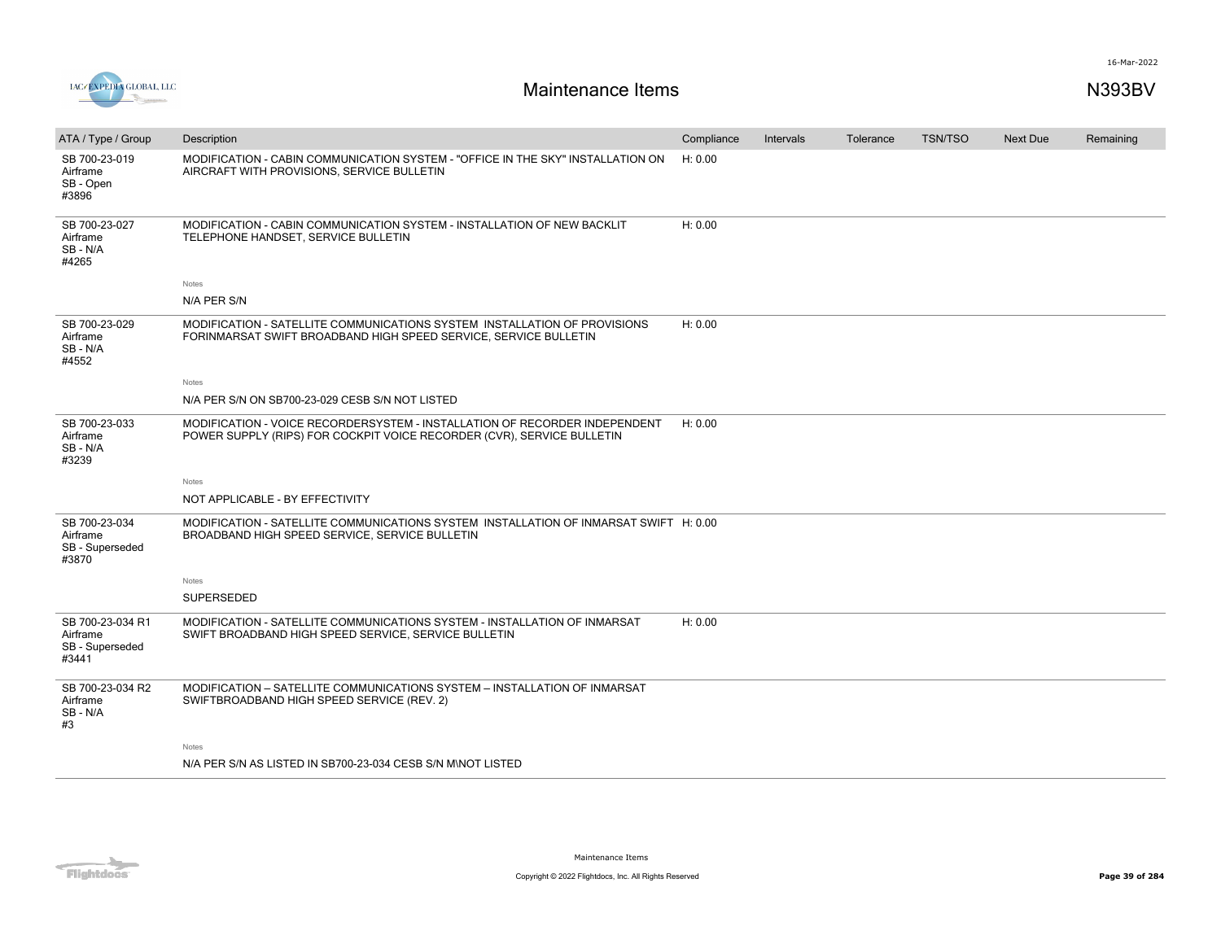



| ATA / Type / Group                                       | Description                                                                                                                                          | Compliance | Intervals | Tolerance | <b>TSN/TSO</b> | <b>Next Due</b> | Remaining |
|----------------------------------------------------------|------------------------------------------------------------------------------------------------------------------------------------------------------|------------|-----------|-----------|----------------|-----------------|-----------|
| SB 700-23-019<br>Airframe<br>SB - Open<br>#3896          | MODIFICATION - CABIN COMMUNICATION SYSTEM - "OFFICE IN THE SKY" INSTALLATION ON<br>AIRCRAFT WITH PROVISIONS, SERVICE BULLETIN                        | H: 0.00    |           |           |                |                 |           |
| SB 700-23-027<br>Airframe<br>SB-N/A<br>#4265             | MODIFICATION - CABIN COMMUNICATION SYSTEM - INSTALLATION OF NEW BACKLIT<br>TELEPHONE HANDSET, SERVICE BULLETIN                                       | H: 0.00    |           |           |                |                 |           |
|                                                          | Notes                                                                                                                                                |            |           |           |                |                 |           |
|                                                          | N/A PER S/N                                                                                                                                          |            |           |           |                |                 |           |
| SB 700-23-029<br>Airframe<br>SB - N/A<br>#4552           | MODIFICATION - SATELLITE COMMUNICATIONS SYSTEM INSTALLATION OF PROVISIONS<br>FORINMARSAT SWIFT BROADBAND HIGH SPEED SERVICE, SERVICE BULLETIN        | H: 0.00    |           |           |                |                 |           |
|                                                          | Notes                                                                                                                                                |            |           |           |                |                 |           |
|                                                          | N/A PER S/N ON SB700-23-029 CESB S/N NOT LISTED                                                                                                      |            |           |           |                |                 |           |
| SB 700-23-033<br>Airframe<br>SB - N/A<br>#3239           | MODIFICATION - VOICE RECORDERSYSTEM - INSTALLATION OF RECORDER INDEPENDENT<br>POWER SUPPLY (RIPS) FOR COCKPIT VOICE RECORDER (CVR), SERVICE BULLETIN | H: 0.00    |           |           |                |                 |           |
|                                                          | Notes                                                                                                                                                |            |           |           |                |                 |           |
|                                                          | NOT APPLICABLE - BY EFFECTIVITY                                                                                                                      |            |           |           |                |                 |           |
| SB 700-23-034<br>Airframe<br>SB - Superseded<br>#3870    | MODIFICATION - SATELLITE COMMUNICATIONS SYSTEM INSTALLATION OF INMARSAT SWIFT H: 0.00<br>BROADBAND HIGH SPEED SERVICE, SERVICE BULLETIN              |            |           |           |                |                 |           |
|                                                          | Notes                                                                                                                                                |            |           |           |                |                 |           |
|                                                          | <b>SUPERSEDED</b>                                                                                                                                    |            |           |           |                |                 |           |
| SB 700-23-034 R1<br>Airframe<br>SB - Superseded<br>#3441 | MODIFICATION - SATELLITE COMMUNICATIONS SYSTEM - INSTALLATION OF INMARSAT<br>SWIFT BROADBAND HIGH SPEED SERVICE, SERVICE BULLETIN                    | H: 0.00    |           |           |                |                 |           |
| SB 700-23-034 R2<br>Airframe<br>SB-N/A<br>#3             | MODIFICATION - SATELLITE COMMUNICATIONS SYSTEM - INSTALLATION OF INMARSAT<br>SWIFTBROADBAND HIGH SPEED SERVICE (REV. 2)                              |            |           |           |                |                 |           |
|                                                          | Notes                                                                                                                                                |            |           |           |                |                 |           |
|                                                          | N/A PER S/N AS LISTED IN SB700-23-034 CESB S/N M\NOT LISTED                                                                                          |            |           |           |                |                 |           |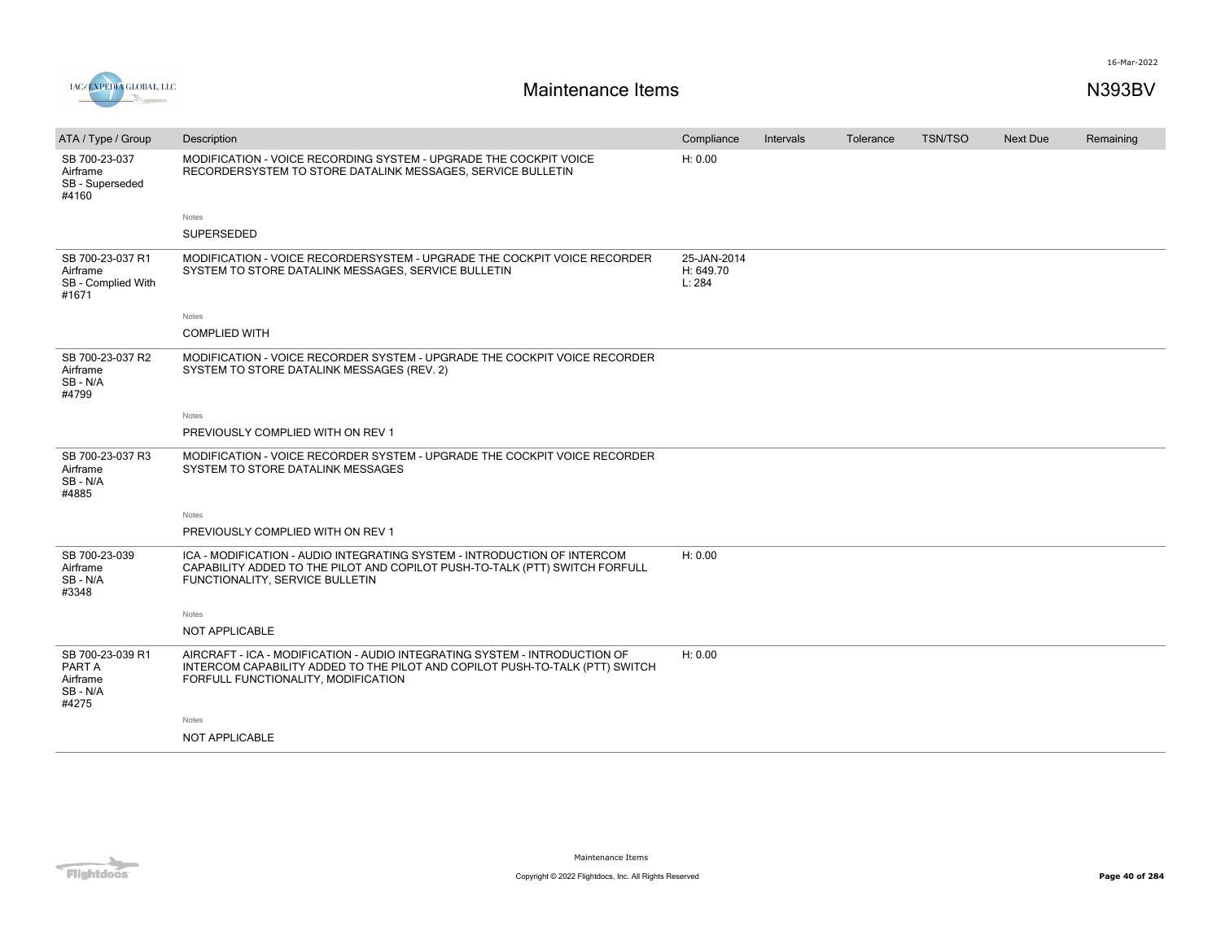

| ATA / Type / Group                                          | Description                                                                                                                                                                                       | Compliance                         | Intervals | Tolerance | <b>TSN/TSO</b> | <b>Next Due</b> | Remaining |
|-------------------------------------------------------------|---------------------------------------------------------------------------------------------------------------------------------------------------------------------------------------------------|------------------------------------|-----------|-----------|----------------|-----------------|-----------|
| SB 700-23-037<br>Airframe<br>SB - Superseded<br>#4160       | MODIFICATION - VOICE RECORDING SYSTEM - UPGRADE THE COCKPIT VOICE<br>RECORDERSYSTEM TO STORE DATALINK MESSAGES, SERVICE BULLETIN                                                                  | H: 0.00                            |           |           |                |                 |           |
|                                                             | Notes                                                                                                                                                                                             |                                    |           |           |                |                 |           |
|                                                             | <b>SUPERSEDED</b>                                                                                                                                                                                 |                                    |           |           |                |                 |           |
| SB 700-23-037 R1<br>Airframe<br>SB - Complied With<br>#1671 | MODIFICATION - VOICE RECORDERSYSTEM - UPGRADE THE COCKPIT VOICE RECORDER<br>SYSTEM TO STORE DATALINK MESSAGES, SERVICE BULLETIN                                                                   | 25-JAN-2014<br>H: 649.70<br>L: 284 |           |           |                |                 |           |
|                                                             | Notes                                                                                                                                                                                             |                                    |           |           |                |                 |           |
|                                                             | <b>COMPLIED WITH</b>                                                                                                                                                                              |                                    |           |           |                |                 |           |
| SB 700-23-037 R2<br>Airframe<br>SB-N/A<br>#4799             | MODIFICATION - VOICE RECORDER SYSTEM - UPGRADE THE COCKPIT VOICE RECORDER<br>SYSTEM TO STORE DATALINK MESSAGES (REV. 2)                                                                           |                                    |           |           |                |                 |           |
|                                                             | Notes                                                                                                                                                                                             |                                    |           |           |                |                 |           |
|                                                             | PREVIOUSLY COMPLIED WITH ON REV 1                                                                                                                                                                 |                                    |           |           |                |                 |           |
| SB 700-23-037 R3<br>Airframe<br>SB-N/A<br>#4885             | MODIFICATION - VOICE RECORDER SYSTEM - UPGRADE THE COCKPIT VOICE RECORDER<br>SYSTEM TO STORE DATALINK MESSAGES                                                                                    |                                    |           |           |                |                 |           |
|                                                             | Notes                                                                                                                                                                                             |                                    |           |           |                |                 |           |
|                                                             | PREVIOUSLY COMPLIED WITH ON REV 1                                                                                                                                                                 |                                    |           |           |                |                 |           |
| SB 700-23-039<br>Airframe<br>SB-N/A<br>#3348                | ICA - MODIFICATION - AUDIO INTEGRATING SYSTEM - INTRODUCTION OF INTERCOM<br>CAPABILITY ADDED TO THE PILOT AND COPILOT PUSH-TO-TALK (PTT) SWITCH FORFULL<br>FUNCTIONALITY, SERVICE BULLETIN        | H: 0.00                            |           |           |                |                 |           |
|                                                             | Notes                                                                                                                                                                                             |                                    |           |           |                |                 |           |
|                                                             | NOT APPLICABLE                                                                                                                                                                                    |                                    |           |           |                |                 |           |
| SB 700-23-039 R1<br>PART A<br>Airframe<br>SB-N/A<br>#4275   | AIRCRAFT - ICA - MODIFICATION - AUDIO INTEGRATING SYSTEM - INTRODUCTION OF<br>INTERCOM CAPABILITY ADDED TO THE PILOT AND COPILOT PUSH-TO-TALK (PTT) SWITCH<br>FORFULL FUNCTIONALITY, MODIFICATION | H: 0.00                            |           |           |                |                 |           |
|                                                             | Notes                                                                                                                                                                                             |                                    |           |           |                |                 |           |
|                                                             | <b>NOT APPLICABLE</b>                                                                                                                                                                             |                                    |           |           |                |                 |           |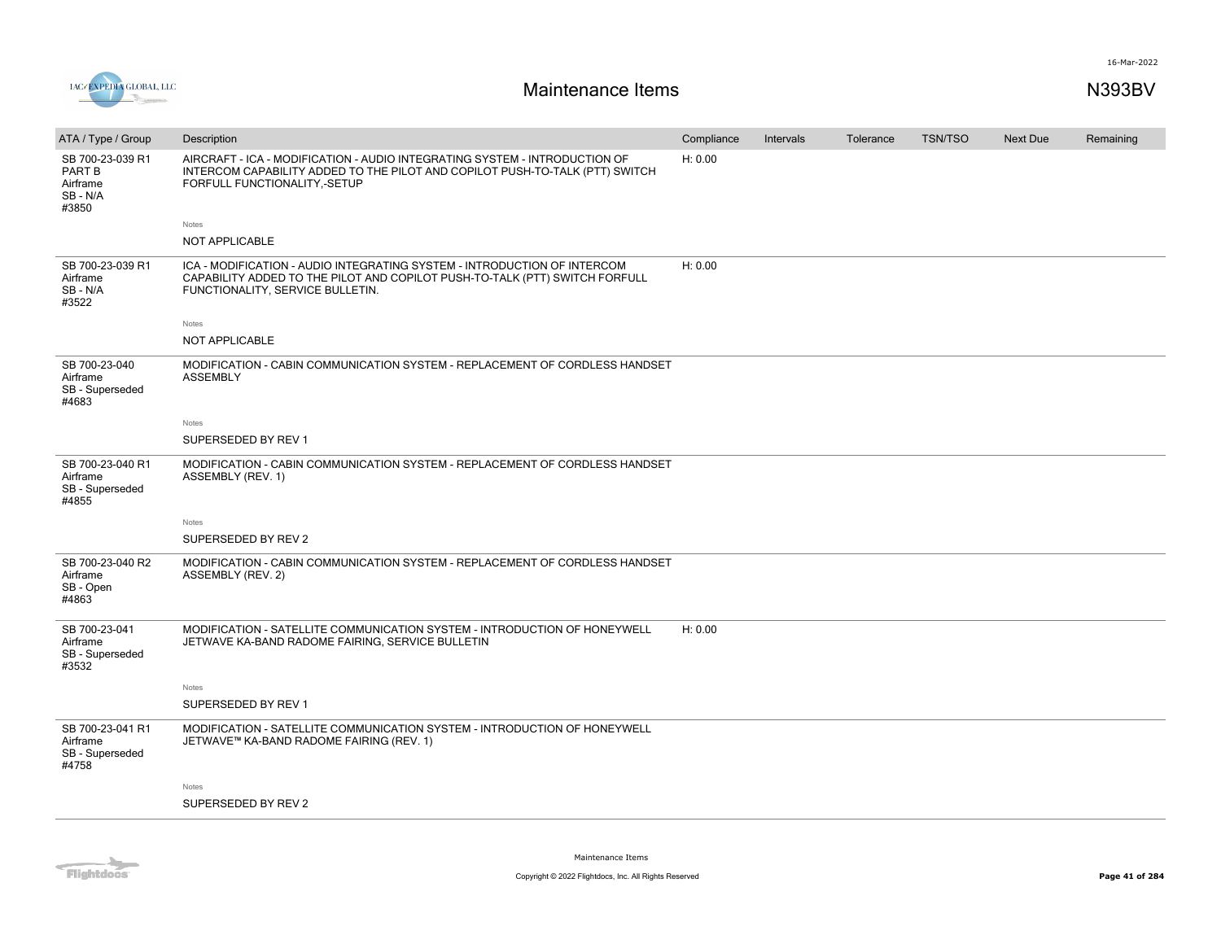

| ATA / Type / Group                                        | Description                                                                                                                                                                                 | Compliance | Intervals | Tolerance | <b>TSN/TSO</b> | <b>Next Due</b> | Remaining |
|-----------------------------------------------------------|---------------------------------------------------------------------------------------------------------------------------------------------------------------------------------------------|------------|-----------|-----------|----------------|-----------------|-----------|
| SB 700-23-039 R1<br>PART B<br>Airframe<br>SB-N/A<br>#3850 | AIRCRAFT - ICA - MODIFICATION - AUDIO INTEGRATING SYSTEM - INTRODUCTION OF<br>INTERCOM CAPABILITY ADDED TO THE PILOT AND COPILOT PUSH-TO-TALK (PTT) SWITCH<br>FORFULL FUNCTIONALITY,-SETUP  | H: 0.00    |           |           |                |                 |           |
|                                                           | Notes                                                                                                                                                                                       |            |           |           |                |                 |           |
|                                                           | NOT APPLICABLE                                                                                                                                                                              |            |           |           |                |                 |           |
| SB 700-23-039 R1<br>Airframe<br>SB-N/A<br>#3522           | ICA - MODIFICATION - AUDIO INTEGRATING SYSTEM - INTRODUCTION OF INTERCOM<br>CAPABILITY ADDED TO THE PILOT AND COPILOT PUSH-TO-TALK (PTT) SWITCH FORFULL<br>FUNCTIONALITY, SERVICE BULLETIN. | H: 0.00    |           |           |                |                 |           |
|                                                           | Notes                                                                                                                                                                                       |            |           |           |                |                 |           |
|                                                           | NOT APPLICABLE                                                                                                                                                                              |            |           |           |                |                 |           |
| SB 700-23-040<br>Airframe<br>SB - Superseded<br>#4683     | MODIFICATION - CABIN COMMUNICATION SYSTEM - REPLACEMENT OF CORDLESS HANDSET<br><b>ASSEMBLY</b>                                                                                              |            |           |           |                |                 |           |
|                                                           | Notes                                                                                                                                                                                       |            |           |           |                |                 |           |
|                                                           | SUPERSEDED BY REV 1                                                                                                                                                                         |            |           |           |                |                 |           |
| SB 700-23-040 R1<br>Airframe<br>SB - Superseded<br>#4855  | MODIFICATION - CABIN COMMUNICATION SYSTEM - REPLACEMENT OF CORDLESS HANDSET<br>ASSEMBLY (REV. 1)                                                                                            |            |           |           |                |                 |           |
|                                                           | Notes                                                                                                                                                                                       |            |           |           |                |                 |           |
|                                                           | SUPERSEDED BY REV 2                                                                                                                                                                         |            |           |           |                |                 |           |
| SB 700-23-040 R2<br>Airframe<br>SB - Open<br>#4863        | MODIFICATION - CABIN COMMUNICATION SYSTEM - REPLACEMENT OF CORDLESS HANDSET<br>ASSEMBLY (REV. 2)                                                                                            |            |           |           |                |                 |           |
| SB 700-23-041<br>Airframe<br>SB - Superseded<br>#3532     | MODIFICATION - SATELLITE COMMUNICATION SYSTEM - INTRODUCTION OF HONEYWELL<br>JETWAVE KA-BAND RADOME FAIRING, SERVICE BULLETIN                                                               | H: 0.00    |           |           |                |                 |           |
|                                                           | Notes                                                                                                                                                                                       |            |           |           |                |                 |           |
|                                                           | SUPERSEDED BY REV 1                                                                                                                                                                         |            |           |           |                |                 |           |
| SB 700-23-041 R1<br>Airframe<br>SB - Superseded<br>#4758  | MODIFICATION - SATELLITE COMMUNICATION SYSTEM - INTRODUCTION OF HONEYWELL<br>JETWAVE™ KA-BAND RADOME FAIRING (REV. 1)                                                                       |            |           |           |                |                 |           |
|                                                           | Notes                                                                                                                                                                                       |            |           |           |                |                 |           |
|                                                           | SUPERSEDED BY REV 2                                                                                                                                                                         |            |           |           |                |                 |           |
|                                                           |                                                                                                                                                                                             |            |           |           |                |                 |           |

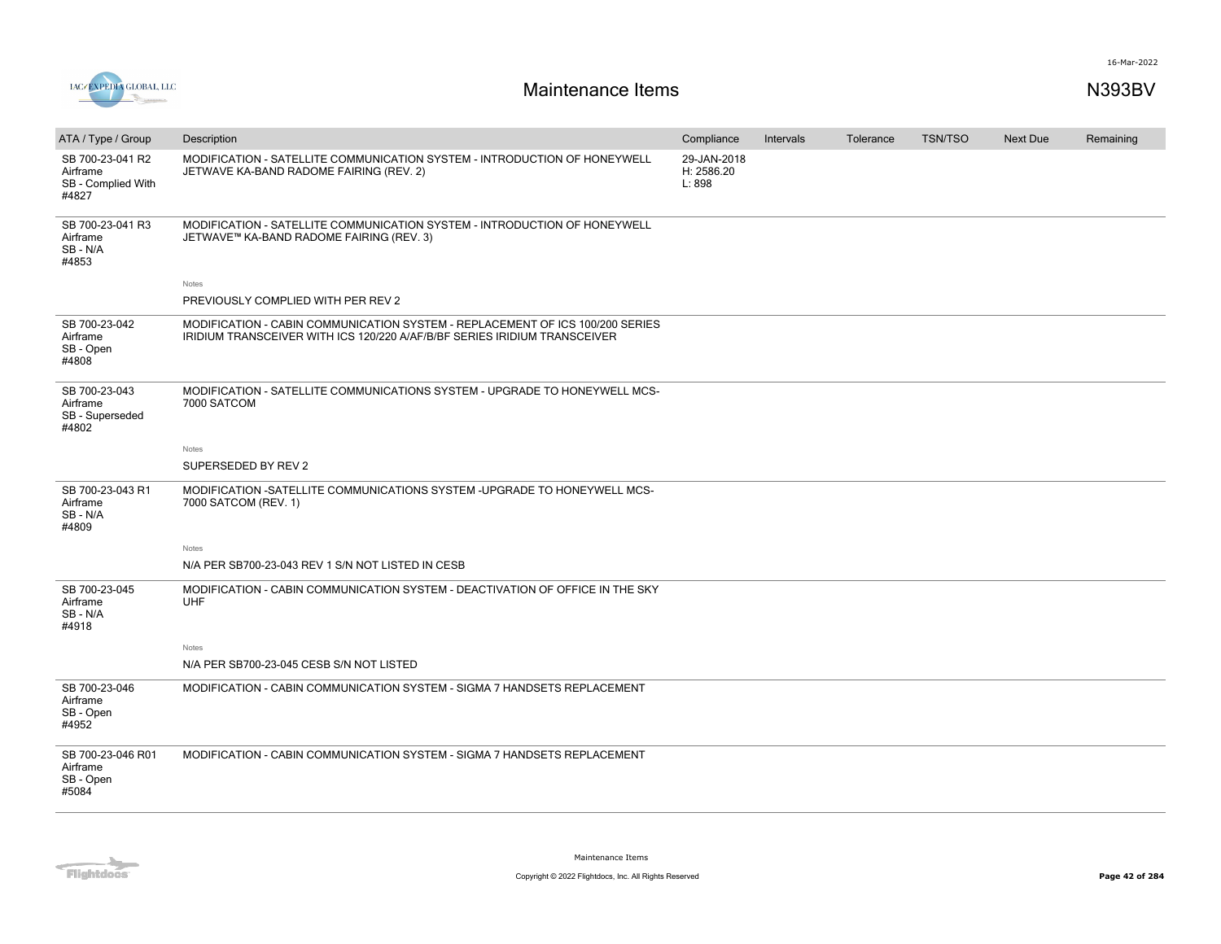

| ATA / Type / Group                                          | Description                                                                                                                                                       | Compliance                          | Intervals | Tolerance | <b>TSN/TSO</b> | Next Due | Remaining |
|-------------------------------------------------------------|-------------------------------------------------------------------------------------------------------------------------------------------------------------------|-------------------------------------|-----------|-----------|----------------|----------|-----------|
| SB 700-23-041 R2<br>Airframe<br>SB - Complied With<br>#4827 | MODIFICATION - SATELLITE COMMUNICATION SYSTEM - INTRODUCTION OF HONEYWELL<br>JETWAVE KA-BAND RADOME FAIRING (REV. 2)                                              | 29-JAN-2018<br>H: 2586.20<br>L: 898 |           |           |                |          |           |
| SB 700-23-041 R3<br>Airframe<br>SB - N/A<br>#4853           | MODIFICATION - SATELLITE COMMUNICATION SYSTEM - INTRODUCTION OF HONEYWELL<br>JETWAVE™ KA-BAND RADOME FAIRING (REV. 3)                                             |                                     |           |           |                |          |           |
|                                                             | Notes                                                                                                                                                             |                                     |           |           |                |          |           |
|                                                             | PREVIOUSLY COMPLIED WITH PER REV 2                                                                                                                                |                                     |           |           |                |          |           |
| SB 700-23-042<br>Airframe<br>SB - Open<br>#4808             | MODIFICATION - CABIN COMMUNICATION SYSTEM - REPLACEMENT OF ICS 100/200 SERIES<br><b>IRIDIUM TRANSCEIVER WITH ICS 120/220 A/AF/B/BF SERIES IRIDIUM TRANSCEIVER</b> |                                     |           |           |                |          |           |
| SB 700-23-043<br>Airframe<br>SB - Superseded<br>#4802       | MODIFICATION - SATELLITE COMMUNICATIONS SYSTEM - UPGRADE TO HONEYWELL MCS-<br>7000 SATCOM                                                                         |                                     |           |           |                |          |           |
|                                                             | Notes                                                                                                                                                             |                                     |           |           |                |          |           |
|                                                             | SUPERSEDED BY REV 2                                                                                                                                               |                                     |           |           |                |          |           |
| SB 700-23-043 R1<br>Airframe<br>SB-N/A<br>#4809             | MODIFICATION -SATELLITE COMMUNICATIONS SYSTEM -UPGRADE TO HONEYWELL MCS-<br>7000 SATCOM (REV. 1)                                                                  |                                     |           |           |                |          |           |
|                                                             | Notes                                                                                                                                                             |                                     |           |           |                |          |           |
|                                                             | N/A PER SB700-23-043 REV 1 S/N NOT LISTED IN CESB                                                                                                                 |                                     |           |           |                |          |           |
| SB 700-23-045<br>Airframe<br>SB - N/A<br>#4918              | MODIFICATION - CABIN COMMUNICATION SYSTEM - DEACTIVATION OF OFFICE IN THE SKY<br><b>UHF</b>                                                                       |                                     |           |           |                |          |           |
|                                                             | Notes                                                                                                                                                             |                                     |           |           |                |          |           |
|                                                             | N/A PER SB700-23-045 CESB S/N NOT LISTED                                                                                                                          |                                     |           |           |                |          |           |
| SB 700-23-046<br>Airframe<br>SB - Open<br>#4952             | MODIFICATION - CABIN COMMUNICATION SYSTEM - SIGMA 7 HANDSETS REPLACEMENT                                                                                          |                                     |           |           |                |          |           |
| SB 700-23-046 R01<br>Airframe<br>SB - Open<br>#5084         | MODIFICATION - CABIN COMMUNICATION SYSTEM - SIGMA 7 HANDSETS REPLACEMENT                                                                                          |                                     |           |           |                |          |           |
|                                                             |                                                                                                                                                                   |                                     |           |           |                |          |           |

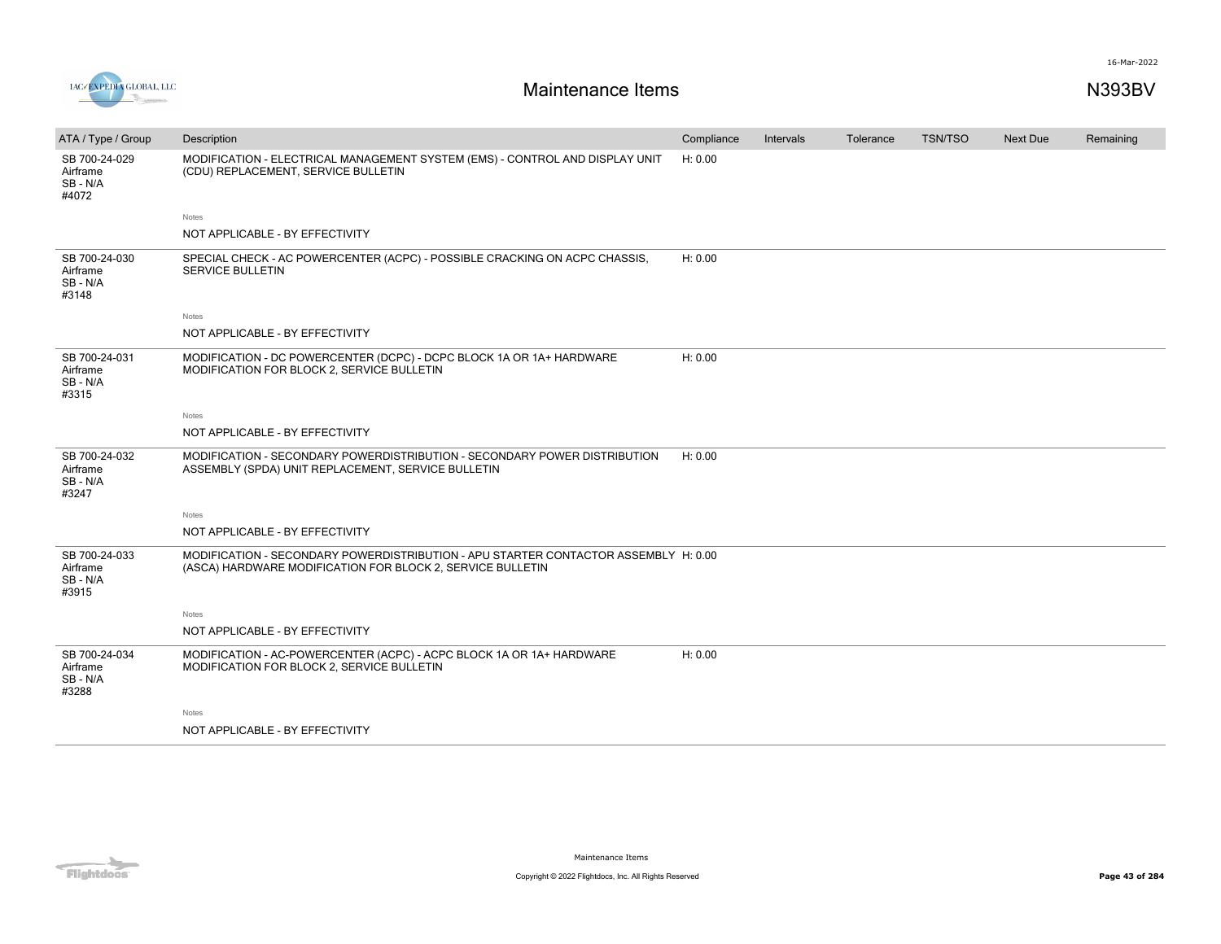

| ATA / Type / Group                             | Description                                                                                                                                       | Compliance | <b>Intervals</b> | Tolerance | <b>TSN/TSO</b> | <b>Next Due</b> | Remaining |
|------------------------------------------------|---------------------------------------------------------------------------------------------------------------------------------------------------|------------|------------------|-----------|----------------|-----------------|-----------|
| SB 700-24-029<br>Airframe<br>SB-N/A<br>#4072   | MODIFICATION - ELECTRICAL MANAGEMENT SYSTEM (EMS) - CONTROL AND DISPLAY UNIT<br>(CDU) REPLACEMENT, SERVICE BULLETIN                               | H: 0.00    |                  |           |                |                 |           |
|                                                | Notes                                                                                                                                             |            |                  |           |                |                 |           |
|                                                | NOT APPLICABLE - BY EFFECTIVITY                                                                                                                   |            |                  |           |                |                 |           |
| SB 700-24-030<br>Airframe<br>SB - N/A<br>#3148 | SPECIAL CHECK - AC POWERCENTER (ACPC) - POSSIBLE CRACKING ON ACPC CHASSIS,<br><b>SERVICE BULLETIN</b>                                             | H: 0.00    |                  |           |                |                 |           |
|                                                | <b>Notes</b>                                                                                                                                      |            |                  |           |                |                 |           |
|                                                | NOT APPLICABLE - BY EFFECTIVITY                                                                                                                   |            |                  |           |                |                 |           |
| SB 700-24-031<br>Airframe<br>SB - N/A<br>#3315 | MODIFICATION - DC POWERCENTER (DCPC) - DCPC BLOCK 1A OR 1A+ HARDWARE<br>MODIFICATION FOR BLOCK 2, SERVICE BULLETIN                                | H: 0.00    |                  |           |                |                 |           |
|                                                | Notes                                                                                                                                             |            |                  |           |                |                 |           |
|                                                | NOT APPLICABLE - BY EFFECTIVITY                                                                                                                   |            |                  |           |                |                 |           |
| SB 700-24-032<br>Airframe<br>SB-N/A<br>#3247   | MODIFICATION - SECONDARY POWERDISTRIBUTION - SECONDARY POWER DISTRIBUTION<br>ASSEMBLY (SPDA) UNIT REPLACEMENT, SERVICE BULLETIN                   | H: 0.00    |                  |           |                |                 |           |
|                                                | Notes                                                                                                                                             |            |                  |           |                |                 |           |
|                                                | NOT APPLICABLE - BY EFFECTIVITY                                                                                                                   |            |                  |           |                |                 |           |
| SB 700-24-033<br>Airframe<br>SB-N/A<br>#3915   | MODIFICATION - SECONDARY POWERDISTRIBUTION - APU STARTER CONTACTOR ASSEMBLY H: 0.00<br>(ASCA) HARDWARE MODIFICATION FOR BLOCK 2, SERVICE BULLETIN |            |                  |           |                |                 |           |
|                                                | Notes                                                                                                                                             |            |                  |           |                |                 |           |
|                                                | NOT APPLICABLE - BY EFFECTIVITY                                                                                                                   |            |                  |           |                |                 |           |
| SB 700-24-034<br>Airframe<br>SB - N/A<br>#3288 | MODIFICATION - AC-POWERCENTER (ACPC) - ACPC BLOCK 1A OR 1A+ HARDWARE<br>MODIFICATION FOR BLOCK 2, SERVICE BULLETIN                                | H: 0.00    |                  |           |                |                 |           |
|                                                | Notes                                                                                                                                             |            |                  |           |                |                 |           |
|                                                | NOT APPLICABLE - BY EFFECTIVITY                                                                                                                   |            |                  |           |                |                 |           |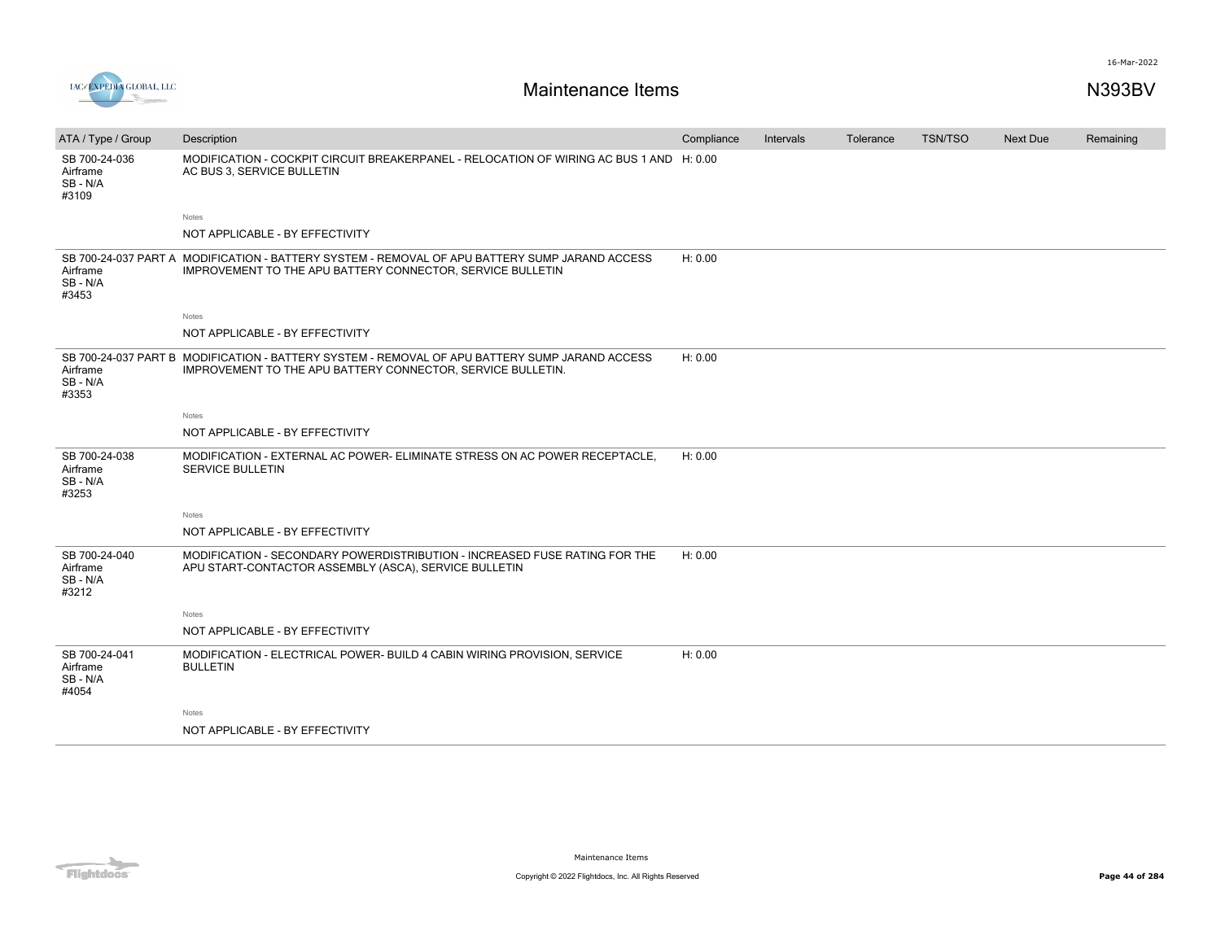

| ATA / Type / Group                           | Description                                                                                                                                                   | Compliance | Intervals | Tolerance | <b>TSN/TSO</b> | <b>Next Due</b> | Remaining |
|----------------------------------------------|---------------------------------------------------------------------------------------------------------------------------------------------------------------|------------|-----------|-----------|----------------|-----------------|-----------|
| SB 700-24-036<br>Airframe<br>SB-N/A<br>#3109 | MODIFICATION - COCKPIT CIRCUIT BREAKERPANEL - RELOCATION OF WIRING AC BUS 1 AND H: 0.00<br>AC BUS 3, SERVICE BULLETIN                                         |            |           |           |                |                 |           |
|                                              | Notes                                                                                                                                                         |            |           |           |                |                 |           |
|                                              | NOT APPLICABLE - BY EFFECTIVITY                                                                                                                               |            |           |           |                |                 |           |
| Airframe<br>SB-N/A<br>#3453                  | SB 700-24-037 PART A MODIFICATION - BATTERY SYSTEM - REMOVAL OF APU BATTERY SUMP JARAND ACCESS<br>IMPROVEMENT TO THE APU BATTERY CONNECTOR, SERVICE BULLETIN  | H: 0.00    |           |           |                |                 |           |
|                                              | <b>Notes</b>                                                                                                                                                  |            |           |           |                |                 |           |
|                                              | NOT APPLICABLE - BY EFFECTIVITY                                                                                                                               |            |           |           |                |                 |           |
| Airframe<br>SB-N/A<br>#3353                  | SB 700-24-037 PART B MODIFICATION - BATTERY SYSTEM - REMOVAL OF APU BATTERY SUMP JARAND ACCESS<br>IMPROVEMENT TO THE APU BATTERY CONNECTOR, SERVICE BULLETIN. | H: 0.00    |           |           |                |                 |           |
|                                              | Notes                                                                                                                                                         |            |           |           |                |                 |           |
|                                              | NOT APPLICABLE - BY EFFECTIVITY                                                                                                                               |            |           |           |                |                 |           |
| SB 700-24-038<br>Airframe<br>SB-N/A<br>#3253 | MODIFICATION - EXTERNAL AC POWER- ELIMINATE STRESS ON AC POWER RECEPTACLE,<br><b>SERVICE BULLETIN</b>                                                         | H: 0.00    |           |           |                |                 |           |
|                                              | Notes                                                                                                                                                         |            |           |           |                |                 |           |
|                                              | NOT APPLICABLE - BY EFFECTIVITY                                                                                                                               |            |           |           |                |                 |           |
| SB 700-24-040<br>Airframe<br>SB-N/A<br>#3212 | MODIFICATION - SECONDARY POWERDISTRIBUTION - INCREASED FUSE RATING FOR THE<br>APU START-CONTACTOR ASSEMBLY (ASCA), SERVICE BULLETIN                           | H: 0.00    |           |           |                |                 |           |
|                                              | <b>Notes</b>                                                                                                                                                  |            |           |           |                |                 |           |
|                                              | NOT APPLICABLE - BY EFFECTIVITY                                                                                                                               |            |           |           |                |                 |           |
| SB 700-24-041<br>Airframe<br>SB-N/A<br>#4054 | MODIFICATION - ELECTRICAL POWER- BUILD 4 CABIN WIRING PROVISION, SERVICE<br><b>BULLETIN</b>                                                                   | H: 0.00    |           |           |                |                 |           |
|                                              | Notes                                                                                                                                                         |            |           |           |                |                 |           |
|                                              | NOT APPLICABLE - BY EFFECTIVITY                                                                                                                               |            |           |           |                |                 |           |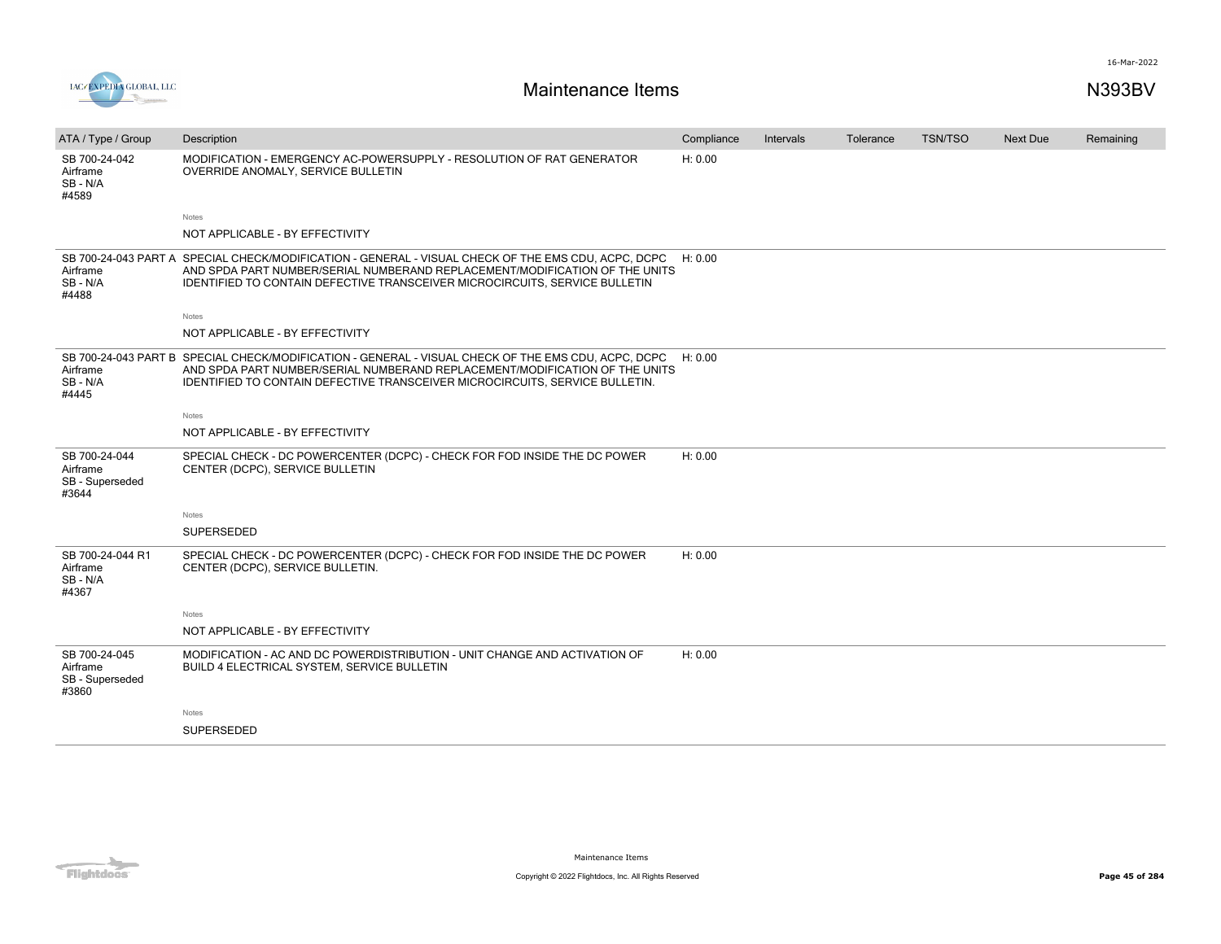

| ATA / Type / Group                                    | Description                                                                                                                                                                                                                                                              | Compliance | Intervals | Tolerance | <b>TSN/TSO</b> | <b>Next Due</b> | Remaining |
|-------------------------------------------------------|--------------------------------------------------------------------------------------------------------------------------------------------------------------------------------------------------------------------------------------------------------------------------|------------|-----------|-----------|----------------|-----------------|-----------|
| SB 700-24-042<br>Airframe<br>SB-N/A<br>#4589          | MODIFICATION - EMERGENCY AC-POWERSUPPLY - RESOLUTION OF RAT GENERATOR<br>OVERRIDE ANOMALY, SERVICE BULLETIN                                                                                                                                                              | H: 0.00    |           |           |                |                 |           |
|                                                       | Notes                                                                                                                                                                                                                                                                    |            |           |           |                |                 |           |
|                                                       | NOT APPLICABLE - BY EFFECTIVITY                                                                                                                                                                                                                                          |            |           |           |                |                 |           |
| Airframe<br>SB-N/A<br>#4488                           | SB 700-24-043 PART A SPECIAL CHECK/MODIFICATION - GENERAL - VISUAL CHECK OF THE EMS CDU, ACPC, DCPC<br>AND SPDA PART NUMBER/SERIAL NUMBERAND REPLACEMENT/MODIFICATION OF THE UNITS<br><b>IDENTIFIED TO CONTAIN DEFECTIVE TRANSCEIVER MICROCIRCUITS, SERVICE BULLETIN</b> | H: 0.00    |           |           |                |                 |           |
|                                                       | Notes                                                                                                                                                                                                                                                                    |            |           |           |                |                 |           |
|                                                       | NOT APPLICABLE - BY EFFECTIVITY                                                                                                                                                                                                                                          |            |           |           |                |                 |           |
| Airframe<br>SB-N/A<br>#4445                           | SB 700-24-043 PART B SPECIAL CHECK/MODIFICATION - GENERAL - VISUAL CHECK OF THE EMS CDU, ACPC, DCPC<br>AND SPDA PART NUMBER/SERIAL NUMBERAND REPLACEMENT/MODIFICATION OF THE UNITS<br>IDENTIFIED TO CONTAIN DEFECTIVE TRANSCEIVER MICROCIRCUITS, SERVICE BULLETIN.       | H: 0.00    |           |           |                |                 |           |
|                                                       | Notes                                                                                                                                                                                                                                                                    |            |           |           |                |                 |           |
|                                                       | NOT APPLICABLE - BY EFFECTIVITY                                                                                                                                                                                                                                          |            |           |           |                |                 |           |
| SB 700-24-044<br>Airframe<br>SB - Superseded<br>#3644 | SPECIAL CHECK - DC POWERCENTER (DCPC) - CHECK FOR FOD INSIDE THE DC POWER<br>CENTER (DCPC), SERVICE BULLETIN                                                                                                                                                             | H: 0.00    |           |           |                |                 |           |
|                                                       | <b>Notes</b>                                                                                                                                                                                                                                                             |            |           |           |                |                 |           |
|                                                       | SUPERSEDED                                                                                                                                                                                                                                                               |            |           |           |                |                 |           |
| SB 700-24-044 R1<br>Airframe<br>SB-N/A<br>#4367       | SPECIAL CHECK - DC POWERCENTER (DCPC) - CHECK FOR FOD INSIDE THE DC POWER<br>CENTER (DCPC), SERVICE BULLETIN.                                                                                                                                                            | H: 0.00    |           |           |                |                 |           |
|                                                       | Notes                                                                                                                                                                                                                                                                    |            |           |           |                |                 |           |
|                                                       | NOT APPLICABLE - BY EFFECTIVITY                                                                                                                                                                                                                                          |            |           |           |                |                 |           |
| SB 700-24-045<br>Airframe<br>SB - Superseded<br>#3860 | MODIFICATION - AC AND DC POWERDISTRIBUTION - UNIT CHANGE AND ACTIVATION OF<br>BUILD 4 ELECTRICAL SYSTEM, SERVICE BULLETIN                                                                                                                                                | H: 0.00    |           |           |                |                 |           |
|                                                       | <b>Notes</b>                                                                                                                                                                                                                                                             |            |           |           |                |                 |           |
|                                                       | <b>SUPERSEDED</b>                                                                                                                                                                                                                                                        |            |           |           |                |                 |           |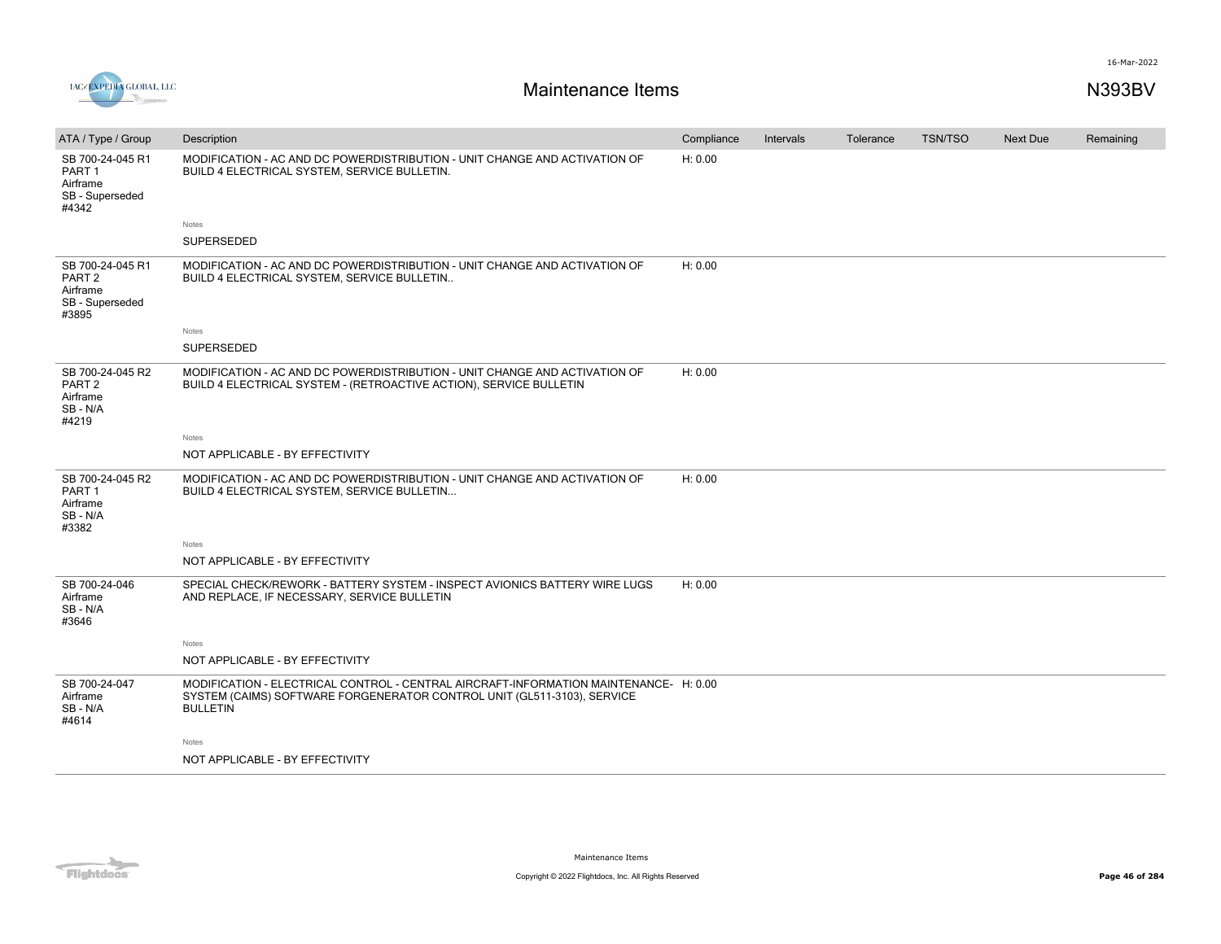



| ATA / Type / Group                                                            | Description                                                                                                                                                                         | Compliance | Intervals | Tolerance | <b>TSN/TSO</b> | <b>Next Due</b> | Remaining |
|-------------------------------------------------------------------------------|-------------------------------------------------------------------------------------------------------------------------------------------------------------------------------------|------------|-----------|-----------|----------------|-----------------|-----------|
| SB 700-24-045 R1<br>PART <sub>1</sub><br>Airframe<br>SB - Superseded<br>#4342 | MODIFICATION - AC AND DC POWERDISTRIBUTION - UNIT CHANGE AND ACTIVATION OF<br>BUILD 4 ELECTRICAL SYSTEM, SERVICE BULLETIN.                                                          | H: 0.00    |           |           |                |                 |           |
|                                                                               | Notes                                                                                                                                                                               |            |           |           |                |                 |           |
|                                                                               | SUPERSEDED                                                                                                                                                                          |            |           |           |                |                 |           |
| SB 700-24-045 R1<br>PART <sub>2</sub><br>Airframe<br>SB - Superseded<br>#3895 | MODIFICATION - AC AND DC POWERDISTRIBUTION - UNIT CHANGE AND ACTIVATION OF<br>BUILD 4 ELECTRICAL SYSTEM, SERVICE BULLETIN                                                           | H: 0.00    |           |           |                |                 |           |
|                                                                               | Notes                                                                                                                                                                               |            |           |           |                |                 |           |
|                                                                               | SUPERSEDED                                                                                                                                                                          |            |           |           |                |                 |           |
| SB 700-24-045 R2<br>PART <sub>2</sub><br>Airframe<br>SB-N/A<br>#4219          | MODIFICATION - AC AND DC POWERDISTRIBUTION - UNIT CHANGE AND ACTIVATION OF<br>BUILD 4 ELECTRICAL SYSTEM - (RETROACTIVE ACTION), SERVICE BULLETIN                                    | H: 0.00    |           |           |                |                 |           |
|                                                                               | Notes                                                                                                                                                                               |            |           |           |                |                 |           |
|                                                                               | NOT APPLICABLE - BY EFFECTIVITY                                                                                                                                                     |            |           |           |                |                 |           |
| SB 700-24-045 R2<br>PART <sub>1</sub><br>Airframe<br>SB-N/A<br>#3382          | MODIFICATION - AC AND DC POWERDISTRIBUTION - UNIT CHANGE AND ACTIVATION OF<br>BUILD 4 ELECTRICAL SYSTEM, SERVICE BULLETIN                                                           | H: 0.00    |           |           |                |                 |           |
|                                                                               | Notes                                                                                                                                                                               |            |           |           |                |                 |           |
|                                                                               | NOT APPLICABLE - BY EFFECTIVITY                                                                                                                                                     |            |           |           |                |                 |           |
| SB 700-24-046<br>Airframe<br>SB-N/A<br>#3646                                  | SPECIAL CHECK/REWORK - BATTERY SYSTEM - INSPECT AVIONICS BATTERY WIRE LUGS<br>AND REPLACE, IF NECESSARY, SERVICE BULLETIN                                                           | H: 0.00    |           |           |                |                 |           |
|                                                                               | Notes                                                                                                                                                                               |            |           |           |                |                 |           |
|                                                                               | NOT APPLICABLE - BY EFFECTIVITY                                                                                                                                                     |            |           |           |                |                 |           |
| SB 700-24-047<br>Airframe<br>SB-N/A<br>#4614                                  | MODIFICATION - ELECTRICAL CONTROL - CENTRAL AIRCRAFT-INFORMATION MAINTENANCE- H: 0.00<br>SYSTEM (CAIMS) SOFTWARE FORGENERATOR CONTROL UNIT (GL511-3103), SERVICE<br><b>BULLETIN</b> |            |           |           |                |                 |           |
|                                                                               | Notes                                                                                                                                                                               |            |           |           |                |                 |           |
|                                                                               | NOT APPLICABLE - BY EFFECTIVITY                                                                                                                                                     |            |           |           |                |                 |           |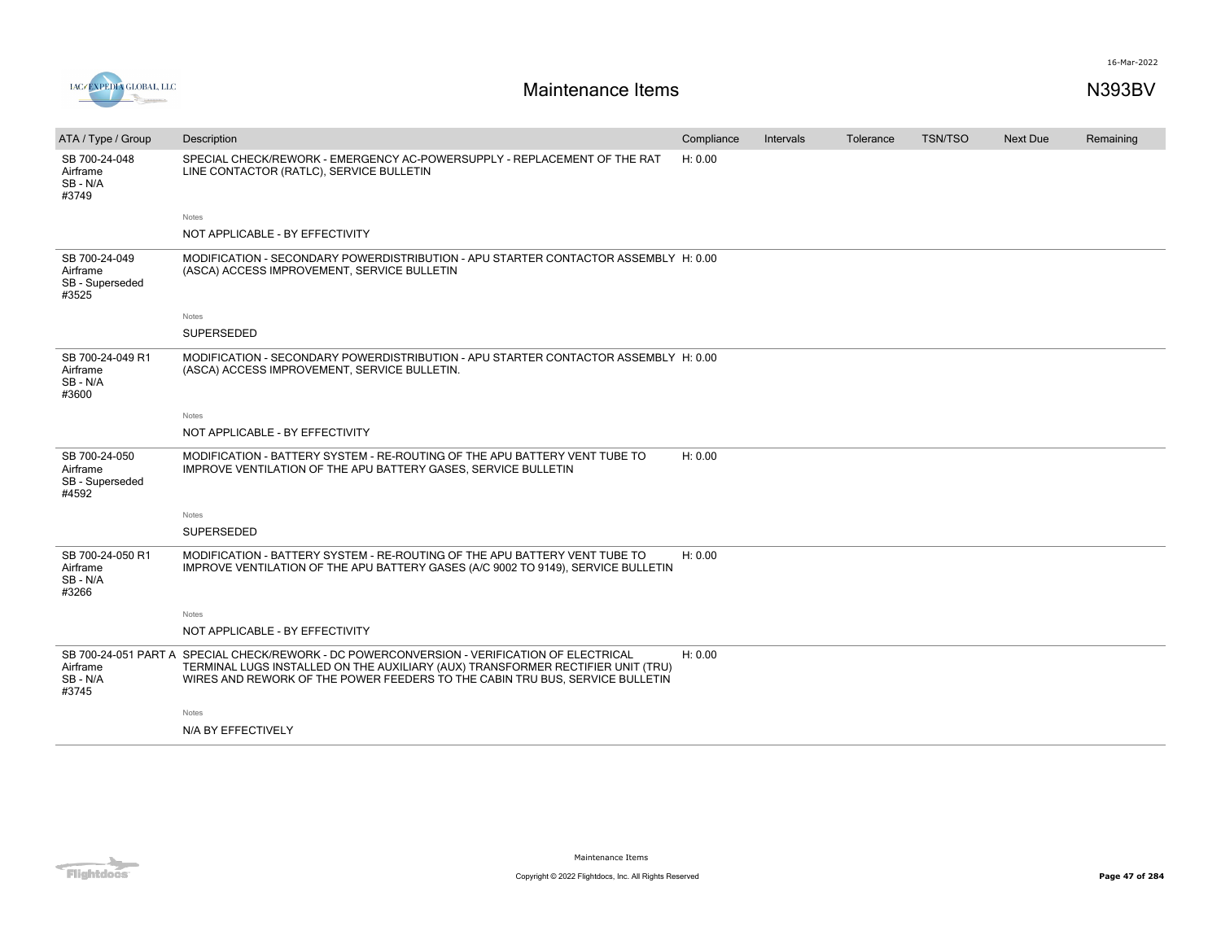

| ATA / Type / Group                                    | Description                                                                                                                                                                                                                                                    | Compliance | Intervals | Tolerance | <b>TSN/TSO</b> | <b>Next Due</b> | Remaining |
|-------------------------------------------------------|----------------------------------------------------------------------------------------------------------------------------------------------------------------------------------------------------------------------------------------------------------------|------------|-----------|-----------|----------------|-----------------|-----------|
| SB 700-24-048<br>Airframe<br>SB-N/A<br>#3749          | SPECIAL CHECK/REWORK - EMERGENCY AC-POWERSUPPLY - REPLACEMENT OF THE RAT<br>LINE CONTACTOR (RATLC), SERVICE BULLETIN                                                                                                                                           | H: 0.00    |           |           |                |                 |           |
|                                                       | Notes                                                                                                                                                                                                                                                          |            |           |           |                |                 |           |
|                                                       | NOT APPLICABLE - BY EFFECTIVITY                                                                                                                                                                                                                                |            |           |           |                |                 |           |
| SB 700-24-049<br>Airframe<br>SB - Superseded<br>#3525 | MODIFICATION - SECONDARY POWERDISTRIBUTION - APU STARTER CONTACTOR ASSEMBLY H: 0.00<br>(ASCA) ACCESS IMPROVEMENT, SERVICE BULLETIN                                                                                                                             |            |           |           |                |                 |           |
|                                                       | Notes                                                                                                                                                                                                                                                          |            |           |           |                |                 |           |
|                                                       | SUPERSEDED                                                                                                                                                                                                                                                     |            |           |           |                |                 |           |
| SB 700-24-049 R1<br>Airframe<br>SB-N/A<br>#3600       | MODIFICATION - SECONDARY POWERDISTRIBUTION - APU STARTER CONTACTOR ASSEMBLY H: 0.00<br>(ASCA) ACCESS IMPROVEMENT, SERVICE BULLETIN.                                                                                                                            |            |           |           |                |                 |           |
|                                                       | Notes                                                                                                                                                                                                                                                          |            |           |           |                |                 |           |
|                                                       | NOT APPLICABLE - BY EFFECTIVITY                                                                                                                                                                                                                                |            |           |           |                |                 |           |
| SB 700-24-050<br>Airframe<br>SB - Superseded<br>#4592 | MODIFICATION - BATTERY SYSTEM - RE-ROUTING OF THE APU BATTERY VENT TUBE TO<br>IMPROVE VENTILATION OF THE APU BATTERY GASES, SERVICE BULLETIN                                                                                                                   | H: 0.00    |           |           |                |                 |           |
|                                                       | Notes                                                                                                                                                                                                                                                          |            |           |           |                |                 |           |
|                                                       | SUPERSEDED                                                                                                                                                                                                                                                     |            |           |           |                |                 |           |
| SB 700-24-050 R1<br>Airframe<br>SB - N/A<br>#3266     | MODIFICATION - BATTERY SYSTEM - RE-ROUTING OF THE APU BATTERY VENT TUBE TO<br>IMPROVE VENTILATION OF THE APU BATTERY GASES (A/C 9002 TO 9149), SERVICE BULLETIN                                                                                                | H: 0.00    |           |           |                |                 |           |
|                                                       | Notes                                                                                                                                                                                                                                                          |            |           |           |                |                 |           |
|                                                       | NOT APPLICABLE - BY EFFECTIVITY                                                                                                                                                                                                                                |            |           |           |                |                 |           |
| Airframe<br>SB-N/A<br>#3745                           | SB 700-24-051 PART A SPECIAL CHECK/REWORK - DC POWERCONVERSION - VERIFICATION OF ELECTRICAL<br>TERMINAL LUGS INSTALLED ON THE AUXILIARY (AUX) TRANSFORMER RECTIFIER UNIT (TRU)<br>WIRES AND REWORK OF THE POWER FEEDERS TO THE CABIN TRU BUS, SERVICE BULLETIN | H: 0.00    |           |           |                |                 |           |
|                                                       | Notes                                                                                                                                                                                                                                                          |            |           |           |                |                 |           |
|                                                       | N/A BY EFFECTIVELY                                                                                                                                                                                                                                             |            |           |           |                |                 |           |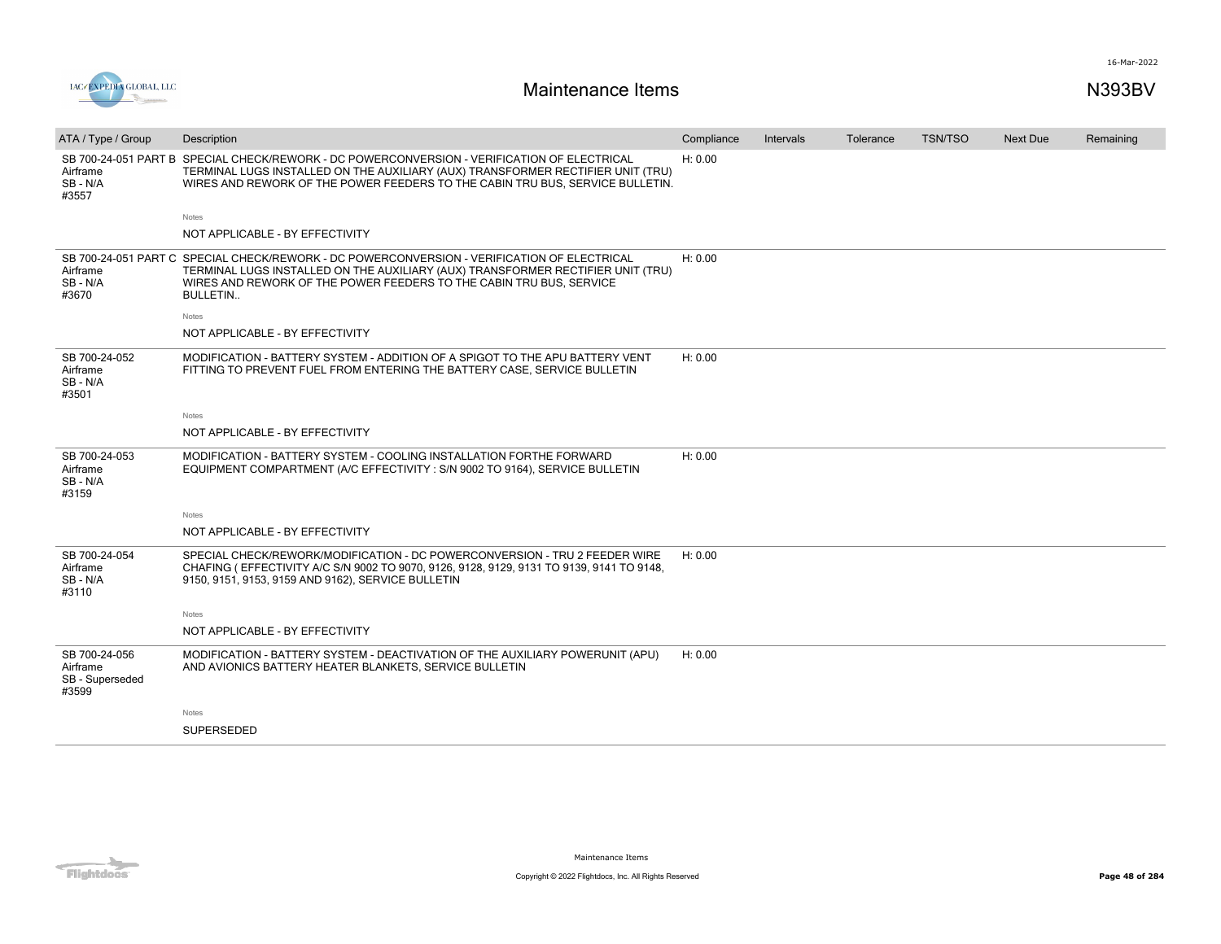

| ATA / Type / Group                                    | Description                                                                                                                                                                                                                                                       | Compliance | Intervals | Tolerance | <b>TSN/TSO</b> | Next Due | Remaining |
|-------------------------------------------------------|-------------------------------------------------------------------------------------------------------------------------------------------------------------------------------------------------------------------------------------------------------------------|------------|-----------|-----------|----------------|----------|-----------|
| Airframe<br>SB - N/A<br>#3557                         | SB 700-24-051 PART B SPECIAL CHECK/REWORK - DC POWERCONVERSION - VERIFICATION OF ELECTRICAL<br>TERMINAL LUGS INSTALLED ON THE AUXILIARY (AUX) TRANSFORMER RECTIFIER UNIT (TRU)<br>WIRES AND REWORK OF THE POWER FEEDERS TO THE CABIN TRU BUS, SERVICE BULLETIN.   | H: 0.00    |           |           |                |          |           |
|                                                       | Notes                                                                                                                                                                                                                                                             |            |           |           |                |          |           |
|                                                       | NOT APPLICABLE - BY EFFECTIVITY                                                                                                                                                                                                                                   |            |           |           |                |          |           |
| Airframe<br>SB - N/A<br>#3670                         | SB 700-24-051 PART C SPECIAL CHECK/REWORK - DC POWERCONVERSION - VERIFICATION OF ELECTRICAL<br>TERMINAL LUGS INSTALLED ON THE AUXILIARY (AUX) TRANSFORMER RECTIFIER UNIT (TRU)<br>WIRES AND REWORK OF THE POWER FEEDERS TO THE CABIN TRU BUS, SERVICE<br>BULLETIN | H: 0.00    |           |           |                |          |           |
|                                                       | Notes                                                                                                                                                                                                                                                             |            |           |           |                |          |           |
|                                                       | NOT APPLICABLE - BY EFFECTIVITY                                                                                                                                                                                                                                   |            |           |           |                |          |           |
| SB 700-24-052<br>Airframe<br>SB - N/A<br>#3501        | MODIFICATION - BATTERY SYSTEM - ADDITION OF A SPIGOT TO THE APU BATTERY VENT<br>FITTING TO PREVENT FUEL FROM ENTERING THE BATTERY CASE, SERVICE BULLETIN                                                                                                          | H: 0.00    |           |           |                |          |           |
|                                                       | Notes                                                                                                                                                                                                                                                             |            |           |           |                |          |           |
|                                                       | NOT APPLICABLE - BY EFFECTIVITY                                                                                                                                                                                                                                   |            |           |           |                |          |           |
| SB 700-24-053<br>Airframe<br>SB - N/A<br>#3159        | MODIFICATION - BATTERY SYSTEM - COOLING INSTALLATION FORTHE FORWARD<br>EQUIPMENT COMPARTMENT (A/C EFFECTIVITY : S/N 9002 TO 9164), SERVICE BULLETIN                                                                                                               | H: 0.00    |           |           |                |          |           |
|                                                       | Notes                                                                                                                                                                                                                                                             |            |           |           |                |          |           |
|                                                       | NOT APPLICABLE - BY EFFECTIVITY                                                                                                                                                                                                                                   |            |           |           |                |          |           |
| SB 700-24-054<br>Airframe<br>SB - N/A<br>#3110        | SPECIAL CHECK/REWORK/MODIFICATION - DC POWERCONVERSION - TRU 2 FEEDER WIRE<br>CHAFING (EFFECTIVITY A/C S/N 9002 TO 9070, 9126, 9128, 9129, 9131 TO 9139, 9141 TO 9148,<br>9150, 9151, 9153, 9159 AND 9162), SERVICE BULLETIN                                      | H: 0.00    |           |           |                |          |           |
|                                                       | Notes                                                                                                                                                                                                                                                             |            |           |           |                |          |           |
|                                                       | NOT APPLICABLE - BY EFFECTIVITY                                                                                                                                                                                                                                   |            |           |           |                |          |           |
| SB 700-24-056<br>Airframe<br>SB - Superseded<br>#3599 | MODIFICATION - BATTERY SYSTEM - DEACTIVATION OF THE AUXILIARY POWERUNIT (APU)<br>AND AVIONICS BATTERY HEATER BLANKETS, SERVICE BULLETIN                                                                                                                           | H: 0.00    |           |           |                |          |           |
|                                                       | Notes                                                                                                                                                                                                                                                             |            |           |           |                |          |           |
|                                                       | <b>SUPERSEDED</b>                                                                                                                                                                                                                                                 |            |           |           |                |          |           |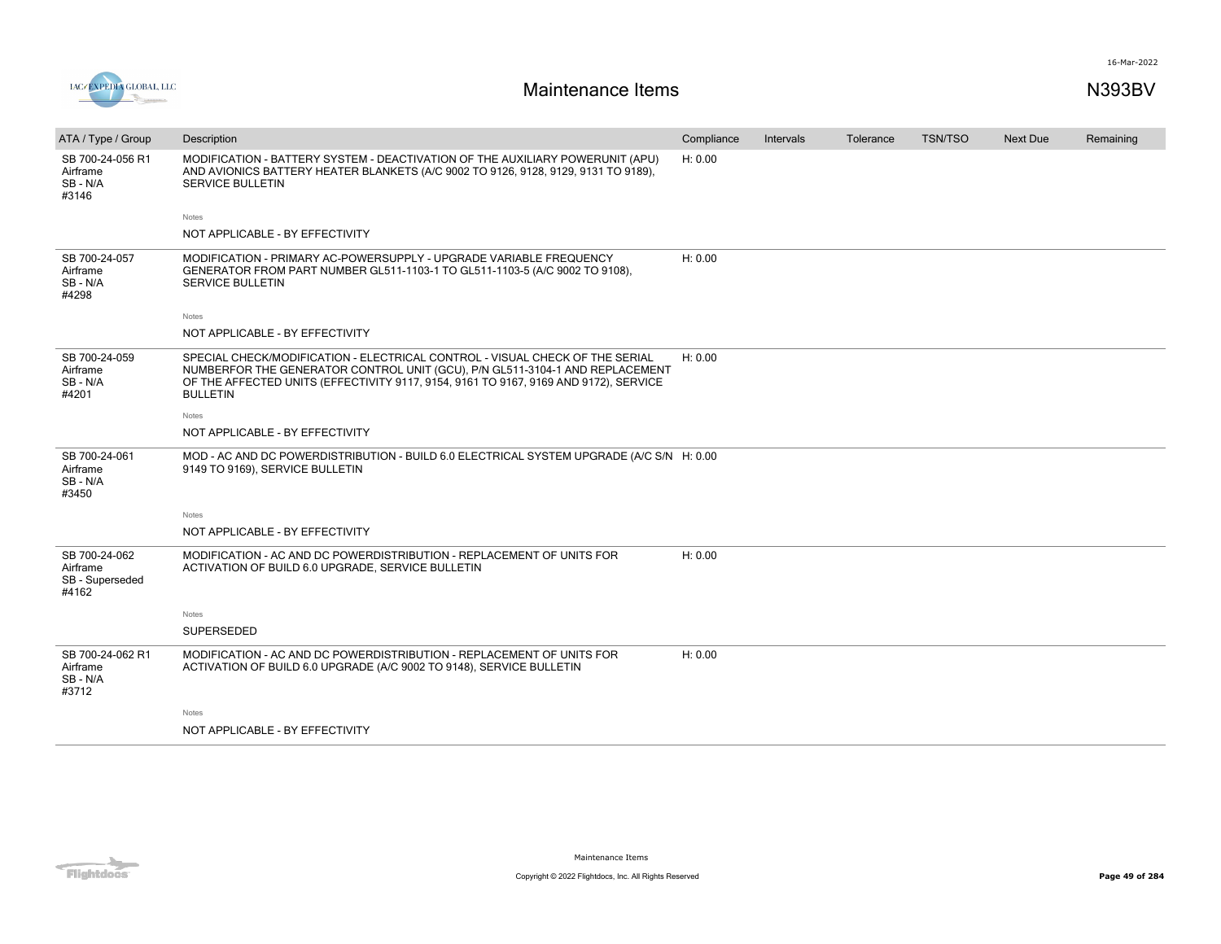



| ATA / Type / Group                                    | Description                                                                                                                                                                                                                                                             | Compliance | Intervals | Tolerance | <b>TSN/TSO</b> | Next Due | Remaining |
|-------------------------------------------------------|-------------------------------------------------------------------------------------------------------------------------------------------------------------------------------------------------------------------------------------------------------------------------|------------|-----------|-----------|----------------|----------|-----------|
| SB 700-24-056 R1<br>Airframe<br>SB-N/A<br>#3146       | MODIFICATION - BATTERY SYSTEM - DEACTIVATION OF THE AUXILIARY POWERUNIT (APU)<br>AND AVIONICS BATTERY HEATER BLANKETS (A/C 9002 TO 9126, 9128, 9129, 9131 TO 9189),<br><b>SERVICE BULLETIN</b>                                                                          | H: 0.00    |           |           |                |          |           |
|                                                       | Notes                                                                                                                                                                                                                                                                   |            |           |           |                |          |           |
|                                                       | NOT APPLICABLE - BY EFFECTIVITY                                                                                                                                                                                                                                         |            |           |           |                |          |           |
| SB 700-24-057<br>Airframe<br>SB-N/A<br>#4298          | MODIFICATION - PRIMARY AC-POWERSUPPLY - UPGRADE VARIABLE FREQUENCY<br>GENERATOR FROM PART NUMBER GL511-1103-1 TO GL511-1103-5 (A/C 9002 TO 9108),<br><b>SERVICE BULLETIN</b>                                                                                            | H: 0.00    |           |           |                |          |           |
|                                                       | Notes                                                                                                                                                                                                                                                                   |            |           |           |                |          |           |
|                                                       | NOT APPLICABLE - BY EFFECTIVITY                                                                                                                                                                                                                                         |            |           |           |                |          |           |
| SB 700-24-059<br>Airframe<br>SB-N/A<br>#4201          | SPECIAL CHECK/MODIFICATION - ELECTRICAL CONTROL - VISUAL CHECK OF THE SERIAL<br>NUMBERFOR THE GENERATOR CONTROL UNIT (GCU), P/N GL511-3104-1 AND REPLACEMENT<br>OF THE AFFECTED UNITS (EFFECTIVITY 9117, 9154, 9161 TO 9167, 9169 AND 9172), SERVICE<br><b>BULLETIN</b> | H: 0.00    |           |           |                |          |           |
|                                                       | Notes                                                                                                                                                                                                                                                                   |            |           |           |                |          |           |
|                                                       | NOT APPLICABLE - BY EFFECTIVITY                                                                                                                                                                                                                                         |            |           |           |                |          |           |
| SB 700-24-061<br>Airframe<br>SB-N/A<br>#3450          | MOD - AC AND DC POWERDISTRIBUTION - BUILD 6.0 ELECTRICAL SYSTEM UPGRADE (A/C S/N H: 0.00<br>9149 TO 9169), SERVICE BULLETIN                                                                                                                                             |            |           |           |                |          |           |
|                                                       | <b>Notes</b>                                                                                                                                                                                                                                                            |            |           |           |                |          |           |
|                                                       | NOT APPLICABLE - BY EFFECTIVITY                                                                                                                                                                                                                                         |            |           |           |                |          |           |
| SB 700-24-062<br>Airframe<br>SB - Superseded<br>#4162 | MODIFICATION - AC AND DC POWERDISTRIBUTION - REPLACEMENT OF UNITS FOR<br>ACTIVATION OF BUILD 6.0 UPGRADE, SERVICE BULLETIN                                                                                                                                              | H: 0.00    |           |           |                |          |           |
|                                                       | Notes                                                                                                                                                                                                                                                                   |            |           |           |                |          |           |
|                                                       | SUPERSEDED                                                                                                                                                                                                                                                              |            |           |           |                |          |           |
| SB 700-24-062 R1<br>Airframe<br>SB-N/A<br>#3712       | MODIFICATION - AC AND DC POWERDISTRIBUTION - REPLACEMENT OF UNITS FOR<br>ACTIVATION OF BUILD 6.0 UPGRADE (A/C 9002 TO 9148), SERVICE BULLETIN                                                                                                                           | H: 0.00    |           |           |                |          |           |
|                                                       | Notes                                                                                                                                                                                                                                                                   |            |           |           |                |          |           |
|                                                       | NOT APPLICABLE - BY EFFECTIVITY                                                                                                                                                                                                                                         |            |           |           |                |          |           |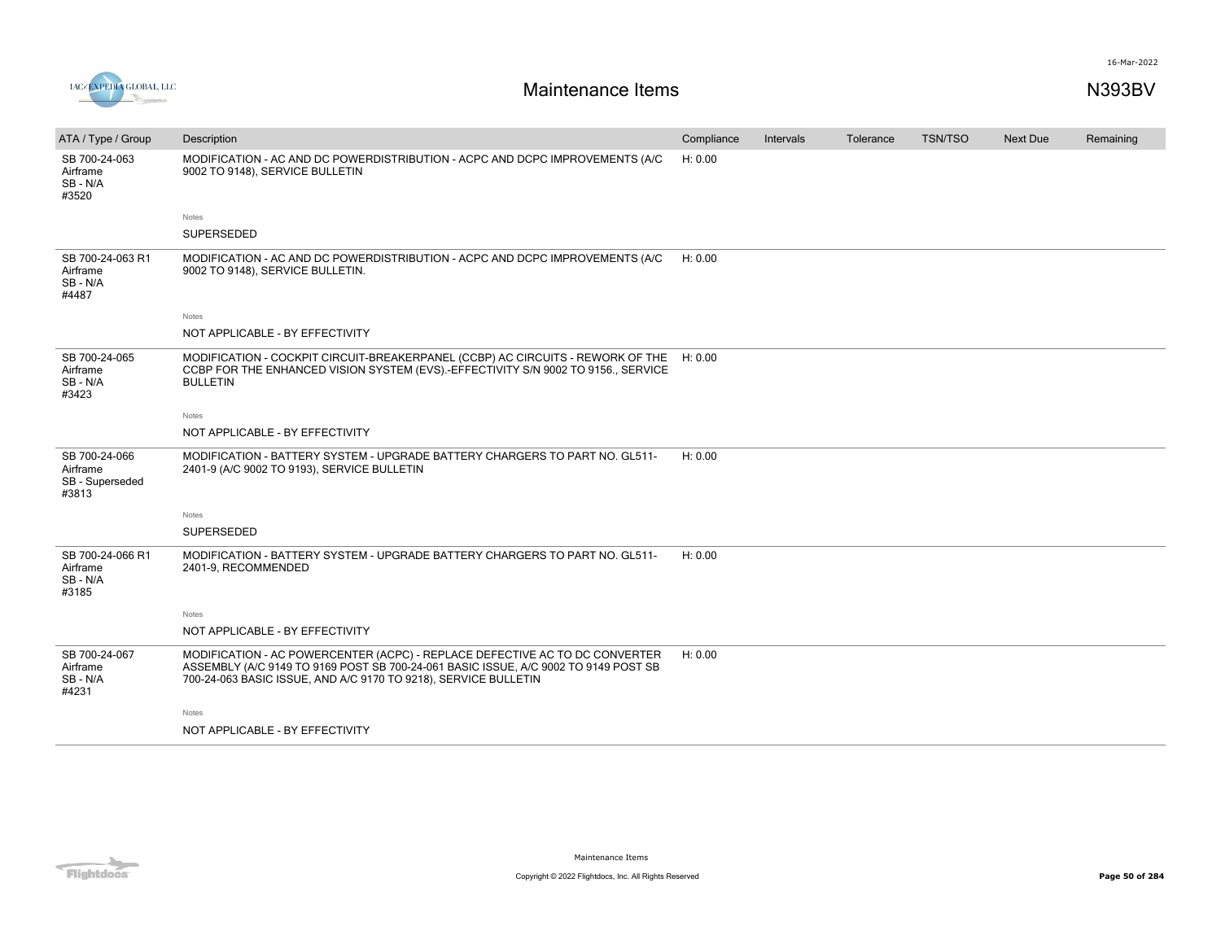

| ATA / Type / Group                                    | Description                                                                                                                                                                                                                           | Compliance | Intervals | Tolerance | TSN/TSO | <b>Next Due</b> | Remaining |
|-------------------------------------------------------|---------------------------------------------------------------------------------------------------------------------------------------------------------------------------------------------------------------------------------------|------------|-----------|-----------|---------|-----------------|-----------|
| SB 700-24-063<br>Airframe<br>$SB - N/A$<br>#3520      | MODIFICATION - AC AND DC POWERDISTRIBUTION - ACPC AND DCPC IMPROVEMENTS (A/C<br>9002 TO 9148), SERVICE BULLETIN                                                                                                                       | H: 0.00    |           |           |         |                 |           |
|                                                       | Notes                                                                                                                                                                                                                                 |            |           |           |         |                 |           |
|                                                       | <b>SUPERSEDED</b>                                                                                                                                                                                                                     |            |           |           |         |                 |           |
| SB 700-24-063 R1<br>Airframe<br>SB-N/A<br>#4487       | MODIFICATION - AC AND DC POWERDISTRIBUTION - ACPC AND DCPC IMPROVEMENTS (A/C<br>9002 TO 9148), SERVICE BULLETIN.                                                                                                                      | H: 0.00    |           |           |         |                 |           |
|                                                       | Notes                                                                                                                                                                                                                                 |            |           |           |         |                 |           |
|                                                       | NOT APPLICABLE - BY EFFECTIVITY                                                                                                                                                                                                       |            |           |           |         |                 |           |
| SB 700-24-065<br>Airframe<br>SB - N/A<br>#3423        | MODIFICATION - COCKPIT CIRCUIT-BREAKERPANEL (CCBP) AC CIRCUITS - REWORK OF THE H: 0.00<br>CCBP FOR THE ENHANCED VISION SYSTEM (EVS).-EFFECTIVITY S/N 9002 TO 9156., SERVICE<br><b>BULLETIN</b>                                        |            |           |           |         |                 |           |
|                                                       | Notes                                                                                                                                                                                                                                 |            |           |           |         |                 |           |
|                                                       | NOT APPLICABLE - BY EFFECTIVITY                                                                                                                                                                                                       |            |           |           |         |                 |           |
| SB 700-24-066<br>Airframe<br>SB - Superseded<br>#3813 | MODIFICATION - BATTERY SYSTEM - UPGRADE BATTERY CHARGERS TO PART NO. GL511-<br>2401-9 (A/C 9002 TO 9193), SERVICE BULLETIN                                                                                                            | H: 0.00    |           |           |         |                 |           |
|                                                       | Notes                                                                                                                                                                                                                                 |            |           |           |         |                 |           |
|                                                       | <b>SUPERSEDED</b>                                                                                                                                                                                                                     |            |           |           |         |                 |           |
| SB 700-24-066 R1<br>Airframe<br>SB-N/A<br>#3185       | MODIFICATION - BATTERY SYSTEM - UPGRADE BATTERY CHARGERS TO PART NO. GL511-<br>2401-9, RECOMMENDED                                                                                                                                    | H: 0.00    |           |           |         |                 |           |
|                                                       | Notes                                                                                                                                                                                                                                 |            |           |           |         |                 |           |
|                                                       | NOT APPLICABLE - BY EFFECTIVITY                                                                                                                                                                                                       |            |           |           |         |                 |           |
| SB 700-24-067<br>Airframe<br>SB-N/A<br>#4231          | MODIFICATION - AC POWERCENTER (ACPC) - REPLACE DEFECTIVE AC TO DC CONVERTER<br>ASSEMBLY (A/C 9149 TO 9169 POST SB 700-24-061 BASIC ISSUE, A/C 9002 TO 9149 POST SB<br>700-24-063 BASIC ISSUE, AND A/C 9170 TO 9218), SERVICE BULLETIN | H: 0.00    |           |           |         |                 |           |
|                                                       | Notes                                                                                                                                                                                                                                 |            |           |           |         |                 |           |
|                                                       | NOT APPLICABLE - BY EFFECTIVITY                                                                                                                                                                                                       |            |           |           |         |                 |           |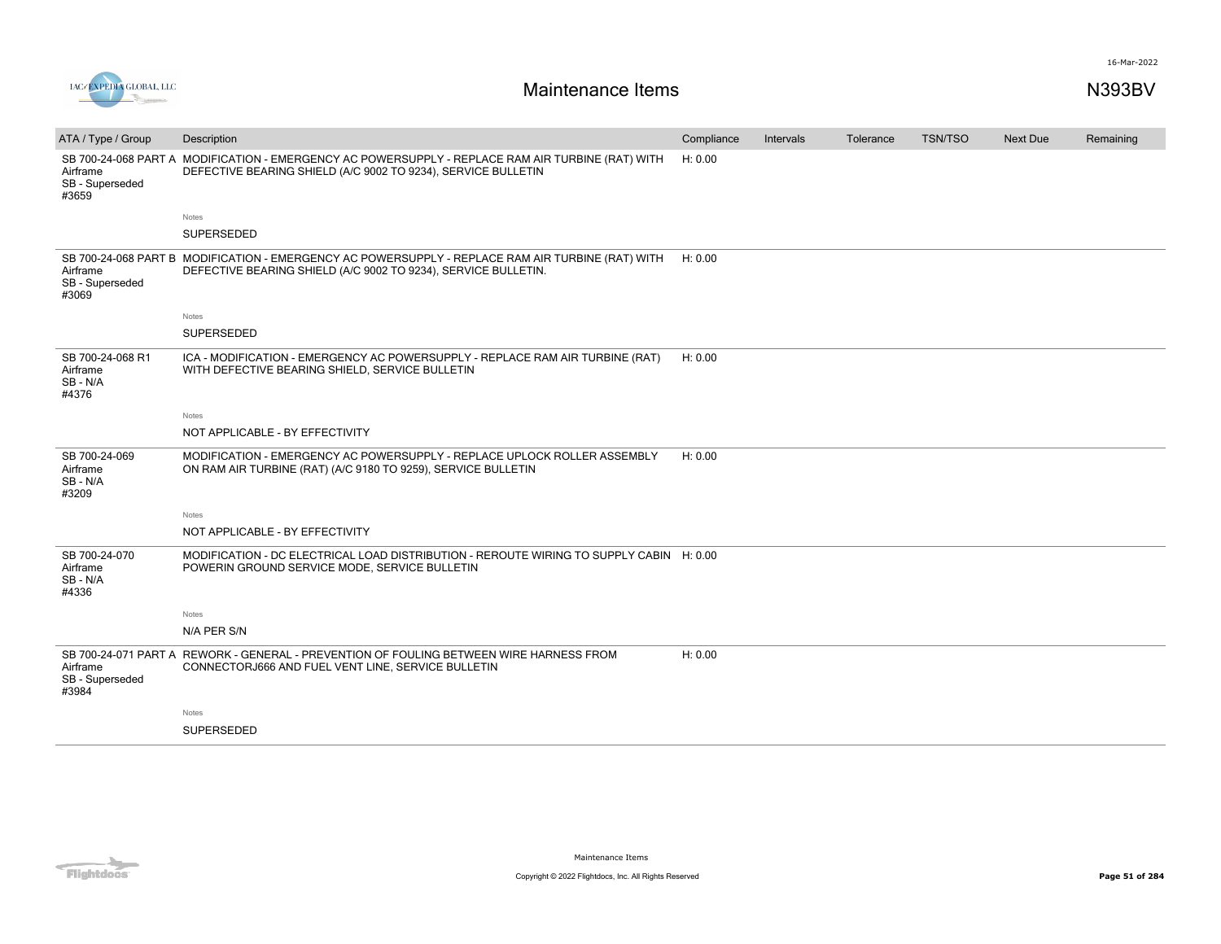

| ATA / Type / Group                                | Description                                                                                                                                                         | Compliance | Intervals | Tolerance | <b>TSN/TSO</b> | <b>Next Due</b> | Remaining |
|---------------------------------------------------|---------------------------------------------------------------------------------------------------------------------------------------------------------------------|------------|-----------|-----------|----------------|-----------------|-----------|
| Airframe<br>SB - Superseded<br>#3659              | SB 700-24-068 PART A MODIFICATION - EMERGENCY AC POWERSUPPLY - REPLACE RAM AIR TURBINE (RAT) WITH<br>DEFECTIVE BEARING SHIELD (A/C 9002 TO 9234), SERVICE BULLETIN  | H: 0.00    |           |           |                |                 |           |
|                                                   | Notes                                                                                                                                                               |            |           |           |                |                 |           |
|                                                   | SUPERSEDED                                                                                                                                                          |            |           |           |                |                 |           |
| Airframe<br>SB - Superseded<br>#3069              | SB 700-24-068 PART B MODIFICATION - EMERGENCY AC POWERSUPPLY - REPLACE RAM AIR TURBINE (RAT) WITH<br>DEFECTIVE BEARING SHIELD (A/C 9002 TO 9234), SERVICE BULLETIN. | H: 0.00    |           |           |                |                 |           |
|                                                   | <b>Notes</b>                                                                                                                                                        |            |           |           |                |                 |           |
|                                                   | SUPERSEDED                                                                                                                                                          |            |           |           |                |                 |           |
| SB 700-24-068 R1<br>Airframe<br>SB - N/A<br>#4376 | ICA - MODIFICATION - EMERGENCY AC POWERSUPPLY - REPLACE RAM AIR TURBINE (RAT)<br>WITH DEFECTIVE BEARING SHIELD, SERVICE BULLETIN                                    | H: 0.00    |           |           |                |                 |           |
|                                                   | Notes                                                                                                                                                               |            |           |           |                |                 |           |
|                                                   | NOT APPLICABLE - BY EFFECTIVITY                                                                                                                                     |            |           |           |                |                 |           |
| SB 700-24-069<br>Airframe<br>SB - N/A<br>#3209    | MODIFICATION - EMERGENCY AC POWERSUPPLY - REPLACE UPLOCK ROLLER ASSEMBLY<br>ON RAM AIR TURBINE (RAT) (A/C 9180 TO 9259), SERVICE BULLETIN                           | H: 0.00    |           |           |                |                 |           |
|                                                   | Notes                                                                                                                                                               |            |           |           |                |                 |           |
|                                                   | NOT APPLICABLE - BY EFFECTIVITY                                                                                                                                     |            |           |           |                |                 |           |
| SB 700-24-070<br>Airframe<br>SB - N/A<br>#4336    | MODIFICATION - DC ELECTRICAL LOAD DISTRIBUTION - REROUTE WIRING TO SUPPLY CABIN H: 0.00<br>POWERIN GROUND SERVICE MODE, SERVICE BULLETIN                            |            |           |           |                |                 |           |
|                                                   | Notes                                                                                                                                                               |            |           |           |                |                 |           |
|                                                   | N/A PER S/N                                                                                                                                                         |            |           |           |                |                 |           |
| Airframe<br>SB - Superseded<br>#3984              | SB 700-24-071 PART A REWORK - GENERAL - PREVENTION OF FOULING BETWEEN WIRE HARNESS FROM<br>CONNECTORJ666 AND FUEL VENT LINE, SERVICE BULLETIN                       | H: 0.00    |           |           |                |                 |           |
|                                                   | Notes                                                                                                                                                               |            |           |           |                |                 |           |
|                                                   | <b>SUPERSEDED</b>                                                                                                                                                   |            |           |           |                |                 |           |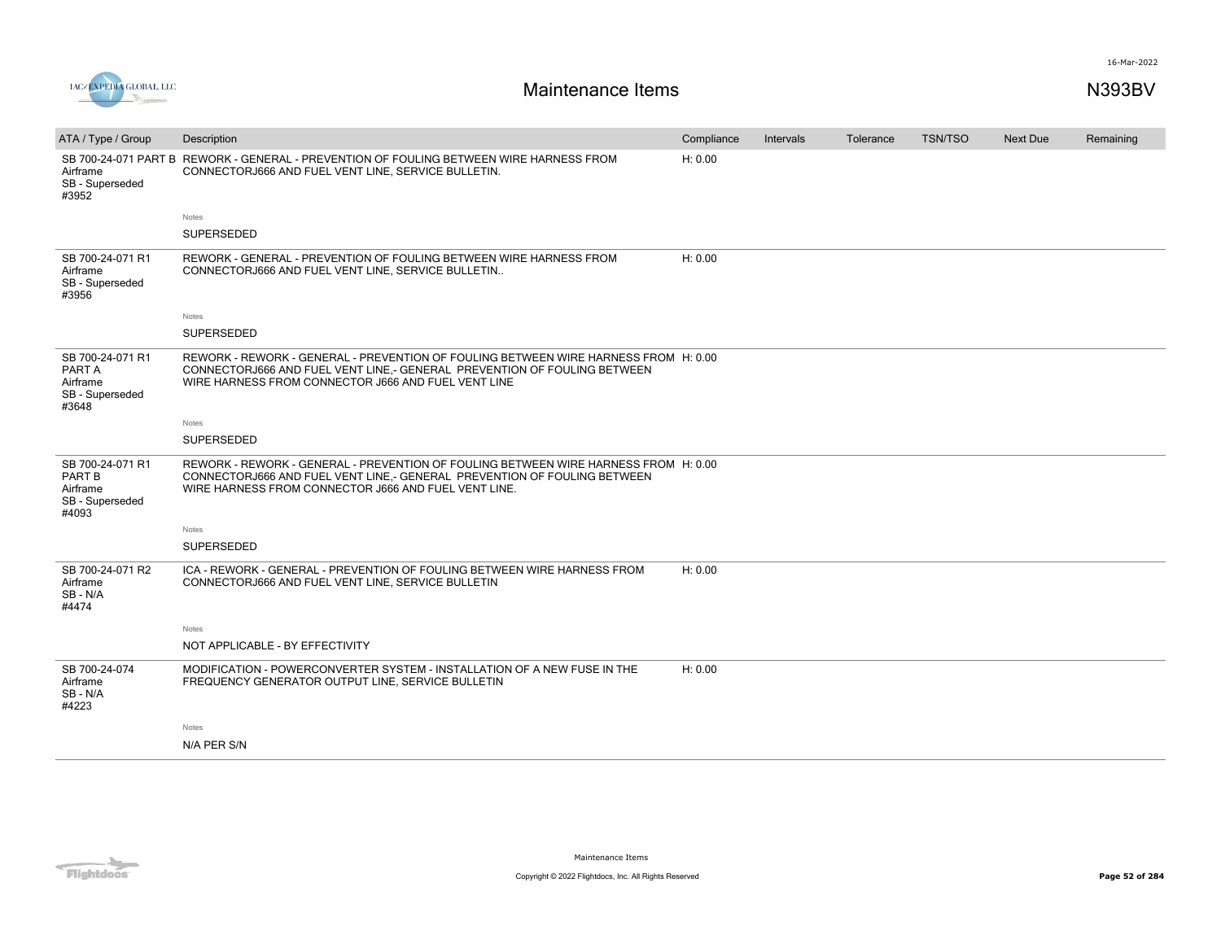

| ATA / Type / Group                                                 | Description                                                                                                                                                                                                             | Compliance | Intervals | Tolerance | TSN/TSO | Next Due | Remaining |
|--------------------------------------------------------------------|-------------------------------------------------------------------------------------------------------------------------------------------------------------------------------------------------------------------------|------------|-----------|-----------|---------|----------|-----------|
| Airframe<br>SB - Superseded<br>#3952                               | SB 700-24-071 PART B REWORK - GENERAL - PREVENTION OF FOULING BETWEEN WIRE HARNESS FROM<br>CONNECTORJ666 AND FUEL VENT LINE. SERVICE BULLETIN.                                                                          | H: 0.00    |           |           |         |          |           |
|                                                                    | Notes                                                                                                                                                                                                                   |            |           |           |         |          |           |
|                                                                    | SUPERSEDED                                                                                                                                                                                                              |            |           |           |         |          |           |
| SB 700-24-071 R1<br>Airframe<br>SB - Superseded<br>#3956           | REWORK - GENERAL - PREVENTION OF FOULING BETWEEN WIRE HARNESS FROM<br>CONNECTORJ666 AND FUEL VENT LINE, SERVICE BULLETIN                                                                                                | H: 0.00    |           |           |         |          |           |
|                                                                    | Notes                                                                                                                                                                                                                   |            |           |           |         |          |           |
|                                                                    | <b>SUPERSEDED</b>                                                                                                                                                                                                       |            |           |           |         |          |           |
| SB 700-24-071 R1<br>PART A<br>Airframe<br>SB - Superseded<br>#3648 | REWORK - REWORK - GENERAL - PREVENTION OF FOULING BETWEEN WIRE HARNESS FROM H: 0.00<br>CONNECTORJ666 AND FUEL VENT LINE,- GENERAL PREVENTION OF FOULING BETWEEN<br>WIRE HARNESS FROM CONNECTOR J666 AND FUEL VENT LINE  |            |           |           |         |          |           |
|                                                                    | Notes                                                                                                                                                                                                                   |            |           |           |         |          |           |
|                                                                    | SUPERSEDED                                                                                                                                                                                                              |            |           |           |         |          |           |
| SB 700-24-071 R1<br>PART B<br>Airframe<br>SB - Superseded<br>#4093 | REWORK - REWORK - GENERAL - PREVENTION OF FOULING BETWEEN WIRE HARNESS FROM H: 0.00<br>CONNECTORJ666 AND FUEL VENT LINE.- GENERAL PREVENTION OF FOULING BETWEEN<br>WIRE HARNESS FROM CONNECTOR J666 AND FUEL VENT LINE. |            |           |           |         |          |           |
|                                                                    | Notes                                                                                                                                                                                                                   |            |           |           |         |          |           |
|                                                                    | <b>SUPERSEDED</b>                                                                                                                                                                                                       |            |           |           |         |          |           |
| SB 700-24-071 R2<br>Airframe<br>SB-N/A<br>#4474                    | ICA - REWORK - GENERAL - PREVENTION OF FOULING BETWEEN WIRE HARNESS FROM<br>CONNECTORJ666 AND FUEL VENT LINE, SERVICE BULLETIN                                                                                          | H: 0.00    |           |           |         |          |           |
|                                                                    | Notes                                                                                                                                                                                                                   |            |           |           |         |          |           |
|                                                                    | NOT APPLICABLE - BY EFFECTIVITY                                                                                                                                                                                         |            |           |           |         |          |           |
| SB 700-24-074<br>Airframe<br>SB - N/A<br>#4223                     | MODIFICATION - POWERCONVERTER SYSTEM - INSTALLATION OF A NEW FUSE IN THE<br>FREQUENCY GENERATOR OUTPUT LINE, SERVICE BULLETIN                                                                                           | H: 0.00    |           |           |         |          |           |
|                                                                    | Notes                                                                                                                                                                                                                   |            |           |           |         |          |           |
|                                                                    | N/A PER S/N                                                                                                                                                                                                             |            |           |           |         |          |           |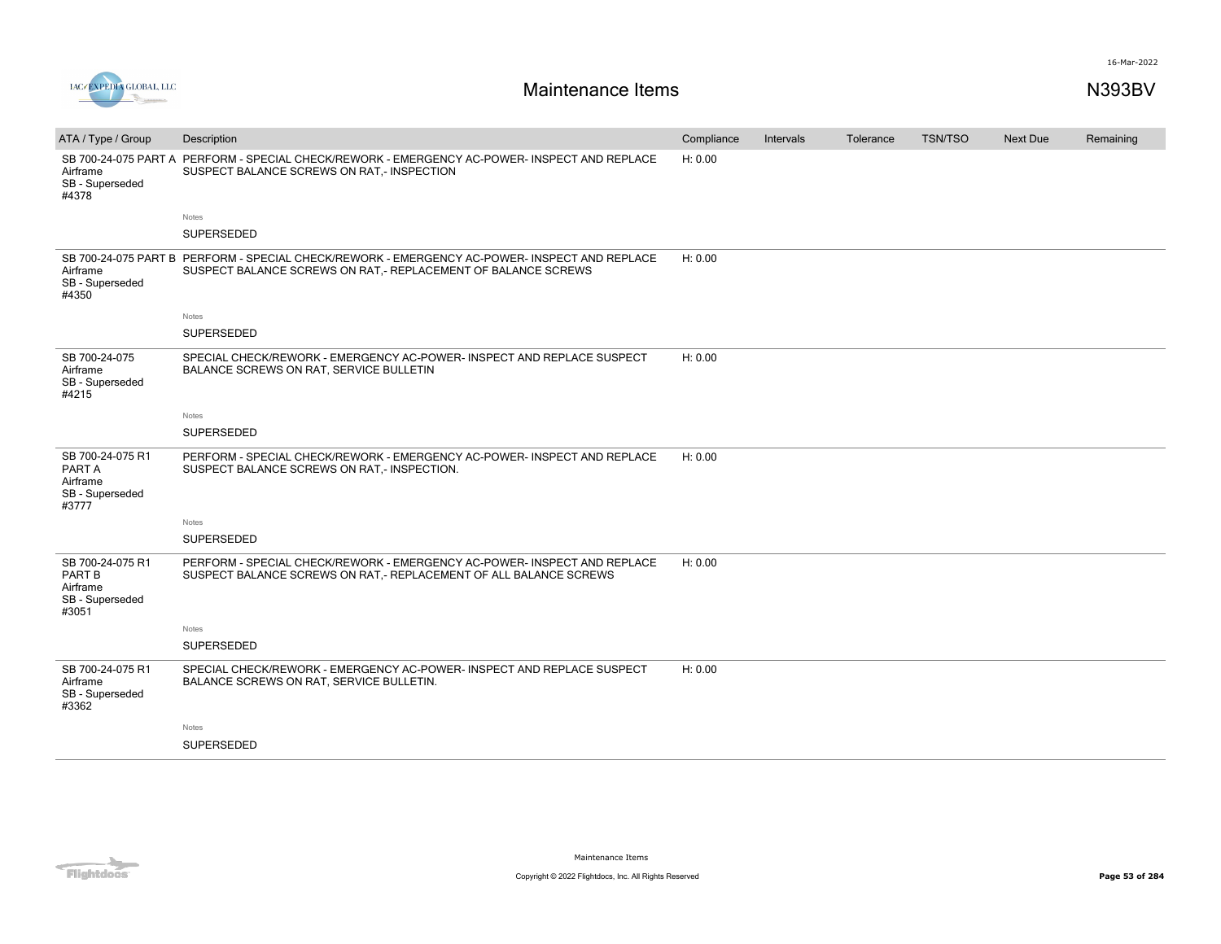

| ATA / Type / Group                                                 | Description                                                                                                                                                    | Compliance | Intervals | Tolerance | <b>TSN/TSO</b> | <b>Next Due</b> | Remaining |
|--------------------------------------------------------------------|----------------------------------------------------------------------------------------------------------------------------------------------------------------|------------|-----------|-----------|----------------|-----------------|-----------|
| Airframe<br>SB - Superseded<br>#4378                               | SB 700-24-075 PART A PERFORM - SPECIAL CHECK/REWORK - EMERGENCY AC-POWER- INSPECT AND REPLACE<br>SUSPECT BALANCE SCREWS ON RAT,- INSPECTION                    | H: 0.00    |           |           |                |                 |           |
|                                                                    | Notes                                                                                                                                                          |            |           |           |                |                 |           |
|                                                                    | SUPERSEDED                                                                                                                                                     |            |           |           |                |                 |           |
| Airframe<br>SB - Superseded<br>#4350                               | SB 700-24-075 PART B PERFORM - SPECIAL CHECK/REWORK - EMERGENCY AC-POWER- INSPECT AND REPLACE<br>SUSPECT BALANCE SCREWS ON RAT,- REPLACEMENT OF BALANCE SCREWS | H: 0.00    |           |           |                |                 |           |
|                                                                    | Notes                                                                                                                                                          |            |           |           |                |                 |           |
|                                                                    | SUPERSEDED                                                                                                                                                     |            |           |           |                |                 |           |
| SB 700-24-075<br>Airframe<br>SB - Superseded<br>#4215              | SPECIAL CHECK/REWORK - EMERGENCY AC-POWER- INSPECT AND REPLACE SUSPECT<br>BALANCE SCREWS ON RAT, SERVICE BULLETIN                                              | H: 0.00    |           |           |                |                 |           |
|                                                                    | Notes                                                                                                                                                          |            |           |           |                |                 |           |
|                                                                    | SUPERSEDED                                                                                                                                                     |            |           |           |                |                 |           |
| SB 700-24-075 R1<br>PART A<br>Airframe<br>SB - Superseded<br>#3777 | PERFORM - SPECIAL CHECK/REWORK - EMERGENCY AC-POWER- INSPECT AND REPLACE<br>SUSPECT BALANCE SCREWS ON RAT,- INSPECTION.                                        | H: 0.00    |           |           |                |                 |           |
|                                                                    | Notes                                                                                                                                                          |            |           |           |                |                 |           |
|                                                                    | SUPERSEDED                                                                                                                                                     |            |           |           |                |                 |           |
| SB 700-24-075 R1<br>PART B<br>Airframe<br>SB - Superseded<br>#3051 | PERFORM - SPECIAL CHECK/REWORK - EMERGENCY AC-POWER- INSPECT AND REPLACE<br>SUSPECT BALANCE SCREWS ON RAT,- REPLACEMENT OF ALL BALANCE SCREWS                  | H: 0.00    |           |           |                |                 |           |
|                                                                    | Notes                                                                                                                                                          |            |           |           |                |                 |           |
|                                                                    | <b>SUPERSEDED</b>                                                                                                                                              |            |           |           |                |                 |           |
| SB 700-24-075 R1<br>Airframe<br>SB - Superseded<br>#3362           | SPECIAL CHECK/REWORK - EMERGENCY AC-POWER- INSPECT AND REPLACE SUSPECT<br>BALANCE SCREWS ON RAT, SERVICE BULLETIN.                                             | H: 0.00    |           |           |                |                 |           |
|                                                                    | Notes                                                                                                                                                          |            |           |           |                |                 |           |
|                                                                    | SUPERSEDED                                                                                                                                                     |            |           |           |                |                 |           |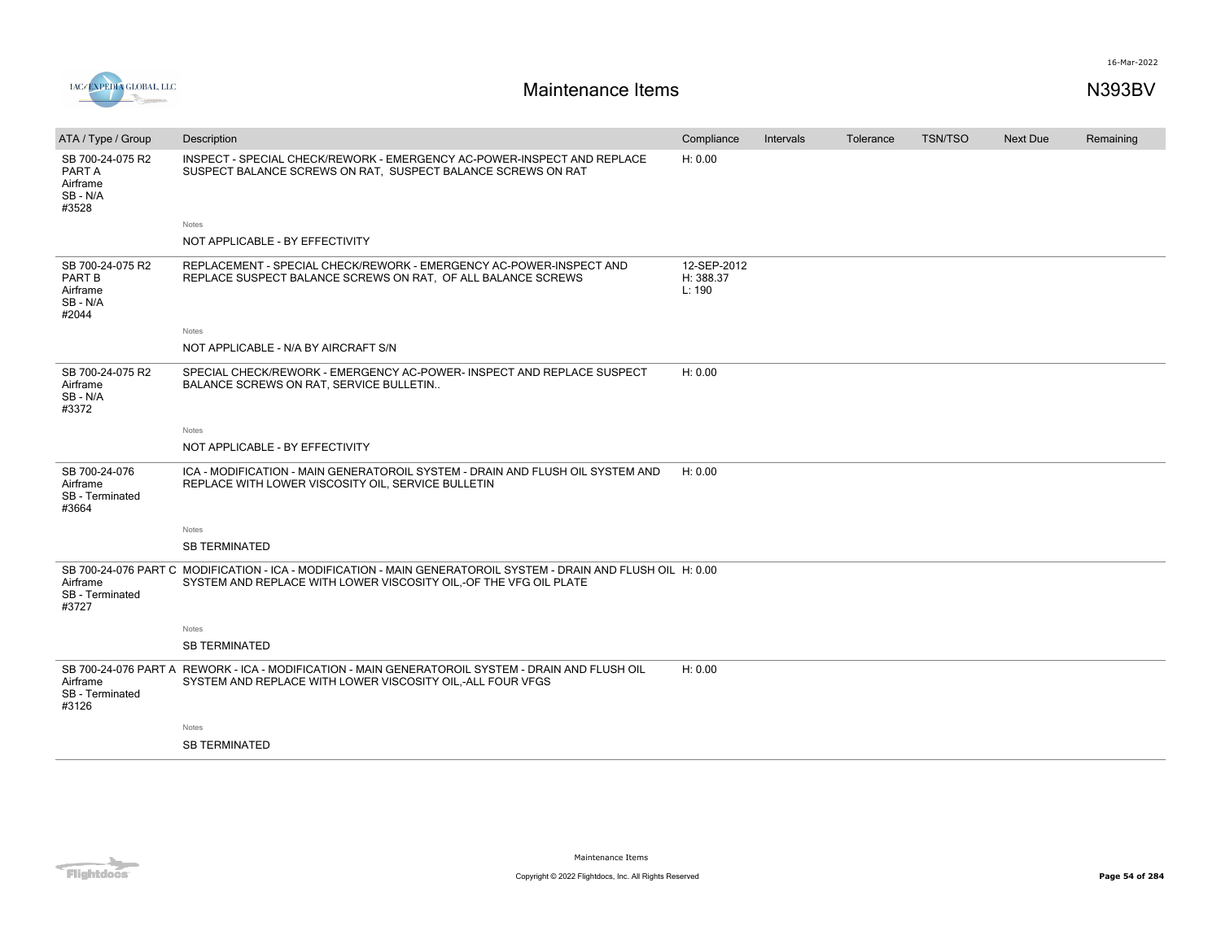



| ATA / Type / Group                                        | Description                                                                                                                                                                          | Compliance                         | Intervals | Tolerance | <b>TSN/TSO</b> | Next Due | Remaining |
|-----------------------------------------------------------|--------------------------------------------------------------------------------------------------------------------------------------------------------------------------------------|------------------------------------|-----------|-----------|----------------|----------|-----------|
| SB 700-24-075 R2<br>PART A<br>Airframe<br>SB-N/A<br>#3528 | INSPECT - SPECIAL CHECK/REWORK - EMERGENCY AC-POWER-INSPECT AND REPLACE<br>SUSPECT BALANCE SCREWS ON RAT, SUSPECT BALANCE SCREWS ON RAT                                              | H: 0.00                            |           |           |                |          |           |
|                                                           | Notes                                                                                                                                                                                |                                    |           |           |                |          |           |
|                                                           | NOT APPLICABLE - BY EFFECTIVITY                                                                                                                                                      |                                    |           |           |                |          |           |
| SB 700-24-075 R2<br>PART B<br>Airframe<br>SB-N/A<br>#2044 | REPLACEMENT - SPECIAL CHECK/REWORK - EMERGENCY AC-POWER-INSPECT AND<br>REPLACE SUSPECT BALANCE SCREWS ON RAT, OF ALL BALANCE SCREWS                                                  | 12-SEP-2012<br>H: 388.37<br>L: 190 |           |           |                |          |           |
|                                                           | Notes                                                                                                                                                                                |                                    |           |           |                |          |           |
|                                                           | NOT APPLICABLE - N/A BY AIRCRAFT S/N                                                                                                                                                 |                                    |           |           |                |          |           |
| SB 700-24-075 R2<br>Airframe<br>SB-N/A<br>#3372           | SPECIAL CHECK/REWORK - EMERGENCY AC-POWER- INSPECT AND REPLACE SUSPECT<br><b>BALANCE SCREWS ON RAT. SERVICE BULLETIN</b>                                                             | H: 0.00                            |           |           |                |          |           |
|                                                           | Notes                                                                                                                                                                                |                                    |           |           |                |          |           |
|                                                           | NOT APPLICABLE - BY EFFECTIVITY                                                                                                                                                      |                                    |           |           |                |          |           |
|                                                           |                                                                                                                                                                                      |                                    |           |           |                |          |           |
| SB 700-24-076<br>Airframe<br>SB - Terminated<br>#3664     | ICA - MODIFICATION - MAIN GENERATOROIL SYSTEM - DRAIN AND FLUSH OIL SYSTEM AND<br>REPLACE WITH LOWER VISCOSITY OIL, SERVICE BULLETIN                                                 | H: 0.00                            |           |           |                |          |           |
|                                                           | Notes                                                                                                                                                                                |                                    |           |           |                |          |           |
|                                                           | <b>SB TERMINATED</b>                                                                                                                                                                 |                                    |           |           |                |          |           |
| Airframe<br>SB - Terminated<br>#3727                      | SB 700-24-076 PART C MODIFICATION - ICA - MODIFICATION - MAIN GENERATOROIL SYSTEM - DRAIN AND FLUSH OIL H: 0.00<br>SYSTEM AND REPLACE WITH LOWER VISCOSITY OIL,-OF THE VFG OIL PLATE |                                    |           |           |                |          |           |
|                                                           | Notes                                                                                                                                                                                |                                    |           |           |                |          |           |
|                                                           | <b>SB TERMINATED</b>                                                                                                                                                                 |                                    |           |           |                |          |           |
| Airframe<br>SB - Terminated<br>#3126                      | SB 700-24-076 PART A REWORK - ICA - MODIFICATION - MAIN GENERATOROIL SYSTEM - DRAIN AND FLUSH OIL<br>SYSTEM AND REPLACE WITH LOWER VISCOSITY OIL,-ALL FOUR VFGS                      | H: 0.00                            |           |           |                |          |           |
|                                                           | Notes                                                                                                                                                                                |                                    |           |           |                |          |           |
|                                                           | <b>SB TERMINATED</b>                                                                                                                                                                 |                                    |           |           |                |          |           |
|                                                           |                                                                                                                                                                                      |                                    |           |           |                |          |           |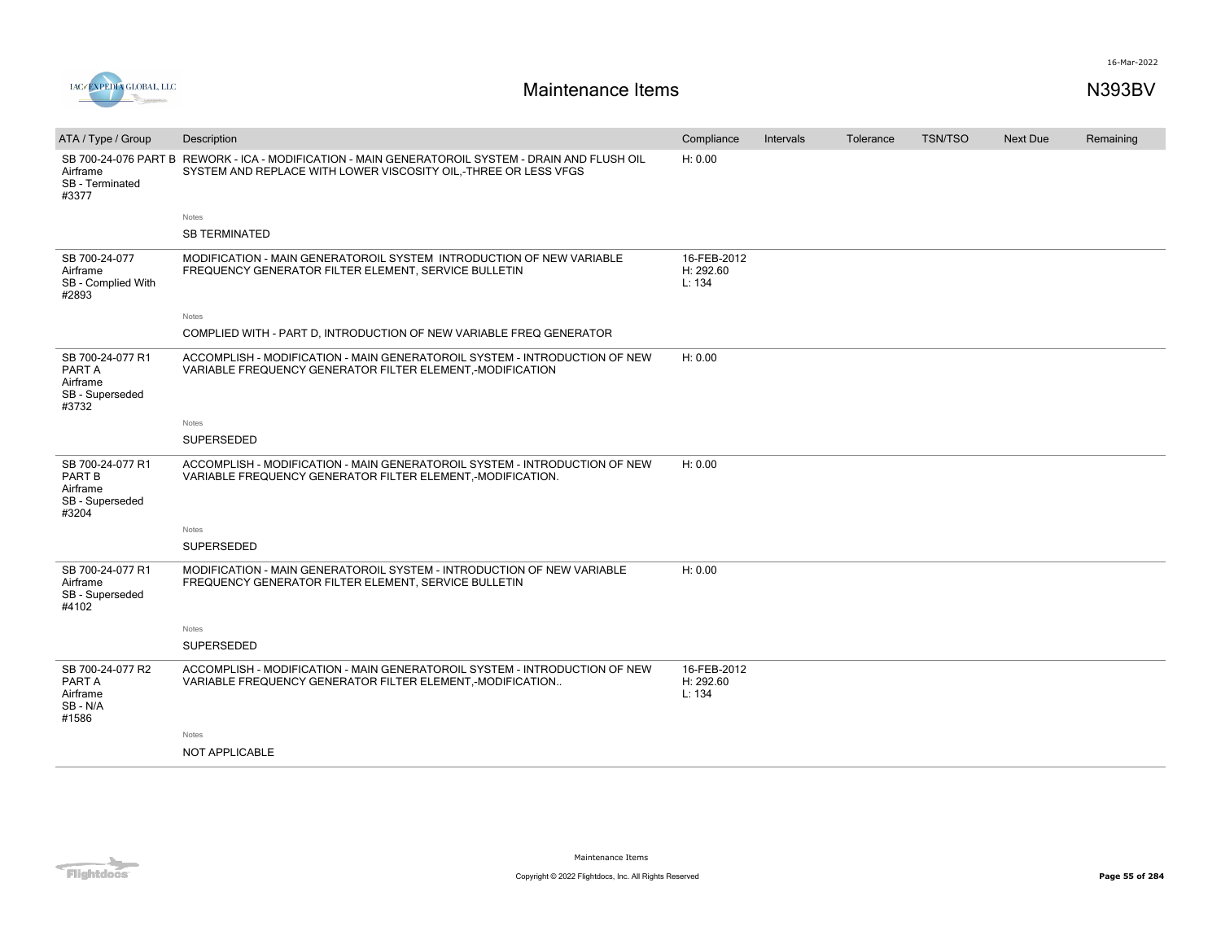

| ATA / Type / Group                                                 | Description                                                                                                                                                                   | Compliance                         | Intervals | Tolerance | <b>TSN/TSO</b> | <b>Next Due</b> | Remaining |
|--------------------------------------------------------------------|-------------------------------------------------------------------------------------------------------------------------------------------------------------------------------|------------------------------------|-----------|-----------|----------------|-----------------|-----------|
| Airframe<br>SB - Terminated<br>#3377                               | SB 700-24-076 PART B REWORK - ICA - MODIFICATION - MAIN GENERATOROIL SYSTEM - DRAIN AND FLUSH OIL<br>SYSTEM AND REPLACE WITH LOWER VISCOSITY OIL,-THREE OR LESS VFGS<br>Notes | H: 0.00                            |           |           |                |                 |           |
|                                                                    | <b>SB TERMINATED</b>                                                                                                                                                          |                                    |           |           |                |                 |           |
| SB 700-24-077<br>Airframe<br>SB - Complied With<br>#2893           | MODIFICATION - MAIN GENERATOROIL SYSTEM INTRODUCTION OF NEW VARIABLE<br>FREQUENCY GENERATOR FILTER ELEMENT, SERVICE BULLETIN                                                  | 16-FEB-2012<br>H: 292.60<br>L: 134 |           |           |                |                 |           |
|                                                                    | Notes                                                                                                                                                                         |                                    |           |           |                |                 |           |
|                                                                    | COMPLIED WITH - PART D, INTRODUCTION OF NEW VARIABLE FREQ GENERATOR                                                                                                           |                                    |           |           |                |                 |           |
| SB 700-24-077 R1<br>PART A<br>Airframe<br>SB - Superseded<br>#3732 | ACCOMPLISH - MODIFICATION - MAIN GENERATOROIL SYSTEM - INTRODUCTION OF NEW<br>VARIABLE FREQUENCY GENERATOR FILTER ELEMENT,-MODIFICATION                                       | H: 0.00                            |           |           |                |                 |           |
|                                                                    | Notes                                                                                                                                                                         |                                    |           |           |                |                 |           |
|                                                                    | SUPERSEDED                                                                                                                                                                    |                                    |           |           |                |                 |           |
| SB 700-24-077 R1<br>PART B<br>Airframe<br>SB - Superseded<br>#3204 | ACCOMPLISH - MODIFICATION - MAIN GENERATOROIL SYSTEM - INTRODUCTION OF NEW<br>VARIABLE FREQUENCY GENERATOR FILTER ELEMENT,-MODIFICATION.                                      | H: 0.00                            |           |           |                |                 |           |
|                                                                    | Notes                                                                                                                                                                         |                                    |           |           |                |                 |           |
|                                                                    | SUPERSEDED                                                                                                                                                                    |                                    |           |           |                |                 |           |
| SB 700-24-077 R1<br>Airframe<br>SB - Superseded<br>#4102           | MODIFICATION - MAIN GENERATOROIL SYSTEM - INTRODUCTION OF NEW VARIABLE<br>FREQUENCY GENERATOR FILTER ELEMENT, SERVICE BULLETIN                                                | H: 0.00                            |           |           |                |                 |           |
|                                                                    | Notes                                                                                                                                                                         |                                    |           |           |                |                 |           |
|                                                                    | SUPERSEDED                                                                                                                                                                    |                                    |           |           |                |                 |           |
| SB 700-24-077 R2<br>PART A<br>Airframe<br>SB - N/A<br>#1586        | ACCOMPLISH - MODIFICATION - MAIN GENERATOROIL SYSTEM - INTRODUCTION OF NEW<br>VARIABLE FREQUENCY GENERATOR FILTER ELEMENT,-MODIFICATION                                       | 16-FEB-2012<br>H: 292.60<br>L: 134 |           |           |                |                 |           |
|                                                                    | Notes                                                                                                                                                                         |                                    |           |           |                |                 |           |
|                                                                    | <b>NOT APPLICABLE</b>                                                                                                                                                         |                                    |           |           |                |                 |           |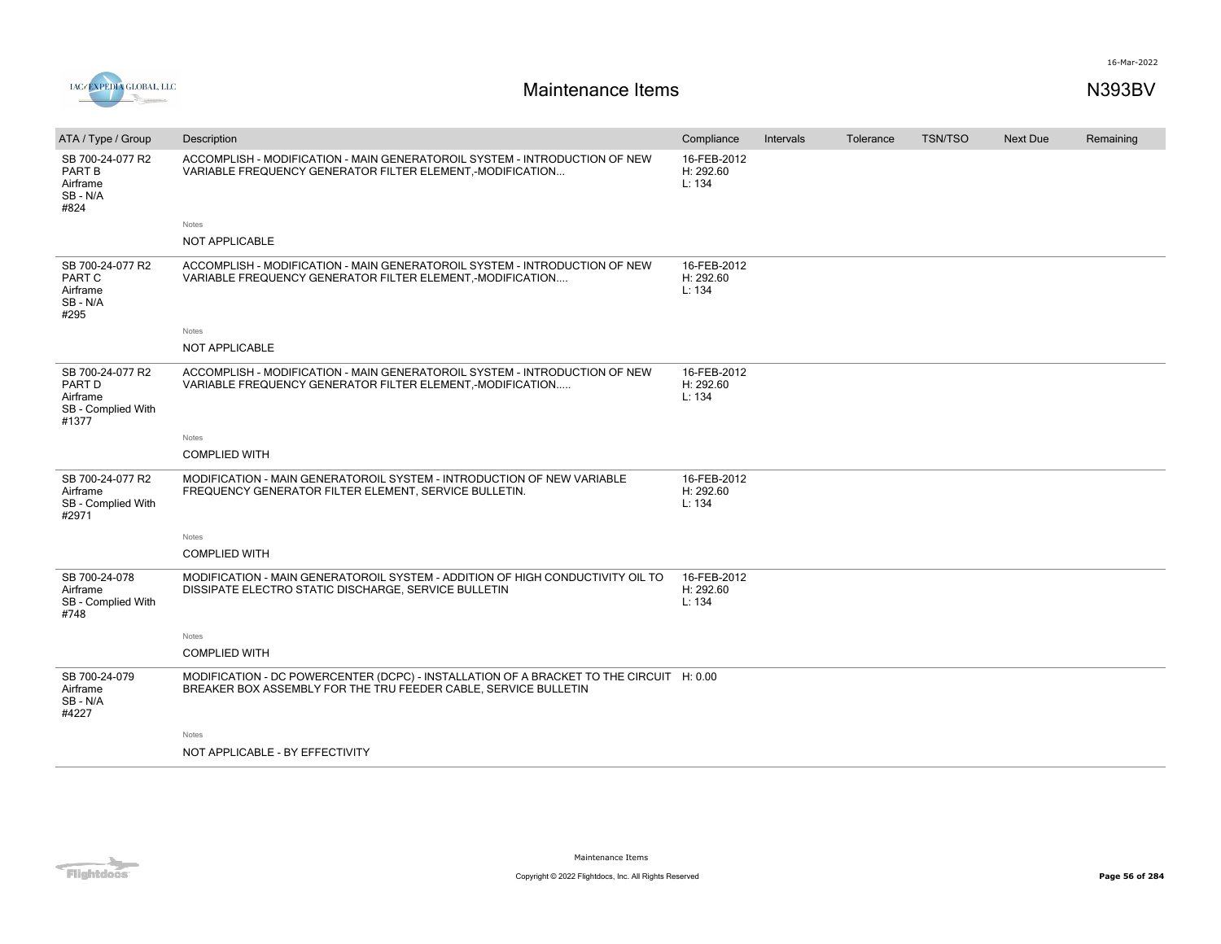

| ATA / Type / Group                                                    | Description                                                                                                                                                | Compliance                         | Intervals | Tolerance | <b>TSN/TSO</b> | Next Due | Remaining |
|-----------------------------------------------------------------------|------------------------------------------------------------------------------------------------------------------------------------------------------------|------------------------------------|-----------|-----------|----------------|----------|-----------|
| SB 700-24-077 R2<br>PART B<br>Airframe<br>SB-N/A<br>#824              | ACCOMPLISH - MODIFICATION - MAIN GENERATOROIL SYSTEM - INTRODUCTION OF NEW<br>VARIABLE FREQUENCY GENERATOR FILTER ELEMENT, MODIFICATION                    | 16-FEB-2012<br>H: 292.60<br>L: 134 |           |           |                |          |           |
|                                                                       | Notes                                                                                                                                                      |                                    |           |           |                |          |           |
|                                                                       | <b>NOT APPLICABLE</b>                                                                                                                                      |                                    |           |           |                |          |           |
| SB 700-24-077 R2<br>PART C<br>Airframe<br>SB-N/A<br>#295              | ACCOMPLISH - MODIFICATION - MAIN GENERATOROIL SYSTEM - INTRODUCTION OF NEW<br>VARIABLE FREQUENCY GENERATOR FILTER ELEMENT, MODIFICATION                    | 16-FEB-2012<br>H: 292.60<br>L: 134 |           |           |                |          |           |
|                                                                       | Notes                                                                                                                                                      |                                    |           |           |                |          |           |
|                                                                       | <b>NOT APPLICABLE</b>                                                                                                                                      |                                    |           |           |                |          |           |
| SB 700-24-077 R2<br>PART D<br>Airframe<br>SB - Complied With<br>#1377 | ACCOMPLISH - MODIFICATION - MAIN GENERATOROIL SYSTEM - INTRODUCTION OF NEW<br>VARIABLE FREQUENCY GENERATOR FILTER ELEMENT, MODIFICATION                    | 16-FEB-2012<br>H: 292.60<br>L: 134 |           |           |                |          |           |
|                                                                       | Notes                                                                                                                                                      |                                    |           |           |                |          |           |
|                                                                       | <b>COMPLIED WITH</b>                                                                                                                                       |                                    |           |           |                |          |           |
| SB 700-24-077 R2<br>Airframe<br>SB - Complied With<br>#2971           | MODIFICATION - MAIN GENERATOROIL SYSTEM - INTRODUCTION OF NEW VARIABLE<br>FREQUENCY GENERATOR FILTER ELEMENT, SERVICE BULLETIN.                            | 16-FEB-2012<br>H: 292.60<br>L: 134 |           |           |                |          |           |
|                                                                       | Notes                                                                                                                                                      |                                    |           |           |                |          |           |
|                                                                       | <b>COMPLIED WITH</b>                                                                                                                                       |                                    |           |           |                |          |           |
| SB 700-24-078<br>Airframe<br>SB - Complied With<br>#748               | MODIFICATION - MAIN GENERATOROIL SYSTEM - ADDITION OF HIGH CONDUCTIVITY OIL TO<br>DISSIPATE ELECTRO STATIC DISCHARGE, SERVICE BULLETIN                     | 16-FEB-2012<br>H: 292.60<br>L: 134 |           |           |                |          |           |
|                                                                       | Notes                                                                                                                                                      |                                    |           |           |                |          |           |
|                                                                       | <b>COMPLIED WITH</b>                                                                                                                                       |                                    |           |           |                |          |           |
| SB 700-24-079<br>Airframe<br>SB-N/A<br>#4227                          | MODIFICATION - DC POWERCENTER (DCPC) - INSTALLATION OF A BRACKET TO THE CIRCUIT H: 0.00<br>BREAKER BOX ASSEMBLY FOR THE TRU FEEDER CABLE, SERVICE BULLETIN |                                    |           |           |                |          |           |
|                                                                       | Notes                                                                                                                                                      |                                    |           |           |                |          |           |
|                                                                       | NOT APPLICABLE - BY EFFECTIVITY                                                                                                                            |                                    |           |           |                |          |           |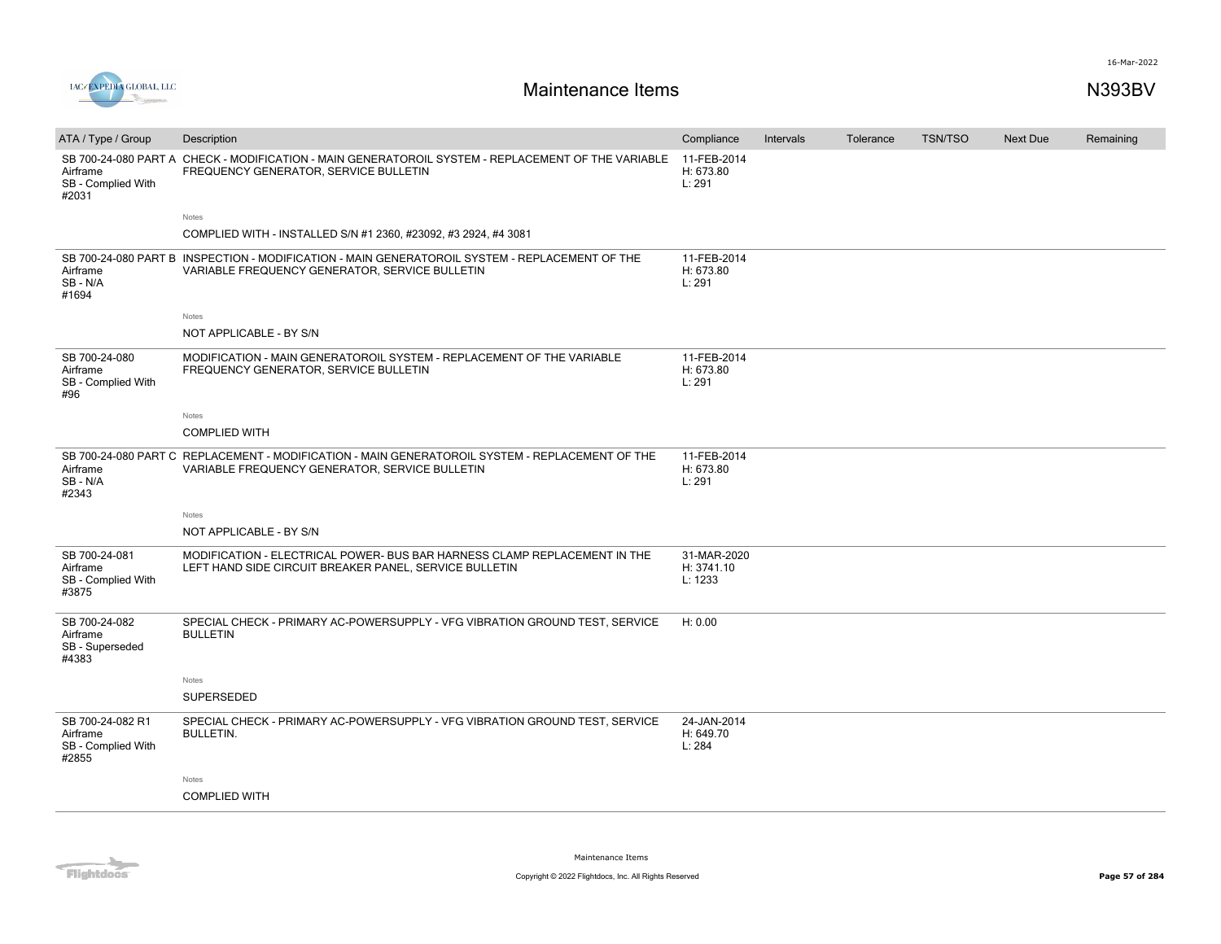

| ATA / Type / Group                                          | Description                                                                                                                                       | Compliance                           | Intervals | Tolerance | <b>TSN/TSO</b> | <b>Next Due</b> | Remaining |
|-------------------------------------------------------------|---------------------------------------------------------------------------------------------------------------------------------------------------|--------------------------------------|-----------|-----------|----------------|-----------------|-----------|
| Airframe<br>SB - Complied With<br>#2031                     | SB 700-24-080 PART A CHECK - MODIFICATION - MAIN GENERATOROIL SYSTEM - REPLACEMENT OF THE VARIABLE<br>FREQUENCY GENERATOR, SERVICE BULLETIN       | 11-FEB-2014<br>H: 673.80<br>L: 291   |           |           |                |                 |           |
|                                                             | Notes                                                                                                                                             |                                      |           |           |                |                 |           |
|                                                             | COMPLIED WITH - INSTALLED S/N #1 2360, #23092, #3 2924, #4 3081                                                                                   |                                      |           |           |                |                 |           |
| Airframe<br>SB-N/A<br>#1694                                 | SB 700-24-080 PART B INSPECTION - MODIFICATION - MAIN GENERATOROIL SYSTEM - REPLACEMENT OF THE<br>VARIABLE FREQUENCY GENERATOR, SERVICE BULLETIN  | 11-FEB-2014<br>H: 673.80<br>L: 291   |           |           |                |                 |           |
|                                                             | Notes                                                                                                                                             |                                      |           |           |                |                 |           |
|                                                             | NOT APPLICABLE - BY S/N                                                                                                                           |                                      |           |           |                |                 |           |
| SB 700-24-080<br>Airframe<br>SB - Complied With<br>#96      | MODIFICATION - MAIN GENERATOROIL SYSTEM - REPLACEMENT OF THE VARIABLE<br>FREQUENCY GENERATOR, SERVICE BULLETIN                                    | 11-FEB-2014<br>H: 673.80<br>L: 291   |           |           |                |                 |           |
|                                                             | Notes                                                                                                                                             |                                      |           |           |                |                 |           |
|                                                             | <b>COMPLIED WITH</b>                                                                                                                              |                                      |           |           |                |                 |           |
| Airframe<br>SB - N/A<br>#2343                               | SB 700-24-080 PART C REPLACEMENT - MODIFICATION - MAIN GENERATOROIL SYSTEM - REPLACEMENT OF THE<br>VARIABLE FREQUENCY GENERATOR, SERVICE BULLETIN | 11-FEB-2014<br>H: 673.80<br>L: 291   |           |           |                |                 |           |
|                                                             | Notes                                                                                                                                             |                                      |           |           |                |                 |           |
|                                                             | NOT APPLICABLE - BY S/N                                                                                                                           |                                      |           |           |                |                 |           |
| SB 700-24-081<br>Airframe<br>SB - Complied With<br>#3875    | MODIFICATION - ELECTRICAL POWER- BUS BAR HARNESS CLAMP REPLACEMENT IN THE<br>LEFT HAND SIDE CIRCUIT BREAKER PANEL, SERVICE BULLETIN               | 31-MAR-2020<br>H: 3741.10<br>L: 1233 |           |           |                |                 |           |
| SB 700-24-082<br>Airframe<br>SB - Superseded<br>#4383       | SPECIAL CHECK - PRIMARY AC-POWERSUPPLY - VFG VIBRATION GROUND TEST, SERVICE<br><b>BULLETIN</b>                                                    | H: 0.00                              |           |           |                |                 |           |
|                                                             | Notes                                                                                                                                             |                                      |           |           |                |                 |           |
|                                                             | <b>SUPERSEDED</b>                                                                                                                                 |                                      |           |           |                |                 |           |
| SB 700-24-082 R1<br>Airframe<br>SB - Complied With<br>#2855 | SPECIAL CHECK - PRIMARY AC-POWERSUPPLY - VFG VIBRATION GROUND TEST, SERVICE<br><b>BULLETIN.</b>                                                   | 24-JAN-2014<br>H: 649.70<br>L: 284   |           |           |                |                 |           |
|                                                             | Notes                                                                                                                                             |                                      |           |           |                |                 |           |
|                                                             | <b>COMPLIED WITH</b>                                                                                                                              |                                      |           |           |                |                 |           |
|                                                             |                                                                                                                                                   |                                      |           |           |                |                 |           |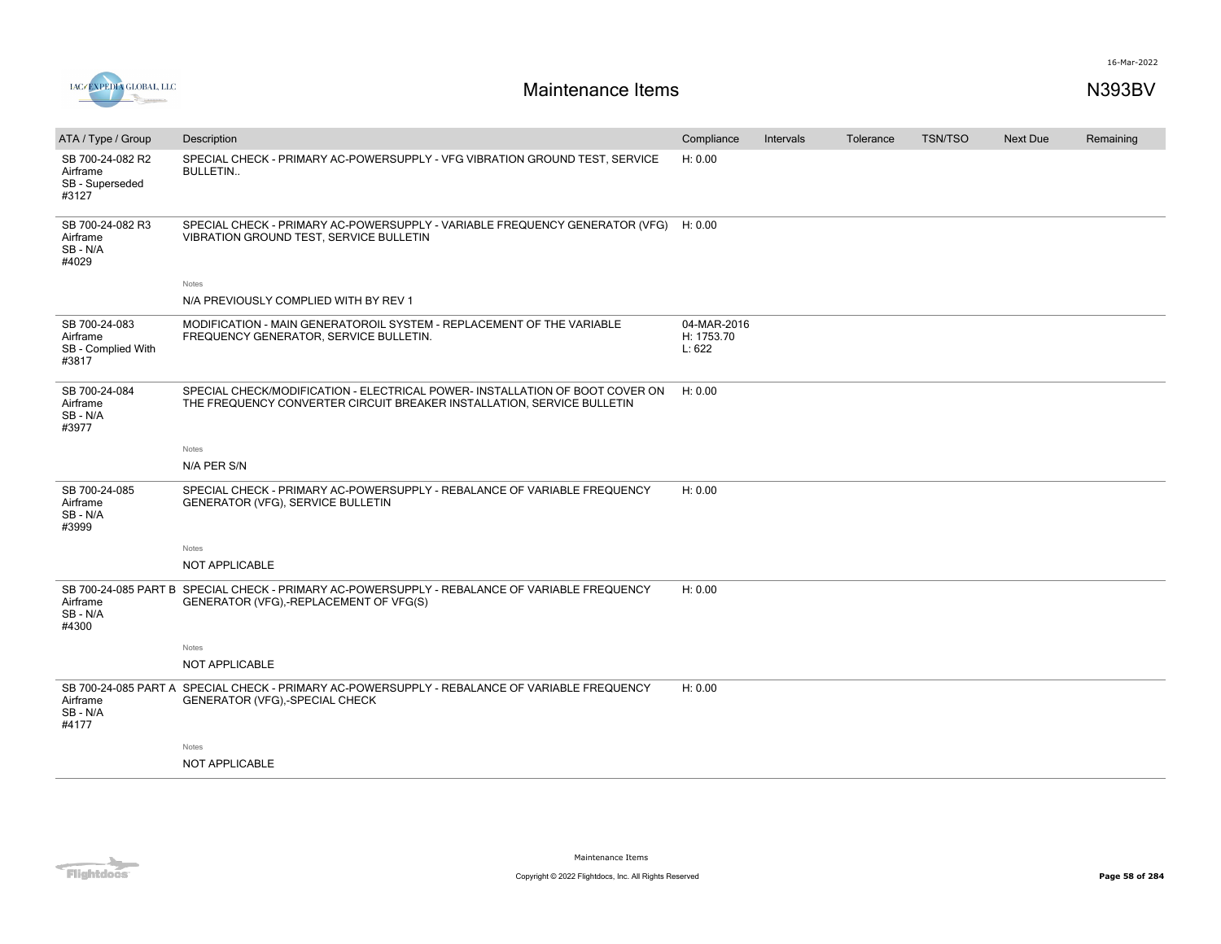

<u> De Santa Carlos de Santa Carlos de Santa Carlos de Santa Carlos de Santa Carlos de Santa Carlos de Santa Carlos de Santa Carlos de Santa Carlos de Santa Carlos de Santa Carlos de Santa Carlos de Santa Carlos de Santa Car</u>

| ATA / Type / Group                                       | Description                                                                                                                                            | Compliance                          | Intervals | Tolerance | <b>TSN/TSO</b> | Next Due | Remaining |
|----------------------------------------------------------|--------------------------------------------------------------------------------------------------------------------------------------------------------|-------------------------------------|-----------|-----------|----------------|----------|-----------|
| SB 700-24-082 R2<br>Airframe<br>SB - Superseded<br>#3127 | SPECIAL CHECK - PRIMARY AC-POWERSUPPLY - VFG VIBRATION GROUND TEST, SERVICE<br><b>BULLETIN</b>                                                         | H: 0.00                             |           |           |                |          |           |
| SB 700-24-082 R3<br>Airframe<br>SB - N/A<br>#4029        | SPECIAL CHECK - PRIMARY AC-POWERSUPPLY - VARIABLE FREQUENCY GENERATOR (VFG)<br>VIBRATION GROUND TEST, SERVICE BULLETIN                                 | H: 0.00                             |           |           |                |          |           |
|                                                          | Notes                                                                                                                                                  |                                     |           |           |                |          |           |
|                                                          | N/A PREVIOUSLY COMPLIED WITH BY REV 1                                                                                                                  |                                     |           |           |                |          |           |
| SB 700-24-083<br>Airframe<br>SB - Complied With<br>#3817 | MODIFICATION - MAIN GENERATOROIL SYSTEM - REPLACEMENT OF THE VARIABLE<br>FREQUENCY GENERATOR, SERVICE BULLETIN.                                        | 04-MAR-2016<br>H: 1753.70<br>L: 622 |           |           |                |          |           |
| SB 700-24-084<br>Airframe<br>SB - N/A<br>#3977           | SPECIAL CHECK/MODIFICATION - ELECTRICAL POWER- INSTALLATION OF BOOT COVER ON<br>THE FREQUENCY CONVERTER CIRCUIT BREAKER INSTALLATION, SERVICE BULLETIN | H: 0.00                             |           |           |                |          |           |
|                                                          | Notes                                                                                                                                                  |                                     |           |           |                |          |           |
|                                                          | N/A PER S/N                                                                                                                                            |                                     |           |           |                |          |           |
| SB 700-24-085<br>Airframe<br>SB - N/A<br>#3999           | SPECIAL CHECK - PRIMARY AC-POWERSUPPLY - REBALANCE OF VARIABLE FREQUENCY<br>GENERATOR (VFG), SERVICE BULLETIN                                          | H: 0.00                             |           |           |                |          |           |
|                                                          | Notes                                                                                                                                                  |                                     |           |           |                |          |           |
|                                                          | NOT APPLICABLE                                                                                                                                         |                                     |           |           |                |          |           |
| Airframe<br>SB-N/A<br>#4300                              | SB 700-24-085 PART B SPECIAL CHECK - PRIMARY AC-POWERSUPPLY - REBALANCE OF VARIABLE FREQUENCY<br>GENERATOR (VFG),-REPLACEMENT OF VFG(S)                | H: 0.00                             |           |           |                |          |           |
|                                                          | Notes                                                                                                                                                  |                                     |           |           |                |          |           |
|                                                          | NOT APPLICABLE                                                                                                                                         |                                     |           |           |                |          |           |
| Airframe<br>SB - N/A<br>#4177                            | SB 700-24-085 PART A SPECIAL CHECK - PRIMARY AC-POWERSUPPLY - REBALANCE OF VARIABLE FREQUENCY<br>GENERATOR (VFG),-SPECIAL CHECK                        | H: 0.00                             |           |           |                |          |           |
|                                                          | Notes                                                                                                                                                  |                                     |           |           |                |          |           |
|                                                          | NOT APPLICABLE                                                                                                                                         |                                     |           |           |                |          |           |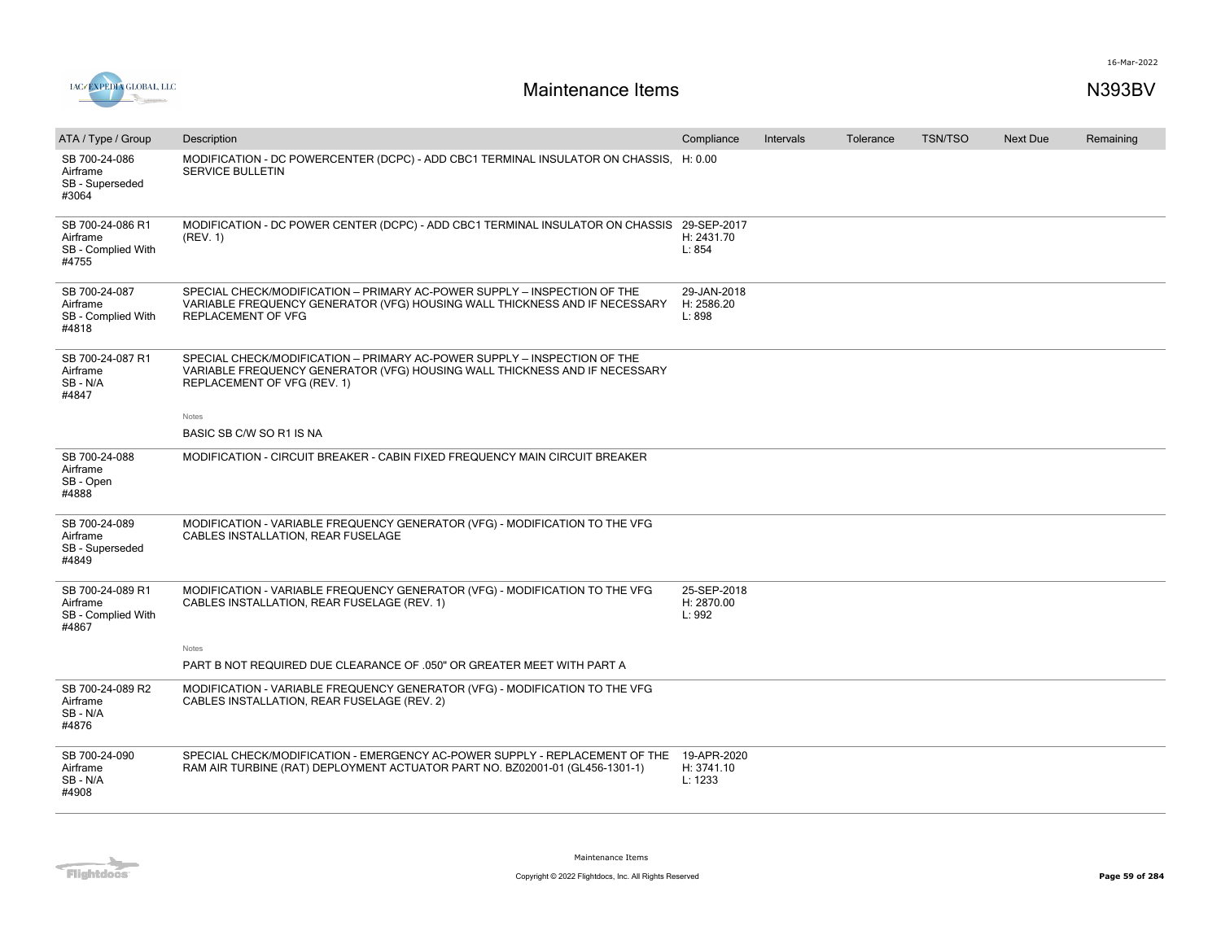

| ATA / Type / Group                                          | Description                                                                                                                                                                           | Compliance                           | Intervals | Tolerance | <b>TSN/TSO</b> | <b>Next Due</b> | Remaining |
|-------------------------------------------------------------|---------------------------------------------------------------------------------------------------------------------------------------------------------------------------------------|--------------------------------------|-----------|-----------|----------------|-----------------|-----------|
| SB 700-24-086<br>Airframe<br>SB - Superseded<br>#3064       | MODIFICATION - DC POWERCENTER (DCPC) - ADD CBC1 TERMINAL INSULATOR ON CHASSIS, H: 0.00<br>SERVICE BULLETIN                                                                            |                                      |           |           |                |                 |           |
| SB 700-24-086 R1<br>Airframe<br>SB - Complied With<br>#4755 | MODIFICATION - DC POWER CENTER (DCPC) - ADD CBC1 TERMINAL INSULATOR ON CHASSIS<br>(REV. 1)                                                                                            | 29-SEP-2017<br>H: 2431.70<br>L: 854  |           |           |                |                 |           |
| SB 700-24-087<br>Airframe<br>SB - Complied With<br>#4818    | SPECIAL CHECK/MODIFICATION - PRIMARY AC-POWER SUPPLY - INSPECTION OF THE<br>VARIABLE FREQUENCY GENERATOR (VFG) HOUSING WALL THICKNESS AND IF NECESSARY<br>REPLACEMENT OF VFG          | 29-JAN-2018<br>H: 2586.20<br>L: 898  |           |           |                |                 |           |
| SB 700-24-087 R1<br>Airframe<br>SB-N/A<br>#4847             | SPECIAL CHECK/MODIFICATION - PRIMARY AC-POWER SUPPLY - INSPECTION OF THE<br>VARIABLE FREQUENCY GENERATOR (VFG) HOUSING WALL THICKNESS AND IF NECESSARY<br>REPLACEMENT OF VFG (REV. 1) |                                      |           |           |                |                 |           |
|                                                             | Notes                                                                                                                                                                                 |                                      |           |           |                |                 |           |
|                                                             | BASIC SB C/W SO R1 IS NA                                                                                                                                                              |                                      |           |           |                |                 |           |
| SB 700-24-088<br>Airframe<br>SB - Open<br>#4888             | MODIFICATION - CIRCUIT BREAKER - CABIN FIXED FREQUENCY MAIN CIRCUIT BREAKER                                                                                                           |                                      |           |           |                |                 |           |
| SB 700-24-089<br>Airframe<br>SB - Superseded<br>#4849       | MODIFICATION - VARIABLE FREQUENCY GENERATOR (VFG) - MODIFICATION TO THE VFG<br>CABLES INSTALLATION, REAR FUSELAGE                                                                     |                                      |           |           |                |                 |           |
| SB 700-24-089 R1<br>Airframe<br>SB - Complied With<br>#4867 | MODIFICATION - VARIABLE FREQUENCY GENERATOR (VFG) - MODIFICATION TO THE VFG<br>CABLES INSTALLATION, REAR FUSELAGE (REV. 1)                                                            | 25-SEP-2018<br>H: 2870.00<br>L: 992  |           |           |                |                 |           |
|                                                             | Notes                                                                                                                                                                                 |                                      |           |           |                |                 |           |
|                                                             | PART B NOT REQUIRED DUE CLEARANCE OF .050" OR GREATER MEET WITH PART A                                                                                                                |                                      |           |           |                |                 |           |
| SB 700-24-089 R2<br>Airframe<br>SB-N/A<br>#4876             | MODIFICATION - VARIABLE FREQUENCY GENERATOR (VFG) - MODIFICATION TO THE VFG<br>CABLES INSTALLATION, REAR FUSELAGE (REV. 2)                                                            |                                      |           |           |                |                 |           |
| SB 700-24-090<br>Airframe<br>SB-N/A<br>#4908                | SPECIAL CHECK/MODIFICATION - EMERGENCY AC-POWER SUPPLY - REPLACEMENT OF THE<br>RAM AIR TURBINE (RAT) DEPLOYMENT ACTUATOR PART NO. BZ02001-01 (GL456-1301-1)                           | 19-APR-2020<br>H: 3741.10<br>L: 1233 |           |           |                |                 |           |

Flightdocs

Maintenance Items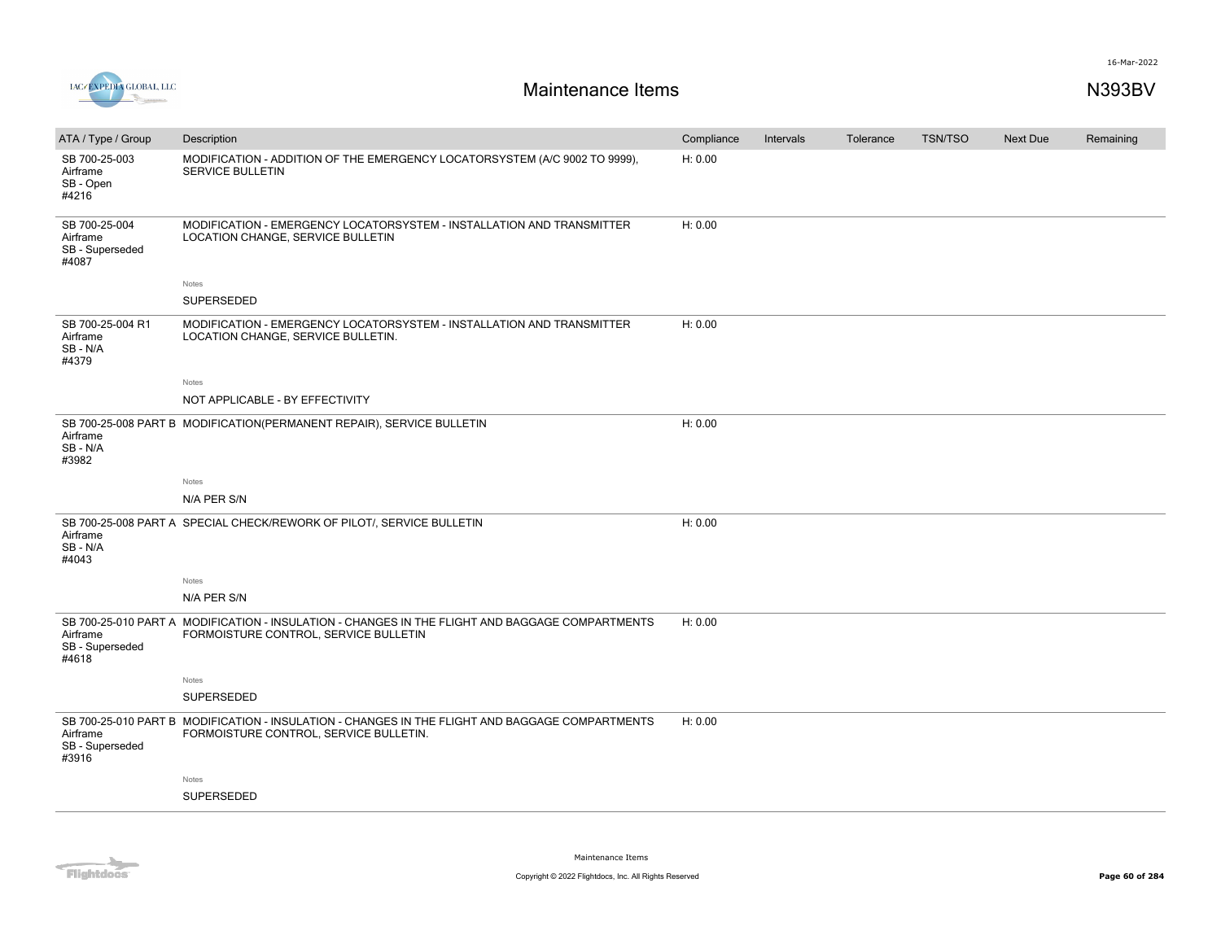



| ATA / Type / Group                                    | Description                                                                                                                               | Compliance | Intervals | Tolerance | <b>TSN/TSO</b> | Next Due | Remaining |
|-------------------------------------------------------|-------------------------------------------------------------------------------------------------------------------------------------------|------------|-----------|-----------|----------------|----------|-----------|
| SB 700-25-003<br>Airframe<br>SB - Open<br>#4216       | MODIFICATION - ADDITION OF THE EMERGENCY LOCATORSYSTEM (A/C 9002 TO 9999),<br>SERVICE BULLETIN                                            | H: 0.00    |           |           |                |          |           |
| SB 700-25-004<br>Airframe<br>SB - Superseded<br>#4087 | MODIFICATION - EMERGENCY LOCATORSYSTEM - INSTALLATION AND TRANSMITTER<br>LOCATION CHANGE, SERVICE BULLETIN                                | H: 0.00    |           |           |                |          |           |
|                                                       | Notes                                                                                                                                     |            |           |           |                |          |           |
|                                                       | SUPERSEDED                                                                                                                                |            |           |           |                |          |           |
| SB 700-25-004 R1<br>Airframe<br>SB-N/A<br>#4379       | MODIFICATION - EMERGENCY LOCATORSYSTEM - INSTALLATION AND TRANSMITTER<br>LOCATION CHANGE, SERVICE BULLETIN.                               | H: 0.00    |           |           |                |          |           |
|                                                       | Notes                                                                                                                                     |            |           |           |                |          |           |
|                                                       | NOT APPLICABLE - BY EFFECTIVITY                                                                                                           |            |           |           |                |          |           |
| Airframe<br>SB-N/A<br>#3982                           | SB 700-25-008 PART B MODIFICATION(PERMANENT REPAIR), SERVICE BULLETIN                                                                     | H: 0.00    |           |           |                |          |           |
|                                                       | Notes                                                                                                                                     |            |           |           |                |          |           |
|                                                       | N/A PER S/N                                                                                                                               |            |           |           |                |          |           |
| Airframe<br>SB - N/A<br>#4043                         | SB 700-25-008 PART A SPECIAL CHECK/REWORK OF PILOT/, SERVICE BULLETIN                                                                     | H: 0.00    |           |           |                |          |           |
|                                                       | Notes                                                                                                                                     |            |           |           |                |          |           |
|                                                       | N/A PER S/N                                                                                                                               |            |           |           |                |          |           |
| Airframe<br>SB - Superseded<br>#4618                  | SB 700-25-010 PART A MODIFICATION - INSULATION - CHANGES IN THE FLIGHT AND BAGGAGE COMPARTMENTS<br>FORMOISTURE CONTROL, SERVICE BULLETIN  | H: 0.00    |           |           |                |          |           |
|                                                       | Notes                                                                                                                                     |            |           |           |                |          |           |
|                                                       | SUPERSEDED                                                                                                                                |            |           |           |                |          |           |
| Airframe<br>SB - Superseded<br>#3916                  | SB 700-25-010 PART B MODIFICATION - INSULATION - CHANGES IN THE FLIGHT AND BAGGAGE COMPARTMENTS<br>FORMOISTURE CONTROL, SERVICE BULLETIN. | H: 0.00    |           |           |                |          |           |
|                                                       | Notes                                                                                                                                     |            |           |           |                |          |           |
|                                                       | <b>SUPERSEDED</b>                                                                                                                         |            |           |           |                |          |           |
|                                                       |                                                                                                                                           |            |           |           |                |          |           |

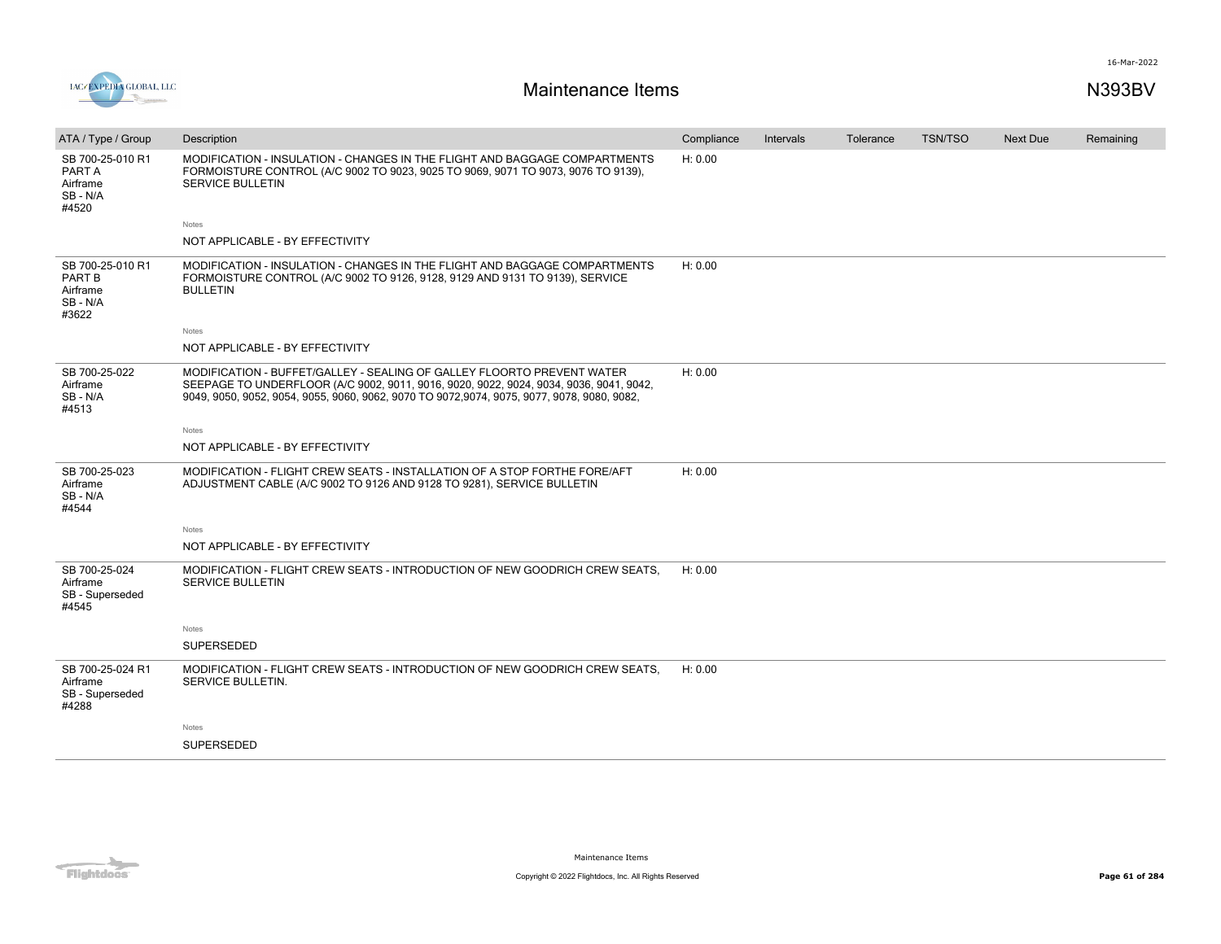

| ATA / Type / Group                                          | Description                                                                                                                                                                                                                                                     | Compliance | Intervals | Tolerance | <b>TSN/TSO</b> | <b>Next Due</b> | Remaining |
|-------------------------------------------------------------|-----------------------------------------------------------------------------------------------------------------------------------------------------------------------------------------------------------------------------------------------------------------|------------|-----------|-----------|----------------|-----------------|-----------|
| SB 700-25-010 R1<br>PART A<br>Airframe<br>SB - N/A<br>#4520 | MODIFICATION - INSULATION - CHANGES IN THE FLIGHT AND BAGGAGE COMPARTMENTS<br>FORMOISTURE CONTROL (A/C 9002 TO 9023, 9025 TO 9069, 9071 TO 9073, 9076 TO 9139),<br><b>SERVICE BULLETIN</b>                                                                      | H: 0.00    |           |           |                |                 |           |
|                                                             | Notes                                                                                                                                                                                                                                                           |            |           |           |                |                 |           |
|                                                             | NOT APPLICABLE - BY EFFECTIVITY                                                                                                                                                                                                                                 |            |           |           |                |                 |           |
| SB 700-25-010 R1<br>PART B<br>Airframe<br>SB - N/A<br>#3622 | MODIFICATION - INSULATION - CHANGES IN THE FLIGHT AND BAGGAGE COMPARTMENTS<br>FORMOISTURE CONTROL (A/C 9002 TO 9126, 9128, 9129 AND 9131 TO 9139), SERVICE<br><b>BULLETIN</b>                                                                                   | H: 0.00    |           |           |                |                 |           |
|                                                             | Notes                                                                                                                                                                                                                                                           |            |           |           |                |                 |           |
|                                                             | NOT APPLICABLE - BY EFFECTIVITY                                                                                                                                                                                                                                 |            |           |           |                |                 |           |
| SB 700-25-022<br>Airframe<br>SB - N/A<br>#4513              | MODIFICATION - BUFFET/GALLEY - SEALING OF GALLEY FLOORTO PREVENT WATER<br>SEEPAGE TO UNDERFLOOR (A/C 9002, 9011, 9016, 9020, 9022, 9024, 9034, 9036, 9041, 9042,<br>9049, 9050, 9052, 9054, 9055, 9060, 9062, 9070 TO 9072, 9074, 9075, 9077, 9078, 9080, 9082, | H: 0.00    |           |           |                |                 |           |
|                                                             | Notes                                                                                                                                                                                                                                                           |            |           |           |                |                 |           |
|                                                             | NOT APPLICABLE - BY EFFECTIVITY                                                                                                                                                                                                                                 |            |           |           |                |                 |           |
| SB 700-25-023<br>Airframe<br>SB-N/A<br>#4544                | MODIFICATION - FLIGHT CREW SEATS - INSTALLATION OF A STOP FORTHE FORE/AFT<br>ADJUSTMENT CABLE (A/C 9002 TO 9126 AND 9128 TO 9281), SERVICE BULLETIN                                                                                                             | H: 0.00    |           |           |                |                 |           |
|                                                             | Notes                                                                                                                                                                                                                                                           |            |           |           |                |                 |           |
|                                                             | NOT APPLICABLE - BY EFFECTIVITY                                                                                                                                                                                                                                 |            |           |           |                |                 |           |
| SB 700-25-024<br>Airframe<br>SB - Superseded<br>#4545       | MODIFICATION - FLIGHT CREW SEATS - INTRODUCTION OF NEW GOODRICH CREW SEATS.<br><b>SERVICE BULLETIN</b>                                                                                                                                                          | H: 0.00    |           |           |                |                 |           |
|                                                             | Notes                                                                                                                                                                                                                                                           |            |           |           |                |                 |           |
|                                                             | <b>SUPERSEDED</b>                                                                                                                                                                                                                                               |            |           |           |                |                 |           |
| SB 700-25-024 R1<br>Airframe<br>SB - Superseded<br>#4288    | MODIFICATION - FLIGHT CREW SEATS - INTRODUCTION OF NEW GOODRICH CREW SEATS.<br>SERVICE BULLETIN.                                                                                                                                                                | H: 0.00    |           |           |                |                 |           |
|                                                             | Notes                                                                                                                                                                                                                                                           |            |           |           |                |                 |           |
|                                                             | <b>SUPERSEDED</b>                                                                                                                                                                                                                                               |            |           |           |                |                 |           |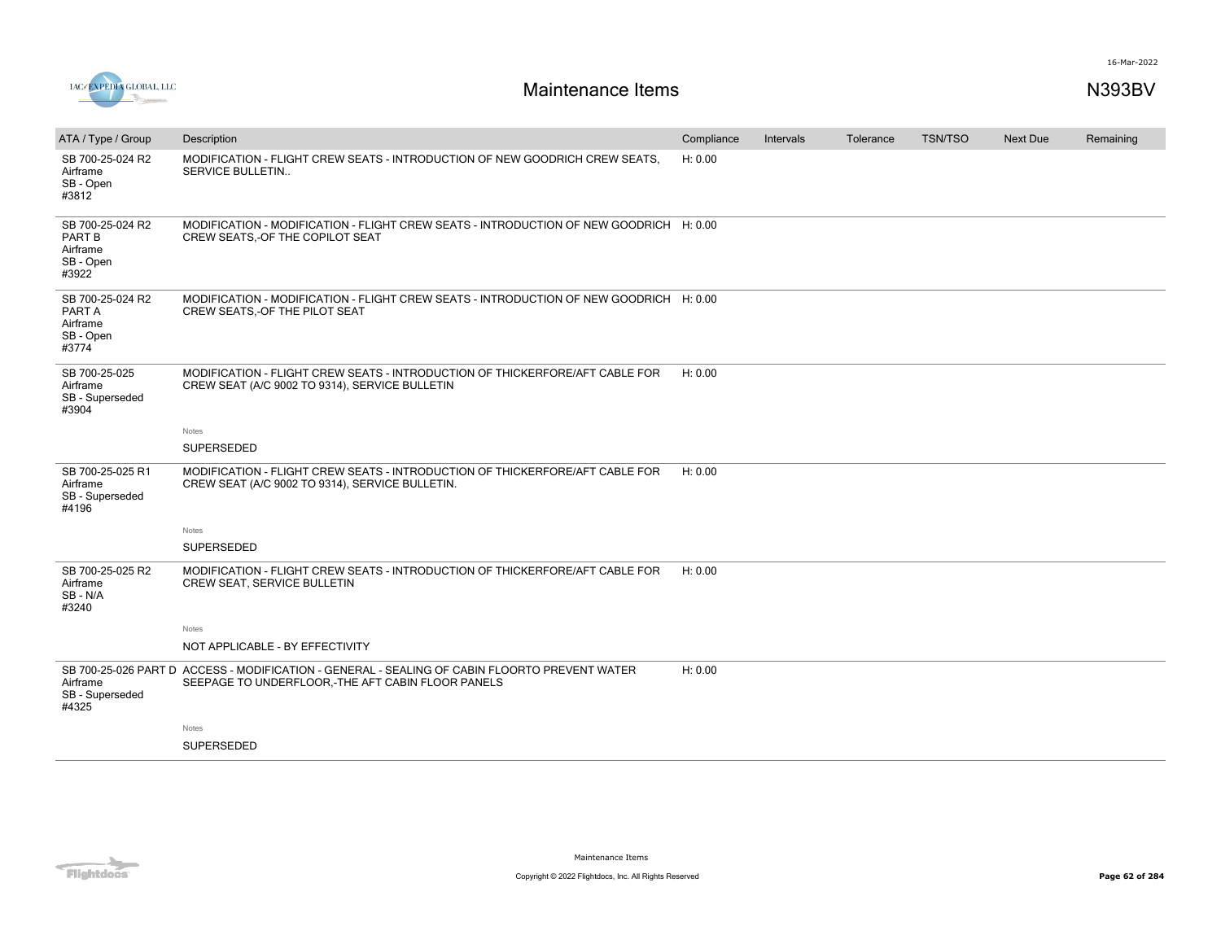

| ATA / Type / Group                                                  | Description                                                                                                                                        | Compliance | Intervals | Tolerance | <b>TSN/TSO</b> | <b>Next Due</b> | Remaining |
|---------------------------------------------------------------------|----------------------------------------------------------------------------------------------------------------------------------------------------|------------|-----------|-----------|----------------|-----------------|-----------|
| SB 700-25-024 R2<br>Airframe<br>SB - Open<br>#3812                  | MODIFICATION - FLIGHT CREW SEATS - INTRODUCTION OF NEW GOODRICH CREW SEATS.<br>SERVICE BULLETIN                                                    | H: 0.00    |           |           |                |                 |           |
| SB 700-25-024 R2<br><b>PART B</b><br>Airframe<br>SB - Open<br>#3922 | MODIFICATION - MODIFICATION - FLIGHT CREW SEATS - INTRODUCTION OF NEW GOODRICH H: 0.00<br>CREW SEATS, OF THE COPILOT SEAT                          |            |           |           |                |                 |           |
| SB 700-25-024 R2<br>PART A<br>Airframe<br>SB - Open<br>#3774        | MODIFICATION - MODIFICATION - FLIGHT CREW SEATS - INTRODUCTION OF NEW GOODRICH H: 0.00<br>CREW SEATS, - OF THE PILOT SEAT                          |            |           |           |                |                 |           |
| SB 700-25-025<br>Airframe<br>SB - Superseded<br>#3904               | MODIFICATION - FLIGHT CREW SEATS - INTRODUCTION OF THICKERFORE/AFT CABLE FOR<br>CREW SEAT (A/C 9002 TO 9314), SERVICE BULLETIN                     | H: 0.00    |           |           |                |                 |           |
|                                                                     | <b>Notes</b>                                                                                                                                       |            |           |           |                |                 |           |
|                                                                     | <b>SUPERSEDED</b>                                                                                                                                  |            |           |           |                |                 |           |
| SB 700-25-025 R1<br>Airframe<br>SB - Superseded<br>#4196            | MODIFICATION - FLIGHT CREW SEATS - INTRODUCTION OF THICKERFORE/AFT CABLE FOR<br>CREW SEAT (A/C 9002 TO 9314), SERVICE BULLETIN.                    | H: 0.00    |           |           |                |                 |           |
|                                                                     | Notes                                                                                                                                              |            |           |           |                |                 |           |
|                                                                     | <b>SUPERSEDED</b>                                                                                                                                  |            |           |           |                |                 |           |
| SB 700-25-025 R2<br>Airframe<br>SB - N/A<br>#3240                   | MODIFICATION - FLIGHT CREW SEATS - INTRODUCTION OF THICKERFORE/AFT CABLE FOR<br>CREW SEAT, SERVICE BULLETIN                                        | H: 0.00    |           |           |                |                 |           |
|                                                                     | Notes                                                                                                                                              |            |           |           |                |                 |           |
|                                                                     | NOT APPLICABLE - BY EFFECTIVITY                                                                                                                    |            |           |           |                |                 |           |
| Airframe<br>SB - Superseded<br>#4325                                | SB 700-25-026 PART D ACCESS - MODIFICATION - GENERAL - SEALING OF CABIN FLOORTO PREVENT WATER<br>SEEPAGE TO UNDERFLOOR,-THE AFT CABIN FLOOR PANELS | H: 0.00    |           |           |                |                 |           |
|                                                                     | Notes                                                                                                                                              |            |           |           |                |                 |           |
|                                                                     | <b>SUPERSEDED</b>                                                                                                                                  |            |           |           |                |                 |           |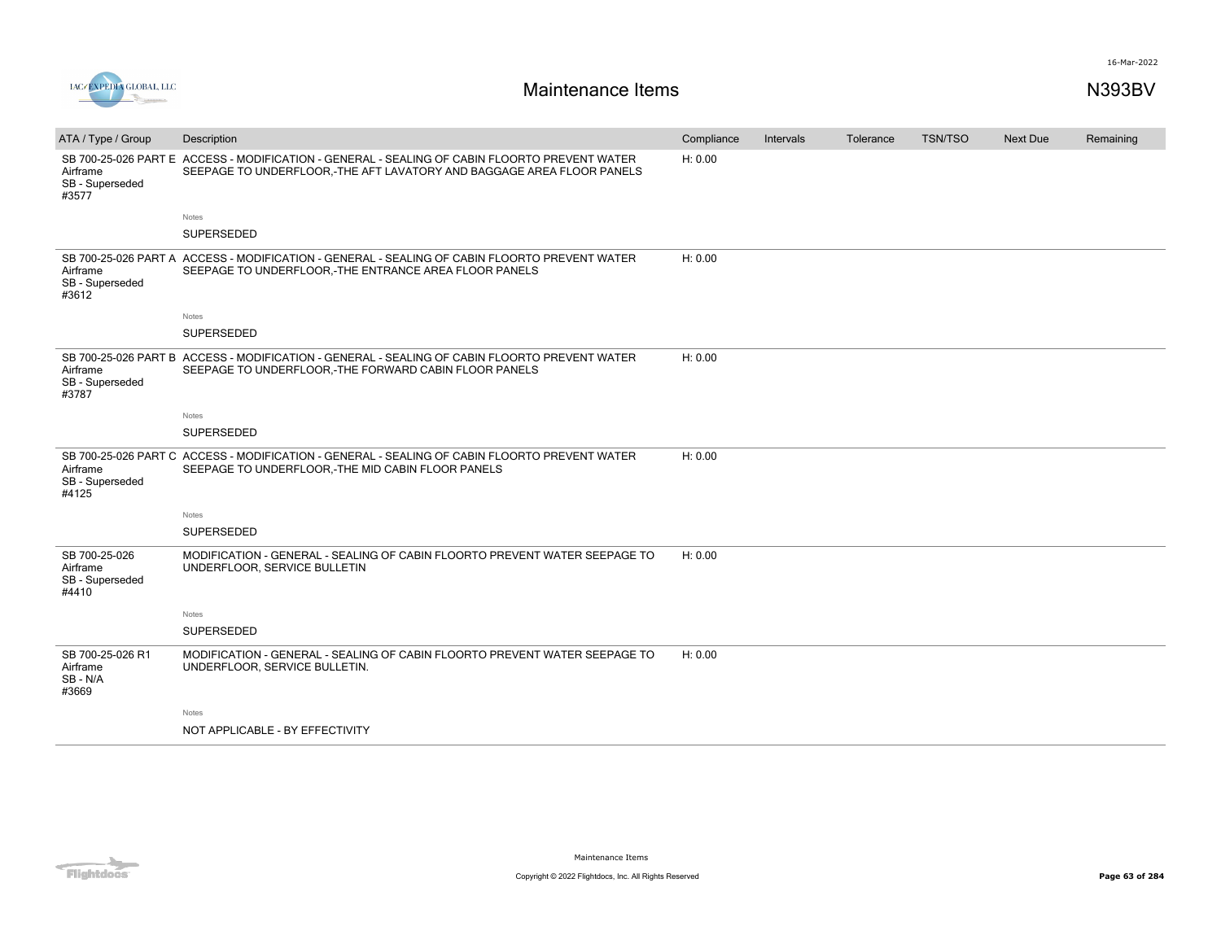

| ATA / Type / Group                                    | Description                                                                                                                                                            | Compliance | Intervals | Tolerance | <b>TSN/TSO</b> | <b>Next Due</b> | Remaining |
|-------------------------------------------------------|------------------------------------------------------------------------------------------------------------------------------------------------------------------------|------------|-----------|-----------|----------------|-----------------|-----------|
| Airframe<br>SB - Superseded<br>#3577                  | SB 700-25-026 PART E ACCESS - MODIFICATION - GENERAL - SEALING OF CABIN FLOORTO PREVENT WATER<br>SEEPAGE TO UNDERFLOOR.-THE AFT LAVATORY AND BAGGAGE AREA FLOOR PANELS | H: 0.00    |           |           |                |                 |           |
|                                                       | Notes                                                                                                                                                                  |            |           |           |                |                 |           |
|                                                       | SUPERSEDED                                                                                                                                                             |            |           |           |                |                 |           |
| Airframe<br>SB - Superseded<br>#3612                  | SB 700-25-026 PART A ACCESS - MODIFICATION - GENERAL - SEALING OF CABIN FLOORTO PREVENT WATER<br>SEEPAGE TO UNDERFLOOR, -THE ENTRANCE AREA FLOOR PANELS                | H: 0.00    |           |           |                |                 |           |
|                                                       | Notes                                                                                                                                                                  |            |           |           |                |                 |           |
|                                                       | SUPERSEDED                                                                                                                                                             |            |           |           |                |                 |           |
| Airframe<br>SB - Superseded<br>#3787                  | SB 700-25-026 PART B ACCESS - MODIFICATION - GENERAL - SEALING OF CABIN FLOORTO PREVENT WATER<br>SEEPAGE TO UNDERFLOOR, -THE FORWARD CABIN FLOOR PANELS                | H: 0.00    |           |           |                |                 |           |
|                                                       | Notes                                                                                                                                                                  |            |           |           |                |                 |           |
|                                                       | SUPERSEDED                                                                                                                                                             |            |           |           |                |                 |           |
| Airframe<br>SB - Superseded<br>#4125                  | SB 700-25-026 PART C ACCESS - MODIFICATION - GENERAL - SEALING OF CABIN FLOORTO PREVENT WATER<br>SEEPAGE TO UNDERFLOOR, THE MID CABIN FLOOR PANELS                     | H: 0.00    |           |           |                |                 |           |
|                                                       | Notes                                                                                                                                                                  |            |           |           |                |                 |           |
|                                                       | <b>SUPERSEDED</b>                                                                                                                                                      |            |           |           |                |                 |           |
| SB 700-25-026<br>Airframe<br>SB - Superseded<br>#4410 | MODIFICATION - GENERAL - SEALING OF CABIN FLOORTO PREVENT WATER SEEPAGE TO<br>UNDERFLOOR, SERVICE BULLETIN                                                             | H: 0.00    |           |           |                |                 |           |
|                                                       | Notes                                                                                                                                                                  |            |           |           |                |                 |           |
|                                                       | SUPERSEDED                                                                                                                                                             |            |           |           |                |                 |           |
| SB 700-25-026 R1<br>Airframe<br>SB-N/A<br>#3669       | MODIFICATION - GENERAL - SEALING OF CABIN FLOORTO PREVENT WATER SEEPAGE TO<br>UNDERFLOOR, SERVICE BULLETIN.                                                            | H: 0.00    |           |           |                |                 |           |
|                                                       | Notes                                                                                                                                                                  |            |           |           |                |                 |           |
|                                                       | NOT APPLICABLE - BY EFFECTIVITY                                                                                                                                        |            |           |           |                |                 |           |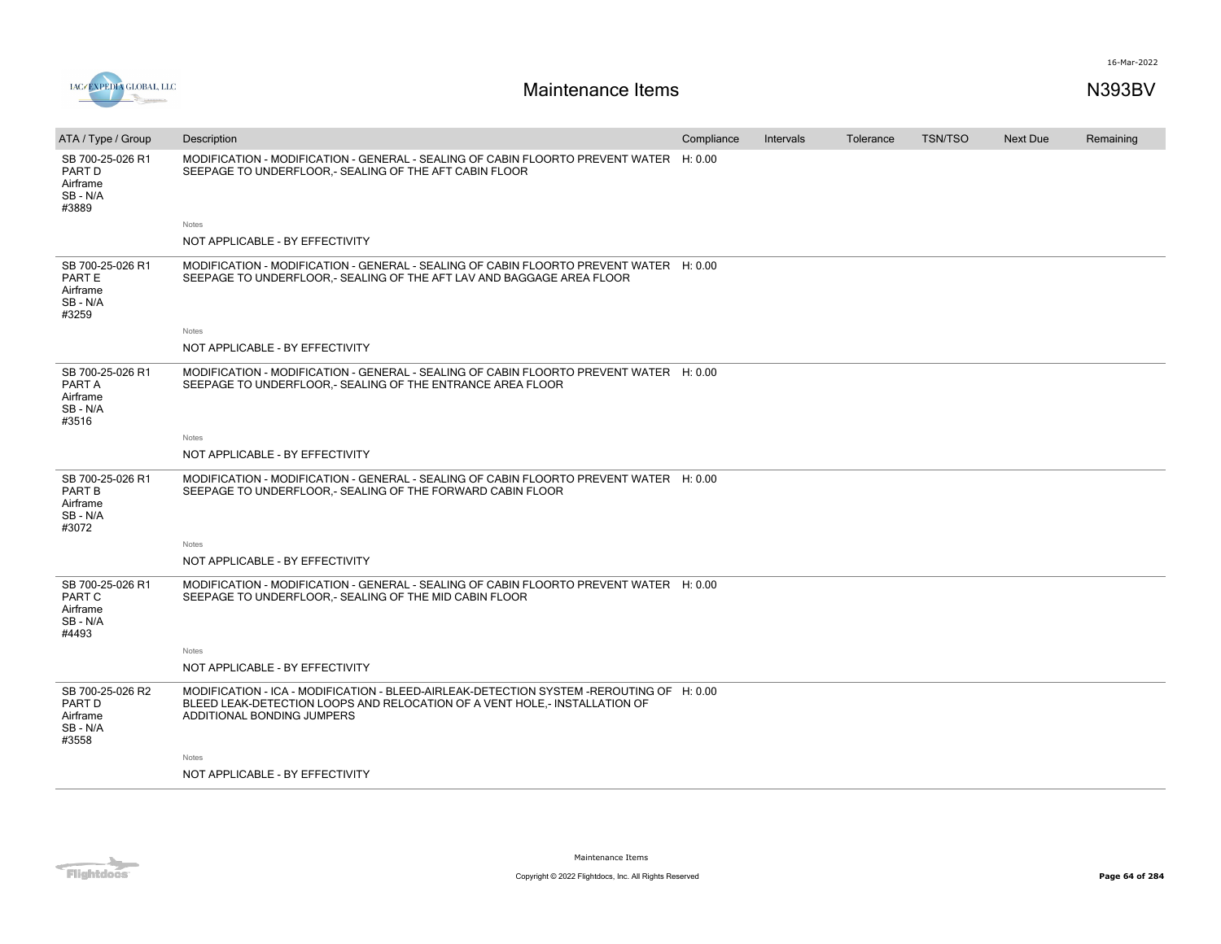



| ATA / Type / Group                                        | Description                                                                                                                                                                                          | Compliance | Intervals | Tolerance | <b>TSN/TSO</b> | Next Due | Remaining |
|-----------------------------------------------------------|------------------------------------------------------------------------------------------------------------------------------------------------------------------------------------------------------|------------|-----------|-----------|----------------|----------|-----------|
| SB 700-25-026 R1<br>PART D<br>Airframe<br>SB-N/A<br>#3889 | MODIFICATION - MODIFICATION - GENERAL - SEALING OF CABIN FLOORTO PREVENT WATER H: 0.00<br>SEEPAGE TO UNDERFLOOR, - SEALING OF THE AFT CABIN FLOOR                                                    |            |           |           |                |          |           |
|                                                           | Notes                                                                                                                                                                                                |            |           |           |                |          |           |
|                                                           | NOT APPLICABLE - BY EFFECTIVITY                                                                                                                                                                      |            |           |           |                |          |           |
| SB 700-25-026 R1<br>PART E<br>Airframe<br>SB-N/A<br>#3259 | MODIFICATION - MODIFICATION - GENERAL - SEALING OF CABIN FLOORTO PREVENT WATER H: 0.00<br>SEEPAGE TO UNDERFLOOR, - SEALING OF THE AFT LAV AND BAGGAGE AREA FLOOR                                     |            |           |           |                |          |           |
|                                                           | Notes                                                                                                                                                                                                |            |           |           |                |          |           |
|                                                           | NOT APPLICABLE - BY EFFECTIVITY                                                                                                                                                                      |            |           |           |                |          |           |
| SB 700-25-026 R1<br>PART A<br>Airframe<br>SB-N/A<br>#3516 | MODIFICATION - MODIFICATION - GENERAL - SEALING OF CABIN FLOORTO PREVENT WATER H: 0.00<br>SEEPAGE TO UNDERFLOOR .- SEALING OF THE ENTRANCE AREA FLOOR                                                |            |           |           |                |          |           |
|                                                           | Notes                                                                                                                                                                                                |            |           |           |                |          |           |
|                                                           | NOT APPLICABLE - BY EFFECTIVITY                                                                                                                                                                      |            |           |           |                |          |           |
| SB 700-25-026 R1<br>PART B<br>Airframe<br>SB-N/A<br>#3072 | MODIFICATION - MODIFICATION - GENERAL - SEALING OF CABIN FLOORTO PREVENT WATER H: 0.00<br>SEEPAGE TO UNDERFLOOR .- SEALING OF THE FORWARD CABIN FLOOR                                                |            |           |           |                |          |           |
|                                                           | Notes                                                                                                                                                                                                |            |           |           |                |          |           |
|                                                           | NOT APPLICABLE - BY EFFECTIVITY                                                                                                                                                                      |            |           |           |                |          |           |
| SB 700-25-026 R1<br>PART C<br>Airframe<br>SB-N/A<br>#4493 | MODIFICATION - MODIFICATION - GENERAL - SEALING OF CABIN FLOORTO PREVENT WATER H: 0.00<br>SEEPAGE TO UNDERFLOOR, - SEALING OF THE MID CABIN FLOOR                                                    |            |           |           |                |          |           |
|                                                           | Notes                                                                                                                                                                                                |            |           |           |                |          |           |
|                                                           | NOT APPLICABLE - BY EFFECTIVITY                                                                                                                                                                      |            |           |           |                |          |           |
| SB 700-25-026 R2<br>PART D<br>Airframe<br>SB-N/A<br>#3558 | MODIFICATION - ICA - MODIFICATION - BLEED-AIRLEAK-DETECTION SYSTEM -REROUTING OF H: 0.00<br>BLEED LEAK-DETECTION LOOPS AND RELOCATION OF A VENT HOLE,- INSTALLATION OF<br>ADDITIONAL BONDING JUMPERS |            |           |           |                |          |           |
|                                                           | Notes                                                                                                                                                                                                |            |           |           |                |          |           |
|                                                           | NOT APPLICABLE - BY EFFECTIVITY                                                                                                                                                                      |            |           |           |                |          |           |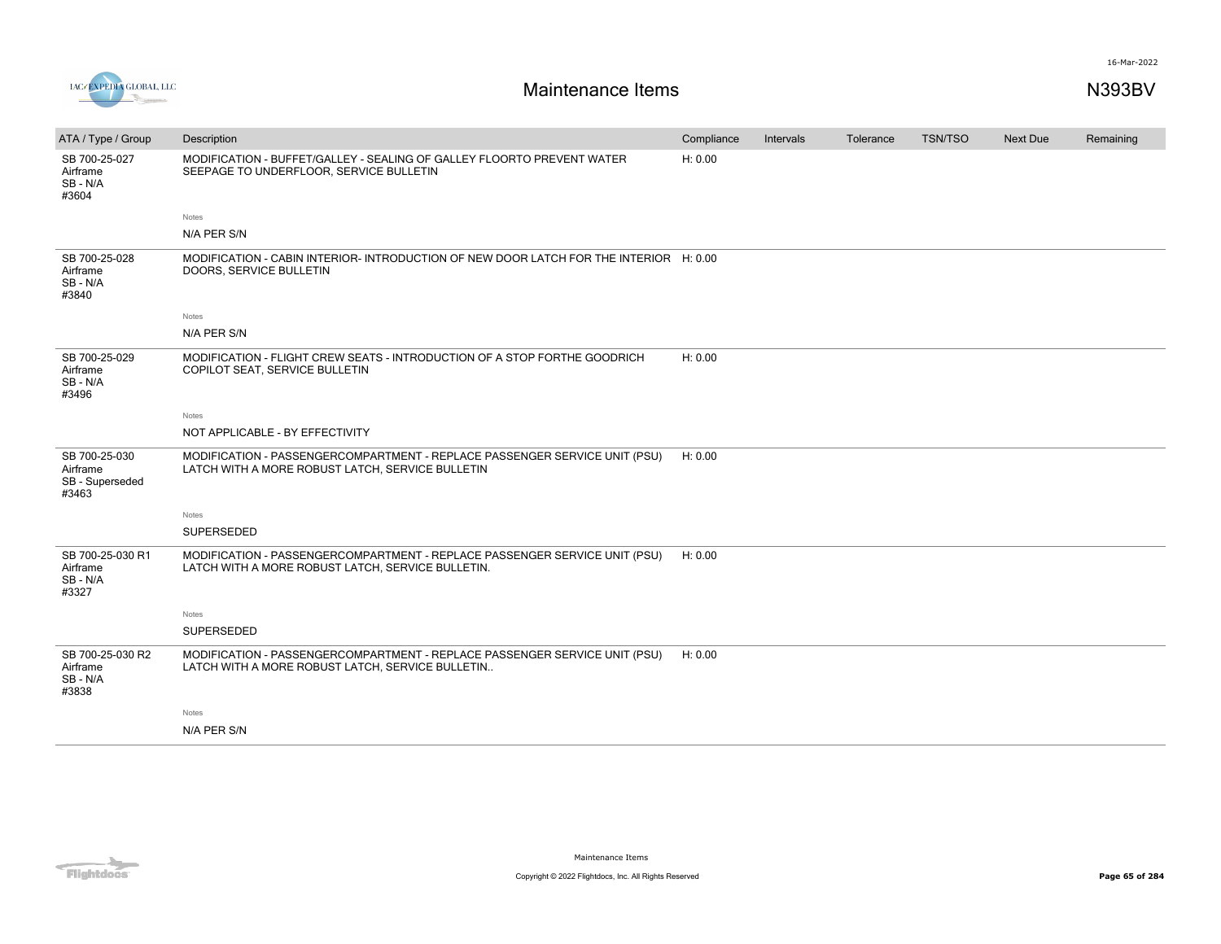

| ATA / Type / Group                                    | Description                                                                                                                     | Compliance | Intervals | Tolerance | <b>TSN/TSO</b> | <b>Next Due</b> | Remaining |
|-------------------------------------------------------|---------------------------------------------------------------------------------------------------------------------------------|------------|-----------|-----------|----------------|-----------------|-----------|
| SB 700-25-027<br>Airframe<br>SB-N/A<br>#3604          | MODIFICATION - BUFFET/GALLEY - SEALING OF GALLEY FLOORTO PREVENT WATER<br>SEEPAGE TO UNDERFLOOR, SERVICE BULLETIN               | H: 0.00    |           |           |                |                 |           |
|                                                       | Notes                                                                                                                           |            |           |           |                |                 |           |
|                                                       | N/A PER S/N                                                                                                                     |            |           |           |                |                 |           |
| SB 700-25-028<br>Airframe<br>SB - N/A<br>#3840        | MODIFICATION - CABIN INTERIOR- INTRODUCTION OF NEW DOOR LATCH FOR THE INTERIOR H: 0.00<br>DOORS, SERVICE BULLETIN               |            |           |           |                |                 |           |
|                                                       | Notes                                                                                                                           |            |           |           |                |                 |           |
|                                                       | N/A PER S/N                                                                                                                     |            |           |           |                |                 |           |
| SB 700-25-029<br>Airframe<br>SB - N/A<br>#3496        | MODIFICATION - FLIGHT CREW SEATS - INTRODUCTION OF A STOP FORTHE GOODRICH<br>COPILOT SEAT, SERVICE BULLETIN                     | H: 0.00    |           |           |                |                 |           |
|                                                       | Notes                                                                                                                           |            |           |           |                |                 |           |
|                                                       | NOT APPLICABLE - BY EFFECTIVITY                                                                                                 |            |           |           |                |                 |           |
| SB 700-25-030<br>Airframe<br>SB - Superseded<br>#3463 | MODIFICATION - PASSENGERCOMPARTMENT - REPLACE PASSENGER SERVICE UNIT (PSU)<br>LATCH WITH A MORE ROBUST LATCH, SERVICE BULLETIN  | H: 0.00    |           |           |                |                 |           |
|                                                       | Notes                                                                                                                           |            |           |           |                |                 |           |
|                                                       | SUPERSEDED                                                                                                                      |            |           |           |                |                 |           |
| SB 700-25-030 R1<br>Airframe<br>SB - N/A<br>#3327     | MODIFICATION - PASSENGERCOMPARTMENT - REPLACE PASSENGER SERVICE UNIT (PSU)<br>LATCH WITH A MORE ROBUST LATCH, SERVICE BULLETIN. | H: 0.00    |           |           |                |                 |           |
|                                                       | Notes                                                                                                                           |            |           |           |                |                 |           |
|                                                       | SUPERSEDED                                                                                                                      |            |           |           |                |                 |           |
| SB 700-25-030 R2<br>Airframe<br>SB - N/A<br>#3838     | MODIFICATION - PASSENGERCOMPARTMENT - REPLACE PASSENGER SERVICE UNIT (PSU)<br>LATCH WITH A MORE ROBUST LATCH, SERVICE BULLETIN  | H: 0.00    |           |           |                |                 |           |
|                                                       | Notes                                                                                                                           |            |           |           |                |                 |           |
|                                                       | N/A PER S/N                                                                                                                     |            |           |           |                |                 |           |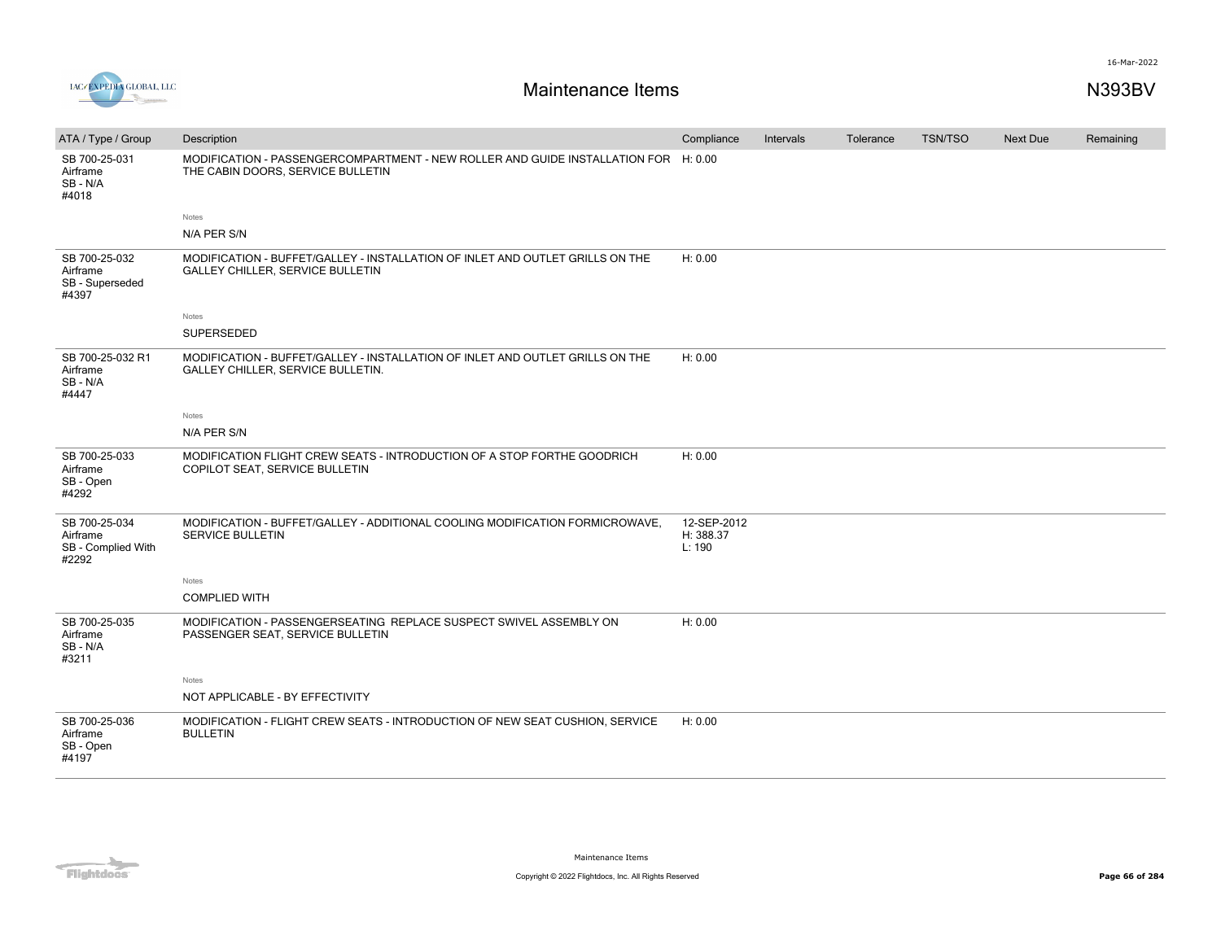

| ATA / Type / Group                                       | Description                                                                                                              | Compliance                         | Intervals | Tolerance | <b>TSN/TSO</b> | <b>Next Due</b> | Remaining |
|----------------------------------------------------------|--------------------------------------------------------------------------------------------------------------------------|------------------------------------|-----------|-----------|----------------|-----------------|-----------|
| SB 700-25-031<br>Airframe<br>SB-N/A<br>#4018             | MODIFICATION - PASSENGERCOMPARTMENT - NEW ROLLER AND GUIDE INSTALLATION FOR H: 0.00<br>THE CABIN DOORS, SERVICE BULLETIN |                                    |           |           |                |                 |           |
|                                                          | Notes                                                                                                                    |                                    |           |           |                |                 |           |
|                                                          | N/A PER S/N                                                                                                              |                                    |           |           |                |                 |           |
| SB 700-25-032<br>Airframe<br>SB - Superseded<br>#4397    | MODIFICATION - BUFFET/GALLEY - INSTALLATION OF INLET AND OUTLET GRILLS ON THE<br><b>GALLEY CHILLER, SERVICE BULLETIN</b> | H: 0.00                            |           |           |                |                 |           |
|                                                          | Notes                                                                                                                    |                                    |           |           |                |                 |           |
|                                                          | <b>SUPERSEDED</b>                                                                                                        |                                    |           |           |                |                 |           |
| SB 700-25-032 R1<br>Airframe<br>SB-N/A<br>#4447          | MODIFICATION - BUFFET/GALLEY - INSTALLATION OF INLET AND OUTLET GRILLS ON THE<br>GALLEY CHILLER, SERVICE BULLETIN.       | H: 0.00                            |           |           |                |                 |           |
|                                                          | Notes                                                                                                                    |                                    |           |           |                |                 |           |
|                                                          | N/A PER S/N                                                                                                              |                                    |           |           |                |                 |           |
| SB 700-25-033<br>Airframe<br>SB - Open<br>#4292          | MODIFICATION FLIGHT CREW SEATS - INTRODUCTION OF A STOP FORTHE GOODRICH<br>COPILOT SEAT, SERVICE BULLETIN                | H: 0.00                            |           |           |                |                 |           |
| SB 700-25-034<br>Airframe<br>SB - Complied With<br>#2292 | MODIFICATION - BUFFET/GALLEY - ADDITIONAL COOLING MODIFICATION FORMICROWAVE,<br><b>SERVICE BULLETIN</b>                  | 12-SEP-2012<br>H: 388.37<br>L: 190 |           |           |                |                 |           |
|                                                          | Notes                                                                                                                    |                                    |           |           |                |                 |           |
|                                                          | <b>COMPLIED WITH</b>                                                                                                     |                                    |           |           |                |                 |           |
| SB 700-25-035<br>Airframe<br>SB-N/A<br>#3211             | MODIFICATION - PASSENGERSEATING REPLACE SUSPECT SWIVEL ASSEMBLY ON<br>PASSENGER SEAT, SERVICE BULLETIN                   | H: 0.00                            |           |           |                |                 |           |
|                                                          | Notes                                                                                                                    |                                    |           |           |                |                 |           |
|                                                          | NOT APPLICABLE - BY EFFECTIVITY                                                                                          |                                    |           |           |                |                 |           |
| SB 700-25-036<br>Airframe<br>SB - Open<br>#4197          | MODIFICATION - FLIGHT CREW SEATS - INTRODUCTION OF NEW SEAT CUSHION, SERVICE<br><b>BULLETIN</b>                          | H: 0.00                            |           |           |                |                 |           |

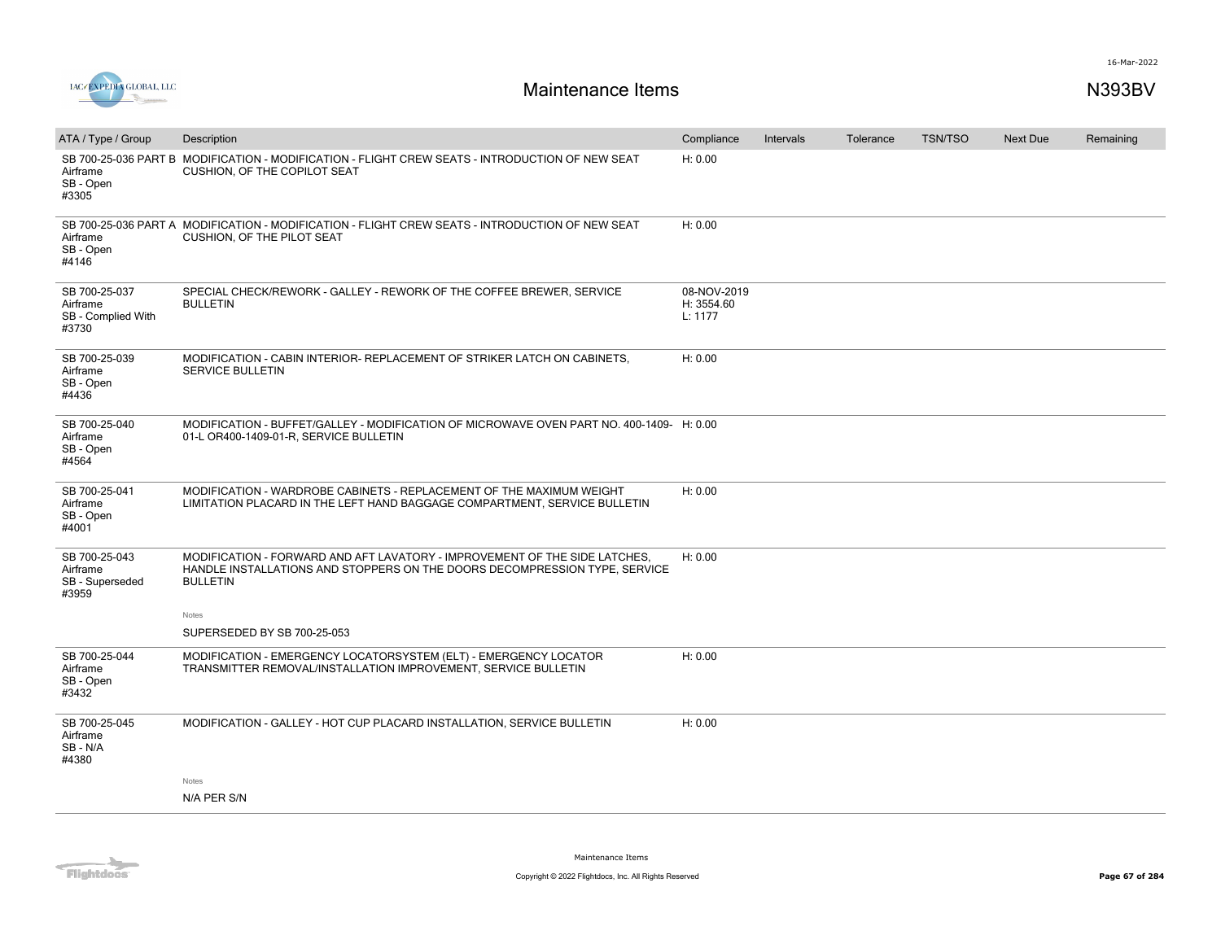

| ATA / Type / Group                                       | Description                                                                                                                                                                 | Compliance                           | Intervals | Tolerance | <b>TSN/TSO</b> | <b>Next Due</b> | Remaining |
|----------------------------------------------------------|-----------------------------------------------------------------------------------------------------------------------------------------------------------------------------|--------------------------------------|-----------|-----------|----------------|-----------------|-----------|
| Airframe<br>SB - Open<br>#3305                           | SB 700-25-036 PART B MODIFICATION - MODIFICATION - FLIGHT CREW SEATS - INTRODUCTION OF NEW SEAT<br>CUSHION, OF THE COPILOT SEAT                                             | H: 0.00                              |           |           |                |                 |           |
| Airframe<br>SB - Open<br>#4146                           | SB 700-25-036 PART A MODIFICATION - MODIFICATION - FLIGHT CREW SEATS - INTRODUCTION OF NEW SEAT<br>CUSHION, OF THE PILOT SEAT                                               | H: 0.00                              |           |           |                |                 |           |
| SB 700-25-037<br>Airframe<br>SB - Complied With<br>#3730 | SPECIAL CHECK/REWORK - GALLEY - REWORK OF THE COFFEE BREWER, SERVICE<br><b>BULLETIN</b>                                                                                     | 08-NOV-2019<br>H: 3554.60<br>L: 1177 |           |           |                |                 |           |
| SB 700-25-039<br>Airframe<br>SB - Open<br>#4436          | MODIFICATION - CABIN INTERIOR- REPLACEMENT OF STRIKER LATCH ON CABINETS.<br><b>SERVICE BULLETIN</b>                                                                         | H: 0.00                              |           |           |                |                 |           |
| SB 700-25-040<br>Airframe<br>SB - Open<br>#4564          | MODIFICATION - BUFFET/GALLEY - MODIFICATION OF MICROWAVE OVEN PART NO. 400-1409- H: 0.00<br>01-L OR400-1409-01-R, SERVICE BULLETIN                                          |                                      |           |           |                |                 |           |
| SB 700-25-041<br>Airframe<br>SB - Open<br>#4001          | MODIFICATION - WARDROBE CABINETS - REPLACEMENT OF THE MAXIMUM WEIGHT<br>LIMITATION PLACARD IN THE LEFT HAND BAGGAGE COMPARTMENT, SERVICE BULLETIN                           | H: 0.00                              |           |           |                |                 |           |
| SB 700-25-043<br>Airframe<br>SB - Superseded<br>#3959    | MODIFICATION - FORWARD AND AFT LAVATORY - IMPROVEMENT OF THE SIDE LATCHES,<br>HANDLE INSTALLATIONS AND STOPPERS ON THE DOORS DECOMPRESSION TYPE, SERVICE<br><b>BULLETIN</b> | H: 0.00                              |           |           |                |                 |           |
|                                                          | Notes<br>SUPERSEDED BY SB 700-25-053                                                                                                                                        |                                      |           |           |                |                 |           |
| SB 700-25-044<br>Airframe<br>SB - Open<br>#3432          | MODIFICATION - EMERGENCY LOCATORSYSTEM (ELT) - EMERGENCY LOCATOR<br>TRANSMITTER REMOVAL/INSTALLATION IMPROVEMENT, SERVICE BULLETIN                                          | H: 0.00                              |           |           |                |                 |           |
| SB 700-25-045<br>Airframe<br>SB - N/A<br>#4380           | MODIFICATION - GALLEY - HOT CUP PLACARD INSTALLATION, SERVICE BULLETIN                                                                                                      | H: 0.00                              |           |           |                |                 |           |
|                                                          | Notes                                                                                                                                                                       |                                      |           |           |                |                 |           |
|                                                          | N/A PER S/N                                                                                                                                                                 |                                      |           |           |                |                 |           |

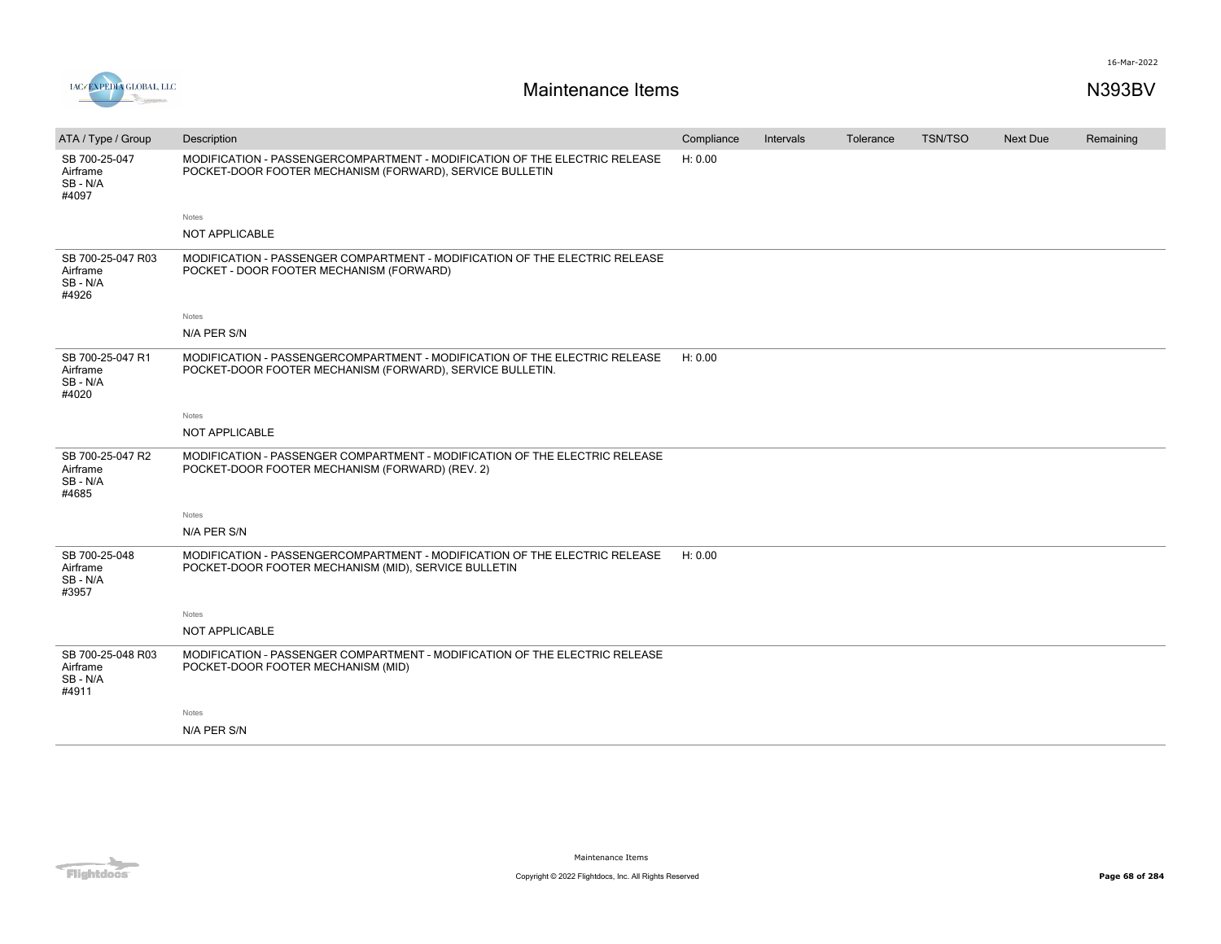

| ATA / Type / Group                                | Description                                                                                                                             | Compliance | Intervals | Tolerance | <b>TSN/TSO</b> | Next Due | Remaining |
|---------------------------------------------------|-----------------------------------------------------------------------------------------------------------------------------------------|------------|-----------|-----------|----------------|----------|-----------|
| SB 700-25-047<br>Airframe<br>SB-N/A<br>#4097      | MODIFICATION - PASSENGERCOMPARTMENT - MODIFICATION OF THE ELECTRIC RELEASE<br>POCKET-DOOR FOOTER MECHANISM (FORWARD), SERVICE BULLETIN  | H: 0.00    |           |           |                |          |           |
|                                                   | Notes                                                                                                                                   |            |           |           |                |          |           |
|                                                   | <b>NOT APPLICABLE</b>                                                                                                                   |            |           |           |                |          |           |
| SB 700-25-047 R03<br>Airframe<br>SB-N/A<br>#4926  | MODIFICATION - PASSENGER COMPARTMENT - MODIFICATION OF THE ELECTRIC RELEASE<br>POCKET - DOOR FOOTER MECHANISM (FORWARD)                 |            |           |           |                |          |           |
|                                                   | Notes                                                                                                                                   |            |           |           |                |          |           |
|                                                   | N/A PER S/N                                                                                                                             |            |           |           |                |          |           |
| SB 700-25-047 R1<br>Airframe<br>SB - N/A<br>#4020 | MODIFICATION - PASSENGERCOMPARTMENT - MODIFICATION OF THE ELECTRIC RELEASE<br>POCKET-DOOR FOOTER MECHANISM (FORWARD), SERVICE BULLETIN. | H: 0.00    |           |           |                |          |           |
|                                                   | Notes                                                                                                                                   |            |           |           |                |          |           |
|                                                   | NOT APPLICABLE                                                                                                                          |            |           |           |                |          |           |
| SB 700-25-047 R2<br>Airframe<br>SB-N/A<br>#4685   | MODIFICATION - PASSENGER COMPARTMENT - MODIFICATION OF THE ELECTRIC RELEASE<br>POCKET-DOOR FOOTER MECHANISM (FORWARD) (REV. 2)          |            |           |           |                |          |           |
|                                                   | Notes                                                                                                                                   |            |           |           |                |          |           |
|                                                   | N/A PER S/N                                                                                                                             |            |           |           |                |          |           |
| SB 700-25-048<br>Airframe<br>SB - N/A<br>#3957    | MODIFICATION - PASSENGERCOMPARTMENT - MODIFICATION OF THE ELECTRIC RELEASE<br>POCKET-DOOR FOOTER MECHANISM (MID), SERVICE BULLETIN      | H: 0.00    |           |           |                |          |           |
|                                                   | Notes                                                                                                                                   |            |           |           |                |          |           |
|                                                   | <b>NOT APPLICABLE</b>                                                                                                                   |            |           |           |                |          |           |
| SB 700-25-048 R03<br>Airframe<br>SB-N/A<br>#4911  | MODIFICATION - PASSENGER COMPARTMENT - MODIFICATION OF THE ELECTRIC RELEASE<br>POCKET-DOOR FOOTER MECHANISM (MID)                       |            |           |           |                |          |           |
|                                                   | Notes                                                                                                                                   |            |           |           |                |          |           |
|                                                   | N/A PER S/N                                                                                                                             |            |           |           |                |          |           |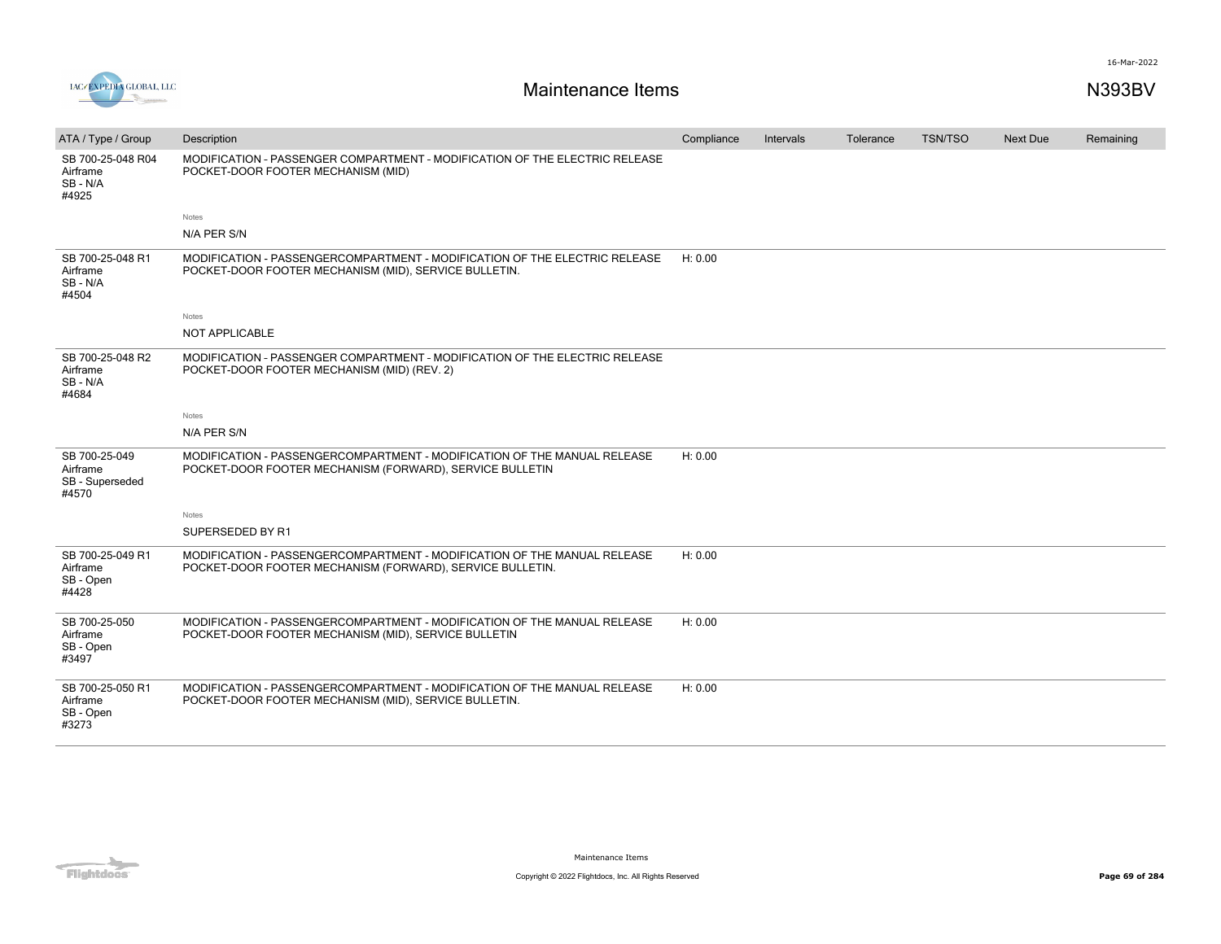



| ATA / Type / Group                                    | Description                                                                                                                           | Compliance | Intervals | Tolerance | <b>TSN/TSO</b> | Next Due | Remaining |
|-------------------------------------------------------|---------------------------------------------------------------------------------------------------------------------------------------|------------|-----------|-----------|----------------|----------|-----------|
| SB 700-25-048 R04<br>Airframe<br>SB-N/A<br>#4925      | MODIFICATION - PASSENGER COMPARTMENT - MODIFICATION OF THE ELECTRIC RELEASE<br>POCKET-DOOR FOOTER MECHANISM (MID)                     |            |           |           |                |          |           |
|                                                       | Notes                                                                                                                                 |            |           |           |                |          |           |
|                                                       | N/A PER S/N                                                                                                                           |            |           |           |                |          |           |
| SB 700-25-048 R1<br>Airframe<br>SB - N/A<br>#4504     | MODIFICATION - PASSENGERCOMPARTMENT - MODIFICATION OF THE ELECTRIC RELEASE<br>POCKET-DOOR FOOTER MECHANISM (MID), SERVICE BULLETIN.   | H: 0.00    |           |           |                |          |           |
|                                                       | Notes                                                                                                                                 |            |           |           |                |          |           |
|                                                       | NOT APPLICABLE                                                                                                                        |            |           |           |                |          |           |
| SB 700-25-048 R2<br>Airframe<br>SB - N/A<br>#4684     | MODIFICATION - PASSENGER COMPARTMENT - MODIFICATION OF THE ELECTRIC RELEASE<br>POCKET-DOOR FOOTER MECHANISM (MID) (REV. 2)            |            |           |           |                |          |           |
|                                                       | Notes                                                                                                                                 |            |           |           |                |          |           |
|                                                       | N/A PER S/N                                                                                                                           |            |           |           |                |          |           |
| SB 700-25-049<br>Airframe<br>SB - Superseded<br>#4570 | MODIFICATION - PASSENGERCOMPARTMENT - MODIFICATION OF THE MANUAL RELEASE<br>POCKET-DOOR FOOTER MECHANISM (FORWARD), SERVICE BULLETIN  | H: 0.00    |           |           |                |          |           |
|                                                       | Notes                                                                                                                                 |            |           |           |                |          |           |
|                                                       | SUPERSEDED BY R1                                                                                                                      |            |           |           |                |          |           |
| SB 700-25-049 R1<br>Airframe<br>SB - Open<br>#4428    | MODIFICATION - PASSENGERCOMPARTMENT - MODIFICATION OF THE MANUAL RELEASE<br>POCKET-DOOR FOOTER MECHANISM (FORWARD), SERVICE BULLETIN. | H: 0.00    |           |           |                |          |           |
| SB 700-25-050<br>Airframe<br>SB - Open<br>#3497       | MODIFICATION - PASSENGERCOMPARTMENT - MODIFICATION OF THE MANUAL RELEASE<br>POCKET-DOOR FOOTER MECHANISM (MID), SERVICE BULLETIN      | H: 0.00    |           |           |                |          |           |
| SB 700-25-050 R1<br>Airframe<br>SB - Open<br>#3273    | MODIFICATION - PASSENGERCOMPARTMENT - MODIFICATION OF THE MANUAL RELEASE<br>POCKET-DOOR FOOTER MECHANISM (MID), SERVICE BULLETIN.     | H: 0.00    |           |           |                |          |           |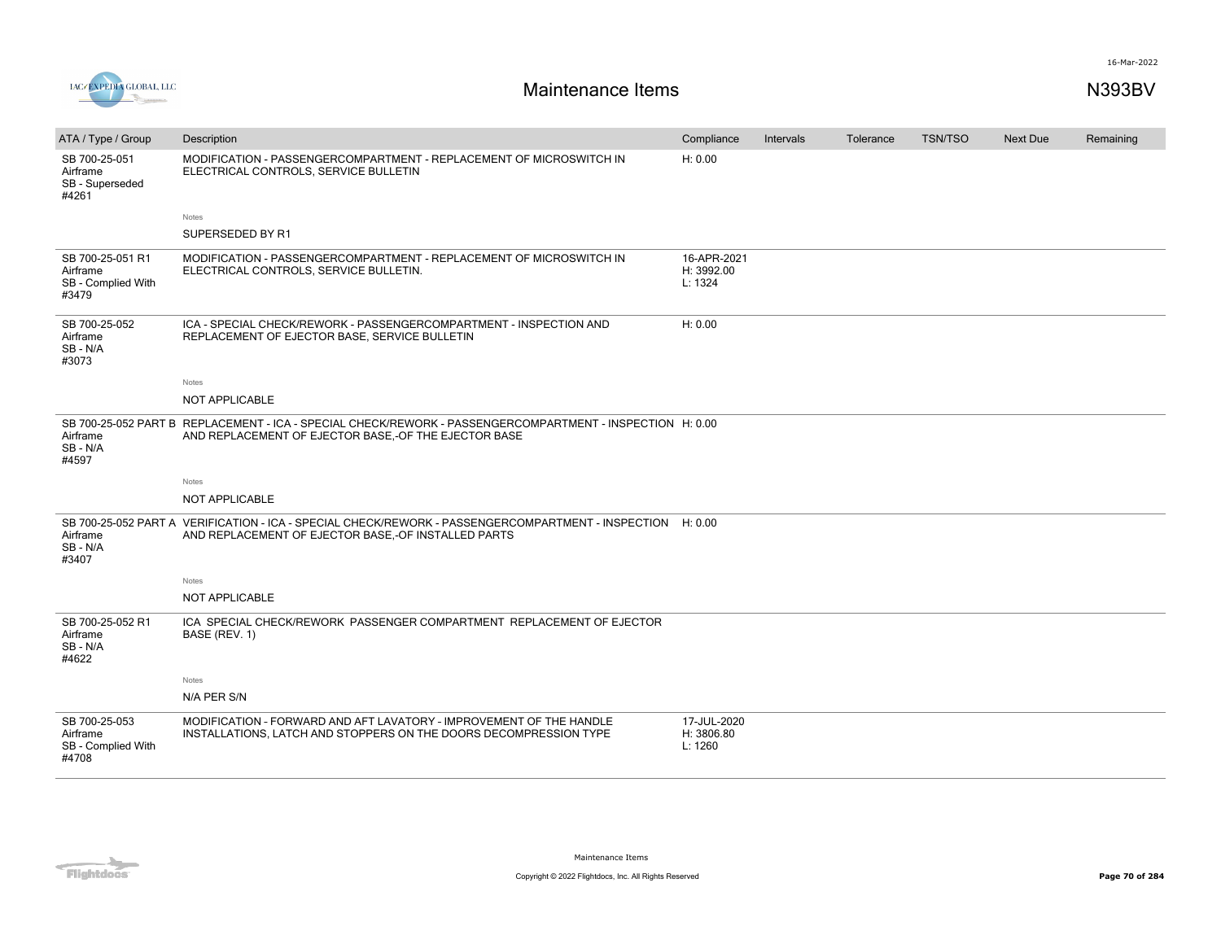



# **Maintenance Items N393BV**

| ATA / Type / Group                                          | Description                                                                                                                                                       | Compliance                           | Intervals | Tolerance | <b>TSN/TSO</b> | <b>Next Due</b> | Remaining |
|-------------------------------------------------------------|-------------------------------------------------------------------------------------------------------------------------------------------------------------------|--------------------------------------|-----------|-----------|----------------|-----------------|-----------|
| SB 700-25-051<br>Airframe<br>SB - Superseded<br>#4261       | MODIFICATION - PASSENGERCOMPARTMENT - REPLACEMENT OF MICROSWITCH IN<br>ELECTRICAL CONTROLS, SERVICE BULLETIN                                                      | H: 0.00                              |           |           |                |                 |           |
|                                                             | Notes                                                                                                                                                             |                                      |           |           |                |                 |           |
|                                                             | SUPERSEDED BY R1                                                                                                                                                  |                                      |           |           |                |                 |           |
| SB 700-25-051 R1<br>Airframe<br>SB - Complied With<br>#3479 | MODIFICATION - PASSENGERCOMPARTMENT - REPLACEMENT OF MICROSWITCH IN<br>ELECTRICAL CONTROLS, SERVICE BULLETIN.                                                     | 16-APR-2021<br>H: 3992.00<br>L: 1324 |           |           |                |                 |           |
| SB 700-25-052<br>Airframe<br>SB - N/A<br>#3073              | ICA - SPECIAL CHECK/REWORK - PASSENGERCOMPARTMENT - INSPECTION AND<br>REPLACEMENT OF EJECTOR BASE, SERVICE BULLETIN                                               | H: 0.00                              |           |           |                |                 |           |
|                                                             | Notes                                                                                                                                                             |                                      |           |           |                |                 |           |
|                                                             | NOT APPLICABLE                                                                                                                                                    |                                      |           |           |                |                 |           |
| Airframe<br>SB-N/A<br>#4597                                 | SB 700-25-052 PART B REPLACEMENT - ICA - SPECIAL CHECK/REWORK - PASSENGERCOMPARTMENT - INSPECTION H: 0.00<br>AND REPLACEMENT OF EJECTOR BASE,-OF THE EJECTOR BASE |                                      |           |           |                |                 |           |
|                                                             | Notes                                                                                                                                                             |                                      |           |           |                |                 |           |
|                                                             | NOT APPLICABLE                                                                                                                                                    |                                      |           |           |                |                 |           |
| Airframe<br>SB-N/A<br>#3407                                 | SB 700-25-052 PART A VERIFICATION - ICA - SPECIAL CHECK/REWORK - PASSENGERCOMPARTMENT - INSPECTION H: 0.00<br>AND REPLACEMENT OF EJECTOR BASE,-OF INSTALLED PARTS |                                      |           |           |                |                 |           |
|                                                             | Notes                                                                                                                                                             |                                      |           |           |                |                 |           |
|                                                             | NOT APPLICABLE                                                                                                                                                    |                                      |           |           |                |                 |           |
| SB 700-25-052 R1<br>Airframe<br>SB-N/A<br>#4622             | ICA SPECIAL CHECK/REWORK PASSENGER COMPARTMENT REPLACEMENT OF EJECTOR<br>BASE (REV. 1)                                                                            |                                      |           |           |                |                 |           |
|                                                             | Notes                                                                                                                                                             |                                      |           |           |                |                 |           |
|                                                             | N/A PER S/N                                                                                                                                                       |                                      |           |           |                |                 |           |
| SB 700-25-053<br>Airframe<br>SB - Complied With<br>#4708    | MODIFICATION - FORWARD AND AFT LAVATORY - IMPROVEMENT OF THE HANDLE<br>INSTALLATIONS, LATCH AND STOPPERS ON THE DOORS DECOMPRESSION TYPE                          | 17-JUL-2020<br>H: 3806.80<br>L: 1260 |           |           |                |                 |           |

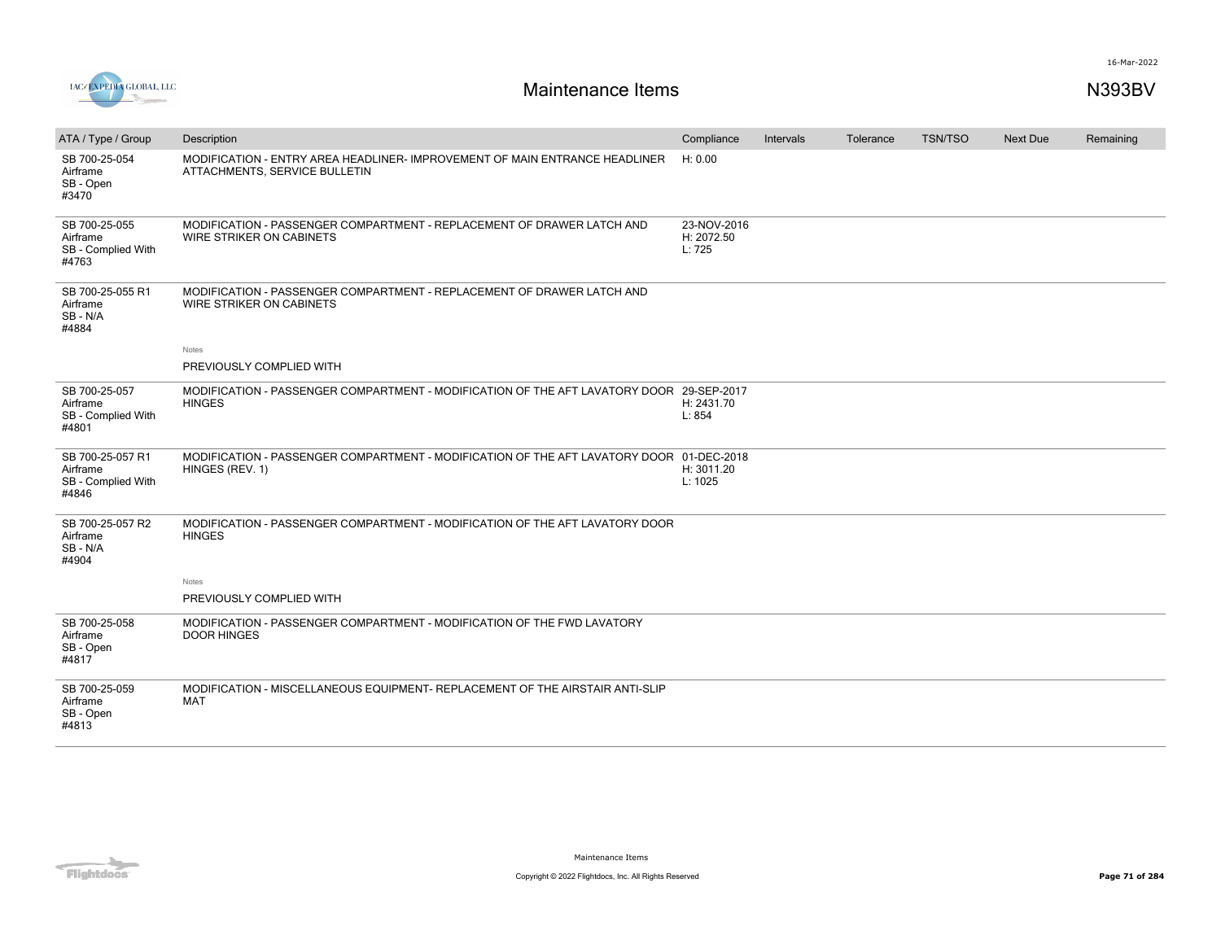



| ATA / Type / Group                                          | Description                                                                                                  | Compliance                          | Intervals | Tolerance | <b>TSN/TSO</b> | Next Due | Remaining |
|-------------------------------------------------------------|--------------------------------------------------------------------------------------------------------------|-------------------------------------|-----------|-----------|----------------|----------|-----------|
| SB 700-25-054<br>Airframe<br>SB - Open<br>#3470             | MODIFICATION - ENTRY AREA HEADLINER- IMPROVEMENT OF MAIN ENTRANCE HEADLINER<br>ATTACHMENTS, SERVICE BULLETIN | H: 0.00                             |           |           |                |          |           |
| SB 700-25-055<br>Airframe<br>SB - Complied With<br>#4763    | MODIFICATION - PASSENGER COMPARTMENT - REPLACEMENT OF DRAWER LATCH AND<br><b>WIRE STRIKER ON CABINETS</b>    | 23-NOV-2016<br>H: 2072.50<br>L: 725 |           |           |                |          |           |
| SB 700-25-055 R1<br>Airframe<br>SB - N/A<br>#4884           | MODIFICATION - PASSENGER COMPARTMENT - REPLACEMENT OF DRAWER LATCH AND<br>WIRE STRIKER ON CABINETS           |                                     |           |           |                |          |           |
|                                                             | Notes                                                                                                        |                                     |           |           |                |          |           |
|                                                             | PREVIOUSLY COMPLIED WITH                                                                                     |                                     |           |           |                |          |           |
| SB 700-25-057<br>Airframe<br>SB - Complied With<br>#4801    | MODIFICATION - PASSENGER COMPARTMENT - MODIFICATION OF THE AFT LAVATORY DOOR 29-SEP-2017<br><b>HINGES</b>    | H: 2431.70<br>L: 854                |           |           |                |          |           |
| SB 700-25-057 R1<br>Airframe<br>SB - Complied With<br>#4846 | MODIFICATION - PASSENGER COMPARTMENT - MODIFICATION OF THE AFT LAVATORY DOOR 01-DEC-2018<br>HINGES (REV. 1)  | H: 3011.20<br>L: 1025               |           |           |                |          |           |
| SB 700-25-057 R2<br>Airframe<br>SB - N/A<br>#4904           | MODIFICATION - PASSENGER COMPARTMENT - MODIFICATION OF THE AFT LAVATORY DOOR<br><b>HINGES</b>                |                                     |           |           |                |          |           |
|                                                             | Notes                                                                                                        |                                     |           |           |                |          |           |
|                                                             | PREVIOUSLY COMPLIED WITH                                                                                     |                                     |           |           |                |          |           |
| SB 700-25-058<br>Airframe<br>SB - Open<br>#4817             | MODIFICATION - PASSENGER COMPARTMENT - MODIFICATION OF THE FWD LAVATORY<br><b>DOOR HINGES</b>                |                                     |           |           |                |          |           |
| SB 700-25-059<br>Airframe<br>SB - Open<br>#4813             | MODIFICATION - MISCELLANEOUS EQUIPMENT- REPLACEMENT OF THE AIRSTAIR ANTI-SLIP<br>MAT                         |                                     |           |           |                |          |           |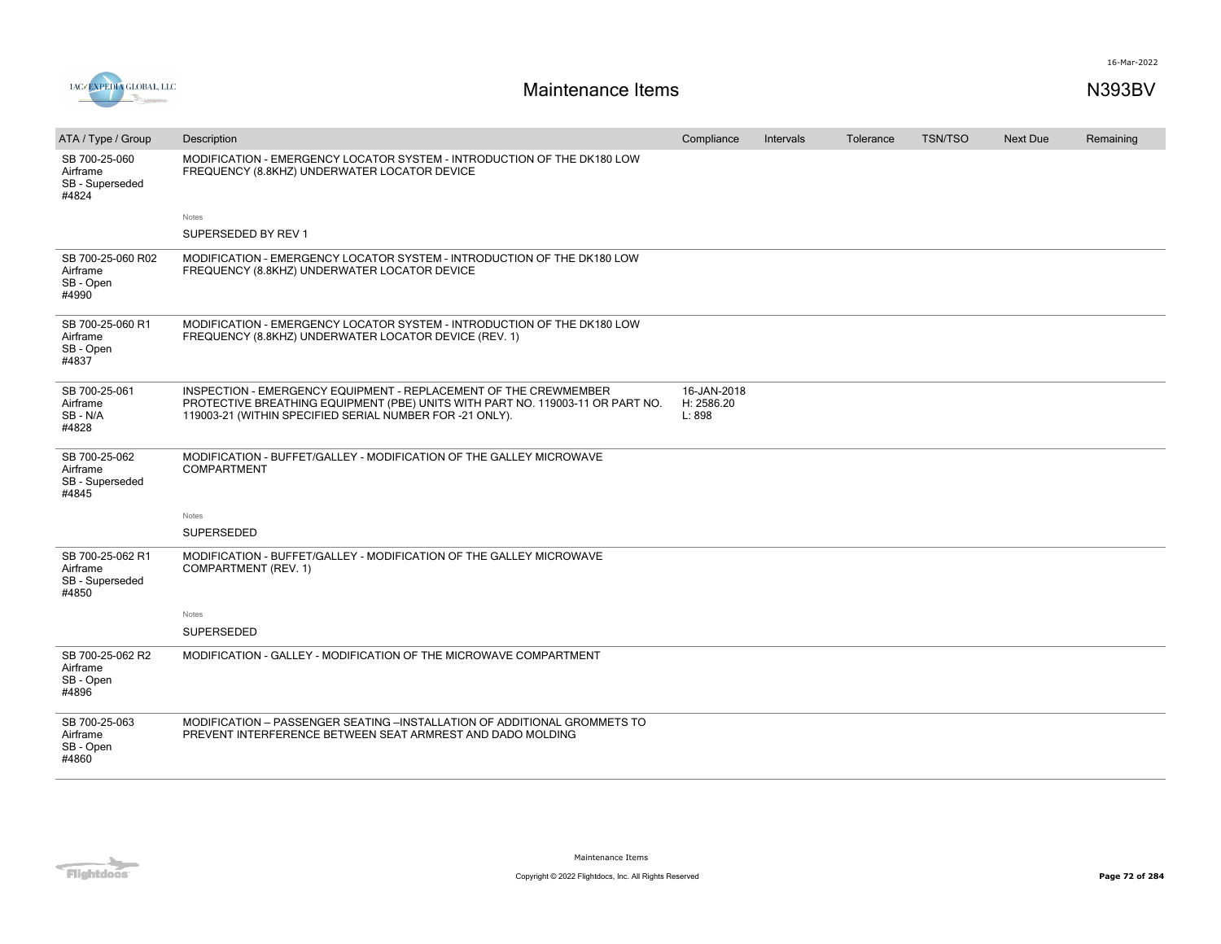

| ATA / Type / Group                                       | Description                                                                                                                                                                                                    | Compliance                          | Intervals | Tolerance | <b>TSN/TSO</b> | <b>Next Due</b> | Remaining |
|----------------------------------------------------------|----------------------------------------------------------------------------------------------------------------------------------------------------------------------------------------------------------------|-------------------------------------|-----------|-----------|----------------|-----------------|-----------|
| SB 700-25-060<br>Airframe<br>SB - Superseded<br>#4824    | MODIFICATION - EMERGENCY LOCATOR SYSTEM - INTRODUCTION OF THE DK180 LOW<br>FREQUENCY (8.8KHZ) UNDERWATER LOCATOR DEVICE                                                                                        |                                     |           |           |                |                 |           |
|                                                          | Notes                                                                                                                                                                                                          |                                     |           |           |                |                 |           |
|                                                          | SUPERSEDED BY REV 1                                                                                                                                                                                            |                                     |           |           |                |                 |           |
| SB 700-25-060 R02<br>Airframe<br>SB - Open<br>#4990      | MODIFICATION - EMERGENCY LOCATOR SYSTEM - INTRODUCTION OF THE DK180 LOW<br>FREQUENCY (8.8KHZ) UNDERWATER LOCATOR DEVICE                                                                                        |                                     |           |           |                |                 |           |
| SB 700-25-060 R1<br>Airframe<br>SB - Open<br>#4837       | MODIFICATION - EMERGENCY LOCATOR SYSTEM - INTRODUCTION OF THE DK180 LOW<br>FREQUENCY (8.8KHZ) UNDERWATER LOCATOR DEVICE (REV. 1)                                                                               |                                     |           |           |                |                 |           |
| SB 700-25-061<br>Airframe<br>SB-N/A<br>#4828             | INSPECTION - EMERGENCY EQUIPMENT - REPLACEMENT OF THE CREWMEMBER<br>PROTECTIVE BREATHING EQUIPMENT (PBE) UNITS WITH PART NO. 119003-11 OR PART NO.<br>119003-21 (WITHIN SPECIFIED SERIAL NUMBER FOR -21 ONLY). | 16-JAN-2018<br>H: 2586.20<br>L: 898 |           |           |                |                 |           |
| SB 700-25-062<br>Airframe<br>SB - Superseded<br>#4845    | MODIFICATION - BUFFET/GALLEY - MODIFICATION OF THE GALLEY MICROWAVE<br><b>COMPARTMENT</b>                                                                                                                      |                                     |           |           |                |                 |           |
|                                                          | Notes                                                                                                                                                                                                          |                                     |           |           |                |                 |           |
|                                                          | <b>SUPERSEDED</b>                                                                                                                                                                                              |                                     |           |           |                |                 |           |
| SB 700-25-062 R1<br>Airframe<br>SB - Superseded<br>#4850 | MODIFICATION - BUFFET/GALLEY - MODIFICATION OF THE GALLEY MICROWAVE<br>COMPARTMENT (REV. 1)                                                                                                                    |                                     |           |           |                |                 |           |
|                                                          | Notes                                                                                                                                                                                                          |                                     |           |           |                |                 |           |
|                                                          | <b>SUPERSEDED</b>                                                                                                                                                                                              |                                     |           |           |                |                 |           |
| SB 700-25-062 R2<br>Airframe<br>SB - Open<br>#4896       | MODIFICATION - GALLEY - MODIFICATION OF THE MICROWAVE COMPARTMENT                                                                                                                                              |                                     |           |           |                |                 |           |
| SB 700-25-063<br>Airframe<br>SB - Open<br>#4860          | MODIFICATION - PASSENGER SEATING -INSTALLATION OF ADDITIONAL GROMMETS TO<br>PREVENT INTERFERENCE BETWEEN SEAT ARMREST AND DADO MOLDING                                                                         |                                     |           |           |                |                 |           |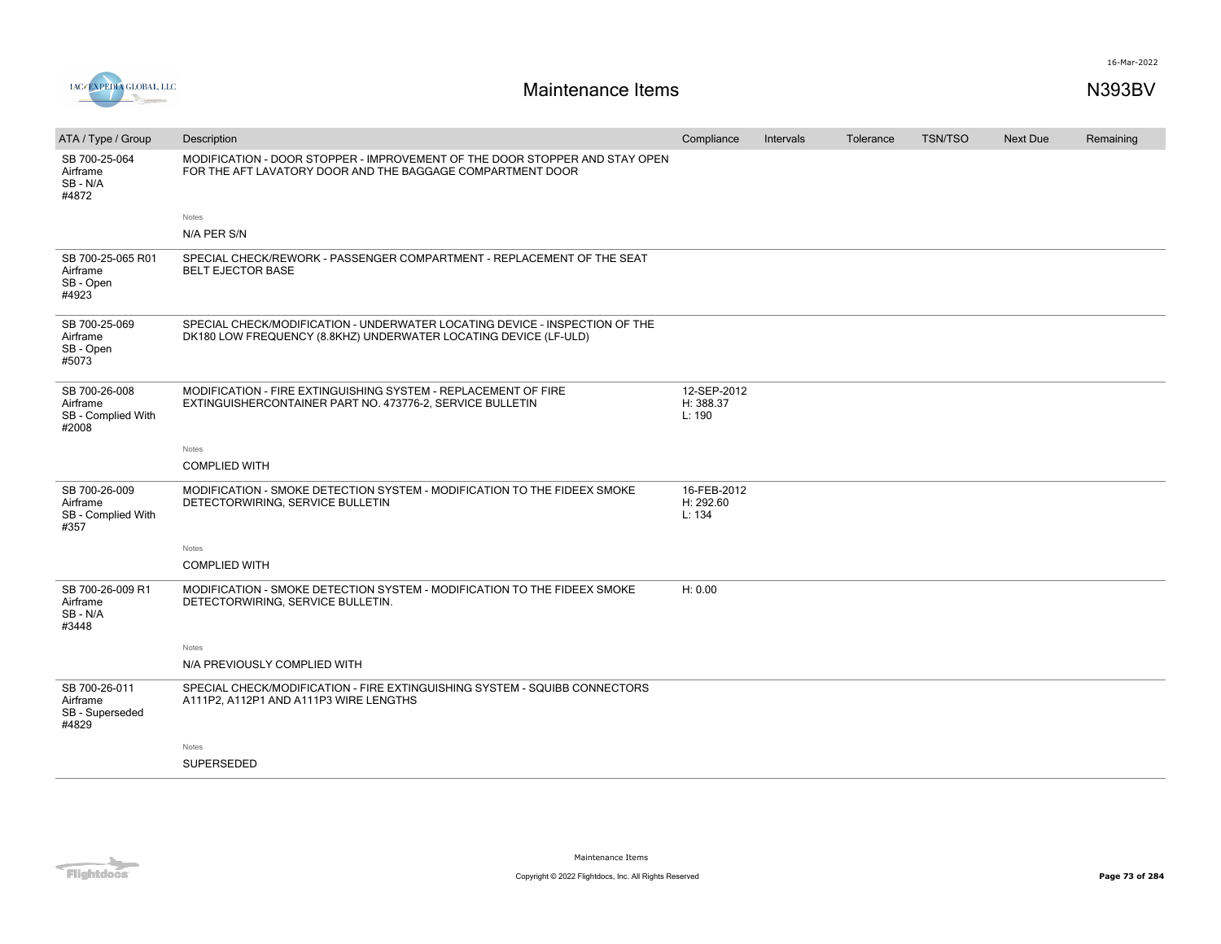



| ATA / Type / Group                                       | Description                                                                                                                                     | Compliance                         | Intervals | Tolerance | <b>TSN/TSO</b> | Next Due | Remaining |
|----------------------------------------------------------|-------------------------------------------------------------------------------------------------------------------------------------------------|------------------------------------|-----------|-----------|----------------|----------|-----------|
| SB 700-25-064<br>Airframe<br>SB-N/A<br>#4872             | MODIFICATION - DOOR STOPPER - IMPROVEMENT OF THE DOOR STOPPER AND STAY OPEN<br>FOR THE AFT LAVATORY DOOR AND THE BAGGAGE COMPARTMENT DOOR       |                                    |           |           |                |          |           |
|                                                          | Notes                                                                                                                                           |                                    |           |           |                |          |           |
|                                                          | N/A PER S/N                                                                                                                                     |                                    |           |           |                |          |           |
| SB 700-25-065 R01<br>Airframe<br>SB - Open<br>#4923      | SPECIAL CHECK/REWORK - PASSENGER COMPARTMENT - REPLACEMENT OF THE SEAT<br><b>BELT EJECTOR BASE</b>                                              |                                    |           |           |                |          |           |
| SB 700-25-069<br>Airframe<br>SB - Open<br>#5073          | SPECIAL CHECK/MODIFICATION - UNDERWATER LOCATING DEVICE - INSPECTION OF THE<br>DK180 LOW FREQUENCY (8.8KHZ) UNDERWATER LOCATING DEVICE (LF-ULD) |                                    |           |           |                |          |           |
| SB 700-26-008<br>Airframe<br>SB - Complied With<br>#2008 | MODIFICATION - FIRE EXTINGUISHING SYSTEM - REPLACEMENT OF FIRE<br>EXTINGUISHERCONTAINER PART NO. 473776-2, SERVICE BULLETIN                     | 12-SEP-2012<br>H: 388.37<br>L: 190 |           |           |                |          |           |
|                                                          | Notes                                                                                                                                           |                                    |           |           |                |          |           |
|                                                          | <b>COMPLIED WITH</b>                                                                                                                            |                                    |           |           |                |          |           |
| SB 700-26-009<br>Airframe<br>SB - Complied With<br>#357  | MODIFICATION - SMOKE DETECTION SYSTEM - MODIFICATION TO THE FIDEEX SMOKE<br>DETECTORWIRING, SERVICE BULLETIN                                    | 16-FEB-2012<br>H: 292.60<br>L: 134 |           |           |                |          |           |
|                                                          | Notes                                                                                                                                           |                                    |           |           |                |          |           |
|                                                          | <b>COMPLIED WITH</b>                                                                                                                            |                                    |           |           |                |          |           |
| SB 700-26-009 R1<br>Airframe<br>SB-N/A<br>#3448          | MODIFICATION - SMOKE DETECTION SYSTEM - MODIFICATION TO THE FIDEEX SMOKE<br>DETECTORWIRING, SERVICE BULLETIN.                                   | H: 0.00                            |           |           |                |          |           |
|                                                          | Notes                                                                                                                                           |                                    |           |           |                |          |           |
|                                                          | N/A PREVIOUSLY COMPLIED WITH                                                                                                                    |                                    |           |           |                |          |           |
| SB 700-26-011<br>Airframe<br>SB - Superseded<br>#4829    | SPECIAL CHECK/MODIFICATION - FIRE EXTINGUISHING SYSTEM - SQUIBB CONNECTORS<br>A111P2, A112P1 AND A111P3 WIRE LENGTHS                            |                                    |           |           |                |          |           |
|                                                          | Notes                                                                                                                                           |                                    |           |           |                |          |           |
|                                                          | SUPERSEDED                                                                                                                                      |                                    |           |           |                |          |           |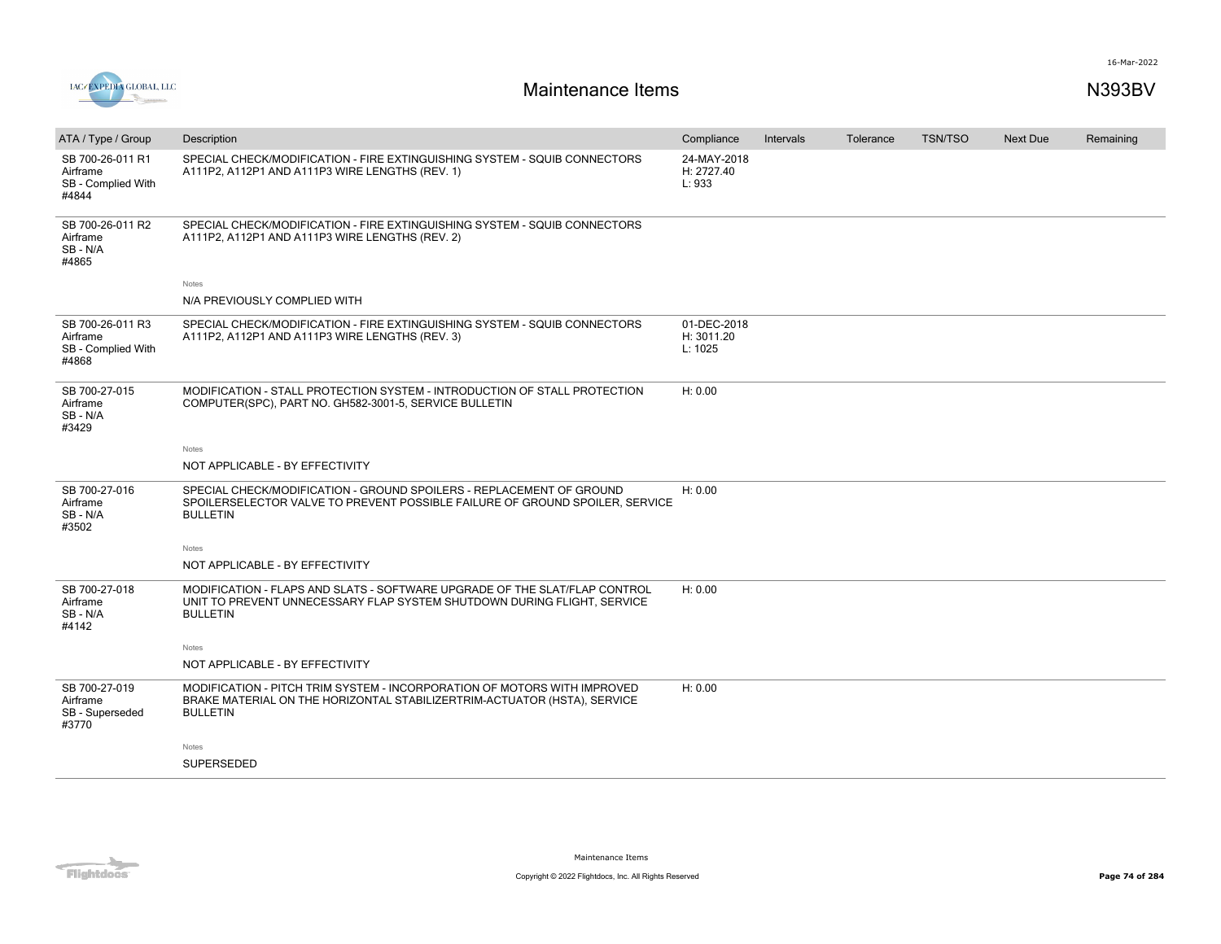

| ATA / Type / Group                                          | Description                                                                                                                                                              | Compliance                           | Intervals | Tolerance | <b>TSN/TSO</b> | <b>Next Due</b> | Remaining |
|-------------------------------------------------------------|--------------------------------------------------------------------------------------------------------------------------------------------------------------------------|--------------------------------------|-----------|-----------|----------------|-----------------|-----------|
| SB 700-26-011 R1<br>Airframe<br>SB - Complied With<br>#4844 | SPECIAL CHECK/MODIFICATION - FIRE EXTINGUISHING SYSTEM - SQUIB CONNECTORS<br>A111P2, A112P1 AND A111P3 WIRE LENGTHS (REV. 1)                                             | 24-MAY-2018<br>H: 2727.40<br>L: 933  |           |           |                |                 |           |
| SB 700-26-011 R2<br>Airframe<br>SB-N/A<br>#4865             | SPECIAL CHECK/MODIFICATION - FIRE EXTINGUISHING SYSTEM - SQUIB CONNECTORS<br>A111P2, A112P1 AND A111P3 WIRE LENGTHS (REV. 2)                                             |                                      |           |           |                |                 |           |
|                                                             | Notes                                                                                                                                                                    |                                      |           |           |                |                 |           |
|                                                             | N/A PREVIOUSLY COMPLIED WITH                                                                                                                                             |                                      |           |           |                |                 |           |
| SB 700-26-011 R3<br>Airframe<br>SB - Complied With<br>#4868 | SPECIAL CHECK/MODIFICATION - FIRE EXTINGUISHING SYSTEM - SQUIB CONNECTORS<br>A111P2, A112P1 AND A111P3 WIRE LENGTHS (REV. 3)                                             | 01-DEC-2018<br>H: 3011.20<br>L: 1025 |           |           |                |                 |           |
| SB 700-27-015<br>Airframe<br>SB-N/A<br>#3429                | MODIFICATION - STALL PROTECTION SYSTEM - INTRODUCTION OF STALL PROTECTION<br>COMPUTER(SPC), PART NO. GH582-3001-5, SERVICE BULLETIN                                      | H: 0.00                              |           |           |                |                 |           |
|                                                             | Notes                                                                                                                                                                    |                                      |           |           |                |                 |           |
|                                                             | NOT APPLICABLE - BY EFFECTIVITY                                                                                                                                          |                                      |           |           |                |                 |           |
| SB 700-27-016<br>Airframe<br>SB-N/A<br>#3502                | SPECIAL CHECK/MODIFICATION - GROUND SPOILERS - REPLACEMENT OF GROUND<br>SPOILERSELECTOR VALVE TO PREVENT POSSIBLE FAILURE OF GROUND SPOILER, SERVICE<br><b>BULLETIN</b>  | H: 0.00                              |           |           |                |                 |           |
|                                                             | Notes                                                                                                                                                                    |                                      |           |           |                |                 |           |
|                                                             | NOT APPLICABLE - BY EFFECTIVITY                                                                                                                                          |                                      |           |           |                |                 |           |
| SB 700-27-018<br>Airframe<br>SB-N/A<br>#4142                | MODIFICATION - FLAPS AND SLATS - SOFTWARE UPGRADE OF THE SLAT/FLAP CONTROL<br>UNIT TO PREVENT UNNECESSARY FLAP SYSTEM SHUTDOWN DURING FLIGHT, SERVICE<br><b>BULLETIN</b> | H: 0.00                              |           |           |                |                 |           |
|                                                             | Notes                                                                                                                                                                    |                                      |           |           |                |                 |           |
|                                                             | NOT APPLICABLE - BY EFFECTIVITY                                                                                                                                          |                                      |           |           |                |                 |           |
| SB 700-27-019<br>Airframe<br>SB - Superseded<br>#3770       | MODIFICATION - PITCH TRIM SYSTEM - INCORPORATION OF MOTORS WITH IMPROVED<br>BRAKE MATERIAL ON THE HORIZONTAL STABILIZERTRIM-ACTUATOR (HSTA), SERVICE<br><b>BULLETIN</b>  | H: 0.00                              |           |           |                |                 |           |
|                                                             | Notes                                                                                                                                                                    |                                      |           |           |                |                 |           |
|                                                             | <b>SUPERSEDED</b>                                                                                                                                                        |                                      |           |           |                |                 |           |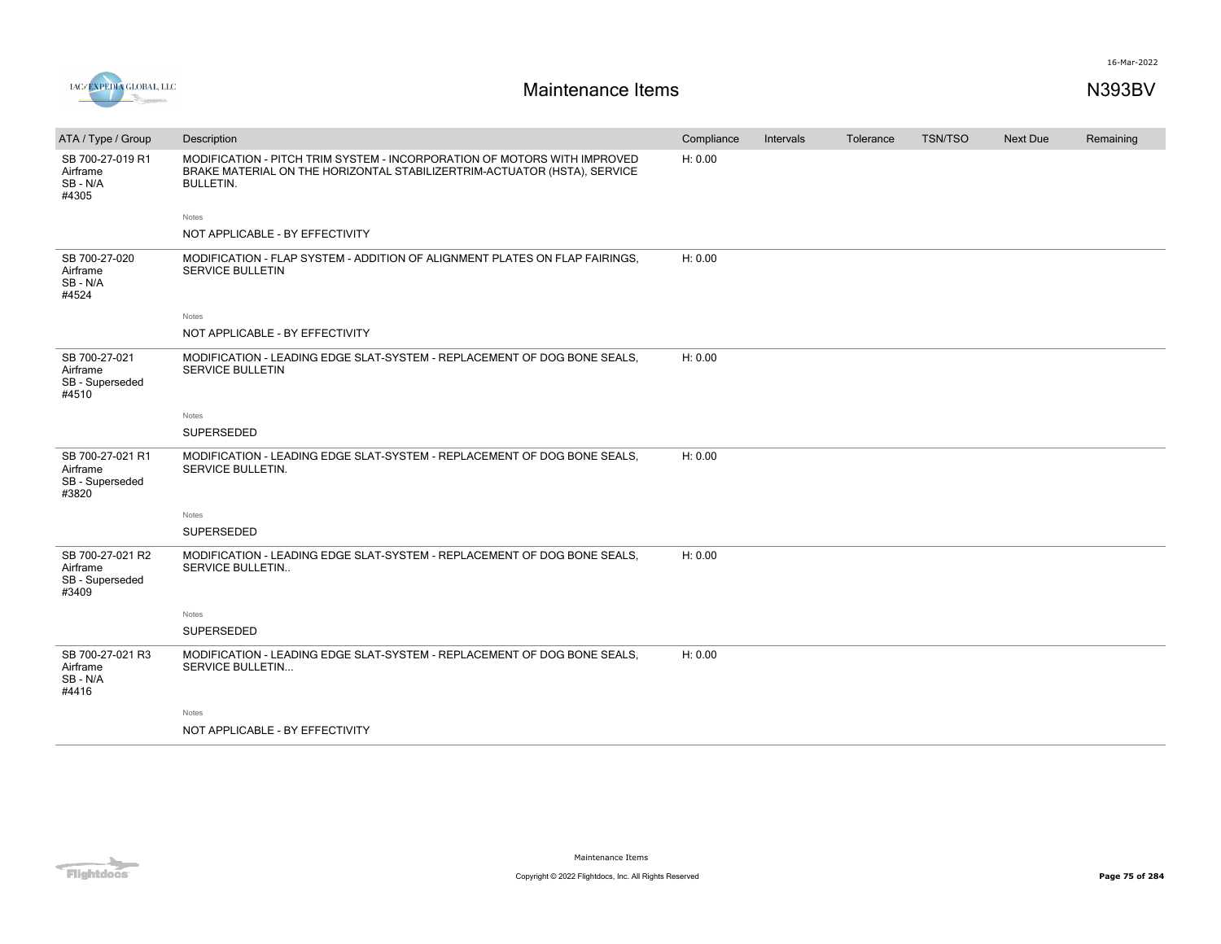



| ATA / Type / Group                                       | Description                                                                                                                                                              | Compliance | Intervals | Tolerance | <b>TSN/TSO</b> | <b>Next Due</b> | Remaining |
|----------------------------------------------------------|--------------------------------------------------------------------------------------------------------------------------------------------------------------------------|------------|-----------|-----------|----------------|-----------------|-----------|
| SB 700-27-019 R1<br>Airframe<br>SB-N/A<br>#4305          | MODIFICATION - PITCH TRIM SYSTEM - INCORPORATION OF MOTORS WITH IMPROVED<br>BRAKE MATERIAL ON THE HORIZONTAL STABILIZERTRIM-ACTUATOR (HSTA), SERVICE<br><b>BULLETIN.</b> | H: 0.00    |           |           |                |                 |           |
|                                                          | Notes                                                                                                                                                                    |            |           |           |                |                 |           |
|                                                          | NOT APPLICABLE - BY EFFECTIVITY                                                                                                                                          |            |           |           |                |                 |           |
| SB 700-27-020<br>Airframe<br>SB-N/A<br>#4524             | MODIFICATION - FLAP SYSTEM - ADDITION OF ALIGNMENT PLATES ON FLAP FAIRINGS.<br><b>SERVICE BULLETIN</b>                                                                   | H: 0.00    |           |           |                |                 |           |
|                                                          | Notes                                                                                                                                                                    |            |           |           |                |                 |           |
|                                                          | NOT APPLICABLE - BY EFFECTIVITY                                                                                                                                          |            |           |           |                |                 |           |
| SB 700-27-021<br>Airframe<br>SB - Superseded<br>#4510    | MODIFICATION - LEADING EDGE SLAT-SYSTEM - REPLACEMENT OF DOG BONE SEALS.<br>SERVICE BULLETIN                                                                             | H: 0.00    |           |           |                |                 |           |
|                                                          | Notes                                                                                                                                                                    |            |           |           |                |                 |           |
|                                                          | SUPERSEDED                                                                                                                                                               |            |           |           |                |                 |           |
| SB 700-27-021 R1<br>Airframe<br>SB - Superseded<br>#3820 | MODIFICATION - LEADING EDGE SLAT-SYSTEM - REPLACEMENT OF DOG BONE SEALS.<br>SERVICE BULLETIN.                                                                            | H: 0.00    |           |           |                |                 |           |
|                                                          | Notes                                                                                                                                                                    |            |           |           |                |                 |           |
|                                                          | SUPERSEDED                                                                                                                                                               |            |           |           |                |                 |           |
| SB 700-27-021 R2<br>Airframe<br>SB - Superseded<br>#3409 | MODIFICATION - LEADING EDGE SLAT-SYSTEM - REPLACEMENT OF DOG BONE SEALS.<br><b>SERVICE BULLETIN</b>                                                                      | H: 0.00    |           |           |                |                 |           |
|                                                          | Notes                                                                                                                                                                    |            |           |           |                |                 |           |
|                                                          | SUPERSEDED                                                                                                                                                               |            |           |           |                |                 |           |
| SB 700-27-021 R3<br>Airframe<br>SB-N/A<br>#4416          | MODIFICATION - LEADING EDGE SLAT-SYSTEM - REPLACEMENT OF DOG BONE SEALS.<br>SERVICE BULLETIN                                                                             | H: 0.00    |           |           |                |                 |           |
|                                                          | Notes                                                                                                                                                                    |            |           |           |                |                 |           |
|                                                          | NOT APPLICABLE - BY EFFECTIVITY                                                                                                                                          |            |           |           |                |                 |           |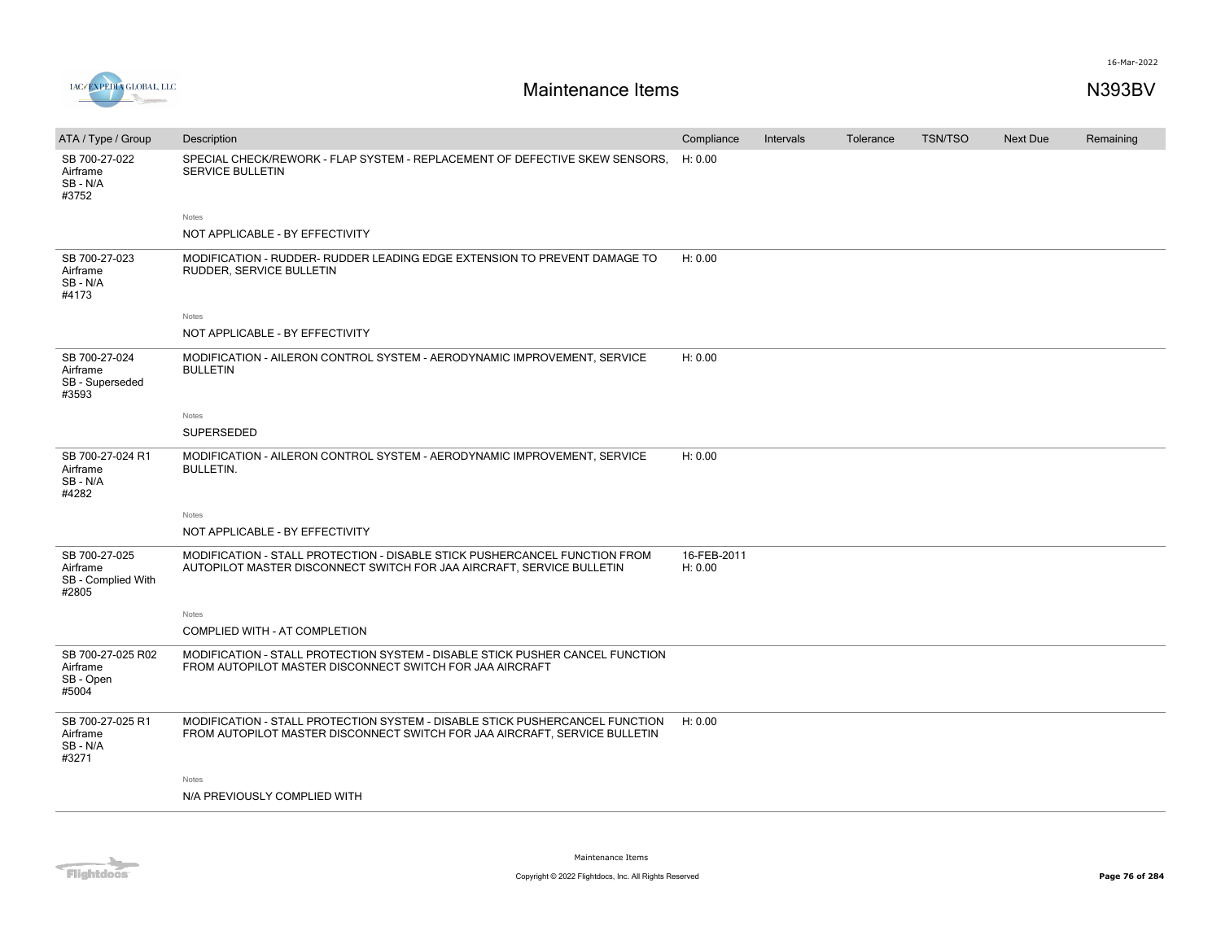

| ATA / Type / Group                                       | Description                                                                                                                                                | Compliance             | Intervals | Tolerance | <b>TSN/TSO</b> | <b>Next Due</b> | Remaining |
|----------------------------------------------------------|------------------------------------------------------------------------------------------------------------------------------------------------------------|------------------------|-----------|-----------|----------------|-----------------|-----------|
| SB 700-27-022<br>Airframe<br>SB-N/A<br>#3752             | SPECIAL CHECK/REWORK - FLAP SYSTEM - REPLACEMENT OF DEFECTIVE SKEW SENSORS.<br>SERVICE BULLETIN                                                            | H: 0.00                |           |           |                |                 |           |
|                                                          | Notes<br>NOT APPLICABLE - BY EFFECTIVITY                                                                                                                   |                        |           |           |                |                 |           |
| SB 700-27-023<br>Airframe<br>SB-N/A<br>#4173             | MODIFICATION - RUDDER- RUDDER LEADING EDGE EXTENSION TO PREVENT DAMAGE TO<br>RUDDER, SERVICE BULLETIN                                                      | H: 0.00                |           |           |                |                 |           |
|                                                          | Notes                                                                                                                                                      |                        |           |           |                |                 |           |
|                                                          | NOT APPLICABLE - BY EFFECTIVITY                                                                                                                            |                        |           |           |                |                 |           |
| SB 700-27-024<br>Airframe<br>SB - Superseded<br>#3593    | MODIFICATION - AILERON CONTROL SYSTEM - AERODYNAMIC IMPROVEMENT, SERVICE<br><b>BULLETIN</b>                                                                | H: 0.00                |           |           |                |                 |           |
|                                                          | Notes                                                                                                                                                      |                        |           |           |                |                 |           |
|                                                          | <b>SUPERSEDED</b>                                                                                                                                          |                        |           |           |                |                 |           |
| SB 700-27-024 R1<br>Airframe<br>SB-N/A<br>#4282          | MODIFICATION - AILERON CONTROL SYSTEM - AERODYNAMIC IMPROVEMENT, SERVICE<br><b>BULLETIN.</b>                                                               | H: 0.00                |           |           |                |                 |           |
|                                                          | Notes                                                                                                                                                      |                        |           |           |                |                 |           |
|                                                          | NOT APPLICABLE - BY EFFECTIVITY                                                                                                                            |                        |           |           |                |                 |           |
| SB 700-27-025<br>Airframe<br>SB - Complied With<br>#2805 | MODIFICATION - STALL PROTECTION - DISABLE STICK PUSHERCANCEL FUNCTION FROM<br>AUTOPILOT MASTER DISCONNECT SWITCH FOR JAA AIRCRAFT, SERVICE BULLETIN        | 16-FEB-2011<br>H: 0.00 |           |           |                |                 |           |
|                                                          | Notes                                                                                                                                                      |                        |           |           |                |                 |           |
|                                                          | COMPLIED WITH - AT COMPLETION                                                                                                                              |                        |           |           |                |                 |           |
| SB 700-27-025 R02<br>Airframe<br>SB - Open<br>#5004      | MODIFICATION - STALL PROTECTION SYSTEM - DISABLE STICK PUSHER CANCEL FUNCTION<br>FROM AUTOPILOT MASTER DISCONNECT SWITCH FOR JAA AIRCRAFT                  |                        |           |           |                |                 |           |
| SB 700-27-025 R1<br>Airframe<br>SB-N/A<br>#3271          | MODIFICATION - STALL PROTECTION SYSTEM - DISABLE STICK PUSHERCANCEL FUNCTION<br>FROM AUTOPILOT MASTER DISCONNECT SWITCH FOR JAA AIRCRAFT, SERVICE BULLETIN | H: 0.00                |           |           |                |                 |           |
|                                                          | Notes                                                                                                                                                      |                        |           |           |                |                 |           |
|                                                          | N/A PREVIOUSLY COMPLIED WITH                                                                                                                               |                        |           |           |                |                 |           |
|                                                          |                                                                                                                                                            |                        |           |           |                |                 |           |

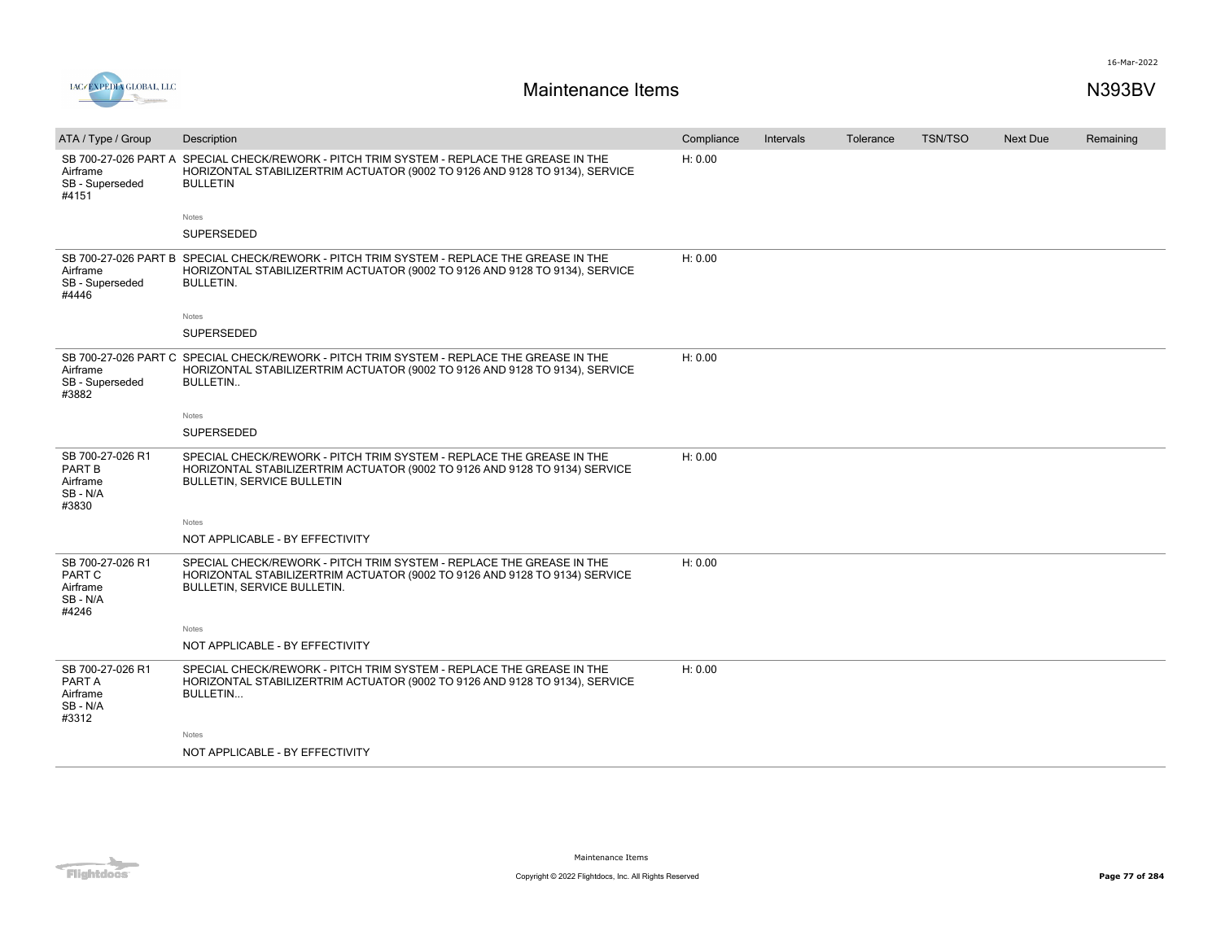

| ATA / Type / Group                                           | Description                                                                                                                                                                             | Compliance | <b>Intervals</b> | Tolerance | <b>TSN/TSO</b> | Next Due | Remaining |
|--------------------------------------------------------------|-----------------------------------------------------------------------------------------------------------------------------------------------------------------------------------------|------------|------------------|-----------|----------------|----------|-----------|
| SB 700-27-026 PART A<br>Airframe<br>SB - Superseded<br>#4151 | SPECIAL CHECK/REWORK - PITCH TRIM SYSTEM - REPLACE THE GREASE IN THE<br>HORIZONTAL STABILIZERTRIM ACTUATOR (9002 TO 9126 AND 9128 TO 9134), SERVICE<br><b>BULLETIN</b>                  | H: 0.00    |                  |           |                |          |           |
|                                                              | Notes                                                                                                                                                                                   |            |                  |           |                |          |           |
|                                                              | SUPERSEDED                                                                                                                                                                              |            |                  |           |                |          |           |
| SB 700-27-026 PART B<br>Airframe<br>SB - Superseded<br>#4446 | SPECIAL CHECK/REWORK - PITCH TRIM SYSTEM - REPLACE THE GREASE IN THE<br>HORIZONTAL STABILIZERTRIM ACTUATOR (9002 TO 9126 AND 9128 TO 9134), SERVICE<br><b>BULLETIN.</b>                 | H: 0.00    |                  |           |                |          |           |
|                                                              | Notes                                                                                                                                                                                   |            |                  |           |                |          |           |
|                                                              | SUPERSEDED                                                                                                                                                                              |            |                  |           |                |          |           |
| SB 700-27-026 PART C<br>Airframe<br>SB - Superseded<br>#3882 | SPECIAL CHECK/REWORK - PITCH TRIM SYSTEM - REPLACE THE GREASE IN THE<br>HORIZONTAL STABILIZERTRIM ACTUATOR (9002 TO 9126 AND 9128 TO 9134), SERVICE<br><b>BULLETIN</b>                  | H: 0.00    |                  |           |                |          |           |
|                                                              | Notes                                                                                                                                                                                   |            |                  |           |                |          |           |
|                                                              | <b>SUPERSEDED</b>                                                                                                                                                                       |            |                  |           |                |          |           |
| SB 700-27-026 R1<br>PART B<br>Airframe<br>SB-N/A<br>#3830    | SPECIAL CHECK/REWORK - PITCH TRIM SYSTEM - REPLACE THE GREASE IN THE<br>HORIZONTAL STABILIZERTRIM ACTUATOR (9002 TO 9126 AND 9128 TO 9134) SERVICE<br><b>BULLETIN, SERVICE BULLETIN</b> | H: 0.00    |                  |           |                |          |           |
|                                                              | Notes                                                                                                                                                                                   |            |                  |           |                |          |           |
|                                                              | NOT APPLICABLE - BY EFFECTIVITY                                                                                                                                                         |            |                  |           |                |          |           |
| SB 700-27-026 R1<br>PART C<br>Airframe<br>SB-N/A<br>#4246    | SPECIAL CHECK/REWORK - PITCH TRIM SYSTEM - REPLACE THE GREASE IN THE<br>HORIZONTAL STABILIZERTRIM ACTUATOR (9002 TO 9126 AND 9128 TO 9134) SERVICE<br>BULLETIN, SERVICE BULLETIN.       | H: 0.00    |                  |           |                |          |           |
|                                                              | Notes                                                                                                                                                                                   |            |                  |           |                |          |           |
|                                                              | NOT APPLICABLE - BY EFFECTIVITY                                                                                                                                                         |            |                  |           |                |          |           |
| SB 700-27-026 R1<br>PART A<br>Airframe<br>SB-N/A<br>#3312    | SPECIAL CHECK/REWORK - PITCH TRIM SYSTEM - REPLACE THE GREASE IN THE<br>HORIZONTAL STABILIZERTRIM ACTUATOR (9002 TO 9126 AND 9128 TO 9134), SERVICE<br>BULLETIN                         | H: 0.00    |                  |           |                |          |           |
|                                                              | Notes                                                                                                                                                                                   |            |                  |           |                |          |           |
|                                                              | NOT APPLICABLE - BY EFFECTIVITY                                                                                                                                                         |            |                  |           |                |          |           |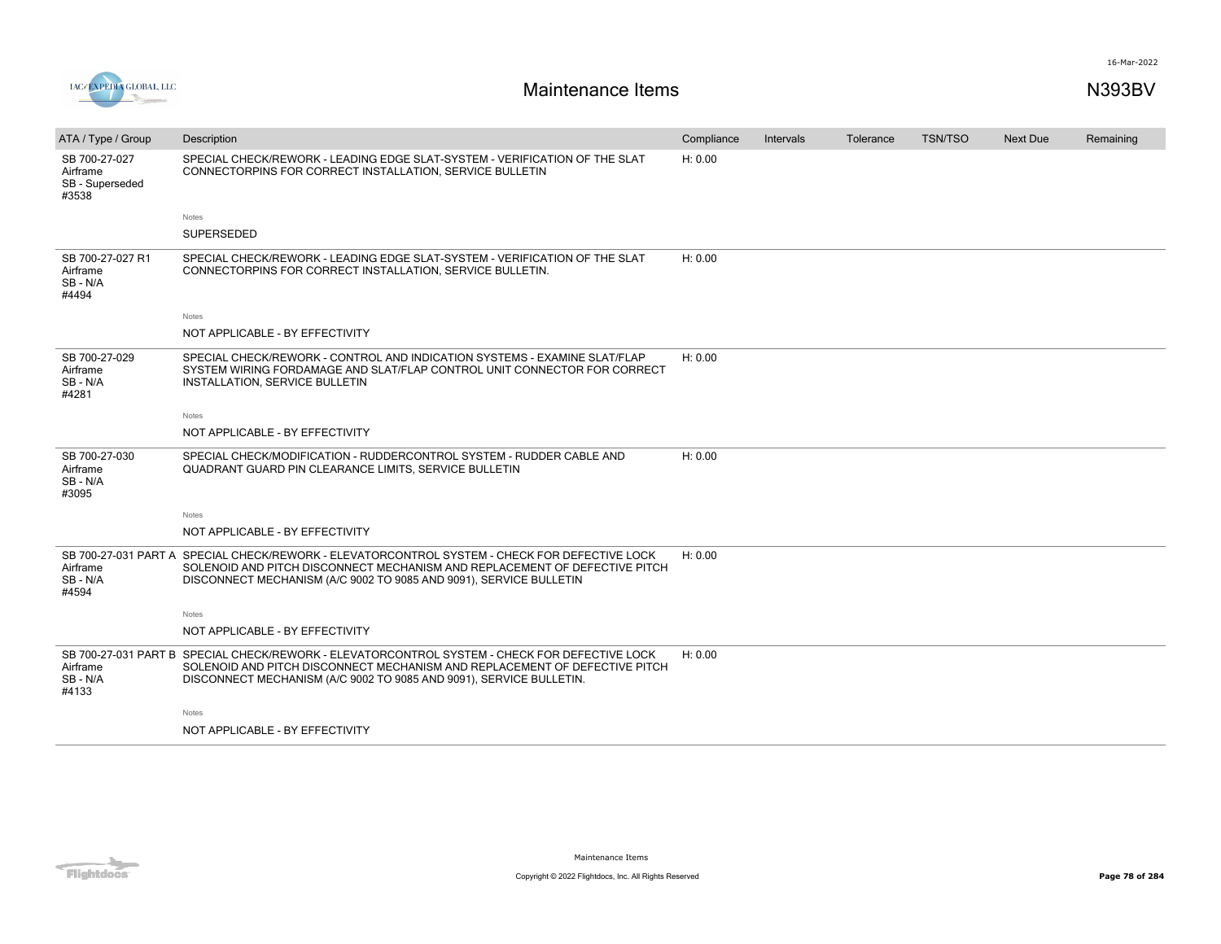



| ATA / Type / Group                                    | Description                                                                                                                                                                                                                                        | Compliance | <b>Intervals</b> | Tolerance | <b>TSN/TSO</b> | <b>Next Due</b> | Remaining |
|-------------------------------------------------------|----------------------------------------------------------------------------------------------------------------------------------------------------------------------------------------------------------------------------------------------------|------------|------------------|-----------|----------------|-----------------|-----------|
| SB 700-27-027<br>Airframe<br>SB - Superseded<br>#3538 | SPECIAL CHECK/REWORK - LEADING EDGE SLAT-SYSTEM - VERIFICATION OF THE SLAT<br>CONNECTORPINS FOR CORRECT INSTALLATION, SERVICE BULLETIN                                                                                                             | H: 0.00    |                  |           |                |                 |           |
|                                                       | Notes                                                                                                                                                                                                                                              |            |                  |           |                |                 |           |
|                                                       | SUPERSEDED                                                                                                                                                                                                                                         |            |                  |           |                |                 |           |
| SB 700-27-027 R1<br>Airframe<br>SB-N/A<br>#4494       | SPECIAL CHECK/REWORK - LEADING EDGE SLAT-SYSTEM - VERIFICATION OF THE SLAT<br>CONNECTORPINS FOR CORRECT INSTALLATION, SERVICE BULLETIN.                                                                                                            | H: 0.00    |                  |           |                |                 |           |
|                                                       | Notes                                                                                                                                                                                                                                              |            |                  |           |                |                 |           |
|                                                       | NOT APPLICABLE - BY EFFECTIVITY                                                                                                                                                                                                                    |            |                  |           |                |                 |           |
| SB 700-27-029<br>Airframe<br>SB-N/A<br>#4281          | SPECIAL CHECK/REWORK - CONTROL AND INDICATION SYSTEMS - EXAMINE SLAT/FLAP<br>SYSTEM WIRING FORDAMAGE AND SLAT/FLAP CONTROL UNIT CONNECTOR FOR CORRECT<br>INSTALLATION, SERVICE BULLETIN                                                            | H: 0.00    |                  |           |                |                 |           |
|                                                       | Notes                                                                                                                                                                                                                                              |            |                  |           |                |                 |           |
|                                                       | NOT APPLICABLE - BY EFFECTIVITY                                                                                                                                                                                                                    |            |                  |           |                |                 |           |
| SB 700-27-030<br>Airframe<br>SB-N/A<br>#3095          | SPECIAL CHECK/MODIFICATION - RUDDERCONTROL SYSTEM - RUDDER CABLE AND<br>QUADRANT GUARD PIN CLEARANCE LIMITS, SERVICE BULLETIN                                                                                                                      | H: 0.00    |                  |           |                |                 |           |
|                                                       | Notes                                                                                                                                                                                                                                              |            |                  |           |                |                 |           |
|                                                       | NOT APPLICABLE - BY EFFECTIVITY                                                                                                                                                                                                                    |            |                  |           |                |                 |           |
| Airframe<br>SB-N/A<br>#4594                           | SB 700-27-031 PART A SPECIAL CHECK/REWORK - ELEVATORCONTROL SYSTEM - CHECK FOR DEFECTIVE LOCK<br>SOLENOID AND PITCH DISCONNECT MECHANISM AND REPLACEMENT OF DEFECTIVE PITCH<br>DISCONNECT MECHANISM (A/C 9002 TO 9085 AND 9091), SERVICE BULLETIN  | H: 0.00    |                  |           |                |                 |           |
|                                                       | Notes                                                                                                                                                                                                                                              |            |                  |           |                |                 |           |
|                                                       | NOT APPLICABLE - BY EFFECTIVITY                                                                                                                                                                                                                    |            |                  |           |                |                 |           |
| Airframe<br>SB - N/A<br>#4133                         | SB 700-27-031 PART B SPECIAL CHECK/REWORK - ELEVATORCONTROL SYSTEM - CHECK FOR DEFECTIVE LOCK<br>SOLENOID AND PITCH DISCONNECT MECHANISM AND REPLACEMENT OF DEFECTIVE PITCH<br>DISCONNECT MECHANISM (A/C 9002 TO 9085 AND 9091), SERVICE BULLETIN. | H: 0.00    |                  |           |                |                 |           |
|                                                       | Notes                                                                                                                                                                                                                                              |            |                  |           |                |                 |           |
|                                                       | NOT APPLICABLE - BY EFFECTIVITY                                                                                                                                                                                                                    |            |                  |           |                |                 |           |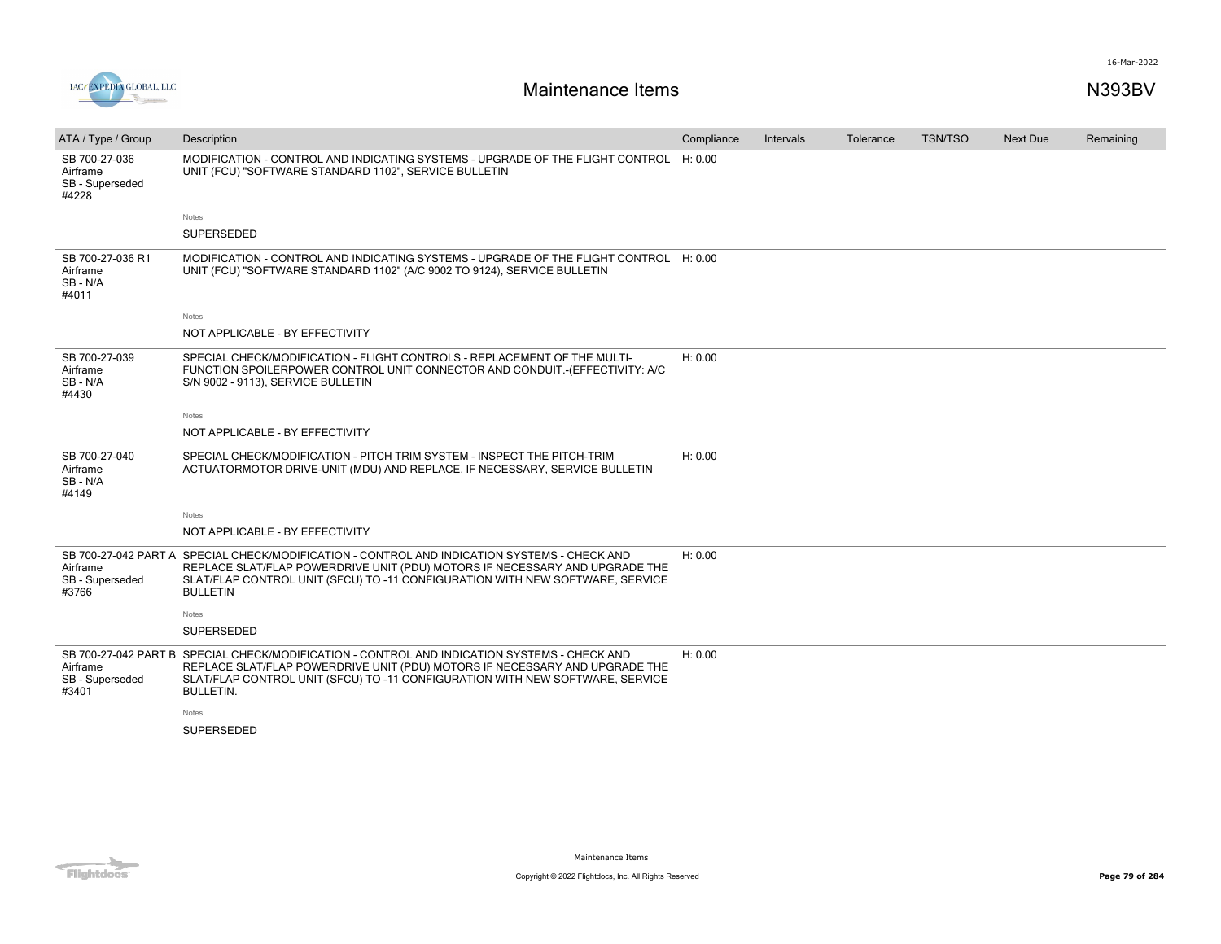

| ATA / Type / Group                                    | Description                                                                                                                                                                                                                                                                      | Compliance | Intervals | Tolerance | <b>TSN/TSO</b> | <b>Next Due</b> | Remaining |
|-------------------------------------------------------|----------------------------------------------------------------------------------------------------------------------------------------------------------------------------------------------------------------------------------------------------------------------------------|------------|-----------|-----------|----------------|-----------------|-----------|
| SB 700-27-036<br>Airframe<br>SB - Superseded<br>#4228 | MODIFICATION - CONTROL AND INDICATING SYSTEMS - UPGRADE OF THE FLIGHT CONTROL H: 0.00<br>UNIT (FCU) "SOFTWARE STANDARD 1102", SERVICE BULLETIN                                                                                                                                   |            |           |           |                |                 |           |
|                                                       | Notes                                                                                                                                                                                                                                                                            |            |           |           |                |                 |           |
|                                                       | <b>SUPERSEDED</b>                                                                                                                                                                                                                                                                |            |           |           |                |                 |           |
| SB 700-27-036 R1<br>Airframe<br>SB-N/A<br>#4011       | MODIFICATION - CONTROL AND INDICATING SYSTEMS - UPGRADE OF THE FLIGHT CONTROL H: 0.00<br>UNIT (FCU) "SOFTWARE STANDARD 1102" (A/C 9002 TO 9124), SERVICE BULLETIN                                                                                                                |            |           |           |                |                 |           |
|                                                       | <b>Notes</b>                                                                                                                                                                                                                                                                     |            |           |           |                |                 |           |
|                                                       | NOT APPLICABLE - BY EFFECTIVITY                                                                                                                                                                                                                                                  |            |           |           |                |                 |           |
| SB 700-27-039<br>Airframe<br>SB-N/A<br>#4430          | SPECIAL CHECK/MODIFICATION - FLIGHT CONTROLS - REPLACEMENT OF THE MULTI-<br>FUNCTION SPOILERPOWER CONTROL UNIT CONNECTOR AND CONDUIT.-(EFFECTIVITY: A/C<br>S/N 9002 - 9113), SERVICE BULLETIN                                                                                    | H: 0.00    |           |           |                |                 |           |
|                                                       | <b>Notes</b>                                                                                                                                                                                                                                                                     |            |           |           |                |                 |           |
|                                                       | NOT APPLICABLE - BY EFFECTIVITY                                                                                                                                                                                                                                                  |            |           |           |                |                 |           |
| SB 700-27-040<br>Airframe<br>SB-N/A<br>#4149          | SPECIAL CHECK/MODIFICATION - PITCH TRIM SYSTEM - INSPECT THE PITCH-TRIM<br>ACTUATORMOTOR DRIVE-UNIT (MDU) AND REPLACE, IF NECESSARY, SERVICE BULLETIN                                                                                                                            | H: 0.00    |           |           |                |                 |           |
|                                                       | Notes                                                                                                                                                                                                                                                                            |            |           |           |                |                 |           |
|                                                       | NOT APPLICABLE - BY EFFECTIVITY                                                                                                                                                                                                                                                  |            |           |           |                |                 |           |
| Airframe<br>SB - Superseded<br>#3766                  | SB 700-27-042 PART A SPECIAL CHECK/MODIFICATION - CONTROL AND INDICATION SYSTEMS - CHECK AND<br>REPLACE SLAT/FLAP POWERDRIVE UNIT (PDU) MOTORS IF NECESSARY AND UPGRADE THE<br>SLAT/FLAP CONTROL UNIT (SFCU) TO -11 CONFIGURATION WITH NEW SOFTWARE, SERVICE<br><b>BULLETIN</b>  | H: 0.00    |           |           |                |                 |           |
|                                                       | Notes                                                                                                                                                                                                                                                                            |            |           |           |                |                 |           |
|                                                       | SUPERSEDED                                                                                                                                                                                                                                                                       |            |           |           |                |                 |           |
| Airframe<br>SB - Superseded<br>#3401                  | SB 700-27-042 PART B SPECIAL CHECK/MODIFICATION - CONTROL AND INDICATION SYSTEMS - CHECK AND<br>REPLACE SLAT/FLAP POWERDRIVE UNIT (PDU) MOTORS IF NECESSARY AND UPGRADE THE<br>SLAT/FLAP CONTROL UNIT (SFCU) TO -11 CONFIGURATION WITH NEW SOFTWARE, SERVICE<br><b>BULLETIN.</b> | H: 0.00    |           |           |                |                 |           |
|                                                       | Notes                                                                                                                                                                                                                                                                            |            |           |           |                |                 |           |
|                                                       | <b>SUPERSEDED</b>                                                                                                                                                                                                                                                                |            |           |           |                |                 |           |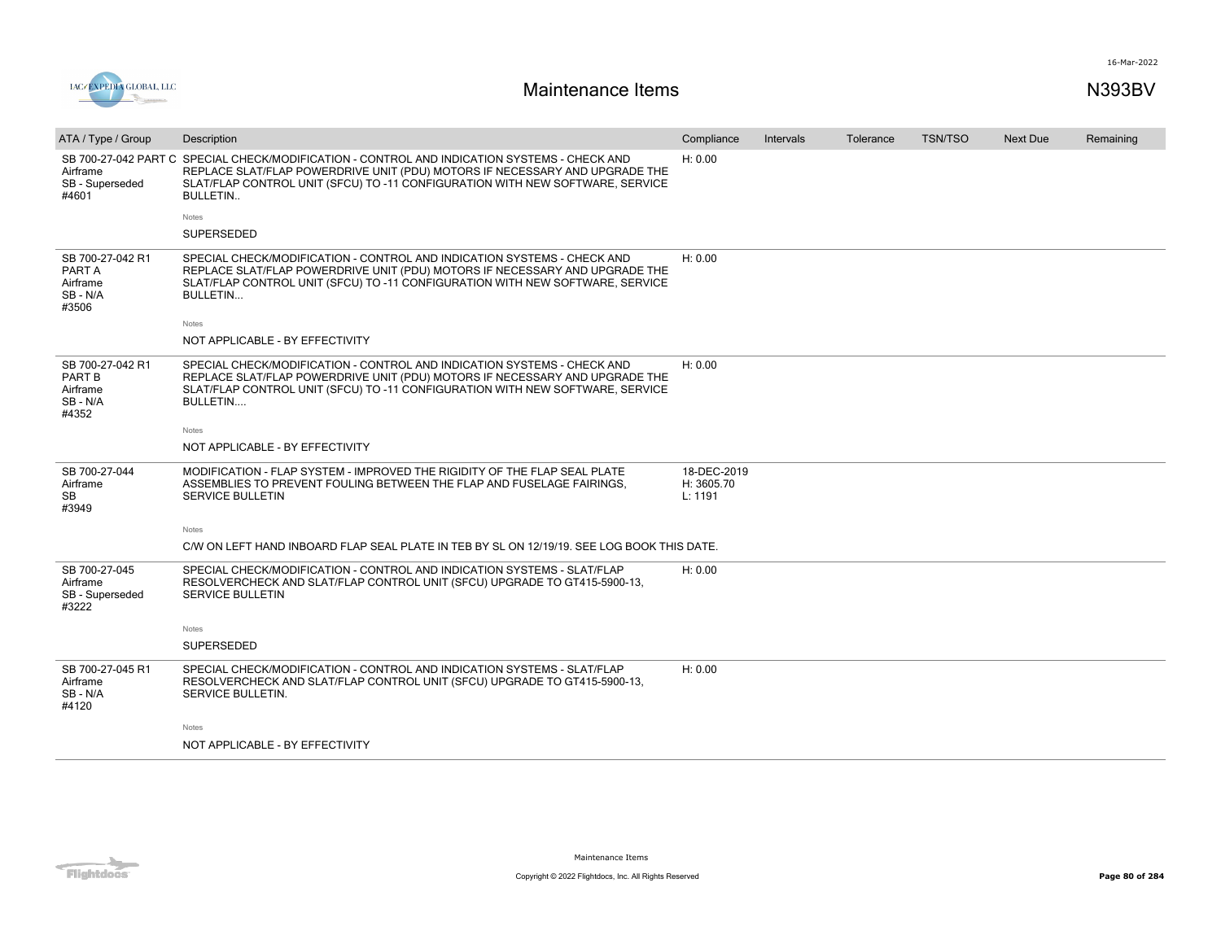



| ATA / Type / Group                                           | Description                                                                                                                                                                                                                                                | Compliance                           | Intervals | Tolerance | <b>TSN/TSO</b> | Next Due | Remaining |
|--------------------------------------------------------------|------------------------------------------------------------------------------------------------------------------------------------------------------------------------------------------------------------------------------------------------------------|--------------------------------------|-----------|-----------|----------------|----------|-----------|
| SB 700-27-042 PART C<br>Airframe<br>SB - Superseded<br>#4601 | SPECIAL CHECK/MODIFICATION - CONTROL AND INDICATION SYSTEMS - CHECK AND<br>REPLACE SLAT/FLAP POWERDRIVE UNIT (PDU) MOTORS IF NECESSARY AND UPGRADE THE<br>SLAT/FLAP CONTROL UNIT (SFCU) TO -11 CONFIGURATION WITH NEW SOFTWARE, SERVICE<br><b>BULLETIN</b> | H: 0.00                              |           |           |                |          |           |
|                                                              | Notes                                                                                                                                                                                                                                                      |                                      |           |           |                |          |           |
|                                                              | <b>SUPERSEDED</b>                                                                                                                                                                                                                                          |                                      |           |           |                |          |           |
| SB 700-27-042 R1<br>PART A<br>Airframe<br>SB-N/A<br>#3506    | SPECIAL CHECK/MODIFICATION - CONTROL AND INDICATION SYSTEMS - CHECK AND<br>REPLACE SLAT/FLAP POWERDRIVE UNIT (PDU) MOTORS IF NECESSARY AND UPGRADE THE<br>SLAT/FLAP CONTROL UNIT (SFCU) TO -11 CONFIGURATION WITH NEW SOFTWARE, SERVICE<br><b>BULLETIN</b> | H: 0.00                              |           |           |                |          |           |
|                                                              | Notes                                                                                                                                                                                                                                                      |                                      |           |           |                |          |           |
|                                                              | NOT APPLICABLE - BY EFFECTIVITY                                                                                                                                                                                                                            |                                      |           |           |                |          |           |
| SB 700-27-042 R1<br>PART B<br>Airframe<br>SB - N/A<br>#4352  | SPECIAL CHECK/MODIFICATION - CONTROL AND INDICATION SYSTEMS - CHECK AND<br>REPLACE SLAT/FLAP POWERDRIVE UNIT (PDU) MOTORS IF NECESSARY AND UPGRADE THE<br>SLAT/FLAP CONTROL UNIT (SFCU) TO -11 CONFIGURATION WITH NEW SOFTWARE, SERVICE<br>BULLETIN        | H: 0.00                              |           |           |                |          |           |
|                                                              | Notes                                                                                                                                                                                                                                                      |                                      |           |           |                |          |           |
|                                                              | NOT APPLICABLE - BY EFFECTIVITY                                                                                                                                                                                                                            |                                      |           |           |                |          |           |
| SB 700-27-044<br>Airframe<br><b>SB</b><br>#3949              | MODIFICATION - FLAP SYSTEM - IMPROVED THE RIGIDITY OF THE FLAP SEAL PLATE<br>ASSEMBLIES TO PREVENT FOULING BETWEEN THE FLAP AND FUSELAGE FAIRINGS.<br>SERVICE BULLETIN                                                                                     | 18-DEC-2019<br>H: 3605.70<br>L: 1191 |           |           |                |          |           |
|                                                              | Notes                                                                                                                                                                                                                                                      |                                      |           |           |                |          |           |
|                                                              | C/W ON LEFT HAND INBOARD FLAP SEAL PLATE IN TEB BY SL ON 12/19/19, SEE LOG BOOK THIS DATE.                                                                                                                                                                 |                                      |           |           |                |          |           |
| SB 700-27-045<br>Airframe<br>SB - Superseded<br>#3222        | SPECIAL CHECK/MODIFICATION - CONTROL AND INDICATION SYSTEMS - SLAT/FLAP<br>RESOLVERCHECK AND SLAT/FLAP CONTROL UNIT (SFCU) UPGRADE TO GT415-5900-13.<br>SERVICE BULLETIN                                                                                   | H: 0.00                              |           |           |                |          |           |
|                                                              | Notes                                                                                                                                                                                                                                                      |                                      |           |           |                |          |           |
|                                                              | <b>SUPERSEDED</b>                                                                                                                                                                                                                                          |                                      |           |           |                |          |           |
| SB 700-27-045 R1<br>Airframe<br>SB - N/A<br>#4120            | SPECIAL CHECK/MODIFICATION - CONTROL AND INDICATION SYSTEMS - SLAT/FLAP<br>RESOLVERCHECK AND SLAT/FLAP CONTROL UNIT (SFCU) UPGRADE TO GT415-5900-13,<br>SERVICE BULLETIN.                                                                                  | H: 0.00                              |           |           |                |          |           |
|                                                              | Notes                                                                                                                                                                                                                                                      |                                      |           |           |                |          |           |
|                                                              | NOT APPLICABLE - BY EFFECTIVITY                                                                                                                                                                                                                            |                                      |           |           |                |          |           |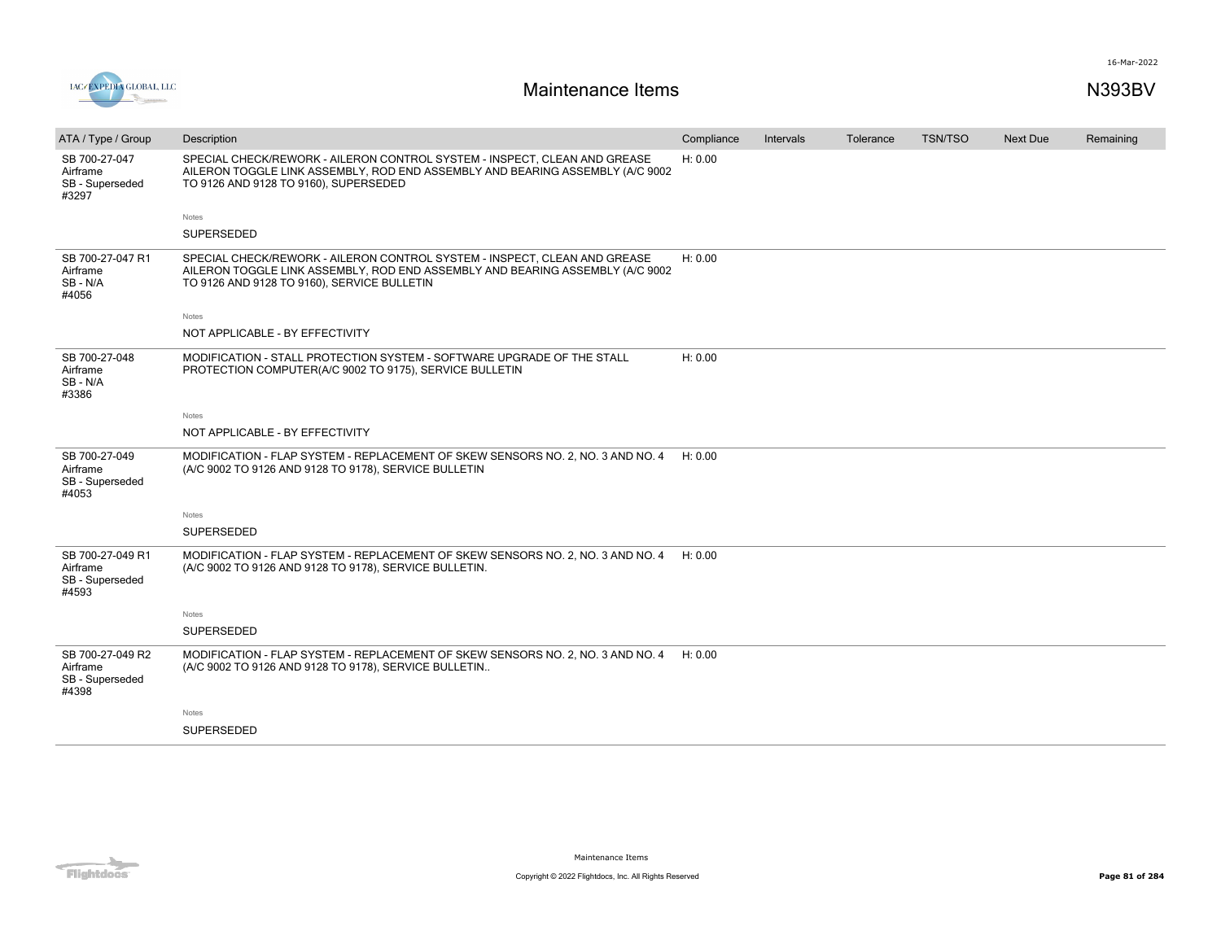



| ATA / Type / Group                                       | Description                                                                                                                                                                                               | Compliance | Intervals | Tolerance | <b>TSN/TSO</b> | <b>Next Due</b> | Remaining |
|----------------------------------------------------------|-----------------------------------------------------------------------------------------------------------------------------------------------------------------------------------------------------------|------------|-----------|-----------|----------------|-----------------|-----------|
| SB 700-27-047<br>Airframe<br>SB - Superseded<br>#3297    | SPECIAL CHECK/REWORK - AILERON CONTROL SYSTEM - INSPECT, CLEAN AND GREASE<br>AILERON TOGGLE LINK ASSEMBLY, ROD END ASSEMBLY AND BEARING ASSEMBLY (A/C 9002<br>TO 9126 AND 9128 TO 9160), SUPERSEDED       | H: 0.00    |           |           |                |                 |           |
|                                                          | Notes                                                                                                                                                                                                     |            |           |           |                |                 |           |
|                                                          | SUPERSEDED                                                                                                                                                                                                |            |           |           |                |                 |           |
| SB 700-27-047 R1<br>Airframe<br>SB - N/A<br>#4056        | SPECIAL CHECK/REWORK - AILERON CONTROL SYSTEM - INSPECT, CLEAN AND GREASE<br>AILERON TOGGLE LINK ASSEMBLY, ROD END ASSEMBLY AND BEARING ASSEMBLY (A/C 9002<br>TO 9126 AND 9128 TO 9160), SERVICE BULLETIN | H: 0.00    |           |           |                |                 |           |
|                                                          | Notes                                                                                                                                                                                                     |            |           |           |                |                 |           |
|                                                          | NOT APPLICABLE - BY EFFECTIVITY                                                                                                                                                                           |            |           |           |                |                 |           |
| SB 700-27-048<br>Airframe<br>SB-N/A<br>#3386             | MODIFICATION - STALL PROTECTION SYSTEM - SOFTWARE UPGRADE OF THE STALL<br>PROTECTION COMPUTER(A/C 9002 TO 9175), SERVICE BULLETIN                                                                         | H: 0.00    |           |           |                |                 |           |
|                                                          | Notes                                                                                                                                                                                                     |            |           |           |                |                 |           |
|                                                          | NOT APPLICABLE - BY EFFECTIVITY                                                                                                                                                                           |            |           |           |                |                 |           |
| SB 700-27-049<br>Airframe<br>SB - Superseded<br>#4053    | MODIFICATION - FLAP SYSTEM - REPLACEMENT OF SKEW SENSORS NO. 2, NO. 3 AND NO. 4<br>(A/C 9002 TO 9126 AND 9128 TO 9178), SERVICE BULLETIN                                                                  | H: 0.00    |           |           |                |                 |           |
|                                                          | Notes                                                                                                                                                                                                     |            |           |           |                |                 |           |
|                                                          | <b>SUPERSEDED</b>                                                                                                                                                                                         |            |           |           |                |                 |           |
| SB 700-27-049 R1<br>Airframe<br>SB - Superseded<br>#4593 | MODIFICATION - FLAP SYSTEM - REPLACEMENT OF SKEW SENSORS NO. 2, NO. 3 AND NO. 4<br>(A/C 9002 TO 9126 AND 9128 TO 9178), SERVICE BULLETIN.                                                                 | H: 0.00    |           |           |                |                 |           |
|                                                          | Notes                                                                                                                                                                                                     |            |           |           |                |                 |           |
|                                                          | SUPERSEDED                                                                                                                                                                                                |            |           |           |                |                 |           |
| SB 700-27-049 R2<br>Airframe<br>SB - Superseded<br>#4398 | MODIFICATION - FLAP SYSTEM - REPLACEMENT OF SKEW SENSORS NO. 2, NO. 3 AND NO. 4<br>(A/C 9002 TO 9126 AND 9128 TO 9178), SERVICE BULLETIN                                                                  | H: 0.00    |           |           |                |                 |           |
|                                                          | Notes                                                                                                                                                                                                     |            |           |           |                |                 |           |
|                                                          | SUPERSEDED                                                                                                                                                                                                |            |           |           |                |                 |           |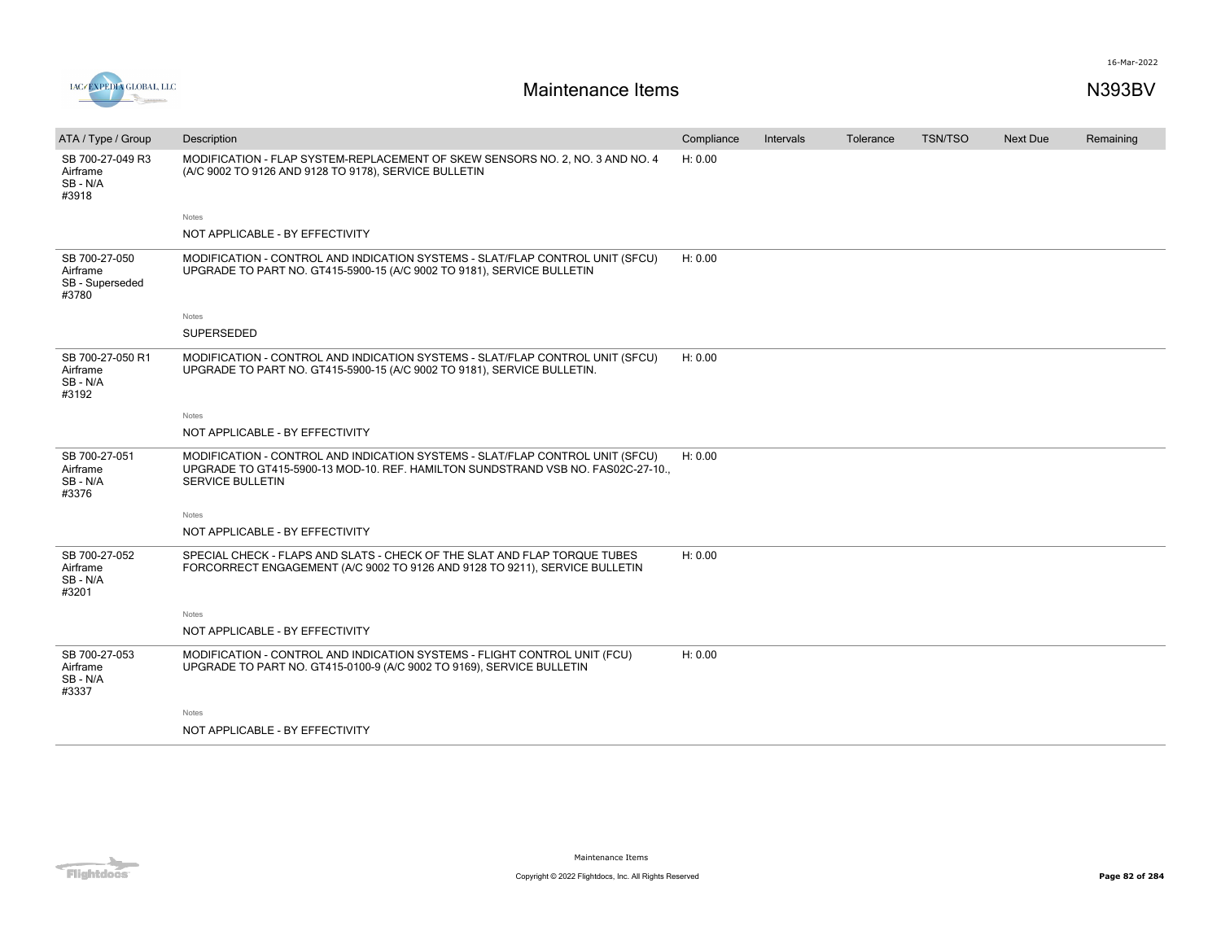



| ATA / Type / Group                                    | Description                                                                                                                                                                                  | Compliance | Intervals | Tolerance | TSN/TSO | <b>Next Due</b> | Remaining |
|-------------------------------------------------------|----------------------------------------------------------------------------------------------------------------------------------------------------------------------------------------------|------------|-----------|-----------|---------|-----------------|-----------|
| SB 700-27-049 R3<br>Airframe<br>SB - N/A<br>#3918     | MODIFICATION - FLAP SYSTEM-REPLACEMENT OF SKEW SENSORS NO. 2, NO. 3 AND NO. 4<br>(A/C 9002 TO 9126 AND 9128 TO 9178), SERVICE BULLETIN                                                       | H: 0.00    |           |           |         |                 |           |
|                                                       | Notes                                                                                                                                                                                        |            |           |           |         |                 |           |
|                                                       | NOT APPLICABLE - BY EFFECTIVITY                                                                                                                                                              |            |           |           |         |                 |           |
| SB 700-27-050<br>Airframe<br>SB - Superseded<br>#3780 | MODIFICATION - CONTROL AND INDICATION SYSTEMS - SLAT/FLAP CONTROL UNIT (SFCU)<br>UPGRADE TO PART NO. GT415-5900-15 (A/C 9002 TO 9181), SERVICE BULLETIN                                      | H: 0.00    |           |           |         |                 |           |
|                                                       | Notes                                                                                                                                                                                        |            |           |           |         |                 |           |
|                                                       | SUPERSEDED                                                                                                                                                                                   |            |           |           |         |                 |           |
| SB 700-27-050 R1<br>Airframe<br>SB - N/A<br>#3192     | MODIFICATION - CONTROL AND INDICATION SYSTEMS - SLAT/FLAP CONTROL UNIT (SFCU)<br>UPGRADE TO PART NO. GT415-5900-15 (A/C 9002 TO 9181), SERVICE BULLETIN.                                     | H: 0.00    |           |           |         |                 |           |
|                                                       | <b>Notes</b>                                                                                                                                                                                 |            |           |           |         |                 |           |
|                                                       | NOT APPLICABLE - BY EFFECTIVITY                                                                                                                                                              |            |           |           |         |                 |           |
| SB 700-27-051<br>Airframe<br>SB - N/A<br>#3376        | MODIFICATION - CONTROL AND INDICATION SYSTEMS - SLAT/FLAP CONTROL UNIT (SFCU)<br>UPGRADE TO GT415-5900-13 MOD-10. REF. HAMILTON SUNDSTRAND VSB NO. FAS02C-27-10.,<br><b>SERVICE BULLETIN</b> | H: 0.00    |           |           |         |                 |           |
|                                                       | Notes                                                                                                                                                                                        |            |           |           |         |                 |           |
|                                                       | NOT APPLICABLE - BY EFFECTIVITY                                                                                                                                                              |            |           |           |         |                 |           |
| SB 700-27-052<br>Airframe<br>SB - N/A<br>#3201        | SPECIAL CHECK - FLAPS AND SLATS - CHECK OF THE SLAT AND FLAP TORQUE TUBES<br>FORCORRECT ENGAGEMENT (A/C 9002 TO 9126 AND 9128 TO 9211), SERVICE BULLETIN                                     | H: 0.00    |           |           |         |                 |           |
|                                                       | Notes                                                                                                                                                                                        |            |           |           |         |                 |           |
|                                                       | NOT APPLICABLE - BY EFFECTIVITY                                                                                                                                                              |            |           |           |         |                 |           |
| SB 700-27-053<br>Airframe<br>SB - N/A<br>#3337        | MODIFICATION - CONTROL AND INDICATION SYSTEMS - FLIGHT CONTROL UNIT (FCU)<br>UPGRADE TO PART NO. GT415-0100-9 (A/C 9002 TO 9169), SERVICE BULLETIN                                           | H: 0.00    |           |           |         |                 |           |
|                                                       | Notes                                                                                                                                                                                        |            |           |           |         |                 |           |
|                                                       | NOT APPLICABLE - BY EFFECTIVITY                                                                                                                                                              |            |           |           |         |                 |           |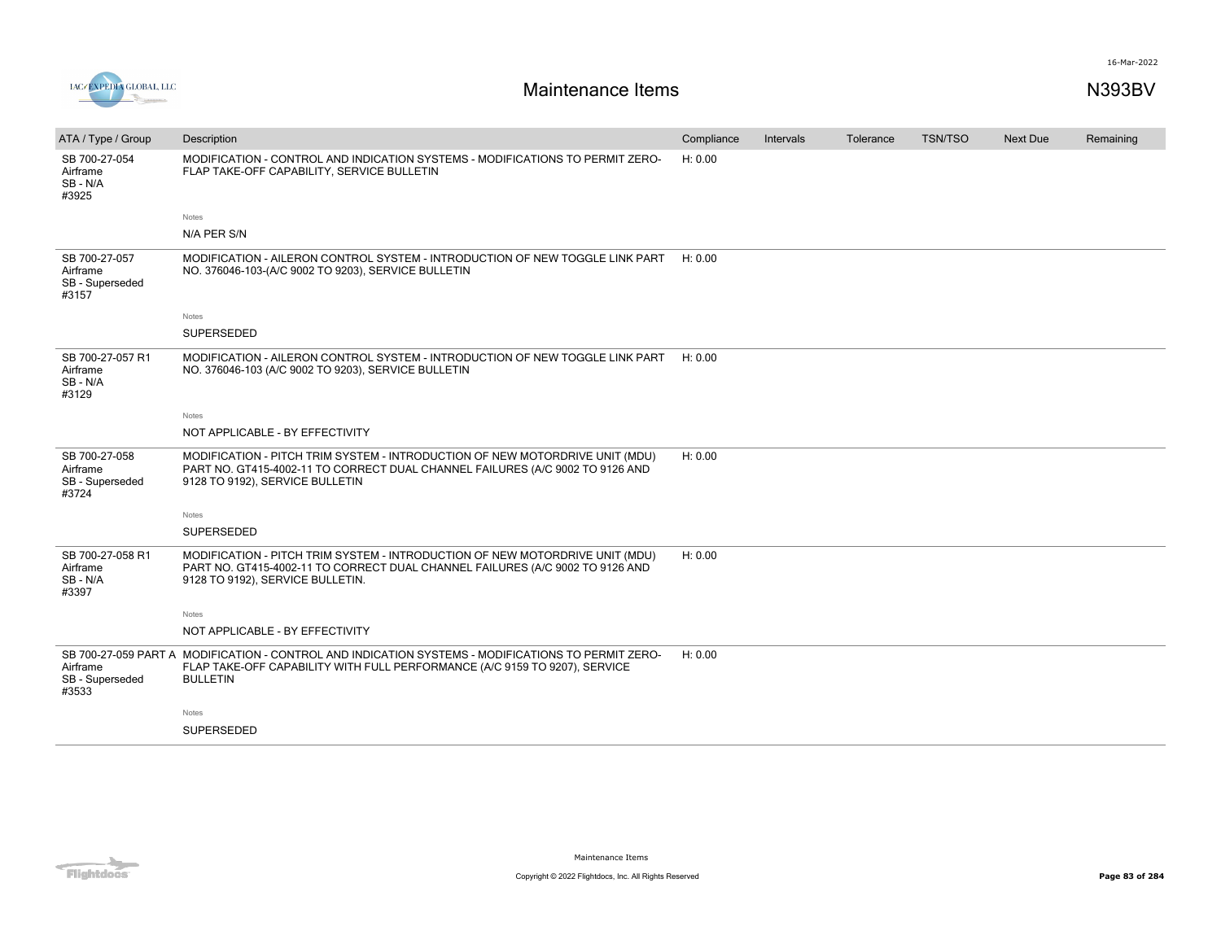



| ATA / Type / Group                                    | Description                                                                                                                                                                                         | Compliance | Intervals | Tolerance | <b>TSN/TSO</b> | <b>Next Due</b> | Remaining |
|-------------------------------------------------------|-----------------------------------------------------------------------------------------------------------------------------------------------------------------------------------------------------|------------|-----------|-----------|----------------|-----------------|-----------|
| SB 700-27-054<br>Airframe<br>SB-N/A<br>#3925          | MODIFICATION - CONTROL AND INDICATION SYSTEMS - MODIFICATIONS TO PERMIT ZERO-<br>FLAP TAKE-OFF CAPABILITY, SERVICE BULLETIN                                                                         | H: 0.00    |           |           |                |                 |           |
|                                                       | Notes                                                                                                                                                                                               |            |           |           |                |                 |           |
|                                                       | N/A PER S/N                                                                                                                                                                                         |            |           |           |                |                 |           |
| SB 700-27-057<br>Airframe<br>SB - Superseded<br>#3157 | MODIFICATION - AILERON CONTROL SYSTEM - INTRODUCTION OF NEW TOGGLE LINK PART<br>NO. 376046-103-(A/C 9002 TO 9203), SERVICE BULLETIN                                                                 | H: 0.00    |           |           |                |                 |           |
|                                                       | Notes                                                                                                                                                                                               |            |           |           |                |                 |           |
|                                                       | SUPERSEDED                                                                                                                                                                                          |            |           |           |                |                 |           |
| SB 700-27-057 R1<br>Airframe<br>SB-N/A<br>#3129       | MODIFICATION - AILERON CONTROL SYSTEM - INTRODUCTION OF NEW TOGGLE LINK PART<br>NO. 376046-103 (A/C 9002 TO 9203), SERVICE BULLETIN                                                                 | H: 0.00    |           |           |                |                 |           |
|                                                       | Notes                                                                                                                                                                                               |            |           |           |                |                 |           |
|                                                       | NOT APPLICABLE - BY EFFECTIVITY                                                                                                                                                                     |            |           |           |                |                 |           |
| SB 700-27-058<br>Airframe<br>SB - Superseded<br>#3724 | MODIFICATION - PITCH TRIM SYSTEM - INTRODUCTION OF NEW MOTORDRIVE UNIT (MDU)<br>PART NO. GT415-4002-11 TO CORRECT DUAL CHANNEL FAILURES (A/C 9002 TO 9126 AND<br>9128 TO 9192), SERVICE BULLETIN    | H: 0.00    |           |           |                |                 |           |
|                                                       | <b>Notes</b>                                                                                                                                                                                        |            |           |           |                |                 |           |
|                                                       | <b>SUPERSEDED</b>                                                                                                                                                                                   |            |           |           |                |                 |           |
| SB 700-27-058 R1<br>Airframe<br>SB-N/A<br>#3397       | MODIFICATION - PITCH TRIM SYSTEM - INTRODUCTION OF NEW MOTORDRIVE UNIT (MDU)<br>PART NO. GT415-4002-11 TO CORRECT DUAL CHANNEL FAILURES (A/C 9002 TO 9126 AND<br>9128 TO 9192), SERVICE BULLETIN.   | H: 0.00    |           |           |                |                 |           |
|                                                       | Notes                                                                                                                                                                                               |            |           |           |                |                 |           |
|                                                       | NOT APPLICABLE - BY EFFECTIVITY                                                                                                                                                                     |            |           |           |                |                 |           |
| Airframe<br>SB - Superseded<br>#3533                  | SB 700-27-059 PART A MODIFICATION - CONTROL AND INDICATION SYSTEMS - MODIFICATIONS TO PERMIT ZERO-<br>FLAP TAKE-OFF CAPABILITY WITH FULL PERFORMANCE (A/C 9159 TO 9207), SERVICE<br><b>BULLETIN</b> | H: 0.00    |           |           |                |                 |           |
|                                                       | Notes                                                                                                                                                                                               |            |           |           |                |                 |           |
|                                                       | SUPERSEDED                                                                                                                                                                                          |            |           |           |                |                 |           |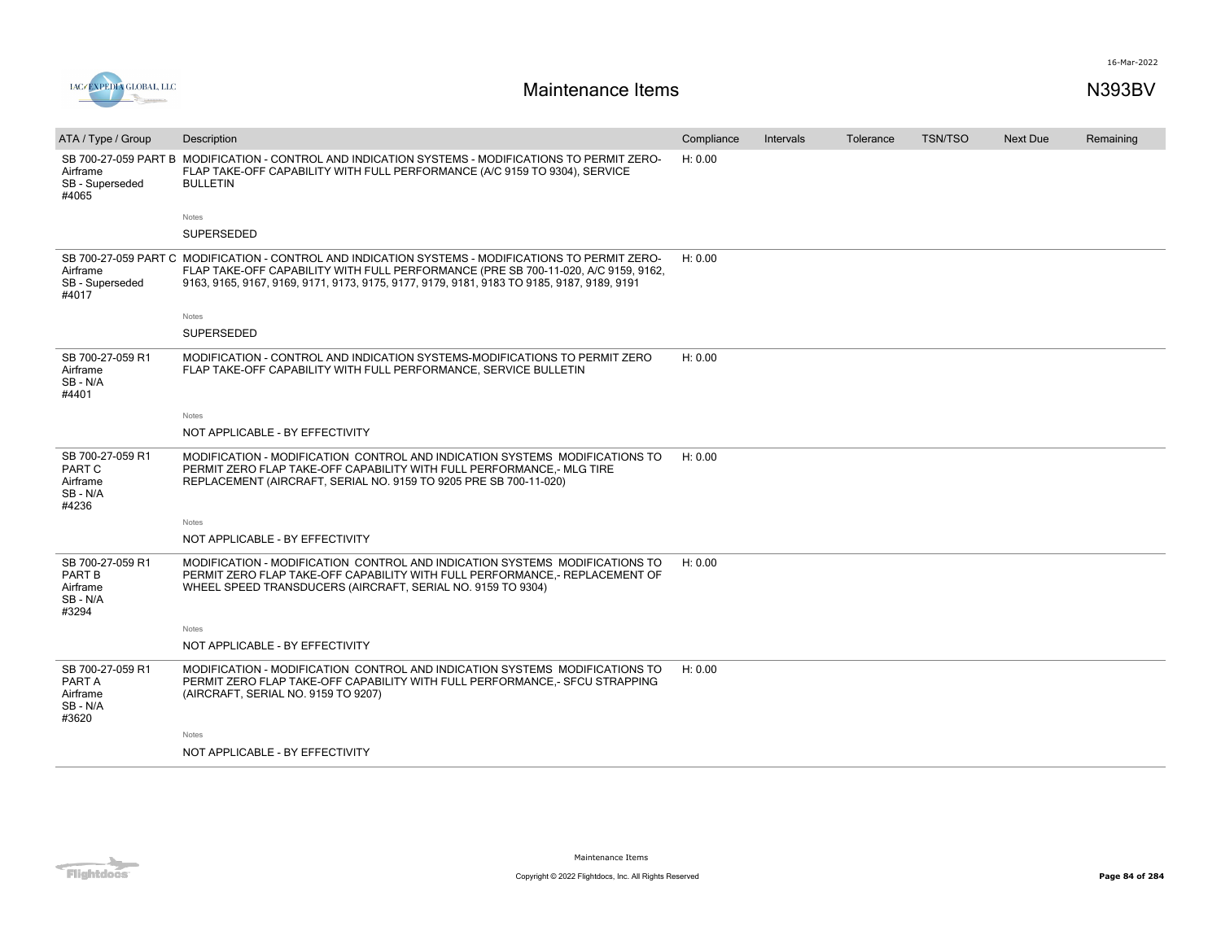



| ATA / Type / Group                                           | Description                                                                                                                                                                                                                                                                            | Compliance | Intervals | Tolerance | <b>TSN/TSO</b> | <b>Next Due</b> | Remaining |
|--------------------------------------------------------------|----------------------------------------------------------------------------------------------------------------------------------------------------------------------------------------------------------------------------------------------------------------------------------------|------------|-----------|-----------|----------------|-----------------|-----------|
| SB 700-27-059 PART B<br>Airframe<br>SB - Superseded<br>#4065 | MODIFICATION - CONTROL AND INDICATION SYSTEMS - MODIFICATIONS TO PERMIT ZERO-<br>FLAP TAKE-OFF CAPABILITY WITH FULL PERFORMANCE (A/C 9159 TO 9304), SERVICE<br><b>BULLETIN</b>                                                                                                         | H: 0.00    |           |           |                |                 |           |
|                                                              | Notes                                                                                                                                                                                                                                                                                  |            |           |           |                |                 |           |
|                                                              | SUPERSEDED                                                                                                                                                                                                                                                                             |            |           |           |                |                 |           |
| Airframe<br>SB - Superseded<br>#4017                         | SB 700-27-059 PART C MODIFICATION - CONTROL AND INDICATION SYSTEMS - MODIFICATIONS TO PERMIT ZERO-<br>FLAP TAKE-OFF CAPABILITY WITH FULL PERFORMANCE (PRE SB 700-11-020, A/C 9159, 9162,<br>9163, 9165, 9167, 9169, 9171, 9173, 9175, 9177, 9179, 9181, 9183 TO 9185, 9187, 9189, 9191 | H: 0.00    |           |           |                |                 |           |
|                                                              | Notes                                                                                                                                                                                                                                                                                  |            |           |           |                |                 |           |
|                                                              | <b>SUPERSEDED</b>                                                                                                                                                                                                                                                                      |            |           |           |                |                 |           |
| SB 700-27-059 R1<br>Airframe<br>SB-N/A<br>#4401              | MODIFICATION - CONTROL AND INDICATION SYSTEMS-MODIFICATIONS TO PERMIT ZERO<br>FLAP TAKE-OFF CAPABILITY WITH FULL PERFORMANCE, SERVICE BULLETIN                                                                                                                                         | H: 0.00    |           |           |                |                 |           |
|                                                              | Notes                                                                                                                                                                                                                                                                                  |            |           |           |                |                 |           |
|                                                              | NOT APPLICABLE - BY EFFECTIVITY                                                                                                                                                                                                                                                        |            |           |           |                |                 |           |
| SB 700-27-059 R1<br>PART C<br>Airframe<br>SB-N/A<br>#4236    | MODIFICATION - MODIFICATION CONTROL AND INDICATION SYSTEMS MODIFICATIONS TO<br>PERMIT ZERO FLAP TAKE-OFF CAPABILITY WITH FULL PERFORMANCE,- MLG TIRE<br>REPLACEMENT (AIRCRAFT, SERIAL NO. 9159 TO 9205 PRE SB 700-11-020)                                                              | H: 0.00    |           |           |                |                 |           |
|                                                              | Notes                                                                                                                                                                                                                                                                                  |            |           |           |                |                 |           |
|                                                              | NOT APPLICABLE - BY EFFECTIVITY                                                                                                                                                                                                                                                        |            |           |           |                |                 |           |
| SB 700-27-059 R1<br>PART B<br>Airframe<br>SB-N/A<br>#3294    | MODIFICATION - MODIFICATION CONTROL AND INDICATION SYSTEMS MODIFICATIONS TO<br>PERMIT ZERO FLAP TAKE-OFF CAPABILITY WITH FULL PERFORMANCE.- REPLACEMENT OF<br>WHEEL SPEED TRANSDUCERS (AIRCRAFT, SERIAL NO. 9159 TO 9304)                                                              | H: 0.00    |           |           |                |                 |           |
|                                                              | Notes                                                                                                                                                                                                                                                                                  |            |           |           |                |                 |           |
|                                                              | NOT APPLICABLE - BY EFFECTIVITY                                                                                                                                                                                                                                                        |            |           |           |                |                 |           |
| SB 700-27-059 R1<br>PART A<br>Airframe<br>SB-N/A<br>#3620    | MODIFICATION - MODIFICATION CONTROL AND INDICATION SYSTEMS MODIFICATIONS TO<br>PERMIT ZERO FLAP TAKE-OFF CAPABILITY WITH FULL PERFORMANCE,- SFCU STRAPPING<br>(AIRCRAFT, SERIAL NO. 9159 TO 9207)                                                                                      | H: 0.00    |           |           |                |                 |           |
|                                                              | Notes                                                                                                                                                                                                                                                                                  |            |           |           |                |                 |           |
|                                                              | NOT APPLICABLE - BY EFFECTIVITY                                                                                                                                                                                                                                                        |            |           |           |                |                 |           |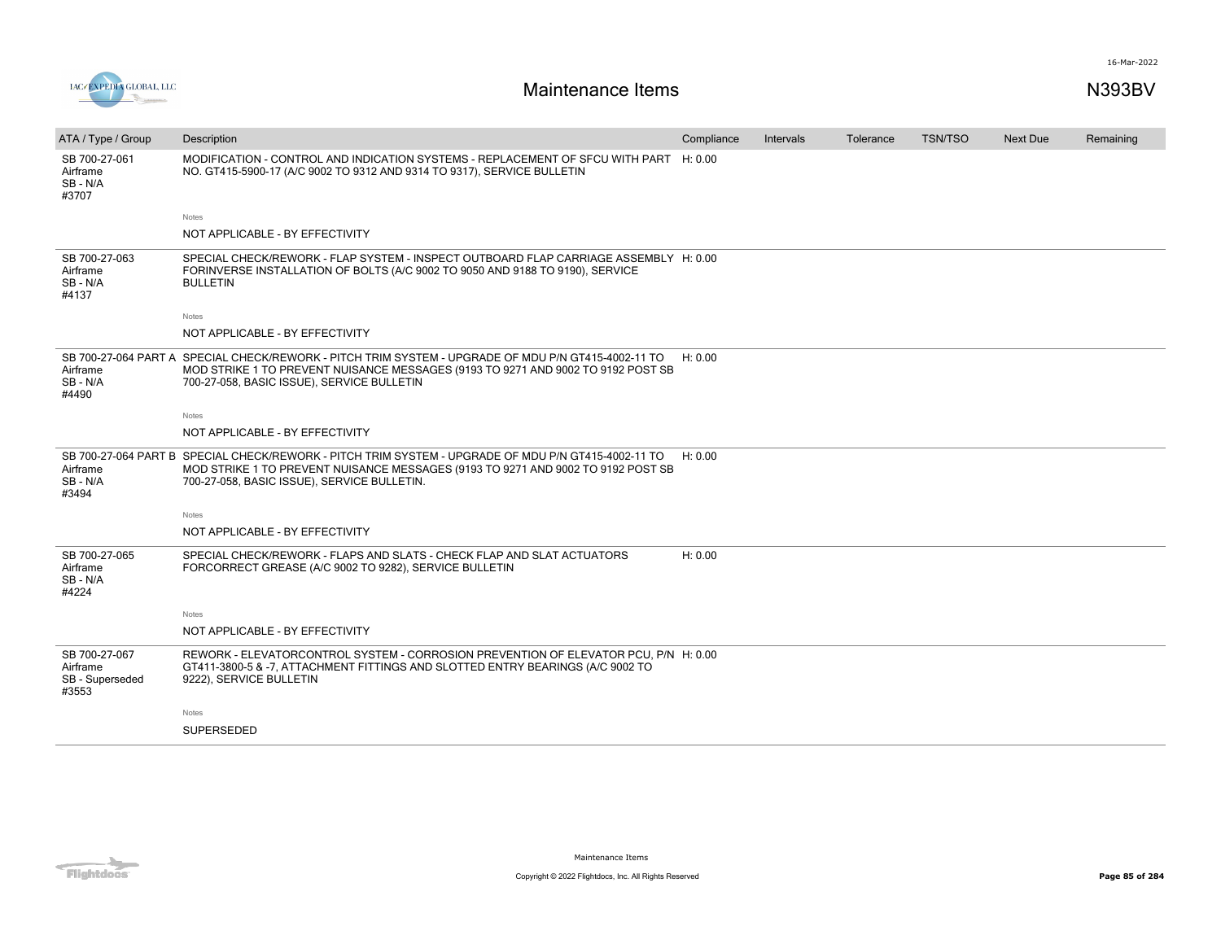

| ATA / Type / Group                                    | Description                                                                                                                                                                                                                            | Compliance | Intervals | Tolerance | <b>TSN/TSO</b> | <b>Next Due</b> | Remaining |
|-------------------------------------------------------|----------------------------------------------------------------------------------------------------------------------------------------------------------------------------------------------------------------------------------------|------------|-----------|-----------|----------------|-----------------|-----------|
| SB 700-27-061<br>Airframe<br>SB-N/A<br>#3707          | MODIFICATION - CONTROL AND INDICATION SYSTEMS - REPLACEMENT OF SFCU WITH PART H: 0.00<br>NO. GT415-5900-17 (A/C 9002 TO 9312 AND 9314 TO 9317), SERVICE BULLETIN                                                                       |            |           |           |                |                 |           |
|                                                       | <b>Notes</b>                                                                                                                                                                                                                           |            |           |           |                |                 |           |
|                                                       | NOT APPLICABLE - BY EFFECTIVITY                                                                                                                                                                                                        |            |           |           |                |                 |           |
| SB 700-27-063<br>Airframe<br>SB - N/A<br>#4137        | SPECIAL CHECK/REWORK - FLAP SYSTEM - INSPECT OUTBOARD FLAP CARRIAGE ASSEMBLY H: 0.00<br>FORINVERSE INSTALLATION OF BOLTS (A/C 9002 TO 9050 AND 9188 TO 9190), SERVICE<br><b>BULLETIN</b>                                               |            |           |           |                |                 |           |
|                                                       | Notes                                                                                                                                                                                                                                  |            |           |           |                |                 |           |
|                                                       | NOT APPLICABLE - BY EFFECTIVITY                                                                                                                                                                                                        |            |           |           |                |                 |           |
| Airframe<br>SB - N/A<br>#4490                         | SB 700-27-064 PART A SPECIAL CHECK/REWORK - PITCH TRIM SYSTEM - UPGRADE OF MDU P/N GT415-4002-11 TO<br>MOD STRIKE 1 TO PREVENT NUISANCE MESSAGES (9193 TO 9271 AND 9002 TO 9192 POST SB<br>700-27-058, BASIC ISSUE), SERVICE BULLETIN  | H: 0.00    |           |           |                |                 |           |
|                                                       | Notes                                                                                                                                                                                                                                  |            |           |           |                |                 |           |
|                                                       | NOT APPLICABLE - BY EFFECTIVITY                                                                                                                                                                                                        |            |           |           |                |                 |           |
| Airframe<br>SB - N/A<br>#3494                         | SB 700-27-064 PART B SPECIAL CHECK/REWORK - PITCH TRIM SYSTEM - UPGRADE OF MDU P/N GT415-4002-11 TO<br>MOD STRIKE 1 TO PREVENT NUISANCE MESSAGES (9193 TO 9271 AND 9002 TO 9192 POST SB<br>700-27-058, BASIC ISSUE), SERVICE BULLETIN. | H: 0.00    |           |           |                |                 |           |
|                                                       | Notes                                                                                                                                                                                                                                  |            |           |           |                |                 |           |
|                                                       | NOT APPLICABLE - BY EFFECTIVITY                                                                                                                                                                                                        |            |           |           |                |                 |           |
| SB 700-27-065<br>Airframe<br>SB-N/A<br>#4224          | SPECIAL CHECK/REWORK - FLAPS AND SLATS - CHECK FLAP AND SLAT ACTUATORS<br>FORCORRECT GREASE (A/C 9002 TO 9282), SERVICE BULLETIN                                                                                                       | H: 0.00    |           |           |                |                 |           |
|                                                       | <b>Notes</b>                                                                                                                                                                                                                           |            |           |           |                |                 |           |
|                                                       | NOT APPLICABLE - BY EFFECTIVITY                                                                                                                                                                                                        |            |           |           |                |                 |           |
| SB 700-27-067<br>Airframe<br>SB - Superseded<br>#3553 | REWORK - ELEVATORCONTROL SYSTEM - CORROSION PREVENTION OF ELEVATOR PCU, P/N H: 0.00<br>GT411-3800-5 & -7, ATTACHMENT FITTINGS AND SLOTTED ENTRY BEARINGS (A/C 9002 TO<br>9222), SERVICE BULLETIN                                       |            |           |           |                |                 |           |
|                                                       | Notes                                                                                                                                                                                                                                  |            |           |           |                |                 |           |
|                                                       | <b>SUPERSEDED</b>                                                                                                                                                                                                                      |            |           |           |                |                 |           |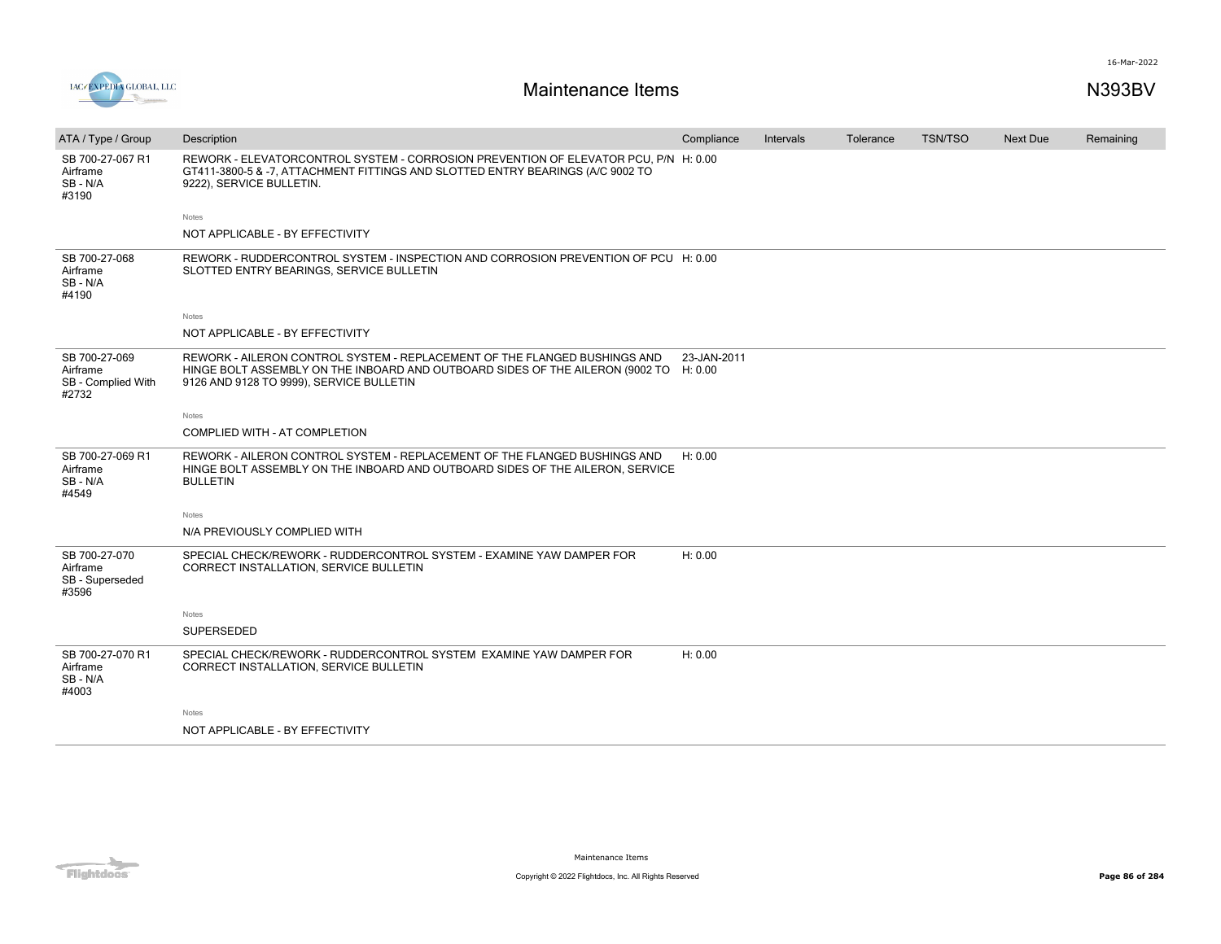

| ATA / Type / Group                                       | Description                                                                                                                                                                                                    | Compliance  | Intervals | Tolerance | <b>TSN/TSO</b> | <b>Next Due</b> | Remaining |
|----------------------------------------------------------|----------------------------------------------------------------------------------------------------------------------------------------------------------------------------------------------------------------|-------------|-----------|-----------|----------------|-----------------|-----------|
| SB 700-27-067 R1<br>Airframe<br>SB-N/A<br>#3190          | REWORK - ELEVATORCONTROL SYSTEM - CORROSION PREVENTION OF ELEVATOR PCU, P/N H: 0.00<br>GT411-3800-5 & -7, ATTACHMENT FITTINGS AND SLOTTED ENTRY BEARINGS (A/C 9002 TO<br>9222), SERVICE BULLETIN.              |             |           |           |                |                 |           |
|                                                          | Notes                                                                                                                                                                                                          |             |           |           |                |                 |           |
|                                                          | NOT APPLICABLE - BY EFFECTIVITY                                                                                                                                                                                |             |           |           |                |                 |           |
| SB 700-27-068<br>Airframe<br>SB-N/A<br>#4190             | REWORK - RUDDERCONTROL SYSTEM - INSPECTION AND CORROSION PREVENTION OF PCU H: 0.00<br>SLOTTED ENTRY BEARINGS, SERVICE BULLETIN                                                                                 |             |           |           |                |                 |           |
|                                                          | <b>Notes</b>                                                                                                                                                                                                   |             |           |           |                |                 |           |
|                                                          | NOT APPLICABLE - BY EFFECTIVITY                                                                                                                                                                                |             |           |           |                |                 |           |
| SB 700-27-069<br>Airframe<br>SB - Complied With<br>#2732 | REWORK - AILERON CONTROL SYSTEM - REPLACEMENT OF THE FLANGED BUSHINGS AND<br>HINGE BOLT ASSEMBLY ON THE INBOARD AND OUTBOARD SIDES OF THE AILERON (9002 TO H: 0.00<br>9126 AND 9128 TO 9999), SERVICE BULLETIN | 23-JAN-2011 |           |           |                |                 |           |
|                                                          | Notes                                                                                                                                                                                                          |             |           |           |                |                 |           |
|                                                          | COMPLIED WITH - AT COMPLETION                                                                                                                                                                                  |             |           |           |                |                 |           |
| SB 700-27-069 R1<br>Airframe<br>SB-N/A<br>#4549          | REWORK - AILERON CONTROL SYSTEM - REPLACEMENT OF THE FLANGED BUSHINGS AND<br>HINGE BOLT ASSEMBLY ON THE INBOARD AND OUTBOARD SIDES OF THE AILERON, SERVICE<br><b>BULLETIN</b>                                  | H: 0.00     |           |           |                |                 |           |
|                                                          | Notes                                                                                                                                                                                                          |             |           |           |                |                 |           |
|                                                          | N/A PREVIOUSLY COMPLIED WITH                                                                                                                                                                                   |             |           |           |                |                 |           |
| SB 700-27-070<br>Airframe<br>SB - Superseded<br>#3596    | SPECIAL CHECK/REWORK - RUDDERCONTROL SYSTEM - EXAMINE YAW DAMPER FOR<br>CORRECT INSTALLATION, SERVICE BULLETIN                                                                                                 | H: 0.00     |           |           |                |                 |           |
|                                                          | Notes                                                                                                                                                                                                          |             |           |           |                |                 |           |
|                                                          | SUPERSEDED                                                                                                                                                                                                     |             |           |           |                |                 |           |
| SB 700-27-070 R1<br>Airframe<br>SB-N/A<br>#4003          | SPECIAL CHECK/REWORK - RUDDERCONTROL SYSTEM EXAMINE YAW DAMPER FOR<br>CORRECT INSTALLATION, SERVICE BULLETIN                                                                                                   | H: 0.00     |           |           |                |                 |           |
|                                                          | Notes                                                                                                                                                                                                          |             |           |           |                |                 |           |
|                                                          | NOT APPLICABLE - BY EFFECTIVITY                                                                                                                                                                                |             |           |           |                |                 |           |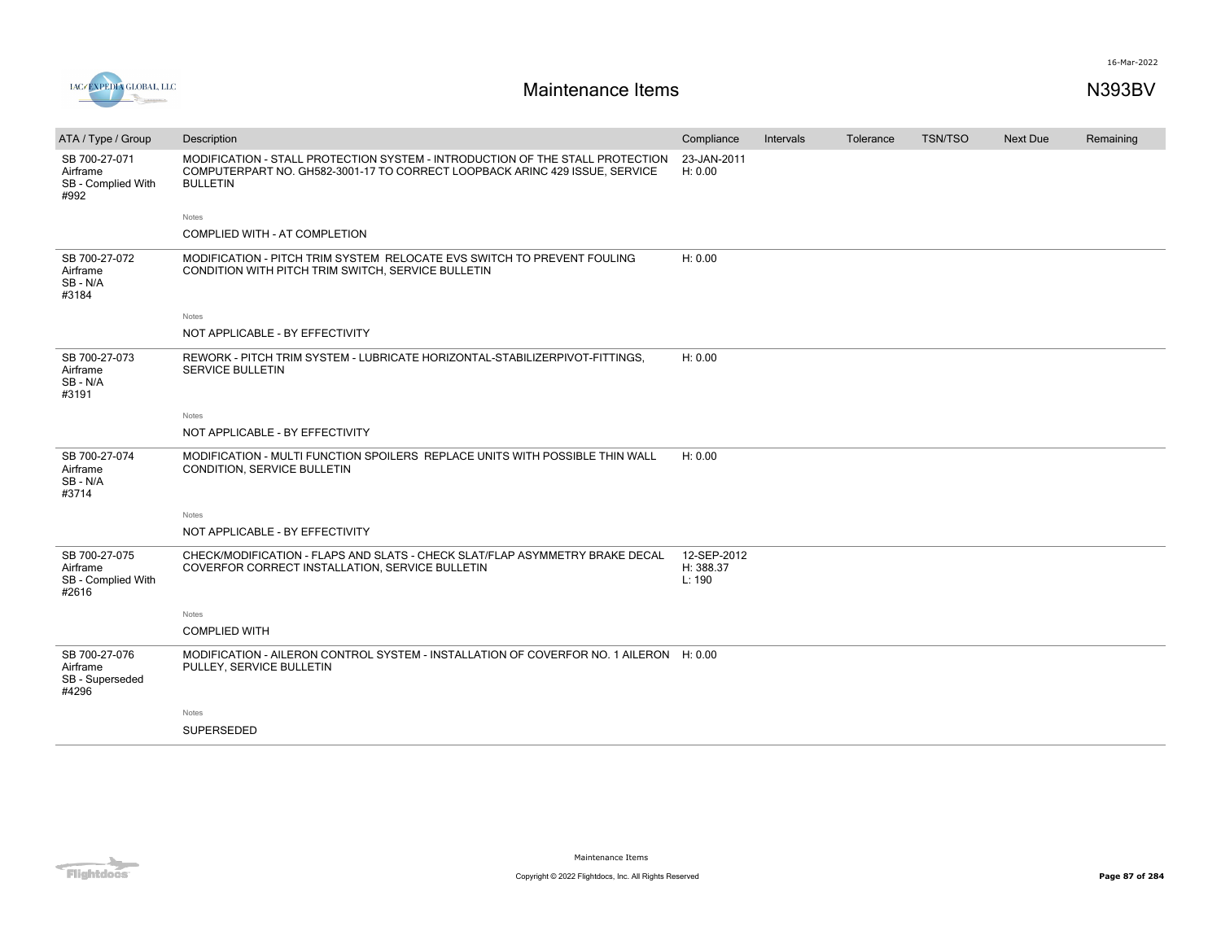



| ATA / Type / Group                                       | Description                                                                                                                                                                     | Compliance                         | Intervals | Tolerance | <b>TSN/TSO</b> | <b>Next Due</b> | Remaining |
|----------------------------------------------------------|---------------------------------------------------------------------------------------------------------------------------------------------------------------------------------|------------------------------------|-----------|-----------|----------------|-----------------|-----------|
| SB 700-27-071<br>Airframe<br>SB - Complied With<br>#992  | MODIFICATION - STALL PROTECTION SYSTEM - INTRODUCTION OF THE STALL PROTECTION<br>COMPUTERPART NO. GH582-3001-17 TO CORRECT LOOPBACK ARINC 429 ISSUE, SERVICE<br><b>BULLETIN</b> | 23-JAN-2011<br>H: 0.00             |           |           |                |                 |           |
|                                                          | Notes                                                                                                                                                                           |                                    |           |           |                |                 |           |
|                                                          | COMPLIED WITH - AT COMPLETION                                                                                                                                                   |                                    |           |           |                |                 |           |
| SB 700-27-072<br>Airframe<br>SB - N/A<br>#3184           | MODIFICATION - PITCH TRIM SYSTEM RELOCATE EVS SWITCH TO PREVENT FOULING<br>CONDITION WITH PITCH TRIM SWITCH, SERVICE BULLETIN                                                   | H: 0.00                            |           |           |                |                 |           |
|                                                          | Notes                                                                                                                                                                           |                                    |           |           |                |                 |           |
|                                                          | NOT APPLICABLE - BY EFFECTIVITY                                                                                                                                                 |                                    |           |           |                |                 |           |
| SB 700-27-073<br>Airframe<br>SB - N/A<br>#3191           | REWORK - PITCH TRIM SYSTEM - LUBRICATE HORIZONTAL-STABILIZERPIVOT-FITTINGS.<br>SERVICE BULLETIN                                                                                 | H: 0.00                            |           |           |                |                 |           |
|                                                          | Notes                                                                                                                                                                           |                                    |           |           |                |                 |           |
|                                                          | NOT APPLICABLE - BY EFFECTIVITY                                                                                                                                                 |                                    |           |           |                |                 |           |
| SB 700-27-074<br>Airframe<br>SB-N/A<br>#3714             | MODIFICATION - MULTI FUNCTION SPOILERS REPLACE UNITS WITH POSSIBLE THIN WALL<br>CONDITION, SERVICE BULLETIN                                                                     | H: 0.00                            |           |           |                |                 |           |
|                                                          | <b>Notes</b>                                                                                                                                                                    |                                    |           |           |                |                 |           |
|                                                          | NOT APPLICABLE - BY EFFECTIVITY                                                                                                                                                 |                                    |           |           |                |                 |           |
| SB 700-27-075<br>Airframe<br>SB - Complied With<br>#2616 | CHECK/MODIFICATION - FLAPS AND SLATS - CHECK SLAT/FLAP ASYMMETRY BRAKE DECAL<br>COVERFOR CORRECT INSTALLATION, SERVICE BULLETIN                                                 | 12-SEP-2012<br>H: 388.37<br>L: 190 |           |           |                |                 |           |
|                                                          | Notes                                                                                                                                                                           |                                    |           |           |                |                 |           |
|                                                          | <b>COMPLIED WITH</b>                                                                                                                                                            |                                    |           |           |                |                 |           |
| SB 700-27-076<br>Airframe<br>SB - Superseded<br>#4296    | MODIFICATION - AILERON CONTROL SYSTEM - INSTALLATION OF COVERFOR NO. 1 AILERON H: 0.00<br>PULLEY, SERVICE BULLETIN                                                              |                                    |           |           |                |                 |           |
|                                                          | Notes                                                                                                                                                                           |                                    |           |           |                |                 |           |
|                                                          | <b>SUPERSEDED</b>                                                                                                                                                               |                                    |           |           |                |                 |           |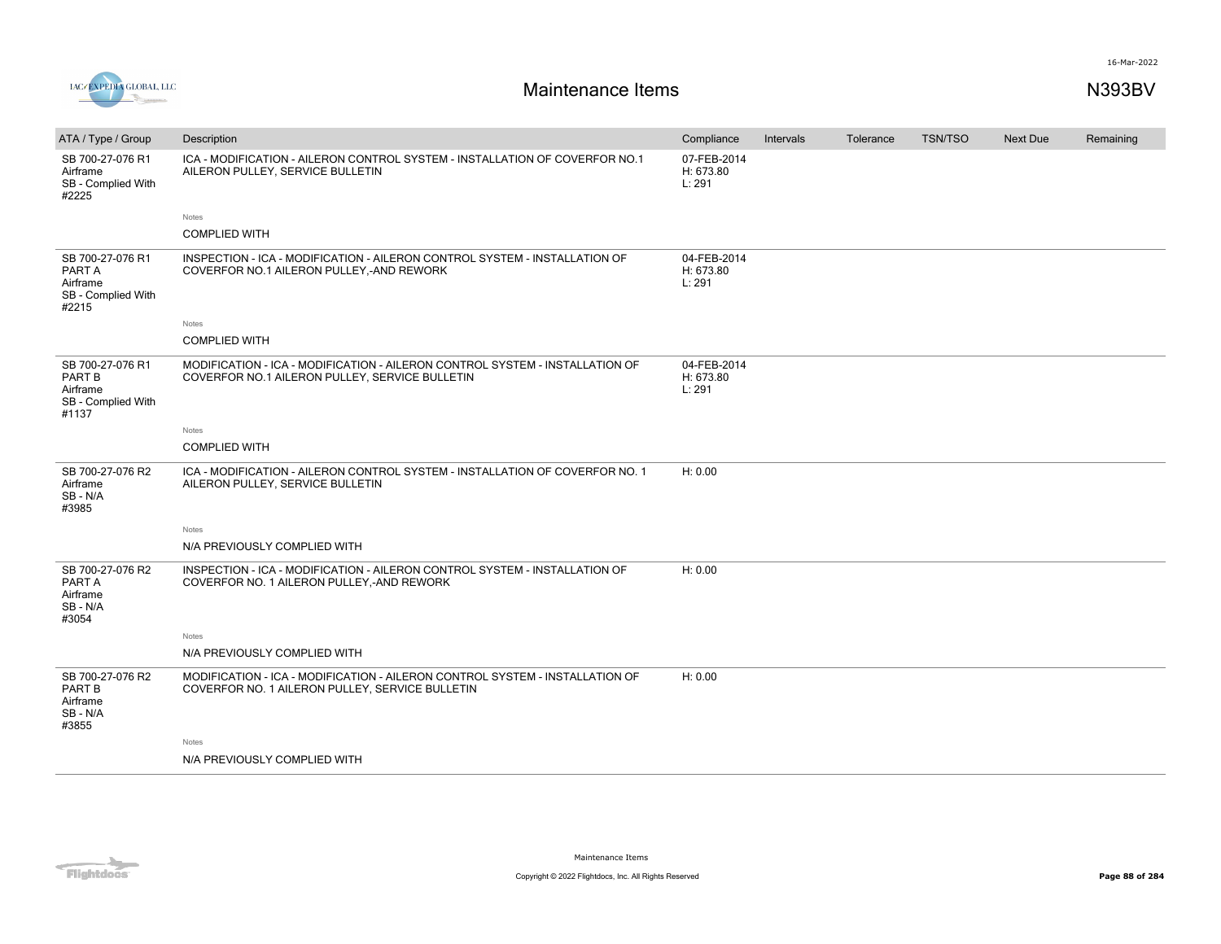

| ATA / Type / Group                                                           | Description                                                                                                                     | Compliance                         | Intervals | Tolerance | <b>TSN/TSO</b> | <b>Next Due</b> | Remaining |
|------------------------------------------------------------------------------|---------------------------------------------------------------------------------------------------------------------------------|------------------------------------|-----------|-----------|----------------|-----------------|-----------|
| SB 700-27-076 R1<br>Airframe<br>SB - Complied With<br>#2225                  | ICA - MODIFICATION - AILERON CONTROL SYSTEM - INSTALLATION OF COVERFOR NO.1<br>AILERON PULLEY, SERVICE BULLETIN                 | 07-FEB-2014<br>H: 673.80<br>L: 291 |           |           |                |                 |           |
|                                                                              | Notes                                                                                                                           |                                    |           |           |                |                 |           |
|                                                                              | <b>COMPLIED WITH</b>                                                                                                            |                                    |           |           |                |                 |           |
| SB 700-27-076 R1<br>PART A<br>Airframe<br>SB - Complied With<br>#2215        | INSPECTION - ICA - MODIFICATION - AILERON CONTROL SYSTEM - INSTALLATION OF<br>COVERFOR NO.1 AILERON PULLEY,-AND REWORK          | 04-FEB-2014<br>H: 673.80<br>L: 291 |           |           |                |                 |           |
|                                                                              | Notes                                                                                                                           |                                    |           |           |                |                 |           |
|                                                                              | <b>COMPLIED WITH</b>                                                                                                            |                                    |           |           |                |                 |           |
| SB 700-27-076 R1<br><b>PART B</b><br>Airframe<br>SB - Complied With<br>#1137 | MODIFICATION - ICA - MODIFICATION - AILERON CONTROL SYSTEM - INSTALLATION OF<br>COVERFOR NO.1 AILERON PULLEY, SERVICE BULLETIN  | 04-FEB-2014<br>H: 673.80<br>L: 291 |           |           |                |                 |           |
|                                                                              | Notes                                                                                                                           |                                    |           |           |                |                 |           |
|                                                                              | <b>COMPLIED WITH</b>                                                                                                            |                                    |           |           |                |                 |           |
| SB 700-27-076 R2<br>Airframe<br>SB-N/A<br>#3985                              | ICA - MODIFICATION - AILERON CONTROL SYSTEM - INSTALLATION OF COVERFOR NO. 1<br>AILERON PULLEY, SERVICE BULLETIN                | H: 0.00                            |           |           |                |                 |           |
|                                                                              | Notes                                                                                                                           |                                    |           |           |                |                 |           |
|                                                                              | N/A PREVIOUSLY COMPLIED WITH                                                                                                    |                                    |           |           |                |                 |           |
| SB 700-27-076 R2<br>PART A<br>Airframe<br>SB-N/A<br>#3054                    | INSPECTION - ICA - MODIFICATION - AILERON CONTROL SYSTEM - INSTALLATION OF<br>COVERFOR NO. 1 AILERON PULLEY, - AND REWORK       | H: 0.00                            |           |           |                |                 |           |
|                                                                              | Notes                                                                                                                           |                                    |           |           |                |                 |           |
|                                                                              | N/A PREVIOUSLY COMPLIED WITH                                                                                                    |                                    |           |           |                |                 |           |
| SB 700-27-076 R2<br><b>PART B</b><br>Airframe<br>SB - N/A<br>#3855           | MODIFICATION - ICA - MODIFICATION - AILERON CONTROL SYSTEM - INSTALLATION OF<br>COVERFOR NO. 1 AILERON PULLEY, SERVICE BULLETIN | H: 0.00                            |           |           |                |                 |           |
|                                                                              | Notes                                                                                                                           |                                    |           |           |                |                 |           |
|                                                                              | N/A PREVIOUSLY COMPLIED WITH                                                                                                    |                                    |           |           |                |                 |           |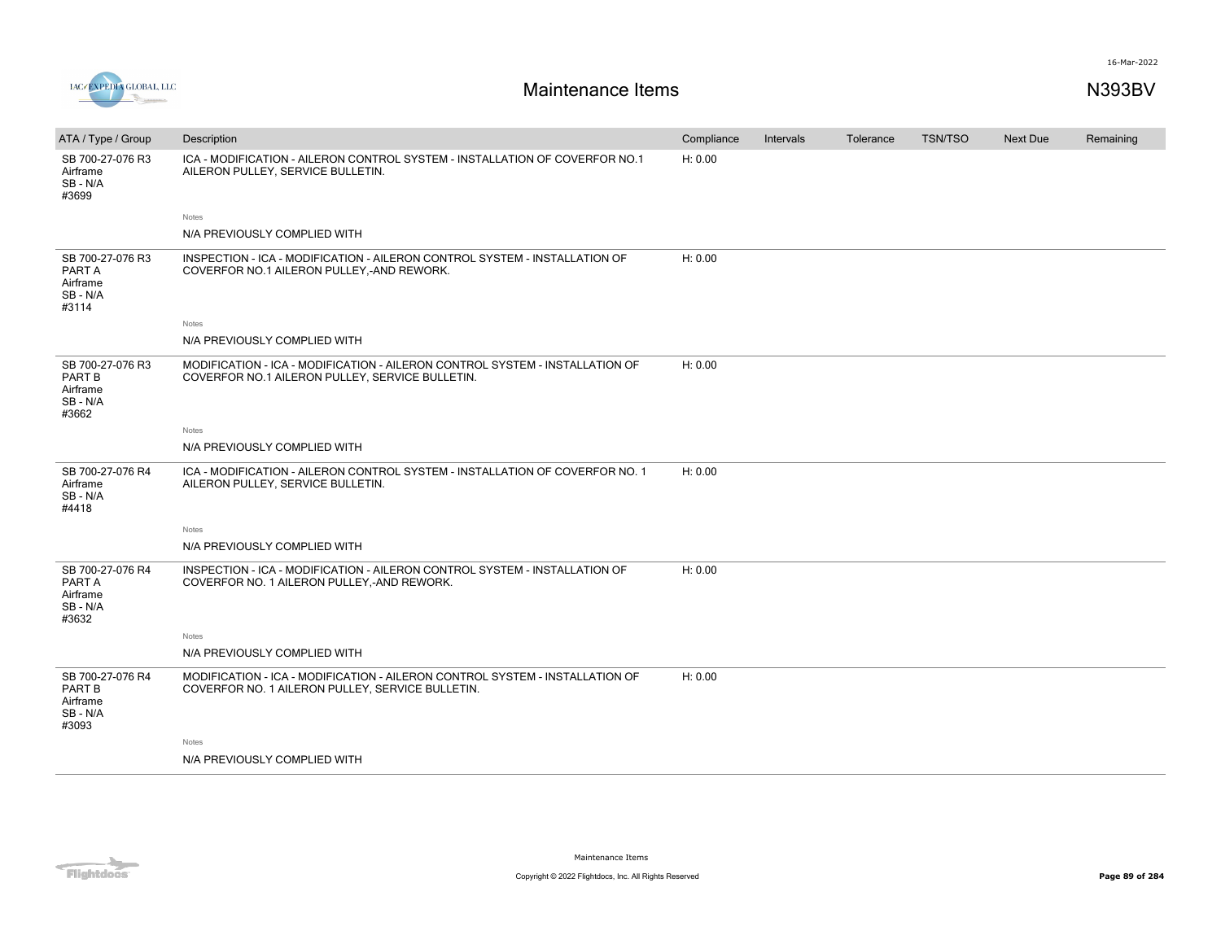



| ATA / Type / Group                                          | Description                                                                                                                      | Compliance | Intervals | Tolerance | TSN/TSO | Next Due | Remaining |
|-------------------------------------------------------------|----------------------------------------------------------------------------------------------------------------------------------|------------|-----------|-----------|---------|----------|-----------|
| SB 700-27-076 R3<br>Airframe<br>SB-N/A<br>#3699             | ICA - MODIFICATION - AILERON CONTROL SYSTEM - INSTALLATION OF COVERFOR NO.1<br>AILERON PULLEY, SERVICE BULLETIN.                 | H: 0.00    |           |           |         |          |           |
|                                                             | Notes                                                                                                                            |            |           |           |         |          |           |
|                                                             | N/A PREVIOUSLY COMPLIED WITH                                                                                                     |            |           |           |         |          |           |
| SB 700-27-076 R3<br>PART A<br>Airframe<br>SB-N/A<br>#3114   | INSPECTION - ICA - MODIFICATION - AILERON CONTROL SYSTEM - INSTALLATION OF<br>COVERFOR NO.1 AILERON PULLEY, AND REWORK.          | H: 0.00    |           |           |         |          |           |
|                                                             | Notes                                                                                                                            |            |           |           |         |          |           |
|                                                             | N/A PREVIOUSLY COMPLIED WITH                                                                                                     |            |           |           |         |          |           |
| SB 700-27-076 R3<br>PART B<br>Airframe<br>SB-N/A<br>#3662   | MODIFICATION - ICA - MODIFICATION - AILERON CONTROL SYSTEM - INSTALLATION OF<br>COVERFOR NO.1 AILERON PULLEY, SERVICE BULLETIN.  | H: 0.00    |           |           |         |          |           |
|                                                             | Notes                                                                                                                            |            |           |           |         |          |           |
|                                                             | N/A PREVIOUSLY COMPLIED WITH                                                                                                     |            |           |           |         |          |           |
| SB 700-27-076 R4<br>Airframe<br>SB-N/A<br>#4418             | ICA - MODIFICATION - AILERON CONTROL SYSTEM - INSTALLATION OF COVERFOR NO. 1<br>AILERON PULLEY, SERVICE BULLETIN.                | H: 0.00    |           |           |         |          |           |
|                                                             | Notes                                                                                                                            |            |           |           |         |          |           |
|                                                             | N/A PREVIOUSLY COMPLIED WITH                                                                                                     |            |           |           |         |          |           |
| SB 700-27-076 R4<br>PART A<br>Airframe<br>SB-N/A<br>#3632   | INSPECTION - ICA - MODIFICATION - AILERON CONTROL SYSTEM - INSTALLATION OF<br>COVERFOR NO. 1 AILERON PULLEY,-AND REWORK.         | H: 0.00    |           |           |         |          |           |
|                                                             | Notes                                                                                                                            |            |           |           |         |          |           |
|                                                             | N/A PREVIOUSLY COMPLIED WITH                                                                                                     |            |           |           |         |          |           |
| SB 700-27-076 R4<br>PART B<br>Airframe<br>SB - N/A<br>#3093 | MODIFICATION - ICA - MODIFICATION - AILERON CONTROL SYSTEM - INSTALLATION OF<br>COVERFOR NO. 1 AILERON PULLEY, SERVICE BULLETIN. | H: 0.00    |           |           |         |          |           |
|                                                             | Notes                                                                                                                            |            |           |           |         |          |           |
|                                                             | N/A PREVIOUSLY COMPLIED WITH                                                                                                     |            |           |           |         |          |           |

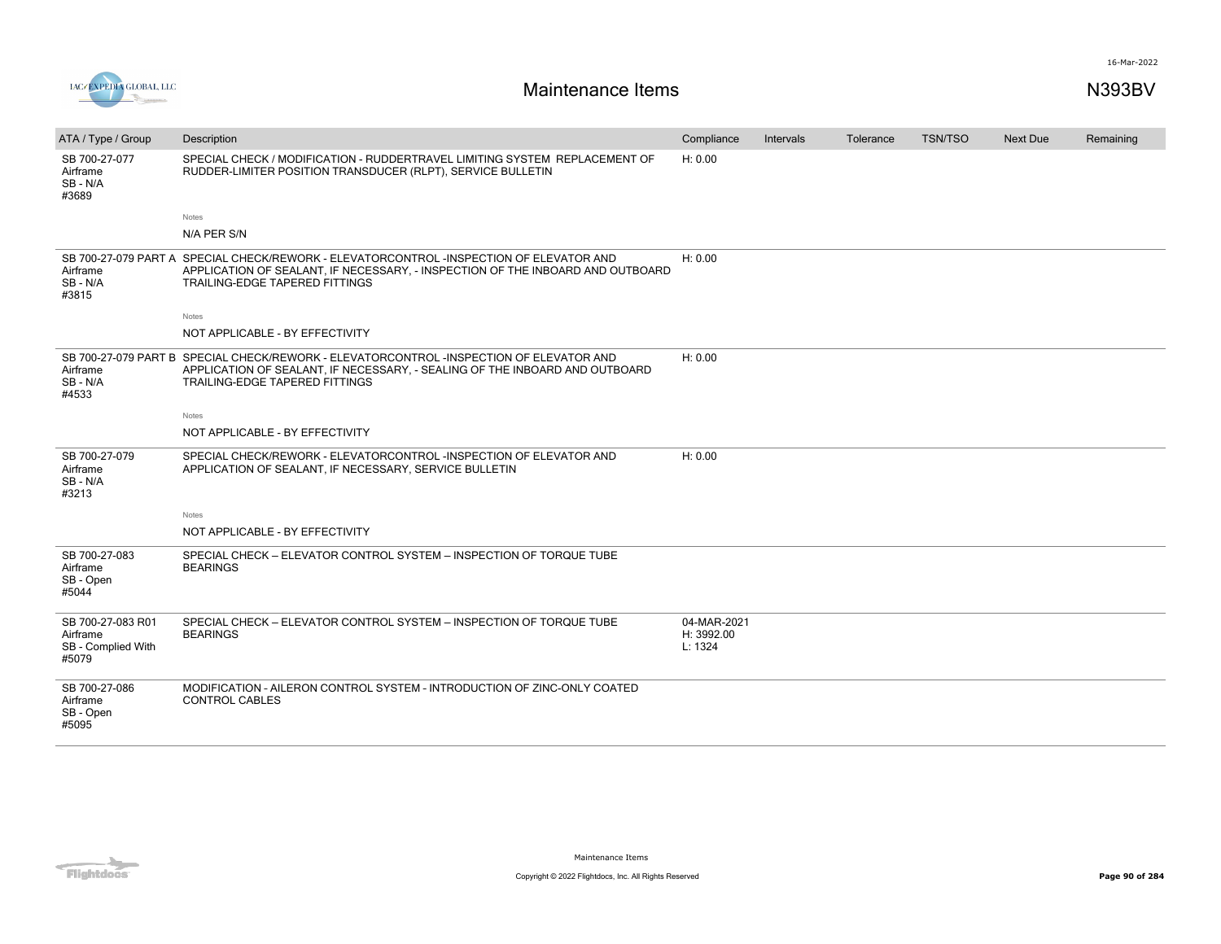

| ATA / Type / Group                                           | Description                                                                                                                                                                                                 | Compliance                           | Intervals | Tolerance | <b>TSN/TSO</b> | <b>Next Due</b> | Remaining |
|--------------------------------------------------------------|-------------------------------------------------------------------------------------------------------------------------------------------------------------------------------------------------------------|--------------------------------------|-----------|-----------|----------------|-----------------|-----------|
| SB 700-27-077<br>Airframe<br>SB-N/A<br>#3689                 | SPECIAL CHECK / MODIFICATION - RUDDERTRAVEL LIMITING SYSTEM REPLACEMENT OF<br>RUDDER-LIMITER POSITION TRANSDUCER (RLPT), SERVICE BULLETIN                                                                   | H: 0.00                              |           |           |                |                 |           |
|                                                              | Notes                                                                                                                                                                                                       |                                      |           |           |                |                 |           |
|                                                              | N/A PER S/N                                                                                                                                                                                                 |                                      |           |           |                |                 |           |
| Airframe<br>SB-N/A<br>#3815                                  | SB 700-27-079 PART A SPECIAL CHECK/REWORK - ELEVATORCONTROL -INSPECTION OF ELEVATOR AND<br>APPLICATION OF SEALANT, IF NECESSARY, - INSPECTION OF THE INBOARD AND OUTBOARD<br>TRAILING-EDGE TAPERED FITTINGS | H: 0.00                              |           |           |                |                 |           |
|                                                              | Notes                                                                                                                                                                                                       |                                      |           |           |                |                 |           |
|                                                              | NOT APPLICABLE - BY EFFECTIVITY                                                                                                                                                                             |                                      |           |           |                |                 |           |
| Airframe<br>SB-N/A<br>#4533                                  | SB 700-27-079 PART B SPECIAL CHECK/REWORK - ELEVATORCONTROL -INSPECTION OF ELEVATOR AND<br>APPLICATION OF SEALANT, IF NECESSARY, - SEALING OF THE INBOARD AND OUTBOARD<br>TRAILING-EDGE TAPERED FITTINGS    | H: 0.00                              |           |           |                |                 |           |
|                                                              | Notes                                                                                                                                                                                                       |                                      |           |           |                |                 |           |
|                                                              | NOT APPLICABLE - BY EFFECTIVITY                                                                                                                                                                             |                                      |           |           |                |                 |           |
| SB 700-27-079<br>Airframe<br>SB - N/A<br>#3213               | SPECIAL CHECK/REWORK - ELEVATORCONTROL -INSPECTION OF ELEVATOR AND<br>APPLICATION OF SEALANT, IF NECESSARY, SERVICE BULLETIN                                                                                | H: 0.00                              |           |           |                |                 |           |
|                                                              | Notes                                                                                                                                                                                                       |                                      |           |           |                |                 |           |
|                                                              | NOT APPLICABLE - BY EFFECTIVITY                                                                                                                                                                             |                                      |           |           |                |                 |           |
| SB 700-27-083<br>Airframe<br>SB - Open<br>#5044              | SPECIAL CHECK - ELEVATOR CONTROL SYSTEM - INSPECTION OF TORQUE TUBE<br><b>BEARINGS</b>                                                                                                                      |                                      |           |           |                |                 |           |
| SB 700-27-083 R01<br>Airframe<br>SB - Complied With<br>#5079 | SPECIAL CHECK - ELEVATOR CONTROL SYSTEM - INSPECTION OF TORQUE TUBE<br><b>BEARINGS</b>                                                                                                                      | 04-MAR-2021<br>H: 3992.00<br>L: 1324 |           |           |                |                 |           |
| SB 700-27-086<br>Airframe<br>SB - Open<br>#5095              | MODIFICATION - AILERON CONTROL SYSTEM - INTRODUCTION OF ZINC-ONLY COATED<br><b>CONTROL CABLES</b>                                                                                                           |                                      |           |           |                |                 |           |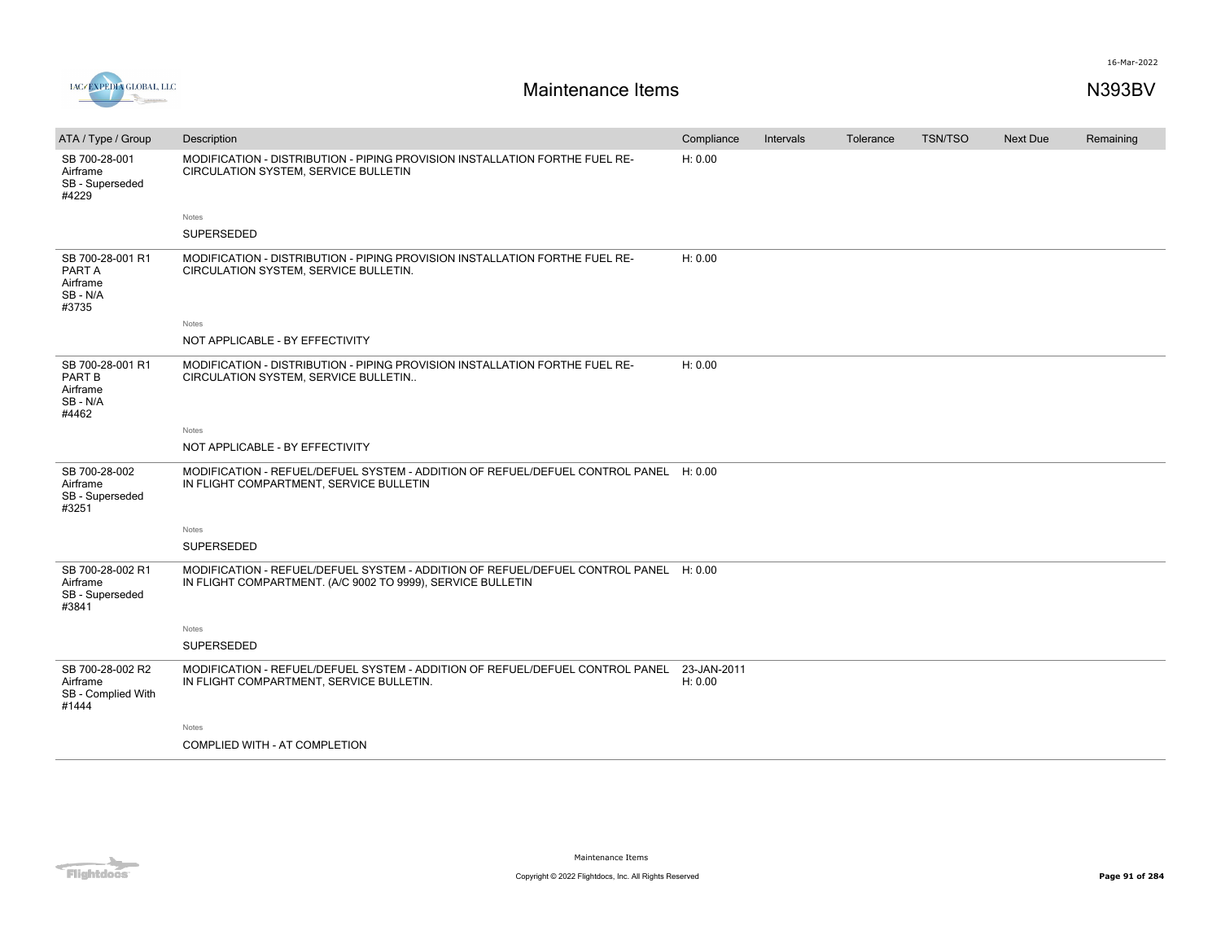

| ATA / Type / Group                                          | Description                                                                                                                                          | Compliance             | Intervals | Tolerance | <b>TSN/TSO</b> | <b>Next Due</b> | Remaining |
|-------------------------------------------------------------|------------------------------------------------------------------------------------------------------------------------------------------------------|------------------------|-----------|-----------|----------------|-----------------|-----------|
| SB 700-28-001<br>Airframe<br>SB - Superseded<br>#4229       | MODIFICATION - DISTRIBUTION - PIPING PROVISION INSTALLATION FORTHE FUEL RE-<br>CIRCULATION SYSTEM, SERVICE BULLETIN                                  | H: 0.00                |           |           |                |                 |           |
|                                                             | Notes                                                                                                                                                |                        |           |           |                |                 |           |
|                                                             | SUPERSEDED                                                                                                                                           |                        |           |           |                |                 |           |
| SB 700-28-001 R1<br>PART A<br>Airframe<br>SB - N/A<br>#3735 | MODIFICATION - DISTRIBUTION - PIPING PROVISION INSTALLATION FORTHE FUEL RE-<br>CIRCULATION SYSTEM, SERVICE BULLETIN.                                 | H: 0.00                |           |           |                |                 |           |
|                                                             | <b>Notes</b>                                                                                                                                         |                        |           |           |                |                 |           |
|                                                             | NOT APPLICABLE - BY EFFECTIVITY                                                                                                                      |                        |           |           |                |                 |           |
| SB 700-28-001 R1<br>PART B<br>Airframe<br>SB - N/A<br>#4462 | MODIFICATION - DISTRIBUTION - PIPING PROVISION INSTALLATION FORTHE FUEL RE-<br>CIRCULATION SYSTEM, SERVICE BULLETIN                                  | H: 0.00                |           |           |                |                 |           |
|                                                             | Notes                                                                                                                                                |                        |           |           |                |                 |           |
|                                                             | NOT APPLICABLE - BY EFFECTIVITY                                                                                                                      |                        |           |           |                |                 |           |
| SB 700-28-002<br>Airframe<br>SB - Superseded<br>#3251       | MODIFICATION - REFUEL/DEFUEL SYSTEM - ADDITION OF REFUEL/DEFUEL CONTROL PANEL H: 0.00<br>IN FLIGHT COMPARTMENT, SERVICE BULLETIN                     |                        |           |           |                |                 |           |
|                                                             | Notes                                                                                                                                                |                        |           |           |                |                 |           |
|                                                             | <b>SUPERSEDED</b>                                                                                                                                    |                        |           |           |                |                 |           |
| SB 700-28-002 R1<br>Airframe<br>SB - Superseded<br>#3841    | MODIFICATION - REFUEL/DEFUEL SYSTEM - ADDITION OF REFUEL/DEFUEL CONTROL PANEL H: 0.00<br>IN FLIGHT COMPARTMENT. (A/C 9002 TO 9999), SERVICE BULLETIN |                        |           |           |                |                 |           |
|                                                             | Notes                                                                                                                                                |                        |           |           |                |                 |           |
|                                                             | <b>SUPERSEDED</b>                                                                                                                                    |                        |           |           |                |                 |           |
| SB 700-28-002 R2<br>Airframe<br>SB - Complied With<br>#1444 | MODIFICATION - REFUEL/DEFUEL SYSTEM - ADDITION OF REFUEL/DEFUEL CONTROL PANEL<br>IN FLIGHT COMPARTMENT, SERVICE BULLETIN.                            | 23-JAN-2011<br>H: 0.00 |           |           |                |                 |           |
|                                                             | Notes                                                                                                                                                |                        |           |           |                |                 |           |
|                                                             | COMPLIED WITH - AT COMPLETION                                                                                                                        |                        |           |           |                |                 |           |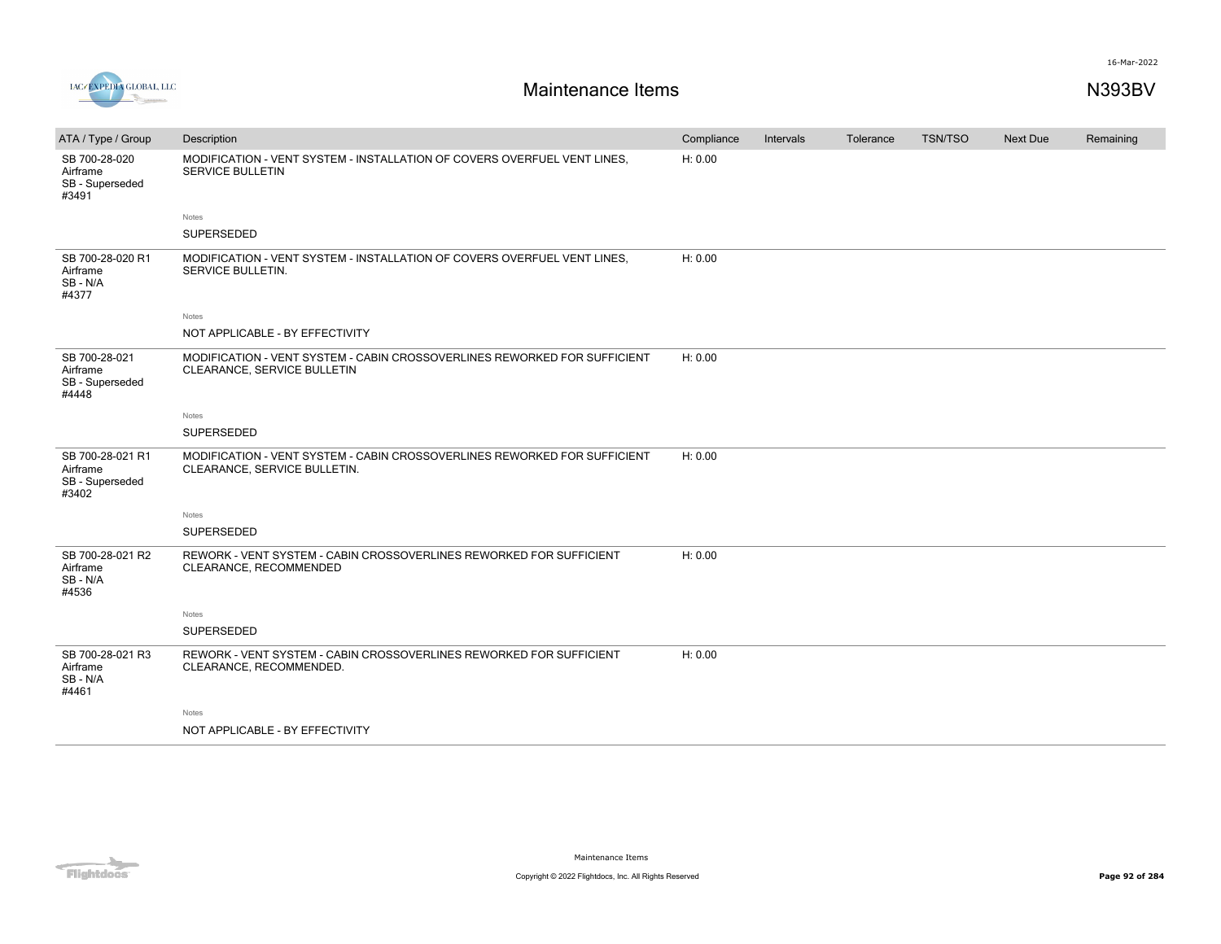

| ATA / Type / Group                                       | Description                                                                                               | Compliance | Intervals | Tolerance | TSN/TSO | Next Due | Remaining |
|----------------------------------------------------------|-----------------------------------------------------------------------------------------------------------|------------|-----------|-----------|---------|----------|-----------|
| SB 700-28-020<br>Airframe<br>SB - Superseded<br>#3491    | MODIFICATION - VENT SYSTEM - INSTALLATION OF COVERS OVERFUEL VENT LINES.<br>SERVICE BULLETIN              | H: 0.00    |           |           |         |          |           |
|                                                          | Notes                                                                                                     |            |           |           |         |          |           |
|                                                          | SUPERSEDED                                                                                                |            |           |           |         |          |           |
| SB 700-28-020 R1<br>Airframe<br>SB-N/A<br>#4377          | MODIFICATION - VENT SYSTEM - INSTALLATION OF COVERS OVERFUEL VENT LINES.<br>SERVICE BULLETIN.             | H: 0.00    |           |           |         |          |           |
|                                                          | Notes                                                                                                     |            |           |           |         |          |           |
|                                                          | NOT APPLICABLE - BY EFFECTIVITY                                                                           |            |           |           |         |          |           |
| SB 700-28-021<br>Airframe<br>SB - Superseded<br>#4448    | MODIFICATION - VENT SYSTEM - CABIN CROSSOVERLINES REWORKED FOR SUFFICIENT<br>CLEARANCE, SERVICE BULLETIN  | H: 0.00    |           |           |         |          |           |
|                                                          | Notes                                                                                                     |            |           |           |         |          |           |
|                                                          | SUPERSEDED                                                                                                |            |           |           |         |          |           |
| SB 700-28-021 R1<br>Airframe<br>SB - Superseded<br>#3402 | MODIFICATION - VENT SYSTEM - CABIN CROSSOVERLINES REWORKED FOR SUFFICIENT<br>CLEARANCE, SERVICE BULLETIN. | H: 0.00    |           |           |         |          |           |
|                                                          | Notes                                                                                                     |            |           |           |         |          |           |
|                                                          | SUPERSEDED                                                                                                |            |           |           |         |          |           |
| SB 700-28-021 R2<br>Airframe<br>SB - N/A<br>#4536        | REWORK - VENT SYSTEM - CABIN CROSSOVERLINES REWORKED FOR SUFFICIENT<br>CLEARANCE, RECOMMENDED             | H: 0.00    |           |           |         |          |           |
|                                                          | Notes                                                                                                     |            |           |           |         |          |           |
|                                                          | SUPERSEDED                                                                                                |            |           |           |         |          |           |
| SB 700-28-021 R3<br>Airframe<br>SB-N/A<br>#4461          | REWORK - VENT SYSTEM - CABIN CROSSOVERLINES REWORKED FOR SUFFICIENT<br>CLEARANCE, RECOMMENDED.            | H: 0.00    |           |           |         |          |           |
|                                                          | Notes                                                                                                     |            |           |           |         |          |           |
|                                                          | NOT APPLICABLE - BY EFFECTIVITY                                                                           |            |           |           |         |          |           |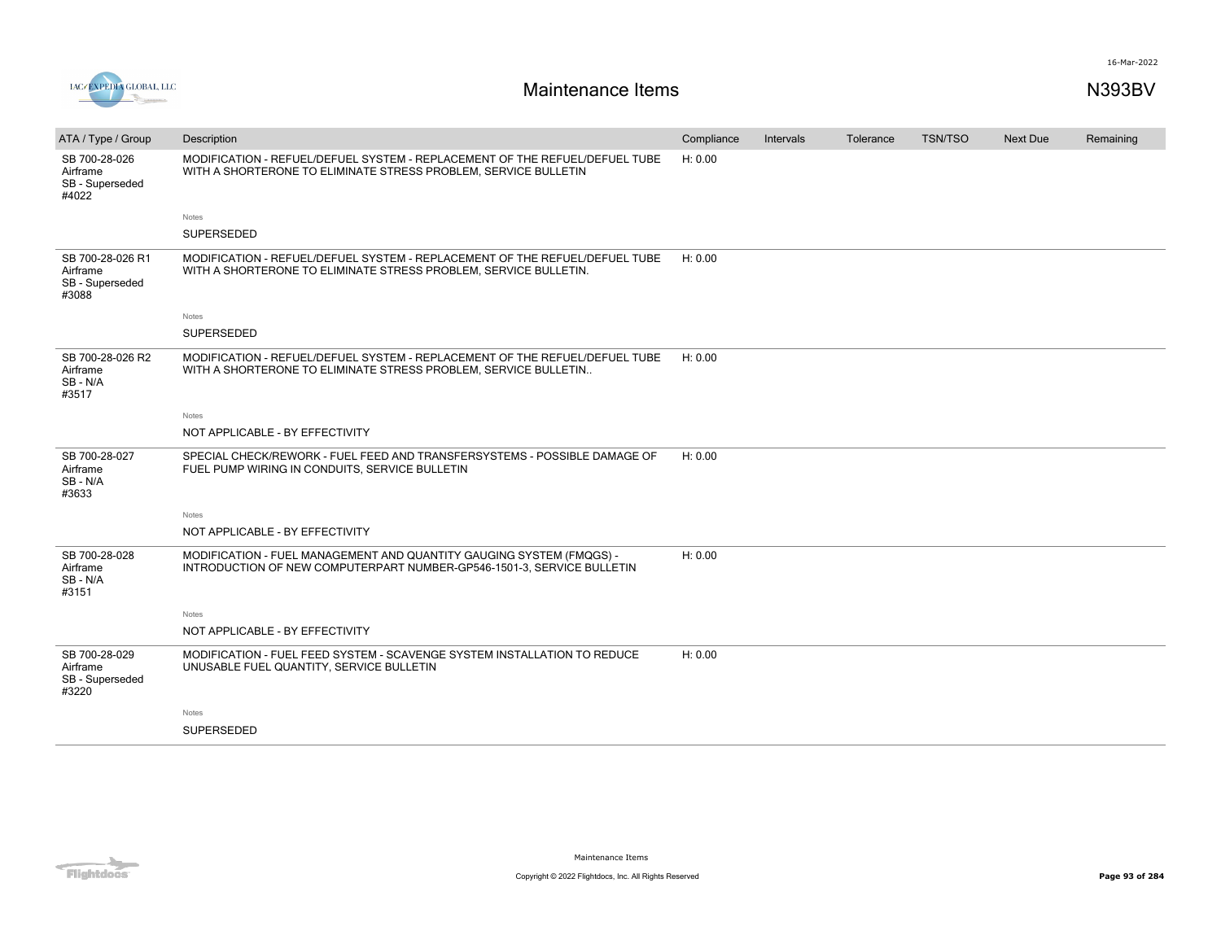



| ATA / Type / Group                                       | Description                                                                                                                                     | Compliance | Intervals | Tolerance | <b>TSN/TSO</b> | <b>Next Due</b> | Remaining |
|----------------------------------------------------------|-------------------------------------------------------------------------------------------------------------------------------------------------|------------|-----------|-----------|----------------|-----------------|-----------|
| SB 700-28-026<br>Airframe<br>SB - Superseded<br>#4022    | MODIFICATION - REFUEL/DEFUEL SYSTEM - REPLACEMENT OF THE REFUEL/DEFUEL TUBE<br>WITH A SHORTERONE TO ELIMINATE STRESS PROBLEM, SERVICE BULLETIN  | H: 0.00    |           |           |                |                 |           |
|                                                          | <b>Notes</b>                                                                                                                                    |            |           |           |                |                 |           |
|                                                          | SUPERSEDED                                                                                                                                      |            |           |           |                |                 |           |
| SB 700-28-026 R1<br>Airframe<br>SB - Superseded<br>#3088 | MODIFICATION - REFUEL/DEFUEL SYSTEM - REPLACEMENT OF THE REFUEL/DEFUEL TUBE<br>WITH A SHORTERONE TO ELIMINATE STRESS PROBLEM, SERVICE BULLETIN. | H: 0.00    |           |           |                |                 |           |
|                                                          | Notes                                                                                                                                           |            |           |           |                |                 |           |
|                                                          | SUPERSEDED                                                                                                                                      |            |           |           |                |                 |           |
| SB 700-28-026 R2<br>Airframe<br>SB-N/A<br>#3517          | MODIFICATION - REFUEL/DEFUEL SYSTEM - REPLACEMENT OF THE REFUEL/DEFUEL TUBE<br>WITH A SHORTERONE TO ELIMINATE STRESS PROBLEM, SERVICE BULLETIN  | H: 0.00    |           |           |                |                 |           |
|                                                          | Notes                                                                                                                                           |            |           |           |                |                 |           |
|                                                          | NOT APPLICABLE - BY EFFECTIVITY                                                                                                                 |            |           |           |                |                 |           |
| SB 700-28-027<br>Airframe<br>SB - N/A<br>#3633           | SPECIAL CHECK/REWORK - FUEL FEED AND TRANSFERSYSTEMS - POSSIBLE DAMAGE OF<br>FUEL PUMP WIRING IN CONDUITS, SERVICE BULLETIN                     | H: 0.00    |           |           |                |                 |           |
|                                                          | Notes                                                                                                                                           |            |           |           |                |                 |           |
|                                                          | NOT APPLICABLE - BY EFFECTIVITY                                                                                                                 |            |           |           |                |                 |           |
| SB 700-28-028<br>Airframe<br>SB-N/A<br>#3151             | MODIFICATION - FUEL MANAGEMENT AND QUANTITY GAUGING SYSTEM (FMQGS) -<br>INTRODUCTION OF NEW COMPUTERPART NUMBER-GP546-1501-3, SERVICE BULLETIN  | H: 0.00    |           |           |                |                 |           |
|                                                          | Notes                                                                                                                                           |            |           |           |                |                 |           |
|                                                          | NOT APPLICABLE - BY EFFECTIVITY                                                                                                                 |            |           |           |                |                 |           |
| SB 700-28-029<br>Airframe<br>SB - Superseded<br>#3220    | MODIFICATION - FUEL FEED SYSTEM - SCAVENGE SYSTEM INSTALLATION TO REDUCE<br>UNUSABLE FUEL QUANTITY, SERVICE BULLETIN                            | H: 0.00    |           |           |                |                 |           |
|                                                          | Notes                                                                                                                                           |            |           |           |                |                 |           |
|                                                          | SUPERSEDED                                                                                                                                      |            |           |           |                |                 |           |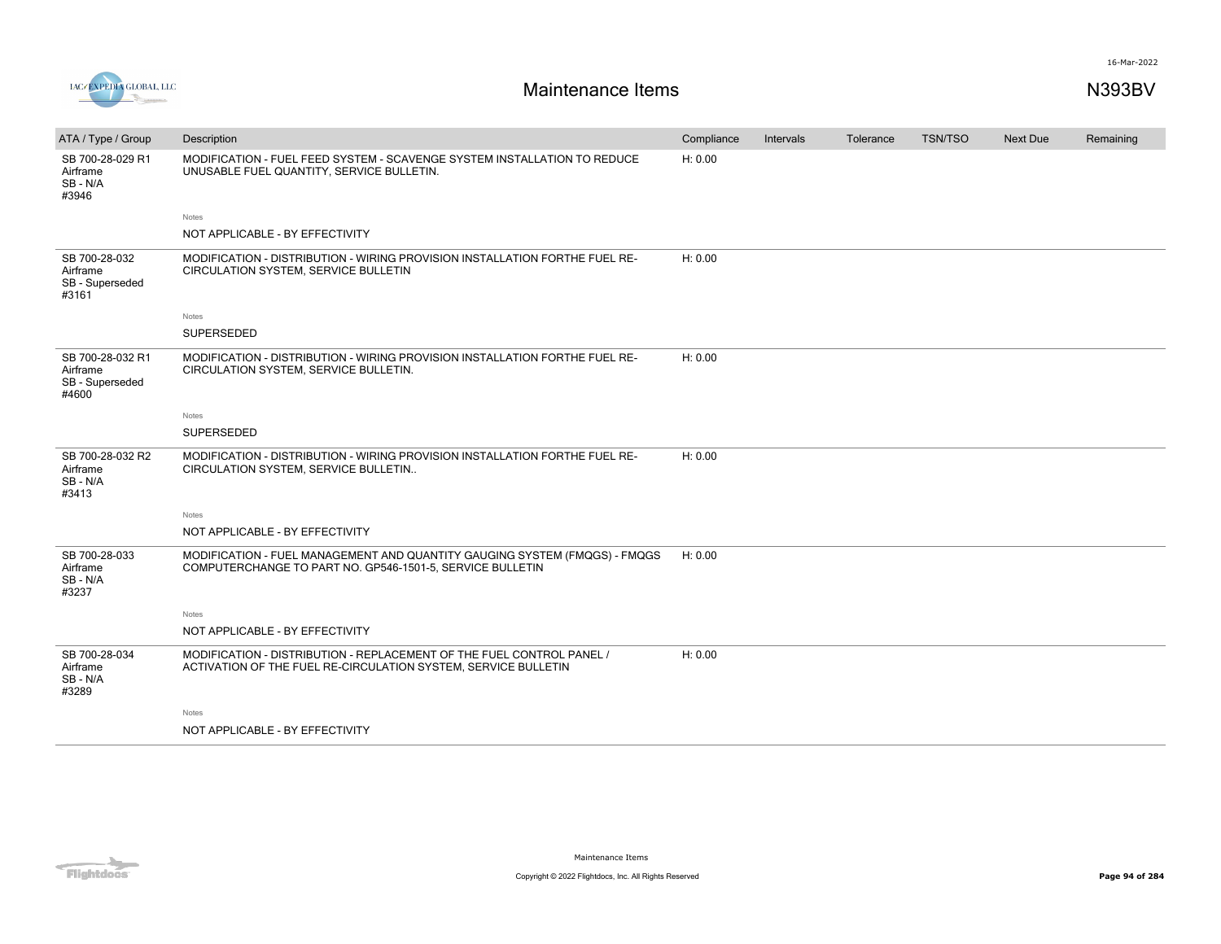



| ATA / Type / Group                                       | Description                                                                                                                             | Compliance | Intervals | Tolerance | <b>TSN/TSO</b> | <b>Next Due</b> | Remaining |
|----------------------------------------------------------|-----------------------------------------------------------------------------------------------------------------------------------------|------------|-----------|-----------|----------------|-----------------|-----------|
| SB 700-28-029 R1<br>Airframe<br>SB-N/A<br>#3946          | MODIFICATION - FUEL FEED SYSTEM - SCAVENGE SYSTEM INSTALLATION TO REDUCE<br>UNUSABLE FUEL QUANTITY, SERVICE BULLETIN.                   | H: 0.00    |           |           |                |                 |           |
|                                                          | <b>Notes</b>                                                                                                                            |            |           |           |                |                 |           |
|                                                          | NOT APPLICABLE - BY EFFECTIVITY                                                                                                         |            |           |           |                |                 |           |
| SB 700-28-032<br>Airframe<br>SB - Superseded<br>#3161    | MODIFICATION - DISTRIBUTION - WIRING PROVISION INSTALLATION FORTHE FUEL RE-<br>CIRCULATION SYSTEM, SERVICE BULLETIN                     | H: 0.00    |           |           |                |                 |           |
|                                                          | Notes                                                                                                                                   |            |           |           |                |                 |           |
|                                                          | SUPERSEDED                                                                                                                              |            |           |           |                |                 |           |
| SB 700-28-032 R1<br>Airframe<br>SB - Superseded<br>#4600 | MODIFICATION - DISTRIBUTION - WIRING PROVISION INSTALLATION FORTHE FUEL RE-<br>CIRCULATION SYSTEM, SERVICE BULLETIN.                    | H: 0.00    |           |           |                |                 |           |
|                                                          | Notes                                                                                                                                   |            |           |           |                |                 |           |
|                                                          | SUPERSEDED                                                                                                                              |            |           |           |                |                 |           |
| SB 700-28-032 R2<br>Airframe<br>SB-N/A<br>#3413          | MODIFICATION - DISTRIBUTION - WIRING PROVISION INSTALLATION FORTHE FUEL RE-<br>CIRCULATION SYSTEM, SERVICE BULLETIN                     | H: 0.00    |           |           |                |                 |           |
|                                                          | <b>Notes</b>                                                                                                                            |            |           |           |                |                 |           |
|                                                          | NOT APPLICABLE - BY EFFECTIVITY                                                                                                         |            |           |           |                |                 |           |
| SB 700-28-033<br>Airframe<br>SB-N/A<br>#3237             | MODIFICATION - FUEL MANAGEMENT AND QUANTITY GAUGING SYSTEM (FMQGS) - FMQGS<br>COMPUTERCHANGE TO PART NO. GP546-1501-5, SERVICE BULLETIN | H: 0.00    |           |           |                |                 |           |
|                                                          | Notes                                                                                                                                   |            |           |           |                |                 |           |
|                                                          | NOT APPLICABLE - BY EFFECTIVITY                                                                                                         |            |           |           |                |                 |           |
| SB 700-28-034<br>Airframe<br>SB-N/A<br>#3289             | MODIFICATION - DISTRIBUTION - REPLACEMENT OF THE FUEL CONTROL PANEL /<br>ACTIVATION OF THE FUEL RE-CIRCULATION SYSTEM, SERVICE BULLETIN | H: 0.00    |           |           |                |                 |           |
|                                                          | Notes                                                                                                                                   |            |           |           |                |                 |           |
|                                                          | NOT APPLICABLE - BY EFFECTIVITY                                                                                                         |            |           |           |                |                 |           |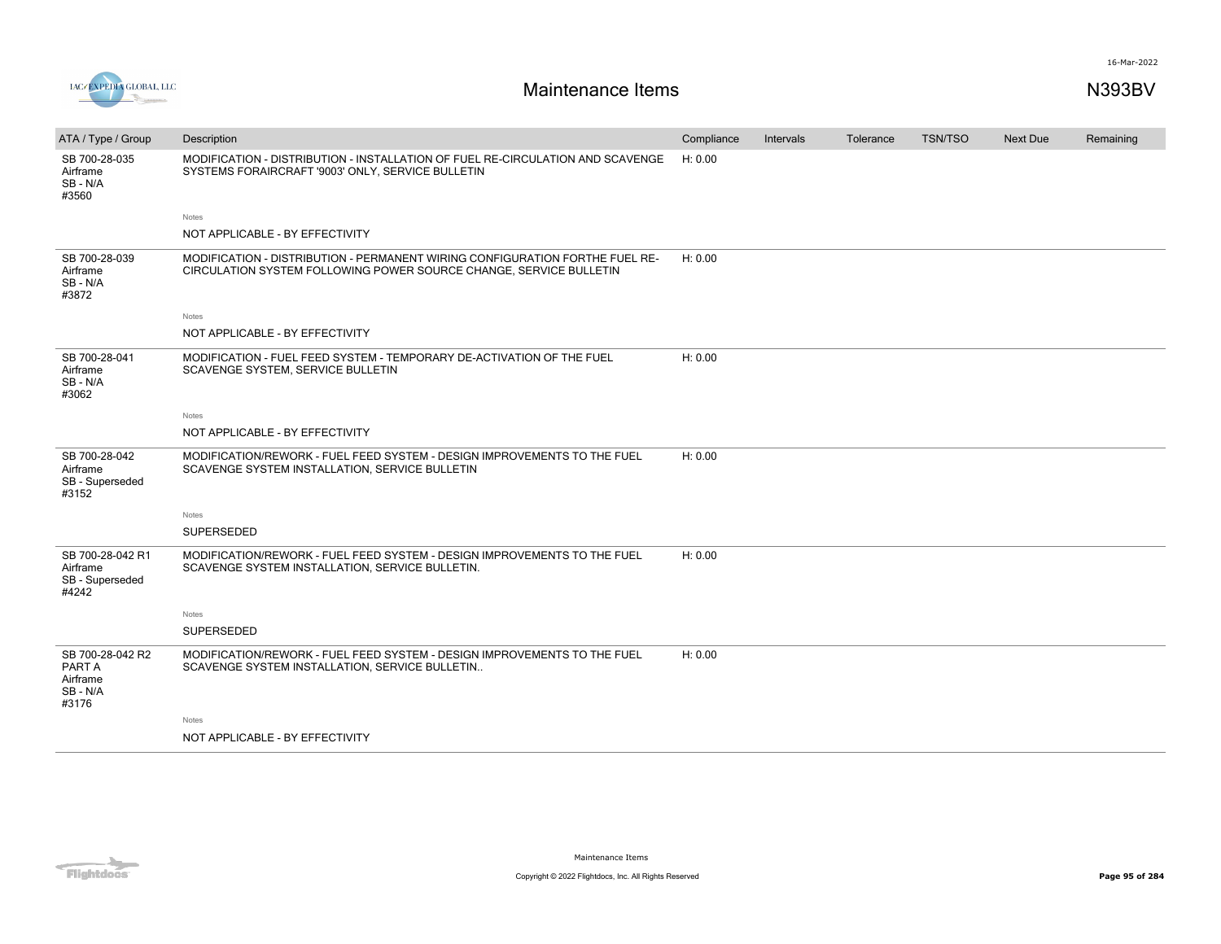

| ATA / Type / Group                                        | Description                                                                                                                                        | Compliance | Intervals | Tolerance | <b>TSN/TSO</b> | Next Due | Remaining |
|-----------------------------------------------------------|----------------------------------------------------------------------------------------------------------------------------------------------------|------------|-----------|-----------|----------------|----------|-----------|
| SB 700-28-035<br>Airframe<br>SB-N/A<br>#3560              | MODIFICATION - DISTRIBUTION - INSTALLATION OF FUEL RE-CIRCULATION AND SCAVENGE<br>SYSTEMS FORAIRCRAFT '9003' ONLY, SERVICE BULLETIN                | H: 0.00    |           |           |                |          |           |
|                                                           | Notes                                                                                                                                              |            |           |           |                |          |           |
|                                                           | NOT APPLICABLE - BY EFFECTIVITY                                                                                                                    |            |           |           |                |          |           |
| SB 700-28-039<br>Airframe<br>SB - N/A<br>#3872            | MODIFICATION - DISTRIBUTION - PERMANENT WIRING CONFIGURATION FORTHE FUEL RE-<br>CIRCULATION SYSTEM FOLLOWING POWER SOURCE CHANGE, SERVICE BULLETIN | H: 0.00    |           |           |                |          |           |
|                                                           | Notes                                                                                                                                              |            |           |           |                |          |           |
|                                                           | NOT APPLICABLE - BY EFFECTIVITY                                                                                                                    |            |           |           |                |          |           |
| SB 700-28-041<br>Airframe<br>SB - N/A<br>#3062            | MODIFICATION - FUEL FEED SYSTEM - TEMPORARY DE-ACTIVATION OF THE FUEL<br>SCAVENGE SYSTEM, SERVICE BULLETIN                                         | H: 0.00    |           |           |                |          |           |
|                                                           | Notes                                                                                                                                              |            |           |           |                |          |           |
|                                                           | NOT APPLICABLE - BY EFFECTIVITY                                                                                                                    |            |           |           |                |          |           |
| SB 700-28-042<br>Airframe<br>SB - Superseded<br>#3152     | MODIFICATION/REWORK - FUEL FEED SYSTEM - DESIGN IMPROVEMENTS TO THE FUEL<br>SCAVENGE SYSTEM INSTALLATION, SERVICE BULLETIN                         | H: 0.00    |           |           |                |          |           |
|                                                           | Notes                                                                                                                                              |            |           |           |                |          |           |
|                                                           | <b>SUPERSEDED</b>                                                                                                                                  |            |           |           |                |          |           |
| SB 700-28-042 R1<br>Airframe<br>SB - Superseded<br>#4242  | MODIFICATION/REWORK - FUEL FEED SYSTEM - DESIGN IMPROVEMENTS TO THE FUEL<br>SCAVENGE SYSTEM INSTALLATION, SERVICE BULLETIN.                        | H: 0.00    |           |           |                |          |           |
|                                                           | Notes                                                                                                                                              |            |           |           |                |          |           |
|                                                           | <b>SUPERSEDED</b>                                                                                                                                  |            |           |           |                |          |           |
| SB 700-28-042 R2<br>PART A<br>Airframe<br>SB-N/A<br>#3176 | MODIFICATION/REWORK - FUEL FEED SYSTEM - DESIGN IMPROVEMENTS TO THE FUEL<br>SCAVENGE SYSTEM INSTALLATION, SERVICE BULLETIN                         | H: 0.00    |           |           |                |          |           |
|                                                           | Notes                                                                                                                                              |            |           |           |                |          |           |
|                                                           | NOT APPLICABLE - BY EFFECTIVITY                                                                                                                    |            |           |           |                |          |           |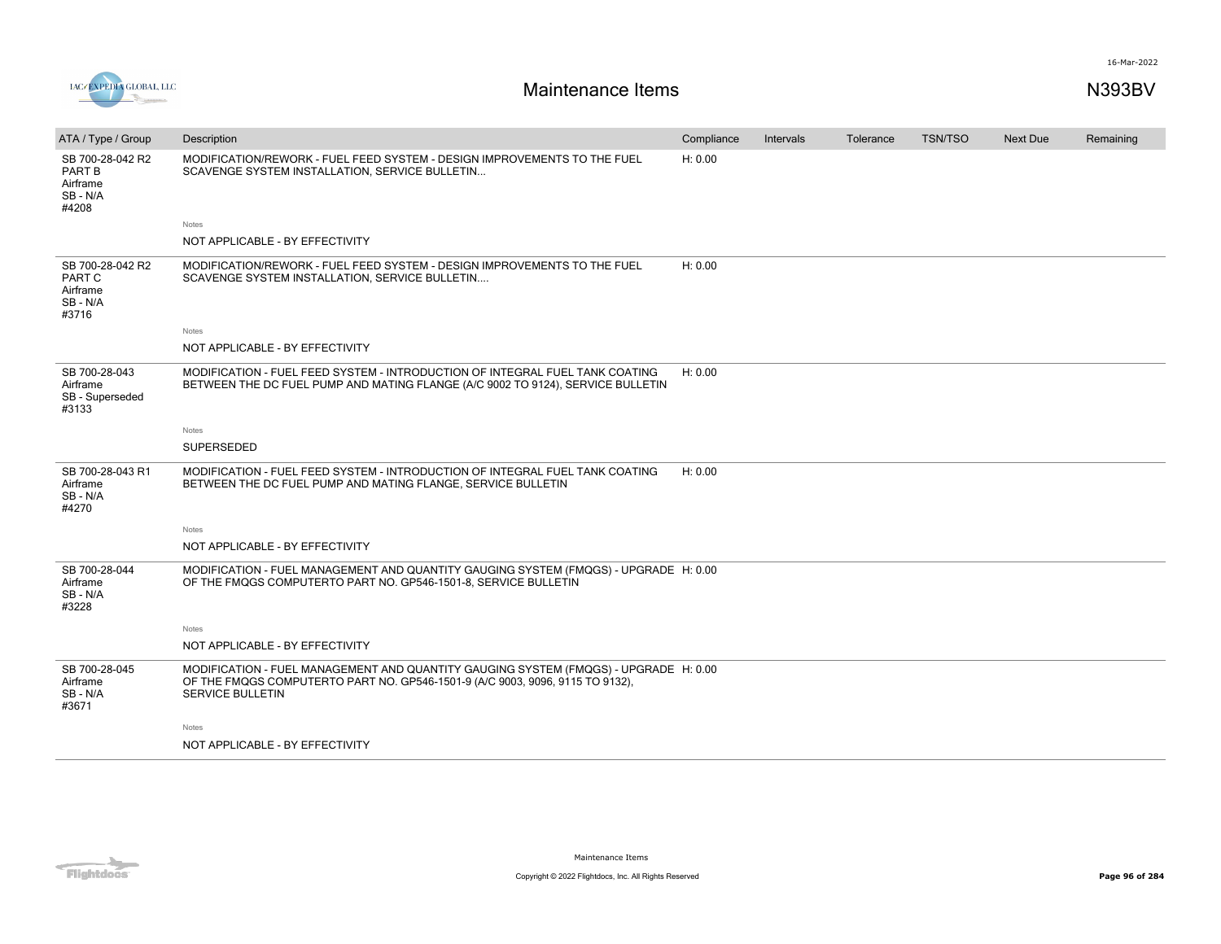

|                                                             |                                                                                                                                                                                                  |            |           |           | <b>TSN/TSO</b> | Next Due |           |
|-------------------------------------------------------------|--------------------------------------------------------------------------------------------------------------------------------------------------------------------------------------------------|------------|-----------|-----------|----------------|----------|-----------|
| ATA / Type / Group                                          | Description                                                                                                                                                                                      | Compliance | Intervals | Tolerance |                |          | Remaining |
| SB 700-28-042 R2<br>PART B<br>Airframe<br>SB - N/A<br>#4208 | MODIFICATION/REWORK - FUEL FEED SYSTEM - DESIGN IMPROVEMENTS TO THE FUEL<br>SCAVENGE SYSTEM INSTALLATION, SERVICE BULLETIN                                                                       | H: 0.00    |           |           |                |          |           |
|                                                             | Notes                                                                                                                                                                                            |            |           |           |                |          |           |
|                                                             | NOT APPLICABLE - BY EFFECTIVITY                                                                                                                                                                  |            |           |           |                |          |           |
| SB 700-28-042 R2<br>PART C<br>Airframe<br>SB-N/A<br>#3716   | MODIFICATION/REWORK - FUEL FEED SYSTEM - DESIGN IMPROVEMENTS TO THE FUEL<br>SCAVENGE SYSTEM INSTALLATION, SERVICE BULLETIN                                                                       | H: 0.00    |           |           |                |          |           |
|                                                             | Notes                                                                                                                                                                                            |            |           |           |                |          |           |
|                                                             | NOT APPLICABLE - BY EFFECTIVITY                                                                                                                                                                  |            |           |           |                |          |           |
| SB 700-28-043<br>Airframe<br>SB - Superseded<br>#3133       | MODIFICATION - FUEL FEED SYSTEM - INTRODUCTION OF INTEGRAL FUEL TANK COATING<br>BETWEEN THE DC FUEL PUMP AND MATING FLANGE (A/C 9002 TO 9124), SERVICE BULLETIN                                  | H: 0.00    |           |           |                |          |           |
|                                                             | Notes                                                                                                                                                                                            |            |           |           |                |          |           |
|                                                             | <b>SUPERSEDED</b>                                                                                                                                                                                |            |           |           |                |          |           |
| SB 700-28-043 R1<br>Airframe<br>SB-N/A<br>#4270             | MODIFICATION - FUEL FEED SYSTEM - INTRODUCTION OF INTEGRAL FUEL TANK COATING<br>BETWEEN THE DC FUEL PUMP AND MATING FLANGE, SERVICE BULLETIN                                                     | H: 0.00    |           |           |                |          |           |
|                                                             | Notes                                                                                                                                                                                            |            |           |           |                |          |           |
|                                                             | NOT APPLICABLE - BY EFFECTIVITY                                                                                                                                                                  |            |           |           |                |          |           |
| SB 700-28-044<br>Airframe<br>SB - N/A<br>#3228              | MODIFICATION - FUEL MANAGEMENT AND QUANTITY GAUGING SYSTEM (FMQGS) - UPGRADE H: 0.00<br>OF THE FMQGS COMPUTERTO PART NO. GP546-1501-8, SERVICE BULLETIN                                          |            |           |           |                |          |           |
|                                                             | Notes                                                                                                                                                                                            |            |           |           |                |          |           |
|                                                             | NOT APPLICABLE - BY EFFECTIVITY                                                                                                                                                                  |            |           |           |                |          |           |
| SB 700-28-045<br>Airframe<br>SB - N/A<br>#3671              | MODIFICATION - FUEL MANAGEMENT AND QUANTITY GAUGING SYSTEM (FMQGS) - UPGRADE H: 0.00<br>OF THE FMQGS COMPUTERTO PART NO. GP546-1501-9 (A/C 9003, 9096, 9115 TO 9132),<br><b>SERVICE BULLETIN</b> |            |           |           |                |          |           |
|                                                             | Notes                                                                                                                                                                                            |            |           |           |                |          |           |
|                                                             | NOT APPLICABLE - BY EFFECTIVITY                                                                                                                                                                  |            |           |           |                |          |           |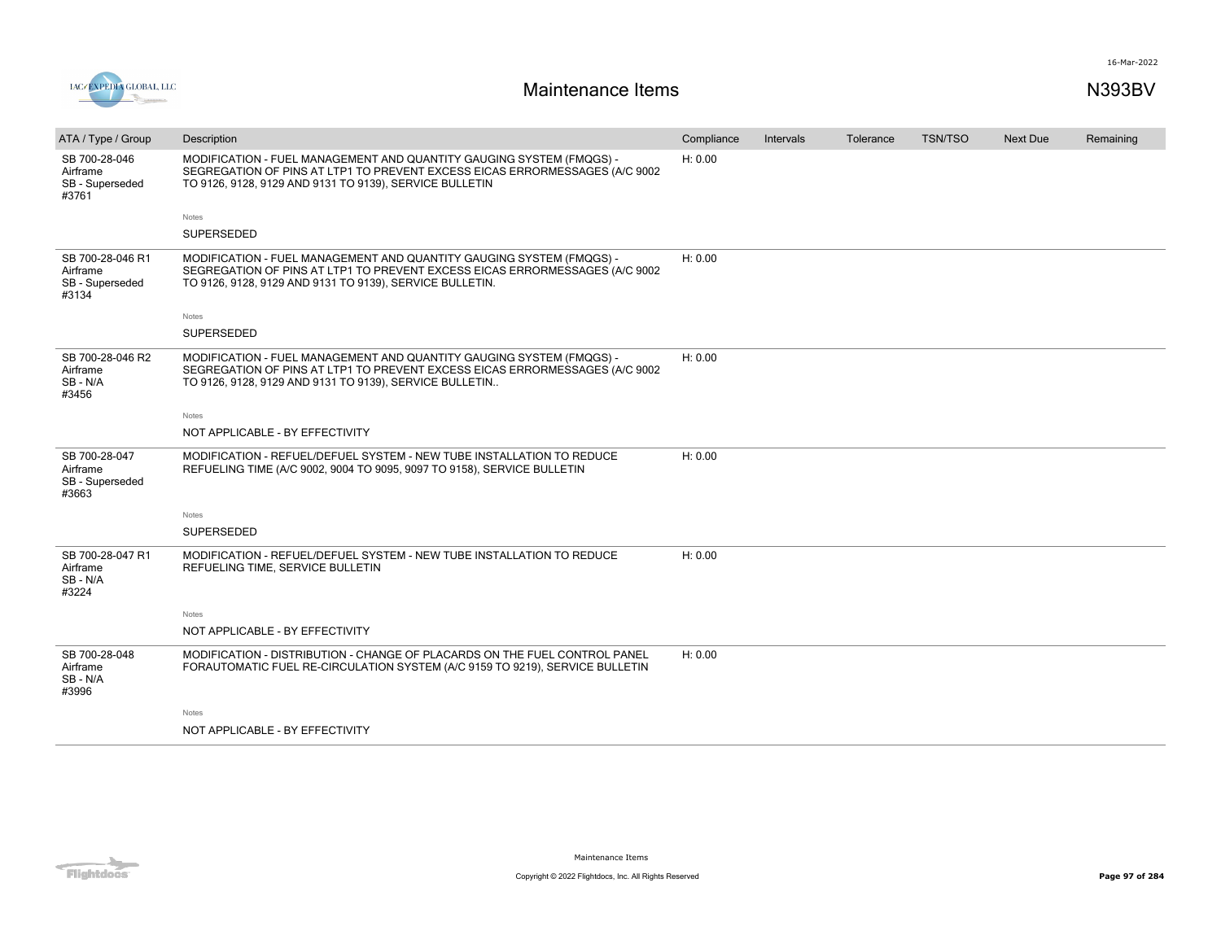



| ATA / Type / Group                                       | Description                                                                                                                                                                                                     | Compliance | Intervals | Tolerance | <b>TSN/TSO</b> | Next Due | Remaining |
|----------------------------------------------------------|-----------------------------------------------------------------------------------------------------------------------------------------------------------------------------------------------------------------|------------|-----------|-----------|----------------|----------|-----------|
| SB 700-28-046<br>Airframe<br>SB - Superseded<br>#3761    | MODIFICATION - FUEL MANAGEMENT AND QUANTITY GAUGING SYSTEM (FMQGS) -<br>SEGREGATION OF PINS AT LTP1 TO PREVENT EXCESS EICAS ERRORMESSAGES (A/C 9002<br>TO 9126, 9128, 9129 AND 9131 TO 9139), SERVICE BULLETIN  | H: 0.00    |           |           |                |          |           |
|                                                          | Notes                                                                                                                                                                                                           |            |           |           |                |          |           |
|                                                          | SUPERSEDED                                                                                                                                                                                                      |            |           |           |                |          |           |
| SB 700-28-046 R1<br>Airframe<br>SB - Superseded<br>#3134 | MODIFICATION - FUEL MANAGEMENT AND QUANTITY GAUGING SYSTEM (FMQGS) -<br>SEGREGATION OF PINS AT LTP1 TO PREVENT EXCESS EICAS ERRORMESSAGES (A/C 9002<br>TO 9126, 9128, 9129 AND 9131 TO 9139), SERVICE BULLETIN. | H: 0.00    |           |           |                |          |           |
|                                                          | Notes                                                                                                                                                                                                           |            |           |           |                |          |           |
|                                                          | <b>SUPERSEDED</b>                                                                                                                                                                                               |            |           |           |                |          |           |
| SB 700-28-046 R2<br>Airframe<br>SB-N/A<br>#3456          | MODIFICATION - FUEL MANAGEMENT AND QUANTITY GAUGING SYSTEM (FMQGS) -<br>SEGREGATION OF PINS AT LTP1 TO PREVENT EXCESS EICAS ERRORMESSAGES (A/C 9002<br>TO 9126, 9128, 9129 AND 9131 TO 9139), SERVICE BULLETIN  | H: 0.00    |           |           |                |          |           |
|                                                          | Notes                                                                                                                                                                                                           |            |           |           |                |          |           |
|                                                          | NOT APPLICABLE - BY EFFECTIVITY                                                                                                                                                                                 |            |           |           |                |          |           |
| SB 700-28-047<br>Airframe<br>SB - Superseded<br>#3663    | MODIFICATION - REFUEL/DEFUEL SYSTEM - NEW TUBE INSTALLATION TO REDUCE<br>REFUELING TIME (A/C 9002, 9004 TO 9095, 9097 TO 9158), SERVICE BULLETIN                                                                | H: 0.00    |           |           |                |          |           |
|                                                          | Notes                                                                                                                                                                                                           |            |           |           |                |          |           |
|                                                          | <b>SUPERSEDED</b>                                                                                                                                                                                               |            |           |           |                |          |           |
| SB 700-28-047 R1<br>Airframe<br>SB-N/A<br>#3224          | MODIFICATION - REFUEL/DEFUEL SYSTEM - NEW TUBE INSTALLATION TO REDUCE<br>REFUELING TIME, SERVICE BULLETIN                                                                                                       | H: 0.00    |           |           |                |          |           |
|                                                          | Notes                                                                                                                                                                                                           |            |           |           |                |          |           |
|                                                          | NOT APPLICABLE - BY EFFECTIVITY                                                                                                                                                                                 |            |           |           |                |          |           |
| SB 700-28-048<br>Airframe<br>SB-N/A<br>#3996             | MODIFICATION - DISTRIBUTION - CHANGE OF PLACARDS ON THE FUEL CONTROL PANEL<br>FORAUTOMATIC FUEL RE-CIRCULATION SYSTEM (A/C 9159 TO 9219), SERVICE BULLETIN                                                      | H: 0.00    |           |           |                |          |           |
|                                                          | Notes                                                                                                                                                                                                           |            |           |           |                |          |           |
|                                                          | NOT APPLICABLE - BY EFFECTIVITY                                                                                                                                                                                 |            |           |           |                |          |           |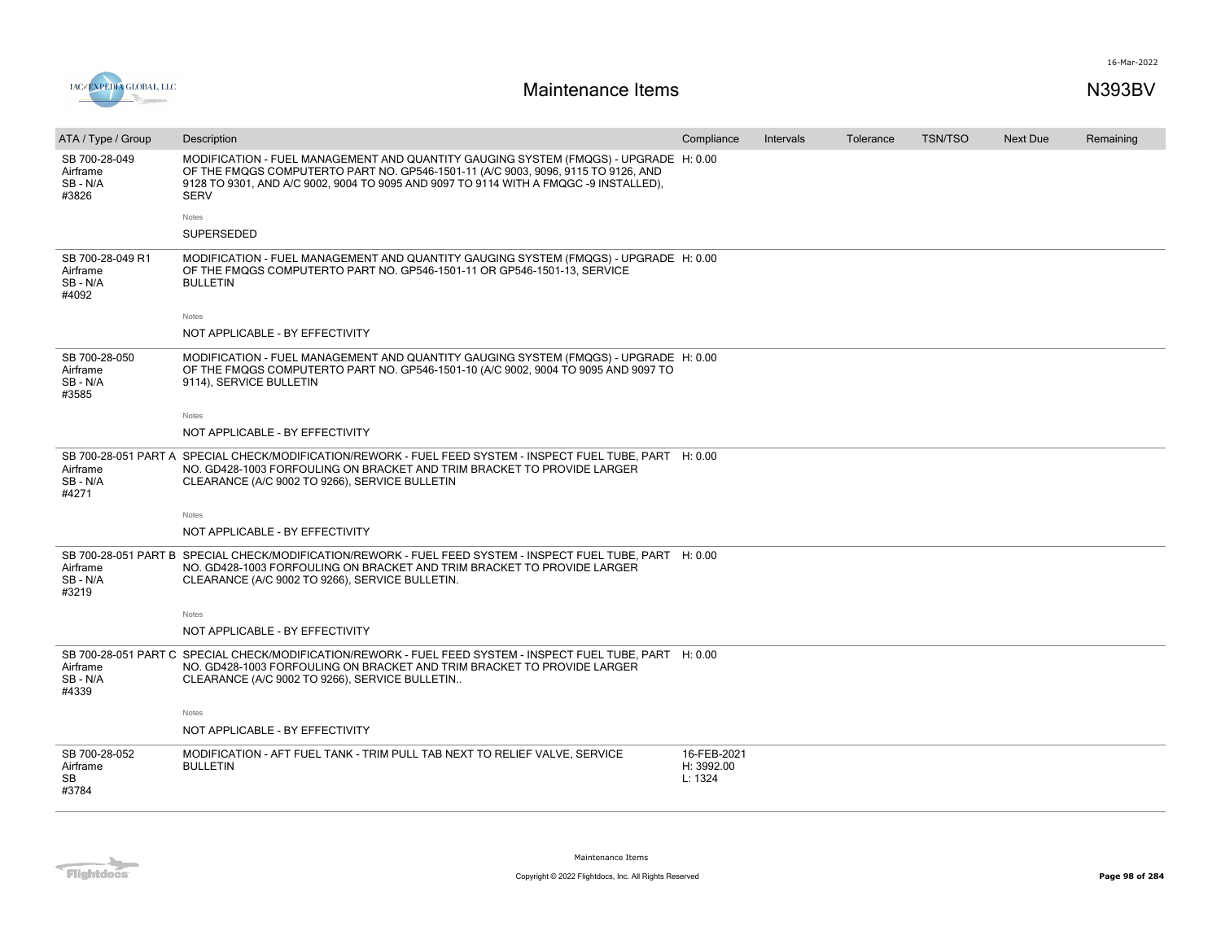

| ATA / Type / Group                              | Description                                                                                                                                                                                                                                                                       | Compliance                           | Intervals | Tolerance | <b>TSN/TSO</b> | <b>Next Due</b> | Remaining |
|-------------------------------------------------|-----------------------------------------------------------------------------------------------------------------------------------------------------------------------------------------------------------------------------------------------------------------------------------|--------------------------------------|-----------|-----------|----------------|-----------------|-----------|
| SB 700-28-049<br>Airframe<br>SB-N/A<br>#3826    | MODIFICATION - FUEL MANAGEMENT AND QUANTITY GAUGING SYSTEM (FMQGS) - UPGRADE H: 0.00<br>OF THE FMQGS COMPUTERTO PART NO. GP546-1501-11 (A/C 9003, 9096, 9115 TO 9126, AND<br>9128 TO 9301, AND A/C 9002, 9004 TO 9095 AND 9097 TO 9114 WITH A FMQGC -9 INSTALLED),<br><b>SERV</b> |                                      |           |           |                |                 |           |
|                                                 | Notes                                                                                                                                                                                                                                                                             |                                      |           |           |                |                 |           |
|                                                 | <b>SUPERSEDED</b>                                                                                                                                                                                                                                                                 |                                      |           |           |                |                 |           |
| SB 700-28-049 R1<br>Airframe<br>SB-N/A<br>#4092 | MODIFICATION - FUEL MANAGEMENT AND QUANTITY GAUGING SYSTEM (FMQGS) - UPGRADE H: 0.00<br>OF THE FMQGS COMPUTERTO PART NO. GP546-1501-11 OR GP546-1501-13, SERVICE<br><b>BULLETIN</b>                                                                                               |                                      |           |           |                |                 |           |
|                                                 | Notes                                                                                                                                                                                                                                                                             |                                      |           |           |                |                 |           |
|                                                 | NOT APPLICABLE - BY EFFECTIVITY                                                                                                                                                                                                                                                   |                                      |           |           |                |                 |           |
| SB 700-28-050<br>Airframe<br>SB-N/A<br>#3585    | MODIFICATION - FUEL MANAGEMENT AND QUANTITY GAUGING SYSTEM (FMQGS) - UPGRADE H: 0.00<br>OF THE FMQGS COMPUTERTO PART NO. GP546-1501-10 (A/C 9002, 9004 TO 9095 AND 9097 TO<br>9114), SERVICE BULLETIN                                                                             |                                      |           |           |                |                 |           |
|                                                 | Notes                                                                                                                                                                                                                                                                             |                                      |           |           |                |                 |           |
|                                                 | NOT APPLICABLE - BY EFFECTIVITY                                                                                                                                                                                                                                                   |                                      |           |           |                |                 |           |
| Airframe<br>SB-N/A<br>#4271                     | SB 700-28-051 PART A SPECIAL CHECK/MODIFICATION/REWORK - FUEL FEED SYSTEM - INSPECT FUEL TUBE, PART H: 0.00<br>NO. GD428-1003 FORFOULING ON BRACKET AND TRIM BRACKET TO PROVIDE LARGER<br>CLEARANCE (A/C 9002 TO 9266), SERVICE BULLETIN                                          |                                      |           |           |                |                 |           |
|                                                 | Notes                                                                                                                                                                                                                                                                             |                                      |           |           |                |                 |           |
|                                                 | NOT APPLICABLE - BY EFFECTIVITY                                                                                                                                                                                                                                                   |                                      |           |           |                |                 |           |
| Airframe<br>SB-N/A<br>#3219                     | SB 700-28-051 PART B SPECIAL CHECK/MODIFICATION/REWORK - FUEL FEED SYSTEM - INSPECT FUEL TUBE, PART H: 0.00<br>NO. GD428-1003 FORFOULING ON BRACKET AND TRIM BRACKET TO PROVIDE LARGER<br>CLEARANCE (A/C 9002 TO 9266), SERVICE BULLETIN.                                         |                                      |           |           |                |                 |           |
|                                                 | Notes                                                                                                                                                                                                                                                                             |                                      |           |           |                |                 |           |
|                                                 | NOT APPLICABLE - BY EFFECTIVITY                                                                                                                                                                                                                                                   |                                      |           |           |                |                 |           |
| Airframe<br>SB-N/A<br>#4339                     | SB 700-28-051 PART C SPECIAL CHECK/MODIFICATION/REWORK - FUEL FEED SYSTEM - INSPECT FUEL TUBE, PART H: 0.00<br>NO. GD428-1003 FORFOULING ON BRACKET AND TRIM BRACKET TO PROVIDE LARGER<br>CLEARANCE (A/C 9002 TO 9266), SERVICE BULLETIN                                          |                                      |           |           |                |                 |           |
|                                                 | Notes                                                                                                                                                                                                                                                                             |                                      |           |           |                |                 |           |
|                                                 | NOT APPLICABLE - BY EFFECTIVITY                                                                                                                                                                                                                                                   |                                      |           |           |                |                 |           |
| SB 700-28-052<br>Airframe<br>SB<br>#3784        | MODIFICATION - AFT FUEL TANK - TRIM PULL TAB NEXT TO RELIEF VALVE, SERVICE<br><b>BULLETIN</b>                                                                                                                                                                                     | 16-FEB-2021<br>H: 3992.00<br>L: 1324 |           |           |                |                 |           |

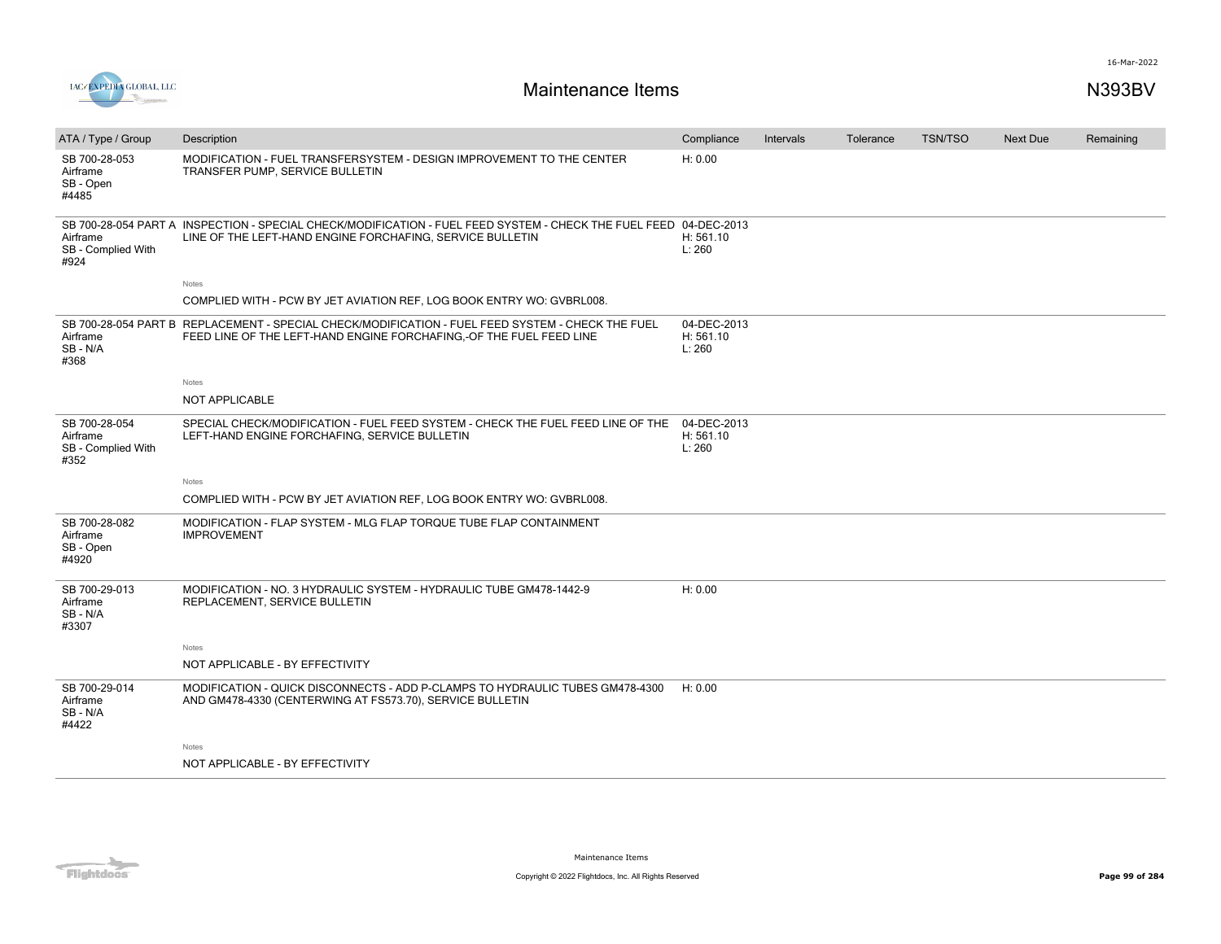

|                                                         |                                                                                                                                                                                |                                    |           | Tolerance | <b>TSN/TSO</b> | Next Due |           |
|---------------------------------------------------------|--------------------------------------------------------------------------------------------------------------------------------------------------------------------------------|------------------------------------|-----------|-----------|----------------|----------|-----------|
| ATA / Type / Group                                      | Description                                                                                                                                                                    | Compliance                         | Intervals |           |                |          | Remaining |
| SB 700-28-053<br>Airframe<br>SB - Open<br>#4485         | MODIFICATION - FUEL TRANSFERSYSTEM - DESIGN IMPROVEMENT TO THE CENTER<br>TRANSFER PUMP, SERVICE BULLETIN                                                                       | H: 0.00                            |           |           |                |          |           |
| Airframe<br>SB - Complied With<br>#924                  | SB 700-28-054 PART A INSPECTION - SPECIAL CHECK/MODIFICATION - FUEL FEED SYSTEM - CHECK THE FUEL FEED 04-DEC-2013<br>LINE OF THE LEFT-HAND ENGINE FORCHAFING, SERVICE BULLETIN | H: 561.10<br>L: 260                |           |           |                |          |           |
|                                                         | Notes                                                                                                                                                                          |                                    |           |           |                |          |           |
|                                                         | COMPLIED WITH - PCW BY JET AVIATION REF, LOG BOOK ENTRY WO: GVBRL008.                                                                                                          |                                    |           |           |                |          |           |
| Airframe<br>SB-N/A<br>#368                              | SB 700-28-054 PART B REPLACEMENT - SPECIAL CHECK/MODIFICATION - FUEL FEED SYSTEM - CHECK THE FUEL<br>FEED LINE OF THE LEFT-HAND ENGINE FORCHAFING, OF THE FUEL FEED LINE       | 04-DEC-2013<br>H: 561.10<br>L: 260 |           |           |                |          |           |
|                                                         | Notes                                                                                                                                                                          |                                    |           |           |                |          |           |
|                                                         | <b>NOT APPLICABLE</b>                                                                                                                                                          |                                    |           |           |                |          |           |
| SB 700-28-054<br>Airframe<br>SB - Complied With<br>#352 | SPECIAL CHECK/MODIFICATION - FUEL FEED SYSTEM - CHECK THE FUEL FEED LINE OF THE<br>LEFT-HAND ENGINE FORCHAFING, SERVICE BULLETIN                                               | 04-DEC-2013<br>H: 561.10<br>L: 260 |           |           |                |          |           |
|                                                         | Notes                                                                                                                                                                          |                                    |           |           |                |          |           |
|                                                         | COMPLIED WITH - PCW BY JET AVIATION REF, LOG BOOK ENTRY WO: GVBRL008.                                                                                                          |                                    |           |           |                |          |           |
| SB 700-28-082<br>Airframe<br>SB - Open<br>#4920         | MODIFICATION - FLAP SYSTEM - MLG FLAP TORQUE TUBE FLAP CONTAINMENT<br><b>IMPROVEMENT</b>                                                                                       |                                    |           |           |                |          |           |
| SB 700-29-013<br>Airframe<br>SB-N/A<br>#3307            | MODIFICATION - NO. 3 HYDRAULIC SYSTEM - HYDRAULIC TUBE GM478-1442-9<br>REPLACEMENT, SERVICE BULLETIN                                                                           | H: 0.00                            |           |           |                |          |           |
|                                                         | Notes                                                                                                                                                                          |                                    |           |           |                |          |           |
|                                                         | NOT APPLICABLE - BY EFFECTIVITY                                                                                                                                                |                                    |           |           |                |          |           |
| SB 700-29-014<br>Airframe<br>SB - N/A<br>#4422          | MODIFICATION - QUICK DISCONNECTS - ADD P-CLAMPS TO HYDRAULIC TUBES GM478-4300<br>AND GM478-4330 (CENTERWING AT FS573.70), SERVICE BULLETIN                                     | H: 0.00                            |           |           |                |          |           |
|                                                         | Notes                                                                                                                                                                          |                                    |           |           |                |          |           |
|                                                         | NOT APPLICABLE - BY EFFECTIVITY                                                                                                                                                |                                    |           |           |                |          |           |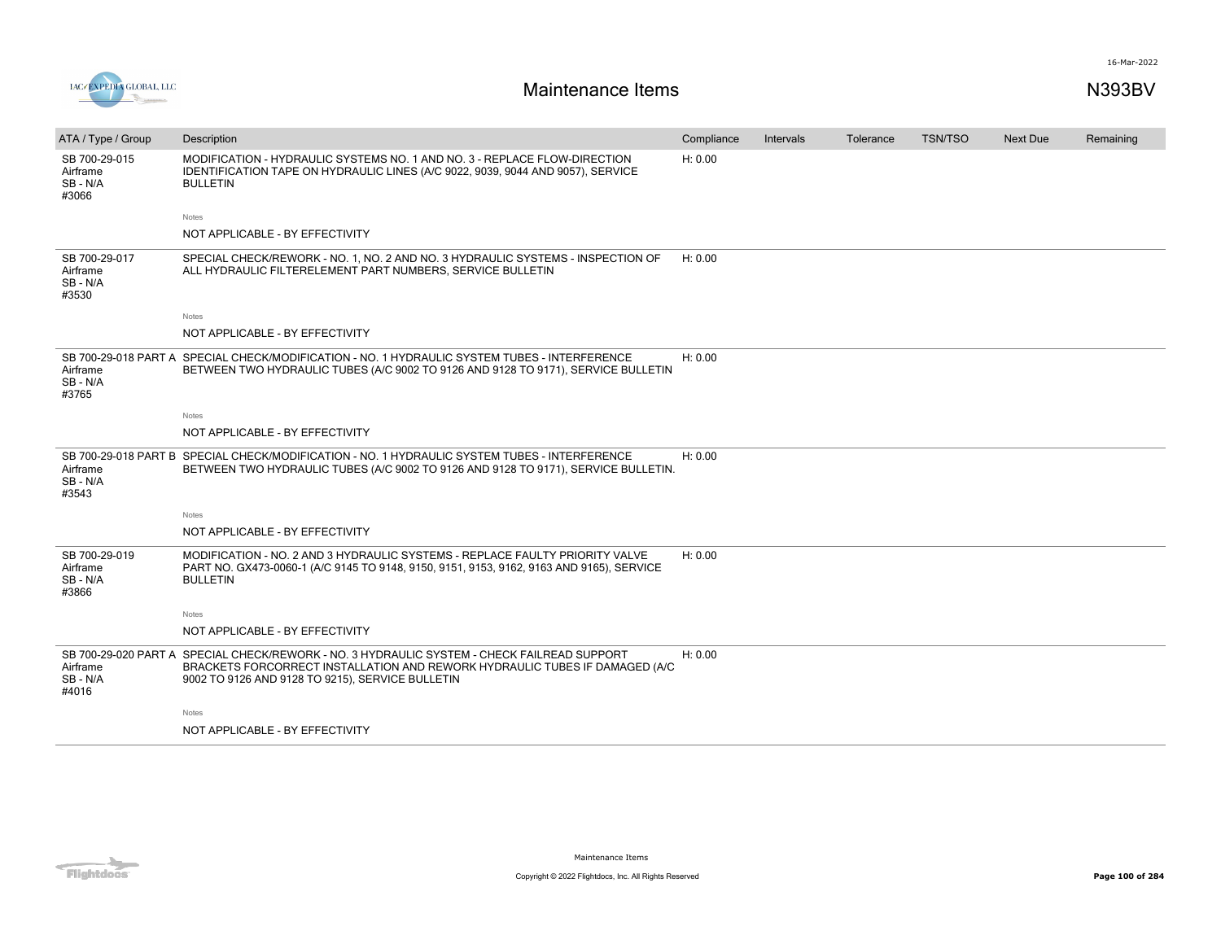

| ATA / Type / Group                             | Description                                                                                                                                                                                                                    | Compliance | Intervals | Tolerance | <b>TSN/TSO</b> | <b>Next Due</b> | Remaining |
|------------------------------------------------|--------------------------------------------------------------------------------------------------------------------------------------------------------------------------------------------------------------------------------|------------|-----------|-----------|----------------|-----------------|-----------|
| SB 700-29-015<br>Airframe<br>SB - N/A<br>#3066 | MODIFICATION - HYDRAULIC SYSTEMS NO. 1 AND NO. 3 - REPLACE FLOW-DIRECTION<br>IDENTIFICATION TAPE ON HYDRAULIC LINES (A/C 9022, 9039, 9044 AND 9057), SERVICE<br><b>BULLETIN</b>                                                | H: 0.00    |           |           |                |                 |           |
|                                                | Notes                                                                                                                                                                                                                          |            |           |           |                |                 |           |
|                                                | NOT APPLICABLE - BY EFFECTIVITY                                                                                                                                                                                                |            |           |           |                |                 |           |
| SB 700-29-017<br>Airframe<br>SB - N/A<br>#3530 | SPECIAL CHECK/REWORK - NO. 1, NO. 2 AND NO. 3 HYDRAULIC SYSTEMS - INSPECTION OF<br>ALL HYDRAULIC FILTERELEMENT PART NUMBERS, SERVICE BULLETIN                                                                                  | H: 0.00    |           |           |                |                 |           |
|                                                | Notes                                                                                                                                                                                                                          |            |           |           |                |                 |           |
|                                                | NOT APPLICABLE - BY EFFECTIVITY                                                                                                                                                                                                |            |           |           |                |                 |           |
| Airframe<br>SB - N/A<br>#3765                  | SB 700-29-018 PART A SPECIAL CHECK/MODIFICATION - NO. 1 HYDRAULIC SYSTEM TUBES - INTERFERENCE<br>BETWEEN TWO HYDRAULIC TUBES (A/C 9002 TO 9126 AND 9128 TO 9171), SERVICE BULLETIN                                             | H: 0.00    |           |           |                |                 |           |
|                                                | <b>Notes</b>                                                                                                                                                                                                                   |            |           |           |                |                 |           |
|                                                | NOT APPLICABLE - BY EFFECTIVITY                                                                                                                                                                                                |            |           |           |                |                 |           |
| Airframe<br>SB-N/A<br>#3543                    | SB 700-29-018 PART B SPECIAL CHECK/MODIFICATION - NO. 1 HYDRAULIC SYSTEM TUBES - INTERFERENCE<br>BETWEEN TWO HYDRAULIC TUBES (A/C 9002 TO 9126 AND 9128 TO 9171), SERVICE BULLETIN.                                            | H: 0.00    |           |           |                |                 |           |
|                                                | Notes                                                                                                                                                                                                                          |            |           |           |                |                 |           |
|                                                | NOT APPLICABLE - BY EFFECTIVITY                                                                                                                                                                                                |            |           |           |                |                 |           |
| SB 700-29-019<br>Airframe<br>SB - N/A<br>#3866 | MODIFICATION - NO. 2 AND 3 HYDRAULIC SYSTEMS - REPLACE FAULTY PRIORITY VALVE<br>PART NO. GX473-0060-1 (A/C 9145 TO 9148, 9150, 9151, 9153, 9162, 9163 AND 9165), SERVICE<br><b>BULLETIN</b>                                    | H: 0.00    |           |           |                |                 |           |
|                                                | Notes                                                                                                                                                                                                                          |            |           |           |                |                 |           |
|                                                | NOT APPLICABLE - BY EFFECTIVITY                                                                                                                                                                                                |            |           |           |                |                 |           |
| Airframe<br>SB - N/A<br>#4016                  | SB 700-29-020 PART A SPECIAL CHECK/REWORK - NO. 3 HYDRAULIC SYSTEM - CHECK FAILREAD SUPPORT<br>BRACKETS FORCORRECT INSTALLATION AND REWORK HYDRAULIC TUBES IF DAMAGED (A/C<br>9002 TO 9126 AND 9128 TO 9215), SERVICE BULLETIN | H: 0.00    |           |           |                |                 |           |
|                                                | Notes                                                                                                                                                                                                                          |            |           |           |                |                 |           |
|                                                | NOT APPLICABLE - BY EFFECTIVITY                                                                                                                                                                                                |            |           |           |                |                 |           |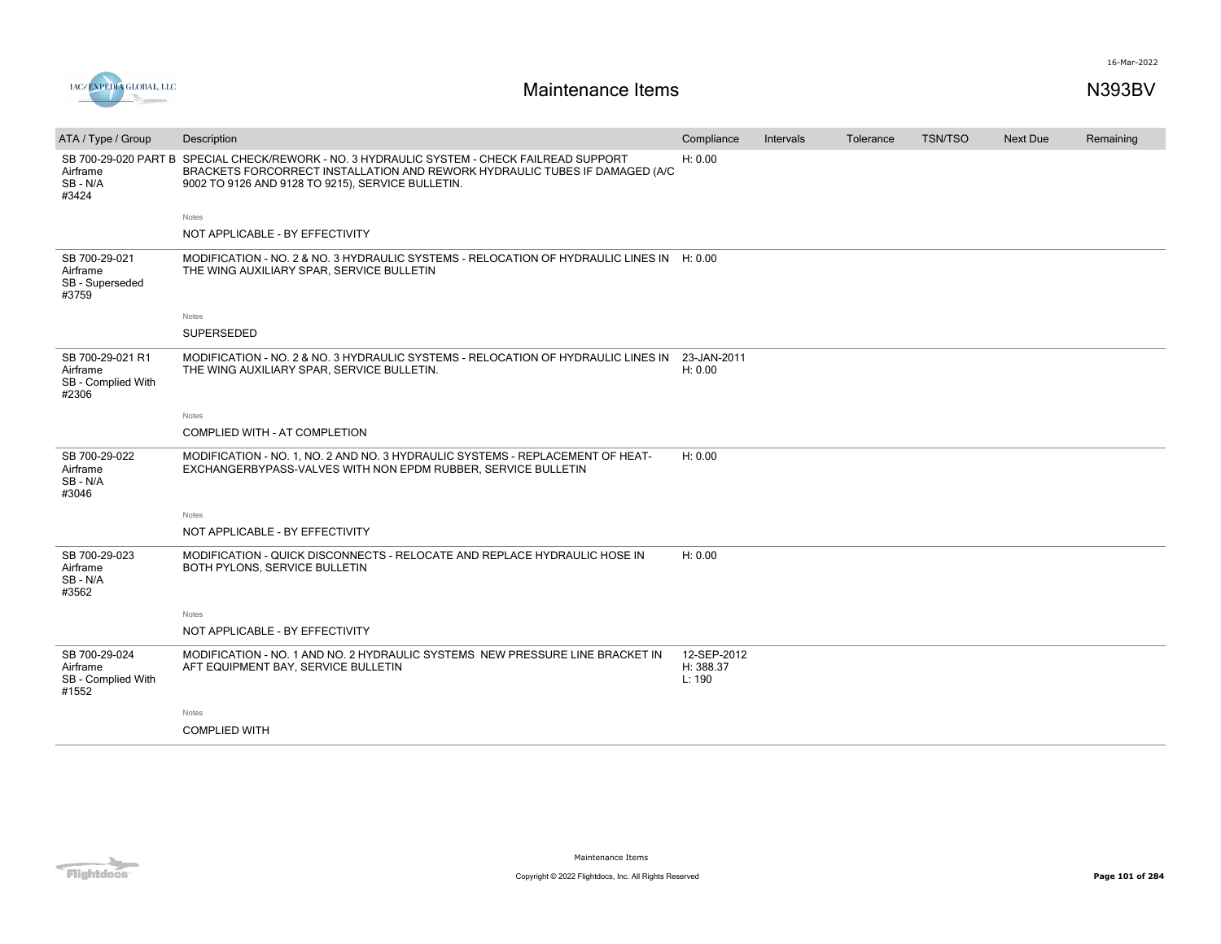



| ATA / Type / Group                                          | Description                                                                                                                                                                                                | Compliance                         | Intervals | Tolerance | <b>TSN/TSO</b> | Next Due | Remaining |
|-------------------------------------------------------------|------------------------------------------------------------------------------------------------------------------------------------------------------------------------------------------------------------|------------------------------------|-----------|-----------|----------------|----------|-----------|
| SB 700-29-020 PART B<br>Airframe<br>SB-N/A<br>#3424         | SPECIAL CHECK/REWORK - NO. 3 HYDRAULIC SYSTEM - CHECK FAILREAD SUPPORT<br>BRACKETS FORCORRECT INSTALLATION AND REWORK HYDRAULIC TUBES IF DAMAGED (A/C<br>9002 TO 9126 AND 9128 TO 9215), SERVICE BULLETIN. | H: 0.00                            |           |           |                |          |           |
|                                                             | <b>Notes</b>                                                                                                                                                                                               |                                    |           |           |                |          |           |
|                                                             | NOT APPLICABLE - BY EFFECTIVITY                                                                                                                                                                            |                                    |           |           |                |          |           |
| SB 700-29-021<br>Airframe<br>SB - Superseded<br>#3759       | MODIFICATION - NO. 2 & NO. 3 HYDRAULIC SYSTEMS - RELOCATION OF HYDRAULIC LINES IN H: 0.00<br>THE WING AUXILIARY SPAR, SERVICE BULLETIN                                                                     |                                    |           |           |                |          |           |
|                                                             | Notes                                                                                                                                                                                                      |                                    |           |           |                |          |           |
|                                                             | SUPERSEDED                                                                                                                                                                                                 |                                    |           |           |                |          |           |
| SB 700-29-021 R1<br>Airframe<br>SB - Complied With<br>#2306 | MODIFICATION - NO. 2 & NO. 3 HYDRAULIC SYSTEMS - RELOCATION OF HYDRAULIC LINES IN<br>THE WING AUXILIARY SPAR, SERVICE BULLETIN.                                                                            | 23-JAN-2011<br>H: 0.00             |           |           |                |          |           |
|                                                             | Notes                                                                                                                                                                                                      |                                    |           |           |                |          |           |
|                                                             | COMPLIED WITH - AT COMPLETION                                                                                                                                                                              |                                    |           |           |                |          |           |
| SB 700-29-022<br>Airframe<br>SB-N/A<br>#3046                | MODIFICATION - NO. 1, NO. 2 AND NO. 3 HYDRAULIC SYSTEMS - REPLACEMENT OF HEAT-<br>EXCHANGERBYPASS-VALVES WITH NON EPDM RUBBER, SERVICE BULLETIN                                                            | H: 0.00                            |           |           |                |          |           |
|                                                             | <b>Notes</b>                                                                                                                                                                                               |                                    |           |           |                |          |           |
|                                                             | NOT APPLICABLE - BY EFFECTIVITY                                                                                                                                                                            |                                    |           |           |                |          |           |
| SB 700-29-023<br>Airframe<br>SB-N/A<br>#3562                | MODIFICATION - QUICK DISCONNECTS - RELOCATE AND REPLACE HYDRAULIC HOSE IN<br>BOTH PYLONS, SERVICE BULLETIN                                                                                                 | H: 0.00                            |           |           |                |          |           |
|                                                             | Notes                                                                                                                                                                                                      |                                    |           |           |                |          |           |
|                                                             | NOT APPLICABLE - BY EFFECTIVITY                                                                                                                                                                            |                                    |           |           |                |          |           |
| SB 700-29-024<br>Airframe<br>SB - Complied With<br>#1552    | MODIFICATION - NO. 1 AND NO. 2 HYDRAULIC SYSTEMS NEW PRESSURE LINE BRACKET IN<br>AFT EQUIPMENT BAY, SERVICE BULLETIN                                                                                       | 12-SEP-2012<br>H: 388.37<br>L: 190 |           |           |                |          |           |
|                                                             | Notes                                                                                                                                                                                                      |                                    |           |           |                |          |           |
|                                                             | <b>COMPLIED WITH</b>                                                                                                                                                                                       |                                    |           |           |                |          |           |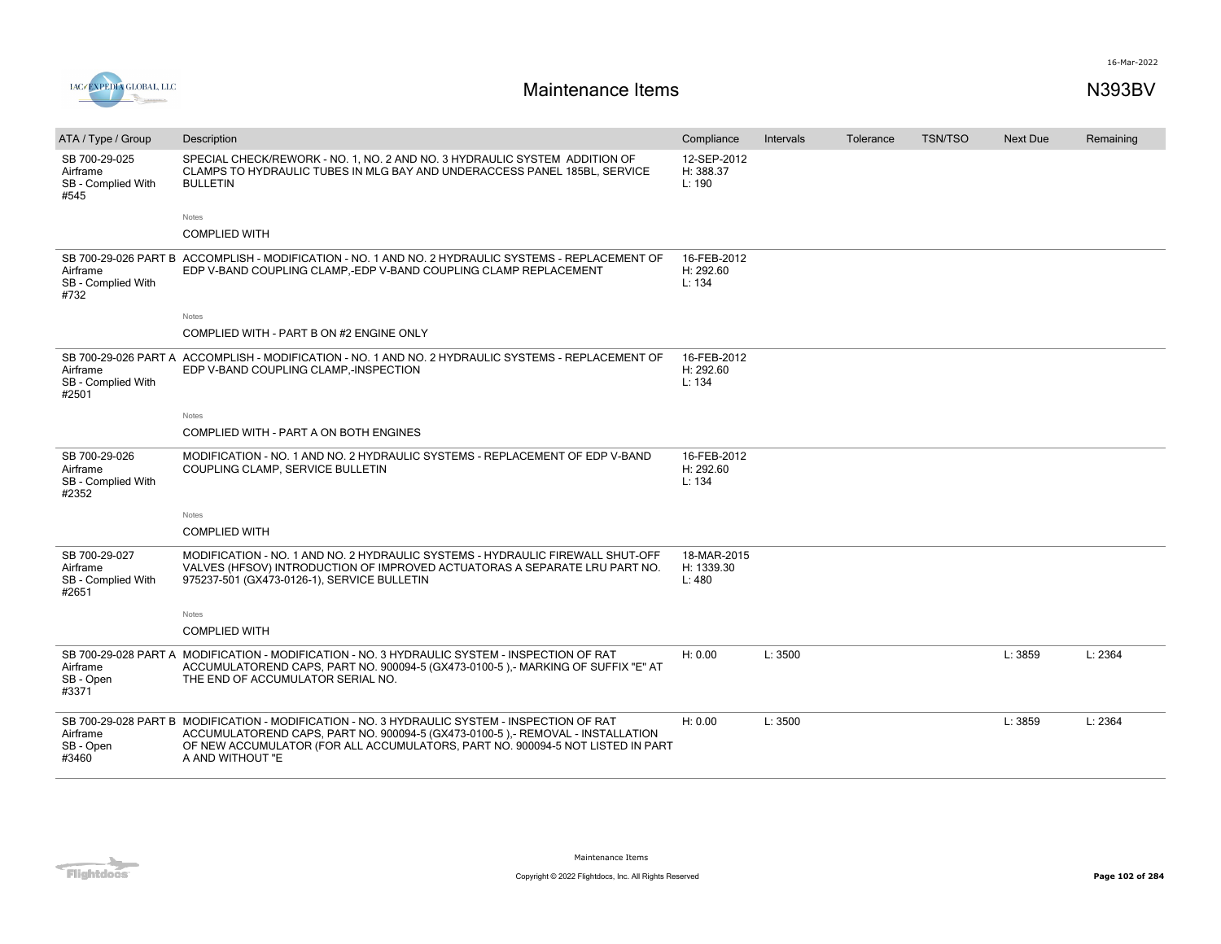

| ATA / Type / Group                                       | Description                                                                                                                                                                                                                                                                           | Compliance                         | Intervals | Tolerance | <b>TSN/TSO</b> | <b>Next Due</b> | Remaining |
|----------------------------------------------------------|---------------------------------------------------------------------------------------------------------------------------------------------------------------------------------------------------------------------------------------------------------------------------------------|------------------------------------|-----------|-----------|----------------|-----------------|-----------|
| SB 700-29-025<br>Airframe<br>SB - Complied With<br>#545  | SPECIAL CHECK/REWORK - NO. 1, NO. 2 AND NO. 3 HYDRAULIC SYSTEM ADDITION OF<br>CLAMPS TO HYDRAULIC TUBES IN MLG BAY AND UNDERACCESS PANEL 185BL. SERVICE<br><b>BULLETIN</b>                                                                                                            | 12-SEP-2012<br>H: 388.37<br>L: 190 |           |           |                |                 |           |
|                                                          | <b>Notes</b>                                                                                                                                                                                                                                                                          |                                    |           |           |                |                 |           |
|                                                          | <b>COMPLIED WITH</b>                                                                                                                                                                                                                                                                  |                                    |           |           |                |                 |           |
| Airframe<br>SB - Complied With<br>#732                   | SB 700-29-026 PART B ACCOMPLISH - MODIFICATION - NO. 1 AND NO. 2 HYDRAULIC SYSTEMS - REPLACEMENT OF<br>EDP V-BAND COUPLING CLAMP,-EDP V-BAND COUPLING CLAMP REPLACEMENT                                                                                                               | 16-FEB-2012<br>H: 292.60<br>L: 134 |           |           |                |                 |           |
|                                                          | <b>Notes</b>                                                                                                                                                                                                                                                                          |                                    |           |           |                |                 |           |
|                                                          | COMPLIED WITH - PART B ON #2 ENGINE ONLY                                                                                                                                                                                                                                              |                                    |           |           |                |                 |           |
| Airframe<br>SB - Complied With<br>#2501                  | SB 700-29-026 PART A ACCOMPLISH - MODIFICATION - NO. 1 AND NO. 2 HYDRAULIC SYSTEMS - REPLACEMENT OF<br>EDP V-BAND COUPLING CLAMP,-INSPECTION                                                                                                                                          | 16-FEB-2012<br>H: 292.60<br>L: 134 |           |           |                |                 |           |
|                                                          | <b>Notes</b>                                                                                                                                                                                                                                                                          |                                    |           |           |                |                 |           |
|                                                          | COMPLIED WITH - PART A ON BOTH ENGINES                                                                                                                                                                                                                                                |                                    |           |           |                |                 |           |
| SB 700-29-026<br>Airframe<br>SB - Complied With<br>#2352 | MODIFICATION - NO. 1 AND NO. 2 HYDRAULIC SYSTEMS - REPLACEMENT OF EDP V-BAND<br>COUPLING CLAMP, SERVICE BULLETIN                                                                                                                                                                      | 16-FEB-2012<br>H: 292.60<br>L: 134 |           |           |                |                 |           |
|                                                          | <b>Notes</b>                                                                                                                                                                                                                                                                          |                                    |           |           |                |                 |           |
|                                                          | <b>COMPLIED WITH</b>                                                                                                                                                                                                                                                                  |                                    |           |           |                |                 |           |
| SB 700-29-027<br>Airframe<br>SB - Complied With<br>#2651 | MODIFICATION - NO. 1 AND NO. 2 HYDRAULIC SYSTEMS - HYDRAULIC FIREWALL SHUT-OFF<br>VALVES (HFSOV) INTRODUCTION OF IMPROVED ACTUATORAS A SEPARATE LRU PART NO.<br>975237-501 (GX473-0126-1), SERVICE BULLETIN                                                                           | 18-MAR-2015<br>H: 1339.30<br>L:480 |           |           |                |                 |           |
|                                                          | Notes                                                                                                                                                                                                                                                                                 |                                    |           |           |                |                 |           |
|                                                          | <b>COMPLIED WITH</b>                                                                                                                                                                                                                                                                  |                                    |           |           |                |                 |           |
| Airframe<br>SB - Open<br>#3371                           | SB 700-29-028 PART A MODIFICATION - MODIFICATION - NO. 3 HYDRAULIC SYSTEM - INSPECTION OF RAT<br>ACCUMULATOREND CAPS, PART NO. 900094-5 (GX473-0100-5),- MARKING OF SUFFIX "E" AT<br>THE END OF ACCUMULATOR SERIAL NO.                                                                | H: 0.00                            | L: 3500   |           |                | L: 3859         | L: 2364   |
| Airframe<br>SB - Open<br>#3460                           | SB 700-29-028 PART B MODIFICATION - MODIFICATION - NO. 3 HYDRAULIC SYSTEM - INSPECTION OF RAT<br>ACCUMULATOREND CAPS, PART NO. 900094-5 (GX473-0100-5),- REMOVAL - INSTALLATION<br>OF NEW ACCUMULATOR (FOR ALL ACCUMULATORS, PART NO. 900094-5 NOT LISTED IN PART<br>A AND WITHOUT "E | H: 0.00                            | L: 3500   |           |                | L: 3859         | L: 2364   |

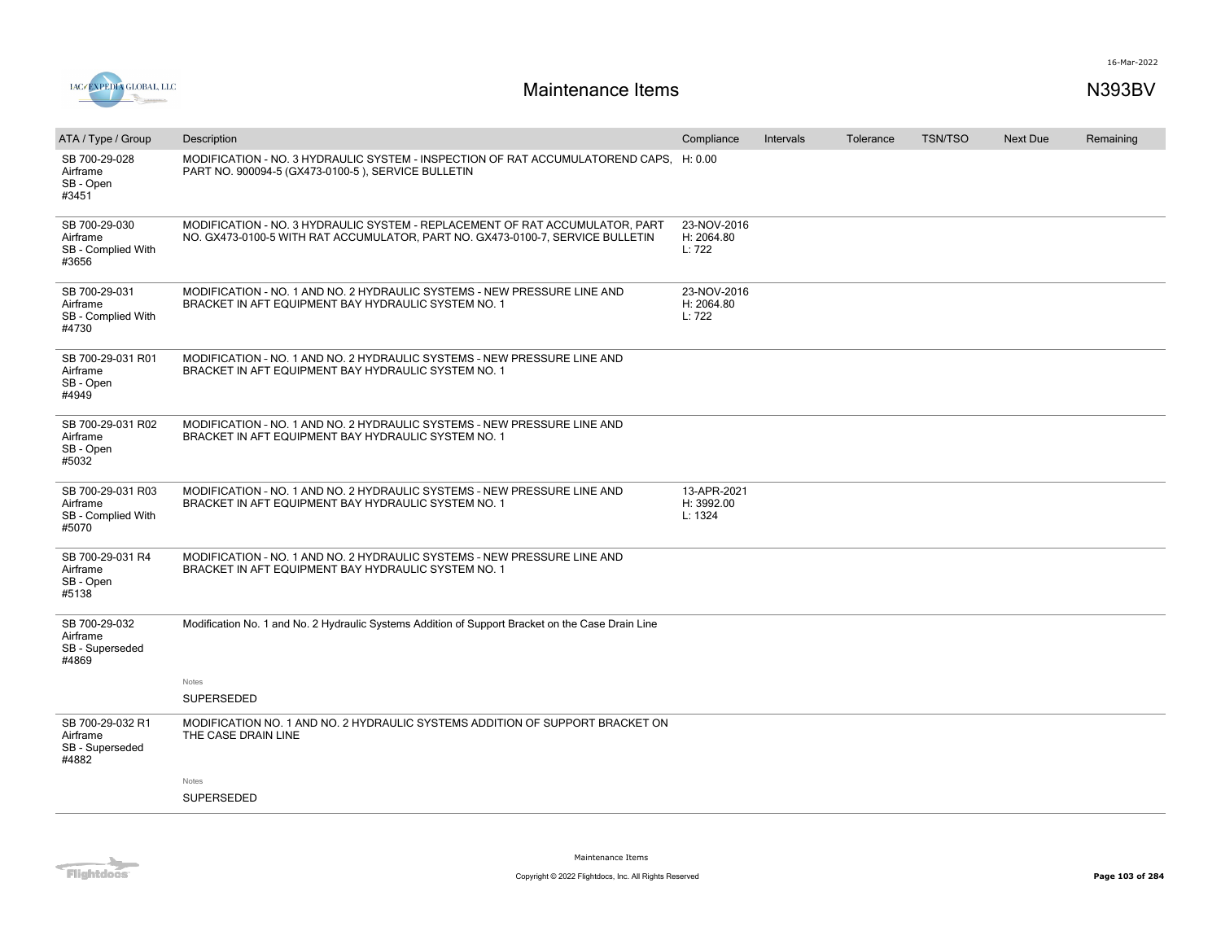



| ATA / Type / Group                                           | Description                                                                                                                                                    | Compliance                           | <b>Intervals</b> | Tolerance | <b>TSN/TSO</b> | Next Due | Remaining |
|--------------------------------------------------------------|----------------------------------------------------------------------------------------------------------------------------------------------------------------|--------------------------------------|------------------|-----------|----------------|----------|-----------|
| SB 700-29-028<br>Airframe<br>SB - Open<br>#3451              | MODIFICATION - NO. 3 HYDRAULIC SYSTEM - INSPECTION OF RAT ACCUMULATOREND CAPS, H: 0.00<br>PART NO. 900094-5 (GX473-0100-5), SERVICE BULLETIN                   |                                      |                  |           |                |          |           |
| SB 700-29-030<br>Airframe<br>SB - Complied With<br>#3656     | MODIFICATION - NO. 3 HYDRAULIC SYSTEM - REPLACEMENT OF RAT ACCUMULATOR, PART<br>NO. GX473-0100-5 WITH RAT ACCUMULATOR, PART NO. GX473-0100-7, SERVICE BULLETIN | 23-NOV-2016<br>H: 2064.80<br>L: 722  |                  |           |                |          |           |
| SB 700-29-031<br>Airframe<br>SB - Complied With<br>#4730     | MODIFICATION - NO. 1 AND NO. 2 HYDRAULIC SYSTEMS - NEW PRESSURE LINE AND<br>BRACKET IN AFT EQUIPMENT BAY HYDRAULIC SYSTEM NO. 1                                | 23-NOV-2016<br>H: 2064.80<br>L: 722  |                  |           |                |          |           |
| SB 700-29-031 R01<br>Airframe<br>SB - Open<br>#4949          | MODIFICATION - NO. 1 AND NO. 2 HYDRAULIC SYSTEMS - NEW PRESSURE LINE AND<br>BRACKET IN AFT EQUIPMENT BAY HYDRAULIC SYSTEM NO. 1                                |                                      |                  |           |                |          |           |
| SB 700-29-031 R02<br>Airframe<br>SB - Open<br>#5032          | MODIFICATION - NO. 1 AND NO. 2 HYDRAULIC SYSTEMS - NEW PRESSURE LINE AND<br>BRACKET IN AFT EQUIPMENT BAY HYDRAULIC SYSTEM NO. 1                                |                                      |                  |           |                |          |           |
| SB 700-29-031 R03<br>Airframe<br>SB - Complied With<br>#5070 | MODIFICATION - NO. 1 AND NO. 2 HYDRAULIC SYSTEMS - NEW PRESSURE LINE AND<br>BRACKET IN AFT EQUIPMENT BAY HYDRAULIC SYSTEM NO. 1                                | 13-APR-2021<br>H: 3992.00<br>L: 1324 |                  |           |                |          |           |
| SB 700-29-031 R4<br>Airframe<br>SB - Open<br>#5138           | MODIFICATION - NO. 1 AND NO. 2 HYDRAULIC SYSTEMS - NEW PRESSURE LINE AND<br>BRACKET IN AFT EQUIPMENT BAY HYDRAULIC SYSTEM NO. 1                                |                                      |                  |           |                |          |           |
| SB 700-29-032<br>Airframe<br>SB - Superseded<br>#4869        | Modification No. 1 and No. 2 Hydraulic Systems Addition of Support Bracket on the Case Drain Line                                                              |                                      |                  |           |                |          |           |
|                                                              | Notes                                                                                                                                                          |                                      |                  |           |                |          |           |
|                                                              | SUPERSEDED                                                                                                                                                     |                                      |                  |           |                |          |           |
| SB 700-29-032 R1<br>Airframe<br>SB - Superseded<br>#4882     | MODIFICATION NO. 1 AND NO. 2 HYDRAULIC SYSTEMS ADDITION OF SUPPORT BRACKET ON<br>THE CASE DRAIN LINE                                                           |                                      |                  |           |                |          |           |
|                                                              | Notes                                                                                                                                                          |                                      |                  |           |                |          |           |
|                                                              | <b>SUPERSEDED</b>                                                                                                                                              |                                      |                  |           |                |          |           |
|                                                              |                                                                                                                                                                |                                      |                  |           |                |          |           |

Flightdocs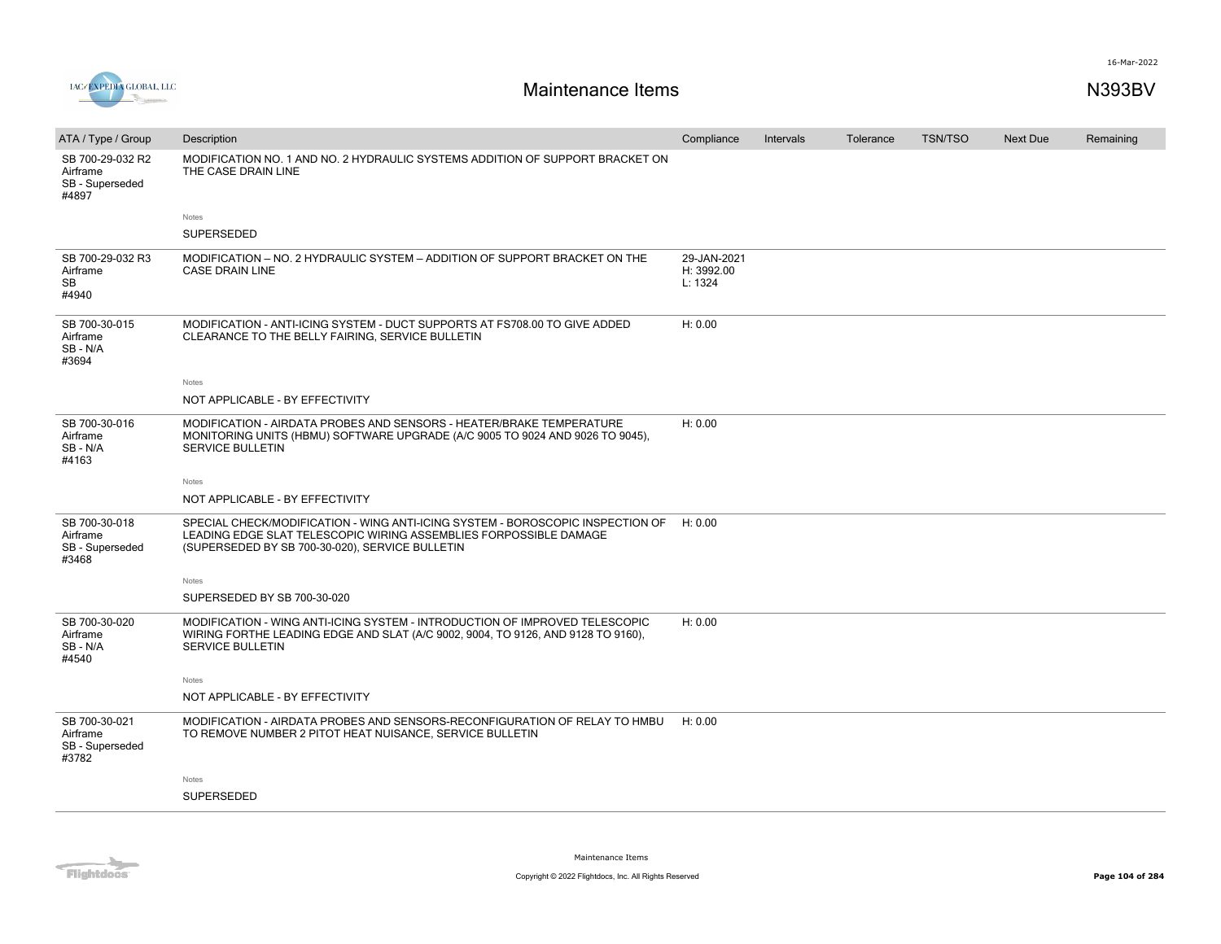

| ATA / Type / Group                                       | Description                                                                                                                                                                                            | Compliance                           | Intervals | Tolerance | <b>TSN/TSO</b> | <b>Next Due</b> | Remaining |
|----------------------------------------------------------|--------------------------------------------------------------------------------------------------------------------------------------------------------------------------------------------------------|--------------------------------------|-----------|-----------|----------------|-----------------|-----------|
| SB 700-29-032 R2<br>Airframe<br>SB - Superseded<br>#4897 | MODIFICATION NO. 1 AND NO. 2 HYDRAULIC SYSTEMS ADDITION OF SUPPORT BRACKET ON<br>THE CASE DRAIN LINE                                                                                                   |                                      |           |           |                |                 |           |
|                                                          | Notes<br><b>SUPERSEDED</b>                                                                                                                                                                             |                                      |           |           |                |                 |           |
| SB 700-29-032 R3<br>Airframe<br>SB<br>#4940              | MODIFICATION - NO. 2 HYDRAULIC SYSTEM - ADDITION OF SUPPORT BRACKET ON THE<br><b>CASE DRAIN LINE</b>                                                                                                   | 29-JAN-2021<br>H: 3992.00<br>L: 1324 |           |           |                |                 |           |
| SB 700-30-015<br>Airframe<br>SB-N/A<br>#3694             | MODIFICATION - ANTI-ICING SYSTEM - DUCT SUPPORTS AT FS708.00 TO GIVE ADDED<br>CLEARANCE TO THE BELLY FAIRING, SERVICE BULLETIN                                                                         | H: 0.00                              |           |           |                |                 |           |
|                                                          | Notes                                                                                                                                                                                                  |                                      |           |           |                |                 |           |
|                                                          | NOT APPLICABLE - BY EFFECTIVITY                                                                                                                                                                        |                                      |           |           |                |                 |           |
| SB 700-30-016<br>Airframe<br>SB-N/A<br>#4163             | MODIFICATION - AIRDATA PROBES AND SENSORS - HEATER/BRAKE TEMPERATURE<br>MONITORING UNITS (HBMU) SOFTWARE UPGRADE (A/C 9005 TO 9024 AND 9026 TO 9045),<br><b>SERVICE BULLETIN</b>                       | H: 0.00                              |           |           |                |                 |           |
|                                                          | Notes                                                                                                                                                                                                  |                                      |           |           |                |                 |           |
|                                                          | NOT APPLICABLE - BY EFFECTIVITY                                                                                                                                                                        |                                      |           |           |                |                 |           |
| SB 700-30-018<br>Airframe<br>SB - Superseded<br>#3468    | SPECIAL CHECK/MODIFICATION - WING ANTI-ICING SYSTEM - BOROSCOPIC INSPECTION OF<br>LEADING EDGE SLAT TELESCOPIC WIRING ASSEMBLIES FORPOSSIBLE DAMAGE<br>(SUPERSEDED BY SB 700-30-020), SERVICE BULLETIN | H: 0.00                              |           |           |                |                 |           |
|                                                          | Notes                                                                                                                                                                                                  |                                      |           |           |                |                 |           |
|                                                          | SUPERSEDED BY SB 700-30-020                                                                                                                                                                            |                                      |           |           |                |                 |           |
| SB 700-30-020<br>Airframe<br>SB-N/A<br>#4540             | MODIFICATION - WING ANTI-ICING SYSTEM - INTRODUCTION OF IMPROVED TELESCOPIC<br>WIRING FORTHE LEADING EDGE AND SLAT (A/C 9002, 9004, TO 9126, AND 9128 TO 9160),<br><b>SERVICE BULLETIN</b>             | H: 0.00                              |           |           |                |                 |           |
|                                                          | Notes                                                                                                                                                                                                  |                                      |           |           |                |                 |           |
|                                                          | NOT APPLICABLE - BY EFFECTIVITY                                                                                                                                                                        |                                      |           |           |                |                 |           |
| SB 700-30-021<br>Airframe<br>SB - Superseded<br>#3782    | MODIFICATION - AIRDATA PROBES AND SENSORS-RECONFIGURATION OF RELAY TO HMBU<br>TO REMOVE NUMBER 2 PITOT HEAT NUISANCE, SERVICE BULLETIN                                                                 | H: 0.00                              |           |           |                |                 |           |
|                                                          | Notes                                                                                                                                                                                                  |                                      |           |           |                |                 |           |
|                                                          | SUPERSEDED                                                                                                                                                                                             |                                      |           |           |                |                 |           |

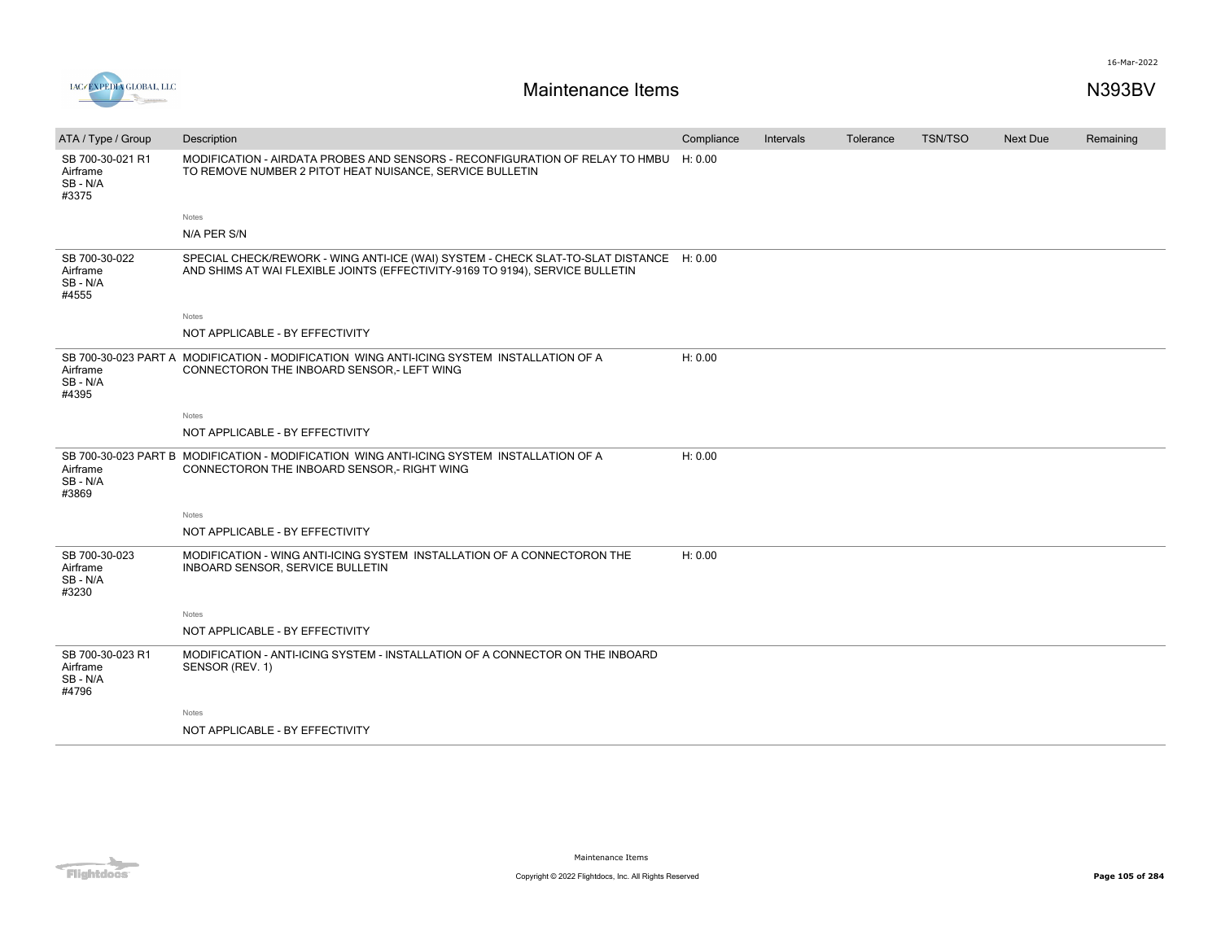

| ATA / Type / Group                              | Description                                                                                                                                                              | Compliance | Intervals | Tolerance | TSN/TSO | Next Due | Remaining |
|-------------------------------------------------|--------------------------------------------------------------------------------------------------------------------------------------------------------------------------|------------|-----------|-----------|---------|----------|-----------|
| SB 700-30-021 R1<br>Airframe<br>SB-N/A<br>#3375 | MODIFICATION - AIRDATA PROBES AND SENSORS - RECONFIGURATION OF RELAY TO HMBU H: 0.00<br>TO REMOVE NUMBER 2 PITOT HEAT NUISANCE, SERVICE BULLETIN                         |            |           |           |         |          |           |
|                                                 | Notes                                                                                                                                                                    |            |           |           |         |          |           |
|                                                 | N/A PER S/N                                                                                                                                                              |            |           |           |         |          |           |
| SB 700-30-022<br>Airframe<br>SB - N/A<br>#4555  | SPECIAL CHECK/REWORK - WING ANTI-ICE (WAI) SYSTEM - CHECK SLAT-TO-SLAT DISTANCE H: 0.00<br>AND SHIMS AT WAI FLEXIBLE JOINTS (EFFECTIVITY-9169 TO 9194), SERVICE BULLETIN |            |           |           |         |          |           |
|                                                 | Notes                                                                                                                                                                    |            |           |           |         |          |           |
|                                                 | NOT APPLICABLE - BY EFFECTIVITY                                                                                                                                          |            |           |           |         |          |           |
| Airframe<br>SB - N/A<br>#4395                   | SB 700-30-023 PART A MODIFICATION - MODIFICATION WING ANTI-ICING SYSTEM INSTALLATION OF A<br>CONNECTORON THE INBOARD SENSOR,- LEFT WING                                  | H: 0.00    |           |           |         |          |           |
|                                                 | Notes                                                                                                                                                                    |            |           |           |         |          |           |
|                                                 | NOT APPLICABLE - BY EFFECTIVITY                                                                                                                                          |            |           |           |         |          |           |
| Airframe<br>SB - N/A<br>#3869                   | SB 700-30-023 PART B MODIFICATION - MODIFICATION WING ANTI-ICING SYSTEM INSTALLATION OF A<br>CONNECTORON THE INBOARD SENSOR, - RIGHT WING                                | H: 0.00    |           |           |         |          |           |
|                                                 | Notes                                                                                                                                                                    |            |           |           |         |          |           |
|                                                 | NOT APPLICABLE - BY EFFECTIVITY                                                                                                                                          |            |           |           |         |          |           |
| SB 700-30-023<br>Airframe<br>SB-N/A<br>#3230    | MODIFICATION - WING ANTI-ICING SYSTEM INSTALLATION OF A CONNECTORON THE<br>INBOARD SENSOR, SERVICE BULLETIN                                                              | H: 0.00    |           |           |         |          |           |
|                                                 | Notes                                                                                                                                                                    |            |           |           |         |          |           |
|                                                 | NOT APPLICABLE - BY EFFECTIVITY                                                                                                                                          |            |           |           |         |          |           |
| SB 700-30-023 R1<br>Airframe<br>SB-N/A<br>#4796 | MODIFICATION - ANTI-ICING SYSTEM - INSTALLATION OF A CONNECTOR ON THE INBOARD<br>SENSOR (REV. 1)                                                                         |            |           |           |         |          |           |
|                                                 | Notes                                                                                                                                                                    |            |           |           |         |          |           |
|                                                 | NOT APPLICABLE - BY EFFECTIVITY                                                                                                                                          |            |           |           |         |          |           |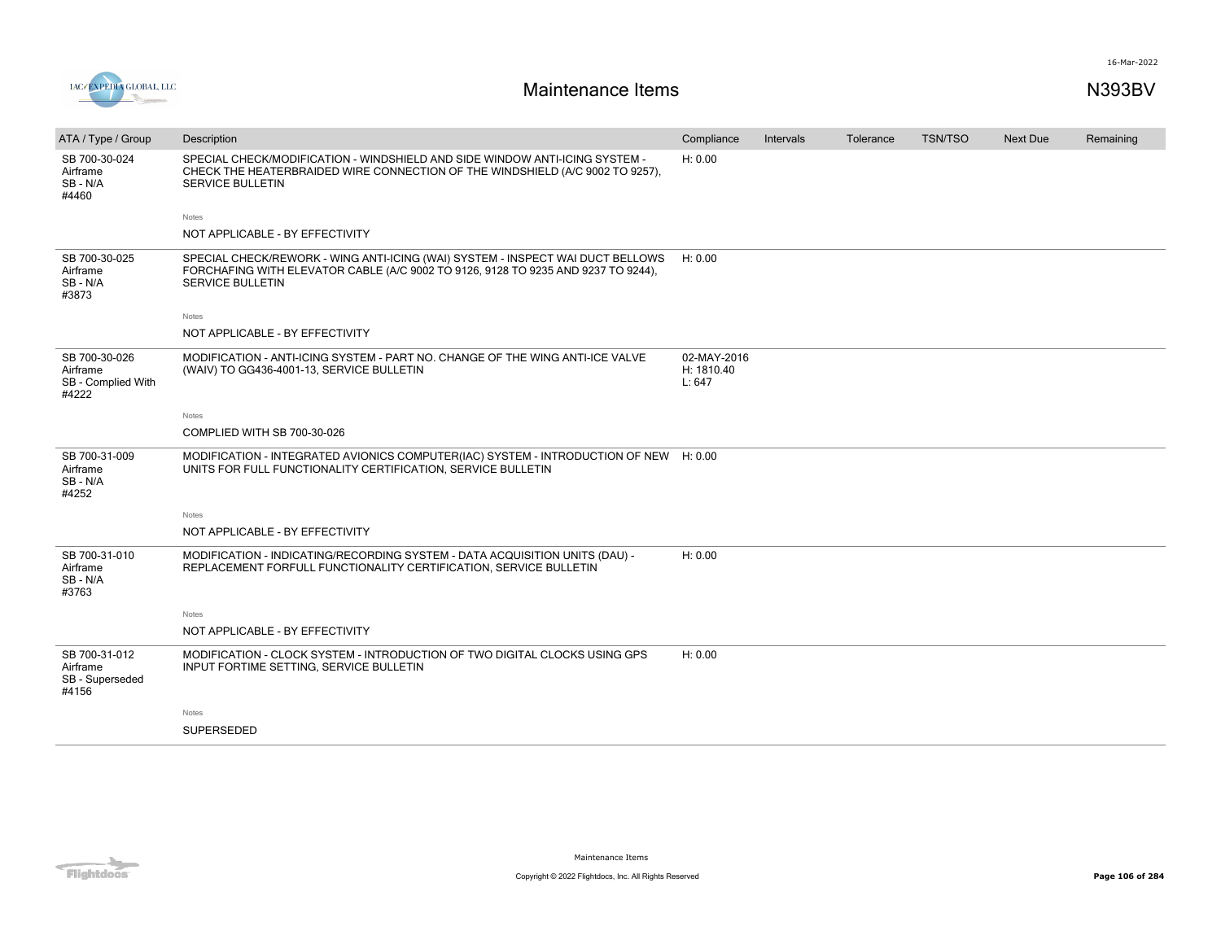

| ATA / Type / Group                                       | Description                                                                                                                                                                                    | Compliance                          | Intervals | Tolerance | <b>TSN/TSO</b> | <b>Next Due</b> | Remaining |
|----------------------------------------------------------|------------------------------------------------------------------------------------------------------------------------------------------------------------------------------------------------|-------------------------------------|-----------|-----------|----------------|-----------------|-----------|
| SB 700-30-024<br>Airframe<br>SB-N/A<br>#4460             | SPECIAL CHECK/MODIFICATION - WINDSHIELD AND SIDE WINDOW ANTI-ICING SYSTEM -<br>CHECK THE HEATERBRAIDED WIRE CONNECTION OF THE WINDSHIELD (A/C 9002 TO 9257),<br><b>SERVICE BULLETIN</b>        | H: 0.00                             |           |           |                |                 |           |
|                                                          | Notes                                                                                                                                                                                          |                                     |           |           |                |                 |           |
|                                                          | NOT APPLICABLE - BY EFFECTIVITY                                                                                                                                                                |                                     |           |           |                |                 |           |
| SB 700-30-025<br>Airframe<br>SB - N/A<br>#3873           | SPECIAL CHECK/REWORK - WING ANTI-ICING (WAI) SYSTEM - INSPECT WAI DUCT BELLOWS<br>FORCHAFING WITH ELEVATOR CABLE (A/C 9002 TO 9126, 9128 TO 9235 AND 9237 TO 9244),<br><b>SERVICE BULLETIN</b> | H: 0.00                             |           |           |                |                 |           |
|                                                          | Notes                                                                                                                                                                                          |                                     |           |           |                |                 |           |
|                                                          | NOT APPLICABLE - BY EFFECTIVITY                                                                                                                                                                |                                     |           |           |                |                 |           |
| SB 700-30-026<br>Airframe<br>SB - Complied With<br>#4222 | MODIFICATION - ANTI-ICING SYSTEM - PART NO. CHANGE OF THE WING ANTI-ICE VALVE<br>(WAIV) TO GG436-4001-13, SERVICE BULLETIN                                                                     | 02-MAY-2016<br>H: 1810.40<br>L: 647 |           |           |                |                 |           |
|                                                          | Notes                                                                                                                                                                                          |                                     |           |           |                |                 |           |
|                                                          | COMPLIED WITH SB 700-30-026                                                                                                                                                                    |                                     |           |           |                |                 |           |
| SB 700-31-009<br>Airframe<br>SB - N/A<br>#4252           | MODIFICATION - INTEGRATED AVIONICS COMPUTER(IAC) SYSTEM - INTRODUCTION OF NEW H: 0.00<br>UNITS FOR FULL FUNCTIONALITY CERTIFICATION, SERVICE BULLETIN                                          |                                     |           |           |                |                 |           |
|                                                          | Notes                                                                                                                                                                                          |                                     |           |           |                |                 |           |
|                                                          | NOT APPLICABLE - BY EFFECTIVITY                                                                                                                                                                |                                     |           |           |                |                 |           |
| SB 700-31-010<br>Airframe<br>SB-N/A<br>#3763             | MODIFICATION - INDICATING/RECORDING SYSTEM - DATA ACQUISITION UNITS (DAU) -<br>REPLACEMENT FORFULL FUNCTIONALITY CERTIFICATION, SERVICE BULLETIN                                               | H: 0.00                             |           |           |                |                 |           |
|                                                          | Notes                                                                                                                                                                                          |                                     |           |           |                |                 |           |
|                                                          | NOT APPLICABLE - BY EFFECTIVITY                                                                                                                                                                |                                     |           |           |                |                 |           |
| SB 700-31-012<br>Airframe<br>SB - Superseded<br>#4156    | MODIFICATION - CLOCK SYSTEM - INTRODUCTION OF TWO DIGITAL CLOCKS USING GPS<br>INPUT FORTIME SETTING, SERVICE BULLETIN                                                                          | H: 0.00                             |           |           |                |                 |           |
|                                                          | Notes                                                                                                                                                                                          |                                     |           |           |                |                 |           |
|                                                          | SUPERSEDED                                                                                                                                                                                     |                                     |           |           |                |                 |           |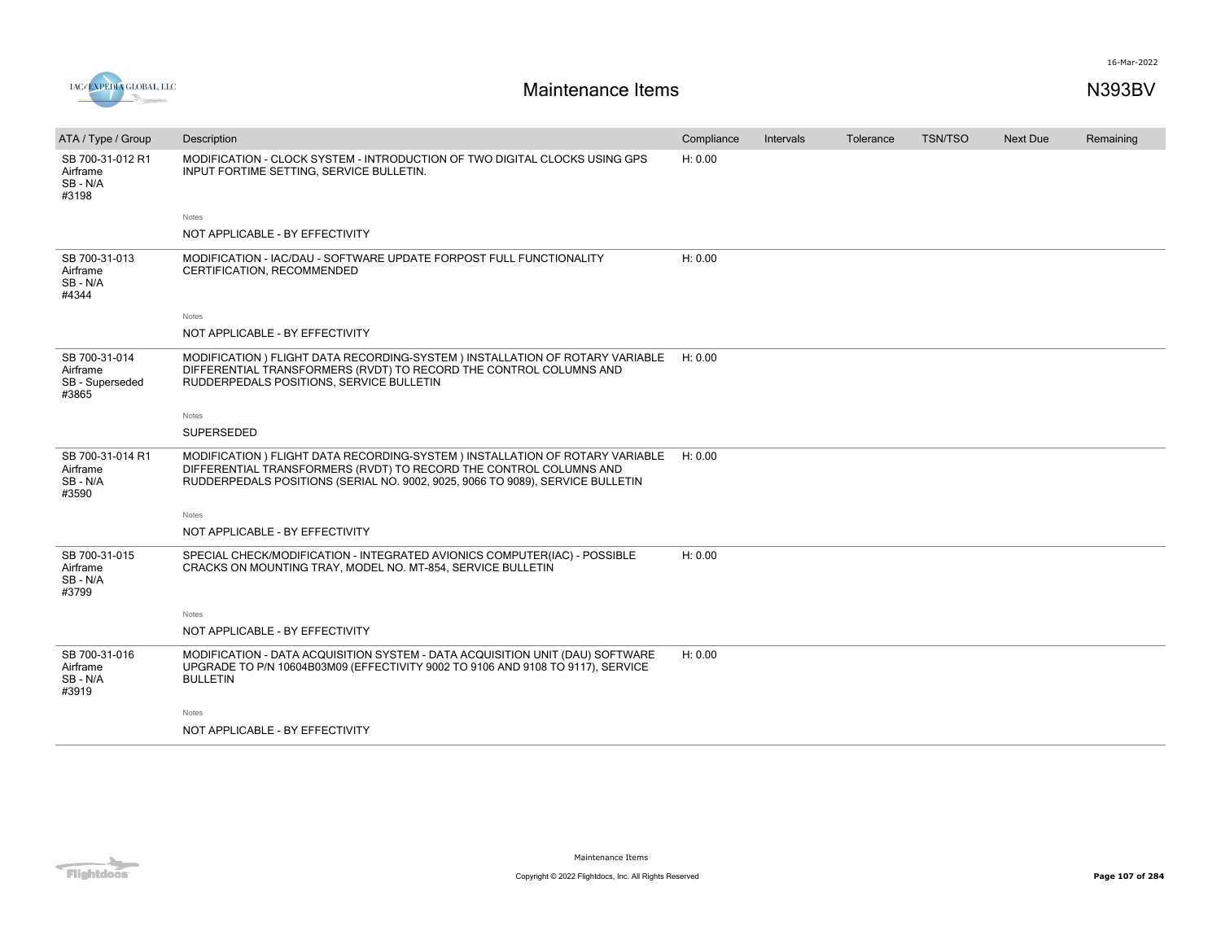

| ATA / Type / Group                                    | Description                                                                                                                                                                                                                           | Compliance | Intervals | Tolerance | TSN/TSO | <b>Next Due</b> | Remaining |
|-------------------------------------------------------|---------------------------------------------------------------------------------------------------------------------------------------------------------------------------------------------------------------------------------------|------------|-----------|-----------|---------|-----------------|-----------|
| SB 700-31-012 R1<br>Airframe<br>SB-N/A<br>#3198       | MODIFICATION - CLOCK SYSTEM - INTRODUCTION OF TWO DIGITAL CLOCKS USING GPS<br>INPUT FORTIME SETTING, SERVICE BULLETIN.                                                                                                                | H: 0.00    |           |           |         |                 |           |
|                                                       | Notes                                                                                                                                                                                                                                 |            |           |           |         |                 |           |
|                                                       | NOT APPLICABLE - BY EFFECTIVITY                                                                                                                                                                                                       |            |           |           |         |                 |           |
| SB 700-31-013<br>Airframe<br>SB-N/A<br>#4344          | MODIFICATION - IAC/DAU - SOFTWARE UPDATE FORPOST FULL FUNCTIONALITY<br>CERTIFICATION, RECOMMENDED                                                                                                                                     | H: 0.00    |           |           |         |                 |           |
|                                                       | Notes                                                                                                                                                                                                                                 |            |           |           |         |                 |           |
|                                                       | NOT APPLICABLE - BY EFFECTIVITY                                                                                                                                                                                                       |            |           |           |         |                 |           |
| SB 700-31-014<br>Airframe<br>SB - Superseded<br>#3865 | MODIFICATION ) FLIGHT DATA RECORDING-SYSTEM ) INSTALLATION OF ROTARY VARIABLE<br>DIFFERENTIAL TRANSFORMERS (RVDT) TO RECORD THE CONTROL COLUMNS AND<br>RUDDERPEDALS POSITIONS, SERVICE BULLETIN                                       | H: 0.00    |           |           |         |                 |           |
|                                                       | Notes                                                                                                                                                                                                                                 |            |           |           |         |                 |           |
|                                                       | SUPERSEDED                                                                                                                                                                                                                            |            |           |           |         |                 |           |
| SB 700-31-014 R1<br>Airframe<br>SB-N/A<br>#3590       | MODIFICATION ) FLIGHT DATA RECORDING-SYSTEM ) INSTALLATION OF ROTARY VARIABLE<br>DIFFERENTIAL TRANSFORMERS (RVDT) TO RECORD THE CONTROL COLUMNS AND<br>RUDDERPEDALS POSITIONS (SERIAL NO. 9002, 9025, 9066 TO 9089), SERVICE BULLETIN | H: 0.00    |           |           |         |                 |           |
|                                                       | Notes                                                                                                                                                                                                                                 |            |           |           |         |                 |           |
|                                                       | NOT APPLICABLE - BY EFFECTIVITY                                                                                                                                                                                                       |            |           |           |         |                 |           |
| SB 700-31-015<br>Airframe<br>SB-N/A<br>#3799          | SPECIAL CHECK/MODIFICATION - INTEGRATED AVIONICS COMPUTER(IAC) - POSSIBLE<br>CRACKS ON MOUNTING TRAY, MODEL NO. MT-854, SERVICE BULLETIN                                                                                              | H: 0.00    |           |           |         |                 |           |
|                                                       | Notes                                                                                                                                                                                                                                 |            |           |           |         |                 |           |
|                                                       | NOT APPLICABLE - BY EFFECTIVITY                                                                                                                                                                                                       |            |           |           |         |                 |           |
| SB 700-31-016<br>Airframe<br>SB-N/A<br>#3919          | MODIFICATION - DATA ACQUISITION SYSTEM - DATA ACQUISITION UNIT (DAU) SOFTWARE<br>UPGRADE TO P/N 10604B03M09 (EFFECTIVITY 9002 TO 9106 AND 9108 TO 9117), SERVICE<br><b>BULLETIN</b>                                                   | H: 0.00    |           |           |         |                 |           |
|                                                       | Notes                                                                                                                                                                                                                                 |            |           |           |         |                 |           |
|                                                       | NOT APPLICABLE - BY EFFECTIVITY                                                                                                                                                                                                       |            |           |           |         |                 |           |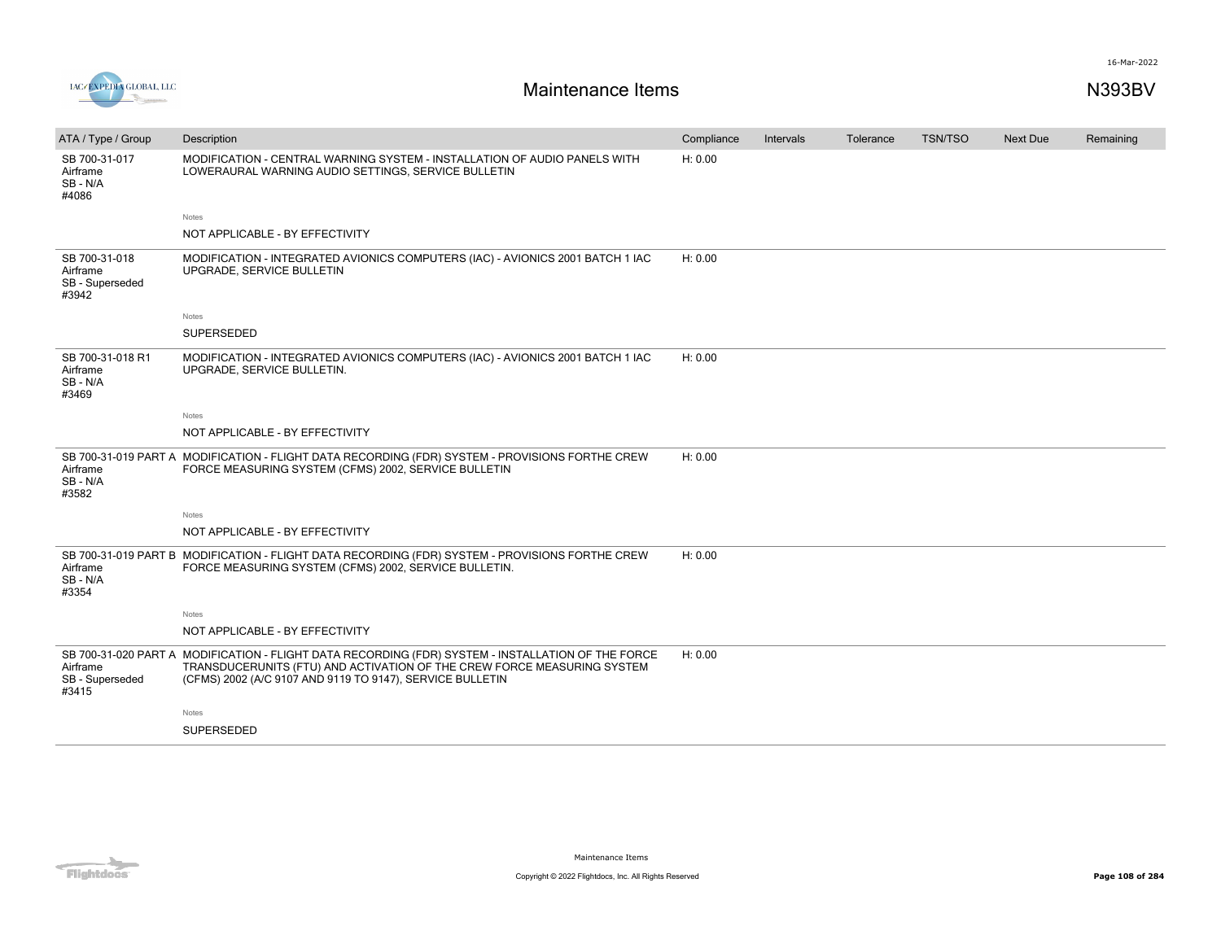



| ATA / Type / Group                                    | Description                                                                                                                                                                                                                                | Compliance | Intervals | Tolerance | <b>TSN/TSO</b> | <b>Next Due</b> | Remaining |
|-------------------------------------------------------|--------------------------------------------------------------------------------------------------------------------------------------------------------------------------------------------------------------------------------------------|------------|-----------|-----------|----------------|-----------------|-----------|
| SB 700-31-017<br>Airframe<br>SB-N/A<br>#4086          | MODIFICATION - CENTRAL WARNING SYSTEM - INSTALLATION OF AUDIO PANELS WITH<br>LOWERAURAL WARNING AUDIO SETTINGS, SERVICE BULLETIN                                                                                                           | H: 0.00    |           |           |                |                 |           |
|                                                       | Notes                                                                                                                                                                                                                                      |            |           |           |                |                 |           |
|                                                       | NOT APPLICABLE - BY EFFECTIVITY                                                                                                                                                                                                            |            |           |           |                |                 |           |
| SB 700-31-018<br>Airframe<br>SB - Superseded<br>#3942 | MODIFICATION - INTEGRATED AVIONICS COMPUTERS (IAC) - AVIONICS 2001 BATCH 1 IAC<br>UPGRADE, SERVICE BULLETIN                                                                                                                                | H: 0.00    |           |           |                |                 |           |
|                                                       | Notes                                                                                                                                                                                                                                      |            |           |           |                |                 |           |
|                                                       | SUPERSEDED                                                                                                                                                                                                                                 |            |           |           |                |                 |           |
| SB 700-31-018 R1<br>Airframe<br>SB-N/A<br>#3469       | MODIFICATION - INTEGRATED AVIONICS COMPUTERS (IAC) - AVIONICS 2001 BATCH 1 IAC<br>UPGRADE, SERVICE BULLETIN.                                                                                                                               | H: 0.00    |           |           |                |                 |           |
|                                                       | Notes                                                                                                                                                                                                                                      |            |           |           |                |                 |           |
|                                                       | NOT APPLICABLE - BY EFFECTIVITY                                                                                                                                                                                                            |            |           |           |                |                 |           |
| Airframe<br>SB - N/A<br>#3582                         | SB 700-31-019 PART A MODIFICATION - FLIGHT DATA RECORDING (FDR) SYSTEM - PROVISIONS FORTHE CREW<br>FORCE MEASURING SYSTEM (CFMS) 2002, SERVICE BULLETIN                                                                                    | H: 0.00    |           |           |                |                 |           |
|                                                       | Notes                                                                                                                                                                                                                                      |            |           |           |                |                 |           |
|                                                       | NOT APPLICABLE - BY EFFECTIVITY                                                                                                                                                                                                            |            |           |           |                |                 |           |
| Airframe<br>SB - N/A<br>#3354                         | SB 700-31-019 PART B MODIFICATION - FLIGHT DATA RECORDING (FDR) SYSTEM - PROVISIONS FORTHE CREW<br>FORCE MEASURING SYSTEM (CFMS) 2002, SERVICE BULLETIN.                                                                                   | H: 0.00    |           |           |                |                 |           |
|                                                       | Notes                                                                                                                                                                                                                                      |            |           |           |                |                 |           |
|                                                       | NOT APPLICABLE - BY EFFECTIVITY                                                                                                                                                                                                            |            |           |           |                |                 |           |
| Airframe<br>SB - Superseded<br>#3415                  | SB 700-31-020 PART A MODIFICATION - FLIGHT DATA RECORDING (FDR) SYSTEM - INSTALLATION OF THE FORCE<br>TRANSDUCERUNITS (FTU) AND ACTIVATION OF THE CREW FORCE MEASURING SYSTEM<br>(CFMS) 2002 (A/C 9107 AND 9119 TO 9147), SERVICE BULLETIN | H: 0.00    |           |           |                |                 |           |
|                                                       | Notes                                                                                                                                                                                                                                      |            |           |           |                |                 |           |
|                                                       | SUPERSEDED                                                                                                                                                                                                                                 |            |           |           |                |                 |           |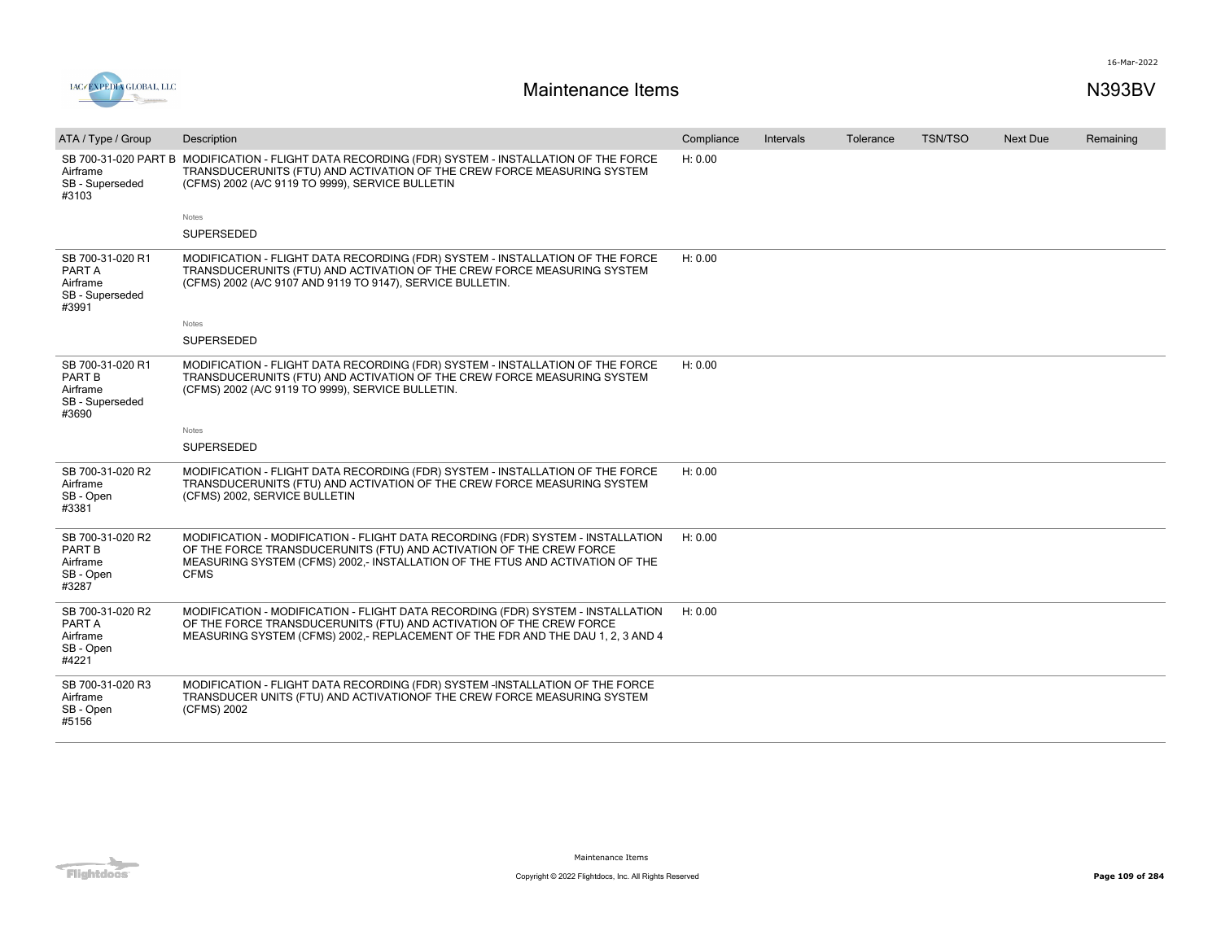

| ATA / Type / Group                                                 | Description                                                                                                                                                                                                                                            | Compliance | Intervals | Tolerance | <b>TSN/TSO</b> | Next Due | Remaining |
|--------------------------------------------------------------------|--------------------------------------------------------------------------------------------------------------------------------------------------------------------------------------------------------------------------------------------------------|------------|-----------|-----------|----------------|----------|-----------|
| Airframe<br>SB - Superseded<br>#3103                               | SB 700-31-020 PART B MODIFICATION - FLIGHT DATA RECORDING (FDR) SYSTEM - INSTALLATION OF THE FORCE<br>TRANSDUCERUNITS (FTU) AND ACTIVATION OF THE CREW FORCE MEASURING SYSTEM<br>(CFMS) 2002 (A/C 9119 TO 9999), SERVICE BULLETIN                      | H: 0.00    |           |           |                |          |           |
|                                                                    | <b>Notes</b>                                                                                                                                                                                                                                           |            |           |           |                |          |           |
|                                                                    | <b>SUPERSEDED</b>                                                                                                                                                                                                                                      |            |           |           |                |          |           |
| SB 700-31-020 R1<br>PART A<br>Airframe<br>SB - Superseded<br>#3991 | MODIFICATION - FLIGHT DATA RECORDING (FDR) SYSTEM - INSTALLATION OF THE FORCE<br>TRANSDUCERUNITS (FTU) AND ACTIVATION OF THE CREW FORCE MEASURING SYSTEM<br>(CFMS) 2002 (A/C 9107 AND 9119 TO 9147), SERVICE BULLETIN.                                 | H: 0.00    |           |           |                |          |           |
|                                                                    | Notes                                                                                                                                                                                                                                                  |            |           |           |                |          |           |
|                                                                    | <b>SUPERSEDED</b>                                                                                                                                                                                                                                      |            |           |           |                |          |           |
| SB 700-31-020 R1<br>PART B<br>Airframe<br>SB - Superseded<br>#3690 | MODIFICATION - FLIGHT DATA RECORDING (FDR) SYSTEM - INSTALLATION OF THE FORCE<br>TRANSDUCERUNITS (FTU) AND ACTIVATION OF THE CREW FORCE MEASURING SYSTEM<br>(CFMS) 2002 (A/C 9119 TO 9999), SERVICE BULLETIN.                                          | H: 0.00    |           |           |                |          |           |
|                                                                    | Notes                                                                                                                                                                                                                                                  |            |           |           |                |          |           |
|                                                                    | SUPERSEDED                                                                                                                                                                                                                                             |            |           |           |                |          |           |
| SB 700-31-020 R2<br>Airframe<br>SB - Open<br>#3381                 | MODIFICATION - FLIGHT DATA RECORDING (FDR) SYSTEM - INSTALLATION OF THE FORCE<br>TRANSDUCERUNITS (FTU) AND ACTIVATION OF THE CREW FORCE MEASURING SYSTEM<br>(CFMS) 2002, SERVICE BULLETIN                                                              | H: 0.00    |           |           |                |          |           |
| SB 700-31-020 R2<br>PART B<br>Airframe<br>SB - Open<br>#3287       | MODIFICATION - MODIFICATION - FLIGHT DATA RECORDING (FDR) SYSTEM - INSTALLATION<br>OF THE FORCE TRANSDUCERUNITS (FTU) AND ACTIVATION OF THE CREW FORCE<br>MEASURING SYSTEM (CFMS) 2002,- INSTALLATION OF THE FTUS AND ACTIVATION OF THE<br><b>CFMS</b> | H: 0.00    |           |           |                |          |           |
| SB 700-31-020 R2<br>PART A<br>Airframe<br>SB - Open<br>#4221       | MODIFICATION - MODIFICATION - FLIGHT DATA RECORDING (FDR) SYSTEM - INSTALLATION<br>OF THE FORCE TRANSDUCERUNITS (FTU) AND ACTIVATION OF THE CREW FORCE<br>MEASURING SYSTEM (CFMS) 2002,- REPLACEMENT OF THE FDR AND THE DAU 1, 2, 3 AND 4              | H: 0.00    |           |           |                |          |           |
| SB 700-31-020 R3<br>Airframe<br>SB - Open<br>#5156                 | MODIFICATION - FLIGHT DATA RECORDING (FDR) SYSTEM -INSTALLATION OF THE FORCE<br>TRANSDUCER UNITS (FTU) AND ACTIVATIONOF THE CREW FORCE MEASURING SYSTEM<br>(CFMS) 2002                                                                                 |            |           |           |                |          |           |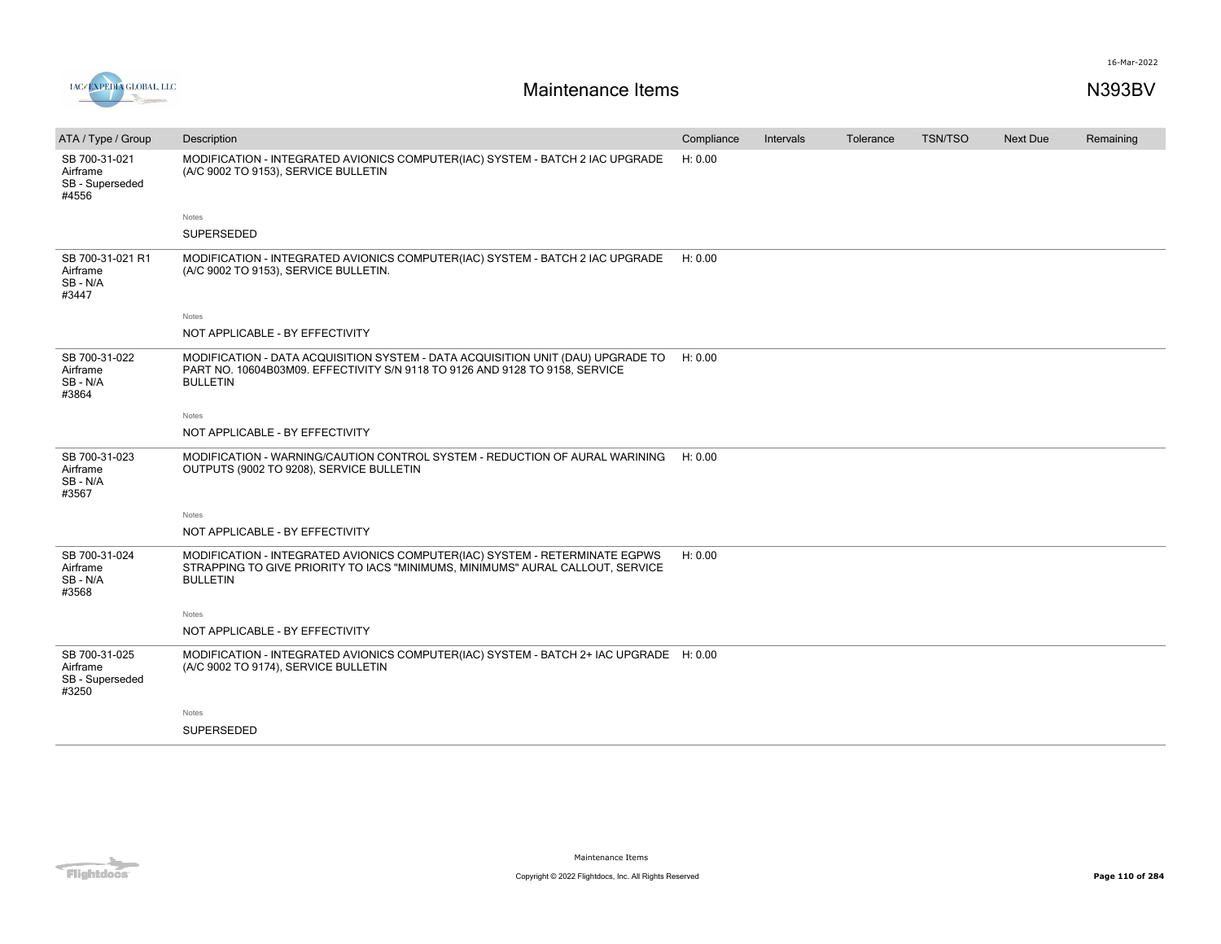

| ATA / Type / Group                                    | Description                                                                                                                                                                        | Compliance | Intervals | Tolerance | TSN/TSO | <b>Next Due</b> | Remaining |
|-------------------------------------------------------|------------------------------------------------------------------------------------------------------------------------------------------------------------------------------------|------------|-----------|-----------|---------|-----------------|-----------|
| SB 700-31-021<br>Airframe<br>SB - Superseded<br>#4556 | MODIFICATION - INTEGRATED AVIONICS COMPUTER(IAC) SYSTEM - BATCH 2 IAC UPGRADE<br>(A/C 9002 TO 9153), SERVICE BULLETIN                                                              | H: 0.00    |           |           |         |                 |           |
|                                                       | Notes                                                                                                                                                                              |            |           |           |         |                 |           |
|                                                       | SUPERSEDED                                                                                                                                                                         |            |           |           |         |                 |           |
| SB 700-31-021 R1<br>Airframe<br>SB-N/A<br>#3447       | MODIFICATION - INTEGRATED AVIONICS COMPUTER(IAC) SYSTEM - BATCH 2 IAC UPGRADE<br>(A/C 9002 TO 9153), SERVICE BULLETIN.                                                             | H: 0.00    |           |           |         |                 |           |
|                                                       | Notes                                                                                                                                                                              |            |           |           |         |                 |           |
|                                                       | NOT APPLICABLE - BY EFFECTIVITY                                                                                                                                                    |            |           |           |         |                 |           |
| SB 700-31-022<br>Airframe<br>SB - N/A<br>#3864        | MODIFICATION - DATA ACQUISITION SYSTEM - DATA ACQUISITION UNIT (DAU) UPGRADE TO<br>PART NO. 10604B03M09. EFFECTIVITY S/N 9118 TO 9126 AND 9128 TO 9158, SERVICE<br><b>BULLETIN</b> | H: 0.00    |           |           |         |                 |           |
|                                                       | Notes                                                                                                                                                                              |            |           |           |         |                 |           |
|                                                       | NOT APPLICABLE - BY EFFECTIVITY                                                                                                                                                    |            |           |           |         |                 |           |
| SB 700-31-023<br>Airframe<br>SB - N/A<br>#3567        | MODIFICATION - WARNING/CAUTION CONTROL SYSTEM - REDUCTION OF AURAL WARINING<br>OUTPUTS (9002 TO 9208), SERVICE BULLETIN                                                            | H: 0.00    |           |           |         |                 |           |
|                                                       | Notes                                                                                                                                                                              |            |           |           |         |                 |           |
|                                                       | NOT APPLICABLE - BY EFFECTIVITY                                                                                                                                                    |            |           |           |         |                 |           |
| SB 700-31-024<br>Airframe<br>SB-N/A<br>#3568          | MODIFICATION - INTEGRATED AVIONICS COMPUTER(IAC) SYSTEM - RETERMINATE EGPWS<br>STRAPPING TO GIVE PRIORITY TO IACS "MINIMUMS, MINIMUMS" AURAL CALLOUT, SERVICE<br><b>BULLETIN</b>   | H: 0.00    |           |           |         |                 |           |
|                                                       | Notes                                                                                                                                                                              |            |           |           |         |                 |           |
|                                                       | NOT APPLICABLE - BY EFFECTIVITY                                                                                                                                                    |            |           |           |         |                 |           |
| SB 700-31-025<br>Airframe<br>SB - Superseded<br>#3250 | MODIFICATION - INTEGRATED AVIONICS COMPUTER(IAC) SYSTEM - BATCH 2+ IAC UPGRADE H: 0.00<br>(A/C 9002 TO 9174), SERVICE BULLETIN                                                     |            |           |           |         |                 |           |
|                                                       | Notes                                                                                                                                                                              |            |           |           |         |                 |           |
|                                                       | SUPERSEDED                                                                                                                                                                         |            |           |           |         |                 |           |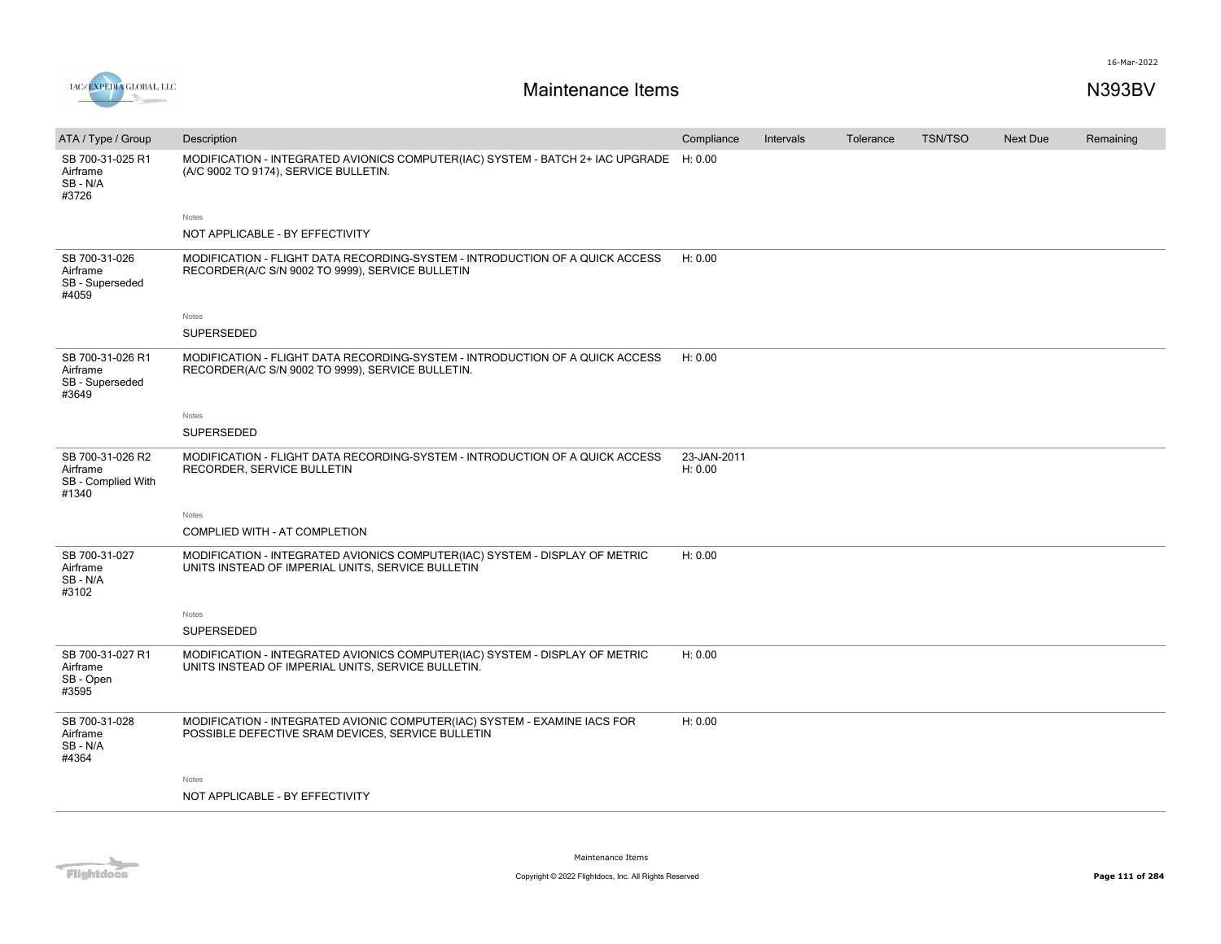

| ATA / Type / Group                                          | Description                                                                                                                       | Compliance             | Intervals | Tolerance | <b>TSN/TSO</b> | Next Due | Remaining |
|-------------------------------------------------------------|-----------------------------------------------------------------------------------------------------------------------------------|------------------------|-----------|-----------|----------------|----------|-----------|
| SB 700-31-025 R1<br>Airframe<br>SB-N/A<br>#3726             | MODIFICATION - INTEGRATED AVIONICS COMPUTER(IAC) SYSTEM - BATCH 2+ IAC UPGRADE H: 0.00<br>(A/C 9002 TO 9174), SERVICE BULLETIN.   |                        |           |           |                |          |           |
|                                                             | Notes                                                                                                                             |                        |           |           |                |          |           |
|                                                             | NOT APPLICABLE - BY EFFECTIVITY                                                                                                   |                        |           |           |                |          |           |
| SB 700-31-026<br>Airframe<br>SB - Superseded<br>#4059       | MODIFICATION - FLIGHT DATA RECORDING-SYSTEM - INTRODUCTION OF A QUICK ACCESS<br>RECORDER(A/C S/N 9002 TO 9999), SERVICE BULLETIN  | H: 0.00                |           |           |                |          |           |
|                                                             | Notes                                                                                                                             |                        |           |           |                |          |           |
|                                                             | <b>SUPERSEDED</b>                                                                                                                 |                        |           |           |                |          |           |
| SB 700-31-026 R1<br>Airframe<br>SB - Superseded<br>#3649    | MODIFICATION - FLIGHT DATA RECORDING-SYSTEM - INTRODUCTION OF A QUICK ACCESS<br>RECORDER(A/C S/N 9002 TO 9999), SERVICE BULLETIN. | H: 0.00                |           |           |                |          |           |
|                                                             | Notes                                                                                                                             |                        |           |           |                |          |           |
|                                                             | SUPERSEDED                                                                                                                        |                        |           |           |                |          |           |
| SB 700-31-026 R2<br>Airframe<br>SB - Complied With<br>#1340 | MODIFICATION - FLIGHT DATA RECORDING-SYSTEM - INTRODUCTION OF A QUICK ACCESS<br>RECORDER, SERVICE BULLETIN                        | 23-JAN-2011<br>H: 0.00 |           |           |                |          |           |
|                                                             | Notes                                                                                                                             |                        |           |           |                |          |           |
|                                                             | COMPLIED WITH - AT COMPLETION                                                                                                     |                        |           |           |                |          |           |
| SB 700-31-027<br>Airframe<br>SB-N/A<br>#3102                | MODIFICATION - INTEGRATED AVIONICS COMPUTER(IAC) SYSTEM - DISPLAY OF METRIC<br>UNITS INSTEAD OF IMPERIAL UNITS, SERVICE BULLETIN  | H: 0.00                |           |           |                |          |           |
|                                                             | Notes                                                                                                                             |                        |           |           |                |          |           |
|                                                             | <b>SUPERSEDED</b>                                                                                                                 |                        |           |           |                |          |           |
| SB 700-31-027 R1<br>Airframe<br>SB - Open<br>#3595          | MODIFICATION - INTEGRATED AVIONICS COMPUTER(IAC) SYSTEM - DISPLAY OF METRIC<br>UNITS INSTEAD OF IMPERIAL UNITS, SERVICE BULLETIN. | H: 0.00                |           |           |                |          |           |
| SB 700-31-028<br>Airframe<br>SB-N/A<br>#4364                | MODIFICATION - INTEGRATED AVIONIC COMPUTER(IAC) SYSTEM - EXAMINE IACS FOR<br>POSSIBLE DEFECTIVE SRAM DEVICES, SERVICE BULLETIN    | H: 0.00                |           |           |                |          |           |
|                                                             | Notes                                                                                                                             |                        |           |           |                |          |           |
|                                                             | NOT APPLICABLE - BY EFFECTIVITY                                                                                                   |                        |           |           |                |          |           |
|                                                             |                                                                                                                                   |                        |           |           |                |          |           |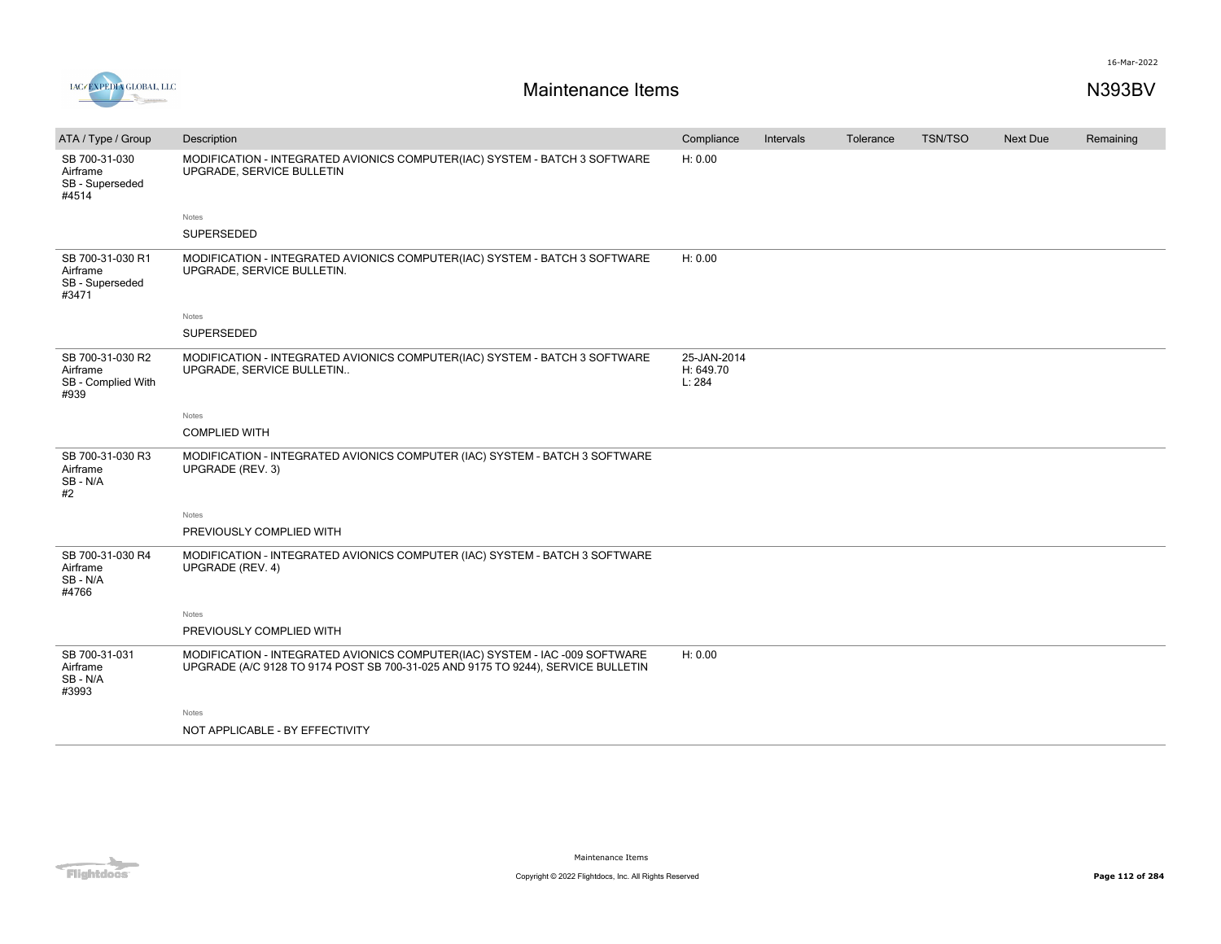

| ATA / Type / Group                                         | Description                                                                                                                                                     | Compliance                         | Intervals | Tolerance | <b>TSN/TSO</b> | Next Due | Remaining |
|------------------------------------------------------------|-----------------------------------------------------------------------------------------------------------------------------------------------------------------|------------------------------------|-----------|-----------|----------------|----------|-----------|
| SB 700-31-030<br>Airframe<br>SB - Superseded<br>#4514      | MODIFICATION - INTEGRATED AVIONICS COMPUTER(IAC) SYSTEM - BATCH 3 SOFTWARE<br>UPGRADE, SERVICE BULLETIN                                                         | H: 0.00                            |           |           |                |          |           |
|                                                            | Notes                                                                                                                                                           |                                    |           |           |                |          |           |
|                                                            | SUPERSEDED                                                                                                                                                      |                                    |           |           |                |          |           |
| SB 700-31-030 R1<br>Airframe<br>SB - Superseded<br>#3471   | MODIFICATION - INTEGRATED AVIONICS COMPUTER(IAC) SYSTEM - BATCH 3 SOFTWARE<br>UPGRADE, SERVICE BULLETIN.                                                        | H: 0.00                            |           |           |                |          |           |
|                                                            | Notes                                                                                                                                                           |                                    |           |           |                |          |           |
|                                                            | SUPERSEDED                                                                                                                                                      |                                    |           |           |                |          |           |
| SB 700-31-030 R2<br>Airframe<br>SB - Complied With<br>#939 | MODIFICATION - INTEGRATED AVIONICS COMPUTER(IAC) SYSTEM - BATCH 3 SOFTWARE<br>UPGRADE, SERVICE BULLETIN                                                         | 25-JAN-2014<br>H: 649.70<br>L: 284 |           |           |                |          |           |
|                                                            | Notes                                                                                                                                                           |                                    |           |           |                |          |           |
|                                                            | <b>COMPLIED WITH</b>                                                                                                                                            |                                    |           |           |                |          |           |
| SB 700-31-030 R3<br>Airframe<br>SB-N/A<br>#2               | MODIFICATION - INTEGRATED AVIONICS COMPUTER (IAC) SYSTEM - BATCH 3 SOFTWARE<br>UPGRADE (REV. 3)                                                                 |                                    |           |           |                |          |           |
|                                                            | Notes                                                                                                                                                           |                                    |           |           |                |          |           |
|                                                            | PREVIOUSLY COMPLIED WITH                                                                                                                                        |                                    |           |           |                |          |           |
| SB 700-31-030 R4<br>Airframe<br>SB-N/A<br>#4766            | MODIFICATION - INTEGRATED AVIONICS COMPUTER (IAC) SYSTEM - BATCH 3 SOFTWARE<br>UPGRADE (REV. 4)                                                                 |                                    |           |           |                |          |           |
|                                                            | Notes                                                                                                                                                           |                                    |           |           |                |          |           |
|                                                            | PREVIOUSLY COMPLIED WITH                                                                                                                                        |                                    |           |           |                |          |           |
| SB 700-31-031<br>Airframe<br>SB-N/A<br>#3993               | MODIFICATION - INTEGRATED AVIONICS COMPUTER(IAC) SYSTEM - IAC -009 SOFTWARE<br>UPGRADE (A/C 9128 TO 9174 POST SB 700-31-025 AND 9175 TO 9244), SERVICE BULLETIN | H: 0.00                            |           |           |                |          |           |
|                                                            | Notes                                                                                                                                                           |                                    |           |           |                |          |           |
|                                                            | NOT APPLICABLE - BY EFFECTIVITY                                                                                                                                 |                                    |           |           |                |          |           |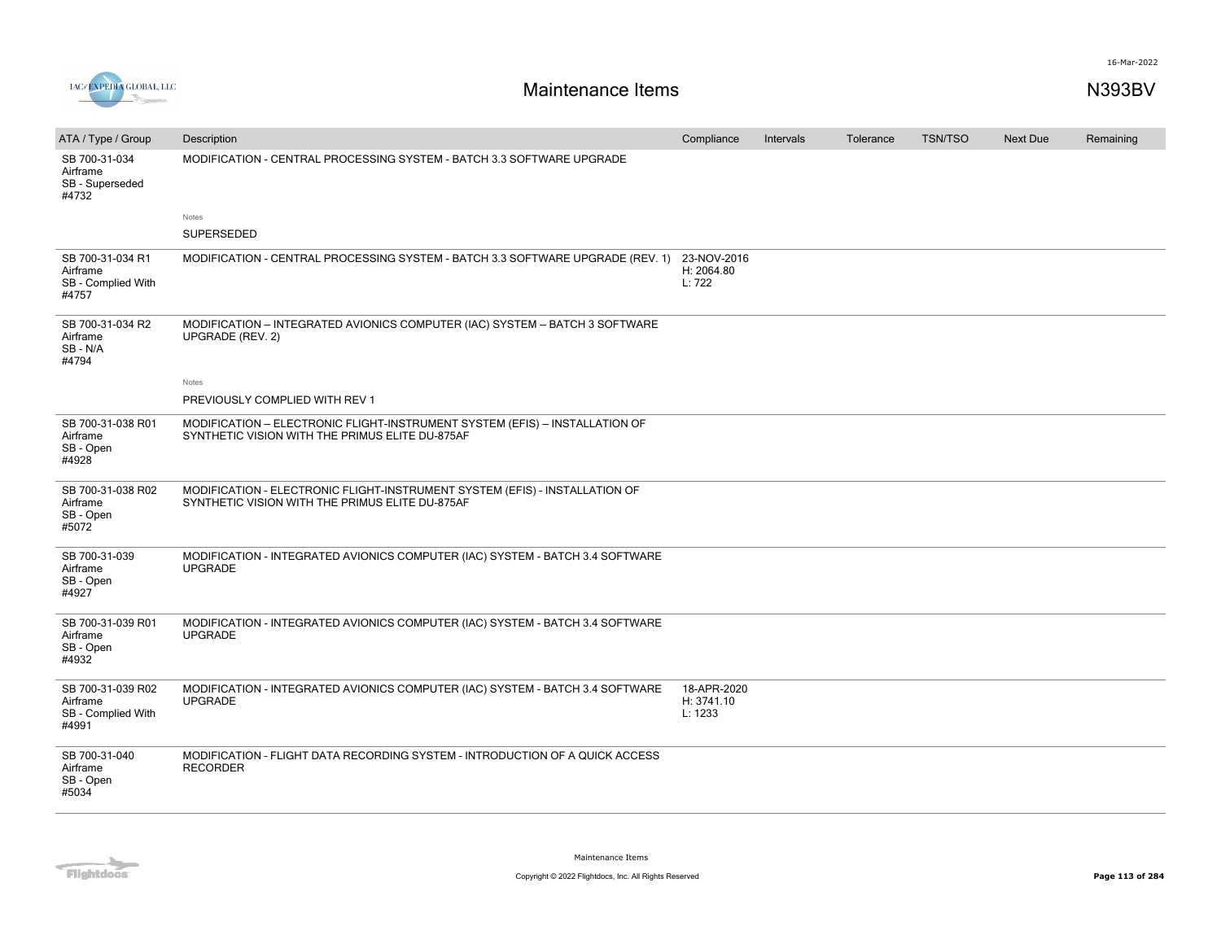

| ATA / Type / Group                                           | Description                                                                                                                    | Compliance                           | Intervals | Tolerance | <b>TSN/TSO</b> | <b>Next Due</b> | Remaining |
|--------------------------------------------------------------|--------------------------------------------------------------------------------------------------------------------------------|--------------------------------------|-----------|-----------|----------------|-----------------|-----------|
| SB 700-31-034<br>Airframe<br>SB - Superseded<br>#4732        | MODIFICATION - CENTRAL PROCESSING SYSTEM - BATCH 3.3 SOFTWARE UPGRADE                                                          |                                      |           |           |                |                 |           |
|                                                              | Notes                                                                                                                          |                                      |           |           |                |                 |           |
|                                                              | SUPERSEDED                                                                                                                     |                                      |           |           |                |                 |           |
| SB 700-31-034 R1<br>Airframe<br>SB - Complied With<br>#4757  | MODIFICATION - CENTRAL PROCESSING SYSTEM - BATCH 3.3 SOFTWARE UPGRADE (REV. 1)                                                 | 23-NOV-2016<br>H: 2064.80<br>L: 722  |           |           |                |                 |           |
| SB 700-31-034 R2<br>Airframe<br>SB - N/A<br>#4794            | MODIFICATION - INTEGRATED AVIONICS COMPUTER (IAC) SYSTEM - BATCH 3 SOFTWARE<br>UPGRADE (REV. 2)                                |                                      |           |           |                |                 |           |
|                                                              | Notes                                                                                                                          |                                      |           |           |                |                 |           |
|                                                              | PREVIOUSLY COMPLIED WITH REV 1                                                                                                 |                                      |           |           |                |                 |           |
| SB 700-31-038 R01<br>Airframe<br>SB - Open<br>#4928          | MODIFICATION - ELECTRONIC FLIGHT-INSTRUMENT SYSTEM (EFIS) - INSTALLATION OF<br>SYNTHETIC VISION WITH THE PRIMUS ELITE DU-875AF |                                      |           |           |                |                 |           |
| SB 700-31-038 R02<br>Airframe<br>SB - Open<br>#5072          | MODIFICATION - ELECTRONIC FLIGHT-INSTRUMENT SYSTEM (EFIS) - INSTALLATION OF<br>SYNTHETIC VISION WITH THE PRIMUS ELITE DU-875AF |                                      |           |           |                |                 |           |
| SB 700-31-039<br>Airframe<br>SB - Open<br>#4927              | MODIFICATION - INTEGRATED AVIONICS COMPUTER (IAC) SYSTEM - BATCH 3.4 SOFTWARE<br><b>UPGRADE</b>                                |                                      |           |           |                |                 |           |
| SB 700-31-039 R01<br>Airframe<br>SB - Open<br>#4932          | MODIFICATION - INTEGRATED AVIONICS COMPUTER (IAC) SYSTEM - BATCH 3.4 SOFTWARE<br><b>UPGRADE</b>                                |                                      |           |           |                |                 |           |
| SB 700-31-039 R02<br>Airframe<br>SB - Complied With<br>#4991 | MODIFICATION - INTEGRATED AVIONICS COMPUTER (IAC) SYSTEM - BATCH 3.4 SOFTWARE<br><b>UPGRADE</b>                                | 18-APR-2020<br>H: 3741.10<br>L: 1233 |           |           |                |                 |           |
| SB 700-31-040<br>Airframe<br>SB - Open<br>#5034              | MODIFICATION - FLIGHT DATA RECORDING SYSTEM - INTRODUCTION OF A QUICK ACCESS<br><b>RECORDER</b>                                |                                      |           |           |                |                 |           |

Flightdocs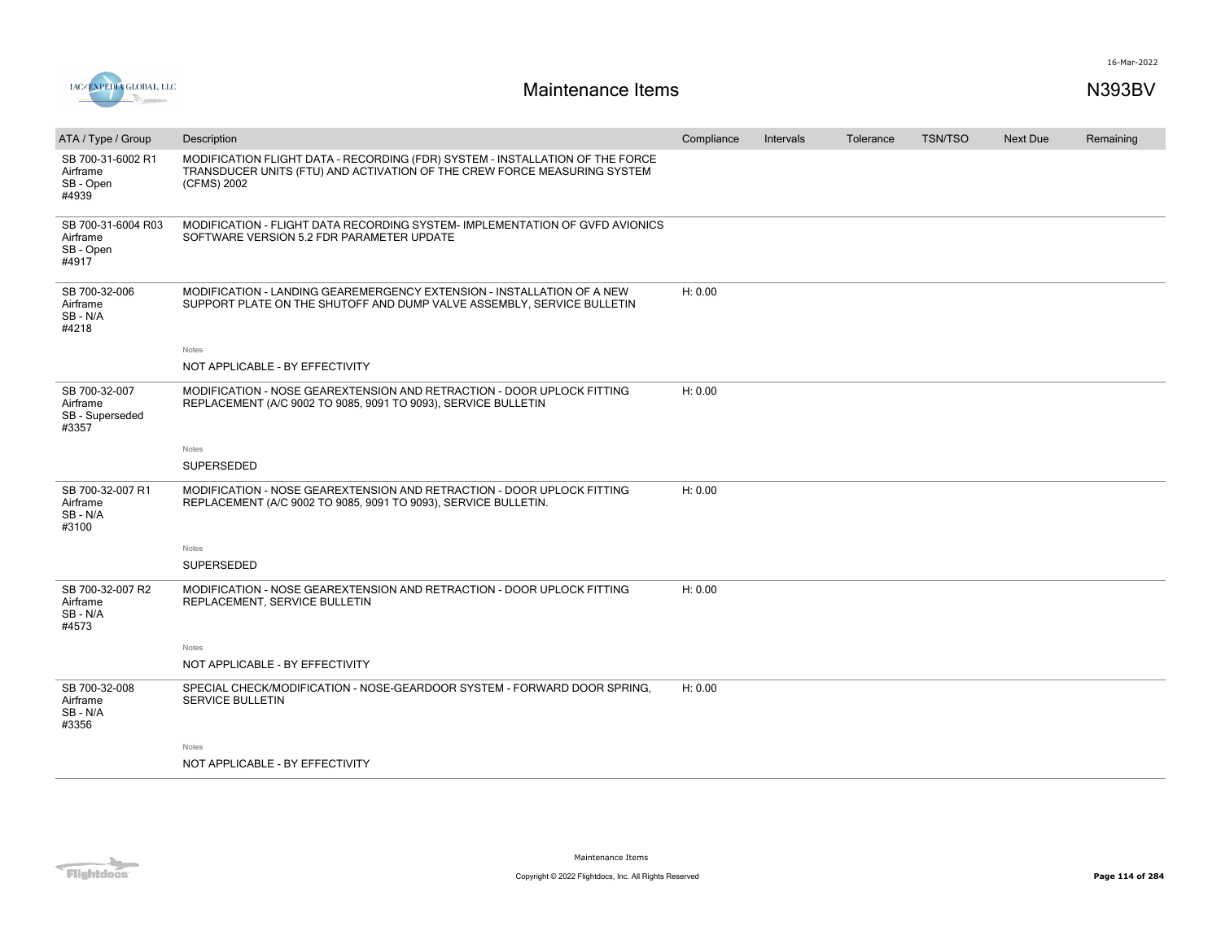

| ATA / Type / Group                                    | Description                                                                                                                                                              | Compliance | Intervals | Tolerance | <b>TSN/TSO</b> | Next Due | Remaining |
|-------------------------------------------------------|--------------------------------------------------------------------------------------------------------------------------------------------------------------------------|------------|-----------|-----------|----------------|----------|-----------|
| SB 700-31-6002 R1<br>Airframe<br>SB - Open<br>#4939   | MODIFICATION FLIGHT DATA - RECORDING (FDR) SYSTEM - INSTALLATION OF THE FORCE<br>TRANSDUCER UNITS (FTU) AND ACTIVATION OF THE CREW FORCE MEASURING SYSTEM<br>(CFMS) 2002 |            |           |           |                |          |           |
| SB 700-31-6004 R03<br>Airframe<br>SB - Open<br>#4917  | MODIFICATION - FLIGHT DATA RECORDING SYSTEM-IMPLEMENTATION OF GVFD AVIONICS<br>SOFTWARE VERSION 5.2 FDR PARAMETER UPDATE                                                 |            |           |           |                |          |           |
| SB 700-32-006<br>Airframe<br>SB-N/A<br>#4218          | MODIFICATION - LANDING GEAREMERGENCY EXTENSION - INSTALLATION OF A NEW<br>SUPPORT PLATE ON THE SHUTOFF AND DUMP VALVE ASSEMBLY, SERVICE BULLETIN                         | H: 0.00    |           |           |                |          |           |
|                                                       | Notes                                                                                                                                                                    |            |           |           |                |          |           |
|                                                       | NOT APPLICABLE - BY EFFECTIVITY                                                                                                                                          |            |           |           |                |          |           |
| SB 700-32-007<br>Airframe<br>SB - Superseded<br>#3357 | MODIFICATION - NOSE GEAREXTENSION AND RETRACTION - DOOR UPLOCK FITTING<br>REPLACEMENT (A/C 9002 TO 9085, 9091 TO 9093), SERVICE BULLETIN                                 | H: 0.00    |           |           |                |          |           |
|                                                       | Notes                                                                                                                                                                    |            |           |           |                |          |           |
|                                                       | SUPERSEDED                                                                                                                                                               |            |           |           |                |          |           |
| SB 700-32-007 R1<br>Airframe<br>SB-N/A<br>#3100       | MODIFICATION - NOSE GEAREXTENSION AND RETRACTION - DOOR UPLOCK FITTING<br>REPLACEMENT (A/C 9002 TO 9085, 9091 TO 9093), SERVICE BULLETIN.                                | H: 0.00    |           |           |                |          |           |
|                                                       | Notes                                                                                                                                                                    |            |           |           |                |          |           |
|                                                       | SUPERSEDED                                                                                                                                                               |            |           |           |                |          |           |
| SB 700-32-007 R2<br>Airframe<br>SB-N/A<br>#4573       | MODIFICATION - NOSE GEAREXTENSION AND RETRACTION - DOOR UPLOCK FITTING<br>REPLACEMENT, SERVICE BULLETIN                                                                  | H: 0.00    |           |           |                |          |           |
|                                                       | <b>Notes</b>                                                                                                                                                             |            |           |           |                |          |           |
|                                                       | NOT APPLICABLE - BY EFFECTIVITY                                                                                                                                          |            |           |           |                |          |           |
| SB 700-32-008<br>Airframe<br>SB-N/A<br>#3356          | SPECIAL CHECK/MODIFICATION - NOSE-GEARDOOR SYSTEM - FORWARD DOOR SPRING,<br><b>SERVICE BULLETIN</b>                                                                      | H: 0.00    |           |           |                |          |           |
|                                                       | Notes                                                                                                                                                                    |            |           |           |                |          |           |
|                                                       | NOT APPLICABLE - BY EFFECTIVITY                                                                                                                                          |            |           |           |                |          |           |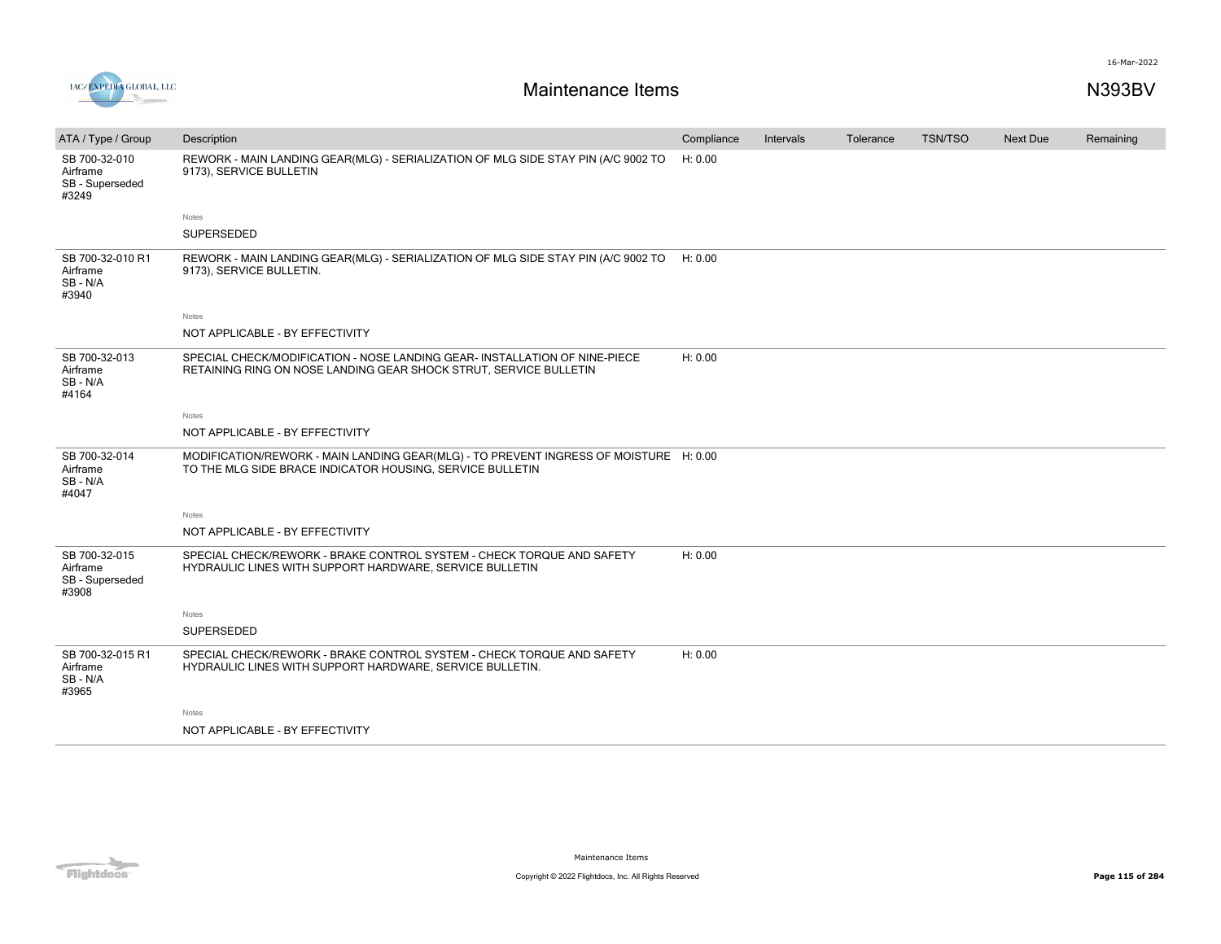

| ATA / Type / Group                                    | Description                                                                                                                                        | Compliance | Intervals | Tolerance | <b>TSN/TSO</b> | <b>Next Due</b> | Remaining |
|-------------------------------------------------------|----------------------------------------------------------------------------------------------------------------------------------------------------|------------|-----------|-----------|----------------|-----------------|-----------|
| SB 700-32-010<br>Airframe<br>SB - Superseded<br>#3249 | REWORK - MAIN LANDING GEAR(MLG) - SERIALIZATION OF MLG SIDE STAY PIN (A/C 9002 TO<br>9173), SERVICE BULLETIN                                       | H: 0.00    |           |           |                |                 |           |
|                                                       | Notes                                                                                                                                              |            |           |           |                |                 |           |
|                                                       | SUPERSEDED                                                                                                                                         |            |           |           |                |                 |           |
| SB 700-32-010 R1<br>Airframe<br>SB-N/A<br>#3940       | REWORK - MAIN LANDING GEAR(MLG) - SERIALIZATION OF MLG SIDE STAY PIN (A/C 9002 TO<br>9173), SERVICE BULLETIN.                                      | H: 0.00    |           |           |                |                 |           |
|                                                       | Notes                                                                                                                                              |            |           |           |                |                 |           |
|                                                       | NOT APPLICABLE - BY EFFECTIVITY                                                                                                                    |            |           |           |                |                 |           |
| SB 700-32-013<br>Airframe<br>SB-N/A<br>#4164          | SPECIAL CHECK/MODIFICATION - NOSE LANDING GEAR- INSTALLATION OF NINE-PIECE<br>RETAINING RING ON NOSE LANDING GEAR SHOCK STRUT, SERVICE BULLETIN    | H: 0.00    |           |           |                |                 |           |
|                                                       | <b>Notes</b>                                                                                                                                       |            |           |           |                |                 |           |
|                                                       | NOT APPLICABLE - BY EFFECTIVITY                                                                                                                    |            |           |           |                |                 |           |
| SB 700-32-014<br>Airframe<br>SB-N/A<br>#4047          | MODIFICATION/REWORK - MAIN LANDING GEAR(MLG) - TO PREVENT INGRESS OF MOISTURE H: 0.00<br>TO THE MLG SIDE BRACE INDICATOR HOUSING, SERVICE BULLETIN |            |           |           |                |                 |           |
|                                                       | Notes                                                                                                                                              |            |           |           |                |                 |           |
|                                                       | NOT APPLICABLE - BY EFFECTIVITY                                                                                                                    |            |           |           |                |                 |           |
| SB 700-32-015<br>Airframe<br>SB - Superseded<br>#3908 | SPECIAL CHECK/REWORK - BRAKE CONTROL SYSTEM - CHECK TORQUE AND SAFETY<br>HYDRAULIC LINES WITH SUPPORT HARDWARE, SERVICE BULLETIN                   | H: 0.00    |           |           |                |                 |           |
|                                                       | <b>Notes</b>                                                                                                                                       |            |           |           |                |                 |           |
|                                                       | <b>SUPERSEDED</b>                                                                                                                                  |            |           |           |                |                 |           |
| SB 700-32-015 R1<br>Airframe<br>SB-N/A<br>#3965       | SPECIAL CHECK/REWORK - BRAKE CONTROL SYSTEM - CHECK TORQUE AND SAFETY<br>HYDRAULIC LINES WITH SUPPORT HARDWARE, SERVICE BULLETIN.                  | H: 0.00    |           |           |                |                 |           |
|                                                       | <b>Notes</b>                                                                                                                                       |            |           |           |                |                 |           |
|                                                       | NOT APPLICABLE - BY EFFECTIVITY                                                                                                                    |            |           |           |                |                 |           |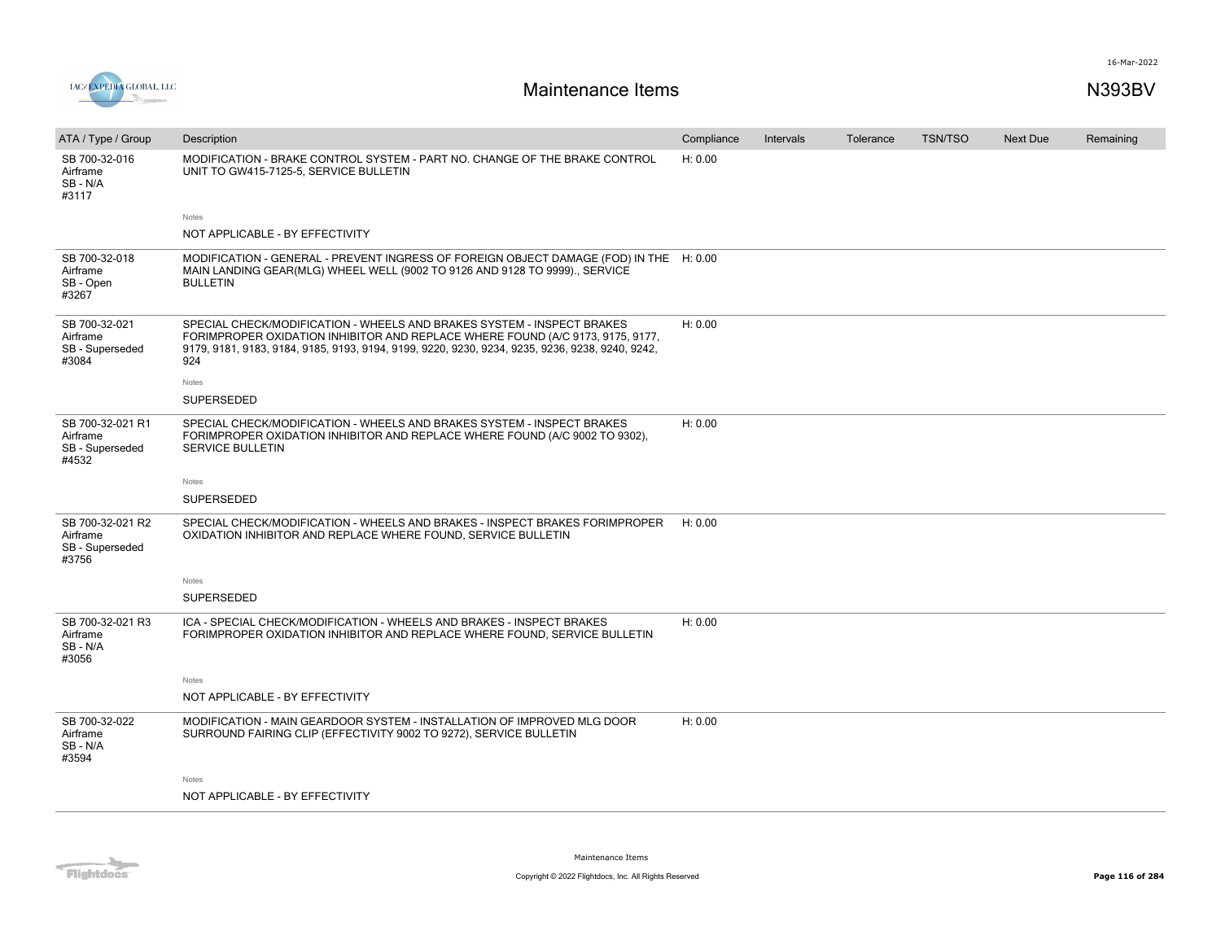



| ATA / Type / Group                                       | Description                                                                                                                                                                                                                                                        | Compliance | Intervals | Tolerance | <b>TSN/TSO</b> | <b>Next Due</b> | Remaining |
|----------------------------------------------------------|--------------------------------------------------------------------------------------------------------------------------------------------------------------------------------------------------------------------------------------------------------------------|------------|-----------|-----------|----------------|-----------------|-----------|
| SB 700-32-016<br>Airframe<br>SB-N/A<br>#3117             | MODIFICATION - BRAKE CONTROL SYSTEM - PART NO. CHANGE OF THE BRAKE CONTROL<br>UNIT TO GW415-7125-5, SERVICE BULLETIN                                                                                                                                               | H: 0.00    |           |           |                |                 |           |
|                                                          | Notes                                                                                                                                                                                                                                                              |            |           |           |                |                 |           |
|                                                          | NOT APPLICABLE - BY EFFECTIVITY                                                                                                                                                                                                                                    |            |           |           |                |                 |           |
| SB 700-32-018<br>Airframe<br>SB - Open<br>#3267          | MODIFICATION - GENERAL - PREVENT INGRESS OF FOREIGN OBJECT DAMAGE (FOD) IN THE H: 0.00<br>MAIN LANDING GEAR(MLG) WHEEL WELL (9002 TO 9126 AND 9128 TO 9999)., SERVICE<br><b>BULLETIN</b>                                                                           |            |           |           |                |                 |           |
| SB 700-32-021<br>Airframe<br>SB - Superseded<br>#3084    | SPECIAL CHECK/MODIFICATION - WHEELS AND BRAKES SYSTEM - INSPECT BRAKES<br>FORIMPROPER OXIDATION INHIBITOR AND REPLACE WHERE FOUND (A/C 9173, 9175, 9177,<br>9179, 9181, 9183, 9184, 9185, 9193, 9194, 9199, 9220, 9230, 9234, 9235, 9236, 9238, 9240, 9242,<br>924 | H: 0.00    |           |           |                |                 |           |
|                                                          | Notes                                                                                                                                                                                                                                                              |            |           |           |                |                 |           |
|                                                          | SUPERSEDED                                                                                                                                                                                                                                                         |            |           |           |                |                 |           |
| SB 700-32-021 R1<br>Airframe<br>SB - Superseded<br>#4532 | SPECIAL CHECK/MODIFICATION - WHEELS AND BRAKES SYSTEM - INSPECT BRAKES<br>FORIMPROPER OXIDATION INHIBITOR AND REPLACE WHERE FOUND (A/C 9002 TO 9302),<br><b>SERVICE BULLETIN</b>                                                                                   | H: 0.00    |           |           |                |                 |           |
|                                                          | Notes                                                                                                                                                                                                                                                              |            |           |           |                |                 |           |
|                                                          | SUPERSEDED                                                                                                                                                                                                                                                         |            |           |           |                |                 |           |
| SB 700-32-021 R2<br>Airframe<br>SB - Superseded<br>#3756 | SPECIAL CHECK/MODIFICATION - WHEELS AND BRAKES - INSPECT BRAKES FORIMPROPER<br>OXIDATION INHIBITOR AND REPLACE WHERE FOUND, SERVICE BULLETIN                                                                                                                       | H: 0.00    |           |           |                |                 |           |
|                                                          | Notes                                                                                                                                                                                                                                                              |            |           |           |                |                 |           |
|                                                          | SUPERSEDED                                                                                                                                                                                                                                                         |            |           |           |                |                 |           |
| SB 700-32-021 R3<br>Airframe<br>SB-N/A<br>#3056          | ICA - SPECIAL CHECK/MODIFICATION - WHEELS AND BRAKES - INSPECT BRAKES<br>FORIMPROPER OXIDATION INHIBITOR AND REPLACE WHERE FOUND, SERVICE BULLETIN                                                                                                                 | H: 0.00    |           |           |                |                 |           |
|                                                          | Notes                                                                                                                                                                                                                                                              |            |           |           |                |                 |           |
|                                                          | NOT APPLICABLE - BY EFFECTIVITY                                                                                                                                                                                                                                    |            |           |           |                |                 |           |
| SB 700-32-022<br>Airframe<br>SB-N/A<br>#3594             | MODIFICATION - MAIN GEARDOOR SYSTEM - INSTALLATION OF IMPROVED MLG DOOR<br>SURROUND FAIRING CLIP (EFFECTIVITY 9002 TO 9272), SERVICE BULLETIN                                                                                                                      | H: 0.00    |           |           |                |                 |           |
|                                                          | Notes                                                                                                                                                                                                                                                              |            |           |           |                |                 |           |
|                                                          | NOT APPLICABLE - BY EFFECTIVITY                                                                                                                                                                                                                                    |            |           |           |                |                 |           |

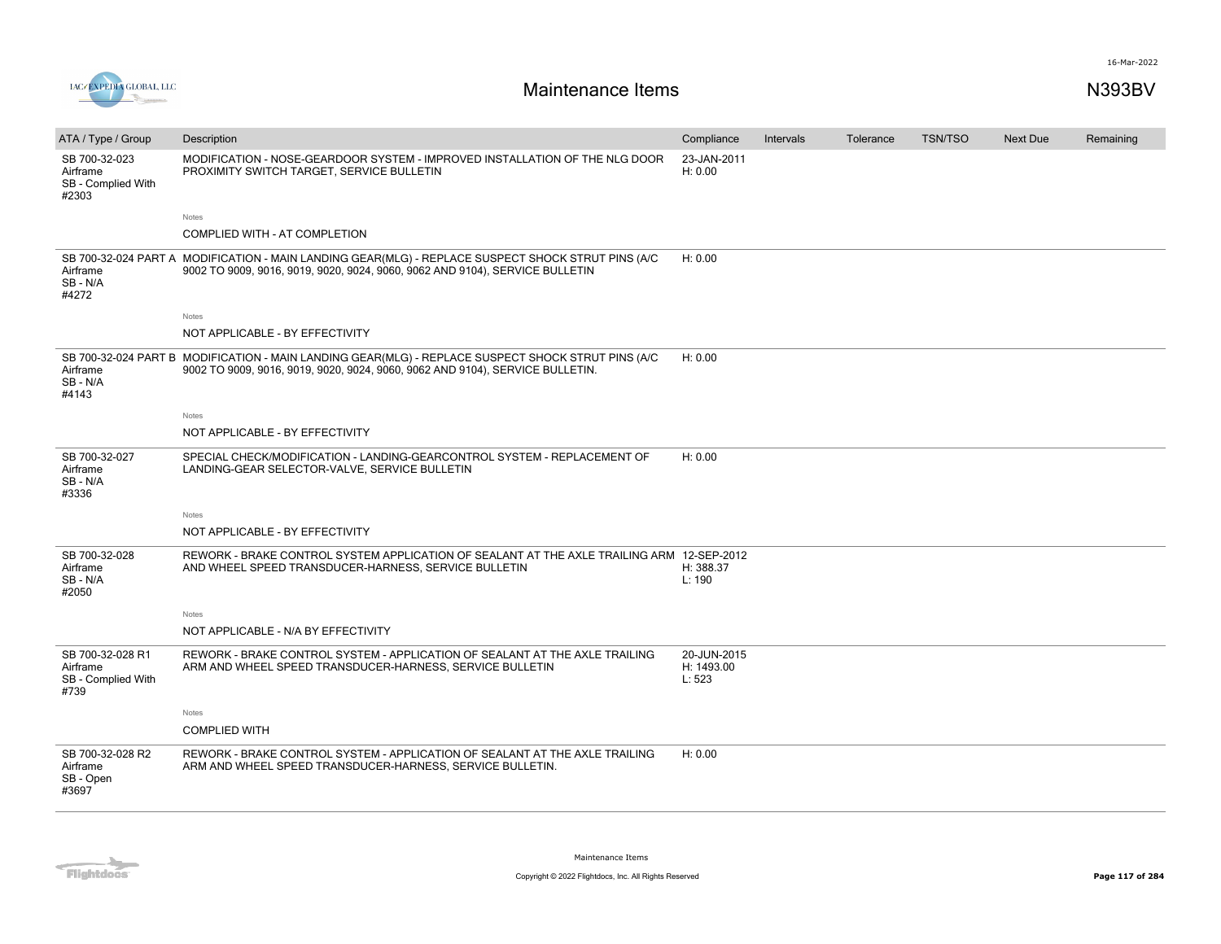



| ATA / Type / Group                                         | Description                                                                                                                                                                         | Compliance                          | Intervals | Tolerance | <b>TSN/TSO</b> | Next Due | Remaining |
|------------------------------------------------------------|-------------------------------------------------------------------------------------------------------------------------------------------------------------------------------------|-------------------------------------|-----------|-----------|----------------|----------|-----------|
| SB 700-32-023<br>Airframe<br>SB - Complied With<br>#2303   | MODIFICATION - NOSE-GEARDOOR SYSTEM - IMPROVED INSTALLATION OF THE NLG DOOR<br>PROXIMITY SWITCH TARGET, SERVICE BULLETIN                                                            | 23-JAN-2011<br>H: 0.00              |           |           |                |          |           |
|                                                            | Notes                                                                                                                                                                               |                                     |           |           |                |          |           |
|                                                            | COMPLIED WITH - AT COMPLETION                                                                                                                                                       |                                     |           |           |                |          |           |
| Airframe<br>SB-N/A<br>#4272                                | SB 700-32-024 PART A MODIFICATION - MAIN LANDING GEAR(MLG) - REPLACE SUSPECT SHOCK STRUT PINS (A/C<br>9002 TO 9009, 9016, 9019, 9020, 9024, 9060, 9062 AND 9104), SERVICE BULLETIN  | H: 0.00                             |           |           |                |          |           |
|                                                            | Notes                                                                                                                                                                               |                                     |           |           |                |          |           |
|                                                            | NOT APPLICABLE - BY EFFECTIVITY                                                                                                                                                     |                                     |           |           |                |          |           |
| Airframe<br>SB-N/A<br>#4143                                | SB 700-32-024 PART B MODIFICATION - MAIN LANDING GEAR(MLG) - REPLACE SUSPECT SHOCK STRUT PINS (A/C<br>9002 TO 9009, 9016, 9019, 9020, 9024, 9060, 9062 AND 9104), SERVICE BULLETIN. | H: 0.00                             |           |           |                |          |           |
|                                                            | Notes                                                                                                                                                                               |                                     |           |           |                |          |           |
|                                                            | NOT APPLICABLE - BY EFFECTIVITY                                                                                                                                                     |                                     |           |           |                |          |           |
| SB 700-32-027<br>Airframe<br>SB-N/A<br>#3336               | SPECIAL CHECK/MODIFICATION - LANDING-GEARCONTROL SYSTEM - REPLACEMENT OF<br>LANDING-GEAR SELECTOR-VALVE, SERVICE BULLETIN                                                           | H: 0.00                             |           |           |                |          |           |
|                                                            | Notes                                                                                                                                                                               |                                     |           |           |                |          |           |
|                                                            | NOT APPLICABLE - BY EFFECTIVITY                                                                                                                                                     |                                     |           |           |                |          |           |
| SB 700-32-028<br>Airframe<br>SB-N/A<br>#2050               | REWORK - BRAKE CONTROL SYSTEM APPLICATION OF SEALANT AT THE AXLE TRAILING ARM 12-SEP-2012<br>AND WHEEL SPEED TRANSDUCER-HARNESS, SERVICE BULLETIN                                   | H: 388.37<br>L: 190                 |           |           |                |          |           |
|                                                            | Notes                                                                                                                                                                               |                                     |           |           |                |          |           |
|                                                            | NOT APPLICABLE - N/A BY EFFECTIVITY                                                                                                                                                 |                                     |           |           |                |          |           |
| SB 700-32-028 R1<br>Airframe<br>SB - Complied With<br>#739 | REWORK - BRAKE CONTROL SYSTEM - APPLICATION OF SEALANT AT THE AXLE TRAILING<br>ARM AND WHEEL SPEED TRANSDUCER-HARNESS, SERVICE BULLETIN                                             | 20-JUN-2015<br>H: 1493.00<br>L: 523 |           |           |                |          |           |
|                                                            | Notes                                                                                                                                                                               |                                     |           |           |                |          |           |
|                                                            | <b>COMPLIED WITH</b>                                                                                                                                                                |                                     |           |           |                |          |           |
| SB 700-32-028 R2<br>Airframe<br>SB - Open<br>#3697         | REWORK - BRAKE CONTROL SYSTEM - APPLICATION OF SEALANT AT THE AXLE TRAILING<br>ARM AND WHEEL SPEED TRANSDUCER-HARNESS, SERVICE BULLETIN.                                            | H: 0.00                             |           |           |                |          |           |

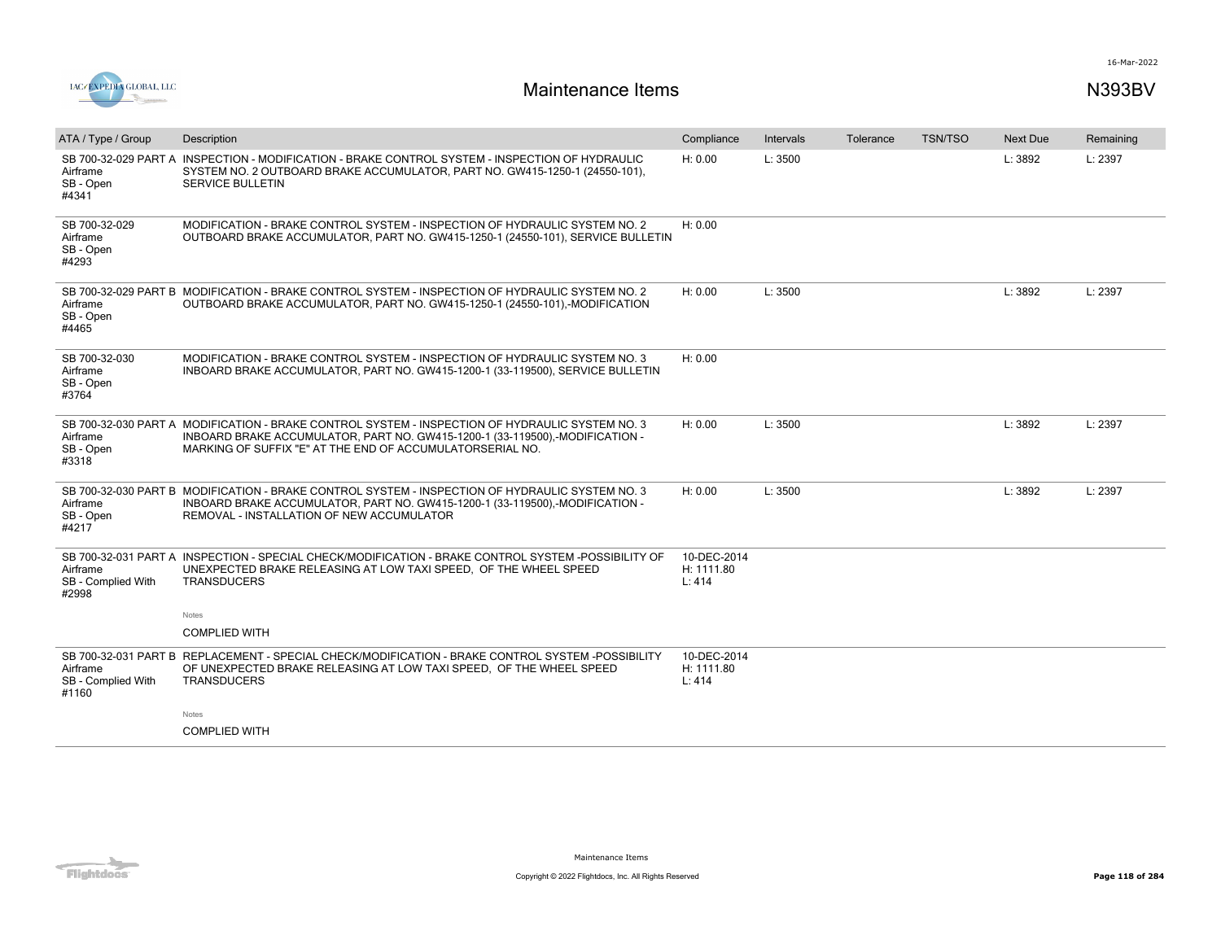

| ATA / Type / Group                              | Description                                                                                                                                                                                                                                  | Compliance                          | Intervals | Tolerance | <b>TSN/TSO</b> | <b>Next Due</b> | Remaining |
|-------------------------------------------------|----------------------------------------------------------------------------------------------------------------------------------------------------------------------------------------------------------------------------------------------|-------------------------------------|-----------|-----------|----------------|-----------------|-----------|
| Airframe<br>SB - Open<br>#4341                  | SB 700-32-029 PART A INSPECTION - MODIFICATION - BRAKE CONTROL SYSTEM - INSPECTION OF HYDRAULIC<br>SYSTEM NO. 2 OUTBOARD BRAKE ACCUMULATOR, PART NO. GW415-1250-1 (24550-101),<br><b>SERVICE BULLETIN</b>                                    | H: 0.00                             | L: 3500   |           |                | L: 3892         | L: 2397   |
| SB 700-32-029<br>Airframe<br>SB - Open<br>#4293 | MODIFICATION - BRAKE CONTROL SYSTEM - INSPECTION OF HYDRAULIC SYSTEM NO. 2<br>OUTBOARD BRAKE ACCUMULATOR, PART NO. GW415-1250-1 (24550-101), SERVICE BULLETIN                                                                                | H: 0.00                             |           |           |                |                 |           |
| Airframe<br>SB - Open<br>#4465                  | SB 700-32-029 PART B MODIFICATION - BRAKE CONTROL SYSTEM - INSPECTION OF HYDRAULIC SYSTEM NO. 2<br>OUTBOARD BRAKE ACCUMULATOR, PART NO. GW415-1250-1 (24550-101),-MODIFICATION                                                               | H: 0.00                             | L: 3500   |           |                | L: 3892         | L: 2397   |
| SB 700-32-030<br>Airframe<br>SB - Open<br>#3764 | MODIFICATION - BRAKE CONTROL SYSTEM - INSPECTION OF HYDRAULIC SYSTEM NO. 3<br>INBOARD BRAKE ACCUMULATOR, PART NO. GW415-1200-1 (33-119500), SERVICE BULLETIN                                                                                 | H: 0.00                             |           |           |                |                 |           |
| Airframe<br>SB - Open<br>#3318                  | SB 700-32-030 PART A MODIFICATION - BRAKE CONTROL SYSTEM - INSPECTION OF HYDRAULIC SYSTEM NO. 3<br>INBOARD BRAKE ACCUMULATOR, PART NO. GW415-1200-1 (33-119500),-MODIFICATION -<br>MARKING OF SUFFIX "E" AT THE END OF ACCUMULATORSERIAL NO. | H: 0.00                             | L: 3500   |           |                | L: 3892         | L: 2397   |
| Airframe<br>SB - Open<br>#4217                  | SB 700-32-030 PART B MODIFICATION - BRAKE CONTROL SYSTEM - INSPECTION OF HYDRAULIC SYSTEM NO. 3<br>INBOARD BRAKE ACCUMULATOR, PART NO. GW415-1200-1 (33-119500),-MODIFICATION -<br>REMOVAL - INSTALLATION OF NEW ACCUMULATOR                 | H: 0.00                             | L: 3500   |           |                | L: 3892         | L: 2397   |
| Airframe<br>SB - Complied With<br>#2998         | SB 700-32-031 PART A INSPECTION - SPECIAL CHECK/MODIFICATION - BRAKE CONTROL SYSTEM -POSSIBILITY OF<br>UNEXPECTED BRAKE RELEASING AT LOW TAXI SPEED, OF THE WHEEL SPEED<br><b>TRANSDUCERS</b>                                                | 10-DEC-2014<br>H: 1111.80<br>L: 414 |           |           |                |                 |           |
|                                                 | Notes                                                                                                                                                                                                                                        |                                     |           |           |                |                 |           |
|                                                 | <b>COMPLIED WITH</b>                                                                                                                                                                                                                         |                                     |           |           |                |                 |           |
| Airframe<br>SB - Complied With<br>#1160         | SB 700-32-031 PART B REPLACEMENT - SPECIAL CHECK/MODIFICATION - BRAKE CONTROL SYSTEM -POSSIBILITY<br>OF UNEXPECTED BRAKE RELEASING AT LOW TAXI SPEED. OF THE WHEEL SPEED<br><b>TRANSDUCERS</b>                                               | 10-DEC-2014<br>H: 1111.80<br>L: 414 |           |           |                |                 |           |
|                                                 | <b>Notes</b>                                                                                                                                                                                                                                 |                                     |           |           |                |                 |           |
|                                                 | <b>COMPLIED WITH</b>                                                                                                                                                                                                                         |                                     |           |           |                |                 |           |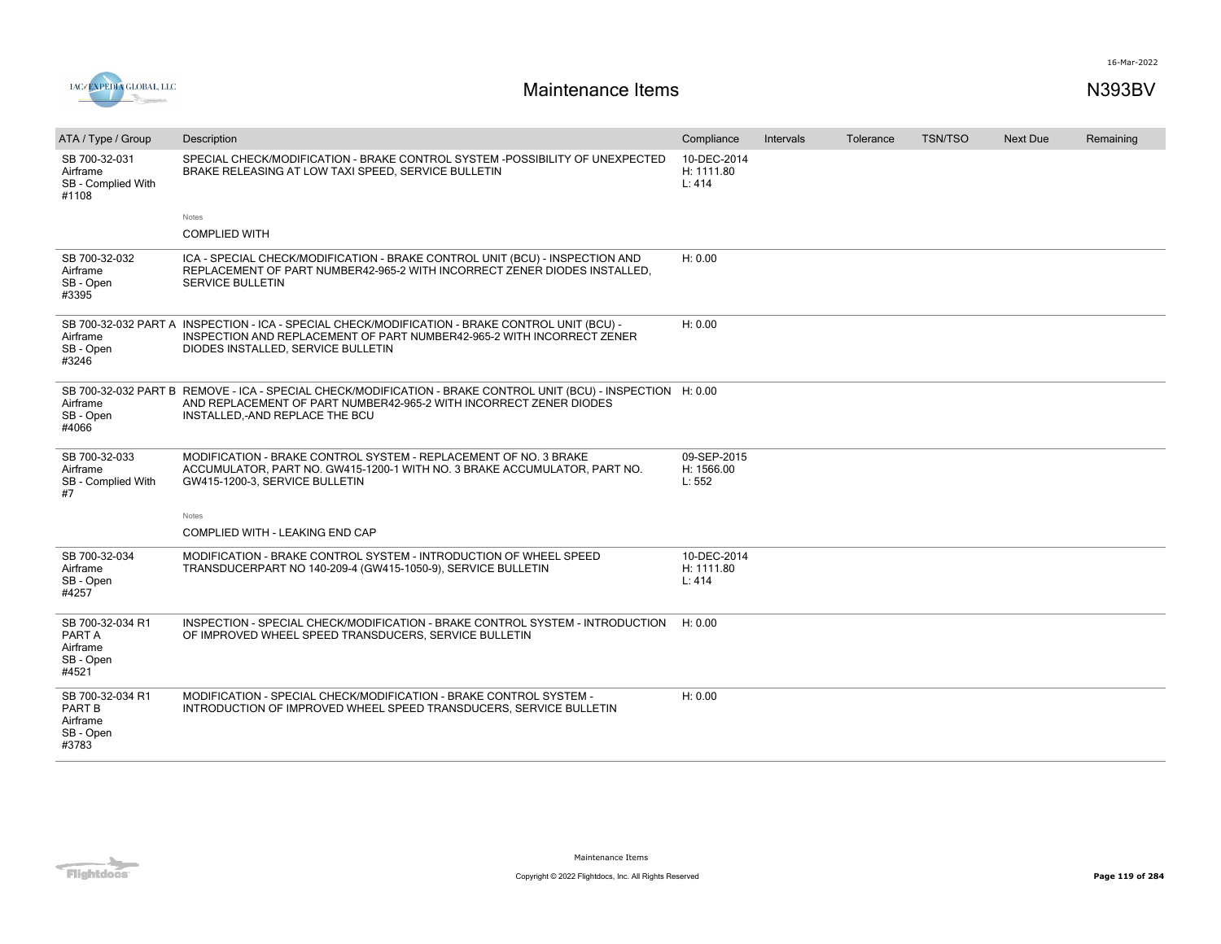

| ATA / Type / Group                                           | Description                                                                                                                                                                                                            | Compliance                          | Intervals | Tolerance | <b>TSN/TSO</b> | Next Due | Remaining |
|--------------------------------------------------------------|------------------------------------------------------------------------------------------------------------------------------------------------------------------------------------------------------------------------|-------------------------------------|-----------|-----------|----------------|----------|-----------|
| SB 700-32-031<br>Airframe<br>SB - Complied With<br>#1108     | SPECIAL CHECK/MODIFICATION - BRAKE CONTROL SYSTEM -POSSIBILITY OF UNEXPECTED<br>BRAKE RELEASING AT LOW TAXI SPEED, SERVICE BULLETIN                                                                                    | 10-DEC-2014<br>H: 1111.80<br>L: 414 |           |           |                |          |           |
|                                                              | Notes<br><b>COMPLIED WITH</b>                                                                                                                                                                                          |                                     |           |           |                |          |           |
| SB 700-32-032<br>Airframe<br>SB - Open<br>#3395              | ICA - SPECIAL CHECK/MODIFICATION - BRAKE CONTROL UNIT (BCU) - INSPECTION AND<br>REPLACEMENT OF PART NUMBER42-965-2 WITH INCORRECT ZENER DIODES INSTALLED.<br><b>SERVICE BULLETIN</b>                                   | H: 0.00                             |           |           |                |          |           |
| Airframe<br>SB - Open<br>#3246                               | SB 700-32-032 PART A INSPECTION - ICA - SPECIAL CHECK/MODIFICATION - BRAKE CONTROL UNIT (BCU) -<br>INSPECTION AND REPLACEMENT OF PART NUMBER42-965-2 WITH INCORRECT ZENER<br>DIODES INSTALLED, SERVICE BULLETIN        | H: 0.00                             |           |           |                |          |           |
| Airframe<br>SB - Open<br>#4066                               | SB 700-32-032 PART B REMOVE - ICA - SPECIAL CHECK/MODIFICATION - BRAKE CONTROL UNIT (BCU) - INSPECTION H: 0.00<br>AND REPLACEMENT OF PART NUMBER42-965-2 WITH INCORRECT ZENER DIODES<br>INSTALLED.-AND REPLACE THE BCU |                                     |           |           |                |          |           |
| SB 700-32-033<br>Airframe<br>SB - Complied With<br>#7        | MODIFICATION - BRAKE CONTROL SYSTEM - REPLACEMENT OF NO. 3 BRAKE<br>ACCUMULATOR, PART NO. GW415-1200-1 WITH NO. 3 BRAKE ACCUMULATOR, PART NO.<br>GW415-1200-3, SERVICE BULLETIN                                        | 09-SEP-2015<br>H: 1566.00<br>L: 552 |           |           |                |          |           |
|                                                              | Notes                                                                                                                                                                                                                  |                                     |           |           |                |          |           |
|                                                              | COMPLIED WITH - LEAKING END CAP                                                                                                                                                                                        |                                     |           |           |                |          |           |
| SB 700-32-034<br>Airframe<br>SB - Open<br>#4257              | MODIFICATION - BRAKE CONTROL SYSTEM - INTRODUCTION OF WHEEL SPEED<br>TRANSDUCERPART NO 140-209-4 (GW415-1050-9), SERVICE BULLETIN                                                                                      | 10-DEC-2014<br>H: 1111.80<br>L: 414 |           |           |                |          |           |
| SB 700-32-034 R1<br>PART A<br>Airframe<br>SB - Open<br>#4521 | INSPECTION - SPECIAL CHECK/MODIFICATION - BRAKE CONTROL SYSTEM - INTRODUCTION<br>OF IMPROVED WHEEL SPEED TRANSDUCERS, SERVICE BULLETIN                                                                                 | H: 0.00                             |           |           |                |          |           |
| SB 700-32-034 R1<br>PART B<br>Airframe<br>SB - Open<br>#3783 | MODIFICATION - SPECIAL CHECK/MODIFICATION - BRAKE CONTROL SYSTEM -<br>INTRODUCTION OF IMPROVED WHEEL SPEED TRANSDUCERS. SERVICE BULLETIN                                                                               | H: 0.00                             |           |           |                |          |           |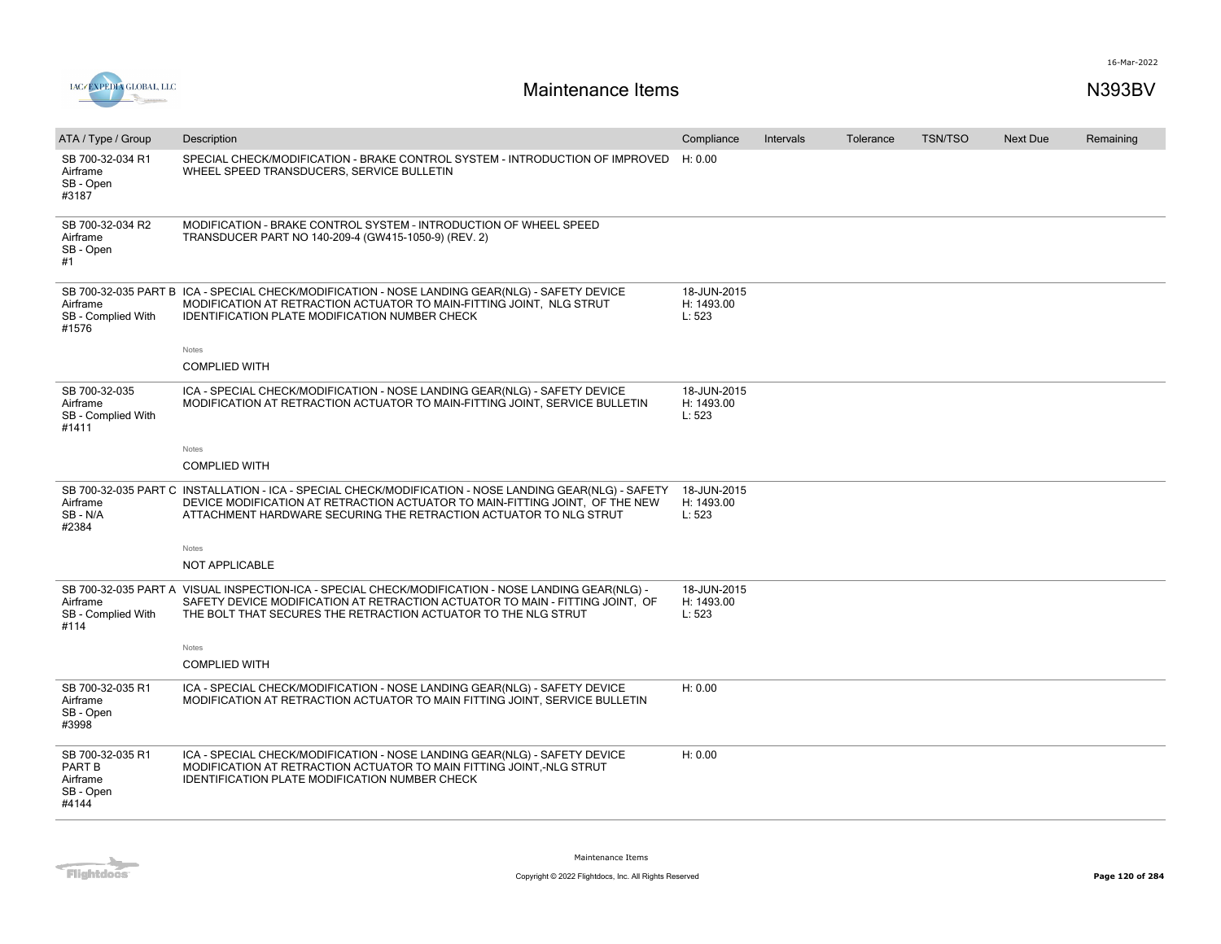



| ATA / Type / Group                                           | Description                                                                                                                                                                                                                                                 | Compliance                          | Intervals | Tolerance | <b>TSN/TSO</b> | <b>Next Due</b> | Remaining |
|--------------------------------------------------------------|-------------------------------------------------------------------------------------------------------------------------------------------------------------------------------------------------------------------------------------------------------------|-------------------------------------|-----------|-----------|----------------|-----------------|-----------|
| SB 700-32-034 R1<br>Airframe<br>SB - Open<br>#3187           | SPECIAL CHECK/MODIFICATION - BRAKE CONTROL SYSTEM - INTRODUCTION OF IMPROVED<br>WHEEL SPEED TRANSDUCERS, SERVICE BULLETIN                                                                                                                                   | H: 0.00                             |           |           |                |                 |           |
| SB 700-32-034 R2<br>Airframe<br>SB - Open<br>#1              | MODIFICATION - BRAKE CONTROL SYSTEM - INTRODUCTION OF WHEEL SPEED<br>TRANSDUCER PART NO 140-209-4 (GW415-1050-9) (REV. 2)                                                                                                                                   |                                     |           |           |                |                 |           |
| Airframe<br>SB - Complied With<br>#1576                      | SB 700-32-035 PART B ICA - SPECIAL CHECK/MODIFICATION - NOSE LANDING GEAR(NLG) - SAFETY DEVICE<br>MODIFICATION AT RETRACTION ACTUATOR TO MAIN-FITTING JOINT, NLG STRUT<br><b>IDENTIFICATION PLATE MODIFICATION NUMBER CHECK</b>                             | 18-JUN-2015<br>H: 1493.00<br>L: 523 |           |           |                |                 |           |
|                                                              | Notes                                                                                                                                                                                                                                                       |                                     |           |           |                |                 |           |
|                                                              | <b>COMPLIED WITH</b>                                                                                                                                                                                                                                        |                                     |           |           |                |                 |           |
| SB 700-32-035<br>Airframe<br>SB - Complied With<br>#1411     | ICA - SPECIAL CHECK/MODIFICATION - NOSE LANDING GEAR(NLG) - SAFETY DEVICE<br>MODIFICATION AT RETRACTION ACTUATOR TO MAIN-FITTING JOINT, SERVICE BULLETIN                                                                                                    | 18-JUN-2015<br>H: 1493.00<br>L: 523 |           |           |                |                 |           |
|                                                              | Notes                                                                                                                                                                                                                                                       |                                     |           |           |                |                 |           |
|                                                              | <b>COMPLIED WITH</b>                                                                                                                                                                                                                                        |                                     |           |           |                |                 |           |
| Airframe<br>SB-N/A<br>#2384                                  | SB 700-32-035 PART C INSTALLATION - ICA - SPECIAL CHECK/MODIFICATION - NOSE LANDING GEAR(NLG) - SAFETY<br>DEVICE MODIFICATION AT RETRACTION ACTUATOR TO MAIN-FITTING JOINT. OF THE NEW<br>ATTACHMENT HARDWARE SECURING THE RETRACTION ACTUATOR TO NLG STRUT | 18-JUN-2015<br>H: 1493.00<br>L: 523 |           |           |                |                 |           |
|                                                              | Notes                                                                                                                                                                                                                                                       |                                     |           |           |                |                 |           |
|                                                              | <b>NOT APPLICABLE</b>                                                                                                                                                                                                                                       |                                     |           |           |                |                 |           |
| Airframe<br>SB - Complied With<br>#114                       | SB 700-32-035 PART A VISUAL INSPECTION-ICA - SPECIAL CHECK/MODIFICATION - NOSE LANDING GEAR(NLG) -<br>SAFETY DEVICE MODIFICATION AT RETRACTION ACTUATOR TO MAIN - FITTING JOINT, OF<br>THE BOLT THAT SECURES THE RETRACTION ACTUATOR TO THE NLG STRUT       | 18-JUN-2015<br>H: 1493.00<br>L: 523 |           |           |                |                 |           |
|                                                              | Notes                                                                                                                                                                                                                                                       |                                     |           |           |                |                 |           |
|                                                              | <b>COMPLIED WITH</b>                                                                                                                                                                                                                                        |                                     |           |           |                |                 |           |
| SB 700-32-035 R1<br>Airframe<br>SB - Open<br>#3998           | ICA - SPECIAL CHECK/MODIFICATION - NOSE LANDING GEAR(NLG) - SAFETY DEVICE<br>MODIFICATION AT RETRACTION ACTUATOR TO MAIN FITTING JOINT, SERVICE BULLETIN                                                                                                    | H: 0.00                             |           |           |                |                 |           |
| SB 700-32-035 R1<br>PART B<br>Airframe<br>SB - Open<br>#4144 | ICA - SPECIAL CHECK/MODIFICATION - NOSE LANDING GEAR(NLG) - SAFETY DEVICE<br>MODIFICATION AT RETRACTION ACTUATOR TO MAIN FITTING JOINT,-NLG STRUT<br><b>IDENTIFICATION PLATE MODIFICATION NUMBER CHECK</b>                                                  | H: 0.00                             |           |           |                |                 |           |

**Flightdocs**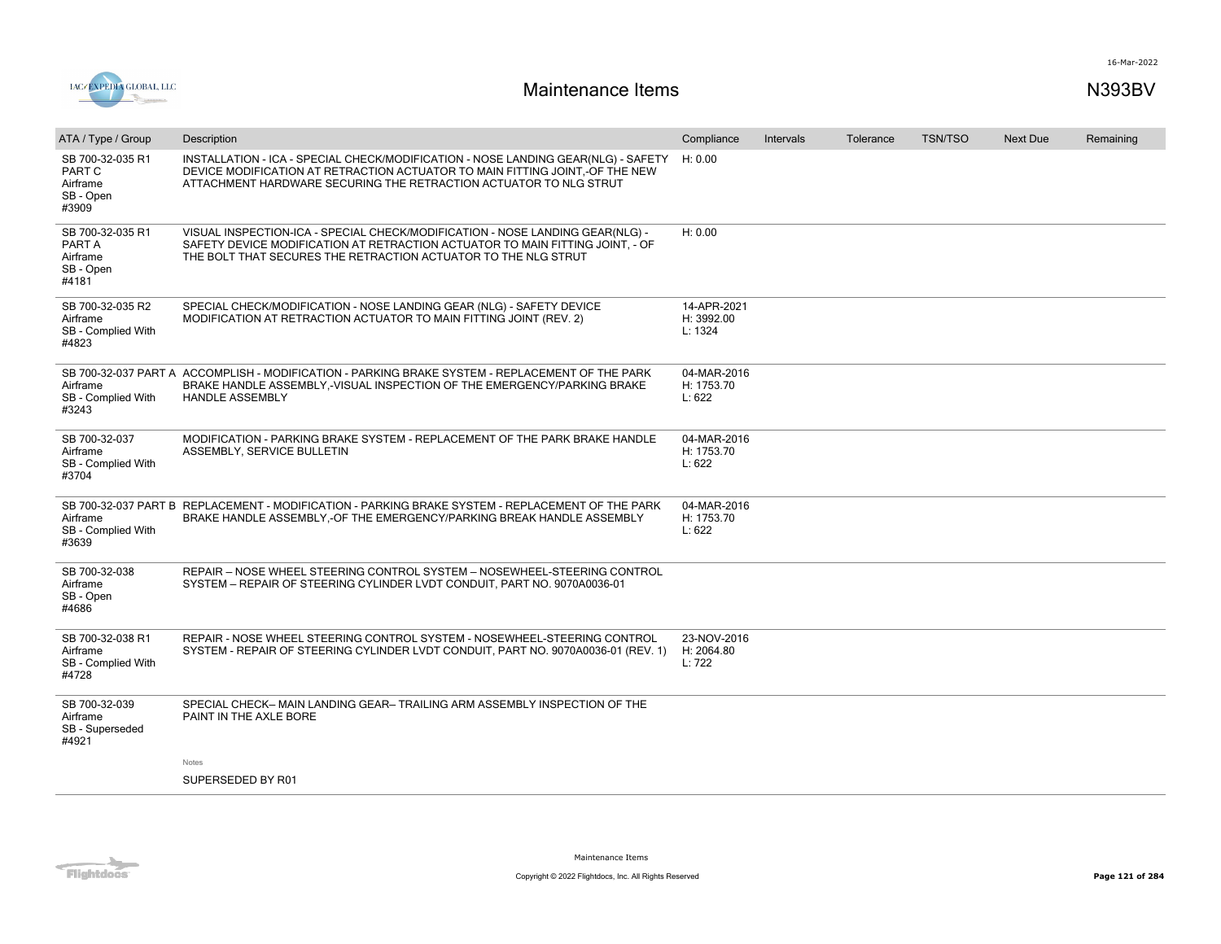

| ATA / Type / Group                                           | Description                                                                                                                                                                                                                            | Compliance                           | Intervals | Tolerance | <b>TSN/TSO</b> | <b>Next Due</b> | Remaining |
|--------------------------------------------------------------|----------------------------------------------------------------------------------------------------------------------------------------------------------------------------------------------------------------------------------------|--------------------------------------|-----------|-----------|----------------|-----------------|-----------|
| SB 700-32-035 R1<br>PART C<br>Airframe<br>SB - Open<br>#3909 | INSTALLATION - ICA - SPECIAL CHECK/MODIFICATION - NOSE LANDING GEAR(NLG) - SAFETY<br>DEVICE MODIFICATION AT RETRACTION ACTUATOR TO MAIN FITTING JOINT.-OF THE NEW<br>ATTACHMENT HARDWARE SECURING THE RETRACTION ACTUATOR TO NLG STRUT | H: 0.00                              |           |           |                |                 |           |
| SB 700-32-035 R1<br>PART A<br>Airframe<br>SB - Open<br>#4181 | VISUAL INSPECTION-ICA - SPECIAL CHECK/MODIFICATION - NOSE LANDING GEAR(NLG) -<br>SAFETY DEVICE MODIFICATION AT RETRACTION ACTUATOR TO MAIN FITTING JOINT, - OF<br>THE BOLT THAT SECURES THE RETRACTION ACTUATOR TO THE NLG STRUT       | H: 0.00                              |           |           |                |                 |           |
| SB 700-32-035 R2<br>Airframe<br>SB - Complied With<br>#4823  | SPECIAL CHECK/MODIFICATION - NOSE LANDING GEAR (NLG) - SAFETY DEVICE<br>MODIFICATION AT RETRACTION ACTUATOR TO MAIN FITTING JOINT (REV. 2)                                                                                             | 14-APR-2021<br>H: 3992.00<br>L: 1324 |           |           |                |                 |           |
| Airframe<br>SB - Complied With<br>#3243                      | SB 700-32-037 PART A ACCOMPLISH - MODIFICATION - PARKING BRAKE SYSTEM - REPLACEMENT OF THE PARK<br>BRAKE HANDLE ASSEMBLY,-VISUAL INSPECTION OF THE EMERGENCY/PARKING BRAKE<br><b>HANDLE ASSEMBLY</b>                                   | 04-MAR-2016<br>H: 1753.70<br>L: 622  |           |           |                |                 |           |
| SB 700-32-037<br>Airframe<br>SB - Complied With<br>#3704     | MODIFICATION - PARKING BRAKE SYSTEM - REPLACEMENT OF THE PARK BRAKE HANDLE<br>ASSEMBLY, SERVICE BULLETIN                                                                                                                               | 04-MAR-2016<br>H: 1753.70<br>L: 622  |           |           |                |                 |           |
| Airframe<br>SB - Complied With<br>#3639                      | SB 700-32-037 PART B REPLACEMENT - MODIFICATION - PARKING BRAKE SYSTEM - REPLACEMENT OF THE PARK<br>BRAKE HANDLE ASSEMBLY,-OF THE EMERGENCY/PARKING BREAK HANDLE ASSEMBLY                                                              | 04-MAR-2016<br>H: 1753.70<br>L: 622  |           |           |                |                 |           |
| SB 700-32-038<br>Airframe<br>SB - Open<br>#4686              | REPAIR - NOSE WHEEL STEERING CONTROL SYSTEM - NOSEWHEEL-STEERING CONTROL<br>SYSTEM - REPAIR OF STEERING CYLINDER LVDT CONDUIT. PART NO. 9070A0036-01                                                                                   |                                      |           |           |                |                 |           |
| SB 700-32-038 R1<br>Airframe<br>SB - Complied With<br>#4728  | REPAIR - NOSE WHEEL STEERING CONTROL SYSTEM - NOSEWHEEL-STEERING CONTROL<br>SYSTEM - REPAIR OF STEERING CYLINDER LVDT CONDUIT, PART NO. 9070A0036-01 (REV. 1)                                                                          | 23-NOV-2016<br>H: 2064.80<br>L: 722  |           |           |                |                 |           |
| SB 700-32-039<br>Airframe<br>SB - Superseded<br>#4921        | SPECIAL CHECK- MAIN LANDING GEAR- TRAILING ARM ASSEMBLY INSPECTION OF THE<br>PAINT IN THE AXLE BORE                                                                                                                                    |                                      |           |           |                |                 |           |
|                                                              | Notes<br>SUPERSEDED BY R01                                                                                                                                                                                                             |                                      |           |           |                |                 |           |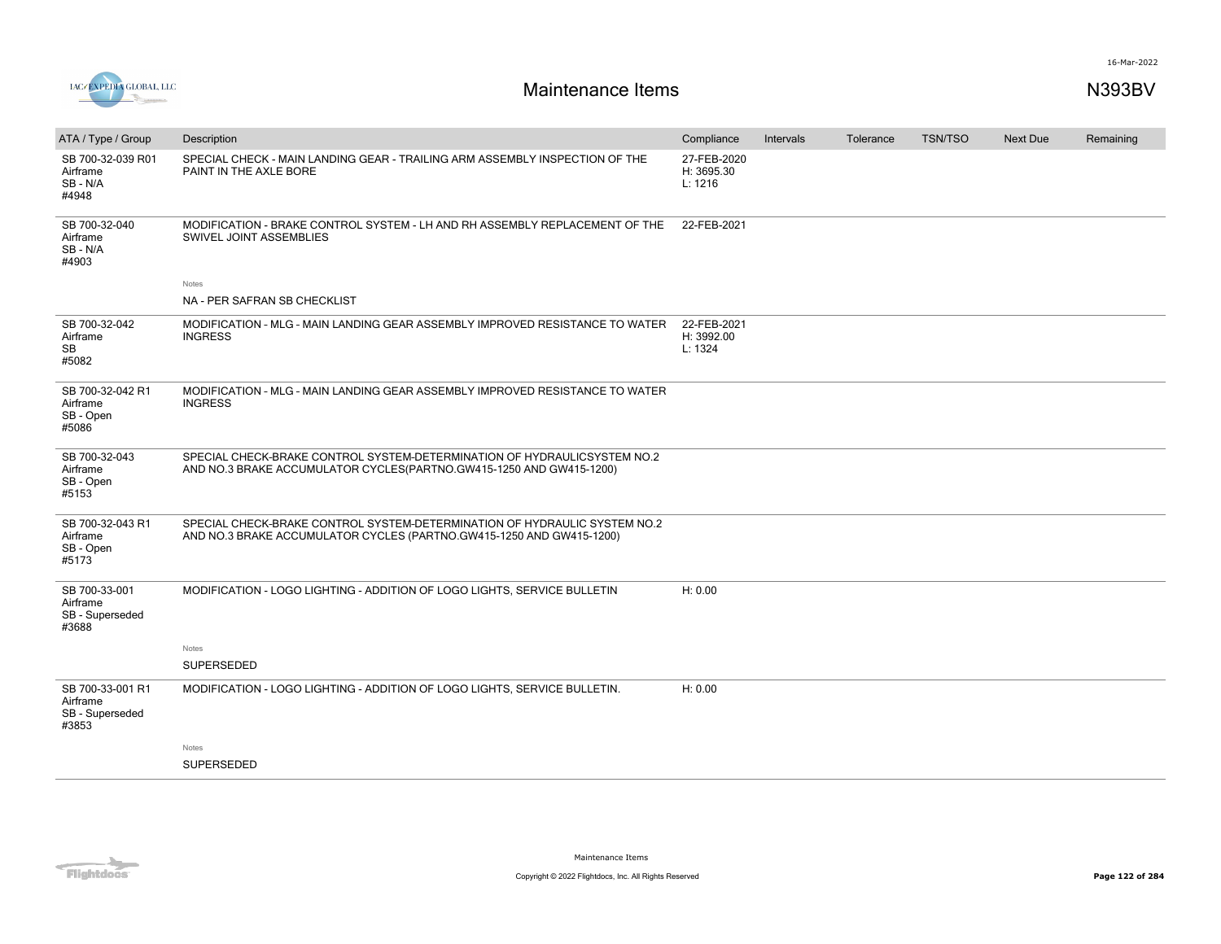

| ATA / Type / Group                                       | Description                                                                                                                                       | Compliance                           | Intervals | Tolerance | <b>TSN/TSO</b> | Next Due | Remaining |
|----------------------------------------------------------|---------------------------------------------------------------------------------------------------------------------------------------------------|--------------------------------------|-----------|-----------|----------------|----------|-----------|
| SB 700-32-039 R01<br>Airframe<br>SB - N/A<br>#4948       | SPECIAL CHECK - MAIN LANDING GEAR - TRAILING ARM ASSEMBLY INSPECTION OF THE<br>PAINT IN THE AXLE BORE                                             | 27-FEB-2020<br>H: 3695.30<br>L: 1216 |           |           |                |          |           |
| SB 700-32-040<br>Airframe<br>SB-N/A<br>#4903             | MODIFICATION - BRAKE CONTROL SYSTEM - LH AND RH ASSEMBLY REPLACEMENT OF THE<br>SWIVEL JOINT ASSEMBLIES                                            | 22-FEB-2021                          |           |           |                |          |           |
|                                                          | Notes                                                                                                                                             |                                      |           |           |                |          |           |
|                                                          | NA - PER SAFRAN SB CHECKLIST                                                                                                                      |                                      |           |           |                |          |           |
| SB 700-32-042<br>Airframe<br>SB<br>#5082                 | MODIFICATION - MLG - MAIN LANDING GEAR ASSEMBLY IMPROVED RESISTANCE TO WATER<br><b>INGRESS</b>                                                    | 22-FEB-2021<br>H: 3992.00<br>L: 1324 |           |           |                |          |           |
| SB 700-32-042 R1<br>Airframe<br>SB - Open<br>#5086       | MODIFICATION - MLG - MAIN LANDING GEAR ASSEMBLY IMPROVED RESISTANCE TO WATER<br><b>INGRESS</b>                                                    |                                      |           |           |                |          |           |
| SB 700-32-043<br>Airframe<br>SB - Open<br>#5153          | SPECIAL CHECK-BRAKE CONTROL SYSTEM-DETERMINATION OF HYDRAULICSYSTEM NO.2<br>AND NO.3 BRAKE ACCUMULATOR CYCLES(PARTNO.GW415-1250 AND GW415-1200)   |                                      |           |           |                |          |           |
| SB 700-32-043 R1<br>Airframe<br>SB - Open<br>#5173       | SPECIAL CHECK-BRAKE CONTROL SYSTEM-DETERMINATION OF HYDRAULIC SYSTEM NO.2<br>AND NO.3 BRAKE ACCUMULATOR CYCLES (PARTNO.GW415-1250 AND GW415-1200) |                                      |           |           |                |          |           |
| SB 700-33-001<br>Airframe<br>SB - Superseded<br>#3688    | MODIFICATION - LOGO LIGHTING - ADDITION OF LOGO LIGHTS, SERVICE BULLETIN                                                                          | H: 0.00                              |           |           |                |          |           |
|                                                          | <b>Notes</b>                                                                                                                                      |                                      |           |           |                |          |           |
|                                                          | <b>SUPERSEDED</b>                                                                                                                                 |                                      |           |           |                |          |           |
| SB 700-33-001 R1<br>Airframe<br>SB - Superseded<br>#3853 | MODIFICATION - LOGO LIGHTING - ADDITION OF LOGO LIGHTS, SERVICE BULLETIN.                                                                         | H: 0.00                              |           |           |                |          |           |
|                                                          | Notes                                                                                                                                             |                                      |           |           |                |          |           |
|                                                          | SUPERSEDED                                                                                                                                        |                                      |           |           |                |          |           |

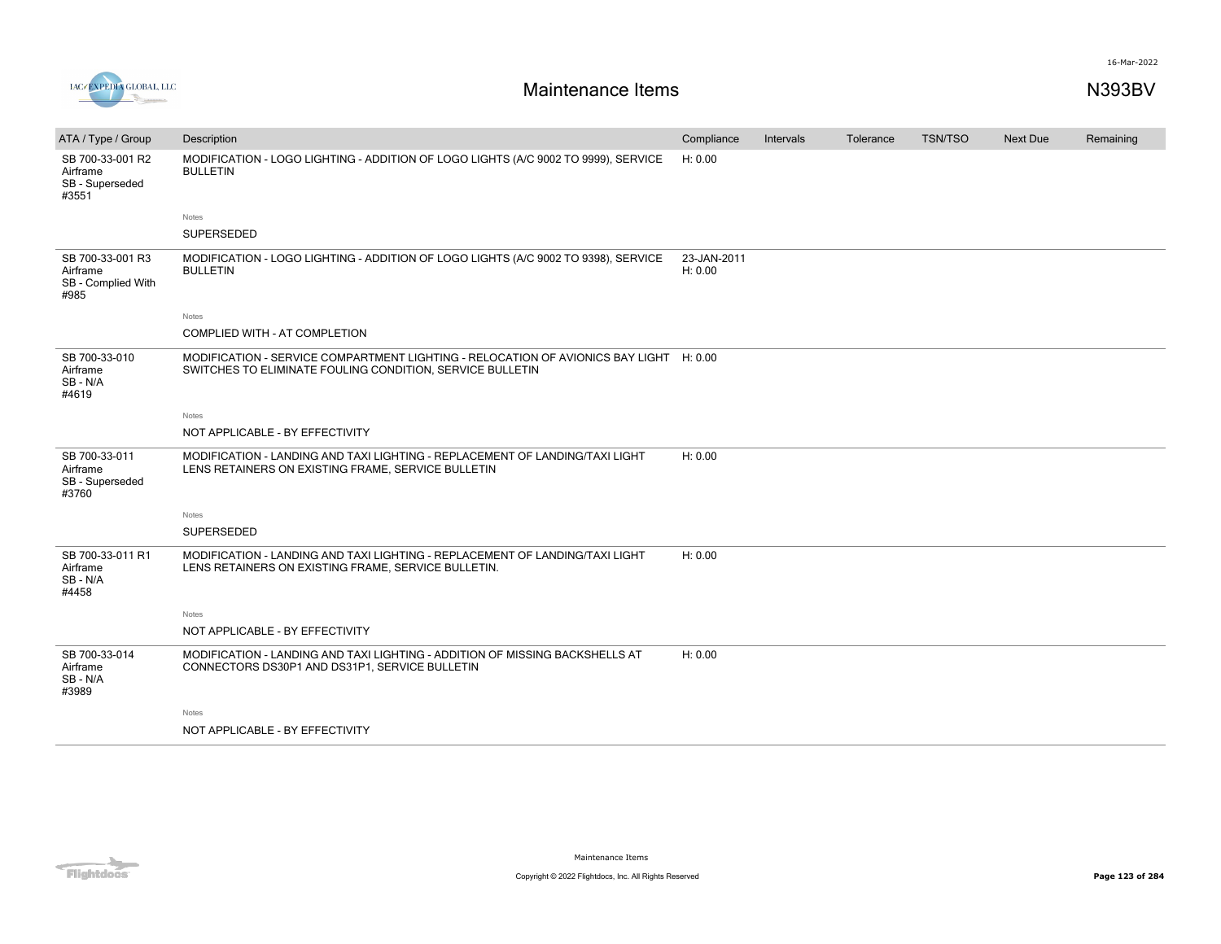

| ATA / Type / Group                                         | Description                                                                                                                                 | Compliance             | Intervals | Tolerance | <b>TSN/TSO</b> | Next Due | Remaining |
|------------------------------------------------------------|---------------------------------------------------------------------------------------------------------------------------------------------|------------------------|-----------|-----------|----------------|----------|-----------|
| SB 700-33-001 R2<br>Airframe<br>SB - Superseded<br>#3551   | MODIFICATION - LOGO LIGHTING - ADDITION OF LOGO LIGHTS (A/C 9002 TO 9999), SERVICE<br><b>BULLETIN</b>                                       | H: 0.00                |           |           |                |          |           |
|                                                            | Notes                                                                                                                                       |                        |           |           |                |          |           |
|                                                            | SUPERSEDED                                                                                                                                  |                        |           |           |                |          |           |
| SB 700-33-001 R3<br>Airframe<br>SB - Complied With<br>#985 | MODIFICATION - LOGO LIGHTING - ADDITION OF LOGO LIGHTS (A/C 9002 TO 9398), SERVICE<br><b>BULLETIN</b>                                       | 23-JAN-2011<br>H: 0.00 |           |           |                |          |           |
|                                                            | Notes                                                                                                                                       |                        |           |           |                |          |           |
|                                                            | COMPLIED WITH - AT COMPLETION                                                                                                               |                        |           |           |                |          |           |
| SB 700-33-010<br>Airframe<br>SB-N/A<br>#4619               | MODIFICATION - SERVICE COMPARTMENT LIGHTING - RELOCATION OF AVIONICS BAY LIGHT<br>SWITCHES TO ELIMINATE FOULING CONDITION, SERVICE BULLETIN | H: 0.00                |           |           |                |          |           |
|                                                            | Notes                                                                                                                                       |                        |           |           |                |          |           |
|                                                            | NOT APPLICABLE - BY EFFECTIVITY                                                                                                             |                        |           |           |                |          |           |
| SB 700-33-011<br>Airframe<br>SB - Superseded<br>#3760      | MODIFICATION - LANDING AND TAXI LIGHTING - REPLACEMENT OF LANDING/TAXI LIGHT<br>LENS RETAINERS ON EXISTING FRAME, SERVICE BULLETIN          | H: 0.00                |           |           |                |          |           |
|                                                            | Notes                                                                                                                                       |                        |           |           |                |          |           |
|                                                            | SUPERSEDED                                                                                                                                  |                        |           |           |                |          |           |
| SB 700-33-011 R1<br>Airframe<br>SB-N/A<br>#4458            | MODIFICATION - LANDING AND TAXI LIGHTING - REPLACEMENT OF LANDING/TAXI LIGHT<br>LENS RETAINERS ON EXISTING FRAME, SERVICE BULLETIN.         | H: 0.00                |           |           |                |          |           |
|                                                            | Notes                                                                                                                                       |                        |           |           |                |          |           |
|                                                            | NOT APPLICABLE - BY EFFECTIVITY                                                                                                             |                        |           |           |                |          |           |
| SB 700-33-014<br>Airframe<br>SB-N/A<br>#3989               | MODIFICATION - LANDING AND TAXI LIGHTING - ADDITION OF MISSING BACKSHELLS AT<br>CONNECTORS DS30P1 AND DS31P1, SERVICE BULLETIN              | H: 0.00                |           |           |                |          |           |
|                                                            | Notes                                                                                                                                       |                        |           |           |                |          |           |
|                                                            | NOT APPLICABLE - BY EFFECTIVITY                                                                                                             |                        |           |           |                |          |           |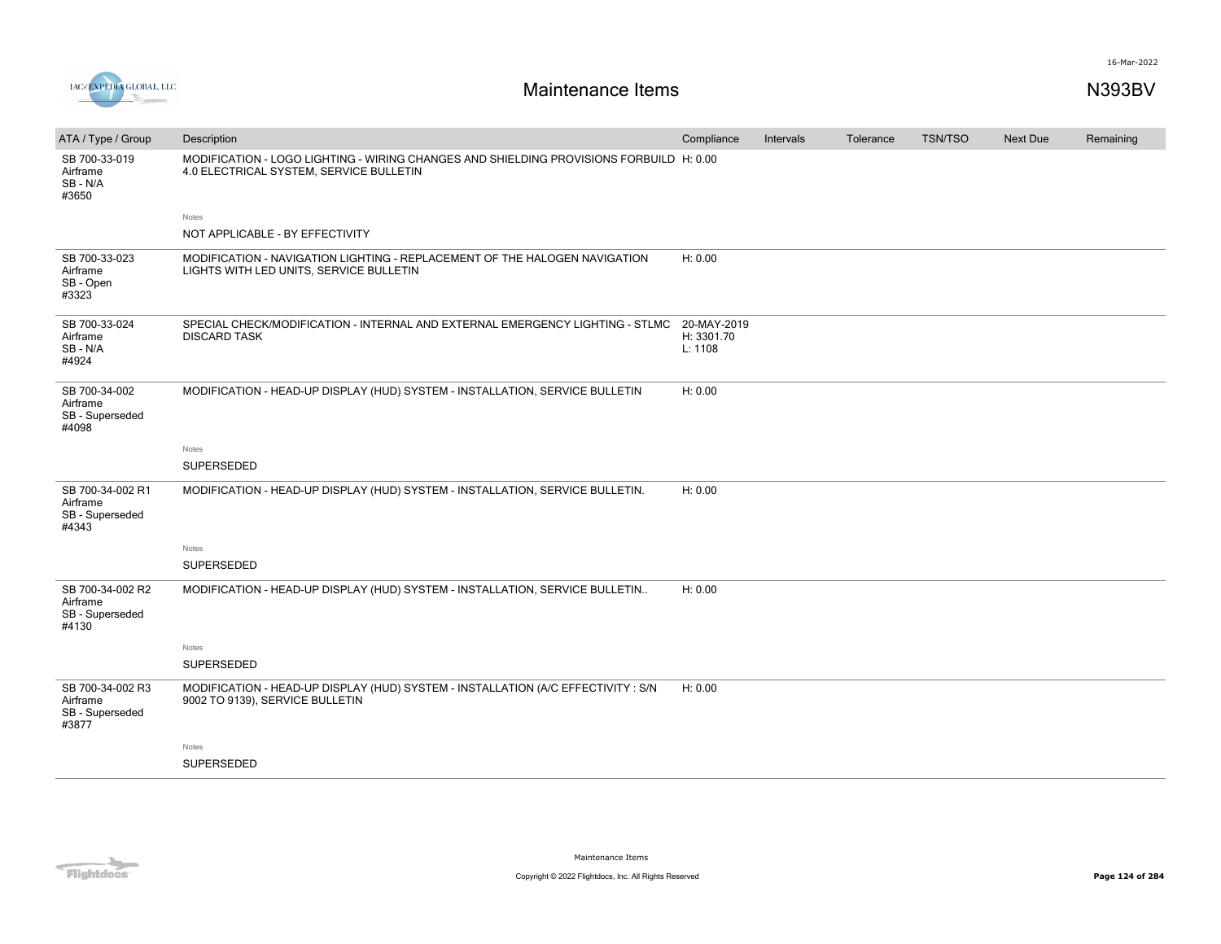

| ATA / Type / Group                                       | Description                                                                                                                        | Compliance                           | Intervals | Tolerance | <b>TSN/TSO</b> | Next Due | Remaining |
|----------------------------------------------------------|------------------------------------------------------------------------------------------------------------------------------------|--------------------------------------|-----------|-----------|----------------|----------|-----------|
| SB 700-33-019<br>Airframe<br>SB-N/A<br>#3650             | MODIFICATION - LOGO LIGHTING - WIRING CHANGES AND SHIELDING PROVISIONS FORBUILD H: 0.00<br>4.0 ELECTRICAL SYSTEM, SERVICE BULLETIN |                                      |           |           |                |          |           |
|                                                          | Notes                                                                                                                              |                                      |           |           |                |          |           |
|                                                          | NOT APPLICABLE - BY EFFECTIVITY                                                                                                    |                                      |           |           |                |          |           |
| SB 700-33-023<br>Airframe<br>SB - Open<br>#3323          | MODIFICATION - NAVIGATION LIGHTING - REPLACEMENT OF THE HALOGEN NAVIGATION<br>LIGHTS WITH LED UNITS, SERVICE BULLETIN              | H: 0.00                              |           |           |                |          |           |
| SB 700-33-024<br>Airframe<br>SB-N/A<br>#4924             | SPECIAL CHECK/MODIFICATION - INTERNAL AND EXTERNAL EMERGENCY LIGHTING - STLMC<br><b>DISCARD TASK</b>                               | 20-MAY-2019<br>H: 3301.70<br>L: 1108 |           |           |                |          |           |
| SB 700-34-002<br>Airframe<br>SB - Superseded<br>#4098    | MODIFICATION - HEAD-UP DISPLAY (HUD) SYSTEM - INSTALLATION, SERVICE BULLETIN                                                       | H: 0.00                              |           |           |                |          |           |
|                                                          | Notes                                                                                                                              |                                      |           |           |                |          |           |
|                                                          | SUPERSEDED                                                                                                                         |                                      |           |           |                |          |           |
| SB 700-34-002 R1<br>Airframe<br>SB - Superseded<br>#4343 | MODIFICATION - HEAD-UP DISPLAY (HUD) SYSTEM - INSTALLATION, SERVICE BULLETIN.                                                      | H: 0.00                              |           |           |                |          |           |
|                                                          | Notes                                                                                                                              |                                      |           |           |                |          |           |
|                                                          | SUPERSEDED                                                                                                                         |                                      |           |           |                |          |           |
| SB 700-34-002 R2<br>Airframe<br>SB - Superseded<br>#4130 | MODIFICATION - HEAD-UP DISPLAY (HUD) SYSTEM - INSTALLATION, SERVICE BULLETIN                                                       | H: 0.00                              |           |           |                |          |           |
|                                                          | Notes                                                                                                                              |                                      |           |           |                |          |           |
|                                                          | SUPERSEDED                                                                                                                         |                                      |           |           |                |          |           |
| SB 700-34-002 R3<br>Airframe<br>SB - Superseded<br>#3877 | MODIFICATION - HEAD-UP DISPLAY (HUD) SYSTEM - INSTALLATION (A/C EFFECTIVITY : S/N<br>9002 TO 9139), SERVICE BULLETIN               | H: 0.00                              |           |           |                |          |           |
|                                                          | Notes                                                                                                                              |                                      |           |           |                |          |           |
|                                                          | <b>SUPERSEDED</b>                                                                                                                  |                                      |           |           |                |          |           |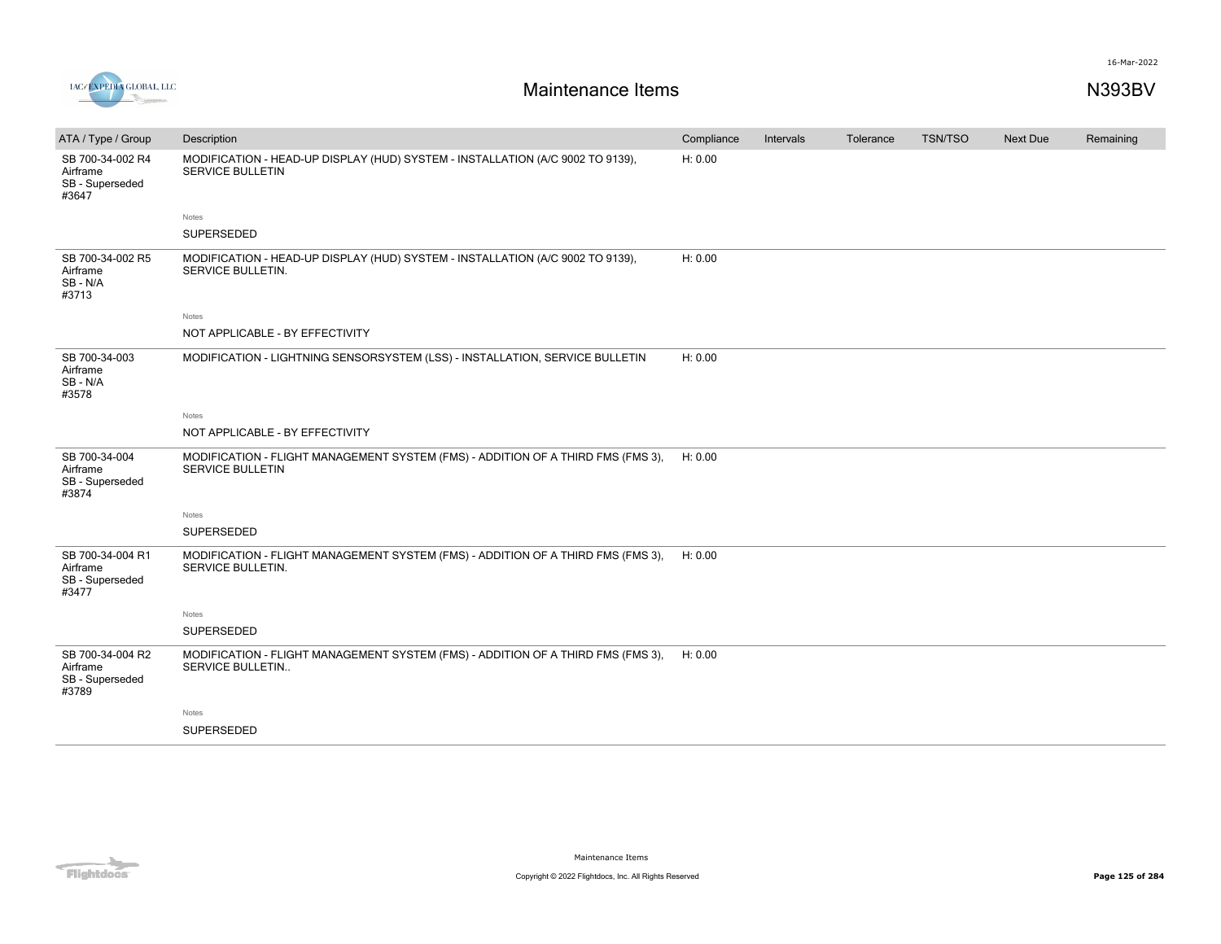



| ATA / Type / Group                                       | Description                                                                                               | Compliance | Intervals | Tolerance | <b>TSN/TSO</b> | Next Due | Remaining |
|----------------------------------------------------------|-----------------------------------------------------------------------------------------------------------|------------|-----------|-----------|----------------|----------|-----------|
| SB 700-34-002 R4<br>Airframe<br>SB - Superseded<br>#3647 | MODIFICATION - HEAD-UP DISPLAY (HUD) SYSTEM - INSTALLATION (A/C 9002 TO 9139),<br><b>SERVICE BULLETIN</b> | H: 0.00    |           |           |                |          |           |
|                                                          | Notes                                                                                                     |            |           |           |                |          |           |
|                                                          | SUPERSEDED                                                                                                |            |           |           |                |          |           |
| SB 700-34-002 R5<br>Airframe<br>SB-N/A<br>#3713          | MODIFICATION - HEAD-UP DISPLAY (HUD) SYSTEM - INSTALLATION (A/C 9002 TO 9139),<br>SERVICE BULLETIN.       | H: 0.00    |           |           |                |          |           |
|                                                          | <b>Notes</b>                                                                                              |            |           |           |                |          |           |
|                                                          | NOT APPLICABLE - BY EFFECTIVITY                                                                           |            |           |           |                |          |           |
| SB 700-34-003<br>Airframe<br>SB-N/A<br>#3578             | MODIFICATION - LIGHTNING SENSORSYSTEM (LSS) - INSTALLATION, SERVICE BULLETIN                              | H: 0.00    |           |           |                |          |           |
|                                                          | Notes                                                                                                     |            |           |           |                |          |           |
|                                                          | NOT APPLICABLE - BY EFFECTIVITY                                                                           |            |           |           |                |          |           |
| SB 700-34-004<br>Airframe<br>SB - Superseded<br>#3874    | MODIFICATION - FLIGHT MANAGEMENT SYSTEM (FMS) - ADDITION OF A THIRD FMS (FMS 3),<br>SERVICE BULLETIN      | H: 0.00    |           |           |                |          |           |
|                                                          | <b>Notes</b>                                                                                              |            |           |           |                |          |           |
|                                                          | SUPERSEDED                                                                                                |            |           |           |                |          |           |
| SB 700-34-004 R1<br>Airframe<br>SB - Superseded<br>#3477 | MODIFICATION - FLIGHT MANAGEMENT SYSTEM (FMS) - ADDITION OF A THIRD FMS (FMS 3),<br>SERVICE BULLETIN.     | H: 0.00    |           |           |                |          |           |
|                                                          | Notes                                                                                                     |            |           |           |                |          |           |
|                                                          | SUPERSEDED                                                                                                |            |           |           |                |          |           |
| SB 700-34-004 R2<br>Airframe<br>SB - Superseded<br>#3789 | MODIFICATION - FLIGHT MANAGEMENT SYSTEM (FMS) - ADDITION OF A THIRD FMS (FMS 3),<br>SERVICE BULLETIN      | H: 0.00    |           |           |                |          |           |
|                                                          | Notes                                                                                                     |            |           |           |                |          |           |
|                                                          | SUPERSEDED                                                                                                |            |           |           |                |          |           |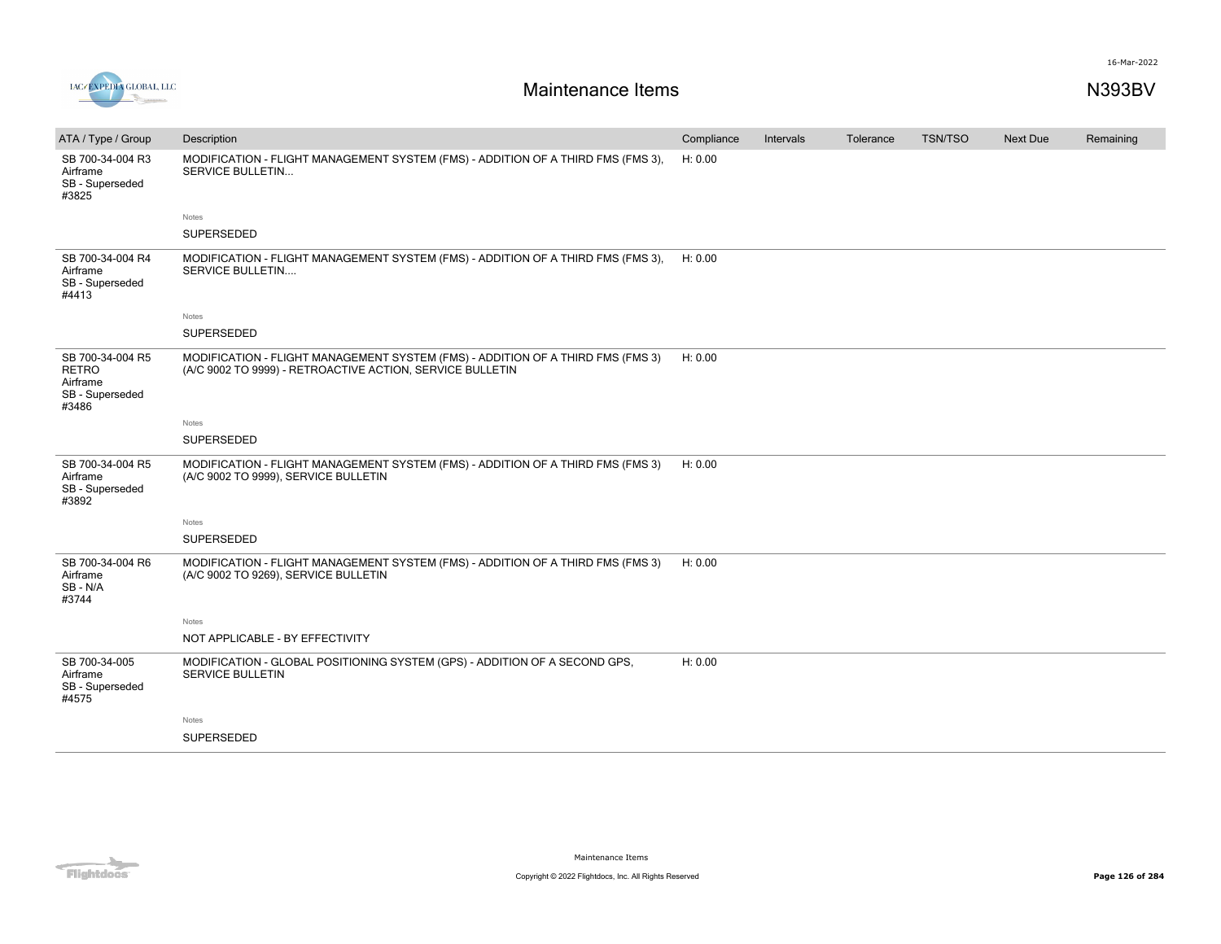

| ATA / Type / Group                                                       | Description                                                                                                                                  | Compliance | Intervals | Tolerance | <b>TSN/TSO</b> | Next Due | Remaining |
|--------------------------------------------------------------------------|----------------------------------------------------------------------------------------------------------------------------------------------|------------|-----------|-----------|----------------|----------|-----------|
| SB 700-34-004 R3<br>Airframe<br>SB - Superseded<br>#3825                 | MODIFICATION - FLIGHT MANAGEMENT SYSTEM (FMS) - ADDITION OF A THIRD FMS (FMS 3),<br><b>SERVICE BULLETIN</b>                                  | H: 0.00    |           |           |                |          |           |
|                                                                          | Notes                                                                                                                                        |            |           |           |                |          |           |
|                                                                          | SUPERSEDED                                                                                                                                   |            |           |           |                |          |           |
| SB 700-34-004 R4<br>Airframe<br>SB - Superseded<br>#4413                 | MODIFICATION - FLIGHT MANAGEMENT SYSTEM (FMS) - ADDITION OF A THIRD FMS (FMS 3),<br><b>SERVICE BULLETIN</b>                                  | H: 0.00    |           |           |                |          |           |
|                                                                          | Notes                                                                                                                                        |            |           |           |                |          |           |
|                                                                          | SUPERSEDED                                                                                                                                   |            |           |           |                |          |           |
| SB 700-34-004 R5<br><b>RETRO</b><br>Airframe<br>SB - Superseded<br>#3486 | MODIFICATION - FLIGHT MANAGEMENT SYSTEM (FMS) - ADDITION OF A THIRD FMS (FMS 3)<br>(A/C 9002 TO 9999) - RETROACTIVE ACTION, SERVICE BULLETIN | H: 0.00    |           |           |                |          |           |
|                                                                          | Notes                                                                                                                                        |            |           |           |                |          |           |
|                                                                          | SUPERSEDED                                                                                                                                   |            |           |           |                |          |           |
| SB 700-34-004 R5<br>Airframe<br>SB - Superseded<br>#3892                 | MODIFICATION - FLIGHT MANAGEMENT SYSTEM (FMS) - ADDITION OF A THIRD FMS (FMS 3)<br>(A/C 9002 TO 9999), SERVICE BULLETIN                      | H: 0.00    |           |           |                |          |           |
|                                                                          | Notes                                                                                                                                        |            |           |           |                |          |           |
|                                                                          | SUPERSEDED                                                                                                                                   |            |           |           |                |          |           |
| SB 700-34-004 R6<br>Airframe<br>SB-N/A<br>#3744                          | MODIFICATION - FLIGHT MANAGEMENT SYSTEM (FMS) - ADDITION OF A THIRD FMS (FMS 3)<br>(A/C 9002 TO 9269), SERVICE BULLETIN                      | H: 0.00    |           |           |                |          |           |
|                                                                          | Notes                                                                                                                                        |            |           |           |                |          |           |
|                                                                          | NOT APPLICABLE - BY EFFECTIVITY                                                                                                              |            |           |           |                |          |           |
| SB 700-34-005<br>Airframe<br>SB - Superseded<br>#4575                    | MODIFICATION - GLOBAL POSITIONING SYSTEM (GPS) - ADDITION OF A SECOND GPS,<br><b>SERVICE BULLETIN</b>                                        | H: 0.00    |           |           |                |          |           |
|                                                                          | Notes                                                                                                                                        |            |           |           |                |          |           |
|                                                                          | <b>SUPERSEDED</b>                                                                                                                            |            |           |           |                |          |           |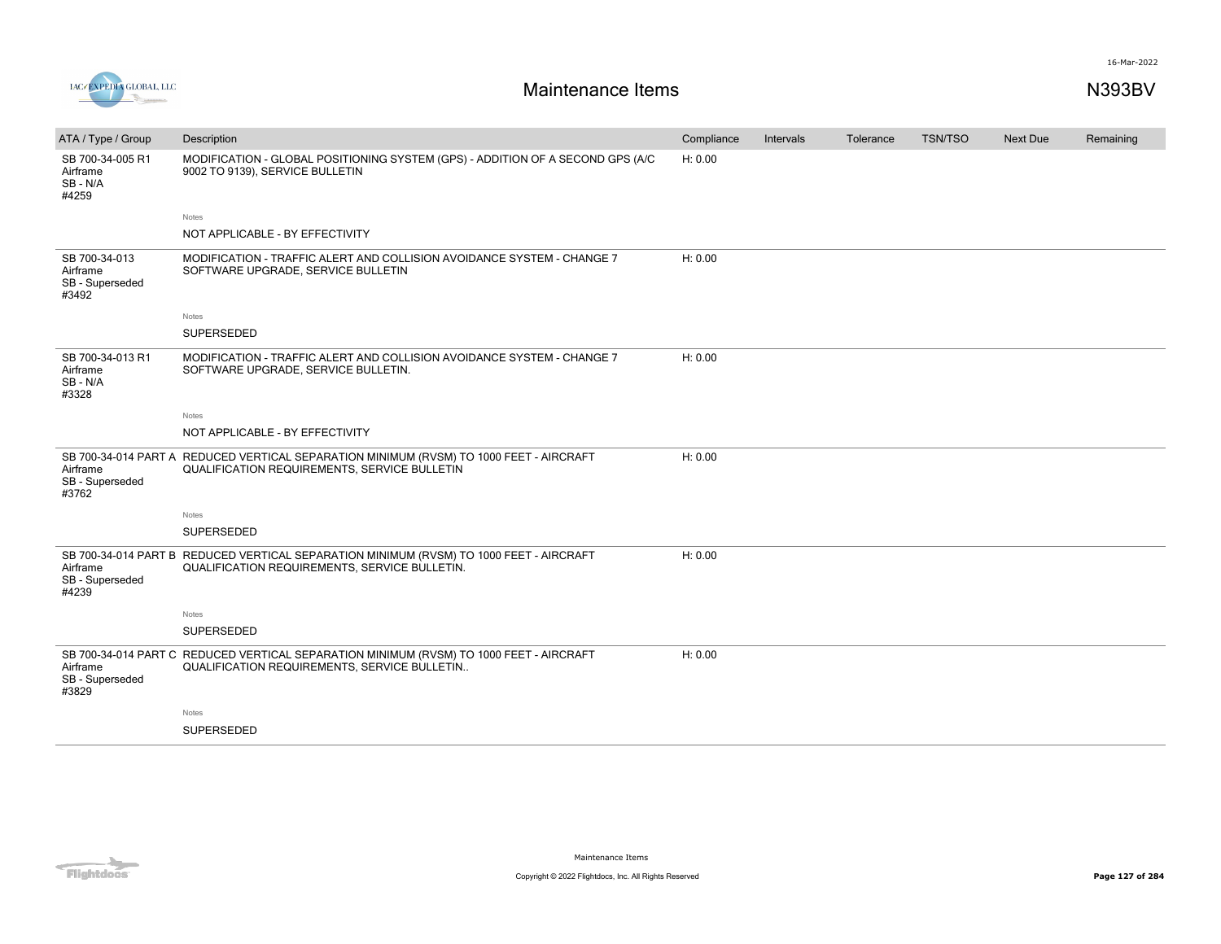

| ATA / Type / Group                                    | Description                                                                                                                                    | Compliance | Intervals | Tolerance | <b>TSN/TSO</b> | Next Due | Remaining |
|-------------------------------------------------------|------------------------------------------------------------------------------------------------------------------------------------------------|------------|-----------|-----------|----------------|----------|-----------|
| SB 700-34-005 R1<br>Airframe<br>SB-N/A<br>#4259       | MODIFICATION - GLOBAL POSITIONING SYSTEM (GPS) - ADDITION OF A SECOND GPS (A/C<br>9002 TO 9139), SERVICE BULLETIN                              | H: 0.00    |           |           |                |          |           |
|                                                       | Notes                                                                                                                                          |            |           |           |                |          |           |
|                                                       | NOT APPLICABLE - BY EFFECTIVITY                                                                                                                |            |           |           |                |          |           |
| SB 700-34-013<br>Airframe<br>SB - Superseded<br>#3492 | MODIFICATION - TRAFFIC ALERT AND COLLISION AVOIDANCE SYSTEM - CHANGE 7<br>SOFTWARE UPGRADE, SERVICE BULLETIN                                   | H: 0.00    |           |           |                |          |           |
|                                                       | Notes                                                                                                                                          |            |           |           |                |          |           |
|                                                       | SUPERSEDED                                                                                                                                     |            |           |           |                |          |           |
| SB 700-34-013 R1<br>Airframe<br>SB-N/A<br>#3328       | MODIFICATION - TRAFFIC ALERT AND COLLISION AVOIDANCE SYSTEM - CHANGE 7<br>SOFTWARE UPGRADE, SERVICE BULLETIN.                                  | H: 0.00    |           |           |                |          |           |
|                                                       | Notes                                                                                                                                          |            |           |           |                |          |           |
|                                                       | NOT APPLICABLE - BY EFFECTIVITY                                                                                                                |            |           |           |                |          |           |
| Airframe<br>SB - Superseded<br>#3762                  | SB 700-34-014 PART A REDUCED VERTICAL SEPARATION MINIMUM (RVSM) TO 1000 FEET - AIRCRAFT<br><b>QUALIFICATION REQUIREMENTS, SERVICE BULLETIN</b> | H: 0.00    |           |           |                |          |           |
|                                                       | Notes                                                                                                                                          |            |           |           |                |          |           |
|                                                       | SUPERSEDED                                                                                                                                     |            |           |           |                |          |           |
| Airframe<br>SB - Superseded<br>#4239                  | SB 700-34-014 PART B REDUCED VERTICAL SEPARATION MINIMUM (RVSM) TO 1000 FEET - AIRCRAFT<br>QUALIFICATION REQUIREMENTS, SERVICE BULLETIN.       | H: 0.00    |           |           |                |          |           |
|                                                       | Notes                                                                                                                                          |            |           |           |                |          |           |
|                                                       | SUPERSEDED                                                                                                                                     |            |           |           |                |          |           |
| Airframe<br>SB - Superseded<br>#3829                  | SB 700-34-014 PART C REDUCED VERTICAL SEPARATION MINIMUM (RVSM) TO 1000 FEET - AIRCRAFT<br>QUALIFICATION REQUIREMENTS, SERVICE BULLETIN        | H: 0.00    |           |           |                |          |           |
|                                                       | Notes                                                                                                                                          |            |           |           |                |          |           |
|                                                       | SUPERSEDED                                                                                                                                     |            |           |           |                |          |           |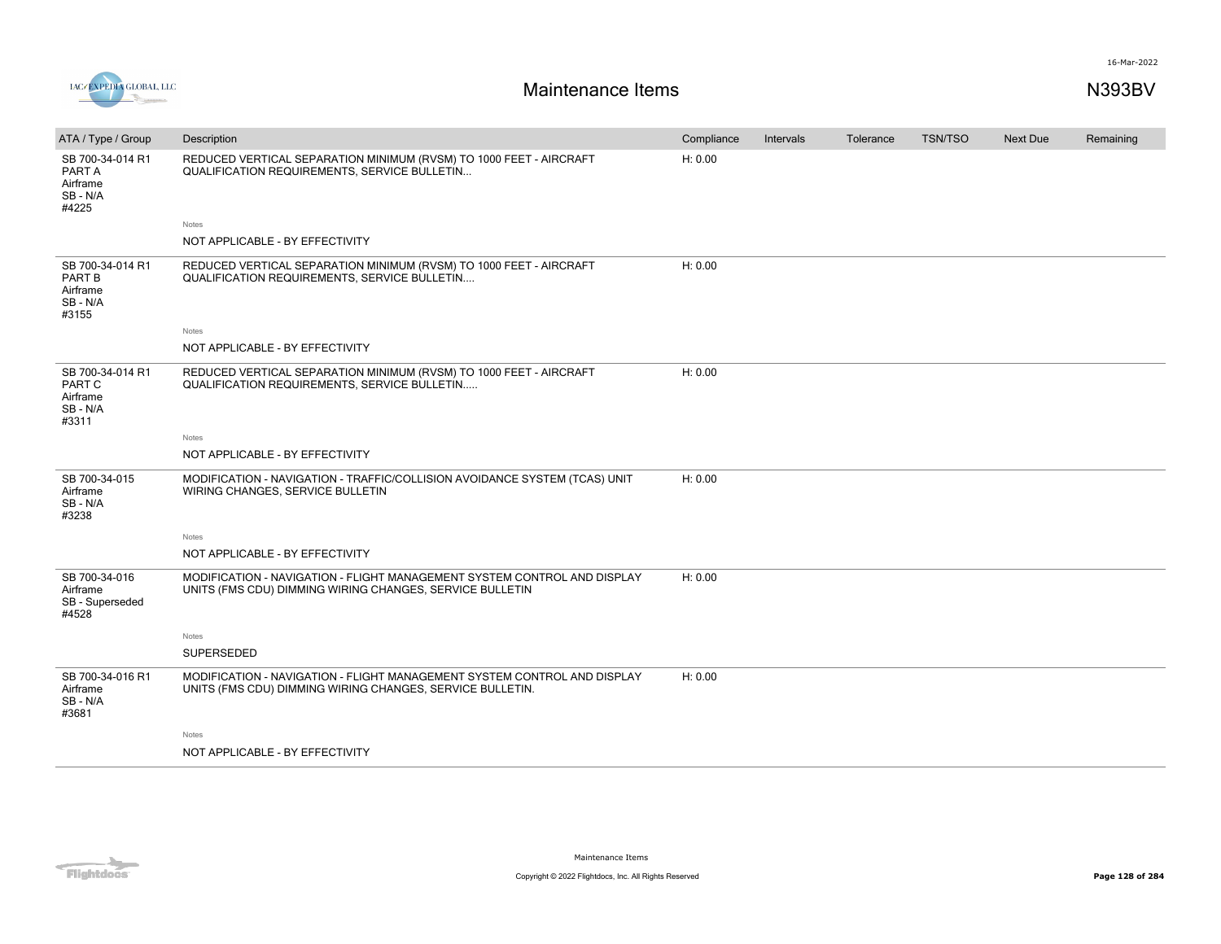

| ATA / Type / Group                                        | Description                                                                                                                           | Compliance | Intervals | Tolerance | <b>TSN/TSO</b> | Next Due | Remaining |
|-----------------------------------------------------------|---------------------------------------------------------------------------------------------------------------------------------------|------------|-----------|-----------|----------------|----------|-----------|
| SB 700-34-014 R1<br>PART A<br>Airframe<br>SB-N/A<br>#4225 | REDUCED VERTICAL SEPARATION MINIMUM (RVSM) TO 1000 FEET - AIRCRAFT<br>QUALIFICATION REQUIREMENTS, SERVICE BULLETIN                    | H: 0.00    |           |           |                |          |           |
|                                                           | Notes                                                                                                                                 |            |           |           |                |          |           |
|                                                           | NOT APPLICABLE - BY EFFECTIVITY                                                                                                       |            |           |           |                |          |           |
| SB 700-34-014 R1<br>PART B<br>Airframe<br>SB-N/A<br>#3155 | REDUCED VERTICAL SEPARATION MINIMUM (RVSM) TO 1000 FEET - AIRCRAFT<br>QUALIFICATION REQUIREMENTS, SERVICE BULLETIN                    | H: 0.00    |           |           |                |          |           |
|                                                           | Notes                                                                                                                                 |            |           |           |                |          |           |
|                                                           | NOT APPLICABLE - BY EFFECTIVITY                                                                                                       |            |           |           |                |          |           |
| SB 700-34-014 R1<br>PART C<br>Airframe<br>SB-N/A<br>#3311 | REDUCED VERTICAL SEPARATION MINIMUM (RVSM) TO 1000 FEET - AIRCRAFT<br>QUALIFICATION REQUIREMENTS, SERVICE BULLETIN                    | H: 0.00    |           |           |                |          |           |
|                                                           | Notes                                                                                                                                 |            |           |           |                |          |           |
|                                                           | NOT APPLICABLE - BY EFFECTIVITY                                                                                                       |            |           |           |                |          |           |
| SB 700-34-015<br>Airframe<br>SB-N/A<br>#3238              | MODIFICATION - NAVIGATION - TRAFFIC/COLLISION AVOIDANCE SYSTEM (TCAS) UNIT<br>WIRING CHANGES, SERVICE BULLETIN                        | H: 0.00    |           |           |                |          |           |
|                                                           | Notes                                                                                                                                 |            |           |           |                |          |           |
|                                                           | NOT APPLICABLE - BY EFFECTIVITY                                                                                                       |            |           |           |                |          |           |
| SB 700-34-016<br>Airframe<br>SB - Superseded<br>#4528     | MODIFICATION - NAVIGATION - FLIGHT MANAGEMENT SYSTEM CONTROL AND DISPLAY<br>UNITS (FMS CDU) DIMMING WIRING CHANGES, SERVICE BULLETIN  | H: 0.00    |           |           |                |          |           |
|                                                           | Notes                                                                                                                                 |            |           |           |                |          |           |
|                                                           | SUPERSEDED                                                                                                                            |            |           |           |                |          |           |
| SB 700-34-016 R1<br>Airframe<br>SB-N/A<br>#3681           | MODIFICATION - NAVIGATION - FLIGHT MANAGEMENT SYSTEM CONTROL AND DISPLAY<br>UNITS (FMS CDU) DIMMING WIRING CHANGES, SERVICE BULLETIN. | H: 0.00    |           |           |                |          |           |
|                                                           | Notes                                                                                                                                 |            |           |           |                |          |           |
|                                                           | NOT APPLICABLE - BY EFFECTIVITY                                                                                                       |            |           |           |                |          |           |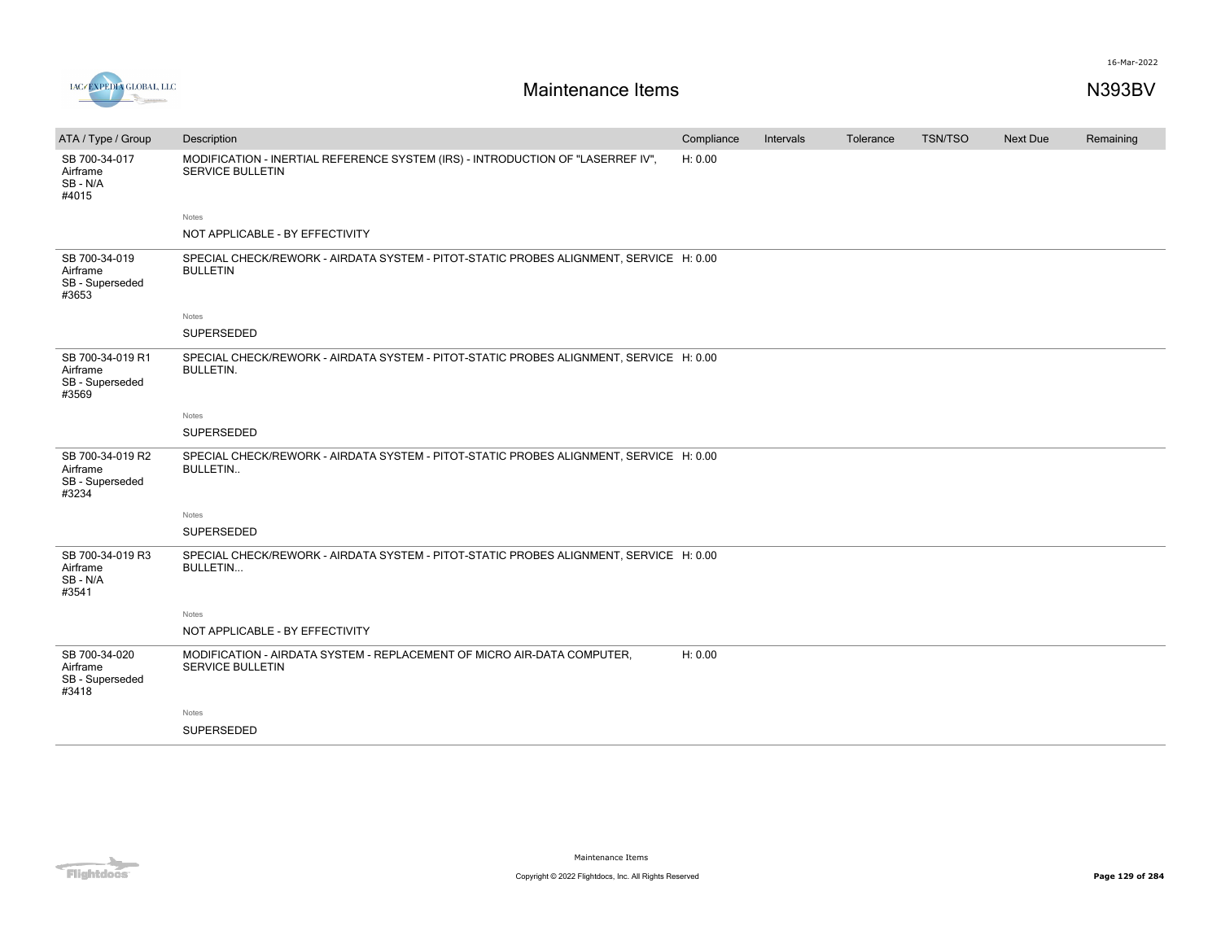



| ATA / Type / Group                                       | Description                                                                                                | Compliance | Intervals | Tolerance | <b>TSN/TSO</b> | <b>Next Due</b> | Remaining |
|----------------------------------------------------------|------------------------------------------------------------------------------------------------------------|------------|-----------|-----------|----------------|-----------------|-----------|
| SB 700-34-017<br>Airframe<br>SB-N/A<br>#4015             | MODIFICATION - INERTIAL REFERENCE SYSTEM (IRS) - INTRODUCTION OF "LASERREF IV",<br><b>SERVICE BULLETIN</b> | H: 0.00    |           |           |                |                 |           |
|                                                          | Notes                                                                                                      |            |           |           |                |                 |           |
|                                                          | NOT APPLICABLE - BY EFFECTIVITY                                                                            |            |           |           |                |                 |           |
| SB 700-34-019<br>Airframe<br>SB - Superseded<br>#3653    | SPECIAL CHECK/REWORK - AIRDATA SYSTEM - PITOT-STATIC PROBES ALIGNMENT, SERVICE H: 0.00<br><b>BULLETIN</b>  |            |           |           |                |                 |           |
|                                                          | Notes                                                                                                      |            |           |           |                |                 |           |
|                                                          | SUPERSEDED                                                                                                 |            |           |           |                |                 |           |
| SB 700-34-019 R1<br>Airframe<br>SB - Superseded<br>#3569 | SPECIAL CHECK/REWORK - AIRDATA SYSTEM - PITOT-STATIC PROBES ALIGNMENT, SERVICE H: 0.00<br><b>BULLETIN.</b> |            |           |           |                |                 |           |
|                                                          | Notes                                                                                                      |            |           |           |                |                 |           |
|                                                          | SUPERSEDED                                                                                                 |            |           |           |                |                 |           |
| SB 700-34-019 R2<br>Airframe<br>SB - Superseded<br>#3234 | SPECIAL CHECK/REWORK - AIRDATA SYSTEM - PITOT-STATIC PROBES ALIGNMENT, SERVICE H: 0.00<br><b>BULLETIN</b>  |            |           |           |                |                 |           |
|                                                          | Notes                                                                                                      |            |           |           |                |                 |           |
|                                                          | SUPERSEDED                                                                                                 |            |           |           |                |                 |           |
| SB 700-34-019 R3<br>Airframe<br>SB - N/A<br>#3541        | SPECIAL CHECK/REWORK - AIRDATA SYSTEM - PITOT-STATIC PROBES ALIGNMENT, SERVICE H: 0.00<br><b>BULLETIN</b>  |            |           |           |                |                 |           |
|                                                          | Notes                                                                                                      |            |           |           |                |                 |           |
|                                                          | NOT APPLICABLE - BY EFFECTIVITY                                                                            |            |           |           |                |                 |           |
| SB 700-34-020<br>Airframe<br>SB - Superseded<br>#3418    | MODIFICATION - AIRDATA SYSTEM - REPLACEMENT OF MICRO AIR-DATA COMPUTER,<br><b>SERVICE BULLETIN</b>         | H: 0.00    |           |           |                |                 |           |
|                                                          | Notes                                                                                                      |            |           |           |                |                 |           |
|                                                          | SUPERSEDED                                                                                                 |            |           |           |                |                 |           |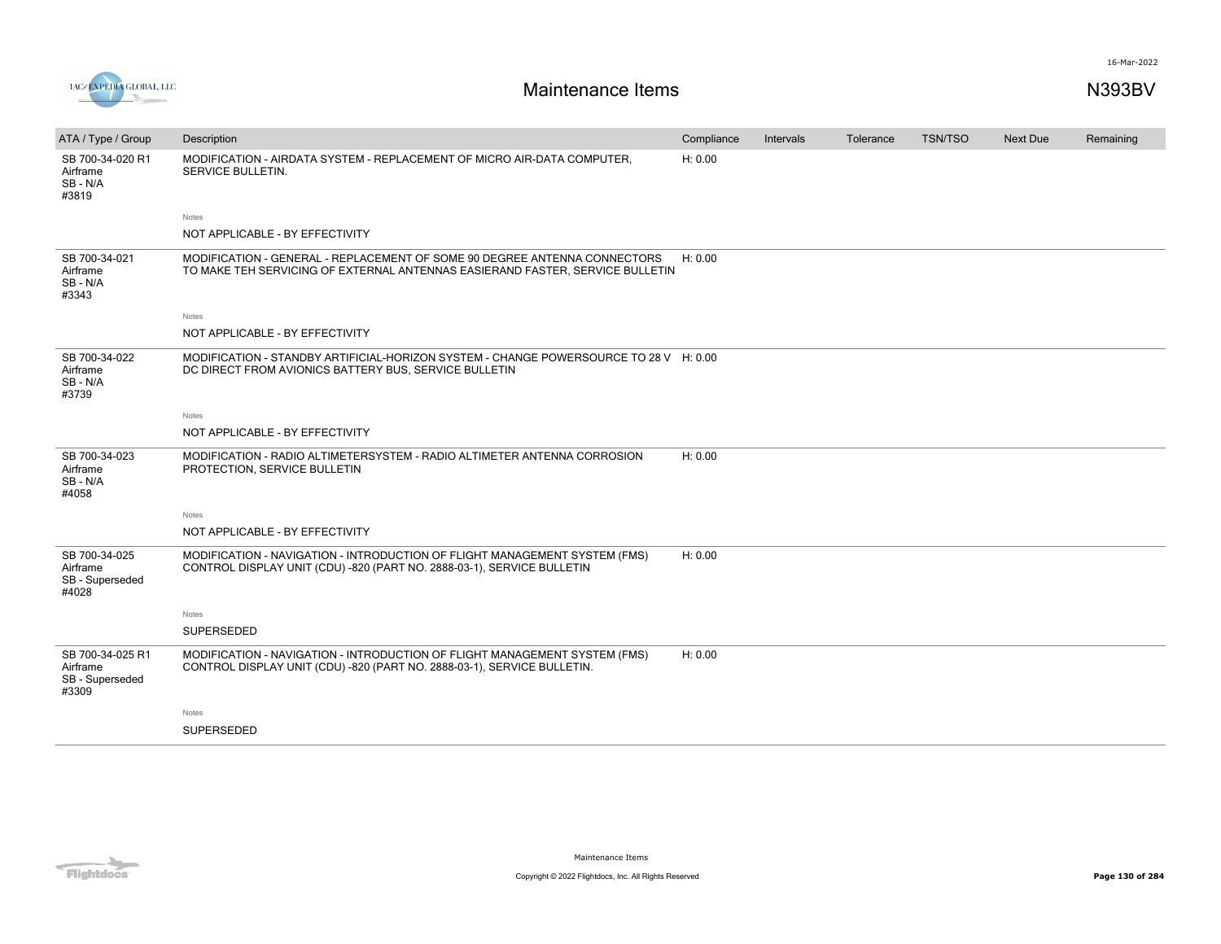

| ATA / Type / Group                                       | Description                                                                                                                                                | Compliance | Intervals | Tolerance | TSN/TSO | <b>Next Due</b> | Remaining |
|----------------------------------------------------------|------------------------------------------------------------------------------------------------------------------------------------------------------------|------------|-----------|-----------|---------|-----------------|-----------|
| SB 700-34-020 R1<br>Airframe<br>SB-N/A<br>#3819          | MODIFICATION - AIRDATA SYSTEM - REPLACEMENT OF MICRO AIR-DATA COMPUTER,<br>SERVICE BULLETIN.                                                               | H: 0.00    |           |           |         |                 |           |
|                                                          | <b>Notes</b>                                                                                                                                               |            |           |           |         |                 |           |
|                                                          | NOT APPLICABLE - BY EFFECTIVITY                                                                                                                            |            |           |           |         |                 |           |
| SB 700-34-021<br>Airframe<br>SB - N/A<br>#3343           | MODIFICATION - GENERAL - REPLACEMENT OF SOME 90 DEGREE ANTENNA CONNECTORS<br>TO MAKE TEH SERVICING OF EXTERNAL ANTENNAS EASIERAND FASTER, SERVICE BULLETIN | H: 0.00    |           |           |         |                 |           |
|                                                          | Notes                                                                                                                                                      |            |           |           |         |                 |           |
|                                                          | NOT APPLICABLE - BY EFFECTIVITY                                                                                                                            |            |           |           |         |                 |           |
| SB 700-34-022<br>Airframe<br>SB-N/A<br>#3739             | MODIFICATION - STANDBY ARTIFICIAL-HORIZON SYSTEM - CHANGE POWERSOURCE TO 28 V H: 0.00<br>DC DIRECT FROM AVIONICS BATTERY BUS, SERVICE BULLETIN             |            |           |           |         |                 |           |
|                                                          | Notes                                                                                                                                                      |            |           |           |         |                 |           |
|                                                          | NOT APPLICABLE - BY EFFECTIVITY                                                                                                                            |            |           |           |         |                 |           |
| SB 700-34-023<br>Airframe<br>SB-N/A<br>#4058             | MODIFICATION - RADIO ALTIMETERSYSTEM - RADIO ALTIMETER ANTENNA CORROSION<br>PROTECTION, SERVICE BULLETIN                                                   | H: 0.00    |           |           |         |                 |           |
|                                                          | <b>Notes</b>                                                                                                                                               |            |           |           |         |                 |           |
|                                                          | NOT APPLICABLE - BY EFFECTIVITY                                                                                                                            |            |           |           |         |                 |           |
| SB 700-34-025<br>Airframe<br>SB - Superseded<br>#4028    | MODIFICATION - NAVIGATION - INTRODUCTION OF FLIGHT MANAGEMENT SYSTEM (FMS)<br>CONTROL DISPLAY UNIT (CDU) -820 (PART NO. 2888-03-1), SERVICE BULLETIN       | H: 0.00    |           |           |         |                 |           |
|                                                          | Notes                                                                                                                                                      |            |           |           |         |                 |           |
|                                                          | <b>SUPERSEDED</b>                                                                                                                                          |            |           |           |         |                 |           |
| SB 700-34-025 R1<br>Airframe<br>SB - Superseded<br>#3309 | MODIFICATION - NAVIGATION - INTRODUCTION OF FLIGHT MANAGEMENT SYSTEM (FMS)<br>CONTROL DISPLAY UNIT (CDU) -820 (PART NO. 2888-03-1), SERVICE BULLETIN.      | H: 0.00    |           |           |         |                 |           |
|                                                          | Notes                                                                                                                                                      |            |           |           |         |                 |           |
|                                                          | <b>SUPERSEDED</b>                                                                                                                                          |            |           |           |         |                 |           |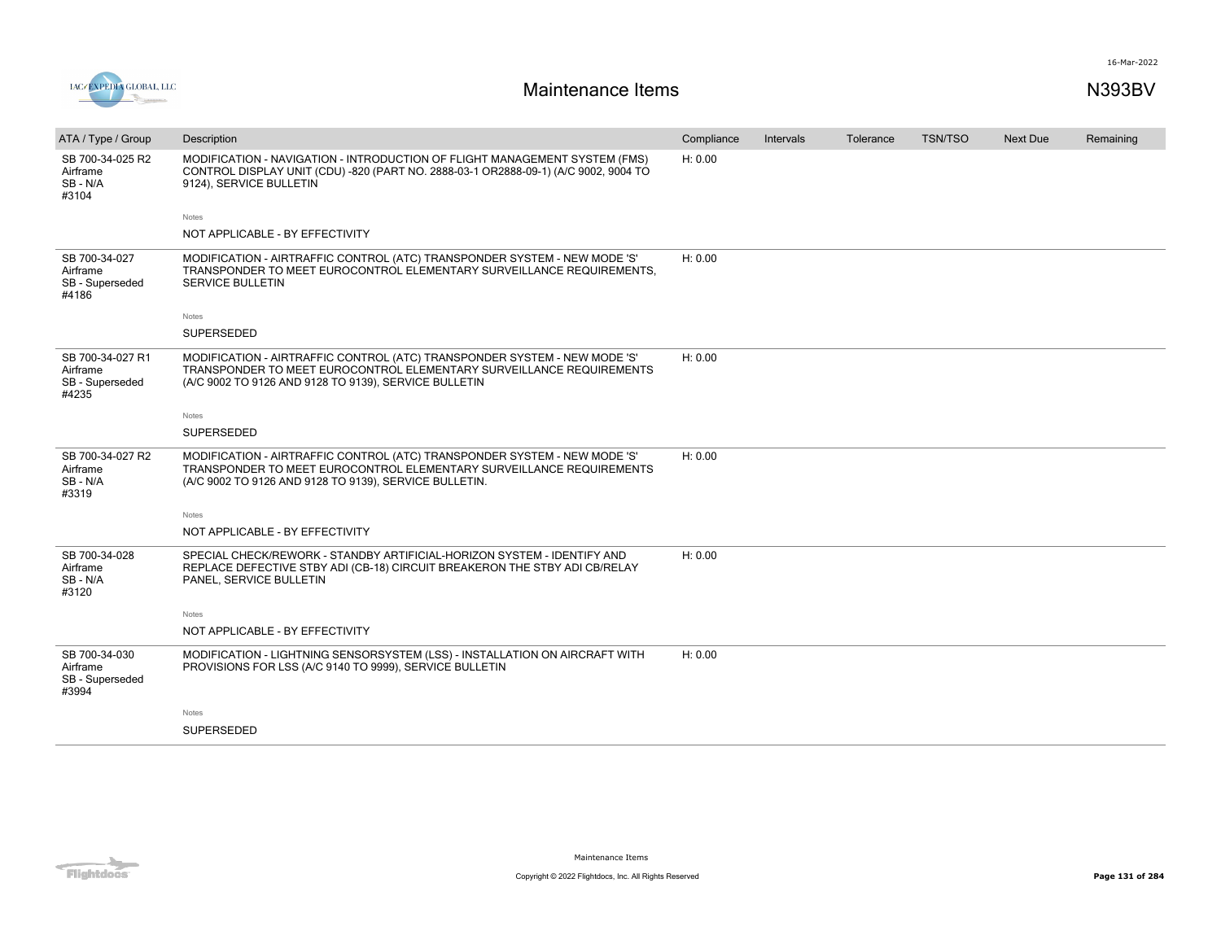



| ATA / Type / Group                                       | Description                                                                                                                                                                                                 | Compliance | Intervals | Tolerance | <b>TSN/TSO</b> | Next Due | Remaining |
|----------------------------------------------------------|-------------------------------------------------------------------------------------------------------------------------------------------------------------------------------------------------------------|------------|-----------|-----------|----------------|----------|-----------|
| SB 700-34-025 R2<br>Airframe<br>SB-N/A<br>#3104          | MODIFICATION - NAVIGATION - INTRODUCTION OF FLIGHT MANAGEMENT SYSTEM (FMS)<br>CONTROL DISPLAY UNIT (CDU) -820 (PART NO. 2888-03-1 OR2888-09-1) (A/C 9002, 9004 TO<br>9124), SERVICE BULLETIN                | H: 0.00    |           |           |                |          |           |
|                                                          | Notes                                                                                                                                                                                                       |            |           |           |                |          |           |
|                                                          | NOT APPLICABLE - BY EFFECTIVITY                                                                                                                                                                             |            |           |           |                |          |           |
| SB 700-34-027<br>Airframe<br>SB - Superseded<br>#4186    | MODIFICATION - AIRTRAFFIC CONTROL (ATC) TRANSPONDER SYSTEM - NEW MODE 'S'<br>TRANSPONDER TO MEET EUROCONTROL ELEMENTARY SURVEILLANCE REQUIREMENTS.<br><b>SERVICE BULLETIN</b>                               | H: 0.00    |           |           |                |          |           |
|                                                          | Notes                                                                                                                                                                                                       |            |           |           |                |          |           |
|                                                          | SUPERSEDED                                                                                                                                                                                                  |            |           |           |                |          |           |
| SB 700-34-027 R1<br>Airframe<br>SB - Superseded<br>#4235 | MODIFICATION - AIRTRAFFIC CONTROL (ATC) TRANSPONDER SYSTEM - NEW MODE 'S'<br>TRANSPONDER TO MEET EUROCONTROL ELEMENTARY SURVEILLANCE REQUIREMENTS<br>(A/C 9002 TO 9126 AND 9128 TO 9139), SERVICE BULLETIN  | H: 0.00    |           |           |                |          |           |
|                                                          | Notes                                                                                                                                                                                                       |            |           |           |                |          |           |
|                                                          | SUPERSEDED                                                                                                                                                                                                  |            |           |           |                |          |           |
| SB 700-34-027 R2<br>Airframe<br>SB-N/A<br>#3319          | MODIFICATION - AIRTRAFFIC CONTROL (ATC) TRANSPONDER SYSTEM - NEW MODE 'S'<br>TRANSPONDER TO MEET EUROCONTROL ELEMENTARY SURVEILLANCE REQUIREMENTS<br>(A/C 9002 TO 9126 AND 9128 TO 9139), SERVICE BULLETIN. | H: 0.00    |           |           |                |          |           |
|                                                          | Notes                                                                                                                                                                                                       |            |           |           |                |          |           |
|                                                          | NOT APPLICABLE - BY EFFECTIVITY                                                                                                                                                                             |            |           |           |                |          |           |
| SB 700-34-028<br>Airframe<br>SB-N/A<br>#3120             | SPECIAL CHECK/REWORK - STANDBY ARTIFICIAL-HORIZON SYSTEM - IDENTIFY AND<br>REPLACE DEFECTIVE STBY ADI (CB-18) CIRCUIT BREAKERON THE STBY ADI CB/RELAY<br>PANEL. SERVICE BULLETIN                            | H: 0.00    |           |           |                |          |           |
|                                                          | Notes                                                                                                                                                                                                       |            |           |           |                |          |           |
|                                                          | NOT APPLICABLE - BY EFFECTIVITY                                                                                                                                                                             |            |           |           |                |          |           |
| SB 700-34-030<br>Airframe<br>SB - Superseded<br>#3994    | MODIFICATION - LIGHTNING SENSORSYSTEM (LSS) - INSTALLATION ON AIRCRAFT WITH<br>PROVISIONS FOR LSS (A/C 9140 TO 9999), SERVICE BULLETIN                                                                      | H: 0.00    |           |           |                |          |           |
|                                                          | Notes                                                                                                                                                                                                       |            |           |           |                |          |           |
|                                                          | SUPERSEDED                                                                                                                                                                                                  |            |           |           |                |          |           |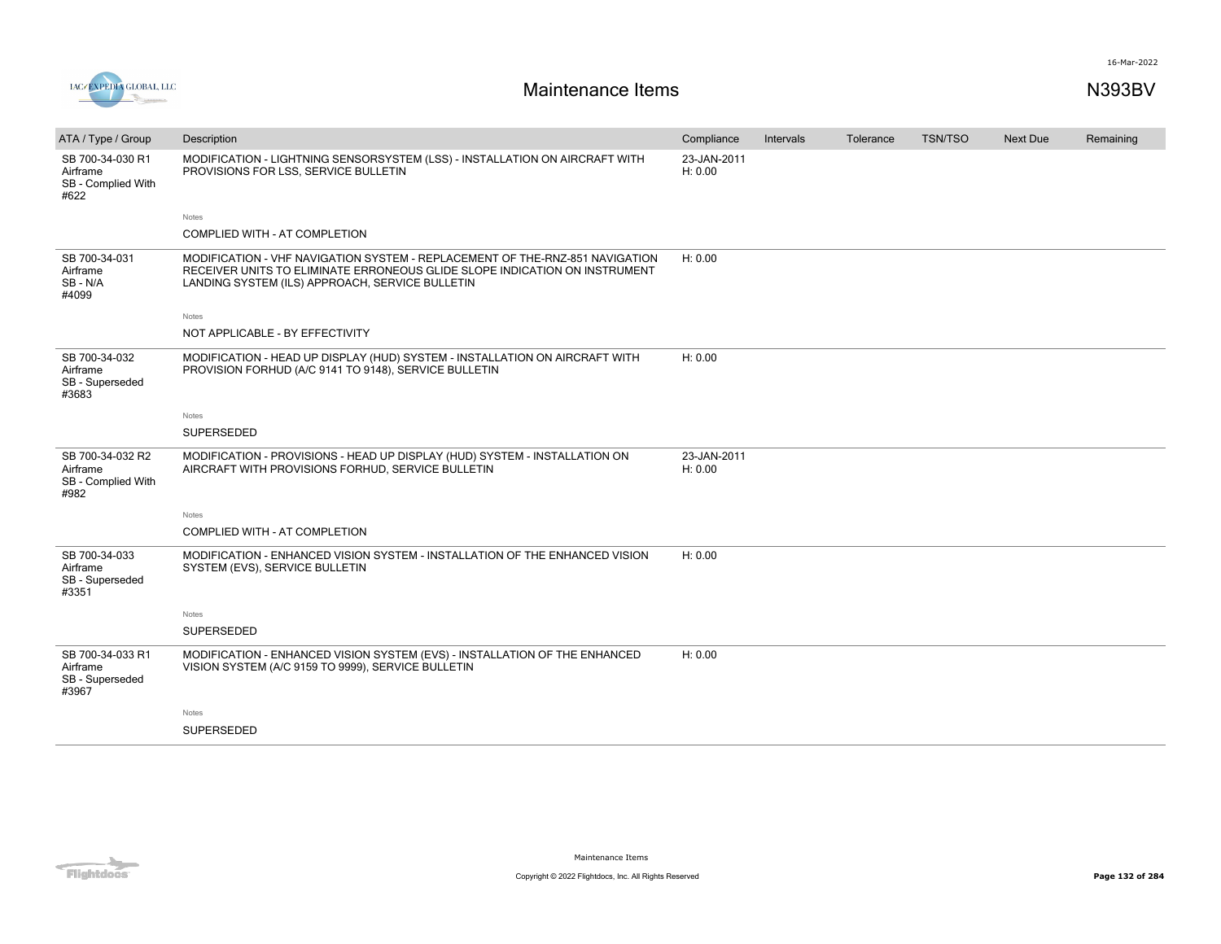



| ATA / Type / Group                                         | Description                                                                                                                                                                                                   | Compliance             | Intervals | Tolerance | <b>TSN/TSO</b> | <b>Next Due</b> | Remaining |
|------------------------------------------------------------|---------------------------------------------------------------------------------------------------------------------------------------------------------------------------------------------------------------|------------------------|-----------|-----------|----------------|-----------------|-----------|
| SB 700-34-030 R1<br>Airframe<br>SB - Complied With<br>#622 | MODIFICATION - LIGHTNING SENSORSYSTEM (LSS) - INSTALLATION ON AIRCRAFT WITH<br>PROVISIONS FOR LSS, SERVICE BULLETIN                                                                                           | 23-JAN-2011<br>H: 0.00 |           |           |                |                 |           |
|                                                            | Notes                                                                                                                                                                                                         |                        |           |           |                |                 |           |
|                                                            | COMPLIED WITH - AT COMPLETION                                                                                                                                                                                 |                        |           |           |                |                 |           |
| SB 700-34-031<br>Airframe<br>SB-N/A<br>#4099               | MODIFICATION - VHF NAVIGATION SYSTEM - REPLACEMENT OF THE-RNZ-851 NAVIGATION<br>RECEIVER UNITS TO ELIMINATE ERRONEOUS GLIDE SLOPE INDICATION ON INSTRUMENT<br>LANDING SYSTEM (ILS) APPROACH, SERVICE BULLETIN | H: 0.00                |           |           |                |                 |           |
|                                                            | Notes                                                                                                                                                                                                         |                        |           |           |                |                 |           |
|                                                            | NOT APPLICABLE - BY EFFECTIVITY                                                                                                                                                                               |                        |           |           |                |                 |           |
| SB 700-34-032<br>Airframe<br>SB - Superseded<br>#3683      | MODIFICATION - HEAD UP DISPLAY (HUD) SYSTEM - INSTALLATION ON AIRCRAFT WITH<br>PROVISION FORHUD (A/C 9141 TO 9148), SERVICE BULLETIN                                                                          | H: 0.00                |           |           |                |                 |           |
|                                                            | Notes                                                                                                                                                                                                         |                        |           |           |                |                 |           |
|                                                            | SUPERSEDED                                                                                                                                                                                                    |                        |           |           |                |                 |           |
| SB 700-34-032 R2<br>Airframe<br>SB - Complied With<br>#982 | MODIFICATION - PROVISIONS - HEAD UP DISPLAY (HUD) SYSTEM - INSTALLATION ON<br>AIRCRAFT WITH PROVISIONS FORHUD. SERVICE BULLETIN                                                                               | 23-JAN-2011<br>H: 0.00 |           |           |                |                 |           |
|                                                            | Notes                                                                                                                                                                                                         |                        |           |           |                |                 |           |
|                                                            | COMPLIED WITH - AT COMPLETION                                                                                                                                                                                 |                        |           |           |                |                 |           |
| SB 700-34-033<br>Airframe<br>SB - Superseded<br>#3351      | MODIFICATION - ENHANCED VISION SYSTEM - INSTALLATION OF THE ENHANCED VISION<br>SYSTEM (EVS), SERVICE BULLETIN                                                                                                 | H: 0.00                |           |           |                |                 |           |
|                                                            | Notes                                                                                                                                                                                                         |                        |           |           |                |                 |           |
|                                                            | SUPERSEDED                                                                                                                                                                                                    |                        |           |           |                |                 |           |
| SB 700-34-033 R1<br>Airframe<br>SB - Superseded<br>#3967   | MODIFICATION - ENHANCED VISION SYSTEM (EVS) - INSTALLATION OF THE ENHANCED<br>VISION SYSTEM (A/C 9159 TO 9999), SERVICE BULLETIN                                                                              | H: 0.00                |           |           |                |                 |           |
|                                                            | Notes                                                                                                                                                                                                         |                        |           |           |                |                 |           |
|                                                            | SUPERSEDED                                                                                                                                                                                                    |                        |           |           |                |                 |           |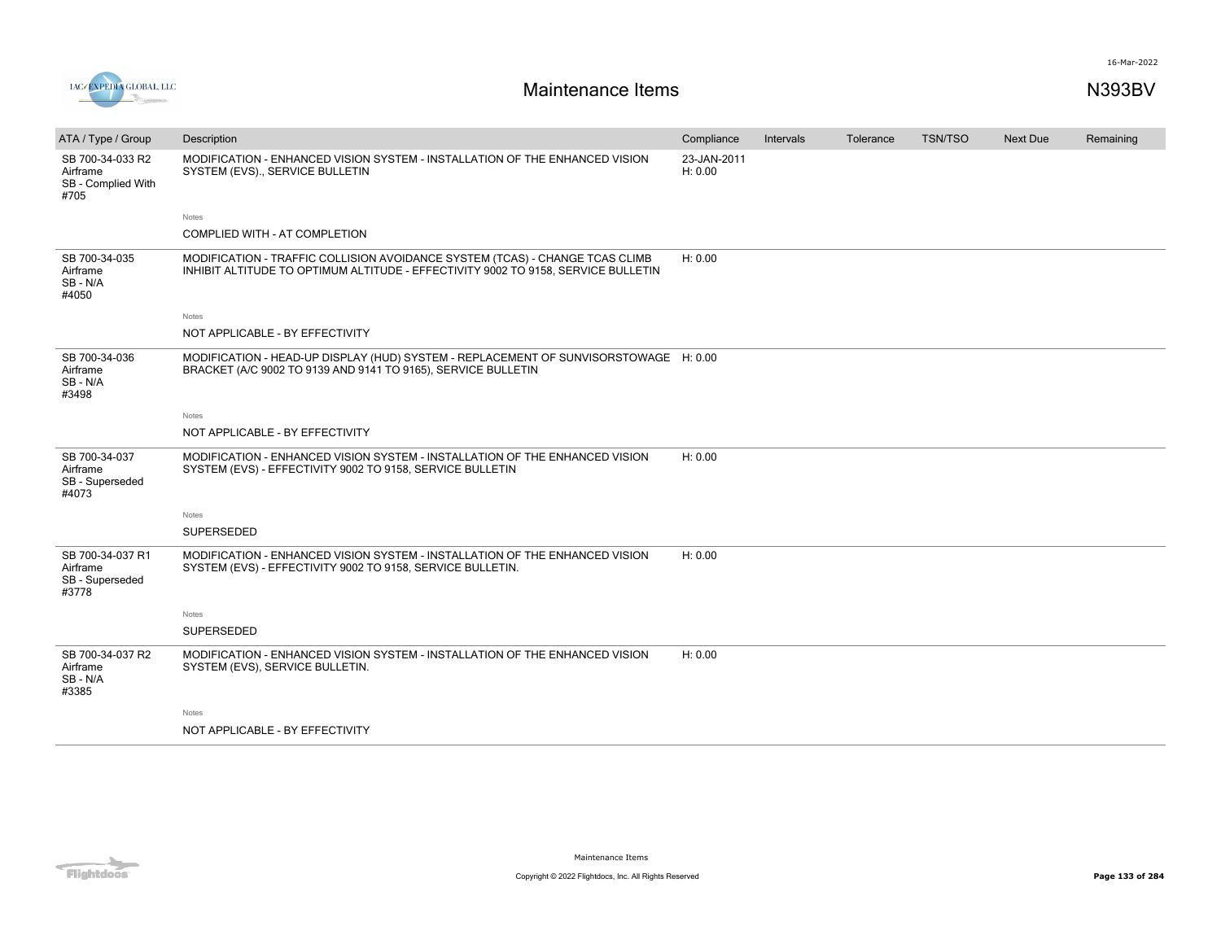

| ATA / Type / Group                                         | Description                                                                                                                                                       | Compliance             | Intervals | Tolerance | <b>TSN/TSO</b> | <b>Next Due</b> | Remaining |
|------------------------------------------------------------|-------------------------------------------------------------------------------------------------------------------------------------------------------------------|------------------------|-----------|-----------|----------------|-----------------|-----------|
| SB 700-34-033 R2<br>Airframe<br>SB - Complied With<br>#705 | MODIFICATION - ENHANCED VISION SYSTEM - INSTALLATION OF THE ENHANCED VISION<br>SYSTEM (EVS)., SERVICE BULLETIN                                                    | 23-JAN-2011<br>H: 0.00 |           |           |                |                 |           |
|                                                            | Notes                                                                                                                                                             |                        |           |           |                |                 |           |
|                                                            | COMPLIED WITH - AT COMPLETION                                                                                                                                     |                        |           |           |                |                 |           |
| SB 700-34-035<br>Airframe<br>SB - N/A<br>#4050             | MODIFICATION - TRAFFIC COLLISION AVOIDANCE SYSTEM (TCAS) - CHANGE TCAS CLIMB<br>INHIBIT ALTITUDE TO OPTIMUM ALTITUDE - EFFECTIVITY 9002 TO 9158, SERVICE BULLETIN | H: 0.00                |           |           |                |                 |           |
|                                                            | Notes                                                                                                                                                             |                        |           |           |                |                 |           |
|                                                            | NOT APPLICABLE - BY EFFECTIVITY                                                                                                                                   |                        |           |           |                |                 |           |
| SB 700-34-036<br>Airframe<br>SB - N/A<br>#3498             | MODIFICATION - HEAD-UP DISPLAY (HUD) SYSTEM - REPLACEMENT OF SUNVISORSTOWAGE H: 0.00<br>BRACKET (A/C 9002 TO 9139 AND 9141 TO 9165), SERVICE BULLETIN             |                        |           |           |                |                 |           |
|                                                            | Notes                                                                                                                                                             |                        |           |           |                |                 |           |
|                                                            | NOT APPLICABLE - BY EFFECTIVITY                                                                                                                                   |                        |           |           |                |                 |           |
| SB 700-34-037<br>Airframe<br>SB - Superseded<br>#4073      | MODIFICATION - ENHANCED VISION SYSTEM - INSTALLATION OF THE ENHANCED VISION<br>SYSTEM (EVS) - EFFECTIVITY 9002 TO 9158, SERVICE BULLETIN                          | H: 0.00                |           |           |                |                 |           |
|                                                            | Notes                                                                                                                                                             |                        |           |           |                |                 |           |
|                                                            | <b>SUPERSEDED</b>                                                                                                                                                 |                        |           |           |                |                 |           |
| SB 700-34-037 R1<br>Airframe<br>SB - Superseded<br>#3778   | MODIFICATION - ENHANCED VISION SYSTEM - INSTALLATION OF THE ENHANCED VISION<br>SYSTEM (EVS) - EFFECTIVITY 9002 TO 9158, SERVICE BULLETIN.                         | H: 0.00                |           |           |                |                 |           |
|                                                            | Notes                                                                                                                                                             |                        |           |           |                |                 |           |
|                                                            | <b>SUPERSEDED</b>                                                                                                                                                 |                        |           |           |                |                 |           |
| SB 700-34-037 R2<br>Airframe<br>SB - N/A<br>#3385          | MODIFICATION - ENHANCED VISION SYSTEM - INSTALLATION OF THE ENHANCED VISION<br>SYSTEM (EVS), SERVICE BULLETIN.                                                    | H: 0.00                |           |           |                |                 |           |
|                                                            | Notes                                                                                                                                                             |                        |           |           |                |                 |           |
|                                                            | NOT APPLICABLE - BY EFFECTIVITY                                                                                                                                   |                        |           |           |                |                 |           |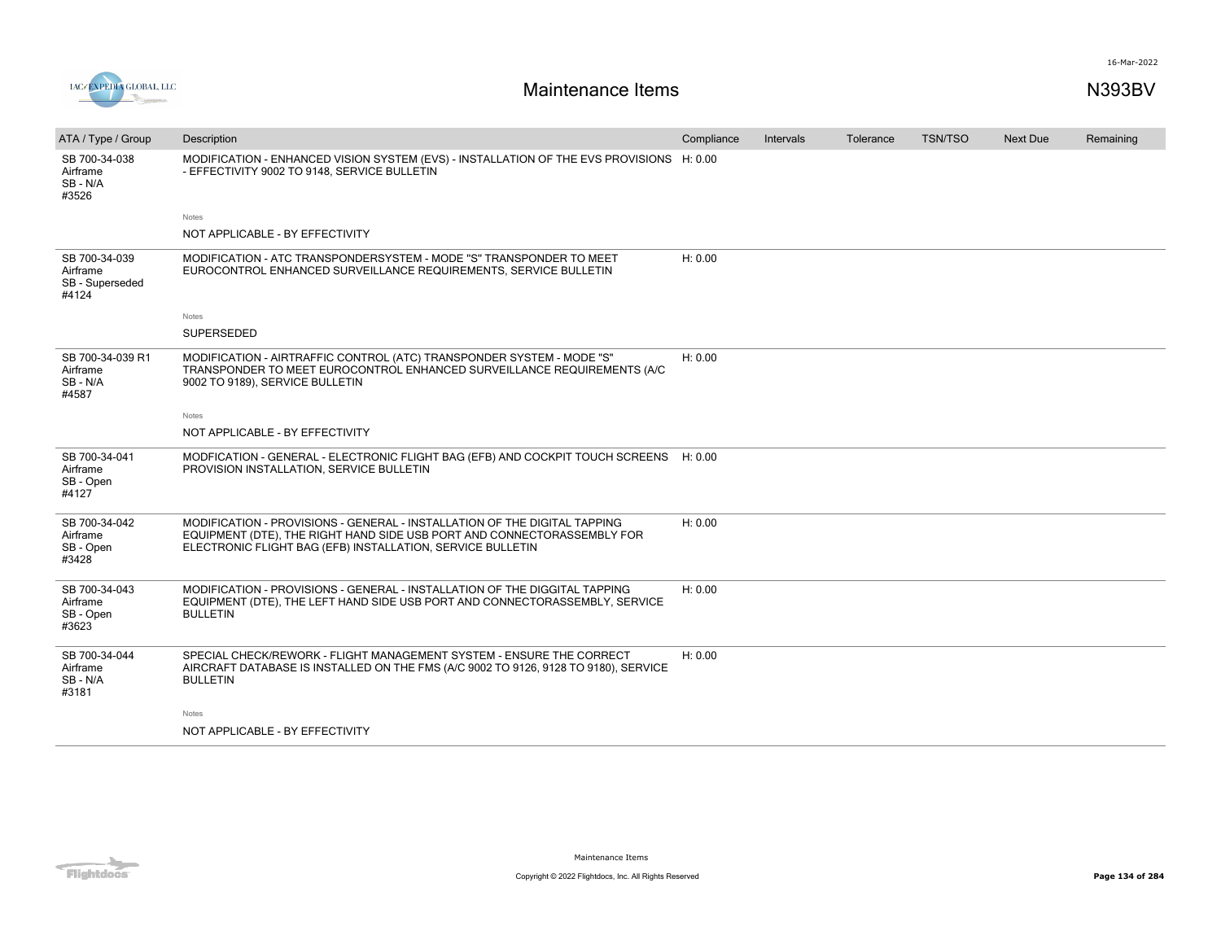

| ATA / Type / Group                                    | Description                                                                                                                                                                                                        | Compliance | Intervals | Tolerance | <b>TSN/TSO</b> | Next Due | Remaining |
|-------------------------------------------------------|--------------------------------------------------------------------------------------------------------------------------------------------------------------------------------------------------------------------|------------|-----------|-----------|----------------|----------|-----------|
| SB 700-34-038<br>Airframe<br>SB-N/A<br>#3526          | MODIFICATION - ENHANCED VISION SYSTEM (EVS) - INSTALLATION OF THE EVS PROVISIONS H: 0.00<br>- EFFECTIVITY 9002 TO 9148, SERVICE BULLETIN                                                                           |            |           |           |                |          |           |
|                                                       | Notes                                                                                                                                                                                                              |            |           |           |                |          |           |
|                                                       | NOT APPLICABLE - BY EFFECTIVITY                                                                                                                                                                                    |            |           |           |                |          |           |
| SB 700-34-039<br>Airframe<br>SB - Superseded<br>#4124 | MODIFICATION - ATC TRANSPONDERSYSTEM - MODE "S" TRANSPONDER TO MEET<br>EUROCONTROL ENHANCED SURVEILLANCE REQUIREMENTS, SERVICE BULLETIN                                                                            | H: 0.00    |           |           |                |          |           |
|                                                       | Notes                                                                                                                                                                                                              |            |           |           |                |          |           |
|                                                       | SUPERSEDED                                                                                                                                                                                                         |            |           |           |                |          |           |
| SB 700-34-039 R1<br>Airframe<br>SB-N/A<br>#4587       | MODIFICATION - AIRTRAFFIC CONTROL (ATC) TRANSPONDER SYSTEM - MODE "S"<br>TRANSPONDER TO MEET EUROCONTROL ENHANCED SURVEILLANCE REQUIREMENTS (A/C<br>9002 TO 9189), SERVICE BULLETIN                                | H: 0.00    |           |           |                |          |           |
|                                                       | Notes                                                                                                                                                                                                              |            |           |           |                |          |           |
|                                                       | NOT APPLICABLE - BY EFFECTIVITY                                                                                                                                                                                    |            |           |           |                |          |           |
| SB 700-34-041<br>Airframe<br>SB - Open<br>#4127       | MODFICATION - GENERAL - ELECTRONIC FLIGHT BAG (EFB) AND COCKPIT TOUCH SCREENS H: 0.00<br>PROVISION INSTALLATION, SERVICE BULLETIN                                                                                  |            |           |           |                |          |           |
| SB 700-34-042<br>Airframe<br>SB - Open<br>#3428       | MODIFICATION - PROVISIONS - GENERAL - INSTALLATION OF THE DIGITAL TAPPING<br>EQUIPMENT (DTE), THE RIGHT HAND SIDE USB PORT AND CONNECTORASSEMBLY FOR<br>ELECTRONIC FLIGHT BAG (EFB) INSTALLATION, SERVICE BULLETIN | H: 0.00    |           |           |                |          |           |
| SB 700-34-043<br>Airframe<br>SB - Open<br>#3623       | MODIFICATION - PROVISIONS - GENERAL - INSTALLATION OF THE DIGGITAL TAPPING<br>EQUIPMENT (DTE), THE LEFT HAND SIDE USB PORT AND CONNECTORASSEMBLY, SERVICE<br><b>BULLETIN</b>                                       | H: 0.00    |           |           |                |          |           |
| SB 700-34-044<br>Airframe<br>SB - N/A<br>#3181        | SPECIAL CHECK/REWORK - FLIGHT MANAGEMENT SYSTEM - ENSURE THE CORRECT<br>AIRCRAFT DATABASE IS INSTALLED ON THE FMS (A/C 9002 TO 9126, 9128 TO 9180), SERVICE<br><b>BULLETIN</b>                                     | H: 0.00    |           |           |                |          |           |
|                                                       | Notes                                                                                                                                                                                                              |            |           |           |                |          |           |
|                                                       | NOT APPLICABLE - BY EFFECTIVITY                                                                                                                                                                                    |            |           |           |                |          |           |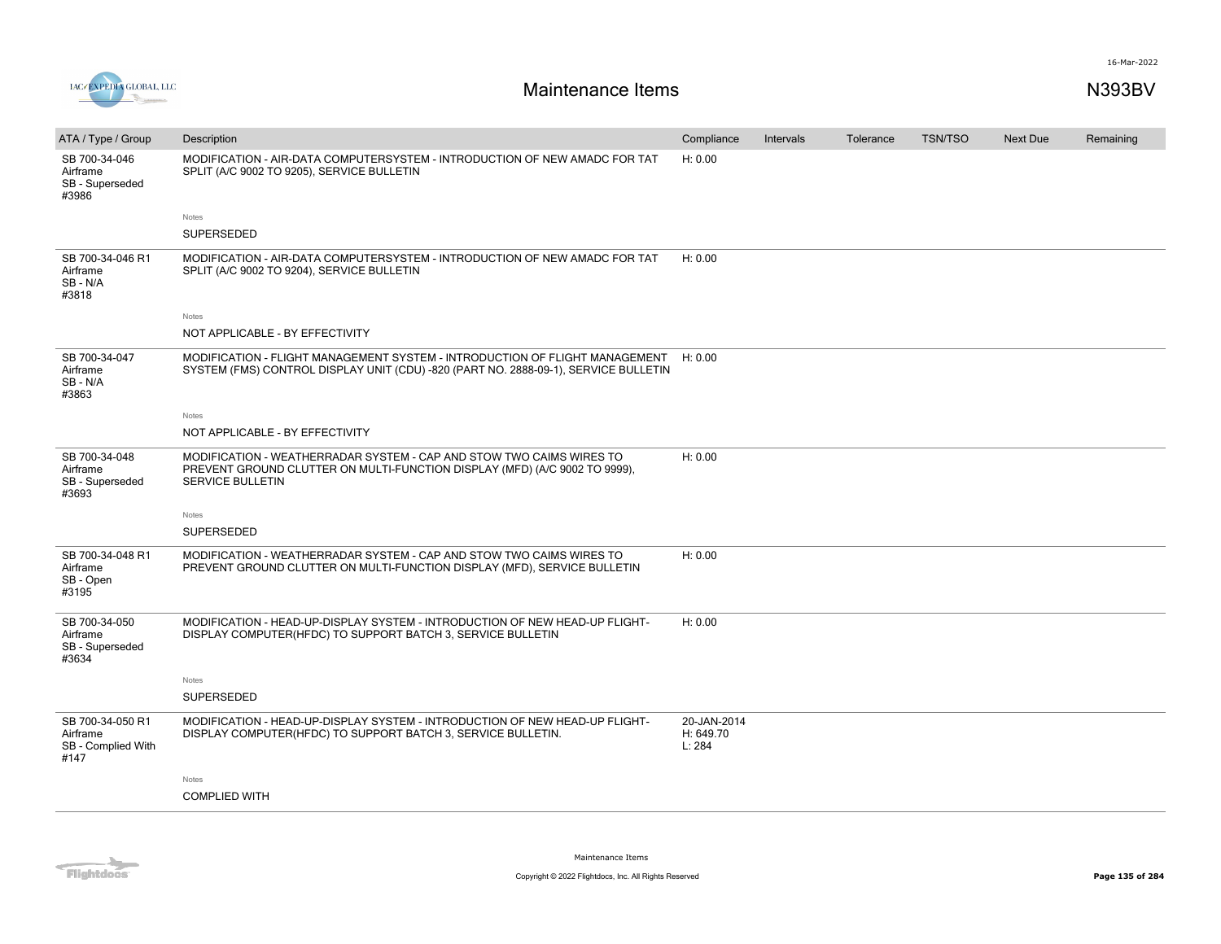

| ATA / Type / Group                                         | Description                                                                                                                                                                   | Compliance                         | Intervals | Tolerance | <b>TSN/TSO</b> | Next Due | Remaining |
|------------------------------------------------------------|-------------------------------------------------------------------------------------------------------------------------------------------------------------------------------|------------------------------------|-----------|-----------|----------------|----------|-----------|
| SB 700-34-046<br>Airframe<br>SB - Superseded<br>#3986      | MODIFICATION - AIR-DATA COMPUTERSYSTEM - INTRODUCTION OF NEW AMADC FOR TAT<br>SPLIT (A/C 9002 TO 9205), SERVICE BULLETIN                                                      | H: 0.00                            |           |           |                |          |           |
|                                                            | Notes                                                                                                                                                                         |                                    |           |           |                |          |           |
|                                                            | SUPERSEDED                                                                                                                                                                    |                                    |           |           |                |          |           |
| SB 700-34-046 R1<br>Airframe<br>SB-N/A<br>#3818            | MODIFICATION - AIR-DATA COMPUTERSYSTEM - INTRODUCTION OF NEW AMADC FOR TAT<br>SPLIT (A/C 9002 TO 9204), SERVICE BULLETIN                                                      | H: 0.00                            |           |           |                |          |           |
|                                                            | Notes                                                                                                                                                                         |                                    |           |           |                |          |           |
|                                                            | NOT APPLICABLE - BY EFFECTIVITY                                                                                                                                               |                                    |           |           |                |          |           |
| SB 700-34-047<br>Airframe<br>SB-N/A<br>#3863               | MODIFICATION - FLIGHT MANAGEMENT SYSTEM - INTRODUCTION OF FLIGHT MANAGEMENT<br>SYSTEM (FMS) CONTROL DISPLAY UNIT (CDU) -820 (PART NO. 2888-09-1), SERVICE BULLETIN            | H: 0.00                            |           |           |                |          |           |
|                                                            | Notes                                                                                                                                                                         |                                    |           |           |                |          |           |
|                                                            | NOT APPLICABLE - BY EFFECTIVITY                                                                                                                                               |                                    |           |           |                |          |           |
| SB 700-34-048<br>Airframe<br>SB - Superseded<br>#3693      | MODIFICATION - WEATHERRADAR SYSTEM - CAP AND STOW TWO CAIMS WIRES TO<br>PREVENT GROUND CLUTTER ON MULTI-FUNCTION DISPLAY (MFD) (A/C 9002 TO 9999),<br><b>SERVICE BULLETIN</b> | H: 0.00                            |           |           |                |          |           |
|                                                            | Notes                                                                                                                                                                         |                                    |           |           |                |          |           |
|                                                            | SUPERSEDED                                                                                                                                                                    |                                    |           |           |                |          |           |
| SB 700-34-048 R1<br>Airframe<br>SB - Open<br>#3195         | MODIFICATION - WEATHERRADAR SYSTEM - CAP AND STOW TWO CAIMS WIRES TO<br>PREVENT GROUND CLUTTER ON MULTI-FUNCTION DISPLAY (MFD), SERVICE BULLETIN                              | H: 0.00                            |           |           |                |          |           |
| SB 700-34-050<br>Airframe<br>SB - Superseded<br>#3634      | MODIFICATION - HEAD-UP-DISPLAY SYSTEM - INTRODUCTION OF NEW HEAD-UP FLIGHT-<br>DISPLAY COMPUTER(HFDC) TO SUPPORT BATCH 3, SERVICE BULLETIN                                    | H: 0.00                            |           |           |                |          |           |
|                                                            | Notes                                                                                                                                                                         |                                    |           |           |                |          |           |
|                                                            | SUPERSEDED                                                                                                                                                                    |                                    |           |           |                |          |           |
| SB 700-34-050 R1<br>Airframe<br>SB - Complied With<br>#147 | MODIFICATION - HEAD-UP-DISPLAY SYSTEM - INTRODUCTION OF NEW HEAD-UP FLIGHT-<br>DISPLAY COMPUTER(HFDC) TO SUPPORT BATCH 3, SERVICE BULLETIN.                                   | 20-JAN-2014<br>H: 649.70<br>L: 284 |           |           |                |          |           |
|                                                            | Notes                                                                                                                                                                         |                                    |           |           |                |          |           |
|                                                            | <b>COMPLIED WITH</b>                                                                                                                                                          |                                    |           |           |                |          |           |
|                                                            |                                                                                                                                                                               |                                    |           |           |                |          |           |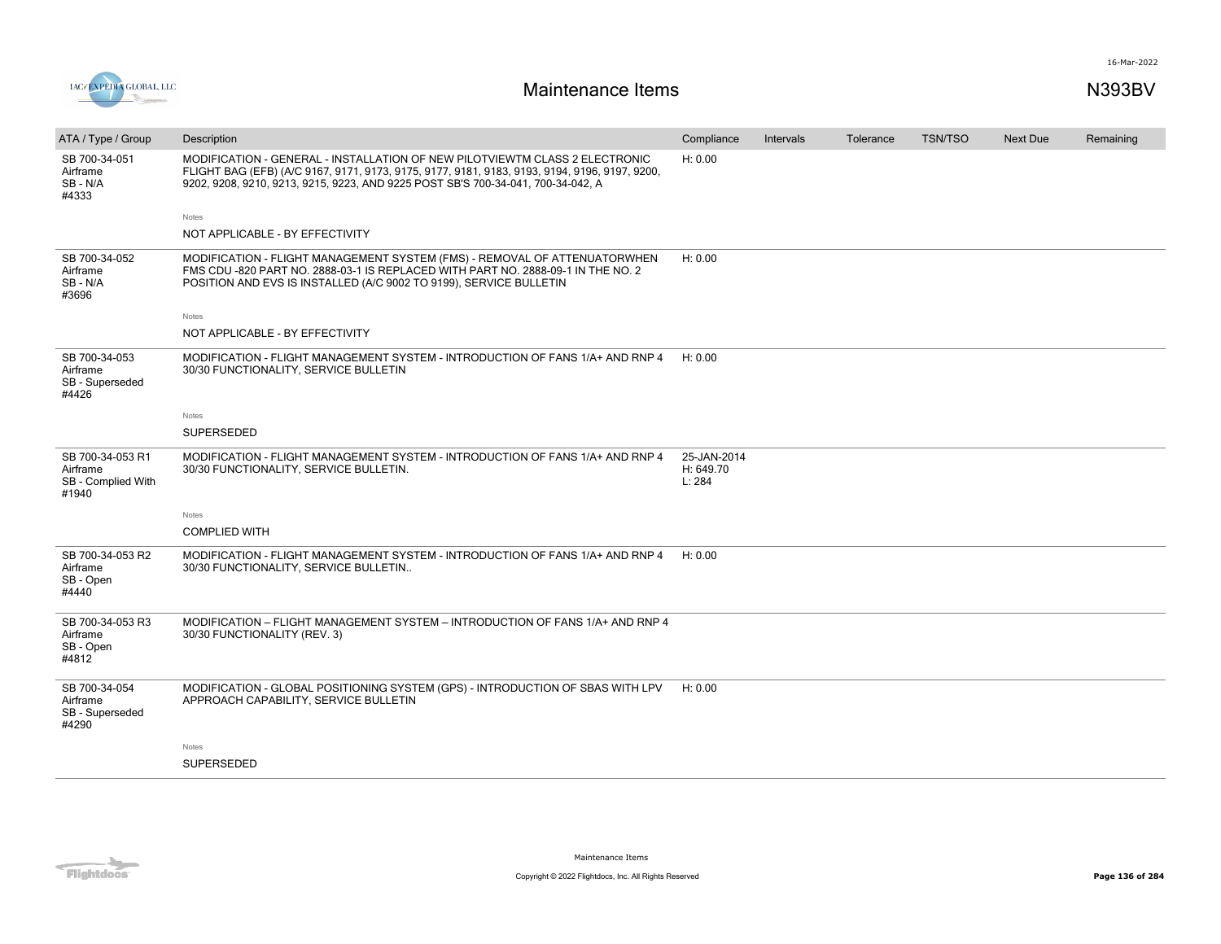

| ATA / Type / Group                                          | Description                                                                                                                                                                                                                                                      | Compliance                         | <b>Intervals</b> | Tolerance | <b>TSN/TSO</b> | <b>Next Due</b> | Remaining |
|-------------------------------------------------------------|------------------------------------------------------------------------------------------------------------------------------------------------------------------------------------------------------------------------------------------------------------------|------------------------------------|------------------|-----------|----------------|-----------------|-----------|
| SB 700-34-051<br>Airframe<br>SB-N/A<br>#4333                | MODIFICATION - GENERAL - INSTALLATION OF NEW PILOTVIEWTM CLASS 2 ELECTRONIC<br>FLIGHT BAG (EFB) (A/C 9167, 9171, 9173, 9175, 9177, 9181, 9183, 9193, 9194, 9196, 9197, 9200,<br>9202, 9208, 9210, 9213, 9215, 9223, AND 9225 POST SB'S 700-34-041, 700-34-042, A | H: 0.00                            |                  |           |                |                 |           |
|                                                             | Notes                                                                                                                                                                                                                                                            |                                    |                  |           |                |                 |           |
|                                                             | NOT APPLICABLE - BY EFFECTIVITY                                                                                                                                                                                                                                  |                                    |                  |           |                |                 |           |
| SB 700-34-052<br>Airframe<br>SB-N/A<br>#3696                | MODIFICATION - FLIGHT MANAGEMENT SYSTEM (FMS) - REMOVAL OF ATTENUATORWHEN<br>FMS CDU -820 PART NO. 2888-03-1 IS REPLACED WITH PART NO. 2888-09-1 IN THE NO. 2<br>POSITION AND EVS IS INSTALLED (A/C 9002 TO 9199), SERVICE BULLETIN                              | H: 0.00                            |                  |           |                |                 |           |
|                                                             | Notes                                                                                                                                                                                                                                                            |                                    |                  |           |                |                 |           |
|                                                             | NOT APPLICABLE - BY EFFECTIVITY                                                                                                                                                                                                                                  |                                    |                  |           |                |                 |           |
| SB 700-34-053<br>Airframe<br>SB - Superseded<br>#4426       | MODIFICATION - FLIGHT MANAGEMENT SYSTEM - INTRODUCTION OF FANS 1/A+ AND RNP 4<br>30/30 FUNCTIONALITY, SERVICE BULLETIN                                                                                                                                           | H: 0.00                            |                  |           |                |                 |           |
|                                                             | Notes                                                                                                                                                                                                                                                            |                                    |                  |           |                |                 |           |
|                                                             | SUPERSEDED                                                                                                                                                                                                                                                       |                                    |                  |           |                |                 |           |
| SB 700-34-053 R1<br>Airframe<br>SB - Complied With<br>#1940 | MODIFICATION - FLIGHT MANAGEMENT SYSTEM - INTRODUCTION OF FANS 1/A+ AND RNP 4<br>30/30 FUNCTIONALITY, SERVICE BULLETIN.                                                                                                                                          | 25-JAN-2014<br>H: 649.70<br>L: 284 |                  |           |                |                 |           |
|                                                             | Notes                                                                                                                                                                                                                                                            |                                    |                  |           |                |                 |           |
|                                                             | <b>COMPLIED WITH</b>                                                                                                                                                                                                                                             |                                    |                  |           |                |                 |           |
| SB 700-34-053 R2<br>Airframe<br>SB - Open<br>#4440          | MODIFICATION - FLIGHT MANAGEMENT SYSTEM - INTRODUCTION OF FANS 1/A+ AND RNP 4<br>30/30 FUNCTIONALITY, SERVICE BULLETIN                                                                                                                                           | H: 0.00                            |                  |           |                |                 |           |
| SB 700-34-053 R3<br>Airframe<br>SB - Open<br>#4812          | MODIFICATION - FLIGHT MANAGEMENT SYSTEM - INTRODUCTION OF FANS 1/A+ AND RNP 4<br>30/30 FUNCTIONALITY (REV. 3)                                                                                                                                                    |                                    |                  |           |                |                 |           |
| SB 700-34-054<br>Airframe<br>SB - Superseded<br>#4290       | MODIFICATION - GLOBAL POSITIONING SYSTEM (GPS) - INTRODUCTION OF SBAS WITH LPV<br>APPROACH CAPABILITY, SERVICE BULLETIN                                                                                                                                          | H: 0.00                            |                  |           |                |                 |           |
|                                                             | Notes                                                                                                                                                                                                                                                            |                                    |                  |           |                |                 |           |
|                                                             | <b>SUPERSEDED</b>                                                                                                                                                                                                                                                |                                    |                  |           |                |                 |           |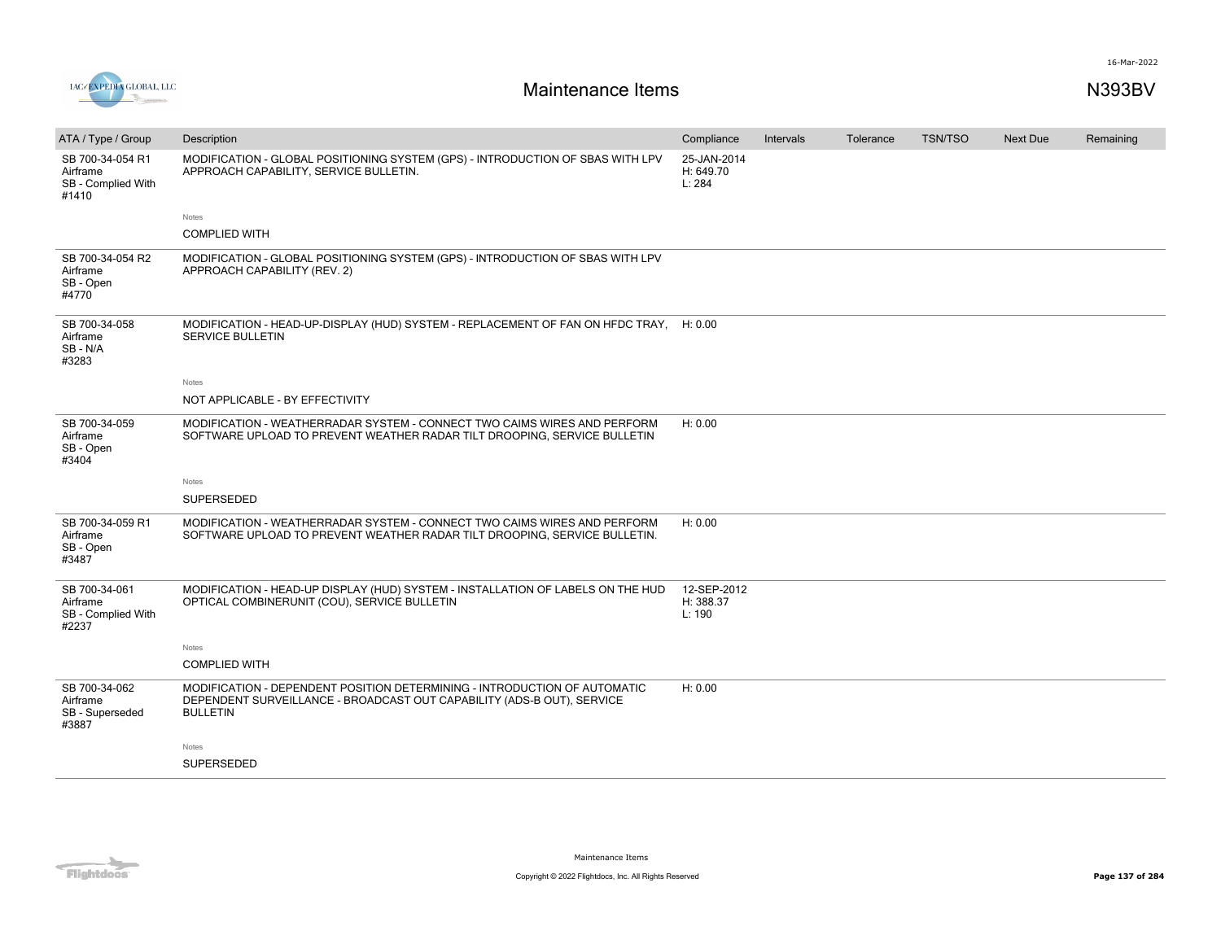

| ATA / Type / Group                                          | Description                                                                                                                                                            | Compliance                         | Intervals | Tolerance | <b>TSN/TSO</b> | <b>Next Due</b> | Remaining |
|-------------------------------------------------------------|------------------------------------------------------------------------------------------------------------------------------------------------------------------------|------------------------------------|-----------|-----------|----------------|-----------------|-----------|
| SB 700-34-054 R1<br>Airframe<br>SB - Complied With<br>#1410 | MODIFICATION - GLOBAL POSITIONING SYSTEM (GPS) - INTRODUCTION OF SBAS WITH LPV<br>APPROACH CAPABILITY, SERVICE BULLETIN.                                               | 25-JAN-2014<br>H: 649.70<br>L: 284 |           |           |                |                 |           |
|                                                             | Notes                                                                                                                                                                  |                                    |           |           |                |                 |           |
|                                                             | <b>COMPLIED WITH</b>                                                                                                                                                   |                                    |           |           |                |                 |           |
| SB 700-34-054 R2<br>Airframe<br>SB - Open<br>#4770          | MODIFICATION - GLOBAL POSITIONING SYSTEM (GPS) - INTRODUCTION OF SBAS WITH LPV<br>APPROACH CAPABILITY (REV. 2)                                                         |                                    |           |           |                |                 |           |
| SB 700-34-058<br>Airframe<br>SB-N/A<br>#3283                | MODIFICATION - HEAD-UP-DISPLAY (HUD) SYSTEM - REPLACEMENT OF FAN ON HFDC TRAY, H: 0.00<br>SERVICE BULLETIN                                                             |                                    |           |           |                |                 |           |
|                                                             | Notes                                                                                                                                                                  |                                    |           |           |                |                 |           |
|                                                             | NOT APPLICABLE - BY EFFECTIVITY                                                                                                                                        |                                    |           |           |                |                 |           |
| SB 700-34-059<br>Airframe<br>SB - Open<br>#3404             | MODIFICATION - WEATHERRADAR SYSTEM - CONNECT TWO CAIMS WIRES AND PERFORM<br>SOFTWARE UPLOAD TO PREVENT WEATHER RADAR TILT DROOPING, SERVICE BULLETIN                   | H: 0.00                            |           |           |                |                 |           |
|                                                             | Notes                                                                                                                                                                  |                                    |           |           |                |                 |           |
|                                                             | SUPERSEDED                                                                                                                                                             |                                    |           |           |                |                 |           |
| SB 700-34-059 R1<br>Airframe<br>SB - Open<br>#3487          | MODIFICATION - WEATHERRADAR SYSTEM - CONNECT TWO CAIMS WIRES AND PERFORM<br>SOFTWARE UPLOAD TO PREVENT WEATHER RADAR TILT DROOPING, SERVICE BULLETIN.                  | H: 0.00                            |           |           |                |                 |           |
| SB 700-34-061<br>Airframe<br>SB - Complied With<br>#2237    | MODIFICATION - HEAD-UP DISPLAY (HUD) SYSTEM - INSTALLATION OF LABELS ON THE HUD<br>OPTICAL COMBINERUNIT (COU), SERVICE BULLETIN                                        | 12-SEP-2012<br>H: 388.37<br>L: 190 |           |           |                |                 |           |
|                                                             | Notes                                                                                                                                                                  |                                    |           |           |                |                 |           |
|                                                             | <b>COMPLIED WITH</b>                                                                                                                                                   |                                    |           |           |                |                 |           |
| SB 700-34-062<br>Airframe<br>SB - Superseded<br>#3887       | MODIFICATION - DEPENDENT POSITION DETERMINING - INTRODUCTION OF AUTOMATIC<br>DEPENDENT SURVEILLANCE - BROADCAST OUT CAPABILITY (ADS-B OUT), SERVICE<br><b>BULLETIN</b> | H: 0.00                            |           |           |                |                 |           |
|                                                             | Notes                                                                                                                                                                  |                                    |           |           |                |                 |           |
|                                                             | <b>SUPERSEDED</b>                                                                                                                                                      |                                    |           |           |                |                 |           |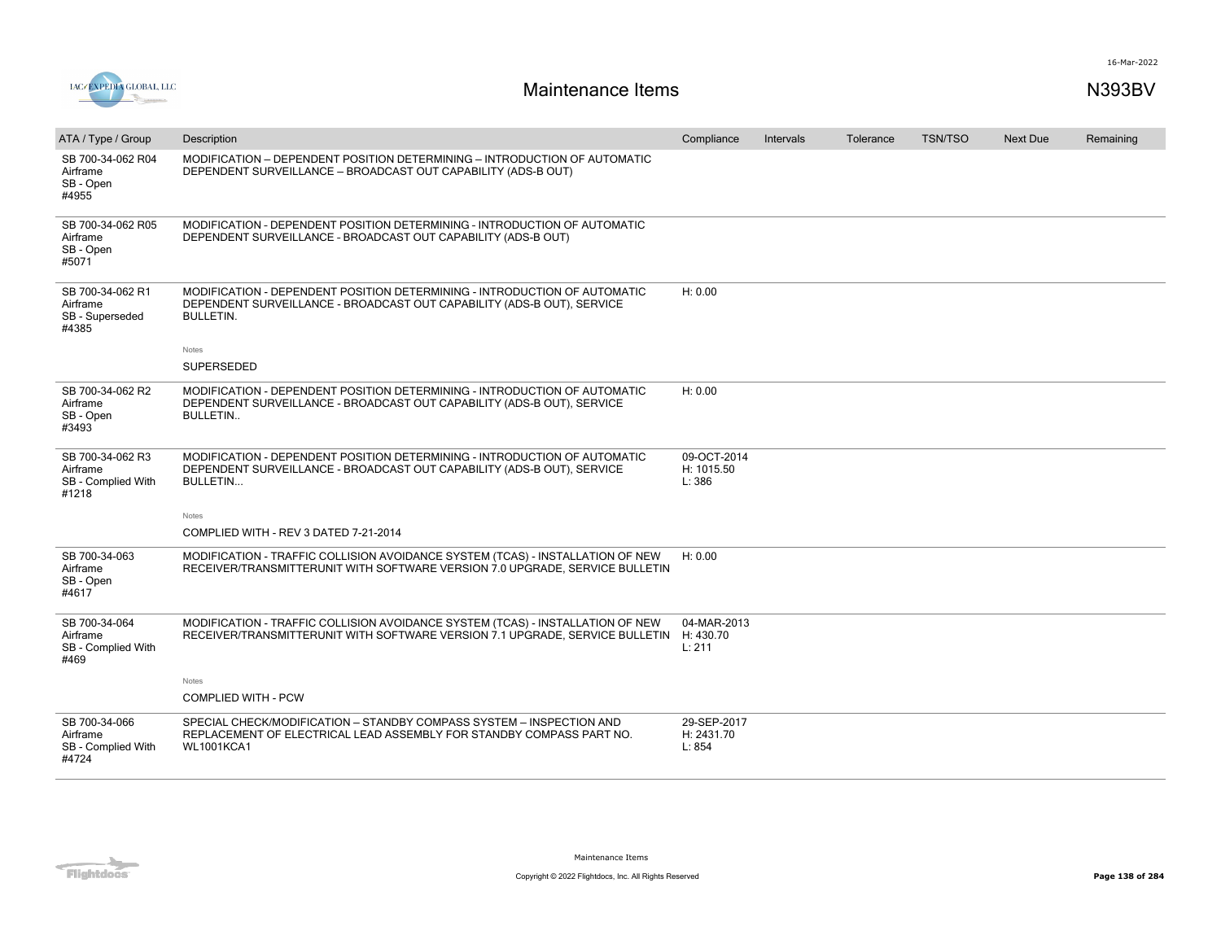

| ATA / Type / Group                                          | Description                                                                                                                                                              | Compliance                          | Intervals | Tolerance | <b>TSN/TSO</b> | <b>Next Due</b> | Remaining |
|-------------------------------------------------------------|--------------------------------------------------------------------------------------------------------------------------------------------------------------------------|-------------------------------------|-----------|-----------|----------------|-----------------|-----------|
| SB 700-34-062 R04<br>Airframe<br>SB - Open<br>#4955         | MODIFICATION - DEPENDENT POSITION DETERMINING - INTRODUCTION OF AUTOMATIC<br>DEPENDENT SURVEILLANCE - BROADCAST OUT CAPABILITY (ADS-B OUT)                               |                                     |           |           |                |                 |           |
| SB 700-34-062 R05<br>Airframe<br>SB - Open<br>#5071         | MODIFICATION - DEPENDENT POSITION DETERMINING - INTRODUCTION OF AUTOMATIC<br>DEPENDENT SURVEILLANCE - BROADCAST OUT CAPABILITY (ADS-B OUT)                               |                                     |           |           |                |                 |           |
| SB 700-34-062 R1<br>Airframe<br>SB - Superseded<br>#4385    | MODIFICATION - DEPENDENT POSITION DETERMINING - INTRODUCTION OF AUTOMATIC<br>DEPENDENT SURVEILLANCE - BROADCAST OUT CAPABILITY (ADS-B OUT), SERVICE<br><b>BULLETIN.</b>  | H: 0.00                             |           |           |                |                 |           |
|                                                             | Notes                                                                                                                                                                    |                                     |           |           |                |                 |           |
|                                                             | <b>SUPERSEDED</b>                                                                                                                                                        |                                     |           |           |                |                 |           |
| SB 700-34-062 R2<br>Airframe<br>SB - Open<br>#3493          | MODIFICATION - DEPENDENT POSITION DETERMINING - INTRODUCTION OF AUTOMATIC<br>DEPENDENT SURVEILLANCE - BROADCAST OUT CAPABILITY (ADS-B OUT), SERVICE<br><b>BULLETIN</b>   | H: 0.00                             |           |           |                |                 |           |
| SB 700-34-062 R3<br>Airframe<br>SB - Complied With<br>#1218 | MODIFICATION - DEPENDENT POSITION DETERMINING - INTRODUCTION OF AUTOMATIC<br>DEPENDENT SURVEILLANCE - BROADCAST OUT CAPABILITY (ADS-B OUT), SERVICE<br>BULLETIN          | 09-OCT-2014<br>H: 1015.50<br>L: 386 |           |           |                |                 |           |
|                                                             | Notes                                                                                                                                                                    |                                     |           |           |                |                 |           |
|                                                             | COMPLIED WITH - REV 3 DATED 7-21-2014                                                                                                                                    |                                     |           |           |                |                 |           |
| SB 700-34-063<br>Airframe<br>SB - Open<br>#4617             | MODIFICATION - TRAFFIC COLLISION AVOIDANCE SYSTEM (TCAS) - INSTALLATION OF NEW<br>RECEIVER/TRANSMITTERUNIT WITH SOFTWARE VERSION 7.0 UPGRADE. SERVICE BULLETIN           | H: 0.00                             |           |           |                |                 |           |
| SB 700-34-064<br>Airframe<br>SB - Complied With<br>#469     | MODIFICATION - TRAFFIC COLLISION AVOIDANCE SYSTEM (TCAS) - INSTALLATION OF NEW<br>RECEIVER/TRANSMITTERUNIT WITH SOFTWARE VERSION 7.1 UPGRADE, SERVICE BULLETIN H: 430.70 | 04-MAR-2013<br>L: 211               |           |           |                |                 |           |
|                                                             | <b>Notes</b>                                                                                                                                                             |                                     |           |           |                |                 |           |
|                                                             | <b>COMPLIED WITH - PCW</b>                                                                                                                                               |                                     |           |           |                |                 |           |
| SB 700-34-066<br>Airframe<br>SB - Complied With<br>#4724    | SPECIAL CHECK/MODIFICATION - STANDBY COMPASS SYSTEM - INSPECTION AND<br>REPLACEMENT OF ELECTRICAL LEAD ASSEMBLY FOR STANDBY COMPASS PART NO.<br><b>WL1001KCA1</b>        | 29-SEP-2017<br>H: 2431.70<br>L: 854 |           |           |                |                 |           |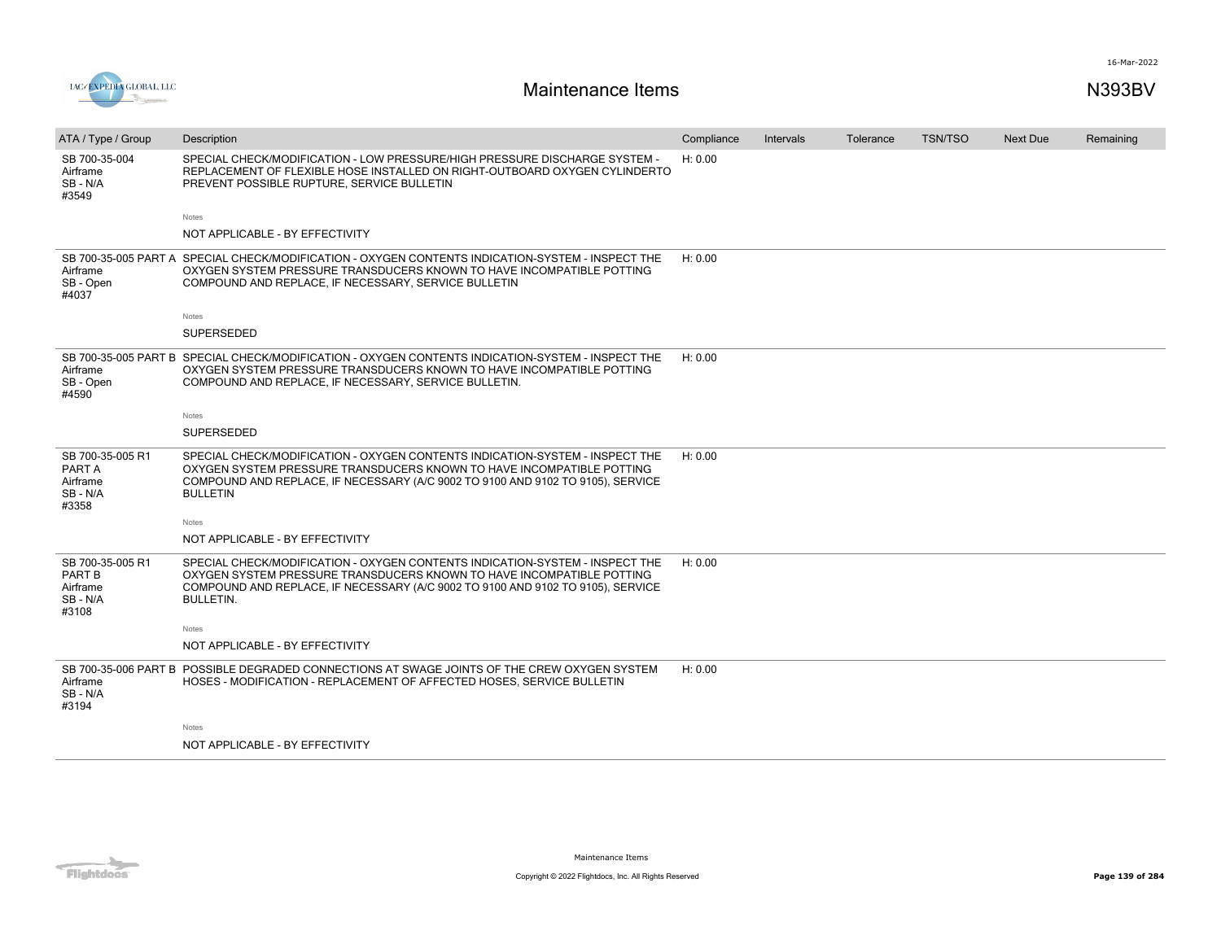

| ATA / Type / Group                                               | Description                                                                                                                                                                                                                                                  | Compliance | Intervals | Tolerance | <b>TSN/TSO</b> | Next Due | Remaining |
|------------------------------------------------------------------|--------------------------------------------------------------------------------------------------------------------------------------------------------------------------------------------------------------------------------------------------------------|------------|-----------|-----------|----------------|----------|-----------|
| SB 700-35-004<br>Airframe<br>SB-N/A<br>#3549                     | SPECIAL CHECK/MODIFICATION - LOW PRESSURE/HIGH PRESSURE DISCHARGE SYSTEM -<br>REPLACEMENT OF FLEXIBLE HOSE INSTALLED ON RIGHT-OUTBOARD OXYGEN CYLINDERTO<br>PREVENT POSSIBLE RUPTURE, SERVICE BULLETIN                                                       | H: 0.00    |           |           |                |          |           |
|                                                                  | Notes                                                                                                                                                                                                                                                        |            |           |           |                |          |           |
|                                                                  | NOT APPLICABLE - BY EFFECTIVITY                                                                                                                                                                                                                              |            |           |           |                |          |           |
| Airframe<br>SB - Open<br>#4037                                   | SB 700-35-005 PART A SPECIAL CHECK/MODIFICATION - OXYGEN CONTENTS INDICATION-SYSTEM - INSPECT THE<br>OXYGEN SYSTEM PRESSURE TRANSDUCERS KNOWN TO HAVE INCOMPATIBLE POTTING<br>COMPOUND AND REPLACE, IF NECESSARY, SERVICE BULLETIN                           | H: 0.00    |           |           |                |          |           |
|                                                                  | Notes                                                                                                                                                                                                                                                        |            |           |           |                |          |           |
|                                                                  | SUPERSEDED                                                                                                                                                                                                                                                   |            |           |           |                |          |           |
| Airframe<br>SB - Open<br>#4590                                   | SB 700-35-005 PART B SPECIAL CHECK/MODIFICATION - OXYGEN CONTENTS INDICATION-SYSTEM - INSPECT THE<br>OXYGEN SYSTEM PRESSURE TRANSDUCERS KNOWN TO HAVE INCOMPATIBLE POTTING<br>COMPOUND AND REPLACE, IF NECESSARY, SERVICE BULLETIN.                          | H: 0.00    |           |           |                |          |           |
|                                                                  | Notes                                                                                                                                                                                                                                                        |            |           |           |                |          |           |
|                                                                  | <b>SUPERSEDED</b>                                                                                                                                                                                                                                            |            |           |           |                |          |           |
| SB 700-35-005 R1<br>PART A<br>Airframe<br>SB-N/A<br>#3358        | SPECIAL CHECK/MODIFICATION - OXYGEN CONTENTS INDICATION-SYSTEM - INSPECT THE<br>OXYGEN SYSTEM PRESSURE TRANSDUCERS KNOWN TO HAVE INCOMPATIBLE POTTING<br>COMPOUND AND REPLACE, IF NECESSARY (A/C 9002 TO 9100 AND 9102 TO 9105), SERVICE<br><b>BULLETIN</b>  | H: 0.00    |           |           |                |          |           |
|                                                                  | Notes                                                                                                                                                                                                                                                        |            |           |           |                |          |           |
|                                                                  | NOT APPLICABLE - BY EFFECTIVITY                                                                                                                                                                                                                              |            |           |           |                |          |           |
| SB 700-35-005 R1<br><b>PART B</b><br>Airframe<br>SB-N/A<br>#3108 | SPECIAL CHECK/MODIFICATION - OXYGEN CONTENTS INDICATION-SYSTEM - INSPECT THE<br>OXYGEN SYSTEM PRESSURE TRANSDUCERS KNOWN TO HAVE INCOMPATIBLE POTTING<br>COMPOUND AND REPLACE, IF NECESSARY (A/C 9002 TO 9100 AND 9102 TO 9105), SERVICE<br><b>BULLETIN.</b> | H: 0.00    |           |           |                |          |           |
|                                                                  | Notes                                                                                                                                                                                                                                                        |            |           |           |                |          |           |
|                                                                  | NOT APPLICABLE - BY EFFECTIVITY                                                                                                                                                                                                                              |            |           |           |                |          |           |
| Airframe<br>SB-N/A<br>#3194                                      | SB 700-35-006 PART B POSSIBLE DEGRADED CONNECTIONS AT SWAGE JOINTS OF THE CREW OXYGEN SYSTEM<br>HOSES - MODIFICATION - REPLACEMENT OF AFFECTED HOSES, SERVICE BULLETIN                                                                                       | H: 0.00    |           |           |                |          |           |
|                                                                  | Notes                                                                                                                                                                                                                                                        |            |           |           |                |          |           |
|                                                                  | NOT APPLICABLE - BY EFFECTIVITY                                                                                                                                                                                                                              |            |           |           |                |          |           |

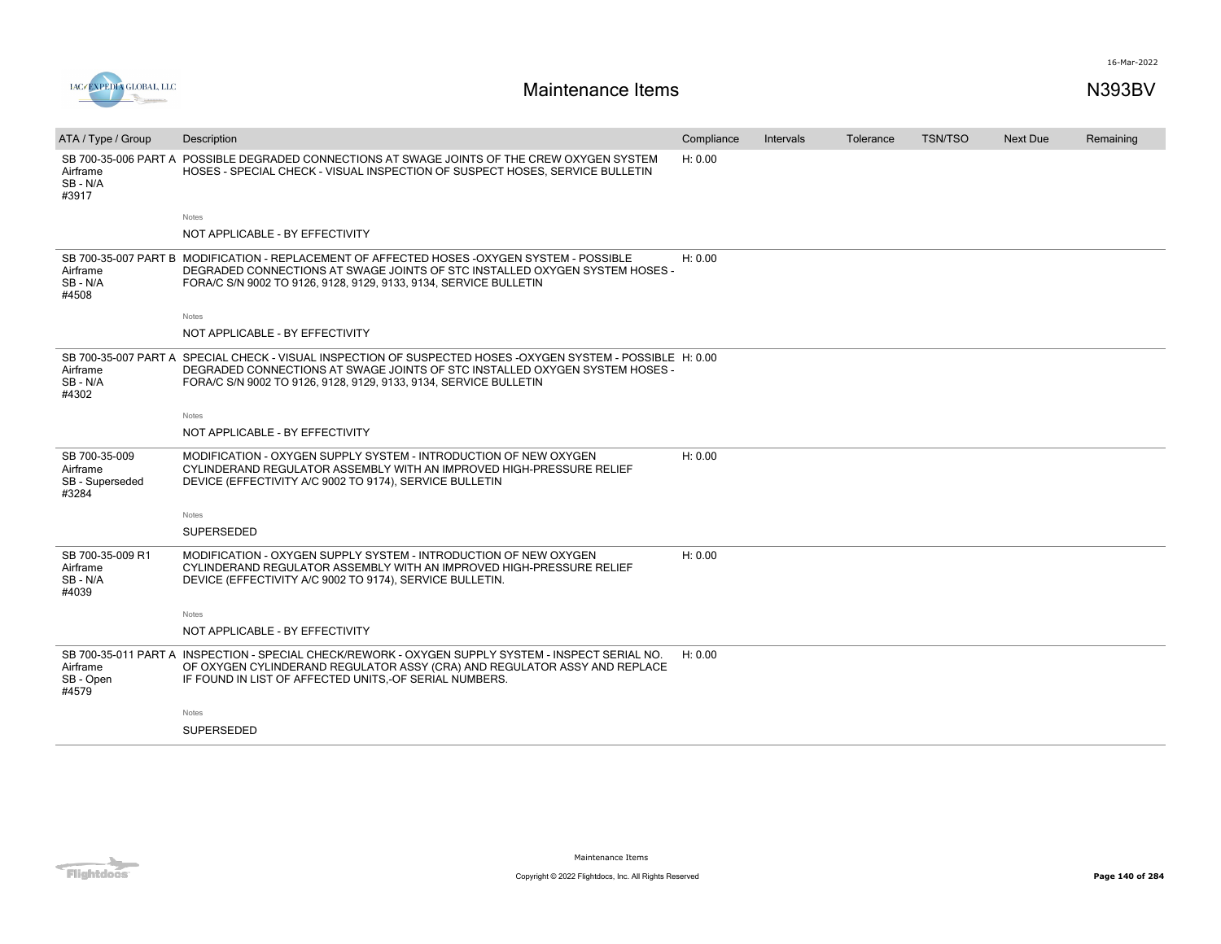



| ATA / Type / Group                                    | Description                                                                                                                                                                                                                                                     | Compliance | Intervals | Tolerance | <b>TSN/TSO</b> | Next Due | Remaining |
|-------------------------------------------------------|-----------------------------------------------------------------------------------------------------------------------------------------------------------------------------------------------------------------------------------------------------------------|------------|-----------|-----------|----------------|----------|-----------|
| Airframe<br>SB-N/A<br>#3917                           | SB 700-35-006 PART A POSSIBLE DEGRADED CONNECTIONS AT SWAGE JOINTS OF THE CREW OXYGEN SYSTEM<br>HOSES - SPECIAL CHECK - VISUAL INSPECTION OF SUSPECT HOSES, SERVICE BULLETIN                                                                                    | H: 0.00    |           |           |                |          |           |
|                                                       | Notes                                                                                                                                                                                                                                                           |            |           |           |                |          |           |
|                                                       | NOT APPLICABLE - BY EFFECTIVITY                                                                                                                                                                                                                                 |            |           |           |                |          |           |
| Airframe<br>SB-N/A<br>#4508                           | SB 700-35-007 PART B MODIFICATION - REPLACEMENT OF AFFECTED HOSES -OXYGEN SYSTEM - POSSIBLE<br>DEGRADED CONNECTIONS AT SWAGE JOINTS OF STC INSTALLED OXYGEN SYSTEM HOSES -<br>FORA/C S/N 9002 TO 9126, 9128, 9129, 9133, 9134, SERVICE BULLETIN                 | H: 0.00    |           |           |                |          |           |
|                                                       | Notes                                                                                                                                                                                                                                                           |            |           |           |                |          |           |
|                                                       | NOT APPLICABLE - BY EFFECTIVITY                                                                                                                                                                                                                                 |            |           |           |                |          |           |
| Airframe<br>SB-N/A<br>#4302                           | SB 700-35-007 PART A SPECIAL CHECK - VISUAL INSPECTION OF SUSPECTED HOSES -OXYGEN SYSTEM - POSSIBLE H: 0.00<br>DEGRADED CONNECTIONS AT SWAGE JOINTS OF STC INSTALLED OXYGEN SYSTEM HOSES -<br>FORA/C S/N 9002 TO 9126, 9128, 9129, 9133, 9134, SERVICE BULLETIN |            |           |           |                |          |           |
|                                                       | Notes                                                                                                                                                                                                                                                           |            |           |           |                |          |           |
|                                                       | NOT APPLICABLE - BY EFFECTIVITY                                                                                                                                                                                                                                 |            |           |           |                |          |           |
| SB 700-35-009<br>Airframe<br>SB - Superseded<br>#3284 | MODIFICATION - OXYGEN SUPPLY SYSTEM - INTRODUCTION OF NEW OXYGEN<br>CYLINDERAND REGULATOR ASSEMBLY WITH AN IMPROVED HIGH-PRESSURE RELIEF<br>DEVICE (EFFECTIVITY A/C 9002 TO 9174), SERVICE BULLETIN                                                             | H: 0.00    |           |           |                |          |           |
|                                                       | <b>Notes</b>                                                                                                                                                                                                                                                    |            |           |           |                |          |           |
|                                                       | <b>SUPERSEDED</b>                                                                                                                                                                                                                                               |            |           |           |                |          |           |
| SB 700-35-009 R1<br>Airframe<br>SB-N/A<br>#4039       | MODIFICATION - OXYGEN SUPPLY SYSTEM - INTRODUCTION OF NEW OXYGEN<br>CYLINDERAND REGULATOR ASSEMBLY WITH AN IMPROVED HIGH-PRESSURE RELIEF<br>DEVICE (EFFECTIVITY A/C 9002 TO 9174), SERVICE BULLETIN.                                                            | H: 0.00    |           |           |                |          |           |
|                                                       | <b>Notes</b>                                                                                                                                                                                                                                                    |            |           |           |                |          |           |
|                                                       | NOT APPLICABLE - BY EFFECTIVITY                                                                                                                                                                                                                                 |            |           |           |                |          |           |
| Airframe<br>SB - Open<br>#4579                        | SB 700-35-011 PART A INSPECTION - SPECIAL CHECK/REWORK - OXYGEN SUPPLY SYSTEM - INSPECT SERIAL NO.<br>OF OXYGEN CYLINDERAND REGULATOR ASSY (CRA) AND REGULATOR ASSY AND REPLACE<br>IF FOUND IN LIST OF AFFECTED UNITS, OF SERIAL NUMBERS.                       | H: 0.00    |           |           |                |          |           |
|                                                       | <b>Notes</b>                                                                                                                                                                                                                                                    |            |           |           |                |          |           |
|                                                       | <b>SUPERSEDED</b>                                                                                                                                                                                                                                               |            |           |           |                |          |           |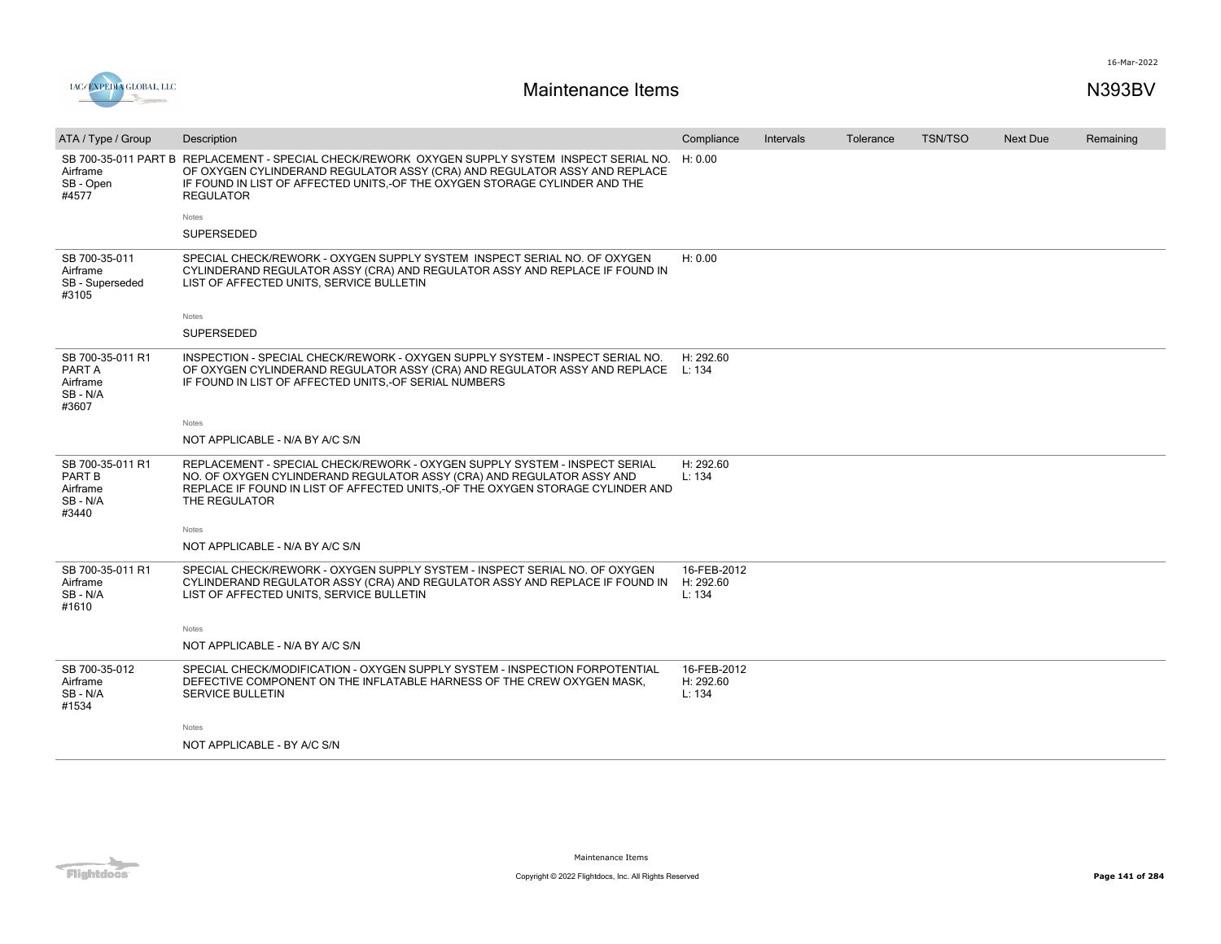



| ATA / Type / Group                                        | Description                                                                                                                                                                                                                                                                    | Compliance                         | Intervals | Tolerance | <b>TSN/TSO</b> | Next Due | Remaining |
|-----------------------------------------------------------|--------------------------------------------------------------------------------------------------------------------------------------------------------------------------------------------------------------------------------------------------------------------------------|------------------------------------|-----------|-----------|----------------|----------|-----------|
| Airframe<br>SB - Open<br>#4577                            | SB 700-35-011 PART B REPLACEMENT - SPECIAL CHECK/REWORK OXYGEN SUPPLY SYSTEM INSPECT SERIAL NO.<br>OF OXYGEN CYLINDERAND REGULATOR ASSY (CRA) AND REGULATOR ASSY AND REPLACE<br>IF FOUND IN LIST OF AFFECTED UNITS,-OF THE OXYGEN STORAGE CYLINDER AND THE<br><b>REGULATOR</b> | H: 0.00                            |           |           |                |          |           |
|                                                           | Notes                                                                                                                                                                                                                                                                          |                                    |           |           |                |          |           |
|                                                           | SUPERSEDED                                                                                                                                                                                                                                                                     |                                    |           |           |                |          |           |
| SB 700-35-011<br>Airframe<br>SB - Superseded<br>#3105     | SPECIAL CHECK/REWORK - OXYGEN SUPPLY SYSTEM INSPECT SERIAL NO. OF OXYGEN<br>CYLINDERAND REGULATOR ASSY (CRA) AND REGULATOR ASSY AND REPLACE IF FOUND IN<br>LIST OF AFFECTED UNITS, SERVICE BULLETIN                                                                            | H: 0.00                            |           |           |                |          |           |
|                                                           | Notes                                                                                                                                                                                                                                                                          |                                    |           |           |                |          |           |
|                                                           | <b>SUPERSEDED</b>                                                                                                                                                                                                                                                              |                                    |           |           |                |          |           |
| SB 700-35-011 R1<br>PART A<br>Airframe<br>SB-N/A<br>#3607 | INSPECTION - SPECIAL CHECK/REWORK - OXYGEN SUPPLY SYSTEM - INSPECT SERIAL NO.<br>OF OXYGEN CYLINDERAND REGULATOR ASSY (CRA) AND REGULATOR ASSY AND REPLACE<br>IF FOUND IN LIST OF AFFECTED UNITS, OF SERIAL NUMBERS                                                            | H: 292.60<br>L: 134                |           |           |                |          |           |
|                                                           | <b>Notes</b>                                                                                                                                                                                                                                                                   |                                    |           |           |                |          |           |
|                                                           | NOT APPLICABLE - N/A BY A/C S/N                                                                                                                                                                                                                                                |                                    |           |           |                |          |           |
| SB 700-35-011 R1<br>PART B<br>Airframe<br>SB-N/A<br>#3440 | REPLACEMENT - SPECIAL CHECK/REWORK - OXYGEN SUPPLY SYSTEM - INSPECT SERIAL<br>NO. OF OXYGEN CYLINDERAND REGULATOR ASSY (CRA) AND REGULATOR ASSY AND<br>REPLACE IF FOUND IN LIST OF AFFECTED UNITS,-OF THE OXYGEN STORAGE CYLINDER AND<br>THE REGULATOR                         | H: 292.60<br>L: 134                |           |           |                |          |           |
|                                                           | Notes                                                                                                                                                                                                                                                                          |                                    |           |           |                |          |           |
|                                                           | NOT APPLICABLE - N/A BY A/C S/N                                                                                                                                                                                                                                                |                                    |           |           |                |          |           |
| SB 700-35-011 R1<br>Airframe<br>SB-N/A<br>#1610           | SPECIAL CHECK/REWORK - OXYGEN SUPPLY SYSTEM - INSPECT SERIAL NO. OF OXYGEN<br>CYLINDERAND REGULATOR ASSY (CRA) AND REGULATOR ASSY AND REPLACE IF FOUND IN<br>LIST OF AFFECTED UNITS, SERVICE BULLETIN                                                                          | 16-FEB-2012<br>H: 292.60<br>L: 134 |           |           |                |          |           |
|                                                           | Notes                                                                                                                                                                                                                                                                          |                                    |           |           |                |          |           |
|                                                           | NOT APPLICABLE - N/A BY A/C S/N                                                                                                                                                                                                                                                |                                    |           |           |                |          |           |
| SB 700-35-012<br>Airframe<br>SB-N/A<br>#1534              | SPECIAL CHECK/MODIFICATION - OXYGEN SUPPLY SYSTEM - INSPECTION FORPOTENTIAL<br>DEFECTIVE COMPONENT ON THE INFLATABLE HARNESS OF THE CREW OXYGEN MASK.<br><b>SERVICE BULLETIN</b>                                                                                               | 16-FEB-2012<br>H: 292.60<br>L: 134 |           |           |                |          |           |
|                                                           | Notes                                                                                                                                                                                                                                                                          |                                    |           |           |                |          |           |
|                                                           | NOT APPLICABLE - BY A/C S/N                                                                                                                                                                                                                                                    |                                    |           |           |                |          |           |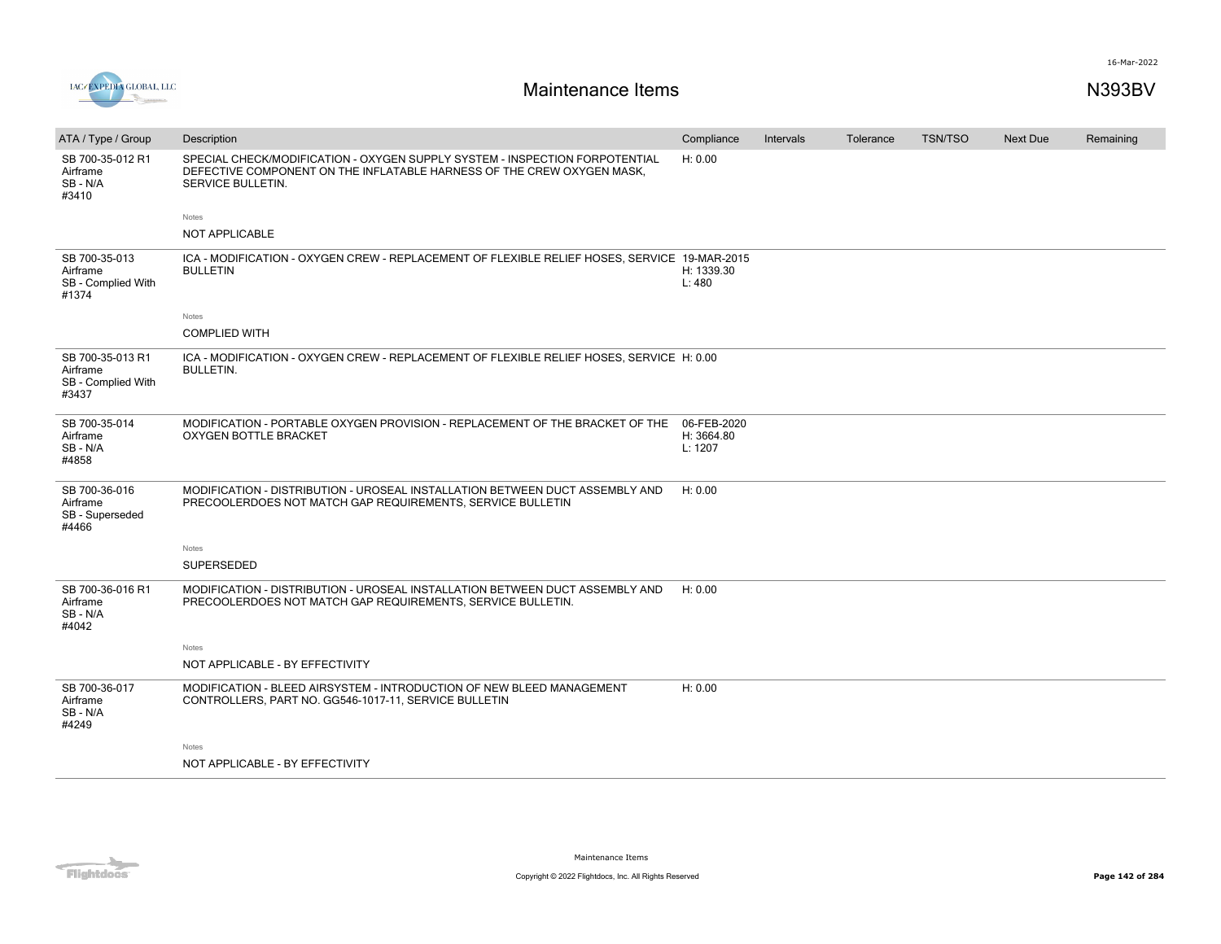

| ATA / Type / Group                                          | Description                                                                                                                                                                | Compliance                           | Intervals | Tolerance | <b>TSN/TSO</b> | <b>Next Due</b> | Remaining |
|-------------------------------------------------------------|----------------------------------------------------------------------------------------------------------------------------------------------------------------------------|--------------------------------------|-----------|-----------|----------------|-----------------|-----------|
| SB 700-35-012 R1<br>Airframe<br>SB-N/A<br>#3410             | SPECIAL CHECK/MODIFICATION - OXYGEN SUPPLY SYSTEM - INSPECTION FORPOTENTIAL<br>DEFECTIVE COMPONENT ON THE INFLATABLE HARNESS OF THE CREW OXYGEN MASK.<br>SERVICE BULLETIN. | H: 0.00                              |           |           |                |                 |           |
|                                                             | Notes                                                                                                                                                                      |                                      |           |           |                |                 |           |
|                                                             | <b>NOT APPLICABLE</b>                                                                                                                                                      |                                      |           |           |                |                 |           |
| SB 700-35-013<br>Airframe<br>SB - Complied With<br>#1374    | ICA - MODIFICATION - OXYGEN CREW - REPLACEMENT OF FLEXIBLE RELIEF HOSES, SERVICE 19-MAR-2015<br><b>BULLETIN</b>                                                            | H: 1339.30<br>L: 480                 |           |           |                |                 |           |
|                                                             | Notes                                                                                                                                                                      |                                      |           |           |                |                 |           |
|                                                             | <b>COMPLIED WITH</b>                                                                                                                                                       |                                      |           |           |                |                 |           |
| SB 700-35-013 R1<br>Airframe<br>SB - Complied With<br>#3437 | ICA - MODIFICATION - OXYGEN CREW - REPLACEMENT OF FLEXIBLE RELIEF HOSES, SERVICE H: 0.00<br><b>BULLETIN.</b>                                                               |                                      |           |           |                |                 |           |
| SB 700-35-014<br>Airframe<br>SB-N/A<br>#4858                | MODIFICATION - PORTABLE OXYGEN PROVISION - REPLACEMENT OF THE BRACKET OF THE<br><b>OXYGEN BOTTLE BRACKET</b>                                                               | 06-FEB-2020<br>H: 3664.80<br>L: 1207 |           |           |                |                 |           |
| SB 700-36-016<br>Airframe<br>SB - Superseded<br>#4466       | MODIFICATION - DISTRIBUTION - UROSEAL INSTALLATION BETWEEN DUCT ASSEMBLY AND<br>PRECOOLERDOES NOT MATCH GAP REQUIREMENTS, SERVICE BULLETIN                                 | H: 0.00                              |           |           |                |                 |           |
|                                                             | Notes                                                                                                                                                                      |                                      |           |           |                |                 |           |
|                                                             | <b>SUPERSEDED</b>                                                                                                                                                          |                                      |           |           |                |                 |           |
| SB 700-36-016 R1<br>Airframe<br>SB-N/A<br>#4042             | MODIFICATION - DISTRIBUTION - UROSEAL INSTALLATION BETWEEN DUCT ASSEMBLY AND<br>PRECOOLERDOES NOT MATCH GAP REQUIREMENTS, SERVICE BULLETIN.                                | H: 0.00                              |           |           |                |                 |           |
|                                                             | Notes                                                                                                                                                                      |                                      |           |           |                |                 |           |
|                                                             | NOT APPLICABLE - BY EFFECTIVITY                                                                                                                                            |                                      |           |           |                |                 |           |
| SB 700-36-017<br>Airframe<br>SB-N/A<br>#4249                | MODIFICATION - BLEED AIRSYSTEM - INTRODUCTION OF NEW BLEED MANAGEMENT<br>CONTROLLERS, PART NO. GG546-1017-11, SERVICE BULLETIN                                             | H: 0.00                              |           |           |                |                 |           |
|                                                             | Notes                                                                                                                                                                      |                                      |           |           |                |                 |           |
|                                                             | NOT APPLICABLE - BY EFFECTIVITY                                                                                                                                            |                                      |           |           |                |                 |           |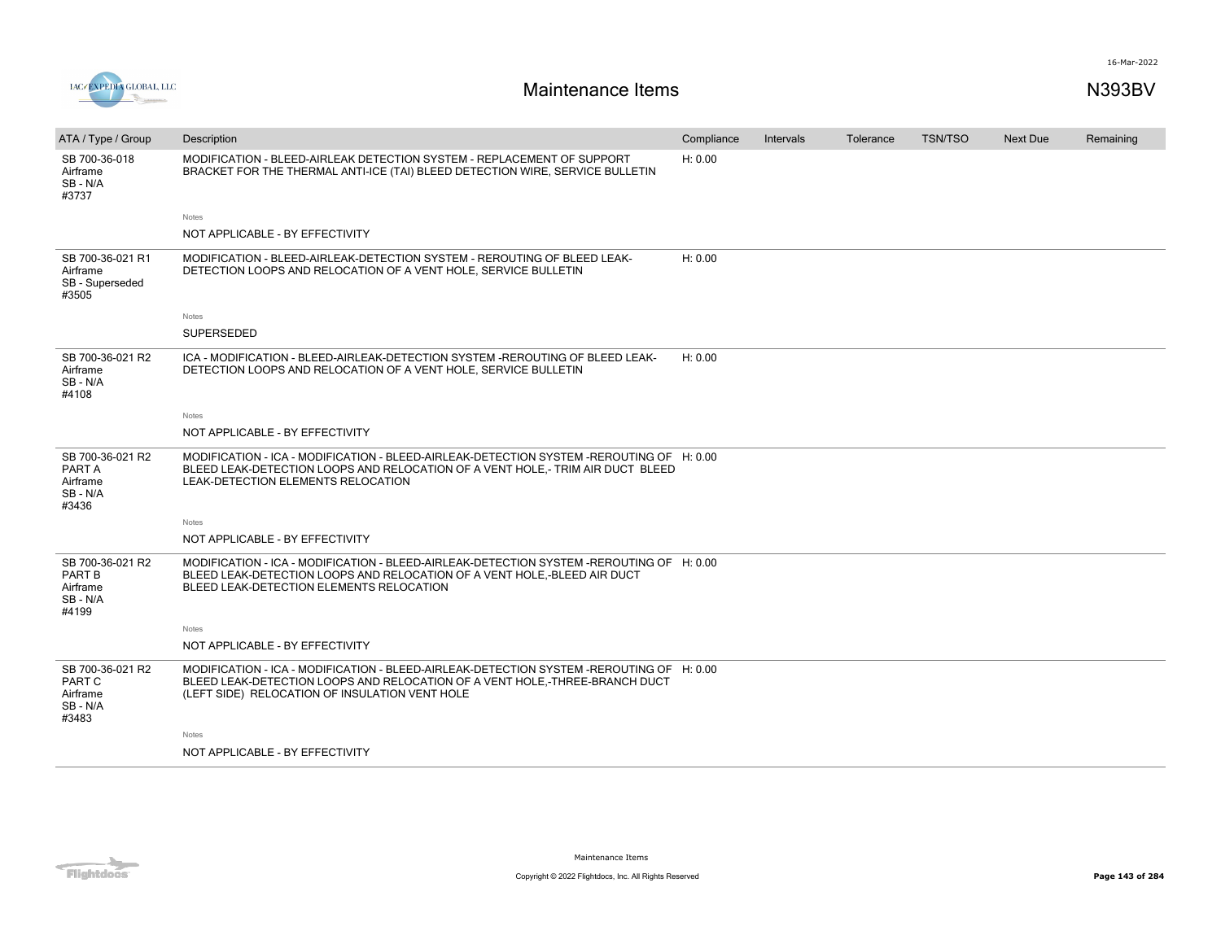



| ATA / Type / Group                                        | Description                                                                                                                                                                                                               | Compliance | Intervals | Tolerance | <b>TSN/TSO</b> | Next Due | Remaining |
|-----------------------------------------------------------|---------------------------------------------------------------------------------------------------------------------------------------------------------------------------------------------------------------------------|------------|-----------|-----------|----------------|----------|-----------|
| SB 700-36-018<br>Airframe<br>SB - N/A<br>#3737            | MODIFICATION - BLEED-AIRLEAK DETECTION SYSTEM - REPLACEMENT OF SUPPORT<br>BRACKET FOR THE THERMAL ANTI-ICE (TAI) BLEED DETECTION WIRE, SERVICE BULLETIN                                                                   | H: 0.00    |           |           |                |          |           |
|                                                           | Notes                                                                                                                                                                                                                     |            |           |           |                |          |           |
|                                                           | NOT APPLICABLE - BY EFFECTIVITY                                                                                                                                                                                           |            |           |           |                |          |           |
| SB 700-36-021 R1<br>Airframe<br>SB - Superseded<br>#3505  | MODIFICATION - BLEED-AIRLEAK-DETECTION SYSTEM - REROUTING OF BLEED LEAK-<br>DETECTION LOOPS AND RELOCATION OF A VENT HOLE, SERVICE BULLETIN                                                                               | H: 0.00    |           |           |                |          |           |
|                                                           | Notes                                                                                                                                                                                                                     |            |           |           |                |          |           |
|                                                           | SUPERSEDED                                                                                                                                                                                                                |            |           |           |                |          |           |
| SB 700-36-021 R2<br>Airframe<br>SB - N/A<br>#4108         | ICA - MODIFICATION - BLEED-AIRLEAK-DETECTION SYSTEM -REROUTING OF BLEED LEAK-<br>DETECTION LOOPS AND RELOCATION OF A VENT HOLE, SERVICE BULLETIN                                                                          | H: 0.00    |           |           |                |          |           |
|                                                           | Notes                                                                                                                                                                                                                     |            |           |           |                |          |           |
|                                                           | NOT APPLICABLE - BY EFFECTIVITY                                                                                                                                                                                           |            |           |           |                |          |           |
| SB 700-36-021 R2<br>PART A<br>Airframe<br>SB-N/A<br>#3436 | MODIFICATION - ICA - MODIFICATION - BLEED-AIRLEAK-DETECTION SYSTEM -REROUTING OF H: 0.00<br>BLEED LEAK-DETECTION LOOPS AND RELOCATION OF A VENT HOLE,- TRIM AIR DUCT BLEED<br>LEAK-DETECTION ELEMENTS RELOCATION          |            |           |           |                |          |           |
|                                                           | Notes                                                                                                                                                                                                                     |            |           |           |                |          |           |
|                                                           | NOT APPLICABLE - BY EFFECTIVITY                                                                                                                                                                                           |            |           |           |                |          |           |
| SB 700-36-021 R2<br>PART B<br>Airframe<br>SB-N/A<br>#4199 | MODIFICATION - ICA - MODIFICATION - BLEED-AIRLEAK-DETECTION SYSTEM -REROUTING OF H: 0.00<br>BLEED LEAK-DETECTION LOOPS AND RELOCATION OF A VENT HOLE,-BLEED AIR DUCT<br>BLEED LEAK-DETECTION ELEMENTS RELOCATION          |            |           |           |                |          |           |
|                                                           | Notes                                                                                                                                                                                                                     |            |           |           |                |          |           |
|                                                           | NOT APPLICABLE - BY EFFECTIVITY                                                                                                                                                                                           |            |           |           |                |          |           |
| SB 700-36-021 R2<br>PART C<br>Airframe<br>SB-N/A<br>#3483 | MODIFICATION - ICA - MODIFICATION - BLEED-AIRLEAK-DETECTION SYSTEM -REROUTING OF H: 0.00<br>BLEED LEAK-DETECTION LOOPS AND RELOCATION OF A VENT HOLE,-THREE-BRANCH DUCT<br>(LEFT SIDE) RELOCATION OF INSULATION VENT HOLE |            |           |           |                |          |           |
|                                                           | Notes                                                                                                                                                                                                                     |            |           |           |                |          |           |
|                                                           | NOT APPLICABLE - BY EFFECTIVITY                                                                                                                                                                                           |            |           |           |                |          |           |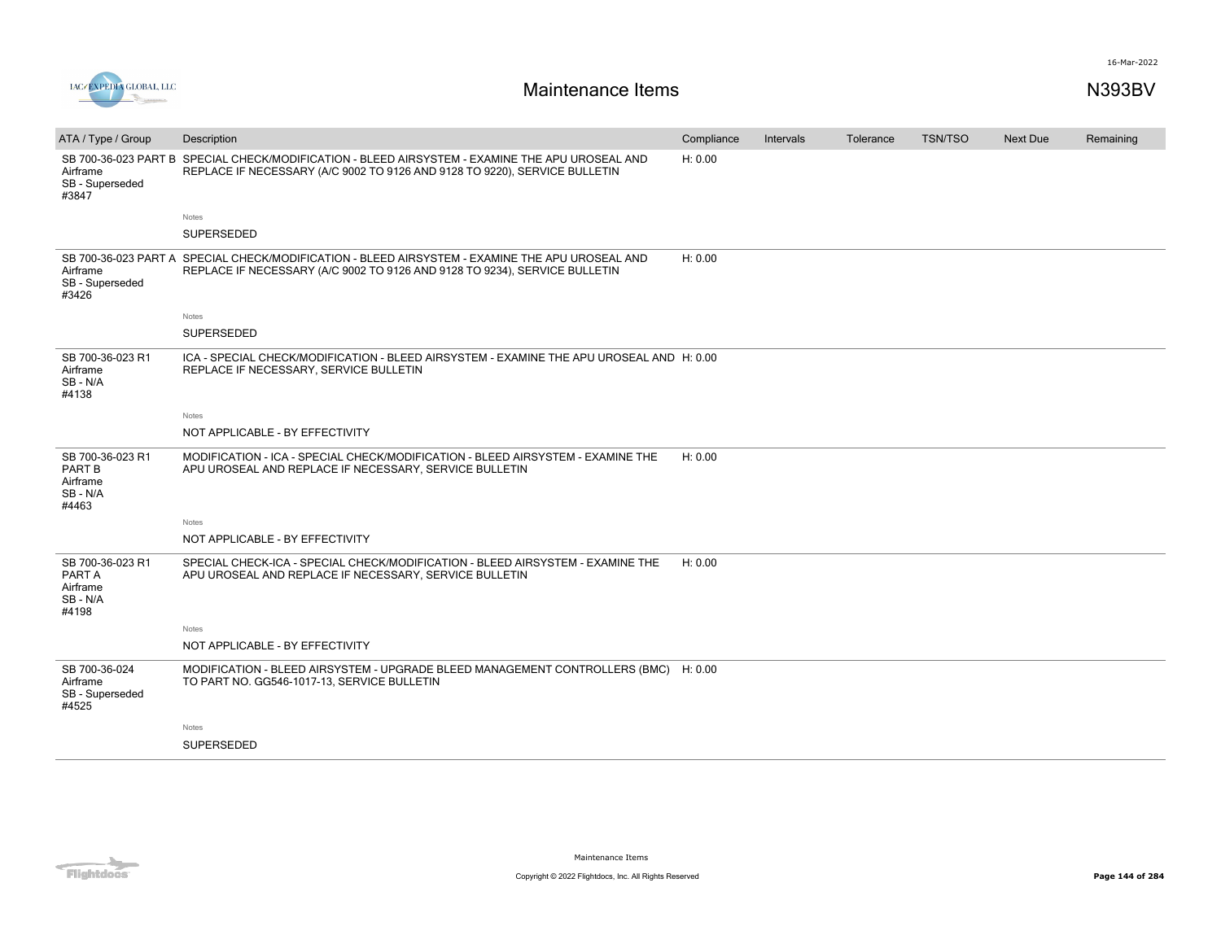



| ATA / Type / Group                                           | Description                                                                                                                                              | Compliance | Intervals | Tolerance | <b>TSN/TSO</b> | <b>Next Due</b> | Remaining |
|--------------------------------------------------------------|----------------------------------------------------------------------------------------------------------------------------------------------------------|------------|-----------|-----------|----------------|-----------------|-----------|
| SB 700-36-023 PART B<br>Airframe<br>SB - Superseded<br>#3847 | SPECIAL CHECK/MODIFICATION - BLEED AIRSYSTEM - EXAMINE THE APU UROSEAL AND<br>REPLACE IF NECESSARY (A/C 9002 TO 9126 AND 9128 TO 9220), SERVICE BULLETIN | H: 0.00    |           |           |                |                 |           |
|                                                              | Notes                                                                                                                                                    |            |           |           |                |                 |           |
|                                                              | <b>SUPERSEDED</b>                                                                                                                                        |            |           |           |                |                 |           |
| SB 700-36-023 PART A<br>Airframe<br>SB - Superseded<br>#3426 | SPECIAL CHECK/MODIFICATION - BLEED AIRSYSTEM - EXAMINE THE APU UROSEAL AND<br>REPLACE IF NECESSARY (A/C 9002 TO 9126 AND 9128 TO 9234), SERVICE BULLETIN | H: 0.00    |           |           |                |                 |           |
|                                                              | Notes                                                                                                                                                    |            |           |           |                |                 |           |
|                                                              | SUPERSEDED                                                                                                                                               |            |           |           |                |                 |           |
| SB 700-36-023 R1<br>Airframe<br>SB - N/A<br>#4138            | ICA - SPECIAL CHECK/MODIFICATION - BLEED AIRSYSTEM - EXAMINE THE APU UROSEAL AND H: 0.00<br>REPLACE IF NECESSARY, SERVICE BULLETIN                       |            |           |           |                |                 |           |
|                                                              | Notes                                                                                                                                                    |            |           |           |                |                 |           |
|                                                              | NOT APPLICABLE - BY EFFECTIVITY                                                                                                                          |            |           |           |                |                 |           |
| SB 700-36-023 R1<br>PART B<br>Airframe<br>SB-N/A<br>#4463    | MODIFICATION - ICA - SPECIAL CHECK/MODIFICATION - BLEED AIRSYSTEM - EXAMINE THE<br>APU UROSEAL AND REPLACE IF NECESSARY, SERVICE BULLETIN                | H: 0.00    |           |           |                |                 |           |
|                                                              | Notes                                                                                                                                                    |            |           |           |                |                 |           |
|                                                              | NOT APPLICABLE - BY EFFECTIVITY                                                                                                                          |            |           |           |                |                 |           |
| SB 700-36-023 R1<br>PART A<br>Airframe<br>SB - N/A<br>#4198  | SPECIAL CHECK-ICA - SPECIAL CHECK/MODIFICATION - BLEED AIRSYSTEM - EXAMINE THE<br>APU UROSEAL AND REPLACE IF NECESSARY, SERVICE BULLETIN                 | H: 0.00    |           |           |                |                 |           |
|                                                              | Notes                                                                                                                                                    |            |           |           |                |                 |           |
|                                                              | NOT APPLICABLE - BY EFFECTIVITY                                                                                                                          |            |           |           |                |                 |           |
| SB 700-36-024<br>Airframe<br>SB - Superseded<br>#4525        | MODIFICATION - BLEED AIRSYSTEM - UPGRADE BLEED MANAGEMENT CONTROLLERS (BMC) H: 0.00<br>TO PART NO. GG546-1017-13, SERVICE BULLETIN                       |            |           |           |                |                 |           |
|                                                              | <b>Notes</b>                                                                                                                                             |            |           |           |                |                 |           |
|                                                              | <b>SUPERSEDED</b>                                                                                                                                        |            |           |           |                |                 |           |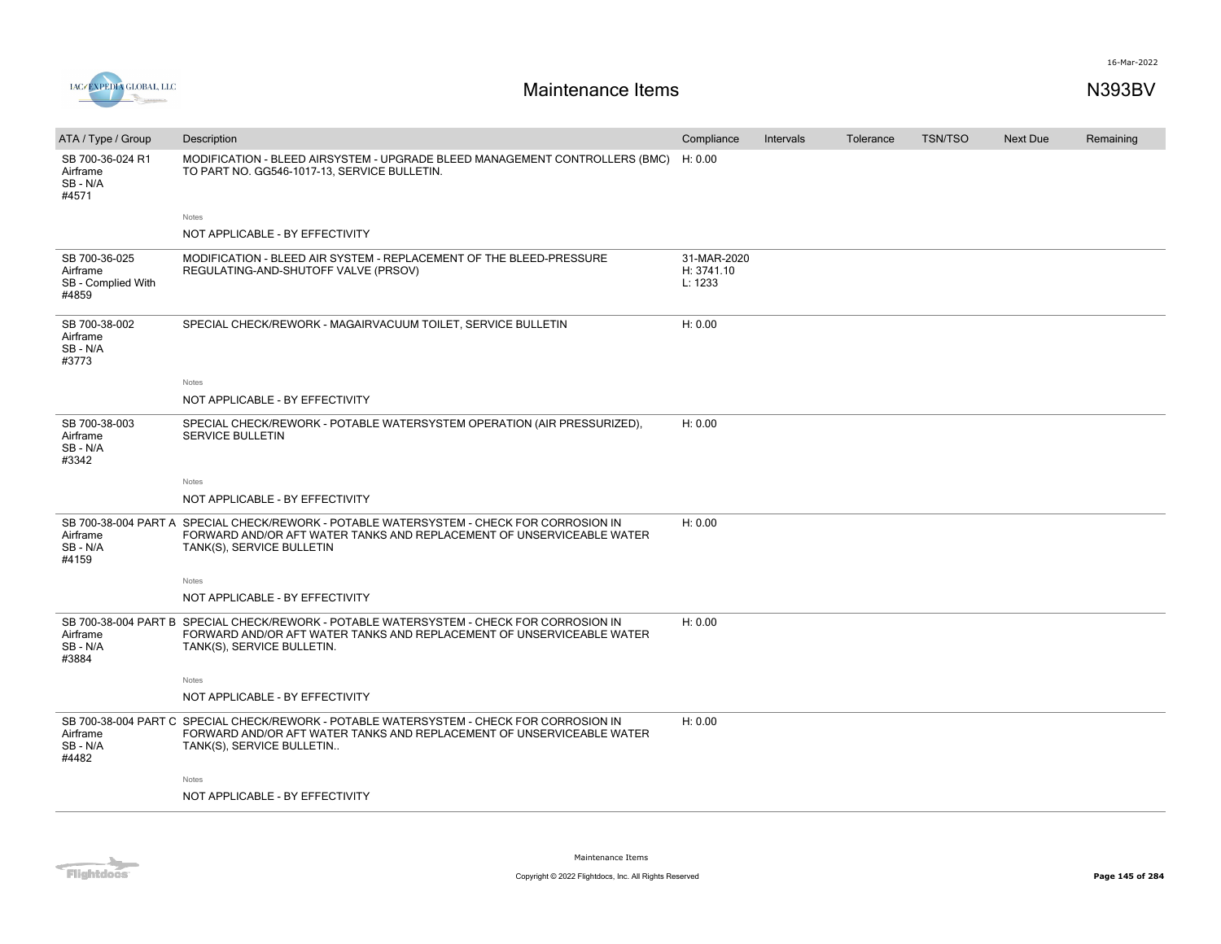

| ATA / Type / Group                                       | Description                                                                                                                                                                                     | Compliance                           | Intervals | Tolerance | <b>TSN/TSO</b> | <b>Next Due</b> | Remaining |
|----------------------------------------------------------|-------------------------------------------------------------------------------------------------------------------------------------------------------------------------------------------------|--------------------------------------|-----------|-----------|----------------|-----------------|-----------|
| SB 700-36-024 R1<br>Airframe<br>SB-N/A<br>#4571          | MODIFICATION - BLEED AIRSYSTEM - UPGRADE BLEED MANAGEMENT CONTROLLERS (BMC)<br>TO PART NO. GG546-1017-13, SERVICE BULLETIN.                                                                     | H: 0.00                              |           |           |                |                 |           |
|                                                          | Notes                                                                                                                                                                                           |                                      |           |           |                |                 |           |
|                                                          | NOT APPLICABLE - BY EFFECTIVITY                                                                                                                                                                 |                                      |           |           |                |                 |           |
| SB 700-36-025<br>Airframe<br>SB - Complied With<br>#4859 | MODIFICATION - BLEED AIR SYSTEM - REPLACEMENT OF THE BLEED-PRESSURE<br>REGULATING-AND-SHUTOFF VALVE (PRSOV)                                                                                     | 31-MAR-2020<br>H: 3741.10<br>L: 1233 |           |           |                |                 |           |
| SB 700-38-002<br>Airframe<br>SB - N/A<br>#3773           | SPECIAL CHECK/REWORK - MAGAIRVACUUM TOILET, SERVICE BULLETIN                                                                                                                                    | H: 0.00                              |           |           |                |                 |           |
|                                                          | Notes                                                                                                                                                                                           |                                      |           |           |                |                 |           |
|                                                          | NOT APPLICABLE - BY EFFECTIVITY                                                                                                                                                                 |                                      |           |           |                |                 |           |
| SB 700-38-003<br>Airframe<br>SB-N/A<br>#3342             | SPECIAL CHECK/REWORK - POTABLE WATERSYSTEM OPERATION (AIR PRESSURIZED),<br><b>SERVICE BULLETIN</b>                                                                                              | H: 0.00                              |           |           |                |                 |           |
|                                                          | Notes                                                                                                                                                                                           |                                      |           |           |                |                 |           |
|                                                          | NOT APPLICABLE - BY EFFECTIVITY                                                                                                                                                                 |                                      |           |           |                |                 |           |
| Airframe<br>SB - N/A<br>#4159                            | SB 700-38-004 PART A SPECIAL CHECK/REWORK - POTABLE WATERSYSTEM - CHECK FOR CORROSION IN<br>FORWARD AND/OR AFT WATER TANKS AND REPLACEMENT OF UNSERVICEABLE WATER<br>TANK(S), SERVICE BULLETIN  | H: 0.00                              |           |           |                |                 |           |
|                                                          | Notes                                                                                                                                                                                           |                                      |           |           |                |                 |           |
|                                                          | NOT APPLICABLE - BY EFFECTIVITY                                                                                                                                                                 |                                      |           |           |                |                 |           |
| Airframe<br>SB - N/A<br>#3884                            | SB 700-38-004 PART B SPECIAL CHECK/REWORK - POTABLE WATERSYSTEM - CHECK FOR CORROSION IN<br>FORWARD AND/OR AFT WATER TANKS AND REPLACEMENT OF UNSERVICEABLE WATER<br>TANK(S), SERVICE BULLETIN. | H: 0.00                              |           |           |                |                 |           |
|                                                          | Notes                                                                                                                                                                                           |                                      |           |           |                |                 |           |
|                                                          | NOT APPLICABLE - BY EFFECTIVITY                                                                                                                                                                 |                                      |           |           |                |                 |           |
| Airframe<br>SB-N/A<br>#4482                              | SB 700-38-004 PART C SPECIAL CHECK/REWORK - POTABLE WATERSYSTEM - CHECK FOR CORROSION IN<br>FORWARD AND/OR AFT WATER TANKS AND REPLACEMENT OF UNSERVICEABLE WATER<br>TANK(S), SERVICE BULLETIN  | H: 0.00                              |           |           |                |                 |           |
|                                                          | Notes                                                                                                                                                                                           |                                      |           |           |                |                 |           |
|                                                          | NOT APPLICABLE - BY EFFECTIVITY                                                                                                                                                                 |                                      |           |           |                |                 |           |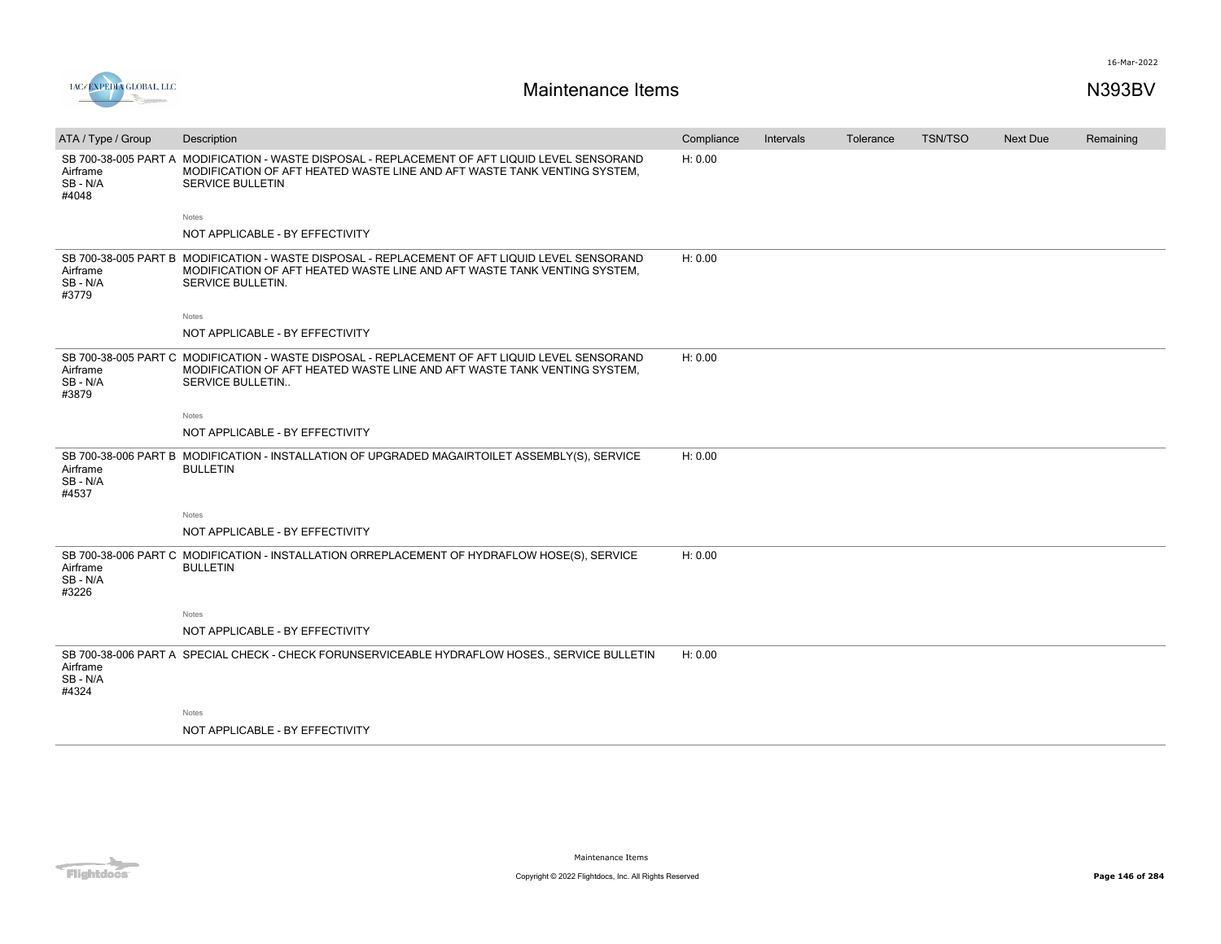



| ATA / Type / Group            | Description                                                                                                                                                                                           | Compliance | <b>Intervals</b> | Tolerance | <b>TSN/TSO</b> | <b>Next Due</b> | Remaining |
|-------------------------------|-------------------------------------------------------------------------------------------------------------------------------------------------------------------------------------------------------|------------|------------------|-----------|----------------|-----------------|-----------|
| Airframe<br>SB-N/A<br>#4048   | SB 700-38-005 PART A MODIFICATION - WASTE DISPOSAL - REPLACEMENT OF AFT LIQUID LEVEL SENSORAND<br>MODIFICATION OF AFT HEATED WASTE LINE AND AFT WASTE TANK VENTING SYSTEM.<br><b>SERVICE BULLETIN</b> | H: 0.00    |                  |           |                |                 |           |
|                               | Notes                                                                                                                                                                                                 |            |                  |           |                |                 |           |
|                               | NOT APPLICABLE - BY EFFECTIVITY                                                                                                                                                                       |            |                  |           |                |                 |           |
| Airframe<br>SB - N/A<br>#3779 | SB 700-38-005 PART B MODIFICATION - WASTE DISPOSAL - REPLACEMENT OF AFT LIQUID LEVEL SENSORAND<br>MODIFICATION OF AFT HEATED WASTE LINE AND AFT WASTE TANK VENTING SYSTEM.<br>SERVICE BULLETIN.       | H: 0.00    |                  |           |                |                 |           |
|                               | Notes                                                                                                                                                                                                 |            |                  |           |                |                 |           |
|                               | NOT APPLICABLE - BY EFFECTIVITY                                                                                                                                                                       |            |                  |           |                |                 |           |
| Airframe<br>SB-N/A<br>#3879   | SB 700-38-005 PART C MODIFICATION - WASTE DISPOSAL - REPLACEMENT OF AFT LIQUID LEVEL SENSORAND<br>MODIFICATION OF AFT HEATED WASTE LINE AND AFT WASTE TANK VENTING SYSTEM.<br><b>SERVICE BULLETIN</b> | H: 0.00    |                  |           |                |                 |           |
|                               | Notes                                                                                                                                                                                                 |            |                  |           |                |                 |           |
|                               | NOT APPLICABLE - BY EFFECTIVITY                                                                                                                                                                       |            |                  |           |                |                 |           |
| Airframe<br>SB - N/A<br>#4537 | SB 700-38-006 PART B MODIFICATION - INSTALLATION OF UPGRADED MAGAIRTOILET ASSEMBLY(S), SERVICE<br><b>BULLETIN</b>                                                                                     | H: 0.00    |                  |           |                |                 |           |
|                               | Notes                                                                                                                                                                                                 |            |                  |           |                |                 |           |
|                               | NOT APPLICABLE - BY EFFECTIVITY                                                                                                                                                                       |            |                  |           |                |                 |           |
| Airframe<br>SB - N/A<br>#3226 | SB 700-38-006 PART C MODIFICATION - INSTALLATION ORREPLACEMENT OF HYDRAFLOW HOSE(S), SERVICE<br><b>BULLETIN</b>                                                                                       | H: 0.00    |                  |           |                |                 |           |
|                               | Notes                                                                                                                                                                                                 |            |                  |           |                |                 |           |
|                               | NOT APPLICABLE - BY EFFECTIVITY                                                                                                                                                                       |            |                  |           |                |                 |           |
| Airframe<br>SB-N/A<br>#4324   | SB 700-38-006 PART A SPECIAL CHECK - CHECK FORUNSERVICEABLE HYDRAFLOW HOSES., SERVICE BULLETIN                                                                                                        | H: 0.00    |                  |           |                |                 |           |
|                               | Notes                                                                                                                                                                                                 |            |                  |           |                |                 |           |
|                               | NOT APPLICABLE - BY EFFECTIVITY                                                                                                                                                                       |            |                  |           |                |                 |           |

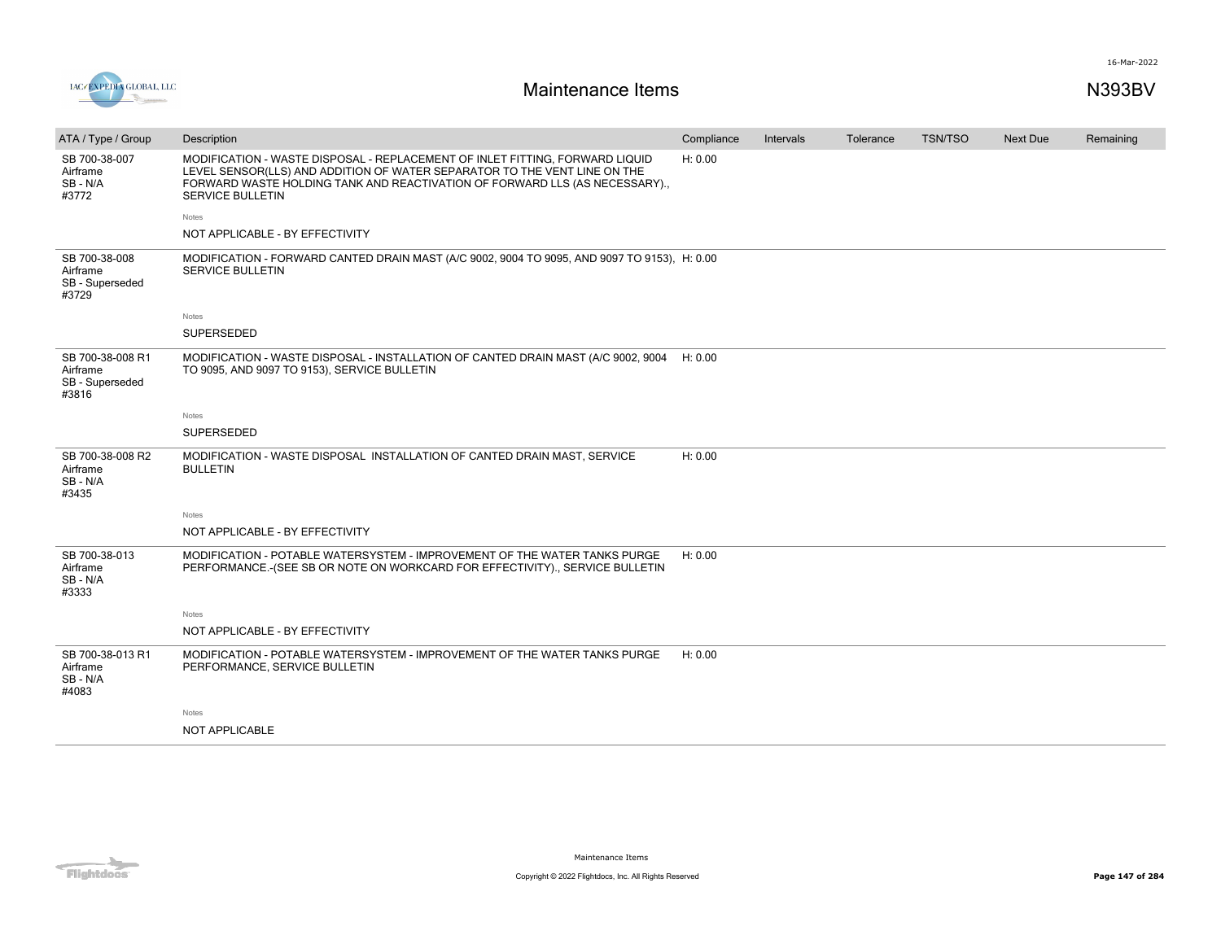



| ATA / Type / Group                                       | Description                                                                                                                                                                                                                                                        | Compliance | Intervals | Tolerance | <b>TSN/TSO</b> | <b>Next Due</b> | Remaining |
|----------------------------------------------------------|--------------------------------------------------------------------------------------------------------------------------------------------------------------------------------------------------------------------------------------------------------------------|------------|-----------|-----------|----------------|-----------------|-----------|
| SB 700-38-007<br>Airframe<br>SB - N/A<br>#3772           | MODIFICATION - WASTE DISPOSAL - REPLACEMENT OF INLET FITTING, FORWARD LIQUID<br>LEVEL SENSOR(LLS) AND ADDITION OF WATER SEPARATOR TO THE VENT LINE ON THE<br>FORWARD WASTE HOLDING TANK AND REACTIVATION OF FORWARD LLS (AS NECESSARY).<br><b>SERVICE BULLETIN</b> | H: 0.00    |           |           |                |                 |           |
|                                                          | <b>Notes</b>                                                                                                                                                                                                                                                       |            |           |           |                |                 |           |
|                                                          | NOT APPLICABLE - BY EFFECTIVITY                                                                                                                                                                                                                                    |            |           |           |                |                 |           |
| SB 700-38-008<br>Airframe<br>SB - Superseded<br>#3729    | MODIFICATION - FORWARD CANTED DRAIN MAST (A/C 9002, 9004 TO 9095, AND 9097 TO 9153), H: 0.00<br>SERVICE BULLETIN                                                                                                                                                   |            |           |           |                |                 |           |
|                                                          | Notes                                                                                                                                                                                                                                                              |            |           |           |                |                 |           |
|                                                          | SUPERSEDED                                                                                                                                                                                                                                                         |            |           |           |                |                 |           |
| SB 700-38-008 R1<br>Airframe<br>SB - Superseded<br>#3816 | MODIFICATION - WASTE DISPOSAL - INSTALLATION OF CANTED DRAIN MAST (A/C 9002, 9004<br>TO 9095, AND 9097 TO 9153), SERVICE BULLETIN                                                                                                                                  | H: 0.00    |           |           |                |                 |           |
|                                                          | <b>Notes</b>                                                                                                                                                                                                                                                       |            |           |           |                |                 |           |
|                                                          | SUPERSEDED                                                                                                                                                                                                                                                         |            |           |           |                |                 |           |
| SB 700-38-008 R2<br>Airframe<br>SB-N/A<br>#3435          | MODIFICATION - WASTE DISPOSAL INSTALLATION OF CANTED DRAIN MAST, SERVICE<br><b>BULLETIN</b>                                                                                                                                                                        | H: 0.00    |           |           |                |                 |           |
|                                                          | Notes                                                                                                                                                                                                                                                              |            |           |           |                |                 |           |
|                                                          | NOT APPLICABLE - BY EFFECTIVITY                                                                                                                                                                                                                                    |            |           |           |                |                 |           |
| SB 700-38-013<br>Airframe<br>SB-N/A<br>#3333             | MODIFICATION - POTABLE WATERSYSTEM - IMPROVEMENT OF THE WATER TANKS PURGE<br>PERFORMANCE.- (SEE SB OR NOTE ON WORKCARD FOR EFFECTIVITY)., SERVICE BULLETIN                                                                                                         | H: 0.00    |           |           |                |                 |           |
|                                                          | Notes                                                                                                                                                                                                                                                              |            |           |           |                |                 |           |
|                                                          | NOT APPLICABLE - BY EFFECTIVITY                                                                                                                                                                                                                                    |            |           |           |                |                 |           |
| SB 700-38-013 R1<br>Airframe<br>SB - N/A<br>#4083        | MODIFICATION - POTABLE WATERSYSTEM - IMPROVEMENT OF THE WATER TANKS PURGE<br>PERFORMANCE, SERVICE BULLETIN                                                                                                                                                         | H: 0.00    |           |           |                |                 |           |
|                                                          | Notes                                                                                                                                                                                                                                                              |            |           |           |                |                 |           |
|                                                          | NOT APPLICABLE                                                                                                                                                                                                                                                     |            |           |           |                |                 |           |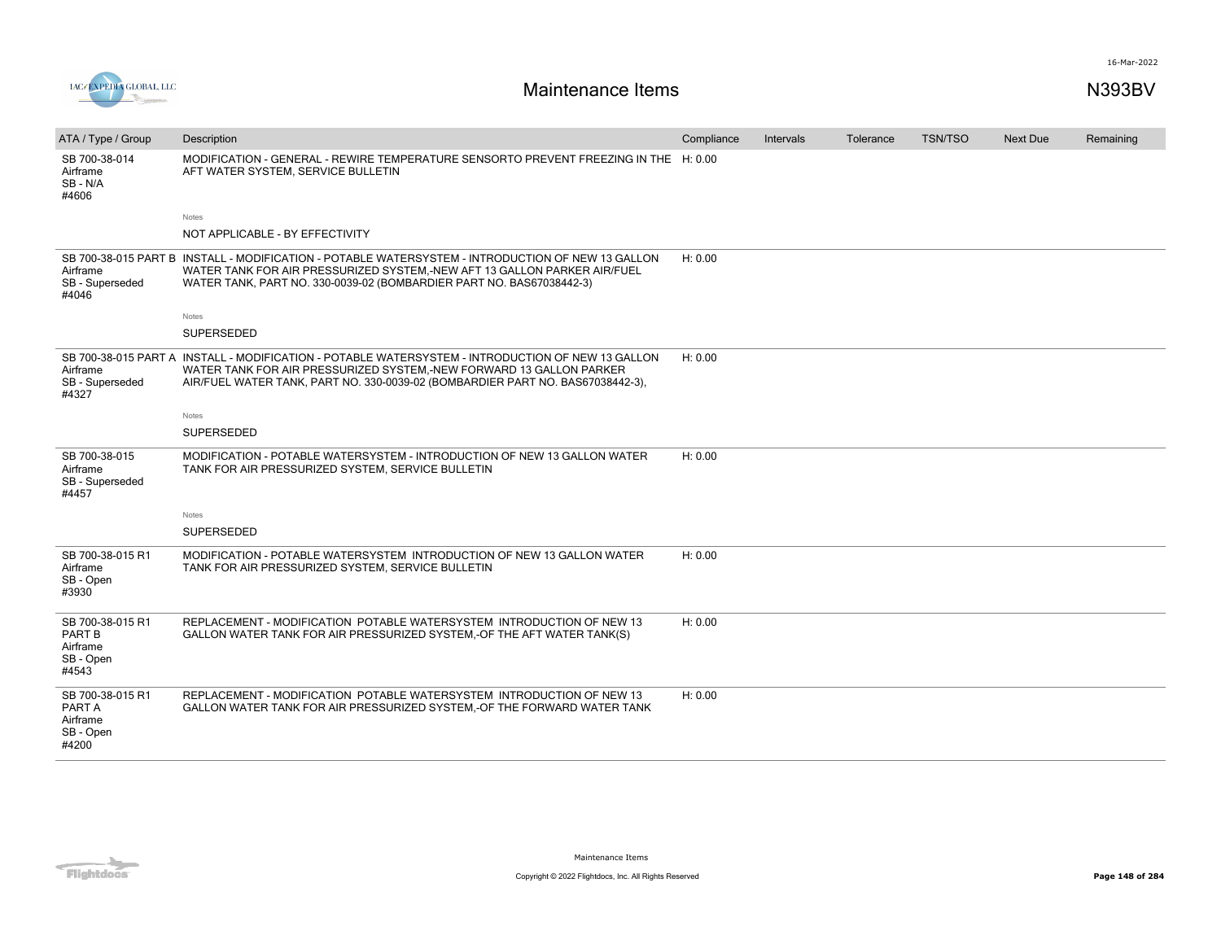

| ATA / Type / Group                                           | Description                                                                                                                                                                                                                                                | Compliance | Intervals | Tolerance | <b>TSN/TSO</b> | Next Due | Remaining |
|--------------------------------------------------------------|------------------------------------------------------------------------------------------------------------------------------------------------------------------------------------------------------------------------------------------------------------|------------|-----------|-----------|----------------|----------|-----------|
| SB 700-38-014<br>Airframe<br>SB-N/A<br>#4606                 | MODIFICATION - GENERAL - REWIRE TEMPERATURE SENSORTO PREVENT FREEZING IN THE H: 0.00<br>AFT WATER SYSTEM, SERVICE BULLETIN                                                                                                                                 |            |           |           |                |          |           |
|                                                              | <b>Notes</b>                                                                                                                                                                                                                                               |            |           |           |                |          |           |
|                                                              | NOT APPLICABLE - BY EFFECTIVITY                                                                                                                                                                                                                            |            |           |           |                |          |           |
| Airframe<br>SB - Superseded<br>#4046                         | SB 700-38-015 PART B INSTALL - MODIFICATION - POTABLE WATERSYSTEM - INTRODUCTION OF NEW 13 GALLON<br>WATER TANK FOR AIR PRESSURIZED SYSTEM,-NEW AFT 13 GALLON PARKER AIR/FUEL<br>WATER TANK, PART NO. 330-0039-02 (BOMBARDIER PART NO. BAS67038442-3)      | H: 0.00    |           |           |                |          |           |
|                                                              | Notes                                                                                                                                                                                                                                                      |            |           |           |                |          |           |
|                                                              | SUPERSEDED                                                                                                                                                                                                                                                 |            |           |           |                |          |           |
| Airframe<br>SB - Superseded<br>#4327                         | SB 700-38-015 PART A INSTALL - MODIFICATION - POTABLE WATERSYSTEM - INTRODUCTION OF NEW 13 GALLON<br>WATER TANK FOR AIR PRESSURIZED SYSTEM,-NEW FORWARD 13 GALLON PARKER<br>AIR/FUEL WATER TANK, PART NO. 330-0039-02 (BOMBARDIER PART NO. BAS67038442-3), | H: 0.00    |           |           |                |          |           |
|                                                              | Notes                                                                                                                                                                                                                                                      |            |           |           |                |          |           |
|                                                              | <b>SUPERSEDED</b>                                                                                                                                                                                                                                          |            |           |           |                |          |           |
| SB 700-38-015<br>Airframe<br>SB - Superseded<br>#4457        | MODIFICATION - POTABLE WATERSYSTEM - INTRODUCTION OF NEW 13 GALLON WATER<br>TANK FOR AIR PRESSURIZED SYSTEM, SERVICE BULLETIN                                                                                                                              | H: 0.00    |           |           |                |          |           |
|                                                              | Notes                                                                                                                                                                                                                                                      |            |           |           |                |          |           |
|                                                              | <b>SUPERSEDED</b>                                                                                                                                                                                                                                          |            |           |           |                |          |           |
| SB 700-38-015 R1<br>Airframe<br>SB - Open<br>#3930           | MODIFICATION - POTABLE WATERSYSTEM INTRODUCTION OF NEW 13 GALLON WATER<br>TANK FOR AIR PRESSURIZED SYSTEM, SERVICE BULLETIN                                                                                                                                | H: 0.00    |           |           |                |          |           |
| SB 700-38-015 R1<br>PART B<br>Airframe<br>SB - Open<br>#4543 | REPLACEMENT - MODIFICATION POTABLE WATERSYSTEM INTRODUCTION OF NEW 13<br>GALLON WATER TANK FOR AIR PRESSURIZED SYSTEM, OF THE AFT WATER TANK(S)                                                                                                            | H: 0.00    |           |           |                |          |           |
| SB 700-38-015 R1<br>PART A<br>Airframe<br>SB - Open<br>#4200 | REPLACEMENT - MODIFICATION POTABLE WATERSYSTEM INTRODUCTION OF NEW 13<br>GALLON WATER TANK FOR AIR PRESSURIZED SYSTEM,-OF THE FORWARD WATER TANK                                                                                                           | H: 0.00    |           |           |                |          |           |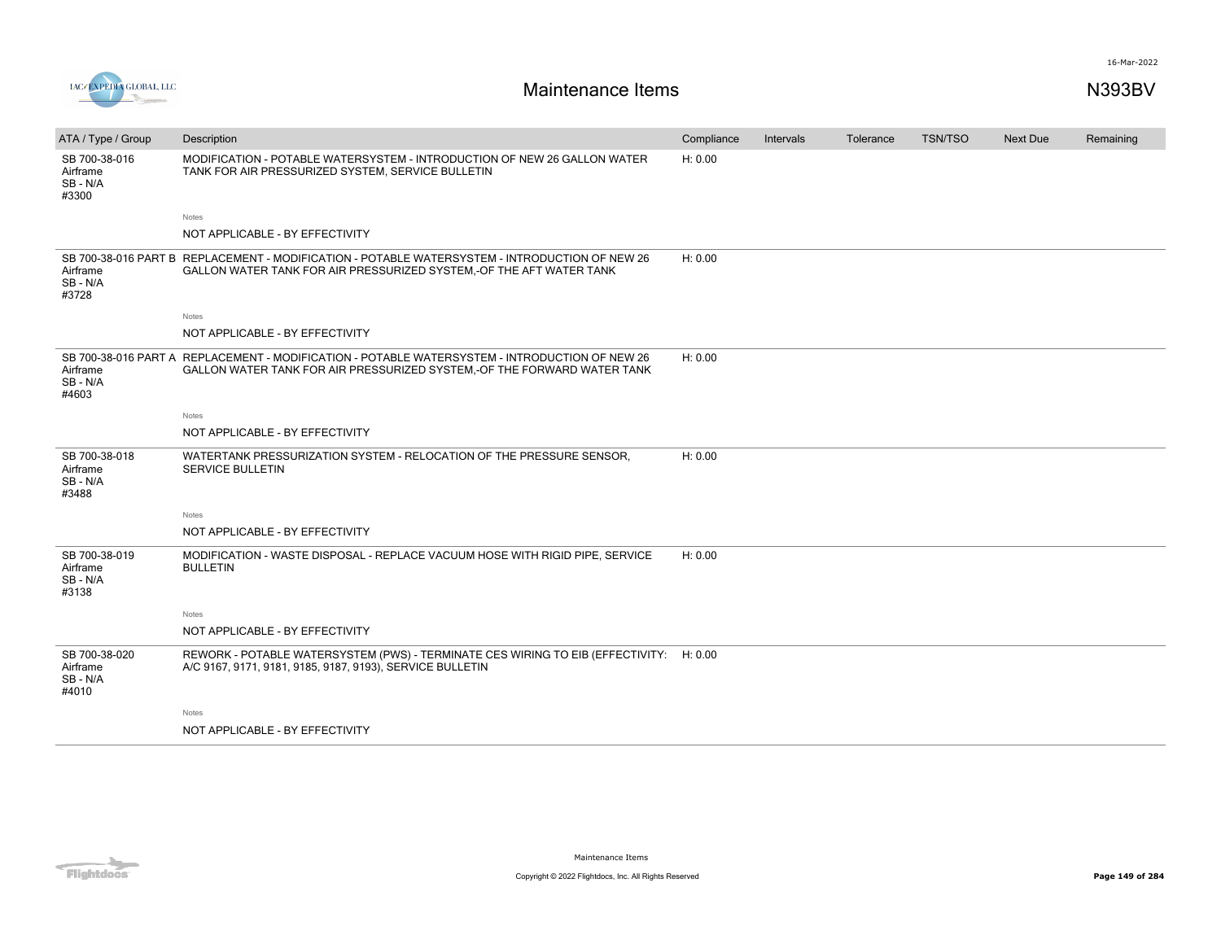

| ATA / Type / Group                             | Description                                                                                                                                                               | Compliance | Intervals | Tolerance | <b>TSN/TSO</b> | <b>Next Due</b> | Remaining |
|------------------------------------------------|---------------------------------------------------------------------------------------------------------------------------------------------------------------------------|------------|-----------|-----------|----------------|-----------------|-----------|
| SB 700-38-016<br>Airframe<br>SB - N/A<br>#3300 | MODIFICATION - POTABLE WATERSYSTEM - INTRODUCTION OF NEW 26 GALLON WATER<br>TANK FOR AIR PRESSURIZED SYSTEM, SERVICE BULLETIN                                             | H: 0.00    |           |           |                |                 |           |
|                                                | <b>Notes</b>                                                                                                                                                              |            |           |           |                |                 |           |
|                                                | NOT APPLICABLE - BY EFFECTIVITY                                                                                                                                           |            |           |           |                |                 |           |
| Airframe<br>SB - N/A<br>#3728                  | SB 700-38-016 PART B REPLACEMENT - MODIFICATION - POTABLE WATERSYSTEM - INTRODUCTION OF NEW 26<br>GALLON WATER TANK FOR AIR PRESSURIZED SYSTEM,-OF THE AFT WATER TANK     | H: 0.00    |           |           |                |                 |           |
|                                                | <b>Notes</b>                                                                                                                                                              |            |           |           |                |                 |           |
|                                                | NOT APPLICABLE - BY EFFECTIVITY                                                                                                                                           |            |           |           |                |                 |           |
| Airframe<br>SB - N/A<br>#4603                  | SB 700-38-016 PART A REPLACEMENT - MODIFICATION - POTABLE WATERSYSTEM - INTRODUCTION OF NEW 26<br>GALLON WATER TANK FOR AIR PRESSURIZED SYSTEM, OF THE FORWARD WATER TANK | H: 0.00    |           |           |                |                 |           |
|                                                | Notes                                                                                                                                                                     |            |           |           |                |                 |           |
|                                                | NOT APPLICABLE - BY EFFECTIVITY                                                                                                                                           |            |           |           |                |                 |           |
| SB 700-38-018<br>Airframe<br>SB - N/A<br>#3488 | WATERTANK PRESSURIZATION SYSTEM - RELOCATION OF THE PRESSURE SENSOR,<br>SERVICE BULLETIN                                                                                  | H: 0.00    |           |           |                |                 |           |
|                                                | Notes                                                                                                                                                                     |            |           |           |                |                 |           |
|                                                | NOT APPLICABLE - BY EFFECTIVITY                                                                                                                                           |            |           |           |                |                 |           |
| SB 700-38-019<br>Airframe<br>SB - N/A<br>#3138 | MODIFICATION - WASTE DISPOSAL - REPLACE VACUUM HOSE WITH RIGID PIPE, SERVICE<br><b>BULLETIN</b>                                                                           | H: 0.00    |           |           |                |                 |           |
|                                                | Notes                                                                                                                                                                     |            |           |           |                |                 |           |
|                                                | NOT APPLICABLE - BY EFFECTIVITY                                                                                                                                           |            |           |           |                |                 |           |
| SB 700-38-020<br>Airframe<br>SB - N/A<br>#4010 | REWORK - POTABLE WATERSYSTEM (PWS) - TERMINATE CES WIRING TO EIB (EFFECTIVITY: H: 0.00<br>A/C 9167, 9171, 9181, 9185, 9187, 9193), SERVICE BULLETIN                       |            |           |           |                |                 |           |
|                                                | Notes                                                                                                                                                                     |            |           |           |                |                 |           |
|                                                | NOT APPLICABLE - BY EFFECTIVITY                                                                                                                                           |            |           |           |                |                 |           |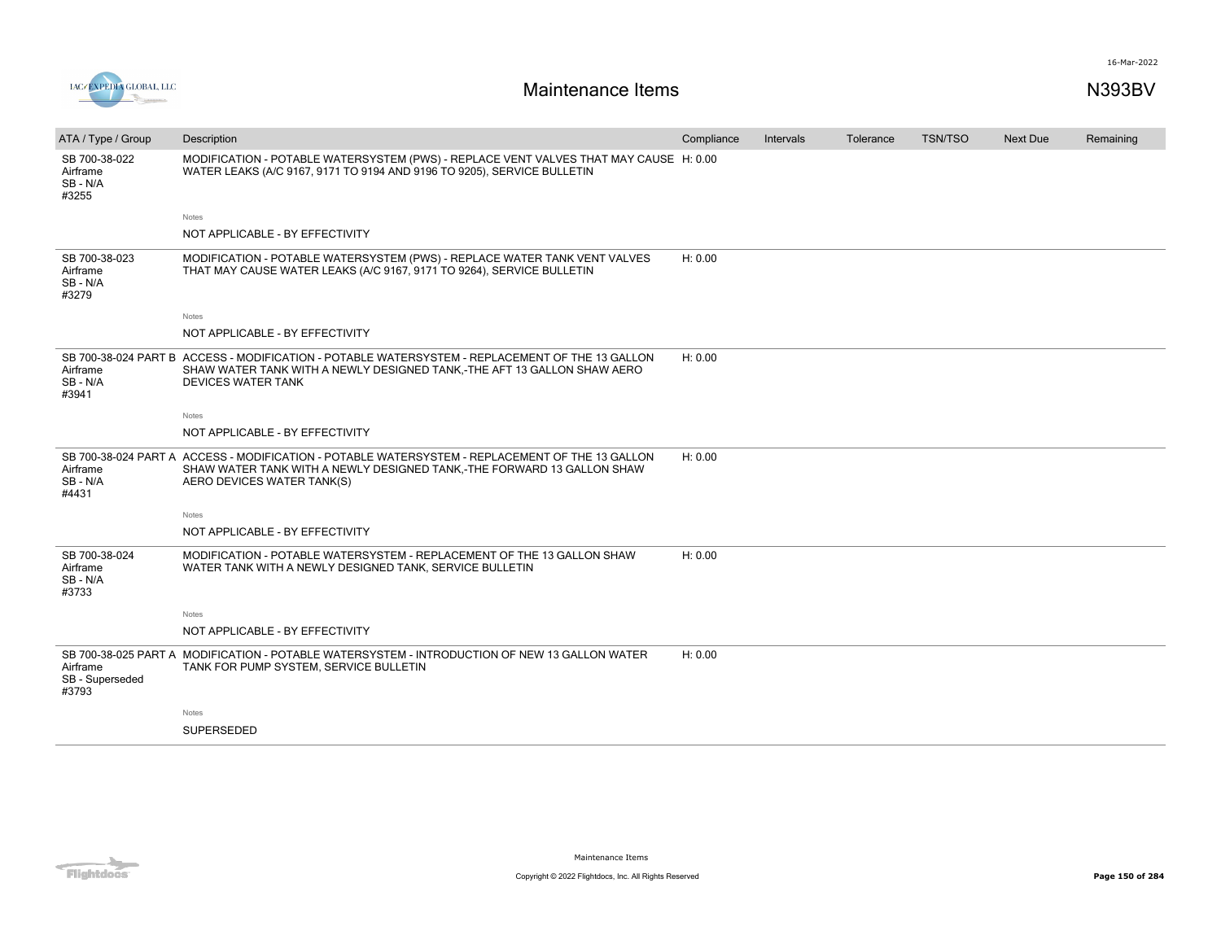



| ATA / Type / Group                             | Description                                                                                                                                                                                             | Compliance | Intervals | Tolerance | <b>TSN/TSO</b> | Next Due | Remaining |
|------------------------------------------------|---------------------------------------------------------------------------------------------------------------------------------------------------------------------------------------------------------|------------|-----------|-----------|----------------|----------|-----------|
| SB 700-38-022<br>Airframe<br>SB-N/A<br>#3255   | MODIFICATION - POTABLE WATERSYSTEM (PWS) - REPLACE VENT VALVES THAT MAY CAUSE H: 0.00<br>WATER LEAKS (A/C 9167, 9171 TO 9194 AND 9196 TO 9205), SERVICE BULLETIN                                        |            |           |           |                |          |           |
|                                                | Notes                                                                                                                                                                                                   |            |           |           |                |          |           |
|                                                | NOT APPLICABLE - BY EFFECTIVITY                                                                                                                                                                         |            |           |           |                |          |           |
| SB 700-38-023<br>Airframe<br>SB - N/A<br>#3279 | MODIFICATION - POTABLE WATERSYSTEM (PWS) - REPLACE WATER TANK VENT VALVES<br>THAT MAY CAUSE WATER LEAKS (A/C 9167, 9171 TO 9264), SERVICE BULLETIN                                                      | H: 0.00    |           |           |                |          |           |
|                                                | Notes                                                                                                                                                                                                   |            |           |           |                |          |           |
|                                                | NOT APPLICABLE - BY EFFECTIVITY                                                                                                                                                                         |            |           |           |                |          |           |
| Airframe<br>SB - N/A<br>#3941                  | SB 700-38-024 PART B ACCESS - MODIFICATION - POTABLE WATERSYSTEM - REPLACEMENT OF THE 13 GALLON<br>SHAW WATER TANK WITH A NEWLY DESIGNED TANK,-THE AFT 13 GALLON SHAW AERO<br><b>DEVICES WATER TANK</b> | H: 0.00    |           |           |                |          |           |
|                                                | Notes                                                                                                                                                                                                   |            |           |           |                |          |           |
|                                                | NOT APPLICABLE - BY EFFECTIVITY                                                                                                                                                                         |            |           |           |                |          |           |
| Airframe<br>SB - N/A<br>#4431                  | SB 700-38-024 PART A ACCESS - MODIFICATION - POTABLE WATERSYSTEM - REPLACEMENT OF THE 13 GALLON<br>SHAW WATER TANK WITH A NEWLY DESIGNED TANK,-THE FORWARD 13 GALLON SHAW<br>AERO DEVICES WATER TANK(S) | H: 0.00    |           |           |                |          |           |
|                                                | Notes                                                                                                                                                                                                   |            |           |           |                |          |           |
|                                                | NOT APPLICABLE - BY EFFECTIVITY                                                                                                                                                                         |            |           |           |                |          |           |
| SB 700-38-024<br>Airframe<br>SB - N/A<br>#3733 | MODIFICATION - POTABLE WATERSYSTEM - REPLACEMENT OF THE 13 GALLON SHAW<br>WATER TANK WITH A NEWLY DESIGNED TANK, SERVICE BULLETIN                                                                       | H: 0.00    |           |           |                |          |           |
|                                                | Notes                                                                                                                                                                                                   |            |           |           |                |          |           |
|                                                | NOT APPLICABLE - BY EFFECTIVITY                                                                                                                                                                         |            |           |           |                |          |           |
| Airframe<br>SB - Superseded<br>#3793           | SB 700-38-025 PART A MODIFICATION - POTABLE WATERSYSTEM - INTRODUCTION OF NEW 13 GALLON WATER<br>TANK FOR PUMP SYSTEM, SERVICE BULLETIN                                                                 | H: 0.00    |           |           |                |          |           |
|                                                | Notes                                                                                                                                                                                                   |            |           |           |                |          |           |
|                                                | <b>SUPERSEDED</b>                                                                                                                                                                                       |            |           |           |                |          |           |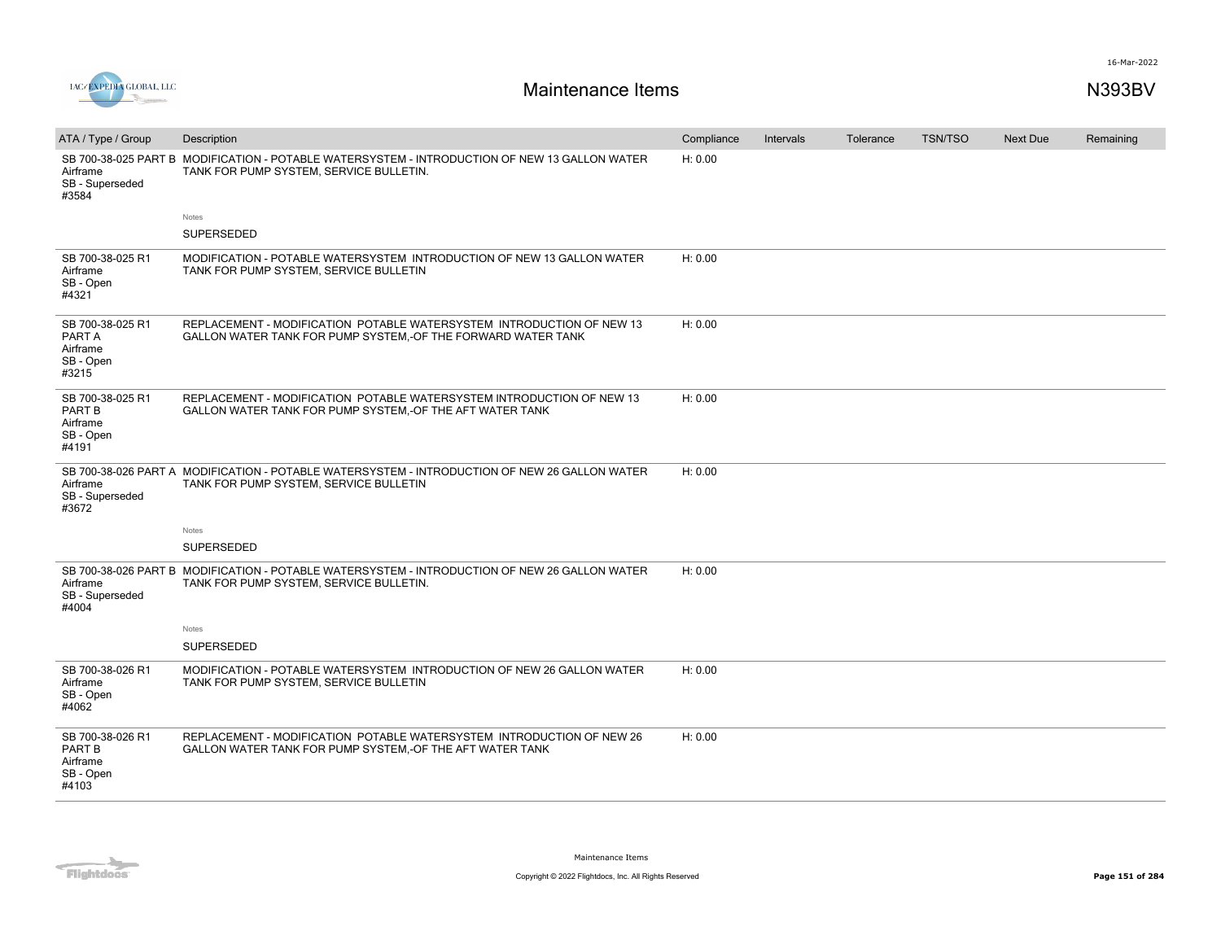

| ATA / Type / Group<br>Airframe<br>SB - Superseded<br>#3584   | Description<br>SB 700-38-025 PART B MODIFICATION - POTABLE WATERSYSTEM - INTRODUCTION OF NEW 13 GALLON WATER<br>TANK FOR PUMP SYSTEM, SERVICE BULLETIN. | Compliance<br>H: 0.00 | Intervals | Tolerance | <b>TSN/TSO</b> | Next Due | Remaining |
|--------------------------------------------------------------|---------------------------------------------------------------------------------------------------------------------------------------------------------|-----------------------|-----------|-----------|----------------|----------|-----------|
|                                                              | Notes<br>SUPERSEDED                                                                                                                                     |                       |           |           |                |          |           |
| SB 700-38-025 R1<br>Airframe<br>SB - Open<br>#4321           | MODIFICATION - POTABLE WATERSYSTEM INTRODUCTION OF NEW 13 GALLON WATER<br>TANK FOR PUMP SYSTEM, SERVICE BULLETIN                                        | H: 0.00               |           |           |                |          |           |
| SB 700-38-025 R1<br>PART A<br>Airframe<br>SB - Open<br>#3215 | REPLACEMENT - MODIFICATION POTABLE WATERSYSTEM INTRODUCTION OF NEW 13<br>GALLON WATER TANK FOR PUMP SYSTEM, OF THE FORWARD WATER TANK                   | H: 0.00               |           |           |                |          |           |
| SB 700-38-025 R1<br>PART B<br>Airframe<br>SB - Open<br>#4191 | REPLACEMENT - MODIFICATION POTABLE WATERSYSTEM INTRODUCTION OF NEW 13<br>GALLON WATER TANK FOR PUMP SYSTEM, OF THE AFT WATER TANK                       | H: 0.00               |           |           |                |          |           |
| Airframe<br>SB - Superseded<br>#3672                         | SB 700-38-026 PART A MODIFICATION - POTABLE WATERSYSTEM - INTRODUCTION OF NEW 26 GALLON WATER<br>TANK FOR PUMP SYSTEM, SERVICE BULLETIN                 | H: 0.00               |           |           |                |          |           |
|                                                              | Notes                                                                                                                                                   |                       |           |           |                |          |           |
|                                                              | SUPERSEDED                                                                                                                                              |                       |           |           |                |          |           |
| Airframe<br>SB - Superseded<br>#4004                         | SB 700-38-026 PART B MODIFICATION - POTABLE WATERSYSTEM - INTRODUCTION OF NEW 26 GALLON WATER<br>TANK FOR PUMP SYSTEM, SERVICE BULLETIN.                | H: 0.00               |           |           |                |          |           |
|                                                              | Notes                                                                                                                                                   |                       |           |           |                |          |           |
|                                                              | SUPERSEDED                                                                                                                                              |                       |           |           |                |          |           |
| SB 700-38-026 R1<br>Airframe<br>SB - Open<br>#4062           | MODIFICATION - POTABLE WATERSYSTEM INTRODUCTION OF NEW 26 GALLON WATER<br>TANK FOR PUMP SYSTEM, SERVICE BULLETIN                                        | H: 0.00               |           |           |                |          |           |
| SB 700-38-026 R1<br>PART B<br>Airframe<br>SB - Open<br>#4103 | REPLACEMENT - MODIFICATION POTABLE WATERSYSTEM INTRODUCTION OF NEW 26<br>GALLON WATER TANK FOR PUMP SYSTEM, OF THE AFT WATER TANK                       | H: 0.00               |           |           |                |          |           |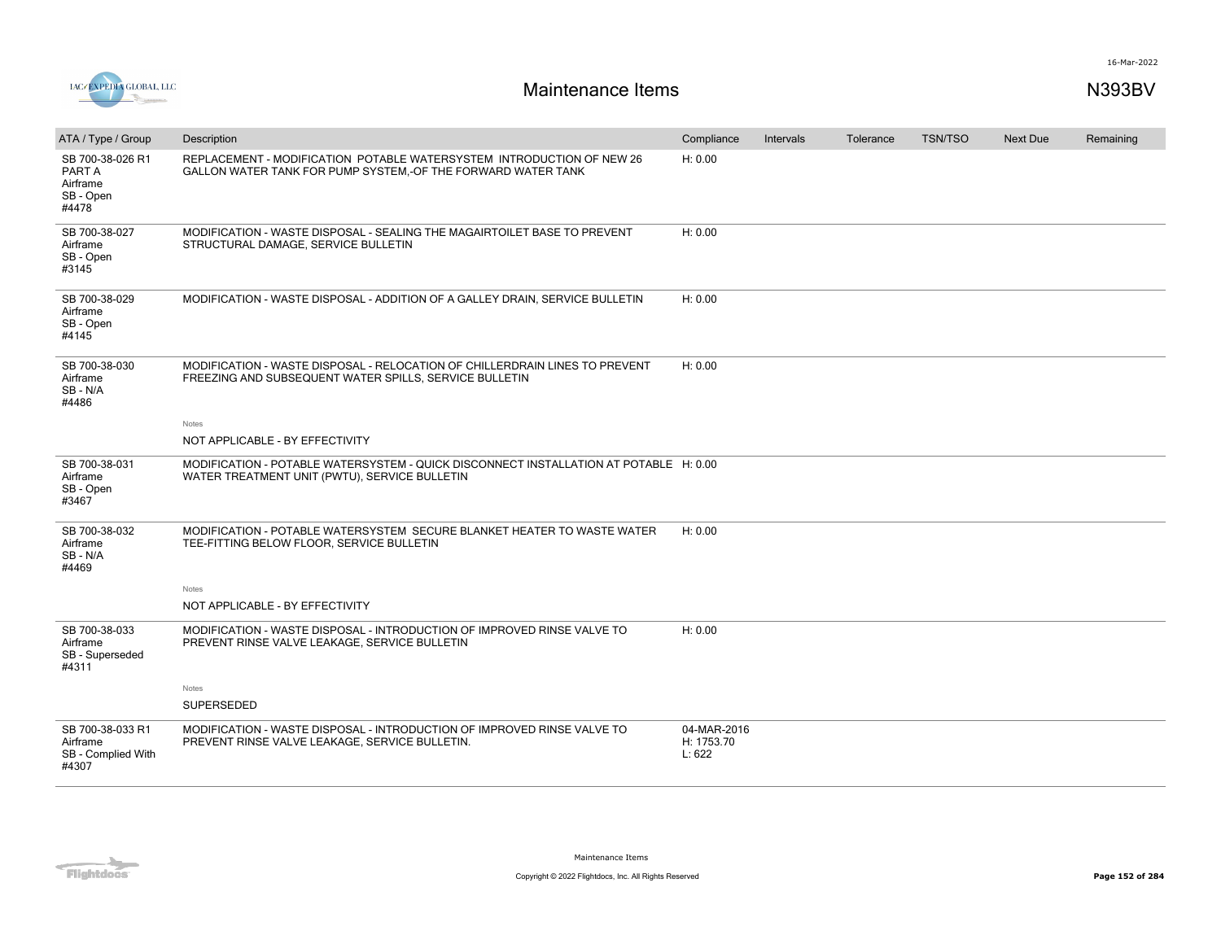

| ATA / Type / Group                                           | Description                                                                                                                            | Compliance                          | Intervals | Tolerance | <b>TSN/TSO</b> | <b>Next Due</b> | Remaining |
|--------------------------------------------------------------|----------------------------------------------------------------------------------------------------------------------------------------|-------------------------------------|-----------|-----------|----------------|-----------------|-----------|
| SB 700-38-026 R1<br>PART A<br>Airframe<br>SB - Open<br>#4478 | REPLACEMENT - MODIFICATION POTABLE WATERSYSTEM INTRODUCTION OF NEW 26<br>GALLON WATER TANK FOR PUMP SYSTEM,-OF THE FORWARD WATER TANK  | H: 0.00                             |           |           |                |                 |           |
| SB 700-38-027<br>Airframe<br>SB - Open<br>#3145              | MODIFICATION - WASTE DISPOSAL - SEALING THE MAGAIRTOILET BASE TO PREVENT<br>STRUCTURAL DAMAGE, SERVICE BULLETIN                        | H: 0.00                             |           |           |                |                 |           |
| SB 700-38-029<br>Airframe<br>SB - Open<br>#4145              | MODIFICATION - WASTE DISPOSAL - ADDITION OF A GALLEY DRAIN, SERVICE BULLETIN                                                           | H: 0.00                             |           |           |                |                 |           |
| SB 700-38-030<br>Airframe<br>SB-N/A<br>#4486                 | MODIFICATION - WASTE DISPOSAL - RELOCATION OF CHILLERDRAIN LINES TO PREVENT<br>FREEZING AND SUBSEQUENT WATER SPILLS, SERVICE BULLETIN  | H: 0.00                             |           |           |                |                 |           |
|                                                              | Notes                                                                                                                                  |                                     |           |           |                |                 |           |
|                                                              | NOT APPLICABLE - BY EFFECTIVITY                                                                                                        |                                     |           |           |                |                 |           |
| SB 700-38-031<br>Airframe<br>SB - Open<br>#3467              | MODIFICATION - POTABLE WATERSYSTEM - QUICK DISCONNECT INSTALLATION AT POTABLE H: 0.00<br>WATER TREATMENT UNIT (PWTU), SERVICE BULLETIN |                                     |           |           |                |                 |           |
| SB 700-38-032<br>Airframe<br>SB-N/A<br>#4469                 | MODIFICATION - POTABLE WATERSYSTEM SECURE BLANKET HEATER TO WASTE WATER<br>TEE-FITTING BELOW FLOOR, SERVICE BULLETIN                   | H: 0.00                             |           |           |                |                 |           |
|                                                              | Notes                                                                                                                                  |                                     |           |           |                |                 |           |
|                                                              | NOT APPLICABLE - BY EFFECTIVITY                                                                                                        |                                     |           |           |                |                 |           |
| SB 700-38-033<br>Airframe<br>SB - Superseded<br>#4311        | MODIFICATION - WASTE DISPOSAL - INTRODUCTION OF IMPROVED RINSE VALVE TO<br>PREVENT RINSE VALVE LEAKAGE, SERVICE BULLETIN               | H: 0.00                             |           |           |                |                 |           |
|                                                              | Notes                                                                                                                                  |                                     |           |           |                |                 |           |
|                                                              | SUPERSEDED                                                                                                                             |                                     |           |           |                |                 |           |
| SB 700-38-033 R1<br>Airframe<br>SB - Complied With<br>#4307  | MODIFICATION - WASTE DISPOSAL - INTRODUCTION OF IMPROVED RINSE VALVE TO<br>PREVENT RINSE VALVE LEAKAGE, SERVICE BULLETIN.              | 04-MAR-2016<br>H: 1753.70<br>L: 622 |           |           |                |                 |           |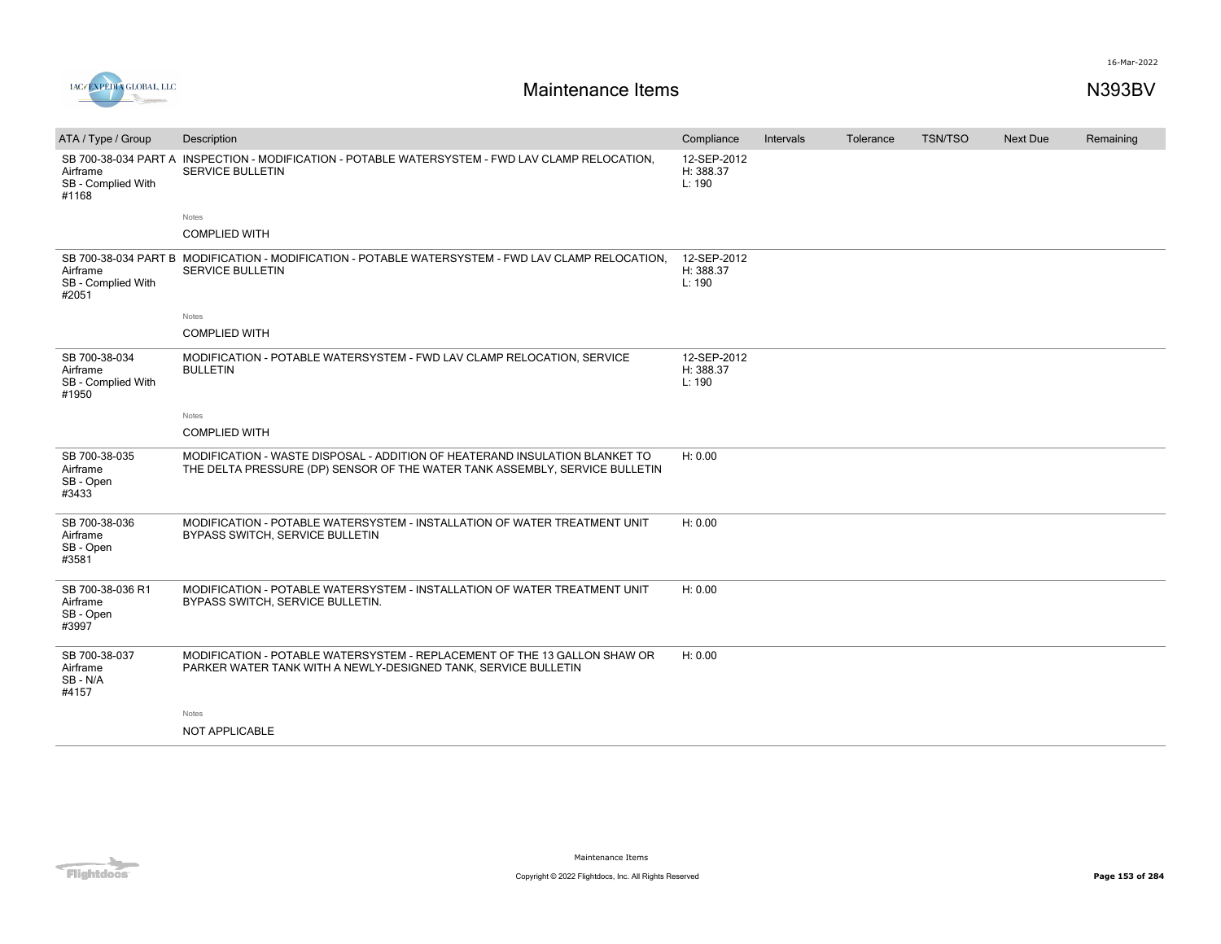



| ATA / Type / Group                                       | Description                                                                                                                                                | Compliance                         | Intervals | Tolerance | <b>TSN/TSO</b> | <b>Next Due</b> | Remaining |
|----------------------------------------------------------|------------------------------------------------------------------------------------------------------------------------------------------------------------|------------------------------------|-----------|-----------|----------------|-----------------|-----------|
| Airframe<br>SB - Complied With<br>#1168                  | SB 700-38-034 PART A INSPECTION - MODIFICATION - POTABLE WATERSYSTEM - FWD LAV CLAMP RELOCATION.<br><b>SERVICE BULLETIN</b>                                | 12-SEP-2012<br>H: 388.37<br>L: 190 |           |           |                |                 |           |
|                                                          | Notes                                                                                                                                                      |                                    |           |           |                |                 |           |
|                                                          | <b>COMPLIED WITH</b>                                                                                                                                       |                                    |           |           |                |                 |           |
| Airframe<br>SB - Complied With<br>#2051                  | SB 700-38-034 PART B MODIFICATION - MODIFICATION - POTABLE WATERSYSTEM - FWD LAV CLAMP RELOCATION.<br><b>SERVICE BULLETIN</b>                              | 12-SEP-2012<br>H: 388.37<br>L: 190 |           |           |                |                 |           |
|                                                          | <b>Notes</b>                                                                                                                                               |                                    |           |           |                |                 |           |
|                                                          | <b>COMPLIED WITH</b>                                                                                                                                       |                                    |           |           |                |                 |           |
| SB 700-38-034<br>Airframe<br>SB - Complied With<br>#1950 | MODIFICATION - POTABLE WATERSYSTEM - FWD LAV CLAMP RELOCATION, SERVICE<br><b>BULLETIN</b>                                                                  | 12-SEP-2012<br>H: 388.37<br>L: 190 |           |           |                |                 |           |
|                                                          | <b>Notes</b>                                                                                                                                               |                                    |           |           |                |                 |           |
|                                                          | <b>COMPLIED WITH</b>                                                                                                                                       |                                    |           |           |                |                 |           |
| SB 700-38-035<br>Airframe<br>SB - Open<br>#3433          | MODIFICATION - WASTE DISPOSAL - ADDITION OF HEATERAND INSULATION BLANKET TO<br>THE DELTA PRESSURE (DP) SENSOR OF THE WATER TANK ASSEMBLY, SERVICE BULLETIN | H: 0.00                            |           |           |                |                 |           |
| SB 700-38-036<br>Airframe<br>SB - Open<br>#3581          | MODIFICATION - POTABLE WATERSYSTEM - INSTALLATION OF WATER TREATMENT UNIT<br>BYPASS SWITCH, SERVICE BULLETIN                                               | H: 0.00                            |           |           |                |                 |           |
| SB 700-38-036 R1<br>Airframe<br>SB - Open<br>#3997       | MODIFICATION - POTABLE WATERSYSTEM - INSTALLATION OF WATER TREATMENT UNIT<br>BYPASS SWITCH, SERVICE BULLETIN.                                              | H: 0.00                            |           |           |                |                 |           |
| SB 700-38-037<br>Airframe<br>SB-N/A<br>#4157             | MODIFICATION - POTABLE WATERSYSTEM - REPLACEMENT OF THE 13 GALLON SHAW OR<br>PARKER WATER TANK WITH A NEWLY-DESIGNED TANK, SERVICE BULLETIN                | H: 0.00                            |           |           |                |                 |           |
|                                                          | Notes                                                                                                                                                      |                                    |           |           |                |                 |           |
|                                                          | NOT APPLICABLE                                                                                                                                             |                                    |           |           |                |                 |           |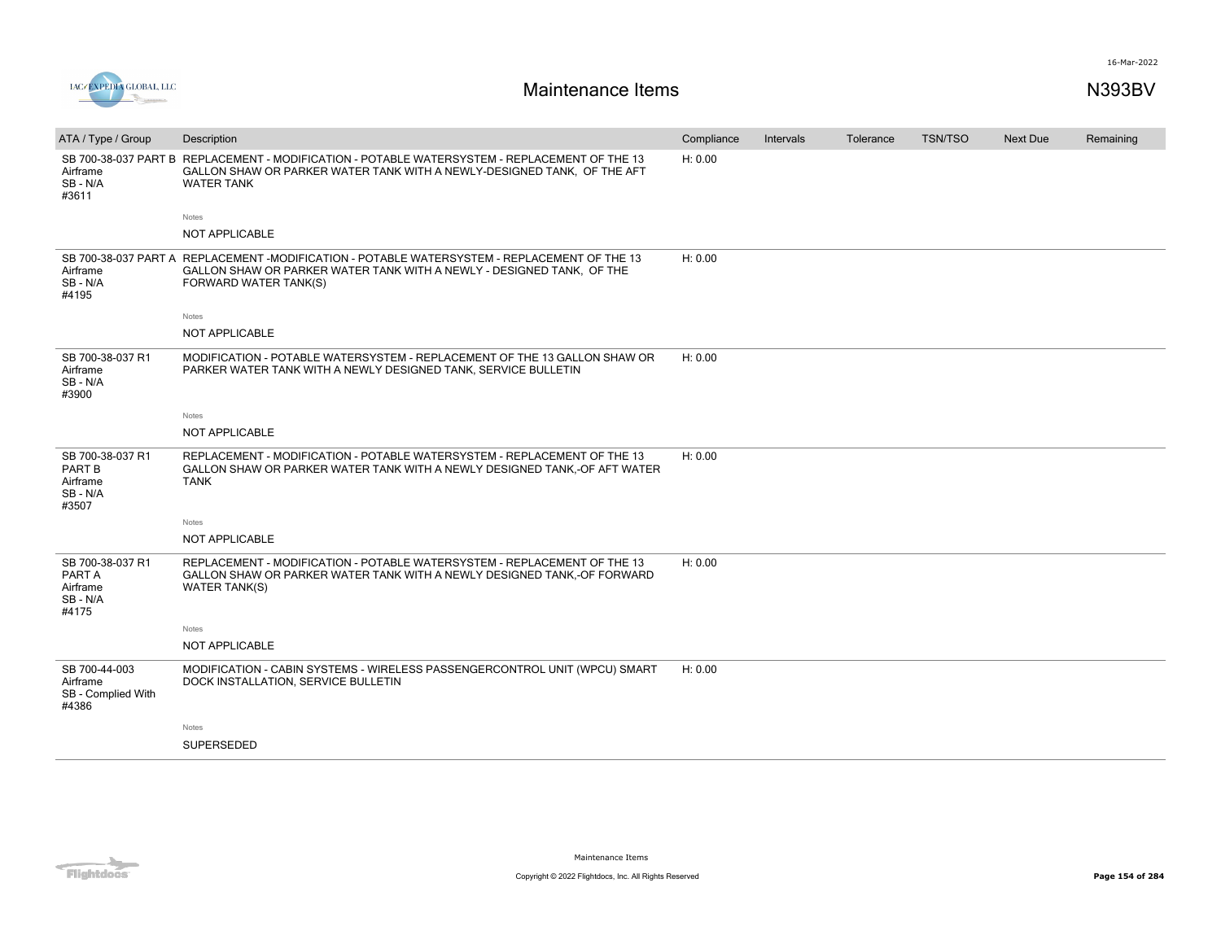

| ATA / Type / Group                                          | Description                                                                                                                                                                                    | Compliance | Intervals | Tolerance | <b>TSN/TSO</b> | Next Due | Remaining |
|-------------------------------------------------------------|------------------------------------------------------------------------------------------------------------------------------------------------------------------------------------------------|------------|-----------|-----------|----------------|----------|-----------|
| Airframe<br>SB-N/A<br>#3611                                 | SB 700-38-037 PART B REPLACEMENT - MODIFICATION - POTABLE WATERSYSTEM - REPLACEMENT OF THE 13<br>GALLON SHAW OR PARKER WATER TANK WITH A NEWLY-DESIGNED TANK, OF THE AFT<br><b>WATER TANK</b>  | H: 0.00    |           |           |                |          |           |
|                                                             | Notes                                                                                                                                                                                          |            |           |           |                |          |           |
|                                                             | NOT APPLICABLE                                                                                                                                                                                 |            |           |           |                |          |           |
| Airframe<br>SB-N/A<br>#4195                                 | SB 700-38-037 PART A REPLACEMENT -MODIFICATION - POTABLE WATERSYSTEM - REPLACEMENT OF THE 13<br>GALLON SHAW OR PARKER WATER TANK WITH A NEWLY - DESIGNED TANK, OF THE<br>FORWARD WATER TANK(S) | H: 0.00    |           |           |                |          |           |
|                                                             | Notes                                                                                                                                                                                          |            |           |           |                |          |           |
|                                                             | NOT APPLICABLE                                                                                                                                                                                 |            |           |           |                |          |           |
| SB 700-38-037 R1<br>Airframe<br>SB-N/A<br>#3900             | MODIFICATION - POTABLE WATERSYSTEM - REPLACEMENT OF THE 13 GALLON SHAW OR<br>PARKER WATER TANK WITH A NEWLY DESIGNED TANK, SERVICE BULLETIN                                                    | H: 0.00    |           |           |                |          |           |
|                                                             | <b>Notes</b>                                                                                                                                                                                   |            |           |           |                |          |           |
|                                                             | NOT APPLICABLE                                                                                                                                                                                 |            |           |           |                |          |           |
| SB 700-38-037 R1<br>PART B<br>Airframe<br>SB-N/A<br>#3507   | REPLACEMENT - MODIFICATION - POTABLE WATERSYSTEM - REPLACEMENT OF THE 13<br>GALLON SHAW OR PARKER WATER TANK WITH A NEWLY DESIGNED TANK,-OF AFT WATER<br><b>TANK</b>                           | H: 0.00    |           |           |                |          |           |
|                                                             | Notes                                                                                                                                                                                          |            |           |           |                |          |           |
|                                                             | NOT APPLICABLE                                                                                                                                                                                 |            |           |           |                |          |           |
| SB 700-38-037 R1<br>PART A<br>Airframe<br>SB - N/A<br>#4175 | REPLACEMENT - MODIFICATION - POTABLE WATERSYSTEM - REPLACEMENT OF THE 13<br>GALLON SHAW OR PARKER WATER TANK WITH A NEWLY DESIGNED TANK,-OF FORWARD<br><b>WATER TANK(S)</b>                    | H: 0.00    |           |           |                |          |           |
|                                                             | <b>Notes</b>                                                                                                                                                                                   |            |           |           |                |          |           |
|                                                             | <b>NOT APPLICABLE</b>                                                                                                                                                                          |            |           |           |                |          |           |
| SB 700-44-003<br>Airframe<br>SB - Complied With<br>#4386    | MODIFICATION - CABIN SYSTEMS - WIRELESS PASSENGERCONTROL UNIT (WPCU) SMART<br>DOCK INSTALLATION, SERVICE BULLETIN                                                                              | H: 0.00    |           |           |                |          |           |
|                                                             | Notes                                                                                                                                                                                          |            |           |           |                |          |           |
|                                                             | SUPERSEDED                                                                                                                                                                                     |            |           |           |                |          |           |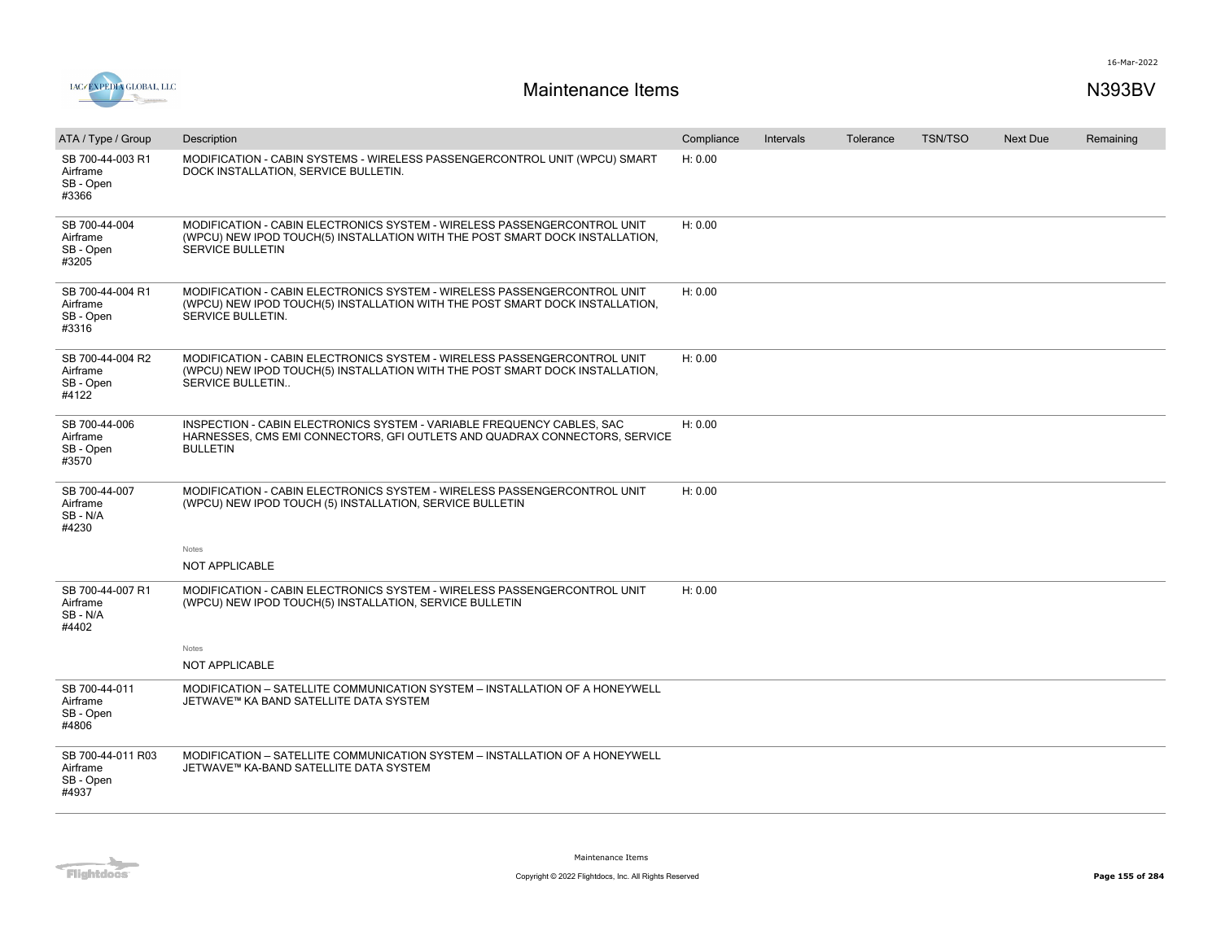

| ATA / Type / Group                                  | Description                                                                                                                                                                         | Compliance | <b>Intervals</b> | Tolerance | <b>TSN/TSO</b> | <b>Next Due</b> | Remaining |
|-----------------------------------------------------|-------------------------------------------------------------------------------------------------------------------------------------------------------------------------------------|------------|------------------|-----------|----------------|-----------------|-----------|
| SB 700-44-003 R1<br>Airframe<br>SB - Open<br>#3366  | MODIFICATION - CABIN SYSTEMS - WIRELESS PASSENGERCONTROL UNIT (WPCU) SMART<br>DOCK INSTALLATION, SERVICE BULLETIN.                                                                  | H: 0.00    |                  |           |                |                 |           |
| SB 700-44-004<br>Airframe<br>SB - Open<br>#3205     | MODIFICATION - CABIN ELECTRONICS SYSTEM - WIRELESS PASSENGERCONTROL UNIT<br>(WPCU) NEW IPOD TOUCH(5) INSTALLATION WITH THE POST SMART DOCK INSTALLATION,<br><b>SERVICE BULLETIN</b> | H: 0.00    |                  |           |                |                 |           |
| SB 700-44-004 R1<br>Airframe<br>SB - Open<br>#3316  | MODIFICATION - CABIN ELECTRONICS SYSTEM - WIRELESS PASSENGERCONTROL UNIT<br>(WPCU) NEW IPOD TOUCH(5) INSTALLATION WITH THE POST SMART DOCK INSTALLATION,<br>SERVICE BULLETIN.       | H: 0.00    |                  |           |                |                 |           |
| SB 700-44-004 R2<br>Airframe<br>SB - Open<br>#4122  | MODIFICATION - CABIN ELECTRONICS SYSTEM - WIRELESS PASSENGERCONTROL UNIT<br>(WPCU) NEW IPOD TOUCH(5) INSTALLATION WITH THE POST SMART DOCK INSTALLATION,<br>SERVICE BULLETIN        | H: 0.00    |                  |           |                |                 |           |
| SB 700-44-006<br>Airframe<br>SB - Open<br>#3570     | INSPECTION - CABIN ELECTRONICS SYSTEM - VARIABLE FREQUENCY CABLES, SAC<br>HARNESSES, CMS EMI CONNECTORS, GFI OUTLETS AND QUADRAX CONNECTORS, SERVICE<br><b>BULLETIN</b>             | H: 0.00    |                  |           |                |                 |           |
| SB 700-44-007<br>Airframe<br>SB-N/A<br>#4230        | MODIFICATION - CABIN ELECTRONICS SYSTEM - WIRELESS PASSENGERCONTROL UNIT<br>(WPCU) NEW IPOD TOUCH (5) INSTALLATION, SERVICE BULLETIN                                                | H: 0.00    |                  |           |                |                 |           |
|                                                     | Notes                                                                                                                                                                               |            |                  |           |                |                 |           |
|                                                     | NOT APPLICABLE                                                                                                                                                                      |            |                  |           |                |                 |           |
| SB 700-44-007 R1<br>Airframe<br>SB-N/A<br>#4402     | MODIFICATION - CABIN ELECTRONICS SYSTEM - WIRELESS PASSENGERCONTROL UNIT<br>(WPCU) NEW IPOD TOUCH(5) INSTALLATION, SERVICE BULLETIN                                                 | H: 0.00    |                  |           |                |                 |           |
|                                                     | Notes                                                                                                                                                                               |            |                  |           |                |                 |           |
|                                                     | <b>NOT APPLICABLE</b>                                                                                                                                                               |            |                  |           |                |                 |           |
| SB 700-44-011<br>Airframe<br>SB - Open<br>#4806     | MODIFICATION - SATELLITE COMMUNICATION SYSTEM - INSTALLATION OF A HONEYWELL<br>JETWAVE™ KA BAND SATELLITE DATA SYSTEM                                                               |            |                  |           |                |                 |           |
| SB 700-44-011 R03<br>Airframe<br>SB - Open<br>#4937 | MODIFICATION - SATELLITE COMMUNICATION SYSTEM - INSTALLATION OF A HONEYWELL<br>JETWAVE™ KA-BAND SATELLITE DATA SYSTEM                                                               |            |                  |           |                |                 |           |
|                                                     |                                                                                                                                                                                     |            |                  |           |                |                 |           |

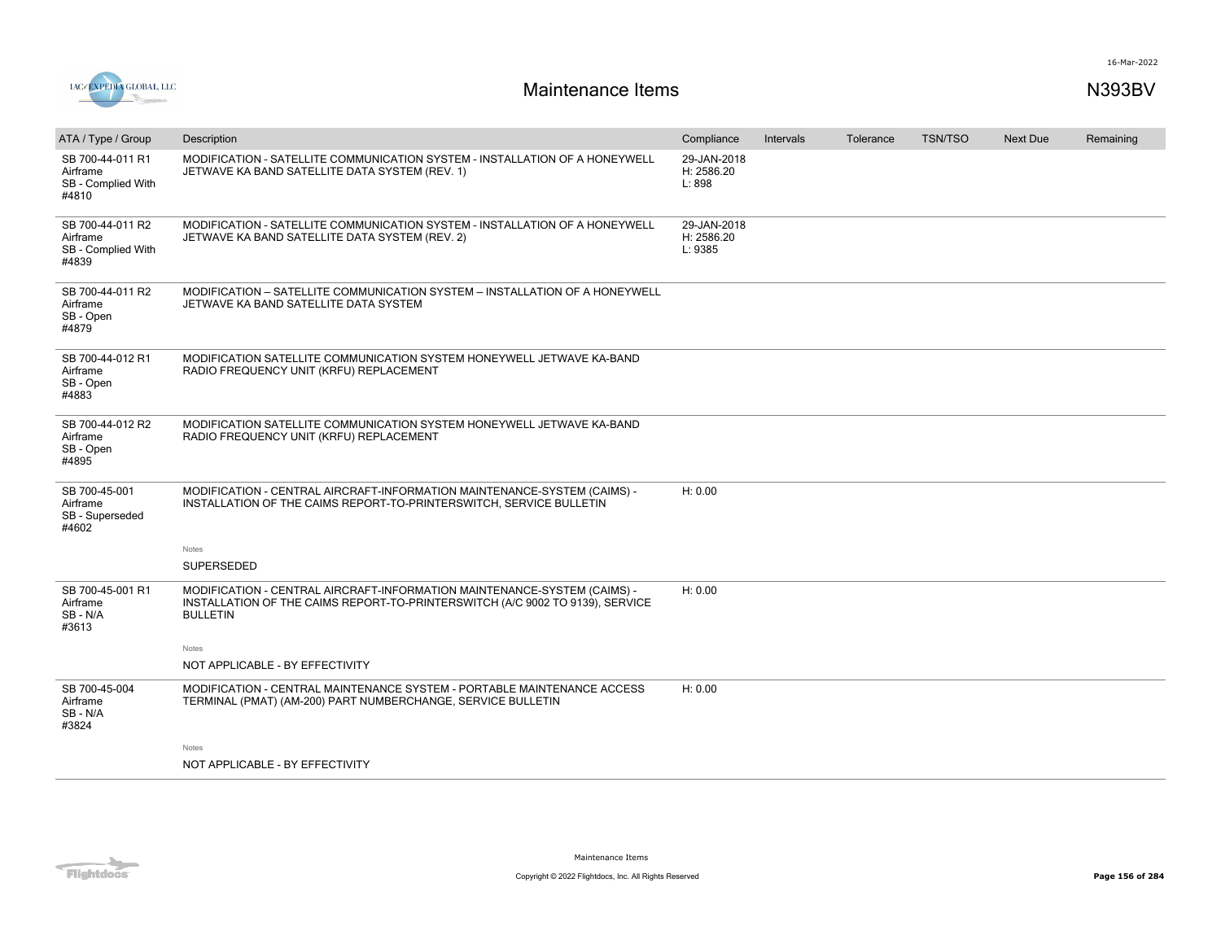

| ATA / Type / Group                                          | Description                                                                                                                                                                  | Compliance                           | <b>Intervals</b> | Tolerance | <b>TSN/TSO</b> | <b>Next Due</b> | Remaining |
|-------------------------------------------------------------|------------------------------------------------------------------------------------------------------------------------------------------------------------------------------|--------------------------------------|------------------|-----------|----------------|-----------------|-----------|
| SB 700-44-011 R1<br>Airframe<br>SB - Complied With<br>#4810 | MODIFICATION - SATELLITE COMMUNICATION SYSTEM - INSTALLATION OF A HONEYWELL<br>JETWAVE KA BAND SATELLITE DATA SYSTEM (REV. 1)                                                | 29-JAN-2018<br>H: 2586.20<br>L: 898  |                  |           |                |                 |           |
| SB 700-44-011 R2<br>Airframe<br>SB - Complied With<br>#4839 | MODIFICATION - SATELLITE COMMUNICATION SYSTEM - INSTALLATION OF A HONEYWELL<br>JETWAVE KA BAND SATELLITE DATA SYSTEM (REV. 2)                                                | 29-JAN-2018<br>H: 2586.20<br>L: 9385 |                  |           |                |                 |           |
| SB 700-44-011 R2<br>Airframe<br>SB - Open<br>#4879          | MODIFICATION - SATELLITE COMMUNICATION SYSTEM - INSTALLATION OF A HONEYWELL<br>JETWAVE KA BAND SATELLITE DATA SYSTEM                                                         |                                      |                  |           |                |                 |           |
| SB 700-44-012 R1<br>Airframe<br>SB - Open<br>#4883          | MODIFICATION SATELLITE COMMUNICATION SYSTEM HONEYWELL JETWAVE KA-BAND<br>RADIO FREQUENCY UNIT (KRFU) REPLACEMENT                                                             |                                      |                  |           |                |                 |           |
| SB 700-44-012 R2<br>Airframe<br>SB - Open<br>#4895          | MODIFICATION SATELLITE COMMUNICATION SYSTEM HONEYWELL JETWAVE KA-BAND<br>RADIO FREQUENCY UNIT (KRFU) REPLACEMENT                                                             |                                      |                  |           |                |                 |           |
| SB 700-45-001<br>Airframe<br>SB - Superseded<br>#4602       | MODIFICATION - CENTRAL AIRCRAFT-INFORMATION MAINTENANCE-SYSTEM (CAIMS) -<br>INSTALLATION OF THE CAIMS REPORT-TO-PRINTERSWITCH, SERVICE BULLETIN                              | H: 0.00                              |                  |           |                |                 |           |
|                                                             | Notes                                                                                                                                                                        |                                      |                  |           |                |                 |           |
|                                                             | SUPERSEDED                                                                                                                                                                   |                                      |                  |           |                |                 |           |
| SB 700-45-001 R1<br>Airframe<br>SB-N/A<br>#3613             | MODIFICATION - CENTRAL AIRCRAFT-INFORMATION MAINTENANCE-SYSTEM (CAIMS) -<br>INSTALLATION OF THE CAIMS REPORT-TO-PRINTERSWITCH (A/C 9002 TO 9139), SERVICE<br><b>BULLETIN</b> | H: 0.00                              |                  |           |                |                 |           |
|                                                             | Notes                                                                                                                                                                        |                                      |                  |           |                |                 |           |
|                                                             | NOT APPLICABLE - BY EFFECTIVITY                                                                                                                                              |                                      |                  |           |                |                 |           |
| SB 700-45-004<br>Airframe<br>SB-N/A<br>#3824                | MODIFICATION - CENTRAL MAINTENANCE SYSTEM - PORTABLE MAINTENANCE ACCESS<br>TERMINAL (PMAT) (AM-200) PART NUMBERCHANGE, SERVICE BULLETIN                                      | H: 0.00                              |                  |           |                |                 |           |
|                                                             | Notes                                                                                                                                                                        |                                      |                  |           |                |                 |           |
|                                                             | NOT APPLICABLE - BY EFFECTIVITY                                                                                                                                              |                                      |                  |           |                |                 |           |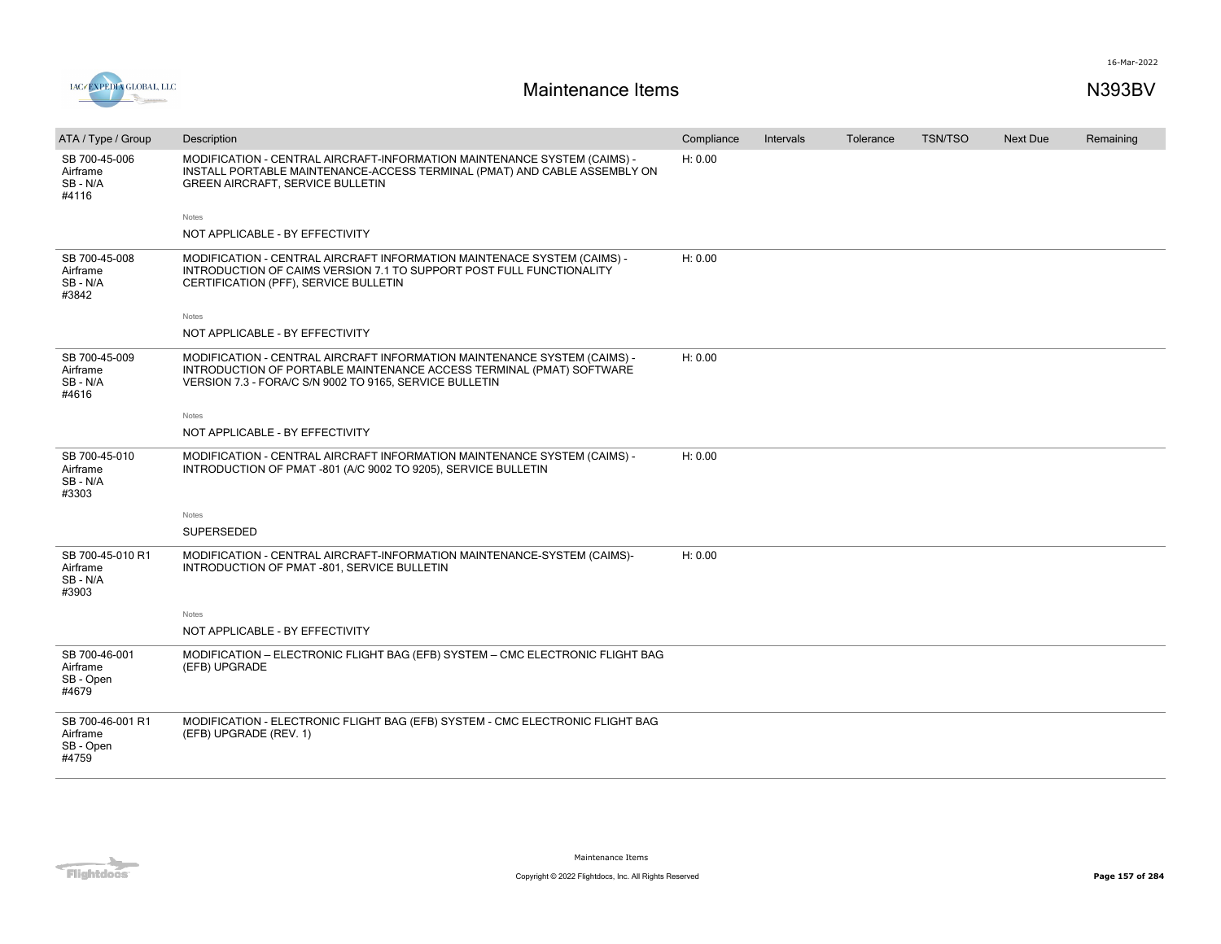



| ATA / Type / Group                                 | Description                                                                                                                                                                                                 | Compliance | Intervals | Tolerance | <b>TSN/TSO</b> | <b>Next Due</b> | Remaining |
|----------------------------------------------------|-------------------------------------------------------------------------------------------------------------------------------------------------------------------------------------------------------------|------------|-----------|-----------|----------------|-----------------|-----------|
| SB 700-45-006<br>Airframe<br>SB-N/A<br>#4116       | MODIFICATION - CENTRAL AIRCRAFT-INFORMATION MAINTENANCE SYSTEM (CAIMS) -<br>INSTALL PORTABLE MAINTENANCE-ACCESS TERMINAL (PMAT) AND CABLE ASSEMBLY ON<br><b>GREEN AIRCRAFT, SERVICE BULLETIN</b>            | H: 0.00    |           |           |                |                 |           |
|                                                    | Notes                                                                                                                                                                                                       |            |           |           |                |                 |           |
|                                                    | NOT APPLICABLE - BY EFFECTIVITY                                                                                                                                                                             |            |           |           |                |                 |           |
| SB 700-45-008<br>Airframe<br>SB-N/A<br>#3842       | MODIFICATION - CENTRAL AIRCRAFT INFORMATION MAINTENACE SYSTEM (CAIMS) -<br>INTRODUCTION OF CAIMS VERSION 7.1 TO SUPPORT POST FULL FUNCTIONALITY<br>CERTIFICATION (PFF), SERVICE BULLETIN                    | H: 0.00    |           |           |                |                 |           |
|                                                    | <b>Notes</b>                                                                                                                                                                                                |            |           |           |                |                 |           |
|                                                    | NOT APPLICABLE - BY EFFECTIVITY                                                                                                                                                                             |            |           |           |                |                 |           |
| SB 700-45-009<br>Airframe<br>SB-N/A<br>#4616       | MODIFICATION - CENTRAL AIRCRAFT INFORMATION MAINTENANCE SYSTEM (CAIMS) -<br>INTRODUCTION OF PORTABLE MAINTENANCE ACCESS TERMINAL (PMAT) SOFTWARE<br>VERSION 7.3 - FORA/C S/N 9002 TO 9165, SERVICE BULLETIN | H: 0.00    |           |           |                |                 |           |
|                                                    | Notes                                                                                                                                                                                                       |            |           |           |                |                 |           |
|                                                    | NOT APPLICABLE - BY EFFECTIVITY                                                                                                                                                                             |            |           |           |                |                 |           |
| SB 700-45-010<br>Airframe<br>SB-N/A<br>#3303       | MODIFICATION - CENTRAL AIRCRAFT INFORMATION MAINTENANCE SYSTEM (CAIMS) -<br>INTRODUCTION OF PMAT -801 (A/C 9002 TO 9205), SERVICE BULLETIN                                                                  | H: 0.00    |           |           |                |                 |           |
|                                                    | Notes                                                                                                                                                                                                       |            |           |           |                |                 |           |
|                                                    | SUPERSEDED                                                                                                                                                                                                  |            |           |           |                |                 |           |
| SB 700-45-010 R1<br>Airframe<br>SB-N/A<br>#3903    | MODIFICATION - CENTRAL AIRCRAFT-INFORMATION MAINTENANCE-SYSTEM (CAIMS)-<br>INTRODUCTION OF PMAT -801, SERVICE BULLETIN                                                                                      | H: 0.00    |           |           |                |                 |           |
|                                                    | Notes                                                                                                                                                                                                       |            |           |           |                |                 |           |
|                                                    | NOT APPLICABLE - BY EFFECTIVITY                                                                                                                                                                             |            |           |           |                |                 |           |
| SB 700-46-001<br>Airframe<br>SB - Open<br>#4679    | MODIFICATION - ELECTRONIC FLIGHT BAG (EFB) SYSTEM - CMC ELECTRONIC FLIGHT BAG<br>(EFB) UPGRADE                                                                                                              |            |           |           |                |                 |           |
| SB 700-46-001 R1<br>Airframe<br>SB - Open<br>#4759 | MODIFICATION - ELECTRONIC FLIGHT BAG (EFB) SYSTEM - CMC ELECTRONIC FLIGHT BAG<br>(EFB) UPGRADE (REV. 1)                                                                                                     |            |           |           |                |                 |           |

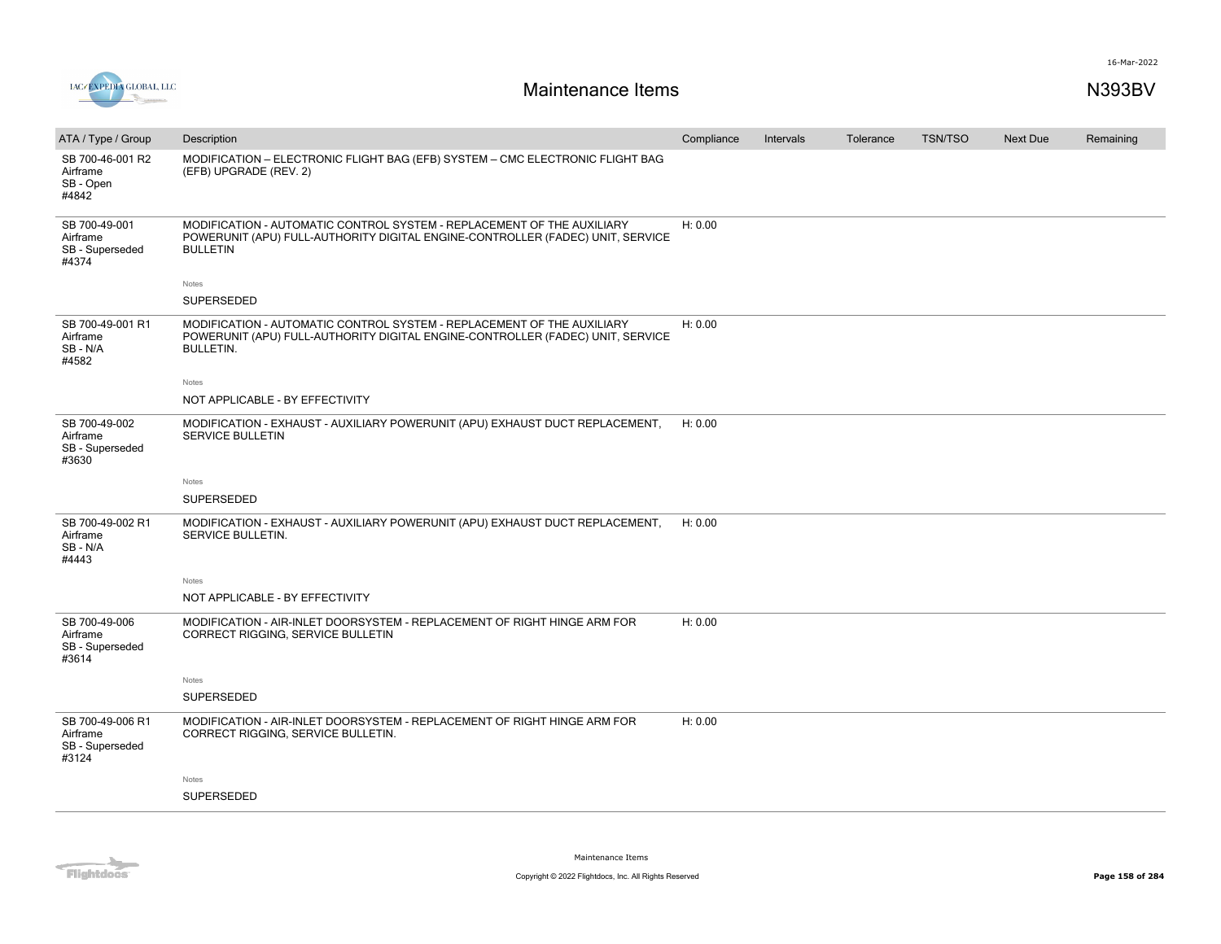

| ATA / Type / Group                                       | Description                                                                                                                                                                  | Compliance | Intervals | Tolerance | <b>TSN/TSO</b> | <b>Next Due</b> | Remaining |
|----------------------------------------------------------|------------------------------------------------------------------------------------------------------------------------------------------------------------------------------|------------|-----------|-----------|----------------|-----------------|-----------|
| SB 700-46-001 R2<br>Airframe<br>SB - Open<br>#4842       | MODIFICATION - ELECTRONIC FLIGHT BAG (EFB) SYSTEM - CMC ELECTRONIC FLIGHT BAG<br>(EFB) UPGRADE (REV. 2)                                                                      |            |           |           |                |                 |           |
| SB 700-49-001<br>Airframe<br>SB - Superseded<br>#4374    | MODIFICATION - AUTOMATIC CONTROL SYSTEM - REPLACEMENT OF THE AUXILIARY<br>POWERUNIT (APU) FULL-AUTHORITY DIGITAL ENGINE-CONTROLLER (FADEC) UNIT, SERVICE<br><b>BULLETIN</b>  | H: 0.00    |           |           |                |                 |           |
|                                                          | Notes                                                                                                                                                                        |            |           |           |                |                 |           |
|                                                          | SUPERSEDED                                                                                                                                                                   |            |           |           |                |                 |           |
| SB 700-49-001 R1<br>Airframe<br>SB-N/A<br>#4582          | MODIFICATION - AUTOMATIC CONTROL SYSTEM - REPLACEMENT OF THE AUXILIARY<br>POWERUNIT (APU) FULL-AUTHORITY DIGITAL ENGINE-CONTROLLER (FADEC) UNIT, SERVICE<br><b>BULLETIN.</b> | H: 0.00    |           |           |                |                 |           |
|                                                          | Notes                                                                                                                                                                        |            |           |           |                |                 |           |
|                                                          | NOT APPLICABLE - BY EFFECTIVITY                                                                                                                                              |            |           |           |                |                 |           |
| SB 700-49-002<br>Airframe<br>SB - Superseded<br>#3630    | MODIFICATION - EXHAUST - AUXILIARY POWERUNIT (APU) EXHAUST DUCT REPLACEMENT,<br><b>SERVICE BULLETIN</b>                                                                      | H: 0.00    |           |           |                |                 |           |
|                                                          | Notes                                                                                                                                                                        |            |           |           |                |                 |           |
|                                                          | SUPERSEDED                                                                                                                                                                   |            |           |           |                |                 |           |
| SB 700-49-002 R1<br>Airframe<br>SB-N/A<br>#4443          | MODIFICATION - EXHAUST - AUXILIARY POWERUNIT (APU) EXHAUST DUCT REPLACEMENT,<br>SERVICE BULLETIN.                                                                            | H: 0.00    |           |           |                |                 |           |
|                                                          | Notes                                                                                                                                                                        |            |           |           |                |                 |           |
|                                                          | NOT APPLICABLE - BY EFFECTIVITY                                                                                                                                              |            |           |           |                |                 |           |
| SB 700-49-006<br>Airframe<br>SB - Superseded<br>#3614    | MODIFICATION - AIR-INLET DOORSYSTEM - REPLACEMENT OF RIGHT HINGE ARM FOR<br>CORRECT RIGGING, SERVICE BULLETIN                                                                | H: 0.00    |           |           |                |                 |           |
|                                                          | Notes                                                                                                                                                                        |            |           |           |                |                 |           |
|                                                          | SUPERSEDED                                                                                                                                                                   |            |           |           |                |                 |           |
| SB 700-49-006 R1<br>Airframe<br>SB - Superseded<br>#3124 | MODIFICATION - AIR-INLET DOORSYSTEM - REPLACEMENT OF RIGHT HINGE ARM FOR<br>CORRECT RIGGING, SERVICE BULLETIN.                                                               | H: 0.00    |           |           |                |                 |           |
|                                                          | Notes                                                                                                                                                                        |            |           |           |                |                 |           |
|                                                          | <b>SUPERSEDED</b>                                                                                                                                                            |            |           |           |                |                 |           |
|                                                          |                                                                                                                                                                              |            |           |           |                |                 |           |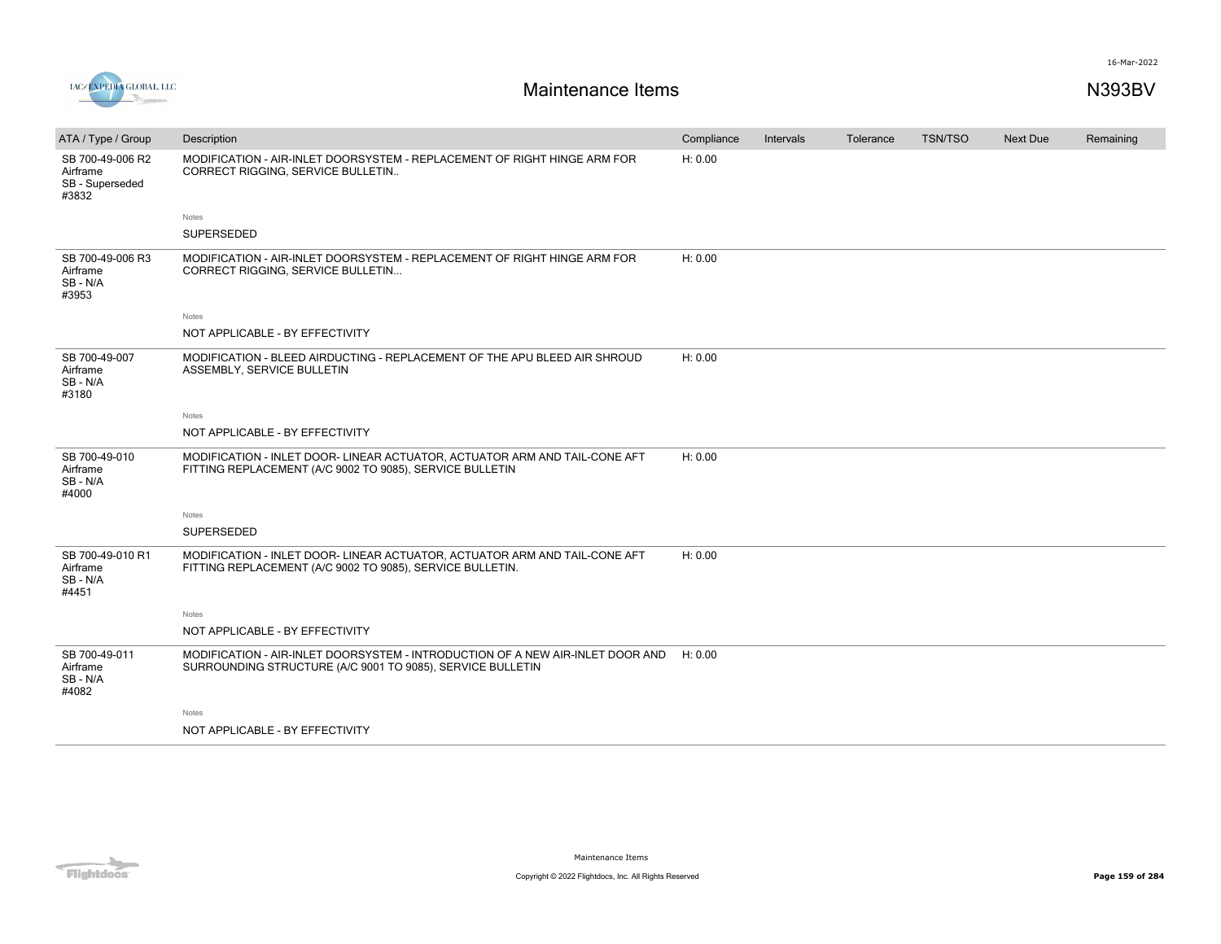

| ATA / Type / Group                                       | Description                                                                                                                                  | Compliance | Intervals | Tolerance | TSN/TSO | <b>Next Due</b> | Remaining |
|----------------------------------------------------------|----------------------------------------------------------------------------------------------------------------------------------------------|------------|-----------|-----------|---------|-----------------|-----------|
| SB 700-49-006 R2<br>Airframe<br>SB - Superseded<br>#3832 | MODIFICATION - AIR-INLET DOORSYSTEM - REPLACEMENT OF RIGHT HINGE ARM FOR<br>CORRECT RIGGING, SERVICE BULLETIN                                | H: 0.00    |           |           |         |                 |           |
|                                                          | Notes                                                                                                                                        |            |           |           |         |                 |           |
|                                                          | <b>SUPERSEDED</b>                                                                                                                            |            |           |           |         |                 |           |
| SB 700-49-006 R3<br>Airframe<br>SB-N/A<br>#3953          | MODIFICATION - AIR-INLET DOORSYSTEM - REPLACEMENT OF RIGHT HINGE ARM FOR<br>CORRECT RIGGING, SERVICE BULLETIN                                | H: 0.00    |           |           |         |                 |           |
|                                                          | Notes                                                                                                                                        |            |           |           |         |                 |           |
|                                                          | NOT APPLICABLE - BY EFFECTIVITY                                                                                                              |            |           |           |         |                 |           |
| SB 700-49-007<br>Airframe<br>SB - N/A<br>#3180           | MODIFICATION - BLEED AIRDUCTING - REPLACEMENT OF THE APU BLEED AIR SHROUD<br>ASSEMBLY, SERVICE BULLETIN                                      | H: 0.00    |           |           |         |                 |           |
|                                                          | Notes                                                                                                                                        |            |           |           |         |                 |           |
|                                                          | NOT APPLICABLE - BY EFFECTIVITY                                                                                                              |            |           |           |         |                 |           |
| SB 700-49-010<br>Airframe<br>SB - N/A<br>#4000           | MODIFICATION - INLET DOOR- LINEAR ACTUATOR, ACTUATOR ARM AND TAIL-CONE AFT<br>FITTING REPLACEMENT (A/C 9002 TO 9085), SERVICE BULLETIN       | H: 0.00    |           |           |         |                 |           |
|                                                          | Notes                                                                                                                                        |            |           |           |         |                 |           |
|                                                          | SUPERSEDED                                                                                                                                   |            |           |           |         |                 |           |
| SB 700-49-010 R1<br>Airframe<br>SB - N/A<br>#4451        | MODIFICATION - INLET DOOR- LINEAR ACTUATOR, ACTUATOR ARM AND TAIL-CONE AFT<br>FITTING REPLACEMENT (A/C 9002 TO 9085), SERVICE BULLETIN.      | H: 0.00    |           |           |         |                 |           |
|                                                          | Notes                                                                                                                                        |            |           |           |         |                 |           |
|                                                          | NOT APPLICABLE - BY EFFECTIVITY                                                                                                              |            |           |           |         |                 |           |
| SB 700-49-011<br>Airframe<br>SB-N/A<br>#4082             | MODIFICATION - AIR-INLET DOORSYSTEM - INTRODUCTION OF A NEW AIR-INLET DOOR AND<br>SURROUNDING STRUCTURE (A/C 9001 TO 9085), SERVICE BULLETIN | H: 0.00    |           |           |         |                 |           |
|                                                          | Notes                                                                                                                                        |            |           |           |         |                 |           |
|                                                          | NOT APPLICABLE - BY EFFECTIVITY                                                                                                              |            |           |           |         |                 |           |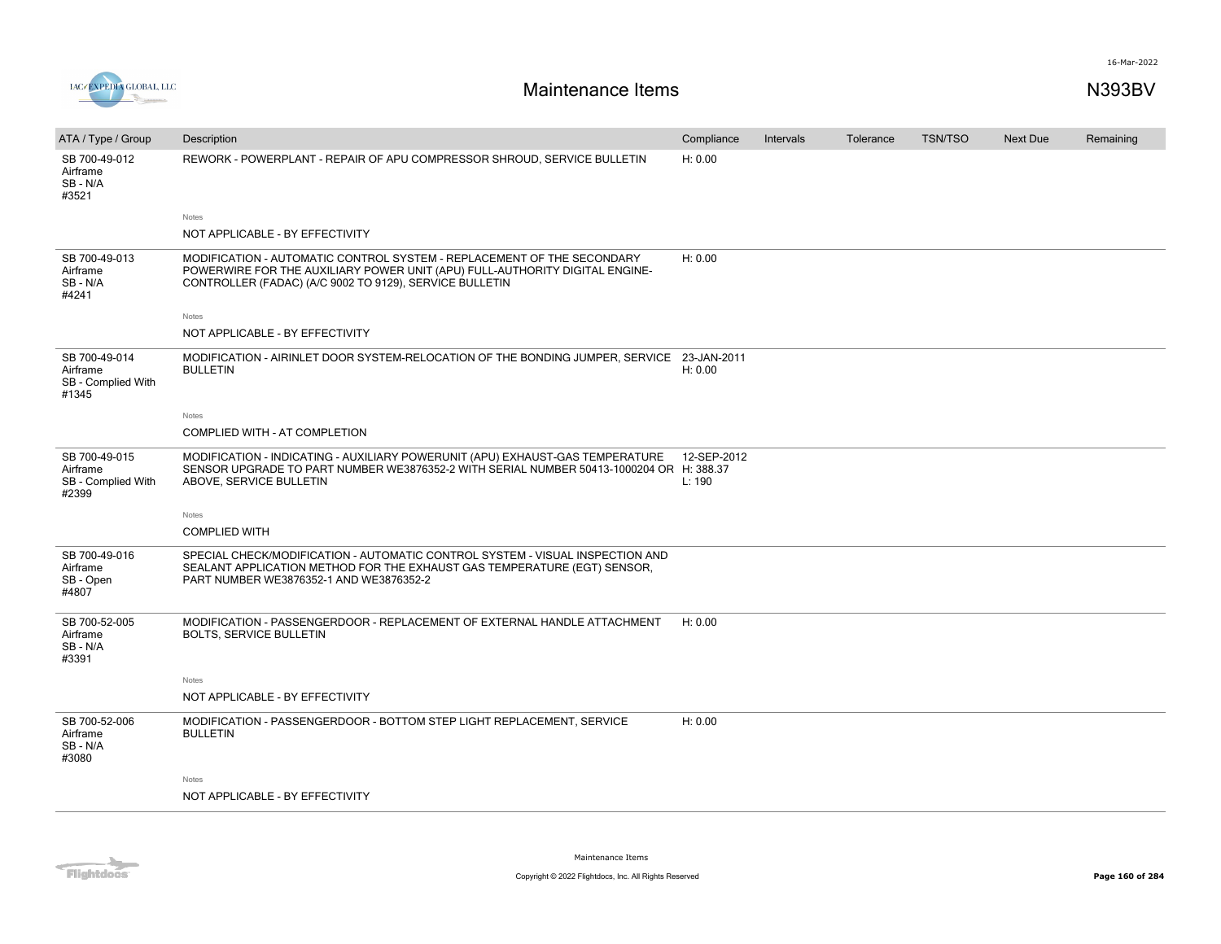

| ATA / Type / Group                                       | Description                                                                                                                                                                                                      | Compliance            | Intervals | Tolerance | <b>TSN/TSO</b> | <b>Next Due</b> | Remaining |
|----------------------------------------------------------|------------------------------------------------------------------------------------------------------------------------------------------------------------------------------------------------------------------|-----------------------|-----------|-----------|----------------|-----------------|-----------|
| SB 700-49-012<br>Airframe<br>SB - N/A<br>#3521           | REWORK - POWERPLANT - REPAIR OF APU COMPRESSOR SHROUD, SERVICE BULLETIN                                                                                                                                          | H: 0.00               |           |           |                |                 |           |
|                                                          | Notes                                                                                                                                                                                                            |                       |           |           |                |                 |           |
|                                                          | NOT APPLICABLE - BY EFFECTIVITY                                                                                                                                                                                  |                       |           |           |                |                 |           |
| SB 700-49-013<br>Airframe<br>SB-N/A<br>#4241             | MODIFICATION - AUTOMATIC CONTROL SYSTEM - REPLACEMENT OF THE SECONDARY<br>POWERWIRE FOR THE AUXILIARY POWER UNIT (APU) FULL-AUTHORITY DIGITAL ENGINE-<br>CONTROLLER (FADAC) (A/C 9002 TO 9129), SERVICE BULLETIN | H: 0.00               |           |           |                |                 |           |
|                                                          | Notes                                                                                                                                                                                                            |                       |           |           |                |                 |           |
|                                                          | NOT APPLICABLE - BY EFFECTIVITY                                                                                                                                                                                  |                       |           |           |                |                 |           |
| SB 700-49-014<br>Airframe<br>SB - Complied With<br>#1345 | MODIFICATION - AIRINLET DOOR SYSTEM-RELOCATION OF THE BONDING JUMPER, SERVICE 23-JAN-2011<br><b>BULLETIN</b>                                                                                                     | H: 0.00               |           |           |                |                 |           |
|                                                          | Notes                                                                                                                                                                                                            |                       |           |           |                |                 |           |
|                                                          | COMPLIED WITH - AT COMPLETION                                                                                                                                                                                    |                       |           |           |                |                 |           |
| SB 700-49-015<br>Airframe<br>SB - Complied With<br>#2399 | MODIFICATION - INDICATING - AUXILIARY POWERUNIT (APU) EXHAUST-GAS TEMPERATURE<br>SENSOR UPGRADE TO PART NUMBER WE3876352-2 WITH SERIAL NUMBER 50413-1000204 OR H: 388.37<br>ABOVE, SERVICE BULLETIN              | 12-SEP-2012<br>L: 190 |           |           |                |                 |           |
|                                                          | Notes                                                                                                                                                                                                            |                       |           |           |                |                 |           |
|                                                          | <b>COMPLIED WITH</b>                                                                                                                                                                                             |                       |           |           |                |                 |           |
| SB 700-49-016<br>Airframe<br>SB - Open<br>#4807          | SPECIAL CHECK/MODIFICATION - AUTOMATIC CONTROL SYSTEM - VISUAL INSPECTION AND<br>SEALANT APPLICATION METHOD FOR THE EXHAUST GAS TEMPERATURE (EGT) SENSOR,<br>PART NUMBER WE3876352-1 AND WE3876352-2             |                       |           |           |                |                 |           |
| SB 700-52-005<br>Airframe<br>SB-N/A<br>#3391             | MODIFICATION - PASSENGERDOOR - REPLACEMENT OF EXTERNAL HANDLE ATTACHMENT<br><b>BOLTS, SERVICE BULLETIN</b>                                                                                                       | H: 0.00               |           |           |                |                 |           |
|                                                          | Notes                                                                                                                                                                                                            |                       |           |           |                |                 |           |
|                                                          | NOT APPLICABLE - BY EFFECTIVITY                                                                                                                                                                                  |                       |           |           |                |                 |           |
| SB 700-52-006<br>Airframe<br>SB-N/A<br>#3080             | MODIFICATION - PASSENGERDOOR - BOTTOM STEP LIGHT REPLACEMENT, SERVICE<br><b>BULLETIN</b>                                                                                                                         | H: 0.00               |           |           |                |                 |           |
|                                                          | Notes                                                                                                                                                                                                            |                       |           |           |                |                 |           |
|                                                          | NOT APPLICABLE - BY EFFECTIVITY                                                                                                                                                                                  |                       |           |           |                |                 |           |
|                                                          |                                                                                                                                                                                                                  |                       |           |           |                |                 |           |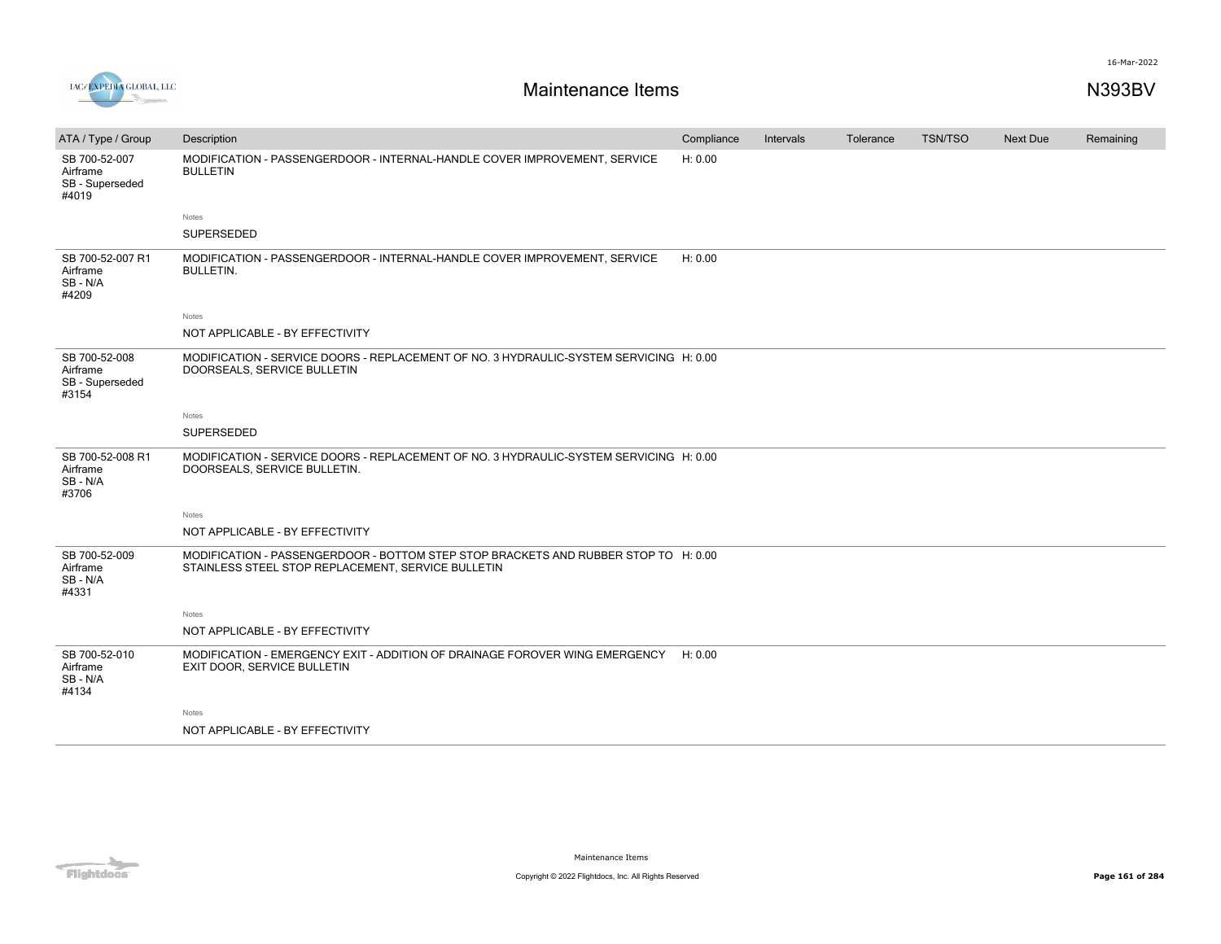

| ATA / Type / Group                                    | Description                                                                                                                               | Compliance | Intervals | Tolerance | <b>TSN/TSO</b> | <b>Next Due</b> | Remaining |
|-------------------------------------------------------|-------------------------------------------------------------------------------------------------------------------------------------------|------------|-----------|-----------|----------------|-----------------|-----------|
| SB 700-52-007<br>Airframe<br>SB - Superseded<br>#4019 | MODIFICATION - PASSENGERDOOR - INTERNAL-HANDLE COVER IMPROVEMENT, SERVICE<br><b>BULLETIN</b>                                              | H: 0.00    |           |           |                |                 |           |
|                                                       | Notes                                                                                                                                     |            |           |           |                |                 |           |
|                                                       | SUPERSEDED                                                                                                                                |            |           |           |                |                 |           |
| SB 700-52-007 R1<br>Airframe<br>SB-N/A<br>#4209       | MODIFICATION - PASSENGERDOOR - INTERNAL-HANDLE COVER IMPROVEMENT, SERVICE<br><b>BULLETIN.</b>                                             | H: 0.00    |           |           |                |                 |           |
|                                                       | Notes                                                                                                                                     |            |           |           |                |                 |           |
|                                                       | NOT APPLICABLE - BY EFFECTIVITY                                                                                                           |            |           |           |                |                 |           |
| SB 700-52-008<br>Airframe<br>SB - Superseded<br>#3154 | MODIFICATION - SERVICE DOORS - REPLACEMENT OF NO. 3 HYDRAULIC-SYSTEM SERVICING H: 0.00<br>DOORSEALS, SERVICE BULLETIN                     |            |           |           |                |                 |           |
|                                                       | Notes                                                                                                                                     |            |           |           |                |                 |           |
|                                                       | SUPERSEDED                                                                                                                                |            |           |           |                |                 |           |
| SB 700-52-008 R1<br>Airframe<br>SB - N/A<br>#3706     | MODIFICATION - SERVICE DOORS - REPLACEMENT OF NO. 3 HYDRAULIC-SYSTEM SERVICING H: 0.00<br>DOORSEALS, SERVICE BULLETIN.                    |            |           |           |                |                 |           |
|                                                       | Notes                                                                                                                                     |            |           |           |                |                 |           |
|                                                       | NOT APPLICABLE - BY EFFECTIVITY                                                                                                           |            |           |           |                |                 |           |
| SB 700-52-009<br>Airframe<br>SB - N/A<br>#4331        | MODIFICATION - PASSENGERDOOR - BOTTOM STEP STOP BRACKETS AND RUBBER STOP TO H: 0.00<br>STAINLESS STEEL STOP REPLACEMENT, SERVICE BULLETIN |            |           |           |                |                 |           |
|                                                       | Notes                                                                                                                                     |            |           |           |                |                 |           |
|                                                       | NOT APPLICABLE - BY EFFECTIVITY                                                                                                           |            |           |           |                |                 |           |
| SB 700-52-010<br>Airframe<br>SB - N/A<br>#4134        | MODIFICATION - EMERGENCY EXIT - ADDITION OF DRAINAGE FOROVER WING EMERGENCY H: 0.00<br>EXIT DOOR, SERVICE BULLETIN                        |            |           |           |                |                 |           |
|                                                       | Notes                                                                                                                                     |            |           |           |                |                 |           |
|                                                       | NOT APPLICABLE - BY EFFECTIVITY                                                                                                           |            |           |           |                |                 |           |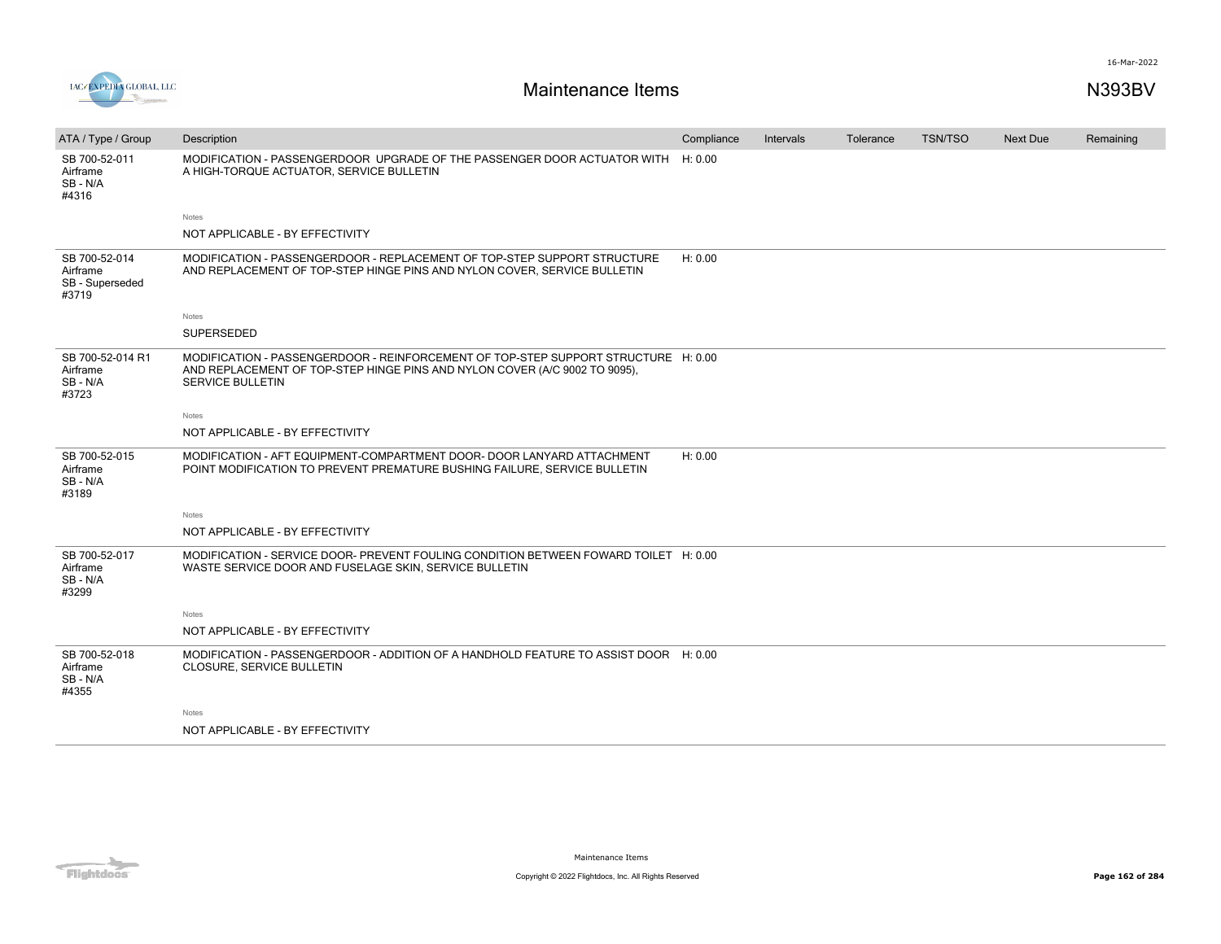

| ATA / Type / Group                                    | Description                                                                                                                                                                                 | Compliance | Intervals | Tolerance | <b>TSN/TSO</b> | <b>Next Due</b> | Remaining |
|-------------------------------------------------------|---------------------------------------------------------------------------------------------------------------------------------------------------------------------------------------------|------------|-----------|-----------|----------------|-----------------|-----------|
| SB 700-52-011<br>Airframe<br>SB-N/A<br>#4316          | MODIFICATION - PASSENGERDOOR UPGRADE OF THE PASSENGER DOOR ACTUATOR WITH<br>A HIGH-TORQUE ACTUATOR, SERVICE BULLETIN                                                                        | H: 0.00    |           |           |                |                 |           |
|                                                       | <b>Notes</b>                                                                                                                                                                                |            |           |           |                |                 |           |
|                                                       | NOT APPLICABLE - BY EFFECTIVITY                                                                                                                                                             |            |           |           |                |                 |           |
| SB 700-52-014<br>Airframe<br>SB - Superseded<br>#3719 | MODIFICATION - PASSENGERDOOR - REPLACEMENT OF TOP-STEP SUPPORT STRUCTURE<br>AND REPLACEMENT OF TOP-STEP HINGE PINS AND NYLON COVER, SERVICE BULLETIN                                        | H: 0.00    |           |           |                |                 |           |
|                                                       | Notes                                                                                                                                                                                       |            |           |           |                |                 |           |
|                                                       | SUPERSEDED                                                                                                                                                                                  |            |           |           |                |                 |           |
| SB 700-52-014 R1<br>Airframe<br>SB-N/A<br>#3723       | MODIFICATION - PASSENGERDOOR - REINFORCEMENT OF TOP-STEP SUPPORT STRUCTURE H: 0.00<br>AND REPLACEMENT OF TOP-STEP HINGE PINS AND NYLON COVER (A/C 9002 TO 9095),<br><b>SERVICE BULLETIN</b> |            |           |           |                |                 |           |
|                                                       | Notes                                                                                                                                                                                       |            |           |           |                |                 |           |
|                                                       | NOT APPLICABLE - BY EFFECTIVITY                                                                                                                                                             |            |           |           |                |                 |           |
| SB 700-52-015<br>Airframe<br>SB-N/A<br>#3189          | MODIFICATION - AFT EQUIPMENT-COMPARTMENT DOOR- DOOR LANYARD ATTACHMENT<br>POINT MODIFICATION TO PREVENT PREMATURE BUSHING FAILURE, SERVICE BULLETIN                                         | H: 0.00    |           |           |                |                 |           |
|                                                       | <b>Notes</b>                                                                                                                                                                                |            |           |           |                |                 |           |
|                                                       | NOT APPLICABLE - BY EFFECTIVITY                                                                                                                                                             |            |           |           |                |                 |           |
| SB 700-52-017<br>Airframe<br>SB-N/A<br>#3299          | MODIFICATION - SERVICE DOOR- PREVENT FOULING CONDITION BETWEEN FOWARD TOILET H: 0.00<br>WASTE SERVICE DOOR AND FUSELAGE SKIN, SERVICE BULLETIN                                              |            |           |           |                |                 |           |
|                                                       | <b>Notes</b>                                                                                                                                                                                |            |           |           |                |                 |           |
|                                                       | NOT APPLICABLE - BY EFFECTIVITY                                                                                                                                                             |            |           |           |                |                 |           |
| SB 700-52-018<br>Airframe<br>SB-N/A<br>#4355          | MODIFICATION - PASSENGERDOOR - ADDITION OF A HANDHOLD FEATURE TO ASSIST DOOR H: 0.00<br>CLOSURE, SERVICE BULLETIN                                                                           |            |           |           |                |                 |           |
|                                                       | Notes                                                                                                                                                                                       |            |           |           |                |                 |           |
|                                                       | NOT APPLICABLE - BY EFFECTIVITY                                                                                                                                                             |            |           |           |                |                 |           |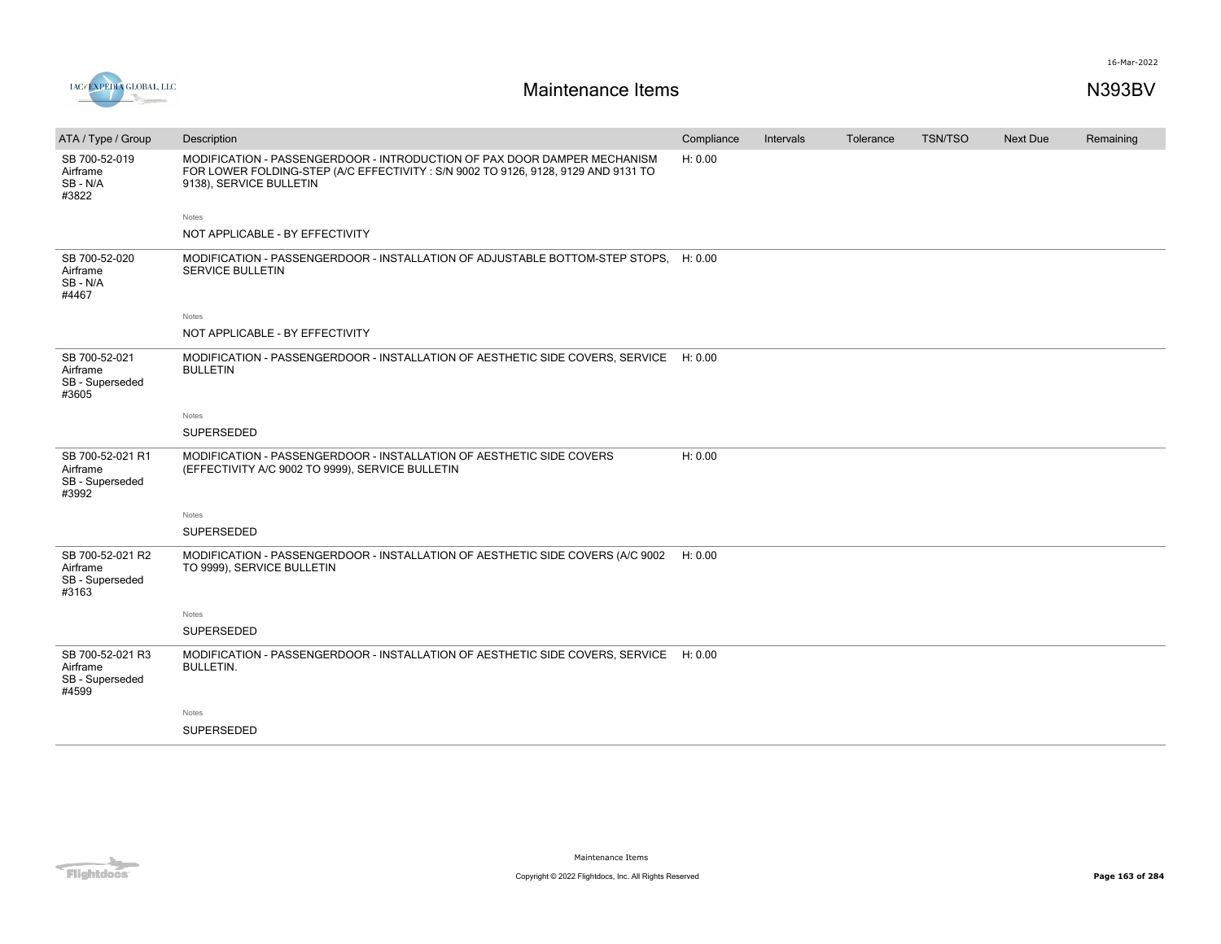



| ATA / Type / Group                                       | Description                                                                                                                                                                               | Compliance | Intervals | Tolerance | <b>TSN/TSO</b> | <b>Next Due</b> | Remaining |
|----------------------------------------------------------|-------------------------------------------------------------------------------------------------------------------------------------------------------------------------------------------|------------|-----------|-----------|----------------|-----------------|-----------|
| SB 700-52-019<br>Airframe<br>SB-N/A<br>#3822             | MODIFICATION - PASSENGERDOOR - INTRODUCTION OF PAX DOOR DAMPER MECHANISM<br>FOR LOWER FOLDING-STEP (A/C EFFECTIVITY : S/N 9002 TO 9126, 9128, 9129 AND 9131 TO<br>9138), SERVICE BULLETIN | H: 0.00    |           |           |                |                 |           |
|                                                          | Notes                                                                                                                                                                                     |            |           |           |                |                 |           |
|                                                          | NOT APPLICABLE - BY EFFECTIVITY                                                                                                                                                           |            |           |           |                |                 |           |
| SB 700-52-020<br>Airframe<br>SB-N/A<br>#4467             | MODIFICATION - PASSENGERDOOR - INSTALLATION OF ADJUSTABLE BOTTOM-STEP STOPS, H: 0.00<br>SERVICE BULLETIN                                                                                  |            |           |           |                |                 |           |
|                                                          | Notes                                                                                                                                                                                     |            |           |           |                |                 |           |
|                                                          | NOT APPLICABLE - BY EFFECTIVITY                                                                                                                                                           |            |           |           |                |                 |           |
| SB 700-52-021<br>Airframe<br>SB - Superseded<br>#3605    | MODIFICATION - PASSENGERDOOR - INSTALLATION OF AESTHETIC SIDE COVERS, SERVICE<br><b>BULLETIN</b>                                                                                          | H: 0.00    |           |           |                |                 |           |
|                                                          | Notes                                                                                                                                                                                     |            |           |           |                |                 |           |
|                                                          | SUPERSEDED                                                                                                                                                                                |            |           |           |                |                 |           |
| SB 700-52-021 R1<br>Airframe<br>SB - Superseded<br>#3992 | MODIFICATION - PASSENGERDOOR - INSTALLATION OF AESTHETIC SIDE COVERS<br>(EFFECTIVITY A/C 9002 TO 9999), SERVICE BULLETIN                                                                  | H: 0.00    |           |           |                |                 |           |
|                                                          | Notes                                                                                                                                                                                     |            |           |           |                |                 |           |
|                                                          | <b>SUPERSEDED</b>                                                                                                                                                                         |            |           |           |                |                 |           |
| SB 700-52-021 R2<br>Airframe<br>SB - Superseded<br>#3163 | MODIFICATION - PASSENGERDOOR - INSTALLATION OF AESTHETIC SIDE COVERS (A/C 9002<br>TO 9999), SERVICE BULLETIN                                                                              | H: 0.00    |           |           |                |                 |           |
|                                                          | Notes                                                                                                                                                                                     |            |           |           |                |                 |           |
|                                                          | SUPERSEDED                                                                                                                                                                                |            |           |           |                |                 |           |
| SB 700-52-021 R3<br>Airframe<br>SB - Superseded<br>#4599 | MODIFICATION - PASSENGERDOOR - INSTALLATION OF AESTHETIC SIDE COVERS, SERVICE<br><b>BULLETIN.</b>                                                                                         | H: 0.00    |           |           |                |                 |           |
|                                                          | Notes                                                                                                                                                                                     |            |           |           |                |                 |           |
|                                                          | SUPERSEDED                                                                                                                                                                                |            |           |           |                |                 |           |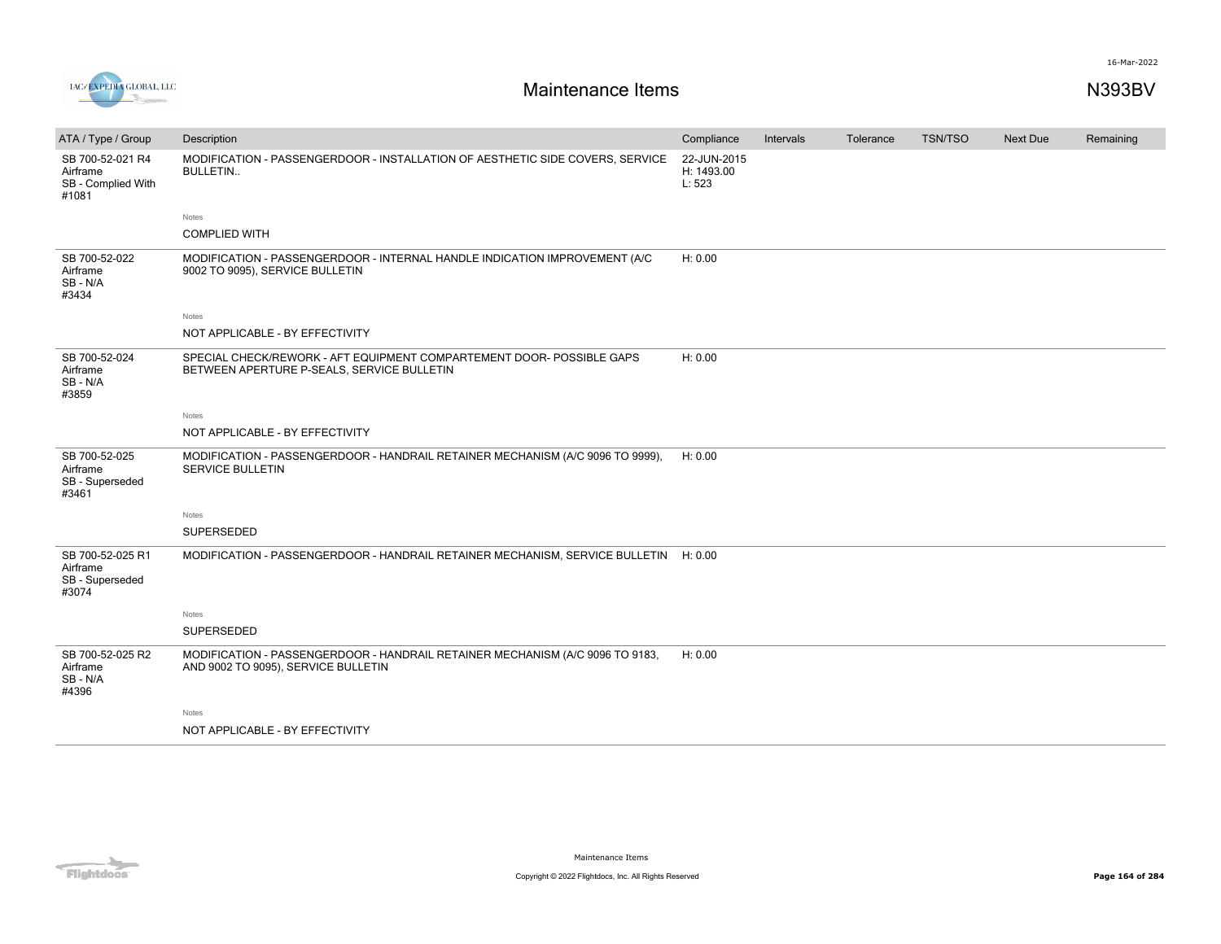

| ATA / Type / Group                                          | Description                                                                                                          | Compliance                          | Intervals | Tolerance | <b>TSN/TSO</b> | <b>Next Due</b> | Remaining |
|-------------------------------------------------------------|----------------------------------------------------------------------------------------------------------------------|-------------------------------------|-----------|-----------|----------------|-----------------|-----------|
| SB 700-52-021 R4<br>Airframe<br>SB - Complied With<br>#1081 | MODIFICATION - PASSENGERDOOR - INSTALLATION OF AESTHETIC SIDE COVERS, SERVICE<br><b>BULLETIN</b>                     | 22-JUN-2015<br>H: 1493.00<br>L: 523 |           |           |                |                 |           |
|                                                             | Notes                                                                                                                |                                     |           |           |                |                 |           |
|                                                             | <b>COMPLIED WITH</b>                                                                                                 |                                     |           |           |                |                 |           |
| SB 700-52-022<br>Airframe<br>SB-N/A<br>#3434                | MODIFICATION - PASSENGERDOOR - INTERNAL HANDLE INDICATION IMPROVEMENT (A/C<br>9002 TO 9095), SERVICE BULLETIN        | H: 0.00                             |           |           |                |                 |           |
|                                                             | Notes                                                                                                                |                                     |           |           |                |                 |           |
|                                                             | NOT APPLICABLE - BY EFFECTIVITY                                                                                      |                                     |           |           |                |                 |           |
| SB 700-52-024<br>Airframe<br>SB-N/A<br>#3859                | SPECIAL CHECK/REWORK - AFT EQUIPMENT COMPARTEMENT DOOR- POSSIBLE GAPS<br>BETWEEN APERTURE P-SEALS, SERVICE BULLETIN  | H: 0.00                             |           |           |                |                 |           |
|                                                             | Notes                                                                                                                |                                     |           |           |                |                 |           |
|                                                             | NOT APPLICABLE - BY EFFECTIVITY                                                                                      |                                     |           |           |                |                 |           |
| SB 700-52-025<br>Airframe<br>SB - Superseded<br>#3461       | MODIFICATION - PASSENGERDOOR - HANDRAIL RETAINER MECHANISM (A/C 9096 TO 9999),<br><b>SERVICE BULLETIN</b>            | H: 0.00                             |           |           |                |                 |           |
|                                                             | Notes                                                                                                                |                                     |           |           |                |                 |           |
|                                                             | SUPERSEDED                                                                                                           |                                     |           |           |                |                 |           |
| SB 700-52-025 R1<br>Airframe<br>SB - Superseded<br>#3074    | MODIFICATION - PASSENGERDOOR - HANDRAIL RETAINER MECHANISM, SERVICE BULLETIN H: 0.00                                 |                                     |           |           |                |                 |           |
|                                                             | Notes                                                                                                                |                                     |           |           |                |                 |           |
|                                                             | <b>SUPERSEDED</b>                                                                                                    |                                     |           |           |                |                 |           |
| SB 700-52-025 R2<br>Airframe<br>SB-N/A<br>#4396             | MODIFICATION - PASSENGERDOOR - HANDRAIL RETAINER MECHANISM (A/C 9096 TO 9183,<br>AND 9002 TO 9095), SERVICE BULLETIN | H: 0.00                             |           |           |                |                 |           |
|                                                             | Notes                                                                                                                |                                     |           |           |                |                 |           |
|                                                             | NOT APPLICABLE - BY EFFECTIVITY                                                                                      |                                     |           |           |                |                 |           |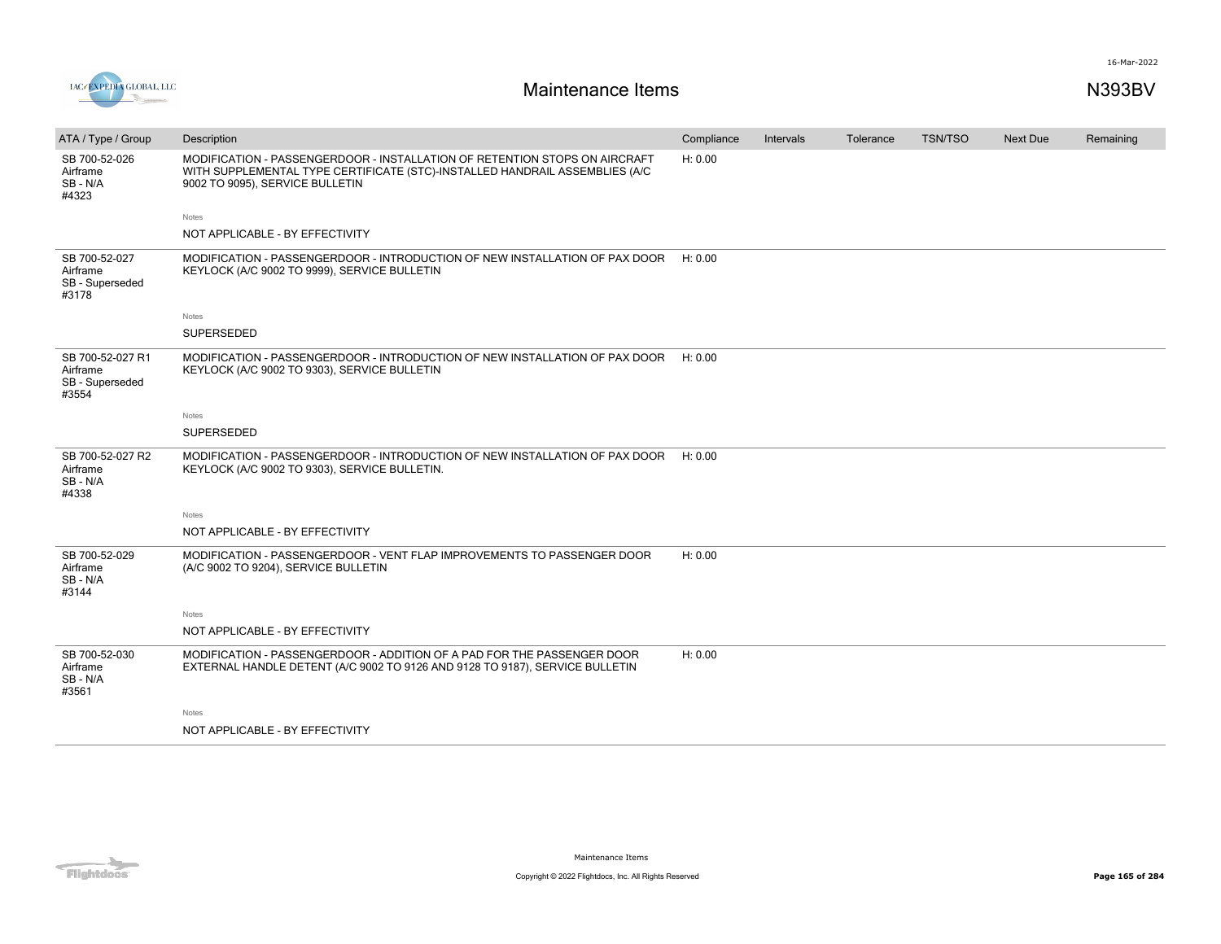

| ATA / Type / Group                                       | Description                                                                                                                                                                                  | Compliance | Intervals | Tolerance | <b>TSN/TSO</b> | <b>Next Due</b> | Remaining |
|----------------------------------------------------------|----------------------------------------------------------------------------------------------------------------------------------------------------------------------------------------------|------------|-----------|-----------|----------------|-----------------|-----------|
| SB 700-52-026<br>Airframe<br>SB-N/A<br>#4323             | MODIFICATION - PASSENGERDOOR - INSTALLATION OF RETENTION STOPS ON AIRCRAFT<br>WITH SUPPLEMENTAL TYPE CERTIFICATE (STC)-INSTALLED HANDRAIL ASSEMBLIES (A/C<br>9002 TO 9095), SERVICE BULLETIN | H: 0.00    |           |           |                |                 |           |
|                                                          | Notes                                                                                                                                                                                        |            |           |           |                |                 |           |
|                                                          | NOT APPLICABLE - BY EFFECTIVITY                                                                                                                                                              |            |           |           |                |                 |           |
| SB 700-52-027<br>Airframe<br>SB - Superseded<br>#3178    | MODIFICATION - PASSENGERDOOR - INTRODUCTION OF NEW INSTALLATION OF PAX DOOR<br>KEYLOCK (A/C 9002 TO 9999), SERVICE BULLETIN                                                                  | H: 0.00    |           |           |                |                 |           |
|                                                          | <b>Notes</b>                                                                                                                                                                                 |            |           |           |                |                 |           |
|                                                          | SUPERSEDED                                                                                                                                                                                   |            |           |           |                |                 |           |
| SB 700-52-027 R1<br>Airframe<br>SB - Superseded<br>#3554 | MODIFICATION - PASSENGERDOOR - INTRODUCTION OF NEW INSTALLATION OF PAX DOOR<br>KEYLOCK (A/C 9002 TO 9303), SERVICE BULLETIN                                                                  | H: 0.00    |           |           |                |                 |           |
|                                                          | <b>Notes</b>                                                                                                                                                                                 |            |           |           |                |                 |           |
|                                                          | <b>SUPERSEDED</b>                                                                                                                                                                            |            |           |           |                |                 |           |
| SB 700-52-027 R2<br>Airframe<br>SB-N/A<br>#4338          | MODIFICATION - PASSENGERDOOR - INTRODUCTION OF NEW INSTALLATION OF PAX DOOR H: 0.00<br>KEYLOCK (A/C 9002 TO 9303), SERVICE BULLETIN.                                                         |            |           |           |                |                 |           |
|                                                          | <b>Notes</b>                                                                                                                                                                                 |            |           |           |                |                 |           |
|                                                          | NOT APPLICABLE - BY EFFECTIVITY                                                                                                                                                              |            |           |           |                |                 |           |
| SB 700-52-029<br>Airframe<br>SB-N/A<br>#3144             | MODIFICATION - PASSENGERDOOR - VENT FLAP IMPROVEMENTS TO PASSENGER DOOR<br>(A/C 9002 TO 9204), SERVICE BULLETIN                                                                              | H: 0.00    |           |           |                |                 |           |
|                                                          | Notes                                                                                                                                                                                        |            |           |           |                |                 |           |
|                                                          | NOT APPLICABLE - BY EFFECTIVITY                                                                                                                                                              |            |           |           |                |                 |           |
| SB 700-52-030<br>Airframe<br>SB-N/A<br>#3561             | MODIFICATION - PASSENGERDOOR - ADDITION OF A PAD FOR THE PASSENGER DOOR<br>EXTERNAL HANDLE DETENT (A/C 9002 TO 9126 AND 9128 TO 9187), SERVICE BULLETIN                                      | H: 0.00    |           |           |                |                 |           |
|                                                          | Notes                                                                                                                                                                                        |            |           |           |                |                 |           |
|                                                          | NOT APPLICABLE - BY EFFECTIVITY                                                                                                                                                              |            |           |           |                |                 |           |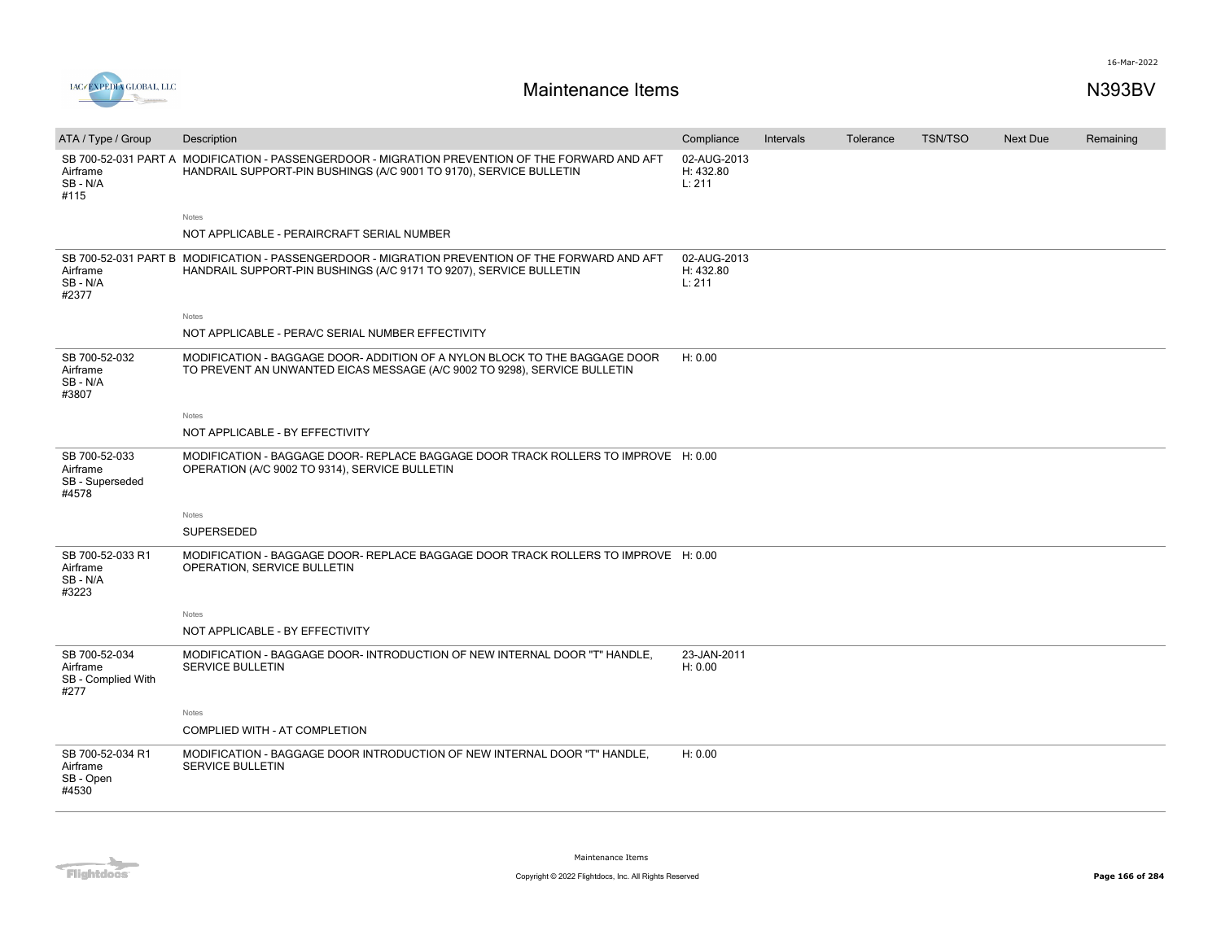

| ATA / Type / Group                                      | Description                                                                                                                                                           | Compliance                         | Intervals | Tolerance | <b>TSN/TSO</b> | Next Due | Remaining |
|---------------------------------------------------------|-----------------------------------------------------------------------------------------------------------------------------------------------------------------------|------------------------------------|-----------|-----------|----------------|----------|-----------|
| Airframe<br>SB-N/A<br>#115                              | SB 700-52-031 PART A MODIFICATION - PASSENGERDOOR - MIGRATION PREVENTION OF THE FORWARD AND AFT<br>HANDRAIL SUPPORT-PIN BUSHINGS (A/C 9001 TO 9170), SERVICE BULLETIN | 02-AUG-2013<br>H: 432.80<br>L: 211 |           |           |                |          |           |
|                                                         | Notes                                                                                                                                                                 |                                    |           |           |                |          |           |
|                                                         | NOT APPLICABLE - PERAIRCRAFT SERIAL NUMBER                                                                                                                            |                                    |           |           |                |          |           |
| Airframe<br>SB - N/A<br>#2377                           | SB 700-52-031 PART B MODIFICATION - PASSENGERDOOR - MIGRATION PREVENTION OF THE FORWARD AND AFT<br>HANDRAIL SUPPORT-PIN BUSHINGS (A/C 9171 TO 9207), SERVICE BULLETIN | 02-AUG-2013<br>H: 432.80<br>L: 211 |           |           |                |          |           |
|                                                         | Notes                                                                                                                                                                 |                                    |           |           |                |          |           |
|                                                         | NOT APPLICABLE - PERA/C SERIAL NUMBER EFFECTIVITY                                                                                                                     |                                    |           |           |                |          |           |
| SB 700-52-032<br>Airframe<br>SB-N/A<br>#3807            | MODIFICATION - BAGGAGE DOOR- ADDITION OF A NYLON BLOCK TO THE BAGGAGE DOOR<br>TO PREVENT AN UNWANTED EICAS MESSAGE (A/C 9002 TO 9298), SERVICE BULLETIN               | H: 0.00                            |           |           |                |          |           |
|                                                         | Notes                                                                                                                                                                 |                                    |           |           |                |          |           |
|                                                         | NOT APPLICABLE - BY EFFECTIVITY                                                                                                                                       |                                    |           |           |                |          |           |
| SB 700-52-033<br>Airframe<br>SB - Superseded<br>#4578   | MODIFICATION - BAGGAGE DOOR- REPLACE BAGGAGE DOOR TRACK ROLLERS TO IMPROVE H: 0.00<br>OPERATION (A/C 9002 TO 9314), SERVICE BULLETIN                                  |                                    |           |           |                |          |           |
|                                                         | Notes                                                                                                                                                                 |                                    |           |           |                |          |           |
|                                                         | SUPERSEDED                                                                                                                                                            |                                    |           |           |                |          |           |
| SB 700-52-033 R1<br>Airframe<br>SB-N/A<br>#3223         | MODIFICATION - BAGGAGE DOOR- REPLACE BAGGAGE DOOR TRACK ROLLERS TO IMPROVE H: 0.00<br>OPERATION, SERVICE BULLETIN                                                     |                                    |           |           |                |          |           |
|                                                         | Notes                                                                                                                                                                 |                                    |           |           |                |          |           |
|                                                         | NOT APPLICABLE - BY EFFECTIVITY                                                                                                                                       |                                    |           |           |                |          |           |
| SB 700-52-034<br>Airframe<br>SB - Complied With<br>#277 | MODIFICATION - BAGGAGE DOOR- INTRODUCTION OF NEW INTERNAL DOOR "T" HANDLE,<br><b>SERVICE BULLETIN</b>                                                                 | 23-JAN-2011<br>H: 0.00             |           |           |                |          |           |
|                                                         | Notes                                                                                                                                                                 |                                    |           |           |                |          |           |
|                                                         | COMPLIED WITH - AT COMPLETION                                                                                                                                         |                                    |           |           |                |          |           |
| SB 700-52-034 R1<br>Airframe<br>SB - Open<br>#4530      | MODIFICATION - BAGGAGE DOOR INTRODUCTION OF NEW INTERNAL DOOR "T" HANDLE,<br><b>SERVICE BULLETIN</b>                                                                  | H: 0.00                            |           |           |                |          |           |

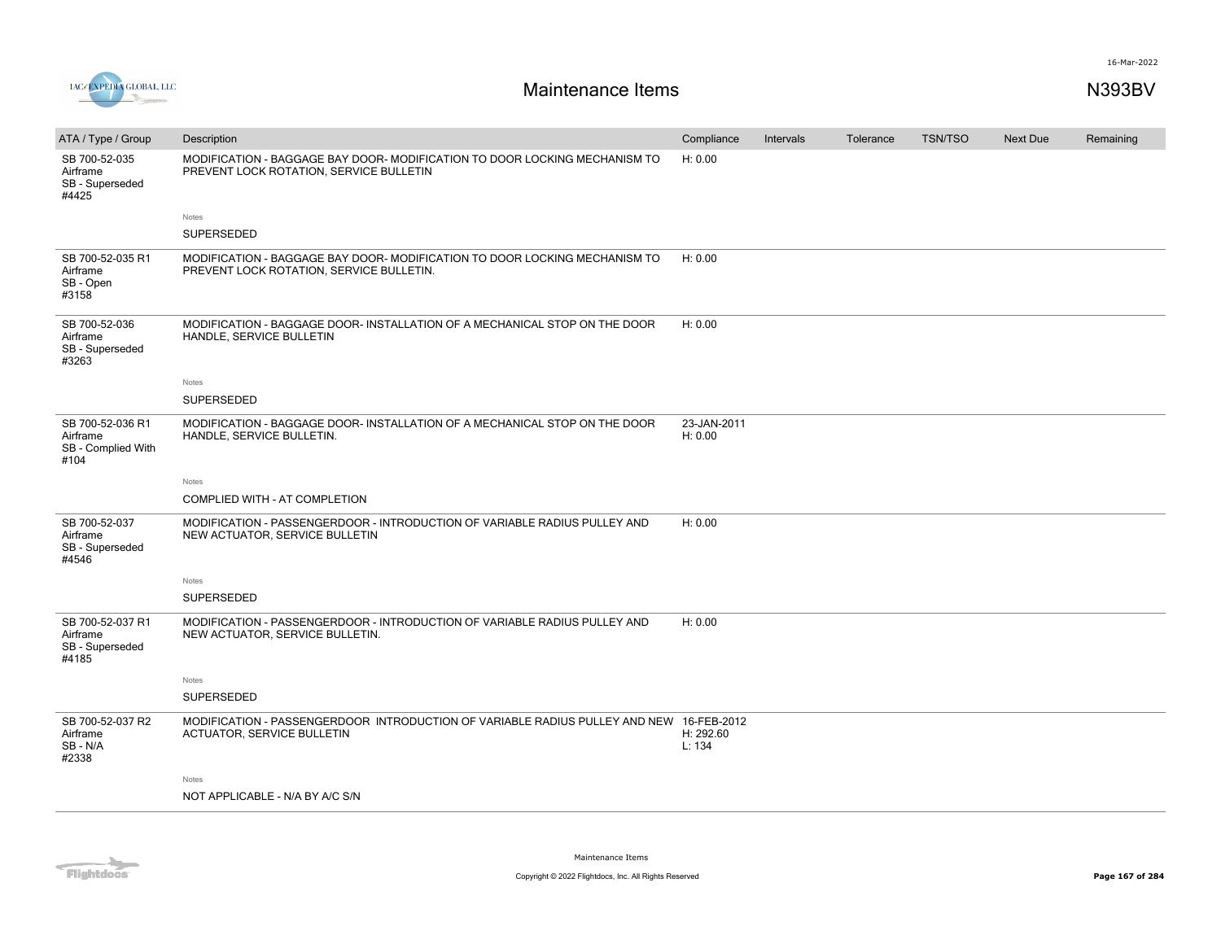

| ATA / Type / Group                                         | Description                                                                                                                  | Compliance             | Intervals | Tolerance | <b>TSN/TSO</b> | <b>Next Due</b> | Remaining |
|------------------------------------------------------------|------------------------------------------------------------------------------------------------------------------------------|------------------------|-----------|-----------|----------------|-----------------|-----------|
| SB 700-52-035<br>Airframe<br>SB - Superseded<br>#4425      | MODIFICATION - BAGGAGE BAY DOOR- MODIFICATION TO DOOR LOCKING MECHANISM TO<br>PREVENT LOCK ROTATION, SERVICE BULLETIN        | H: 0.00                |           |           |                |                 |           |
|                                                            | Notes                                                                                                                        |                        |           |           |                |                 |           |
|                                                            | SUPERSEDED                                                                                                                   |                        |           |           |                |                 |           |
| SB 700-52-035 R1<br>Airframe<br>SB - Open<br>#3158         | MODIFICATION - BAGGAGE BAY DOOR- MODIFICATION TO DOOR LOCKING MECHANISM TO<br>PREVENT LOCK ROTATION, SERVICE BULLETIN.       | H: 0.00                |           |           |                |                 |           |
| SB 700-52-036<br>Airframe<br>SB - Superseded<br>#3263      | MODIFICATION - BAGGAGE DOOR- INSTALLATION OF A MECHANICAL STOP ON THE DOOR<br>HANDLE, SERVICE BULLETIN                       | H: 0.00                |           |           |                |                 |           |
|                                                            | Notes                                                                                                                        |                        |           |           |                |                 |           |
|                                                            | SUPERSEDED                                                                                                                   |                        |           |           |                |                 |           |
| SB 700-52-036 R1<br>Airframe<br>SB - Complied With<br>#104 | MODIFICATION - BAGGAGE DOOR- INSTALLATION OF A MECHANICAL STOP ON THE DOOR<br>HANDLE, SERVICE BULLETIN.                      | 23-JAN-2011<br>H: 0.00 |           |           |                |                 |           |
|                                                            | Notes                                                                                                                        |                        |           |           |                |                 |           |
|                                                            | COMPLIED WITH - AT COMPLETION                                                                                                |                        |           |           |                |                 |           |
| SB 700-52-037<br>Airframe<br>SB - Superseded<br>#4546      | MODIFICATION - PASSENGERDOOR - INTRODUCTION OF VARIABLE RADIUS PULLEY AND<br>NEW ACTUATOR, SERVICE BULLETIN                  | H: 0.00                |           |           |                |                 |           |
|                                                            | Notes                                                                                                                        |                        |           |           |                |                 |           |
|                                                            | <b>SUPERSEDED</b>                                                                                                            |                        |           |           |                |                 |           |
| SB 700-52-037 R1<br>Airframe<br>SB - Superseded<br>#4185   | MODIFICATION - PASSENGERDOOR - INTRODUCTION OF VARIABLE RADIUS PULLEY AND<br>NEW ACTUATOR, SERVICE BULLETIN.                 | H: 0.00                |           |           |                |                 |           |
|                                                            | Notes                                                                                                                        |                        |           |           |                |                 |           |
|                                                            | SUPERSEDED                                                                                                                   |                        |           |           |                |                 |           |
| SB 700-52-037 R2<br>Airframe<br>SB - N/A<br>#2338          | MODIFICATION - PASSENGERDOOR INTRODUCTION OF VARIABLE RADIUS PULLEY AND NEW 16-FEB-2012<br><b>ACTUATOR, SERVICE BULLETIN</b> | H: 292.60<br>L: 134    |           |           |                |                 |           |
|                                                            | Notes                                                                                                                        |                        |           |           |                |                 |           |
|                                                            | NOT APPLICABLE - N/A BY A/C S/N                                                                                              |                        |           |           |                |                 |           |
|                                                            |                                                                                                                              |                        |           |           |                |                 |           |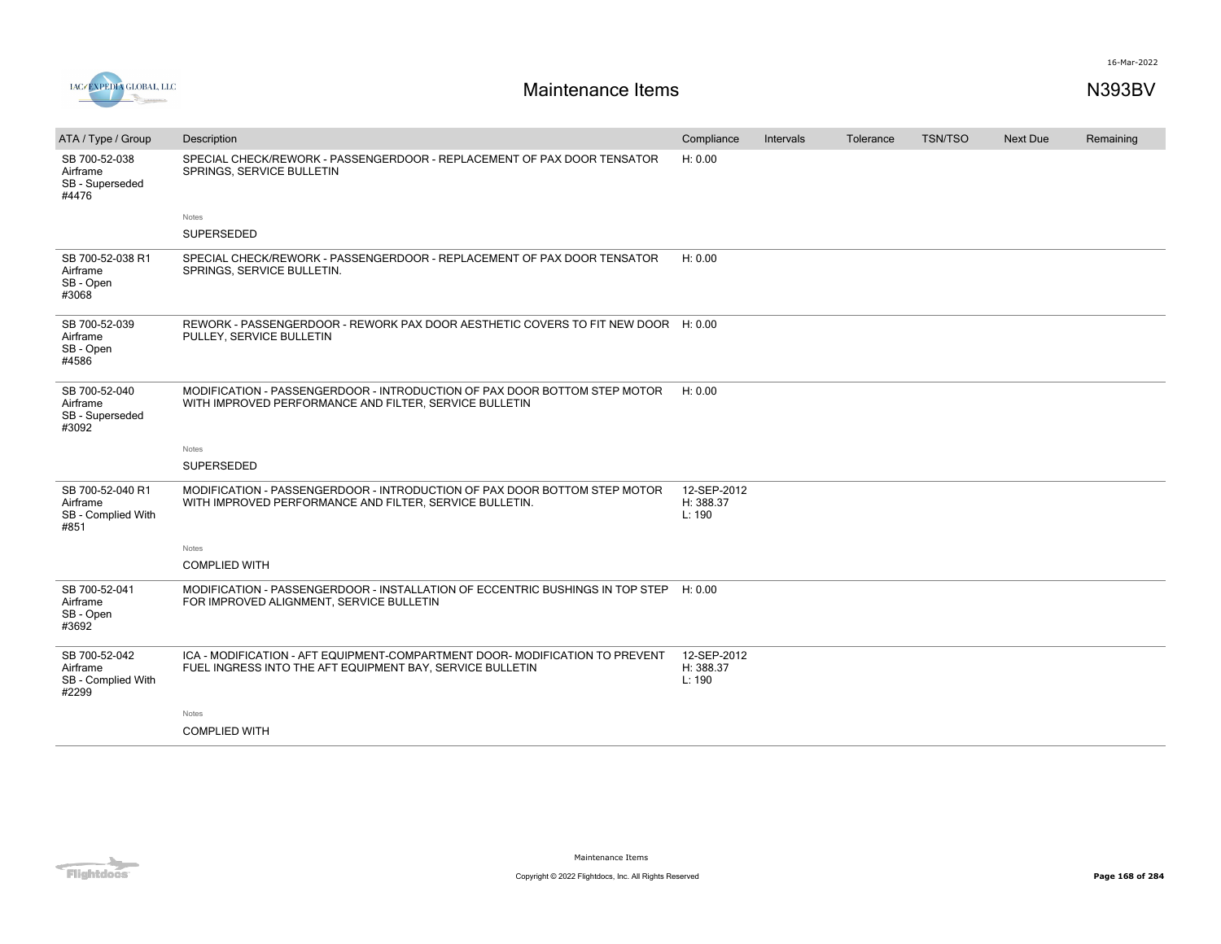



| ATA / Type / Group                                         | Description                                                                                                                               | Compliance                         | Intervals | Tolerance | <b>TSN/TSO</b> | <b>Next Due</b> | Remaining |
|------------------------------------------------------------|-------------------------------------------------------------------------------------------------------------------------------------------|------------------------------------|-----------|-----------|----------------|-----------------|-----------|
| SB 700-52-038<br>Airframe<br>SB - Superseded<br>#4476      | SPECIAL CHECK/REWORK - PASSENGERDOOR - REPLACEMENT OF PAX DOOR TENSATOR<br>SPRINGS, SERVICE BULLETIN                                      | H: 0.00                            |           |           |                |                 |           |
|                                                            | Notes                                                                                                                                     |                                    |           |           |                |                 |           |
|                                                            | SUPERSEDED                                                                                                                                |                                    |           |           |                |                 |           |
| SB 700-52-038 R1<br>Airframe<br>SB - Open<br>#3068         | SPECIAL CHECK/REWORK - PASSENGERDOOR - REPLACEMENT OF PAX DOOR TENSATOR<br>SPRINGS, SERVICE BULLETIN.                                     | H: 0.00                            |           |           |                |                 |           |
| SB 700-52-039<br>Airframe<br>SB - Open<br>#4586            | REWORK - PASSENGERDOOR - REWORK PAX DOOR AESTHETIC COVERS TO FIT NEW DOOR H: 0.00<br>PULLEY, SERVICE BULLETIN                             |                                    |           |           |                |                 |           |
| SB 700-52-040<br>Airframe<br>SB - Superseded<br>#3092      | MODIFICATION - PASSENGERDOOR - INTRODUCTION OF PAX DOOR BOTTOM STEP MOTOR<br>WITH IMPROVED PERFORMANCE AND FILTER, SERVICE BULLETIN       | H: 0.00                            |           |           |                |                 |           |
|                                                            | Notes                                                                                                                                     |                                    |           |           |                |                 |           |
|                                                            | SUPERSEDED                                                                                                                                |                                    |           |           |                |                 |           |
| SB 700-52-040 R1<br>Airframe<br>SB - Complied With<br>#851 | MODIFICATION - PASSENGERDOOR - INTRODUCTION OF PAX DOOR BOTTOM STEP MOTOR<br>WITH IMPROVED PERFORMANCE AND FILTER, SERVICE BULLETIN.      | 12-SEP-2012<br>H: 388.37<br>L: 190 |           |           |                |                 |           |
|                                                            | Notes                                                                                                                                     |                                    |           |           |                |                 |           |
|                                                            | <b>COMPLIED WITH</b>                                                                                                                      |                                    |           |           |                |                 |           |
| SB 700-52-041<br>Airframe<br>SB - Open<br>#3692            | MODIFICATION - PASSENGERDOOR - INSTALLATION OF ECCENTRIC BUSHINGS IN TOP STEP<br>FOR IMPROVED ALIGNMENT, SERVICE BULLETIN                 | H: 0.00                            |           |           |                |                 |           |
| SB 700-52-042<br>Airframe<br>SB - Complied With<br>#2299   | ICA - MODIFICATION - AFT EQUIPMENT-COMPARTMENT DOOR- MODIFICATION TO PREVENT<br>FUEL INGRESS INTO THE AFT EQUIPMENT BAY, SERVICE BULLETIN | 12-SEP-2012<br>H: 388.37<br>L: 190 |           |           |                |                 |           |
|                                                            | Notes                                                                                                                                     |                                    |           |           |                |                 |           |
|                                                            | <b>COMPLIED WITH</b>                                                                                                                      |                                    |           |           |                |                 |           |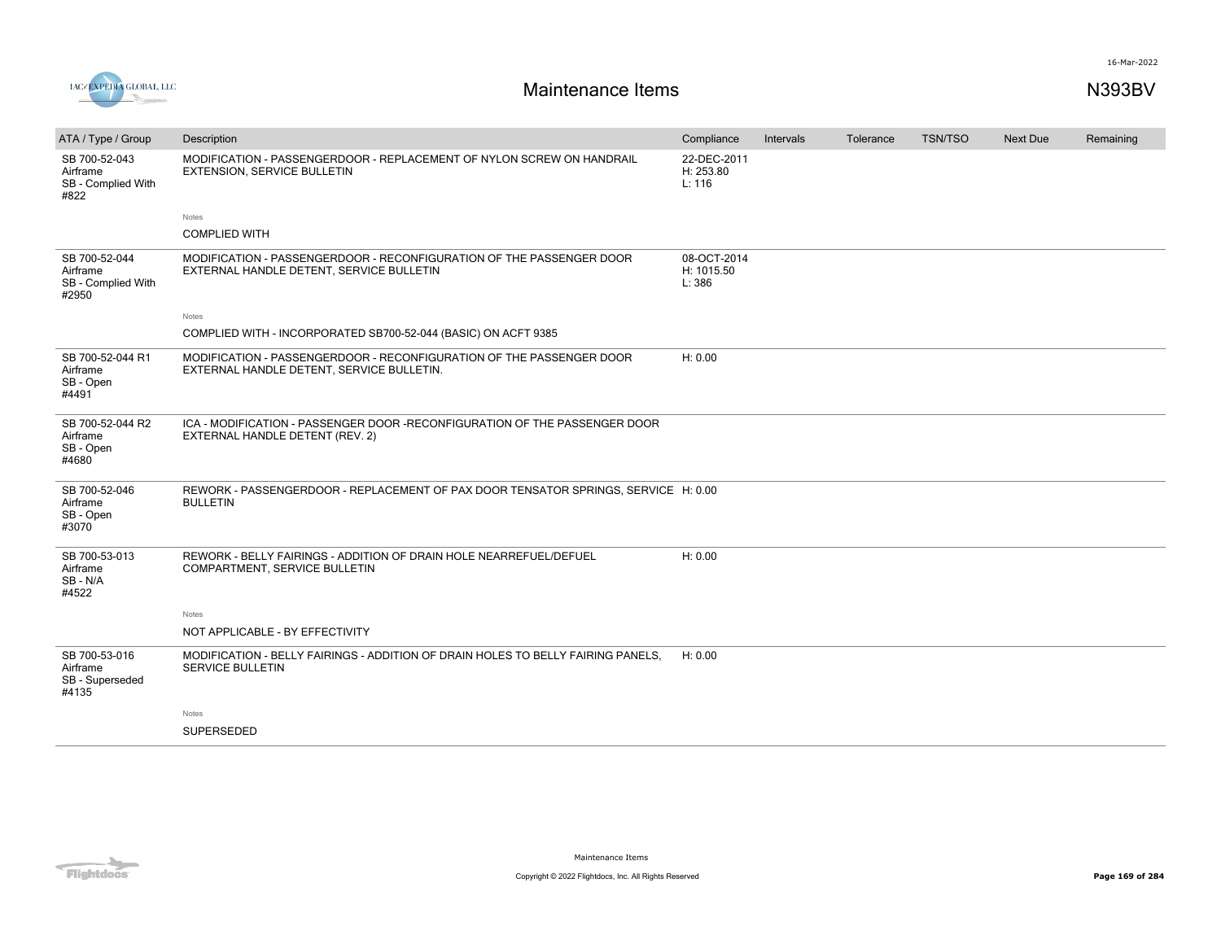

| ATA / Type / Group                                       | Description                                                                                                       | Compliance                          | Intervals | Tolerance | <b>TSN/TSO</b> | Next Due | Remaining |
|----------------------------------------------------------|-------------------------------------------------------------------------------------------------------------------|-------------------------------------|-----------|-----------|----------------|----------|-----------|
| SB 700-52-043<br>Airframe<br>SB - Complied With<br>#822  | MODIFICATION - PASSENGERDOOR - REPLACEMENT OF NYLON SCREW ON HANDRAIL<br><b>EXTENSION, SERVICE BULLETIN</b>       | 22-DEC-2011<br>H: 253.80<br>L: 116  |           |           |                |          |           |
|                                                          | Notes                                                                                                             |                                     |           |           |                |          |           |
|                                                          | <b>COMPLIED WITH</b>                                                                                              |                                     |           |           |                |          |           |
| SB 700-52-044<br>Airframe<br>SB - Complied With<br>#2950 | MODIFICATION - PASSENGERDOOR - RECONFIGURATION OF THE PASSENGER DOOR<br>EXTERNAL HANDLE DETENT, SERVICE BULLETIN  | 08-OCT-2014<br>H: 1015.50<br>L: 386 |           |           |                |          |           |
|                                                          | Notes                                                                                                             |                                     |           |           |                |          |           |
|                                                          | COMPLIED WITH - INCORPORATED SB700-52-044 (BASIC) ON ACFT 9385                                                    |                                     |           |           |                |          |           |
| SB 700-52-044 R1<br>Airframe<br>SB - Open<br>#4491       | MODIFICATION - PASSENGERDOOR - RECONFIGURATION OF THE PASSENGER DOOR<br>EXTERNAL HANDLE DETENT, SERVICE BULLETIN. | H: 0.00                             |           |           |                |          |           |
| SB 700-52-044 R2<br>Airframe<br>SB - Open<br>#4680       | ICA - MODIFICATION - PASSENGER DOOR -RECONFIGURATION OF THE PASSENGER DOOR<br>EXTERNAL HANDLE DETENT (REV. 2)     |                                     |           |           |                |          |           |
| SB 700-52-046<br>Airframe<br>SB - Open<br>#3070          | REWORK - PASSENGERDOOR - REPLACEMENT OF PAX DOOR TENSATOR SPRINGS, SERVICE H: 0.00<br><b>BULLETIN</b>             |                                     |           |           |                |          |           |
| SB 700-53-013<br>Airframe<br>SB-N/A<br>#4522             | REWORK - BELLY FAIRINGS - ADDITION OF DRAIN HOLE NEARREFUEL/DEFUEL<br>COMPARTMENT, SERVICE BULLETIN               | H: 0.00                             |           |           |                |          |           |
|                                                          | Notes                                                                                                             |                                     |           |           |                |          |           |
|                                                          | NOT APPLICABLE - BY EFFECTIVITY                                                                                   |                                     |           |           |                |          |           |
| SB 700-53-016<br>Airframe<br>SB - Superseded<br>#4135    | MODIFICATION - BELLY FAIRINGS - ADDITION OF DRAIN HOLES TO BELLY FAIRING PANELS.<br><b>SERVICE BULLETIN</b>       | H: 0.00                             |           |           |                |          |           |
|                                                          | Notes                                                                                                             |                                     |           |           |                |          |           |
|                                                          | SUPERSEDED                                                                                                        |                                     |           |           |                |          |           |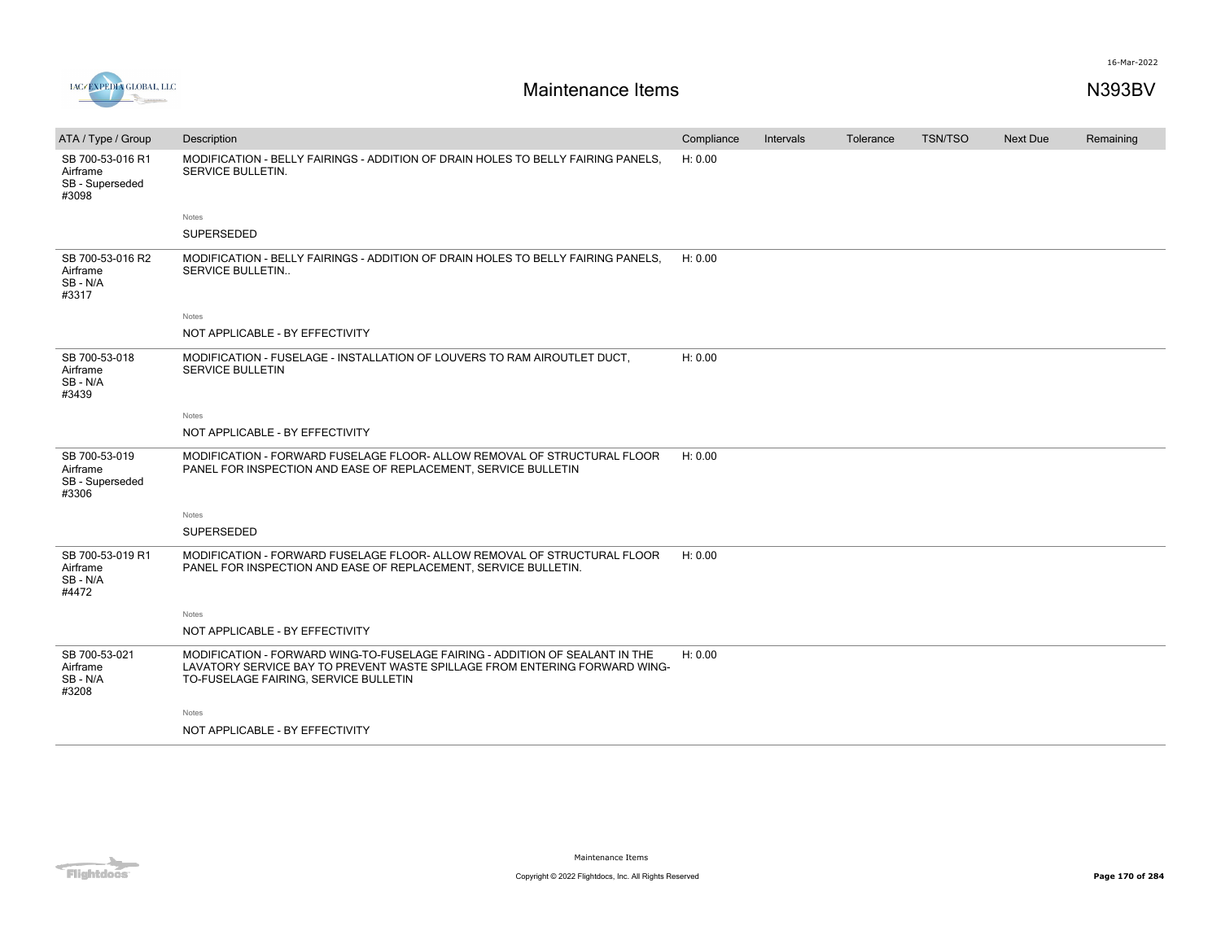

| ATA / Type / Group                                       | Description                                                                                                                                                                                         | Compliance | Intervals | Tolerance | <b>TSN/TSO</b> | Next Due | Remaining |
|----------------------------------------------------------|-----------------------------------------------------------------------------------------------------------------------------------------------------------------------------------------------------|------------|-----------|-----------|----------------|----------|-----------|
| SB 700-53-016 R1<br>Airframe<br>SB - Superseded<br>#3098 | MODIFICATION - BELLY FAIRINGS - ADDITION OF DRAIN HOLES TO BELLY FAIRING PANELS,<br>SERVICE BULLETIN.                                                                                               | H: 0.00    |           |           |                |          |           |
|                                                          | <b>Notes</b>                                                                                                                                                                                        |            |           |           |                |          |           |
|                                                          | <b>SUPERSEDED</b>                                                                                                                                                                                   |            |           |           |                |          |           |
| SB 700-53-016 R2<br>Airframe<br>SB-N/A<br>#3317          | MODIFICATION - BELLY FAIRINGS - ADDITION OF DRAIN HOLES TO BELLY FAIRING PANELS.<br>SERVICE BULLETIN                                                                                                | H: 0.00    |           |           |                |          |           |
|                                                          | Notes                                                                                                                                                                                               |            |           |           |                |          |           |
|                                                          | NOT APPLICABLE - BY EFFECTIVITY                                                                                                                                                                     |            |           |           |                |          |           |
| SB 700-53-018<br>Airframe<br>SB - N/A<br>#3439           | MODIFICATION - FUSELAGE - INSTALLATION OF LOUVERS TO RAM AIROUTLET DUCT.<br><b>SERVICE BULLETIN</b>                                                                                                 | H: 0.00    |           |           |                |          |           |
|                                                          | Notes                                                                                                                                                                                               |            |           |           |                |          |           |
|                                                          | NOT APPLICABLE - BY EFFECTIVITY                                                                                                                                                                     |            |           |           |                |          |           |
| SB 700-53-019<br>Airframe<br>SB - Superseded<br>#3306    | MODIFICATION - FORWARD FUSELAGE FLOOR- ALLOW REMOVAL OF STRUCTURAL FLOOR<br>PANEL FOR INSPECTION AND EASE OF REPLACEMENT, SERVICE BULLETIN                                                          | H: 0.00    |           |           |                |          |           |
|                                                          | Notes                                                                                                                                                                                               |            |           |           |                |          |           |
|                                                          | SUPERSEDED                                                                                                                                                                                          |            |           |           |                |          |           |
| SB 700-53-019 R1<br>Airframe<br>SB - N/A<br>#4472        | MODIFICATION - FORWARD FUSELAGE FLOOR- ALLOW REMOVAL OF STRUCTURAL FLOOR<br>PANEL FOR INSPECTION AND EASE OF REPLACEMENT, SERVICE BULLETIN.                                                         | H: 0.00    |           |           |                |          |           |
|                                                          | Notes                                                                                                                                                                                               |            |           |           |                |          |           |
|                                                          | NOT APPLICABLE - BY EFFECTIVITY                                                                                                                                                                     |            |           |           |                |          |           |
| SB 700-53-021<br>Airframe<br>SB-N/A<br>#3208             | MODIFICATION - FORWARD WING-TO-FUSELAGE FAIRING - ADDITION OF SEALANT IN THE<br>LAVATORY SERVICE BAY TO PREVENT WASTE SPILLAGE FROM ENTERING FORWARD WING-<br>TO-FUSELAGE FAIRING, SERVICE BULLETIN | H: 0.00    |           |           |                |          |           |
|                                                          | Notes                                                                                                                                                                                               |            |           |           |                |          |           |
|                                                          | NOT APPLICABLE - BY EFFECTIVITY                                                                                                                                                                     |            |           |           |                |          |           |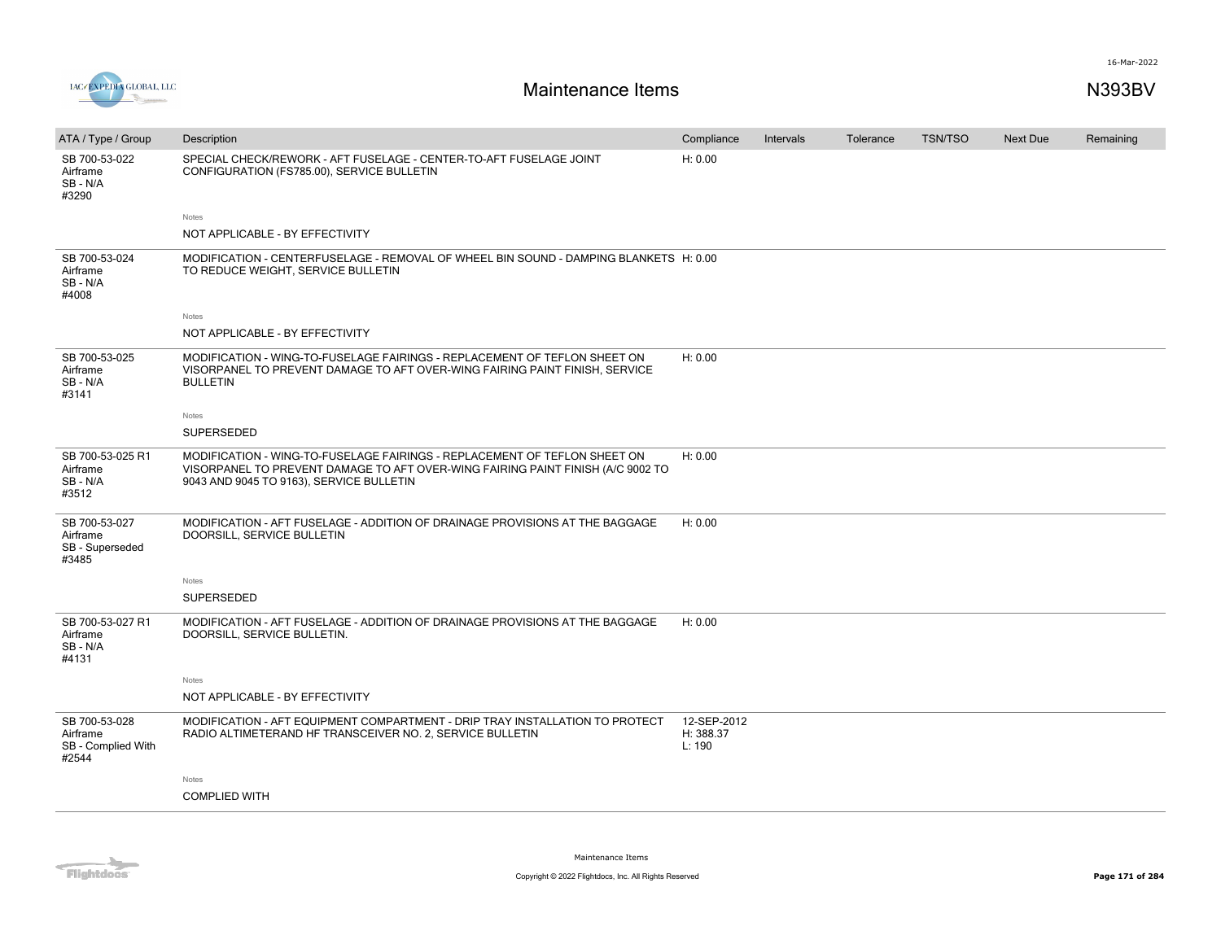

| ATA / Type / Group                                       | Description                                                                                                                                                                                              | Compliance                         | Intervals | Tolerance | <b>TSN/TSO</b> | Next Due | Remaining |
|----------------------------------------------------------|----------------------------------------------------------------------------------------------------------------------------------------------------------------------------------------------------------|------------------------------------|-----------|-----------|----------------|----------|-----------|
| SB 700-53-022<br>Airframe<br>SB-N/A<br>#3290             | SPECIAL CHECK/REWORK - AFT FUSELAGE - CENTER-TO-AFT FUSELAGE JOINT<br>CONFIGURATION (FS785.00), SERVICE BULLETIN                                                                                         | H: 0.00                            |           |           |                |          |           |
|                                                          | Notes                                                                                                                                                                                                    |                                    |           |           |                |          |           |
|                                                          | NOT APPLICABLE - BY EFFECTIVITY                                                                                                                                                                          |                                    |           |           |                |          |           |
| SB 700-53-024<br>Airframe<br>SB - N/A<br>#4008           | MODIFICATION - CENTERFUSELAGE - REMOVAL OF WHEEL BIN SOUND - DAMPING BLANKETS H: 0.00<br>TO REDUCE WEIGHT, SERVICE BULLETIN                                                                              |                                    |           |           |                |          |           |
|                                                          | Notes                                                                                                                                                                                                    |                                    |           |           |                |          |           |
|                                                          | NOT APPLICABLE - BY EFFECTIVITY                                                                                                                                                                          |                                    |           |           |                |          |           |
| SB 700-53-025<br>Airframe<br>SB - N/A<br>#3141           | MODIFICATION - WING-TO-FUSELAGE FAIRINGS - REPLACEMENT OF TEFLON SHEET ON<br>VISORPANEL TO PREVENT DAMAGE TO AFT OVER-WING FAIRING PAINT FINISH, SERVICE<br><b>BULLETIN</b>                              | H: 0.00                            |           |           |                |          |           |
|                                                          | Notes                                                                                                                                                                                                    |                                    |           |           |                |          |           |
|                                                          | SUPERSEDED                                                                                                                                                                                               |                                    |           |           |                |          |           |
| SB 700-53-025 R1<br>Airframe<br>SB - N/A<br>#3512        | MODIFICATION - WING-TO-FUSELAGE FAIRINGS - REPLACEMENT OF TEFLON SHEET ON<br>VISORPANEL TO PREVENT DAMAGE TO AFT OVER-WING FAIRING PAINT FINISH (A/C 9002 TO<br>9043 AND 9045 TO 9163), SERVICE BULLETIN | H: 0.00                            |           |           |                |          |           |
| SB 700-53-027<br>Airframe<br>SB - Superseded<br>#3485    | MODIFICATION - AFT FUSELAGE - ADDITION OF DRAINAGE PROVISIONS AT THE BAGGAGE<br>DOORSILL, SERVICE BULLETIN                                                                                               | H: 0.00                            |           |           |                |          |           |
|                                                          | Notes                                                                                                                                                                                                    |                                    |           |           |                |          |           |
|                                                          | SUPERSEDED                                                                                                                                                                                               |                                    |           |           |                |          |           |
| SB 700-53-027 R1<br>Airframe<br>SB-N/A<br>#4131          | MODIFICATION - AFT FUSELAGE - ADDITION OF DRAINAGE PROVISIONS AT THE BAGGAGE<br>DOORSILL, SERVICE BULLETIN.                                                                                              | H: 0.00                            |           |           |                |          |           |
|                                                          | Notes                                                                                                                                                                                                    |                                    |           |           |                |          |           |
|                                                          | NOT APPLICABLE - BY EFFECTIVITY                                                                                                                                                                          |                                    |           |           |                |          |           |
| SB 700-53-028<br>Airframe<br>SB - Complied With<br>#2544 | MODIFICATION - AFT EQUIPMENT COMPARTMENT - DRIP TRAY INSTALLATION TO PROTECT<br>RADIO ALTIMETERAND HF TRANSCEIVER NO. 2, SERVICE BULLETIN                                                                | 12-SEP-2012<br>H: 388.37<br>L: 190 |           |           |                |          |           |
|                                                          | Notes                                                                                                                                                                                                    |                                    |           |           |                |          |           |
|                                                          | <b>COMPLIED WITH</b>                                                                                                                                                                                     |                                    |           |           |                |          |           |
|                                                          |                                                                                                                                                                                                          |                                    |           |           |                |          |           |

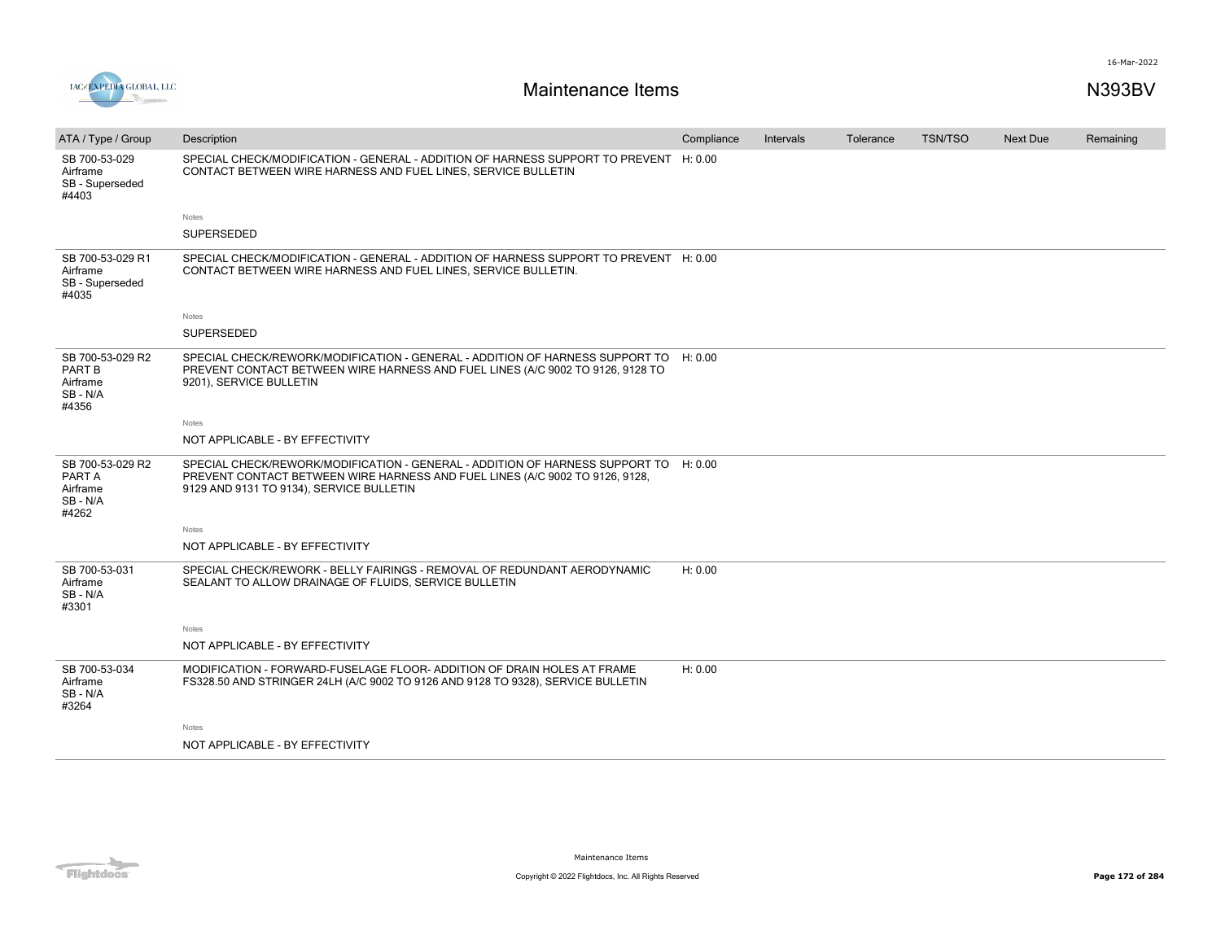

| ATA / Type / Group                                        | Description                                                                                                                                                                                                      | Compliance | Intervals | Tolerance | <b>TSN/TSO</b> | <b>Next Due</b> | Remaining |
|-----------------------------------------------------------|------------------------------------------------------------------------------------------------------------------------------------------------------------------------------------------------------------------|------------|-----------|-----------|----------------|-----------------|-----------|
| SB 700-53-029<br>Airframe<br>SB - Superseded<br>#4403     | SPECIAL CHECK/MODIFICATION - GENERAL - ADDITION OF HARNESS SUPPORT TO PREVENT H: 0.00<br>CONTACT BETWEEN WIRE HARNESS AND FUEL LINES, SERVICE BULLETIN                                                           |            |           |           |                |                 |           |
|                                                           | Notes                                                                                                                                                                                                            |            |           |           |                |                 |           |
|                                                           | SUPERSEDED                                                                                                                                                                                                       |            |           |           |                |                 |           |
| SB 700-53-029 R1<br>Airframe<br>SB - Superseded<br>#4035  | SPECIAL CHECK/MODIFICATION - GENERAL - ADDITION OF HARNESS SUPPORT TO PREVENT H: 0.00<br>CONTACT BETWEEN WIRE HARNESS AND FUEL LINES, SERVICE BULLETIN.                                                          |            |           |           |                |                 |           |
|                                                           | Notes                                                                                                                                                                                                            |            |           |           |                |                 |           |
|                                                           | SUPERSEDED                                                                                                                                                                                                       |            |           |           |                |                 |           |
| SB 700-53-029 R2<br>PART B<br>Airframe<br>SB-N/A<br>#4356 | SPECIAL CHECK/REWORK/MODIFICATION - GENERAL - ADDITION OF HARNESS SUPPORT TO H: 0.00<br>PREVENT CONTACT BETWEEN WIRE HARNESS AND FUEL LINES (A/C 9002 TO 9126, 9128 TO<br>9201), SERVICE BULLETIN                |            |           |           |                |                 |           |
|                                                           | Notes                                                                                                                                                                                                            |            |           |           |                |                 |           |
|                                                           | NOT APPLICABLE - BY EFFECTIVITY                                                                                                                                                                                  |            |           |           |                |                 |           |
| SB 700-53-029 R2<br>PART A<br>Airframe<br>SB-N/A<br>#4262 | SPECIAL CHECK/REWORK/MODIFICATION - GENERAL - ADDITION OF HARNESS SUPPORT TO H: 0.00<br>PREVENT CONTACT BETWEEN WIRE HARNESS AND FUEL LINES (A/C 9002 TO 9126, 9128,<br>9129 AND 9131 TO 9134), SERVICE BULLETIN |            |           |           |                |                 |           |
|                                                           | Notes                                                                                                                                                                                                            |            |           |           |                |                 |           |
|                                                           | NOT APPLICABLE - BY EFFECTIVITY                                                                                                                                                                                  |            |           |           |                |                 |           |
| SB 700-53-031<br>Airframe<br>SB - N/A<br>#3301            | SPECIAL CHECK/REWORK - BELLY FAIRINGS - REMOVAL OF REDUNDANT AERODYNAMIC<br>SEALANT TO ALLOW DRAINAGE OF FLUIDS, SERVICE BULLETIN                                                                                | H: 0.00    |           |           |                |                 |           |
|                                                           | Notes                                                                                                                                                                                                            |            |           |           |                |                 |           |
|                                                           | NOT APPLICABLE - BY EFFECTIVITY                                                                                                                                                                                  |            |           |           |                |                 |           |
| SB 700-53-034<br>Airframe<br>SB-N/A<br>#3264              | MODIFICATION - FORWARD-FUSELAGE FLOOR- ADDITION OF DRAIN HOLES AT FRAME<br>FS328.50 AND STRINGER 24LH (A/C 9002 TO 9126 AND 9128 TO 9328), SERVICE BULLETIN                                                      | H: 0.00    |           |           |                |                 |           |
|                                                           | Notes                                                                                                                                                                                                            |            |           |           |                |                 |           |
|                                                           | NOT APPLICABLE - BY EFFECTIVITY                                                                                                                                                                                  |            |           |           |                |                 |           |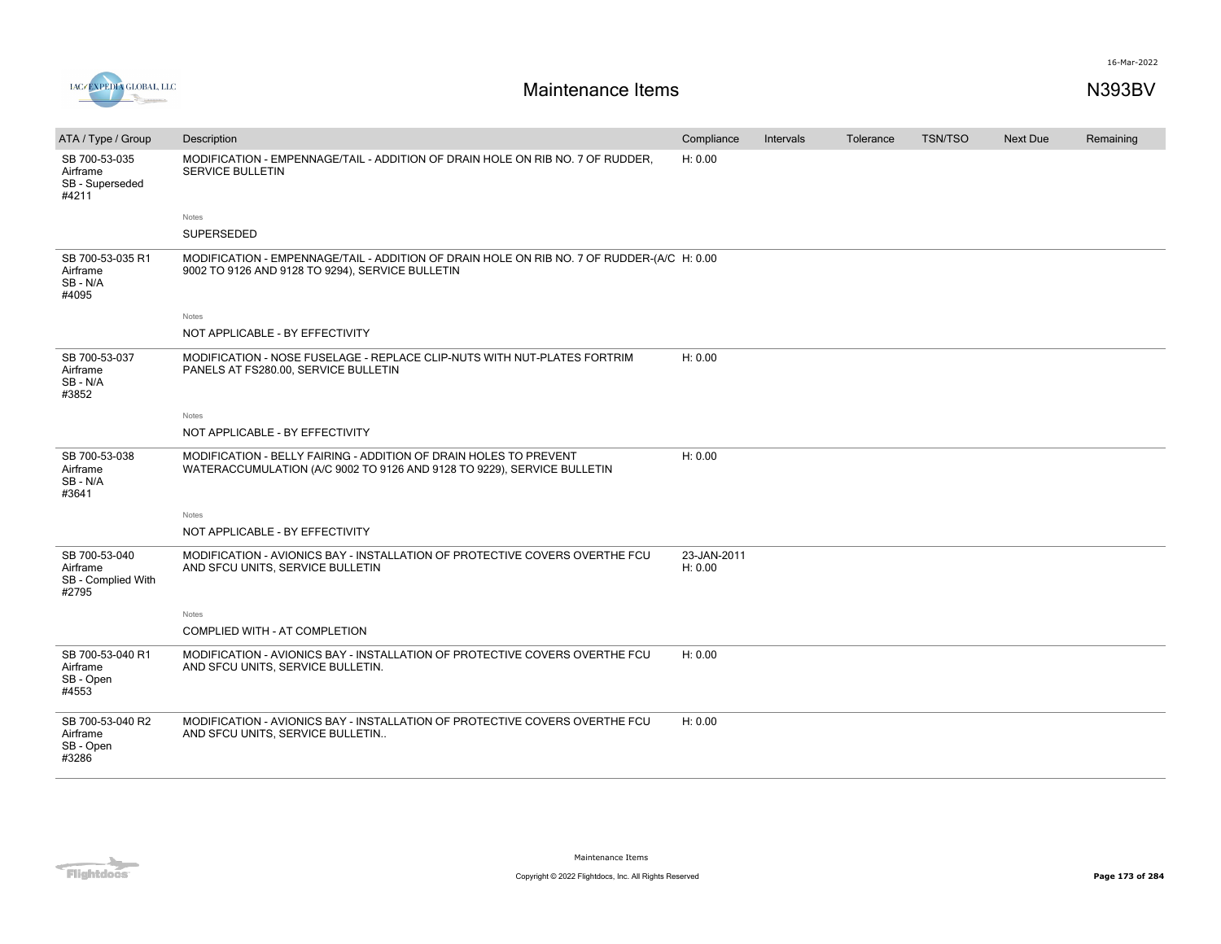

| ATA / Type / Group                                       | Description                                                                                                                                    | Compliance             | Intervals | Tolerance | <b>TSN/TSO</b> | <b>Next Due</b> | Remaining |
|----------------------------------------------------------|------------------------------------------------------------------------------------------------------------------------------------------------|------------------------|-----------|-----------|----------------|-----------------|-----------|
| SB 700-53-035<br>Airframe<br>SB - Superseded<br>#4211    | MODIFICATION - EMPENNAGE/TAIL - ADDITION OF DRAIN HOLE ON RIB NO. 7 OF RUDDER,<br><b>SERVICE BULLETIN</b>                                      | H: 0.00                |           |           |                |                 |           |
|                                                          | Notes                                                                                                                                          |                        |           |           |                |                 |           |
|                                                          | <b>SUPERSEDED</b>                                                                                                                              |                        |           |           |                |                 |           |
| SB 700-53-035 R1<br>Airframe<br>SB - N/A<br>#4095        | MODIFICATION - EMPENNAGE/TAIL - ADDITION OF DRAIN HOLE ON RIB NO. 7 OF RUDDER-(A/C H: 0.00<br>9002 TO 9126 AND 9128 TO 9294), SERVICE BULLETIN |                        |           |           |                |                 |           |
|                                                          | Notes                                                                                                                                          |                        |           |           |                |                 |           |
|                                                          | NOT APPLICABLE - BY EFFECTIVITY                                                                                                                |                        |           |           |                |                 |           |
| SB 700-53-037<br>Airframe<br>SB-N/A<br>#3852             | MODIFICATION - NOSE FUSELAGE - REPLACE CLIP-NUTS WITH NUT-PLATES FORTRIM<br>PANELS AT FS280.00, SERVICE BULLETIN                               | H: 0.00                |           |           |                |                 |           |
|                                                          | <b>Notes</b>                                                                                                                                   |                        |           |           |                |                 |           |
|                                                          | NOT APPLICABLE - BY EFFECTIVITY                                                                                                                |                        |           |           |                |                 |           |
| SB 700-53-038<br>Airframe<br>SB - N/A<br>#3641           | MODIFICATION - BELLY FAIRING - ADDITION OF DRAIN HOLES TO PREVENT<br>WATERACCUMULATION (A/C 9002 TO 9126 AND 9128 TO 9229), SERVICE BULLETIN   | H: 0.00                |           |           |                |                 |           |
|                                                          | Notes                                                                                                                                          |                        |           |           |                |                 |           |
|                                                          | NOT APPLICABLE - BY EFFECTIVITY                                                                                                                |                        |           |           |                |                 |           |
| SB 700-53-040<br>Airframe<br>SB - Complied With<br>#2795 | MODIFICATION - AVIONICS BAY - INSTALLATION OF PROTECTIVE COVERS OVERTHE FCU<br>AND SFCU UNITS, SERVICE BULLETIN                                | 23-JAN-2011<br>H: 0.00 |           |           |                |                 |           |
|                                                          | Notes                                                                                                                                          |                        |           |           |                |                 |           |
|                                                          | COMPLIED WITH - AT COMPLETION                                                                                                                  |                        |           |           |                |                 |           |
| SB 700-53-040 R1<br>Airframe<br>SB - Open<br>#4553       | MODIFICATION - AVIONICS BAY - INSTALLATION OF PROTECTIVE COVERS OVERTHE FCU<br>AND SFCU UNITS, SERVICE BULLETIN.                               | H: 0.00                |           |           |                |                 |           |
| SB 700-53-040 R2<br>Airframe<br>SB - Open<br>#3286       | MODIFICATION - AVIONICS BAY - INSTALLATION OF PROTECTIVE COVERS OVERTHE FCU<br>AND SFCU UNITS, SERVICE BULLETIN                                | H: 0.00                |           |           |                |                 |           |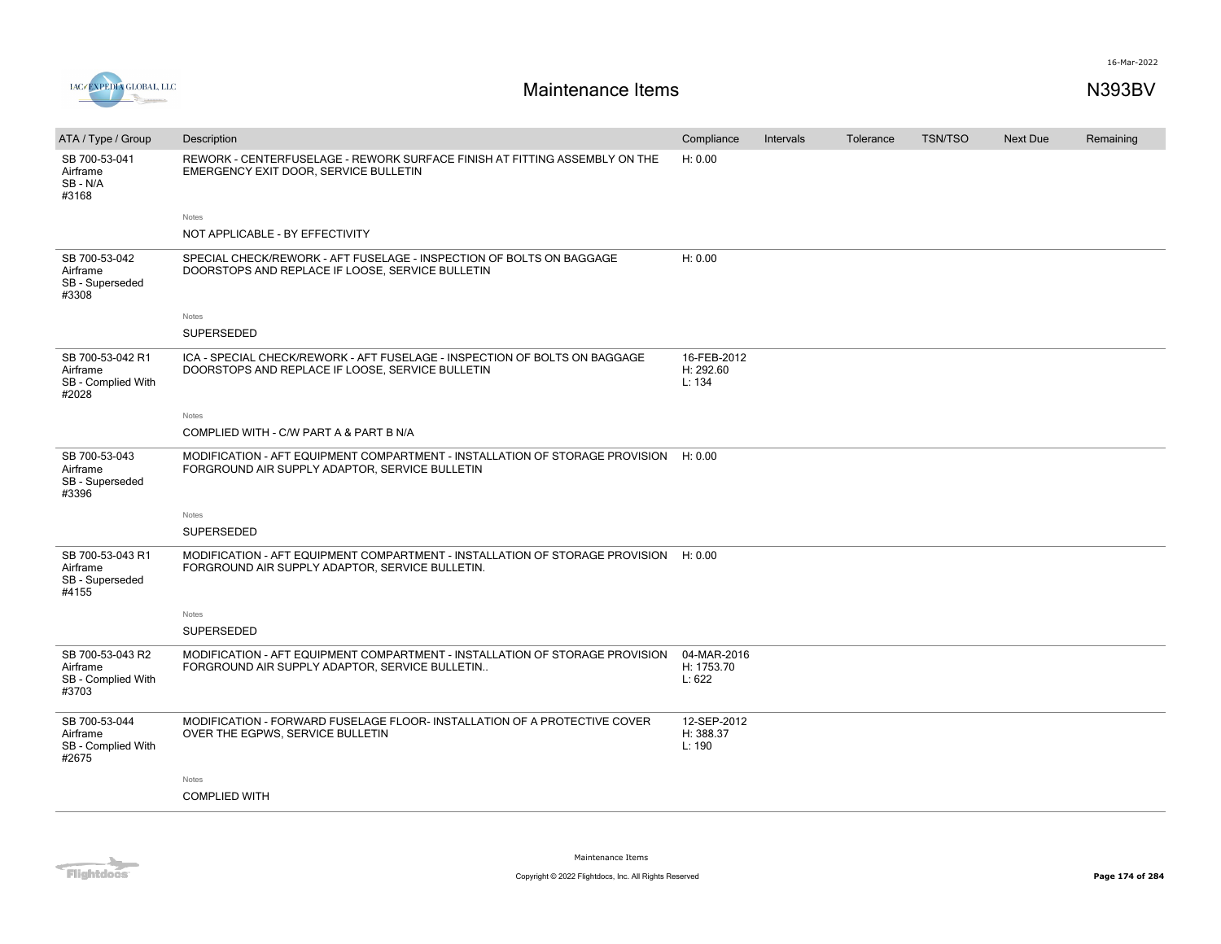

| ATA / Type / Group                                          | Description                                                                                                                     | Compliance                          | Intervals | Tolerance | <b>TSN/TSO</b> | Next Due | Remaining |
|-------------------------------------------------------------|---------------------------------------------------------------------------------------------------------------------------------|-------------------------------------|-----------|-----------|----------------|----------|-----------|
| SB 700-53-041<br>Airframe<br>SB-N/A<br>#3168                | REWORK - CENTERFUSELAGE - REWORK SURFACE FINISH AT FITTING ASSEMBLY ON THE<br>EMERGENCY EXIT DOOR, SERVICE BULLETIN             | H: 0.00                             |           |           |                |          |           |
|                                                             | Notes                                                                                                                           |                                     |           |           |                |          |           |
|                                                             | NOT APPLICABLE - BY EFFECTIVITY                                                                                                 |                                     |           |           |                |          |           |
| SB 700-53-042<br>Airframe<br>SB - Superseded<br>#3308       | SPECIAL CHECK/REWORK - AFT FUSELAGE - INSPECTION OF BOLTS ON BAGGAGE<br>DOORSTOPS AND REPLACE IF LOOSE, SERVICE BULLETIN        | H: 0.00                             |           |           |                |          |           |
|                                                             | Notes                                                                                                                           |                                     |           |           |                |          |           |
|                                                             | <b>SUPERSEDED</b>                                                                                                               |                                     |           |           |                |          |           |
| SB 700-53-042 R1<br>Airframe<br>SB - Complied With<br>#2028 | ICA - SPECIAL CHECK/REWORK - AFT FUSELAGE - INSPECTION OF BOLTS ON BAGGAGE<br>DOORSTOPS AND REPLACE IF LOOSE, SERVICE BULLETIN  | 16-FEB-2012<br>H: 292.60<br>L: 134  |           |           |                |          |           |
|                                                             | Notes                                                                                                                           |                                     |           |           |                |          |           |
|                                                             | COMPLIED WITH - C/W PART A & PART B N/A                                                                                         |                                     |           |           |                |          |           |
| SB 700-53-043<br>Airframe<br>SB - Superseded<br>#3396       | MODIFICATION - AFT EQUIPMENT COMPARTMENT - INSTALLATION OF STORAGE PROVISION<br>FORGROUND AIR SUPPLY ADAPTOR, SERVICE BULLETIN  | H: 0.00                             |           |           |                |          |           |
|                                                             | Notes                                                                                                                           |                                     |           |           |                |          |           |
|                                                             | SUPERSEDED                                                                                                                      |                                     |           |           |                |          |           |
| SB 700-53-043 R1<br>Airframe<br>SB - Superseded<br>#4155    | MODIFICATION - AFT EQUIPMENT COMPARTMENT - INSTALLATION OF STORAGE PROVISION<br>FORGROUND AIR SUPPLY ADAPTOR, SERVICE BULLETIN. | H: 0.00                             |           |           |                |          |           |
|                                                             | Notes                                                                                                                           |                                     |           |           |                |          |           |
|                                                             | SUPERSEDED                                                                                                                      |                                     |           |           |                |          |           |
| SB 700-53-043 R2<br>Airframe<br>SB - Complied With<br>#3703 | MODIFICATION - AFT EQUIPMENT COMPARTMENT - INSTALLATION OF STORAGE PROVISION<br>FORGROUND AIR SUPPLY ADAPTOR, SERVICE BULLETIN  | 04-MAR-2016<br>H: 1753.70<br>L: 622 |           |           |                |          |           |
| SB 700-53-044<br>Airframe<br>SB - Complied With<br>#2675    | MODIFICATION - FORWARD FUSELAGE FLOOR- INSTALLATION OF A PROTECTIVE COVER<br>OVER THE EGPWS, SERVICE BULLETIN                   | 12-SEP-2012<br>H: 388.37<br>L: 190  |           |           |                |          |           |
|                                                             | Notes                                                                                                                           |                                     |           |           |                |          |           |
|                                                             | <b>COMPLIED WITH</b>                                                                                                            |                                     |           |           |                |          |           |
|                                                             |                                                                                                                                 |                                     |           |           |                |          |           |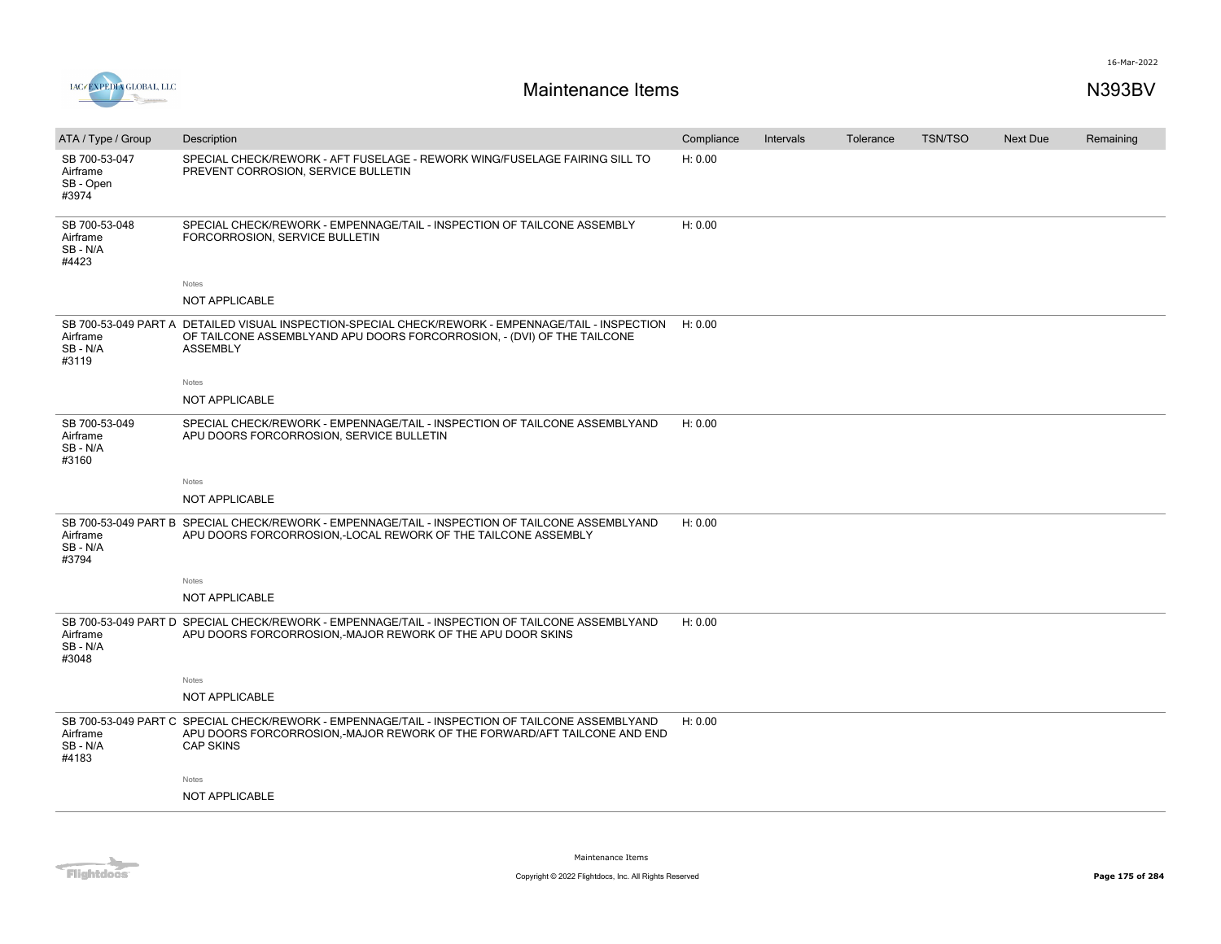



| ATA / Type / Group                              | Description                                                                                                                                                                                      | Compliance | Intervals | Tolerance | <b>TSN/TSO</b> | Next Due | Remaining |
|-------------------------------------------------|--------------------------------------------------------------------------------------------------------------------------------------------------------------------------------------------------|------------|-----------|-----------|----------------|----------|-----------|
| SB 700-53-047<br>Airframe<br>SB - Open<br>#3974 | SPECIAL CHECK/REWORK - AFT FUSELAGE - REWORK WING/FUSELAGE FAIRING SILL TO<br>PREVENT CORROSION, SERVICE BULLETIN                                                                                | H: 0.00    |           |           |                |          |           |
| SB 700-53-048<br>Airframe<br>SB - N/A<br>#4423  | SPECIAL CHECK/REWORK - EMPENNAGE/TAIL - INSPECTION OF TAILCONE ASSEMBLY<br>FORCORROSION, SERVICE BULLETIN                                                                                        | H: 0.00    |           |           |                |          |           |
|                                                 | Notes                                                                                                                                                                                            |            |           |           |                |          |           |
|                                                 | NOT APPLICABLE                                                                                                                                                                                   |            |           |           |                |          |           |
| Airframe<br>SB-N/A<br>#3119                     | SB 700-53-049 PART A DETAILED VISUAL INSPECTION-SPECIAL CHECK/REWORK - EMPENNAGE/TAIL - INSPECTION<br>OF TAILCONE ASSEMBLYAND APU DOORS FORCORROSION, - (DVI) OF THE TAILCONE<br><b>ASSEMBLY</b> | H: 0.00    |           |           |                |          |           |
|                                                 | Notes                                                                                                                                                                                            |            |           |           |                |          |           |
|                                                 | NOT APPLICABLE                                                                                                                                                                                   |            |           |           |                |          |           |
| SB 700-53-049<br>Airframe<br>SB - N/A<br>#3160  | SPECIAL CHECK/REWORK - EMPENNAGE/TAIL - INSPECTION OF TAILCONE ASSEMBLYAND<br>APU DOORS FORCORROSION, SERVICE BULLETIN                                                                           | H: 0.00    |           |           |                |          |           |
|                                                 | Notes                                                                                                                                                                                            |            |           |           |                |          |           |
|                                                 | NOT APPLICABLE                                                                                                                                                                                   |            |           |           |                |          |           |
| Airframe<br>SB-N/A<br>#3794                     | SB 700-53-049 PART B SPECIAL CHECK/REWORK - EMPENNAGE/TAIL - INSPECTION OF TAILCONE ASSEMBLYAND<br>APU DOORS FORCORROSION, LOCAL REWORK OF THE TAILCONE ASSEMBLY                                 | H: 0.00    |           |           |                |          |           |
|                                                 | Notes                                                                                                                                                                                            |            |           |           |                |          |           |
|                                                 | NOT APPLICABLE                                                                                                                                                                                   |            |           |           |                |          |           |
| Airframe<br>SB-N/A<br>#3048                     | SB 700-53-049 PART D SPECIAL CHECK/REWORK - EMPENNAGE/TAIL - INSPECTION OF TAILCONE ASSEMBLYAND<br>APU DOORS FORCORROSION,-MAJOR REWORK OF THE APU DOOR SKINS                                    | H: 0.00    |           |           |                |          |           |
|                                                 | Notes                                                                                                                                                                                            |            |           |           |                |          |           |
|                                                 | NOT APPLICABLE                                                                                                                                                                                   |            |           |           |                |          |           |
| Airframe<br>SB-N/A<br>#4183                     | SB 700-53-049 PART C SPECIAL CHECK/REWORK - EMPENNAGE/TAIL - INSPECTION OF TAILCONE ASSEMBLYAND<br>APU DOORS FORCORROSION,-MAJOR REWORK OF THE FORWARD/AFT TAILCONE AND END<br><b>CAP SKINS</b>  | H: 0.00    |           |           |                |          |           |
|                                                 | Notes                                                                                                                                                                                            |            |           |           |                |          |           |
|                                                 | NOT APPLICABLE                                                                                                                                                                                   |            |           |           |                |          |           |
|                                                 |                                                                                                                                                                                                  |            |           |           |                |          |           |

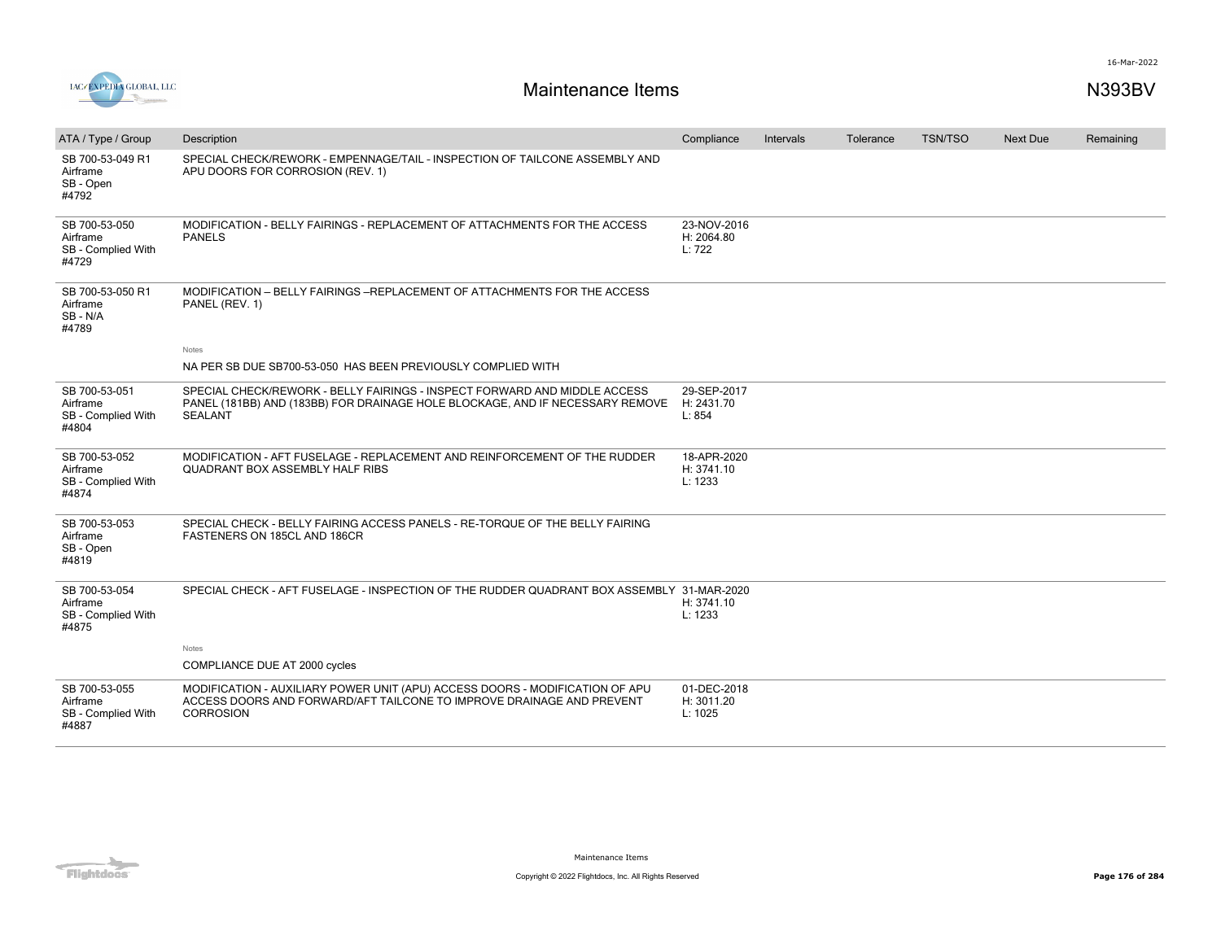



| ATA / Type / Group                                       | Description                                                                                                                                                               | Compliance                           | Intervals | Tolerance | <b>TSN/TSO</b> | Next Due | Remaining |
|----------------------------------------------------------|---------------------------------------------------------------------------------------------------------------------------------------------------------------------------|--------------------------------------|-----------|-----------|----------------|----------|-----------|
| SB 700-53-049 R1<br>Airframe<br>SB - Open<br>#4792       | SPECIAL CHECK/REWORK - EMPENNAGE/TAIL - INSPECTION OF TAILCONE ASSEMBLY AND<br>APU DOORS FOR CORROSION (REV. 1)                                                           |                                      |           |           |                |          |           |
| SB 700-53-050<br>Airframe<br>SB - Complied With<br>#4729 | MODIFICATION - BELLY FAIRINGS - REPLACEMENT OF ATTACHMENTS FOR THE ACCESS<br><b>PANELS</b>                                                                                | 23-NOV-2016<br>H: 2064.80<br>L: 722  |           |           |                |          |           |
| SB 700-53-050 R1<br>Airframe<br>SB-N/A<br>#4789          | MODIFICATION - BELLY FAIRINGS - REPLACEMENT OF ATTACHMENTS FOR THE ACCESS<br>PANEL (REV. 1)                                                                               |                                      |           |           |                |          |           |
|                                                          | Notes                                                                                                                                                                     |                                      |           |           |                |          |           |
|                                                          | NA PER SB DUE SB700-53-050 HAS BEEN PREVIOUSLY COMPLIED WITH                                                                                                              |                                      |           |           |                |          |           |
| SB 700-53-051<br>Airframe<br>SB - Complied With<br>#4804 | SPECIAL CHECK/REWORK - BELLY FAIRINGS - INSPECT FORWARD AND MIDDLE ACCESS<br>PANEL (181BB) AND (183BB) FOR DRAINAGE HOLE BLOCKAGE, AND IF NECESSARY REMOVE<br>SEALANT     | 29-SEP-2017<br>H: 2431.70<br>L: 854  |           |           |                |          |           |
| SB 700-53-052<br>Airframe<br>SB - Complied With<br>#4874 | MODIFICATION - AFT FUSELAGE - REPLACEMENT AND REINFORCEMENT OF THE RUDDER<br><b>QUADRANT BOX ASSEMBLY HALF RIBS</b>                                                       | 18-APR-2020<br>H: 3741.10<br>L: 1233 |           |           |                |          |           |
| SB 700-53-053<br>Airframe<br>SB - Open<br>#4819          | SPECIAL CHECK - BELLY FAIRING ACCESS PANELS - RE-TORQUE OF THE BELLY FAIRING<br>FASTENERS ON 185CL AND 186CR                                                              |                                      |           |           |                |          |           |
| SB 700-53-054<br>Airframe<br>SB - Complied With<br>#4875 | SPECIAL CHECK - AFT FUSELAGE - INSPECTION OF THE RUDDER QUADRANT BOX ASSEMBLY 31-MAR-2020                                                                                 | H: 3741.10<br>L: 1233                |           |           |                |          |           |
|                                                          | Notes                                                                                                                                                                     |                                      |           |           |                |          |           |
|                                                          | COMPLIANCE DUE AT 2000 cycles                                                                                                                                             |                                      |           |           |                |          |           |
| SB 700-53-055<br>Airframe<br>SB - Complied With<br>#4887 | MODIFICATION - AUXILIARY POWER UNIT (APU) ACCESS DOORS - MODIFICATION OF APU<br>ACCESS DOORS AND FORWARD/AFT TAILCONE TO IMPROVE DRAINAGE AND PREVENT<br><b>CORROSION</b> | 01-DEC-2018<br>H: 3011.20<br>L: 1025 |           |           |                |          |           |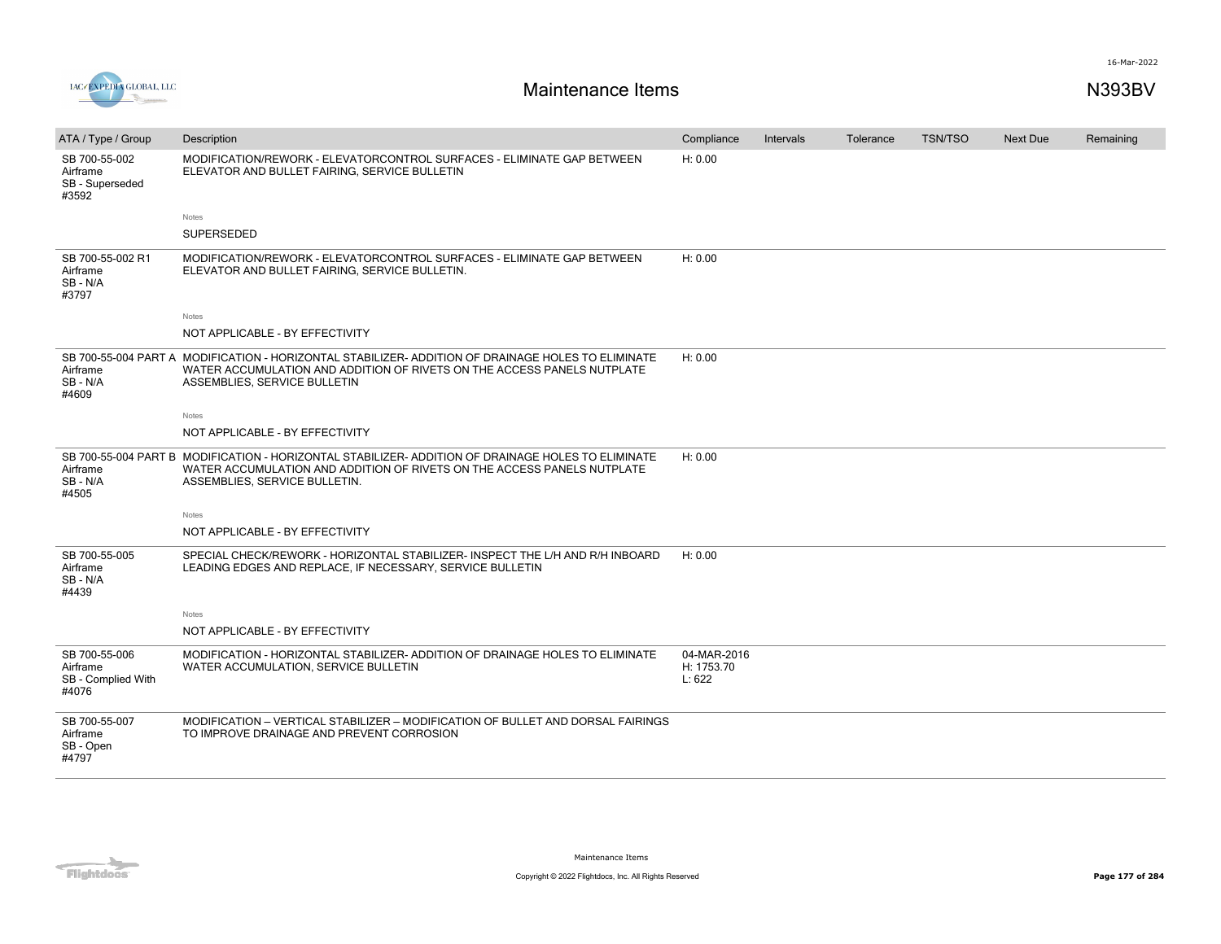

| ATA / Type / Group                                       | Description                                                                                                                                                                                                    | Compliance                          | Intervals | Tolerance | <b>TSN/TSO</b> | Next Due | Remaining |
|----------------------------------------------------------|----------------------------------------------------------------------------------------------------------------------------------------------------------------------------------------------------------------|-------------------------------------|-----------|-----------|----------------|----------|-----------|
| SB 700-55-002<br>Airframe<br>SB - Superseded<br>#3592    | MODIFICATION/REWORK - ELEVATORCONTROL SURFACES - ELIMINATE GAP BETWEEN<br>ELEVATOR AND BULLET FAIRING, SERVICE BULLETIN                                                                                        | H: 0.00                             |           |           |                |          |           |
|                                                          | Notes                                                                                                                                                                                                          |                                     |           |           |                |          |           |
|                                                          | SUPERSEDED                                                                                                                                                                                                     |                                     |           |           |                |          |           |
| SB 700-55-002 R1<br>Airframe<br>SB-N/A<br>#3797          | MODIFICATION/REWORK - ELEVATORCONTROL SURFACES - ELIMINATE GAP BETWEEN<br>ELEVATOR AND BULLET FAIRING, SERVICE BULLETIN.                                                                                       | H: 0.00                             |           |           |                |          |           |
|                                                          | <b>Notes</b>                                                                                                                                                                                                   |                                     |           |           |                |          |           |
|                                                          | NOT APPLICABLE - BY EFFECTIVITY                                                                                                                                                                                |                                     |           |           |                |          |           |
| Airframe<br>SB-N/A<br>#4609                              | SB 700-55-004 PART A MODIFICATION - HORIZONTAL STABILIZER- ADDITION OF DRAINAGE HOLES TO ELIMINATE<br>WATER ACCUMULATION AND ADDITION OF RIVETS ON THE ACCESS PANELS NUTPLATE<br>ASSEMBLIES, SERVICE BULLETIN  | H: 0.00                             |           |           |                |          |           |
|                                                          | Notes                                                                                                                                                                                                          |                                     |           |           |                |          |           |
|                                                          | NOT APPLICABLE - BY EFFECTIVITY                                                                                                                                                                                |                                     |           |           |                |          |           |
| Airframe<br>SB-N/A<br>#4505                              | SB 700-55-004 PART B MODIFICATION - HORIZONTAL STABILIZER- ADDITION OF DRAINAGE HOLES TO ELIMINATE<br>WATER ACCUMULATION AND ADDITION OF RIVETS ON THE ACCESS PANELS NUTPLATE<br>ASSEMBLIES, SERVICE BULLETIN. | H: 0.00                             |           |           |                |          |           |
|                                                          | Notes                                                                                                                                                                                                          |                                     |           |           |                |          |           |
|                                                          | NOT APPLICABLE - BY EFFECTIVITY                                                                                                                                                                                |                                     |           |           |                |          |           |
| SB 700-55-005<br>Airframe<br>SB-N/A<br>#4439             | SPECIAL CHECK/REWORK - HORIZONTAL STABILIZER- INSPECT THE L/H AND R/H INBOARD<br>LEADING EDGES AND REPLACE, IF NECESSARY, SERVICE BULLETIN                                                                     | H: 0.00                             |           |           |                |          |           |
|                                                          | Notes                                                                                                                                                                                                          |                                     |           |           |                |          |           |
|                                                          | NOT APPLICABLE - BY EFFECTIVITY                                                                                                                                                                                |                                     |           |           |                |          |           |
| SB 700-55-006<br>Airframe<br>SB - Complied With<br>#4076 | MODIFICATION - HORIZONTAL STABILIZER- ADDITION OF DRAINAGE HOLES TO ELIMINATE<br>WATER ACCUMULATION, SERVICE BULLETIN                                                                                          | 04-MAR-2016<br>H: 1753.70<br>L: 622 |           |           |                |          |           |
| SB 700-55-007<br>Airframe<br>SB - Open<br>#4797          | MODIFICATION - VERTICAL STABILIZER - MODIFICATION OF BULLET AND DORSAL FAIRINGS<br>TO IMPROVE DRAINAGE AND PREVENT CORROSION                                                                                   |                                     |           |           |                |          |           |

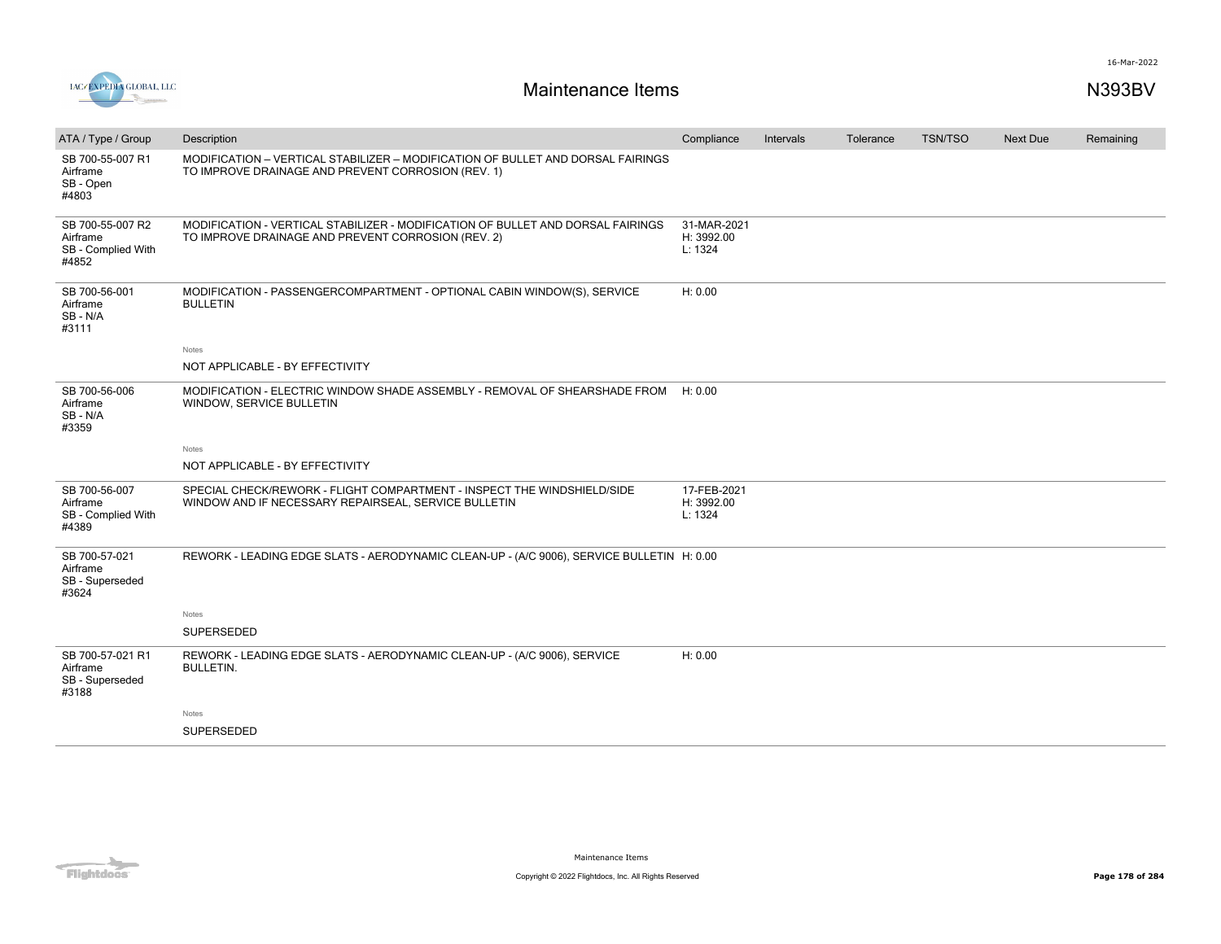



| ATA / Type / Group                                          | Description                                                                                                                           | Compliance                           | Intervals | Tolerance | <b>TSN/TSO</b> | Next Due | Remaining |
|-------------------------------------------------------------|---------------------------------------------------------------------------------------------------------------------------------------|--------------------------------------|-----------|-----------|----------------|----------|-----------|
| SB 700-55-007 R1<br>Airframe<br>SB - Open<br>#4803          | MODIFICATION - VERTICAL STABILIZER - MODIFICATION OF BULLET AND DORSAL FAIRINGS<br>TO IMPROVE DRAINAGE AND PREVENT CORROSION (REV. 1) |                                      |           |           |                |          |           |
| SB 700-55-007 R2<br>Airframe<br>SB - Complied With<br>#4852 | MODIFICATION - VERTICAL STABILIZER - MODIFICATION OF BULLET AND DORSAL FAIRINGS<br>TO IMPROVE DRAINAGE AND PREVENT CORROSION (REV. 2) | 31-MAR-2021<br>H: 3992.00<br>L: 1324 |           |           |                |          |           |
| SB 700-56-001<br>Airframe<br>SB-N/A<br>#3111                | MODIFICATION - PASSENGERCOMPARTMENT - OPTIONAL CABIN WINDOW(S), SERVICE<br><b>BULLETIN</b>                                            | H: 0.00                              |           |           |                |          |           |
|                                                             | Notes                                                                                                                                 |                                      |           |           |                |          |           |
|                                                             | NOT APPLICABLE - BY EFFECTIVITY                                                                                                       |                                      |           |           |                |          |           |
| SB 700-56-006<br>Airframe<br>SB-N/A<br>#3359                | MODIFICATION - ELECTRIC WINDOW SHADE ASSEMBLY - REMOVAL OF SHEARSHADE FROM<br>WINDOW, SERVICE BULLETIN                                | H: 0.00                              |           |           |                |          |           |
|                                                             | Notes                                                                                                                                 |                                      |           |           |                |          |           |
|                                                             | NOT APPLICABLE - BY EFFECTIVITY                                                                                                       |                                      |           |           |                |          |           |
| SB 700-56-007<br>Airframe<br>SB - Complied With<br>#4389    | SPECIAL CHECK/REWORK - FLIGHT COMPARTMENT - INSPECT THE WINDSHIELD/SIDE<br>WINDOW AND IF NECESSARY REPAIRSEAL, SERVICE BULLETIN       | 17-FEB-2021<br>H: 3992.00<br>L: 1324 |           |           |                |          |           |
| SB 700-57-021<br>Airframe<br>SB - Superseded<br>#3624       | REWORK - LEADING EDGE SLATS - AERODYNAMIC CLEAN-UP - (A/C 9006), SERVICE BULLETIN H: 0.00                                             |                                      |           |           |                |          |           |
|                                                             | Notes                                                                                                                                 |                                      |           |           |                |          |           |
|                                                             | <b>SUPERSEDED</b>                                                                                                                     |                                      |           |           |                |          |           |
| SB 700-57-021 R1<br>Airframe<br>SB - Superseded<br>#3188    | REWORK - LEADING EDGE SLATS - AERODYNAMIC CLEAN-UP - (A/C 9006), SERVICE<br><b>BULLETIN.</b>                                          | H: 0.00                              |           |           |                |          |           |
|                                                             | Notes                                                                                                                                 |                                      |           |           |                |          |           |
|                                                             | <b>SUPERSEDED</b>                                                                                                                     |                                      |           |           |                |          |           |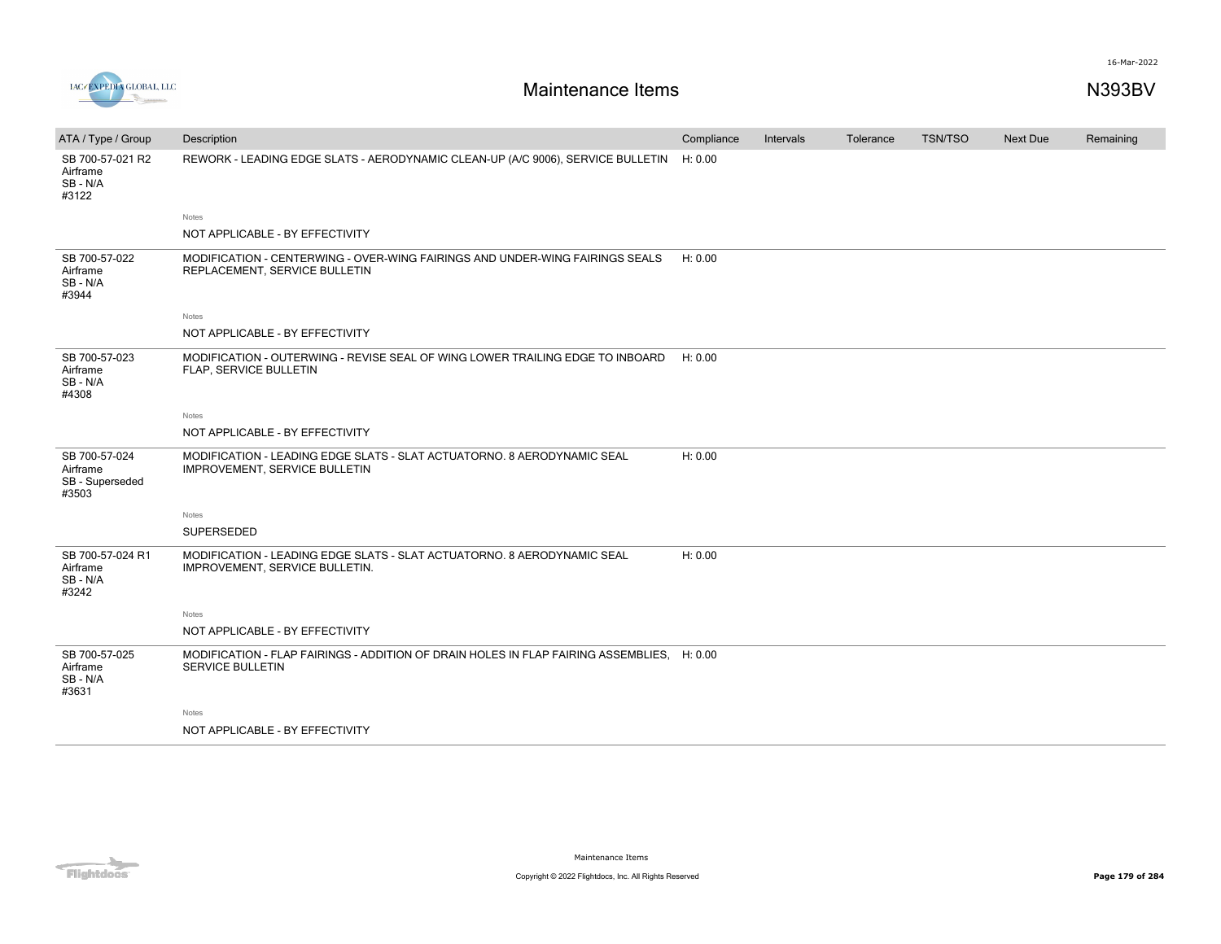



| ATA / Type / Group                                    | Description                                                                                                           | Compliance | Intervals | Tolerance | <b>TSN/TSO</b> | Next Due | Remaining |
|-------------------------------------------------------|-----------------------------------------------------------------------------------------------------------------------|------------|-----------|-----------|----------------|----------|-----------|
| SB 700-57-021 R2<br>Airframe<br>SB - N/A<br>#3122     | REWORK - LEADING EDGE SLATS - AERODYNAMIC CLEAN-UP (A/C 9006), SERVICE BULLETIN H: 0.00                               |            |           |           |                |          |           |
|                                                       | Notes                                                                                                                 |            |           |           |                |          |           |
|                                                       | NOT APPLICABLE - BY EFFECTIVITY                                                                                       |            |           |           |                |          |           |
| SB 700-57-022<br>Airframe<br>SB - N/A<br>#3944        | MODIFICATION - CENTERWING - OVER-WING FAIRINGS AND UNDER-WING FAIRINGS SEALS<br>REPLACEMENT, SERVICE BULLETIN         | H: 0.00    |           |           |                |          |           |
|                                                       | Notes                                                                                                                 |            |           |           |                |          |           |
|                                                       | NOT APPLICABLE - BY EFFECTIVITY                                                                                       |            |           |           |                |          |           |
| SB 700-57-023<br>Airframe<br>SB-N/A<br>#4308          | MODIFICATION - OUTERWING - REVISE SEAL OF WING LOWER TRAILING EDGE TO INBOARD<br>FLAP, SERVICE BULLETIN               | H: 0.00    |           |           |                |          |           |
|                                                       | Notes                                                                                                                 |            |           |           |                |          |           |
|                                                       | NOT APPLICABLE - BY EFFECTIVITY                                                                                       |            |           |           |                |          |           |
| SB 700-57-024<br>Airframe<br>SB - Superseded<br>#3503 | MODIFICATION - LEADING EDGE SLATS - SLAT ACTUATORNO. 8 AERODYNAMIC SEAL<br>IMPROVEMENT, SERVICE BULLETIN              | H: 0.00    |           |           |                |          |           |
|                                                       | Notes                                                                                                                 |            |           |           |                |          |           |
|                                                       | SUPERSEDED                                                                                                            |            |           |           |                |          |           |
| SB 700-57-024 R1<br>Airframe<br>SB-N/A<br>#3242       | MODIFICATION - LEADING EDGE SLATS - SLAT ACTUATORNO. 8 AERODYNAMIC SEAL<br>IMPROVEMENT, SERVICE BULLETIN.             | H: 0.00    |           |           |                |          |           |
|                                                       | <b>Notes</b>                                                                                                          |            |           |           |                |          |           |
|                                                       | NOT APPLICABLE - BY EFFECTIVITY                                                                                       |            |           |           |                |          |           |
| SB 700-57-025<br>Airframe<br>SB-N/A<br>#3631          | MODIFICATION - FLAP FAIRINGS - ADDITION OF DRAIN HOLES IN FLAP FAIRING ASSEMBLIES, H: 0.00<br><b>SERVICE BULLETIN</b> |            |           |           |                |          |           |
|                                                       | Notes                                                                                                                 |            |           |           |                |          |           |
|                                                       | NOT APPLICABLE - BY EFFECTIVITY                                                                                       |            |           |           |                |          |           |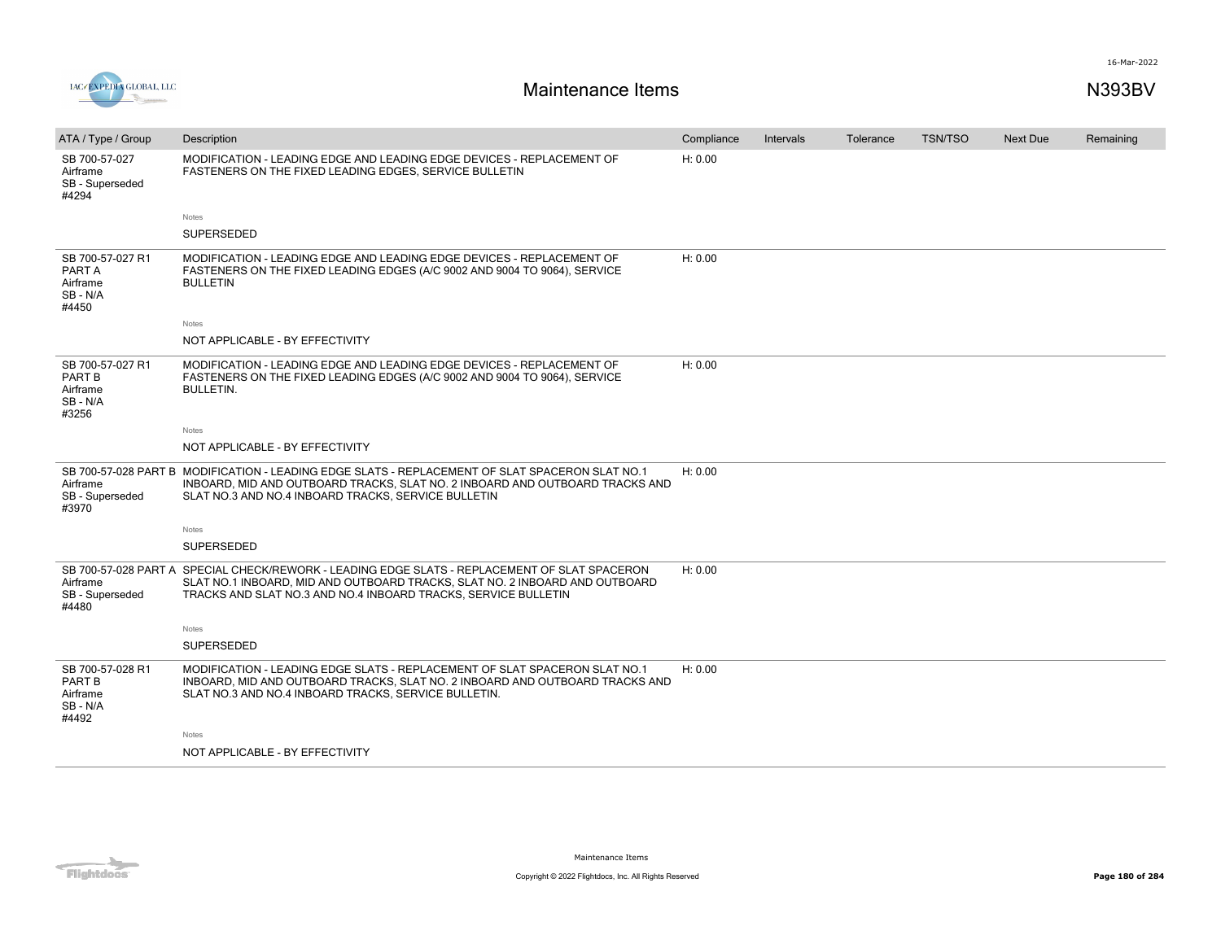



| ATA / Type / Group                                          | Description                                                                                                                                                                                                                                    | Compliance | Intervals | Tolerance | <b>TSN/TSO</b> | <b>Next Due</b> | Remaining |
|-------------------------------------------------------------|------------------------------------------------------------------------------------------------------------------------------------------------------------------------------------------------------------------------------------------------|------------|-----------|-----------|----------------|-----------------|-----------|
| SB 700-57-027<br>Airframe<br>SB - Superseded<br>#4294       | MODIFICATION - LEADING EDGE AND LEADING EDGE DEVICES - REPLACEMENT OF<br>FASTENERS ON THE FIXED LEADING EDGES, SERVICE BULLETIN                                                                                                                | H: 0.00    |           |           |                |                 |           |
|                                                             | Notes                                                                                                                                                                                                                                          |            |           |           |                |                 |           |
|                                                             | <b>SUPERSEDED</b>                                                                                                                                                                                                                              |            |           |           |                |                 |           |
| SB 700-57-027 R1<br>PART A<br>Airframe<br>SB-N/A<br>#4450   | MODIFICATION - LEADING EDGE AND LEADING EDGE DEVICES - REPLACEMENT OF<br>FASTENERS ON THE FIXED LEADING EDGES (A/C 9002 AND 9004 TO 9064), SERVICE<br><b>BULLETIN</b>                                                                          | H: 0.00    |           |           |                |                 |           |
|                                                             | Notes                                                                                                                                                                                                                                          |            |           |           |                |                 |           |
|                                                             | NOT APPLICABLE - BY EFFECTIVITY                                                                                                                                                                                                                |            |           |           |                |                 |           |
| SB 700-57-027 R1<br>PART B<br>Airframe<br>SB-N/A<br>#3256   | MODIFICATION - LEADING EDGE AND LEADING EDGE DEVICES - REPLACEMENT OF<br>FASTENERS ON THE FIXED LEADING EDGES (A/C 9002 AND 9004 TO 9064), SERVICE<br><b>BULLETIN.</b>                                                                         | H: 0.00    |           |           |                |                 |           |
|                                                             | Notes                                                                                                                                                                                                                                          |            |           |           |                |                 |           |
|                                                             | NOT APPLICABLE - BY EFFECTIVITY                                                                                                                                                                                                                |            |           |           |                |                 |           |
| Airframe<br>SB - Superseded<br>#3970                        | SB 700-57-028 PART B MODIFICATION - LEADING EDGE SLATS - REPLACEMENT OF SLAT SPACERON SLAT NO.1<br>INBOARD, MID AND OUTBOARD TRACKS, SLAT NO. 2 INBOARD AND OUTBOARD TRACKS AND<br>SLAT NO.3 AND NO.4 INBOARD TRACKS, SERVICE BULLETIN         | H: 0.00    |           |           |                |                 |           |
|                                                             | Notes                                                                                                                                                                                                                                          |            |           |           |                |                 |           |
|                                                             | SUPERSEDED                                                                                                                                                                                                                                     |            |           |           |                |                 |           |
| Airframe<br>SB - Superseded<br>#4480                        | SB 700-57-028 PART A SPECIAL CHECK/REWORK - LEADING EDGE SLATS - REPLACEMENT OF SLAT SPACERON<br>SLAT NO.1 INBOARD, MID AND OUTBOARD TRACKS, SLAT NO. 2 INBOARD AND OUTBOARD<br>TRACKS AND SLAT NO.3 AND NO.4 INBOARD TRACKS, SERVICE BULLETIN | H: 0.00    |           |           |                |                 |           |
|                                                             | Notes                                                                                                                                                                                                                                          |            |           |           |                |                 |           |
|                                                             | SUPERSEDED                                                                                                                                                                                                                                     |            |           |           |                |                 |           |
| SB 700-57-028 R1<br>PART B<br>Airframe<br>SB - N/A<br>#4492 | MODIFICATION - LEADING EDGE SLATS - REPLACEMENT OF SLAT SPACERON SLAT NO.1<br>INBOARD, MID AND OUTBOARD TRACKS, SLAT NO. 2 INBOARD AND OUTBOARD TRACKS AND<br>SLAT NO.3 AND NO.4 INBOARD TRACKS, SERVICE BULLETIN.                             | H: 0.00    |           |           |                |                 |           |
|                                                             | Notes                                                                                                                                                                                                                                          |            |           |           |                |                 |           |
|                                                             | NOT APPLICABLE - BY EFFECTIVITY                                                                                                                                                                                                                |            |           |           |                |                 |           |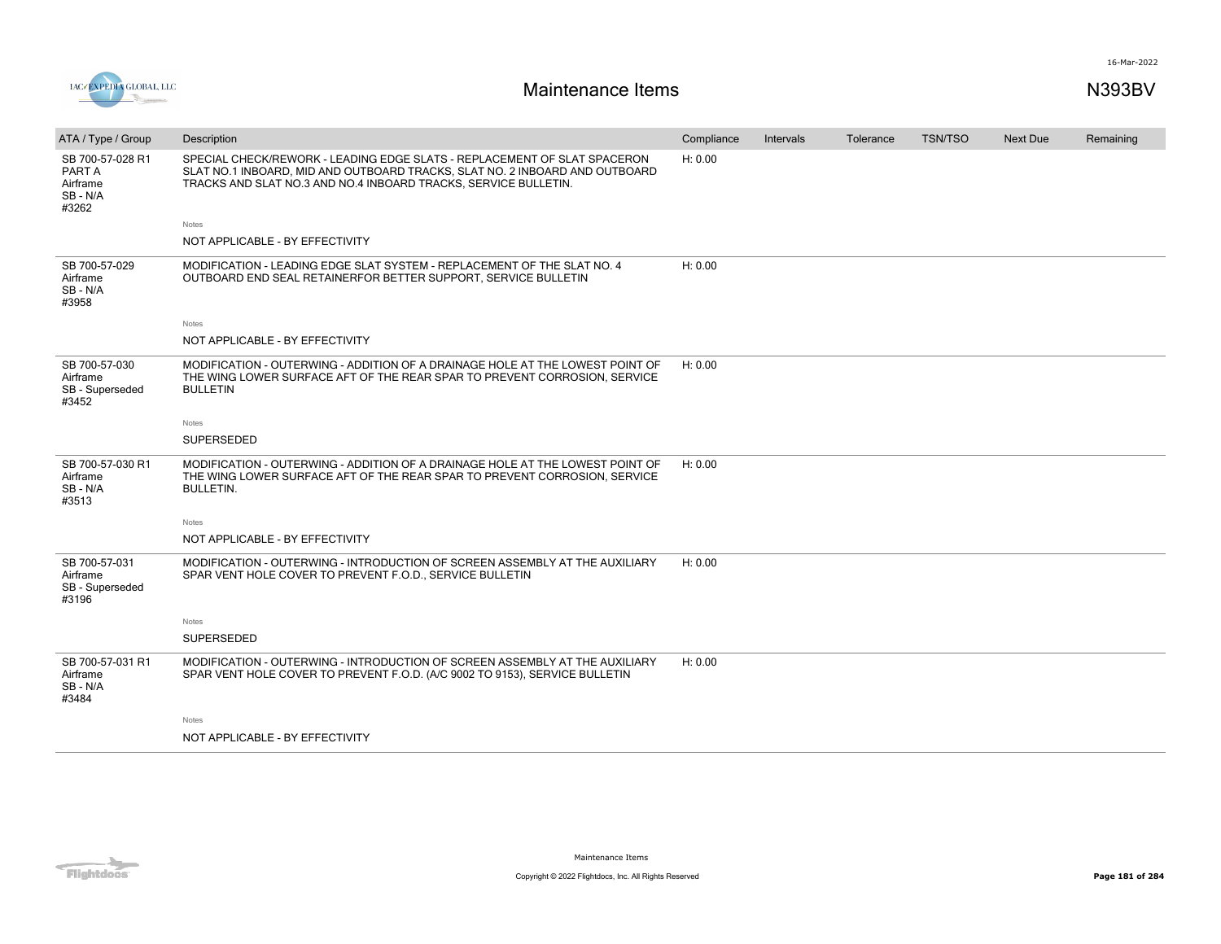

| ATA / Type / Group                                          | Description                                                                                                                                                                                                                | Compliance | Intervals | Tolerance | TSN/TSO | Next Due | Remaining |
|-------------------------------------------------------------|----------------------------------------------------------------------------------------------------------------------------------------------------------------------------------------------------------------------------|------------|-----------|-----------|---------|----------|-----------|
| SB 700-57-028 R1<br>PART A<br>Airframe<br>SB - N/A<br>#3262 | SPECIAL CHECK/REWORK - LEADING EDGE SLATS - REPLACEMENT OF SLAT SPACERON<br>SLAT NO.1 INBOARD, MID AND OUTBOARD TRACKS, SLAT NO. 2 INBOARD AND OUTBOARD<br>TRACKS AND SLAT NO.3 AND NO.4 INBOARD TRACKS, SERVICE BULLETIN. | H: 0.00    |           |           |         |          |           |
|                                                             | Notes                                                                                                                                                                                                                      |            |           |           |         |          |           |
|                                                             | NOT APPLICABLE - BY EFFECTIVITY                                                                                                                                                                                            |            |           |           |         |          |           |
| SB 700-57-029<br>Airframe<br>SB-N/A<br>#3958                | MODIFICATION - LEADING EDGE SLAT SYSTEM - REPLACEMENT OF THE SLAT NO. 4<br>OUTBOARD END SEAL RETAINERFOR BETTER SUPPORT, SERVICE BULLETIN                                                                                  | H: 0.00    |           |           |         |          |           |
|                                                             | Notes                                                                                                                                                                                                                      |            |           |           |         |          |           |
|                                                             | NOT APPLICABLE - BY EFFECTIVITY                                                                                                                                                                                            |            |           |           |         |          |           |
| SB 700-57-030<br>Airframe<br>SB - Superseded<br>#3452       | MODIFICATION - OUTERWING - ADDITION OF A DRAINAGE HOLE AT THE LOWEST POINT OF<br>THE WING LOWER SURFACE AFT OF THE REAR SPAR TO PREVENT CORROSION, SERVICE<br><b>BULLETIN</b>                                              | H: 0.00    |           |           |         |          |           |
|                                                             | Notes                                                                                                                                                                                                                      |            |           |           |         |          |           |
|                                                             | <b>SUPERSEDED</b>                                                                                                                                                                                                          |            |           |           |         |          |           |
| SB 700-57-030 R1<br>Airframe<br>SB - N/A<br>#3513           | MODIFICATION - OUTERWING - ADDITION OF A DRAINAGE HOLE AT THE LOWEST POINT OF<br>THE WING LOWER SURFACE AFT OF THE REAR SPAR TO PREVENT CORROSION, SERVICE<br><b>BULLETIN.</b>                                             | H: 0.00    |           |           |         |          |           |
|                                                             | Notes                                                                                                                                                                                                                      |            |           |           |         |          |           |
|                                                             | NOT APPLICABLE - BY EFFECTIVITY                                                                                                                                                                                            |            |           |           |         |          |           |
| SB 700-57-031<br>Airframe<br>SB - Superseded<br>#3196       | MODIFICATION - OUTERWING - INTRODUCTION OF SCREEN ASSEMBLY AT THE AUXILIARY<br>SPAR VENT HOLE COVER TO PREVENT F.O.D., SERVICE BULLETIN                                                                                    | H: 0.00    |           |           |         |          |           |
|                                                             | Notes                                                                                                                                                                                                                      |            |           |           |         |          |           |
|                                                             | <b>SUPERSEDED</b>                                                                                                                                                                                                          |            |           |           |         |          |           |
| SB 700-57-031 R1<br>Airframe<br>SB-N/A<br>#3484             | MODIFICATION - OUTERWING - INTRODUCTION OF SCREEN ASSEMBLY AT THE AUXILIARY<br>SPAR VENT HOLE COVER TO PREVENT F.O.D. (A/C 9002 TO 9153), SERVICE BULLETIN                                                                 | H: 0.00    |           |           |         |          |           |
|                                                             | Notes                                                                                                                                                                                                                      |            |           |           |         |          |           |
|                                                             | NOT APPLICABLE - BY EFFECTIVITY                                                                                                                                                                                            |            |           |           |         |          |           |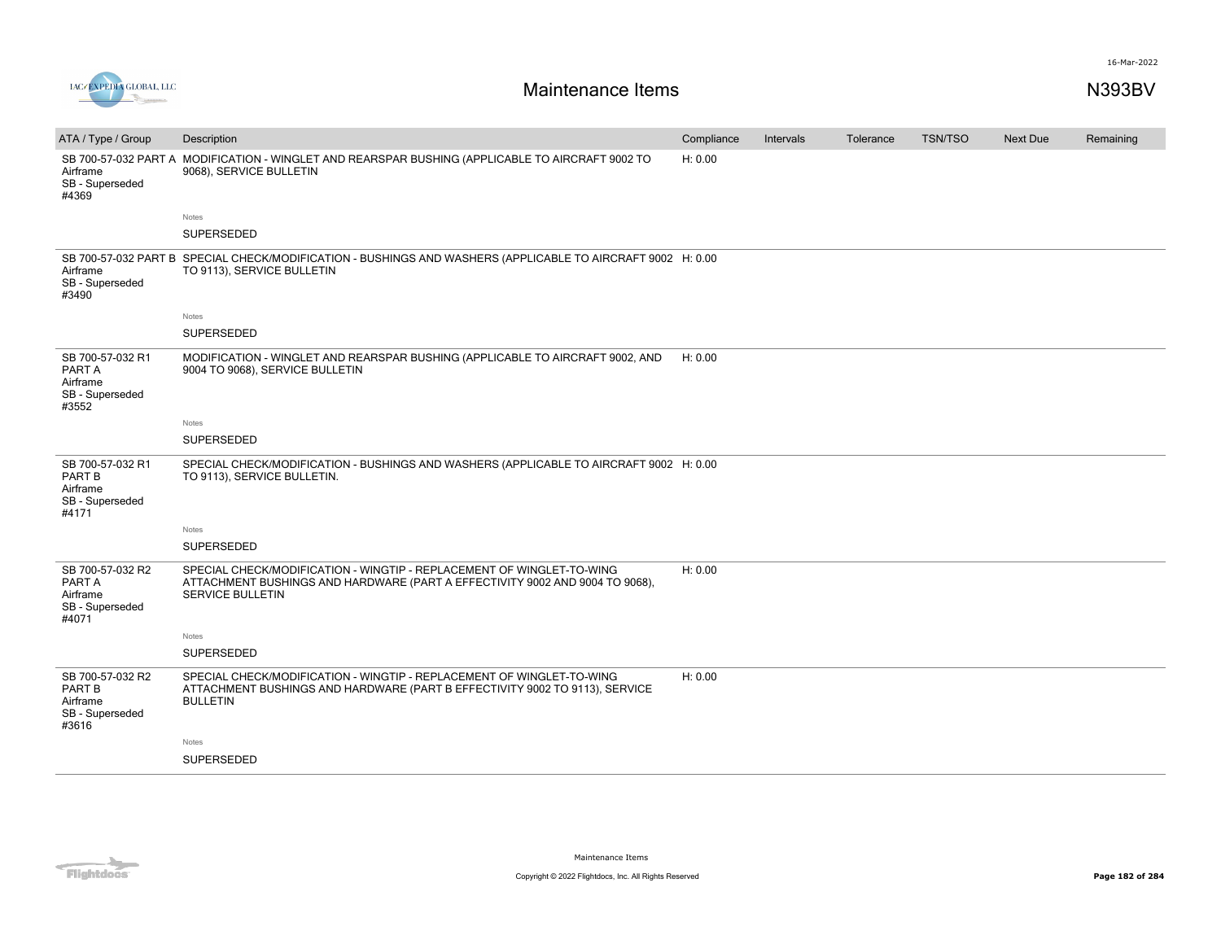

| ATA / Type / Group                                                 | Description                                                                                                                                                                      | Compliance | Intervals | Tolerance | <b>TSN/TSO</b> | <b>Next Due</b> | Remaining |
|--------------------------------------------------------------------|----------------------------------------------------------------------------------------------------------------------------------------------------------------------------------|------------|-----------|-----------|----------------|-----------------|-----------|
| SB 700-57-032 PART A<br>Airframe<br>SB - Superseded<br>#4369       | MODIFICATION - WINGLET AND REARSPAR BUSHING (APPLICABLE TO AIRCRAFT 9002 TO<br>9068), SERVICE BULLETIN                                                                           | H: 0.00    |           |           |                |                 |           |
|                                                                    | Notes                                                                                                                                                                            |            |           |           |                |                 |           |
|                                                                    | SUPERSEDED                                                                                                                                                                       |            |           |           |                |                 |           |
| Airframe<br>SB - Superseded<br>#3490                               | SB 700-57-032 PART B SPECIAL CHECK/MODIFICATION - BUSHINGS AND WASHERS (APPLICABLE TO AIRCRAFT 9002 H: 0.00<br>TO 9113), SERVICE BULLETIN                                        |            |           |           |                |                 |           |
|                                                                    | Notes                                                                                                                                                                            |            |           |           |                |                 |           |
|                                                                    | SUPERSEDED                                                                                                                                                                       |            |           |           |                |                 |           |
| SB 700-57-032 R1<br>PART A<br>Airframe<br>SB - Superseded<br>#3552 | MODIFICATION - WINGLET AND REARSPAR BUSHING (APPLICABLE TO AIRCRAFT 9002, AND<br>9004 TO 9068), SERVICE BULLETIN                                                                 | H: 0.00    |           |           |                |                 |           |
|                                                                    | Notes                                                                                                                                                                            |            |           |           |                |                 |           |
|                                                                    | <b>SUPERSEDED</b>                                                                                                                                                                |            |           |           |                |                 |           |
| SB 700-57-032 R1<br>PART B<br>Airframe<br>SB - Superseded<br>#4171 | SPECIAL CHECK/MODIFICATION - BUSHINGS AND WASHERS (APPLICABLE TO AIRCRAFT 9002 H: 0.00<br>TO 9113), SERVICE BULLETIN.                                                            |            |           |           |                |                 |           |
|                                                                    | Notes                                                                                                                                                                            |            |           |           |                |                 |           |
|                                                                    | SUPERSEDED                                                                                                                                                                       |            |           |           |                |                 |           |
| SB 700-57-032 R2<br>PART A<br>Airframe<br>SB - Superseded<br>#4071 | SPECIAL CHECK/MODIFICATION - WINGTIP - REPLACEMENT OF WINGLET-TO-WING<br>ATTACHMENT BUSHINGS AND HARDWARE (PART A EFFECTIVITY 9002 AND 9004 TO 9068),<br><b>SERVICE BULLETIN</b> | H: 0.00    |           |           |                |                 |           |
|                                                                    | Notes                                                                                                                                                                            |            |           |           |                |                 |           |
|                                                                    | SUPERSEDED                                                                                                                                                                       |            |           |           |                |                 |           |
| SB 700-57-032 R2<br>PART B<br>Airframe<br>SB - Superseded<br>#3616 | SPECIAL CHECK/MODIFICATION - WINGTIP - REPLACEMENT OF WINGLET-TO-WING<br>ATTACHMENT BUSHINGS AND HARDWARE (PART B EFFECTIVITY 9002 TO 9113), SERVICE<br><b>BULLETIN</b>          | H: 0.00    |           |           |                |                 |           |
|                                                                    | Notes                                                                                                                                                                            |            |           |           |                |                 |           |
|                                                                    | SUPERSEDED                                                                                                                                                                       |            |           |           |                |                 |           |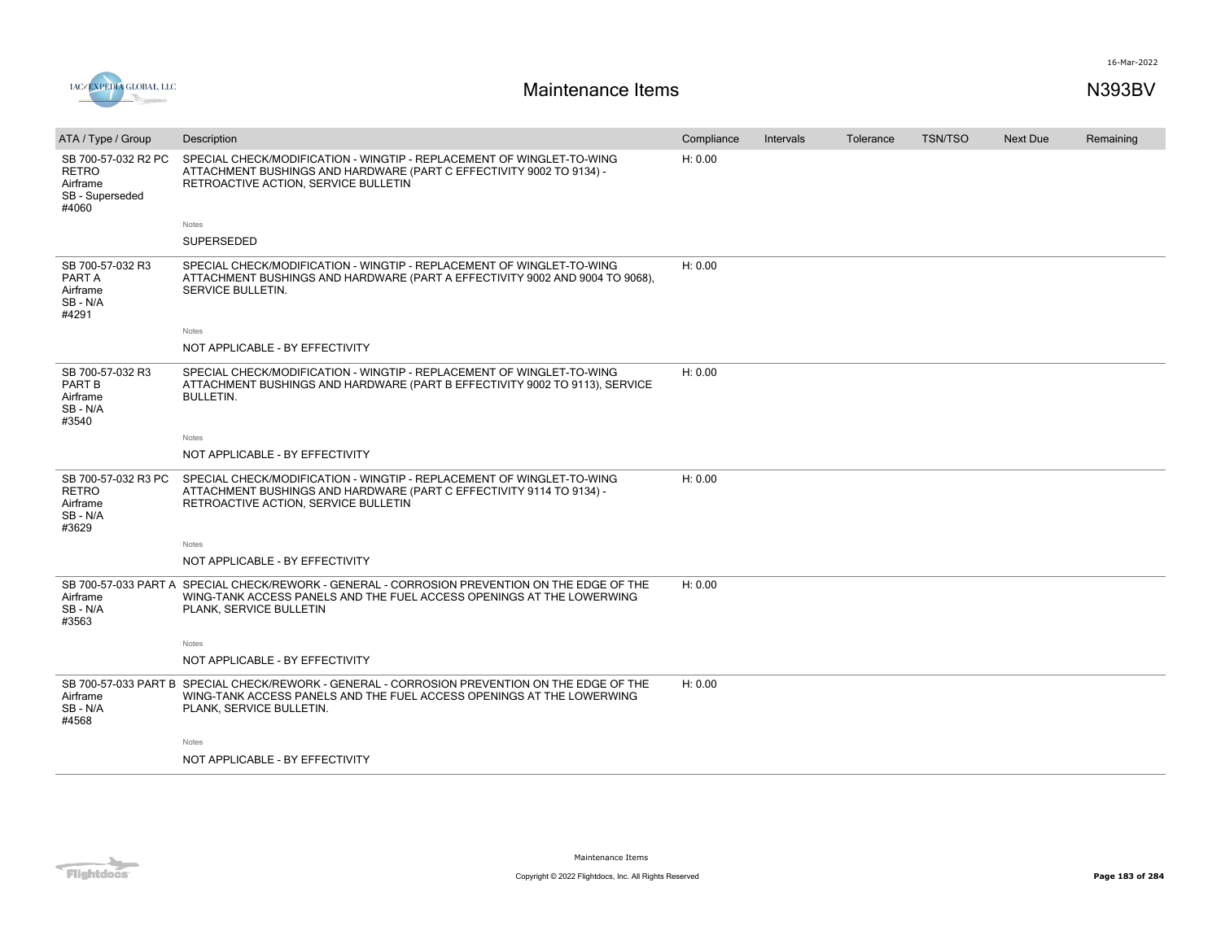

| ATA / Type / Group                                                          | Description                                                                                                                                                                                        | Compliance | Intervals | Tolerance | <b>TSN/TSO</b> | <b>Next Due</b> | Remaining |
|-----------------------------------------------------------------------------|----------------------------------------------------------------------------------------------------------------------------------------------------------------------------------------------------|------------|-----------|-----------|----------------|-----------------|-----------|
| SB 700-57-032 R2 PC<br><b>RETRO</b><br>Airframe<br>SB - Superseded<br>#4060 | SPECIAL CHECK/MODIFICATION - WINGTIP - REPLACEMENT OF WINGLET-TO-WING<br>ATTACHMENT BUSHINGS AND HARDWARE (PART C EFFECTIVITY 9002 TO 9134) -<br>RETROACTIVE ACTION, SERVICE BULLETIN              | H: 0.00    |           |           |                |                 |           |
|                                                                             | Notes                                                                                                                                                                                              |            |           |           |                |                 |           |
|                                                                             | SUPERSEDED                                                                                                                                                                                         |            |           |           |                |                 |           |
| SB 700-57-032 R3<br>PART A<br>Airframe<br>SB-N/A<br>#4291                   | SPECIAL CHECK/MODIFICATION - WINGTIP - REPLACEMENT OF WINGLET-TO-WING<br>ATTACHMENT BUSHINGS AND HARDWARE (PART A EFFECTIVITY 9002 AND 9004 TO 9068),<br>SERVICE BULLETIN.                         | H: 0.00    |           |           |                |                 |           |
|                                                                             | Notes                                                                                                                                                                                              |            |           |           |                |                 |           |
|                                                                             | NOT APPLICABLE - BY EFFECTIVITY                                                                                                                                                                    |            |           |           |                |                 |           |
| SB 700-57-032 R3<br>PART B<br>Airframe<br>SB - N/A<br>#3540                 | SPECIAL CHECK/MODIFICATION - WINGTIP - REPLACEMENT OF WINGLET-TO-WING<br>ATTACHMENT BUSHINGS AND HARDWARE (PART B EFFECTIVITY 9002 TO 9113), SERVICE<br><b>BULLETIN.</b>                           | H: 0.00    |           |           |                |                 |           |
|                                                                             | Notes                                                                                                                                                                                              |            |           |           |                |                 |           |
|                                                                             | NOT APPLICABLE - BY EFFECTIVITY                                                                                                                                                                    |            |           |           |                |                 |           |
| SB 700-57-032 R3 PC<br><b>RETRO</b><br>Airframe<br>SB - N/A<br>#3629        | SPECIAL CHECK/MODIFICATION - WINGTIP - REPLACEMENT OF WINGLET-TO-WING<br>ATTACHMENT BUSHINGS AND HARDWARE (PART C EFFECTIVITY 9114 TO 9134) -<br>RETROACTIVE ACTION, SERVICE BULLETIN              | H: 0.00    |           |           |                |                 |           |
|                                                                             | Notes                                                                                                                                                                                              |            |           |           |                |                 |           |
|                                                                             | NOT APPLICABLE - BY EFFECTIVITY                                                                                                                                                                    |            |           |           |                |                 |           |
| Airframe<br>SB - N/A<br>#3563                                               | SB 700-57-033 PART A SPECIAL CHECK/REWORK - GENERAL - CORROSION PREVENTION ON THE EDGE OF THE<br>WING-TANK ACCESS PANELS AND THE FUEL ACCESS OPENINGS AT THE LOWERWING<br>PLANK, SERVICE BULLETIN  | H: 0.00    |           |           |                |                 |           |
|                                                                             | Notes                                                                                                                                                                                              |            |           |           |                |                 |           |
|                                                                             | NOT APPLICABLE - BY EFFECTIVITY                                                                                                                                                                    |            |           |           |                |                 |           |
| Airframe<br>SB-N/A<br>#4568                                                 | SB 700-57-033 PART B SPECIAL CHECK/REWORK - GENERAL - CORROSION PREVENTION ON THE EDGE OF THE<br>WING-TANK ACCESS PANELS AND THE FUEL ACCESS OPENINGS AT THE LOWERWING<br>PLANK, SERVICE BULLETIN. | H: 0.00    |           |           |                |                 |           |
|                                                                             | Notes                                                                                                                                                                                              |            |           |           |                |                 |           |
|                                                                             | NOT APPLICABLE - BY EFFECTIVITY                                                                                                                                                                    |            |           |           |                |                 |           |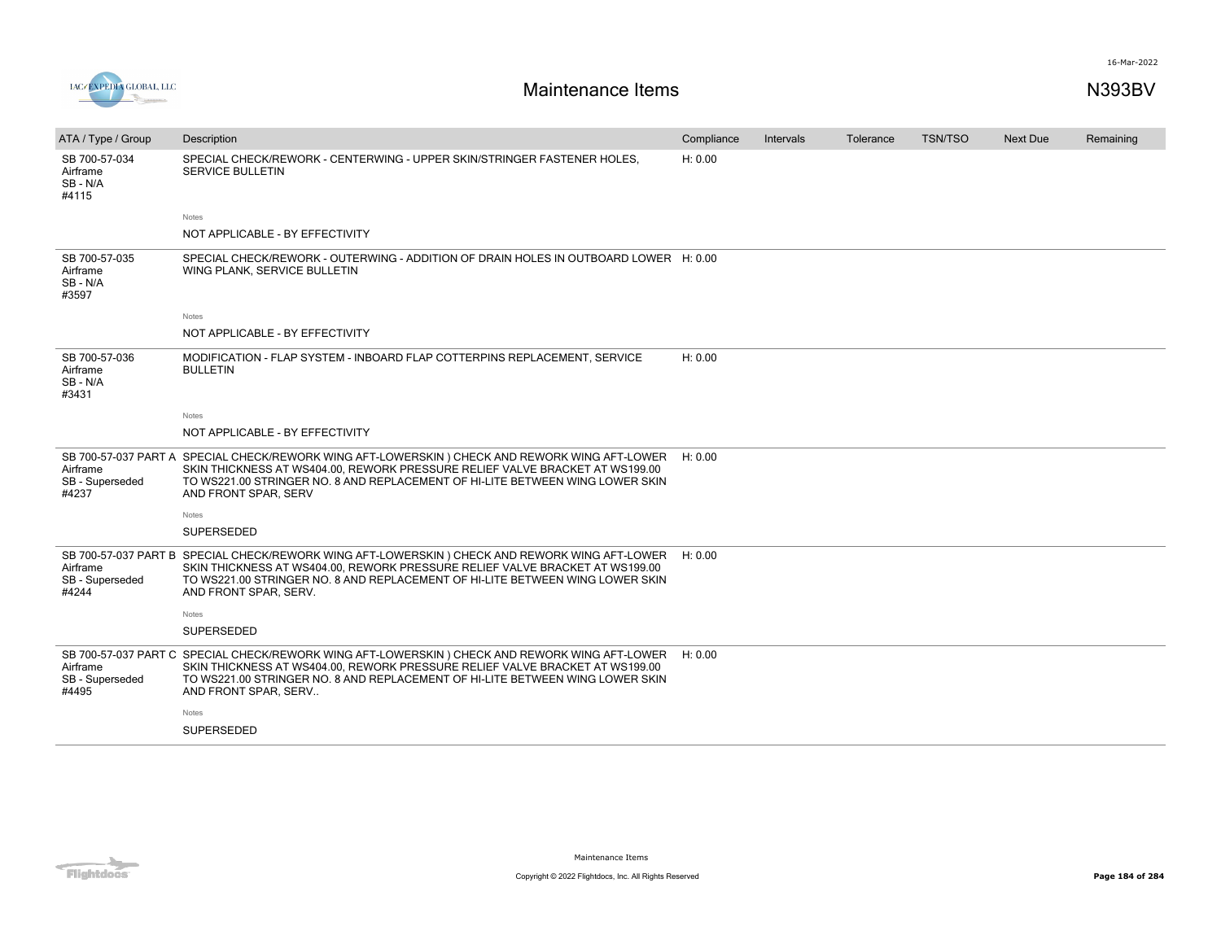



| ATA / Type / Group                                           | Description                                                                                                                                                                                                                                                                             | Compliance | Intervals | Tolerance | <b>TSN/TSO</b> | <b>Next Due</b> | Remaining |
|--------------------------------------------------------------|-----------------------------------------------------------------------------------------------------------------------------------------------------------------------------------------------------------------------------------------------------------------------------------------|------------|-----------|-----------|----------------|-----------------|-----------|
| SB 700-57-034<br>Airframe<br>SB-N/A<br>#4115                 | SPECIAL CHECK/REWORK - CENTERWING - UPPER SKIN/STRINGER FASTENER HOLES.<br><b>SERVICE BULLETIN</b>                                                                                                                                                                                      | H: 0.00    |           |           |                |                 |           |
|                                                              | <b>Notes</b>                                                                                                                                                                                                                                                                            |            |           |           |                |                 |           |
|                                                              | NOT APPLICABLE - BY EFFECTIVITY                                                                                                                                                                                                                                                         |            |           |           |                |                 |           |
| SB 700-57-035<br>Airframe<br>SB-N/A<br>#3597                 | SPECIAL CHECK/REWORK - OUTERWING - ADDITION OF DRAIN HOLES IN OUTBOARD LOWER H: 0.00<br>WING PLANK, SERVICE BULLETIN                                                                                                                                                                    |            |           |           |                |                 |           |
|                                                              | <b>Notes</b>                                                                                                                                                                                                                                                                            |            |           |           |                |                 |           |
|                                                              | NOT APPLICABLE - BY EFFECTIVITY                                                                                                                                                                                                                                                         |            |           |           |                |                 |           |
| SB 700-57-036<br>Airframe<br>SB-N/A<br>#3431                 | MODIFICATION - FLAP SYSTEM - INBOARD FLAP COTTERPINS REPLACEMENT, SERVICE<br><b>BULLETIN</b>                                                                                                                                                                                            | H: 0.00    |           |           |                |                 |           |
|                                                              | Notes                                                                                                                                                                                                                                                                                   |            |           |           |                |                 |           |
|                                                              | NOT APPLICABLE - BY EFFECTIVITY                                                                                                                                                                                                                                                         |            |           |           |                |                 |           |
| Airframe<br>SB - Superseded<br>#4237                         | SB 700-57-037 PART A SPECIAL CHECK/REWORK WING AFT-LOWERSKIN ) CHECK AND REWORK WING AFT-LOWER<br>SKIN THICKNESS AT WS404.00, REWORK PRESSURE RELIEF VALVE BRACKET AT WS199.00<br>TO WS221.00 STRINGER NO. 8 AND REPLACEMENT OF HI-LITE BETWEEN WING LOWER SKIN<br>AND FRONT SPAR, SERV | H: 0.00    |           |           |                |                 |           |
|                                                              | Notes                                                                                                                                                                                                                                                                                   |            |           |           |                |                 |           |
|                                                              | SUPERSEDED                                                                                                                                                                                                                                                                              |            |           |           |                |                 |           |
| SB 700-57-037 PART B<br>Airframe<br>SB - Superseded<br>#4244 | SPECIAL CHECK/REWORK WING AFT-LOWERSKIN ) CHECK AND REWORK WING AFT-LOWER<br>SKIN THICKNESS AT WS404.00. REWORK PRESSURE RELIEF VALVE BRACKET AT WS199.00<br>TO WS221.00 STRINGER NO. 8 AND REPLACEMENT OF HI-LITE BETWEEN WING LOWER SKIN<br>AND FRONT SPAR, SERV.                     | H: 0.00    |           |           |                |                 |           |
|                                                              | <b>Notes</b>                                                                                                                                                                                                                                                                            |            |           |           |                |                 |           |
|                                                              | <b>SUPERSEDED</b>                                                                                                                                                                                                                                                                       |            |           |           |                |                 |           |
| SB 700-57-037 PART C<br>Airframe<br>SB - Superseded<br>#4495 | SPECIAL CHECK/REWORK WING AFT-LOWERSKIN ) CHECK AND REWORK WING AFT-LOWER<br>SKIN THICKNESS AT WS404.00. REWORK PRESSURE RELIEF VALVE BRACKET AT WS199.00<br>TO WS221.00 STRINGER NO. 8 AND REPLACEMENT OF HI-LITE BETWEEN WING LOWER SKIN<br>AND FRONT SPAR, SERV                      | H: 0.00    |           |           |                |                 |           |
|                                                              | Notes                                                                                                                                                                                                                                                                                   |            |           |           |                |                 |           |
|                                                              | SUPERSEDED                                                                                                                                                                                                                                                                              |            |           |           |                |                 |           |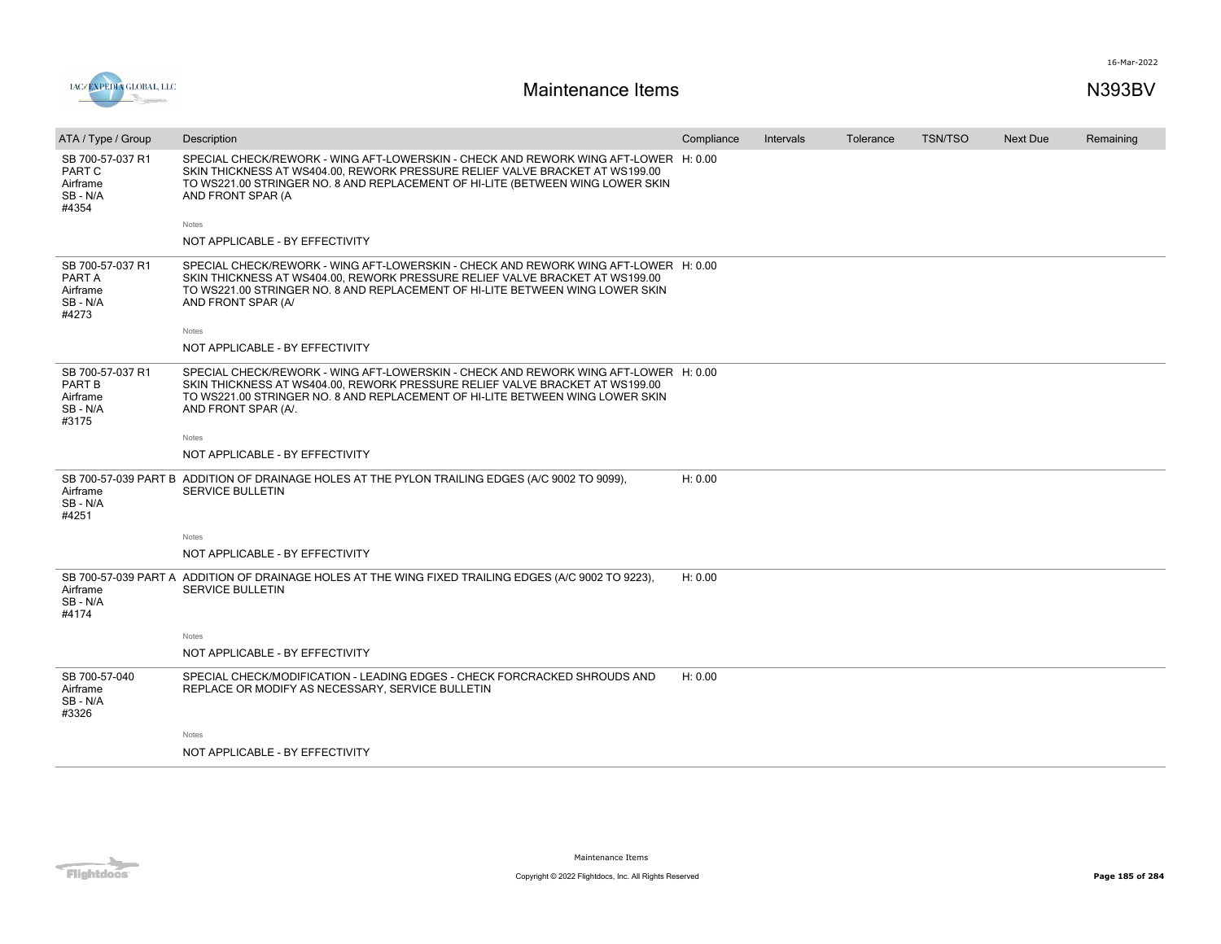

| ATA / Type / Group                                          | Description                                                                                                                                                                                                                                                                 | Compliance | Intervals | Tolerance | <b>TSN/TSO</b> | <b>Next Due</b> | Remaining |
|-------------------------------------------------------------|-----------------------------------------------------------------------------------------------------------------------------------------------------------------------------------------------------------------------------------------------------------------------------|------------|-----------|-----------|----------------|-----------------|-----------|
| SB 700-57-037 R1<br>PART C<br>Airframe<br>SB-N/A<br>#4354   | SPECIAL CHECK/REWORK - WING AFT-LOWERSKIN - CHECK AND REWORK WING AFT-LOWER H: 0.00<br>SKIN THICKNESS AT WS404.00, REWORK PRESSURE RELIEF VALVE BRACKET AT WS199.00<br>TO WS221.00 STRINGER NO. 8 AND REPLACEMENT OF HI-LITE (BETWEEN WING LOWER SKIN<br>AND FRONT SPAR (A  |            |           |           |                |                 |           |
|                                                             | Notes                                                                                                                                                                                                                                                                       |            |           |           |                |                 |           |
|                                                             | NOT APPLICABLE - BY EFFECTIVITY                                                                                                                                                                                                                                             |            |           |           |                |                 |           |
| SB 700-57-037 R1<br>PART A<br>Airframe<br>SB - N/A<br>#4273 | SPECIAL CHECK/REWORK - WING AFT-LOWERSKIN - CHECK AND REWORK WING AFT-LOWER H: 0.00<br>SKIN THICKNESS AT WS404.00, REWORK PRESSURE RELIEF VALVE BRACKET AT WS199.00<br>TO WS221.00 STRINGER NO. 8 AND REPLACEMENT OF HI-LITE BETWEEN WING LOWER SKIN<br>AND FRONT SPAR (A/  |            |           |           |                |                 |           |
|                                                             | Notes                                                                                                                                                                                                                                                                       |            |           |           |                |                 |           |
|                                                             | NOT APPLICABLE - BY EFFECTIVITY                                                                                                                                                                                                                                             |            |           |           |                |                 |           |
| SB 700-57-037 R1<br>PART B<br>Airframe<br>SB-N/A<br>#3175   | SPECIAL CHECK/REWORK - WING AFT-LOWERSKIN - CHECK AND REWORK WING AFT-LOWER H: 0.00<br>SKIN THICKNESS AT WS404.00, REWORK PRESSURE RELIEF VALVE BRACKET AT WS199.00<br>TO WS221.00 STRINGER NO. 8 AND REPLACEMENT OF HI-LITE BETWEEN WING LOWER SKIN<br>AND FRONT SPAR (A/. |            |           |           |                |                 |           |
|                                                             | Notes                                                                                                                                                                                                                                                                       |            |           |           |                |                 |           |
|                                                             | NOT APPLICABLE - BY EFFECTIVITY                                                                                                                                                                                                                                             |            |           |           |                |                 |           |
| Airframe<br>SB-N/A<br>#4251                                 | SB 700-57-039 PART B ADDITION OF DRAINAGE HOLES AT THE PYLON TRAILING EDGES (A/C 9002 TO 9099),<br><b>SERVICE BULLETIN</b>                                                                                                                                                  | H: 0.00    |           |           |                |                 |           |
|                                                             | Notes                                                                                                                                                                                                                                                                       |            |           |           |                |                 |           |
|                                                             | NOT APPLICABLE - BY EFFECTIVITY                                                                                                                                                                                                                                             |            |           |           |                |                 |           |
| Airframe<br>SB - N/A<br>#4174                               | SB 700-57-039 PART A ADDITION OF DRAINAGE HOLES AT THE WING FIXED TRAILING EDGES (A/C 9002 TO 9223),<br><b>SERVICE BULLETIN</b>                                                                                                                                             | H: 0.00    |           |           |                |                 |           |
|                                                             | Notes                                                                                                                                                                                                                                                                       |            |           |           |                |                 |           |
|                                                             | NOT APPLICABLE - BY EFFECTIVITY                                                                                                                                                                                                                                             |            |           |           |                |                 |           |
| SB 700-57-040<br>Airframe<br>SB-N/A<br>#3326                | SPECIAL CHECK/MODIFICATION - LEADING EDGES - CHECK FORCRACKED SHROUDS AND<br>REPLACE OR MODIFY AS NECESSARY, SERVICE BULLETIN                                                                                                                                               | H: 0.00    |           |           |                |                 |           |
|                                                             | Notes                                                                                                                                                                                                                                                                       |            |           |           |                |                 |           |
|                                                             | NOT APPLICABLE - BY EFFECTIVITY                                                                                                                                                                                                                                             |            |           |           |                |                 |           |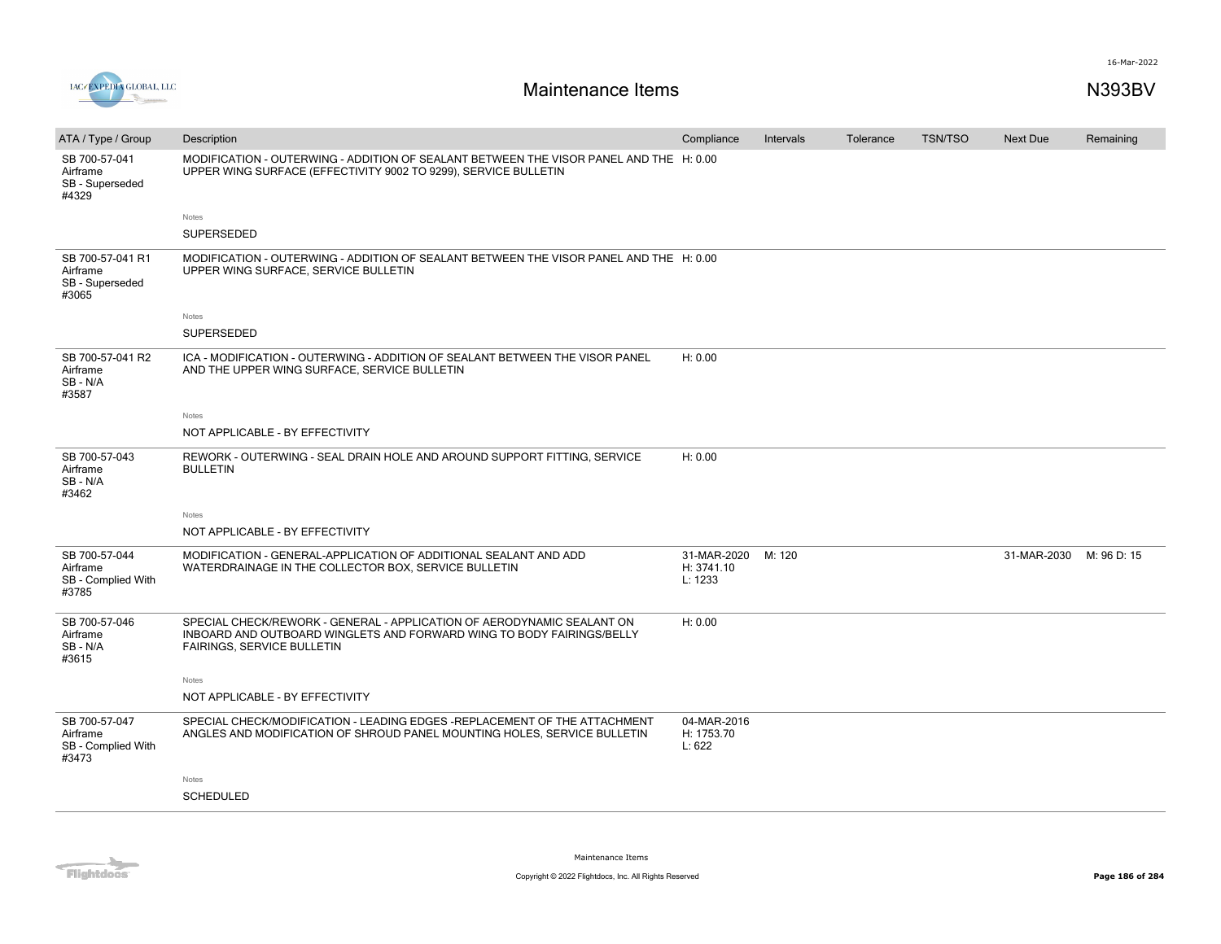

| ATA / Type / Group                                       | Description                                                                                                                                                                   | Compliance                           | Intervals | Tolerance | <b>TSN/TSO</b> | <b>Next Due</b> | Remaining   |
|----------------------------------------------------------|-------------------------------------------------------------------------------------------------------------------------------------------------------------------------------|--------------------------------------|-----------|-----------|----------------|-----------------|-------------|
| SB 700-57-041<br>Airframe<br>SB - Superseded<br>#4329    | MODIFICATION - OUTERWING - ADDITION OF SEALANT BETWEEN THE VISOR PANEL AND THE H: 0.00<br>UPPER WING SURFACE (EFFECTIVITY 9002 TO 9299), SERVICE BULLETIN                     |                                      |           |           |                |                 |             |
|                                                          | Notes                                                                                                                                                                         |                                      |           |           |                |                 |             |
|                                                          | SUPERSEDED                                                                                                                                                                    |                                      |           |           |                |                 |             |
| SB 700-57-041 R1<br>Airframe<br>SB - Superseded<br>#3065 | MODIFICATION - OUTERWING - ADDITION OF SEALANT BETWEEN THE VISOR PANEL AND THE H: 0.00<br>UPPER WING SURFACE, SERVICE BULLETIN                                                |                                      |           |           |                |                 |             |
|                                                          | Notes                                                                                                                                                                         |                                      |           |           |                |                 |             |
|                                                          | SUPERSEDED                                                                                                                                                                    |                                      |           |           |                |                 |             |
| SB 700-57-041 R2<br>Airframe<br>SB - N/A<br>#3587        | ICA - MODIFICATION - OUTERWING - ADDITION OF SEALANT BETWEEN THE VISOR PANEL<br>AND THE UPPER WING SURFACE, SERVICE BULLETIN                                                  | H: 0.00                              |           |           |                |                 |             |
|                                                          | Notes                                                                                                                                                                         |                                      |           |           |                |                 |             |
|                                                          | NOT APPLICABLE - BY EFFECTIVITY                                                                                                                                               |                                      |           |           |                |                 |             |
| SB 700-57-043<br>Airframe<br>SB-N/A<br>#3462             | REWORK - OUTERWING - SEAL DRAIN HOLE AND AROUND SUPPORT FITTING, SERVICE<br><b>BULLETIN</b>                                                                                   | H: 0.00                              |           |           |                |                 |             |
|                                                          | Notes                                                                                                                                                                         |                                      |           |           |                |                 |             |
|                                                          | NOT APPLICABLE - BY EFFECTIVITY                                                                                                                                               |                                      |           |           |                |                 |             |
| SB 700-57-044<br>Airframe<br>SB - Complied With<br>#3785 | MODIFICATION - GENERAL-APPLICATION OF ADDITIONAL SEALANT AND ADD<br>WATERDRAINAGE IN THE COLLECTOR BOX, SERVICE BULLETIN                                                      | 31-MAR-2020<br>H: 3741.10<br>L: 1233 | M: 120    |           |                | 31-MAR-2030     | M: 96 D: 15 |
| SB 700-57-046<br>Airframe<br>SB - N/A<br>#3615           | SPECIAL CHECK/REWORK - GENERAL - APPLICATION OF AERODYNAMIC SEALANT ON<br>INBOARD AND OUTBOARD WINGLETS AND FORWARD WING TO BODY FAIRINGS/BELLY<br>FAIRINGS, SERVICE BULLETIN | H: 0.00                              |           |           |                |                 |             |
|                                                          | Notes                                                                                                                                                                         |                                      |           |           |                |                 |             |
|                                                          | NOT APPLICABLE - BY EFFECTIVITY                                                                                                                                               |                                      |           |           |                |                 |             |
| SB 700-57-047<br>Airframe<br>SB - Complied With<br>#3473 | SPECIAL CHECK/MODIFICATION - LEADING EDGES - REPLACEMENT OF THE ATTACHMENT<br>ANGLES AND MODIFICATION OF SHROUD PANEL MOUNTING HOLES, SERVICE BULLETIN                        | 04-MAR-2016<br>H: 1753.70<br>L: 622  |           |           |                |                 |             |
|                                                          | Notes                                                                                                                                                                         |                                      |           |           |                |                 |             |
|                                                          | <b>SCHEDULED</b>                                                                                                                                                              |                                      |           |           |                |                 |             |
|                                                          |                                                                                                                                                                               |                                      |           |           |                |                 |             |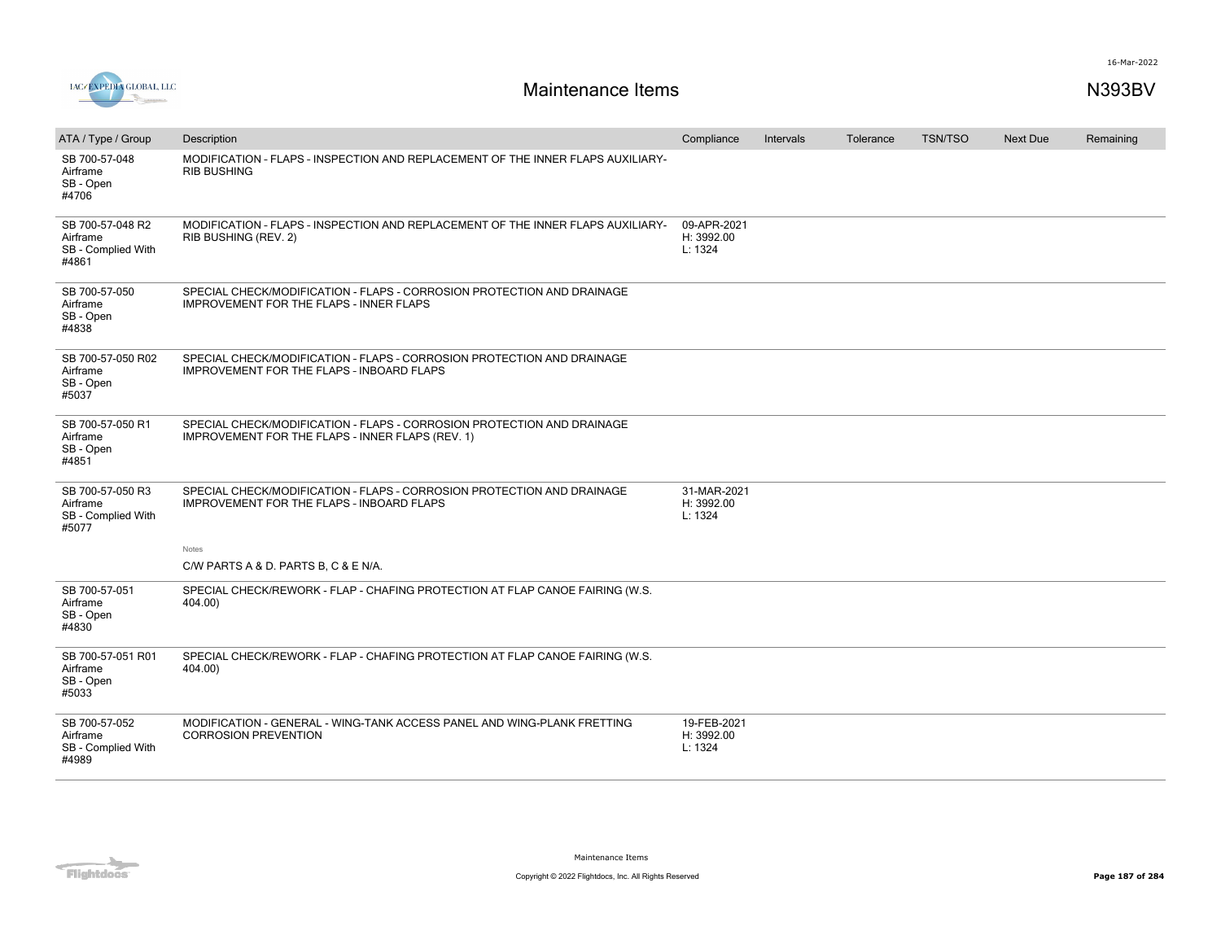

| ATA / Type / Group                                          | Description                                                                                                                | Compliance                           | Intervals | Tolerance | <b>TSN/TSO</b> | Next Due | Remaining |
|-------------------------------------------------------------|----------------------------------------------------------------------------------------------------------------------------|--------------------------------------|-----------|-----------|----------------|----------|-----------|
| SB 700-57-048<br>Airframe<br>SB - Open<br>#4706             | MODIFICATION - FLAPS - INSPECTION AND REPLACEMENT OF THE INNER FLAPS AUXILIARY-<br><b>RIB BUSHING</b>                      |                                      |           |           |                |          |           |
| SB 700-57-048 R2<br>Airframe<br>SB - Complied With<br>#4861 | MODIFICATION - FLAPS - INSPECTION AND REPLACEMENT OF THE INNER FLAPS AUXILIARY-<br>RIB BUSHING (REV. 2)                    | 09-APR-2021<br>H: 3992.00<br>L: 1324 |           |           |                |          |           |
| SB 700-57-050<br>Airframe<br>SB - Open<br>#4838             | SPECIAL CHECK/MODIFICATION - FLAPS - CORROSION PROTECTION AND DRAINAGE<br><b>IMPROVEMENT FOR THE FLAPS - INNER FLAPS</b>   |                                      |           |           |                |          |           |
| SB 700-57-050 R02<br>Airframe<br>SB - Open<br>#5037         | SPECIAL CHECK/MODIFICATION - FLAPS - CORROSION PROTECTION AND DRAINAGE<br><b>IMPROVEMENT FOR THE FLAPS - INBOARD FLAPS</b> |                                      |           |           |                |          |           |
| SB 700-57-050 R1<br>Airframe<br>SB - Open<br>#4851          | SPECIAL CHECK/MODIFICATION - FLAPS - CORROSION PROTECTION AND DRAINAGE<br>IMPROVEMENT FOR THE FLAPS - INNER FLAPS (REV. 1) |                                      |           |           |                |          |           |
| SB 700-57-050 R3<br>Airframe<br>SB - Complied With<br>#5077 | SPECIAL CHECK/MODIFICATION - FLAPS - CORROSION PROTECTION AND DRAINAGE<br>IMPROVEMENT FOR THE FLAPS - INBOARD FLAPS        | 31-MAR-2021<br>H: 3992.00<br>L: 1324 |           |           |                |          |           |
|                                                             | Notes<br>C/W PARTS A & D. PARTS B, C & E N/A.                                                                              |                                      |           |           |                |          |           |
| SB 700-57-051<br>Airframe<br>SB - Open<br>#4830             | SPECIAL CHECK/REWORK - FLAP - CHAFING PROTECTION AT FLAP CANOE FAIRING (W.S.<br>404.00)                                    |                                      |           |           |                |          |           |
| SB 700-57-051 R01<br>Airframe<br>SB - Open<br>#5033         | SPECIAL CHECK/REWORK - FLAP - CHAFING PROTECTION AT FLAP CANOE FAIRING (W.S.<br>404.00)                                    |                                      |           |           |                |          |           |
| SB 700-57-052<br>Airframe<br>SB - Complied With<br>#4989    | MODIFICATION - GENERAL - WING-TANK ACCESS PANEL AND WING-PLANK FRETTING<br><b>CORROSION PREVENTION</b>                     | 19-FEB-2021<br>H: 3992.00<br>L: 1324 |           |           |                |          |           |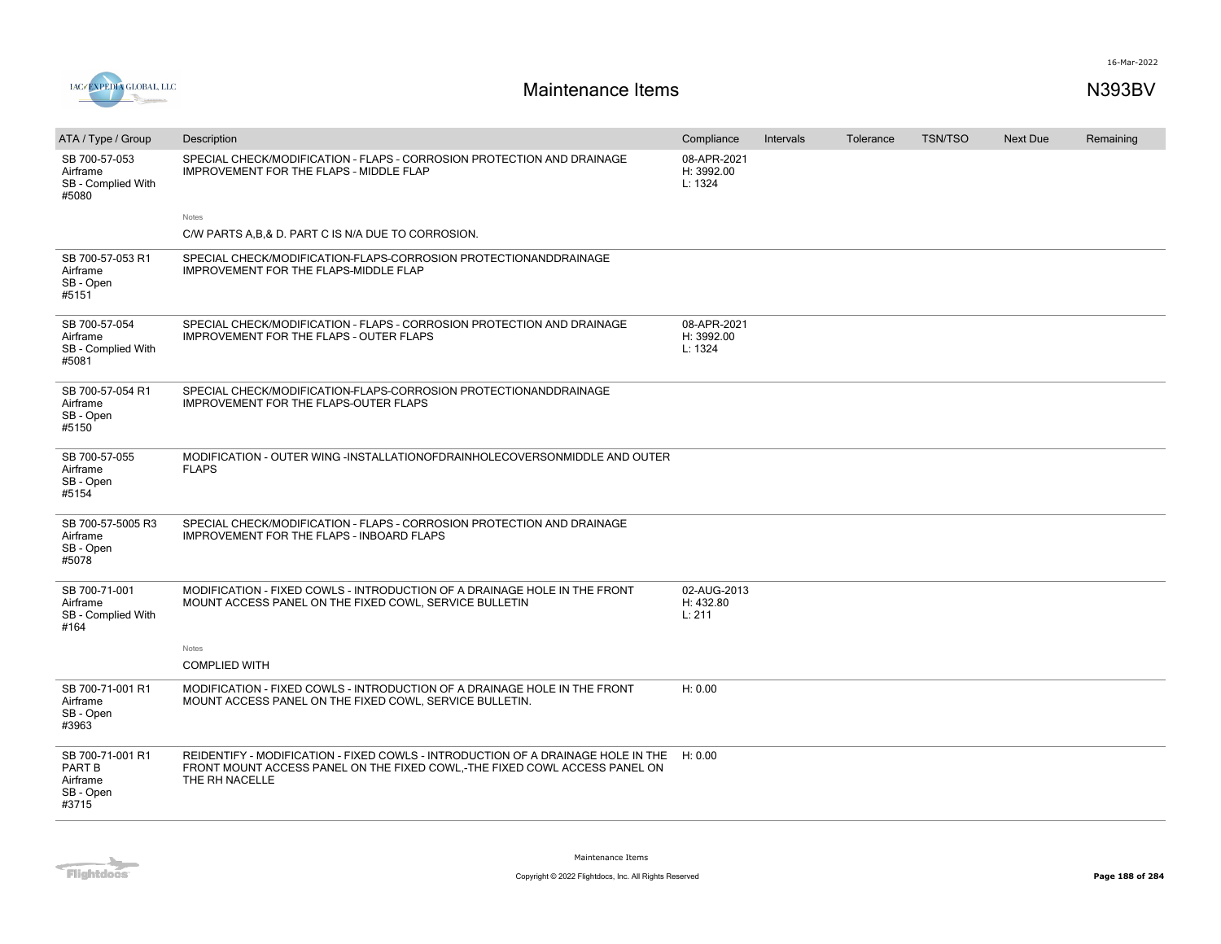

| ATA / Type / Group                                           | Description                                                                                                                                                                      | Compliance                           | Intervals | Tolerance | <b>TSN/TSO</b> | <b>Next Due</b> | Remaining |
|--------------------------------------------------------------|----------------------------------------------------------------------------------------------------------------------------------------------------------------------------------|--------------------------------------|-----------|-----------|----------------|-----------------|-----------|
| SB 700-57-053<br>Airframe<br>SB - Complied With<br>#5080     | SPECIAL CHECK/MODIFICATION - FLAPS - CORROSION PROTECTION AND DRAINAGE<br>IMPROVEMENT FOR THE FLAPS - MIDDLE FLAP                                                                | 08-APR-2021<br>H: 3992.00<br>L: 1324 |           |           |                |                 |           |
|                                                              | Notes                                                                                                                                                                            |                                      |           |           |                |                 |           |
|                                                              | C/W PARTS A, B, & D. PART C IS N/A DUE TO CORROSION.                                                                                                                             |                                      |           |           |                |                 |           |
| SB 700-57-053 R1<br>Airframe<br>SB - Open<br>#5151           | SPECIAL CHECK/MODIFICATION-FLAPS-CORROSION PROTECTIONANDDRAINAGE<br>IMPROVEMENT FOR THE FLAPS-MIDDLE FLAP                                                                        |                                      |           |           |                |                 |           |
| SB 700-57-054<br>Airframe<br>SB - Complied With<br>#5081     | SPECIAL CHECK/MODIFICATION - FLAPS - CORROSION PROTECTION AND DRAINAGE<br><b>IMPROVEMENT FOR THE FLAPS - OUTER FLAPS</b>                                                         | 08-APR-2021<br>H: 3992.00<br>L: 1324 |           |           |                |                 |           |
| SB 700-57-054 R1<br>Airframe<br>SB - Open<br>#5150           | SPECIAL CHECK/MODIFICATION-FLAPS-CORROSION PROTECTIONANDDRAINAGE<br><b>IMPROVEMENT FOR THE FLAPS-OUTER FLAPS</b>                                                                 |                                      |           |           |                |                 |           |
| SB 700-57-055<br>Airframe<br>SB - Open<br>#5154              | MODIFICATION - OUTER WING -INSTALLATIONOFDRAINHOLECOVERSONMIDDLE AND OUTER<br><b>FLAPS</b>                                                                                       |                                      |           |           |                |                 |           |
| SB 700-57-5005 R3<br>Airframe<br>SB - Open<br>#5078          | SPECIAL CHECK/MODIFICATION - FLAPS - CORROSION PROTECTION AND DRAINAGE<br><b>IMPROVEMENT FOR THE FLAPS - INBOARD FLAPS</b>                                                       |                                      |           |           |                |                 |           |
| SB 700-71-001<br>Airframe<br>SB - Complied With<br>#164      | MODIFICATION - FIXED COWLS - INTRODUCTION OF A DRAINAGE HOLE IN THE FRONT<br>MOUNT ACCESS PANEL ON THE FIXED COWL, SERVICE BULLETIN                                              | 02-AUG-2013<br>H: 432.80<br>L: 211   |           |           |                |                 |           |
|                                                              | Notes                                                                                                                                                                            |                                      |           |           |                |                 |           |
|                                                              | <b>COMPLIED WITH</b>                                                                                                                                                             |                                      |           |           |                |                 |           |
| SB 700-71-001 R1<br>Airframe<br>SB - Open<br>#3963           | MODIFICATION - FIXED COWLS - INTRODUCTION OF A DRAINAGE HOLE IN THE FRONT<br>MOUNT ACCESS PANEL ON THE FIXED COWL, SERVICE BULLETIN.                                             | H: 0.00                              |           |           |                |                 |           |
| SB 700-71-001 R1<br>PART B<br>Airframe<br>SB - Open<br>#3715 | REIDENTIFY - MODIFICATION - FIXED COWLS - INTRODUCTION OF A DRAINAGE HOLE IN THE<br>FRONT MOUNT ACCESS PANEL ON THE FIXED COWL,-THE FIXED COWL ACCESS PANEL ON<br>THE RH NACELLE | H: 0.00                              |           |           |                |                 |           |

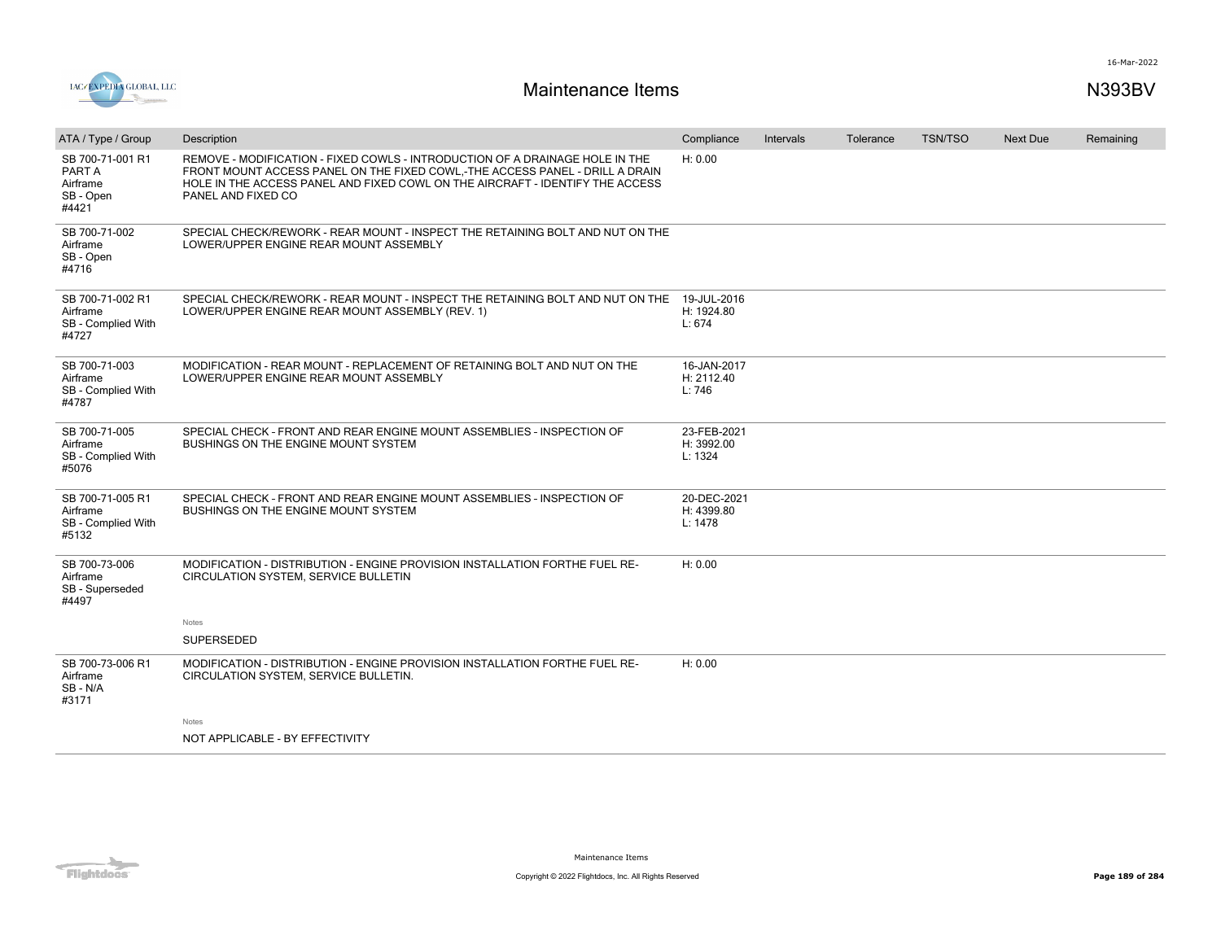

| ATA / Type / Group                                           | Description                                                                                                                                                                                                                                                         | Compliance                           | Intervals | Tolerance | <b>TSN/TSO</b> | Next Due | Remaining |
|--------------------------------------------------------------|---------------------------------------------------------------------------------------------------------------------------------------------------------------------------------------------------------------------------------------------------------------------|--------------------------------------|-----------|-----------|----------------|----------|-----------|
| SB 700-71-001 R1<br>PART A<br>Airframe<br>SB - Open<br>#4421 | REMOVE - MODIFICATION - FIXED COWLS - INTRODUCTION OF A DRAINAGE HOLE IN THE<br>FRONT MOUNT ACCESS PANEL ON THE FIXED COWL.-THE ACCESS PANEL - DRILL A DRAIN<br>HOLE IN THE ACCESS PANEL AND FIXED COWL ON THE AIRCRAFT - IDENTIFY THE ACCESS<br>PANEL AND FIXED CO | H: 0.00                              |           |           |                |          |           |
| SB 700-71-002<br>Airframe<br>SB - Open<br>#4716              | SPECIAL CHECK/REWORK - REAR MOUNT - INSPECT THE RETAINING BOLT AND NUT ON THE<br>LOWER/UPPER ENGINE REAR MOUNT ASSEMBLY                                                                                                                                             |                                      |           |           |                |          |           |
| SB 700-71-002 R1<br>Airframe<br>SB - Complied With<br>#4727  | SPECIAL CHECK/REWORK - REAR MOUNT - INSPECT THE RETAINING BOLT AND NUT ON THE<br>LOWER/UPPER ENGINE REAR MOUNT ASSEMBLY (REV. 1)                                                                                                                                    | 19-JUL-2016<br>H: 1924.80<br>L: 674  |           |           |                |          |           |
| SB 700-71-003<br>Airframe<br>SB - Complied With<br>#4787     | MODIFICATION - REAR MOUNT - REPLACEMENT OF RETAINING BOLT AND NUT ON THE<br>LOWER/UPPER ENGINE REAR MOUNT ASSEMBLY                                                                                                                                                  | 16-JAN-2017<br>H: 2112.40<br>L: 746  |           |           |                |          |           |
| SB 700-71-005<br>Airframe<br>SB - Complied With<br>#5076     | SPECIAL CHECK - FRONT AND REAR ENGINE MOUNT ASSEMBLIES - INSPECTION OF<br><b>BUSHINGS ON THE ENGINE MOUNT SYSTEM</b>                                                                                                                                                | 23-FEB-2021<br>H: 3992.00<br>L: 1324 |           |           |                |          |           |
| SB 700-71-005 R1<br>Airframe<br>SB - Complied With<br>#5132  | SPECIAL CHECK - FRONT AND REAR ENGINE MOUNT ASSEMBLIES - INSPECTION OF<br><b>BUSHINGS ON THE ENGINE MOUNT SYSTEM</b>                                                                                                                                                | 20-DEC-2021<br>H: 4399.80<br>L: 1478 |           |           |                |          |           |
| SB 700-73-006<br>Airframe<br>SB - Superseded<br>#4497        | MODIFICATION - DISTRIBUTION - ENGINE PROVISION INSTALLATION FORTHE FUEL RE-<br>CIRCULATION SYSTEM, SERVICE BULLETIN                                                                                                                                                 | H: 0.00                              |           |           |                |          |           |
|                                                              | Notes                                                                                                                                                                                                                                                               |                                      |           |           |                |          |           |
|                                                              | SUPERSEDED                                                                                                                                                                                                                                                          |                                      |           |           |                |          |           |
| SB 700-73-006 R1<br>Airframe<br>SB - N/A<br>#3171            | MODIFICATION - DISTRIBUTION - ENGINE PROVISION INSTALLATION FORTHE FUEL RE-<br>CIRCULATION SYSTEM, SERVICE BULLETIN.                                                                                                                                                | H: 0.00                              |           |           |                |          |           |
|                                                              | Notes                                                                                                                                                                                                                                                               |                                      |           |           |                |          |           |
|                                                              | NOT APPLICABLE - BY EFFECTIVITY                                                                                                                                                                                                                                     |                                      |           |           |                |          |           |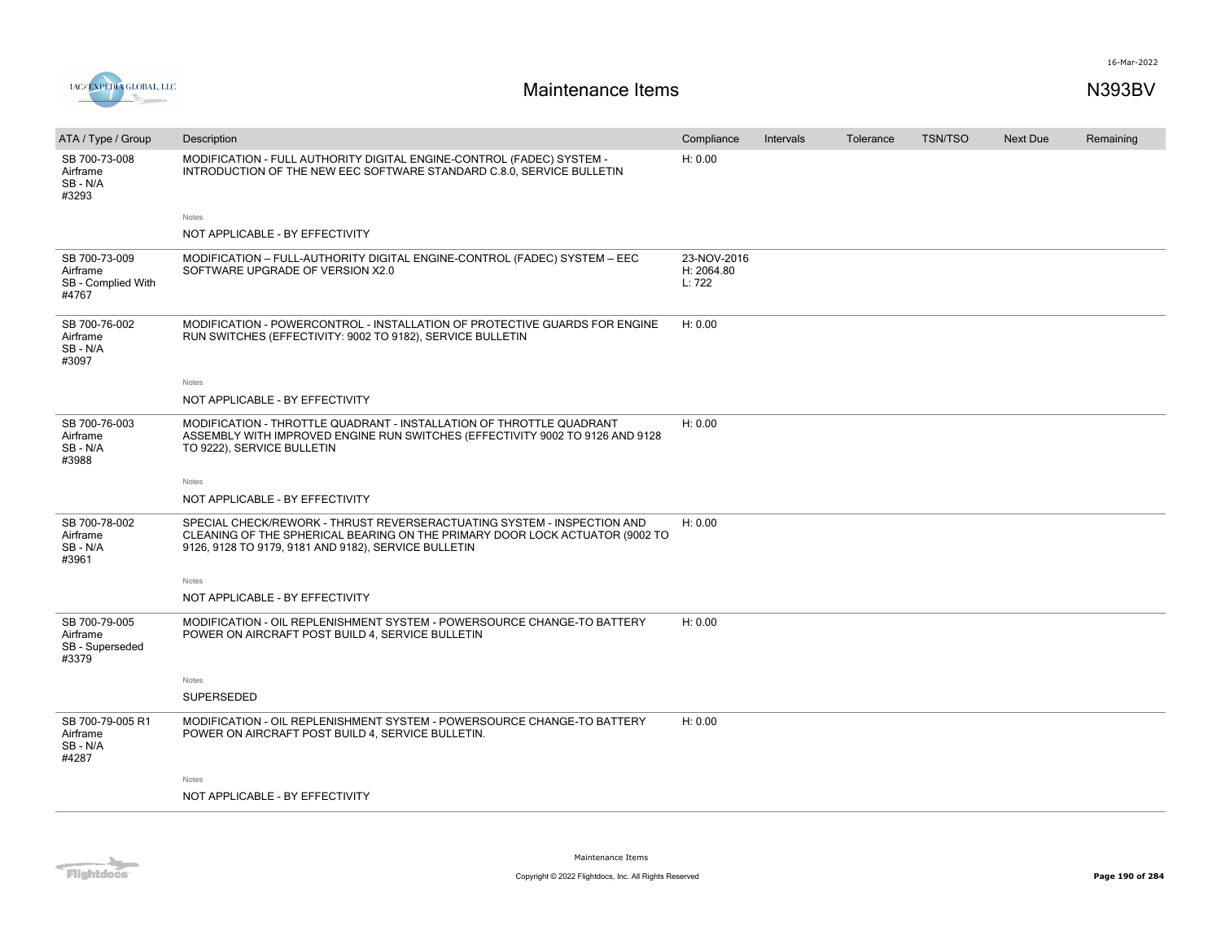

| ATA / Type / Group                                       | Description                                                                                                                                                                                                     | Compliance                          | Intervals | Tolerance | <b>TSN/TSO</b> | <b>Next Due</b> | Remaining |
|----------------------------------------------------------|-----------------------------------------------------------------------------------------------------------------------------------------------------------------------------------------------------------------|-------------------------------------|-----------|-----------|----------------|-----------------|-----------|
| SB 700-73-008<br>Airframe<br>SB-N/A<br>#3293             | MODIFICATION - FULL AUTHORITY DIGITAL ENGINE-CONTROL (FADEC) SYSTEM -<br>INTRODUCTION OF THE NEW EEC SOFTWARE STANDARD C.8.0, SERVICE BULLETIN                                                                  | H: 0.00                             |           |           |                |                 |           |
|                                                          | Notes                                                                                                                                                                                                           |                                     |           |           |                |                 |           |
|                                                          | NOT APPLICABLE - BY EFFECTIVITY                                                                                                                                                                                 |                                     |           |           |                |                 |           |
| SB 700-73-009<br>Airframe<br>SB - Complied With<br>#4767 | MODIFICATION - FULL-AUTHORITY DIGITAL ENGINE-CONTROL (FADEC) SYSTEM - EEC<br>SOFTWARE UPGRADE OF VERSION X2.0                                                                                                   | 23-NOV-2016<br>H: 2064.80<br>L: 722 |           |           |                |                 |           |
| SB 700-76-002<br>Airframe<br>SB - N/A<br>#3097           | MODIFICATION - POWERCONTROL - INSTALLATION OF PROTECTIVE GUARDS FOR ENGINE<br>RUN SWITCHES (EFFECTIVITY: 9002 TO 9182), SERVICE BULLETIN                                                                        | H: 0.00                             |           |           |                |                 |           |
|                                                          | Notes                                                                                                                                                                                                           |                                     |           |           |                |                 |           |
|                                                          | NOT APPLICABLE - BY EFFECTIVITY                                                                                                                                                                                 |                                     |           |           |                |                 |           |
| SB 700-76-003<br>Airframe<br>SB-N/A<br>#3988             | MODIFICATION - THROTTLE QUADRANT - INSTALLATION OF THROTTLE QUADRANT<br>ASSEMBLY WITH IMPROVED ENGINE RUN SWITCHES (EFFECTIVITY 9002 TO 9126 AND 9128<br>TO 9222), SERVICE BULLETIN                             | H: 0.00                             |           |           |                |                 |           |
|                                                          | Notes                                                                                                                                                                                                           |                                     |           |           |                |                 |           |
|                                                          | NOT APPLICABLE - BY EFFECTIVITY                                                                                                                                                                                 |                                     |           |           |                |                 |           |
| SB 700-78-002<br>Airframe<br>SB-N/A<br>#3961             | SPECIAL CHECK/REWORK - THRUST REVERSERACTUATING SYSTEM - INSPECTION AND<br>CLEANING OF THE SPHERICAL BEARING ON THE PRIMARY DOOR LOCK ACTUATOR (9002 TO<br>9126, 9128 TO 9179, 9181 AND 9182), SERVICE BULLETIN | H: 0.00                             |           |           |                |                 |           |
|                                                          | Notes                                                                                                                                                                                                           |                                     |           |           |                |                 |           |
|                                                          | NOT APPLICABLE - BY EFFECTIVITY                                                                                                                                                                                 |                                     |           |           |                |                 |           |
| SB 700-79-005<br>Airframe<br>SB - Superseded<br>#3379    | MODIFICATION - OIL REPLENISHMENT SYSTEM - POWERSOURCE CHANGE-TO BATTERY<br>POWER ON AIRCRAFT POST BUILD 4, SERVICE BULLETIN                                                                                     | H: 0.00                             |           |           |                |                 |           |
|                                                          | Notes                                                                                                                                                                                                           |                                     |           |           |                |                 |           |
|                                                          | SUPERSEDED                                                                                                                                                                                                      |                                     |           |           |                |                 |           |
| SB 700-79-005 R1<br>Airframe<br>SB-N/A<br>#4287          | MODIFICATION - OIL REPLENISHMENT SYSTEM - POWERSOURCE CHANGE-TO BATTERY<br>POWER ON AIRCRAFT POST BUILD 4, SERVICE BULLETIN.                                                                                    | H: 0.00                             |           |           |                |                 |           |
|                                                          | Notes                                                                                                                                                                                                           |                                     |           |           |                |                 |           |
|                                                          | NOT APPLICABLE - BY EFFECTIVITY                                                                                                                                                                                 |                                     |           |           |                |                 |           |

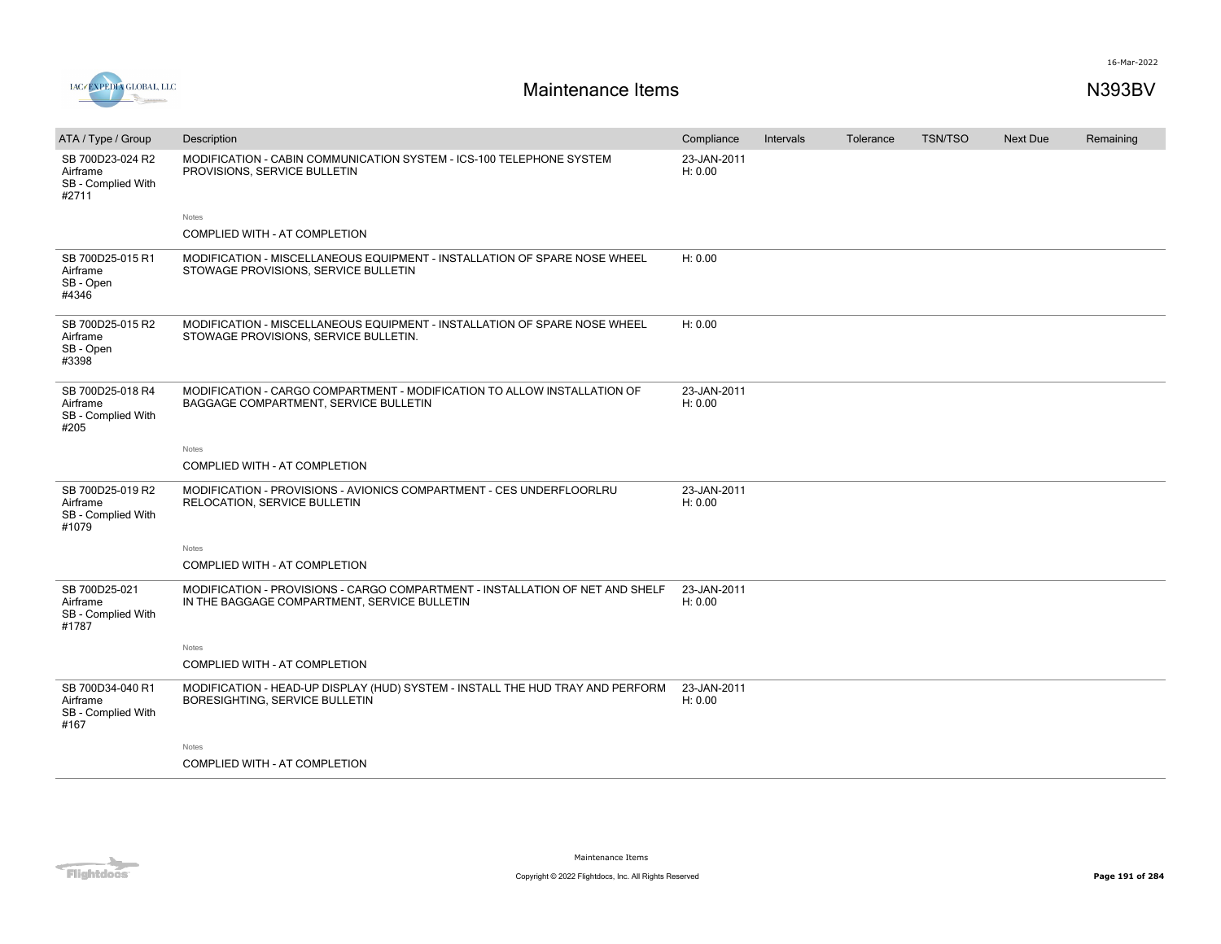

| ATA / Type / Group                                          | Description                                                                                                                   | Compliance             | Intervals | Tolerance | TSN/TSO | <b>Next Due</b> | Remaining |
|-------------------------------------------------------------|-------------------------------------------------------------------------------------------------------------------------------|------------------------|-----------|-----------|---------|-----------------|-----------|
| SB 700D23-024 R2<br>Airframe<br>SB - Complied With<br>#2711 | MODIFICATION - CABIN COMMUNICATION SYSTEM - ICS-100 TELEPHONE SYSTEM<br>PROVISIONS, SERVICE BULLETIN                          | 23-JAN-2011<br>H: 0.00 |           |           |         |                 |           |
|                                                             | Notes                                                                                                                         |                        |           |           |         |                 |           |
|                                                             | <b>COMPLIED WITH - AT COMPLETION</b>                                                                                          |                        |           |           |         |                 |           |
| SB 700D25-015 R1<br>Airframe<br>SB - Open<br>#4346          | MODIFICATION - MISCELLANEOUS EQUIPMENT - INSTALLATION OF SPARE NOSE WHEEL<br>STOWAGE PROVISIONS, SERVICE BULLETIN             | H: 0.00                |           |           |         |                 |           |
| SB 700D25-015 R2<br>Airframe<br>SB - Open<br>#3398          | MODIFICATION - MISCELLANEOUS EQUIPMENT - INSTALLATION OF SPARE NOSE WHEEL<br>STOWAGE PROVISIONS, SERVICE BULLETIN.            | H: 0.00                |           |           |         |                 |           |
| SB 700D25-018 R4<br>Airframe<br>SB - Complied With<br>#205  | MODIFICATION - CARGO COMPARTMENT - MODIFICATION TO ALLOW INSTALLATION OF<br>BAGGAGE COMPARTMENT, SERVICE BULLETIN             | 23-JAN-2011<br>H: 0.00 |           |           |         |                 |           |
|                                                             | Notes                                                                                                                         |                        |           |           |         |                 |           |
|                                                             | COMPLIED WITH - AT COMPLETION                                                                                                 |                        |           |           |         |                 |           |
| SB 700D25-019 R2<br>Airframe<br>SB - Complied With<br>#1079 | MODIFICATION - PROVISIONS - AVIONICS COMPARTMENT - CES UNDERFLOORLRU<br>RELOCATION, SERVICE BULLETIN                          | 23-JAN-2011<br>H: 0.00 |           |           |         |                 |           |
|                                                             | Notes                                                                                                                         |                        |           |           |         |                 |           |
|                                                             | COMPLIED WITH - AT COMPLETION                                                                                                 |                        |           |           |         |                 |           |
| SB 700D25-021<br>Airframe<br>SB - Complied With<br>#1787    | MODIFICATION - PROVISIONS - CARGO COMPARTMENT - INSTALLATION OF NET AND SHELF<br>IN THE BAGGAGE COMPARTMENT, SERVICE BULLETIN | 23-JAN-2011<br>H: 0.00 |           |           |         |                 |           |
|                                                             | <b>Notes</b>                                                                                                                  |                        |           |           |         |                 |           |
|                                                             | COMPLIED WITH - AT COMPLETION                                                                                                 |                        |           |           |         |                 |           |
| SB 700D34-040 R1<br>Airframe<br>SB - Complied With<br>#167  | MODIFICATION - HEAD-UP DISPLAY (HUD) SYSTEM - INSTALL THE HUD TRAY AND PERFORM<br>BORESIGHTING, SERVICE BULLETIN              | 23-JAN-2011<br>H: 0.00 |           |           |         |                 |           |
|                                                             | Notes                                                                                                                         |                        |           |           |         |                 |           |
|                                                             | COMPLIED WITH - AT COMPLETION                                                                                                 |                        |           |           |         |                 |           |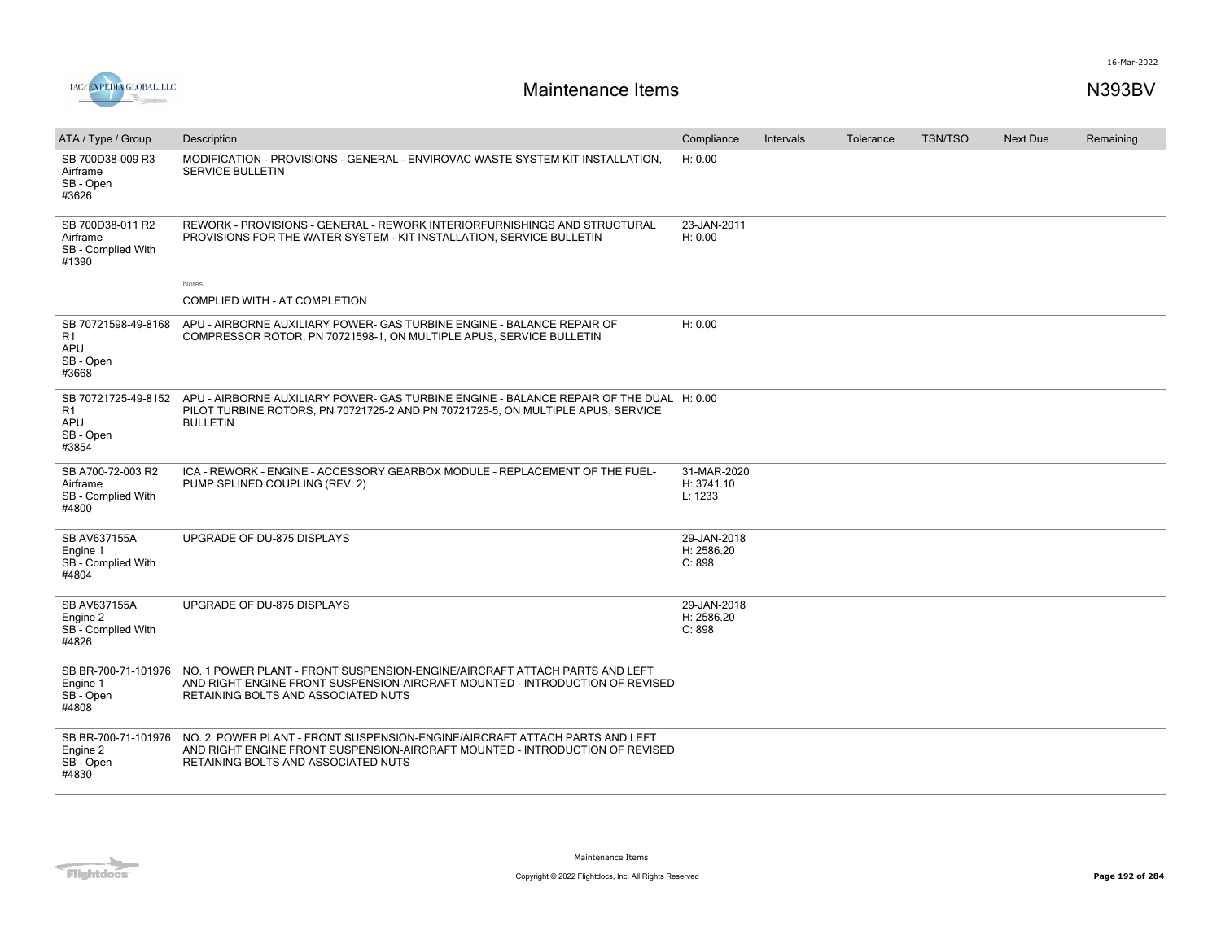



| ATA / Type / Group                                                        | Description                                                                                                                                                                                                           | Compliance                           | <b>Intervals</b> | Tolerance | <b>TSN/TSO</b> | <b>Next Due</b> | Remaining |
|---------------------------------------------------------------------------|-----------------------------------------------------------------------------------------------------------------------------------------------------------------------------------------------------------------------|--------------------------------------|------------------|-----------|----------------|-----------------|-----------|
| SB 700D38-009 R3<br>Airframe<br>SB - Open<br>#3626                        | MODIFICATION - PROVISIONS - GENERAL - ENVIROVAC WASTE SYSTEM KIT INSTALLATION,<br><b>SERVICE BULLETIN</b>                                                                                                             | H: 0.00                              |                  |           |                |                 |           |
| SB 700D38-011 R2<br>Airframe<br>SB - Complied With<br>#1390               | REWORK - PROVISIONS - GENERAL - REWORK INTERIORFURNISHINGS AND STRUCTURAL<br>PROVISIONS FOR THE WATER SYSTEM - KIT INSTALLATION, SERVICE BULLETIN                                                                     | 23-JAN-2011<br>H: 0.00               |                  |           |                |                 |           |
|                                                                           | Notes<br>COMPLIED WITH - AT COMPLETION                                                                                                                                                                                |                                      |                  |           |                |                 |           |
| SB 70721598-49-8168<br>R1<br>APU<br>SB - Open<br>#3668                    | APU - AIRBORNE AUXILIARY POWER- GAS TURBINE ENGINE - BALANCE REPAIR OF<br>COMPRESSOR ROTOR, PN 70721598-1, ON MULTIPLE APUS, SERVICE BULLETIN                                                                         | H: 0.00                              |                  |           |                |                 |           |
| SB 70721725-49-8152<br>R <sub>1</sub><br><b>APU</b><br>SB - Open<br>#3854 | APU - AIRBORNE AUXILIARY POWER- GAS TURBINE ENGINE - BALANCE REPAIR OF THE DUAL H: 0.00<br>PILOT TURBINE ROTORS, PN 70721725-2 AND PN 70721725-5, ON MULTIPLE APUS, SERVICE<br><b>BULLETIN</b>                        |                                      |                  |           |                |                 |           |
| SB A700-72-003 R2<br>Airframe<br>SB - Complied With<br>#4800              | ICA - REWORK - ENGINE - ACCESSORY GEARBOX MODULE - REPLACEMENT OF THE FUEL-<br>PUMP SPLINED COUPLING (REV. 2)                                                                                                         | 31-MAR-2020<br>H: 3741.10<br>L: 1233 |                  |           |                |                 |           |
| SB AV637155A<br>Engine 1<br>SB - Complied With<br>#4804                   | UPGRADE OF DU-875 DISPLAYS                                                                                                                                                                                            | 29-JAN-2018<br>H: 2586.20<br>C: 898  |                  |           |                |                 |           |
| SB AV637155A<br>Engine 2<br>SB - Complied With<br>#4826                   | UPGRADE OF DU-875 DISPLAYS                                                                                                                                                                                            | 29-JAN-2018<br>H: 2586.20<br>C: 898  |                  |           |                |                 |           |
| Engine 1<br>SB - Open<br>#4808                                            | SB BR-700-71-101976 NO. 1 POWER PLANT - FRONT SUSPENSION-ENGINE/AIRCRAFT ATTACH PARTS AND LEFT<br>AND RIGHT ENGINE FRONT SUSPENSION-AIRCRAFT MOUNTED - INTRODUCTION OF REVISED<br>RETAINING BOLTS AND ASSOCIATED NUTS |                                      |                  |           |                |                 |           |
| SB BR-700-71-101976<br>Engine 2<br>SB - Open<br>#4830                     | NO. 2 POWER PLANT - FRONT SUSPENSION-ENGINE/AIRCRAFT ATTACH PARTS AND LEFT<br>AND RIGHT ENGINE FRONT SUSPENSION-AIRCRAFT MOUNTED - INTRODUCTION OF REVISED<br>RETAINING BOLTS AND ASSOCIATED NUTS                     |                                      |                  |           |                |                 |           |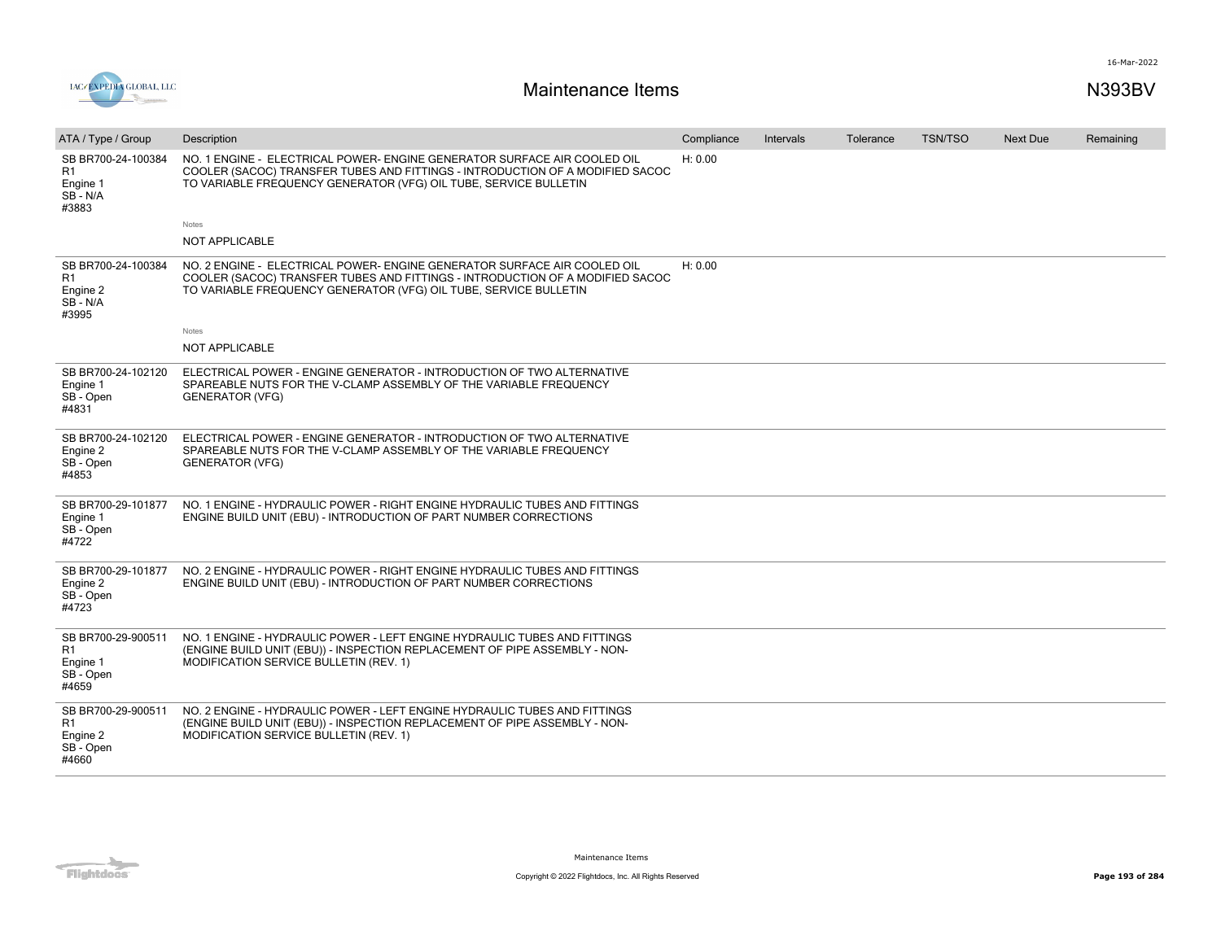

| ATA / Type / Group                                                     | Description                                                                                                                                                                                                                   | Compliance | Intervals | Tolerance | <b>TSN/TSO</b> | <b>Next Due</b> | Remaining |
|------------------------------------------------------------------------|-------------------------------------------------------------------------------------------------------------------------------------------------------------------------------------------------------------------------------|------------|-----------|-----------|----------------|-----------------|-----------|
| SB BR700-24-100384<br>R1<br>Engine 1<br>SB - N/A<br>#3883              | NO. 1 ENGINE - ELECTRICAL POWER- ENGINE GENERATOR SURFACE AIR COOLED OIL<br>COOLER (SACOC) TRANSFER TUBES AND FITTINGS - INTRODUCTION OF A MODIFIED SACOC<br>TO VARIABLE FREQUENCY GENERATOR (VFG) OIL TUBE, SERVICE BULLETIN | H: 0.00    |           |           |                |                 |           |
|                                                                        | Notes                                                                                                                                                                                                                         |            |           |           |                |                 |           |
|                                                                        | <b>NOT APPLICABLE</b>                                                                                                                                                                                                         |            |           |           |                |                 |           |
| SB BR700-24-100384<br>R1<br>Engine 2<br>SB-N/A<br>#3995                | NO. 2 ENGINE - ELECTRICAL POWER- ENGINE GENERATOR SURFACE AIR COOLED OIL<br>COOLER (SACOC) TRANSFER TUBES AND FITTINGS - INTRODUCTION OF A MODIFIED SACOC<br>TO VARIABLE FREQUENCY GENERATOR (VFG) OIL TUBE, SERVICE BULLETIN | H: 0.00    |           |           |                |                 |           |
|                                                                        | Notes                                                                                                                                                                                                                         |            |           |           |                |                 |           |
|                                                                        | <b>NOT APPLICABLE</b>                                                                                                                                                                                                         |            |           |           |                |                 |           |
| SB BR700-24-102120<br>Engine 1<br>SB - Open<br>#4831                   | ELECTRICAL POWER - ENGINE GENERATOR - INTRODUCTION OF TWO ALTERNATIVE<br>SPAREABLE NUTS FOR THE V-CLAMP ASSEMBLY OF THE VARIABLE FREQUENCY<br><b>GENERATOR (VFG)</b>                                                          |            |           |           |                |                 |           |
| SB BR700-24-102120<br>Engine 2<br>SB - Open<br>#4853                   | ELECTRICAL POWER - ENGINE GENERATOR - INTRODUCTION OF TWO ALTERNATIVE<br>SPAREABLE NUTS FOR THE V-CLAMP ASSEMBLY OF THE VARIABLE FREQUENCY<br><b>GENERATOR (VFG)</b>                                                          |            |           |           |                |                 |           |
| SB BR700-29-101877<br>Engine 1<br>SB - Open<br>#4722                   | NO. 1 ENGINE - HYDRAULIC POWER - RIGHT ENGINE HYDRAULIC TUBES AND FITTINGS<br>ENGINE BUILD UNIT (EBU) - INTRODUCTION OF PART NUMBER CORRECTIONS                                                                               |            |           |           |                |                 |           |
| SB BR700-29-101877<br>Engine 2<br>SB - Open<br>#4723                   | NO. 2 ENGINE - HYDRAULIC POWER - RIGHT ENGINE HYDRAULIC TUBES AND FITTINGS<br>ENGINE BUILD UNIT (EBU) - INTRODUCTION OF PART NUMBER CORRECTIONS                                                                               |            |           |           |                |                 |           |
| SB BR700-29-900511<br>R1<br>Engine 1<br>SB - Open<br>#4659             | NO. 1 ENGINE - HYDRAULIC POWER - LEFT ENGINE HYDRAULIC TUBES AND FITTINGS<br>(ENGINE BUILD UNIT (EBU)) - INSPECTION REPLACEMENT OF PIPE ASSEMBLY - NON-<br><b>MODIFICATION SERVICE BULLETIN (REV. 1)</b>                      |            |           |           |                |                 |           |
| SB BR700-29-900511<br>R <sub>1</sub><br>Engine 2<br>SB - Open<br>#4660 | NO. 2 ENGINE - HYDRAULIC POWER - LEFT ENGINE HYDRAULIC TUBES AND FITTINGS<br>(ENGINE BUILD UNIT (EBU)) - INSPECTION REPLACEMENT OF PIPE ASSEMBLY - NON-<br>MODIFICATION SERVICE BULLETIN (REV. 1)                             |            |           |           |                |                 |           |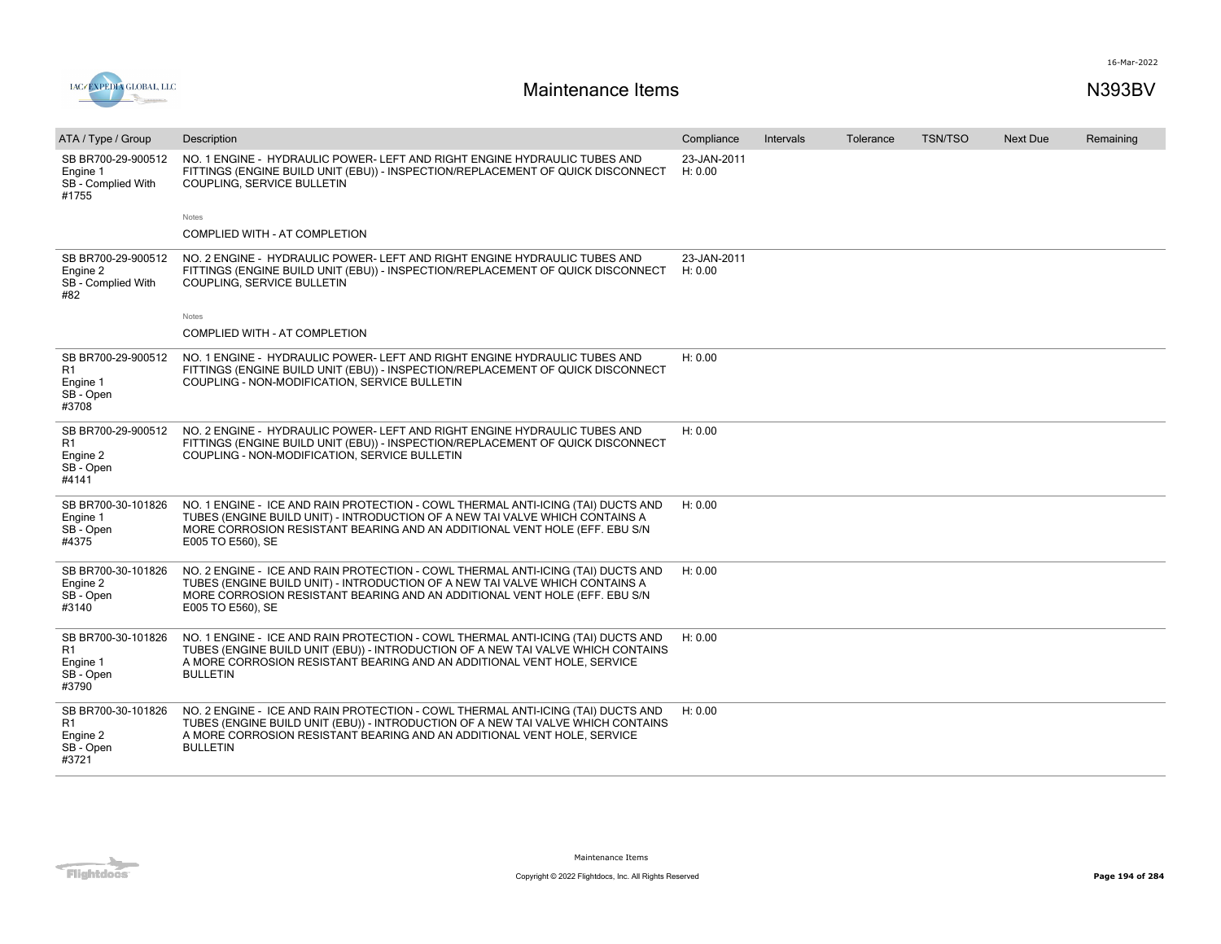

| ATA / Type / Group                                                     | Description                                                                                                                                                                                                                                                         | Compliance             | Intervals | Tolerance | <b>TSN/TSO</b> | <b>Next Due</b> | Remaining |
|------------------------------------------------------------------------|---------------------------------------------------------------------------------------------------------------------------------------------------------------------------------------------------------------------------------------------------------------------|------------------------|-----------|-----------|----------------|-----------------|-----------|
| SB BR700-29-900512<br>Engine 1<br>SB - Complied With<br>#1755          | NO. 1 ENGINE - HYDRAULIC POWER- LEFT AND RIGHT ENGINE HYDRAULIC TUBES AND<br>FITTINGS (ENGINE BUILD UNIT (EBU)) - INSPECTION/REPLACEMENT OF QUICK DISCONNECT<br>COUPLING, SERVICE BULLETIN                                                                          | 23-JAN-2011<br>H: 0.00 |           |           |                |                 |           |
|                                                                        | Notes                                                                                                                                                                                                                                                               |                        |           |           |                |                 |           |
|                                                                        | COMPLIED WITH - AT COMPLETION                                                                                                                                                                                                                                       |                        |           |           |                |                 |           |
| SB BR700-29-900512<br>Engine 2<br>SB - Complied With<br>#82            | NO. 2 ENGINE - HYDRAULIC POWER- LEFT AND RIGHT ENGINE HYDRAULIC TUBES AND<br>FITTINGS (ENGINE BUILD UNIT (EBU)) - INSPECTION/REPLACEMENT OF QUICK DISCONNECT<br>COUPLING, SERVICE BULLETIN                                                                          | 23-JAN-2011<br>H: 0.00 |           |           |                |                 |           |
|                                                                        | Notes                                                                                                                                                                                                                                                               |                        |           |           |                |                 |           |
|                                                                        | COMPLIED WITH - AT COMPLETION                                                                                                                                                                                                                                       |                        |           |           |                |                 |           |
| SB BR700-29-900512<br>R <sub>1</sub><br>Engine 1<br>SB - Open<br>#3708 | NO. 1 ENGINE - HYDRAULIC POWER- LEFT AND RIGHT ENGINE HYDRAULIC TUBES AND<br>FITTINGS (ENGINE BUILD UNIT (EBU)) - INSPECTION/REPLACEMENT OF QUICK DISCONNECT<br>COUPLING - NON-MODIFICATION, SERVICE BULLETIN                                                       | H: 0.00                |           |           |                |                 |           |
| SB BR700-29-900512<br>R <sub>1</sub><br>Engine 2<br>SB - Open<br>#4141 | NO. 2 ENGINE - HYDRAULIC POWER- LEFT AND RIGHT ENGINE HYDRAULIC TUBES AND<br>FITTINGS (ENGINE BUILD UNIT (EBU)) - INSPECTION/REPLACEMENT OF QUICK DISCONNECT<br>COUPLING - NON-MODIFICATION, SERVICE BULLETIN                                                       | H: 0.00                |           |           |                |                 |           |
| SB BR700-30-101826<br>Engine 1<br>SB - Open<br>#4375                   | NO. 1 ENGINE - ICE AND RAIN PROTECTION - COWL THERMAL ANTI-ICING (TAI) DUCTS AND<br>TUBES (ENGINE BUILD UNIT) - INTRODUCTION OF A NEW TAI VALVE WHICH CONTAINS A<br>MORE CORROSION RESISTANT BEARING AND AN ADDITIONAL VENT HOLE (EFF. EBU S/N<br>E005 TO E560), SE | H: 0.00                |           |           |                |                 |           |
| SB BR700-30-101826<br>Engine 2<br>SB - Open<br>#3140                   | NO. 2 ENGINE - ICE AND RAIN PROTECTION - COWL THERMAL ANTI-ICING (TAI) DUCTS AND<br>TUBES (ENGINE BUILD UNIT) - INTRODUCTION OF A NEW TAI VALVE WHICH CONTAINS A<br>MORE CORROSION RESISTANT BEARING AND AN ADDITIONAL VENT HOLE (EFF. EBU S/N<br>E005 TO E560), SE | H: 0.00                |           |           |                |                 |           |
| SB BR700-30-101826<br>R <sub>1</sub><br>Engine 1<br>SB - Open<br>#3790 | NO. 1 ENGINE - ICE AND RAIN PROTECTION - COWL THERMAL ANTI-ICING (TAI) DUCTS AND<br>TUBES (ENGINE BUILD UNIT (EBU)) - INTRODUCTION OF A NEW TAI VALVE WHICH CONTAINS<br>A MORE CORROSION RESISTANT BEARING AND AN ADDITIONAL VENT HOLE, SERVICE<br><b>BULLETIN</b>  | H: 0.00                |           |           |                |                 |           |
| SB BR700-30-101826<br>R <sub>1</sub><br>Engine 2<br>SB - Open<br>#3721 | NO. 2 ENGINE - ICE AND RAIN PROTECTION - COWL THERMAL ANTI-ICING (TAI) DUCTS AND<br>TUBES (ENGINE BUILD UNIT (EBU)) - INTRODUCTION OF A NEW TAI VALVE WHICH CONTAINS<br>A MORE CORROSION RESISTANT BEARING AND AN ADDITIONAL VENT HOLE, SERVICE<br><b>BULLETIN</b>  | H: 0.00                |           |           |                |                 |           |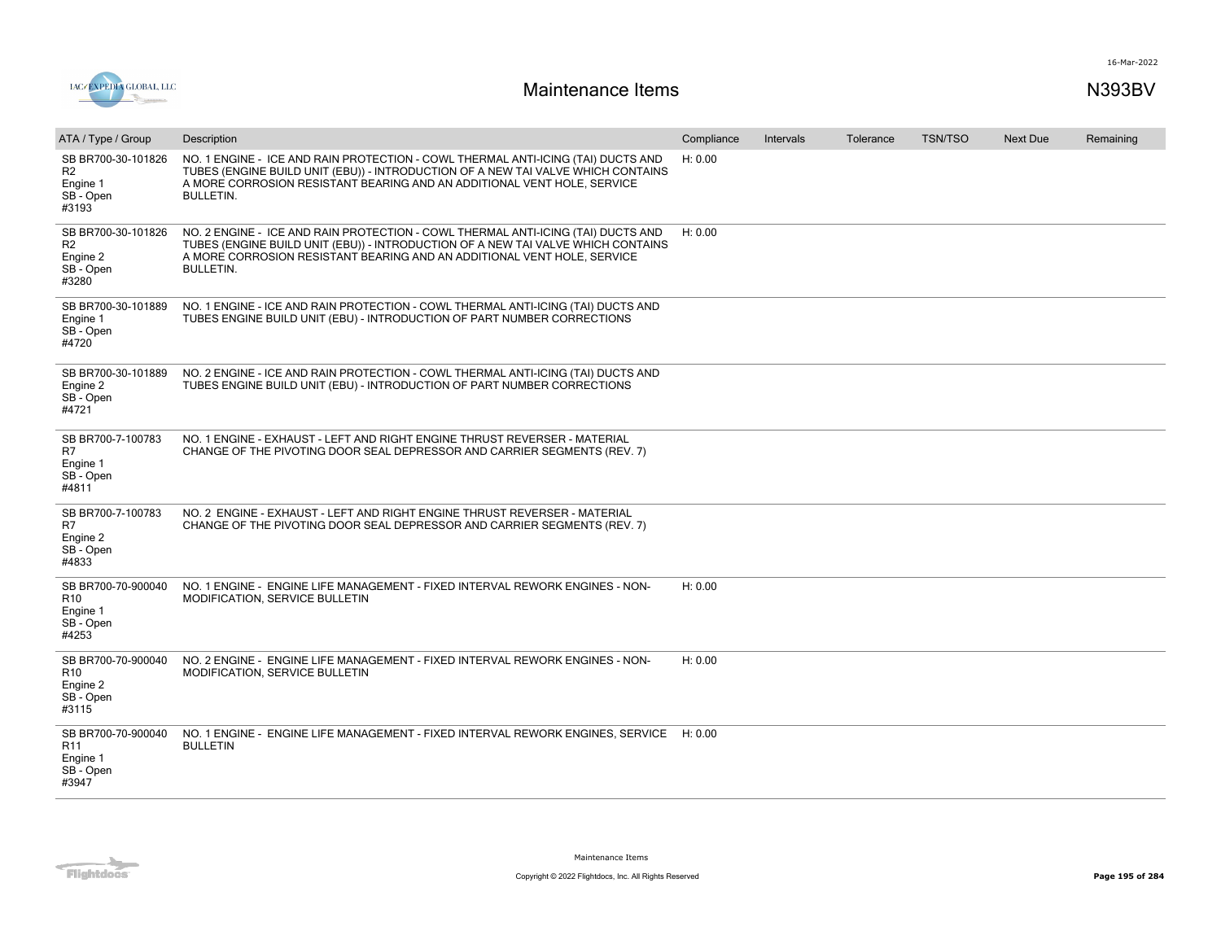

| ATA / Type / Group                                                      | Description                                                                                                                                                                                                                                                         | Compliance | Intervals | Tolerance | <b>TSN/TSO</b> | <b>Next Due</b> | Remaining |
|-------------------------------------------------------------------------|---------------------------------------------------------------------------------------------------------------------------------------------------------------------------------------------------------------------------------------------------------------------|------------|-----------|-----------|----------------|-----------------|-----------|
| SB BR700-30-101826<br>R <sub>2</sub><br>Engine 1<br>SB - Open<br>#3193  | NO. 1 ENGINE - ICE AND RAIN PROTECTION - COWL THERMAL ANTI-ICING (TAI) DUCTS AND<br>TUBES (ENGINE BUILD UNIT (EBU)) - INTRODUCTION OF A NEW TAI VALVE WHICH CONTAINS<br>A MORE CORROSION RESISTANT BEARING AND AN ADDITIONAL VENT HOLE, SERVICE<br><b>BULLETIN.</b> | H: 0.00    |           |           |                |                 |           |
| SB BR700-30-101826<br>R <sub>2</sub><br>Engine 2<br>SB - Open<br>#3280  | NO. 2 ENGINE - ICE AND RAIN PROTECTION - COWL THERMAL ANTI-ICING (TAI) DUCTS AND<br>TUBES (ENGINE BUILD UNIT (EBU)) - INTRODUCTION OF A NEW TAI VALVE WHICH CONTAINS<br>A MORE CORROSION RESISTANT BEARING AND AN ADDITIONAL VENT HOLE, SERVICE<br><b>BULLETIN.</b> | H: 0.00    |           |           |                |                 |           |
| SB BR700-30-101889<br>Engine 1<br>SB - Open<br>#4720                    | NO. 1 ENGINE - ICE AND RAIN PROTECTION - COWL THERMAL ANTI-ICING (TAI) DUCTS AND<br>TUBES ENGINE BUILD UNIT (EBU) - INTRODUCTION OF PART NUMBER CORRECTIONS                                                                                                         |            |           |           |                |                 |           |
| SB BR700-30-101889<br>Engine 2<br>SB - Open<br>#4721                    | NO. 2 ENGINE - ICE AND RAIN PROTECTION - COWL THERMAL ANTI-ICING (TAI) DUCTS AND<br>TUBES ENGINE BUILD UNIT (EBU) - INTRODUCTION OF PART NUMBER CORRECTIONS                                                                                                         |            |           |           |                |                 |           |
| SB BR700-7-100783<br>R7<br>Engine 1<br>SB - Open<br>#4811               | NO. 1 ENGINE - EXHAUST - LEFT AND RIGHT ENGINE THRUST REVERSER - MATERIAL<br>CHANGE OF THE PIVOTING DOOR SEAL DEPRESSOR AND CARRIER SEGMENTS (REV. 7)                                                                                                               |            |           |           |                |                 |           |
| SB BR700-7-100783<br>R <sub>7</sub><br>Engine 2<br>SB - Open<br>#4833   | NO. 2 ENGINE - EXHAUST - LEFT AND RIGHT ENGINE THRUST REVERSER - MATERIAL<br>CHANGE OF THE PIVOTING DOOR SEAL DEPRESSOR AND CARRIER SEGMENTS (REV. 7)                                                                                                               |            |           |           |                |                 |           |
| SB BR700-70-900040<br>R <sub>10</sub><br>Engine 1<br>SB - Open<br>#4253 | NO. 1 ENGINE - ENGINE LIFE MANAGEMENT - FIXED INTERVAL REWORK ENGINES - NON-<br>MODIFICATION, SERVICE BULLETIN                                                                                                                                                      | H: 0.00    |           |           |                |                 |           |
| SB BR700-70-900040<br>R <sub>10</sub><br>Engine 2<br>SB - Open<br>#3115 | NO. 2 ENGINE - ENGINE LIFE MANAGEMENT - FIXED INTERVAL REWORK ENGINES - NON-<br>MODIFICATION, SERVICE BULLETIN                                                                                                                                                      | H: 0.00    |           |           |                |                 |           |
| SB BR700-70-900040<br>R11<br>Engine 1<br>SB - Open<br>#3947             | NO. 1 ENGINE - ENGINE LIFE MANAGEMENT - FIXED INTERVAL REWORK ENGINES, SERVICE H: 0.00<br><b>BULLETIN</b>                                                                                                                                                           |            |           |           |                |                 |           |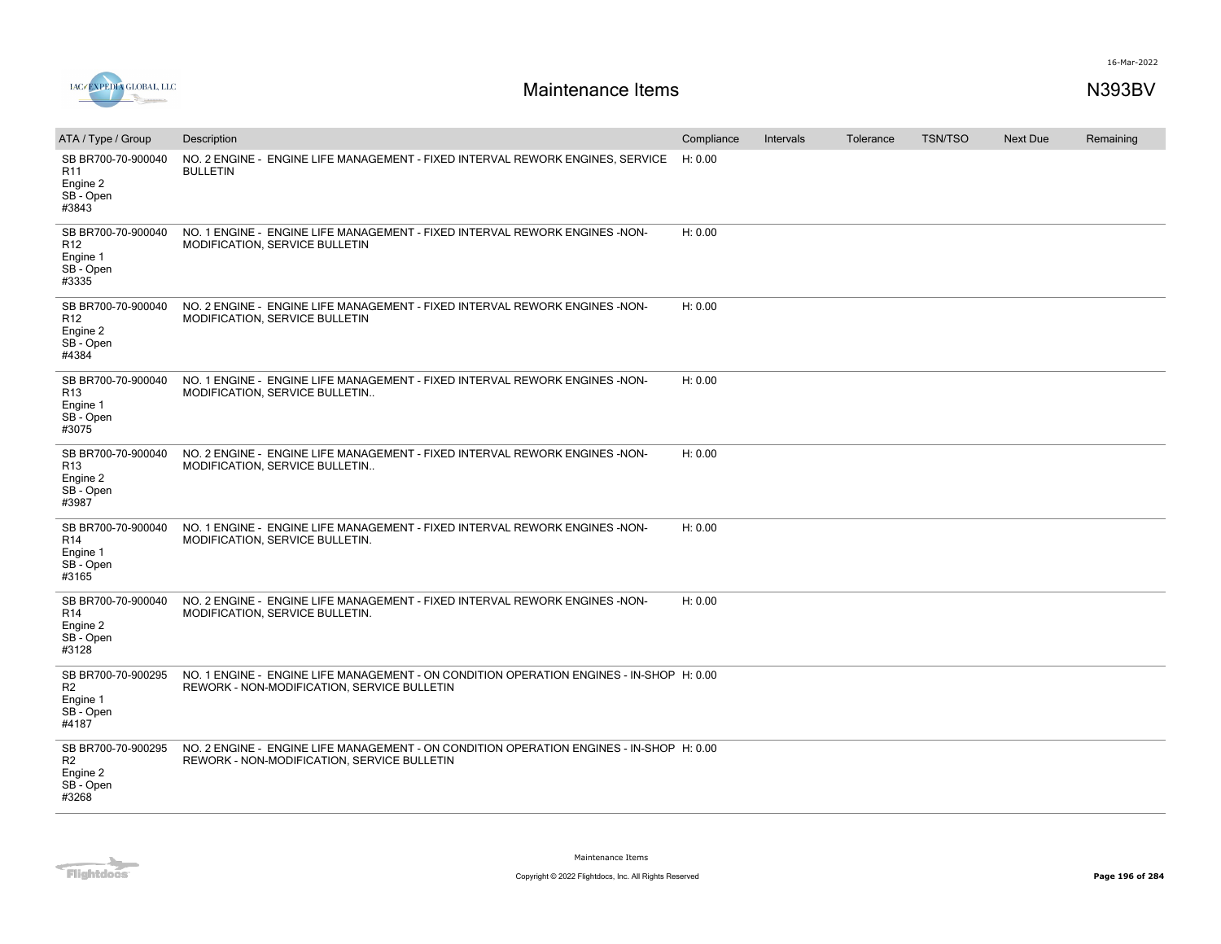



| ATA / Type / Group                                                      | Description                                                                                                                             | Compliance | Intervals | Tolerance | <b>TSN/TSO</b> | <b>Next Due</b> | Remaining |
|-------------------------------------------------------------------------|-----------------------------------------------------------------------------------------------------------------------------------------|------------|-----------|-----------|----------------|-----------------|-----------|
| SB BR700-70-900040<br>R <sub>11</sub><br>Engine 2<br>SB - Open<br>#3843 | NO. 2 ENGINE - ENGINE LIFE MANAGEMENT - FIXED INTERVAL REWORK ENGINES, SERVICE<br><b>BULLETIN</b>                                       | H: 0.00    |           |           |                |                 |           |
| SB BR700-70-900040<br>R <sub>12</sub><br>Engine 1<br>SB - Open<br>#3335 | NO. 1 ENGINE - ENGINE LIFE MANAGEMENT - FIXED INTERVAL REWORK ENGINES - NON-<br>MODIFICATION, SERVICE BULLETIN                          | H: 0.00    |           |           |                |                 |           |
| SB BR700-70-900040<br>R <sub>12</sub><br>Engine 2<br>SB - Open<br>#4384 | NO. 2 ENGINE - ENGINE LIFE MANAGEMENT - FIXED INTERVAL REWORK ENGINES -NON-<br>MODIFICATION, SERVICE BULLETIN                           | H: 0.00    |           |           |                |                 |           |
| SB BR700-70-900040<br>R13<br>Engine 1<br>SB - Open<br>#3075             | NO. 1 ENGINE - ENGINE LIFE MANAGEMENT - FIXED INTERVAL REWORK ENGINES - NON-<br>MODIFICATION, SERVICE BULLETIN                          | H: 0.00    |           |           |                |                 |           |
| SB BR700-70-900040<br>R13<br>Engine 2<br>SB - Open<br>#3987             | NO. 2 ENGINE - ENGINE LIFE MANAGEMENT - FIXED INTERVAL REWORK ENGINES -NON-<br>MODIFICATION, SERVICE BULLETIN                           | H: 0.00    |           |           |                |                 |           |
| SB BR700-70-900040<br>R <sub>14</sub><br>Engine 1<br>SB - Open<br>#3165 | NO. 1 ENGINE - ENGINE LIFE MANAGEMENT - FIXED INTERVAL REWORK ENGINES -NON-<br>MODIFICATION, SERVICE BULLETIN.                          | H: 0.00    |           |           |                |                 |           |
| SB BR700-70-900040<br>R <sub>14</sub><br>Engine 2<br>SB - Open<br>#3128 | NO. 2 ENGINE - ENGINE LIFE MANAGEMENT - FIXED INTERVAL REWORK ENGINES -NON-<br>MODIFICATION, SERVICE BULLETIN.                          | H: 0.00    |           |           |                |                 |           |
| SB BR700-70-900295<br>R <sub>2</sub><br>Engine 1<br>SB - Open<br>#4187  | NO. 1 ENGINE - ENGINE LIFE MANAGEMENT - ON CONDITION OPERATION ENGINES - IN-SHOP H: 0.00<br>REWORK - NON-MODIFICATION, SERVICE BULLETIN |            |           |           |                |                 |           |
| SB BR700-70-900295<br>R <sub>2</sub><br>Engine 2<br>SB - Open<br>#3268  | NO. 2 ENGINE - ENGINE LIFE MANAGEMENT - ON CONDITION OPERATION ENGINES - IN-SHOP H: 0.00<br>REWORK - NON-MODIFICATION, SERVICE BULLETIN |            |           |           |                |                 |           |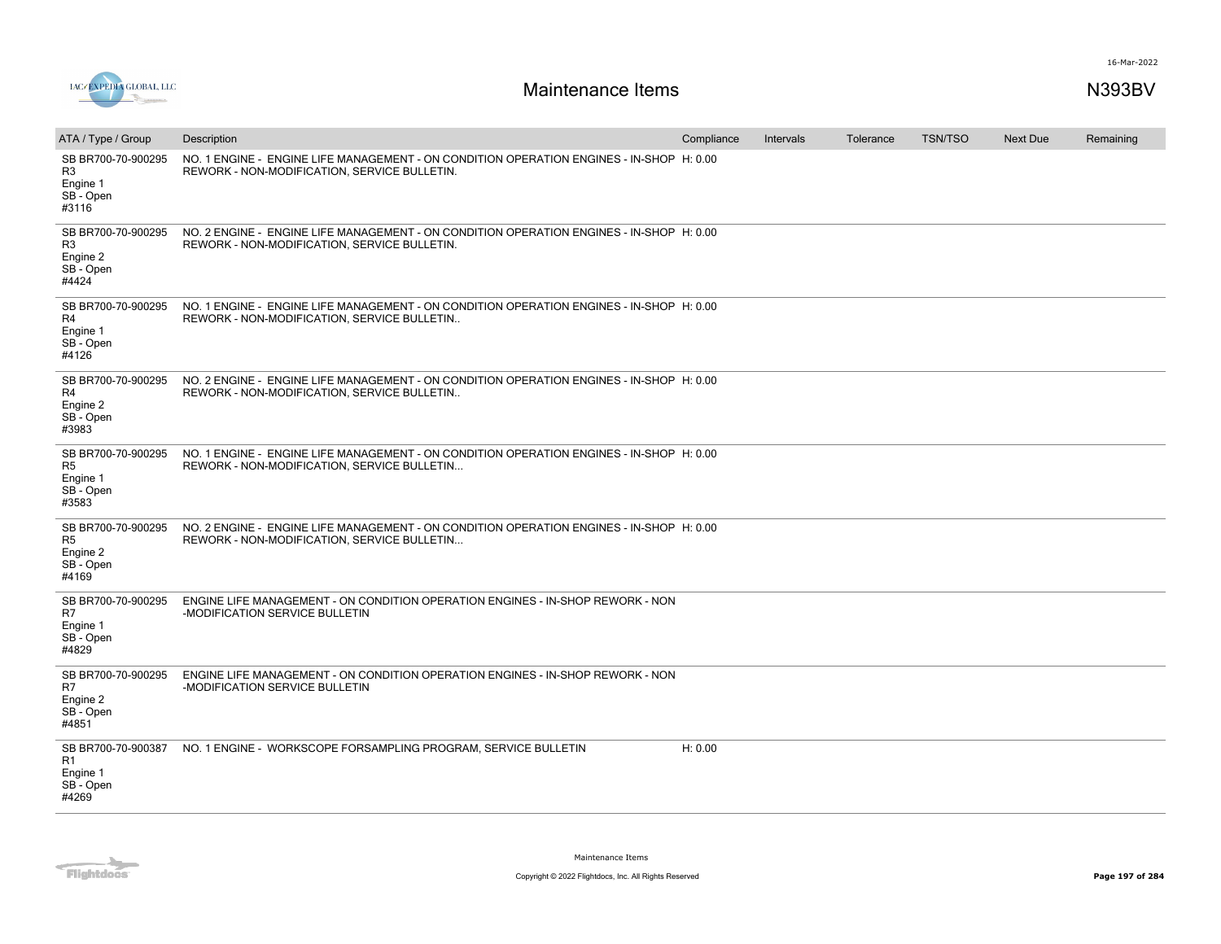

| ATA / Type / Group                                                     | Description                                                                                                                              | Compliance | Intervals | Tolerance | <b>TSN/TSO</b> | <b>Next Due</b> | Remaining |
|------------------------------------------------------------------------|------------------------------------------------------------------------------------------------------------------------------------------|------------|-----------|-----------|----------------|-----------------|-----------|
| SB BR700-70-900295<br>R <sub>3</sub><br>Engine 1<br>SB - Open<br>#3116 | NO. 1 ENGINE - ENGINE LIFE MANAGEMENT - ON CONDITION OPERATION ENGINES - IN-SHOP H: 0.00<br>REWORK - NON-MODIFICATION, SERVICE BULLETIN. |            |           |           |                |                 |           |
| SB BR700-70-900295<br>R <sub>3</sub><br>Engine 2<br>SB - Open<br>#4424 | NO. 2 ENGINE - ENGINE LIFE MANAGEMENT - ON CONDITION OPERATION ENGINES - IN-SHOP H: 0.00<br>REWORK - NON-MODIFICATION, SERVICE BULLETIN. |            |           |           |                |                 |           |
| SB BR700-70-900295<br>R4<br>Engine 1<br>SB - Open<br>#4126             | NO. 1 ENGINE - ENGINE LIFE MANAGEMENT - ON CONDITION OPERATION ENGINES - IN-SHOP H: 0.00<br>REWORK - NON-MODIFICATION, SERVICE BULLETIN  |            |           |           |                |                 |           |
| SB BR700-70-900295<br>R4<br>Engine 2<br>SB - Open<br>#3983             | NO. 2 ENGINE - ENGINE LIFE MANAGEMENT - ON CONDITION OPERATION ENGINES - IN-SHOP H: 0.00<br>REWORK - NON-MODIFICATION, SERVICE BULLETIN  |            |           |           |                |                 |           |
| SB BR700-70-900295<br>R <sub>5</sub><br>Engine 1<br>SB - Open<br>#3583 | NO. 1 ENGINE - ENGINE LIFE MANAGEMENT - ON CONDITION OPERATION ENGINES - IN-SHOP H: 0.00<br>REWORK - NON-MODIFICATION, SERVICE BULLETIN  |            |           |           |                |                 |           |
| SB BR700-70-900295<br>R <sub>5</sub><br>Engine 2<br>SB - Open<br>#4169 | NO. 2 ENGINE - ENGINE LIFE MANAGEMENT - ON CONDITION OPERATION ENGINES - IN-SHOP H: 0.00<br>REWORK - NON-MODIFICATION, SERVICE BULLETIN  |            |           |           |                |                 |           |
| SB BR700-70-900295<br>R7<br>Engine 1<br>SB - Open<br>#4829             | ENGINE LIFE MANAGEMENT - ON CONDITION OPERATION ENGINES - IN-SHOP REWORK - NON<br>-MODIFICATION SERVICE BULLETIN                         |            |           |           |                |                 |           |
| SB BR700-70-900295<br>R7<br>Engine 2<br>SB - Open<br>#4851             | ENGINE LIFE MANAGEMENT - ON CONDITION OPERATION ENGINES - IN-SHOP REWORK - NON<br>-MODIFICATION SERVICE BULLETIN                         |            |           |           |                |                 |           |
| SB BR700-70-900387<br>R1<br>Engine 1<br>SB - Open<br>#4269             | NO. 1 ENGINE - WORKSCOPE FORSAMPLING PROGRAM, SERVICE BULLETIN                                                                           | H: 0.00    |           |           |                |                 |           |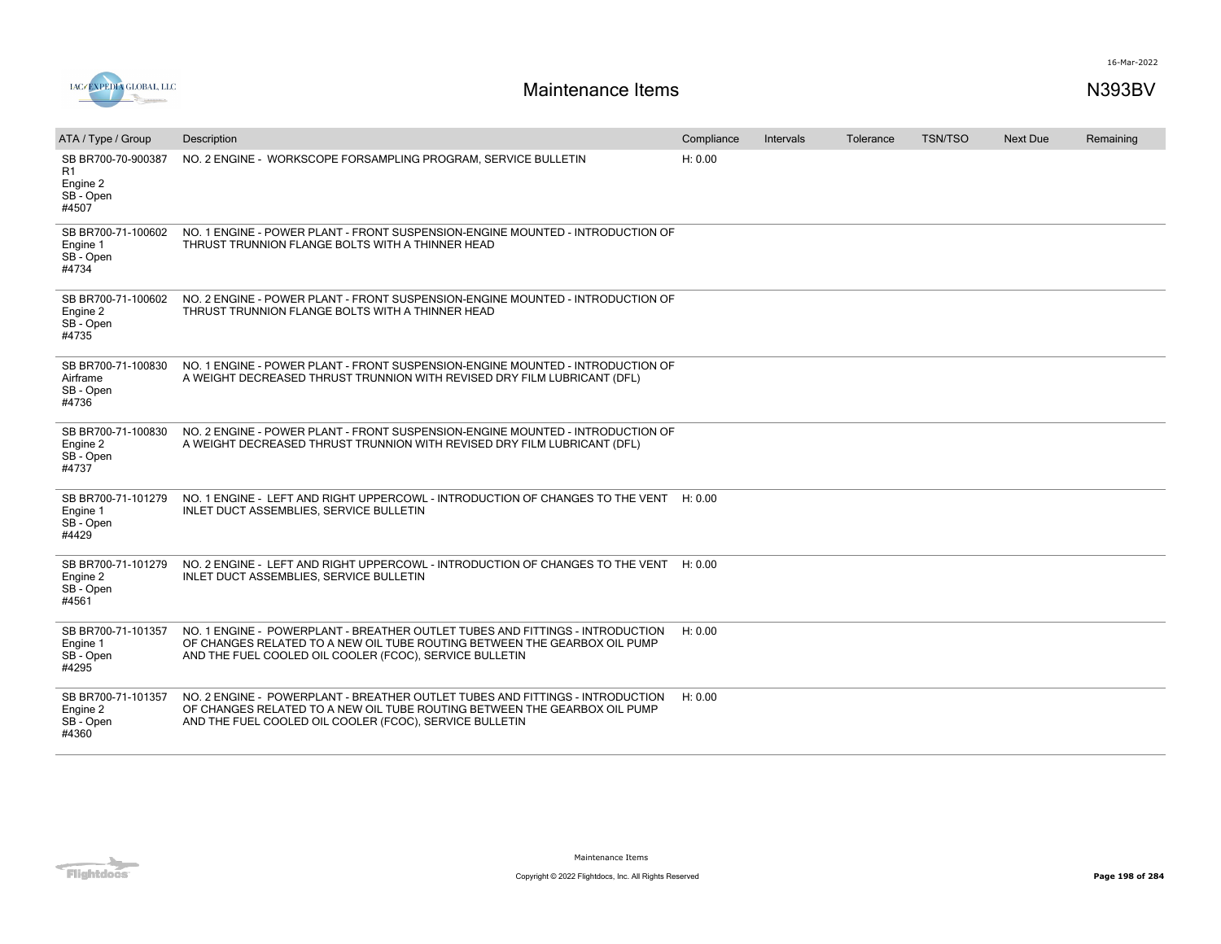

| ATA / Type / Group                                         | Description                                                                                                                                                                                                           | Compliance | <b>Intervals</b> | Tolerance | <b>TSN/TSO</b> | Next Due | Remaining |
|------------------------------------------------------------|-----------------------------------------------------------------------------------------------------------------------------------------------------------------------------------------------------------------------|------------|------------------|-----------|----------------|----------|-----------|
| SB BR700-70-900387<br>R1<br>Engine 2<br>SB - Open<br>#4507 | NO. 2 ENGINE - WORKSCOPE FORSAMPLING PROGRAM, SERVICE BULLETIN                                                                                                                                                        | H: 0.00    |                  |           |                |          |           |
| SB BR700-71-100602<br>Engine 1<br>SB - Open<br>#4734       | NO. 1 ENGINE - POWER PLANT - FRONT SUSPENSION-ENGINE MOUNTED - INTRODUCTION OF<br>THRUST TRUNNION FLANGE BOLTS WITH A THINNER HEAD                                                                                    |            |                  |           |                |          |           |
| SB BR700-71-100602<br>Engine 2<br>SB - Open<br>#4735       | NO. 2 ENGINE - POWER PLANT - FRONT SUSPENSION-ENGINE MOUNTED - INTRODUCTION OF<br>THRUST TRUNNION FLANGE BOLTS WITH A THINNER HEAD                                                                                    |            |                  |           |                |          |           |
| SB BR700-71-100830<br>Airframe<br>SB - Open<br>#4736       | NO. 1 ENGINE - POWER PLANT - FRONT SUSPENSION-ENGINE MOUNTED - INTRODUCTION OF<br>A WEIGHT DECREASED THRUST TRUNNION WITH REVISED DRY FILM LUBRICANT (DFL)                                                            |            |                  |           |                |          |           |
| SB BR700-71-100830<br>Engine 2<br>SB - Open<br>#4737       | NO. 2 ENGINE - POWER PLANT - FRONT SUSPENSION-ENGINE MOUNTED - INTRODUCTION OF<br>A WEIGHT DECREASED THRUST TRUNNION WITH REVISED DRY FILM LUBRICANT (DFL)                                                            |            |                  |           |                |          |           |
| SB BR700-71-101279<br>Engine 1<br>SB - Open<br>#4429       | NO. 1 ENGINE - LEFT AND RIGHT UPPERCOWL - INTRODUCTION OF CHANGES TO THE VENT<br>INLET DUCT ASSEMBLIES, SERVICE BULLETIN                                                                                              | H: 0.00    |                  |           |                |          |           |
| SB BR700-71-101279<br>Engine 2<br>SB - Open<br>#4561       | NO. 2 ENGINE - LEFT AND RIGHT UPPERCOWL - INTRODUCTION OF CHANGES TO THE VENT<br>INLET DUCT ASSEMBLIES, SERVICE BULLETIN                                                                                              | H: 0.00    |                  |           |                |          |           |
| SB BR700-71-101357<br>Engine 1<br>SB - Open<br>#4295       | NO. 1 ENGINE - POWERPLANT - BREATHER OUTLET TUBES AND FITTINGS - INTRODUCTION<br>OF CHANGES RELATED TO A NEW OIL TUBE ROUTING BETWEEN THE GEARBOX OIL PUMP<br>AND THE FUEL COOLED OIL COOLER (FCOC), SERVICE BULLETIN | H: 0.00    |                  |           |                |          |           |
| SB BR700-71-101357<br>Engine 2<br>SB - Open<br>#4360       | NO. 2 ENGINE - POWERPLANT - BREATHER OUTLET TUBES AND FITTINGS - INTRODUCTION<br>OF CHANGES RELATED TO A NEW OIL TUBE ROUTING BETWEEN THE GEARBOX OIL PUMP<br>AND THE FUEL COOLED OIL COOLER (FCOC), SERVICE BULLETIN | H: 0.00    |                  |           |                |          |           |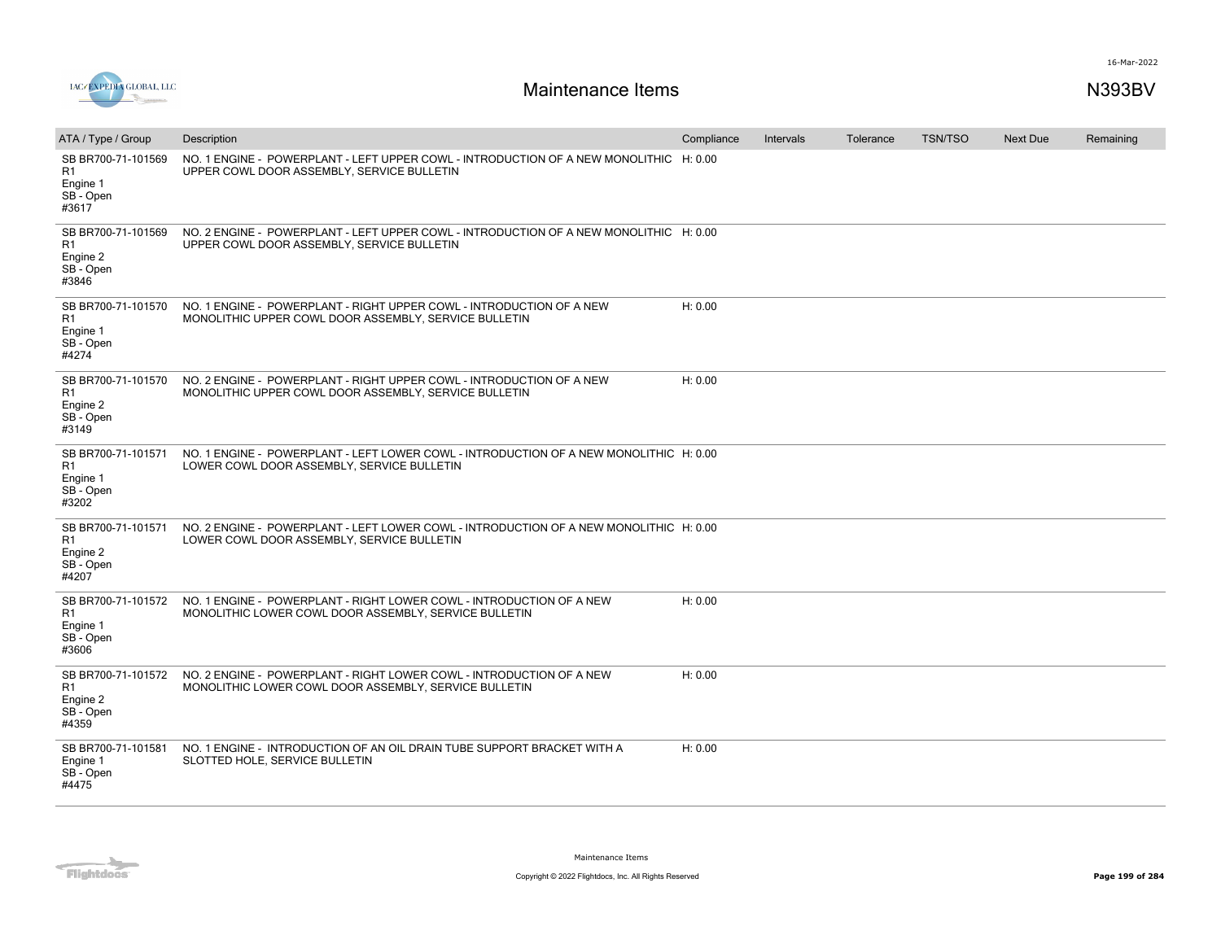

| ATA / Type / Group                                                     | Description                                                                                                                          | Compliance | Intervals | Tolerance | <b>TSN/TSO</b> | <b>Next Due</b> | Remaining |
|------------------------------------------------------------------------|--------------------------------------------------------------------------------------------------------------------------------------|------------|-----------|-----------|----------------|-----------------|-----------|
| SB BR700-71-101569<br>R1<br>Engine 1<br>SB - Open<br>#3617             | NO. 1 ENGINE - POWERPLANT - LEFT UPPER COWL - INTRODUCTION OF A NEW MONOLITHIC H: 0.00<br>UPPER COWL DOOR ASSEMBLY, SERVICE BULLETIN |            |           |           |                |                 |           |
| SB BR700-71-101569<br>R1<br>Engine 2<br>SB - Open<br>#3846             | NO. 2 ENGINE - POWERPLANT - LEFT UPPER COWL - INTRODUCTION OF A NEW MONOLITHIC H: 0.00<br>UPPER COWL DOOR ASSEMBLY, SERVICE BULLETIN |            |           |           |                |                 |           |
| SB BR700-71-101570<br>R1<br>Engine 1<br>SB - Open<br>#4274             | NO. 1 ENGINE - POWERPLANT - RIGHT UPPER COWL - INTRODUCTION OF A NEW<br>MONOLITHIC UPPER COWL DOOR ASSEMBLY, SERVICE BULLETIN        | H: 0.00    |           |           |                |                 |           |
| SB BR700-71-101570<br>R <sub>1</sub><br>Engine 2<br>SB - Open<br>#3149 | NO. 2 ENGINE - POWERPLANT - RIGHT UPPER COWL - INTRODUCTION OF A NEW<br>MONOLITHIC UPPER COWL DOOR ASSEMBLY, SERVICE BULLETIN        | H: 0.00    |           |           |                |                 |           |
| SB BR700-71-101571<br>R <sub>1</sub><br>Engine 1<br>SB - Open<br>#3202 | NO. 1 ENGINE - POWERPLANT - LEFT LOWER COWL - INTRODUCTION OF A NEW MONOLITHIC H: 0.00<br>LOWER COWL DOOR ASSEMBLY, SERVICE BULLETIN |            |           |           |                |                 |           |
| SB BR700-71-101571<br>R <sub>1</sub><br>Engine 2<br>SB - Open<br>#4207 | NO. 2 ENGINE - POWERPLANT - LEFT LOWER COWL - INTRODUCTION OF A NEW MONOLITHIC H: 0.00<br>LOWER COWL DOOR ASSEMBLY, SERVICE BULLETIN |            |           |           |                |                 |           |
| SB BR700-71-101572<br>R <sub>1</sub><br>Engine 1<br>SB - Open<br>#3606 | NO. 1 ENGINE - POWERPLANT - RIGHT LOWER COWL - INTRODUCTION OF A NEW<br>MONOLITHIC LOWER COWL DOOR ASSEMBLY, SERVICE BULLETIN        | H: 0.00    |           |           |                |                 |           |
| SB BR700-71-101572<br>R1<br>Engine 2<br>SB - Open<br>#4359             | NO. 2 ENGINE - POWERPLANT - RIGHT LOWER COWL - INTRODUCTION OF A NEW<br>MONOLITHIC LOWER COWL DOOR ASSEMBLY, SERVICE BULLETIN        | H: 0.00    |           |           |                |                 |           |
| SB BR700-71-101581<br>Engine 1<br>SB - Open<br>#4475                   | NO. 1 ENGINE - INTRODUCTION OF AN OIL DRAIN TUBE SUPPORT BRACKET WITH A<br>SLOTTED HOLE, SERVICE BULLETIN                            | H: 0.00    |           |           |                |                 |           |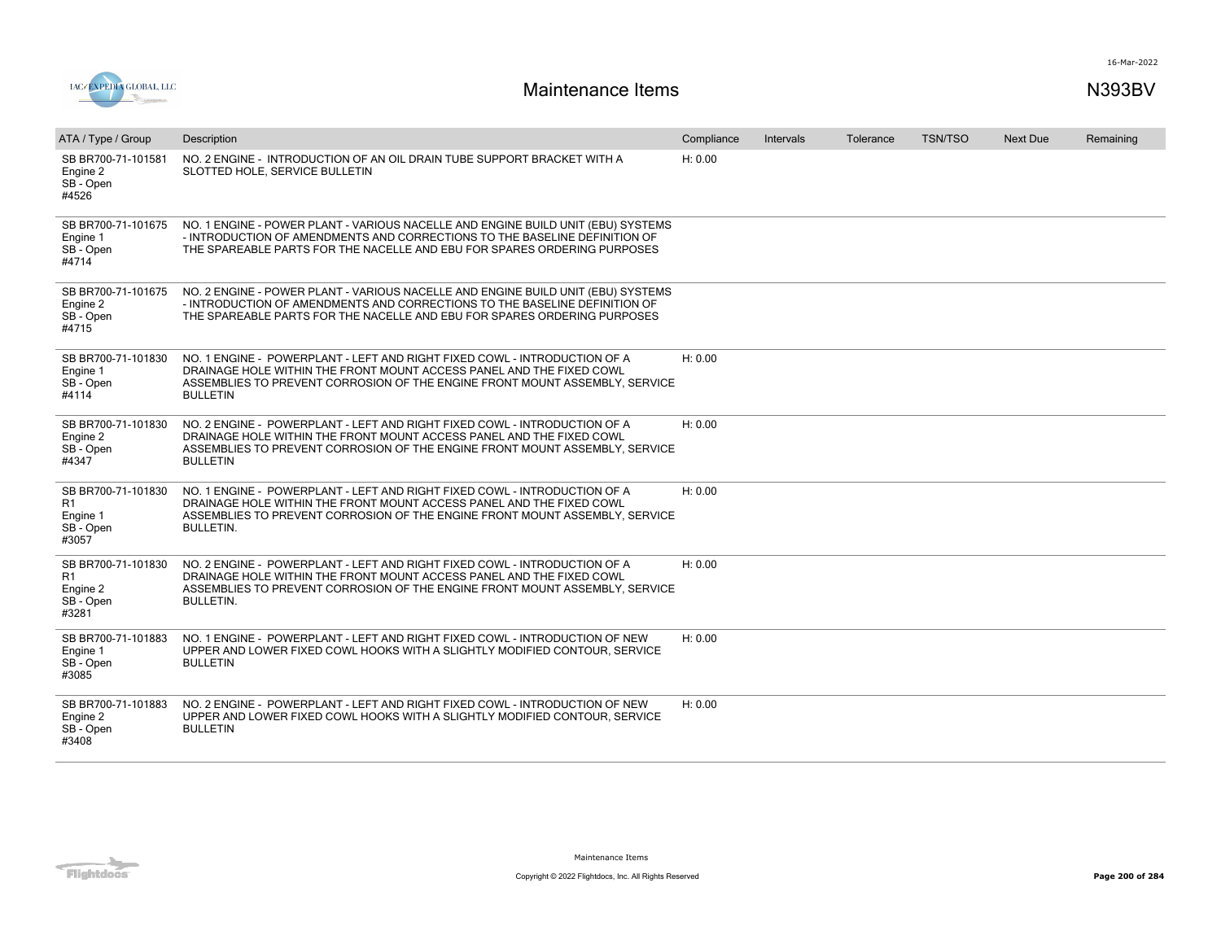

| ATA / Type / Group                                                     | Description                                                                                                                                                                                                                                          | Compliance | Intervals | Tolerance | <b>TSN/TSO</b> | <b>Next Due</b> | Remaining |
|------------------------------------------------------------------------|------------------------------------------------------------------------------------------------------------------------------------------------------------------------------------------------------------------------------------------------------|------------|-----------|-----------|----------------|-----------------|-----------|
| SB BR700-71-101581<br>Engine 2<br>SB - Open<br>#4526                   | NO. 2 ENGINE - INTRODUCTION OF AN OIL DRAIN TUBE SUPPORT BRACKET WITH A<br>SLOTTED HOLE, SERVICE BULLETIN                                                                                                                                            | H: 0.00    |           |           |                |                 |           |
| SB BR700-71-101675<br>Engine 1<br>SB - Open<br>#4714                   | NO. 1 ENGINE - POWER PLANT - VARIOUS NACELLE AND ENGINE BUILD UNIT (EBU) SYSTEMS<br>- INTRODUCTION OF AMENDMENTS AND CORRECTIONS TO THE BASELINE DEFINITION OF<br>THE SPAREABLE PARTS FOR THE NACELLE AND EBU FOR SPARES ORDERING PURPOSES           |            |           |           |                |                 |           |
| SB BR700-71-101675<br>Engine 2<br>SB - Open<br>#4715                   | NO. 2 ENGINE - POWER PLANT - VARIOUS NACELLE AND ENGINE BUILD UNIT (EBU) SYSTEMS<br>- INTRODUCTION OF AMENDMENTS AND CORRECTIONS TO THE BASELINE DEFINITION OF<br>THE SPAREABLE PARTS FOR THE NACELLE AND EBU FOR SPARES ORDERING PURPOSES           |            |           |           |                |                 |           |
| SB BR700-71-101830<br>Engine 1<br>SB - Open<br>#4114                   | NO. 1 ENGINE - POWERPLANT - LEFT AND RIGHT FIXED COWL - INTRODUCTION OF A<br>DRAINAGE HOLE WITHIN THE FRONT MOUNT ACCESS PANEL AND THE FIXED COWL<br>ASSEMBLIES TO PREVENT CORROSION OF THE ENGINE FRONT MOUNT ASSEMBLY, SERVICE<br><b>BULLETIN</b>  | H: 0.00    |           |           |                |                 |           |
| SB BR700-71-101830<br>Engine 2<br>SB - Open<br>#4347                   | NO. 2 ENGINE - POWERPLANT - LEFT AND RIGHT FIXED COWL - INTRODUCTION OF A<br>DRAINAGE HOLE WITHIN THE FRONT MOUNT ACCESS PANEL AND THE FIXED COWL<br>ASSEMBLIES TO PREVENT CORROSION OF THE ENGINE FRONT MOUNT ASSEMBLY, SERVICE<br><b>BULLETIN</b>  | H: 0.00    |           |           |                |                 |           |
| SB BR700-71-101830<br>R <sub>1</sub><br>Engine 1<br>SB - Open<br>#3057 | NO. 1 ENGINE - POWERPLANT - LEFT AND RIGHT FIXED COWL - INTRODUCTION OF A<br>DRAINAGE HOLE WITHIN THE FRONT MOUNT ACCESS PANEL AND THE FIXED COWL<br>ASSEMBLIES TO PREVENT CORROSION OF THE ENGINE FRONT MOUNT ASSEMBLY. SERVICE<br><b>BULLETIN.</b> | H: 0.00    |           |           |                |                 |           |
| SB BR700-71-101830<br>R1<br>Engine 2<br>SB - Open<br>#3281             | NO. 2 ENGINE - POWERPLANT - LEFT AND RIGHT FIXED COWL - INTRODUCTION OF A<br>DRAINAGE HOLE WITHIN THE FRONT MOUNT ACCESS PANEL AND THE FIXED COWL<br>ASSEMBLIES TO PREVENT CORROSION OF THE ENGINE FRONT MOUNT ASSEMBLY. SERVICE<br><b>BULLETIN.</b> | H: 0.00    |           |           |                |                 |           |
| SB BR700-71-101883<br>Engine 1<br>SB - Open<br>#3085                   | NO. 1 ENGINE - POWERPLANT - LEFT AND RIGHT FIXED COWL - INTRODUCTION OF NEW<br>UPPER AND LOWER FIXED COWL HOOKS WITH A SLIGHTLY MODIFIED CONTOUR. SERVICE<br><b>BULLETIN</b>                                                                         | H: 0.00    |           |           |                |                 |           |
| SB BR700-71-101883<br>Engine 2<br>SB - Open<br>#3408                   | NO. 2 ENGINE - POWERPLANT - LEFT AND RIGHT FIXED COWL - INTRODUCTION OF NEW<br>UPPER AND LOWER FIXED COWL HOOKS WITH A SLIGHTLY MODIFIED CONTOUR, SERVICE<br><b>BULLETIN</b>                                                                         | H: 0.00    |           |           |                |                 |           |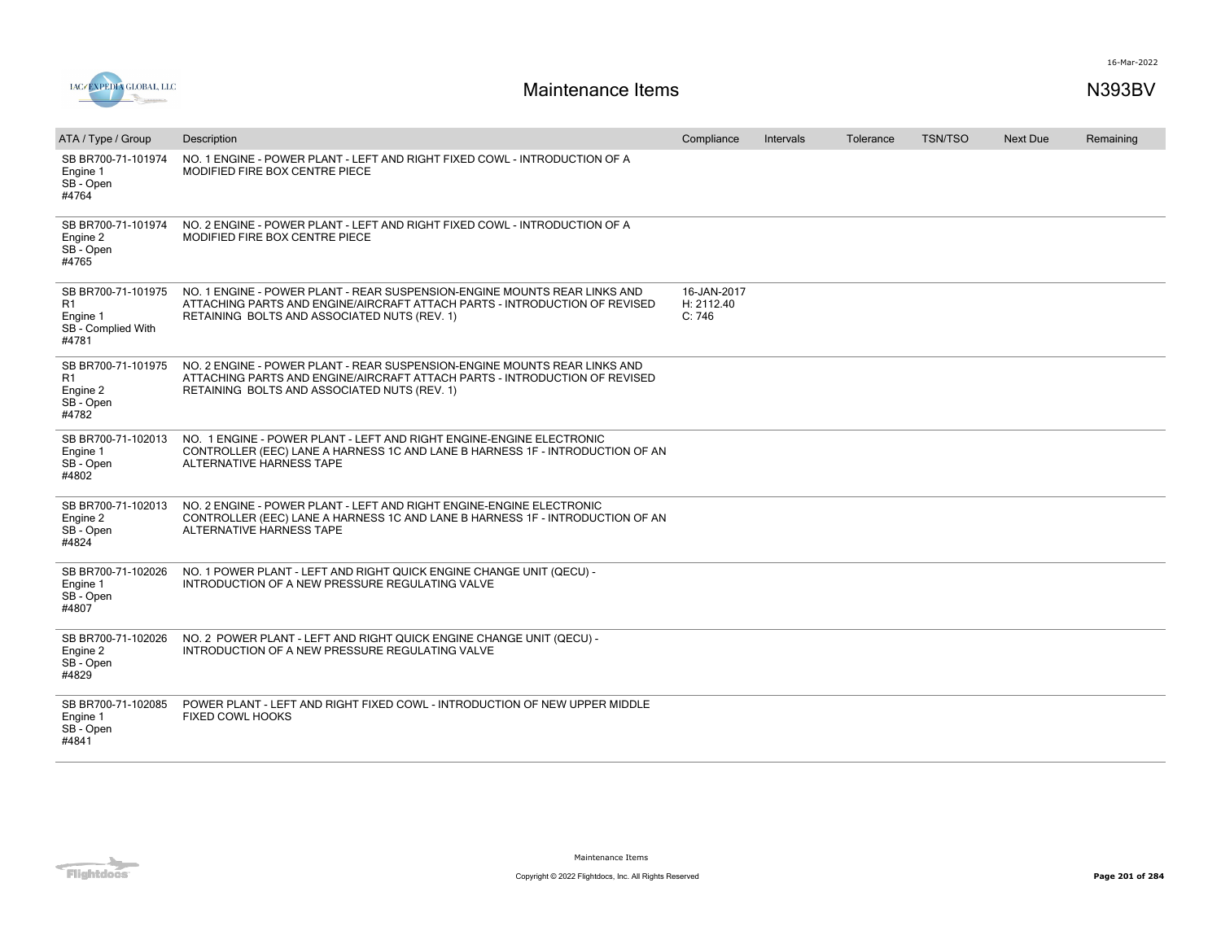



| ATA / Type / Group                                                  | Description                                                                                                                                                                                             | Compliance                          | Intervals | Tolerance | <b>TSN/TSO</b> | <b>Next Due</b> | Remaining |
|---------------------------------------------------------------------|---------------------------------------------------------------------------------------------------------------------------------------------------------------------------------------------------------|-------------------------------------|-----------|-----------|----------------|-----------------|-----------|
| SB BR700-71-101974<br>Engine 1<br>SB - Open<br>#4764                | NO. 1 ENGINE - POWER PLANT - LEFT AND RIGHT FIXED COWL - INTRODUCTION OF A<br>MODIFIED FIRE BOX CENTRE PIECE                                                                                            |                                     |           |           |                |                 |           |
| SB BR700-71-101974<br>Engine 2<br>SB - Open<br>#4765                | NO. 2 ENGINE - POWER PLANT - LEFT AND RIGHT FIXED COWL - INTRODUCTION OF A<br>MODIFIED FIRE BOX CENTRE PIECE                                                                                            |                                     |           |           |                |                 |           |
| SB BR700-71-101975<br>R1<br>Engine 1<br>SB - Complied With<br>#4781 | NO. 1 ENGINE - POWER PLANT - REAR SUSPENSION-ENGINE MOUNTS REAR LINKS AND<br>ATTACHING PARTS AND ENGINE/AIRCRAFT ATTACH PARTS - INTRODUCTION OF REVISED<br>RETAINING BOLTS AND ASSOCIATED NUTS (REV. 1) | 16-JAN-2017<br>H: 2112.40<br>C: 746 |           |           |                |                 |           |
| SB BR700-71-101975<br>R1<br>Engine 2<br>SB - Open<br>#4782          | NO. 2 ENGINE - POWER PLANT - REAR SUSPENSION-ENGINE MOUNTS REAR LINKS AND<br>ATTACHING PARTS AND ENGINE/AIRCRAFT ATTACH PARTS - INTRODUCTION OF REVISED<br>RETAINING BOLTS AND ASSOCIATED NUTS (REV. 1) |                                     |           |           |                |                 |           |
| SB BR700-71-102013<br>Engine 1<br>SB - Open<br>#4802                | NO. 1 ENGINE - POWER PLANT - LEFT AND RIGHT ENGINE-ENGINE ELECTRONIC<br>CONTROLLER (EEC) LANE A HARNESS 1C AND LANE B HARNESS 1F - INTRODUCTION OF AN<br><b>ALTERNATIVE HARNESS TAPE</b>                |                                     |           |           |                |                 |           |
| SB BR700-71-102013<br>Engine 2<br>SB - Open<br>#4824                | NO. 2 ENGINE - POWER PLANT - LEFT AND RIGHT ENGINE-ENGINE ELECTRONIC<br>CONTROLLER (EEC) LANE A HARNESS 1C AND LANE B HARNESS 1F - INTRODUCTION OF AN<br>ALTERNATIVE HARNESS TAPE                       |                                     |           |           |                |                 |           |
| SB BR700-71-102026<br>Engine 1<br>SB - Open<br>#4807                | NO. 1 POWER PLANT - LEFT AND RIGHT QUICK ENGINE CHANGE UNIT (QECU) -<br>INTRODUCTION OF A NEW PRESSURE REGULATING VALVE                                                                                 |                                     |           |           |                |                 |           |
| SB BR700-71-102026<br>Engine 2<br>SB - Open<br>#4829                | NO. 2 POWER PLANT - LEFT AND RIGHT QUICK ENGINE CHANGE UNIT (QECU) -<br>INTRODUCTION OF A NEW PRESSURE REGULATING VALVE                                                                                 |                                     |           |           |                |                 |           |
| SB BR700-71-102085<br>Engine 1<br>SB - Open<br>#4841                | POWER PLANT - LEFT AND RIGHT FIXED COWL - INTRODUCTION OF NEW UPPER MIDDLE<br>FIXED COWL HOOKS                                                                                                          |                                     |           |           |                |                 |           |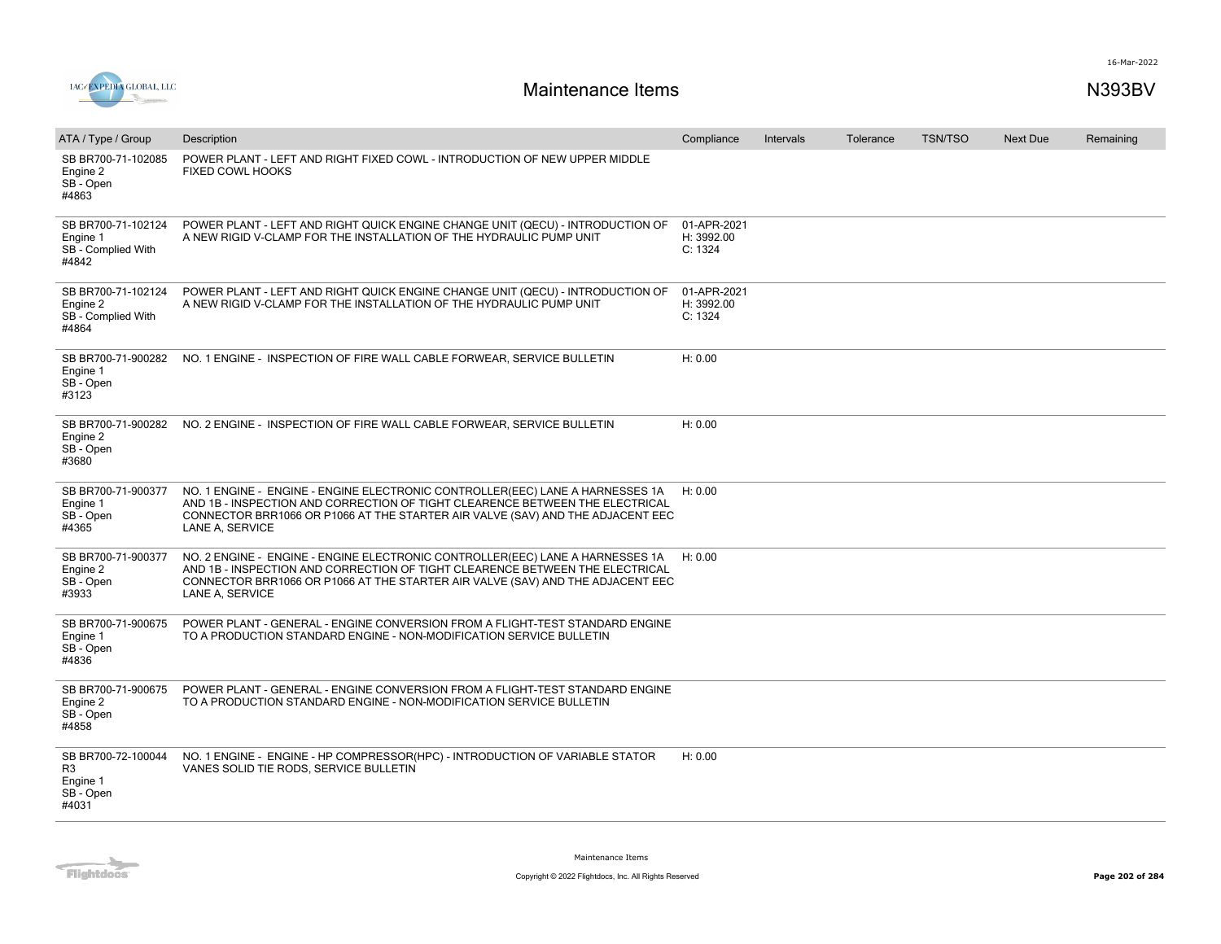

| ATA / Type / Group                                                     | Description                                                                                                                                                                                                                                                        | Compliance                           | Intervals | Tolerance | <b>TSN/TSO</b> | <b>Next Due</b> | Remaining |
|------------------------------------------------------------------------|--------------------------------------------------------------------------------------------------------------------------------------------------------------------------------------------------------------------------------------------------------------------|--------------------------------------|-----------|-----------|----------------|-----------------|-----------|
| SB BR700-71-102085<br>Engine 2<br>SB - Open<br>#4863                   | POWER PLANT - LEFT AND RIGHT FIXED COWL - INTRODUCTION OF NEW UPPER MIDDLE<br><b>FIXED COWL HOOKS</b>                                                                                                                                                              |                                      |           |           |                |                 |           |
| SB BR700-71-102124<br>Engine 1<br>SB - Complied With<br>#4842          | POWER PLANT - LEFT AND RIGHT QUICK ENGINE CHANGE UNIT (QECU) - INTRODUCTION OF<br>A NEW RIGID V-CLAMP FOR THE INSTALLATION OF THE HYDRAULIC PUMP UNIT                                                                                                              | 01-APR-2021<br>H: 3992.00<br>C: 1324 |           |           |                |                 |           |
| SB BR700-71-102124<br>Engine 2<br>SB - Complied With<br>#4864          | POWER PLANT - LEFT AND RIGHT QUICK ENGINE CHANGE UNIT (QECU) - INTRODUCTION OF<br>A NEW RIGID V-CLAMP FOR THE INSTALLATION OF THE HYDRAULIC PUMP UNIT                                                                                                              | 01-APR-2021<br>H: 3992.00<br>C: 1324 |           |           |                |                 |           |
| SB BR700-71-900282<br>Engine 1<br>SB - Open<br>#3123                   | NO. 1 ENGINE - INSPECTION OF FIRE WALL CABLE FORWEAR, SERVICE BULLETIN                                                                                                                                                                                             | H: 0.00                              |           |           |                |                 |           |
| SB BR700-71-900282<br>Engine 2<br>SB - Open<br>#3680                   | NO. 2 ENGINE - INSPECTION OF FIRE WALL CABLE FORWEAR, SERVICE BULLETIN                                                                                                                                                                                             | H: 0.00                              |           |           |                |                 |           |
| SB BR700-71-900377<br>Engine 1<br>SB - Open<br>#4365                   | NO. 1 ENGINE - ENGINE - ENGINE ELECTRONIC CONTROLLER(EEC) LANE A HARNESSES 1A<br>AND 1B - INSPECTION AND CORRECTION OF TIGHT CLEARENCE BETWEEN THE ELECTRICAL<br>CONNECTOR BRR1066 OR P1066 AT THE STARTER AIR VALVE (SAV) AND THE ADJACENT EEC<br>LANE A, SERVICE | H: 0.00                              |           |           |                |                 |           |
| SB BR700-71-900377<br>Engine 2<br>SB - Open<br>#3933                   | NO. 2 ENGINE - ENGINE - ENGINE ELECTRONIC CONTROLLER(EEC) LANE A HARNESSES 1A<br>AND 1B - INSPECTION AND CORRECTION OF TIGHT CLEARENCE BETWEEN THE ELECTRICAL<br>CONNECTOR BRR1066 OR P1066 AT THE STARTER AIR VALVE (SAV) AND THE ADJACENT EEC<br>LANE A, SERVICE | H: 0.00                              |           |           |                |                 |           |
| SB BR700-71-900675<br>Engine 1<br>SB - Open<br>#4836                   | POWER PLANT - GENERAL - ENGINE CONVERSION FROM A FLIGHT-TEST STANDARD ENGINE<br>TO A PRODUCTION STANDARD ENGINE - NON-MODIFICATION SERVICE BULLETIN                                                                                                                |                                      |           |           |                |                 |           |
| SB BR700-71-900675<br>Engine 2<br>SB - Open<br>#4858                   | POWER PLANT - GENERAL - ENGINE CONVERSION FROM A FLIGHT-TEST STANDARD ENGINE<br>TO A PRODUCTION STANDARD ENGINE - NON-MODIFICATION SERVICE BULLETIN                                                                                                                |                                      |           |           |                |                 |           |
| SB BR700-72-100044<br>R <sub>3</sub><br>Engine 1<br>SB - Open<br>#4031 | NO. 1 ENGINE - ENGINE - HP COMPRESSOR(HPC) - INTRODUCTION OF VARIABLE STATOR<br>VANES SOLID TIE RODS, SERVICE BULLETIN                                                                                                                                             | H: 0.00                              |           |           |                |                 |           |

Flightdocs<sup>®</sup>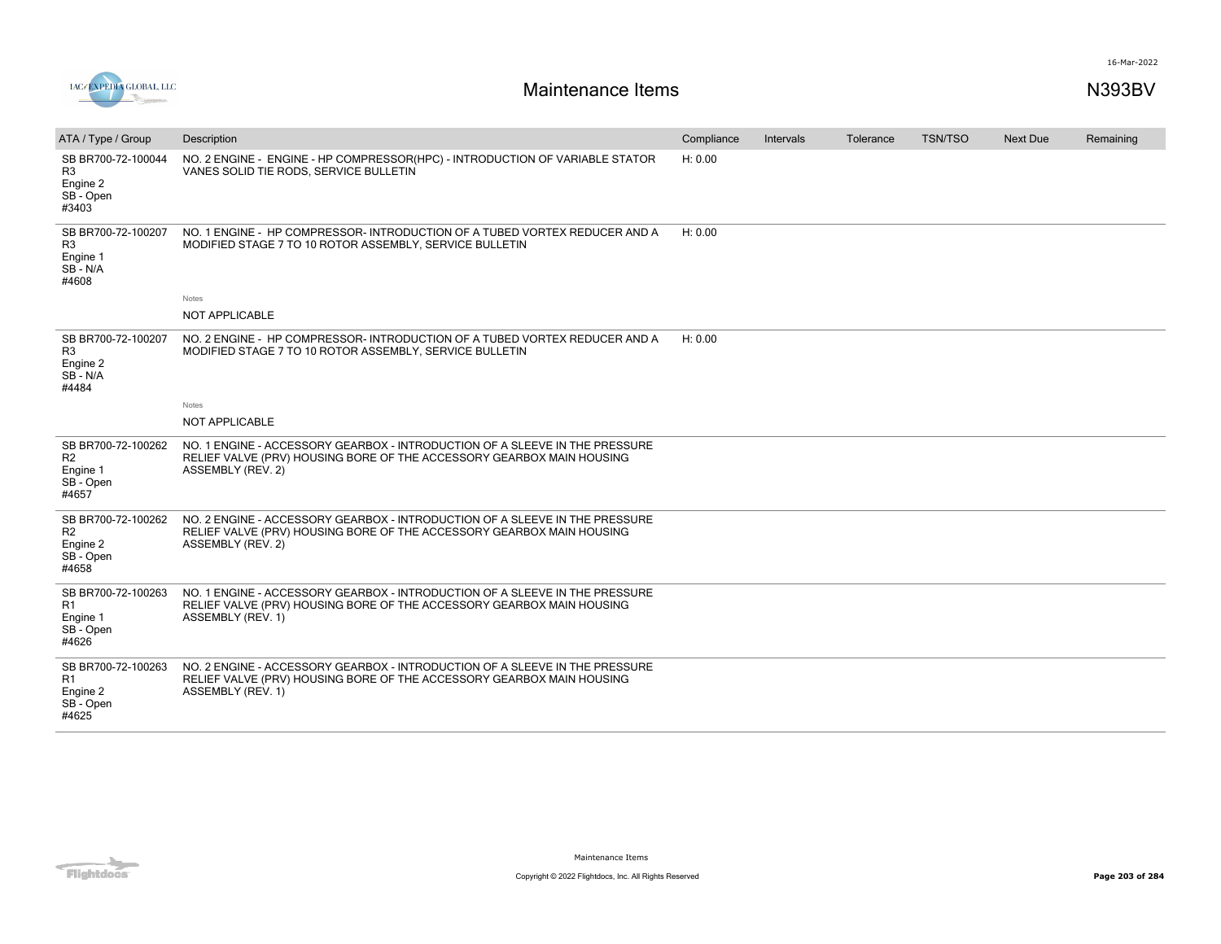

| ATA / Type / Group                                                     | Description                                                                                                                                                               | Compliance | Intervals | Tolerance | <b>TSN/TSO</b> | <b>Next Due</b> | Remaining |
|------------------------------------------------------------------------|---------------------------------------------------------------------------------------------------------------------------------------------------------------------------|------------|-----------|-----------|----------------|-----------------|-----------|
| SB BR700-72-100044<br>R3<br>Engine 2<br>SB - Open<br>#3403             | NO. 2 ENGINE - ENGINE - HP COMPRESSOR(HPC) - INTRODUCTION OF VARIABLE STATOR<br>VANES SOLID TIE RODS, SERVICE BULLETIN                                                    | H: 0.00    |           |           |                |                 |           |
| SB BR700-72-100207<br>R <sub>3</sub><br>Engine 1<br>SB-N/A<br>#4608    | NO. 1 ENGINE - HP COMPRESSOR- INTRODUCTION OF A TUBED VORTEX REDUCER AND A<br>MODIFIED STAGE 7 TO 10 ROTOR ASSEMBLY, SERVICE BULLETIN                                     | H: 0.00    |           |           |                |                 |           |
|                                                                        | Notes                                                                                                                                                                     |            |           |           |                |                 |           |
|                                                                        | <b>NOT APPLICABLE</b>                                                                                                                                                     |            |           |           |                |                 |           |
| SB BR700-72-100207<br>R3<br>Engine 2<br>SB - N/A<br>#4484              | NO. 2 ENGINE - HP COMPRESSOR- INTRODUCTION OF A TUBED VORTEX REDUCER AND A<br>MODIFIED STAGE 7 TO 10 ROTOR ASSEMBLY, SERVICE BULLETIN                                     | H: 0.00    |           |           |                |                 |           |
|                                                                        | Notes                                                                                                                                                                     |            |           |           |                |                 |           |
|                                                                        | NOT APPLICABLE                                                                                                                                                            |            |           |           |                |                 |           |
| SB BR700-72-100262<br>R <sub>2</sub><br>Engine 1<br>SB - Open<br>#4657 | NO. 1 ENGINE - ACCESSORY GEARBOX - INTRODUCTION OF A SLEEVE IN THE PRESSURE<br>RELIEF VALVE (PRV) HOUSING BORE OF THE ACCESSORY GEARBOX MAIN HOUSING<br>ASSEMBLY (REV. 2) |            |           |           |                |                 |           |
| SB BR700-72-100262<br>R2<br>Engine 2<br>SB - Open<br>#4658             | NO. 2 ENGINE - ACCESSORY GEARBOX - INTRODUCTION OF A SLEEVE IN THE PRESSURE<br>RELIEF VALVE (PRV) HOUSING BORE OF THE ACCESSORY GEARBOX MAIN HOUSING<br>ASSEMBLY (REV. 2) |            |           |           |                |                 |           |
| SB BR700-72-100263<br>R <sub>1</sub><br>Engine 1<br>SB - Open<br>#4626 | NO. 1 ENGINE - ACCESSORY GEARBOX - INTRODUCTION OF A SLEEVE IN THE PRESSURE<br>RELIEF VALVE (PRV) HOUSING BORE OF THE ACCESSORY GEARBOX MAIN HOUSING<br>ASSEMBLY (REV. 1) |            |           |           |                |                 |           |
| SB BR700-72-100263<br>R1<br>Engine 2<br>SB - Open<br>#4625             | NO. 2 ENGINE - ACCESSORY GEARBOX - INTRODUCTION OF A SLEEVE IN THE PRESSURE<br>RELIEF VALVE (PRV) HOUSING BORE OF THE ACCESSORY GEARBOX MAIN HOUSING<br>ASSEMBLY (REV. 1) |            |           |           |                |                 |           |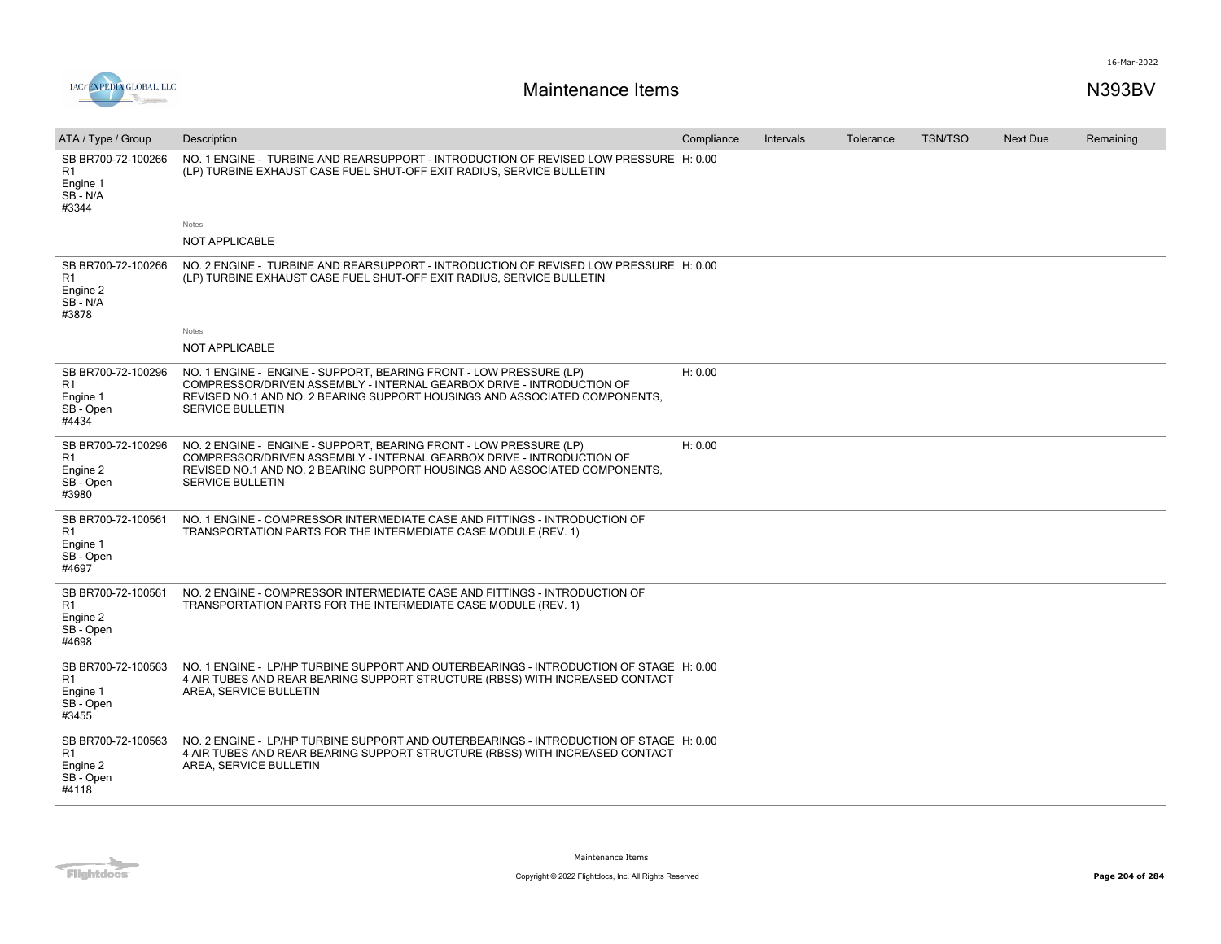

| ATA / Type / Group                                                     | Description                                                                                                                                                                                                                                          | Compliance | Intervals | Tolerance | <b>TSN/TSO</b> | <b>Next Due</b> | Remaining |
|------------------------------------------------------------------------|------------------------------------------------------------------------------------------------------------------------------------------------------------------------------------------------------------------------------------------------------|------------|-----------|-----------|----------------|-----------------|-----------|
| SB BR700-72-100266<br>R1<br>Engine 1<br>SB - N/A<br>#3344              | NO. 1 ENGINE - TURBINE AND REARSUPPORT - INTRODUCTION OF REVISED LOW PRESSURE H: 0.00<br>(LP) TURBINE EXHAUST CASE FUEL SHUT-OFF EXIT RADIUS, SERVICE BULLETIN<br><b>Notes</b>                                                                       |            |           |           |                |                 |           |
|                                                                        | <b>NOT APPLICABLE</b>                                                                                                                                                                                                                                |            |           |           |                |                 |           |
| SB BR700-72-100266<br>R <sub>1</sub><br>Engine 2<br>SB-N/A<br>#3878    | NO. 2 ENGINE - TURBINE AND REARSUPPORT - INTRODUCTION OF REVISED LOW PRESSURE H: 0.00<br>(LP) TURBINE EXHAUST CASE FUEL SHUT-OFF EXIT RADIUS, SERVICE BULLETIN                                                                                       |            |           |           |                |                 |           |
|                                                                        | Notes<br><b>NOT APPLICABLE</b>                                                                                                                                                                                                                       |            |           |           |                |                 |           |
| SB BR700-72-100296<br>R1<br>Engine 1<br>SB - Open<br>#4434             | NO. 1 ENGINE - ENGINE - SUPPORT, BEARING FRONT - LOW PRESSURE (LP)<br>COMPRESSOR/DRIVEN ASSEMBLY - INTERNAL GEARBOX DRIVE - INTRODUCTION OF<br>REVISED NO.1 AND NO. 2 BEARING SUPPORT HOUSINGS AND ASSOCIATED COMPONENTS.<br><b>SERVICE BULLETIN</b> | H: 0.00    |           |           |                |                 |           |
| SB BR700-72-100296<br>R1<br>Engine 2<br>SB - Open<br>#3980             | NO. 2 ENGINE - ENGINE - SUPPORT, BEARING FRONT - LOW PRESSURE (LP)<br>COMPRESSOR/DRIVEN ASSEMBLY - INTERNAL GEARBOX DRIVE - INTRODUCTION OF<br>REVISED NO.1 AND NO. 2 BEARING SUPPORT HOUSINGS AND ASSOCIATED COMPONENTS.<br><b>SERVICE BULLETIN</b> | H: 0.00    |           |           |                |                 |           |
| SB BR700-72-100561<br>R <sub>1</sub><br>Engine 1<br>SB - Open<br>#4697 | NO. 1 ENGINE - COMPRESSOR INTERMEDIATE CASE AND FITTINGS - INTRODUCTION OF<br>TRANSPORTATION PARTS FOR THE INTERMEDIATE CASE MODULE (REV. 1)                                                                                                         |            |           |           |                |                 |           |
| SB BR700-72-100561<br>R1<br>Engine 2<br>SB - Open<br>#4698             | NO. 2 ENGINE - COMPRESSOR INTERMEDIATE CASE AND FITTINGS - INTRODUCTION OF<br>TRANSPORTATION PARTS FOR THE INTERMEDIATE CASE MODULE (REV. 1)                                                                                                         |            |           |           |                |                 |           |
| SB BR700-72-100563<br>R <sub>1</sub><br>Engine 1<br>SB - Open<br>#3455 | NO. 1 ENGINE - LP/HP TURBINE SUPPORT AND OUTERBEARINGS - INTRODUCTION OF STAGE H: 0.00<br>4 AIR TUBES AND REAR BEARING SUPPORT STRUCTURE (RBSS) WITH INCREASED CONTACT<br>AREA, SERVICE BULLETIN                                                     |            |           |           |                |                 |           |
| SB BR700-72-100563<br>R1<br>Engine 2<br>SB - Open<br>#4118             | NO. 2 ENGINE - LP/HP TURBINE SUPPORT AND OUTERBEARINGS - INTRODUCTION OF STAGE H: 0.00<br>4 AIR TUBES AND REAR BEARING SUPPORT STRUCTURE (RBSS) WITH INCREASED CONTACT<br>AREA, SERVICE BULLETIN                                                     |            |           |           |                |                 |           |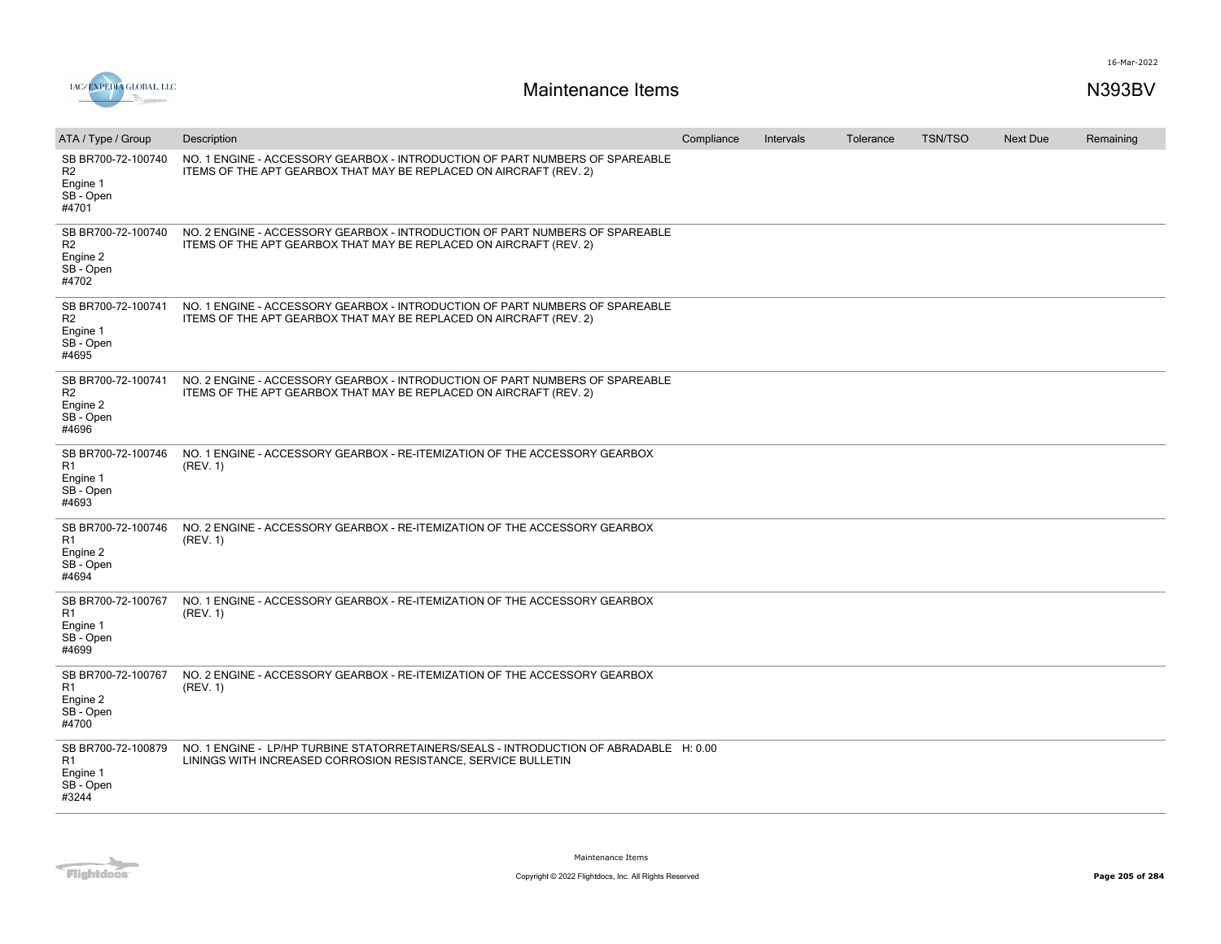

| ATA / Type / Group                                                     | Description                                                                                                                                             | Compliance | Intervals | Tolerance | <b>TSN/TSO</b> | <b>Next Due</b> | Remaining |
|------------------------------------------------------------------------|---------------------------------------------------------------------------------------------------------------------------------------------------------|------------|-----------|-----------|----------------|-----------------|-----------|
| SB BR700-72-100740<br>R <sub>2</sub><br>Engine 1<br>SB - Open<br>#4701 | NO. 1 ENGINE - ACCESSORY GEARBOX - INTRODUCTION OF PART NUMBERS OF SPAREABLE<br>ITEMS OF THE APT GEARBOX THAT MAY BE REPLACED ON AIRCRAFT (REV. 2)      |            |           |           |                |                 |           |
| SB BR700-72-100740<br>R <sub>2</sub><br>Engine 2<br>SB - Open<br>#4702 | NO. 2 ENGINE - ACCESSORY GEARBOX - INTRODUCTION OF PART NUMBERS OF SPAREABLE<br>ITEMS OF THE APT GEARBOX THAT MAY BE REPLACED ON AIRCRAFT (REV. 2)      |            |           |           |                |                 |           |
| SB BR700-72-100741<br>R <sub>2</sub><br>Engine 1<br>SB - Open<br>#4695 | NO. 1 ENGINE - ACCESSORY GEARBOX - INTRODUCTION OF PART NUMBERS OF SPAREABLE<br>ITEMS OF THE APT GEARBOX THAT MAY BE REPLACED ON AIRCRAFT (REV. 2)      |            |           |           |                |                 |           |
| SB BR700-72-100741<br>R2<br>Engine 2<br>SB - Open<br>#4696             | NO. 2 ENGINE - ACCESSORY GEARBOX - INTRODUCTION OF PART NUMBERS OF SPAREABLE<br>ITEMS OF THE APT GEARBOX THAT MAY BE REPLACED ON AIRCRAFT (REV. 2)      |            |           |           |                |                 |           |
| SB BR700-72-100746<br>R <sub>1</sub><br>Engine 1<br>SB - Open<br>#4693 | NO. 1 ENGINE - ACCESSORY GEARBOX - RE-ITEMIZATION OF THE ACCESSORY GEARBOX<br>(REV. 1)                                                                  |            |           |           |                |                 |           |
| SB BR700-72-100746<br>R <sub>1</sub><br>Engine 2<br>SB - Open<br>#4694 | NO. 2 ENGINE - ACCESSORY GEARBOX - RE-ITEMIZATION OF THE ACCESSORY GEARBOX<br>(REV. 1)                                                                  |            |           |           |                |                 |           |
| SB BR700-72-100767<br>R <sub>1</sub><br>Engine 1<br>SB - Open<br>#4699 | NO. 1 ENGINE - ACCESSORY GEARBOX - RE-ITEMIZATION OF THE ACCESSORY GEARBOX<br>(REV. 1)                                                                  |            |           |           |                |                 |           |
| SB BR700-72-100767<br>R1<br>Engine 2<br>SB - Open<br>#4700             | NO. 2 ENGINE - ACCESSORY GEARBOX - RE-ITEMIZATION OF THE ACCESSORY GEARBOX<br>(REV. 1)                                                                  |            |           |           |                |                 |           |
| SB BR700-72-100879<br>R1<br>Engine 1<br>SB - Open<br>#3244             | NO. 1 ENGINE - LP/HP TURBINE STATORRETAINERS/SEALS - INTRODUCTION OF ABRADABLE H: 0.00<br>LININGS WITH INCREASED CORROSION RESISTANCE, SERVICE BULLETIN |            |           |           |                |                 |           |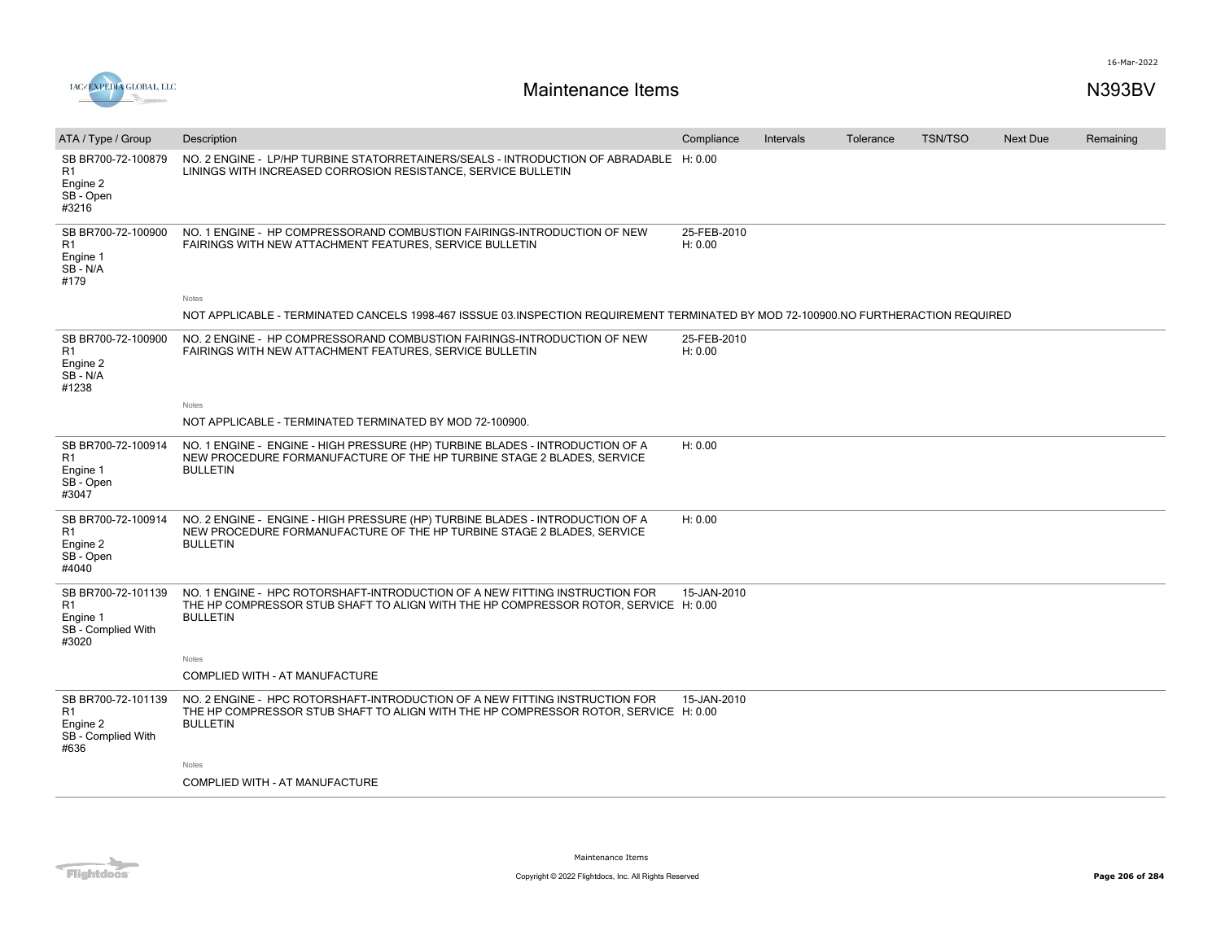



| ATA / Type / Group                                                              | Description                                                                                                                                                                           | Compliance             | Intervals | Tolerance | <b>TSN/TSO</b> | Next Due | Remaining |
|---------------------------------------------------------------------------------|---------------------------------------------------------------------------------------------------------------------------------------------------------------------------------------|------------------------|-----------|-----------|----------------|----------|-----------|
| SB BR700-72-100879<br>R <sub>1</sub><br>Engine 2<br>SB - Open<br>#3216          | NO. 2 ENGINE - LP/HP TURBINE STATORRETAINERS/SEALS - INTRODUCTION OF ABRADABLE H: 0.00<br>LININGS WITH INCREASED CORROSION RESISTANCE, SERVICE BULLETIN                               |                        |           |           |                |          |           |
| SB BR700-72-100900<br>R <sub>1</sub><br>Engine 1<br>SB-N/A<br>#179              | NO. 1 ENGINE - HP COMPRESSORAND COMBUSTION FAIRINGS-INTRODUCTION OF NEW<br>FAIRINGS WITH NEW ATTACHMENT FEATURES, SERVICE BULLETIN                                                    | 25-FEB-2010<br>H: 0.00 |           |           |                |          |           |
|                                                                                 | Notes                                                                                                                                                                                 |                        |           |           |                |          |           |
|                                                                                 | NOT APPLICABLE - TERMINATED CANCELS 1998-467 ISSSUE 03.INSPECTION REQUIREMENT TERMINATED BY MOD 72-100900.NO FURTHERACTION REQUIRED                                                   |                        |           |           |                |          |           |
| SB BR700-72-100900<br>R <sub>1</sub><br>Engine 2<br>SB-N/A<br>#1238             | NO. 2 ENGINE - HP COMPRESSORAND COMBUSTION FAIRINGS-INTRODUCTION OF NEW<br>FAIRINGS WITH NEW ATTACHMENT FEATURES, SERVICE BULLETIN                                                    | 25-FEB-2010<br>H: 0.00 |           |           |                |          |           |
|                                                                                 | Notes                                                                                                                                                                                 |                        |           |           |                |          |           |
|                                                                                 | NOT APPLICABLE - TERMINATED TERMINATED BY MOD 72-100900.                                                                                                                              |                        |           |           |                |          |           |
| SB BR700-72-100914<br>R1<br>Engine 1<br>SB-Open<br>#3047                        | NO. 1 ENGINE - ENGINE - HIGH PRESSURE (HP) TURBINE BLADES - INTRODUCTION OF A<br>NEW PROCEDURE FORMANUFACTURE OF THE HP TURBINE STAGE 2 BLADES, SERVICE<br><b>BULLETIN</b>            | H: 0.00                |           |           |                |          |           |
| SB BR700-72-100914<br>R1<br>Engine 2<br>SB - Open<br>#4040                      | NO. 2 ENGINE - ENGINE - HIGH PRESSURE (HP) TURBINE BLADES - INTRODUCTION OF A<br>NEW PROCEDURE FORMANUFACTURE OF THE HP TURBINE STAGE 2 BLADES, SERVICE<br><b>BULLETIN</b>            | H: 0.00                |           |           |                |          |           |
| SB BR700-72-101139<br>R <sub>1</sub><br>Engine 1<br>SB - Complied With<br>#3020 | NO. 1 ENGINE - HPC ROTORSHAFT-INTRODUCTION OF A NEW FITTING INSTRUCTION FOR<br>THE HP COMPRESSOR STUB SHAFT TO ALIGN WITH THE HP COMPRESSOR ROTOR, SERVICE H: 0.00<br><b>BULLETIN</b> | 15-JAN-2010            |           |           |                |          |           |
|                                                                                 | Notes                                                                                                                                                                                 |                        |           |           |                |          |           |
|                                                                                 | COMPLIED WITH - AT MANUFACTURE                                                                                                                                                        |                        |           |           |                |          |           |
| SB BR700-72-101139<br>R1<br>Engine 2<br>SB - Complied With<br>#636              | NO. 2 ENGINE - HPC ROTORSHAFT-INTRODUCTION OF A NEW FITTING INSTRUCTION FOR<br>THE HP COMPRESSOR STUB SHAFT TO ALIGN WITH THE HP COMPRESSOR ROTOR, SERVICE H: 0.00<br><b>BULLETIN</b> | 15-JAN-2010            |           |           |                |          |           |
|                                                                                 | Notes                                                                                                                                                                                 |                        |           |           |                |          |           |
|                                                                                 | COMPLIED WITH - AT MANUFACTURE                                                                                                                                                        |                        |           |           |                |          |           |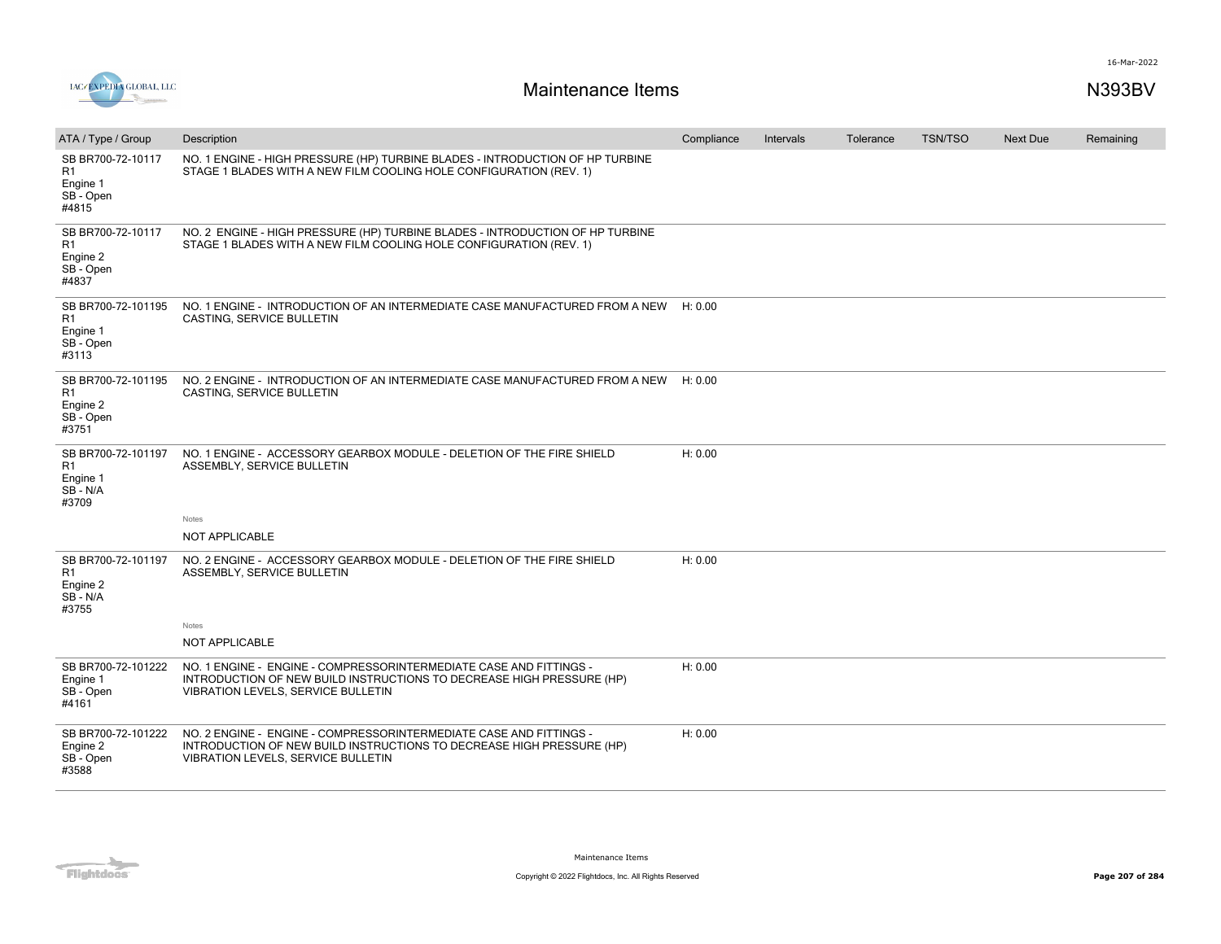

| ATA / Type / Group                                                     | Description                                                                                                                                                                       | Compliance | Intervals | Tolerance | <b>TSN/TSO</b> | <b>Next Due</b> | Remaining |
|------------------------------------------------------------------------|-----------------------------------------------------------------------------------------------------------------------------------------------------------------------------------|------------|-----------|-----------|----------------|-----------------|-----------|
| SB BR700-72-10117<br>R1<br>Engine 1<br>SB - Open<br>#4815              | NO. 1 ENGINE - HIGH PRESSURE (HP) TURBINE BLADES - INTRODUCTION OF HP TURBINE<br>STAGE 1 BLADES WITH A NEW FILM COOLING HOLE CONFIGURATION (REV. 1)                               |            |           |           |                |                 |           |
| SB BR700-72-10117<br>R <sub>1</sub><br>Engine 2<br>SB - Open<br>#4837  | NO. 2 ENGINE - HIGH PRESSURE (HP) TURBINE BLADES - INTRODUCTION OF HP TURBINE<br>STAGE 1 BLADES WITH A NEW FILM COOLING HOLE CONFIGURATION (REV. 1)                               |            |           |           |                |                 |           |
| SB BR700-72-101195<br>R <sub>1</sub><br>Engine 1<br>SB - Open<br>#3113 | NO. 1 ENGINE - INTRODUCTION OF AN INTERMEDIATE CASE MANUFACTURED FROM A NEW<br>CASTING, SERVICE BULLETIN                                                                          | H: 0.00    |           |           |                |                 |           |
| SB BR700-72-101195<br>R <sub>1</sub><br>Engine 2<br>SB - Open<br>#3751 | NO. 2 ENGINE - INTRODUCTION OF AN INTERMEDIATE CASE MANUFACTURED FROM A NEW<br>CASTING, SERVICE BULLETIN                                                                          | H: 0.00    |           |           |                |                 |           |
| SB BR700-72-101197<br>R1<br>Engine 1<br>SB-N/A<br>#3709                | NO. 1 ENGINE - ACCESSORY GEARBOX MODULE - DELETION OF THE FIRE SHIELD<br>ASSEMBLY, SERVICE BULLETIN<br>Notes                                                                      | H: 0.00    |           |           |                |                 |           |
|                                                                        | NOT APPLICABLE                                                                                                                                                                    |            |           |           |                |                 |           |
| SB BR700-72-101197<br>R <sub>1</sub><br>Engine 2<br>SB-N/A<br>#3755    | NO. 2 ENGINE - ACCESSORY GEARBOX MODULE - DELETION OF THE FIRE SHIELD<br>ASSEMBLY, SERVICE BULLETIN<br>Notes                                                                      | H: 0.00    |           |           |                |                 |           |
|                                                                        | <b>NOT APPLICABLE</b>                                                                                                                                                             |            |           |           |                |                 |           |
| SB BR700-72-101222<br>Engine 1<br>SB - Open<br>#4161                   | NO. 1 ENGINE - ENGINE - COMPRESSORINTERMEDIATE CASE AND FITTINGS -<br>INTRODUCTION OF NEW BUILD INSTRUCTIONS TO DECREASE HIGH PRESSURE (HP)<br>VIBRATION LEVELS, SERVICE BULLETIN | H: 0.00    |           |           |                |                 |           |
| SB BR700-72-101222<br>Engine 2<br>SB - Open<br>#3588                   | NO. 2 ENGINE - ENGINE - COMPRESSORINTERMEDIATE CASE AND FITTINGS -<br>INTRODUCTION OF NEW BUILD INSTRUCTIONS TO DECREASE HIGH PRESSURE (HP)<br>VIBRATION LEVELS, SERVICE BULLETIN | H: 0.00    |           |           |                |                 |           |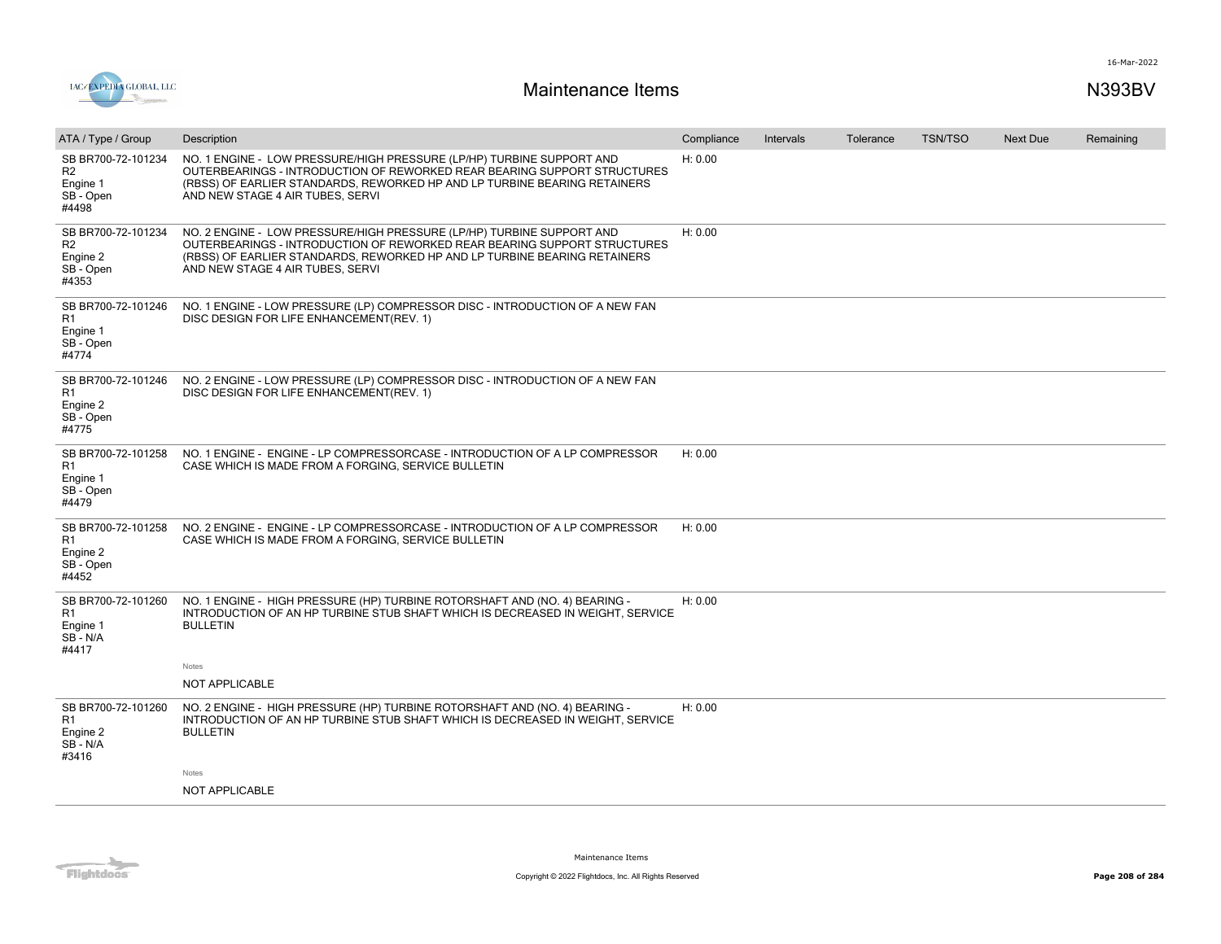

| ATA / Type / Group                                         | Description                                                                                                                                                                                                                                                        | Compliance | Intervals | Tolerance | <b>TSN/TSO</b> | <b>Next Due</b> | Remaining |
|------------------------------------------------------------|--------------------------------------------------------------------------------------------------------------------------------------------------------------------------------------------------------------------------------------------------------------------|------------|-----------|-----------|----------------|-----------------|-----------|
| SB BR700-72-101234<br>R2<br>Engine 1<br>SB - Open<br>#4498 | NO. 1 ENGINE - LOW PRESSURE/HIGH PRESSURE (LP/HP) TURBINE SUPPORT AND<br>OUTERBEARINGS - INTRODUCTION OF REWORKED REAR BEARING SUPPORT STRUCTURES<br>(RBSS) OF EARLIER STANDARDS, REWORKED HP AND LP TURBINE BEARING RETAINERS<br>AND NEW STAGE 4 AIR TUBES, SERVI | H: 0.00    |           |           |                |                 |           |
| SB BR700-72-101234<br>R2<br>Engine 2<br>SB - Open<br>#4353 | NO. 2 ENGINE - LOW PRESSURE/HIGH PRESSURE (LP/HP) TURBINE SUPPORT AND<br>OUTERBEARINGS - INTRODUCTION OF REWORKED REAR BEARING SUPPORT STRUCTURES<br>(RBSS) OF EARLIER STANDARDS, REWORKED HP AND LP TURBINE BEARING RETAINERS<br>AND NEW STAGE 4 AIR TUBES, SERVI | H: 0.00    |           |           |                |                 |           |
| SB BR700-72-101246<br>R1<br>Engine 1<br>SB - Open<br>#4774 | NO. 1 ENGINE - LOW PRESSURE (LP) COMPRESSOR DISC - INTRODUCTION OF A NEW FAN<br>DISC DESIGN FOR LIFE ENHANCEMENT(REV. 1)                                                                                                                                           |            |           |           |                |                 |           |
| SB BR700-72-101246<br>R1<br>Engine 2<br>SB - Open<br>#4775 | NO. 2 ENGINE - LOW PRESSURE (LP) COMPRESSOR DISC - INTRODUCTION OF A NEW FAN<br>DISC DESIGN FOR LIFE ENHANCEMENT(REV. 1)                                                                                                                                           |            |           |           |                |                 |           |
| SB BR700-72-101258<br>R1<br>Engine 1<br>SB - Open<br>#4479 | NO. 1 ENGINE - ENGINE - LP COMPRESSORCASE - INTRODUCTION OF A LP COMPRESSOR<br>CASE WHICH IS MADE FROM A FORGING, SERVICE BULLETIN                                                                                                                                 | H: 0.00    |           |           |                |                 |           |
| SB BR700-72-101258<br>R1<br>Engine 2<br>SB - Open<br>#4452 | NO. 2 ENGINE - ENGINE - LP COMPRESSORCASE - INTRODUCTION OF A LP COMPRESSOR<br>CASE WHICH IS MADE FROM A FORGING, SERVICE BULLETIN                                                                                                                                 | H: 0.00    |           |           |                |                 |           |
| SB BR700-72-101260<br>R1<br>Engine 1<br>SB - N/A<br>#4417  | NO. 1 ENGINE - HIGH PRESSURE (HP) TURBINE ROTORSHAFT AND (NO. 4) BEARING -<br>INTRODUCTION OF AN HP TURBINE STUB SHAFT WHICH IS DECREASED IN WEIGHT. SERVICE<br><b>BULLETIN</b>                                                                                    | H: 0.00    |           |           |                |                 |           |
|                                                            | Notes<br>NOT APPLICABLE                                                                                                                                                                                                                                            |            |           |           |                |                 |           |
| SB BR700-72-101260<br>R1<br>Engine 2<br>SB-N/A<br>#3416    | NO. 2 ENGINE - HIGH PRESSURE (HP) TURBINE ROTORSHAFT AND (NO. 4) BEARING -<br>INTRODUCTION OF AN HP TURBINE STUB SHAFT WHICH IS DECREASED IN WEIGHT, SERVICE<br><b>BULLETIN</b>                                                                                    | H: 0.00    |           |           |                |                 |           |
|                                                            | Notes                                                                                                                                                                                                                                                              |            |           |           |                |                 |           |
|                                                            | NOT APPLICABLE                                                                                                                                                                                                                                                     |            |           |           |                |                 |           |

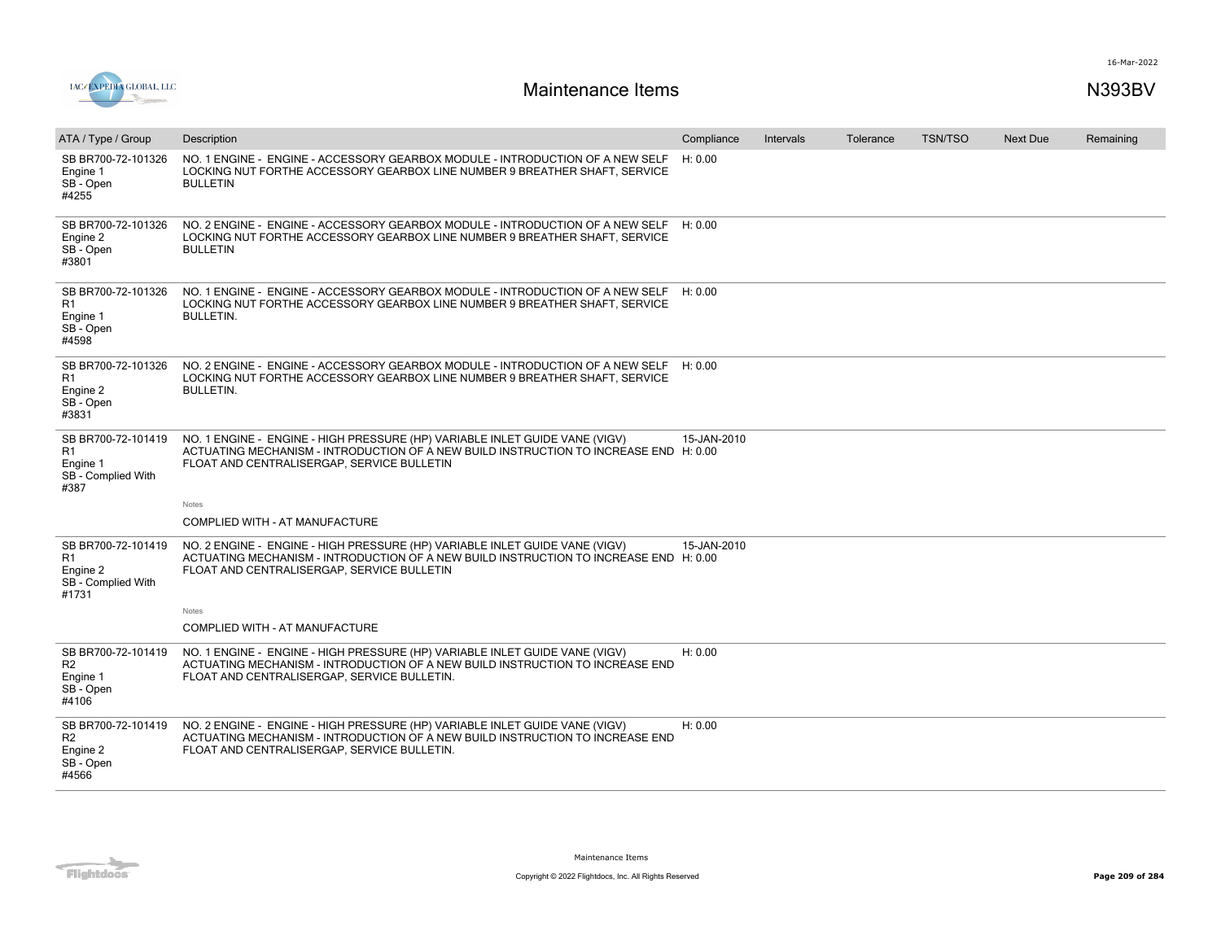

| ATA / Type / Group                                                     | Description                                                                                                                                                                                                                 | Compliance  | Intervals | Tolerance | <b>TSN/TSO</b> | Next Due | Remaining |
|------------------------------------------------------------------------|-----------------------------------------------------------------------------------------------------------------------------------------------------------------------------------------------------------------------------|-------------|-----------|-----------|----------------|----------|-----------|
| SB BR700-72-101326<br>Engine 1<br>SB - Open<br>#4255                   | NO. 1 ENGINE - ENGINE - ACCESSORY GEARBOX MODULE - INTRODUCTION OF A NEW SELF<br>LOCKING NUT FORTHE ACCESSORY GEARBOX LINE NUMBER 9 BREATHER SHAFT, SERVICE<br><b>BULLETIN</b>                                              | H: 0.00     |           |           |                |          |           |
| SB BR700-72-101326<br>Engine 2<br>SB - Open<br>#3801                   | NO. 2 ENGINE - ENGINE - ACCESSORY GEARBOX MODULE - INTRODUCTION OF A NEW SELF<br>LOCKING NUT FORTHE ACCESSORY GEARBOX LINE NUMBER 9 BREATHER SHAFT, SERVICE<br><b>BULLETIN</b>                                              | H: 0.00     |           |           |                |          |           |
| SB BR700-72-101326<br>R1<br>Engine 1<br>SB - Open<br>#4598             | NO. 1 ENGINE - ENGINE - ACCESSORY GEARBOX MODULE - INTRODUCTION OF A NEW SELF<br>LOCKING NUT FORTHE ACCESSORY GEARBOX LINE NUMBER 9 BREATHER SHAFT, SERVICE<br><b>BULLETIN.</b>                                             | H: 0.00     |           |           |                |          |           |
| SB BR700-72-101326<br>R1<br>Engine 2<br>SB - Open<br>#3831             | NO. 2 ENGINE - ENGINE - ACCESSORY GEARBOX MODULE - INTRODUCTION OF A NEW SELF<br>LOCKING NUT FORTHE ACCESSORY GEARBOX LINE NUMBER 9 BREATHER SHAFT. SERVICE<br><b>BULLETIN.</b>                                             | H: 0.00     |           |           |                |          |           |
| SB BR700-72-101419<br>R1<br>Engine 1<br>SB - Complied With<br>#387     | NO. 1 ENGINE - ENGINE - HIGH PRESSURE (HP) VARIABLE INLET GUIDE VANE (VIGV)<br>ACTUATING MECHANISM - INTRODUCTION OF A NEW BUILD INSTRUCTION TO INCREASE END H: 0.00<br>FLOAT AND CENTRALISERGAP, SERVICE BULLETIN<br>Notes | 15-JAN-2010 |           |           |                |          |           |
|                                                                        | COMPLIED WITH - AT MANUFACTURE                                                                                                                                                                                              |             |           |           |                |          |           |
| SB BR700-72-101419<br>R1<br>Engine 2<br>SB - Complied With<br>#1731    | NO. 2 ENGINE - ENGINE - HIGH PRESSURE (HP) VARIABLE INLET GUIDE VANE (VIGV)<br>ACTUATING MECHANISM - INTRODUCTION OF A NEW BUILD INSTRUCTION TO INCREASE END H: 0.00<br>FLOAT AND CENTRALISERGAP, SERVICE BULLETIN          | 15-JAN-2010 |           |           |                |          |           |
|                                                                        | Notes<br>COMPLIED WITH - AT MANUFACTURE                                                                                                                                                                                     |             |           |           |                |          |           |
|                                                                        |                                                                                                                                                                                                                             |             |           |           |                |          |           |
| SB BR700-72-101419<br>R <sub>2</sub><br>Engine 1<br>SB - Open<br>#4106 | NO. 1 ENGINE - ENGINE - HIGH PRESSURE (HP) VARIABLE INLET GUIDE VANE (VIGV)<br>ACTUATING MECHANISM - INTRODUCTION OF A NEW BUILD INSTRUCTION TO INCREASE END<br>FLOAT AND CENTRALISERGAP, SERVICE BULLETIN.                 | H: 0.00     |           |           |                |          |           |
| SB BR700-72-101419<br>R <sub>2</sub><br>Engine 2<br>SB - Open<br>#4566 | NO. 2 ENGINE - ENGINE - HIGH PRESSURE (HP) VARIABLE INLET GUIDE VANE (VIGV)<br>ACTUATING MECHANISM - INTRODUCTION OF A NEW BUILD INSTRUCTION TO INCREASE END<br>FLOAT AND CENTRALISERGAP, SERVICE BULLETIN.                 | H: 0.00     |           |           |                |          |           |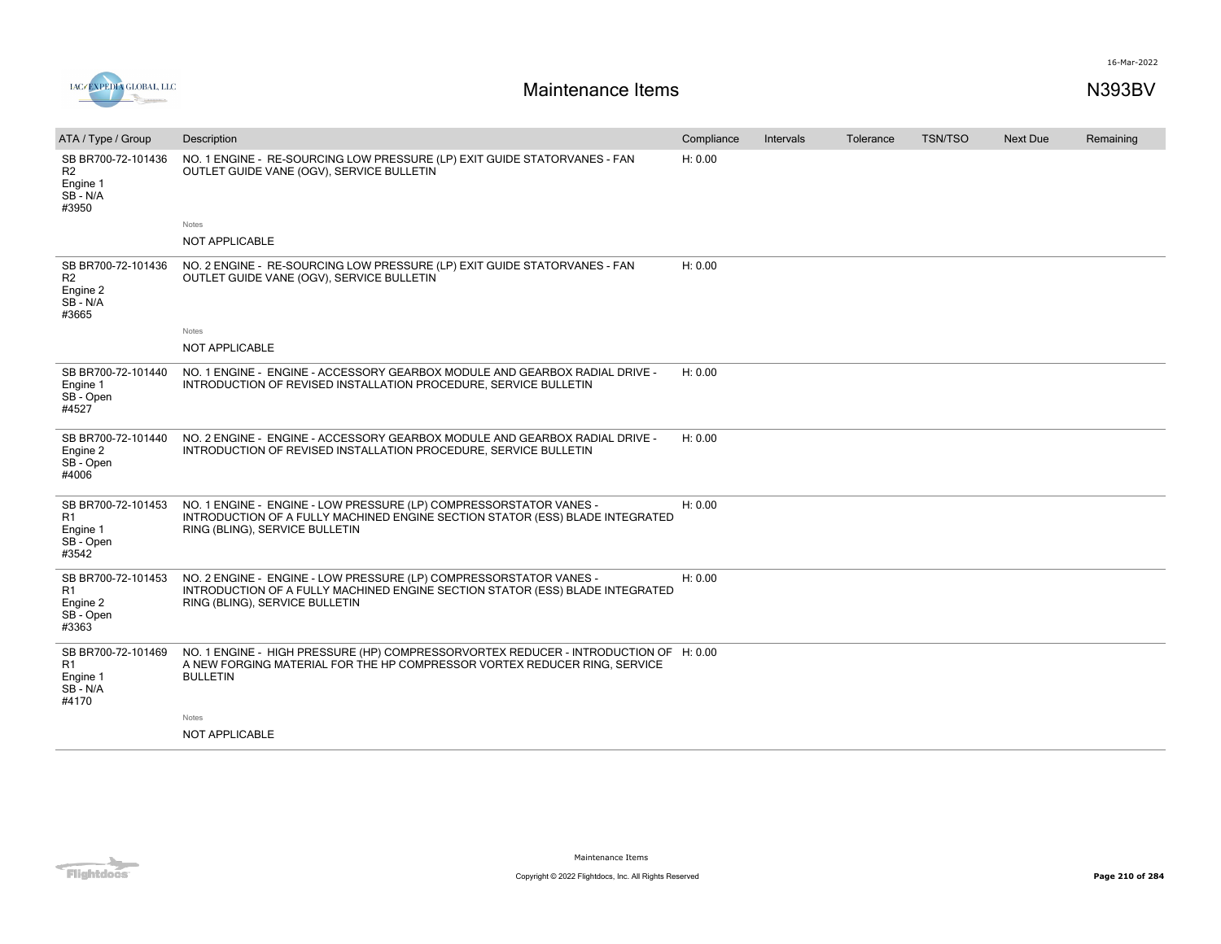



| ATA / Type / Group                                                     | Description                                                                                                                                                                           | Compliance | Intervals | Tolerance | <b>TSN/TSO</b> | <b>Next Due</b> | Remaining |
|------------------------------------------------------------------------|---------------------------------------------------------------------------------------------------------------------------------------------------------------------------------------|------------|-----------|-----------|----------------|-----------------|-----------|
| SB BR700-72-101436<br>R <sub>2</sub><br>Engine 1<br>SB - N/A<br>#3950  | NO. 1 ENGINE - RE-SOURCING LOW PRESSURE (LP) EXIT GUIDE STATORVANES - FAN<br>OUTLET GUIDE VANE (OGV), SERVICE BULLETIN                                                                | H: 0.00    |           |           |                |                 |           |
|                                                                        | Notes                                                                                                                                                                                 |            |           |           |                |                 |           |
|                                                                        | <b>NOT APPLICABLE</b>                                                                                                                                                                 |            |           |           |                |                 |           |
| SB BR700-72-101436<br>R <sub>2</sub><br>Engine 2<br>SB - N/A<br>#3665  | NO. 2 ENGINE - RE-SOURCING LOW PRESSURE (LP) EXIT GUIDE STATORVANES - FAN<br>OUTLET GUIDE VANE (OGV), SERVICE BULLETIN                                                                | H: 0.00    |           |           |                |                 |           |
|                                                                        | Notes                                                                                                                                                                                 |            |           |           |                |                 |           |
|                                                                        | <b>NOT APPLICABLE</b>                                                                                                                                                                 |            |           |           |                |                 |           |
| SB BR700-72-101440<br>Engine 1<br>SB-Open<br>#4527                     | NO. 1 ENGINE - ENGINE - ACCESSORY GEARBOX MODULE AND GEARBOX RADIAL DRIVE -<br>INTRODUCTION OF REVISED INSTALLATION PROCEDURE, SERVICE BULLETIN                                       | H: 0.00    |           |           |                |                 |           |
| SB BR700-72-101440<br>Engine 2<br>SB - Open<br>#4006                   | NO. 2 ENGINE - ENGINE - ACCESSORY GEARBOX MODULE AND GEARBOX RADIAL DRIVE -<br>INTRODUCTION OF REVISED INSTALLATION PROCEDURE, SERVICE BULLETIN                                       | H: 0.00    |           |           |                |                 |           |
| SB BR700-72-101453<br>R <sub>1</sub><br>Engine 1<br>SB - Open<br>#3542 | NO. 1 ENGINE - ENGINE - LOW PRESSURE (LP) COMPRESSORSTATOR VANES -<br>INTRODUCTION OF A FULLY MACHINED ENGINE SECTION STATOR (ESS) BLADE INTEGRATED<br>RING (BLING), SERVICE BULLETIN | H: 0.00    |           |           |                |                 |           |
| SB BR700-72-101453<br>R1<br>Engine 2<br>SB - Open<br>#3363             | NO. 2 ENGINE - ENGINE - LOW PRESSURE (LP) COMPRESSORSTATOR VANES -<br>INTRODUCTION OF A FULLY MACHINED ENGINE SECTION STATOR (ESS) BLADE INTEGRATED<br>RING (BLING), SERVICE BULLETIN | H: 0.00    |           |           |                |                 |           |
| SB BR700-72-101469<br>R1<br>Engine 1<br>SB-N/A<br>#4170                | NO. 1 ENGINE - HIGH PRESSURE (HP) COMPRESSORVORTEX REDUCER - INTRODUCTION OF H: 0.00<br>A NEW FORGING MATERIAL FOR THE HP COMPRESSOR VORTEX REDUCER RING, SERVICE<br><b>BULLETIN</b>  |            |           |           |                |                 |           |
|                                                                        | Notes                                                                                                                                                                                 |            |           |           |                |                 |           |
|                                                                        | <b>NOT APPLICABLE</b>                                                                                                                                                                 |            |           |           |                |                 |           |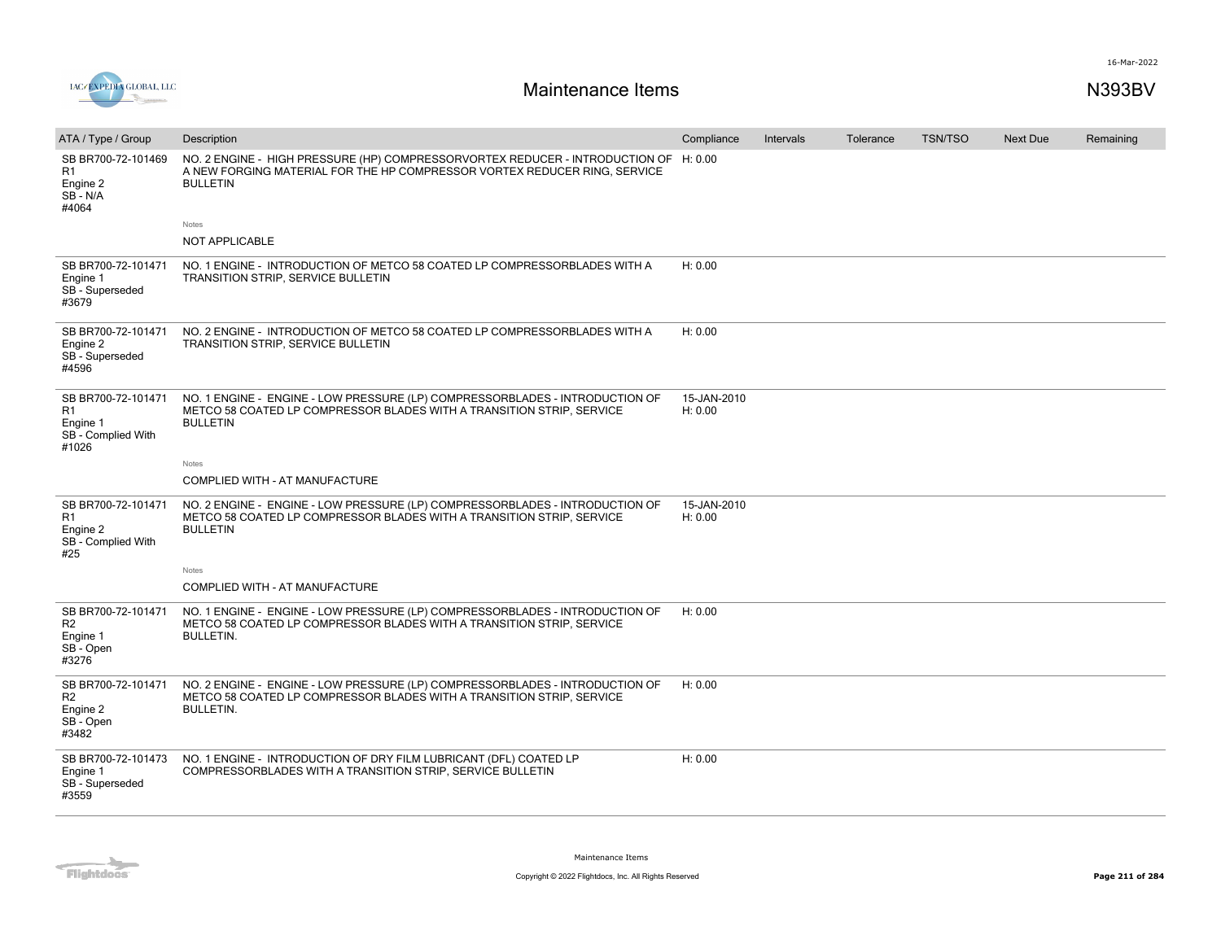

| ATA / Type / Group                                                            | Description                                                                                                                                                                          | Compliance             | Intervals | Tolerance | <b>TSN/TSO</b> | <b>Next Due</b> | Remaining |
|-------------------------------------------------------------------------------|--------------------------------------------------------------------------------------------------------------------------------------------------------------------------------------|------------------------|-----------|-----------|----------------|-----------------|-----------|
| SB BR700-72-101469<br>R1<br>Engine 2<br>SB-N/A<br>#4064                       | NO. 2 ENGINE - HIGH PRESSURE (HP) COMPRESSORVORTEX REDUCER - INTRODUCTION OF H: 0.00<br>A NEW FORGING MATERIAL FOR THE HP COMPRESSOR VORTEX REDUCER RING, SERVICE<br><b>BULLETIN</b> |                        |           |           |                |                 |           |
|                                                                               | Notes                                                                                                                                                                                |                        |           |           |                |                 |           |
|                                                                               | <b>NOT APPLICABLE</b>                                                                                                                                                                |                        |           |           |                |                 |           |
| SB BR700-72-101471<br>Engine 1<br>SB - Superseded<br>#3679                    | NO. 1 ENGINE - INTRODUCTION OF METCO 58 COATED LP COMPRESSORBLADES WITH A<br>TRANSITION STRIP, SERVICE BULLETIN                                                                      | H: 0.00                |           |           |                |                 |           |
| SB BR700-72-101471<br>Engine 2<br>SB - Superseded<br>#4596                    | NO. 2 ENGINE - INTRODUCTION OF METCO 58 COATED LP COMPRESSORBLADES WITH A<br>TRANSITION STRIP, SERVICE BULLETIN                                                                      | H: 0.00                |           |           |                |                 |           |
| SB BR700-72-101471<br>R1<br>Engine 1<br>SB - Complied With<br>#1026           | NO. 1 ENGINE - ENGINE - LOW PRESSURE (LP) COMPRESSORBLADES - INTRODUCTION OF<br>METCO 58 COATED LP COMPRESSOR BLADES WITH A TRANSITION STRIP, SERVICE<br><b>BULLETIN</b>             | 15-JAN-2010<br>H: 0.00 |           |           |                |                 |           |
|                                                                               | Notes                                                                                                                                                                                |                        |           |           |                |                 |           |
|                                                                               | COMPLIED WITH - AT MANUFACTURE                                                                                                                                                       |                        |           |           |                |                 |           |
| SB BR700-72-101471<br>R <sub>1</sub><br>Engine 2<br>SB - Complied With<br>#25 | NO. 2 ENGINE - ENGINE - LOW PRESSURE (LP) COMPRESSORBLADES - INTRODUCTION OF<br>METCO 58 COATED LP COMPRESSOR BLADES WITH A TRANSITION STRIP, SERVICE<br><b>BULLETIN</b>             | 15-JAN-2010<br>H: 0.00 |           |           |                |                 |           |
|                                                                               | Notes                                                                                                                                                                                |                        |           |           |                |                 |           |
|                                                                               | COMPLIED WITH - AT MANUFACTURE                                                                                                                                                       |                        |           |           |                |                 |           |
| SB BR700-72-101471<br>R <sub>2</sub><br>Engine 1<br>SB - Open<br>#3276        | NO. 1 ENGINE - ENGINE - LOW PRESSURE (LP) COMPRESSORBLADES - INTRODUCTION OF<br>METCO 58 COATED LP COMPRESSOR BLADES WITH A TRANSITION STRIP, SERVICE<br><b>BULLETIN.</b>            | H: 0.00                |           |           |                |                 |           |
| SB BR700-72-101471<br>R2<br>Engine 2<br>SB - Open<br>#3482                    | NO. 2 ENGINE - ENGINE - LOW PRESSURE (LP) COMPRESSORBLADES - INTRODUCTION OF<br>METCO 58 COATED LP COMPRESSOR BLADES WITH A TRANSITION STRIP, SERVICE<br><b>BULLETIN.</b>            | H: 0.00                |           |           |                |                 |           |
| SB BR700-72-101473<br>Engine 1<br>SB - Superseded<br>#3559                    | NO. 1 ENGINE - INTRODUCTION OF DRY FILM LUBRICANT (DFL) COATED LP<br>COMPRESSORBLADES WITH A TRANSITION STRIP, SERVICE BULLETIN                                                      | H: 0.00                |           |           |                |                 |           |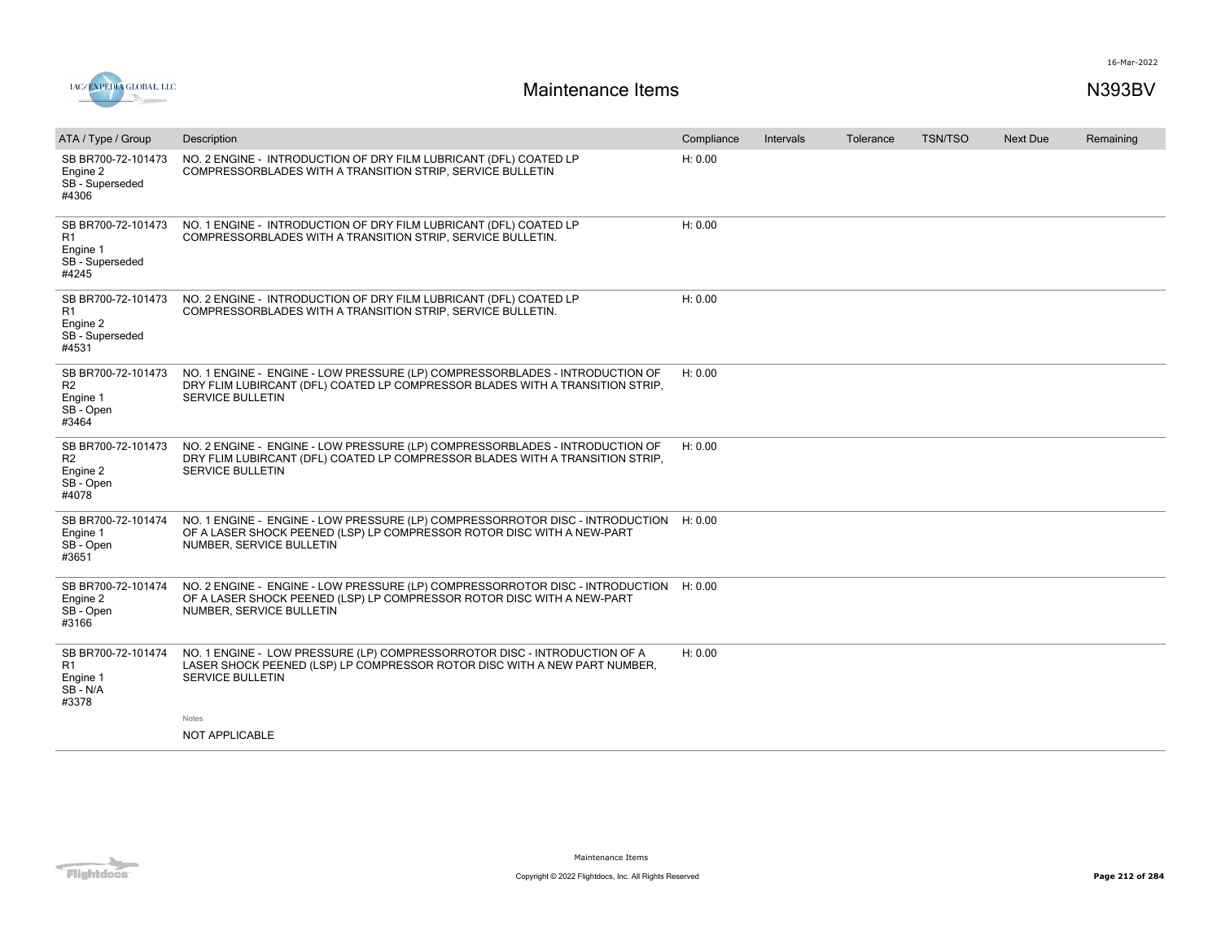

| ATA / Type / Group                                                           | Description                                                                                                                                                                              | Compliance | Intervals | Tolerance | TSN/TSO | <b>Next Due</b> | Remaining |
|------------------------------------------------------------------------------|------------------------------------------------------------------------------------------------------------------------------------------------------------------------------------------|------------|-----------|-----------|---------|-----------------|-----------|
| SB BR700-72-101473<br>Engine 2<br>SB - Superseded<br>#4306                   | NO. 2 ENGINE - INTRODUCTION OF DRY FILM LUBRICANT (DFL) COATED LP<br>COMPRESSORBLADES WITH A TRANSITION STRIP, SERVICE BULLETIN                                                          | H: 0.00    |           |           |         |                 |           |
| SB BR700-72-101473<br>R1<br>Engine 1<br>SB - Superseded<br>#4245             | NO. 1 ENGINE - INTRODUCTION OF DRY FILM LUBRICANT (DFL) COATED LP<br>COMPRESSORBLADES WITH A TRANSITION STRIP, SERVICE BULLETIN.                                                         | H: 0.00    |           |           |         |                 |           |
| SB BR700-72-101473<br>R <sub>1</sub><br>Engine 2<br>SB - Superseded<br>#4531 | NO. 2 ENGINE - INTRODUCTION OF DRY FILM LUBRICANT (DFL) COATED LP<br>COMPRESSORBLADES WITH A TRANSITION STRIP, SERVICE BULLETIN.                                                         | H: 0.00    |           |           |         |                 |           |
| SB BR700-72-101473<br>R <sub>2</sub><br>Engine 1<br>SB - Open<br>#3464       | NO. 1 ENGINE - ENGINE - LOW PRESSURE (LP) COMPRESSORBLADES - INTRODUCTION OF<br>DRY FLIM LUBIRCANT (DFL) COATED LP COMPRESSOR BLADES WITH A TRANSITION STRIP.<br><b>SERVICE BULLETIN</b> | H: 0.00    |           |           |         |                 |           |
| SB BR700-72-101473<br>R <sub>2</sub><br>Engine 2<br>SB - Open<br>#4078       | NO. 2 ENGINE - ENGINE - LOW PRESSURE (LP) COMPRESSORBLADES - INTRODUCTION OF<br>DRY FLIM LUBIRCANT (DFL) COATED LP COMPRESSOR BLADES WITH A TRANSITION STRIP,<br>SERVICE BULLETIN        | H: 0.00    |           |           |         |                 |           |
| SB BR700-72-101474<br>Engine 1<br>SB - Open<br>#3651                         | NO. 1 ENGINE - ENGINE - LOW PRESSURE (LP) COMPRESSORROTOR DISC - INTRODUCTION<br>OF A LASER SHOCK PEENED (LSP) LP COMPRESSOR ROTOR DISC WITH A NEW-PART<br>NUMBER, SERVICE BULLETIN      | H: 0.00    |           |           |         |                 |           |
| SB BR700-72-101474<br>Engine 2<br>SB - Open<br>#3166                         | NO. 2 ENGINE - ENGINE - LOW PRESSURE (LP) COMPRESSORROTOR DISC - INTRODUCTION<br>OF A LASER SHOCK PEENED (LSP) LP COMPRESSOR ROTOR DISC WITH A NEW-PART<br>NUMBER, SERVICE BULLETIN      | H: 0.00    |           |           |         |                 |           |
| SB BR700-72-101474<br>R <sub>1</sub><br>Engine 1<br>SB-N/A<br>#3378          | NO. 1 ENGINE - LOW PRESSURE (LP) COMPRESSORROTOR DISC - INTRODUCTION OF A<br>LASER SHOCK PEENED (LSP) LP COMPRESSOR ROTOR DISC WITH A NEW PART NUMBER,<br><b>SERVICE BULLETIN</b>        | H: 0.00    |           |           |         |                 |           |
|                                                                              | <b>Notes</b>                                                                                                                                                                             |            |           |           |         |                 |           |
|                                                                              | NOT APPLICABLE                                                                                                                                                                           |            |           |           |         |                 |           |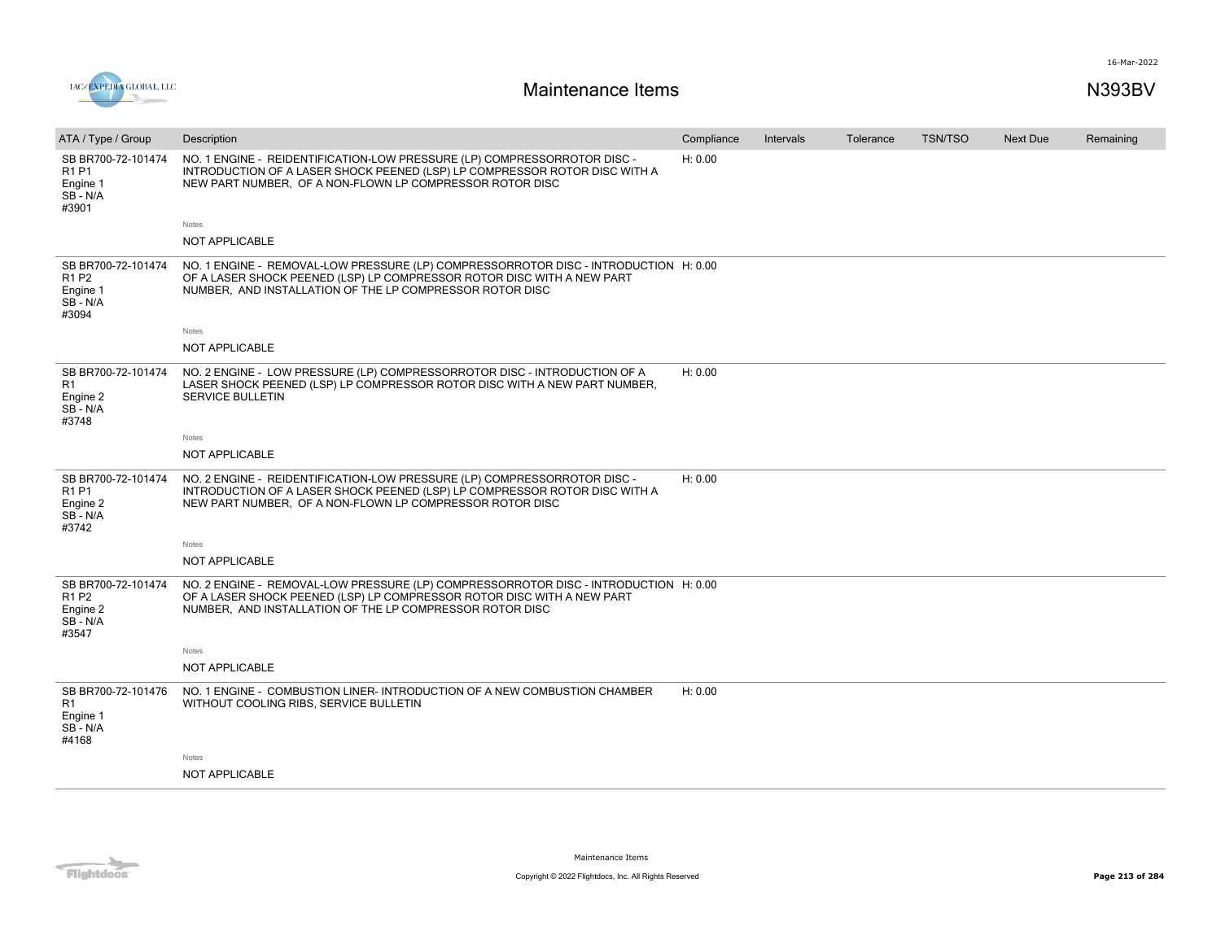

| ATA / Type / Group                                                                   | Description                                                                                                                                                                                                                | Compliance | Intervals | Tolerance | <b>TSN/TSO</b> | Next Due | Remaining |
|--------------------------------------------------------------------------------------|----------------------------------------------------------------------------------------------------------------------------------------------------------------------------------------------------------------------------|------------|-----------|-----------|----------------|----------|-----------|
| SB BR700-72-101474<br>R <sub>1</sub> P <sub>1</sub><br>Engine 1<br>SB-N/A<br>#3901   | NO. 1 ENGINE - REIDENTIFICATION-LOW PRESSURE (LP) COMPRESSORROTOR DISC -<br>INTRODUCTION OF A LASER SHOCK PEENED (LSP) LP COMPRESSOR ROTOR DISC WITH A<br>NEW PART NUMBER, OF A NON-FLOWN LP COMPRESSOR ROTOR DISC         | H: 0.00    |           |           |                |          |           |
|                                                                                      | Notes                                                                                                                                                                                                                      |            |           |           |                |          |           |
|                                                                                      | NOT APPLICABLE                                                                                                                                                                                                             |            |           |           |                |          |           |
| SB BR700-72-101474<br>R <sub>1</sub> P <sub>2</sub><br>Engine 1<br>SB-N/A<br>#3094   | NO. 1 ENGINE - REMOVAL-LOW PRESSURE (LP) COMPRESSORROTOR DISC - INTRODUCTION H: 0.00<br>OF A LASER SHOCK PEENED (LSP) LP COMPRESSOR ROTOR DISC WITH A NEW PART<br>NUMBER, AND INSTALLATION OF THE LP COMPRESSOR ROTOR DISC |            |           |           |                |          |           |
|                                                                                      | Notes                                                                                                                                                                                                                      |            |           |           |                |          |           |
|                                                                                      | NOT APPLICABLE                                                                                                                                                                                                             |            |           |           |                |          |           |
| SB BR700-72-101474<br>R1<br>Engine 2<br>SB - N/A<br>#3748                            | NO. 2 ENGINE - LOW PRESSURE (LP) COMPRESSORROTOR DISC - INTRODUCTION OF A<br>LASER SHOCK PEENED (LSP) LP COMPRESSOR ROTOR DISC WITH A NEW PART NUMBER,<br><b>SERVICE BULLETIN</b>                                          | H: 0.00    |           |           |                |          |           |
|                                                                                      | Notes                                                                                                                                                                                                                      |            |           |           |                |          |           |
|                                                                                      | NOT APPLICABLE                                                                                                                                                                                                             |            |           |           |                |          |           |
| SB BR700-72-101474<br>R <sub>1</sub> P <sub>1</sub><br>Engine 2<br>SB - N/A<br>#3742 | NO. 2 ENGINE - REIDENTIFICATION-LOW PRESSURE (LP) COMPRESSORROTOR DISC -<br>INTRODUCTION OF A LASER SHOCK PEENED (LSP) LP COMPRESSOR ROTOR DISC WITH A<br>NEW PART NUMBER, OF A NON-FLOWN LP COMPRESSOR ROTOR DISC         | H: 0.00    |           |           |                |          |           |
|                                                                                      | Notes                                                                                                                                                                                                                      |            |           |           |                |          |           |
|                                                                                      | NOT APPLICABLE                                                                                                                                                                                                             |            |           |           |                |          |           |
| SB BR700-72-101474<br>R <sub>1</sub> P <sub>2</sub><br>Engine 2<br>SB - N/A<br>#3547 | NO. 2 ENGINE - REMOVAL-LOW PRESSURE (LP) COMPRESSORROTOR DISC - INTRODUCTION H: 0.00<br>OF A LASER SHOCK PEENED (LSP) LP COMPRESSOR ROTOR DISC WITH A NEW PART<br>NUMBER, AND INSTALLATION OF THE LP COMPRESSOR ROTOR DISC |            |           |           |                |          |           |
|                                                                                      | Notes                                                                                                                                                                                                                      |            |           |           |                |          |           |
|                                                                                      | NOT APPLICABLE                                                                                                                                                                                                             |            |           |           |                |          |           |
| SB BR700-72-101476<br>R <sub>1</sub><br>Engine 1<br>SB-N/A<br>#4168                  | NO. 1 ENGINE - COMBUSTION LINER- INTRODUCTION OF A NEW COMBUSTION CHAMBER<br>WITHOUT COOLING RIBS, SERVICE BULLETIN                                                                                                        | H: 0.00    |           |           |                |          |           |
|                                                                                      | Notes                                                                                                                                                                                                                      |            |           |           |                |          |           |
|                                                                                      | <b>NOT APPLICABLE</b>                                                                                                                                                                                                      |            |           |           |                |          |           |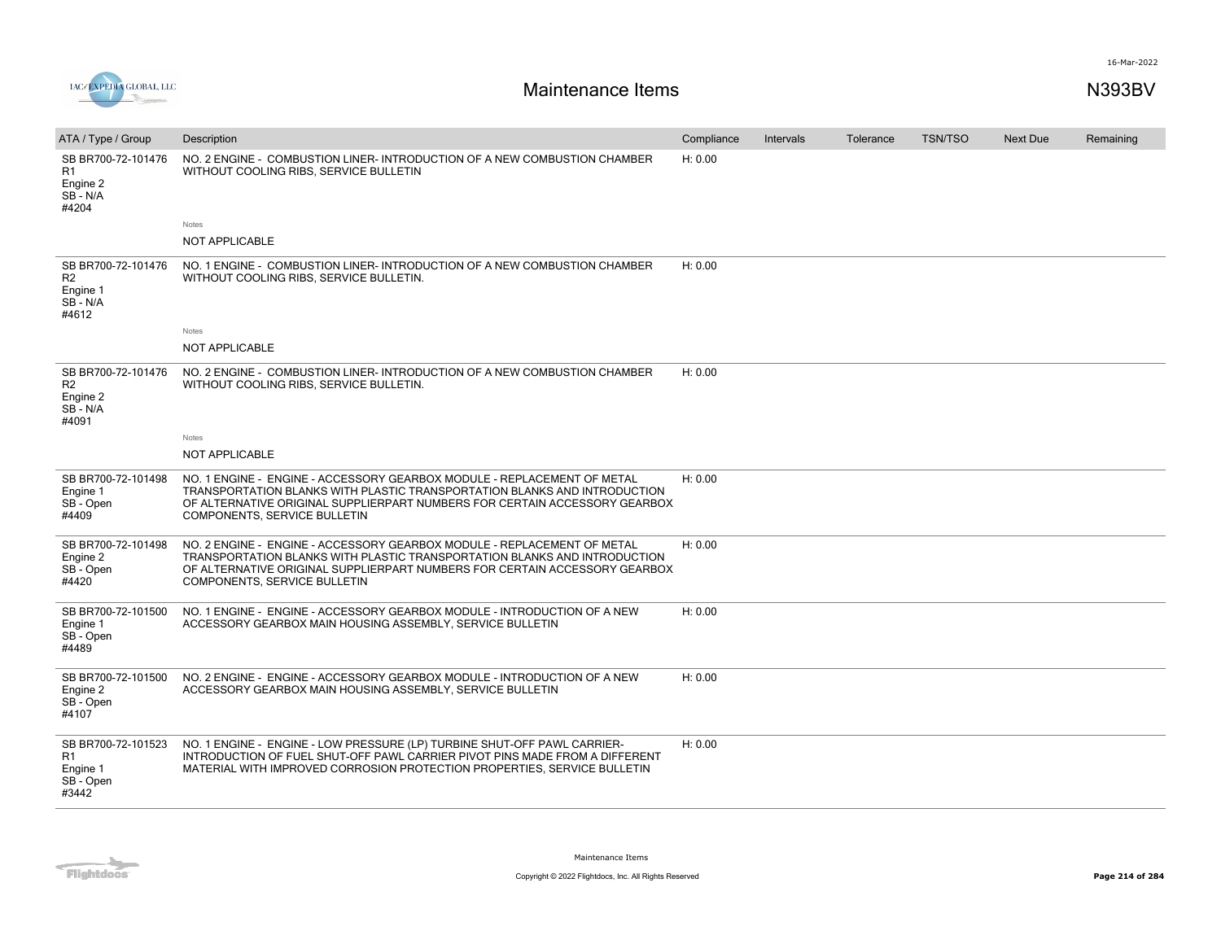

| ATA / Type / Group                                                  | Description                                                                                                                                                                                                                                                        | Compliance | <b>Intervals</b> | Tolerance | <b>TSN/TSO</b> | <b>Next Due</b> | Remaining |
|---------------------------------------------------------------------|--------------------------------------------------------------------------------------------------------------------------------------------------------------------------------------------------------------------------------------------------------------------|------------|------------------|-----------|----------------|-----------------|-----------|
| SB BR700-72-101476<br>R1<br>Engine 2<br>SB - N/A<br>#4204           | NO. 2 ENGINE - COMBUSTION LINER-INTRODUCTION OF A NEW COMBUSTION CHAMBER<br>WITHOUT COOLING RIBS, SERVICE BULLETIN                                                                                                                                                 | H: 0.00    |                  |           |                |                 |           |
|                                                                     | Notes                                                                                                                                                                                                                                                              |            |                  |           |                |                 |           |
|                                                                     | <b>NOT APPLICABLE</b>                                                                                                                                                                                                                                              |            |                  |           |                |                 |           |
| SB BR700-72-101476<br>R <sub>2</sub><br>Engine 1<br>SB-N/A<br>#4612 | NO. 1 ENGINE - COMBUSTION LINER-INTRODUCTION OF A NEW COMBUSTION CHAMBER<br>WITHOUT COOLING RIBS, SERVICE BULLETIN.                                                                                                                                                | H: 0.00    |                  |           |                |                 |           |
|                                                                     | Notes                                                                                                                                                                                                                                                              |            |                  |           |                |                 |           |
|                                                                     | <b>NOT APPLICABLE</b>                                                                                                                                                                                                                                              |            |                  |           |                |                 |           |
| SB BR700-72-101476<br>R <sub>2</sub><br>Engine 2<br>SB-N/A<br>#4091 | NO. 2 ENGINE - COMBUSTION LINER- INTRODUCTION OF A NEW COMBUSTION CHAMBER<br>WITHOUT COOLING RIBS, SERVICE BULLETIN.                                                                                                                                               | H: 0.00    |                  |           |                |                 |           |
|                                                                     | Notes                                                                                                                                                                                                                                                              |            |                  |           |                |                 |           |
|                                                                     | <b>NOT APPLICABLE</b>                                                                                                                                                                                                                                              |            |                  |           |                |                 |           |
| SB BR700-72-101498<br>Engine 1<br>SB - Open<br>#4409                | NO. 1 ENGINE - ENGINE - ACCESSORY GEARBOX MODULE - REPLACEMENT OF METAL<br>TRANSPORTATION BLANKS WITH PLASTIC TRANSPORTATION BLANKS AND INTRODUCTION<br>OF ALTERNATIVE ORIGINAL SUPPLIERPART NUMBERS FOR CERTAIN ACCESSORY GEARBOX<br>COMPONENTS, SERVICE BULLETIN | H: 0.00    |                  |           |                |                 |           |
| SB BR700-72-101498<br>Engine 2<br>SB - Open<br>#4420                | NO. 2 ENGINE - ENGINE - ACCESSORY GEARBOX MODULE - REPLACEMENT OF METAL<br>TRANSPORTATION BLANKS WITH PLASTIC TRANSPORTATION BLANKS AND INTRODUCTION<br>OF ALTERNATIVE ORIGINAL SUPPLIERPART NUMBERS FOR CERTAIN ACCESSORY GEARBOX<br>COMPONENTS, SERVICE BULLETIN | H: 0.00    |                  |           |                |                 |           |
| SB BR700-72-101500<br>Engine 1<br>SB - Open<br>#4489                | NO. 1 ENGINE - ENGINE - ACCESSORY GEARBOX MODULE - INTRODUCTION OF A NEW<br>ACCESSORY GEARBOX MAIN HOUSING ASSEMBLY, SERVICE BULLETIN                                                                                                                              | H: 0.00    |                  |           |                |                 |           |
| SB BR700-72-101500<br>Engine 2<br>SB - Open<br>#4107                | NO. 2 ENGINE - ENGINE - ACCESSORY GEARBOX MODULE - INTRODUCTION OF A NEW<br>ACCESSORY GEARBOX MAIN HOUSING ASSEMBLY, SERVICE BULLETIN                                                                                                                              | H: 0.00    |                  |           |                |                 |           |
| SB BR700-72-101523<br>R1<br>Engine 1<br>SB - Open<br>#3442          | NO. 1 ENGINE - ENGINE - LOW PRESSURE (LP) TURBINE SHUT-OFF PAWL CARRIER-<br>INTRODUCTION OF FUEL SHUT-OFF PAWL CARRIER PIVOT PINS MADE FROM A DIFFERENT<br>MATERIAL WITH IMPROVED CORROSION PROTECTION PROPERTIES, SERVICE BULLETIN                                | H: 0.00    |                  |           |                |                 |           |
|                                                                     |                                                                                                                                                                                                                                                                    |            |                  |           |                |                 |           |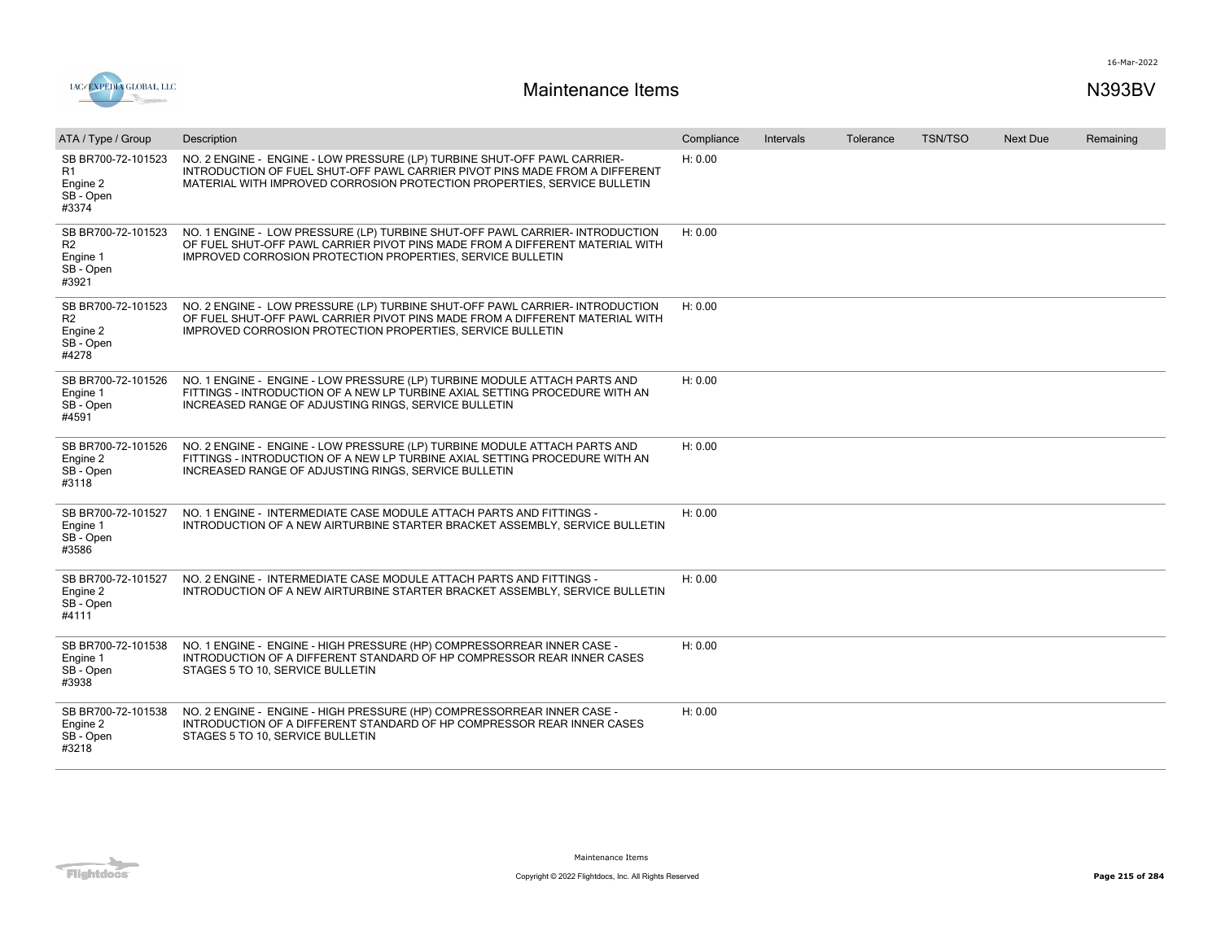

| ATA / Type / Group                                                     | Description                                                                                                                                                                                                                         | Compliance | Intervals | Tolerance | <b>TSN/TSO</b> | <b>Next Due</b> | Remaining |
|------------------------------------------------------------------------|-------------------------------------------------------------------------------------------------------------------------------------------------------------------------------------------------------------------------------------|------------|-----------|-----------|----------------|-----------------|-----------|
| SB BR700-72-101523<br>R <sub>1</sub><br>Engine 2<br>SB - Open<br>#3374 | NO. 2 ENGINE - ENGINE - LOW PRESSURE (LP) TURBINE SHUT-OFF PAWL CARRIER-<br>INTRODUCTION OF FUEL SHUT-OFF PAWL CARRIER PIVOT PINS MADE FROM A DIFFERENT<br>MATERIAL WITH IMPROVED CORROSION PROTECTION PROPERTIES, SERVICE BULLETIN | H: 0.00    |           |           |                |                 |           |
| SB BR700-72-101523<br>R <sub>2</sub><br>Engine 1<br>SB - Open<br>#3921 | NO. 1 ENGINE - LOW PRESSURE (LP) TURBINE SHUT-OFF PAWL CARRIER- INTRODUCTION<br>OF FUEL SHUT-OFF PAWL CARRIER PIVOT PINS MADE FROM A DIFFERENT MATERIAL WITH<br><b>IMPROVED CORROSION PROTECTION PROPERTIES, SERVICE BULLETIN</b>   | H: 0.00    |           |           |                |                 |           |
| SB BR700-72-101523<br>R <sub>2</sub><br>Engine 2<br>SB - Open<br>#4278 | NO. 2 ENGINE - LOW PRESSURE (LP) TURBINE SHUT-OFF PAWL CARRIER- INTRODUCTION<br>OF FUEL SHUT-OFF PAWL CARRIER PIVOT PINS MADE FROM A DIFFERENT MATERIAL WITH<br><b>IMPROVED CORROSION PROTECTION PROPERTIES, SERVICE BULLETIN</b>   | H: 0.00    |           |           |                |                 |           |
| SB BR700-72-101526<br>Engine 1<br>SB - Open<br>#4591                   | NO. 1 ENGINE - ENGINE - LOW PRESSURE (LP) TURBINE MODULE ATTACH PARTS AND<br>FITTINGS - INTRODUCTION OF A NEW LP TURBINE AXIAL SETTING PROCEDURE WITH AN<br>INCREASED RANGE OF ADJUSTING RINGS, SERVICE BULLETIN                    | H: 0.00    |           |           |                |                 |           |
| SB BR700-72-101526<br>Engine 2<br>SB - Open<br>#3118                   | NO. 2 ENGINE - ENGINE - LOW PRESSURE (LP) TURBINE MODULE ATTACH PARTS AND<br>FITTINGS - INTRODUCTION OF A NEW LP TURBINE AXIAL SETTING PROCEDURE WITH AN<br>INCREASED RANGE OF ADJUSTING RINGS, SERVICE BULLETIN                    | H: 0.00    |           |           |                |                 |           |
| SB BR700-72-101527<br>Engine 1<br>SB - Open<br>#3586                   | NO. 1 ENGINE - INTERMEDIATE CASE MODULE ATTACH PARTS AND FITTINGS -<br>INTRODUCTION OF A NEW AIRTURBINE STARTER BRACKET ASSEMBLY, SERVICE BULLETIN                                                                                  | H: 0.00    |           |           |                |                 |           |
| SB BR700-72-101527<br>Engine 2<br>SB - Open<br>#4111                   | NO. 2 ENGINE - INTERMEDIATE CASE MODULE ATTACH PARTS AND FITTINGS -<br>INTRODUCTION OF A NEW AIRTURBINE STARTER BRACKET ASSEMBLY, SERVICE BULLETIN                                                                                  | H: 0.00    |           |           |                |                 |           |
| SB BR700-72-101538<br>Engine 1<br>SB - Open<br>#3938                   | NO. 1 ENGINE - ENGINE - HIGH PRESSURE (HP) COMPRESSORREAR INNER CASE -<br>INTRODUCTION OF A DIFFERENT STANDARD OF HP COMPRESSOR REAR INNER CASES<br>STAGES 5 TO 10, SERVICE BULLETIN                                                | H: 0.00    |           |           |                |                 |           |
| SB BR700-72-101538<br>Engine 2<br>SB - Open<br>#3218                   | NO. 2 ENGINE - ENGINE - HIGH PRESSURE (HP) COMPRESSORREAR INNER CASE -<br>INTRODUCTION OF A DIFFERENT STANDARD OF HP COMPRESSOR REAR INNER CASES<br>STAGES 5 TO 10, SERVICE BULLETIN                                                | H: 0.00    |           |           |                |                 |           |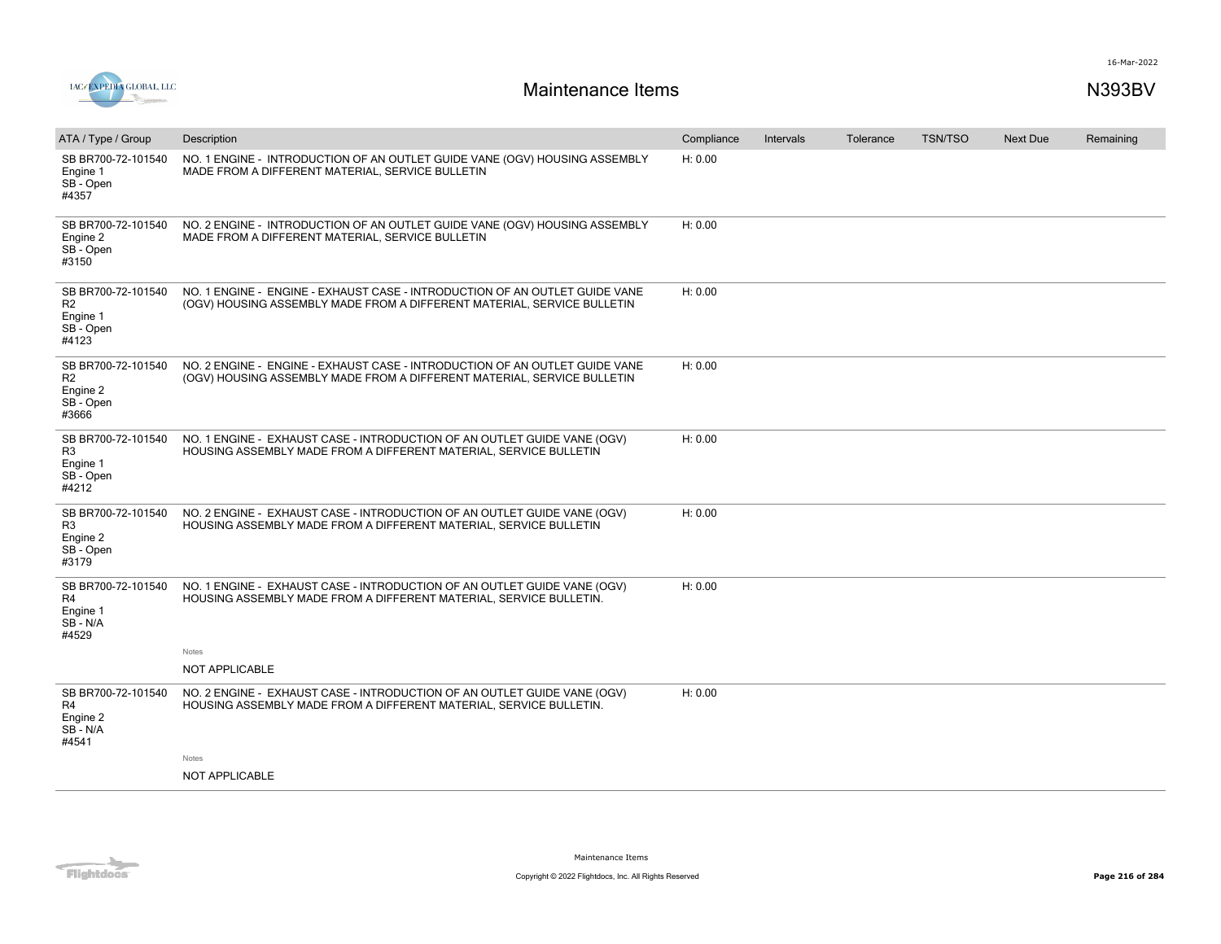

| ATA / Type / Group                                                     | Description                                                                                                                                            | Compliance | Intervals | Tolerance | <b>TSN/TSO</b> | <b>Next Due</b> | Remaining |
|------------------------------------------------------------------------|--------------------------------------------------------------------------------------------------------------------------------------------------------|------------|-----------|-----------|----------------|-----------------|-----------|
| SB BR700-72-101540<br>Engine 1<br>SB - Open<br>#4357                   | NO. 1 ENGINE - INTRODUCTION OF AN OUTLET GUIDE VANE (OGV) HOUSING ASSEMBLY<br>MADE FROM A DIFFERENT MATERIAL, SERVICE BULLETIN                         | H: 0.00    |           |           |                |                 |           |
| SB BR700-72-101540<br>Engine 2<br>SB-Open<br>#3150                     | NO. 2 ENGINE - INTRODUCTION OF AN OUTLET GUIDE VANE (OGV) HOUSING ASSEMBLY<br>MADE FROM A DIFFERENT MATERIAL, SERVICE BULLETIN                         | H: 0.00    |           |           |                |                 |           |
| SB BR700-72-101540<br>R <sub>2</sub><br>Engine 1<br>SB - Open<br>#4123 | NO. 1 ENGINE - ENGINE - EXHAUST CASE - INTRODUCTION OF AN OUTLET GUIDE VANE<br>(OGV) HOUSING ASSEMBLY MADE FROM A DIFFERENT MATERIAL, SERVICE BULLETIN | H: 0.00    |           |           |                |                 |           |
| SB BR700-72-101540<br>R <sub>2</sub><br>Engine 2<br>SB - Open<br>#3666 | NO. 2 ENGINE - ENGINE - EXHAUST CASE - INTRODUCTION OF AN OUTLET GUIDE VANE<br>(OGV) HOUSING ASSEMBLY MADE FROM A DIFFERENT MATERIAL, SERVICE BULLETIN | H: 0.00    |           |           |                |                 |           |
| SB BR700-72-101540<br>R <sub>3</sub><br>Engine 1<br>SB - Open<br>#4212 | NO. 1 ENGINE - EXHAUST CASE - INTRODUCTION OF AN OUTLET GUIDE VANE (OGV)<br>HOUSING ASSEMBLY MADE FROM A DIFFERENT MATERIAL, SERVICE BULLETIN          | H: 0.00    |           |           |                |                 |           |
| SB BR700-72-101540<br>R3<br>Engine 2<br>SB - Open<br>#3179             | NO. 2 ENGINE - EXHAUST CASE - INTRODUCTION OF AN OUTLET GUIDE VANE (OGV)<br>HOUSING ASSEMBLY MADE FROM A DIFFERENT MATERIAL, SERVICE BULLETIN          | H: 0.00    |           |           |                |                 |           |
| SB BR700-72-101540<br>R4<br>Engine 1<br>SB-N/A<br>#4529                | NO. 1 ENGINE - EXHAUST CASE - INTRODUCTION OF AN OUTLET GUIDE VANE (OGV)<br>HOUSING ASSEMBLY MADE FROM A DIFFERENT MATERIAL, SERVICE BULLETIN.         | H: 0.00    |           |           |                |                 |           |
|                                                                        | <b>Notes</b>                                                                                                                                           |            |           |           |                |                 |           |
|                                                                        | NOT APPLICABLE                                                                                                                                         |            |           |           |                |                 |           |
| SB BR700-72-101540<br>R4<br>Engine 2<br>SB-N/A<br>#4541                | NO. 2 ENGINE - EXHAUST CASE - INTRODUCTION OF AN OUTLET GUIDE VANE (OGV)<br>HOUSING ASSEMBLY MADE FROM A DIFFERENT MATERIAL, SERVICE BULLETIN.         | H: 0.00    |           |           |                |                 |           |
|                                                                        | Notes                                                                                                                                                  |            |           |           |                |                 |           |
|                                                                        | NOT APPLICABLE                                                                                                                                         |            |           |           |                |                 |           |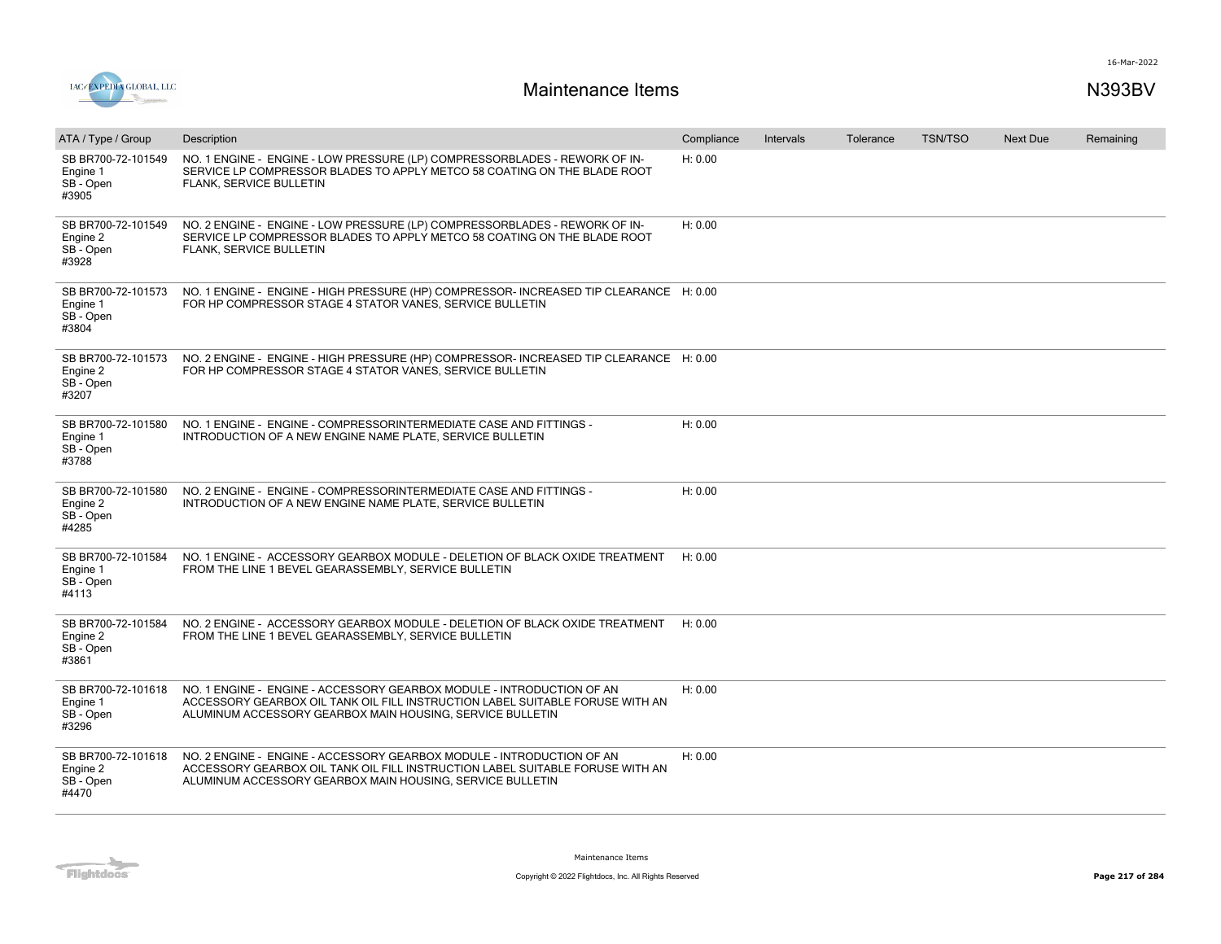

| ATA / Type / Group                                   | Description                                                                                                                                                                                                         | Compliance | Intervals | Tolerance | <b>TSN/TSO</b> | <b>Next Due</b> | Remaining |
|------------------------------------------------------|---------------------------------------------------------------------------------------------------------------------------------------------------------------------------------------------------------------------|------------|-----------|-----------|----------------|-----------------|-----------|
| SB BR700-72-101549<br>Engine 1<br>SB - Open<br>#3905 | NO. 1 ENGINE - ENGINE - LOW PRESSURE (LP) COMPRESSORBLADES - REWORK OF IN-<br>SERVICE LP COMPRESSOR BLADES TO APPLY METCO 58 COATING ON THE BLADE ROOT<br>FLANK, SERVICE BULLETIN                                   | H: 0.00    |           |           |                |                 |           |
| SB BR700-72-101549<br>Engine 2<br>SB - Open<br>#3928 | NO. 2 ENGINE - ENGINE - LOW PRESSURE (LP) COMPRESSORBLADES - REWORK OF IN-<br>SERVICE LP COMPRESSOR BLADES TO APPLY METCO 58 COATING ON THE BLADE ROOT<br>FLANK, SERVICE BULLETIN                                   | H: 0.00    |           |           |                |                 |           |
| SB BR700-72-101573<br>Engine 1<br>SB - Open<br>#3804 | NO. 1 ENGINE - ENGINE - HIGH PRESSURE (HP) COMPRESSOR-INCREASED TIP CLEARANCE H: 0.00<br>FOR HP COMPRESSOR STAGE 4 STATOR VANES, SERVICE BULLETIN                                                                   |            |           |           |                |                 |           |
| SB BR700-72-101573<br>Engine 2<br>SB - Open<br>#3207 | NO. 2 ENGINE - ENGINE - HIGH PRESSURE (HP) COMPRESSOR- INCREASED TIP CLEARANCE H: 0.00<br>FOR HP COMPRESSOR STAGE 4 STATOR VANES, SERVICE BULLETIN                                                                  |            |           |           |                |                 |           |
| SB BR700-72-101580<br>Engine 1<br>SB - Open<br>#3788 | NO. 1 ENGINE - ENGINE - COMPRESSORINTERMEDIATE CASE AND FITTINGS -<br>INTRODUCTION OF A NEW ENGINE NAME PLATE, SERVICE BULLETIN                                                                                     | H: 0.00    |           |           |                |                 |           |
| SB BR700-72-101580<br>Engine 2<br>SB - Open<br>#4285 | NO. 2 ENGINE - ENGINE - COMPRESSORINTERMEDIATE CASE AND FITTINGS -<br>INTRODUCTION OF A NEW ENGINE NAME PLATE, SERVICE BULLETIN                                                                                     | H: 0.00    |           |           |                |                 |           |
| SB BR700-72-101584<br>Engine 1<br>SB - Open<br>#4113 | NO. 1 ENGINE - ACCESSORY GEARBOX MODULE - DELETION OF BLACK OXIDE TREATMENT<br>FROM THE LINE 1 BEVEL GEARASSEMBLY, SERVICE BULLETIN                                                                                 | H: 0.00    |           |           |                |                 |           |
| SB BR700-72-101584<br>Engine 2<br>SB - Open<br>#3861 | NO. 2 ENGINE - ACCESSORY GEARBOX MODULE - DELETION OF BLACK OXIDE TREATMENT<br>FROM THE LINE 1 BEVEL GEARASSEMBLY, SERVICE BULLETIN                                                                                 | H: 0.00    |           |           |                |                 |           |
| SB BR700-72-101618<br>Engine 1<br>SB - Open<br>#3296 | NO. 1 ENGINE - ENGINE - ACCESSORY GEARBOX MODULE - INTRODUCTION OF AN<br>ACCESSORY GEARBOX OIL TANK OIL FILL INSTRUCTION LABEL SUITABLE FORUSE WITH AN<br>ALUMINUM ACCESSORY GEARBOX MAIN HOUSING, SERVICE BULLETIN | H: 0.00    |           |           |                |                 |           |
| SB BR700-72-101618<br>Engine 2<br>SB - Open<br>#4470 | NO. 2 ENGINE - ENGINE - ACCESSORY GEARBOX MODULE - INTRODUCTION OF AN<br>ACCESSORY GEARBOX OIL TANK OIL FILL INSTRUCTION LABEL SUITABLE FORUSE WITH AN<br>ALUMINUM ACCESSORY GEARBOX MAIN HOUSING, SERVICE BULLETIN | H: 0.00    |           |           |                |                 |           |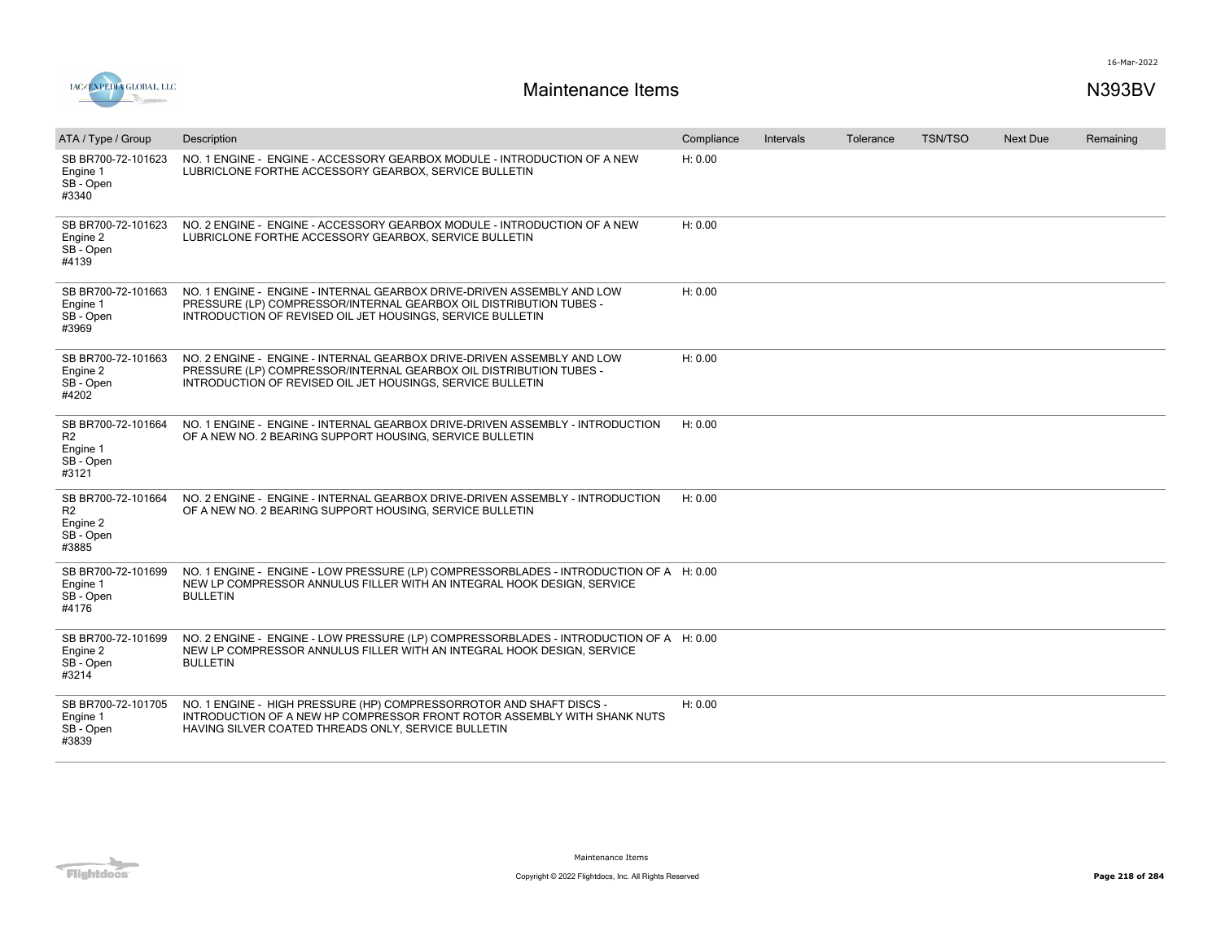

| ATA / Type / Group                                                     | Description                                                                                                                                                                                                | Compliance | Intervals | Tolerance | <b>TSN/TSO</b> | <b>Next Due</b> | Remaining |
|------------------------------------------------------------------------|------------------------------------------------------------------------------------------------------------------------------------------------------------------------------------------------------------|------------|-----------|-----------|----------------|-----------------|-----------|
| SB BR700-72-101623<br>Engine 1<br>SB - Open<br>#3340                   | NO. 1 ENGINE - ENGINE - ACCESSORY GEARBOX MODULE - INTRODUCTION OF A NEW<br>LUBRICLONE FORTHE ACCESSORY GEARBOX, SERVICE BULLETIN                                                                          | H: 0.00    |           |           |                |                 |           |
| SB BR700-72-101623<br>Engine 2<br>SB - Open<br>#4139                   | NO. 2 ENGINE - ENGINE - ACCESSORY GEARBOX MODULE - INTRODUCTION OF A NEW<br>LUBRICLONE FORTHE ACCESSORY GEARBOX, SERVICE BULLETIN                                                                          | H: 0.00    |           |           |                |                 |           |
| SB BR700-72-101663<br>Engine 1<br>SB - Open<br>#3969                   | NO. 1 ENGINE - ENGINE - INTERNAL GEARBOX DRIVE-DRIVEN ASSEMBLY AND LOW<br>PRESSURE (LP) COMPRESSOR/INTERNAL GEARBOX OIL DISTRIBUTION TUBES -<br>INTRODUCTION OF REVISED OIL JET HOUSINGS, SERVICE BULLETIN | H: 0.00    |           |           |                |                 |           |
| SB BR700-72-101663<br>Engine 2<br>SB - Open<br>#4202                   | NO. 2 ENGINE - ENGINE - INTERNAL GEARBOX DRIVE-DRIVEN ASSEMBLY AND LOW<br>PRESSURE (LP) COMPRESSOR/INTERNAL GEARBOX OIL DISTRIBUTION TUBES -<br>INTRODUCTION OF REVISED OIL JET HOUSINGS, SERVICE BULLETIN | H: 0.00    |           |           |                |                 |           |
| SB BR700-72-101664<br>R <sub>2</sub><br>Engine 1<br>SB - Open<br>#3121 | NO. 1 ENGINE - ENGINE - INTERNAL GEARBOX DRIVE-DRIVEN ASSEMBLY - INTRODUCTION<br>OF A NEW NO. 2 BEARING SUPPORT HOUSING, SERVICE BULLETIN                                                                  | H: 0.00    |           |           |                |                 |           |
| SB BR700-72-101664<br>R <sub>2</sub><br>Engine 2<br>SB - Open<br>#3885 | NO. 2 ENGINE - ENGINE - INTERNAL GEARBOX DRIVE-DRIVEN ASSEMBLY - INTRODUCTION<br>OF A NEW NO. 2 BEARING SUPPORT HOUSING, SERVICE BULLETIN                                                                  | H: 0.00    |           |           |                |                 |           |
| SB BR700-72-101699<br>Engine 1<br>SB - Open<br>#4176                   | NO. 1 ENGINE - ENGINE - LOW PRESSURE (LP) COMPRESSORBLADES - INTRODUCTION OF A H: 0.00<br>NEW LP COMPRESSOR ANNULUS FILLER WITH AN INTEGRAL HOOK DESIGN, SERVICE<br><b>BULLETIN</b>                        |            |           |           |                |                 |           |
| SB BR700-72-101699<br>Engine 2<br>SB - Open<br>#3214                   | NO. 2 ENGINE - ENGINE - LOW PRESSURE (LP) COMPRESSORBLADES - INTRODUCTION OF A H: 0.00<br>NEW LP COMPRESSOR ANNULUS FILLER WITH AN INTEGRAL HOOK DESIGN, SERVICE<br><b>BULLETIN</b>                        |            |           |           |                |                 |           |
| SB BR700-72-101705<br>Engine 1<br>SB - Open<br>#3839                   | NO. 1 ENGINE - HIGH PRESSURE (HP) COMPRESSORROTOR AND SHAFT DISCS -<br>INTRODUCTION OF A NEW HP COMPRESSOR FRONT ROTOR ASSEMBLY WITH SHANK NUTS<br>HAVING SILVER COATED THREADS ONLY, SERVICE BULLETIN     | H: 0.00    |           |           |                |                 |           |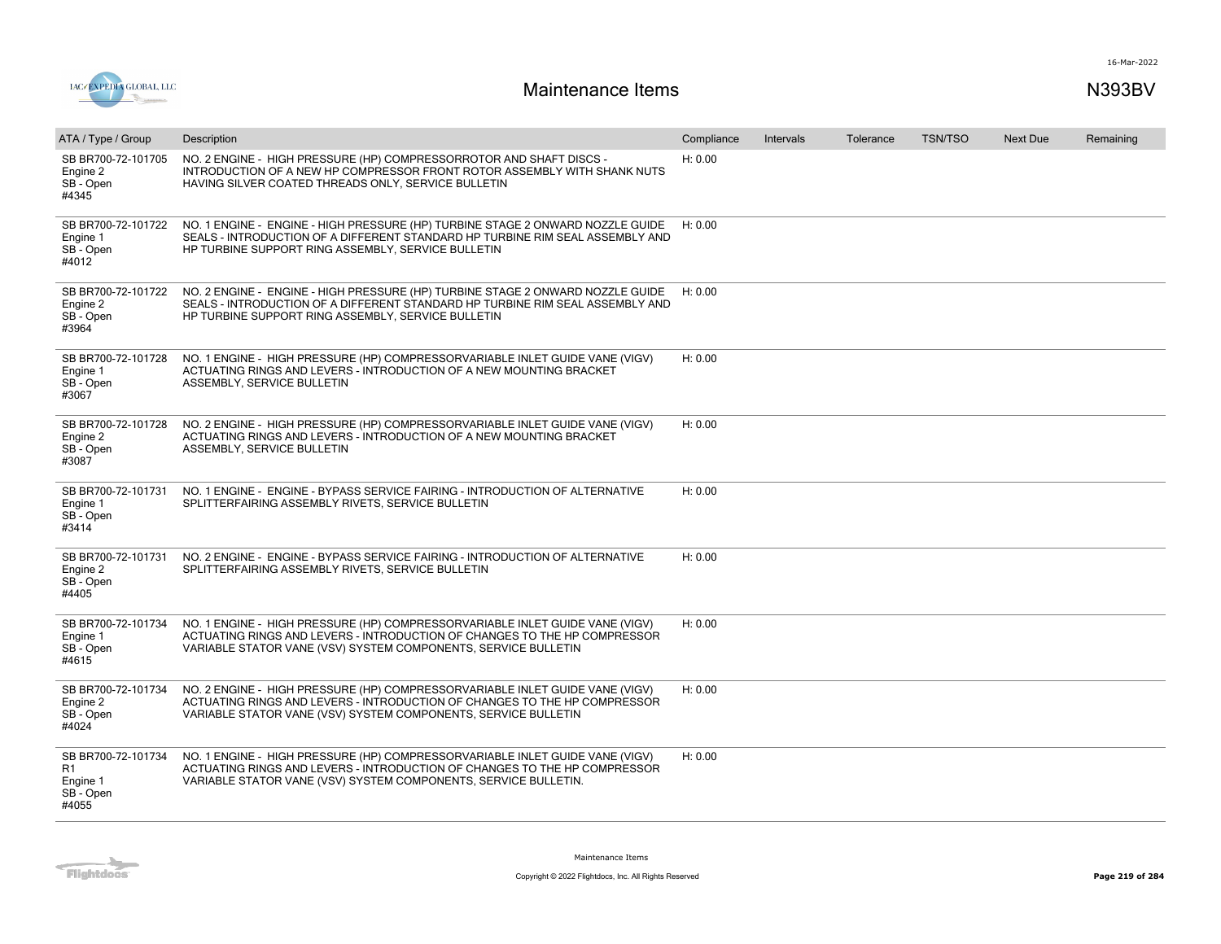

| ATA / Type / Group                                         | Description                                                                                                                                                                                                                  | Compliance | Intervals | Tolerance | <b>TSN/TSO</b> | <b>Next Due</b> | Remaining |
|------------------------------------------------------------|------------------------------------------------------------------------------------------------------------------------------------------------------------------------------------------------------------------------------|------------|-----------|-----------|----------------|-----------------|-----------|
| SB BR700-72-101705<br>Engine 2<br>SB - Open<br>#4345       | NO. 2 ENGINE - HIGH PRESSURE (HP) COMPRESSORROTOR AND SHAFT DISCS -<br>INTRODUCTION OF A NEW HP COMPRESSOR FRONT ROTOR ASSEMBLY WITH SHANK NUTS<br>HAVING SILVER COATED THREADS ONLY, SERVICE BULLETIN                       | H: 0.00    |           |           |                |                 |           |
| SB BR700-72-101722<br>Engine 1<br>SB - Open<br>#4012       | NO. 1 ENGINE - ENGINE - HIGH PRESSURE (HP) TURBINE STAGE 2 ONWARD NOZZLE GUIDE<br>SEALS - INTRODUCTION OF A DIFFERENT STANDARD HP TURBINE RIM SEAL ASSEMBLY AND<br>HP TURBINE SUPPORT RING ASSEMBLY. SERVICE BULLETIN        | H: 0.00    |           |           |                |                 |           |
| SB BR700-72-101722<br>Engine 2<br>SB - Open<br>#3964       | NO. 2 ENGINE - ENGINE - HIGH PRESSURE (HP) TURBINE STAGE 2 ONWARD NOZZLE GUIDE<br>SEALS - INTRODUCTION OF A DIFFERENT STANDARD HP TURBINE RIM SEAL ASSEMBLY AND<br>HP TURBINE SUPPORT RING ASSEMBLY, SERVICE BULLETIN        | H: 0.00    |           |           |                |                 |           |
| SB BR700-72-101728<br>Engine 1<br>SB - Open<br>#3067       | NO. 1 ENGINE - HIGH PRESSURE (HP) COMPRESSORVARIABLE INLET GUIDE VANE (VIGV)<br>ACTUATING RINGS AND LEVERS - INTRODUCTION OF A NEW MOUNTING BRACKET<br>ASSEMBLY, SERVICE BULLETIN                                            | H: 0.00    |           |           |                |                 |           |
| SB BR700-72-101728<br>Engine 2<br>SB - Open<br>#3087       | NO. 2 ENGINE - HIGH PRESSURE (HP) COMPRESSORVARIABLE INLET GUIDE VANE (VIGV)<br>ACTUATING RINGS AND LEVERS - INTRODUCTION OF A NEW MOUNTING BRACKET<br>ASSEMBLY, SERVICE BULLETIN                                            | H: 0.00    |           |           |                |                 |           |
| SB BR700-72-101731<br>Engine 1<br>SB - Open<br>#3414       | NO. 1 ENGINE - ENGINE - BYPASS SERVICE FAIRING - INTRODUCTION OF ALTERNATIVE<br>SPLITTERFAIRING ASSEMBLY RIVETS. SERVICE BULLETIN                                                                                            | H: 0.00    |           |           |                |                 |           |
| SB BR700-72-101731<br>Engine 2<br>SB - Open<br>#4405       | NO. 2 ENGINE - ENGINE - BYPASS SERVICE FAIRING - INTRODUCTION OF ALTERNATIVE<br>SPLITTERFAIRING ASSEMBLY RIVETS, SERVICE BULLETIN                                                                                            | H: 0.00    |           |           |                |                 |           |
| SB BR700-72-101734<br>Engine 1<br>SB - Open<br>#4615       | NO. 1 ENGINE - HIGH PRESSURE (HP) COMPRESSORVARIABLE INLET GUIDE VANE (VIGV)<br>ACTUATING RINGS AND LEVERS - INTRODUCTION OF CHANGES TO THE HP COMPRESSOR<br>VARIABLE STATOR VANE (VSV) SYSTEM COMPONENTS, SERVICE BULLETIN  | H: 0.00    |           |           |                |                 |           |
| SB BR700-72-101734<br>Engine 2<br>SB - Open<br>#4024       | NO. 2 ENGINE - HIGH PRESSURE (HP) COMPRESSORVARIABLE INLET GUIDE VANE (VIGV)<br>ACTUATING RINGS AND LEVERS - INTRODUCTION OF CHANGES TO THE HP COMPRESSOR<br>VARIABLE STATOR VANE (VSV) SYSTEM COMPONENTS, SERVICE BULLETIN  | H: 0.00    |           |           |                |                 |           |
| SB BR700-72-101734<br>R1<br>Engine 1<br>SB - Open<br>#4055 | NO. 1 ENGINE - HIGH PRESSURE (HP) COMPRESSORVARIABLE INLET GUIDE VANE (VIGV)<br>ACTUATING RINGS AND LEVERS - INTRODUCTION OF CHANGES TO THE HP COMPRESSOR<br>VARIABLE STATOR VANE (VSV) SYSTEM COMPONENTS, SERVICE BULLETIN. | H: 0.00    |           |           |                |                 |           |

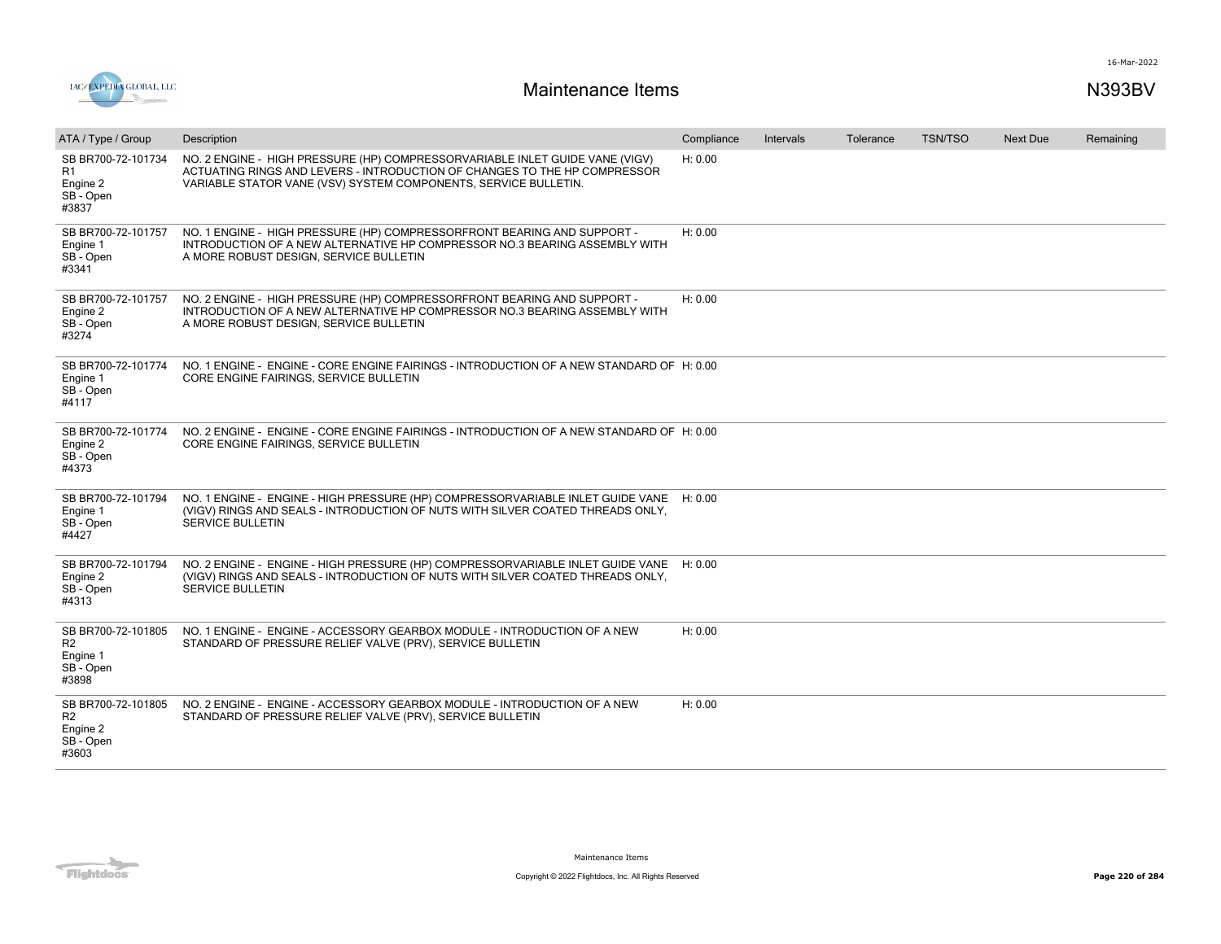

| ATA / Type / Group                                                     | Description                                                                                                                                                                                                                  | Compliance | <b>Intervals</b> | Tolerance | <b>TSN/TSO</b> | <b>Next Due</b> | Remaining |
|------------------------------------------------------------------------|------------------------------------------------------------------------------------------------------------------------------------------------------------------------------------------------------------------------------|------------|------------------|-----------|----------------|-----------------|-----------|
| SB BR700-72-101734<br>R1<br>Engine 2<br>SB - Open<br>#3837             | NO. 2 ENGINE - HIGH PRESSURE (HP) COMPRESSORVARIABLE INLET GUIDE VANE (VIGV)<br>ACTUATING RINGS AND LEVERS - INTRODUCTION OF CHANGES TO THE HP COMPRESSOR<br>VARIABLE STATOR VANE (VSV) SYSTEM COMPONENTS, SERVICE BULLETIN. | H: 0.00    |                  |           |                |                 |           |
| SB BR700-72-101757<br>Engine 1<br>SB - Open<br>#3341                   | NO. 1 ENGINE - HIGH PRESSURE (HP) COMPRESSORFRONT BEARING AND SUPPORT -<br>INTRODUCTION OF A NEW ALTERNATIVE HP COMPRESSOR NO.3 BEARING ASSEMBLY WITH<br>A MORE ROBUST DESIGN, SERVICE BULLETIN                              | H: 0.00    |                  |           |                |                 |           |
| SB BR700-72-101757<br>Engine 2<br>SB - Open<br>#3274                   | NO. 2 ENGINE - HIGH PRESSURE (HP) COMPRESSORFRONT BEARING AND SUPPORT -<br>INTRODUCTION OF A NEW ALTERNATIVE HP COMPRESSOR NO.3 BEARING ASSEMBLY WITH<br>A MORE ROBUST DESIGN, SERVICE BULLETIN                              | H: 0.00    |                  |           |                |                 |           |
| SB BR700-72-101774<br>Engine 1<br>SB - Open<br>#4117                   | NO. 1 ENGINE - ENGINE - CORE ENGINE FAIRINGS - INTRODUCTION OF A NEW STANDARD OF H: 0.00<br>CORE ENGINE FAIRINGS, SERVICE BULLETIN                                                                                           |            |                  |           |                |                 |           |
| SB BR700-72-101774<br>Engine 2<br>SB - Open<br>#4373                   | NO. 2 ENGINE - ENGINE - CORE ENGINE FAIRINGS - INTRODUCTION OF A NEW STANDARD OF H: 0.00<br>CORE ENGINE FAIRINGS, SERVICE BULLETIN                                                                                           |            |                  |           |                |                 |           |
| SB BR700-72-101794<br>Engine 1<br>SB - Open<br>#4427                   | NO. 1 ENGINE - ENGINE - HIGH PRESSURE (HP) COMPRESSORVARIABLE INLET GUIDE VANE H: 0.00<br>(VIGV) RINGS AND SEALS - INTRODUCTION OF NUTS WITH SILVER COATED THREADS ONLY,<br>SERVICE BULLETIN                                 |            |                  |           |                |                 |           |
| SB BR700-72-101794<br>Engine 2<br>SB - Open<br>#4313                   | NO. 2 ENGINE - ENGINE - HIGH PRESSURE (HP) COMPRESSORVARIABLE INLET GUIDE VANE<br>(VIGV) RINGS AND SEALS - INTRODUCTION OF NUTS WITH SILVER COATED THREADS ONLY,<br>SERVICE BULLETIN                                         | H: 0.00    |                  |           |                |                 |           |
| SB BR700-72-101805<br>R <sub>2</sub><br>Engine 1<br>SB - Open<br>#3898 | NO. 1 ENGINE - ENGINE - ACCESSORY GEARBOX MODULE - INTRODUCTION OF A NEW<br>STANDARD OF PRESSURE RELIEF VALVE (PRV), SERVICE BULLETIN                                                                                        | H: 0.00    |                  |           |                |                 |           |
| SB BR700-72-101805<br>R <sub>2</sub><br>Engine 2<br>SB - Open<br>#3603 | NO. 2 ENGINE - ENGINE - ACCESSORY GEARBOX MODULE - INTRODUCTION OF A NEW<br>STANDARD OF PRESSURE RELIEF VALVE (PRV), SERVICE BULLETIN                                                                                        | H: 0.00    |                  |           |                |                 |           |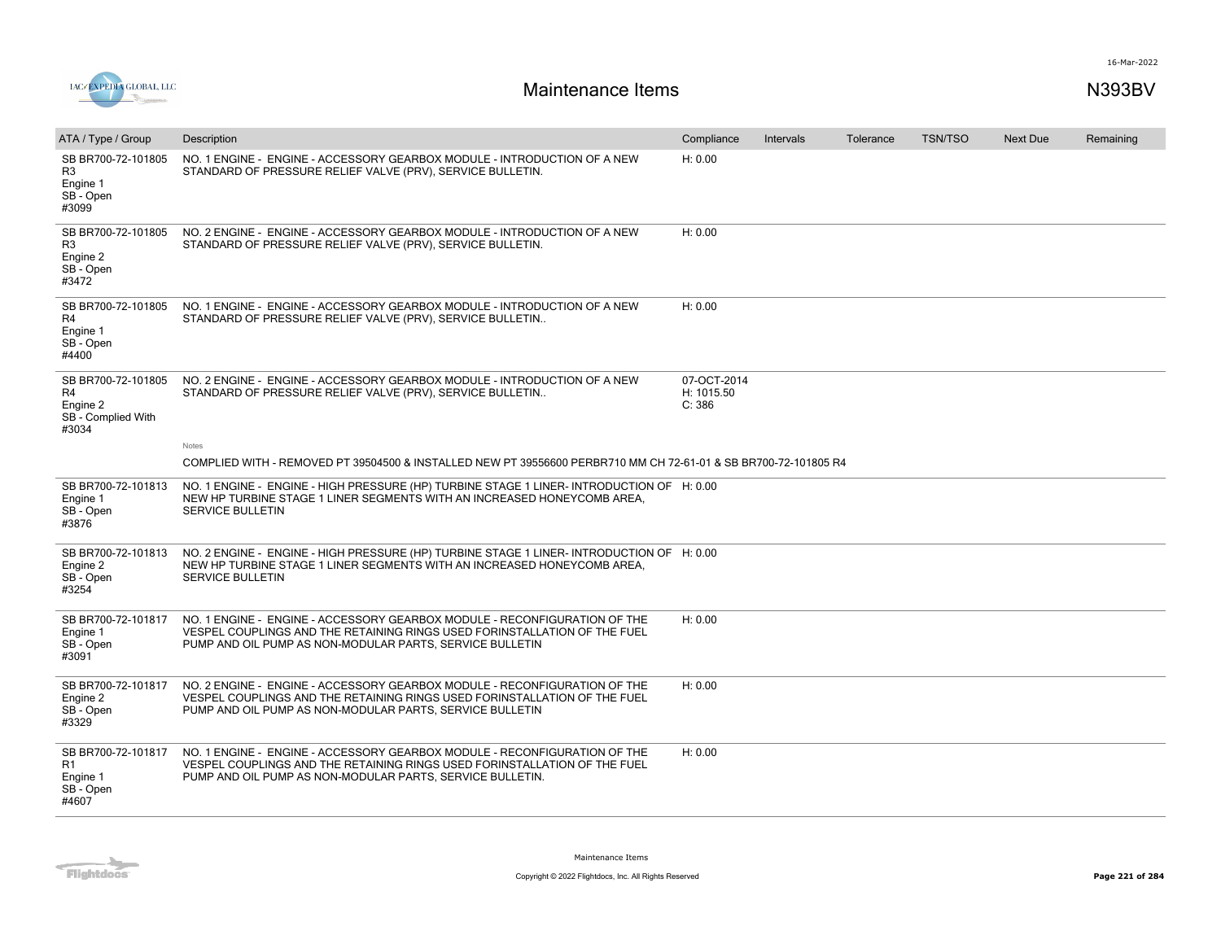

| ATA / Type / Group                                                     | Description                                                                                                                                                                                                         | Compliance                          | Intervals | Tolerance | <b>TSN/TSO</b> | <b>Next Due</b> | Remaining |
|------------------------------------------------------------------------|---------------------------------------------------------------------------------------------------------------------------------------------------------------------------------------------------------------------|-------------------------------------|-----------|-----------|----------------|-----------------|-----------|
| SB BR700-72-101805<br>R <sub>3</sub><br>Engine 1<br>SB - Open<br>#3099 | NO. 1 ENGINE - ENGINE - ACCESSORY GEARBOX MODULE - INTRODUCTION OF A NEW<br>STANDARD OF PRESSURE RELIEF VALVE (PRV), SERVICE BULLETIN.                                                                              | H: 0.00                             |           |           |                |                 |           |
| SB BR700-72-101805<br>R <sub>3</sub><br>Engine 2<br>SB - Open<br>#3472 | NO. 2 ENGINE - ENGINE - ACCESSORY GEARBOX MODULE - INTRODUCTION OF A NEW<br>STANDARD OF PRESSURE RELIEF VALVE (PRV), SERVICE BULLETIN.                                                                              | H: 0.00                             |           |           |                |                 |           |
| SB BR700-72-101805<br>R4<br>Engine 1<br>SB - Open<br>#4400             | NO. 1 ENGINE - ENGINE - ACCESSORY GEARBOX MODULE - INTRODUCTION OF A NEW<br>STANDARD OF PRESSURE RELIEF VALVE (PRV), SERVICE BULLETIN                                                                               | H: 0.00                             |           |           |                |                 |           |
| SB BR700-72-101805<br>R4<br>Engine 2<br>SB - Complied With<br>#3034    | NO. 2 ENGINE - ENGINE - ACCESSORY GEARBOX MODULE - INTRODUCTION OF A NEW<br>STANDARD OF PRESSURE RELIEF VALVE (PRV), SERVICE BULLETIN                                                                               | 07-OCT-2014<br>H: 1015.50<br>C: 386 |           |           |                |                 |           |
|                                                                        | Notes                                                                                                                                                                                                               |                                     |           |           |                |                 |           |
|                                                                        | COMPLIED WITH - REMOVED PT 39504500 & INSTALLED NEW PT 39556600 PERBR710 MM CH 72-61-01 & SB BR700-72-101805 R4                                                                                                     |                                     |           |           |                |                 |           |
| SB BR700-72-101813<br>Engine 1<br>SB - Open<br>#3876                   | NO. 1 ENGINE - ENGINE - HIGH PRESSURE (HP) TURBINE STAGE 1 LINER- INTRODUCTION OF H: 0.00<br>NEW HP TURBINE STAGE 1 LINER SEGMENTS WITH AN INCREASED HONEYCOMB AREA.<br><b>SERVICE BULLETIN</b>                     |                                     |           |           |                |                 |           |
| SB BR700-72-101813<br>Engine 2<br>SB - Open<br>#3254                   | NO. 2 ENGINE - ENGINE - HIGH PRESSURE (HP) TURBINE STAGE 1 LINER- INTRODUCTION OF H: 0.00<br>NEW HP TURBINE STAGE 1 LINER SEGMENTS WITH AN INCREASED HONEYCOMB AREA,<br><b>SERVICE BULLETIN</b>                     |                                     |           |           |                |                 |           |
| SB BR700-72-101817<br>Engine 1<br>SB - Open<br>#3091                   | NO. 1 ENGINE - ENGINE - ACCESSORY GEARBOX MODULE - RECONFIGURATION OF THE<br>VESPEL COUPLINGS AND THE RETAINING RINGS USED FORINSTALLATION OF THE FUEL<br>PUMP AND OIL PUMP AS NON-MODULAR PARTS, SERVICE BULLETIN  | H: 0.00                             |           |           |                |                 |           |
| SB BR700-72-101817<br>Engine 2<br>SB - Open<br>#3329                   | NO. 2 ENGINE - ENGINE - ACCESSORY GEARBOX MODULE - RECONFIGURATION OF THE<br>VESPEL COUPLINGS AND THE RETAINING RINGS USED FORINSTALLATION OF THE FUEL<br>PUMP AND OIL PUMP AS NON-MODULAR PARTS, SERVICE BULLETIN  | H: 0.00                             |           |           |                |                 |           |
| SB BR700-72-101817<br>R1<br>Engine 1<br>SB - Open<br>#4607             | NO. 1 ENGINE - ENGINE - ACCESSORY GEARBOX MODULE - RECONFIGURATION OF THE<br>VESPEL COUPLINGS AND THE RETAINING RINGS USED FORINSTALLATION OF THE FUEL<br>PUMP AND OIL PUMP AS NON-MODULAR PARTS, SERVICE BULLETIN. | H: 0.00                             |           |           |                |                 |           |

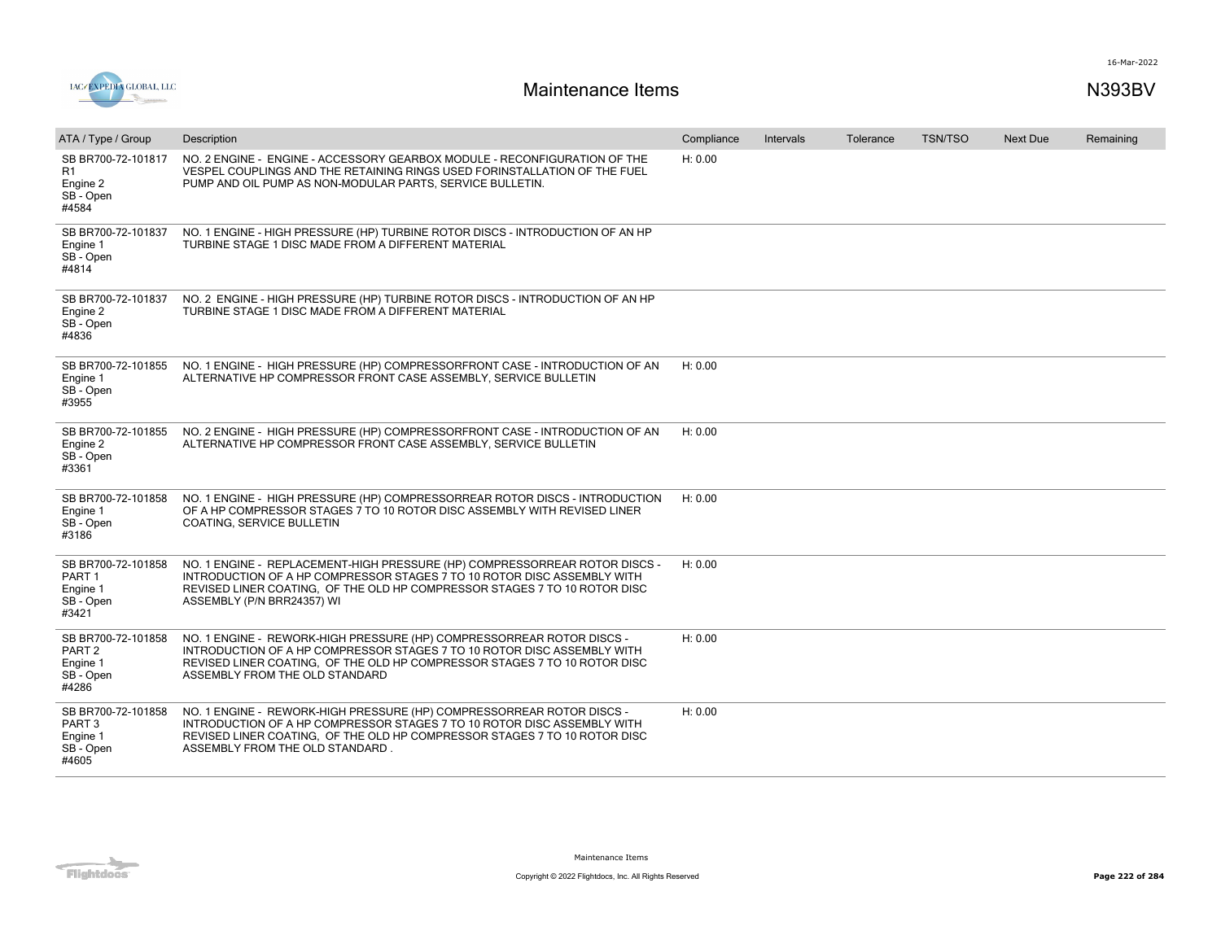

| ATA / Type / Group                                                        | Description                                                                                                                                                                                                                                                      | Compliance | <b>Intervals</b> | Tolerance | <b>TSN/TSO</b> | <b>Next Due</b> | Remaining |
|---------------------------------------------------------------------------|------------------------------------------------------------------------------------------------------------------------------------------------------------------------------------------------------------------------------------------------------------------|------------|------------------|-----------|----------------|-----------------|-----------|
| SB BR700-72-101817<br>R1<br>Engine 2<br>SB - Open<br>#4584                | NO. 2 ENGINE - ENGINE - ACCESSORY GEARBOX MODULE - RECONFIGURATION OF THE<br>VESPEL COUPLINGS AND THE RETAINING RINGS USED FORINSTALLATION OF THE FUEL<br>PUMP AND OIL PUMP AS NON-MODULAR PARTS, SERVICE BULLETIN.                                              | H: 0.00    |                  |           |                |                 |           |
| SB BR700-72-101837<br>Engine 1<br>SB - Open<br>#4814                      | NO. 1 ENGINE - HIGH PRESSURE (HP) TURBINE ROTOR DISCS - INTRODUCTION OF AN HP<br>TURBINE STAGE 1 DISC MADE FROM A DIFFERENT MATERIAL                                                                                                                             |            |                  |           |                |                 |           |
| SB BR700-72-101837<br>Engine 2<br>SB - Open<br>#4836                      | NO. 2 ENGINE - HIGH PRESSURE (HP) TURBINE ROTOR DISCS - INTRODUCTION OF AN HP<br>TURBINE STAGE 1 DISC MADE FROM A DIFFERENT MATERIAL                                                                                                                             |            |                  |           |                |                 |           |
| SB BR700-72-101855<br>Engine 1<br>SB - Open<br>#3955                      | NO. 1 ENGINE - HIGH PRESSURE (HP) COMPRESSORFRONT CASE - INTRODUCTION OF AN<br>ALTERNATIVE HP COMPRESSOR FRONT CASE ASSEMBLY, SERVICE BULLETIN                                                                                                                   | H: 0.00    |                  |           |                |                 |           |
| SB BR700-72-101855<br>Engine 2<br>SB - Open<br>#3361                      | NO. 2 ENGINE - HIGH PRESSURE (HP) COMPRESSORFRONT CASE - INTRODUCTION OF AN<br>ALTERNATIVE HP COMPRESSOR FRONT CASE ASSEMBLY, SERVICE BULLETIN                                                                                                                   | H: 0.00    |                  |           |                |                 |           |
| SB BR700-72-101858<br>Engine 1<br>SB - Open<br>#3186                      | NO. 1 ENGINE - HIGH PRESSURE (HP) COMPRESSORREAR ROTOR DISCS - INTRODUCTION<br>OF A HP COMPRESSOR STAGES 7 TO 10 ROTOR DISC ASSEMBLY WITH REVISED LINER<br>COATING, SERVICE BULLETIN                                                                             | H: 0.00    |                  |           |                |                 |           |
| SB BR700-72-101858<br>PART <sub>1</sub><br>Engine 1<br>SB - Open<br>#3421 | NO. 1 ENGINE - REPLACEMENT-HIGH PRESSURE (HP) COMPRESSORREAR ROTOR DISCS -<br>INTRODUCTION OF A HP COMPRESSOR STAGES 7 TO 10 ROTOR DISC ASSEMBLY WITH<br>REVISED LINER COATING, OF THE OLD HP COMPRESSOR STAGES 7 TO 10 ROTOR DISC<br>ASSEMBLY (P/N BRR24357) WI | H: 0.00    |                  |           |                |                 |           |
| SB BR700-72-101858<br>PART <sub>2</sub><br>Engine 1<br>SB - Open<br>#4286 | NO. 1 ENGINE - REWORK-HIGH PRESSURE (HP) COMPRESSORREAR ROTOR DISCS -<br>INTRODUCTION OF A HP COMPRESSOR STAGES 7 TO 10 ROTOR DISC ASSEMBLY WITH<br>REVISED LINER COATING, OF THE OLD HP COMPRESSOR STAGES 7 TO 10 ROTOR DISC<br>ASSEMBLY FROM THE OLD STANDARD  | H: 0.00    |                  |           |                |                 |           |
| SB BR700-72-101858<br>PART <sub>3</sub><br>Engine 1<br>SB - Open<br>#4605 | NO. 1 ENGINE - REWORK-HIGH PRESSURE (HP) COMPRESSORREAR ROTOR DISCS -<br>INTRODUCTION OF A HP COMPRESSOR STAGES 7 TO 10 ROTOR DISC ASSEMBLY WITH<br>REVISED LINER COATING, OF THE OLD HP COMPRESSOR STAGES 7 TO 10 ROTOR DISC<br>ASSEMBLY FROM THE OLD STANDARD. | H: 0.00    |                  |           |                |                 |           |

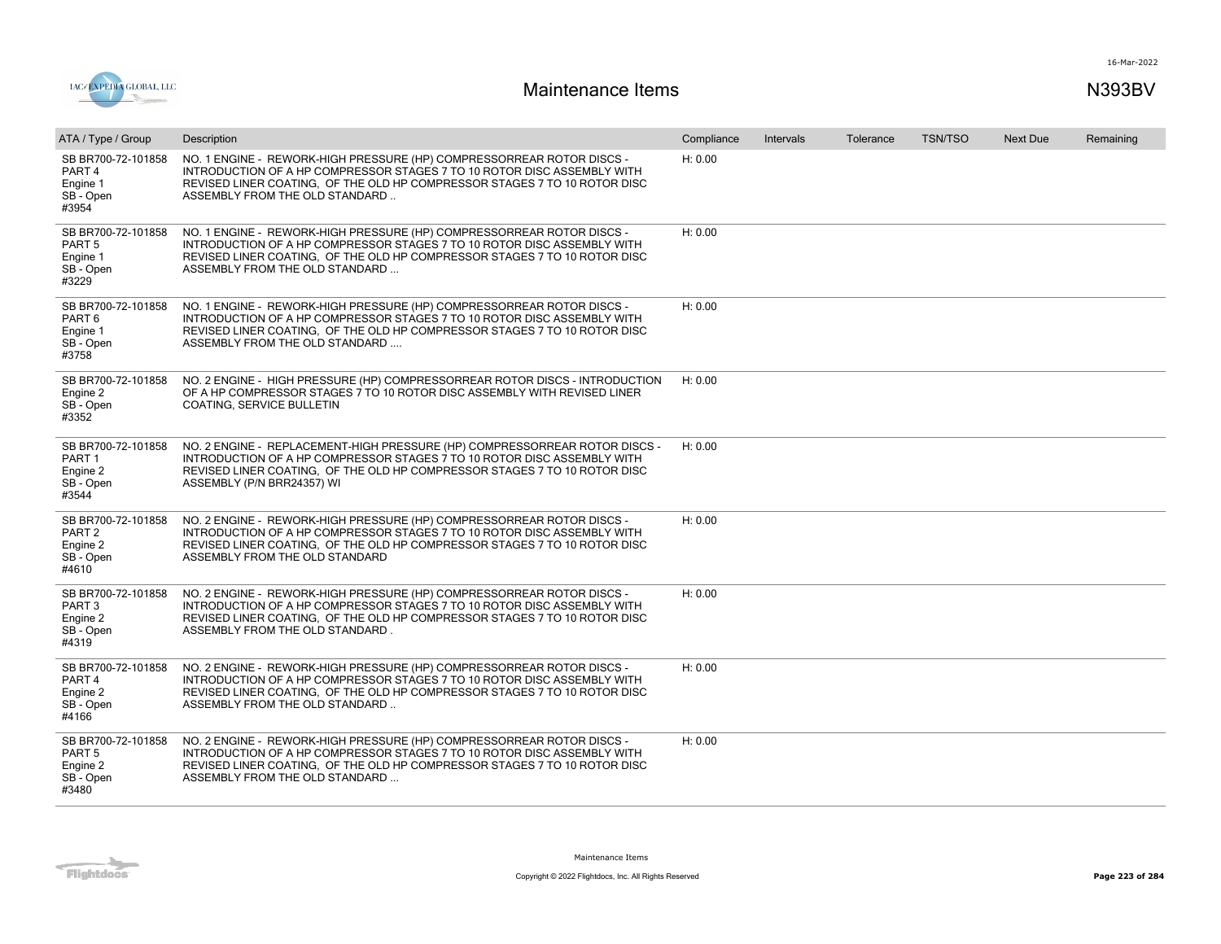

| ATA / Type / Group                                                        | Description                                                                                                                                                                                                                                                      | Compliance | Intervals | Tolerance | <b>TSN/TSO</b> | <b>Next Due</b> | Remaining |
|---------------------------------------------------------------------------|------------------------------------------------------------------------------------------------------------------------------------------------------------------------------------------------------------------------------------------------------------------|------------|-----------|-----------|----------------|-----------------|-----------|
| SB BR700-72-101858<br>PART <sub>4</sub><br>Engine 1<br>SB - Open<br>#3954 | NO. 1 ENGINE - REWORK-HIGH PRESSURE (HP) COMPRESSORREAR ROTOR DISCS -<br>INTRODUCTION OF A HP COMPRESSOR STAGES 7 TO 10 ROTOR DISC ASSEMBLY WITH<br>REVISED LINER COATING, OF THE OLD HP COMPRESSOR STAGES 7 TO 10 ROTOR DISC<br>ASSEMBLY FROM THE OLD STANDARD  | H: 0.00    |           |           |                |                 |           |
| SB BR700-72-101858<br>PART <sub>5</sub><br>Engine 1<br>SB - Open<br>#3229 | NO. 1 ENGINE - REWORK-HIGH PRESSURE (HP) COMPRESSORREAR ROTOR DISCS -<br>INTRODUCTION OF A HP COMPRESSOR STAGES 7 TO 10 ROTOR DISC ASSEMBLY WITH<br>REVISED LINER COATING, OF THE OLD HP COMPRESSOR STAGES 7 TO 10 ROTOR DISC<br>ASSEMBLY FROM THE OLD STANDARD  | H: 0.00    |           |           |                |                 |           |
| SB BR700-72-101858<br>PART <sub>6</sub><br>Engine 1<br>SB - Open<br>#3758 | NO. 1 ENGINE - REWORK-HIGH PRESSURE (HP) COMPRESSORREAR ROTOR DISCS -<br>INTRODUCTION OF A HP COMPRESSOR STAGES 7 TO 10 ROTOR DISC ASSEMBLY WITH<br>REVISED LINER COATING, OF THE OLD HP COMPRESSOR STAGES 7 TO 10 ROTOR DISC<br>ASSEMBLY FROM THE OLD STANDARD  | H: 0.00    |           |           |                |                 |           |
| SB BR700-72-101858<br>Engine 2<br>SB - Open<br>#3352                      | NO. 2 ENGINE - HIGH PRESSURE (HP) COMPRESSORREAR ROTOR DISCS - INTRODUCTION<br>OF A HP COMPRESSOR STAGES 7 TO 10 ROTOR DISC ASSEMBLY WITH REVISED LINER<br>COATING, SERVICE BULLETIN                                                                             | H: 0.00    |           |           |                |                 |           |
| SB BR700-72-101858<br>PART <sub>1</sub><br>Engine 2<br>SB - Open<br>#3544 | NO. 2 ENGINE - REPLACEMENT-HIGH PRESSURE (HP) COMPRESSORREAR ROTOR DISCS -<br>INTRODUCTION OF A HP COMPRESSOR STAGES 7 TO 10 ROTOR DISC ASSEMBLY WITH<br>REVISED LINER COATING, OF THE OLD HP COMPRESSOR STAGES 7 TO 10 ROTOR DISC<br>ASSEMBLY (P/N BRR24357) WI | H: 0.00    |           |           |                |                 |           |
| SB BR700-72-101858<br>PART <sub>2</sub><br>Engine 2<br>SB - Open<br>#4610 | NO. 2 ENGINE - REWORK-HIGH PRESSURE (HP) COMPRESSORREAR ROTOR DISCS -<br>INTRODUCTION OF A HP COMPRESSOR STAGES 7 TO 10 ROTOR DISC ASSEMBLY WITH<br>REVISED LINER COATING, OF THE OLD HP COMPRESSOR STAGES 7 TO 10 ROTOR DISC<br>ASSEMBLY FROM THE OLD STANDARD  | H: 0.00    |           |           |                |                 |           |
| SB BR700-72-101858<br>PART <sub>3</sub><br>Engine 2<br>SB - Open<br>#4319 | NO. 2 ENGINE - REWORK-HIGH PRESSURE (HP) COMPRESSORREAR ROTOR DISCS -<br>INTRODUCTION OF A HP COMPRESSOR STAGES 7 TO 10 ROTOR DISC ASSEMBLY WITH<br>REVISED LINER COATING, OF THE OLD HP COMPRESSOR STAGES 7 TO 10 ROTOR DISC<br>ASSEMBLY FROM THE OLD STANDARD. | H: 0.00    |           |           |                |                 |           |
| SB BR700-72-101858<br>PART <sub>4</sub><br>Engine 2<br>SB - Open<br>#4166 | NO. 2 ENGINE - REWORK-HIGH PRESSURE (HP) COMPRESSORREAR ROTOR DISCS -<br>INTRODUCTION OF A HP COMPRESSOR STAGES 7 TO 10 ROTOR DISC ASSEMBLY WITH<br>REVISED LINER COATING, OF THE OLD HP COMPRESSOR STAGES 7 TO 10 ROTOR DISC<br>ASSEMBLY FROM THE OLD STANDARD  | H: 0.00    |           |           |                |                 |           |
| SB BR700-72-101858<br>PART <sub>5</sub><br>Engine 2<br>SB - Open<br>#3480 | NO. 2 ENGINE - REWORK-HIGH PRESSURE (HP) COMPRESSORREAR ROTOR DISCS -<br>INTRODUCTION OF A HP COMPRESSOR STAGES 7 TO 10 ROTOR DISC ASSEMBLY WITH<br>REVISED LINER COATING, OF THE OLD HP COMPRESSOR STAGES 7 TO 10 ROTOR DISC<br>ASSEMBLY FROM THE OLD STANDARD  | H: 0.00    |           |           |                |                 |           |

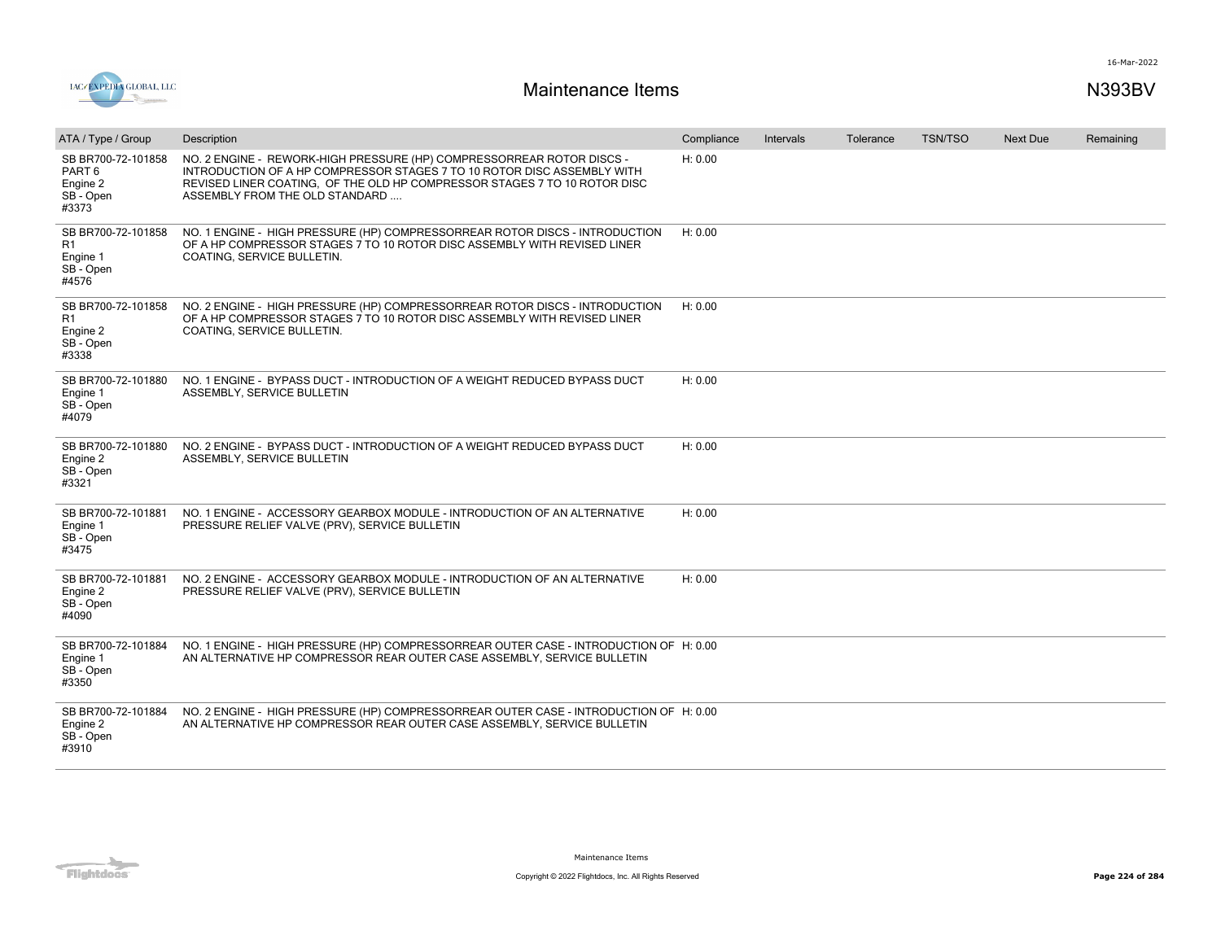

| ATA / Type / Group                                                     | Description                                                                                                                                                                                                                                                     | Compliance | Intervals | Tolerance | <b>TSN/TSO</b> | <b>Next Due</b> | Remaining |
|------------------------------------------------------------------------|-----------------------------------------------------------------------------------------------------------------------------------------------------------------------------------------------------------------------------------------------------------------|------------|-----------|-----------|----------------|-----------------|-----------|
| SB BR700-72-101858<br>PART 6<br>Engine 2<br>SB - Open<br>#3373         | NO. 2 ENGINE - REWORK-HIGH PRESSURE (HP) COMPRESSORREAR ROTOR DISCS -<br>INTRODUCTION OF A HP COMPRESSOR STAGES 7 TO 10 ROTOR DISC ASSEMBLY WITH<br>REVISED LINER COATING, OF THE OLD HP COMPRESSOR STAGES 7 TO 10 ROTOR DISC<br>ASSEMBLY FROM THE OLD STANDARD | H: 0.00    |           |           |                |                 |           |
| SB BR700-72-101858<br>R1<br>Engine 1<br>SB - Open<br>#4576             | NO. 1 ENGINE - HIGH PRESSURE (HP) COMPRESSORREAR ROTOR DISCS - INTRODUCTION<br>OF A HP COMPRESSOR STAGES 7 TO 10 ROTOR DISC ASSEMBLY WITH REVISED LINER<br>COATING, SERVICE BULLETIN.                                                                           | H: 0.00    |           |           |                |                 |           |
| SB BR700-72-101858<br>R <sub>1</sub><br>Engine 2<br>SB - Open<br>#3338 | NO. 2 ENGINE - HIGH PRESSURE (HP) COMPRESSORREAR ROTOR DISCS - INTRODUCTION<br>OF A HP COMPRESSOR STAGES 7 TO 10 ROTOR DISC ASSEMBLY WITH REVISED LINER<br>COATING, SERVICE BULLETIN.                                                                           | H: 0.00    |           |           |                |                 |           |
| SB BR700-72-101880<br>Engine 1<br>SB - Open<br>#4079                   | NO. 1 ENGINE - BYPASS DUCT - INTRODUCTION OF A WEIGHT REDUCED BYPASS DUCT<br>ASSEMBLY, SERVICE BULLETIN                                                                                                                                                         | H: 0.00    |           |           |                |                 |           |
| SB BR700-72-101880<br>Engine 2<br>SB - Open<br>#3321                   | NO. 2 ENGINE - BYPASS DUCT - INTRODUCTION OF A WEIGHT REDUCED BYPASS DUCT<br>ASSEMBLY, SERVICE BULLETIN                                                                                                                                                         | H: 0.00    |           |           |                |                 |           |
| SB BR700-72-101881<br>Engine 1<br>SB - Open<br>#3475                   | NO. 1 ENGINE - ACCESSORY GEARBOX MODULE - INTRODUCTION OF AN ALTERNATIVE<br>PRESSURE RELIEF VALVE (PRV), SERVICE BULLETIN                                                                                                                                       | H: 0.00    |           |           |                |                 |           |
| SB BR700-72-101881<br>Engine 2<br>SB - Open<br>#4090                   | NO. 2 ENGINE - ACCESSORY GEARBOX MODULE - INTRODUCTION OF AN ALTERNATIVE<br>PRESSURE RELIEF VALVE (PRV), SERVICE BULLETIN                                                                                                                                       | H: 0.00    |           |           |                |                 |           |
| SB BR700-72-101884<br>Engine 1<br>SB - Open<br>#3350                   | NO. 1 ENGINE - HIGH PRESSURE (HP) COMPRESSORREAR OUTER CASE - INTRODUCTION OF H: 0.00<br>AN ALTERNATIVE HP COMPRESSOR REAR OUTER CASE ASSEMBLY, SERVICE BULLETIN                                                                                                |            |           |           |                |                 |           |
| SB BR700-72-101884<br>Engine 2<br>SB - Open<br>#3910                   | NO. 2 ENGINE - HIGH PRESSURE (HP) COMPRESSORREAR OUTER CASE - INTRODUCTION OF H: 0.00<br>AN ALTERNATIVE HP COMPRESSOR REAR OUTER CASE ASSEMBLY, SERVICE BULLETIN                                                                                                |            |           |           |                |                 |           |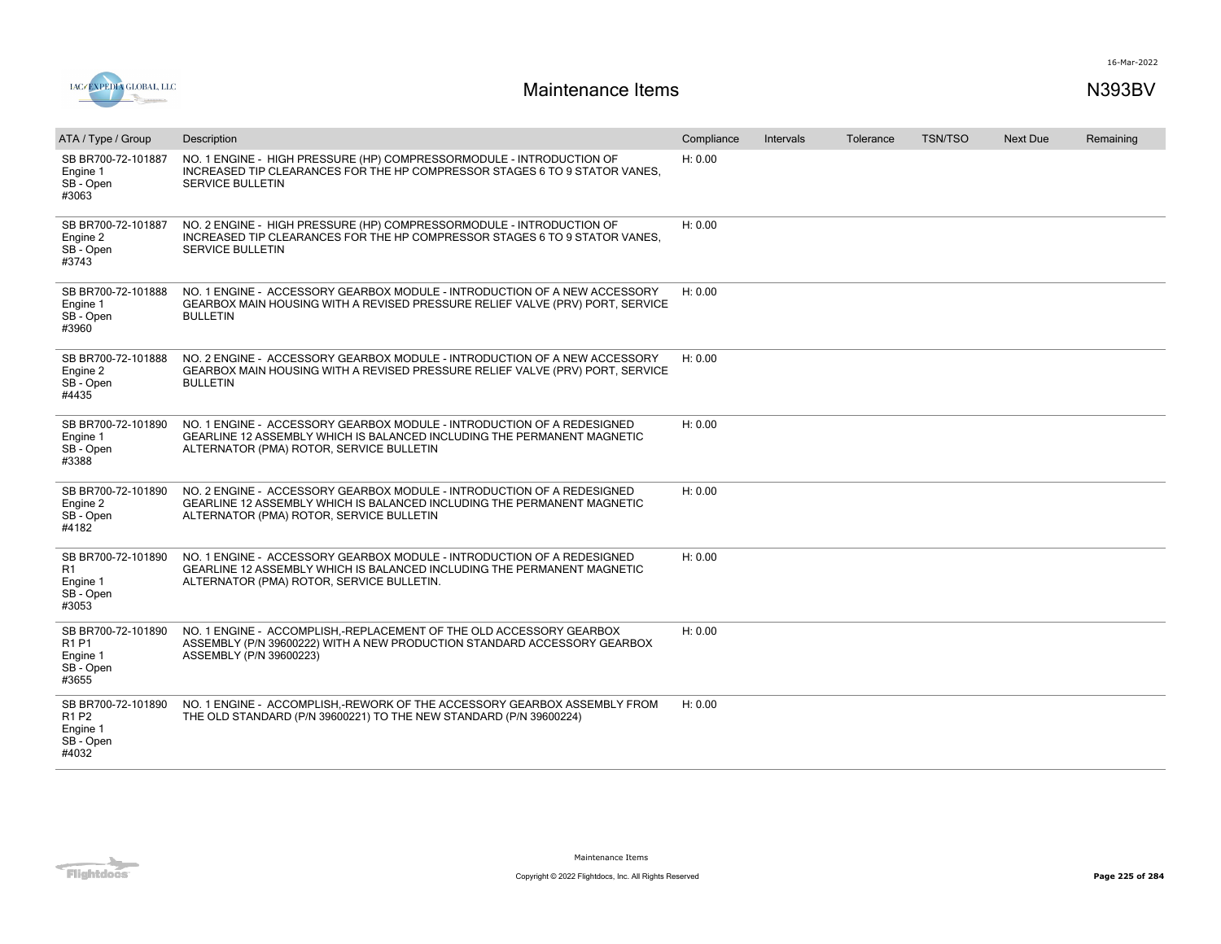

| ATA / Type / Group                                                                    | Description                                                                                                                                                                                    | Compliance | Intervals | Tolerance | <b>TSN/TSO</b> | Next Due | Remaining |
|---------------------------------------------------------------------------------------|------------------------------------------------------------------------------------------------------------------------------------------------------------------------------------------------|------------|-----------|-----------|----------------|----------|-----------|
| SB BR700-72-101887<br>Engine 1<br>SB - Open<br>#3063                                  | NO. 1 ENGINE - HIGH PRESSURE (HP) COMPRESSORMODULE - INTRODUCTION OF<br>INCREASED TIP CLEARANCES FOR THE HP COMPRESSOR STAGES 6 TO 9 STATOR VANES.<br><b>SERVICE BULLETIN</b>                  | H: 0.00    |           |           |                |          |           |
| SB BR700-72-101887<br>Engine 2<br>SB - Open<br>#3743                                  | NO. 2 ENGINE - HIGH PRESSURE (HP) COMPRESSORMODULE - INTRODUCTION OF<br>INCREASED TIP CLEARANCES FOR THE HP COMPRESSOR STAGES 6 TO 9 STATOR VANES.<br><b>SERVICE BULLETIN</b>                  | H: 0.00    |           |           |                |          |           |
| SB BR700-72-101888<br>Engine 1<br>SB - Open<br>#3960                                  | NO. 1 ENGINE - ACCESSORY GEARBOX MODULE - INTRODUCTION OF A NEW ACCESSORY<br>GEARBOX MAIN HOUSING WITH A REVISED PRESSURE RELIEF VALVE (PRV) PORT, SERVICE<br><b>BULLETIN</b>                  | H: 0.00    |           |           |                |          |           |
| SB BR700-72-101888<br>Engine 2<br>SB - Open<br>#4435                                  | NO. 2 ENGINE - ACCESSORY GEARBOX MODULE - INTRODUCTION OF A NEW ACCESSORY<br>GEARBOX MAIN HOUSING WITH A REVISED PRESSURE RELIEF VALVE (PRV) PORT, SERVICE<br><b>BULLETIN</b>                  | H: 0.00    |           |           |                |          |           |
| SB BR700-72-101890<br>Engine 1<br>SB - Open<br>#3388                                  | NO. 1 ENGINE - ACCESSORY GEARBOX MODULE - INTRODUCTION OF A REDESIGNED<br>GEARLINE 12 ASSEMBLY WHICH IS BALANCED INCLUDING THE PERMANENT MAGNETIC<br>ALTERNATOR (PMA) ROTOR, SERVICE BULLETIN  | H: 0.00    |           |           |                |          |           |
| SB BR700-72-101890<br>Engine 2<br>SB - Open<br>#4182                                  | NO. 2 ENGINE - ACCESSORY GEARBOX MODULE - INTRODUCTION OF A REDESIGNED<br>GEARLINE 12 ASSEMBLY WHICH IS BALANCED INCLUDING THE PERMANENT MAGNETIC<br>ALTERNATOR (PMA) ROTOR, SERVICE BULLETIN  | H: 0.00    |           |           |                |          |           |
| SB BR700-72-101890<br>R1<br>Engine 1<br>SB - Open<br>#3053                            | NO. 1 ENGINE - ACCESSORY GEARBOX MODULE - INTRODUCTION OF A REDESIGNED<br>GEARLINE 12 ASSEMBLY WHICH IS BALANCED INCLUDING THE PERMANENT MAGNETIC<br>ALTERNATOR (PMA) ROTOR, SERVICE BULLETIN. | H: 0.00    |           |           |                |          |           |
| SB BR700-72-101890<br>R <sub>1</sub> P <sub>1</sub><br>Engine 1<br>SB - Open<br>#3655 | NO. 1 ENGINE - ACCOMPLISH.-REPLACEMENT OF THE OLD ACCESSORY GEARBOX<br>ASSEMBLY (P/N 39600222) WITH A NEW PRODUCTION STANDARD ACCESSORY GEARBOX<br>ASSEMBLY (P/N 39600223)                     | H: 0.00    |           |           |                |          |           |
| SB BR700-72-101890<br>R <sub>1</sub> P <sub>2</sub><br>Engine 1<br>SB - Open<br>#4032 | NO. 1 ENGINE - ACCOMPLISH,-REWORK OF THE ACCESSORY GEARBOX ASSEMBLY FROM<br>THE OLD STANDARD (P/N 39600221) TO THE NEW STANDARD (P/N 39600224)                                                 | H: 0.00    |           |           |                |          |           |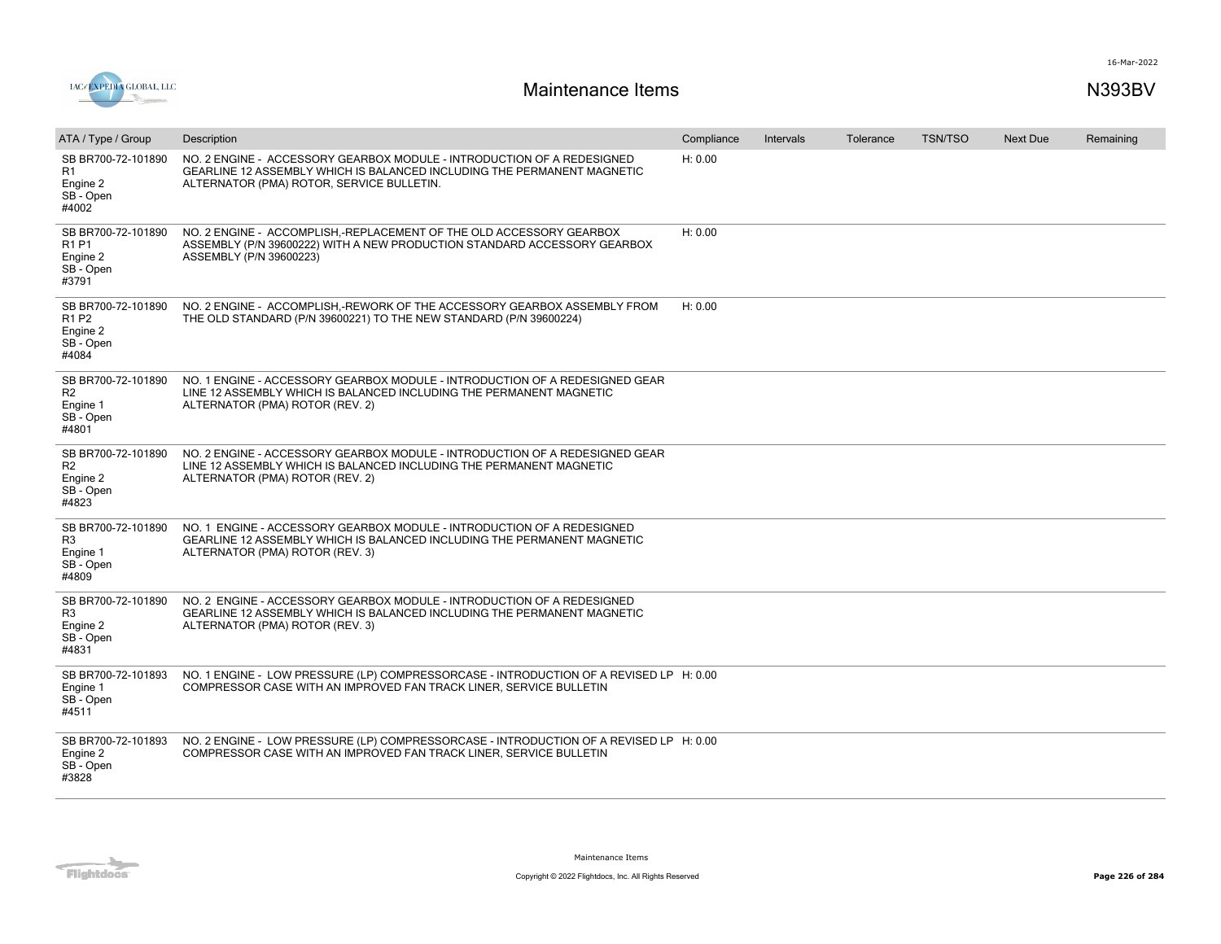

| ATA / Type / Group                                                                    | Description                                                                                                                                                                                    | Compliance | Intervals | Tolerance | <b>TSN/TSO</b> | <b>Next Due</b> | Remaining |
|---------------------------------------------------------------------------------------|------------------------------------------------------------------------------------------------------------------------------------------------------------------------------------------------|------------|-----------|-----------|----------------|-----------------|-----------|
| SB BR700-72-101890<br>R <sub>1</sub><br>Engine 2<br>SB - Open<br>#4002                | NO. 2 ENGINE - ACCESSORY GEARBOX MODULE - INTRODUCTION OF A REDESIGNED<br>GEARLINE 12 ASSEMBLY WHICH IS BALANCED INCLUDING THE PERMANENT MAGNETIC<br>ALTERNATOR (PMA) ROTOR, SERVICE BULLETIN. | H: 0.00    |           |           |                |                 |           |
| SB BR700-72-101890<br>R1 P1<br>Engine 2<br>SB - Open<br>#3791                         | NO. 2 ENGINE - ACCOMPLISH,-REPLACEMENT OF THE OLD ACCESSORY GEARBOX<br>ASSEMBLY (P/N 39600222) WITH A NEW PRODUCTION STANDARD ACCESSORY GEARBOX<br>ASSEMBLY (P/N 39600223)                     | H: 0.00    |           |           |                |                 |           |
| SB BR700-72-101890<br>R <sub>1</sub> P <sub>2</sub><br>Engine 2<br>SB - Open<br>#4084 | NO. 2 ENGINE - ACCOMPLISH,-REWORK OF THE ACCESSORY GEARBOX ASSEMBLY FROM<br>THE OLD STANDARD (P/N 39600221) TO THE NEW STANDARD (P/N 39600224)                                                 | H: 0.00    |           |           |                |                 |           |
| SB BR700-72-101890<br>R <sub>2</sub><br>Engine 1<br>SB - Open<br>#4801                | NO. 1 ENGINE - ACCESSORY GEARBOX MODULE - INTRODUCTION OF A REDESIGNED GEAR<br>LINE 12 ASSEMBLY WHICH IS BALANCED INCLUDING THE PERMANENT MAGNETIC<br>ALTERNATOR (PMA) ROTOR (REV. 2)          |            |           |           |                |                 |           |
| SB BR700-72-101890<br>R <sub>2</sub><br>Engine 2<br>SB - Open<br>#4823                | NO. 2 ENGINE - ACCESSORY GEARBOX MODULE - INTRODUCTION OF A REDESIGNED GEAR<br>LINE 12 ASSEMBLY WHICH IS BALANCED INCLUDING THE PERMANENT MAGNETIC<br>ALTERNATOR (PMA) ROTOR (REV. 2)          |            |           |           |                |                 |           |
| SB BR700-72-101890<br>R <sub>3</sub><br>Engine 1<br>SB - Open<br>#4809                | NO. 1 ENGINE - ACCESSORY GEARBOX MODULE - INTRODUCTION OF A REDESIGNED<br>GEARLINE 12 ASSEMBLY WHICH IS BALANCED INCLUDING THE PERMANENT MAGNETIC<br>ALTERNATOR (PMA) ROTOR (REV. 3)           |            |           |           |                |                 |           |
| SB BR700-72-101890<br>R <sub>3</sub><br>Engine 2<br>SB - Open<br>#4831                | NO. 2 ENGINE - ACCESSORY GEARBOX MODULE - INTRODUCTION OF A REDESIGNED<br>GEARLINE 12 ASSEMBLY WHICH IS BALANCED INCLUDING THE PERMANENT MAGNETIC<br>ALTERNATOR (PMA) ROTOR (REV. 3)           |            |           |           |                |                 |           |
| SB BR700-72-101893<br>Engine 1<br>SB - Open<br>#4511                                  | NO. 1 ENGINE - LOW PRESSURE (LP) COMPRESSORCASE - INTRODUCTION OF A REVISED LP H: 0.00<br>COMPRESSOR CASE WITH AN IMPROVED FAN TRACK LINER, SERVICE BULLETIN                                   |            |           |           |                |                 |           |
| SB BR700-72-101893<br>Engine 2<br>SB - Open<br>#3828                                  | NO. 2 ENGINE - LOW PRESSURE (LP) COMPRESSORCASE - INTRODUCTION OF A REVISED LP H: 0.00<br>COMPRESSOR CASE WITH AN IMPROVED FAN TRACK LINER, SERVICE BULLETIN                                   |            |           |           |                |                 |           |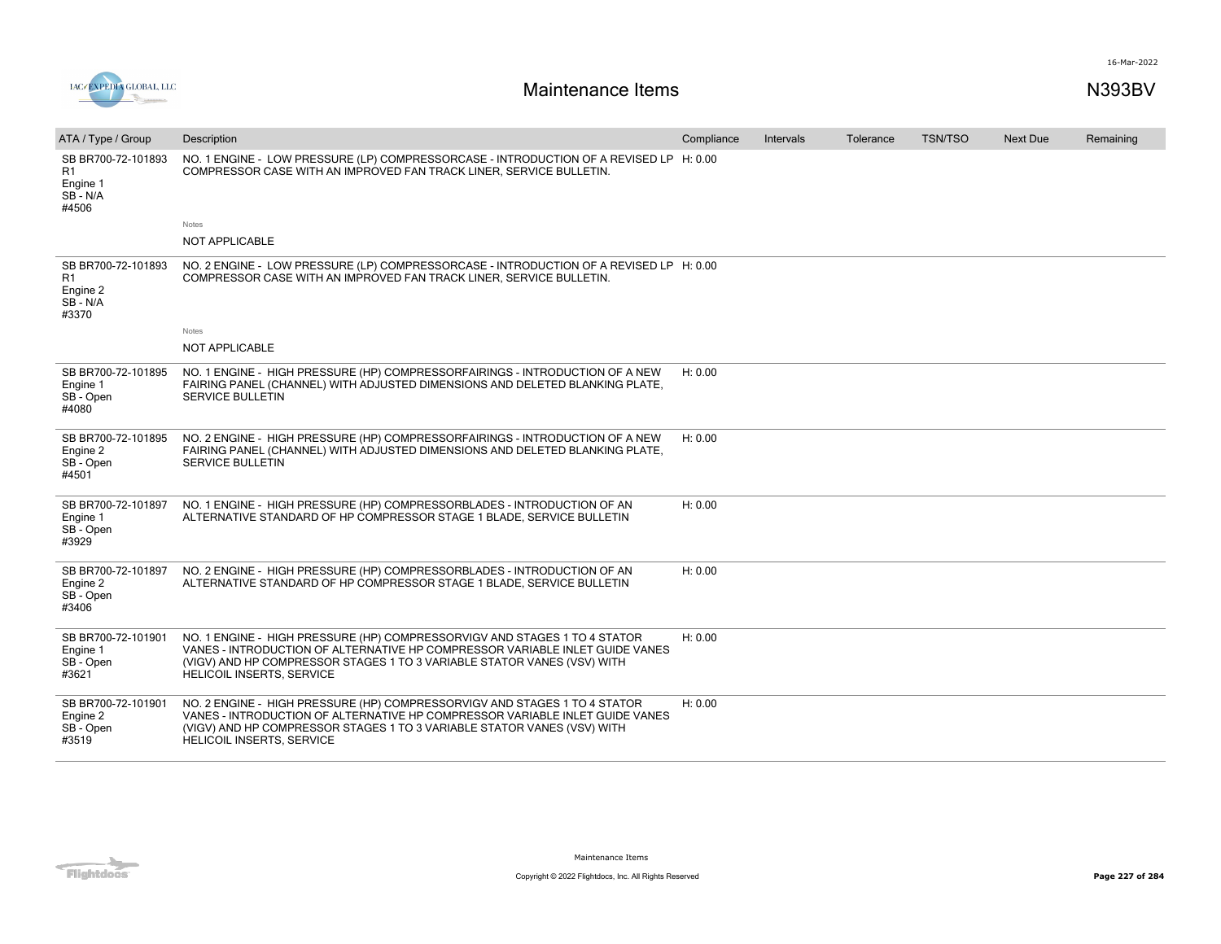16-Mar-2022



| ATA / Type / Group                                        | Description                                                                                                                                                                                                                                                              | Compliance | Intervals | Tolerance | <b>TSN/TSO</b> | <b>Next Due</b> | Remaining |
|-----------------------------------------------------------|--------------------------------------------------------------------------------------------------------------------------------------------------------------------------------------------------------------------------------------------------------------------------|------------|-----------|-----------|----------------|-----------------|-----------|
| SB BR700-72-101893<br>R1<br>Engine 1<br>SB - N/A<br>#4506 | NO. 1 ENGINE - LOW PRESSURE (LP) COMPRESSORCASE - INTRODUCTION OF A REVISED LP H: 0.00<br>COMPRESSOR CASE WITH AN IMPROVED FAN TRACK LINER, SERVICE BULLETIN.                                                                                                            |            |           |           |                |                 |           |
|                                                           | Notes                                                                                                                                                                                                                                                                    |            |           |           |                |                 |           |
|                                                           | <b>NOT APPLICABLE</b>                                                                                                                                                                                                                                                    |            |           |           |                |                 |           |
| SB BR700-72-101893<br>R1<br>Engine 2<br>SB - N/A<br>#3370 | NO. 2 ENGINE - LOW PRESSURE (LP) COMPRESSORCASE - INTRODUCTION OF A REVISED LP H: 0.00<br>COMPRESSOR CASE WITH AN IMPROVED FAN TRACK LINER, SERVICE BULLETIN.                                                                                                            |            |           |           |                |                 |           |
|                                                           | Notes                                                                                                                                                                                                                                                                    |            |           |           |                |                 |           |
|                                                           | <b>NOT APPLICABLE</b>                                                                                                                                                                                                                                                    |            |           |           |                |                 |           |
| SB BR700-72-101895<br>Engine 1<br>SB - Open<br>#4080      | NO. 1 ENGINE - HIGH PRESSURE (HP) COMPRESSORFAIRINGS - INTRODUCTION OF A NEW<br>FAIRING PANEL (CHANNEL) WITH ADJUSTED DIMENSIONS AND DELETED BLANKING PLATE,<br><b>SERVICE BULLETIN</b>                                                                                  | H: 0.00    |           |           |                |                 |           |
| SB BR700-72-101895<br>Engine 2<br>SB - Open<br>#4501      | NO. 2 ENGINE - HIGH PRESSURE (HP) COMPRESSORFAIRINGS - INTRODUCTION OF A NEW<br>FAIRING PANEL (CHANNEL) WITH ADJUSTED DIMENSIONS AND DELETED BLANKING PLATE,<br><b>SERVICE BULLETIN</b>                                                                                  | H: 0.00    |           |           |                |                 |           |
| SB BR700-72-101897<br>Engine 1<br>SB - Open<br>#3929      | NO. 1 ENGINE - HIGH PRESSURE (HP) COMPRESSORBLADES - INTRODUCTION OF AN<br>ALTERNATIVE STANDARD OF HP COMPRESSOR STAGE 1 BLADE, SERVICE BULLETIN                                                                                                                         | H: 0.00    |           |           |                |                 |           |
| SB BR700-72-101897<br>Engine 2<br>SB - Open<br>#3406      | NO. 2 ENGINE - HIGH PRESSURE (HP) COMPRESSORBLADES - INTRODUCTION OF AN<br>ALTERNATIVE STANDARD OF HP COMPRESSOR STAGE 1 BLADE, SERVICE BULLETIN                                                                                                                         | H: 0.00    |           |           |                |                 |           |
| SB BR700-72-101901<br>Engine 1<br>SB - Open<br>#3621      | NO. 1 ENGINE - HIGH PRESSURE (HP) COMPRESSORVIGV AND STAGES 1 TO 4 STATOR<br>VANES - INTRODUCTION OF ALTERNATIVE HP COMPRESSOR VARIABLE INLET GUIDE VANES<br>(VIGV) AND HP COMPRESSOR STAGES 1 TO 3 VARIABLE STATOR VANES (VSV) WITH<br>HELICOIL INSERTS, SERVICE        | H: 0.00    |           |           |                |                 |           |
| SB BR700-72-101901<br>Engine 2<br>SB - Open<br>#3519      | NO. 2 ENGINE - HIGH PRESSURE (HP) COMPRESSORVIGV AND STAGES 1 TO 4 STATOR<br>VANES - INTRODUCTION OF ALTERNATIVE HP COMPRESSOR VARIABLE INLET GUIDE VANES<br>(VIGV) AND HP COMPRESSOR STAGES 1 TO 3 VARIABLE STATOR VANES (VSV) WITH<br><b>HELICOIL INSERTS, SERVICE</b> | H: 0.00    |           |           |                |                 |           |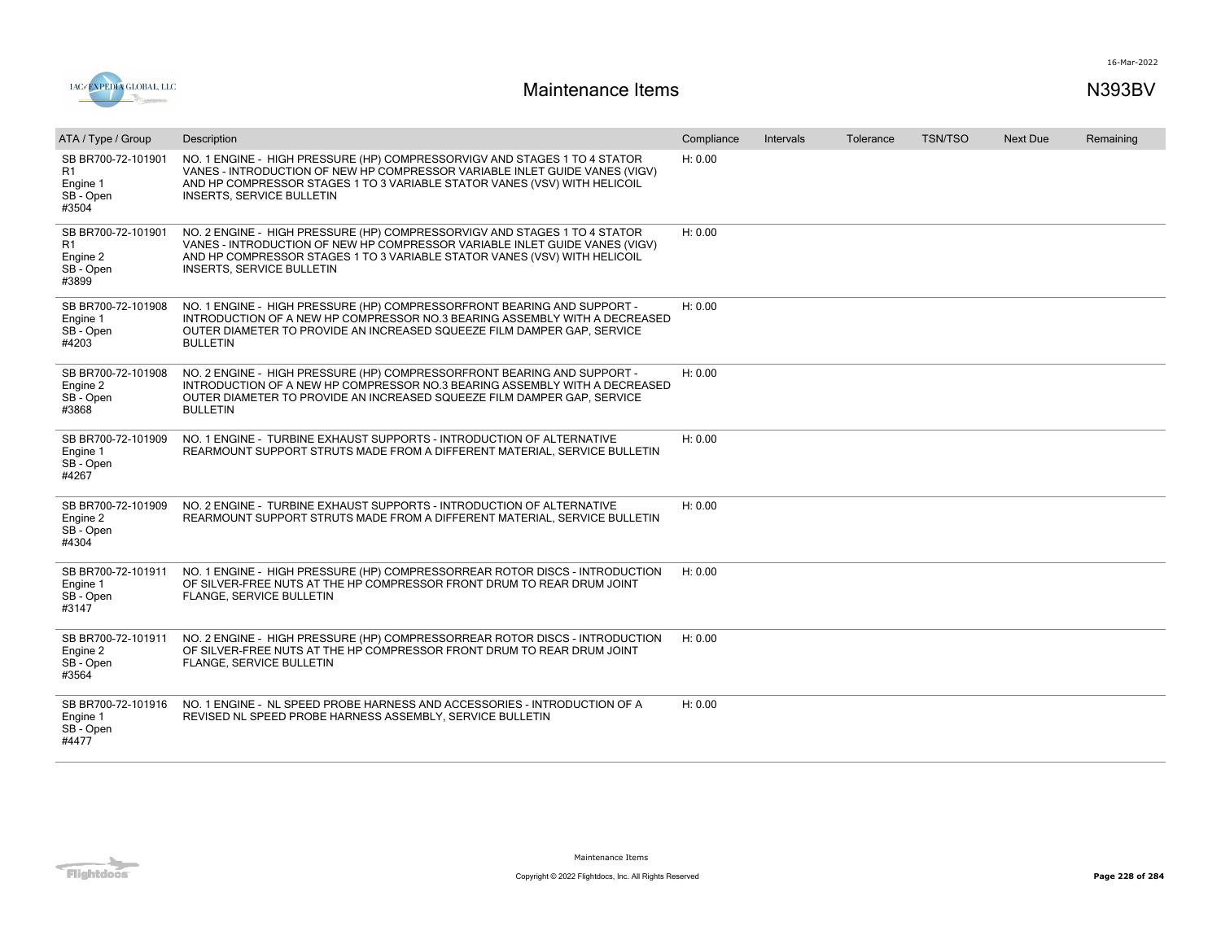

| ATA / Type / Group                                         | Description                                                                                                                                                                                                                                                               | Compliance | Intervals | Tolerance | <b>TSN/TSO</b> | <b>Next Due</b> | Remaining |
|------------------------------------------------------------|---------------------------------------------------------------------------------------------------------------------------------------------------------------------------------------------------------------------------------------------------------------------------|------------|-----------|-----------|----------------|-----------------|-----------|
| SB BR700-72-101901<br>R1<br>Engine 1<br>SB - Open<br>#3504 | NO. 1 ENGINE - HIGH PRESSURE (HP) COMPRESSORVIGV AND STAGES 1 TO 4 STATOR<br>VANES - INTRODUCTION OF NEW HP COMPRESSOR VARIABLE INLET GUIDE VANES (VIGV)<br>AND HP COMPRESSOR STAGES 1 TO 3 VARIABLE STATOR VANES (VSV) WITH HELICOIL<br><b>INSERTS, SERVICE BULLETIN</b> | H: 0.00    |           |           |                |                 |           |
| SB BR700-72-101901<br>R1<br>Engine 2<br>SB - Open<br>#3899 | NO. 2 ENGINE - HIGH PRESSURE (HP) COMPRESSORVIGV AND STAGES 1 TO 4 STATOR<br>VANES - INTRODUCTION OF NEW HP COMPRESSOR VARIABLE INLET GUIDE VANES (VIGV)<br>AND HP COMPRESSOR STAGES 1 TO 3 VARIABLE STATOR VANES (VSV) WITH HELICOIL<br><b>INSERTS, SERVICE BULLETIN</b> | H: 0.00    |           |           |                |                 |           |
| SB BR700-72-101908<br>Engine 1<br>SB-Open<br>#4203         | NO. 1 ENGINE - HIGH PRESSURE (HP) COMPRESSORFRONT BEARING AND SUPPORT -<br>INTRODUCTION OF A NEW HP COMPRESSOR NO.3 BEARING ASSEMBLY WITH A DECREASED<br>OUTER DIAMETER TO PROVIDE AN INCREASED SQUEEZE FILM DAMPER GAP, SERVICE<br><b>BULLETIN</b>                       | H: 0.00    |           |           |                |                 |           |
| SB BR700-72-101908<br>Engine 2<br>SB - Open<br>#3868       | NO. 2 ENGINE - HIGH PRESSURE (HP) COMPRESSORFRONT BEARING AND SUPPORT -<br>INTRODUCTION OF A NEW HP COMPRESSOR NO.3 BEARING ASSEMBLY WITH A DECREASED<br>OUTER DIAMETER TO PROVIDE AN INCREASED SQUEEZE FILM DAMPER GAP, SERVICE<br><b>BULLETIN</b>                       | H: 0.00    |           |           |                |                 |           |
| SB BR700-72-101909<br>Engine 1<br>SB - Open<br>#4267       | NO. 1 ENGINE - TURBINE EXHAUST SUPPORTS - INTRODUCTION OF ALTERNATIVE<br>REARMOUNT SUPPORT STRUTS MADE FROM A DIFFERENT MATERIAL, SERVICE BULLETIN                                                                                                                        | H: 0.00    |           |           |                |                 |           |
| SB BR700-72-101909<br>Engine 2<br>SB - Open<br>#4304       | NO. 2 ENGINE - TURBINE EXHAUST SUPPORTS - INTRODUCTION OF ALTERNATIVE<br>REARMOUNT SUPPORT STRUTS MADE FROM A DIFFERENT MATERIAL, SERVICE BULLETIN                                                                                                                        | H: 0.00    |           |           |                |                 |           |
| SB BR700-72-101911<br>Engine 1<br>SB - Open<br>#3147       | NO. 1 ENGINE - HIGH PRESSURE (HP) COMPRESSORREAR ROTOR DISCS - INTRODUCTION<br>OF SILVER-FREE NUTS AT THE HP COMPRESSOR FRONT DRUM TO REAR DRUM JOINT<br>FLANGE, SERVICE BULLETIN                                                                                         | H: 0.00    |           |           |                |                 |           |
| SB BR700-72-101911<br>Engine 2<br>SB - Open<br>#3564       | NO. 2 ENGINE - HIGH PRESSURE (HP) COMPRESSORREAR ROTOR DISCS - INTRODUCTION<br>OF SILVER-FREE NUTS AT THE HP COMPRESSOR FRONT DRUM TO REAR DRUM JOINT<br>FLANGE, SERVICE BULLETIN                                                                                         | H: 0.00    |           |           |                |                 |           |
| SB BR700-72-101916<br>Engine 1<br>SB - Open<br>#4477       | NO. 1 ENGINE - NL SPEED PROBE HARNESS AND ACCESSORIES - INTRODUCTION OF A<br>REVISED NL SPEED PROBE HARNESS ASSEMBLY, SERVICE BULLETIN                                                                                                                                    | H: 0.00    |           |           |                |                 |           |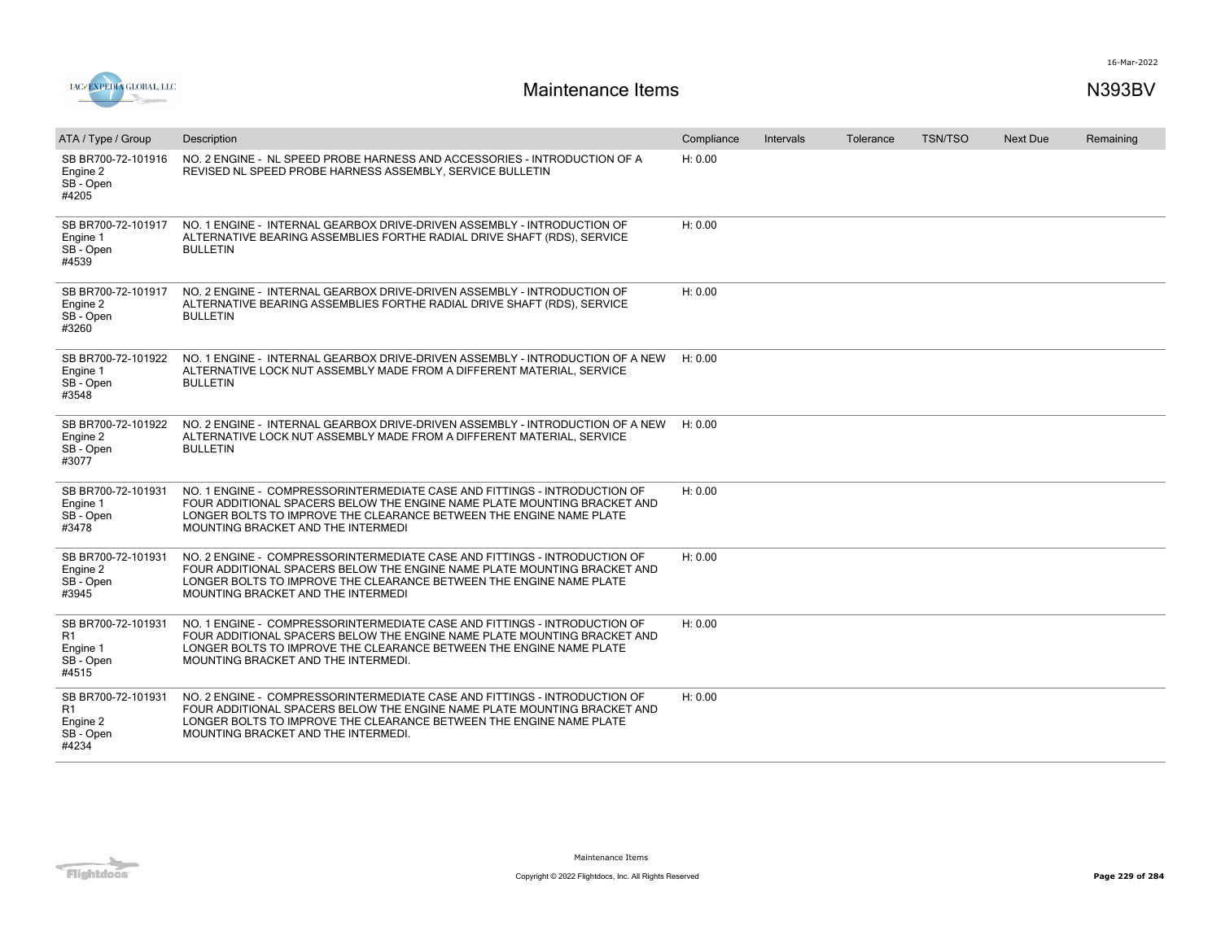

| ATA / Type / Group                                         | Description                                                                                                                                                                                                                                                         | Compliance | Intervals | Tolerance | <b>TSN/TSO</b> | Next Due | Remaining |
|------------------------------------------------------------|---------------------------------------------------------------------------------------------------------------------------------------------------------------------------------------------------------------------------------------------------------------------|------------|-----------|-----------|----------------|----------|-----------|
| SB BR700-72-101916<br>Engine 2<br>SB - Open<br>#4205       | NO. 2 ENGINE - NL SPEED PROBE HARNESS AND ACCESSORIES - INTRODUCTION OF A<br>REVISED NL SPEED PROBE HARNESS ASSEMBLY, SERVICE BULLETIN                                                                                                                              | H: 0.00    |           |           |                |          |           |
| SB BR700-72-101917<br>Engine 1<br>SB - Open<br>#4539       | NO. 1 ENGINE - INTERNAL GEARBOX DRIVE-DRIVEN ASSEMBLY - INTRODUCTION OF<br>ALTERNATIVE BEARING ASSEMBLIES FORTHE RADIAL DRIVE SHAFT (RDS), SERVICE<br><b>BULLETIN</b>                                                                                               | H: 0.00    |           |           |                |          |           |
| SB BR700-72-101917<br>Engine 2<br>SB - Open<br>#3260       | NO. 2 ENGINE - INTERNAL GEARBOX DRIVE-DRIVEN ASSEMBLY - INTRODUCTION OF<br>ALTERNATIVE BEARING ASSEMBLIES FORTHE RADIAL DRIVE SHAFT (RDS), SERVICE<br><b>BULLETIN</b>                                                                                               | H: 0.00    |           |           |                |          |           |
| SB BR700-72-101922<br>Engine 1<br>SB - Open<br>#3548       | NO. 1 ENGINE - INTERNAL GEARBOX DRIVE-DRIVEN ASSEMBLY - INTRODUCTION OF A NEW<br>ALTERNATIVE LOCK NUT ASSEMBLY MADE FROM A DIFFERENT MATERIAL, SERVICE<br><b>BULLETIN</b>                                                                                           | H: 0.00    |           |           |                |          |           |
| SB BR700-72-101922<br>Engine 2<br>SB - Open<br>#3077       | NO. 2 ENGINE - INTERNAL GEARBOX DRIVE-DRIVEN ASSEMBLY - INTRODUCTION OF A NEW<br>ALTERNATIVE LOCK NUT ASSEMBLY MADE FROM A DIFFERENT MATERIAL, SERVICE<br><b>BULLETIN</b>                                                                                           | H: 0.00    |           |           |                |          |           |
| SB BR700-72-101931<br>Engine 1<br>SB - Open<br>#3478       | NO. 1 ENGINE - COMPRESSORINTERMEDIATE CASE AND FITTINGS - INTRODUCTION OF<br>FOUR ADDITIONAL SPACERS BELOW THE ENGINE NAME PLATE MOUNTING BRACKET AND<br>LONGER BOLTS TO IMPROVE THE CLEARANCE BETWEEN THE ENGINE NAME PLATE<br>MOUNTING BRACKET AND THE INTERMEDI  | H: 0.00    |           |           |                |          |           |
| SB BR700-72-101931<br>Engine 2<br>SB - Open<br>#3945       | NO. 2 ENGINE - COMPRESSORINTERMEDIATE CASE AND FITTINGS - INTRODUCTION OF<br>FOUR ADDITIONAL SPACERS BELOW THE ENGINE NAME PLATE MOUNTING BRACKET AND<br>LONGER BOLTS TO IMPROVE THE CLEARANCE BETWEEN THE ENGINE NAME PLATE<br>MOUNTING BRACKET AND THE INTERMEDI  | H: 0.00    |           |           |                |          |           |
| SB BR700-72-101931<br>R1<br>Engine 1<br>SB - Open<br>#4515 | NO. 1 ENGINE - COMPRESSORINTERMEDIATE CASE AND FITTINGS - INTRODUCTION OF<br>FOUR ADDITIONAL SPACERS BELOW THE ENGINE NAME PLATE MOUNTING BRACKET AND<br>LONGER BOLTS TO IMPROVE THE CLEARANCE BETWEEN THE ENGINE NAME PLATE<br>MOUNTING BRACKET AND THE INTERMEDI. | H: 0.00    |           |           |                |          |           |
| SB BR700-72-101931<br>R1<br>Engine 2<br>SB - Open<br>#4234 | NO. 2 ENGINE - COMPRESSORINTERMEDIATE CASE AND FITTINGS - INTRODUCTION OF<br>FOUR ADDITIONAL SPACERS BELOW THE ENGINE NAME PLATE MOUNTING BRACKET AND<br>LONGER BOLTS TO IMPROVE THE CLEARANCE BETWEEN THE ENGINE NAME PLATE<br>MOUNTING BRACKET AND THE INTERMEDI. | H: 0.00    |           |           |                |          |           |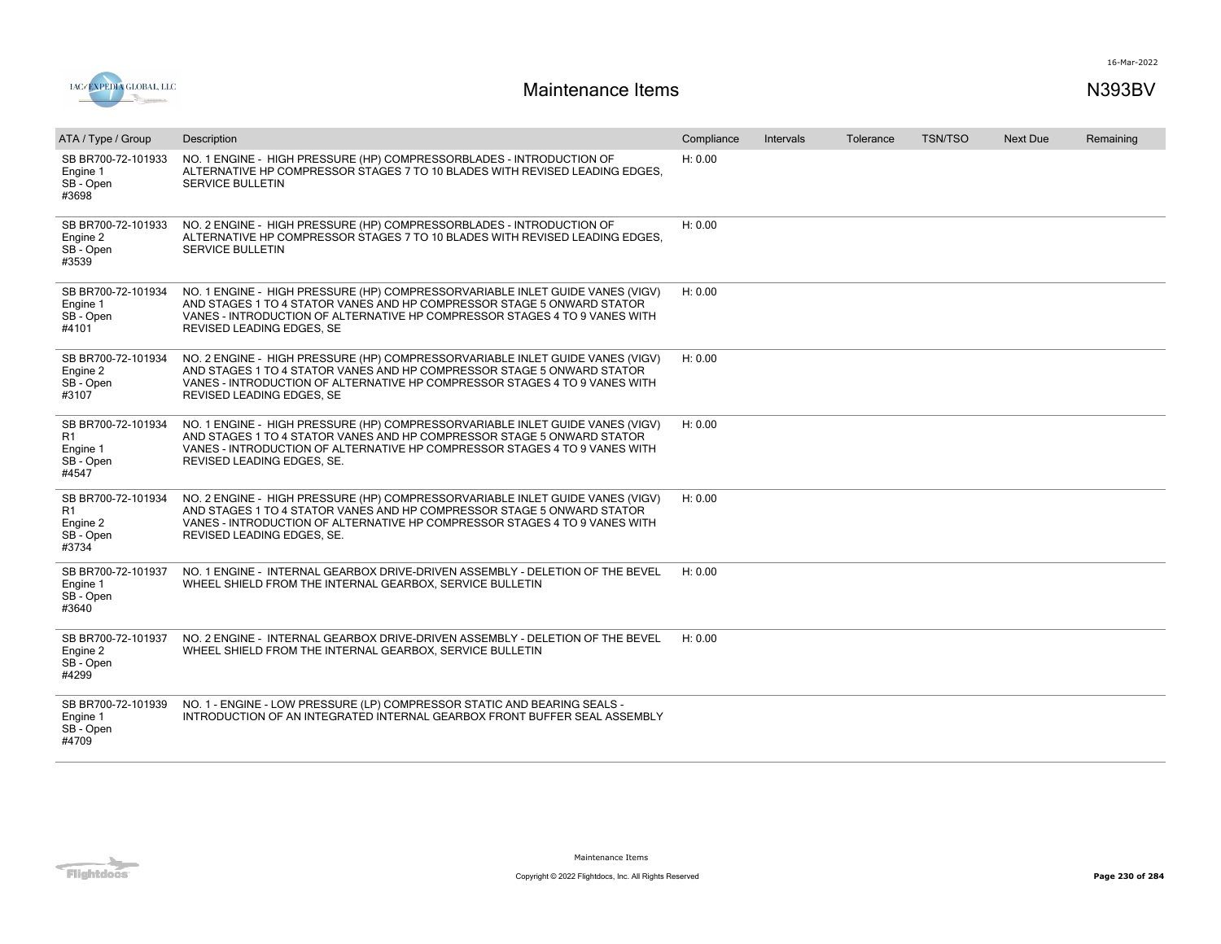

| ATA / Type / Group                                                     | Description                                                                                                                                                                                                                                                         | Compliance | Intervals | Tolerance | <b>TSN/TSO</b> | <b>Next Due</b> | Remaining |
|------------------------------------------------------------------------|---------------------------------------------------------------------------------------------------------------------------------------------------------------------------------------------------------------------------------------------------------------------|------------|-----------|-----------|----------------|-----------------|-----------|
| SB BR700-72-101933<br>Engine 1<br>SB - Open<br>#3698                   | NO. 1 ENGINE - HIGH PRESSURE (HP) COMPRESSORBLADES - INTRODUCTION OF<br>ALTERNATIVE HP COMPRESSOR STAGES 7 TO 10 BLADES WITH REVISED LEADING EDGES.<br><b>SERVICE BULLETIN</b>                                                                                      | H: 0.00    |           |           |                |                 |           |
| SB BR700-72-101933<br>Engine 2<br>SB - Open<br>#3539                   | NO. 2 ENGINE - HIGH PRESSURE (HP) COMPRESSORBLADES - INTRODUCTION OF<br>ALTERNATIVE HP COMPRESSOR STAGES 7 TO 10 BLADES WITH REVISED LEADING EDGES.<br><b>SERVICE BULLETIN</b>                                                                                      | H: 0.00    |           |           |                |                 |           |
| SB BR700-72-101934<br>Engine 1<br>SB - Open<br>#4101                   | NO. 1 ENGINE - HIGH PRESSURE (HP) COMPRESSORVARIABLE INLET GUIDE VANES (VIGV)<br>AND STAGES 1 TO 4 STATOR VANES AND HP COMPRESSOR STAGE 5 ONWARD STATOR<br>VANES - INTRODUCTION OF ALTERNATIVE HP COMPRESSOR STAGES 4 TO 9 VANES WITH<br>REVISED LEADING EDGES, SE  | H: 0.00    |           |           |                |                 |           |
| SB BR700-72-101934<br>Engine 2<br>SB - Open<br>#3107                   | NO. 2 ENGINE - HIGH PRESSURE (HP) COMPRESSORVARIABLE INLET GUIDE VANES (VIGV)<br>AND STAGES 1 TO 4 STATOR VANES AND HP COMPRESSOR STAGE 5 ONWARD STATOR<br>VANES - INTRODUCTION OF ALTERNATIVE HP COMPRESSOR STAGES 4 TO 9 VANES WITH<br>REVISED LEADING EDGES, SE  | H: 0.00    |           |           |                |                 |           |
| SB BR700-72-101934<br>R <sub>1</sub><br>Engine 1<br>SB - Open<br>#4547 | NO. 1 ENGINE - HIGH PRESSURE (HP) COMPRESSORVARIABLE INLET GUIDE VANES (VIGV)<br>AND STAGES 1 TO 4 STATOR VANES AND HP COMPRESSOR STAGE 5 ONWARD STATOR<br>VANES - INTRODUCTION OF ALTERNATIVE HP COMPRESSOR STAGES 4 TO 9 VANES WITH<br>REVISED LEADING EDGES, SE. | H: 0.00    |           |           |                |                 |           |
| SB BR700-72-101934<br>R1<br>Engine 2<br>SB - Open<br>#3734             | NO. 2 ENGINE - HIGH PRESSURE (HP) COMPRESSORVARIABLE INLET GUIDE VANES (VIGV)<br>AND STAGES 1 TO 4 STATOR VANES AND HP COMPRESSOR STAGE 5 ONWARD STATOR<br>VANES - INTRODUCTION OF ALTERNATIVE HP COMPRESSOR STAGES 4 TO 9 VANES WITH<br>REVISED LEADING EDGES, SE. | H: 0.00    |           |           |                |                 |           |
| SB BR700-72-101937<br>Engine 1<br>SB - Open<br>#3640                   | NO. 1 ENGINE - INTERNAL GEARBOX DRIVE-DRIVEN ASSEMBLY - DELETION OF THE BEVEL<br>WHEEL SHIELD FROM THE INTERNAL GEARBOX, SERVICE BULLETIN                                                                                                                           | H: 0.00    |           |           |                |                 |           |
| SB BR700-72-101937<br>Engine 2<br>SB - Open<br>#4299                   | NO. 2 ENGINE - INTERNAL GEARBOX DRIVE-DRIVEN ASSEMBLY - DELETION OF THE BEVEL<br>WHEEL SHIELD FROM THE INTERNAL GEARBOX, SERVICE BULLETIN                                                                                                                           | H: 0.00    |           |           |                |                 |           |
| SB BR700-72-101939<br>Engine 1<br>SB - Open<br>#4709                   | NO. 1 - ENGINE - LOW PRESSURE (LP) COMPRESSOR STATIC AND BEARING SEALS -<br>INTRODUCTION OF AN INTEGRATED INTERNAL GEARBOX FRONT BUFFER SEAL ASSEMBLY                                                                                                               |            |           |           |                |                 |           |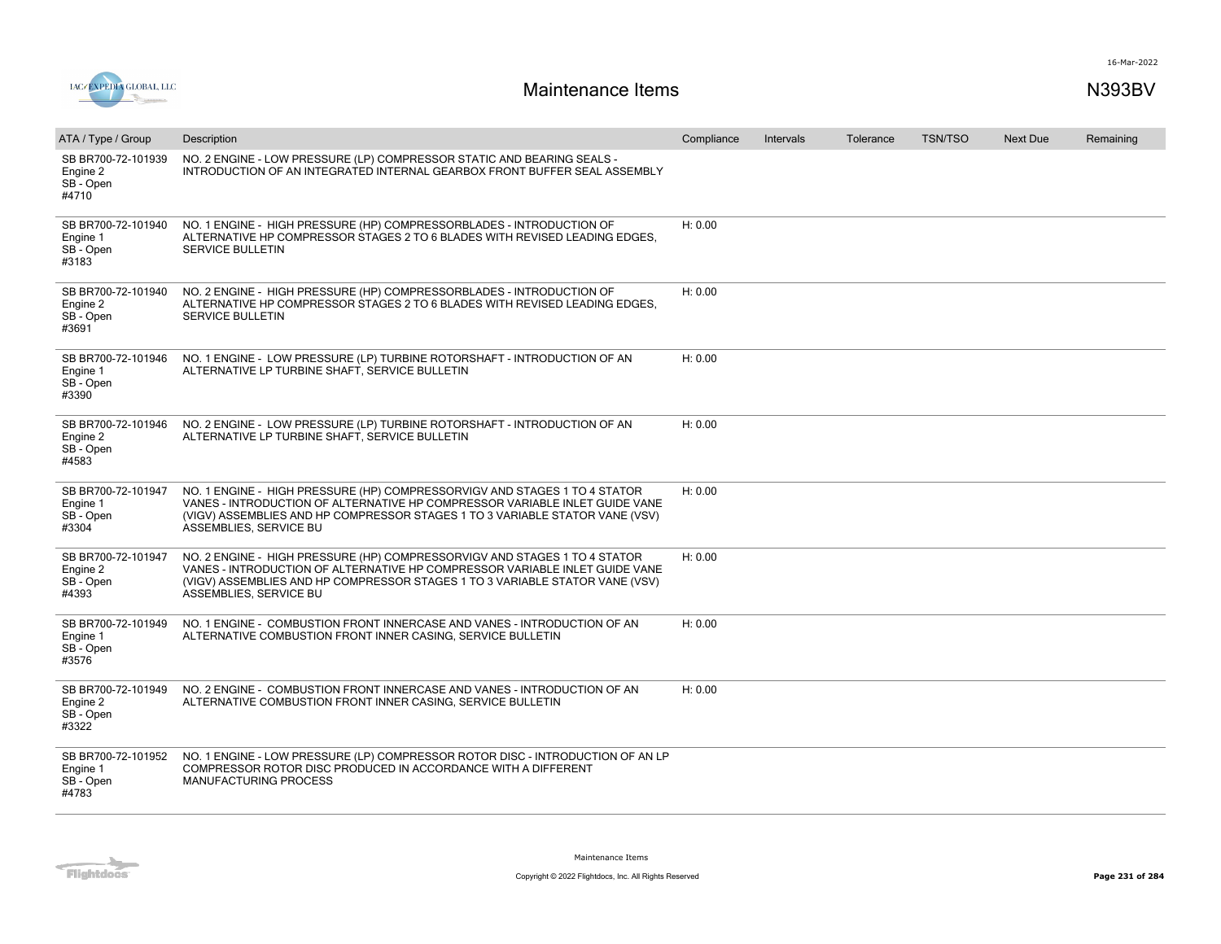



| ATA / Type / Group                                   | Description                                                                                                                                                                                                                                                        | Compliance | Intervals | Tolerance | <b>TSN/TSO</b> | <b>Next Due</b> | Remaining |
|------------------------------------------------------|--------------------------------------------------------------------------------------------------------------------------------------------------------------------------------------------------------------------------------------------------------------------|------------|-----------|-----------|----------------|-----------------|-----------|
| SB BR700-72-101939<br>Engine 2<br>SB - Open<br>#4710 | NO. 2 ENGINE - LOW PRESSURE (LP) COMPRESSOR STATIC AND BEARING SEALS -<br>INTRODUCTION OF AN INTEGRATED INTERNAL GEARBOX FRONT BUFFER SEAL ASSEMBLY                                                                                                                |            |           |           |                |                 |           |
| SB BR700-72-101940<br>Engine 1<br>SB - Open<br>#3183 | NO. 1 ENGINE - HIGH PRESSURE (HP) COMPRESSORBLADES - INTRODUCTION OF<br>ALTERNATIVE HP COMPRESSOR STAGES 2 TO 6 BLADES WITH REVISED LEADING EDGES.<br>SERVICE BULLETIN                                                                                             | H: 0.00    |           |           |                |                 |           |
| SB BR700-72-101940<br>Engine 2<br>SB - Open<br>#3691 | NO. 2 ENGINE - HIGH PRESSURE (HP) COMPRESSORBLADES - INTRODUCTION OF<br>ALTERNATIVE HP COMPRESSOR STAGES 2 TO 6 BLADES WITH REVISED LEADING EDGES.<br><b>SERVICE BULLETIN</b>                                                                                      | H: 0.00    |           |           |                |                 |           |
| SB BR700-72-101946<br>Engine 1<br>SB - Open<br>#3390 | NO. 1 ENGINE - LOW PRESSURE (LP) TURBINE ROTORSHAFT - INTRODUCTION OF AN<br>ALTERNATIVE LP TURBINE SHAFT, SERVICE BULLETIN                                                                                                                                         | H: 0.00    |           |           |                |                 |           |
| SB BR700-72-101946<br>Engine 2<br>SB - Open<br>#4583 | NO. 2 ENGINE - LOW PRESSURE (LP) TURBINE ROTORSHAFT - INTRODUCTION OF AN<br>ALTERNATIVE LP TURBINE SHAFT, SERVICE BULLETIN                                                                                                                                         | H: 0.00    |           |           |                |                 |           |
| SB BR700-72-101947<br>Engine 1<br>SB - Open<br>#3304 | NO. 1 ENGINE - HIGH PRESSURE (HP) COMPRESSORVIGV AND STAGES 1 TO 4 STATOR<br>VANES - INTRODUCTION OF ALTERNATIVE HP COMPRESSOR VARIABLE INLET GUIDE VANE<br>(VIGV) ASSEMBLIES AND HP COMPRESSOR STAGES 1 TO 3 VARIABLE STATOR VANE (VSV)<br>ASSEMBLIES, SERVICE BU | H: 0.00    |           |           |                |                 |           |
| SB BR700-72-101947<br>Engine 2<br>SB-Open<br>#4393   | NO. 2 ENGINE - HIGH PRESSURE (HP) COMPRESSORVIGV AND STAGES 1 TO 4 STATOR<br>VANES - INTRODUCTION OF ALTERNATIVE HP COMPRESSOR VARIABLE INLET GUIDE VANE<br>(VIGV) ASSEMBLIES AND HP COMPRESSOR STAGES 1 TO 3 VARIABLE STATOR VANE (VSV)<br>ASSEMBLIES, SERVICE BU | H: 0.00    |           |           |                |                 |           |
| SB BR700-72-101949<br>Engine 1<br>SB - Open<br>#3576 | NO. 1 ENGINE - COMBUSTION FRONT INNERCASE AND VANES - INTRODUCTION OF AN<br>ALTERNATIVE COMBUSTION FRONT INNER CASING, SERVICE BULLETIN                                                                                                                            | H: 0.00    |           |           |                |                 |           |
| SB BR700-72-101949<br>Engine 2<br>SB - Open<br>#3322 | NO. 2 ENGINE - COMBUSTION FRONT INNERCASE AND VANES - INTRODUCTION OF AN<br>ALTERNATIVE COMBUSTION FRONT INNER CASING, SERVICE BULLETIN                                                                                                                            | H: 0.00    |           |           |                |                 |           |
| SB BR700-72-101952<br>Engine 1<br>SB - Open<br>#4783 | NO. 1 ENGINE - LOW PRESSURE (LP) COMPRESSOR ROTOR DISC - INTRODUCTION OF AN LP<br>COMPRESSOR ROTOR DISC PRODUCED IN ACCORDANCE WITH A DIFFERENT<br>MANUFACTURING PROCESS                                                                                           |            |           |           |                |                 |           |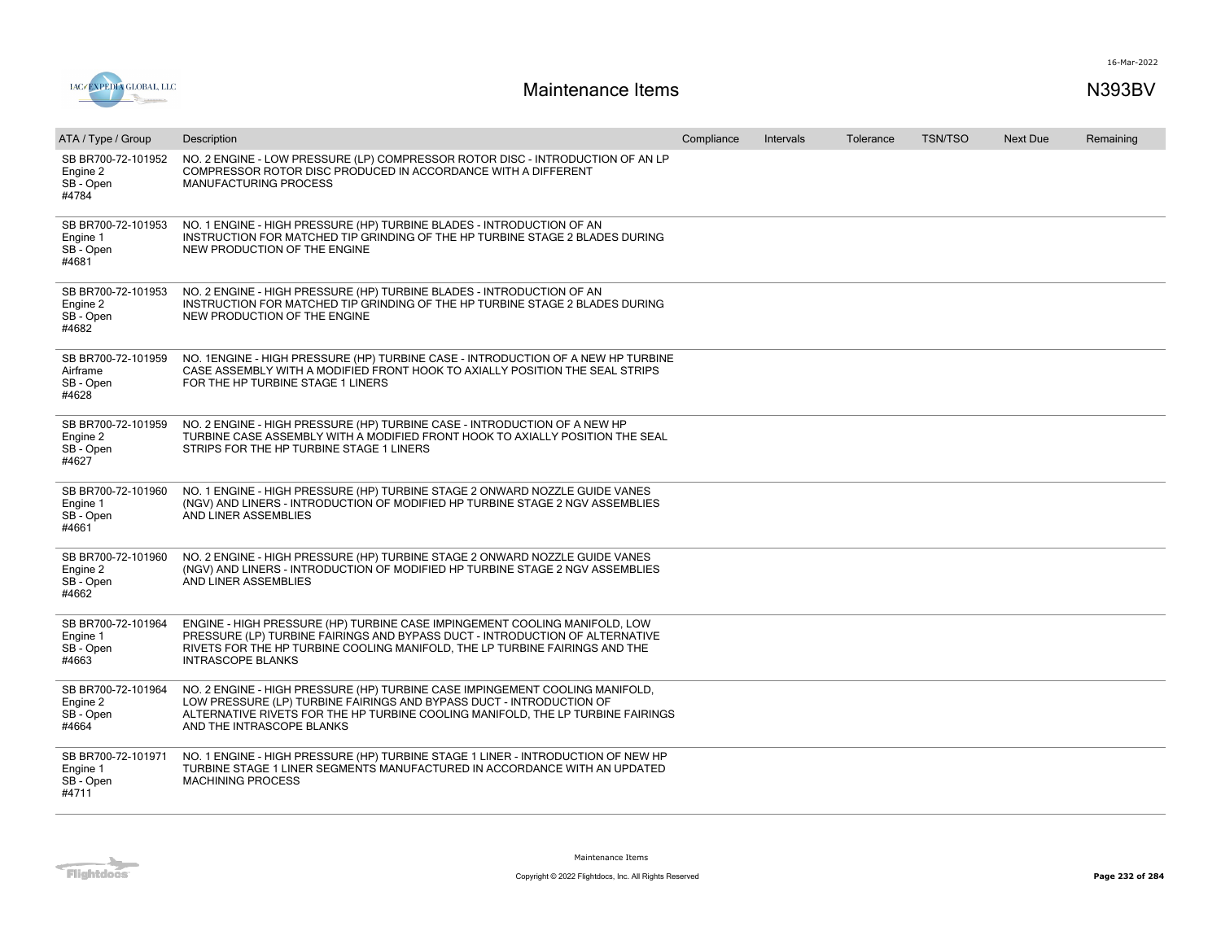



| ATA / Type / Group                                   | Description                                                                                                                                                                                                                                                           | Compliance | Intervals | Tolerance | <b>TSN/TSO</b> | <b>Next Due</b> | Remaining |
|------------------------------------------------------|-----------------------------------------------------------------------------------------------------------------------------------------------------------------------------------------------------------------------------------------------------------------------|------------|-----------|-----------|----------------|-----------------|-----------|
| SB BR700-72-101952<br>Engine 2<br>SB - Open<br>#4784 | NO. 2 ENGINE - LOW PRESSURE (LP) COMPRESSOR ROTOR DISC - INTRODUCTION OF AN LP<br>COMPRESSOR ROTOR DISC PRODUCED IN ACCORDANCE WITH A DIFFERENT<br>MANUFACTURING PROCESS                                                                                              |            |           |           |                |                 |           |
| SB BR700-72-101953<br>Engine 1<br>SB - Open<br>#4681 | NO. 1 ENGINE - HIGH PRESSURE (HP) TURBINE BLADES - INTRODUCTION OF AN<br>INSTRUCTION FOR MATCHED TIP GRINDING OF THE HP TURBINE STAGE 2 BLADES DURING<br>NEW PRODUCTION OF THE ENGINE                                                                                 |            |           |           |                |                 |           |
| SB BR700-72-101953<br>Engine 2<br>SB - Open<br>#4682 | NO. 2 ENGINE - HIGH PRESSURE (HP) TURBINE BLADES - INTRODUCTION OF AN<br>INSTRUCTION FOR MATCHED TIP GRINDING OF THE HP TURBINE STAGE 2 BLADES DURING<br>NEW PRODUCTION OF THE ENGINE                                                                                 |            |           |           |                |                 |           |
| SB BR700-72-101959<br>Airframe<br>SB - Open<br>#4628 | NO. 1ENGINE - HIGH PRESSURE (HP) TURBINE CASE - INTRODUCTION OF A NEW HP TURBINE<br>CASE ASSEMBLY WITH A MODIFIED FRONT HOOK TO AXIALLY POSITION THE SEAL STRIPS<br>FOR THE HP TURBINE STAGE 1 LINERS                                                                 |            |           |           |                |                 |           |
| SB BR700-72-101959<br>Engine 2<br>SB - Open<br>#4627 | NO. 2 ENGINE - HIGH PRESSURE (HP) TURBINE CASE - INTRODUCTION OF A NEW HP<br>TURBINE CASE ASSEMBLY WITH A MODIFIED FRONT HOOK TO AXIALLY POSITION THE SEAL<br>STRIPS FOR THE HP TURBINE STAGE 1 LINERS                                                                |            |           |           |                |                 |           |
| SB BR700-72-101960<br>Engine 1<br>SB - Open<br>#4661 | NO. 1 ENGINE - HIGH PRESSURE (HP) TURBINE STAGE 2 ONWARD NOZZLE GUIDE VANES<br>(NGV) AND LINERS - INTRODUCTION OF MODIFIED HP TURBINE STAGE 2 NGV ASSEMBLIES<br>AND LINER ASSEMBLIES                                                                                  |            |           |           |                |                 |           |
| SB BR700-72-101960<br>Engine 2<br>SB - Open<br>#4662 | NO. 2 ENGINE - HIGH PRESSURE (HP) TURBINE STAGE 2 ONWARD NOZZLE GUIDE VANES<br>(NGV) AND LINERS - INTRODUCTION OF MODIFIED HP TURBINE STAGE 2 NGV ASSEMBLIES<br>AND LINER ASSEMBLIES                                                                                  |            |           |           |                |                 |           |
| SB BR700-72-101964<br>Engine 1<br>SB - Open<br>#4663 | ENGINE - HIGH PRESSURE (HP) TURBINE CASE IMPINGEMENT COOLING MANIFOLD, LOW<br>PRESSURE (LP) TURBINE FAIRINGS AND BYPASS DUCT - INTRODUCTION OF ALTERNATIVE<br>RIVETS FOR THE HP TURBINE COOLING MANIFOLD, THE LP TURBINE FAIRINGS AND THE<br><b>INTRASCOPE BLANKS</b> |            |           |           |                |                 |           |
| SB BR700-72-101964<br>Engine 2<br>SB-Open<br>#4664   | NO. 2 ENGINE - HIGH PRESSURE (HP) TURBINE CASE IMPINGEMENT COOLING MANIFOLD,<br>LOW PRESSURE (LP) TURBINE FAIRINGS AND BYPASS DUCT - INTRODUCTION OF<br>ALTERNATIVE RIVETS FOR THE HP TURBINE COOLING MANIFOLD, THE LP TURBINE FAIRINGS<br>AND THE INTRASCOPE BLANKS  |            |           |           |                |                 |           |
| SB BR700-72-101971<br>Engine 1<br>SB - Open<br>#4711 | NO. 1 ENGINE - HIGH PRESSURE (HP) TURBINE STAGE 1 LINER - INTRODUCTION OF NEW HP<br>TURBINE STAGE 1 LINER SEGMENTS MANUFACTURED IN ACCORDANCE WITH AN UPDATED<br><b>MACHINING PROCESS</b>                                                                             |            |           |           |                |                 |           |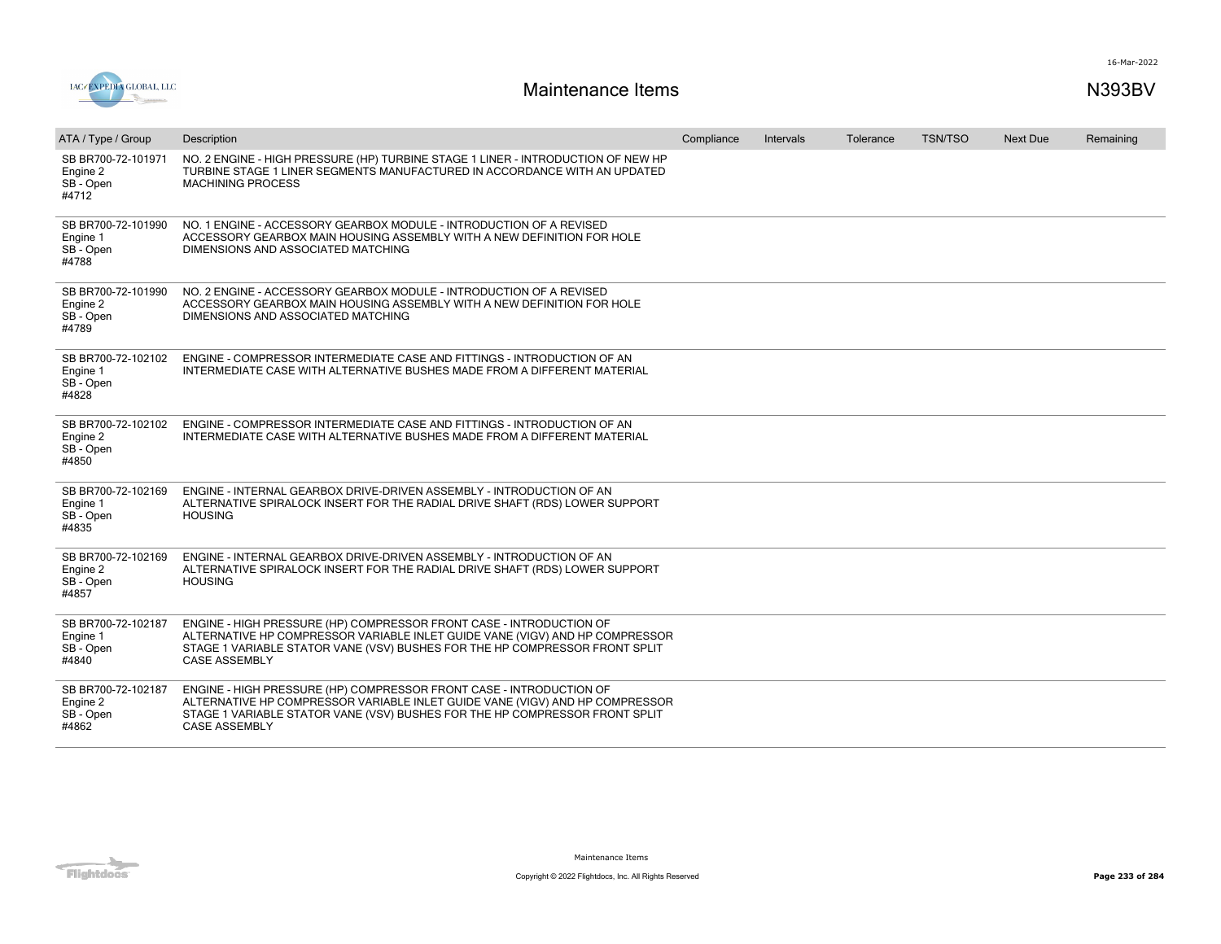



| ATA / Type / Group                                   | Description                                                                                                                                                                                                                                                | Compliance | Intervals | Tolerance | <b>TSN/TSO</b> | <b>Next Due</b> | Remaining |
|------------------------------------------------------|------------------------------------------------------------------------------------------------------------------------------------------------------------------------------------------------------------------------------------------------------------|------------|-----------|-----------|----------------|-----------------|-----------|
| SB BR700-72-101971<br>Engine 2<br>SB - Open<br>#4712 | NO. 2 ENGINE - HIGH PRESSURE (HP) TURBINE STAGE 1 LINER - INTRODUCTION OF NEW HP<br>TURBINE STAGE 1 LINER SEGMENTS MANUFACTURED IN ACCORDANCE WITH AN UPDATED<br><b>MACHINING PROCESS</b>                                                                  |            |           |           |                |                 |           |
| SB BR700-72-101990<br>Engine 1<br>SB - Open<br>#4788 | NO. 1 ENGINE - ACCESSORY GEARBOX MODULE - INTRODUCTION OF A REVISED<br>ACCESSORY GEARBOX MAIN HOUSING ASSEMBLY WITH A NEW DEFINITION FOR HOLE<br>DIMENSIONS AND ASSOCIATED MATCHING                                                                        |            |           |           |                |                 |           |
| SB BR700-72-101990<br>Engine 2<br>SB - Open<br>#4789 | NO. 2 ENGINE - ACCESSORY GEARBOX MODULE - INTRODUCTION OF A REVISED<br>ACCESSORY GEARBOX MAIN HOUSING ASSEMBLY WITH A NEW DEFINITION FOR HOLE<br>DIMENSIONS AND ASSOCIATED MATCHING                                                                        |            |           |           |                |                 |           |
| SB BR700-72-102102<br>Engine 1<br>SB - Open<br>#4828 | ENGINE - COMPRESSOR INTERMEDIATE CASE AND FITTINGS - INTRODUCTION OF AN<br>INTERMEDIATE CASE WITH ALTERNATIVE BUSHES MADE FROM A DIFFERENT MATERIAL                                                                                                        |            |           |           |                |                 |           |
| SB BR700-72-102102<br>Engine 2<br>SB - Open<br>#4850 | ENGINE - COMPRESSOR INTERMEDIATE CASE AND FITTINGS - INTRODUCTION OF AN<br>INTERMEDIATE CASE WITH ALTERNATIVE BUSHES MADE FROM A DIFFERENT MATERIAL                                                                                                        |            |           |           |                |                 |           |
| SB BR700-72-102169<br>Engine 1<br>SB - Open<br>#4835 | ENGINE - INTERNAL GEARBOX DRIVE-DRIVEN ASSEMBLY - INTRODUCTION OF AN<br>ALTERNATIVE SPIRALOCK INSERT FOR THE RADIAL DRIVE SHAFT (RDS) LOWER SUPPORT<br><b>HOUSING</b>                                                                                      |            |           |           |                |                 |           |
| SB BR700-72-102169<br>Engine 2<br>SB - Open<br>#4857 | ENGINE - INTERNAL GEARBOX DRIVE-DRIVEN ASSEMBLY - INTRODUCTION OF AN<br>ALTERNATIVE SPIRALOCK INSERT FOR THE RADIAL DRIVE SHAFT (RDS) LOWER SUPPORT<br><b>HOUSING</b>                                                                                      |            |           |           |                |                 |           |
| SB BR700-72-102187<br>Engine 1<br>SB - Open<br>#4840 | ENGINE - HIGH PRESSURE (HP) COMPRESSOR FRONT CASE - INTRODUCTION OF<br>ALTERNATIVE HP COMPRESSOR VARIABLE INLET GUIDE VANE (VIGV) AND HP COMPRESSOR<br>STAGE 1 VARIABLE STATOR VANE (VSV) BUSHES FOR THE HP COMPRESSOR FRONT SPLIT<br><b>CASE ASSEMBLY</b> |            |           |           |                |                 |           |
| SB BR700-72-102187<br>Engine 2<br>SB - Open<br>#4862 | ENGINE - HIGH PRESSURE (HP) COMPRESSOR FRONT CASE - INTRODUCTION OF<br>ALTERNATIVE HP COMPRESSOR VARIABLE INLET GUIDE VANE (VIGV) AND HP COMPRESSOR<br>STAGE 1 VARIABLE STATOR VANE (VSV) BUSHES FOR THE HP COMPRESSOR FRONT SPLIT<br><b>CASE ASSEMBLY</b> |            |           |           |                |                 |           |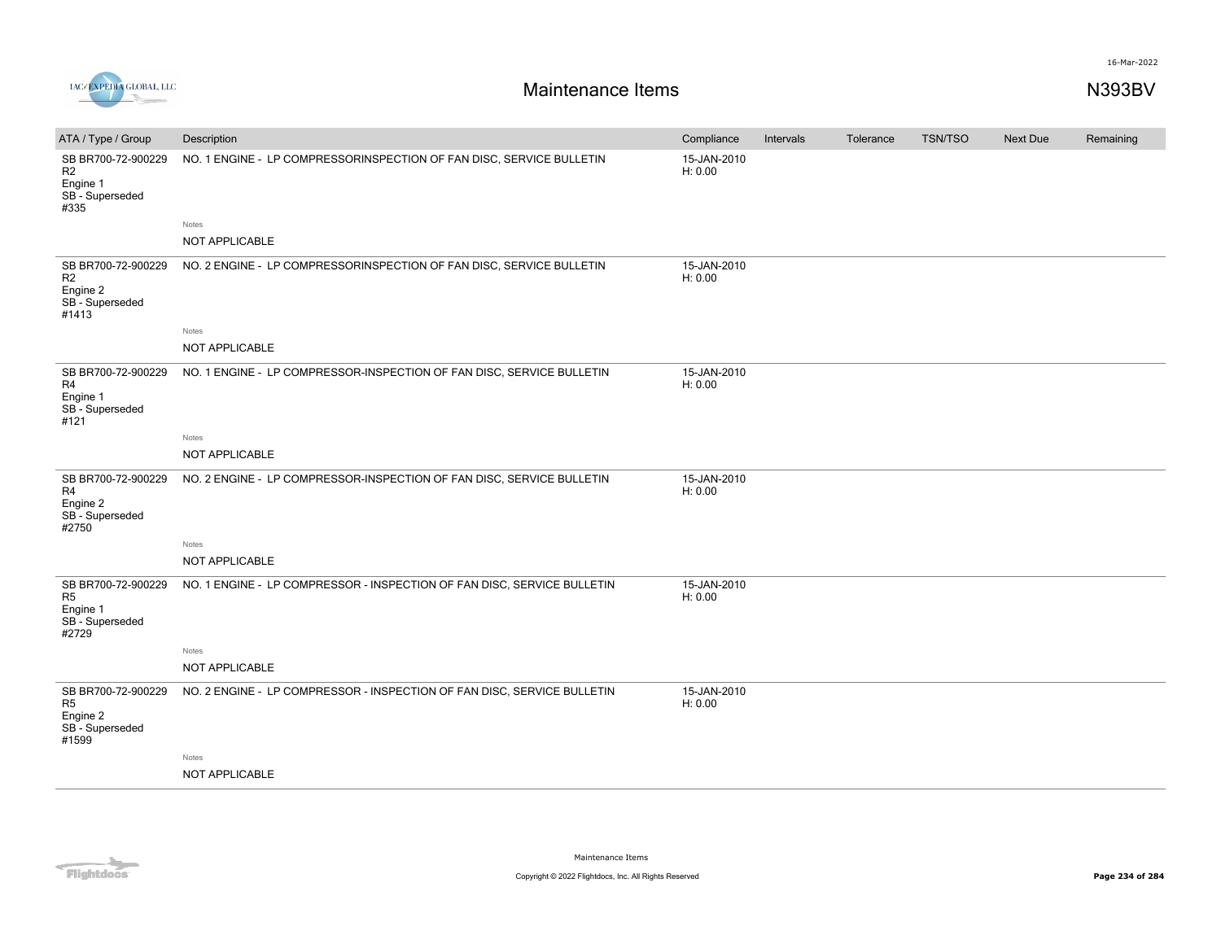16-Mar-2022



| ATA / Type / Group                                                           | Description                                                             | Compliance             | Intervals | Tolerance | <b>TSN/TSO</b> | <b>Next Due</b> | Remaining |
|------------------------------------------------------------------------------|-------------------------------------------------------------------------|------------------------|-----------|-----------|----------------|-----------------|-----------|
| SB BR700-72-900229<br>R <sub>2</sub><br>Engine 1<br>SB - Superseded<br>#335  | NO. 1 ENGINE - LP COMPRESSORINSPECTION OF FAN DISC, SERVICE BULLETIN    | 15-JAN-2010<br>H: 0.00 |           |           |                |                 |           |
|                                                                              | Notes                                                                   |                        |           |           |                |                 |           |
|                                                                              | NOT APPLICABLE                                                          |                        |           |           |                |                 |           |
| SB BR700-72-900229<br>R2<br>Engine 2<br>SB - Superseded<br>#1413             | NO. 2 ENGINE - LP COMPRESSORINSPECTION OF FAN DISC, SERVICE BULLETIN    | 15-JAN-2010<br>H: 0.00 |           |           |                |                 |           |
|                                                                              | Notes<br>NOT APPLICABLE                                                 |                        |           |           |                |                 |           |
|                                                                              |                                                                         |                        |           |           |                |                 |           |
| SB BR700-72-900229<br>R4                                                     | NO. 1 ENGINE - LP COMPRESSOR-INSPECTION OF FAN DISC, SERVICE BULLETIN   | 15-JAN-2010<br>H: 0.00 |           |           |                |                 |           |
| Engine 1<br>SB-Superseded<br>#121                                            |                                                                         |                        |           |           |                |                 |           |
|                                                                              | Notes                                                                   |                        |           |           |                |                 |           |
|                                                                              | NOT APPLICABLE                                                          |                        |           |           |                |                 |           |
| SB BR700-72-900229<br>R4<br>Engine 2<br>SB-Superseded<br>#2750               | NO. 2 ENGINE - LP COMPRESSOR-INSPECTION OF FAN DISC, SERVICE BULLETIN   | 15-JAN-2010<br>H: 0.00 |           |           |                |                 |           |
|                                                                              | Notes                                                                   |                        |           |           |                |                 |           |
|                                                                              | NOT APPLICABLE                                                          |                        |           |           |                |                 |           |
| SB BR700-72-900229<br>R <sub>5</sub><br>Engine 1<br>SB-Superseded<br>#2729   | NO. 1 ENGINE - LP COMPRESSOR - INSPECTION OF FAN DISC, SERVICE BULLETIN | 15-JAN-2010<br>H: 0.00 |           |           |                |                 |           |
|                                                                              | Notes                                                                   |                        |           |           |                |                 |           |
|                                                                              | NOT APPLICABLE                                                          |                        |           |           |                |                 |           |
| SB BR700-72-900229<br>R <sub>5</sub><br>Engine 2<br>SB - Superseded<br>#1599 | NO. 2 ENGINE - LP COMPRESSOR - INSPECTION OF FAN DISC, SERVICE BULLETIN | 15-JAN-2010<br>H: 0.00 |           |           |                |                 |           |
|                                                                              | Notes                                                                   |                        |           |           |                |                 |           |
|                                                                              | NOT APPLICABLE                                                          |                        |           |           |                |                 |           |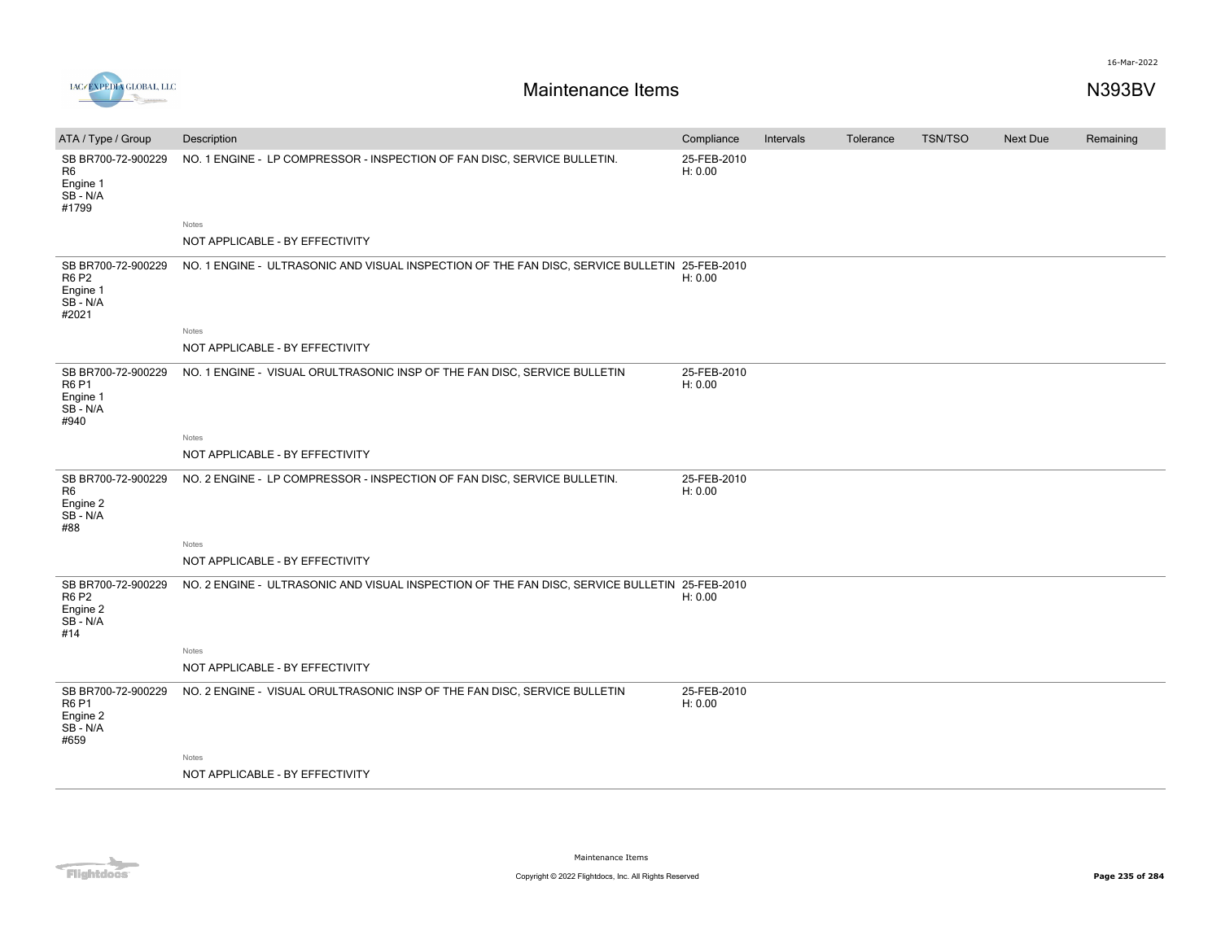



| ATA / Type / Group                                                  | Description                                                                                   | Compliance             | Intervals | Tolerance | <b>TSN/TSO</b> | Next Due | Remaining |
|---------------------------------------------------------------------|-----------------------------------------------------------------------------------------------|------------------------|-----------|-----------|----------------|----------|-----------|
| SB BR700-72-900229<br>R <sub>6</sub><br>Engine 1<br>SB-N/A<br>#1799 | NO. 1 ENGINE - LP COMPRESSOR - INSPECTION OF FAN DISC, SERVICE BULLETIN.                      | 25-FEB-2010<br>H: 0.00 |           |           |                |          |           |
|                                                                     | Notes                                                                                         |                        |           |           |                |          |           |
|                                                                     | NOT APPLICABLE - BY EFFECTIVITY                                                               |                        |           |           |                |          |           |
| SB BR700-72-900229<br><b>R6 P2</b><br>Engine 1<br>SB-N/A<br>#2021   | NO. 1 ENGINE - ULTRASONIC AND VISUAL INSPECTION OF THE FAN DISC, SERVICE BULLETIN 25-FEB-2010 | H: 0.00                |           |           |                |          |           |
|                                                                     | Notes                                                                                         |                        |           |           |                |          |           |
|                                                                     | NOT APPLICABLE - BY EFFECTIVITY                                                               |                        |           |           |                |          |           |
| SB BR700-72-900229<br><b>R6P1</b><br>Engine 1<br>$SB - N/A$<br>#940 | NO. 1 ENGINE - VISUAL ORULTRASONIC INSP OF THE FAN DISC, SERVICE BULLETIN                     | 25-FEB-2010<br>H: 0.00 |           |           |                |          |           |
|                                                                     | Notes                                                                                         |                        |           |           |                |          |           |
|                                                                     | NOT APPLICABLE - BY EFFECTIVITY                                                               |                        |           |           |                |          |           |
| SB BR700-72-900229<br>R <sub>6</sub><br>Engine 2<br>SB - N/A<br>#88 | NO. 2 ENGINE - LP COMPRESSOR - INSPECTION OF FAN DISC, SERVICE BULLETIN.                      | 25-FEB-2010<br>H: 0.00 |           |           |                |          |           |
|                                                                     | Notes                                                                                         |                        |           |           |                |          |           |
|                                                                     | NOT APPLICABLE - BY EFFECTIVITY                                                               |                        |           |           |                |          |           |
| SB BR700-72-900229<br><b>R6 P2</b><br>Engine 2<br>SB - N/A<br>#14   | NO. 2 ENGINE - ULTRASONIC AND VISUAL INSPECTION OF THE FAN DISC, SERVICE BULLETIN 25-FEB-2010 | H: 0.00                |           |           |                |          |           |
|                                                                     | Notes                                                                                         |                        |           |           |                |          |           |
|                                                                     | NOT APPLICABLE - BY EFFECTIVITY                                                               |                        |           |           |                |          |           |
| SB BR700-72-900229<br><b>R6 P1</b><br>Engine 2<br>SB - N/A<br>#659  | NO. 2 ENGINE - VISUAL ORULTRASONIC INSP OF THE FAN DISC, SERVICE BULLETIN                     | 25-FEB-2010<br>H: 0.00 |           |           |                |          |           |
|                                                                     | Notes                                                                                         |                        |           |           |                |          |           |
|                                                                     | NOT APPLICABLE - BY EFFECTIVITY                                                               |                        |           |           |                |          |           |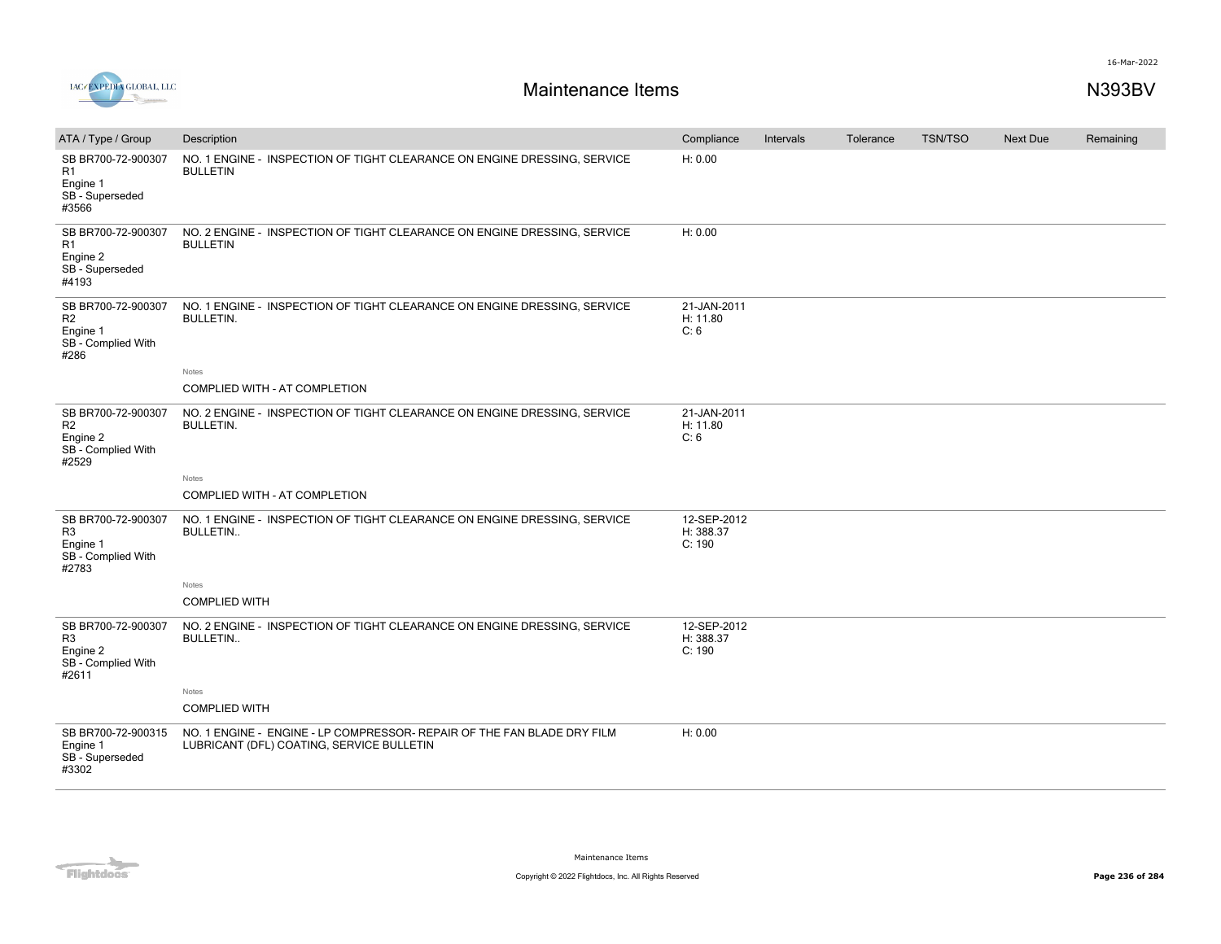

| ATA / Type / Group                                                              | Description                                                                                                          | Compliance                         | Intervals | Tolerance | <b>TSN/TSO</b> | <b>Next Due</b> | Remaining |
|---------------------------------------------------------------------------------|----------------------------------------------------------------------------------------------------------------------|------------------------------------|-----------|-----------|----------------|-----------------|-----------|
| SB BR700-72-900307<br>R1<br>Engine 1<br>SB - Superseded<br>#3566                | NO. 1 ENGINE - INSPECTION OF TIGHT CLEARANCE ON ENGINE DRESSING, SERVICE<br><b>BULLETIN</b>                          | H: 0.00                            |           |           |                |                 |           |
| SB BR700-72-900307<br>R1<br>Engine 2<br>SB - Superseded<br>#4193                | NO. 2 ENGINE - INSPECTION OF TIGHT CLEARANCE ON ENGINE DRESSING, SERVICE<br><b>BULLETIN</b>                          | H: 0.00                            |           |           |                |                 |           |
| SB BR700-72-900307<br>R2<br>Engine 1<br>SB - Complied With<br>#286              | NO. 1 ENGINE - INSPECTION OF TIGHT CLEARANCE ON ENGINE DRESSING, SERVICE<br><b>BULLETIN.</b>                         | 21-JAN-2011<br>H: 11.80<br>C: 6    |           |           |                |                 |           |
|                                                                                 | Notes<br>COMPLIED WITH - AT COMPLETION                                                                               |                                    |           |           |                |                 |           |
|                                                                                 |                                                                                                                      |                                    |           |           |                |                 |           |
| SB BR700-72-900307<br>R <sub>2</sub><br>Engine 2<br>SB - Complied With<br>#2529 | NO. 2 ENGINE - INSPECTION OF TIGHT CLEARANCE ON ENGINE DRESSING, SERVICE<br><b>BULLETIN.</b>                         | 21-JAN-2011<br>H: 11.80<br>C: 6    |           |           |                |                 |           |
|                                                                                 | Notes                                                                                                                |                                    |           |           |                |                 |           |
|                                                                                 | <b>COMPLIED WITH - AT COMPLETION</b>                                                                                 |                                    |           |           |                |                 |           |
| SB BR700-72-900307<br>R <sub>3</sub><br>Engine 1<br>SB - Complied With<br>#2783 | NO. 1 ENGINE - INSPECTION OF TIGHT CLEARANCE ON ENGINE DRESSING, SERVICE<br><b>BULLETIN</b>                          | 12-SEP-2012<br>H: 388.37<br>C: 190 |           |           |                |                 |           |
|                                                                                 | Notes                                                                                                                |                                    |           |           |                |                 |           |
|                                                                                 | <b>COMPLIED WITH</b>                                                                                                 |                                    |           |           |                |                 |           |
| SB BR700-72-900307<br>R <sub>3</sub><br>Engine 2<br>SB - Complied With<br>#2611 | NO. 2 ENGINE - INSPECTION OF TIGHT CLEARANCE ON ENGINE DRESSING, SERVICE<br><b>BULLETIN</b>                          | 12-SEP-2012<br>H: 388.37<br>C: 190 |           |           |                |                 |           |
|                                                                                 | Notes                                                                                                                |                                    |           |           |                |                 |           |
|                                                                                 | <b>COMPLIED WITH</b>                                                                                                 |                                    |           |           |                |                 |           |
| SB BR700-72-900315<br>Engine 1<br>SB - Superseded<br>#3302                      | NO. 1 ENGINE - ENGINE - LP COMPRESSOR- REPAIR OF THE FAN BLADE DRY FILM<br>LUBRICANT (DFL) COATING, SERVICE BULLETIN | H: 0.00                            |           |           |                |                 |           |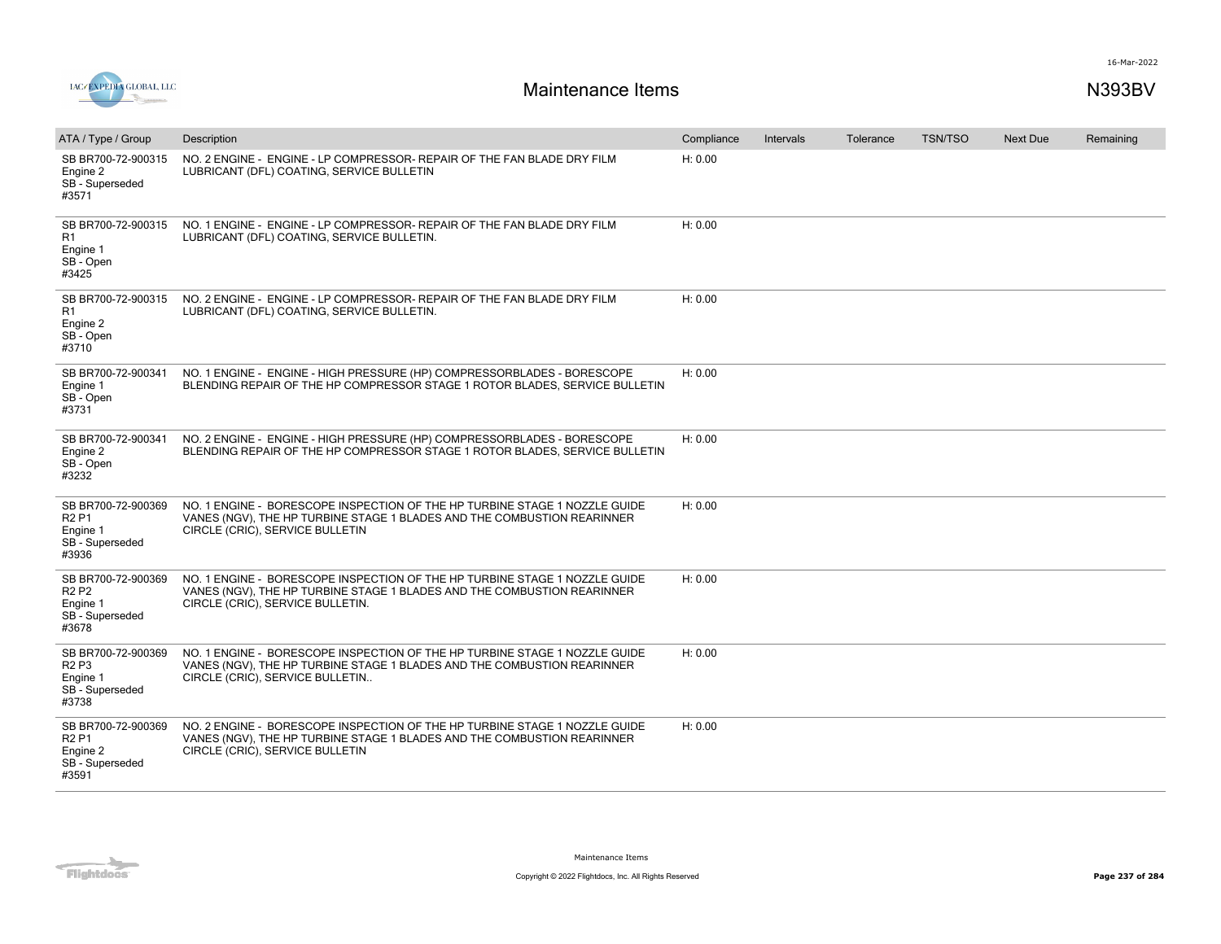

| ATA / Type / Group                                                        | Description                                                                                                                                                                               | Compliance | Intervals | Tolerance | <b>TSN/TSO</b> | <b>Next Due</b> | Remaining |
|---------------------------------------------------------------------------|-------------------------------------------------------------------------------------------------------------------------------------------------------------------------------------------|------------|-----------|-----------|----------------|-----------------|-----------|
| SB BR700-72-900315<br>Engine 2<br>SB - Superseded<br>#3571                | NO. 2 ENGINE - ENGINE - LP COMPRESSOR- REPAIR OF THE FAN BLADE DRY FILM<br>LUBRICANT (DFL) COATING, SERVICE BULLETIN                                                                      | H: 0.00    |           |           |                |                 |           |
| SB BR700-72-900315<br>R <sub>1</sub><br>Engine 1<br>SB - Open<br>#3425    | NO. 1 ENGINE - ENGINE - LP COMPRESSOR- REPAIR OF THE FAN BLADE DRY FILM<br>LUBRICANT (DFL) COATING, SERVICE BULLETIN.                                                                     | H: 0.00    |           |           |                |                 |           |
| SB BR700-72-900315<br>R1<br>Engine 2<br>SB - Open<br>#3710                | NO. 2 ENGINE - ENGINE - LP COMPRESSOR- REPAIR OF THE FAN BLADE DRY FILM<br>LUBRICANT (DFL) COATING, SERVICE BULLETIN.                                                                     | H: 0.00    |           |           |                |                 |           |
| SB BR700-72-900341<br>Engine 1<br>SB - Open<br>#3731                      | NO. 1 ENGINE - ENGINE - HIGH PRESSURE (HP) COMPRESSORBLADES - BORESCOPE<br>BLENDING REPAIR OF THE HP COMPRESSOR STAGE 1 ROTOR BLADES, SERVICE BULLETIN                                    | H: 0.00    |           |           |                |                 |           |
| SB BR700-72-900341<br>Engine 2<br>SB - Open<br>#3232                      | NO. 2 ENGINE - ENGINE - HIGH PRESSURE (HP) COMPRESSORBLADES - BORESCOPE<br>BLENDING REPAIR OF THE HP COMPRESSOR STAGE 1 ROTOR BLADES, SERVICE BULLETIN                                    | H: 0.00    |           |           |                |                 |           |
| SB BR700-72-900369<br><b>R2P1</b><br>Engine 1<br>SB - Superseded<br>#3936 | NO. 1 ENGINE - BORESCOPE INSPECTION OF THE HP TURBINE STAGE 1 NOZZLE GUIDE<br>VANES (NGV), THE HP TURBINE STAGE 1 BLADES AND THE COMBUSTION REARINNER<br>CIRCLE (CRIC), SERVICE BULLETIN  | H: 0.00    |           |           |                |                 |           |
| SB BR700-72-900369<br><b>R2P2</b><br>Engine 1<br>SB - Superseded<br>#3678 | NO. 1 ENGINE - BORESCOPE INSPECTION OF THE HP TURBINE STAGE 1 NOZZLE GUIDE<br>VANES (NGV), THE HP TURBINE STAGE 1 BLADES AND THE COMBUSTION REARINNER<br>CIRCLE (CRIC), SERVICE BULLETIN. | H: 0.00    |           |           |                |                 |           |
| SB BR700-72-900369<br><b>R2P3</b><br>Engine 1<br>SB - Superseded<br>#3738 | NO. 1 ENGINE - BORESCOPE INSPECTION OF THE HP TURBINE STAGE 1 NOZZLE GUIDE<br>VANES (NGV), THE HP TURBINE STAGE 1 BLADES AND THE COMBUSTION REARINNER<br>CIRCLE (CRIC), SERVICE BULLETIN  | H: 0.00    |           |           |                |                 |           |
| SB BR700-72-900369<br><b>R2P1</b><br>Engine 2<br>SB - Superseded<br>#3591 | NO. 2 ENGINE - BORESCOPE INSPECTION OF THE HP TURBINE STAGE 1 NOZZLE GUIDE<br>VANES (NGV), THE HP TURBINE STAGE 1 BLADES AND THE COMBUSTION REARINNER<br>CIRCLE (CRIC), SERVICE BULLETIN  | H: 0.00    |           |           |                |                 |           |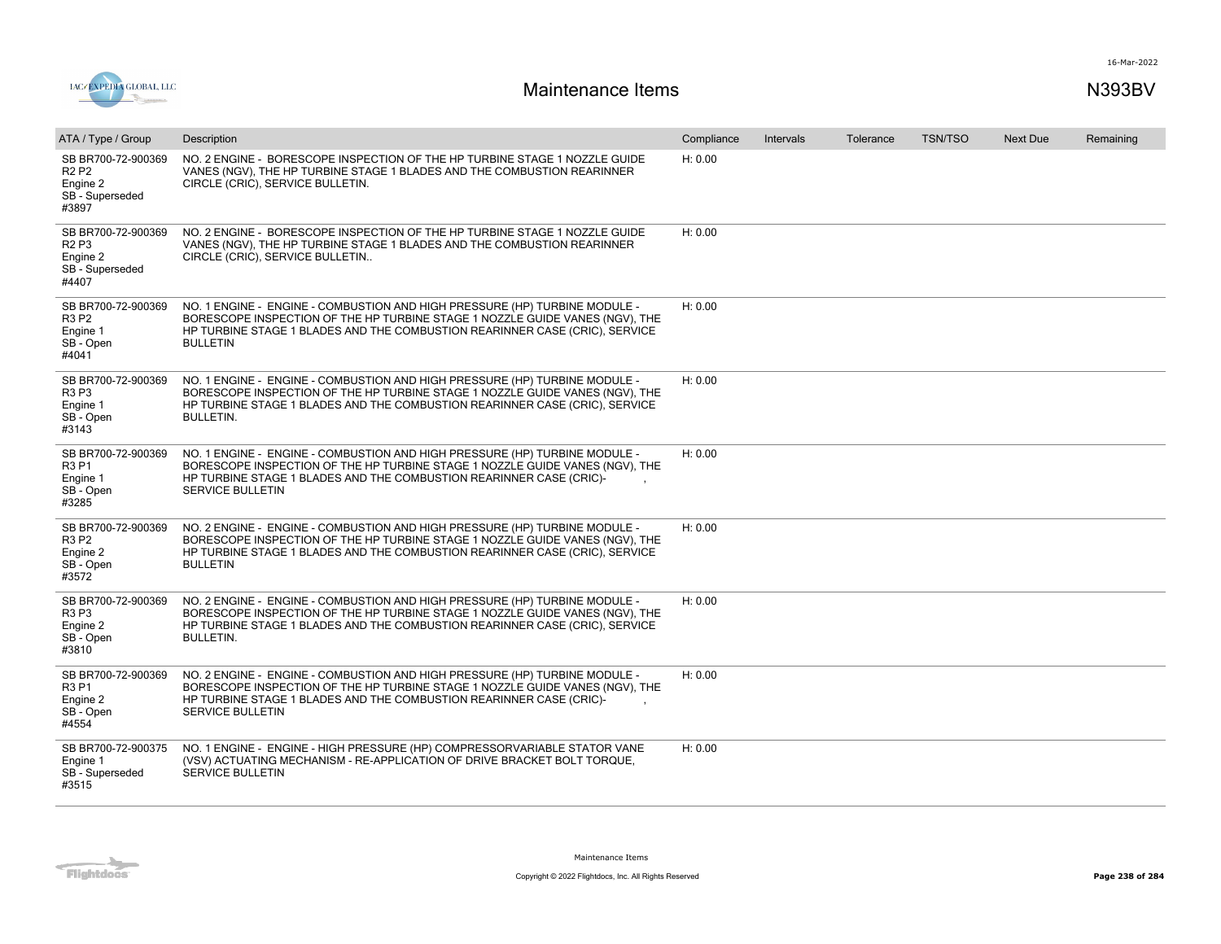

| ATA / Type / Group                                                                          | Description                                                                                                                                                                                                                                                   | Compliance | Intervals | Tolerance | <b>TSN/TSO</b> | <b>Next Due</b> | Remaining |
|---------------------------------------------------------------------------------------------|---------------------------------------------------------------------------------------------------------------------------------------------------------------------------------------------------------------------------------------------------------------|------------|-----------|-----------|----------------|-----------------|-----------|
| SB BR700-72-900369<br><b>R2P2</b><br>Engine 2<br>SB - Superseded<br>#3897                   | NO. 2 ENGINE - BORESCOPE INSPECTION OF THE HP TURBINE STAGE 1 NOZZLE GUIDE<br>VANES (NGV), THE HP TURBINE STAGE 1 BLADES AND THE COMBUSTION REARINNER<br>CIRCLE (CRIC), SERVICE BULLETIN.                                                                     | H: 0.00    |           |           |                |                 |           |
| SB BR700-72-900369<br>R <sub>2</sub> P <sub>3</sub><br>Engine 2<br>SB - Superseded<br>#4407 | NO. 2 ENGINE - BORESCOPE INSPECTION OF THE HP TURBINE STAGE 1 NOZZLE GUIDE<br>VANES (NGV), THE HP TURBINE STAGE 1 BLADES AND THE COMBUSTION REARINNER<br>CIRCLE (CRIC), SERVICE BULLETIN                                                                      | H: 0.00    |           |           |                |                 |           |
| SB BR700-72-900369<br><b>R3 P2</b><br>Engine 1<br>SB - Open<br>#4041                        | NO. 1 ENGINE - ENGINE - COMBUSTION AND HIGH PRESSURE (HP) TURBINE MODULE -<br>BORESCOPE INSPECTION OF THE HP TURBINE STAGE 1 NOZZLE GUIDE VANES (NGV), THE<br>HP TURBINE STAGE 1 BLADES AND THE COMBUSTION REARINNER CASE (CRIC), SERVICE<br><b>BULLETIN</b>  | H: 0.00    |           |           |                |                 |           |
| SB BR700-72-900369<br>R3 P3<br>Engine 1<br>SB - Open<br>#3143                               | NO. 1 ENGINE - ENGINE - COMBUSTION AND HIGH PRESSURE (HP) TURBINE MODULE -<br>BORESCOPE INSPECTION OF THE HP TURBINE STAGE 1 NOZZLE GUIDE VANES (NGV), THE<br>HP TURBINE STAGE 1 BLADES AND THE COMBUSTION REARINNER CASE (CRIC), SERVICE<br><b>BULLETIN.</b> | H: 0.00    |           |           |                |                 |           |
| SB BR700-72-900369<br><b>R3P1</b><br>Engine 1<br>SB - Open<br>#3285                         | NO. 1 ENGINE - ENGINE - COMBUSTION AND HIGH PRESSURE (HP) TURBINE MODULE -<br>BORESCOPE INSPECTION OF THE HP TURBINE STAGE 1 NOZZLE GUIDE VANES (NGV), THE<br>HP TURBINE STAGE 1 BLADES AND THE COMBUSTION REARINNER CASE (CRIC)-<br><b>SERVICE BULLETIN</b>  | H: 0.00    |           |           |                |                 |           |
| SB BR700-72-900369<br><b>R3 P2</b><br>Engine 2<br>SB - Open<br>#3572                        | NO. 2 ENGINE - ENGINE - COMBUSTION AND HIGH PRESSURE (HP) TURBINE MODULE -<br>BORESCOPE INSPECTION OF THE HP TURBINE STAGE 1 NOZZLE GUIDE VANES (NGV), THE<br>HP TURBINE STAGE 1 BLADES AND THE COMBUSTION REARINNER CASE (CRIC), SERVICE<br><b>BULLETIN</b>  | H: 0.00    |           |           |                |                 |           |
| SB BR700-72-900369<br>R3 P3<br>Engine 2<br>SB - Open<br>#3810                               | NO. 2 ENGINE - ENGINE - COMBUSTION AND HIGH PRESSURE (HP) TURBINE MODULE -<br>BORESCOPE INSPECTION OF THE HP TURBINE STAGE 1 NOZZLE GUIDE VANES (NGV), THE<br>HP TURBINE STAGE 1 BLADES AND THE COMBUSTION REARINNER CASE (CRIC), SERVICE<br><b>BULLETIN.</b> | H: 0.00    |           |           |                |                 |           |
| SB BR700-72-900369<br><b>R3P1</b><br>Engine 2<br>SB - Open<br>#4554                         | NO. 2 ENGINE - ENGINE - COMBUSTION AND HIGH PRESSURE (HP) TURBINE MODULE -<br>BORESCOPE INSPECTION OF THE HP TURBINE STAGE 1 NOZZLE GUIDE VANES (NGV), THE<br>HP TURBINE STAGE 1 BLADES AND THE COMBUSTION REARINNER CASE (CRIC)-<br><b>SERVICE BULLETIN</b>  | H: 0.00    |           |           |                |                 |           |
| SB BR700-72-900375<br>Engine 1<br>SB - Superseded<br>#3515                                  | NO. 1 ENGINE - ENGINE - HIGH PRESSURE (HP) COMPRESSORVARIABLE STATOR VANE<br>(VSV) ACTUATING MECHANISM - RE-APPLICATION OF DRIVE BRACKET BOLT TORQUE,<br><b>SERVICE BULLETIN</b>                                                                              | H: 0.00    |           |           |                |                 |           |

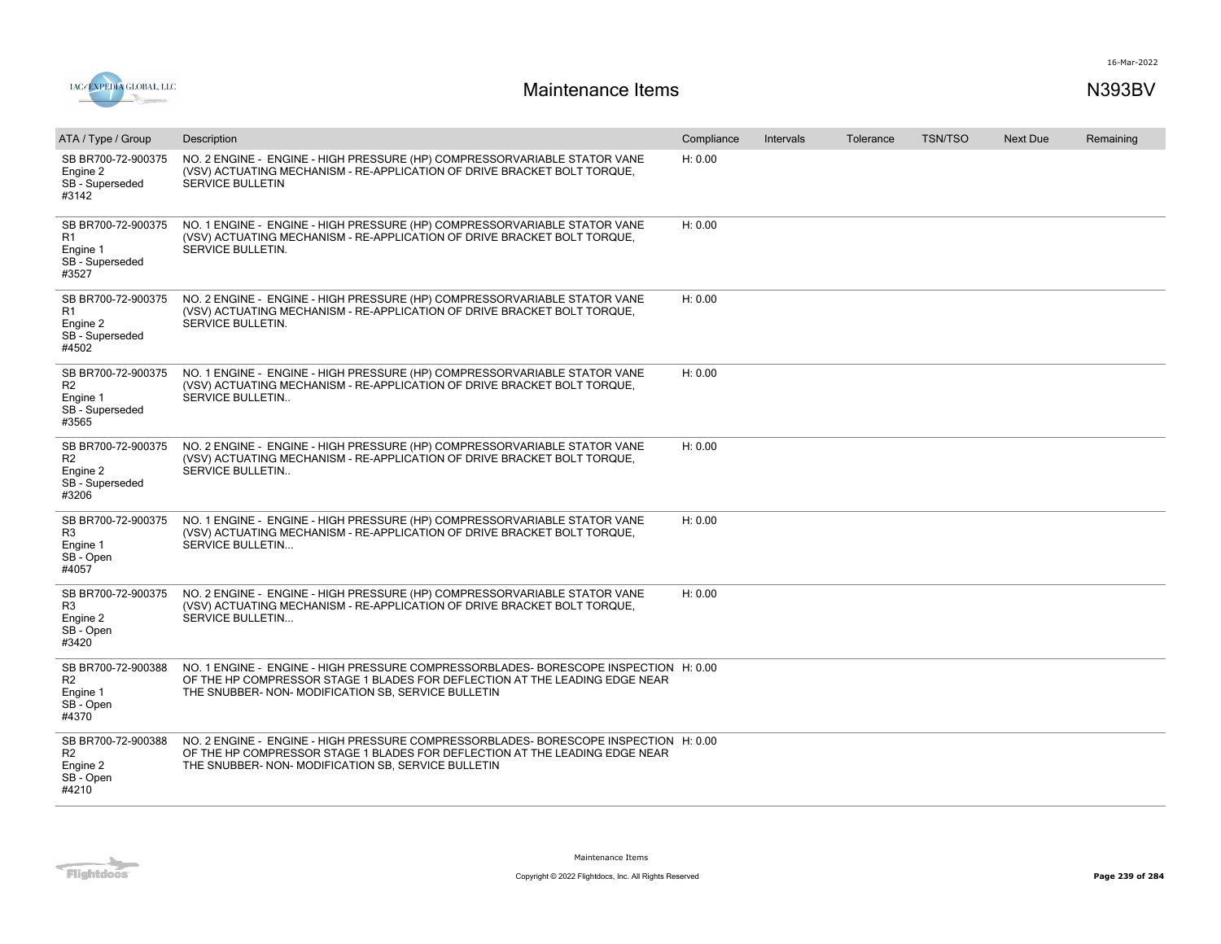

| ATA / Type / Group                                                           | Description                                                                                                                                                                                                              | Compliance | Intervals | Tolerance | <b>TSN/TSO</b> | <b>Next Due</b> | Remaining |
|------------------------------------------------------------------------------|--------------------------------------------------------------------------------------------------------------------------------------------------------------------------------------------------------------------------|------------|-----------|-----------|----------------|-----------------|-----------|
| SB BR700-72-900375<br>Engine 2<br>SB - Superseded<br>#3142                   | NO. 2 ENGINE - ENGINE - HIGH PRESSURE (HP) COMPRESSORVARIABLE STATOR VANE<br>(VSV) ACTUATING MECHANISM - RE-APPLICATION OF DRIVE BRACKET BOLT TORQUE,<br><b>SERVICE BULLETIN</b>                                         | H: 0.00    |           |           |                |                 |           |
| SB BR700-72-900375<br>R1<br>Engine 1<br>SB - Superseded<br>#3527             | NO. 1 ENGINE - ENGINE - HIGH PRESSURE (HP) COMPRESSORVARIABLE STATOR VANE<br>(VSV) ACTUATING MECHANISM - RE-APPLICATION OF DRIVE BRACKET BOLT TORQUE,<br>SERVICE BULLETIN.                                               | H: 0.00    |           |           |                |                 |           |
| SB BR700-72-900375<br>R1<br>Engine 2<br>SB - Superseded<br>#4502             | NO. 2 ENGINE - ENGINE - HIGH PRESSURE (HP) COMPRESSORVARIABLE STATOR VANE<br>(VSV) ACTUATING MECHANISM - RE-APPLICATION OF DRIVE BRACKET BOLT TORQUE,<br><b>SERVICE BULLETIN.</b>                                        | H: 0.00    |           |           |                |                 |           |
| SB BR700-72-900375<br>R <sub>2</sub><br>Engine 1<br>SB - Superseded<br>#3565 | NO. 1 ENGINE - ENGINE - HIGH PRESSURE (HP) COMPRESSORVARIABLE STATOR VANE<br>(VSV) ACTUATING MECHANISM - RE-APPLICATION OF DRIVE BRACKET BOLT TORQUE,<br>SERVICE BULLETIN                                                | H: 0.00    |           |           |                |                 |           |
| SB BR700-72-900375<br>R <sub>2</sub><br>Engine 2<br>SB - Superseded<br>#3206 | NO. 2 ENGINE - ENGINE - HIGH PRESSURE (HP) COMPRESSORVARIABLE STATOR VANE<br>(VSV) ACTUATING MECHANISM - RE-APPLICATION OF DRIVE BRACKET BOLT TORQUE,<br>SERVICE BULLETIN                                                | H: 0.00    |           |           |                |                 |           |
| SB BR700-72-900375<br>R <sub>3</sub><br>Engine 1<br>SB - Open<br>#4057       | NO. 1 ENGINE - ENGINE - HIGH PRESSURE (HP) COMPRESSORVARIABLE STATOR VANE<br>(VSV) ACTUATING MECHANISM - RE-APPLICATION OF DRIVE BRACKET BOLT TORQUE,<br>SERVICE BULLETIN                                                | H: 0.00    |           |           |                |                 |           |
| SB BR700-72-900375<br>R <sub>3</sub><br>Engine 2<br>SB - Open<br>#3420       | NO. 2 ENGINE - ENGINE - HIGH PRESSURE (HP) COMPRESSORVARIABLE STATOR VANE<br>(VSV) ACTUATING MECHANISM - RE-APPLICATION OF DRIVE BRACKET BOLT TORQUE,<br>SERVICE BULLETIN                                                | H: 0.00    |           |           |                |                 |           |
| SB BR700-72-900388<br>R2<br>Engine 1<br>SB - Open<br>#4370                   | NO. 1 ENGINE - ENGINE - HIGH PRESSURE COMPRESSORBLADES-BORESCOPE INSPECTION H: 0.00<br>OF THE HP COMPRESSOR STAGE 1 BLADES FOR DEFLECTION AT THE LEADING EDGE NEAR<br>THE SNUBBER- NON-MODIFICATION SB, SERVICE BULLETIN |            |           |           |                |                 |           |
| SB BR700-72-900388<br>R <sub>2</sub><br>Engine 2<br>SB - Open<br>#4210       | NO. 2 ENGINE - ENGINE - HIGH PRESSURE COMPRESSORBLADES-BORESCOPE INSPECTION H: 0.00<br>OF THE HP COMPRESSOR STAGE 1 BLADES FOR DEFLECTION AT THE LEADING EDGE NEAR<br>THE SNUBBER- NON-MODIFICATION SB, SERVICE BULLETIN |            |           |           |                |                 |           |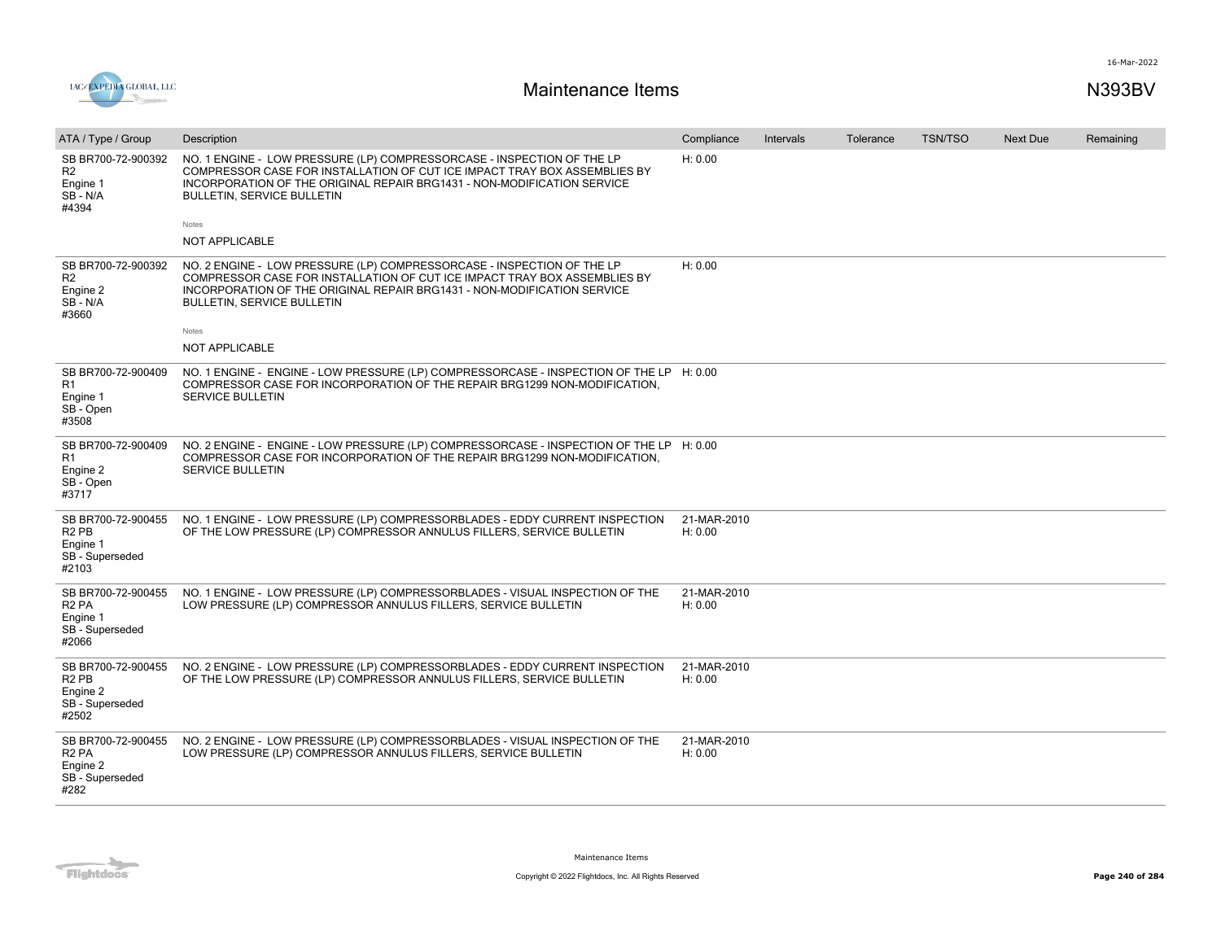

| ATA / Type / Group                                                                          | Description                                                                                                                                                                                                                                                                  | Compliance             | Intervals | Tolerance | <b>TSN/TSO</b> | <b>Next Due</b> | Remaining |
|---------------------------------------------------------------------------------------------|------------------------------------------------------------------------------------------------------------------------------------------------------------------------------------------------------------------------------------------------------------------------------|------------------------|-----------|-----------|----------------|-----------------|-----------|
| SB BR700-72-900392<br>R <sub>2</sub><br>Engine 1<br>SB-N/A<br>#4394                         | NO. 1 ENGINE - LOW PRESSURE (LP) COMPRESSORCASE - INSPECTION OF THE LP<br>COMPRESSOR CASE FOR INSTALLATION OF CUT ICE IMPACT TRAY BOX ASSEMBLIES BY<br>INCORPORATION OF THE ORIGINAL REPAIR BRG1431 - NON-MODIFICATION SERVICE<br><b>BULLETIN, SERVICE BULLETIN</b><br>Notes | H: 0.00                |           |           |                |                 |           |
|                                                                                             | NOT APPLICABLE                                                                                                                                                                                                                                                               |                        |           |           |                |                 |           |
| SB BR700-72-900392<br>R <sub>2</sub><br>Engine 2<br>SB-N/A<br>#3660                         | NO. 2 ENGINE - LOW PRESSURE (LP) COMPRESSORCASE - INSPECTION OF THE LP<br>COMPRESSOR CASE FOR INSTALLATION OF CUT ICE IMPACT TRAY BOX ASSEMBLIES BY<br>INCORPORATION OF THE ORIGINAL REPAIR BRG1431 - NON-MODIFICATION SERVICE<br><b>BULLETIN, SERVICE BULLETIN</b>          | H: 0.00                |           |           |                |                 |           |
|                                                                                             | Notes                                                                                                                                                                                                                                                                        |                        |           |           |                |                 |           |
|                                                                                             | NOT APPLICABLE                                                                                                                                                                                                                                                               |                        |           |           |                |                 |           |
| SB BR700-72-900409<br>R1<br>Engine 1<br>SB - Open<br>#3508                                  | NO. 1 ENGINE - ENGINE - LOW PRESSURE (LP) COMPRESSORCASE - INSPECTION OF THE LP H: 0.00<br>COMPRESSOR CASE FOR INCORPORATION OF THE REPAIR BRG1299 NON-MODIFICATION.<br>SERVICE BULLETIN                                                                                     |                        |           |           |                |                 |           |
| SB BR700-72-900409<br>R1<br>Engine 2<br>SB - Open<br>#3717                                  | NO. 2 ENGINE - ENGINE - LOW PRESSURE (LP) COMPRESSORCASE - INSPECTION OF THE LP H: 0.00<br>COMPRESSOR CASE FOR INCORPORATION OF THE REPAIR BRG1299 NON-MODIFICATION,<br><b>SERVICE BULLETIN</b>                                                                              |                        |           |           |                |                 |           |
| SB BR700-72-900455<br>R <sub>2</sub> P <sub>B</sub><br>Engine 1<br>SB - Superseded<br>#2103 | NO. 1 ENGINE - LOW PRESSURE (LP) COMPRESSORBLADES - EDDY CURRENT INSPECTION<br>OF THE LOW PRESSURE (LP) COMPRESSOR ANNULUS FILLERS, SERVICE BULLETIN                                                                                                                         | 21-MAR-2010<br>H: 0.00 |           |           |                |                 |           |
| SB BR700-72-900455<br>R <sub>2</sub> PA<br>Engine 1<br>SB - Superseded<br>#2066             | NO. 1 ENGINE - LOW PRESSURE (LP) COMPRESSORBLADES - VISUAL INSPECTION OF THE<br>LOW PRESSURE (LP) COMPRESSOR ANNULUS FILLERS, SERVICE BULLETIN                                                                                                                               | 21-MAR-2010<br>H: 0.00 |           |           |                |                 |           |
| SB BR700-72-900455<br>R <sub>2</sub> P <sub>B</sub><br>Engine 2<br>SB - Superseded<br>#2502 | NO. 2 ENGINE - LOW PRESSURE (LP) COMPRESSORBLADES - EDDY CURRENT INSPECTION<br>OF THE LOW PRESSURE (LP) COMPRESSOR ANNULUS FILLERS, SERVICE BULLETIN                                                                                                                         | 21-MAR-2010<br>H: 0.00 |           |           |                |                 |           |
| SB BR700-72-900455<br>R <sub>2</sub> PA<br>Engine 2<br>SB - Superseded<br>#282              | NO. 2 ENGINE - LOW PRESSURE (LP) COMPRESSORBLADES - VISUAL INSPECTION OF THE<br>LOW PRESSURE (LP) COMPRESSOR ANNULUS FILLERS, SERVICE BULLETIN                                                                                                                               | 21-MAR-2010<br>H: 0.00 |           |           |                |                 |           |

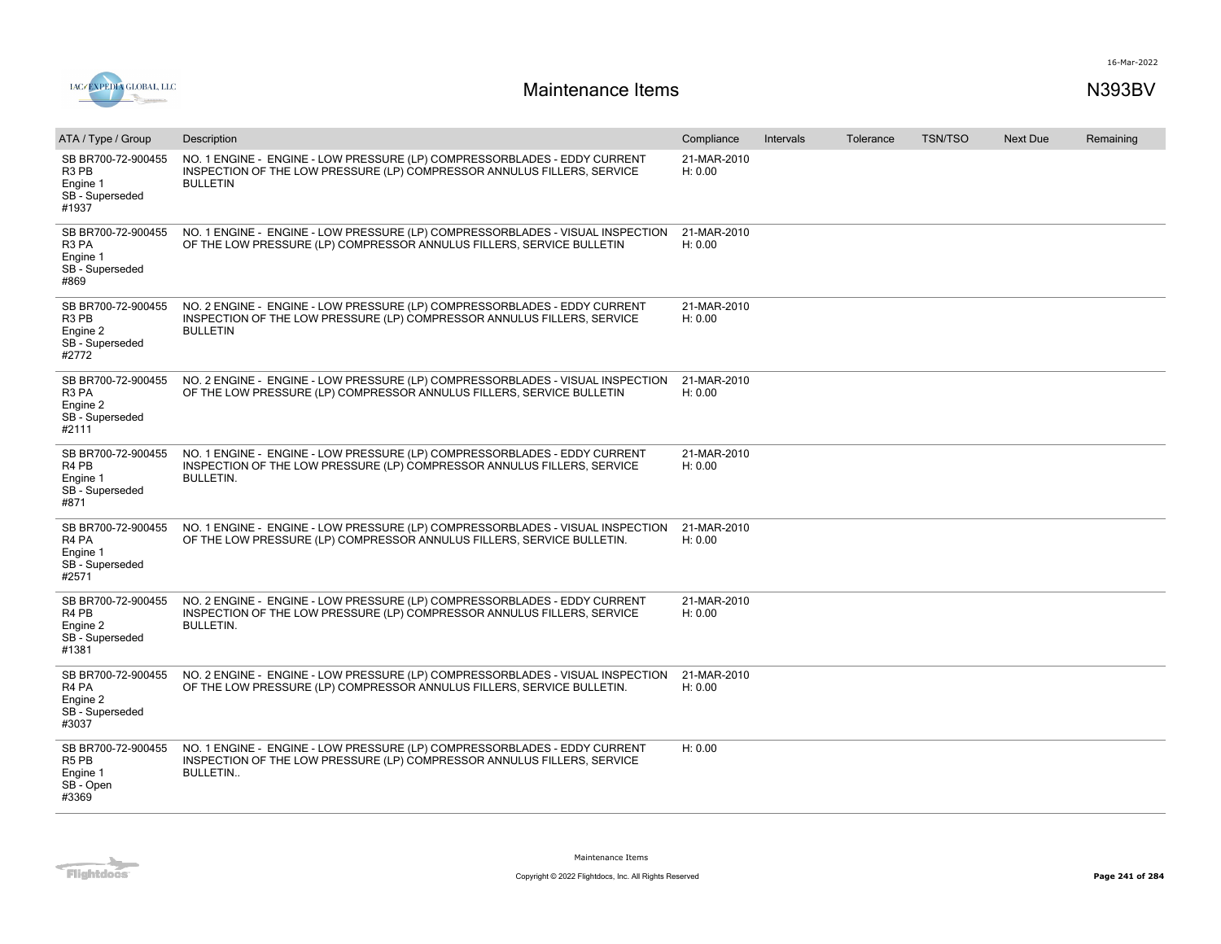

| ATA / Type / Group                                                                          | Description                                                                                                                                                              | Compliance             | <b>Intervals</b> | Tolerance | <b>TSN/TSO</b> | <b>Next Due</b> | Remaining |
|---------------------------------------------------------------------------------------------|--------------------------------------------------------------------------------------------------------------------------------------------------------------------------|------------------------|------------------|-----------|----------------|-----------------|-----------|
| SB BR700-72-900455<br>R <sub>3</sub> P <sub>B</sub><br>Engine 1<br>SB - Superseded<br>#1937 | NO. 1 ENGINE - ENGINE - LOW PRESSURE (LP) COMPRESSORBLADES - EDDY CURRENT<br>INSPECTION OF THE LOW PRESSURE (LP) COMPRESSOR ANNULUS FILLERS, SERVICE<br><b>BULLETIN</b>  | 21-MAR-2010<br>H: 0.00 |                  |           |                |                 |           |
| SB BR700-72-900455<br>R3 PA<br>Engine 1<br>SB - Superseded<br>#869                          | NO. 1 ENGINE - ENGINE - LOW PRESSURE (LP) COMPRESSORBLADES - VISUAL INSPECTION<br>OF THE LOW PRESSURE (LP) COMPRESSOR ANNULUS FILLERS, SERVICE BULLETIN                  | 21-MAR-2010<br>H: 0.00 |                  |           |                |                 |           |
| SB BR700-72-900455<br>R <sub>3</sub> P <sub>B</sub><br>Engine 2<br>SB - Superseded<br>#2772 | NO. 2 ENGINE - ENGINE - LOW PRESSURE (LP) COMPRESSORBLADES - EDDY CURRENT<br>INSPECTION OF THE LOW PRESSURE (LP) COMPRESSOR ANNULUS FILLERS, SERVICE<br><b>BULLETIN</b>  | 21-MAR-2010<br>H: 0.00 |                  |           |                |                 |           |
| SB BR700-72-900455<br>R3 PA<br>Engine 2<br>SB - Superseded<br>#2111                         | NO. 2 ENGINE - ENGINE - LOW PRESSURE (LP) COMPRESSORBLADES - VISUAL INSPECTION<br>OF THE LOW PRESSURE (LP) COMPRESSOR ANNULUS FILLERS, SERVICE BULLETIN                  | 21-MAR-2010<br>H: 0.00 |                  |           |                |                 |           |
| SB BR700-72-900455<br>R <sub>4</sub> P <sub>B</sub><br>Engine 1<br>SB - Superseded<br>#871  | NO. 1 ENGINE - ENGINE - LOW PRESSURE (LP) COMPRESSORBLADES - EDDY CURRENT<br>INSPECTION OF THE LOW PRESSURE (LP) COMPRESSOR ANNULUS FILLERS, SERVICE<br><b>BULLETIN.</b> | 21-MAR-2010<br>H: 0.00 |                  |           |                |                 |           |
| SB BR700-72-900455<br>R <sub>4</sub> PA<br>Engine 1<br>SB - Superseded<br>#2571             | NO. 1 ENGINE - ENGINE - LOW PRESSURE (LP) COMPRESSORBLADES - VISUAL INSPECTION<br>OF THE LOW PRESSURE (LP) COMPRESSOR ANNULUS FILLERS, SERVICE BULLETIN.                 | 21-MAR-2010<br>H: 0.00 |                  |           |                |                 |           |
| SB BR700-72-900455<br>R <sub>4</sub> P <sub>B</sub><br>Engine 2<br>SB - Superseded<br>#1381 | NO. 2 ENGINE - ENGINE - LOW PRESSURE (LP) COMPRESSORBLADES - EDDY CURRENT<br>INSPECTION OF THE LOW PRESSURE (LP) COMPRESSOR ANNULUS FILLERS, SERVICE<br><b>BULLETIN.</b> | 21-MAR-2010<br>H: 0.00 |                  |           |                |                 |           |
| SB BR700-72-900455<br>R <sub>4</sub> PA<br>Engine 2<br>SB - Superseded<br>#3037             | NO. 2 ENGINE - ENGINE - LOW PRESSURE (LP) COMPRESSORBLADES - VISUAL INSPECTION<br>OF THE LOW PRESSURE (LP) COMPRESSOR ANNULUS FILLERS, SERVICE BULLETIN.                 | 21-MAR-2010<br>H: 0.00 |                  |           |                |                 |           |
| SB BR700-72-900455<br>R <sub>5</sub> P <sub>B</sub><br>Engine 1<br>SB - Open<br>#3369       | NO. 1 ENGINE - ENGINE - LOW PRESSURE (LP) COMPRESSORBLADES - EDDY CURRENT<br>INSPECTION OF THE LOW PRESSURE (LP) COMPRESSOR ANNULUS FILLERS, SERVICE<br><b>BULLETIN</b>  | H: 0.00                |                  |           |                |                 |           |

Flightdocs<sup>-</sup>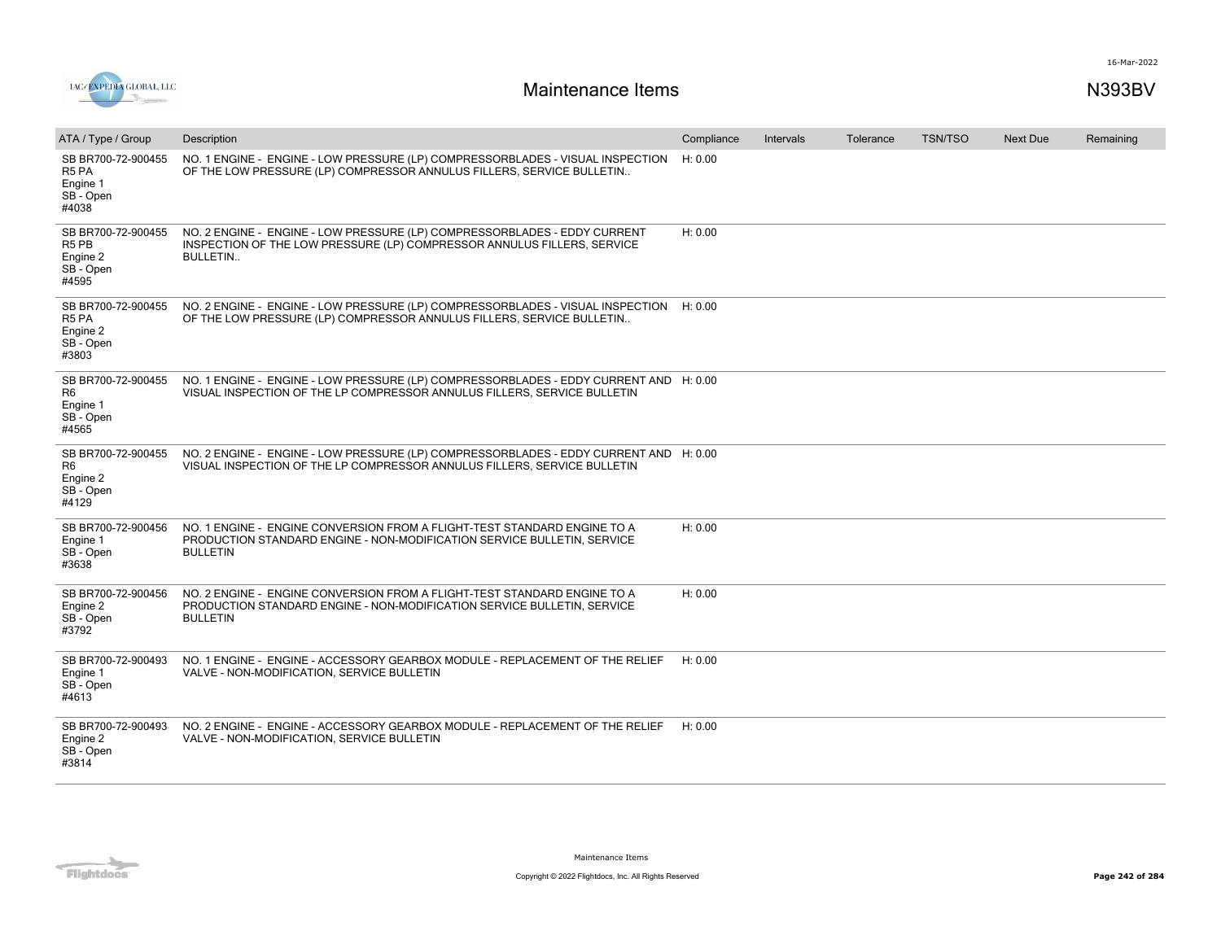

| ATA / Type / Group                                                                    | Description                                                                                                                                                             | Compliance | Intervals | Tolerance | <b>TSN/TSO</b> | <b>Next Due</b> | Remaining |
|---------------------------------------------------------------------------------------|-------------------------------------------------------------------------------------------------------------------------------------------------------------------------|------------|-----------|-----------|----------------|-----------------|-----------|
| SB BR700-72-900455<br>R5 PA<br>Engine 1<br>SB - Open<br>#4038                         | NO. 1 ENGINE - ENGINE - LOW PRESSURE (LP) COMPRESSORBLADES - VISUAL INSPECTION<br>OF THE LOW PRESSURE (LP) COMPRESSOR ANNULUS FILLERS, SERVICE BULLETIN                 | H: 0.00    |           |           |                |                 |           |
| SB BR700-72-900455<br>R <sub>5</sub> P <sub>B</sub><br>Engine 2<br>SB - Open<br>#4595 | NO. 2 ENGINE - ENGINE - LOW PRESSURE (LP) COMPRESSORBLADES - EDDY CURRENT<br>INSPECTION OF THE LOW PRESSURE (LP) COMPRESSOR ANNULUS FILLERS, SERVICE<br><b>BULLETIN</b> | H: 0.00    |           |           |                |                 |           |
| SB BR700-72-900455<br>R <sub>5</sub> PA<br>Engine 2<br>SB - Open<br>#3803             | NO. 2 ENGINE - ENGINE - LOW PRESSURE (LP) COMPRESSORBLADES - VISUAL INSPECTION<br>OF THE LOW PRESSURE (LP) COMPRESSOR ANNULUS FILLERS, SERVICE BULLETIN                 | H: 0.00    |           |           |                |                 |           |
| SB BR700-72-900455<br>R6<br>Engine 1<br>SB-Open<br>#4565                              | NO. 1 ENGINE - ENGINE - LOW PRESSURE (LP) COMPRESSORBLADES - EDDY CURRENT AND H: 0.00<br>VISUAL INSPECTION OF THE LP COMPRESSOR ANNULUS FILLERS, SERVICE BULLETIN       |            |           |           |                |                 |           |
| SB BR700-72-900455<br>R <sub>6</sub><br>Engine 2<br>SB - Open<br>#4129                | NO. 2 ENGINE - ENGINE - LOW PRESSURE (LP) COMPRESSORBLADES - EDDY CURRENT AND H: 0.00<br>VISUAL INSPECTION OF THE LP COMPRESSOR ANNULUS FILLERS, SERVICE BULLETIN       |            |           |           |                |                 |           |
| SB BR700-72-900456<br>Engine 1<br>SB - Open<br>#3638                                  | NO. 1 ENGINE - ENGINE CONVERSION FROM A FLIGHT-TEST STANDARD ENGINE TO A<br>PRODUCTION STANDARD ENGINE - NON-MODIFICATION SERVICE BULLETIN, SERVICE<br><b>BULLETIN</b>  | H: 0.00    |           |           |                |                 |           |
| SB BR700-72-900456<br>Engine 2<br>SB - Open<br>#3792                                  | NO. 2 ENGINE - ENGINE CONVERSION FROM A FLIGHT-TEST STANDARD ENGINE TO A<br>PRODUCTION STANDARD ENGINE - NON-MODIFICATION SERVICE BULLETIN, SERVICE<br><b>BULLETIN</b>  | H: 0.00    |           |           |                |                 |           |
| SB BR700-72-900493<br>Engine 1<br>SB - Open<br>#4613                                  | NO. 1 ENGINE - ENGINE - ACCESSORY GEARBOX MODULE - REPLACEMENT OF THE RELIEF<br>VALVE - NON-MODIFICATION, SERVICE BULLETIN                                              | H: 0.00    |           |           |                |                 |           |
| SB BR700-72-900493<br>Engine 2<br>SB - Open<br>#3814                                  | NO. 2 ENGINE - ENGINE - ACCESSORY GEARBOX MODULE - REPLACEMENT OF THE RELIEF<br>VALVE - NON-MODIFICATION, SERVICE BULLETIN                                              | H: 0.00    |           |           |                |                 |           |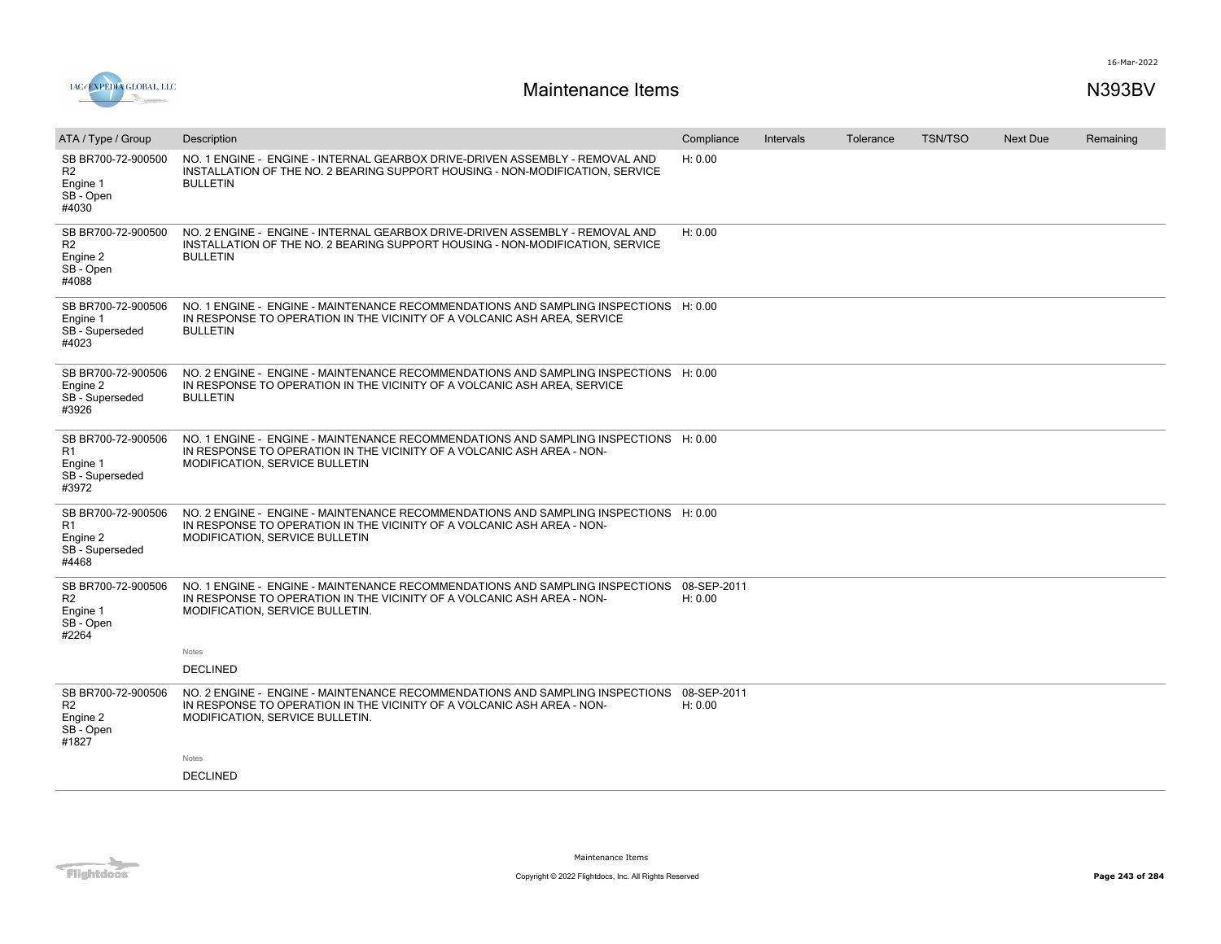

| ATA / Type / Group                                                     | Description                                                                                                                                                                                             | Compliance             | Intervals | Tolerance | <b>TSN/TSO</b> | <b>Next Due</b> | Remaining |
|------------------------------------------------------------------------|---------------------------------------------------------------------------------------------------------------------------------------------------------------------------------------------------------|------------------------|-----------|-----------|----------------|-----------------|-----------|
| SB BR700-72-900500<br>R <sub>2</sub><br>Engine 1<br>SB - Open<br>#4030 | NO. 1 ENGINE - ENGINE - INTERNAL GEARBOX DRIVE-DRIVEN ASSEMBLY - REMOVAL AND<br>INSTALLATION OF THE NO. 2 BEARING SUPPORT HOUSING - NON-MODIFICATION, SERVICE<br><b>BULLETIN</b>                        | H: 0.00                |           |           |                |                 |           |
| SB BR700-72-900500<br>R <sub>2</sub><br>Engine 2<br>SB - Open<br>#4088 | NO. 2 ENGINE - ENGINE - INTERNAL GEARBOX DRIVE-DRIVEN ASSEMBLY - REMOVAL AND<br>INSTALLATION OF THE NO. 2 BEARING SUPPORT HOUSING - NON-MODIFICATION, SERVICE<br><b>BULLETIN</b>                        | H: 0.00                |           |           |                |                 |           |
| SB BR700-72-900506<br>Engine 1<br>SB - Superseded<br>#4023             | NO. 1 ENGINE - ENGINE - MAINTENANCE RECOMMENDATIONS AND SAMPLING INSPECTIONS H: 0.00<br>IN RESPONSE TO OPERATION IN THE VICINITY OF A VOLCANIC ASH AREA, SERVICE<br><b>BULLETIN</b>                     |                        |           |           |                |                 |           |
| SB BR700-72-900506<br>Engine 2<br>SB - Superseded<br>#3926             | NO. 2 ENGINE - ENGINE - MAINTENANCE RECOMMENDATIONS AND SAMPLING INSPECTIONS H: 0.00<br>IN RESPONSE TO OPERATION IN THE VICINITY OF A VOLCANIC ASH AREA, SERVICE<br><b>BULLETIN</b>                     |                        |           |           |                |                 |           |
| SB BR700-72-900506<br>R1<br>Engine 1<br>SB - Superseded<br>#3972       | NO. 1 ENGINE - ENGINE - MAINTENANCE RECOMMENDATIONS AND SAMPLING INSPECTIONS H: 0.00<br>IN RESPONSE TO OPERATION IN THE VICINITY OF A VOLCANIC ASH AREA - NON-<br><b>MODIFICATION, SERVICE BULLETIN</b> |                        |           |           |                |                 |           |
| SB BR700-72-900506<br>R1<br>Engine 2<br>SB - Superseded<br>#4468       | NO. 2 ENGINE - ENGINE - MAINTENANCE RECOMMENDATIONS AND SAMPLING INSPECTIONS H: 0.00<br>IN RESPONSE TO OPERATION IN THE VICINITY OF A VOLCANIC ASH AREA - NON-<br>MODIFICATION, SERVICE BULLETIN        |                        |           |           |                |                 |           |
| SB BR700-72-900506<br>R2<br>Engine 1<br>SB - Open<br>#2264             | NO. 1 ENGINE - ENGINE - MAINTENANCE RECOMMENDATIONS AND SAMPLING INSPECTIONS<br>IN RESPONSE TO OPERATION IN THE VICINITY OF A VOLCANIC ASH AREA - NON-<br>MODIFICATION, SERVICE BULLETIN.               | 08-SEP-2011<br>H: 0.00 |           |           |                |                 |           |
|                                                                        | Notes                                                                                                                                                                                                   |                        |           |           |                |                 |           |
|                                                                        | <b>DECLINED</b>                                                                                                                                                                                         |                        |           |           |                |                 |           |
| SB BR700-72-900506<br>R <sub>2</sub><br>Engine 2<br>SB - Open<br>#1827 | NO. 2 ENGINE - ENGINE - MAINTENANCE RECOMMENDATIONS AND SAMPLING INSPECTIONS<br>IN RESPONSE TO OPERATION IN THE VICINITY OF A VOLCANIC ASH AREA - NON-<br>MODIFICATION, SERVICE BULLETIN.               | 08-SEP-2011<br>H: 0.00 |           |           |                |                 |           |
|                                                                        | Notes                                                                                                                                                                                                   |                        |           |           |                |                 |           |
|                                                                        | <b>DECLINED</b>                                                                                                                                                                                         |                        |           |           |                |                 |           |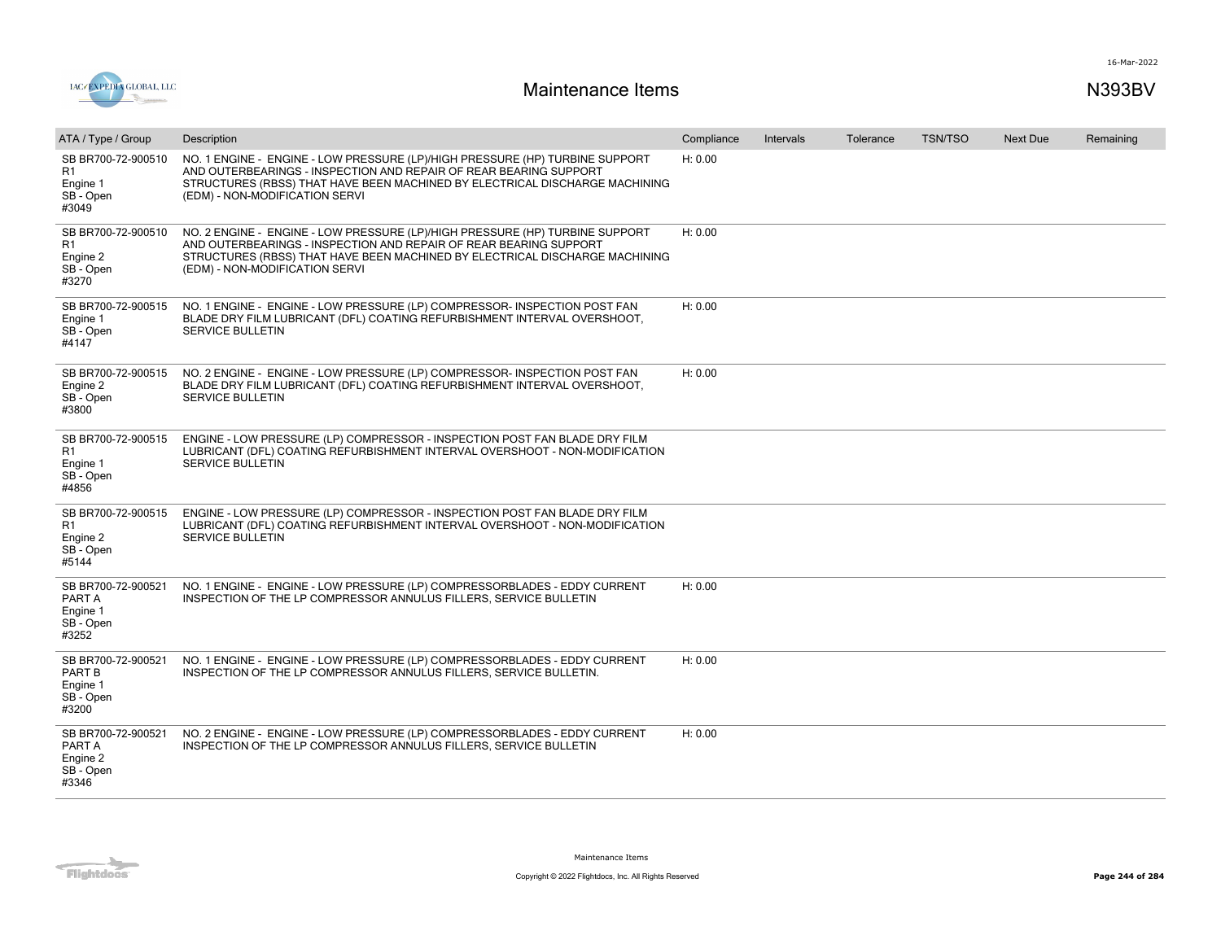



| ATA / Type / Group                                                     | Description                                                                                                                                                                                                                                                        | Compliance | Intervals | Tolerance | <b>TSN/TSO</b> | <b>Next Due</b> | Remaining |
|------------------------------------------------------------------------|--------------------------------------------------------------------------------------------------------------------------------------------------------------------------------------------------------------------------------------------------------------------|------------|-----------|-----------|----------------|-----------------|-----------|
| SB BR700-72-900510<br>R1<br>Engine 1<br>SB - Open<br>#3049             | NO. 1 ENGINE - ENGINE - LOW PRESSURE (LP)/HIGH PRESSURE (HP) TURBINE SUPPORT<br>AND OUTERBEARINGS - INSPECTION AND REPAIR OF REAR BEARING SUPPORT<br>STRUCTURES (RBSS) THAT HAVE BEEN MACHINED BY ELECTRICAL DISCHARGE MACHINING<br>(EDM) - NON-MODIFICATION SERVI | H: 0.00    |           |           |                |                 |           |
| SB BR700-72-900510<br>R <sub>1</sub><br>Engine 2<br>SB - Open<br>#3270 | NO. 2 ENGINE - ENGINE - LOW PRESSURE (LP)/HIGH PRESSURE (HP) TURBINE SUPPORT<br>AND OUTERBEARINGS - INSPECTION AND REPAIR OF REAR BEARING SUPPORT<br>STRUCTURES (RBSS) THAT HAVE BEEN MACHINED BY ELECTRICAL DISCHARGE MACHINING<br>(EDM) - NON-MODIFICATION SERVI | H: 0.00    |           |           |                |                 |           |
| SB BR700-72-900515<br>Engine 1<br>SB - Open<br>#4147                   | NO. 1 ENGINE - ENGINE - LOW PRESSURE (LP) COMPRESSOR- INSPECTION POST FAN<br>BLADE DRY FILM LUBRICANT (DFL) COATING REFURBISHMENT INTERVAL OVERSHOOT,<br><b>SERVICE BULLETIN</b>                                                                                   | H: 0.00    |           |           |                |                 |           |
| SB BR700-72-900515<br>Engine 2<br>SB - Open<br>#3800                   | NO. 2 ENGINE - ENGINE - LOW PRESSURE (LP) COMPRESSOR- INSPECTION POST FAN<br>BLADE DRY FILM LUBRICANT (DFL) COATING REFURBISHMENT INTERVAL OVERSHOOT,<br><b>SERVICE BULLETIN</b>                                                                                   | H: 0.00    |           |           |                |                 |           |
| SB BR700-72-900515<br>R1<br>Engine 1<br>SB - Open<br>#4856             | ENGINE - LOW PRESSURE (LP) COMPRESSOR - INSPECTION POST FAN BLADE DRY FILM<br>LUBRICANT (DFL) COATING REFURBISHMENT INTERVAL OVERSHOOT - NON-MODIFICATION<br>SERVICE BULLETIN                                                                                      |            |           |           |                |                 |           |
| SB BR700-72-900515<br>R <sub>1</sub><br>Engine 2<br>SB - Open<br>#5144 | ENGINE - LOW PRESSURE (LP) COMPRESSOR - INSPECTION POST FAN BLADE DRY FILM<br>LUBRICANT (DFL) COATING REFURBISHMENT INTERVAL OVERSHOOT - NON-MODIFICATION<br><b>SERVICE BULLETIN</b>                                                                               |            |           |           |                |                 |           |
| SB BR700-72-900521<br>PART A<br>Engine 1<br>SB - Open<br>#3252         | NO. 1 ENGINE - ENGINE - LOW PRESSURE (LP) COMPRESSORBLADES - EDDY CURRENT<br>INSPECTION OF THE LP COMPRESSOR ANNULUS FILLERS, SERVICE BULLETIN                                                                                                                     | H: 0.00    |           |           |                |                 |           |
| SB BR700-72-900521<br>PART B<br>Engine 1<br>SB - Open<br>#3200         | NO. 1 ENGINE - ENGINE - LOW PRESSURE (LP) COMPRESSORBLADES - EDDY CURRENT<br>INSPECTION OF THE LP COMPRESSOR ANNULUS FILLERS, SERVICE BULLETIN.                                                                                                                    | H: 0.00    |           |           |                |                 |           |
| SB BR700-72-900521<br>PART A<br>Engine 2<br>SB - Open<br>#3346         | NO. 2 ENGINE - ENGINE - LOW PRESSURE (LP) COMPRESSORBLADES - EDDY CURRENT<br>INSPECTION OF THE LP COMPRESSOR ANNULUS FILLERS, SERVICE BULLETIN                                                                                                                     | H: 0.00    |           |           |                |                 |           |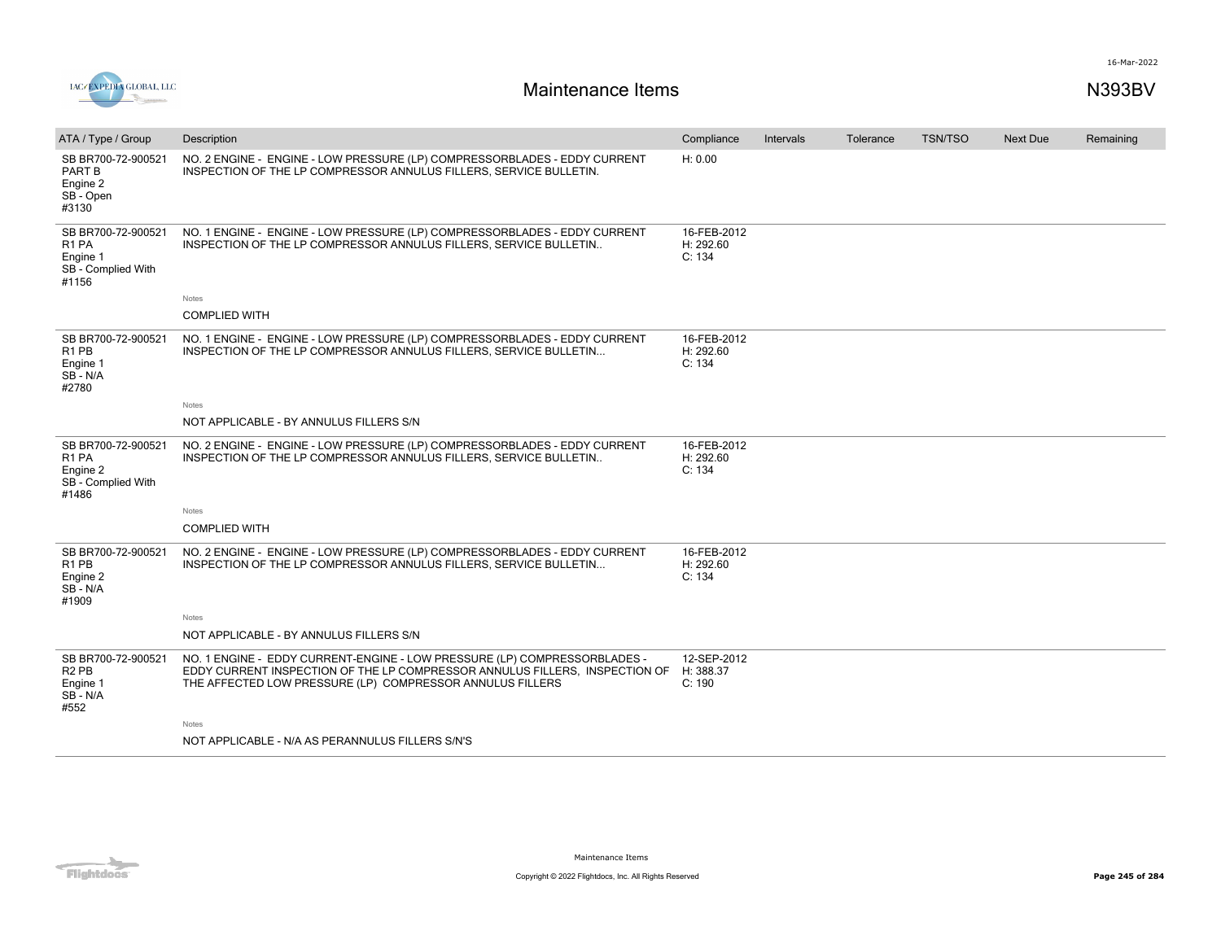

| ATA / Type / Group                                                                    | Description                                                                                                                                                                                                           | Compliance                         | Intervals | Tolerance | <b>TSN/TSO</b> | <b>Next Due</b> | Remaining |
|---------------------------------------------------------------------------------------|-----------------------------------------------------------------------------------------------------------------------------------------------------------------------------------------------------------------------|------------------------------------|-----------|-----------|----------------|-----------------|-----------|
| SB BR700-72-900521<br><b>PART B</b><br>Engine 2<br>SB - Open<br>#3130                 | NO. 2 ENGINE - ENGINE - LOW PRESSURE (LP) COMPRESSORBLADES - EDDY CURRENT<br>INSPECTION OF THE LP COMPRESSOR ANNULUS FILLERS, SERVICE BULLETIN.                                                                       | H: 0.00                            |           |           |                |                 |           |
| SB BR700-72-900521<br>R <sub>1</sub> PA<br>Engine 1<br>SB - Complied With<br>#1156    | NO. 1 ENGINE - ENGINE - LOW PRESSURE (LP) COMPRESSORBLADES - EDDY CURRENT<br>INSPECTION OF THE LP COMPRESSOR ANNULUS FILLERS, SERVICE BULLETIN                                                                        | 16-FEB-2012<br>H: 292.60<br>C: 134 |           |           |                |                 |           |
|                                                                                       | Notes                                                                                                                                                                                                                 |                                    |           |           |                |                 |           |
|                                                                                       | <b>COMPLIED WITH</b>                                                                                                                                                                                                  |                                    |           |           |                |                 |           |
| SB BR700-72-900521<br>R <sub>1</sub> PB<br>Engine 1<br>SB-N/A<br>#2780                | NO. 1 ENGINE - ENGINE - LOW PRESSURE (LP) COMPRESSORBLADES - EDDY CURRENT<br>INSPECTION OF THE LP COMPRESSOR ANNULUS FILLERS, SERVICE BULLETIN                                                                        | 16-FEB-2012<br>H: 292.60<br>C: 134 |           |           |                |                 |           |
|                                                                                       | Notes                                                                                                                                                                                                                 |                                    |           |           |                |                 |           |
|                                                                                       | NOT APPLICABLE - BY ANNULUS FILLERS S/N                                                                                                                                                                               |                                    |           |           |                |                 |           |
| SB BR700-72-900521<br>R <sub>1</sub> PA<br>Engine 2<br>SB - Complied With<br>#1486    | NO. 2 ENGINE - ENGINE - LOW PRESSURE (LP) COMPRESSORBLADES - EDDY CURRENT<br>INSPECTION OF THE LP COMPRESSOR ANNULUS FILLERS. SERVICE BULLETIN                                                                        | 16-FEB-2012<br>H: 292.60<br>C: 134 |           |           |                |                 |           |
|                                                                                       | Notes                                                                                                                                                                                                                 |                                    |           |           |                |                 |           |
|                                                                                       | <b>COMPLIED WITH</b>                                                                                                                                                                                                  |                                    |           |           |                |                 |           |
| SB BR700-72-900521<br>R <sub>1</sub> PB<br>Engine 2<br>SB-N/A<br>#1909                | NO. 2 ENGINE - ENGINE - LOW PRESSURE (LP) COMPRESSORBLADES - EDDY CURRENT<br>INSPECTION OF THE LP COMPRESSOR ANNULUS FILLERS, SERVICE BULLETIN                                                                        | 16-FEB-2012<br>H: 292.60<br>C: 134 |           |           |                |                 |           |
|                                                                                       | Notes                                                                                                                                                                                                                 |                                    |           |           |                |                 |           |
|                                                                                       | NOT APPLICABLE - BY ANNULUS FILLERS S/N                                                                                                                                                                               |                                    |           |           |                |                 |           |
| SB BR700-72-900521<br>R <sub>2</sub> P <sub>B</sub><br>Engine 1<br>$SB - N/A$<br>#552 | NO. 1 ENGINE - EDDY CURRENT-ENGINE - LOW PRESSURE (LP) COMPRESSORBLADES -<br>EDDY CURRENT INSPECTION OF THE LP COMPRESSOR ANNULUS FILLERS. INSPECTION OF<br>THE AFFECTED LOW PRESSURE (LP) COMPRESSOR ANNULUS FILLERS | 12-SEP-2012<br>H: 388.37<br>C: 190 |           |           |                |                 |           |
|                                                                                       | Notes                                                                                                                                                                                                                 |                                    |           |           |                |                 |           |
|                                                                                       | NOT APPLICABLE - N/A AS PERANNULUS FILLERS S/N'S                                                                                                                                                                      |                                    |           |           |                |                 |           |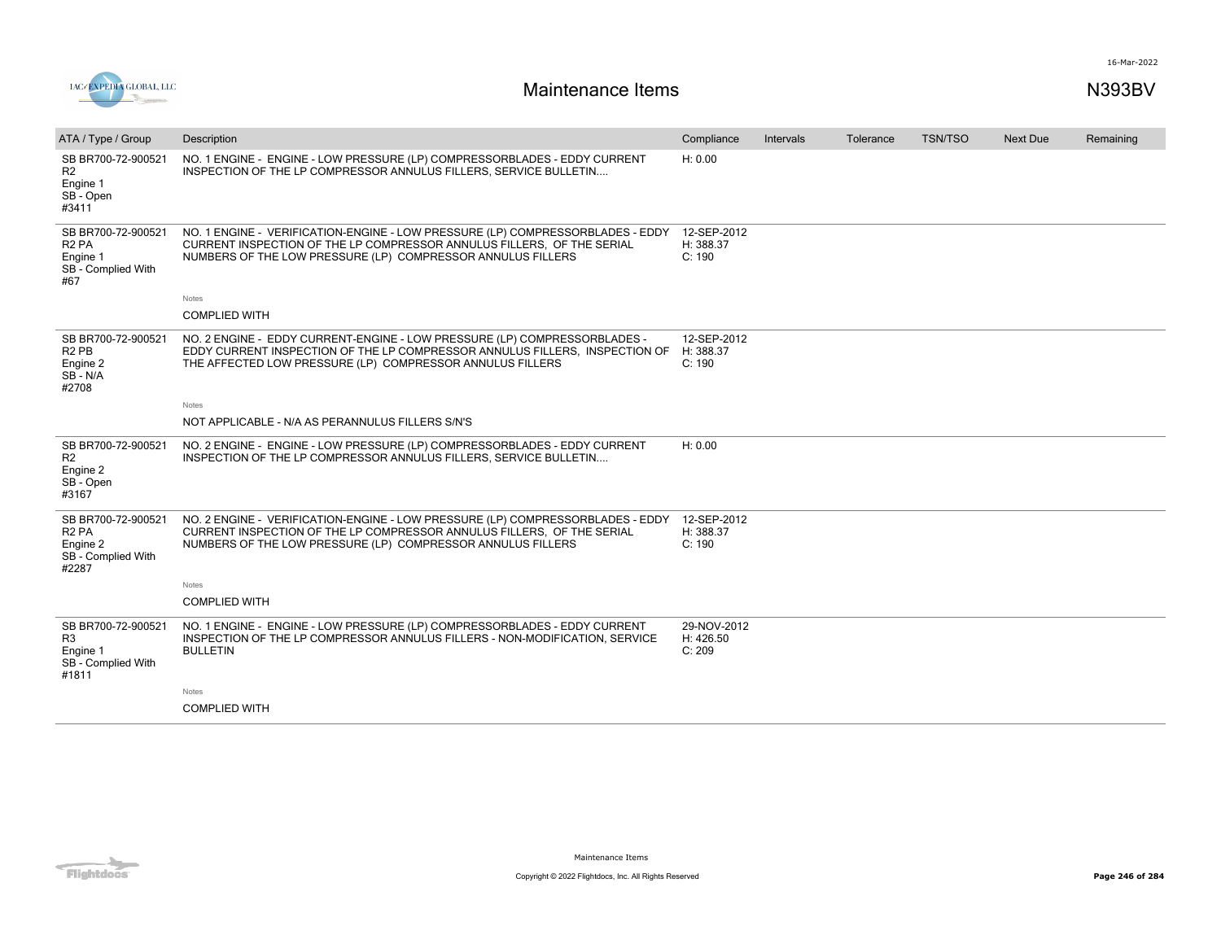

| ATA / Type / Group                                                                 | Description                                                                                                                                                                                                             | Compliance                         | Intervals | Tolerance | <b>TSN/TSO</b> | Next Due | Remaining |
|------------------------------------------------------------------------------------|-------------------------------------------------------------------------------------------------------------------------------------------------------------------------------------------------------------------------|------------------------------------|-----------|-----------|----------------|----------|-----------|
| SB BR700-72-900521<br>R <sub>2</sub><br>Engine 1<br>SB - Open<br>#3411             | NO. 1 ENGINE - ENGINE - LOW PRESSURE (LP) COMPRESSORBLADES - EDDY CURRENT<br>INSPECTION OF THE LP COMPRESSOR ANNULUS FILLERS, SERVICE BULLETIN                                                                          | H: 0.00                            |           |           |                |          |           |
| SB BR700-72-900521<br>R <sub>2</sub> PA<br>Engine 1<br>SB - Complied With<br>#67   | NO. 1 ENGINE - VERIFICATION-ENGINE - LOW PRESSURE (LP) COMPRESSORBLADES - EDDY<br>CURRENT INSPECTION OF THE LP COMPRESSOR ANNULUS FILLERS, OF THE SERIAL<br>NUMBERS OF THE LOW PRESSURE (LP) COMPRESSOR ANNULUS FILLERS | 12-SEP-2012<br>H: 388.37<br>C: 190 |           |           |                |          |           |
|                                                                                    | <b>Notes</b>                                                                                                                                                                                                            |                                    |           |           |                |          |           |
|                                                                                    | <b>COMPLIED WITH</b>                                                                                                                                                                                                    |                                    |           |           |                |          |           |
| SB BR700-72-900521<br>R <sub>2</sub> PB<br>Engine 2<br>SB-N/A<br>#2708             | NO. 2 ENGINE - EDDY CURRENT-ENGINE - LOW PRESSURE (LP) COMPRESSORBLADES -<br>EDDY CURRENT INSPECTION OF THE LP COMPRESSOR ANNULUS FILLERS. INSPECTION OF<br>THE AFFECTED LOW PRESSURE (LP) COMPRESSOR ANNULUS FILLERS   | 12-SEP-2012<br>H: 388.37<br>C: 190 |           |           |                |          |           |
|                                                                                    | Notes                                                                                                                                                                                                                   |                                    |           |           |                |          |           |
|                                                                                    | NOT APPLICABLE - N/A AS PERANNULUS FILLERS S/N'S                                                                                                                                                                        |                                    |           |           |                |          |           |
| SB BR700-72-900521<br>R <sub>2</sub><br>Engine 2<br>SB - Open<br>#3167             | NO. 2 ENGINE - ENGINE - LOW PRESSURE (LP) COMPRESSORBLADES - EDDY CURRENT<br>INSPECTION OF THE LP COMPRESSOR ANNULUS FILLERS, SERVICE BULLETIN                                                                          | H: 0.00                            |           |           |                |          |           |
| SB BR700-72-900521<br>R <sub>2</sub> PA<br>Engine 2<br>SB - Complied With<br>#2287 | NO. 2 ENGINE - VERIFICATION-ENGINE - LOW PRESSURE (LP) COMPRESSORBLADES - EDDY<br>CURRENT INSPECTION OF THE LP COMPRESSOR ANNULUS FILLERS. OF THE SERIAL<br>NUMBERS OF THE LOW PRESSURE (LP) COMPRESSOR ANNULUS FILLERS | 12-SEP-2012<br>H: 388.37<br>C: 190 |           |           |                |          |           |
|                                                                                    | Notes                                                                                                                                                                                                                   |                                    |           |           |                |          |           |
|                                                                                    | <b>COMPLIED WITH</b>                                                                                                                                                                                                    |                                    |           |           |                |          |           |
| SB BR700-72-900521<br>R3<br>Engine 1<br>SB - Complied With<br>#1811                | NO. 1 ENGINE - ENGINE - LOW PRESSURE (LP) COMPRESSORBLADES - EDDY CURRENT<br>INSPECTION OF THE LP COMPRESSOR ANNULUS FILLERS - NON-MODIFICATION, SERVICE<br><b>BULLETIN</b>                                             | 29-NOV-2012<br>H: 426.50<br>C: 209 |           |           |                |          |           |
|                                                                                    | Notes                                                                                                                                                                                                                   |                                    |           |           |                |          |           |
|                                                                                    | <b>COMPLIED WITH</b>                                                                                                                                                                                                    |                                    |           |           |                |          |           |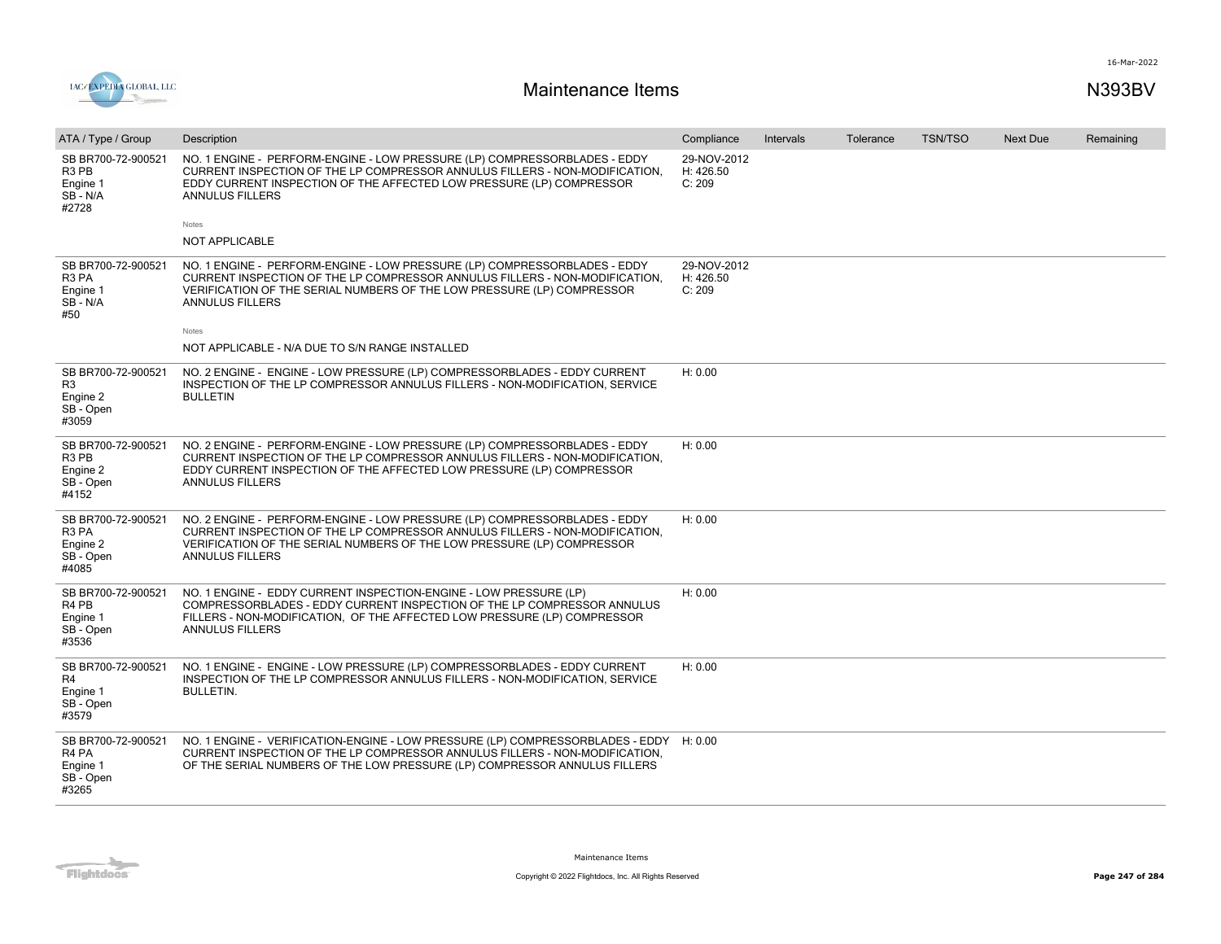

| ATA / Type / Group                                                                    | Description                                                                                                                                                                                                                                                         | Compliance                         | Intervals | Tolerance | <b>TSN/TSO</b> | <b>Next Due</b> | Remaining |
|---------------------------------------------------------------------------------------|---------------------------------------------------------------------------------------------------------------------------------------------------------------------------------------------------------------------------------------------------------------------|------------------------------------|-----------|-----------|----------------|-----------------|-----------|
| SB BR700-72-900521<br>R <sub>3</sub> P <sub>B</sub><br>Engine 1<br>SB-N/A<br>#2728    | NO. 1 ENGINE - PERFORM-ENGINE - LOW PRESSURE (LP) COMPRESSORBLADES - EDDY<br>CURRENT INSPECTION OF THE LP COMPRESSOR ANNULUS FILLERS - NON-MODIFICATION,<br>EDDY CURRENT INSPECTION OF THE AFFECTED LOW PRESSURE (LP) COMPRESSOR<br><b>ANNULUS FILLERS</b><br>Notes | 29-NOV-2012<br>H: 426.50<br>C: 209 |           |           |                |                 |           |
|                                                                                       | NOT APPLICABLE                                                                                                                                                                                                                                                      |                                    |           |           |                |                 |           |
|                                                                                       |                                                                                                                                                                                                                                                                     |                                    |           |           |                |                 |           |
| SB BR700-72-900521<br>R <sub>3</sub> PA<br>Engine 1<br>SB-N/A<br>#50                  | NO. 1 ENGINE - PERFORM-ENGINE - LOW PRESSURE (LP) COMPRESSORBLADES - EDDY<br>CURRENT INSPECTION OF THE LP COMPRESSOR ANNULUS FILLERS - NON-MODIFICATION.<br>VERIFICATION OF THE SERIAL NUMBERS OF THE LOW PRESSURE (LP) COMPRESSOR<br><b>ANNULUS FILLERS</b>        | 29-NOV-2012<br>H: 426.50<br>C: 209 |           |           |                |                 |           |
|                                                                                       | Notes                                                                                                                                                                                                                                                               |                                    |           |           |                |                 |           |
|                                                                                       | NOT APPLICABLE - N/A DUE TO S/N RANGE INSTALLED                                                                                                                                                                                                                     |                                    |           |           |                |                 |           |
| SB BR700-72-900521<br>R <sub>3</sub><br>Engine 2<br>SB - Open<br>#3059                | NO. 2 ENGINE - ENGINE - LOW PRESSURE (LP) COMPRESSORBLADES - EDDY CURRENT<br>INSPECTION OF THE LP COMPRESSOR ANNULUS FILLERS - NON-MODIFICATION, SERVICE<br><b>BULLETIN</b>                                                                                         | H: 0.00                            |           |           |                |                 |           |
| SB BR700-72-900521<br>R <sub>3</sub> PB<br>Engine 2<br>SB - Open<br>#4152             | NO. 2 ENGINE - PERFORM-ENGINE - LOW PRESSURE (LP) COMPRESSORBLADES - EDDY<br>CURRENT INSPECTION OF THE LP COMPRESSOR ANNULUS FILLERS - NON-MODIFICATION,<br>EDDY CURRENT INSPECTION OF THE AFFECTED LOW PRESSURE (LP) COMPRESSOR<br><b>ANNULUS FILLERS</b>          | H: 0.00                            |           |           |                |                 |           |
| SB BR700-72-900521<br>R <sub>3</sub> PA<br>Engine 2<br>SB - Open<br>#4085             | NO. 2 ENGINE - PERFORM-ENGINE - LOW PRESSURE (LP) COMPRESSORBLADES - EDDY<br>CURRENT INSPECTION OF THE LP COMPRESSOR ANNULUS FILLERS - NON-MODIFICATION,<br>VERIFICATION OF THE SERIAL NUMBERS OF THE LOW PRESSURE (LP) COMPRESSOR<br><b>ANNULUS FILLERS</b>        | H: 0.00                            |           |           |                |                 |           |
| SB BR700-72-900521<br>R <sub>4</sub> P <sub>B</sub><br>Engine 1<br>SB - Open<br>#3536 | NO. 1 ENGINE - EDDY CURRENT INSPECTION-ENGINE - LOW PRESSURE (LP)<br>COMPRESSORBLADES - EDDY CURRENT INSPECTION OF THE LP COMPRESSOR ANNULUS<br>FILLERS - NON-MODIFICATION, OF THE AFFECTED LOW PRESSURE (LP) COMPRESSOR<br><b>ANNULUS FILLERS</b>                  | H: 0.00                            |           |           |                |                 |           |
| SB BR700-72-900521<br>R4<br>Engine 1<br>SB - Open<br>#3579                            | NO. 1 ENGINE - ENGINE - LOW PRESSURE (LP) COMPRESSORBLADES - EDDY CURRENT<br>INSPECTION OF THE LP COMPRESSOR ANNULUS FILLERS - NON-MODIFICATION, SERVICE<br><b>BULLETIN.</b>                                                                                        | H: 0.00                            |           |           |                |                 |           |
| SB BR700-72-900521<br>R4 PA<br>Engine 1<br>SB - Open<br>#3265                         | NO. 1 ENGINE - VERIFICATION-ENGINE - LOW PRESSURE (LP) COMPRESSORBLADES - EDDY<br>CURRENT INSPECTION OF THE LP COMPRESSOR ANNULUS FILLERS - NON-MODIFICATION,<br>OF THE SERIAL NUMBERS OF THE LOW PRESSURE (LP) COMPRESSOR ANNULUS FILLERS                          | H: 0.00                            |           |           |                |                 |           |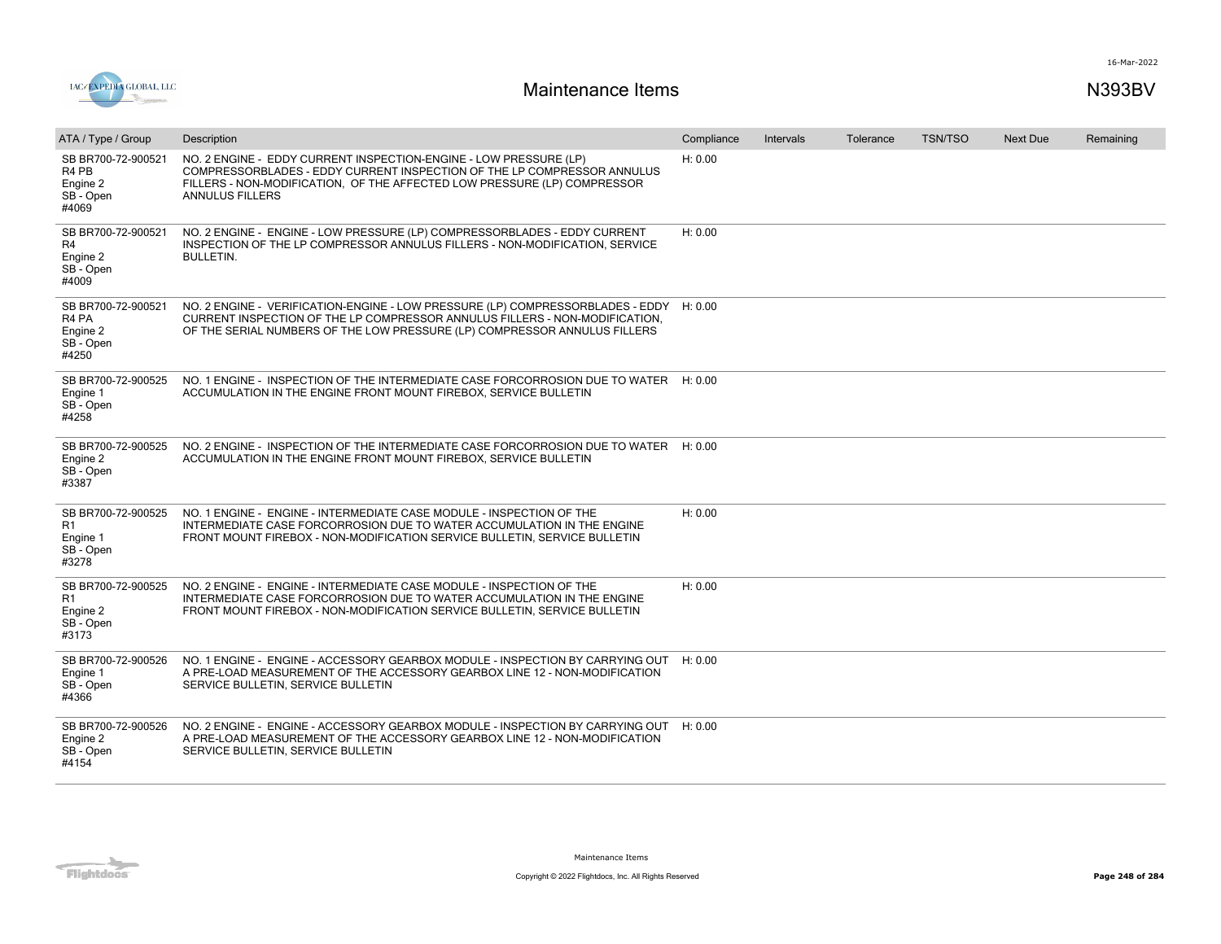

| ATA / Type / Group                                                                    | Description                                                                                                                                                                                                                                        | Compliance | <b>Intervals</b> | Tolerance | <b>TSN/TSO</b> | <b>Next Due</b> | Remaining |
|---------------------------------------------------------------------------------------|----------------------------------------------------------------------------------------------------------------------------------------------------------------------------------------------------------------------------------------------------|------------|------------------|-----------|----------------|-----------------|-----------|
| SB BR700-72-900521<br>R <sub>4</sub> P <sub>B</sub><br>Engine 2<br>SB - Open<br>#4069 | NO. 2 ENGINE - EDDY CURRENT INSPECTION-ENGINE - LOW PRESSURE (LP)<br>COMPRESSORBLADES - EDDY CURRENT INSPECTION OF THE LP COMPRESSOR ANNULUS<br>FILLERS - NON-MODIFICATION, OF THE AFFECTED LOW PRESSURE (LP) COMPRESSOR<br><b>ANNULUS FILLERS</b> | H: 0.00    |                  |           |                |                 |           |
| SB BR700-72-900521<br>R4<br>Engine 2<br>SB - Open<br>#4009                            | NO. 2 ENGINE - ENGINE - LOW PRESSURE (LP) COMPRESSORBLADES - EDDY CURRENT<br>INSPECTION OF THE LP COMPRESSOR ANNULUS FILLERS - NON-MODIFICATION, SERVICE<br><b>BULLETIN.</b>                                                                       | H: 0.00    |                  |           |                |                 |           |
| SB BR700-72-900521<br>R4 PA<br>Engine 2<br>SB - Open<br>#4250                         | NO. 2 ENGINE - VERIFICATION-ENGINE - LOW PRESSURE (LP) COMPRESSORBLADES - EDDY H: 0.00<br>CURRENT INSPECTION OF THE LP COMPRESSOR ANNULUS FILLERS - NON-MODIFICATION.<br>OF THE SERIAL NUMBERS OF THE LOW PRESSURE (LP) COMPRESSOR ANNULUS FILLERS |            |                  |           |                |                 |           |
| SB BR700-72-900525<br>Engine 1<br>SB - Open<br>#4258                                  | NO. 1 ENGINE - INSPECTION OF THE INTERMEDIATE CASE FORCORROSION DUE TO WATER H: 0.00<br>ACCUMULATION IN THE ENGINE FRONT MOUNT FIREBOX, SERVICE BULLETIN                                                                                           |            |                  |           |                |                 |           |
| SB BR700-72-900525<br>Engine 2<br>SB - Open<br>#3387                                  | NO. 2 ENGINE - INSPECTION OF THE INTERMEDIATE CASE FORCORROSION DUE TO WATER H: 0.00<br>ACCUMULATION IN THE ENGINE FRONT MOUNT FIREBOX, SERVICE BULLETIN                                                                                           |            |                  |           |                |                 |           |
| SB BR700-72-900525<br>R <sub>1</sub><br>Engine 1<br>SB - Open<br>#3278                | NO. 1 ENGINE - ENGINE - INTERMEDIATE CASE MODULE - INSPECTION OF THE<br>INTERMEDIATE CASE FORCORROSION DUE TO WATER ACCUMULATION IN THE ENGINE<br>FRONT MOUNT FIREBOX - NON-MODIFICATION SERVICE BULLETIN, SERVICE BULLETIN                        | H: 0.00    |                  |           |                |                 |           |
| SB BR700-72-900525<br>R <sub>1</sub><br>Engine 2<br>SB - Open<br>#3173                | NO. 2 ENGINE - ENGINE - INTERMEDIATE CASE MODULE - INSPECTION OF THE<br>INTERMEDIATE CASE FORCORROSION DUE TO WATER ACCUMULATION IN THE ENGINE<br>FRONT MOUNT FIREBOX - NON-MODIFICATION SERVICE BULLETIN, SERVICE BULLETIN                        | H: 0.00    |                  |           |                |                 |           |
| SB BR700-72-900526<br>Engine 1<br>SB - Open<br>#4366                                  | NO. 1 ENGINE - ENGINE - ACCESSORY GEARBOX MODULE - INSPECTION BY CARRYING OUT H: 0.00<br>A PRE-LOAD MEASUREMENT OF THE ACCESSORY GEARBOX LINE 12 - NON-MODIFICATION<br>SERVICE BULLETIN, SERVICE BULLETIN                                          |            |                  |           |                |                 |           |
| SB BR700-72-900526<br>Engine 2<br>SB - Open<br>#4154                                  | NO. 2 ENGINE - ENGINE - ACCESSORY GEARBOX MODULE - INSPECTION BY CARRYING OUT<br>A PRE-LOAD MEASUREMENT OF THE ACCESSORY GEARBOX LINE 12 - NON-MODIFICATION<br>SERVICE BULLETIN, SERVICE BULLETIN                                                  | H: 0.00    |                  |           |                |                 |           |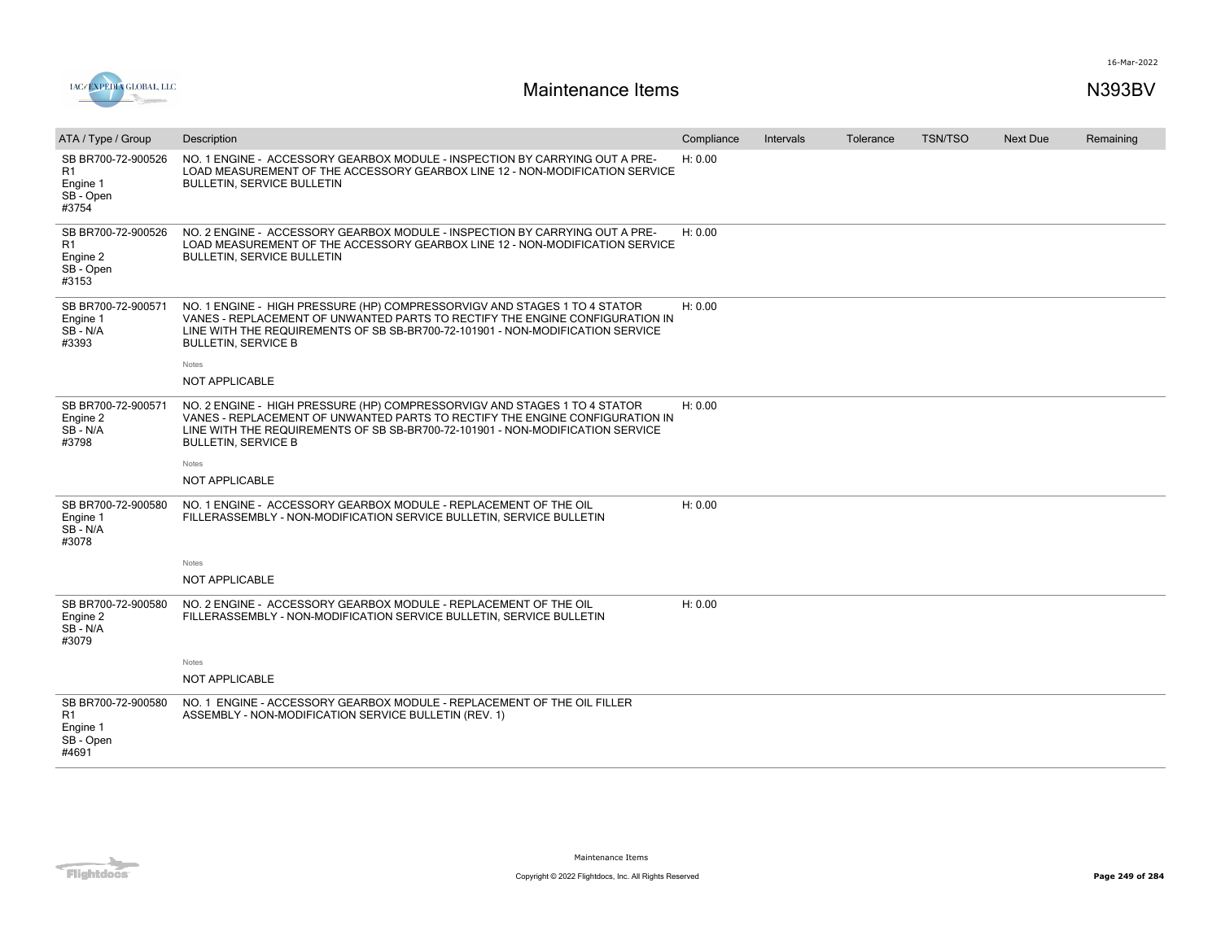



| ATA / Type / Group                                                     | Description                                                                                                                                                                                                                                                               | Compliance | Intervals | Tolerance | <b>TSN/TSO</b> | Next Due | Remaining |
|------------------------------------------------------------------------|---------------------------------------------------------------------------------------------------------------------------------------------------------------------------------------------------------------------------------------------------------------------------|------------|-----------|-----------|----------------|----------|-----------|
| SB BR700-72-900526<br>R1<br>Engine 1<br>SB - Open<br>#3754             | NO. 1 ENGINE - ACCESSORY GEARBOX MODULE - INSPECTION BY CARRYING OUT A PRE-<br>LOAD MEASUREMENT OF THE ACCESSORY GEARBOX LINE 12 - NON-MODIFICATION SERVICE<br><b>BULLETIN, SERVICE BULLETIN</b>                                                                          | H: 0.00    |           |           |                |          |           |
| SB BR700-72-900526<br>R <sub>1</sub><br>Engine 2<br>SB - Open<br>#3153 | NO. 2 ENGINE - ACCESSORY GEARBOX MODULE - INSPECTION BY CARRYING OUT A PRE-<br>LOAD MEASUREMENT OF THE ACCESSORY GEARBOX LINE 12 - NON-MODIFICATION SERVICE<br><b>BULLETIN, SERVICE BULLETIN</b>                                                                          | H: 0.00    |           |           |                |          |           |
| SB BR700-72-900571<br>Engine 1<br>$SB - N/A$<br>#3393                  | NO. 1 ENGINE - HIGH PRESSURE (HP) COMPRESSORVIGV AND STAGES 1 TO 4 STATOR<br>VANES - REPLACEMENT OF UNWANTED PARTS TO RECTIFY THE ENGINE CONFIGURATION IN<br>LINE WITH THE REQUIREMENTS OF SB SB-BR700-72-101901 - NON-MODIFICATION SERVICE<br><b>BULLETIN, SERVICE B</b> | H: 0.00    |           |           |                |          |           |
|                                                                        | Notes<br><b>NOT APPLICABLE</b>                                                                                                                                                                                                                                            |            |           |           |                |          |           |
|                                                                        |                                                                                                                                                                                                                                                                           |            |           |           |                |          |           |
| SB BR700-72-900571<br>Engine 2<br>SB-N/A<br>#3798                      | NO. 2 ENGINE - HIGH PRESSURE (HP) COMPRESSORVIGV AND STAGES 1 TO 4 STATOR<br>VANES - REPLACEMENT OF UNWANTED PARTS TO RECTIFY THE ENGINE CONFIGURATION IN<br>LINE WITH THE REQUIREMENTS OF SB SB-BR700-72-101901 - NON-MODIFICATION SERVICE<br><b>BULLETIN, SERVICE B</b> | H: 0.00    |           |           |                |          |           |
|                                                                        | Notes                                                                                                                                                                                                                                                                     |            |           |           |                |          |           |
|                                                                        | <b>NOT APPLICABLE</b>                                                                                                                                                                                                                                                     |            |           |           |                |          |           |
| SB BR700-72-900580<br>Engine 1<br>SB-N/A<br>#3078                      | NO. 1 ENGINE - ACCESSORY GEARBOX MODULE - REPLACEMENT OF THE OIL<br>FILLERASSEMBLY - NON-MODIFICATION SERVICE BULLETIN, SERVICE BULLETIN                                                                                                                                  | H: 0.00    |           |           |                |          |           |
|                                                                        | Notes                                                                                                                                                                                                                                                                     |            |           |           |                |          |           |
|                                                                        | NOT APPLICABLE                                                                                                                                                                                                                                                            |            |           |           |                |          |           |
| SB BR700-72-900580<br>Engine 2<br>SB - N/A<br>#3079                    | NO. 2 ENGINE - ACCESSORY GEARBOX MODULE - REPLACEMENT OF THE OIL<br>FILLERASSEMBLY - NON-MODIFICATION SERVICE BULLETIN, SERVICE BULLETIN                                                                                                                                  | H: 0.00    |           |           |                |          |           |
|                                                                        | Notes                                                                                                                                                                                                                                                                     |            |           |           |                |          |           |
|                                                                        | NOT APPLICABLE                                                                                                                                                                                                                                                            |            |           |           |                |          |           |
| SB BR700-72-900580<br>R1<br>Engine 1<br>SB - Open<br>#4691             | NO. 1 ENGINE - ACCESSORY GEARBOX MODULE - REPLACEMENT OF THE OIL FILLER<br>ASSEMBLY - NON-MODIFICATION SERVICE BULLETIN (REV. 1)                                                                                                                                          |            |           |           |                |          |           |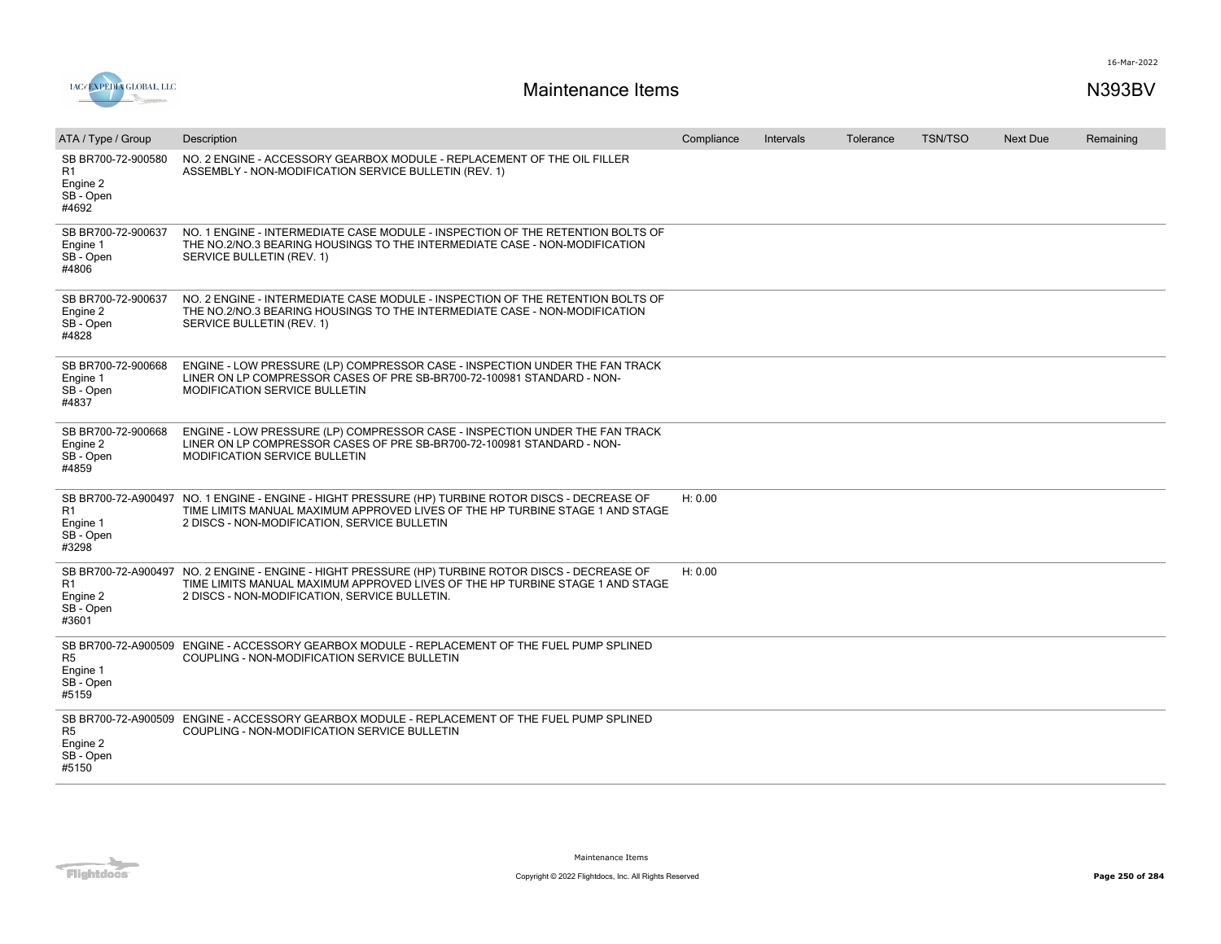



| ATA / Type / Group                                         | Description                                                                                                                                                                                                                         | Compliance | Intervals | Tolerance | <b>TSN/TSO</b> | <b>Next Due</b> | Remaining |
|------------------------------------------------------------|-------------------------------------------------------------------------------------------------------------------------------------------------------------------------------------------------------------------------------------|------------|-----------|-----------|----------------|-----------------|-----------|
| SB BR700-72-900580<br>R1<br>Engine 2<br>SB - Open<br>#4692 | NO. 2 ENGINE - ACCESSORY GEARBOX MODULE - REPLACEMENT OF THE OIL FILLER<br>ASSEMBLY - NON-MODIFICATION SERVICE BULLETIN (REV. 1)                                                                                                    |            |           |           |                |                 |           |
| SB BR700-72-900637<br>Engine 1<br>SB - Open<br>#4806       | NO. 1 ENGINE - INTERMEDIATE CASE MODULE - INSPECTION OF THE RETENTION BOLTS OF<br>THE NO.2/NO.3 BEARING HOUSINGS TO THE INTERMEDIATE CASE - NON-MODIFICATION<br>SERVICE BULLETIN (REV. 1)                                           |            |           |           |                |                 |           |
| SB BR700-72-900637<br>Engine 2<br>SB - Open<br>#4828       | NO. 2 ENGINE - INTERMEDIATE CASE MODULE - INSPECTION OF THE RETENTION BOLTS OF<br>THE NO.2/NO.3 BEARING HOUSINGS TO THE INTERMEDIATE CASE - NON-MODIFICATION<br>SERVICE BULLETIN (REV. 1)                                           |            |           |           |                |                 |           |
| SB BR700-72-900668<br>Engine 1<br>SB - Open<br>#4837       | ENGINE - LOW PRESSURE (LP) COMPRESSOR CASE - INSPECTION UNDER THE FAN TRACK<br>LINER ON LP COMPRESSOR CASES OF PRE SB-BR700-72-100981 STANDARD - NON-<br><b>MODIFICATION SERVICE BULLETIN</b>                                       |            |           |           |                |                 |           |
| SB BR700-72-900668<br>Engine 2<br>SB - Open<br>#4859       | ENGINE - LOW PRESSURE (LP) COMPRESSOR CASE - INSPECTION UNDER THE FAN TRACK<br>LINER ON LP COMPRESSOR CASES OF PRE SB-BR700-72-100981 STANDARD - NON-<br><b>MODIFICATION SERVICE BULLETIN</b>                                       |            |           |           |                |                 |           |
| R1<br>Engine 1<br>SB - Open<br>#3298                       | SB BR700-72-A900497 NO. 1 ENGINE - ENGINE - HIGHT PRESSURE (HP) TURBINE ROTOR DISCS - DECREASE OF<br>TIME LIMITS MANUAL MAXIMUM APPROVED LIVES OF THE HP TURBINE STAGE 1 AND STAGE<br>2 DISCS - NON-MODIFICATION, SERVICE BULLETIN  | H: 0.00    |           |           |                |                 |           |
| R <sub>1</sub><br>Engine 2<br>SB - Open<br>#3601           | SB BR700-72-A900497 NO. 2 ENGINE - ENGINE - HIGHT PRESSURE (HP) TURBINE ROTOR DISCS - DECREASE OF<br>TIME LIMITS MANUAL MAXIMUM APPROVED LIVES OF THE HP TURBINE STAGE 1 AND STAGE<br>2 DISCS - NON-MODIFICATION, SERVICE BULLETIN. | H: 0.00    |           |           |                |                 |           |
| R <sub>5</sub><br>Engine 1<br>SB - Open<br>#5159           | SB BR700-72-A900509 ENGINE - ACCESSORY GEARBOX MODULE - REPLACEMENT OF THE FUEL PUMP SPLINED<br>COUPLING - NON-MODIFICATION SERVICE BULLETIN                                                                                        |            |           |           |                |                 |           |
| R <sub>5</sub><br>Engine 2<br>SB - Open<br>#5150           | SB BR700-72-A900509 ENGINE - ACCESSORY GEARBOX MODULE - REPLACEMENT OF THE FUEL PUMP SPLINED<br>COUPLING - NON-MODIFICATION SERVICE BULLETIN                                                                                        |            |           |           |                |                 |           |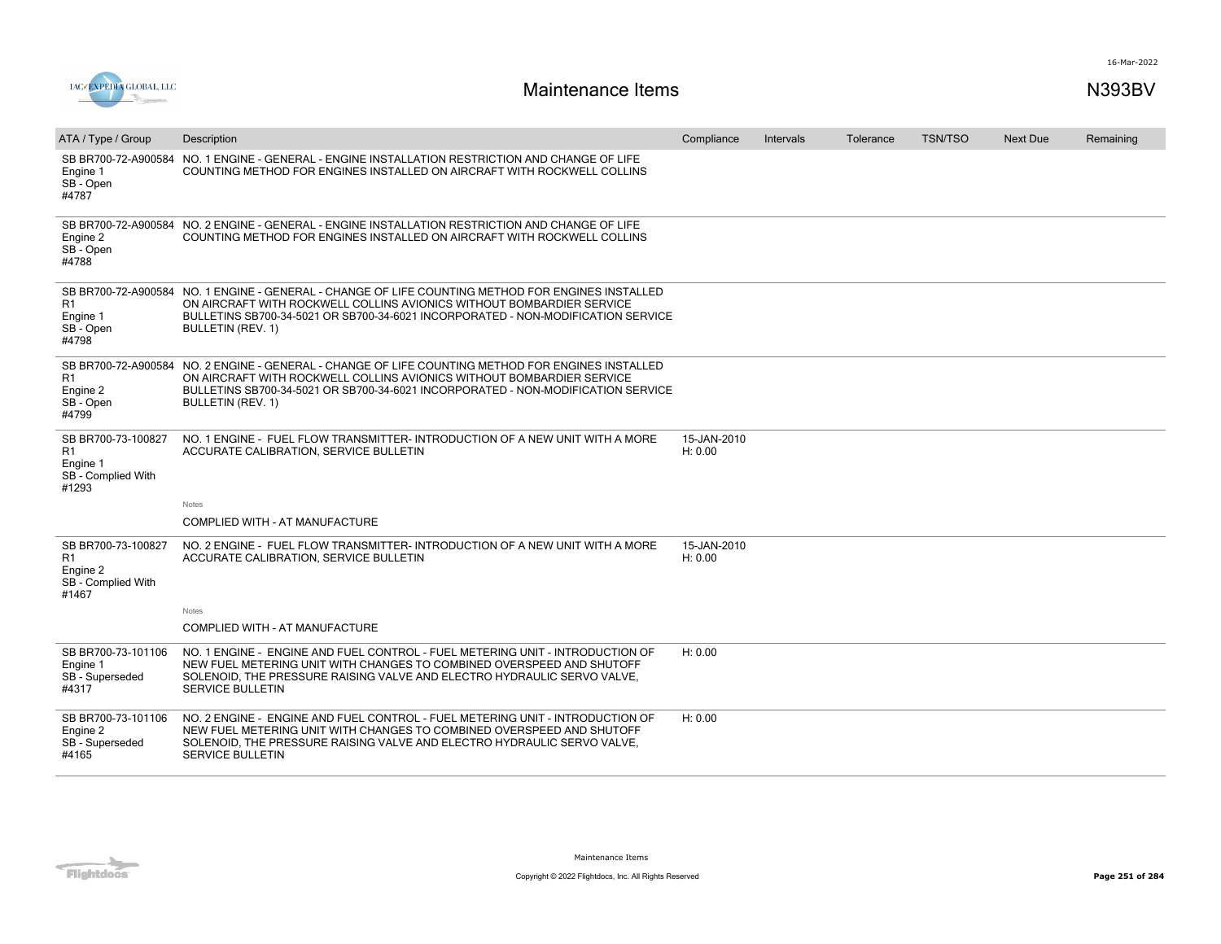

| ATA / Type / Group                                                              | Description                                                                                                                                                                                                                                                                                | Compliance             | Intervals | Tolerance | <b>TSN/TSO</b> | <b>Next Due</b> | Remaining |
|---------------------------------------------------------------------------------|--------------------------------------------------------------------------------------------------------------------------------------------------------------------------------------------------------------------------------------------------------------------------------------------|------------------------|-----------|-----------|----------------|-----------------|-----------|
| SB BR700-72-A900584<br>Engine 1<br>SB - Open<br>#4787                           | NO. 1 ENGINE - GENERAL - ENGINE INSTALLATION RESTRICTION AND CHANGE OF LIFE<br>COUNTING METHOD FOR ENGINES INSTALLED ON AIRCRAFT WITH ROCKWELL COLLINS                                                                                                                                     |                        |           |           |                |                 |           |
| Engine 2<br>SB - Open<br>#4788                                                  | SB BR700-72-A900584 NO. 2 ENGINE - GENERAL - ENGINE INSTALLATION RESTRICTION AND CHANGE OF LIFE<br>COUNTING METHOD FOR ENGINES INSTALLED ON AIRCRAFT WITH ROCKWELL COLLINS                                                                                                                 |                        |           |           |                |                 |           |
| R1<br>Engine 1<br>SB - Open<br>#4798                                            | SB BR700-72-A900584 NO. 1 ENGINE - GENERAL - CHANGE OF LIFE COUNTING METHOD FOR ENGINES INSTALLED<br>ON AIRCRAFT WITH ROCKWELL COLLINS AVIONICS WITHOUT BOMBARDIER SERVICE<br>BULLETINS SB700-34-5021 OR SB700-34-6021 INCORPORATED - NON-MODIFICATION SERVICE<br>BULLETIN (REV. 1)        |                        |           |           |                |                 |           |
| R1<br>Engine 2<br>SB - Open<br>#4799                                            | SB BR700-72-A900584 NO. 2 ENGINE - GENERAL - CHANGE OF LIFE COUNTING METHOD FOR ENGINES INSTALLED<br>ON AIRCRAFT WITH ROCKWELL COLLINS AVIONICS WITHOUT BOMBARDIER SERVICE<br>BULLETINS SB700-34-5021 OR SB700-34-6021 INCORPORATED - NON-MODIFICATION SERVICE<br><b>BULLETIN (REV. 1)</b> |                        |           |           |                |                 |           |
| SB BR700-73-100827<br>R <sub>1</sub><br>Engine 1<br>SB - Complied With<br>#1293 | NO. 1 ENGINE - FUEL FLOW TRANSMITTER-INTRODUCTION OF A NEW UNIT WITH A MORE<br>ACCURATE CALIBRATION, SERVICE BULLETIN                                                                                                                                                                      | 15-JAN-2010<br>H: 0.00 |           |           |                |                 |           |
|                                                                                 | <b>Notes</b>                                                                                                                                                                                                                                                                               |                        |           |           |                |                 |           |
|                                                                                 | COMPLIED WITH - AT MANUFACTURE                                                                                                                                                                                                                                                             |                        |           |           |                |                 |           |
| SB BR700-73-100827<br>R <sub>1</sub><br>Engine 2<br>SB - Complied With<br>#1467 | NO. 2 ENGINE - FUEL FLOW TRANSMITTER-INTRODUCTION OF A NEW UNIT WITH A MORE<br>ACCURATE CALIBRATION, SERVICE BULLETIN                                                                                                                                                                      | 15-JAN-2010<br>H: 0.00 |           |           |                |                 |           |
|                                                                                 | Notes                                                                                                                                                                                                                                                                                      |                        |           |           |                |                 |           |
|                                                                                 | COMPLIED WITH - AT MANUFACTURE                                                                                                                                                                                                                                                             |                        |           |           |                |                 |           |
| SB BR700-73-101106<br>Engine 1<br>SB - Superseded<br>#4317                      | NO. 1 ENGINE - ENGINE AND FUEL CONTROL - FUEL METERING UNIT - INTRODUCTION OF<br>NEW FUEL METERING UNIT WITH CHANGES TO COMBINED OVERSPEED AND SHUTOFF<br>SOLENOID, THE PRESSURE RAISING VALVE AND ELECTRO HYDRAULIC SERVO VALVE,<br>SERVICE BULLETIN                                      | H: 0.00                |           |           |                |                 |           |
| SB BR700-73-101106<br>Engine 2<br>SB - Superseded<br>#4165                      | NO. 2 ENGINE - ENGINE AND FUEL CONTROL - FUEL METERING UNIT - INTRODUCTION OF<br>NEW FUEL METERING UNIT WITH CHANGES TO COMBINED OVERSPEED AND SHUTOFF<br>SOLENOID, THE PRESSURE RAISING VALVE AND ELECTRO HYDRAULIC SERVO VALVE,<br><b>SERVICE BULLETIN</b>                               | H: 0.00                |           |           |                |                 |           |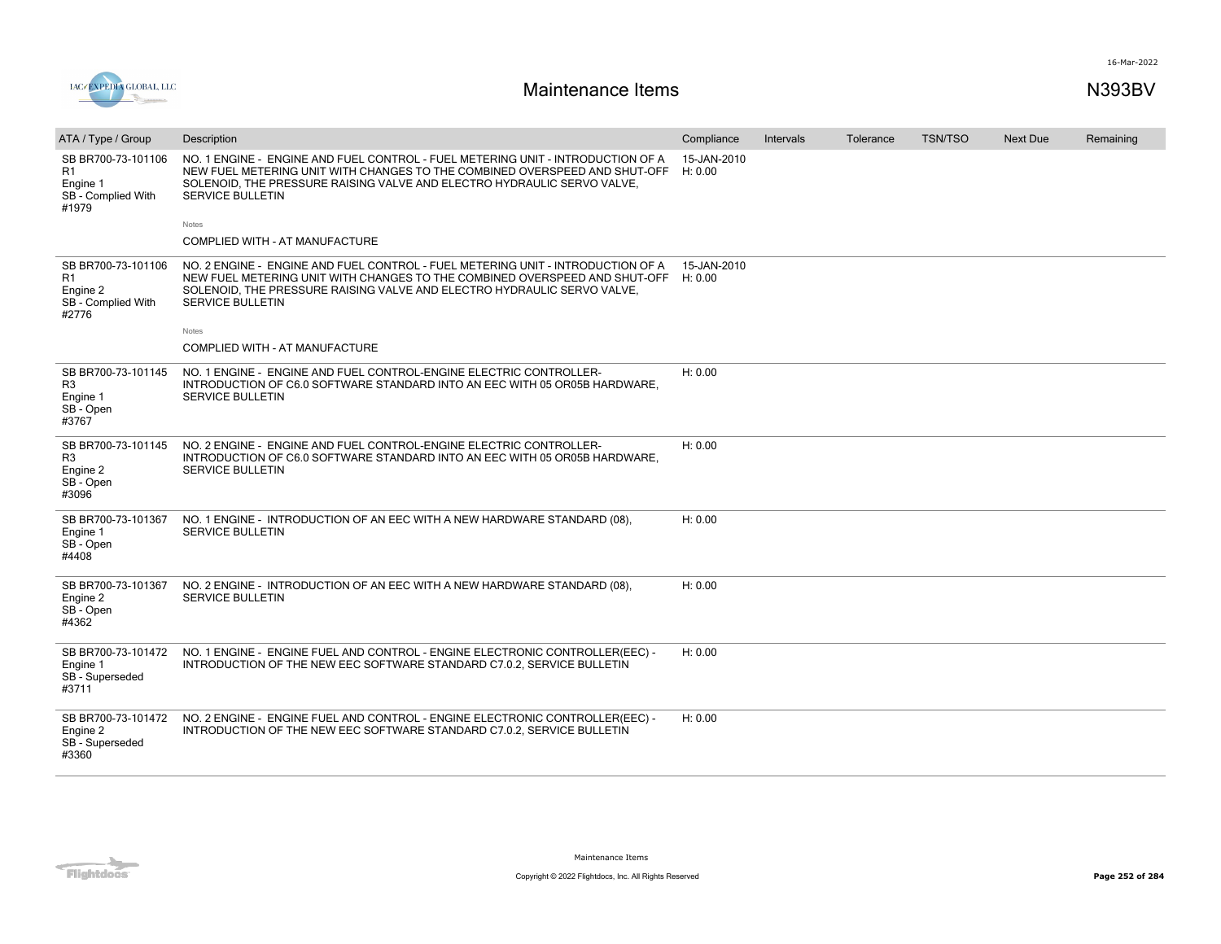16-Mar-2022



| ATA / Type / Group                                                     | Description                                                                                                                                                                                                                                                         | Compliance             | <b>Intervals</b> | Tolerance | <b>TSN/TSO</b> | <b>Next Due</b> | Remaining |
|------------------------------------------------------------------------|---------------------------------------------------------------------------------------------------------------------------------------------------------------------------------------------------------------------------------------------------------------------|------------------------|------------------|-----------|----------------|-----------------|-----------|
| SB BR700-73-101106<br>R1<br>Engine 1<br>SB - Complied With<br>#1979    | NO. 1 ENGINE - ENGINE AND FUEL CONTROL - FUEL METERING UNIT - INTRODUCTION OF A<br>NEW FUEL METERING UNIT WITH CHANGES TO THE COMBINED OVERSPEED AND SHUT-OFF<br>SOLENOID, THE PRESSURE RAISING VALVE AND ELECTRO HYDRAULIC SERVO VALVE,<br><b>SERVICE BULLETIN</b> | 15-JAN-2010<br>H: 0.00 |                  |           |                |                 |           |
|                                                                        | Notes                                                                                                                                                                                                                                                               |                        |                  |           |                |                 |           |
|                                                                        | COMPLIED WITH - AT MANUFACTURE                                                                                                                                                                                                                                      |                        |                  |           |                |                 |           |
| SB BR700-73-101106<br>R1<br>Engine 2<br>SB - Complied With<br>#2776    | NO. 2 ENGINE - ENGINE AND FUEL CONTROL - FUEL METERING UNIT - INTRODUCTION OF A<br>NEW FUEL METERING UNIT WITH CHANGES TO THE COMBINED OVERSPEED AND SHUT-OFF<br>SOLENOID, THE PRESSURE RAISING VALVE AND ELECTRO HYDRAULIC SERVO VALVE,<br><b>SERVICE BULLETIN</b> | 15-JAN-2010<br>H: 0.00 |                  |           |                |                 |           |
|                                                                        | Notes                                                                                                                                                                                                                                                               |                        |                  |           |                |                 |           |
|                                                                        | COMPLIED WITH - AT MANUFACTURE                                                                                                                                                                                                                                      |                        |                  |           |                |                 |           |
| SB BR700-73-101145<br>R <sub>3</sub><br>Engine 1<br>SB - Open<br>#3767 | NO. 1 ENGINE - ENGINE AND FUEL CONTROL-ENGINE ELECTRIC CONTROLLER-<br>INTRODUCTION OF C6.0 SOFTWARE STANDARD INTO AN EEC WITH 05 OR05B HARDWARE,<br><b>SERVICE BULLETIN</b>                                                                                         | H: 0.00                |                  |           |                |                 |           |
| SB BR700-73-101145<br>R <sub>3</sub><br>Engine 2<br>SB - Open<br>#3096 | NO. 2 ENGINE - ENGINE AND FUEL CONTROL-ENGINE ELECTRIC CONTROLLER-<br>INTRODUCTION OF C6.0 SOFTWARE STANDARD INTO AN EEC WITH 05 OR05B HARDWARE.<br><b>SERVICE BULLETIN</b>                                                                                         | H: 0.00                |                  |           |                |                 |           |
| SB BR700-73-101367<br>Engine 1<br>SB - Open<br>#4408                   | NO. 1 ENGINE - INTRODUCTION OF AN EEC WITH A NEW HARDWARE STANDARD (08),<br><b>SERVICE BULLETIN</b>                                                                                                                                                                 | H: 0.00                |                  |           |                |                 |           |
| SB BR700-73-101367<br>Engine 2<br>SB - Open<br>#4362                   | NO. 2 ENGINE - INTRODUCTION OF AN EEC WITH A NEW HARDWARE STANDARD (08),<br><b>SERVICE BULLETIN</b>                                                                                                                                                                 | H: 0.00                |                  |           |                |                 |           |
| SB BR700-73-101472<br>Engine 1<br>SB - Superseded<br>#3711             | NO. 1 ENGINE - ENGINE FUEL AND CONTROL - ENGINE ELECTRONIC CONTROLLER(EEC) -<br>INTRODUCTION OF THE NEW EEC SOFTWARE STANDARD C7.0.2, SERVICE BULLETIN                                                                                                              | H: 0.00                |                  |           |                |                 |           |
| SB BR700-73-101472<br>Engine 2<br>SB - Superseded<br>#3360             | NO. 2 ENGINE - ENGINE FUEL AND CONTROL - ENGINE ELECTRONIC CONTROLLER(EEC) -<br>INTRODUCTION OF THE NEW EEC SOFTWARE STANDARD C7.0.2, SERVICE BULLETIN                                                                                                              | H: 0.00                |                  |           |                |                 |           |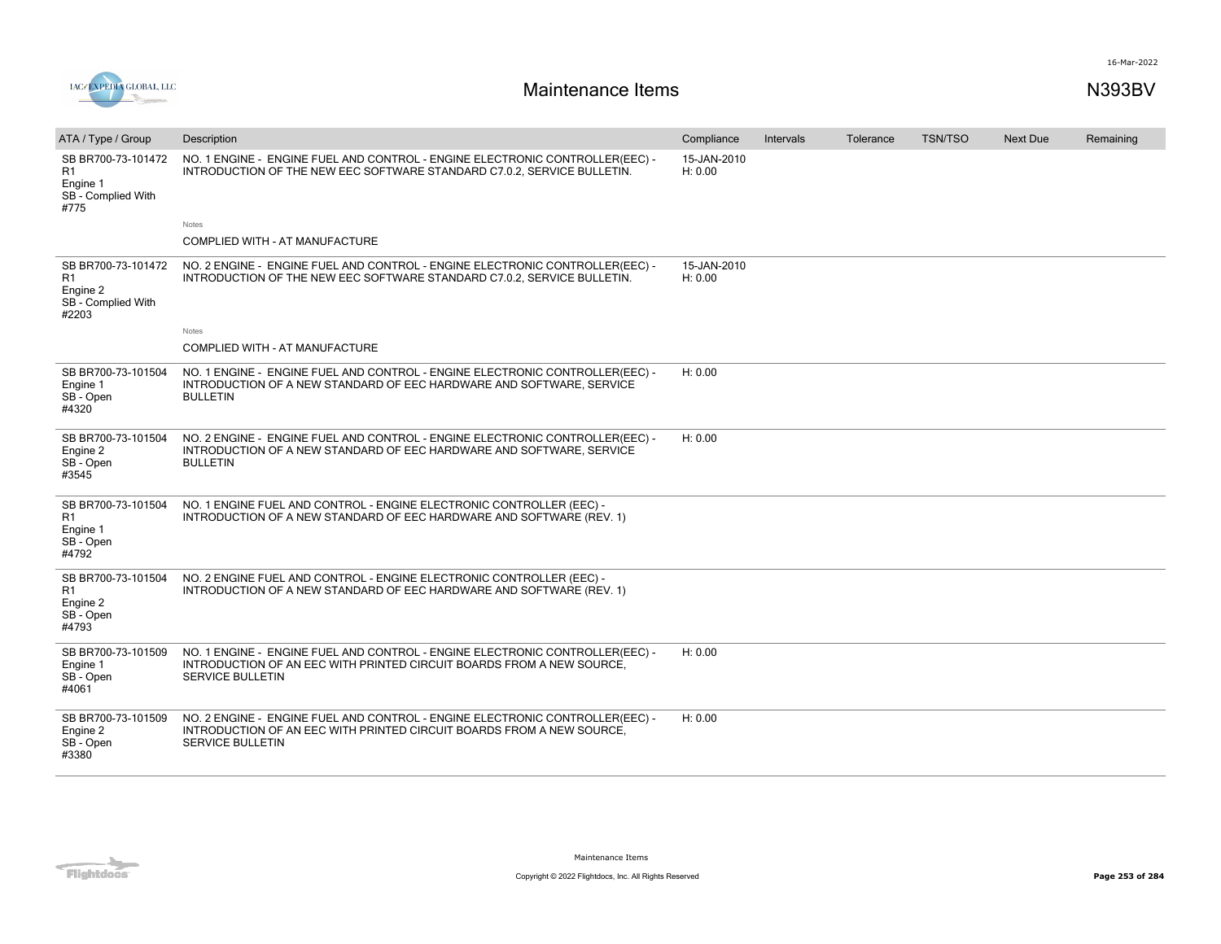

| ATA / Type / Group                                                  | Description                                                                                                                                                                      | Compliance             | Intervals | Tolerance | <b>TSN/TSO</b> | <b>Next Due</b> | Remaining |
|---------------------------------------------------------------------|----------------------------------------------------------------------------------------------------------------------------------------------------------------------------------|------------------------|-----------|-----------|----------------|-----------------|-----------|
| SB BR700-73-101472<br>R1<br>Engine 1<br>SB - Complied With<br>#775  | NO. 1 ENGINE - ENGINE FUEL AND CONTROL - ENGINE ELECTRONIC CONTROLLER(EEC) -<br>INTRODUCTION OF THE NEW EEC SOFTWARE STANDARD C7.0.2, SERVICE BULLETIN.                          | 15-JAN-2010<br>H: 0.00 |           |           |                |                 |           |
|                                                                     | Notes                                                                                                                                                                            |                        |           |           |                |                 |           |
|                                                                     | COMPLIED WITH - AT MANUFACTURE                                                                                                                                                   |                        |           |           |                |                 |           |
| SB BR700-73-101472<br>R1<br>Engine 2<br>SB - Complied With<br>#2203 | NO. 2 ENGINE - ENGINE FUEL AND CONTROL - ENGINE ELECTRONIC CONTROLLER(EEC) -<br>INTRODUCTION OF THE NEW EEC SOFTWARE STANDARD C7.0.2, SERVICE BULLETIN.                          | 15-JAN-2010<br>H: 0.00 |           |           |                |                 |           |
|                                                                     | Notes                                                                                                                                                                            |                        |           |           |                |                 |           |
|                                                                     | COMPLIED WITH - AT MANUFACTURE                                                                                                                                                   |                        |           |           |                |                 |           |
| SB BR700-73-101504<br>Engine 1<br>SB - Open<br>#4320                | NO. 1 ENGINE - ENGINE FUEL AND CONTROL - ENGINE ELECTRONIC CONTROLLER(EEC) -<br>INTRODUCTION OF A NEW STANDARD OF EEC HARDWARE AND SOFTWARE, SERVICE<br><b>BULLETIN</b>          | H: 0.00                |           |           |                |                 |           |
| SB BR700-73-101504<br>Engine 2<br>SB - Open<br>#3545                | NO. 2 ENGINE - ENGINE FUEL AND CONTROL - ENGINE ELECTRONIC CONTROLLER(EEC) -<br>INTRODUCTION OF A NEW STANDARD OF EEC HARDWARE AND SOFTWARE, SERVICE<br><b>BULLETIN</b>          | H: 0.00                |           |           |                |                 |           |
| SB BR700-73-101504<br>R1<br>Engine 1<br>SB - Open<br>#4792          | NO. 1 ENGINE FUEL AND CONTROL - ENGINE ELECTRONIC CONTROLLER (EEC) -<br>INTRODUCTION OF A NEW STANDARD OF EEC HARDWARE AND SOFTWARE (REV. 1)                                     |                        |           |           |                |                 |           |
| SB BR700-73-101504<br>R1<br>Engine 2<br>SB - Open<br>#4793          | NO. 2 ENGINE FUEL AND CONTROL - ENGINE ELECTRONIC CONTROLLER (EEC) -<br>INTRODUCTION OF A NEW STANDARD OF EEC HARDWARE AND SOFTWARE (REV. 1)                                     |                        |           |           |                |                 |           |
| SB BR700-73-101509<br>Engine 1<br>SB - Open<br>#4061                | NO. 1 ENGINE - ENGINE FUEL AND CONTROL - ENGINE ELECTRONIC CONTROLLER(EEC) -<br>INTRODUCTION OF AN EEC WITH PRINTED CIRCUIT BOARDS FROM A NEW SOURCE,<br>SERVICE BULLETIN        | H: 0.00                |           |           |                |                 |           |
| SB BR700-73-101509<br>Engine 2<br>SB - Open<br>#3380                | NO. 2 ENGINE - ENGINE FUEL AND CONTROL - ENGINE ELECTRONIC CONTROLLER(EEC) -<br>INTRODUCTION OF AN EEC WITH PRINTED CIRCUIT BOARDS FROM A NEW SOURCE.<br><b>SERVICE BULLETIN</b> | H: 0.00                |           |           |                |                 |           |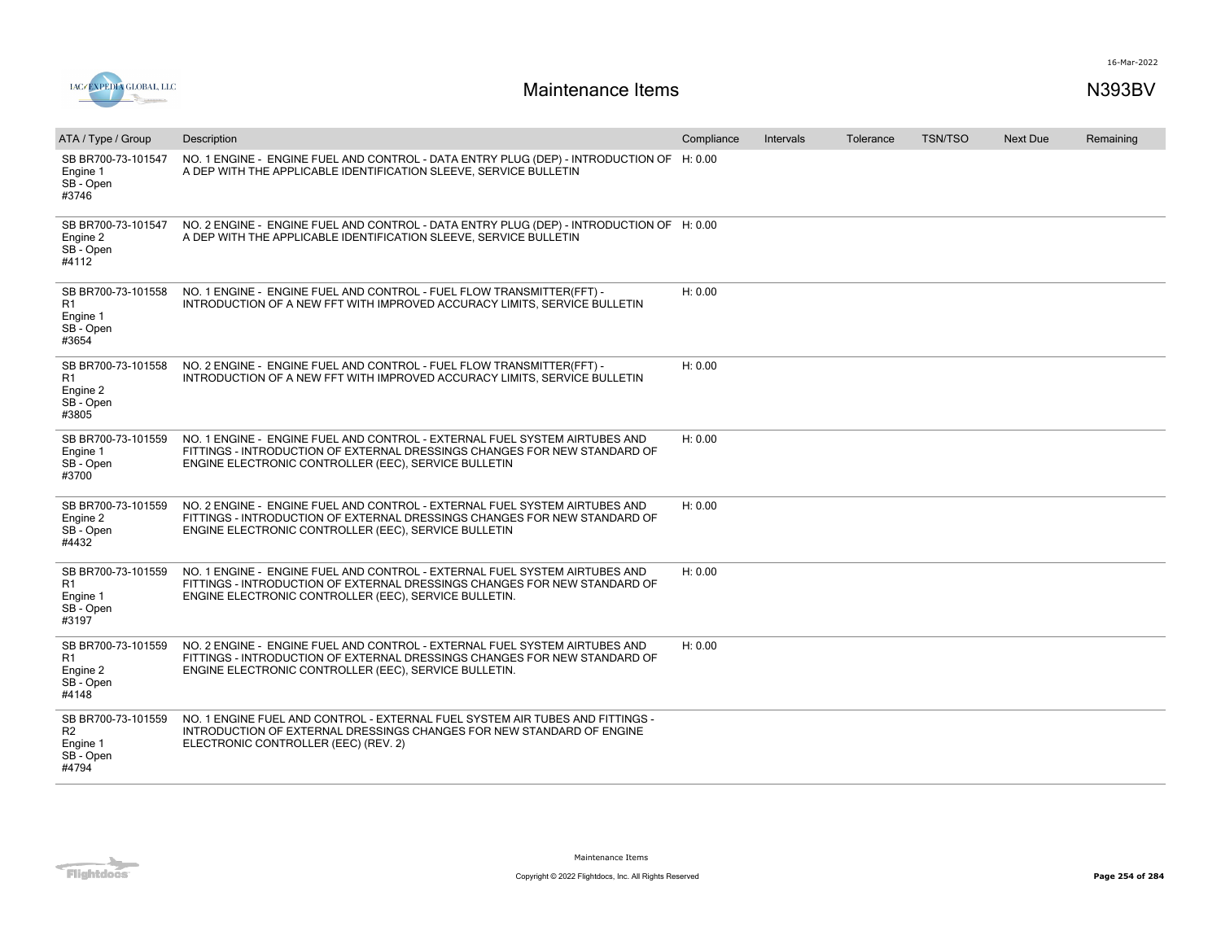

| ATA / Type / Group                                                     | Description                                                                                                                                                                                                      | Compliance | Intervals | Tolerance | <b>TSN/TSO</b> | <b>Next Due</b> | Remaining |
|------------------------------------------------------------------------|------------------------------------------------------------------------------------------------------------------------------------------------------------------------------------------------------------------|------------|-----------|-----------|----------------|-----------------|-----------|
| SB BR700-73-101547<br>Engine 1<br>SB-Open<br>#3746                     | NO. 1 ENGINE - ENGINE FUEL AND CONTROL - DATA ENTRY PLUG (DEP) - INTRODUCTION OF H: 0.00<br>A DEP WITH THE APPLICABLE IDENTIFICATION SLEEVE, SERVICE BULLETIN                                                    |            |           |           |                |                 |           |
| SB BR700-73-101547<br>Engine 2<br>SB - Open<br>#4112                   | NO. 2 ENGINE - ENGINE FUEL AND CONTROL - DATA ENTRY PLUG (DEP) - INTRODUCTION OF H: 0.00<br>A DEP WITH THE APPLICABLE IDENTIFICATION SLEEVE, SERVICE BULLETIN                                                    |            |           |           |                |                 |           |
| SB BR700-73-101558<br>R1<br>Engine 1<br>SB - Open<br>#3654             | NO. 1 ENGINE - ENGINE FUEL AND CONTROL - FUEL FLOW TRANSMITTER(FFT) -<br>INTRODUCTION OF A NEW FFT WITH IMPROVED ACCURACY LIMITS, SERVICE BULLETIN                                                               | H: 0.00    |           |           |                |                 |           |
| SB BR700-73-101558<br>R1<br>Engine 2<br>SB - Open<br>#3805             | NO. 2 ENGINE - ENGINE FUEL AND CONTROL - FUEL FLOW TRANSMITTER(FFT) -<br>INTRODUCTION OF A NEW FFT WITH IMPROVED ACCURACY LIMITS, SERVICE BULLETIN                                                               | H: 0.00    |           |           |                |                 |           |
| SB BR700-73-101559<br>Engine 1<br>SB - Open<br>#3700                   | NO. 1 ENGINE - ENGINE FUEL AND CONTROL - EXTERNAL FUEL SYSTEM AIRTUBES AND<br>FITTINGS - INTRODUCTION OF EXTERNAL DRESSINGS CHANGES FOR NEW STANDARD OF<br>ENGINE ELECTRONIC CONTROLLER (EEC), SERVICE BULLETIN  | H: 0.00    |           |           |                |                 |           |
| SB BR700-73-101559<br>Engine 2<br>SB - Open<br>#4432                   | NO. 2 ENGINE - ENGINE FUEL AND CONTROL - EXTERNAL FUEL SYSTEM AIRTUBES AND<br>FITTINGS - INTRODUCTION OF EXTERNAL DRESSINGS CHANGES FOR NEW STANDARD OF<br>ENGINE ELECTRONIC CONTROLLER (EEC), SERVICE BULLETIN  | H: 0.00    |           |           |                |                 |           |
| SB BR700-73-101559<br>R1<br>Engine 1<br>SB - Open<br>#3197             | NO. 1 ENGINE - ENGINE FUEL AND CONTROL - EXTERNAL FUEL SYSTEM AIRTUBES AND<br>FITTINGS - INTRODUCTION OF EXTERNAL DRESSINGS CHANGES FOR NEW STANDARD OF<br>ENGINE ELECTRONIC CONTROLLER (EEC), SERVICE BULLETIN. | H: 0.00    |           |           |                |                 |           |
| SB BR700-73-101559<br>R1<br>Engine 2<br>SB - Open<br>#4148             | NO. 2 ENGINE - ENGINE FUEL AND CONTROL - EXTERNAL FUEL SYSTEM AIRTUBES AND<br>FITTINGS - INTRODUCTION OF EXTERNAL DRESSINGS CHANGES FOR NEW STANDARD OF<br>ENGINE ELECTRONIC CONTROLLER (EEC), SERVICE BULLETIN. | H: 0.00    |           |           |                |                 |           |
| SB BR700-73-101559<br>R <sub>2</sub><br>Engine 1<br>SB - Open<br>#4794 | NO. 1 ENGINE FUEL AND CONTROL - EXTERNAL FUEL SYSTEM AIR TUBES AND FITTINGS -<br>INTRODUCTION OF EXTERNAL DRESSINGS CHANGES FOR NEW STANDARD OF ENGINE<br>ELECTRONIC CONTROLLER (EEC) (REV. 2)                   |            |           |           |                |                 |           |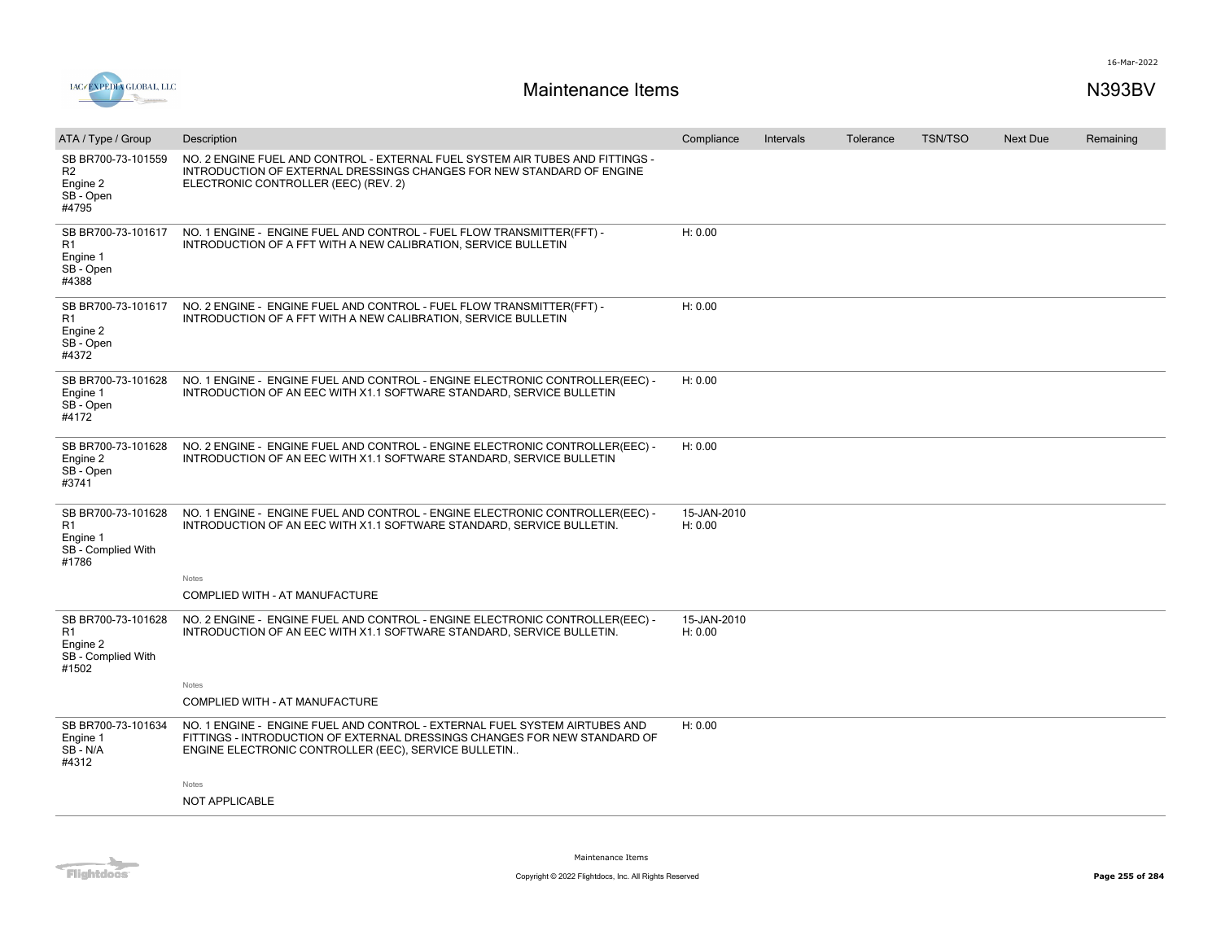

| ATA / Type / Group                                                              | Description                                                                                                                                                                                                     | Compliance             | Intervals | Tolerance | <b>TSN/TSO</b> | Next Due | Remaining |
|---------------------------------------------------------------------------------|-----------------------------------------------------------------------------------------------------------------------------------------------------------------------------------------------------------------|------------------------|-----------|-----------|----------------|----------|-----------|
| SB BR700-73-101559<br>R <sub>2</sub><br>Engine 2<br>SB - Open<br>#4795          | NO. 2 ENGINE FUEL AND CONTROL - EXTERNAL FUEL SYSTEM AIR TUBES AND FITTINGS -<br>INTRODUCTION OF EXTERNAL DRESSINGS CHANGES FOR NEW STANDARD OF ENGINE<br>ELECTRONIC CONTROLLER (EEC) (REV. 2)                  |                        |           |           |                |          |           |
| SB BR700-73-101617<br>R1<br>Engine 1<br>SB - Open<br>#4388                      | NO. 1 ENGINE - ENGINE FUEL AND CONTROL - FUEL FLOW TRANSMITTER(FFT) -<br>INTRODUCTION OF A FFT WITH A NEW CALIBRATION, SERVICE BULLETIN                                                                         | H: 0.00                |           |           |                |          |           |
| SB BR700-73-101617<br>R1<br>Engine 2<br>SB - Open<br>#4372                      | NO. 2 ENGINE - ENGINE FUEL AND CONTROL - FUEL FLOW TRANSMITTER (FFT) -<br>INTRODUCTION OF A FFT WITH A NEW CALIBRATION, SERVICE BULLETIN                                                                        | H: 0.00                |           |           |                |          |           |
| SB BR700-73-101628<br>Engine 1<br>SB - Open<br>#4172                            | NO. 1 ENGINE - ENGINE FUEL AND CONTROL - ENGINE ELECTRONIC CONTROLLER(EEC) -<br>INTRODUCTION OF AN EEC WITH X1.1 SOFTWARE STANDARD, SERVICE BULLETIN                                                            | H: 0.00                |           |           |                |          |           |
| SB BR700-73-101628<br>Engine 2<br>SB - Open<br>#3741                            | NO. 2 ENGINE - ENGINE FUEL AND CONTROL - ENGINE ELECTRONIC CONTROLLER(EEC) -<br>INTRODUCTION OF AN EEC WITH X1.1 SOFTWARE STANDARD, SERVICE BULLETIN                                                            | H: 0.00                |           |           |                |          |           |
| SB BR700-73-101628<br>R1<br>Engine 1<br>SB - Complied With<br>#1786             | NO. 1 ENGINE - ENGINE FUEL AND CONTROL - ENGINE ELECTRONIC CONTROLLER(EEC) -<br>INTRODUCTION OF AN EEC WITH X1.1 SOFTWARE STANDARD, SERVICE BULLETIN.                                                           | 15-JAN-2010<br>H: 0.00 |           |           |                |          |           |
|                                                                                 | Notes                                                                                                                                                                                                           |                        |           |           |                |          |           |
|                                                                                 | COMPLIED WITH - AT MANUFACTURE                                                                                                                                                                                  |                        |           |           |                |          |           |
| SB BR700-73-101628<br>R <sub>1</sub><br>Engine 2<br>SB - Complied With<br>#1502 | NO. 2 ENGINE - ENGINE FUEL AND CONTROL - ENGINE ELECTRONIC CONTROLLER(EEC) -<br>INTRODUCTION OF AN EEC WITH X1.1 SOFTWARE STANDARD, SERVICE BULLETIN.                                                           | 15-JAN-2010<br>H: 0.00 |           |           |                |          |           |
|                                                                                 | Notes                                                                                                                                                                                                           |                        |           |           |                |          |           |
|                                                                                 | COMPLIED WITH - AT MANUFACTURE                                                                                                                                                                                  |                        |           |           |                |          |           |
| SB BR700-73-101634<br>Engine 1<br>SB - N/A<br>#4312                             | NO. 1 ENGINE - ENGINE FUEL AND CONTROL - EXTERNAL FUEL SYSTEM AIRTUBES AND<br>FITTINGS - INTRODUCTION OF EXTERNAL DRESSINGS CHANGES FOR NEW STANDARD OF<br>ENGINE ELECTRONIC CONTROLLER (EEC), SERVICE BULLETIN | H: 0.00                |           |           |                |          |           |
|                                                                                 | Notes                                                                                                                                                                                                           |                        |           |           |                |          |           |
|                                                                                 | NOT APPLICABLE                                                                                                                                                                                                  |                        |           |           |                |          |           |
|                                                                                 |                                                                                                                                                                                                                 |                        |           |           |                |          |           |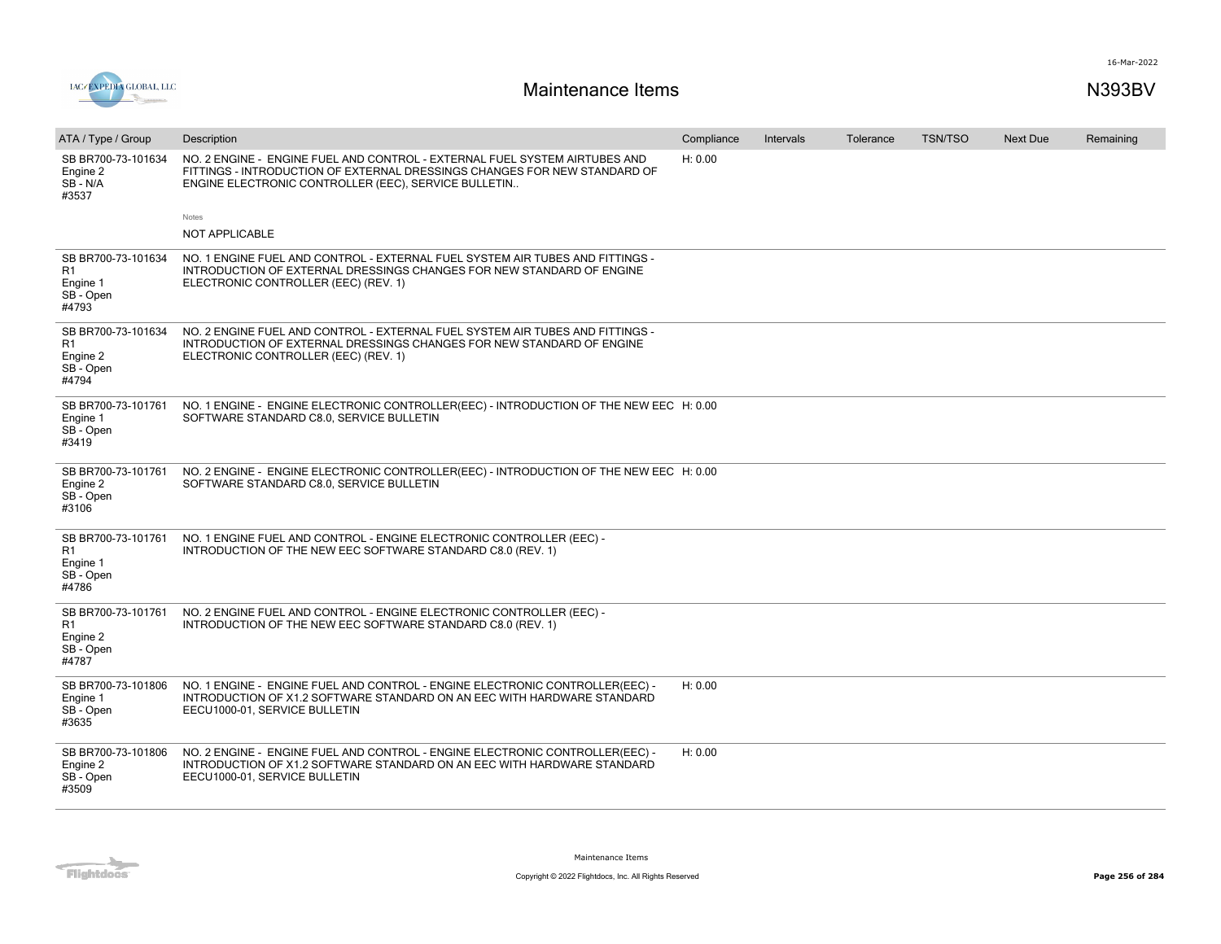

| ATA / Type / Group                                         | Description                                                                                                                                                                                                     | Compliance | <b>Intervals</b> | Tolerance | <b>TSN/TSO</b> | <b>Next Due</b> | Remaining |
|------------------------------------------------------------|-----------------------------------------------------------------------------------------------------------------------------------------------------------------------------------------------------------------|------------|------------------|-----------|----------------|-----------------|-----------|
| SB BR700-73-101634<br>Engine 2<br>SB-N/A<br>#3537          | NO. 2 ENGINE - ENGINE FUEL AND CONTROL - EXTERNAL FUEL SYSTEM AIRTUBES AND<br>FITTINGS - INTRODUCTION OF EXTERNAL DRESSINGS CHANGES FOR NEW STANDARD OF<br>ENGINE ELECTRONIC CONTROLLER (EEC), SERVICE BULLETIN | H: 0.00    |                  |           |                |                 |           |
|                                                            | Notes                                                                                                                                                                                                           |            |                  |           |                |                 |           |
|                                                            | <b>NOT APPLICABLE</b>                                                                                                                                                                                           |            |                  |           |                |                 |           |
| SB BR700-73-101634<br>R1<br>Engine 1<br>SB - Open<br>#4793 | NO. 1 ENGINE FUEL AND CONTROL - EXTERNAL FUEL SYSTEM AIR TUBES AND FITTINGS -<br>INTRODUCTION OF EXTERNAL DRESSINGS CHANGES FOR NEW STANDARD OF ENGINE<br>ELECTRONIC CONTROLLER (EEC) (REV. 1)                  |            |                  |           |                |                 |           |
| SB BR700-73-101634<br>R1<br>Engine 2<br>SB - Open<br>#4794 | NO. 2 ENGINE FUEL AND CONTROL - EXTERNAL FUEL SYSTEM AIR TUBES AND FITTINGS -<br>INTRODUCTION OF EXTERNAL DRESSINGS CHANGES FOR NEW STANDARD OF ENGINE<br>ELECTRONIC CONTROLLER (EEC) (REV. 1)                  |            |                  |           |                |                 |           |
| SB BR700-73-101761<br>Engine 1<br>SB - Open<br>#3419       | NO. 1 ENGINE - ENGINE ELECTRONIC CONTROLLER (EEC) - INTRODUCTION OF THE NEW EEC H: 0.00<br>SOFTWARE STANDARD C8.0, SERVICE BULLETIN                                                                             |            |                  |           |                |                 |           |
| SB BR700-73-101761<br>Engine 2<br>SB - Open<br>#3106       | NO. 2 ENGINE - ENGINE ELECTRONIC CONTROLLER(EEC) - INTRODUCTION OF THE NEW EEC H: 0.00<br>SOFTWARE STANDARD C8.0, SERVICE BULLETIN                                                                              |            |                  |           |                |                 |           |
| SB BR700-73-101761<br>R1<br>Engine 1<br>SB - Open<br>#4786 | NO. 1 ENGINE FUEL AND CONTROL - ENGINE ELECTRONIC CONTROLLER (EEC) -<br>INTRODUCTION OF THE NEW EEC SOFTWARE STANDARD C8.0 (REV. 1)                                                                             |            |                  |           |                |                 |           |
| SB BR700-73-101761<br>R1<br>Engine 2<br>SB - Open<br>#4787 | NO. 2 ENGINE FUEL AND CONTROL - ENGINE ELECTRONIC CONTROLLER (EEC) -<br>INTRODUCTION OF THE NEW EEC SOFTWARE STANDARD C8.0 (REV. 1)                                                                             |            |                  |           |                |                 |           |
| SB BR700-73-101806<br>Engine 1<br>SB - Open<br>#3635       | NO. 1 ENGINE - ENGINE FUEL AND CONTROL - ENGINE ELECTRONIC CONTROLLER(EEC) -<br>INTRODUCTION OF X1.2 SOFTWARE STANDARD ON AN EEC WITH HARDWARE STANDARD<br>EECU1000-01, SERVICE BULLETIN                        | H: 0.00    |                  |           |                |                 |           |
| SB BR700-73-101806<br>Engine 2<br>SB - Open<br>#3509       | NO. 2 ENGINE - ENGINE FUEL AND CONTROL - ENGINE ELECTRONIC CONTROLLER(EEC) -<br>INTRODUCTION OF X1.2 SOFTWARE STANDARD ON AN EEC WITH HARDWARE STANDARD<br>EECU1000-01, SERVICE BULLETIN                        | H: 0.00    |                  |           |                |                 |           |

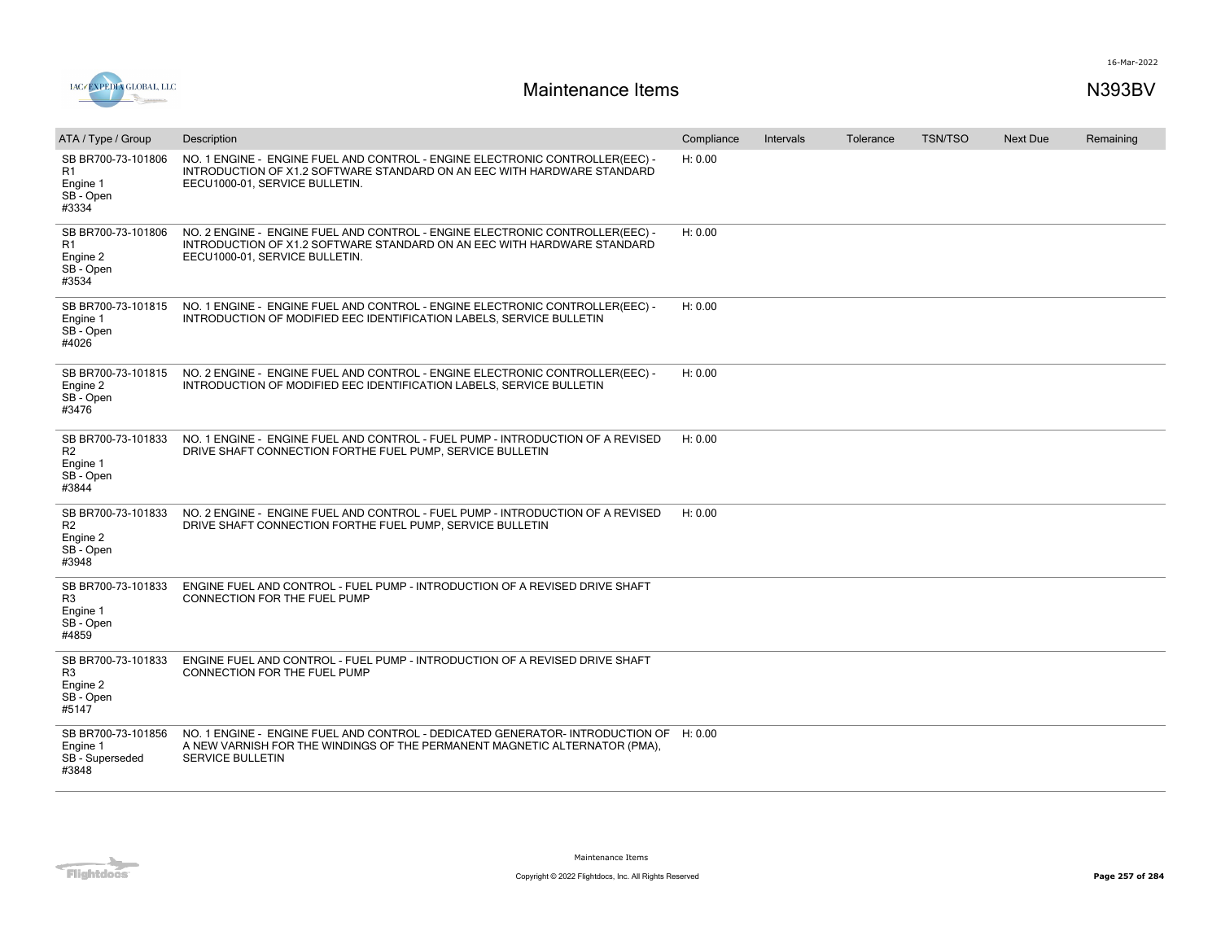

| ATA / Type / Group                                                     | Description                                                                                                                                                                                    | Compliance | Intervals | Tolerance | <b>TSN/TSO</b> | <b>Next Due</b> | Remaining |
|------------------------------------------------------------------------|------------------------------------------------------------------------------------------------------------------------------------------------------------------------------------------------|------------|-----------|-----------|----------------|-----------------|-----------|
| SB BR700-73-101806<br>R1<br>Engine 1<br>SB - Open<br>#3334             | NO. 1 ENGINE - ENGINE FUEL AND CONTROL - ENGINE ELECTRONIC CONTROLLER(EEC) -<br>INTRODUCTION OF X1.2 SOFTWARE STANDARD ON AN EEC WITH HARDWARE STANDARD<br>EECU1000-01, SERVICE BULLETIN.      | H: 0.00    |           |           |                |                 |           |
| SB BR700-73-101806<br>R1<br>Engine 2<br>SB - Open<br>#3534             | NO. 2 ENGINE - ENGINE FUEL AND CONTROL - ENGINE ELECTRONIC CONTROLLER(EEC) -<br>INTRODUCTION OF X1.2 SOFTWARE STANDARD ON AN EEC WITH HARDWARE STANDARD<br>EECU1000-01. SERVICE BULLETIN.      | H: 0.00    |           |           |                |                 |           |
| SB BR700-73-101815<br>Engine 1<br>SB - Open<br>#4026                   | NO. 1 ENGINE - ENGINE FUEL AND CONTROL - ENGINE ELECTRONIC CONTROLLER(EEC) -<br>INTRODUCTION OF MODIFIED EEC IDENTIFICATION LABELS, SERVICE BULLETIN                                           | H: 0.00    |           |           |                |                 |           |
| SB BR700-73-101815<br>Engine 2<br>SB - Open<br>#3476                   | NO. 2 ENGINE - ENGINE FUEL AND CONTROL - ENGINE ELECTRONIC CONTROLLER(EEC) -<br>INTRODUCTION OF MODIFIED EEC IDENTIFICATION LABELS, SERVICE BULLETIN                                           | H: 0.00    |           |           |                |                 |           |
| SB BR700-73-101833<br>R <sub>2</sub><br>Engine 1<br>SB - Open<br>#3844 | NO. 1 ENGINE - ENGINE FUEL AND CONTROL - FUEL PUMP - INTRODUCTION OF A REVISED<br>DRIVE SHAFT CONNECTION FORTHE FUEL PUMP, SERVICE BULLETIN                                                    | H: 0.00    |           |           |                |                 |           |
| SB BR700-73-101833<br>R <sub>2</sub><br>Engine 2<br>SB - Open<br>#3948 | NO. 2 ENGINE - ENGINE FUEL AND CONTROL - FUEL PUMP - INTRODUCTION OF A REVISED<br>DRIVE SHAFT CONNECTION FORTHE FUEL PUMP, SERVICE BULLETIN                                                    | H: 0.00    |           |           |                |                 |           |
| SB BR700-73-101833<br>R <sub>3</sub><br>Engine 1<br>SB - Open<br>#4859 | ENGINE FUEL AND CONTROL - FUEL PUMP - INTRODUCTION OF A REVISED DRIVE SHAFT<br>CONNECTION FOR THE FUEL PUMP                                                                                    |            |           |           |                |                 |           |
| SB BR700-73-101833<br>R <sub>3</sub><br>Engine 2<br>SB - Open<br>#5147 | ENGINE FUEL AND CONTROL - FUEL PUMP - INTRODUCTION OF A REVISED DRIVE SHAFT<br>CONNECTION FOR THE FUEL PUMP                                                                                    |            |           |           |                |                 |           |
| SB BR700-73-101856<br>Engine 1<br>SB - Superseded<br>#3848             | NO. 1 ENGINE - ENGINE FUEL AND CONTROL - DEDICATED GENERATOR- INTRODUCTION OF H: 0.00<br>A NEW VARNISH FOR THE WINDINGS OF THE PERMANENT MAGNETIC ALTERNATOR (PMA),<br><b>SERVICE BULLETIN</b> |            |           |           |                |                 |           |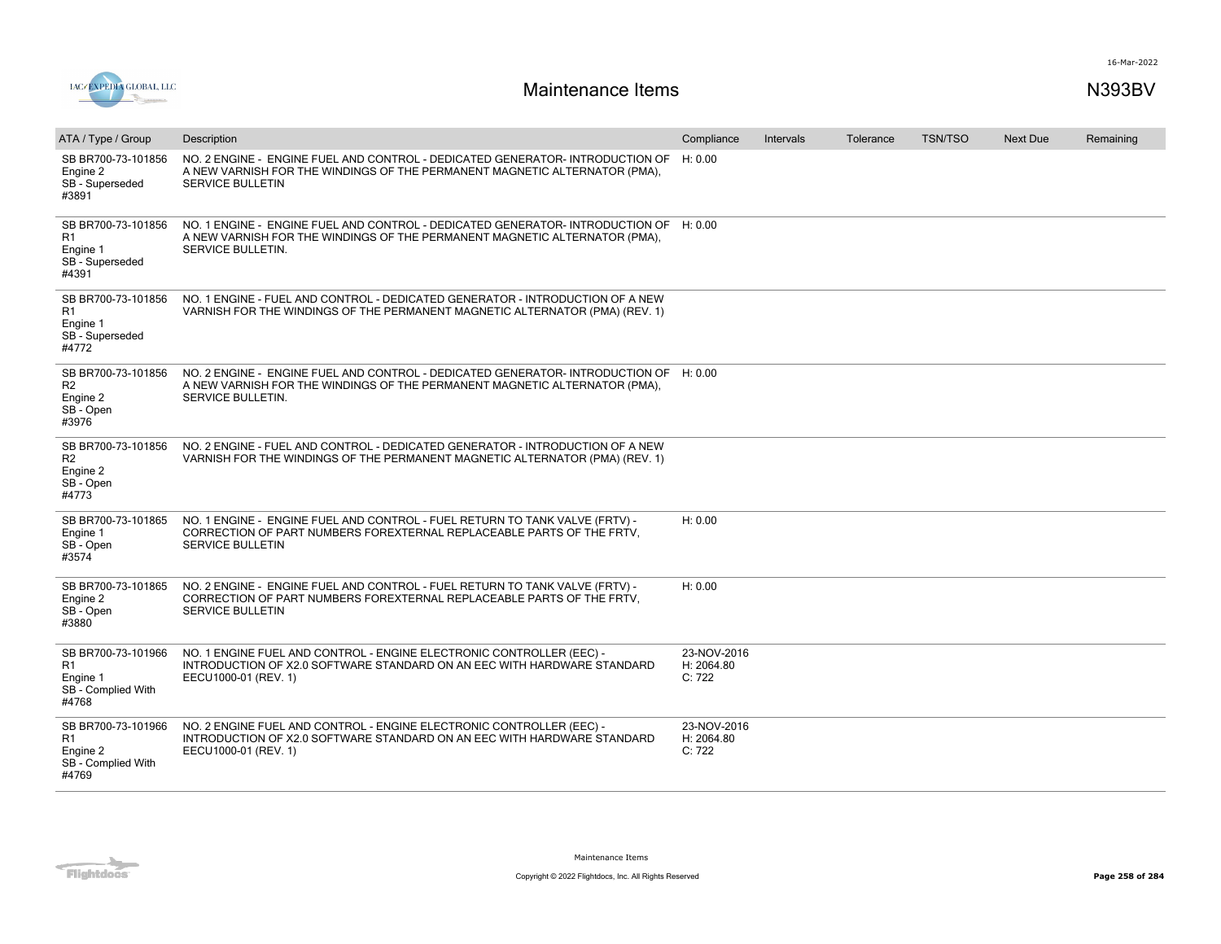



| ATA / Type / Group                                                              | Description                                                                                                                                                                              | Compliance                          | <b>Intervals</b> | Tolerance | <b>TSN/TSO</b> | <b>Next Due</b> | Remaining |
|---------------------------------------------------------------------------------|------------------------------------------------------------------------------------------------------------------------------------------------------------------------------------------|-------------------------------------|------------------|-----------|----------------|-----------------|-----------|
| SB BR700-73-101856<br>Engine 2<br>SB - Superseded<br>#3891                      | NO. 2 ENGINE - ENGINE FUEL AND CONTROL - DEDICATED GENERATOR- INTRODUCTION OF<br>A NEW VARNISH FOR THE WINDINGS OF THE PERMANENT MAGNETIC ALTERNATOR (PMA),<br><b>SERVICE BULLETIN</b>   | H: 0.00                             |                  |           |                |                 |           |
| SB BR700-73-101856<br>R <sub>1</sub><br>Engine 1<br>SB - Superseded<br>#4391    | NO. 1 ENGINE - ENGINE FUEL AND CONTROL - DEDICATED GENERATOR- INTRODUCTION OF H: 0.00<br>A NEW VARNISH FOR THE WINDINGS OF THE PERMANENT MAGNETIC ALTERNATOR (PMA),<br>SERVICE BULLETIN. |                                     |                  |           |                |                 |           |
| SB BR700-73-101856<br>R <sub>1</sub><br>Engine 1<br>SB - Superseded<br>#4772    | NO. 1 ENGINE - FUEL AND CONTROL - DEDICATED GENERATOR - INTRODUCTION OF A NEW<br>VARNISH FOR THE WINDINGS OF THE PERMANENT MAGNETIC ALTERNATOR (PMA) (REV. 1)                            |                                     |                  |           |                |                 |           |
| SB BR700-73-101856<br>R <sub>2</sub><br>Engine 2<br>SB - Open<br>#3976          | NO. 2 ENGINE - ENGINE FUEL AND CONTROL - DEDICATED GENERATOR-INTRODUCTION OF H: 0.00<br>A NEW VARNISH FOR THE WINDINGS OF THE PERMANENT MAGNETIC ALTERNATOR (PMA),<br>SERVICE BULLETIN.  |                                     |                  |           |                |                 |           |
| SB BR700-73-101856<br>R <sub>2</sub><br>Engine 2<br>SB - Open<br>#4773          | NO. 2 ENGINE - FUEL AND CONTROL - DEDICATED GENERATOR - INTRODUCTION OF A NEW<br>VARNISH FOR THE WINDINGS OF THE PERMANENT MAGNETIC ALTERNATOR (PMA) (REV. 1)                            |                                     |                  |           |                |                 |           |
| SB BR700-73-101865<br>Engine 1<br>SB - Open<br>#3574                            | NO. 1 ENGINE - ENGINE FUEL AND CONTROL - FUEL RETURN TO TANK VALVE (FRTV) -<br>CORRECTION OF PART NUMBERS FOREXTERNAL REPLACEABLE PARTS OF THE FRTV.<br><b>SERVICE BULLETIN</b>          | H: 0.00                             |                  |           |                |                 |           |
| SB BR700-73-101865<br>Engine 2<br>SB - Open<br>#3880                            | NO. 2 ENGINE - ENGINE FUEL AND CONTROL - FUEL RETURN TO TANK VALVE (FRTV) -<br>CORRECTION OF PART NUMBERS FOREXTERNAL REPLACEABLE PARTS OF THE FRTV,<br><b>SERVICE BULLETIN</b>          | H: 0.00                             |                  |           |                |                 |           |
| SB BR700-73-101966<br>R1<br>Engine 1<br>SB - Complied With<br>#4768             | NO. 1 ENGINE FUEL AND CONTROL - ENGINE ELECTRONIC CONTROLLER (EEC) -<br>INTRODUCTION OF X2.0 SOFTWARE STANDARD ON AN EEC WITH HARDWARE STANDARD<br>EECU1000-01 (REV. 1)                  | 23-NOV-2016<br>H: 2064.80<br>C: 722 |                  |           |                |                 |           |
| SB BR700-73-101966<br>R <sub>1</sub><br>Engine 2<br>SB - Complied With<br>#4769 | NO. 2 ENGINE FUEL AND CONTROL - ENGINE ELECTRONIC CONTROLLER (EEC) -<br>INTRODUCTION OF X2.0 SOFTWARE STANDARD ON AN EEC WITH HARDWARE STANDARD<br>EECU1000-01 (REV. 1)                  | 23-NOV-2016<br>H: 2064.80<br>C: 722 |                  |           |                |                 |           |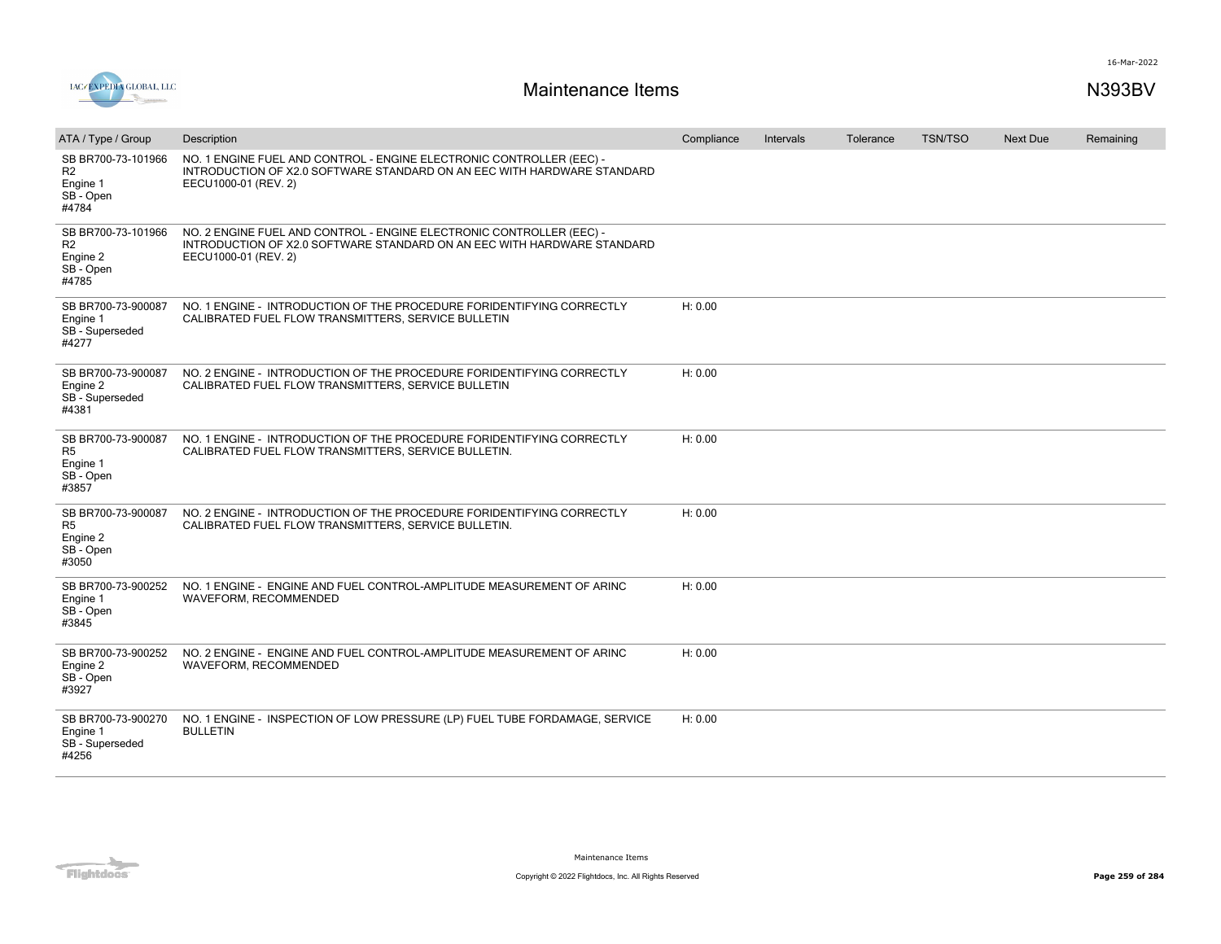

| ATA / Type / Group                                                     | Description                                                                                                                                                             | Compliance | Intervals | Tolerance | <b>TSN/TSO</b> | <b>Next Due</b> | Remaining |
|------------------------------------------------------------------------|-------------------------------------------------------------------------------------------------------------------------------------------------------------------------|------------|-----------|-----------|----------------|-----------------|-----------|
| SB BR700-73-101966<br>R <sub>2</sub><br>Engine 1<br>SB - Open<br>#4784 | NO. 1 ENGINE FUEL AND CONTROL - ENGINE ELECTRONIC CONTROLLER (EEC) -<br>INTRODUCTION OF X2.0 SOFTWARE STANDARD ON AN EEC WITH HARDWARE STANDARD<br>EECU1000-01 (REV. 2) |            |           |           |                |                 |           |
| SB BR700-73-101966<br>R <sub>2</sub><br>Engine 2<br>SB - Open<br>#4785 | NO. 2 ENGINE FUEL AND CONTROL - ENGINE ELECTRONIC CONTROLLER (EEC) -<br>INTRODUCTION OF X2.0 SOFTWARE STANDARD ON AN EEC WITH HARDWARE STANDARD<br>EECU1000-01 (REV. 2) |            |           |           |                |                 |           |
| SB BR700-73-900087<br>Engine 1<br>SB - Superseded<br>#4277             | NO. 1 ENGINE - INTRODUCTION OF THE PROCEDURE FORIDENTIFYING CORRECTLY<br>CALIBRATED FUEL FLOW TRANSMITTERS, SERVICE BULLETIN                                            | H: 0.00    |           |           |                |                 |           |
| SB BR700-73-900087<br>Engine 2<br>SB - Superseded<br>#4381             | NO. 2 ENGINE - INTRODUCTION OF THE PROCEDURE FORIDENTIFYING CORRECTLY<br>CALIBRATED FUEL FLOW TRANSMITTERS, SERVICE BULLETIN                                            | H: 0.00    |           |           |                |                 |           |
| SB BR700-73-900087<br>R <sub>5</sub><br>Engine 1<br>SB - Open<br>#3857 | NO. 1 ENGINE - INTRODUCTION OF THE PROCEDURE FORIDENTIFYING CORRECTLY<br>CALIBRATED FUEL FLOW TRANSMITTERS, SERVICE BULLETIN.                                           | H: 0.00    |           |           |                |                 |           |
| SB BR700-73-900087<br>R <sub>5</sub><br>Engine 2<br>SB - Open<br>#3050 | NO. 2 ENGINE - INTRODUCTION OF THE PROCEDURE FORIDENTIFYING CORRECTLY<br>CALIBRATED FUEL FLOW TRANSMITTERS, SERVICE BULLETIN.                                           | H: 0.00    |           |           |                |                 |           |
| SB BR700-73-900252<br>Engine 1<br>SB - Open<br>#3845                   | NO. 1 ENGINE - ENGINE AND FUEL CONTROL-AMPLITUDE MEASUREMENT OF ARINC<br>WAVEFORM, RECOMMENDED                                                                          | H: 0.00    |           |           |                |                 |           |
| SB BR700-73-900252<br>Engine 2<br>SB - Open<br>#3927                   | NO. 2 ENGINE - ENGINE AND FUEL CONTROL-AMPLITUDE MEASUREMENT OF ARINC<br>WAVEFORM, RECOMMENDED                                                                          | H: 0.00    |           |           |                |                 |           |
| SB BR700-73-900270<br>Engine 1<br>SB - Superseded<br>#4256             | NO. 1 ENGINE - INSPECTION OF LOW PRESSURE (LP) FUEL TUBE FORDAMAGE, SERVICE<br><b>BULLETIN</b>                                                                          | H: 0.00    |           |           |                |                 |           |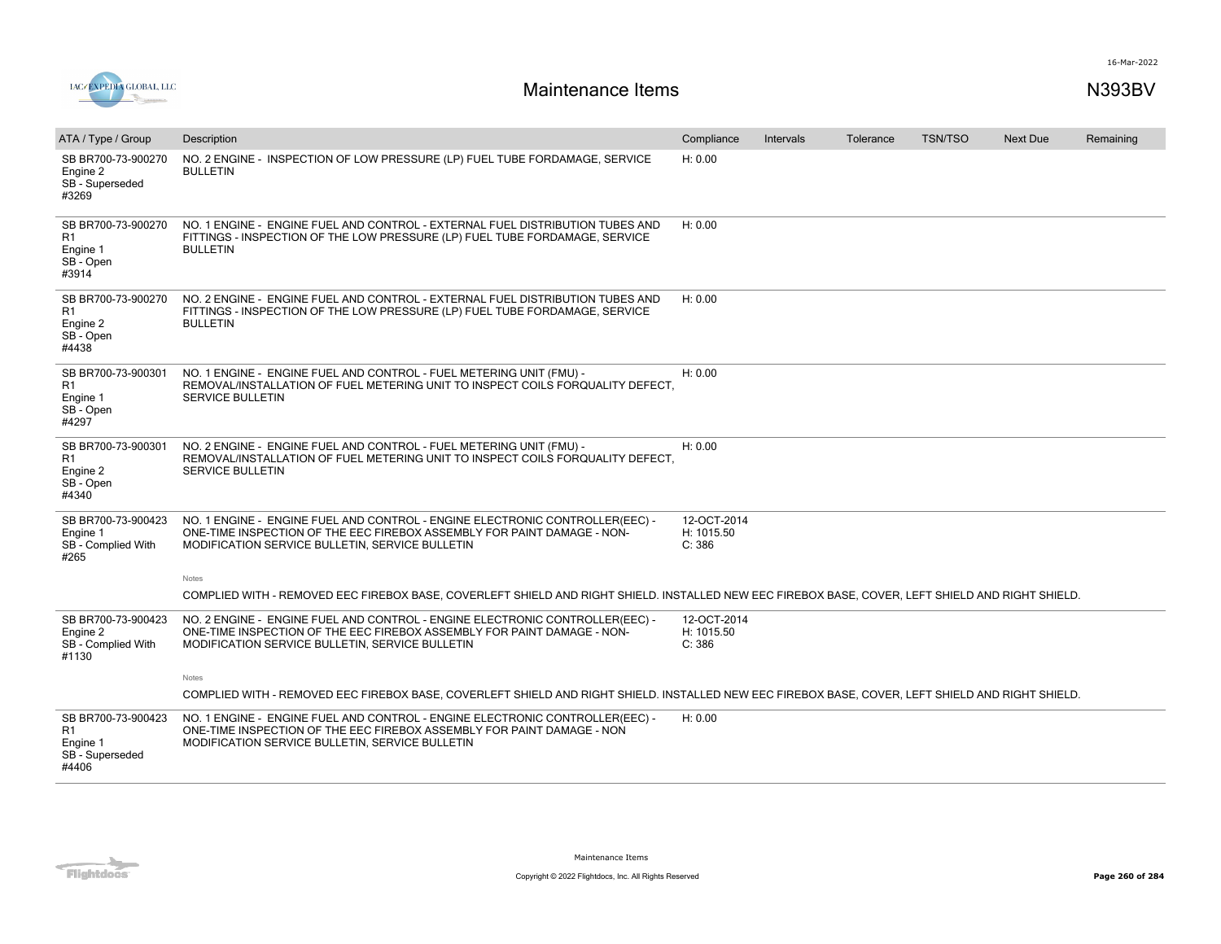

| ATA / Type / Group                                               | Description                                                                                                                                                                                                | Compliance                          | Intervals | Tolerance | <b>TSN/TSO</b> | Next Due | Remaining |
|------------------------------------------------------------------|------------------------------------------------------------------------------------------------------------------------------------------------------------------------------------------------------------|-------------------------------------|-----------|-----------|----------------|----------|-----------|
| SB BR700-73-900270<br>Engine 2<br>SB - Superseded<br>#3269       | NO. 2 ENGINE - INSPECTION OF LOW PRESSURE (LP) FUEL TUBE FORDAMAGE, SERVICE<br><b>BULLETIN</b>                                                                                                             | H: 0.00                             |           |           |                |          |           |
| SB BR700-73-900270<br>R1<br>Engine 1<br>SB - Open<br>#3914       | NO. 1 ENGINE - ENGINE FUEL AND CONTROL - EXTERNAL FUEL DISTRIBUTION TUBES AND<br>FITTINGS - INSPECTION OF THE LOW PRESSURE (LP) FUEL TUBE FORDAMAGE, SERVICE<br><b>BULLETIN</b>                            | H: 0.00                             |           |           |                |          |           |
| SB BR700-73-900270<br>R1<br>Engine 2<br>SB - Open<br>#4438       | NO. 2 ENGINE - ENGINE FUEL AND CONTROL - EXTERNAL FUEL DISTRIBUTION TUBES AND<br>FITTINGS - INSPECTION OF THE LOW PRESSURE (LP) FUEL TUBE FORDAMAGE, SERVICE<br><b>BULLETIN</b>                            | H: 0.00                             |           |           |                |          |           |
| SB BR700-73-900301<br>R1<br>Engine 1<br>SB - Open<br>#4297       | NO. 1 ENGINE - ENGINE FUEL AND CONTROL - FUEL METERING UNIT (FMU) -<br>REMOVAL/INSTALLATION OF FUEL METERING UNIT TO INSPECT COILS FORQUALITY DEFECT.<br><b>SERVICE BULLETIN</b>                           | H: 0.00                             |           |           |                |          |           |
| SB BR700-73-900301<br>R1<br>Engine 2<br>SB - Open<br>#4340       | NO. 2 ENGINE - ENGINE FUEL AND CONTROL - FUEL METERING UNIT (FMU) -<br>REMOVAL/INSTALLATION OF FUEL METERING UNIT TO INSPECT COILS FORQUALITY DEFECT.<br><b>SERVICE BULLETIN</b>                           | H: 0.00                             |           |           |                |          |           |
| SB BR700-73-900423<br>Engine 1<br>SB - Complied With<br>#265     | NO. 1 ENGINE - ENGINE FUEL AND CONTROL - ENGINE ELECTRONIC CONTROLLER(EEC) -<br>ONE-TIME INSPECTION OF THE EEC FIREBOX ASSEMBLY FOR PAINT DAMAGE - NON-<br>MODIFICATION SERVICE BULLETIN, SERVICE BULLETIN | 12-OCT-2014<br>H: 1015.50<br>C: 386 |           |           |                |          |           |
|                                                                  | Notes                                                                                                                                                                                                      |                                     |           |           |                |          |           |
|                                                                  | COMPLIED WITH - REMOVED EEC FIREBOX BASE, COVERLEFT SHIELD AND RIGHT SHIELD. INSTALLED NEW EEC FIREBOX BASE, COVER, LEFT SHIELD AND RIGHT SHIELD.                                                          |                                     |           |           |                |          |           |
| SB BR700-73-900423<br>Engine 2<br>SB - Complied With<br>#1130    | NO. 2 ENGINE - ENGINE FUEL AND CONTROL - ENGINE ELECTRONIC CONTROLLER(EEC) -<br>ONE-TIME INSPECTION OF THE EEC FIREBOX ASSEMBLY FOR PAINT DAMAGE - NON-<br>MODIFICATION SERVICE BULLETIN, SERVICE BULLETIN | 12-OCT-2014<br>H: 1015.50<br>C: 386 |           |           |                |          |           |
|                                                                  | Notes                                                                                                                                                                                                      |                                     |           |           |                |          |           |
|                                                                  | COMPLIED WITH - REMOVED EEC FIREBOX BASE, COVERLEFT SHIELD AND RIGHT SHIELD. INSTALLED NEW EEC FIREBOX BASE, COVER, LEFT SHIELD AND RIGHT SHIELD.                                                          |                                     |           |           |                |          |           |
| SB BR700-73-900423<br>R1<br>Engine 1<br>SB - Superseded<br>#4406 | NO. 1 ENGINE - ENGINE FUEL AND CONTROL - ENGINE ELECTRONIC CONTROLLER(EEC) -<br>ONE-TIME INSPECTION OF THE EEC FIREBOX ASSEMBLY FOR PAINT DAMAGE - NON<br>MODIFICATION SERVICE BULLETIN, SERVICE BULLETIN  | H: 0.00                             |           |           |                |          |           |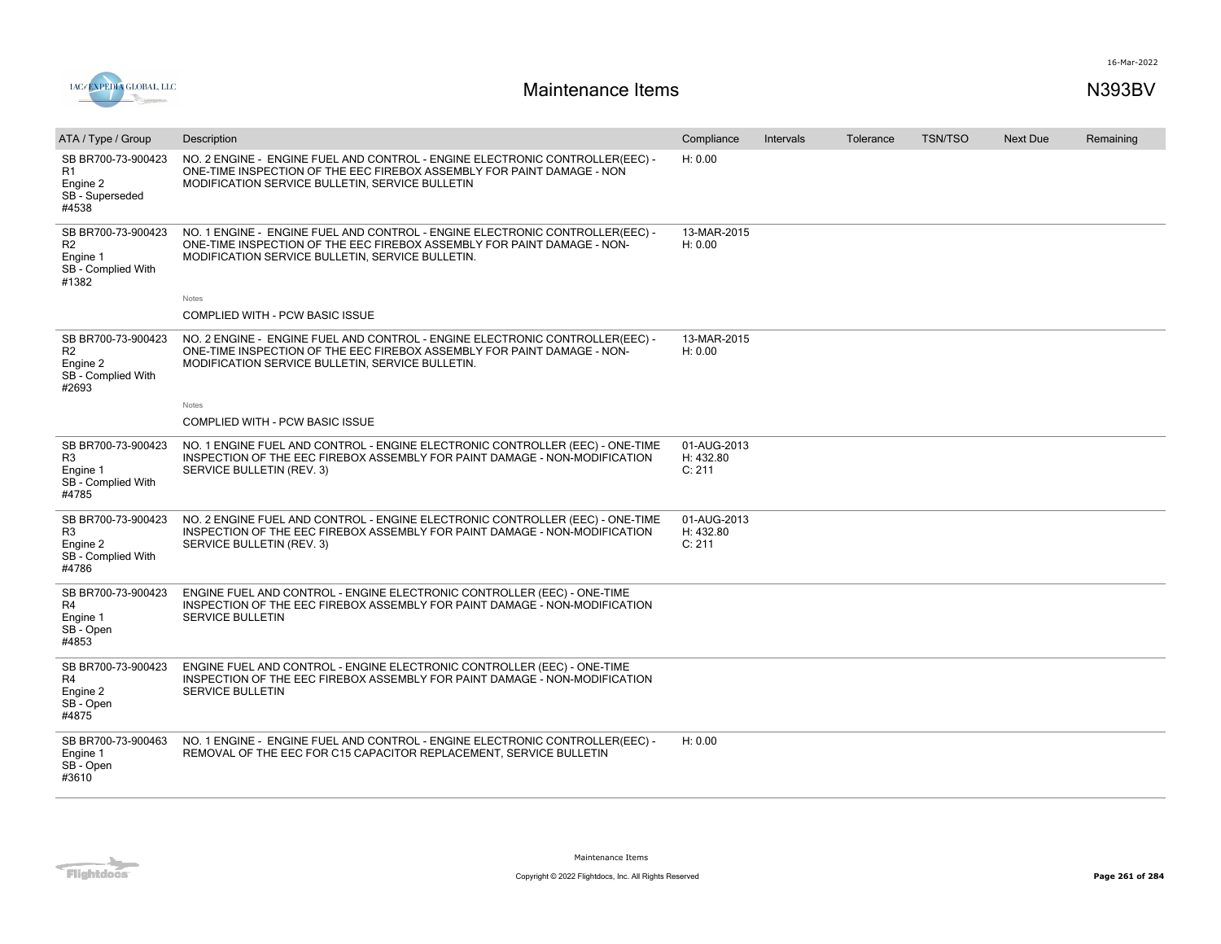



| ATA / Type / Group                                                              | Description                                                                                                                                                                                                 | Compliance                         | Intervals | Tolerance | <b>TSN/TSO</b> | <b>Next Due</b> | Remaining |
|---------------------------------------------------------------------------------|-------------------------------------------------------------------------------------------------------------------------------------------------------------------------------------------------------------|------------------------------------|-----------|-----------|----------------|-----------------|-----------|
| SB BR700-73-900423<br>R1<br>Engine 2<br>SB - Superseded<br>#4538                | NO. 2 ENGINE - ENGINE FUEL AND CONTROL - ENGINE ELECTRONIC CONTROLLER(EEC) -<br>ONE-TIME INSPECTION OF THE EEC FIREBOX ASSEMBLY FOR PAINT DAMAGE - NON<br>MODIFICATION SERVICE BULLETIN, SERVICE BULLETIN   | H: 0.00                            |           |           |                |                 |           |
| SB BR700-73-900423<br>R <sub>2</sub><br>Engine 1<br>SB - Complied With<br>#1382 | NO. 1 ENGINE - ENGINE FUEL AND CONTROL - ENGINE ELECTRONIC CONTROLLER(EEC) -<br>ONE-TIME INSPECTION OF THE EEC FIREBOX ASSEMBLY FOR PAINT DAMAGE - NON-<br>MODIFICATION SERVICE BULLETIN, SERVICE BULLETIN. | 13-MAR-2015<br>H: 0.00             |           |           |                |                 |           |
|                                                                                 | Notes                                                                                                                                                                                                       |                                    |           |           |                |                 |           |
|                                                                                 | COMPLIED WITH - PCW BASIC ISSUE                                                                                                                                                                             |                                    |           |           |                |                 |           |
| SB BR700-73-900423<br>R <sub>2</sub><br>Engine 2<br>SB - Complied With<br>#2693 | NO. 2 ENGINE - ENGINE FUEL AND CONTROL - ENGINE ELECTRONIC CONTROLLER(EEC) -<br>ONE-TIME INSPECTION OF THE EEC FIREBOX ASSEMBLY FOR PAINT DAMAGE - NON-<br>MODIFICATION SERVICE BULLETIN, SERVICE BULLETIN. | 13-MAR-2015<br>H: 0.00             |           |           |                |                 |           |
|                                                                                 | Notes                                                                                                                                                                                                       |                                    |           |           |                |                 |           |
|                                                                                 | COMPLIED WITH - PCW BASIC ISSUE                                                                                                                                                                             |                                    |           |           |                |                 |           |
| SB BR700-73-900423<br>R <sub>3</sub><br>Engine 1<br>SB - Complied With<br>#4785 | NO. 1 ENGINE FUEL AND CONTROL - ENGINE ELECTRONIC CONTROLLER (EEC) - ONE-TIME<br>INSPECTION OF THE EEC FIREBOX ASSEMBLY FOR PAINT DAMAGE - NON-MODIFICATION<br>SERVICE BULLETIN (REV. 3)                    | 01-AUG-2013<br>H: 432.80<br>C: 211 |           |           |                |                 |           |
| SB BR700-73-900423<br>R <sub>3</sub><br>Engine 2<br>SB - Complied With<br>#4786 | NO. 2 ENGINE FUEL AND CONTROL - ENGINE ELECTRONIC CONTROLLER (EEC) - ONE-TIME<br>INSPECTION OF THE EEC FIREBOX ASSEMBLY FOR PAINT DAMAGE - NON-MODIFICATION<br>SERVICE BULLETIN (REV. 3)                    | 01-AUG-2013<br>H: 432.80<br>C: 211 |           |           |                |                 |           |
| SB BR700-73-900423<br>R4<br>Engine 1<br>SB - Open<br>#4853                      | ENGINE FUEL AND CONTROL - ENGINE ELECTRONIC CONTROLLER (EEC) - ONE-TIME<br>INSPECTION OF THE EEC FIREBOX ASSEMBLY FOR PAINT DAMAGE - NON-MODIFICATION<br><b>SERVICE BULLETIN</b>                            |                                    |           |           |                |                 |           |
| SB BR700-73-900423<br>R4<br>Engine 2<br>SB - Open<br>#4875                      | ENGINE FUEL AND CONTROL - ENGINE ELECTRONIC CONTROLLER (EEC) - ONE-TIME<br>INSPECTION OF THE EEC FIREBOX ASSEMBLY FOR PAINT DAMAGE - NON-MODIFICATION<br>SERVICE BULLETIN                                   |                                    |           |           |                |                 |           |
| SB BR700-73-900463<br>Engine 1<br>SB - Open<br>#3610                            | NO. 1 ENGINE - ENGINE FUEL AND CONTROL - ENGINE ELECTRONIC CONTROLLER(EEC) -<br>REMOVAL OF THE EEC FOR C15 CAPACITOR REPLACEMENT, SERVICE BULLETIN                                                          | H: 0.00                            |           |           |                |                 |           |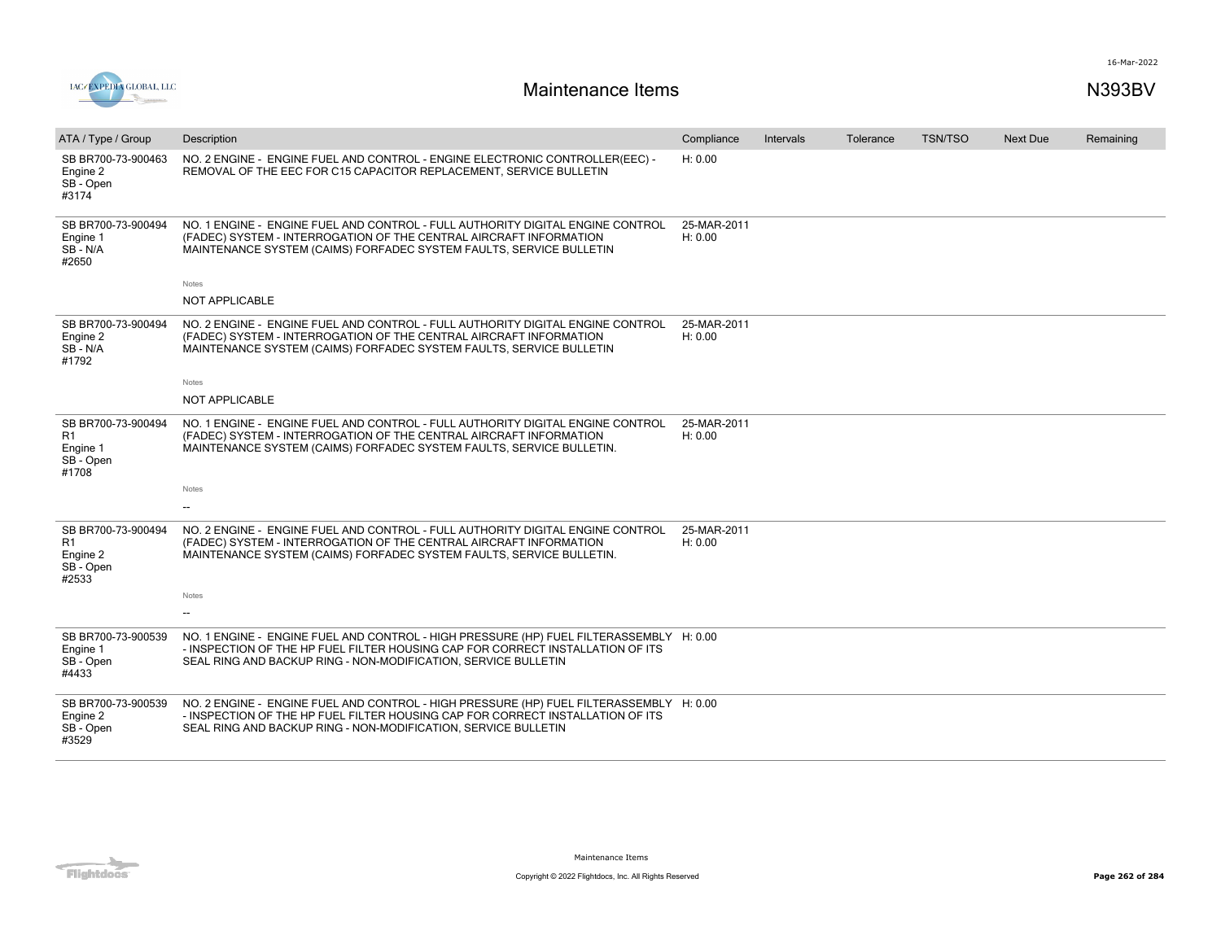



| ATA / Type / Group                                         | Description                                                                                                                                                                                                                                 | Compliance             | <b>Intervals</b> | Tolerance | <b>TSN/TSO</b> | <b>Next Due</b> | Remaining |
|------------------------------------------------------------|---------------------------------------------------------------------------------------------------------------------------------------------------------------------------------------------------------------------------------------------|------------------------|------------------|-----------|----------------|-----------------|-----------|
| SB BR700-73-900463<br>Engine 2<br>SB-Open<br>#3174         | NO. 2 ENGINE - ENGINE FUEL AND CONTROL - ENGINE ELECTRONIC CONTROLLER(EEC) -<br>REMOVAL OF THE EEC FOR C15 CAPACITOR REPLACEMENT, SERVICE BULLETIN                                                                                          | H: 0.00                |                  |           |                |                 |           |
| SB BR700-73-900494<br>Engine 1<br>$SB - N/A$<br>#2650      | NO. 1 ENGINE - ENGINE FUEL AND CONTROL - FULL AUTHORITY DIGITAL ENGINE CONTROL<br>(FADEC) SYSTEM - INTERROGATION OF THE CENTRAL AIRCRAFT INFORMATION<br>MAINTENANCE SYSTEM (CAIMS) FORFADEC SYSTEM FAULTS, SERVICE BULLETIN                 | 25-MAR-2011<br>H: 0.00 |                  |           |                |                 |           |
|                                                            | Notes                                                                                                                                                                                                                                       |                        |                  |           |                |                 |           |
|                                                            | <b>NOT APPLICABLE</b>                                                                                                                                                                                                                       |                        |                  |           |                |                 |           |
| SB BR700-73-900494<br>Engine 2<br>$SB - N/A$<br>#1792      | NO. 2 ENGINE - ENGINE FUEL AND CONTROL - FULL AUTHORITY DIGITAL ENGINE CONTROL<br>(FADEC) SYSTEM - INTERROGATION OF THE CENTRAL AIRCRAFT INFORMATION<br>MAINTENANCE SYSTEM (CAIMS) FORFADEC SYSTEM FAULTS, SERVICE BULLETIN                 | 25-MAR-2011<br>H: 0.00 |                  |           |                |                 |           |
|                                                            | Notes                                                                                                                                                                                                                                       |                        |                  |           |                |                 |           |
|                                                            | <b>NOT APPLICABLE</b>                                                                                                                                                                                                                       |                        |                  |           |                |                 |           |
| SB BR700-73-900494<br>R1<br>Engine 1<br>SB - Open<br>#1708 | NO. 1 ENGINE - ENGINE FUEL AND CONTROL - FULL AUTHORITY DIGITAL ENGINE CONTROL<br>(FADEC) SYSTEM - INTERROGATION OF THE CENTRAL AIRCRAFT INFORMATION<br>MAINTENANCE SYSTEM (CAIMS) FORFADEC SYSTEM FAULTS, SERVICE BULLETIN.                | 25-MAR-2011<br>H: 0.00 |                  |           |                |                 |           |
|                                                            | Notes                                                                                                                                                                                                                                       |                        |                  |           |                |                 |           |
|                                                            |                                                                                                                                                                                                                                             |                        |                  |           |                |                 |           |
| SB BR700-73-900494<br>R1<br>Engine 2<br>SB - Open<br>#2533 | NO. 2 ENGINE - ENGINE FUEL AND CONTROL - FULL AUTHORITY DIGITAL ENGINE CONTROL<br>(FADEC) SYSTEM - INTERROGATION OF THE CENTRAL AIRCRAFT INFORMATION<br>MAINTENANCE SYSTEM (CAIMS) FORFADEC SYSTEM FAULTS, SERVICE BULLETIN.                | 25-MAR-2011<br>H: 0.00 |                  |           |                |                 |           |
|                                                            | Notes                                                                                                                                                                                                                                       |                        |                  |           |                |                 |           |
|                                                            |                                                                                                                                                                                                                                             |                        |                  |           |                |                 |           |
| SB BR700-73-900539<br>Engine 1<br>SB - Open<br>#4433       | NO. 1 ENGINE - ENGINE FUEL AND CONTROL - HIGH PRESSURE (HP) FUEL FILTERASSEMBLY H: 0.00<br>- INSPECTION OF THE HP FUEL FILTER HOUSING CAP FOR CORRECT INSTALLATION OF ITS<br>SEAL RING AND BACKUP RING - NON-MODIFICATION, SERVICE BULLETIN |                        |                  |           |                |                 |           |
| SB BR700-73-900539<br>Engine 2<br>SB - Open<br>#3529       | NO. 2 ENGINE - ENGINE FUEL AND CONTROL - HIGH PRESSURE (HP) FUEL FILTERASSEMBLY H: 0.00<br>- INSPECTION OF THE HP FUEL FILTER HOUSING CAP FOR CORRECT INSTALLATION OF ITS<br>SEAL RING AND BACKUP RING - NON-MODIFICATION, SERVICE BULLETIN |                        |                  |           |                |                 |           |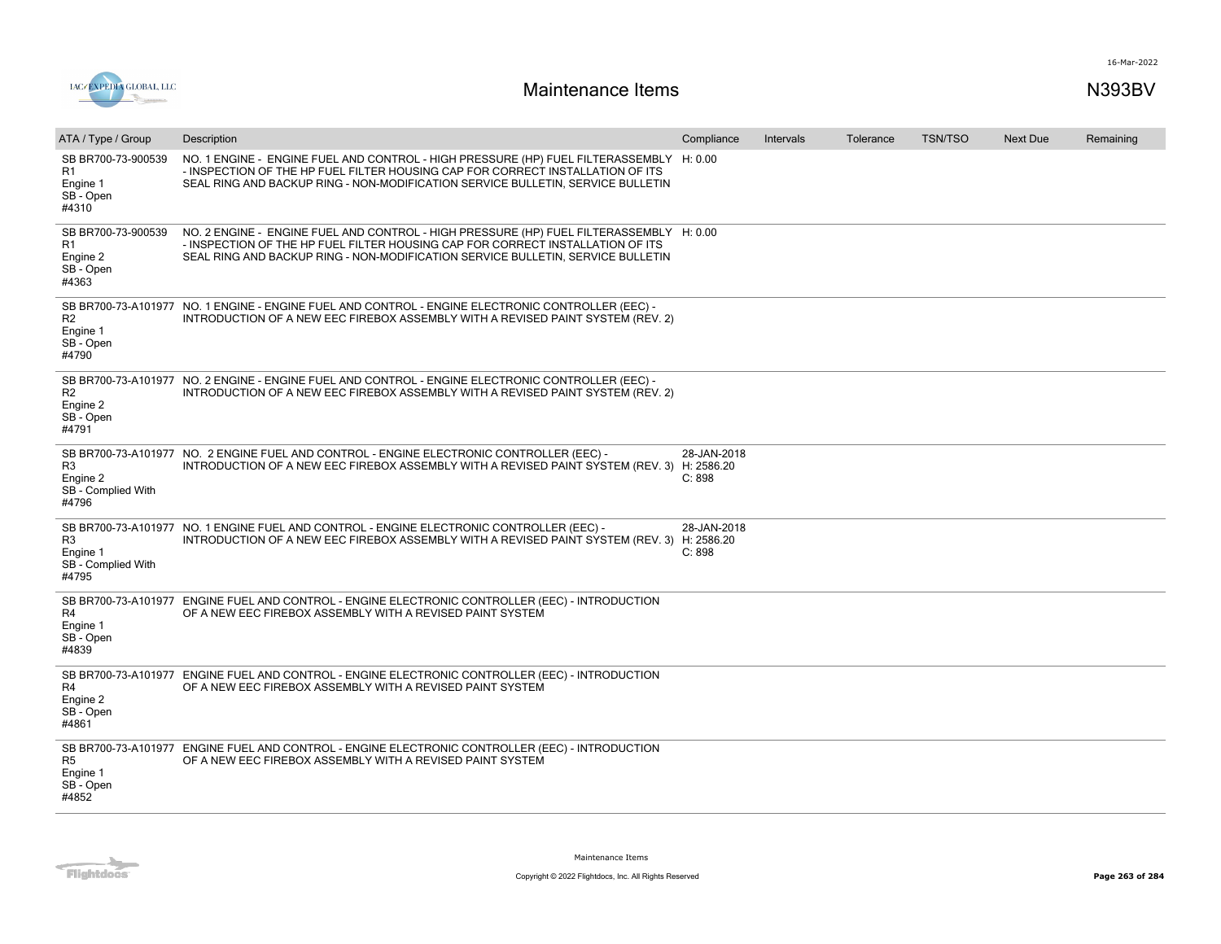

| ATA / Type / Group                                          | Description                                                                                                                                                                                                                                                  | Compliance            | Intervals | Tolerance | <b>TSN/TSO</b> | <b>Next Due</b> | Remaining |
|-------------------------------------------------------------|--------------------------------------------------------------------------------------------------------------------------------------------------------------------------------------------------------------------------------------------------------------|-----------------------|-----------|-----------|----------------|-----------------|-----------|
| SB BR700-73-900539<br>R1<br>Engine 1<br>SB - Open<br>#4310  | NO. 1 ENGINE - ENGINE FUEL AND CONTROL - HIGH PRESSURE (HP) FUEL FILTERASSEMBLY H: 0.00<br>- INSPECTION OF THE HP FUEL FILTER HOUSING CAP FOR CORRECT INSTALLATION OF ITS<br>SEAL RING AND BACKUP RING - NON-MODIFICATION SERVICE BULLETIN, SERVICE BULLETIN |                       |           |           |                |                 |           |
| SB BR700-73-900539<br>R1<br>Engine 2<br>SB - Open<br>#4363  | NO. 2 ENGINE - ENGINE FUEL AND CONTROL - HIGH PRESSURE (HP) FUEL FILTERASSEMBLY H: 0.00<br>- INSPECTION OF THE HP FUEL FILTER HOUSING CAP FOR CORRECT INSTALLATION OF ITS<br>SEAL RING AND BACKUP RING - NON-MODIFICATION SERVICE BULLETIN, SERVICE BULLETIN |                       |           |           |                |                 |           |
| R <sub>2</sub><br>Engine 1<br>SB - Open<br>#4790            | SB BR700-73-A101977 NO. 1 ENGINE - ENGINE FUEL AND CONTROL - ENGINE ELECTRONIC CONTROLLER (EEC) -<br>INTRODUCTION OF A NEW EEC FIREBOX ASSEMBLY WITH A REVISED PAINT SYSTEM (REV. 2)                                                                         |                       |           |           |                |                 |           |
| R <sub>2</sub><br>Engine 2<br>SB - Open<br>#4791            | SB BR700-73-A101977 NO. 2 ENGINE - ENGINE FUEL AND CONTROL - ENGINE ELECTRONIC CONTROLLER (EEC) -<br>INTRODUCTION OF A NEW EEC FIREBOX ASSEMBLY WITH A REVISED PAINT SYSTEM (REV. 2)                                                                         |                       |           |           |                |                 |           |
| R <sub>3</sub><br>Engine 2<br>SB - Complied With<br>#4796   | SB BR700-73-A101977 NO. 2 ENGINE FUEL AND CONTROL - ENGINE ELECTRONIC CONTROLLER (EEC) -<br>INTRODUCTION OF A NEW EEC FIREBOX ASSEMBLY WITH A REVISED PAINT SYSTEM (REV. 3) H: 2586.20                                                                       | 28-JAN-2018<br>C: 898 |           |           |                |                 |           |
| R <sub>3</sub><br>Engine 1<br>SB - Complied With<br>#4795   | SB BR700-73-A101977 NO. 1 ENGINE FUEL AND CONTROL - ENGINE ELECTRONIC CONTROLLER (EEC) -<br>INTRODUCTION OF A NEW EEC FIREBOX ASSEMBLY WITH A REVISED PAINT SYSTEM (REV. 3) H: 2586.20                                                                       | 28-JAN-2018<br>C: 898 |           |           |                |                 |           |
| SB BR700-73-A101977<br>R4<br>Engine 1<br>SB - Open<br>#4839 | ENGINE FUEL AND CONTROL - ENGINE ELECTRONIC CONTROLLER (EEC) - INTRODUCTION<br>OF A NEW EEC FIREBOX ASSEMBLY WITH A REVISED PAINT SYSTEM                                                                                                                     |                       |           |           |                |                 |           |
| R4<br>Engine 2<br>SB - Open<br>#4861                        | SB BR700-73-A101977 ENGINE FUEL AND CONTROL - ENGINE ELECTRONIC CONTROLLER (EEC) - INTRODUCTION<br>OF A NEW EEC FIREBOX ASSEMBLY WITH A REVISED PAINT SYSTEM                                                                                                 |                       |           |           |                |                 |           |
| R <sub>5</sub><br>Engine 1<br>SB - Open<br>#4852            | SB BR700-73-A101977 ENGINE FUEL AND CONTROL - ENGINE ELECTRONIC CONTROLLER (EEC) - INTRODUCTION<br>OF A NEW EEC FIREBOX ASSEMBLY WITH A REVISED PAINT SYSTEM                                                                                                 |                       |           |           |                |                 |           |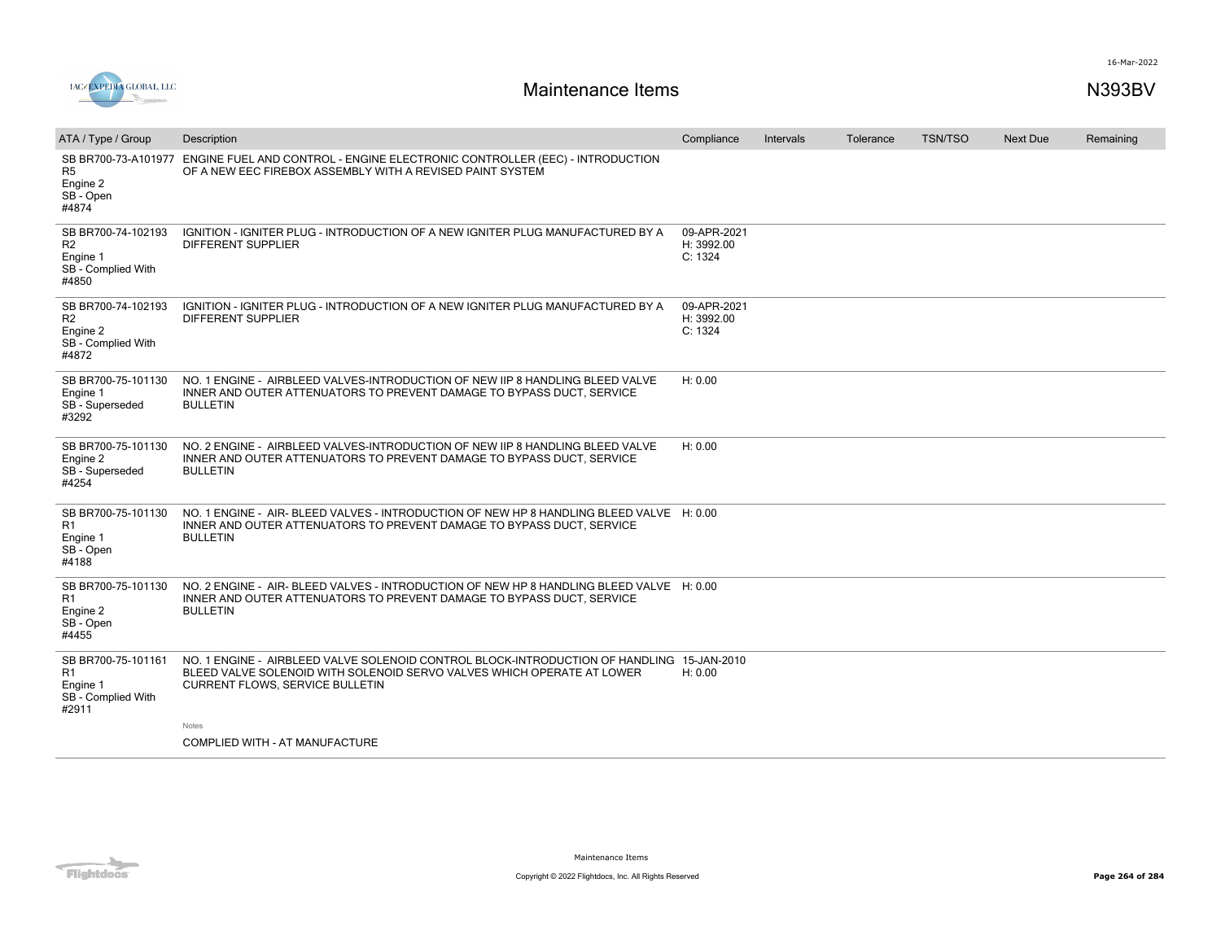

| ATA / Type / Group                                                              | Description                                                                                                                                                                                                   | Compliance                           | Intervals | Tolerance | <b>TSN/TSO</b> | <b>Next Due</b> | Remaining |
|---------------------------------------------------------------------------------|---------------------------------------------------------------------------------------------------------------------------------------------------------------------------------------------------------------|--------------------------------------|-----------|-----------|----------------|-----------------|-----------|
| SB BR700-73-A101977<br>R <sub>5</sub><br>Engine 2<br>SB - Open<br>#4874         | ENGINE FUEL AND CONTROL - ENGINE ELECTRONIC CONTROLLER (EEC) - INTRODUCTION<br>OF A NEW EEC FIREBOX ASSEMBLY WITH A REVISED PAINT SYSTEM                                                                      |                                      |           |           |                |                 |           |
| SB BR700-74-102193<br>R2<br>Engine 1<br>SB - Complied With<br>#4850             | IGNITION - IGNITER PLUG - INTRODUCTION OF A NEW IGNITER PLUG MANUFACTURED BY A<br><b>DIFFERENT SUPPLIER</b>                                                                                                   | 09-APR-2021<br>H: 3992.00<br>C: 1324 |           |           |                |                 |           |
| SB BR700-74-102193<br>R <sub>2</sub><br>Engine 2<br>SB - Complied With<br>#4872 | IGNITION - IGNITER PLUG - INTRODUCTION OF A NEW IGNITER PLUG MANUFACTURED BY A<br>DIFFERENT SUPPLIER                                                                                                          | 09-APR-2021<br>H: 3992.00<br>C: 1324 |           |           |                |                 |           |
| SB BR700-75-101130<br>Engine 1<br>SB - Superseded<br>#3292                      | NO. 1 ENGINE - AIRBLEED VALVES-INTRODUCTION OF NEW IIP 8 HANDLING BLEED VALVE<br>INNER AND OUTER ATTENUATORS TO PREVENT DAMAGE TO BYPASS DUCT, SERVICE<br><b>BULLETIN</b>                                     | H: 0.00                              |           |           |                |                 |           |
| SB BR700-75-101130<br>Engine 2<br>SB - Superseded<br>#4254                      | NO. 2 ENGINE - AIRBLEED VALVES-INTRODUCTION OF NEW IIP 8 HANDLING BLEED VALVE<br>INNER AND OUTER ATTENUATORS TO PREVENT DAMAGE TO BYPASS DUCT, SERVICE<br><b>BULLETIN</b>                                     | H: 0.00                              |           |           |                |                 |           |
| SB BR700-75-101130<br>R1<br>Engine 1<br>SB - Open<br>#4188                      | NO. 1 ENGINE - AIR-BLEED VALVES - INTRODUCTION OF NEW HP 8 HANDLING BLEED VALVE H: 0.00<br>INNER AND OUTER ATTENUATORS TO PREVENT DAMAGE TO BYPASS DUCT, SERVICE<br><b>BULLETIN</b>                           |                                      |           |           |                |                 |           |
| SB BR700-75-101130<br>R1<br>Engine 2<br>SB - Open<br>#4455                      | NO. 2 ENGINE - AIR- BLEED VALVES - INTRODUCTION OF NEW HP 8 HANDLING BLEED VALVE H: 0.00<br>INNER AND OUTER ATTENUATORS TO PREVENT DAMAGE TO BYPASS DUCT, SERVICE<br><b>BULLETIN</b>                          |                                      |           |           |                |                 |           |
| SB BR700-75-101161<br>R <sub>1</sub><br>Engine 1<br>SB - Complied With<br>#2911 | NO. 1 ENGINE - AIRBLEED VALVE SOLENOID CONTROL BLOCK-INTRODUCTION OF HANDLING 15-JAN-2010<br>BLEED VALVE SOLENOID WITH SOLENOID SERVO VALVES WHICH OPERATE AT LOWER<br><b>CURRENT FLOWS, SERVICE BULLETIN</b> | H: 0.00                              |           |           |                |                 |           |
|                                                                                 | Notes<br>COMPLIED WITH - AT MANUFACTURE                                                                                                                                                                       |                                      |           |           |                |                 |           |
|                                                                                 |                                                                                                                                                                                                               |                                      |           |           |                |                 |           |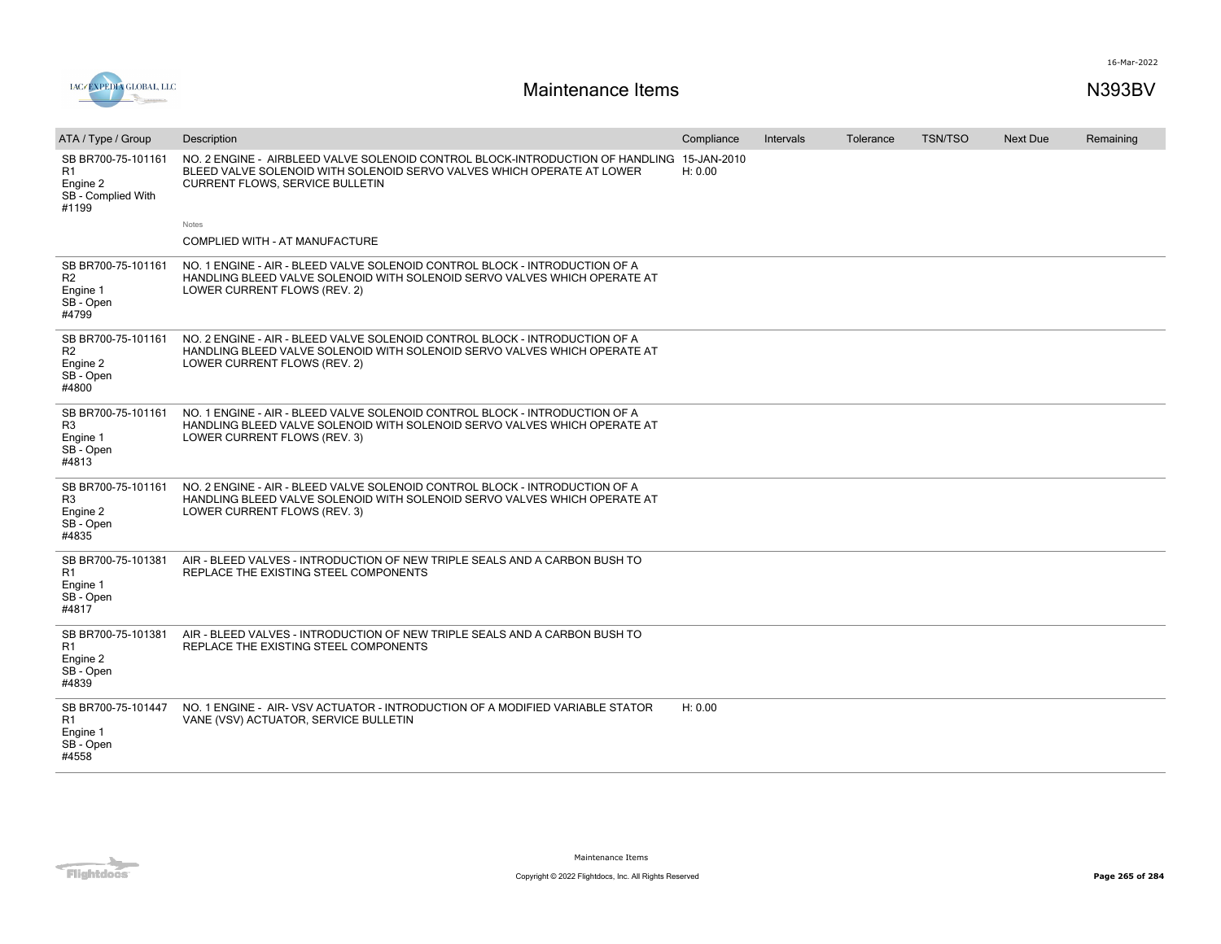

| ATA / Type / Group                                                              | Description                                                                                                                                                                                                   | Compliance | Intervals | Tolerance | <b>TSN/TSO</b> | <b>Next Due</b> | Remaining |
|---------------------------------------------------------------------------------|---------------------------------------------------------------------------------------------------------------------------------------------------------------------------------------------------------------|------------|-----------|-----------|----------------|-----------------|-----------|
| SB BR700-75-101161<br>R <sub>1</sub><br>Engine 2<br>SB - Complied With<br>#1199 | NO. 2 ENGINE - AIRBLEED VALVE SOLENOID CONTROL BLOCK-INTRODUCTION OF HANDLING 15-JAN-2010<br>BLEED VALVE SOLENOID WITH SOLENOID SERVO VALVES WHICH OPERATE AT LOWER<br><b>CURRENT FLOWS, SERVICE BULLETIN</b> | H: 0.00    |           |           |                |                 |           |
|                                                                                 | Notes                                                                                                                                                                                                         |            |           |           |                |                 |           |
|                                                                                 | COMPLIED WITH - AT MANUFACTURE                                                                                                                                                                                |            |           |           |                |                 |           |
| SB BR700-75-101161<br>R <sub>2</sub><br>Engine 1<br>SB - Open<br>#4799          | NO. 1 ENGINE - AIR - BLEED VALVE SOLENOID CONTROL BLOCK - INTRODUCTION OF A<br>HANDLING BLEED VALVE SOLENOID WITH SOLENOID SERVO VALVES WHICH OPERATE AT<br>LOWER CURRENT FLOWS (REV. 2)                      |            |           |           |                |                 |           |
| SB BR700-75-101161<br>R <sub>2</sub><br>Engine 2<br>SB - Open<br>#4800          | NO. 2 ENGINE - AIR - BLEED VALVE SOLENOID CONTROL BLOCK - INTRODUCTION OF A<br>HANDLING BLEED VALVE SOLENOID WITH SOLENOID SERVO VALVES WHICH OPERATE AT<br>LOWER CURRENT FLOWS (REV. 2)                      |            |           |           |                |                 |           |
| SB BR700-75-101161<br>R <sub>3</sub><br>Engine 1<br>SB - Open<br>#4813          | NO. 1 ENGINE - AIR - BLEED VALVE SOLENOID CONTROL BLOCK - INTRODUCTION OF A<br>HANDLING BLEED VALVE SOLENOID WITH SOLENOID SERVO VALVES WHICH OPERATE AT<br>LOWER CURRENT FLOWS (REV. 3)                      |            |           |           |                |                 |           |
| SB BR700-75-101161<br>R <sub>3</sub><br>Engine 2<br>SB - Open<br>#4835          | NO. 2 ENGINE - AIR - BLEED VALVE SOLENOID CONTROL BLOCK - INTRODUCTION OF A<br>HANDLING BLEED VALVE SOLENOID WITH SOLENOID SERVO VALVES WHICH OPERATE AT<br>LOWER CURRENT FLOWS (REV. 3)                      |            |           |           |                |                 |           |
| SB BR700-75-101381<br>R1<br>Engine 1<br>SB - Open<br>#4817                      | AIR - BLEED VALVES - INTRODUCTION OF NEW TRIPLE SEALS AND A CARBON BUSH TO<br>REPLACE THE EXISTING STEEL COMPONENTS                                                                                           |            |           |           |                |                 |           |
| SB BR700-75-101381<br>R1<br>Engine 2<br>SB - Open<br>#4839                      | AIR - BLEED VALVES - INTRODUCTION OF NEW TRIPLE SEALS AND A CARBON BUSH TO<br>REPLACE THE EXISTING STEEL COMPONENTS                                                                                           |            |           |           |                |                 |           |
| SB BR700-75-101447<br>R1<br>Engine 1<br>SB - Open<br>#4558                      | NO. 1 ENGINE - AIR-VSV ACTUATOR - INTRODUCTION OF A MODIFIED VARIABLE STATOR<br>VANE (VSV) ACTUATOR, SERVICE BULLETIN                                                                                         | H: 0.00    |           |           |                |                 |           |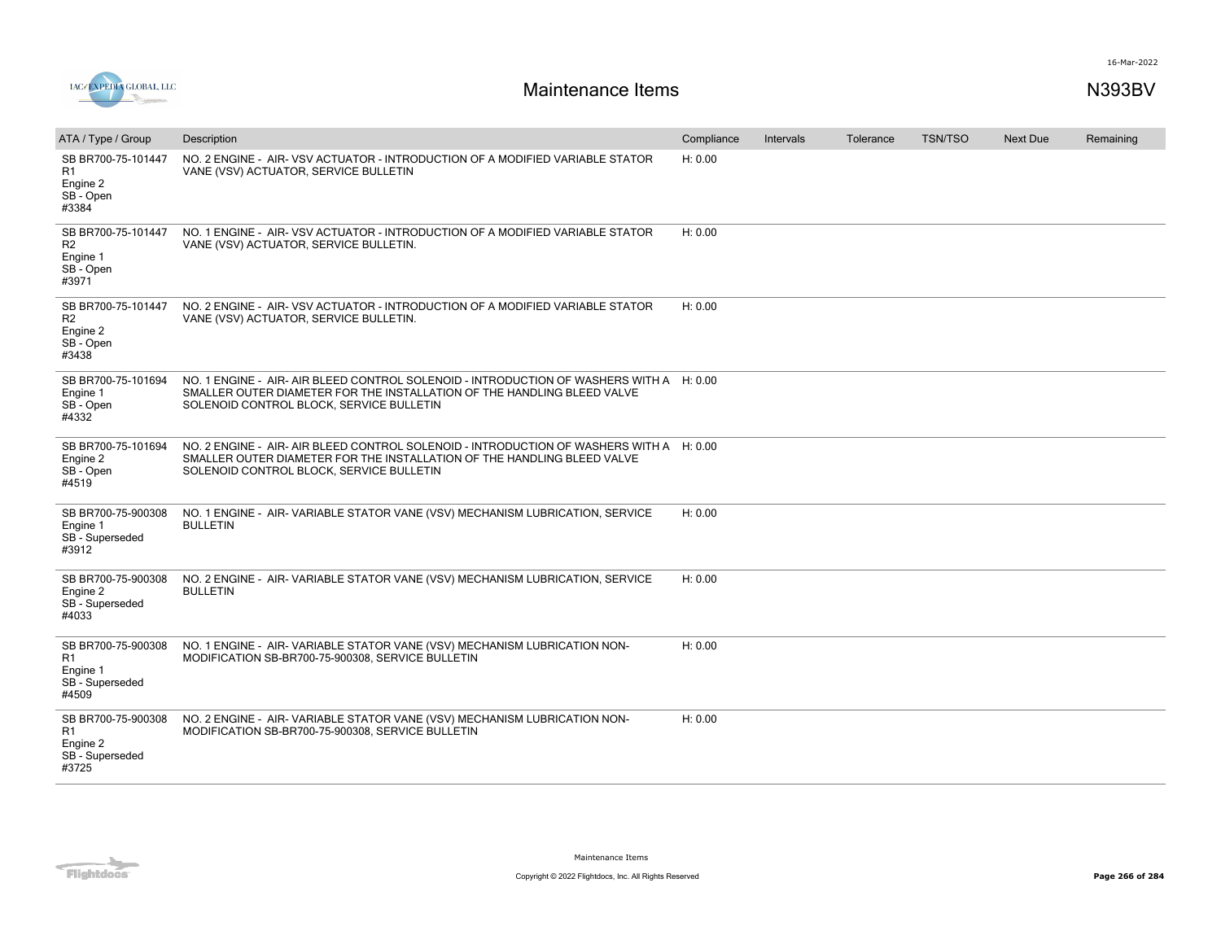

| ATA / Type / Group                                                     | Description                                                                                                                                                                                                    | Compliance | Intervals | Tolerance | <b>TSN/TSO</b> | <b>Next Due</b> | Remaining |
|------------------------------------------------------------------------|----------------------------------------------------------------------------------------------------------------------------------------------------------------------------------------------------------------|------------|-----------|-----------|----------------|-----------------|-----------|
| SB BR700-75-101447<br>R1<br>Engine 2<br>SB - Open<br>#3384             | NO. 2 ENGINE - AIR-VSV ACTUATOR - INTRODUCTION OF A MODIFIED VARIABLE STATOR<br>VANE (VSV) ACTUATOR, SERVICE BULLETIN                                                                                          | H: 0.00    |           |           |                |                 |           |
| SB BR700-75-101447<br>R <sub>2</sub><br>Engine 1<br>SB - Open<br>#3971 | NO. 1 ENGINE - AIR-VSV ACTUATOR - INTRODUCTION OF A MODIFIED VARIABLE STATOR<br>VANE (VSV) ACTUATOR, SERVICE BULLETIN.                                                                                         | H: 0.00    |           |           |                |                 |           |
| SB BR700-75-101447<br>R <sub>2</sub><br>Engine 2<br>SB - Open<br>#3438 | NO. 2 ENGINE - AIR-VSV ACTUATOR - INTRODUCTION OF A MODIFIED VARIABLE STATOR<br>VANE (VSV) ACTUATOR, SERVICE BULLETIN.                                                                                         | H: 0.00    |           |           |                |                 |           |
| SB BR700-75-101694<br>Engine 1<br>SB - Open<br>#4332                   | NO. 1 ENGINE - AIR- AIR BLEED CONTROL SOLENOID - INTRODUCTION OF WASHERS WITH A H: 0.00<br>SMALLER OUTER DIAMETER FOR THE INSTALLATION OF THE HANDLING BLEED VALVE<br>SOLENOID CONTROL BLOCK, SERVICE BULLETIN |            |           |           |                |                 |           |
| SB BR700-75-101694<br>Engine 2<br>SB - Open<br>#4519                   | NO. 2 ENGINE - AIR- AIR BLEED CONTROL SOLENOID - INTRODUCTION OF WASHERS WITH A H: 0.00<br>SMALLER OUTER DIAMETER FOR THE INSTALLATION OF THE HANDLING BLEED VALVE<br>SOLENOID CONTROL BLOCK, SERVICE BULLETIN |            |           |           |                |                 |           |
| SB BR700-75-900308<br>Engine 1<br>SB - Superseded<br>#3912             | NO. 1 ENGINE - AIR-VARIABLE STATOR VANE (VSV) MECHANISM LUBRICATION, SERVICE<br><b>BULLETIN</b>                                                                                                                | H: 0.00    |           |           |                |                 |           |
| SB BR700-75-900308<br>Engine 2<br>SB - Superseded<br>#4033             | NO. 2 ENGINE - AIR-VARIABLE STATOR VANE (VSV) MECHANISM LUBRICATION, SERVICE<br><b>BULLETIN</b>                                                                                                                | H: 0.00    |           |           |                |                 |           |
| SB BR700-75-900308<br>R1<br>Engine 1<br>SB - Superseded<br>#4509       | NO. 1 ENGINE - AIR-VARIABLE STATOR VANE (VSV) MECHANISM LUBRICATION NON-<br>MODIFICATION SB-BR700-75-900308, SERVICE BULLETIN                                                                                  | H: 0.00    |           |           |                |                 |           |
| SB BR700-75-900308<br>R1<br>Engine 2<br>SB - Superseded<br>#3725       | NO. 2 ENGINE - AIR-VARIABLE STATOR VANE (VSV) MECHANISM LUBRICATION NON-<br>MODIFICATION SB-BR700-75-900308, SERVICE BULLETIN                                                                                  | H: 0.00    |           |           |                |                 |           |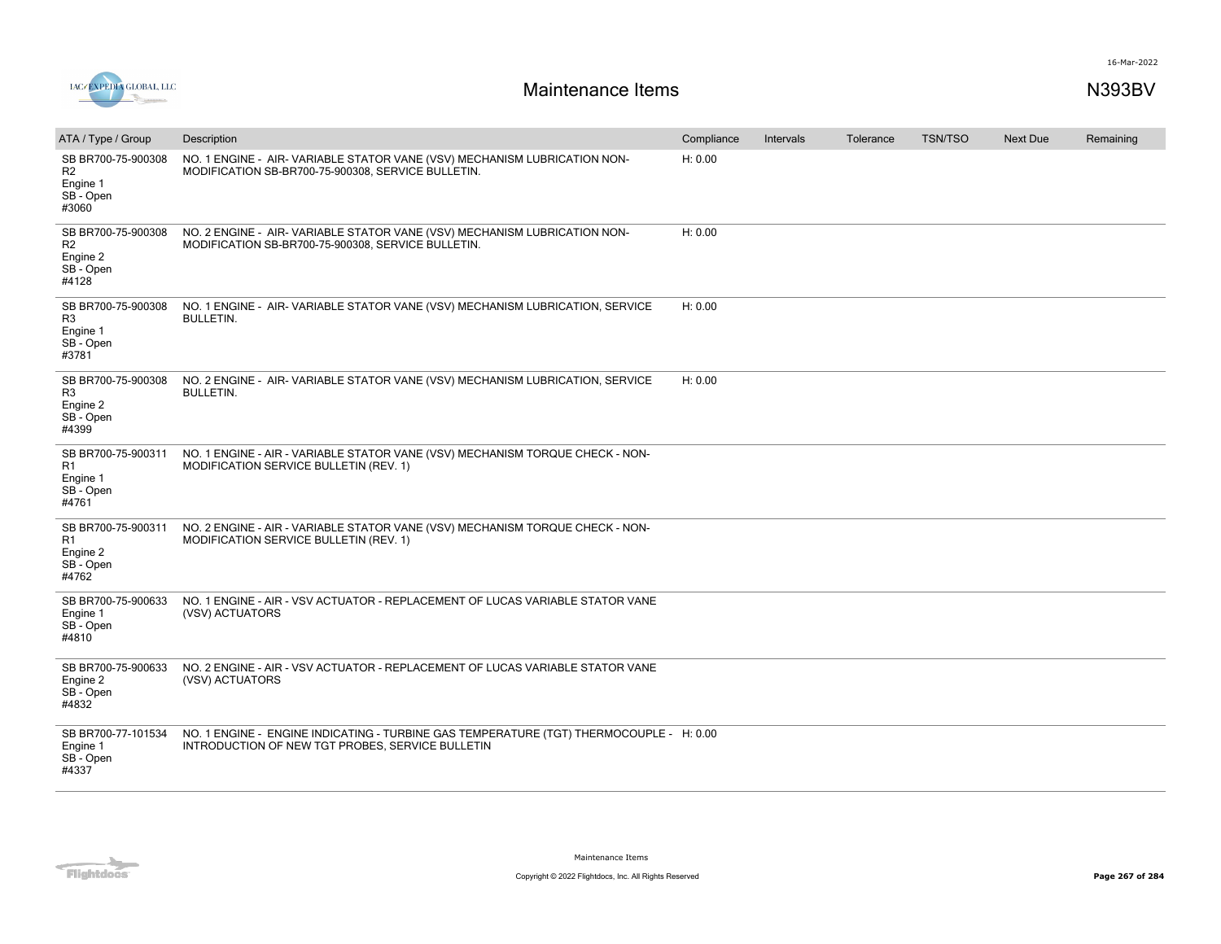

| ATA / Type / Group                                                     | Description                                                                                                                                 | Compliance | Intervals | Tolerance | <b>TSN/TSO</b> | <b>Next Due</b> | Remaining |
|------------------------------------------------------------------------|---------------------------------------------------------------------------------------------------------------------------------------------|------------|-----------|-----------|----------------|-----------------|-----------|
| SB BR700-75-900308<br>R <sub>2</sub><br>Engine 1<br>SB - Open<br>#3060 | NO. 1 ENGINE - AIR-VARIABLE STATOR VANE (VSV) MECHANISM LUBRICATION NON-<br>MODIFICATION SB-BR700-75-900308, SERVICE BULLETIN.              | H: 0.00    |           |           |                |                 |           |
| SB BR700-75-900308<br>R <sub>2</sub><br>Engine 2<br>SB - Open<br>#4128 | NO. 2 ENGINE - AIR-VARIABLE STATOR VANE (VSV) MECHANISM LUBRICATION NON-<br>MODIFICATION SB-BR700-75-900308, SERVICE BULLETIN.              | H: 0.00    |           |           |                |                 |           |
| SB BR700-75-900308<br>R3<br>Engine 1<br>SB - Open<br>#3781             | NO. 1 ENGINE - AIR-VARIABLE STATOR VANE (VSV) MECHANISM LUBRICATION, SERVICE<br><b>BULLETIN.</b>                                            | H: 0.00    |           |           |                |                 |           |
| SB BR700-75-900308<br>R <sub>3</sub><br>Engine 2<br>SB - Open<br>#4399 | NO. 2 ENGINE - AIR-VARIABLE STATOR VANE (VSV) MECHANISM LUBRICATION, SERVICE<br><b>BULLETIN.</b>                                            | H: 0.00    |           |           |                |                 |           |
| SB BR700-75-900311<br>R1<br>Engine 1<br>SB - Open<br>#4761             | NO. 1 ENGINE - AIR - VARIABLE STATOR VANE (VSV) MECHANISM TORQUE CHECK - NON-<br>MODIFICATION SERVICE BULLETIN (REV. 1)                     |            |           |           |                |                 |           |
| SB BR700-75-900311<br>R <sub>1</sub><br>Engine 2<br>SB - Open<br>#4762 | NO. 2 ENGINE - AIR - VARIABLE STATOR VANE (VSV) MECHANISM TORQUE CHECK - NON-<br>MODIFICATION SERVICE BULLETIN (REV. 1)                     |            |           |           |                |                 |           |
| SB BR700-75-900633<br>Engine 1<br>SB - Open<br>#4810                   | NO. 1 ENGINE - AIR - VSV ACTUATOR - REPLACEMENT OF LUCAS VARIABLE STATOR VANE<br>(VSV) ACTUATORS                                            |            |           |           |                |                 |           |
| SB BR700-75-900633<br>Engine 2<br>SB - Open<br>#4832                   | NO. 2 ENGINE - AIR - VSV ACTUATOR - REPLACEMENT OF LUCAS VARIABLE STATOR VANE<br>(VSV) ACTUATORS                                            |            |           |           |                |                 |           |
| SB BR700-77-101534<br>Engine 1<br>SB - Open<br>#4337                   | NO. 1 ENGINE - ENGINE INDICATING - TURBINE GAS TEMPERATURE (TGT) THERMOCOUPLE - H: 0.00<br>INTRODUCTION OF NEW TGT PROBES, SERVICE BULLETIN |            |           |           |                |                 |           |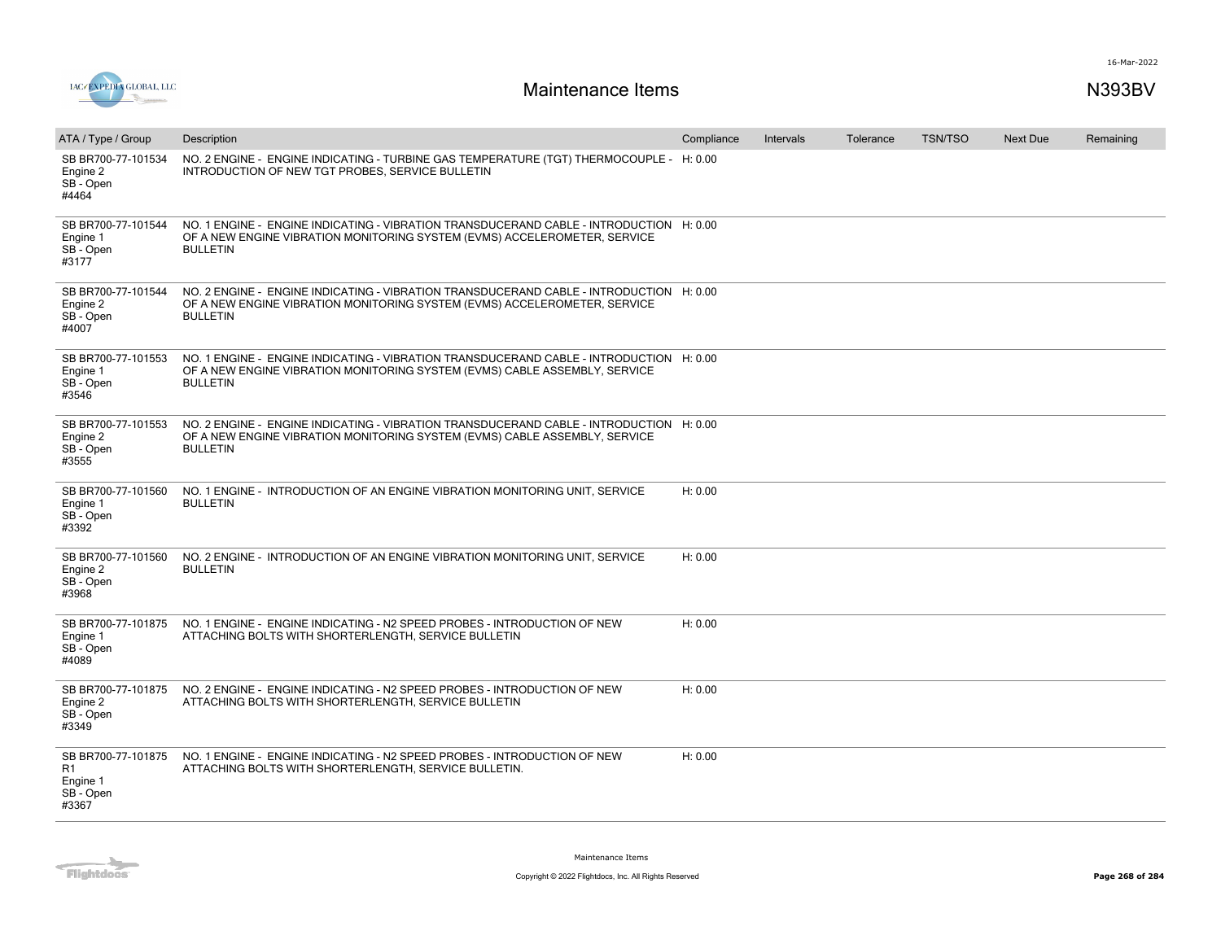

| ATA / Type / Group                                         | Description                                                                                                                                                                              | Compliance | Intervals | Tolerance | <b>TSN/TSO</b> | Next Due | Remaining |
|------------------------------------------------------------|------------------------------------------------------------------------------------------------------------------------------------------------------------------------------------------|------------|-----------|-----------|----------------|----------|-----------|
| SB BR700-77-101534<br>Engine 2<br>SB - Open<br>#4464       | NO. 2 ENGINE - ENGINE INDICATING - TURBINE GAS TEMPERATURE (TGT) THERMOCOUPLE - H: 0.00<br>INTRODUCTION OF NEW TGT PROBES, SERVICE BULLETIN                                              |            |           |           |                |          |           |
| SB BR700-77-101544<br>Engine 1<br>SB - Open<br>#3177       | NO. 1 ENGINE - ENGINE INDICATING - VIBRATION TRANSDUCERAND CABLE - INTRODUCTION H: 0.00<br>OF A NEW ENGINE VIBRATION MONITORING SYSTEM (EVMS) ACCELEROMETER, SERVICE<br><b>BULLETIN</b>  |            |           |           |                |          |           |
| SB BR700-77-101544<br>Engine 2<br>SB - Open<br>#4007       | NO. 2 ENGINE - ENGINE INDICATING - VIBRATION TRANSDUCERAND CABLE - INTRODUCTION H: 0.00<br>OF A NEW ENGINE VIBRATION MONITORING SYSTEM (EVMS) ACCELEROMETER, SERVICE<br><b>BULLETIN</b>  |            |           |           |                |          |           |
| SB BR700-77-101553<br>Engine 1<br>SB - Open<br>#3546       | NO. 1 ENGINE - ENGINE INDICATING - VIBRATION TRANSDUCERAND CABLE - INTRODUCTION H: 0.00<br>OF A NEW ENGINE VIBRATION MONITORING SYSTEM (EVMS) CABLE ASSEMBLY, SERVICE<br><b>BULLETIN</b> |            |           |           |                |          |           |
| SB BR700-77-101553<br>Engine 2<br>SB - Open<br>#3555       | NO. 2 ENGINE - ENGINE INDICATING - VIBRATION TRANSDUCERAND CABLE - INTRODUCTION H: 0.00<br>OF A NEW ENGINE VIBRATION MONITORING SYSTEM (EVMS) CABLE ASSEMBLY, SERVICE<br><b>BULLETIN</b> |            |           |           |                |          |           |
| SB BR700-77-101560<br>Engine 1<br>SB - Open<br>#3392       | NO. 1 ENGINE - INTRODUCTION OF AN ENGINE VIBRATION MONITORING UNIT, SERVICE<br><b>BULLETIN</b>                                                                                           | H: 0.00    |           |           |                |          |           |
| SB BR700-77-101560<br>Engine 2<br>SB - Open<br>#3968       | NO. 2 ENGINE - INTRODUCTION OF AN ENGINE VIBRATION MONITORING UNIT, SERVICE<br><b>BULLETIN</b>                                                                                           | H: 0.00    |           |           |                |          |           |
| SB BR700-77-101875<br>Engine 1<br>SB - Open<br>#4089       | NO. 1 ENGINE - ENGINE INDICATING - N2 SPEED PROBES - INTRODUCTION OF NEW<br>ATTACHING BOLTS WITH SHORTERLENGTH, SERVICE BULLETIN                                                         | H: 0.00    |           |           |                |          |           |
| SB BR700-77-101875<br>Engine 2<br>SB - Open<br>#3349       | NO. 2 ENGINE - ENGINE INDICATING - N2 SPEED PROBES - INTRODUCTION OF NEW<br>ATTACHING BOLTS WITH SHORTERLENGTH, SERVICE BULLETIN                                                         | H: 0.00    |           |           |                |          |           |
| SB BR700-77-101875<br>R1<br>Engine 1<br>SB - Open<br>#3367 | NO. 1 ENGINE - ENGINE INDICATING - N2 SPEED PROBES - INTRODUCTION OF NEW<br>ATTACHING BOLTS WITH SHORTERLENGTH, SERVICE BULLETIN.                                                        | H: 0.00    |           |           |                |          |           |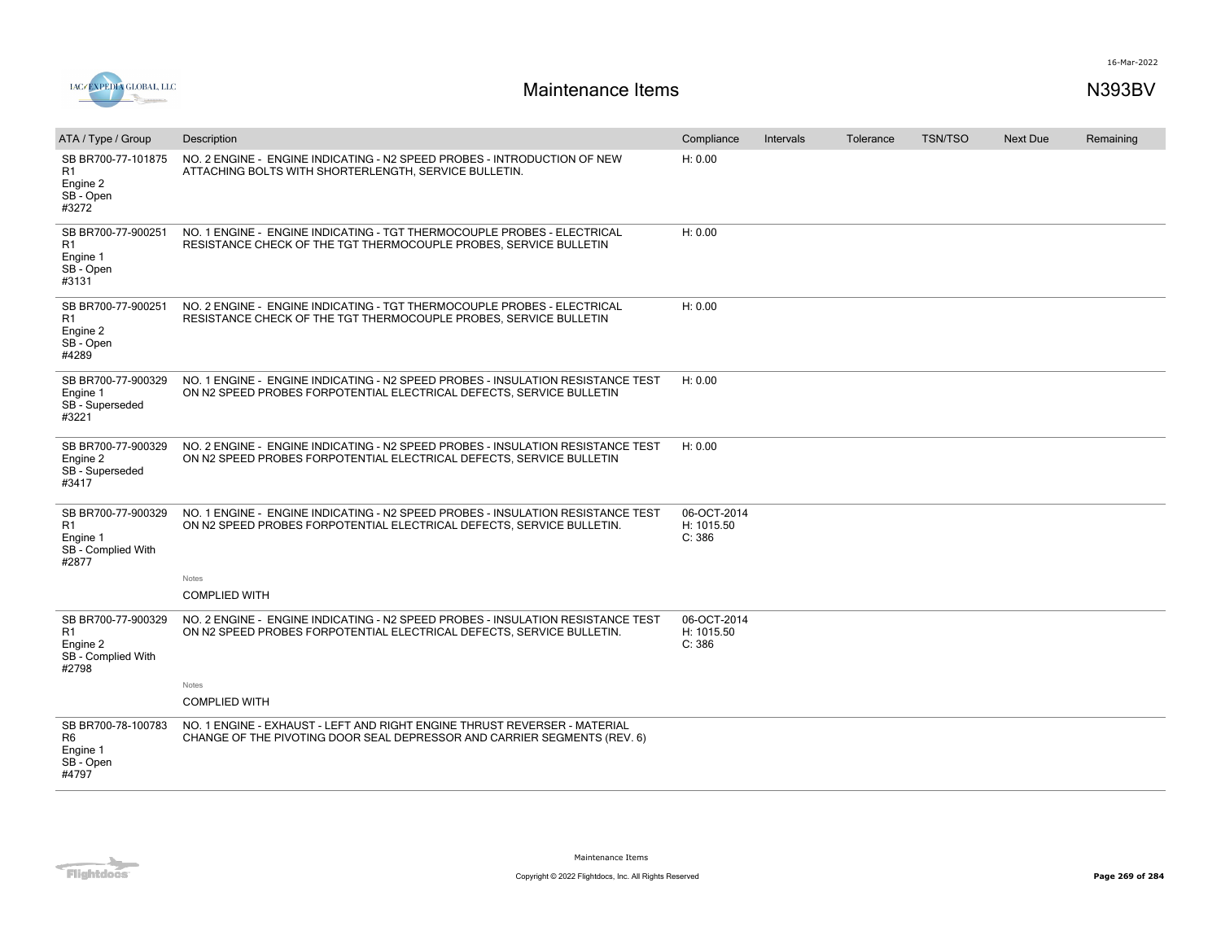

| ATA / Type / Group                                                              | Description                                                                                                                                              | Compliance                          | Intervals | Tolerance | <b>TSN/TSO</b> | <b>Next Due</b> | Remaining |
|---------------------------------------------------------------------------------|----------------------------------------------------------------------------------------------------------------------------------------------------------|-------------------------------------|-----------|-----------|----------------|-----------------|-----------|
| SB BR700-77-101875<br>R1<br>Engine 2<br>SB - Open<br>#3272                      | NO. 2 ENGINE - ENGINE INDICATING - N2 SPEED PROBES - INTRODUCTION OF NEW<br>ATTACHING BOLTS WITH SHORTERLENGTH, SERVICE BULLETIN.                        | H: 0.00                             |           |           |                |                 |           |
| SB BR700-77-900251<br>R1<br>Engine 1<br>SB - Open<br>#3131                      | NO. 1 ENGINE - ENGINE INDICATING - TGT THERMOCOUPLE PROBES - ELECTRICAL<br>RESISTANCE CHECK OF THE TGT THERMOCOUPLE PROBES, SERVICE BULLETIN             | H: 0.00                             |           |           |                |                 |           |
| SB BR700-77-900251<br>R1<br>Engine 2<br>SB - Open<br>#4289                      | NO. 2 ENGINE - ENGINE INDICATING - TGT THERMOCOUPLE PROBES - ELECTRICAL<br>RESISTANCE CHECK OF THE TGT THERMOCOUPLE PROBES, SERVICE BULLETIN             | H: 0.00                             |           |           |                |                 |           |
| SB BR700-77-900329<br>Engine 1<br>SB - Superseded<br>#3221                      | NO. 1 ENGINE - ENGINE INDICATING - N2 SPEED PROBES - INSULATION RESISTANCE TEST<br>ON N2 SPEED PROBES FORPOTENTIAL ELECTRICAL DEFECTS, SERVICE BULLETIN  | H: 0.00                             |           |           |                |                 |           |
| SB BR700-77-900329<br>Engine 2<br>SB - Superseded<br>#3417                      | NO. 2 ENGINE - ENGINE INDICATING - N2 SPEED PROBES - INSULATION RESISTANCE TEST<br>ON N2 SPEED PROBES FORPOTENTIAL ELECTRICAL DEFECTS, SERVICE BULLETIN  | H: 0.00                             |           |           |                |                 |           |
| SB BR700-77-900329<br>R <sub>1</sub><br>Engine 1<br>SB - Complied With<br>#2877 | NO. 1 ENGINE - ENGINE INDICATING - N2 SPEED PROBES - INSULATION RESISTANCE TEST<br>ON N2 SPEED PROBES FORPOTENTIAL ELECTRICAL DEFECTS, SERVICE BULLETIN. | 06-OCT-2014<br>H: 1015.50<br>C: 386 |           |           |                |                 |           |
|                                                                                 | Notes                                                                                                                                                    |                                     |           |           |                |                 |           |
|                                                                                 | <b>COMPLIED WITH</b>                                                                                                                                     |                                     |           |           |                |                 |           |
| SB BR700-77-900329<br>R1<br>Engine 2<br>SB - Complied With<br>#2798             | NO. 2 ENGINE - ENGINE INDICATING - N2 SPEED PROBES - INSULATION RESISTANCE TEST<br>ON N2 SPEED PROBES FORPOTENTIAL ELECTRICAL DEFECTS, SERVICE BULLETIN. | 06-OCT-2014<br>H: 1015.50<br>C: 386 |           |           |                |                 |           |
|                                                                                 | Notes                                                                                                                                                    |                                     |           |           |                |                 |           |
|                                                                                 | <b>COMPLIED WITH</b>                                                                                                                                     |                                     |           |           |                |                 |           |
| SB BR700-78-100783<br>R <sub>6</sub><br>Engine 1<br>SB - Open<br>#4797          | NO. 1 ENGINE - EXHAUST - LEFT AND RIGHT ENGINE THRUST REVERSER - MATERIAL<br>CHANGE OF THE PIVOTING DOOR SEAL DEPRESSOR AND CARRIER SEGMENTS (REV. 6)    |                                     |           |           |                |                 |           |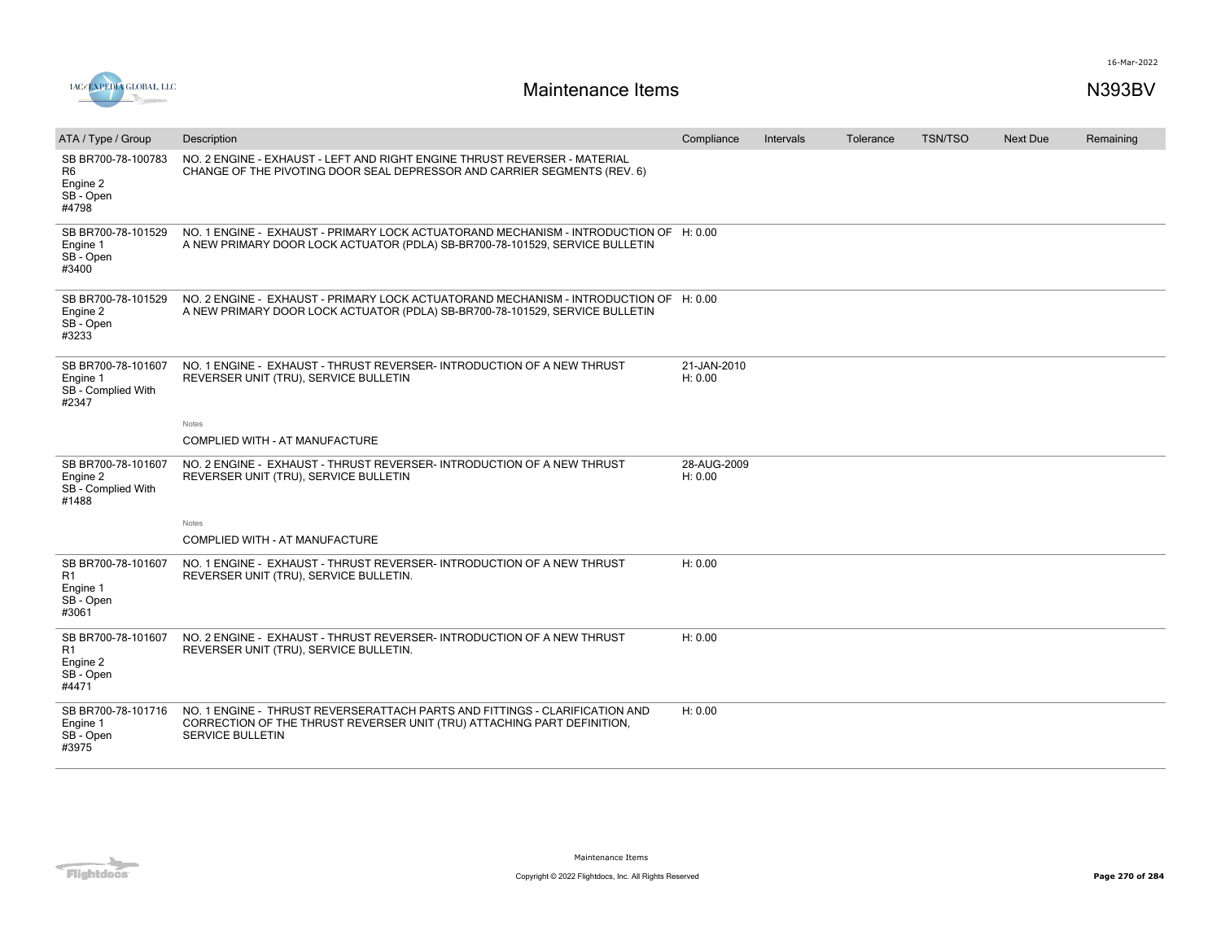

| ATA / Type / Group                                                     | Description                                                                                                                                                                | Compliance             | Intervals | Tolerance | <b>TSN/TSO</b> | <b>Next Due</b> | Remaining |
|------------------------------------------------------------------------|----------------------------------------------------------------------------------------------------------------------------------------------------------------------------|------------------------|-----------|-----------|----------------|-----------------|-----------|
| SB BR700-78-100783<br>R <sub>6</sub><br>Engine 2<br>SB - Open<br>#4798 | NO. 2 ENGINE - EXHAUST - LEFT AND RIGHT ENGINE THRUST REVERSER - MATERIAL<br>CHANGE OF THE PIVOTING DOOR SEAL DEPRESSOR AND CARRIER SEGMENTS (REV. 6)                      |                        |           |           |                |                 |           |
| SB BR700-78-101529<br>Engine 1<br>SB - Open<br>#3400                   | NO. 1 ENGINE - EXHAUST - PRIMARY LOCK ACTUATORAND MECHANISM - INTRODUCTION OF H: 0.00<br>A NEW PRIMARY DOOR LOCK ACTUATOR (PDLA) SB-BR700-78-101529, SERVICE BULLETIN      |                        |           |           |                |                 |           |
| SB BR700-78-101529<br>Engine 2<br>SB - Open<br>#3233                   | NO. 2 ENGINE - EXHAUST - PRIMARY LOCK ACTUATORAND MECHANISM - INTRODUCTION OF H: 0.00<br>A NEW PRIMARY DOOR LOCK ACTUATOR (PDLA) SB-BR700-78-101529, SERVICE BULLETIN      |                        |           |           |                |                 |           |
| SB BR700-78-101607<br>Engine 1<br>SB - Complied With<br>#2347          | NO. 1 ENGINE - EXHAUST - THRUST REVERSER- INTRODUCTION OF A NEW THRUST<br>REVERSER UNIT (TRU), SERVICE BULLETIN                                                            | 21-JAN-2010<br>H: 0.00 |           |           |                |                 |           |
|                                                                        | Notes                                                                                                                                                                      |                        |           |           |                |                 |           |
|                                                                        | COMPLIED WITH - AT MANUFACTURE                                                                                                                                             |                        |           |           |                |                 |           |
| SB BR700-78-101607<br>Engine 2<br>SB - Complied With<br>#1488          | NO. 2 ENGINE - EXHAUST - THRUST REVERSER- INTRODUCTION OF A NEW THRUST<br>REVERSER UNIT (TRU), SERVICE BULLETIN                                                            | 28-AUG-2009<br>H: 0.00 |           |           |                |                 |           |
|                                                                        | <b>Notes</b>                                                                                                                                                               |                        |           |           |                |                 |           |
|                                                                        | COMPLIED WITH - AT MANUFACTURE                                                                                                                                             |                        |           |           |                |                 |           |
| SB BR700-78-101607<br>R1<br>Engine 1<br>SB - Open<br>#3061             | NO. 1 ENGINE - EXHAUST - THRUST REVERSER- INTRODUCTION OF A NEW THRUST<br>REVERSER UNIT (TRU), SERVICE BULLETIN.                                                           | H: 0.00                |           |           |                |                 |           |
| SB BR700-78-101607<br>R <sub>1</sub><br>Engine 2<br>SB - Open<br>#4471 | NO. 2 ENGINE - EXHAUST - THRUST REVERSER- INTRODUCTION OF A NEW THRUST<br>REVERSER UNIT (TRU), SERVICE BULLETIN.                                                           | H: 0.00                |           |           |                |                 |           |
| SB BR700-78-101716<br>Engine 1<br>SB - Open<br>#3975                   | NO. 1 ENGINE - THRUST REVERSERATTACH PARTS AND FITTINGS - CLARIFICATION AND<br>CORRECTION OF THE THRUST REVERSER UNIT (TRU) ATTACHING PART DEFINITION.<br>SERVICE BULLETIN | H: 0.00                |           |           |                |                 |           |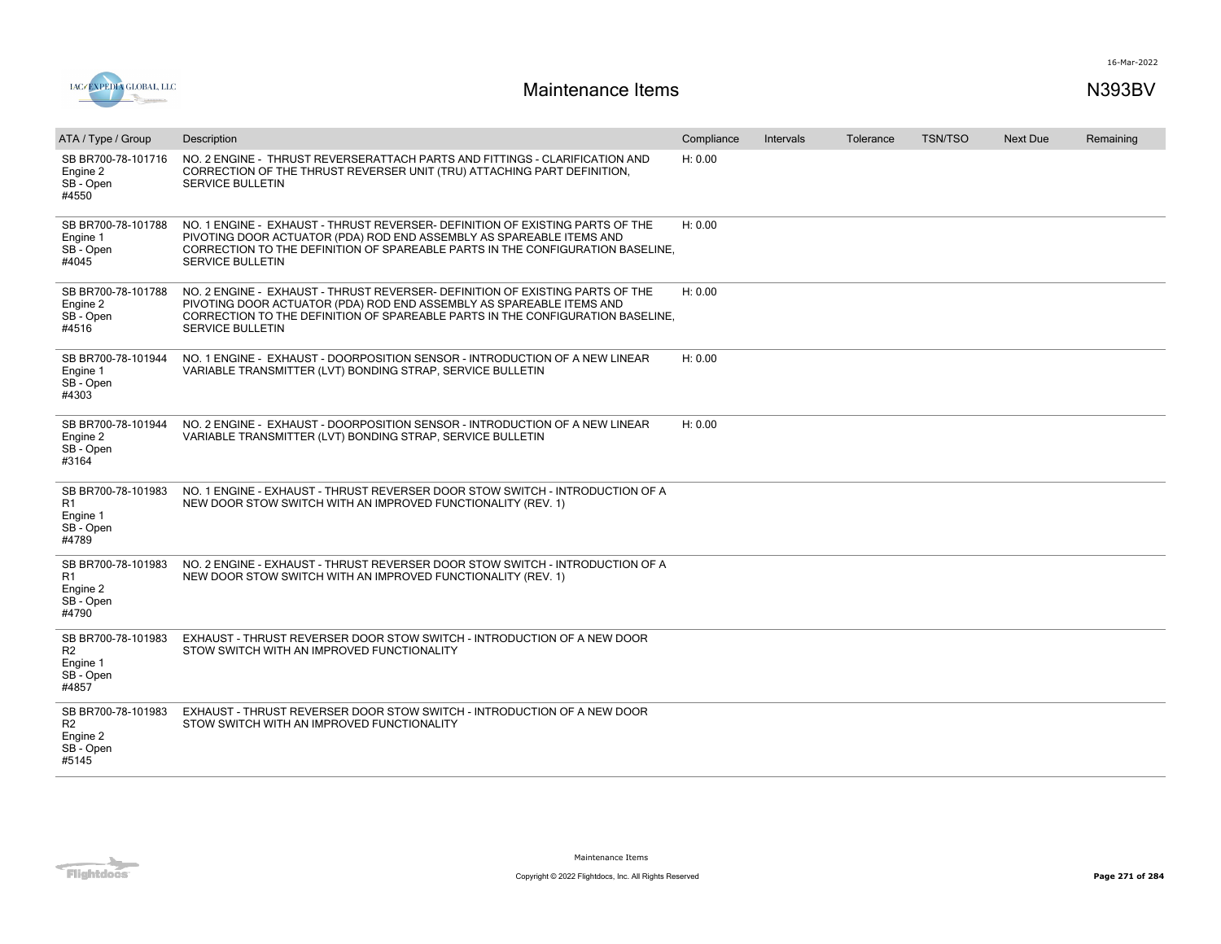

| ATA / Type / Group                                                     | Description                                                                                                                                                                                                                                                        | Compliance | <b>Intervals</b> | Tolerance | <b>TSN/TSO</b> | <b>Next Due</b> | Remaining |
|------------------------------------------------------------------------|--------------------------------------------------------------------------------------------------------------------------------------------------------------------------------------------------------------------------------------------------------------------|------------|------------------|-----------|----------------|-----------------|-----------|
| SB BR700-78-101716<br>Engine 2<br>SB - Open<br>#4550                   | NO. 2 ENGINE - THRUST REVERSERATTACH PARTS AND FITTINGS - CLARIFICATION AND<br>CORRECTION OF THE THRUST REVERSER UNIT (TRU) ATTACHING PART DEFINITION,<br>SERVICE BULLETIN                                                                                         | H: 0.00    |                  |           |                |                 |           |
| SB BR700-78-101788<br>Engine 1<br>SB - Open<br>#4045                   | NO. 1 ENGINE - EXHAUST - THRUST REVERSER- DEFINITION OF EXISTING PARTS OF THE<br>PIVOTING DOOR ACTUATOR (PDA) ROD END ASSEMBLY AS SPAREABLE ITEMS AND<br>CORRECTION TO THE DEFINITION OF SPAREABLE PARTS IN THE CONFIGURATION BASELINE,<br><b>SERVICE BULLETIN</b> | H: 0.00    |                  |           |                |                 |           |
| SB BR700-78-101788<br>Engine 2<br>SB - Open<br>#4516                   | NO. 2 ENGINE - EXHAUST - THRUST REVERSER- DEFINITION OF EXISTING PARTS OF THE<br>PIVOTING DOOR ACTUATOR (PDA) ROD END ASSEMBLY AS SPAREABLE ITEMS AND<br>CORRECTION TO THE DEFINITION OF SPAREABLE PARTS IN THE CONFIGURATION BASELINE,<br><b>SERVICE BULLETIN</b> | H: 0.00    |                  |           |                |                 |           |
| SB BR700-78-101944<br>Engine 1<br>SB - Open<br>#4303                   | NO. 1 ENGINE - EXHAUST - DOORPOSITION SENSOR - INTRODUCTION OF A NEW LINEAR<br>VARIABLE TRANSMITTER (LVT) BONDING STRAP, SERVICE BULLETIN                                                                                                                          | H: 0.00    |                  |           |                |                 |           |
| SB BR700-78-101944<br>Engine 2<br>SB - Open<br>#3164                   | NO. 2 ENGINE - EXHAUST - DOORPOSITION SENSOR - INTRODUCTION OF A NEW LINEAR<br>VARIABLE TRANSMITTER (LVT) BONDING STRAP, SERVICE BULLETIN                                                                                                                          | H: 0.00    |                  |           |                |                 |           |
| SB BR700-78-101983<br>R1<br>Engine 1<br>SB - Open<br>#4789             | NO. 1 ENGINE - EXHAUST - THRUST REVERSER DOOR STOW SWITCH - INTRODUCTION OF A<br>NEW DOOR STOW SWITCH WITH AN IMPROVED FUNCTIONALITY (REV. 1)                                                                                                                      |            |                  |           |                |                 |           |
| SB BR700-78-101983<br>R1<br>Engine 2<br>SB - Open<br>#4790             | NO. 2 ENGINE - EXHAUST - THRUST REVERSER DOOR STOW SWITCH - INTRODUCTION OF A<br>NEW DOOR STOW SWITCH WITH AN IMPROVED FUNCTIONALITY (REV. 1)                                                                                                                      |            |                  |           |                |                 |           |
| SB BR700-78-101983<br>R <sub>2</sub><br>Engine 1<br>SB - Open<br>#4857 | EXHAUST - THRUST REVERSER DOOR STOW SWITCH - INTRODUCTION OF A NEW DOOR<br>STOW SWITCH WITH AN IMPROVED FUNCTIONALITY                                                                                                                                              |            |                  |           |                |                 |           |
| SB BR700-78-101983<br>R <sub>2</sub><br>Engine 2<br>SB - Open<br>#5145 | EXHAUST - THRUST REVERSER DOOR STOW SWITCH - INTRODUCTION OF A NEW DOOR<br>STOW SWITCH WITH AN IMPROVED FUNCTIONALITY                                                                                                                                              |            |                  |           |                |                 |           |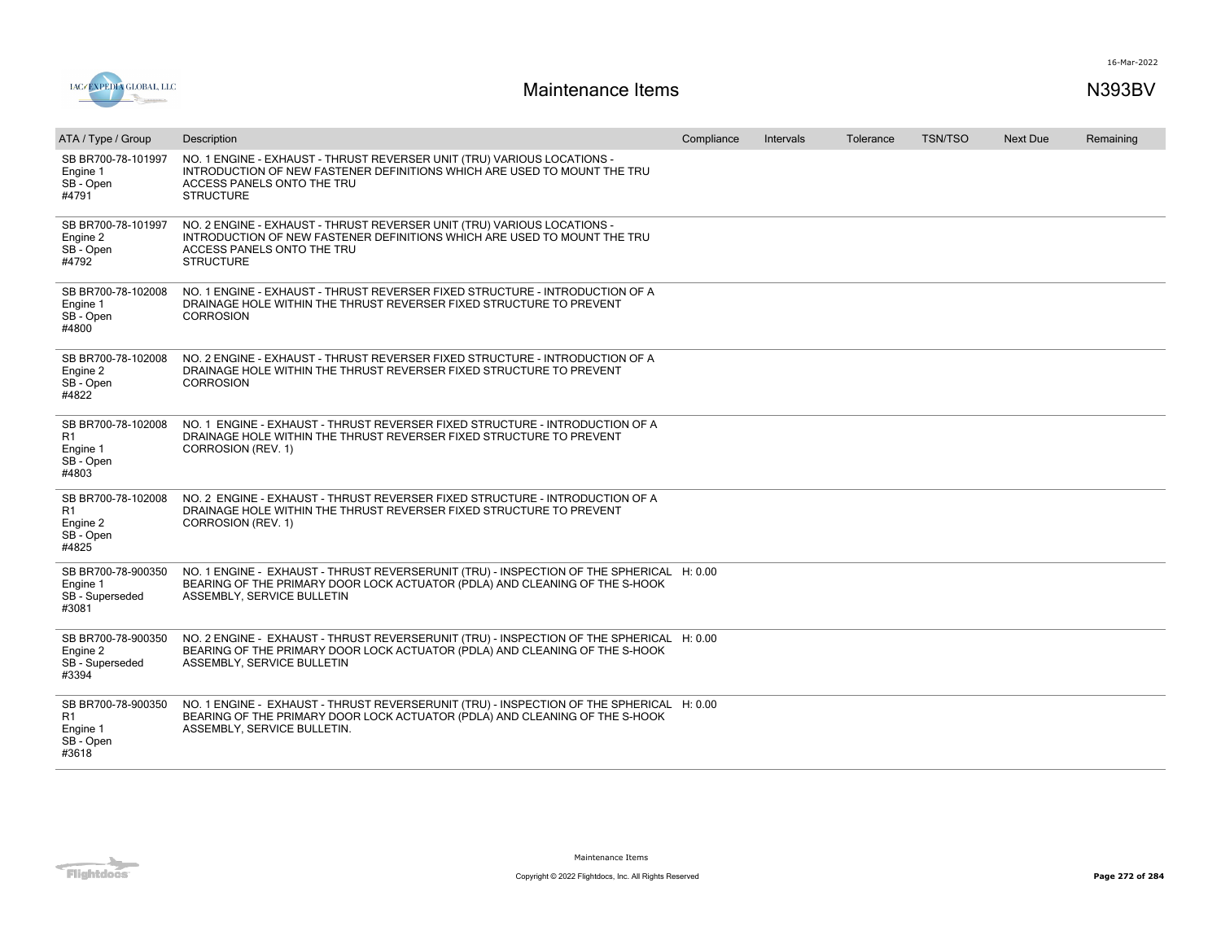



| ATA / Type / Group                                         | Description                                                                                                                                                                                            | Compliance | <b>Intervals</b> | Tolerance | <b>TSN/TSO</b> | <b>Next Due</b> | Remaining |
|------------------------------------------------------------|--------------------------------------------------------------------------------------------------------------------------------------------------------------------------------------------------------|------------|------------------|-----------|----------------|-----------------|-----------|
| SB BR700-78-101997<br>Engine 1<br>SB - Open<br>#4791       | NO. 1 ENGINE - EXHAUST - THRUST REVERSER UNIT (TRU) VARIOUS LOCATIONS -<br>INTRODUCTION OF NEW FASTENER DEFINITIONS WHICH ARE USED TO MOUNT THE TRU<br>ACCESS PANELS ONTO THE TRU<br><b>STRUCTURE</b>  |            |                  |           |                |                 |           |
| SB BR700-78-101997<br>Engine 2<br>SB - Open<br>#4792       | NO. 2 ENGINE - EXHAUST - THRUST REVERSER UNIT (TRU) VARIOUS LOCATIONS -<br>INTRODUCTION OF NEW FASTENER DEFINITIONS WHICH ARE USED TO MOUNT THE TRU<br>ACCESS PANELS ONTO THE TRU<br><b>STRUCTURE</b>  |            |                  |           |                |                 |           |
| SB BR700-78-102008<br>Engine 1<br>SB - Open<br>#4800       | NO. 1 ENGINE - EXHAUST - THRUST REVERSER FIXED STRUCTURE - INTRODUCTION OF A<br>DRAINAGE HOLE WITHIN THE THRUST REVERSER FIXED STRUCTURE TO PREVENT<br><b>CORROSION</b>                                |            |                  |           |                |                 |           |
| SB BR700-78-102008<br>Engine 2<br>SB - Open<br>#4822       | NO. 2 ENGINE - EXHAUST - THRUST REVERSER FIXED STRUCTURE - INTRODUCTION OF A<br>DRAINAGE HOLE WITHIN THE THRUST REVERSER FIXED STRUCTURE TO PREVENT<br><b>CORROSION</b>                                |            |                  |           |                |                 |           |
| SB BR700-78-102008<br>R1<br>Engine 1<br>SB - Open<br>#4803 | NO. 1 ENGINE - EXHAUST - THRUST REVERSER FIXED STRUCTURE - INTRODUCTION OF A<br>DRAINAGE HOLE WITHIN THE THRUST REVERSER FIXED STRUCTURE TO PREVENT<br>CORROSION (REV. 1)                              |            |                  |           |                |                 |           |
| SB BR700-78-102008<br>R1<br>Engine 2<br>SB - Open<br>#4825 | NO. 2 ENGINE - EXHAUST - THRUST REVERSER FIXED STRUCTURE - INTRODUCTION OF A<br>DRAINAGE HOLE WITHIN THE THRUST REVERSER FIXED STRUCTURE TO PREVENT<br>CORROSION (REV. 1)                              |            |                  |           |                |                 |           |
| SB BR700-78-900350<br>Engine 1<br>SB - Superseded<br>#3081 | NO. 1 ENGINE - EXHAUST - THRUST REVERSERUNIT (TRU) - INSPECTION OF THE SPHERICAL H: 0.00<br>BEARING OF THE PRIMARY DOOR LOCK ACTUATOR (PDLA) AND CLEANING OF THE S-HOOK<br>ASSEMBLY, SERVICE BULLETIN  |            |                  |           |                |                 |           |
| SB BR700-78-900350<br>Engine 2<br>SB - Superseded<br>#3394 | NO. 2 ENGINE - EXHAUST - THRUST REVERSERUNIT (TRU) - INSPECTION OF THE SPHERICAL H: 0.00<br>BEARING OF THE PRIMARY DOOR LOCK ACTUATOR (PDLA) AND CLEANING OF THE S-HOOK<br>ASSEMBLY, SERVICE BULLETIN  |            |                  |           |                |                 |           |
| SB BR700-78-900350<br>R1<br>Engine 1<br>SB - Open<br>#3618 | NO. 1 ENGINE - EXHAUST - THRUST REVERSERUNIT (TRU) - INSPECTION OF THE SPHERICAL H: 0.00<br>BEARING OF THE PRIMARY DOOR LOCK ACTUATOR (PDLA) AND CLEANING OF THE S-HOOK<br>ASSEMBLY, SERVICE BULLETIN. |            |                  |           |                |                 |           |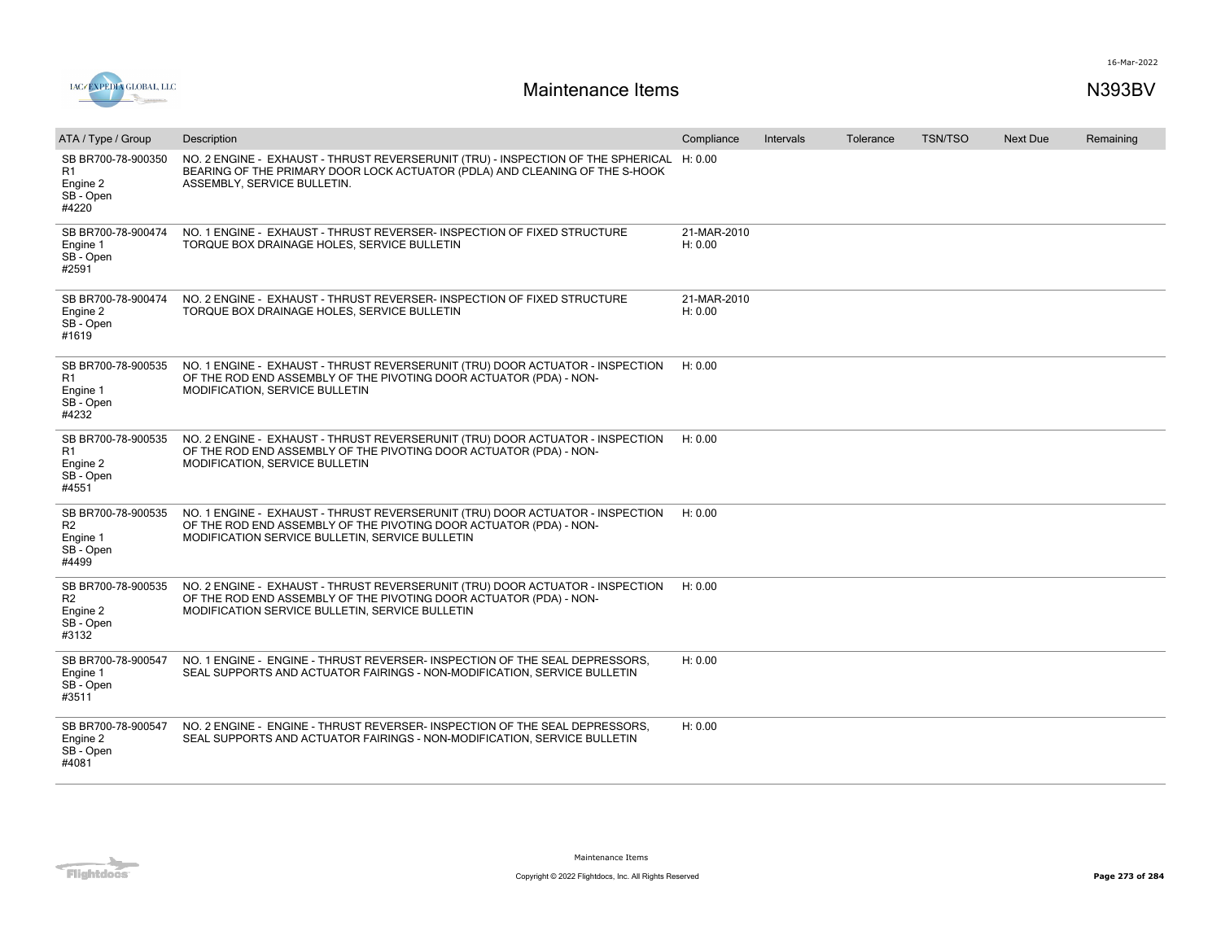

| ATA / Type / Group                                                     | Description                                                                                                                                                                                            | Compliance             | Intervals | Tolerance | <b>TSN/TSO</b> | <b>Next Due</b> | Remaining |
|------------------------------------------------------------------------|--------------------------------------------------------------------------------------------------------------------------------------------------------------------------------------------------------|------------------------|-----------|-----------|----------------|-----------------|-----------|
| SB BR700-78-900350<br>R1<br>Engine 2<br>SB - Open<br>#4220             | NO. 2 ENGINE - EXHAUST - THRUST REVERSERUNIT (TRU) - INSPECTION OF THE SPHERICAL H: 0.00<br>BEARING OF THE PRIMARY DOOR LOCK ACTUATOR (PDLA) AND CLEANING OF THE S-HOOK<br>ASSEMBLY, SERVICE BULLETIN. |                        |           |           |                |                 |           |
| SB BR700-78-900474<br>Engine 1<br>SB - Open<br>#2591                   | NO. 1 ENGINE - EXHAUST - THRUST REVERSER- INSPECTION OF FIXED STRUCTURE<br>TORQUE BOX DRAINAGE HOLES, SERVICE BULLETIN                                                                                 | 21-MAR-2010<br>H: 0.00 |           |           |                |                 |           |
| SB BR700-78-900474<br>Engine 2<br>SB - Open<br>#1619                   | NO. 2 ENGINE - EXHAUST - THRUST REVERSER- INSPECTION OF FIXED STRUCTURE<br>TORQUE BOX DRAINAGE HOLES, SERVICE BULLETIN                                                                                 | 21-MAR-2010<br>H: 0.00 |           |           |                |                 |           |
| SB BR700-78-900535<br>R1<br>Engine 1<br>SB - Open<br>#4232             | NO. 1 ENGINE - EXHAUST - THRUST REVERSERUNIT (TRU) DOOR ACTUATOR - INSPECTION<br>OF THE ROD END ASSEMBLY OF THE PIVOTING DOOR ACTUATOR (PDA) - NON-<br>MODIFICATION, SERVICE BULLETIN                  | H: 0.00                |           |           |                |                 |           |
| SB BR700-78-900535<br>R1<br>Engine 2<br>SB - Open<br>#4551             | NO. 2 ENGINE - EXHAUST - THRUST REVERSERUNIT (TRU) DOOR ACTUATOR - INSPECTION<br>OF THE ROD END ASSEMBLY OF THE PIVOTING DOOR ACTUATOR (PDA) - NON-<br>MODIFICATION, SERVICE BULLETIN                  | H: 0.00                |           |           |                |                 |           |
| SB BR700-78-900535<br>R <sub>2</sub><br>Engine 1<br>SB - Open<br>#4499 | NO. 1 ENGINE - EXHAUST - THRUST REVERSERUNIT (TRU) DOOR ACTUATOR - INSPECTION<br>OF THE ROD END ASSEMBLY OF THE PIVOTING DOOR ACTUATOR (PDA) - NON-<br>MODIFICATION SERVICE BULLETIN, SERVICE BULLETIN | H: 0.00                |           |           |                |                 |           |
| SB BR700-78-900535<br>R <sub>2</sub><br>Engine 2<br>SB - Open<br>#3132 | NO. 2 ENGINE - EXHAUST - THRUST REVERSERUNIT (TRU) DOOR ACTUATOR - INSPECTION<br>OF THE ROD END ASSEMBLY OF THE PIVOTING DOOR ACTUATOR (PDA) - NON-<br>MODIFICATION SERVICE BULLETIN, SERVICE BULLETIN | H: 0.00                |           |           |                |                 |           |
| SB BR700-78-900547<br>Engine 1<br>SB-Open<br>#3511                     | NO. 1 ENGINE - ENGINE - THRUST REVERSER-INSPECTION OF THE SEAL DEPRESSORS.<br>SEAL SUPPORTS AND ACTUATOR FAIRINGS - NON-MODIFICATION, SERVICE BULLETIN                                                 | H: 0.00                |           |           |                |                 |           |
| SB BR700-78-900547<br>Engine 2<br>SB - Open<br>#4081                   | NO. 2 ENGINE - ENGINE - THRUST REVERSER- INSPECTION OF THE SEAL DEPRESSORS,<br>SEAL SUPPORTS AND ACTUATOR FAIRINGS - NON-MODIFICATION, SERVICE BULLETIN                                                | H: 0.00                |           |           |                |                 |           |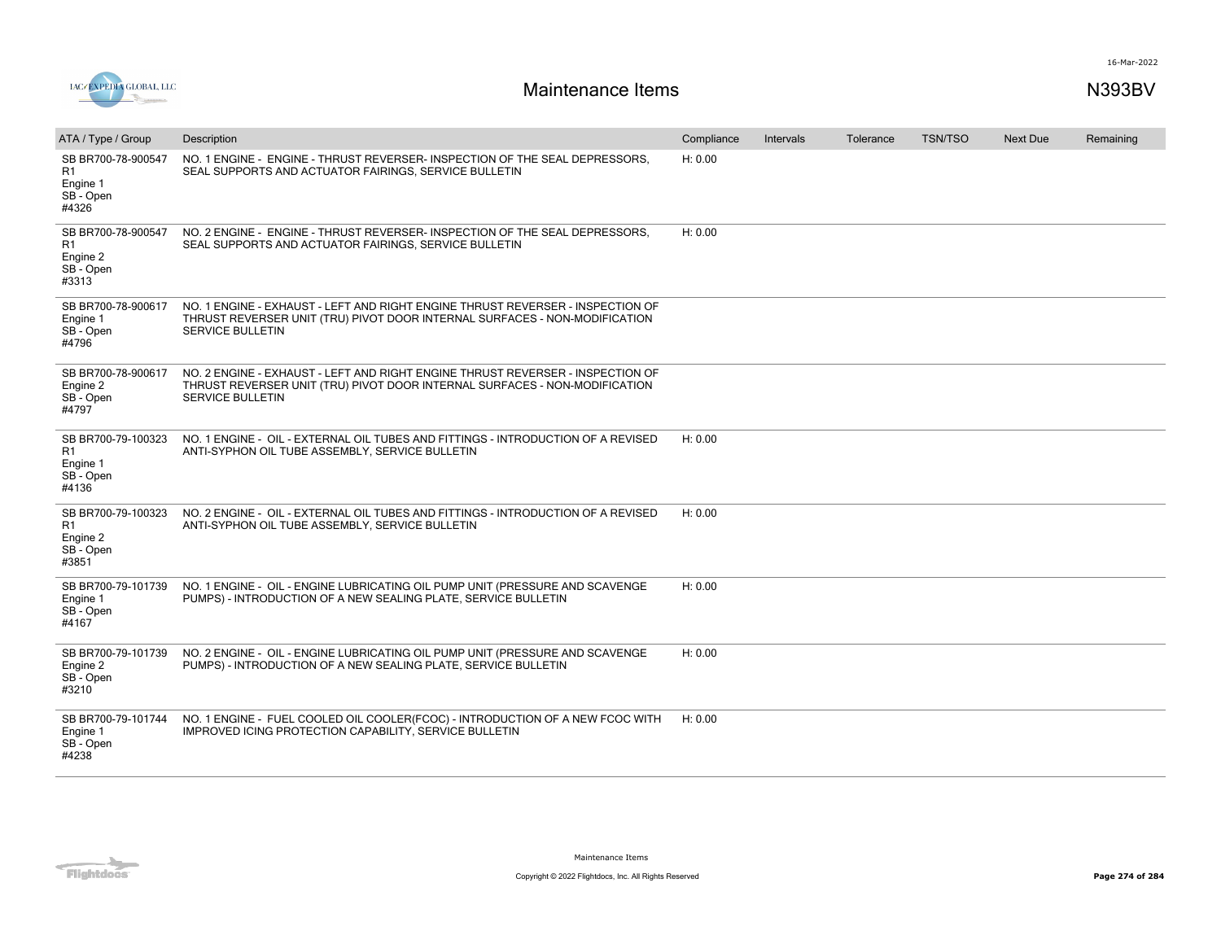

| ATA / Type / Group                                                     | Description                                                                                                                                                                             | Compliance | Intervals | Tolerance | <b>TSN/TSO</b> | <b>Next Due</b> | Remaining |
|------------------------------------------------------------------------|-----------------------------------------------------------------------------------------------------------------------------------------------------------------------------------------|------------|-----------|-----------|----------------|-----------------|-----------|
| SB BR700-78-900547<br>R <sub>1</sub><br>Engine 1<br>SB - Open<br>#4326 | NO. 1 ENGINE - ENGINE - THRUST REVERSER- INSPECTION OF THE SEAL DEPRESSORS.<br>SEAL SUPPORTS AND ACTUATOR FAIRINGS, SERVICE BULLETIN                                                    | H: 0.00    |           |           |                |                 |           |
| SB BR700-78-900547<br>R1<br>Engine 2<br>SB - Open<br>#3313             | NO. 2 ENGINE - ENGINE - THRUST REVERSER- INSPECTION OF THE SEAL DEPRESSORS,<br>SEAL SUPPORTS AND ACTUATOR FAIRINGS, SERVICE BULLETIN                                                    | H: 0.00    |           |           |                |                 |           |
| SB BR700-78-900617<br>Engine 1<br>SB - Open<br>#4796                   | NO. 1 ENGINE - EXHAUST - LEFT AND RIGHT ENGINE THRUST REVERSER - INSPECTION OF<br>THRUST REVERSER UNIT (TRU) PIVOT DOOR INTERNAL SURFACES - NON-MODIFICATION<br>SERVICE BULLETIN        |            |           |           |                |                 |           |
| SB BR700-78-900617<br>Engine 2<br>SB - Open<br>#4797                   | NO. 2 ENGINE - EXHAUST - LEFT AND RIGHT ENGINE THRUST REVERSER - INSPECTION OF<br>THRUST REVERSER UNIT (TRU) PIVOT DOOR INTERNAL SURFACES - NON-MODIFICATION<br><b>SERVICE BULLETIN</b> |            |           |           |                |                 |           |
| SB BR700-79-100323<br>R <sub>1</sub><br>Engine 1<br>SB - Open<br>#4136 | NO. 1 ENGINE - OIL - EXTERNAL OIL TUBES AND FITTINGS - INTRODUCTION OF A REVISED<br>ANTI-SYPHON OIL TUBE ASSEMBLY, SERVICE BULLETIN                                                     | H: 0.00    |           |           |                |                 |           |
| SB BR700-79-100323<br>R1<br>Engine 2<br>SB - Open<br>#3851             | NO. 2 ENGINE - OIL - EXTERNAL OIL TUBES AND FITTINGS - INTRODUCTION OF A REVISED<br>ANTI-SYPHON OIL TUBE ASSEMBLY, SERVICE BULLETIN                                                     | H: 0.00    |           |           |                |                 |           |
| SB BR700-79-101739<br>Engine 1<br>SB - Open<br>#4167                   | NO. 1 ENGINE - OIL - ENGINE LUBRICATING OIL PUMP UNIT (PRESSURE AND SCAVENGE<br>PUMPS) - INTRODUCTION OF A NEW SEALING PLATE, SERVICE BULLETIN                                          | H: 0.00    |           |           |                |                 |           |
| SB BR700-79-101739<br>Engine 2<br>SB - Open<br>#3210                   | NO. 2 ENGINE - OIL - ENGINE LUBRICATING OIL PUMP UNIT (PRESSURE AND SCAVENGE<br>PUMPS) - INTRODUCTION OF A NEW SEALING PLATE, SERVICE BULLETIN                                          | H: 0.00    |           |           |                |                 |           |
| SB BR700-79-101744<br>Engine 1<br>SB - Open<br>#4238                   | NO. 1 ENGINE - FUEL COOLED OIL COOLER(FCOC) - INTRODUCTION OF A NEW FCOC WITH<br><b>IMPROVED ICING PROTECTION CAPABILITY, SERVICE BULLETIN</b>                                          | H: 0.00    |           |           |                |                 |           |

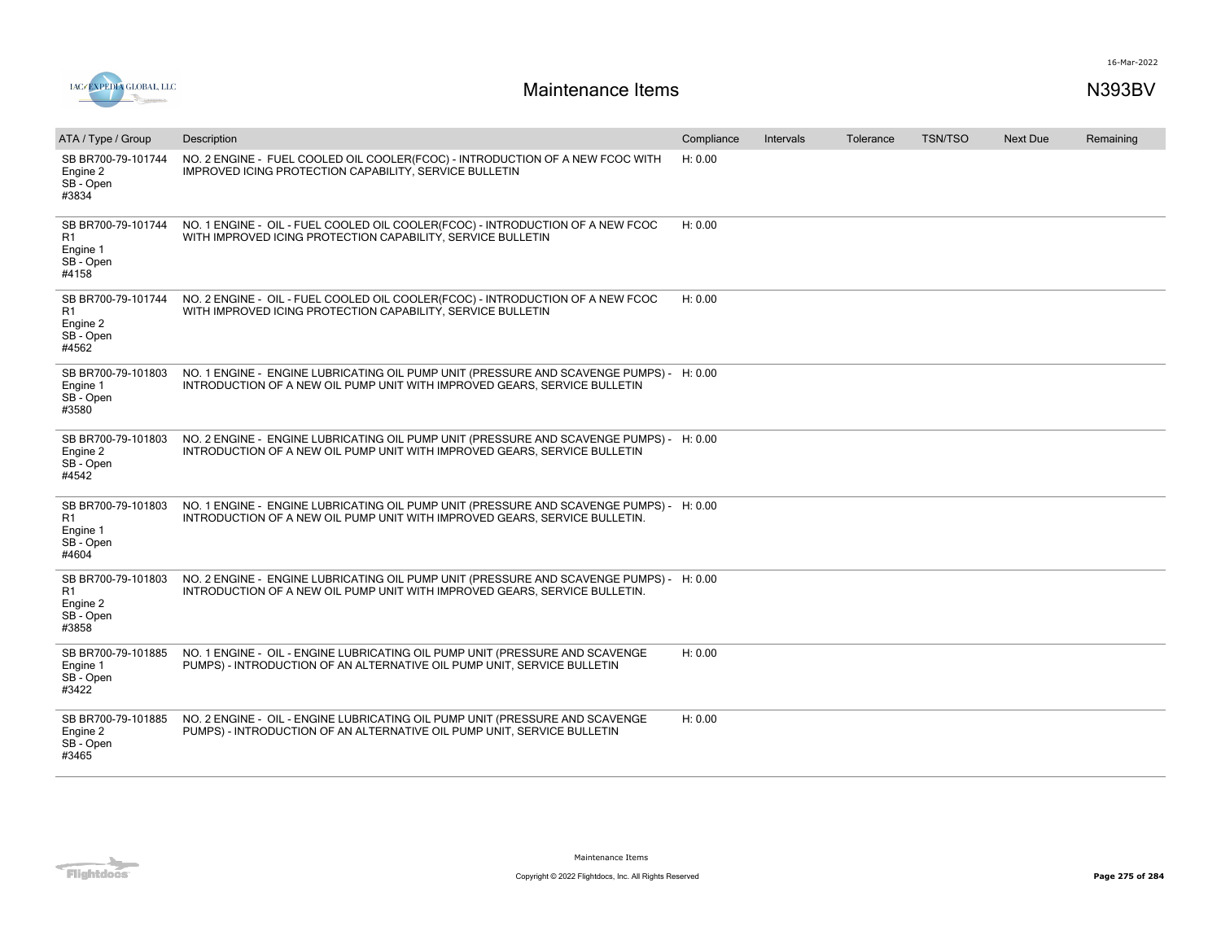

| ATA / Type / Group                                         | Description                                                                                                                                                           | Compliance | Intervals | Tolerance | <b>TSN/TSO</b> | <b>Next Due</b> | Remaining |
|------------------------------------------------------------|-----------------------------------------------------------------------------------------------------------------------------------------------------------------------|------------|-----------|-----------|----------------|-----------------|-----------|
| SB BR700-79-101744<br>Engine 2<br>SB - Open<br>#3834       | NO. 2 ENGINE - FUEL COOLED OIL COOLER(FCOC) - INTRODUCTION OF A NEW FCOC WITH<br>IMPROVED ICING PROTECTION CAPABILITY, SERVICE BULLETIN                               | H: 0.00    |           |           |                |                 |           |
| SB BR700-79-101744<br>R1<br>Engine 1<br>SB - Open<br>#4158 | NO. 1 ENGINE - OIL - FUEL COOLED OIL COOLER(FCOC) - INTRODUCTION OF A NEW FCOC<br>WITH IMPROVED ICING PROTECTION CAPABILITY, SERVICE BULLETIN                         | H: 0.00    |           |           |                |                 |           |
| SB BR700-79-101744<br>R1<br>Engine 2<br>SB - Open<br>#4562 | NO. 2 ENGINE - OIL - FUEL COOLED OIL COOLER(FCOC) - INTRODUCTION OF A NEW FCOC<br>WITH IMPROVED ICING PROTECTION CAPABILITY, SERVICE BULLETIN                         | H: 0.00    |           |           |                |                 |           |
| SB BR700-79-101803<br>Engine 1<br>SB - Open<br>#3580       | NO. 1 ENGINE - ENGINE LUBRICATING OIL PUMP UNIT (PRESSURE AND SCAVENGE PUMPS) - H: 0.00<br>INTRODUCTION OF A NEW OIL PUMP UNIT WITH IMPROVED GEARS, SERVICE BULLETIN  |            |           |           |                |                 |           |
| SB BR700-79-101803<br>Engine 2<br>SB - Open<br>#4542       | NO. 2 ENGINE - ENGINE LUBRICATING OIL PUMP UNIT (PRESSURE AND SCAVENGE PUMPS) - H: 0.00<br>INTRODUCTION OF A NEW OIL PUMP UNIT WITH IMPROVED GEARS, SERVICE BULLETIN  |            |           |           |                |                 |           |
| SB BR700-79-101803<br>R1<br>Engine 1<br>SB - Open<br>#4604 | NO. 1 ENGINE - ENGINE LUBRICATING OIL PUMP UNIT (PRESSURE AND SCAVENGE PUMPS) - H: 0.00<br>INTRODUCTION OF A NEW OIL PUMP UNIT WITH IMPROVED GEARS, SERVICE BULLETIN. |            |           |           |                |                 |           |
| SB BR700-79-101803<br>R1<br>Engine 2<br>SB - Open<br>#3858 | NO. 2 ENGINE - ENGINE LUBRICATING OIL PUMP UNIT (PRESSURE AND SCAVENGE PUMPS) - H: 0.00<br>INTRODUCTION OF A NEW OIL PUMP UNIT WITH IMPROVED GEARS, SERVICE BULLETIN. |            |           |           |                |                 |           |
| SB BR700-79-101885<br>Engine 1<br>SB - Open<br>#3422       | NO. 1 ENGINE - OIL - ENGINE LUBRICATING OIL PUMP UNIT (PRESSURE AND SCAVENGE<br>PUMPS) - INTRODUCTION OF AN ALTERNATIVE OIL PUMP UNIT, SERVICE BULLETIN               | H: 0.00    |           |           |                |                 |           |
| SB BR700-79-101885<br>Engine 2<br>SB - Open<br>#3465       | NO. 2 ENGINE - OIL - ENGINE LUBRICATING OIL PUMP UNIT (PRESSURE AND SCAVENGE<br>PUMPS) - INTRODUCTION OF AN ALTERNATIVE OIL PUMP UNIT, SERVICE BULLETIN               | H: 0.00    |           |           |                |                 |           |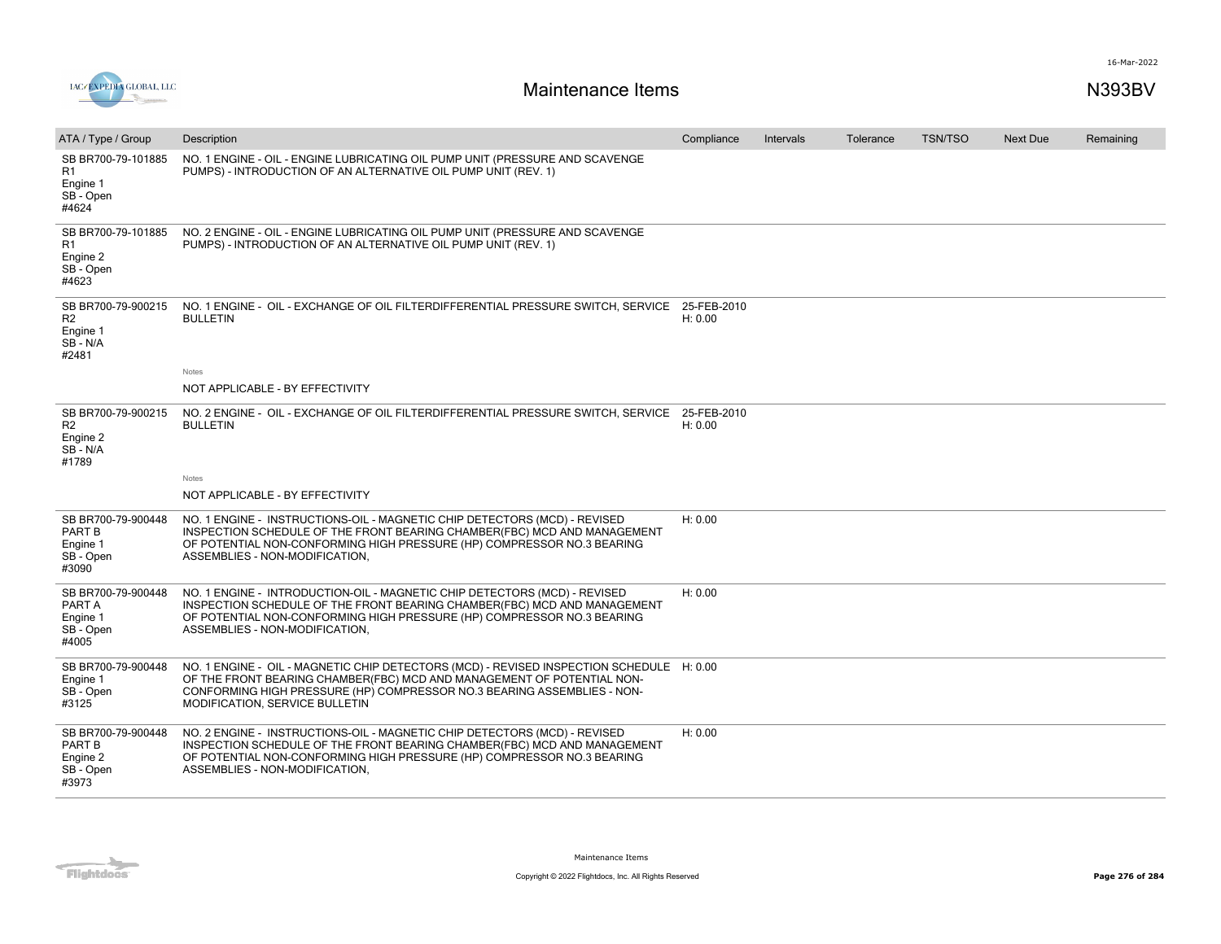



| ATA / Type / Group                                                     | Description                                                                                                                                                                                                                                                                     | Compliance             | Intervals | Tolerance | <b>TSN/TSO</b> | <b>Next Due</b> | Remaining |
|------------------------------------------------------------------------|---------------------------------------------------------------------------------------------------------------------------------------------------------------------------------------------------------------------------------------------------------------------------------|------------------------|-----------|-----------|----------------|-----------------|-----------|
| SB BR700-79-101885<br>R <sub>1</sub><br>Engine 1<br>SB - Open<br>#4624 | NO. 1 ENGINE - OIL - ENGINE LUBRICATING OIL PUMP UNIT (PRESSURE AND SCAVENGE<br>PUMPS) - INTRODUCTION OF AN ALTERNATIVE OIL PUMP UNIT (REV. 1)                                                                                                                                  |                        |           |           |                |                 |           |
| SB BR700-79-101885<br>R1<br>Engine 2<br>SB - Open<br>#4623             | NO. 2 ENGINE - OIL - ENGINE LUBRICATING OIL PUMP UNIT (PRESSURE AND SCAVENGE<br>PUMPS) - INTRODUCTION OF AN ALTERNATIVE OIL PUMP UNIT (REV. 1)                                                                                                                                  |                        |           |           |                |                 |           |
| SB BR700-79-900215<br>R <sub>2</sub><br>Engine 1<br>SB - N/A<br>#2481  | NO. 1 ENGINE - OIL - EXCHANGE OF OIL FILTERDIFFERENTIAL PRESSURE SWITCH, SERVICE<br><b>BULLETIN</b>                                                                                                                                                                             | 25-FEB-2010<br>H: 0.00 |           |           |                |                 |           |
|                                                                        | Notes<br>NOT APPLICABLE - BY EFFECTIVITY                                                                                                                                                                                                                                        |                        |           |           |                |                 |           |
|                                                                        |                                                                                                                                                                                                                                                                                 |                        |           |           |                |                 |           |
| SB BR700-79-900215<br>R <sub>2</sub><br>Engine 2<br>SB-N/A<br>#1789    | NO. 2 ENGINE - OIL - EXCHANGE OF OIL FILTERDIFFERENTIAL PRESSURE SWITCH, SERVICE<br><b>BULLETIN</b>                                                                                                                                                                             | 25-FEB-2010<br>H: 0.00 |           |           |                |                 |           |
|                                                                        | Notes                                                                                                                                                                                                                                                                           |                        |           |           |                |                 |           |
|                                                                        | NOT APPLICABLE - BY EFFECTIVITY                                                                                                                                                                                                                                                 |                        |           |           |                |                 |           |
| SB BR700-79-900448<br><b>PART B</b><br>Engine 1<br>SB - Open<br>#3090  | NO. 1 ENGINE - INSTRUCTIONS-OIL - MAGNETIC CHIP DETECTORS (MCD) - REVISED<br>INSPECTION SCHEDULE OF THE FRONT BEARING CHAMBER(FBC) MCD AND MANAGEMENT<br>OF POTENTIAL NON-CONFORMING HIGH PRESSURE (HP) COMPRESSOR NO.3 BEARING<br>ASSEMBLIES - NON-MODIFICATION,               | H: 0.00                |           |           |                |                 |           |
| SB BR700-79-900448<br>PART A<br>Engine 1<br>SB - Open<br>#4005         | NO. 1 ENGINE - INTRODUCTION-OIL - MAGNETIC CHIP DETECTORS (MCD) - REVISED<br>INSPECTION SCHEDULE OF THE FRONT BEARING CHAMBER(FBC) MCD AND MANAGEMENT<br>OF POTENTIAL NON-CONFORMING HIGH PRESSURE (HP) COMPRESSOR NO.3 BEARING<br>ASSEMBLIES - NON-MODIFICATION,               | H: 0.00                |           |           |                |                 |           |
| SB BR700-79-900448<br>Engine 1<br>SB - Open<br>#3125                   | NO. 1 ENGINE - OIL - MAGNETIC CHIP DETECTORS (MCD) - REVISED INSPECTION SCHEDULE H: 0.00<br>OF THE FRONT BEARING CHAMBER(FBC) MCD AND MANAGEMENT OF POTENTIAL NON-<br>CONFORMING HIGH PRESSURE (HP) COMPRESSOR NO.3 BEARING ASSEMBLIES - NON-<br>MODIFICATION, SERVICE BULLETIN |                        |           |           |                |                 |           |
| SB BR700-79-900448<br>PART B<br>Engine 2<br>SB - Open<br>#3973         | NO. 2 ENGINE - INSTRUCTIONS-OIL - MAGNETIC CHIP DETECTORS (MCD) - REVISED<br>INSPECTION SCHEDULE OF THE FRONT BEARING CHAMBER(FBC) MCD AND MANAGEMENT<br>OF POTENTIAL NON-CONFORMING HIGH PRESSURE (HP) COMPRESSOR NO.3 BEARING<br>ASSEMBLIES - NON-MODIFICATION,               | H: 0.00                |           |           |                |                 |           |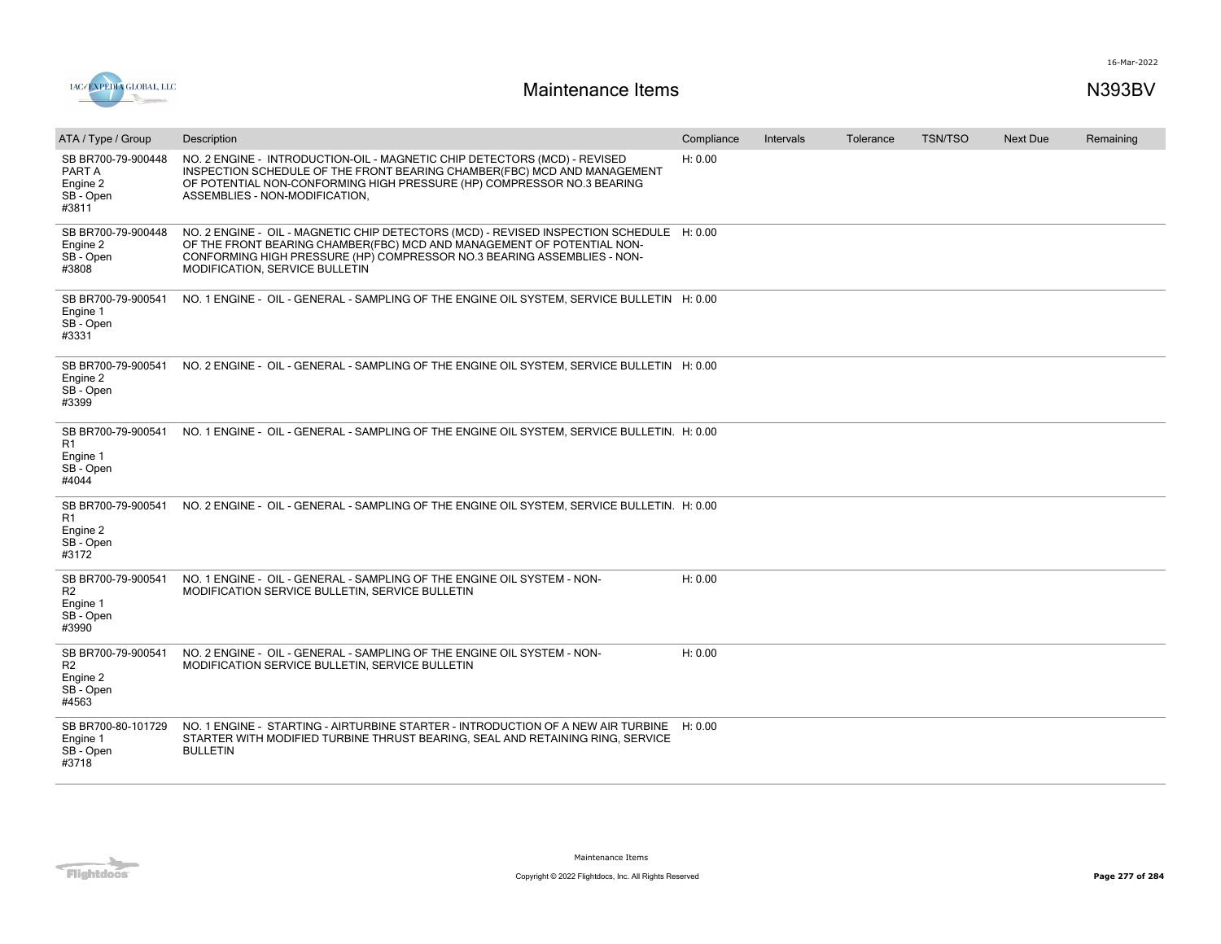

| ATA / Type / Group                                                     | Description                                                                                                                                                                                                                                                                     | Compliance | Intervals | Tolerance | <b>TSN/TSO</b> | <b>Next Due</b> | Remaining |
|------------------------------------------------------------------------|---------------------------------------------------------------------------------------------------------------------------------------------------------------------------------------------------------------------------------------------------------------------------------|------------|-----------|-----------|----------------|-----------------|-----------|
| SB BR700-79-900448<br>PART A<br>Engine 2<br>SB - Open<br>#3811         | NO. 2 ENGINE - INTRODUCTION-OIL - MAGNETIC CHIP DETECTORS (MCD) - REVISED<br>INSPECTION SCHEDULE OF THE FRONT BEARING CHAMBER(FBC) MCD AND MANAGEMENT<br>OF POTENTIAL NON-CONFORMING HIGH PRESSURE (HP) COMPRESSOR NO.3 BEARING<br>ASSEMBLIES - NON-MODIFICATION,               | H: 0.00    |           |           |                |                 |           |
| SB BR700-79-900448<br>Engine 2<br>SB - Open<br>#3808                   | NO. 2 ENGINE - OIL - MAGNETIC CHIP DETECTORS (MCD) - REVISED INSPECTION SCHEDULE H: 0.00<br>OF THE FRONT BEARING CHAMBER(FBC) MCD AND MANAGEMENT OF POTENTIAL NON-<br>CONFORMING HIGH PRESSURE (HP) COMPRESSOR NO.3 BEARING ASSEMBLIES - NON-<br>MODIFICATION, SERVICE BULLETIN |            |           |           |                |                 |           |
| SB BR700-79-900541<br>Engine 1<br>SB - Open<br>#3331                   | NO. 1 ENGINE - OIL - GENERAL - SAMPLING OF THE ENGINE OIL SYSTEM, SERVICE BULLETIN H: 0.00                                                                                                                                                                                      |            |           |           |                |                 |           |
| SB BR700-79-900541<br>Engine 2<br>SB - Open<br>#3399                   | NO. 2 ENGINE - OIL - GENERAL - SAMPLING OF THE ENGINE OIL SYSTEM, SERVICE BULLETIN H: 0.00                                                                                                                                                                                      |            |           |           |                |                 |           |
| SB BR700-79-900541<br>R1<br>Engine 1<br>SB - Open<br>#4044             | NO. 1 ENGINE - OIL - GENERAL - SAMPLING OF THE ENGINE OIL SYSTEM, SERVICE BULLETIN. H: 0.00                                                                                                                                                                                     |            |           |           |                |                 |           |
| R1<br>Engine 2<br>SB - Open<br>#3172                                   | SB BR700-79-900541 NO. 2 ENGINE - OIL - GENERAL - SAMPLING OF THE ENGINE OIL SYSTEM, SERVICE BULLETIN. H: 0.00                                                                                                                                                                  |            |           |           |                |                 |           |
| SB BR700-79-900541<br>R2<br>Engine 1<br>SB - Open<br>#3990             | NO. 1 ENGINE - OIL - GENERAL - SAMPLING OF THE ENGINE OIL SYSTEM - NON-<br>MODIFICATION SERVICE BULLETIN, SERVICE BULLETIN                                                                                                                                                      | H: 0.00    |           |           |                |                 |           |
| SB BR700-79-900541<br>R <sub>2</sub><br>Engine 2<br>SB - Open<br>#4563 | NO. 2 ENGINE - OIL - GENERAL - SAMPLING OF THE ENGINE OIL SYSTEM - NON-<br>MODIFICATION SERVICE BULLETIN, SERVICE BULLETIN                                                                                                                                                      | H: 0.00    |           |           |                |                 |           |
| SB BR700-80-101729<br>Engine 1<br>SB - Open<br>#3718                   | NO. 1 ENGINE - STARTING - AIRTURBINE STARTER - INTRODUCTION OF A NEW AIR TURBINE H: 0.00<br>STARTER WITH MODIFIED TURBINE THRUST BEARING, SEAL AND RETAINING RING, SERVICE<br><b>BULLETIN</b>                                                                                   |            |           |           |                |                 |           |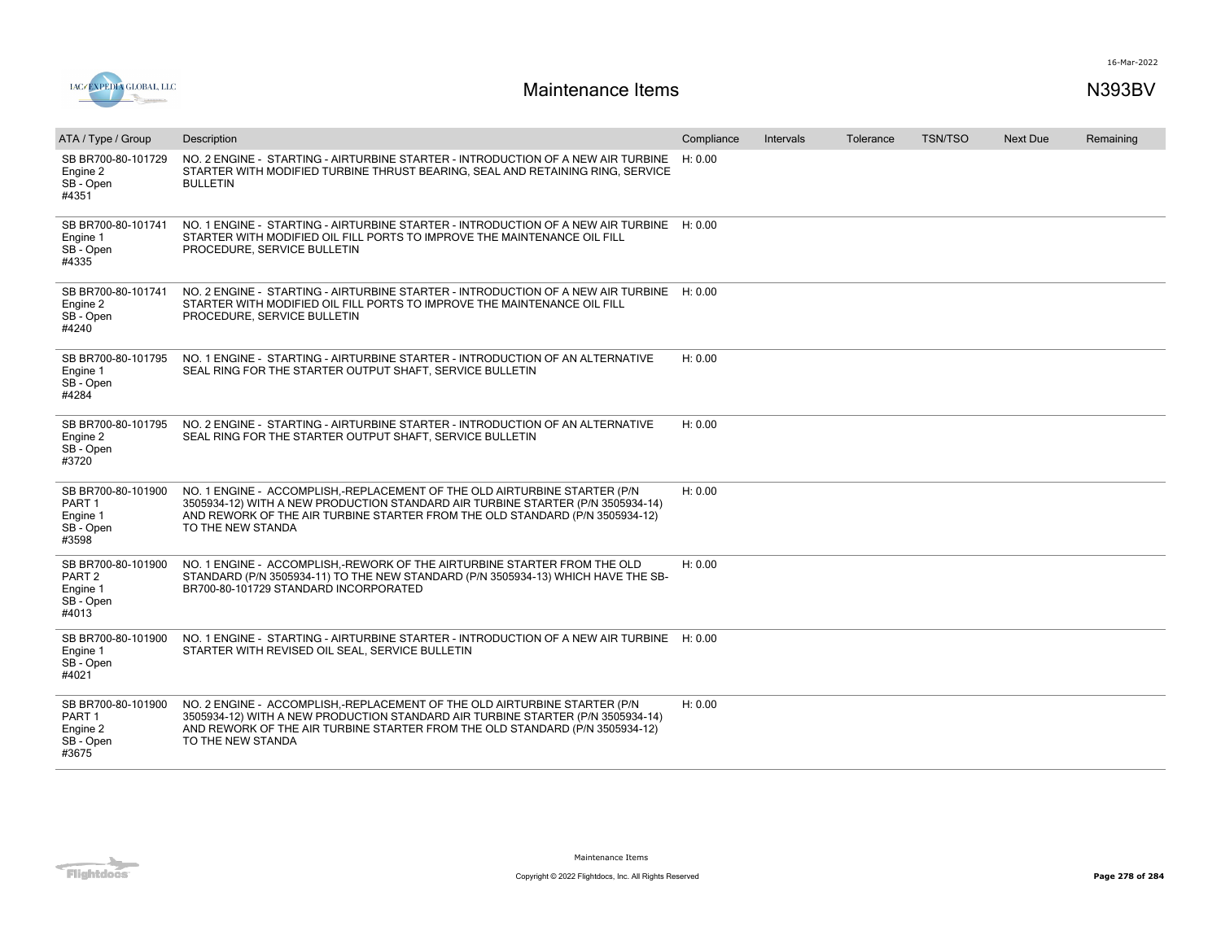



| ATA / Type / Group                                                        | Description                                                                                                                                                                                                                                                       | Compliance | <b>Intervals</b> | Tolerance | <b>TSN/TSO</b> | <b>Next Due</b> | Remaining |
|---------------------------------------------------------------------------|-------------------------------------------------------------------------------------------------------------------------------------------------------------------------------------------------------------------------------------------------------------------|------------|------------------|-----------|----------------|-----------------|-----------|
| SB BR700-80-101729<br>Engine 2<br>SB - Open<br>#4351                      | NO. 2 ENGINE - STARTING - AIRTURBINE STARTER - INTRODUCTION OF A NEW AIR TURBINE<br>STARTER WITH MODIFIED TURBINE THRUST BEARING, SEAL AND RETAINING RING, SERVICE<br><b>BULLETIN</b>                                                                             | H: 0.00    |                  |           |                |                 |           |
| SB BR700-80-101741<br>Engine 1<br>SB - Open<br>#4335                      | NO. 1 ENGINE - STARTING - AIRTURBINE STARTER - INTRODUCTION OF A NEW AIR TURBINE H: 0.00<br>STARTER WITH MODIFIED OIL FILL PORTS TO IMPROVE THE MAINTENANCE OIL FILL<br>PROCEDURE, SERVICE BULLETIN                                                               |            |                  |           |                |                 |           |
| SB BR700-80-101741<br>Engine 2<br>SB - Open<br>#4240                      | NO. 2 ENGINE - STARTING - AIRTURBINE STARTER - INTRODUCTION OF A NEW AIR TURBINE H: 0.00<br>STARTER WITH MODIFIED OIL FILL PORTS TO IMPROVE THE MAINTENANCE OIL FILL<br>PROCEDURE, SERVICE BULLETIN                                                               |            |                  |           |                |                 |           |
| SB BR700-80-101795<br>Engine 1<br>SB - Open<br>#4284                      | NO. 1 ENGINE - STARTING - AIRTURBINE STARTER - INTRODUCTION OF AN ALTERNATIVE<br>SEAL RING FOR THE STARTER OUTPUT SHAFT, SERVICE BULLETIN                                                                                                                         | H: 0.00    |                  |           |                |                 |           |
| SB BR700-80-101795<br>Engine 2<br>SB - Open<br>#3720                      | NO. 2 ENGINE - STARTING - AIRTURBINE STARTER - INTRODUCTION OF AN ALTERNATIVE<br>SEAL RING FOR THE STARTER OUTPUT SHAFT, SERVICE BULLETIN                                                                                                                         | H: 0.00    |                  |           |                |                 |           |
| SB BR700-80-101900<br>PART <sub>1</sub><br>Engine 1<br>SB - Open<br>#3598 | NO. 1 ENGINE - ACCOMPLISH,-REPLACEMENT OF THE OLD AIRTURBINE STARTER (P/N<br>3505934-12) WITH A NEW PRODUCTION STANDARD AIR TURBINE STARTER (P/N 3505934-14)<br>AND REWORK OF THE AIR TURBINE STARTER FROM THE OLD STANDARD (P/N 3505934-12)<br>TO THE NEW STANDA | H: 0.00    |                  |           |                |                 |           |
| SB BR700-80-101900<br>PART <sub>2</sub><br>Engine 1<br>SB - Open<br>#4013 | NO. 1 ENGINE - ACCOMPLISH,-REWORK OF THE AIRTURBINE STARTER FROM THE OLD<br>STANDARD (P/N 3505934-11) TO THE NEW STANDARD (P/N 3505934-13) WHICH HAVE THE SB-<br>BR700-80-101729 STANDARD INCORPORATED                                                            | H: 0.00    |                  |           |                |                 |           |
| SB BR700-80-101900<br>Engine 1<br>SB - Open<br>#4021                      | NO. 1 ENGINE - STARTING - AIRTURBINE STARTER - INTRODUCTION OF A NEW AIR TURBINE H: 0.00<br>STARTER WITH REVISED OIL SEAL, SERVICE BULLETIN                                                                                                                       |            |                  |           |                |                 |           |
| SB BR700-80-101900<br>PART <sub>1</sub><br>Engine 2<br>SB - Open<br>#3675 | NO. 2 ENGINE - ACCOMPLISH,-REPLACEMENT OF THE OLD AIRTURBINE STARTER (P/N<br>3505934-12) WITH A NEW PRODUCTION STANDARD AIR TURBINE STARTER (P/N 3505934-14)<br>AND REWORK OF THE AIR TURBINE STARTER FROM THE OLD STANDARD (P/N 3505934-12)<br>TO THE NEW STANDA | H: 0.00    |                  |           |                |                 |           |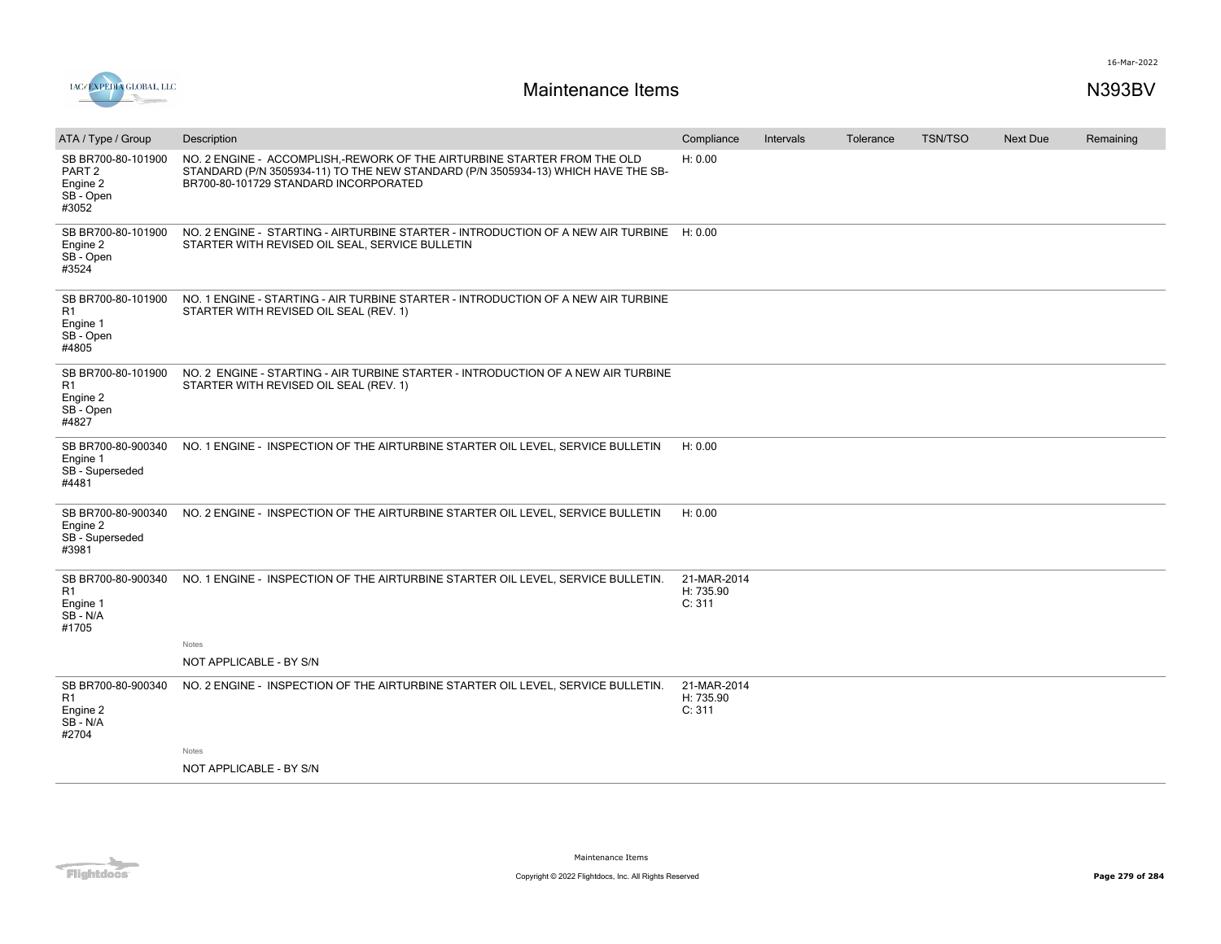

| ATA / Type / Group                                                        | Description                                                                                                                                                                                            | Compliance                         | Intervals | Tolerance | <b>TSN/TSO</b> | <b>Next Due</b> | Remaining |
|---------------------------------------------------------------------------|--------------------------------------------------------------------------------------------------------------------------------------------------------------------------------------------------------|------------------------------------|-----------|-----------|----------------|-----------------|-----------|
| SB BR700-80-101900<br>PART <sub>2</sub><br>Engine 2<br>SB - Open<br>#3052 | NO. 2 ENGINE - ACCOMPLISH,-REWORK OF THE AIRTURBINE STARTER FROM THE OLD<br>STANDARD (P/N 3505934-11) TO THE NEW STANDARD (P/N 3505934-13) WHICH HAVE THE SB-<br>BR700-80-101729 STANDARD INCORPORATED | H: 0.00                            |           |           |                |                 |           |
| SB BR700-80-101900<br>Engine 2<br>SB-Open<br>#3524                        | NO. 2 ENGINE - STARTING - AIRTURBINE STARTER - INTRODUCTION OF A NEW AIR TURBINE H: 0.00<br>STARTER WITH REVISED OIL SEAL, SERVICE BULLETIN                                                            |                                    |           |           |                |                 |           |
| SB BR700-80-101900<br>R1<br>Engine 1<br>SB - Open<br>#4805                | NO. 1 ENGINE - STARTING - AIR TURBINE STARTER - INTRODUCTION OF A NEW AIR TURBINE<br>STARTER WITH REVISED OIL SEAL (REV. 1)                                                                            |                                    |           |           |                |                 |           |
| SB BR700-80-101900<br>R1<br>Engine 2<br>SB - Open<br>#4827                | NO. 2 ENGINE - STARTING - AIR TURBINE STARTER - INTRODUCTION OF A NEW AIR TURBINE<br>STARTER WITH REVISED OIL SEAL (REV. 1)                                                                            |                                    |           |           |                |                 |           |
| SB BR700-80-900340<br>Engine 1<br>SB - Superseded<br>#4481                | NO. 1 ENGINE - INSPECTION OF THE AIRTURBINE STARTER OIL LEVEL, SERVICE BULLETIN                                                                                                                        | H: 0.00                            |           |           |                |                 |           |
| SB BR700-80-900340<br>Engine 2<br>SB - Superseded<br>#3981                | NO. 2 ENGINE - INSPECTION OF THE AIRTURBINE STARTER OIL LEVEL, SERVICE BULLETIN                                                                                                                        | H: 0.00                            |           |           |                |                 |           |
| SB BR700-80-900340<br>R <sub>1</sub><br>Engine 1<br>SB-N/A<br>#1705       | NO. 1 ENGINE - INSPECTION OF THE AIRTURBINE STARTER OIL LEVEL, SERVICE BULLETIN.                                                                                                                       | 21-MAR-2014<br>H: 735.90<br>C: 311 |           |           |                |                 |           |
|                                                                           | Notes<br>NOT APPLICABLE - BY S/N                                                                                                                                                                       |                                    |           |           |                |                 |           |
| SB BR700-80-900340<br>R <sub>1</sub><br>Engine 2<br>SB-N/A<br>#2704       | NO. 2 ENGINE - INSPECTION OF THE AIRTURBINE STARTER OIL LEVEL, SERVICE BULLETIN.                                                                                                                       | 21-MAR-2014<br>H: 735.90<br>C: 311 |           |           |                |                 |           |
|                                                                           | Notes                                                                                                                                                                                                  |                                    |           |           |                |                 |           |
|                                                                           | NOT APPLICABLE - BY S/N                                                                                                                                                                                |                                    |           |           |                |                 |           |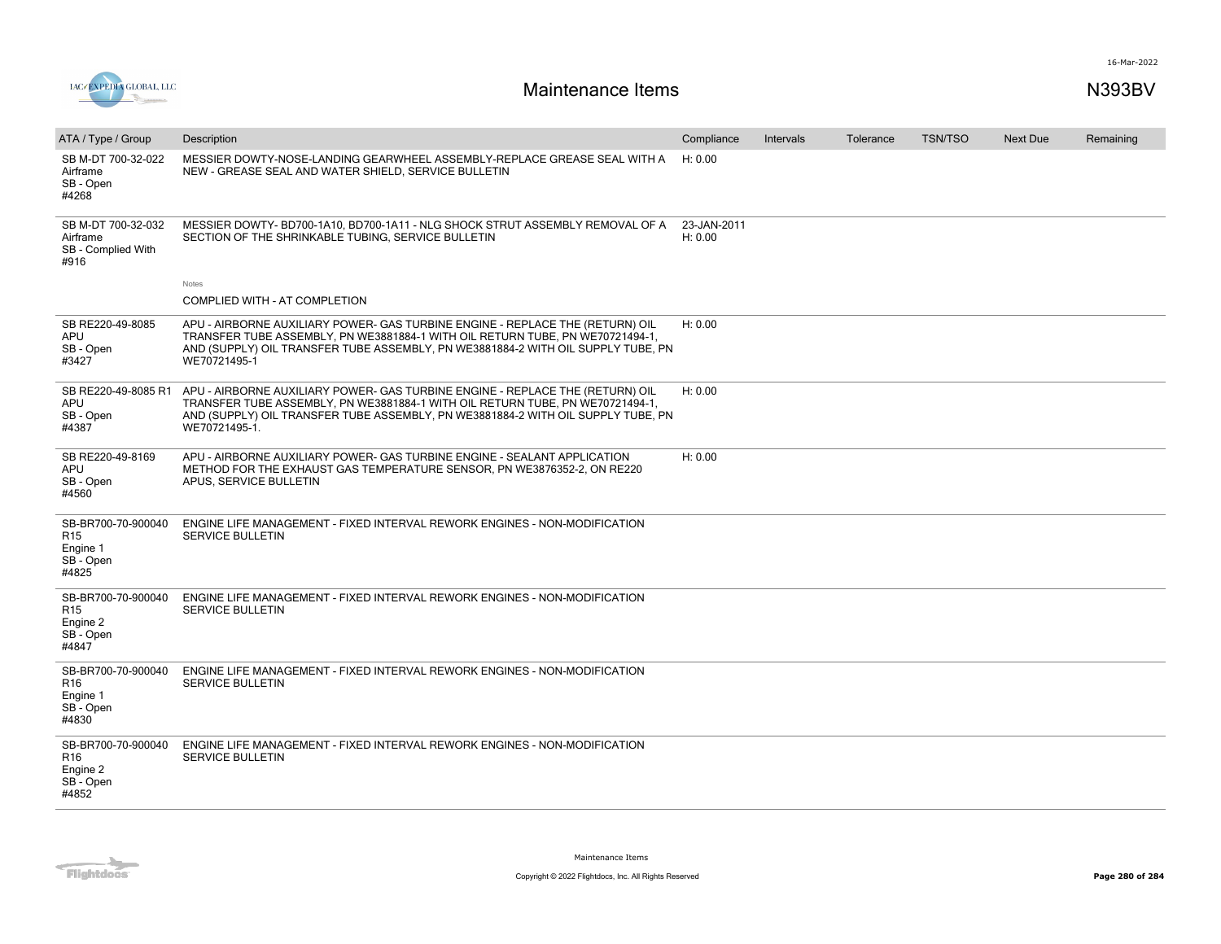

| ATA / Type / Group                                                      | Description                                                                                                                                                                                                                                                         | Compliance             | Intervals | Tolerance | <b>TSN/TSO</b> | <b>Next Due</b> | Remaining |
|-------------------------------------------------------------------------|---------------------------------------------------------------------------------------------------------------------------------------------------------------------------------------------------------------------------------------------------------------------|------------------------|-----------|-----------|----------------|-----------------|-----------|
| SB M-DT 700-32-022<br>Airframe<br>SB - Open<br>#4268                    | MESSIER DOWTY-NOSE-LANDING GEARWHEEL ASSEMBLY-REPLACE GREASE SEAL WITH A<br>NEW - GREASE SEAL AND WATER SHIELD, SERVICE BULLETIN                                                                                                                                    | H: 0.00                |           |           |                |                 |           |
| SB M-DT 700-32-032<br>Airframe<br>SB - Complied With<br>#916            | MESSIER DOWTY-BD700-1A10, BD700-1A11 - NLG SHOCK STRUT ASSEMBLY REMOVAL OF A<br>SECTION OF THE SHRINKABLE TUBING. SERVICE BULLETIN                                                                                                                                  | 23-JAN-2011<br>H: 0.00 |           |           |                |                 |           |
|                                                                         | Notes                                                                                                                                                                                                                                                               |                        |           |           |                |                 |           |
|                                                                         | COMPLIED WITH - AT COMPLETION                                                                                                                                                                                                                                       |                        |           |           |                |                 |           |
| SB RE220-49-8085<br>APU<br>SB - Open<br>#3427                           | APU - AIRBORNE AUXILIARY POWER- GAS TURBINE ENGINE - REPLACE THE (RETURN) OIL<br>TRANSFER TUBE ASSEMBLY, PN WE3881884-1 WITH OIL RETURN TUBE, PN WE70721494-1,<br>AND (SUPPLY) OIL TRANSFER TUBE ASSEMBLY, PN WE3881884-2 WITH OIL SUPPLY TUBE, PN<br>WE70721495-1  | H: 0.00                |           |           |                |                 |           |
| SB RE220-49-8085 R1<br>APU<br>SB - Open<br>#4387                        | APU - AIRBORNE AUXILIARY POWER- GAS TURBINE ENGINE - REPLACE THE (RETURN) OIL<br>TRANSFER TUBE ASSEMBLY, PN WE3881884-1 WITH OIL RETURN TUBE, PN WE70721494-1,<br>AND (SUPPLY) OIL TRANSFER TUBE ASSEMBLY, PN WE3881884-2 WITH OIL SUPPLY TUBE, PN<br>WE70721495-1. | H: 0.00                |           |           |                |                 |           |
| SB RE220-49-8169<br>APU<br>SB - Open<br>#4560                           | APU - AIRBORNE AUXILIARY POWER- GAS TURBINE ENGINE - SEALANT APPLICATION<br>METHOD FOR THE EXHAUST GAS TEMPERATURE SENSOR, PN WE3876352-2, ON RE220<br>APUS, SERVICE BULLETIN                                                                                       | H: 0.00                |           |           |                |                 |           |
| SB-BR700-70-900040<br>R <sub>15</sub><br>Engine 1<br>SB - Open<br>#4825 | ENGINE LIFE MANAGEMENT - FIXED INTERVAL REWORK ENGINES - NON-MODIFICATION<br><b>SERVICE BULLETIN</b>                                                                                                                                                                |                        |           |           |                |                 |           |
| SB-BR700-70-900040<br>R <sub>15</sub><br>Engine 2<br>SB - Open<br>#4847 | ENGINE LIFE MANAGEMENT - FIXED INTERVAL REWORK ENGINES - NON-MODIFICATION<br><b>SERVICE BULLETIN</b>                                                                                                                                                                |                        |           |           |                |                 |           |
| SB-BR700-70-900040<br>R16<br>Engine 1<br>SB - Open<br>#4830             | ENGINE LIFE MANAGEMENT - FIXED INTERVAL REWORK ENGINES - NON-MODIFICATION<br><b>SERVICE BULLETIN</b>                                                                                                                                                                |                        |           |           |                |                 |           |
| SB-BR700-70-900040<br>R16<br>Engine 2<br>SB - Open<br>#4852             | ENGINE LIFE MANAGEMENT - FIXED INTERVAL REWORK ENGINES - NON-MODIFICATION<br><b>SERVICE BULLETIN</b>                                                                                                                                                                |                        |           |           |                |                 |           |
|                                                                         |                                                                                                                                                                                                                                                                     |                        |           |           |                |                 |           |

Flightdocs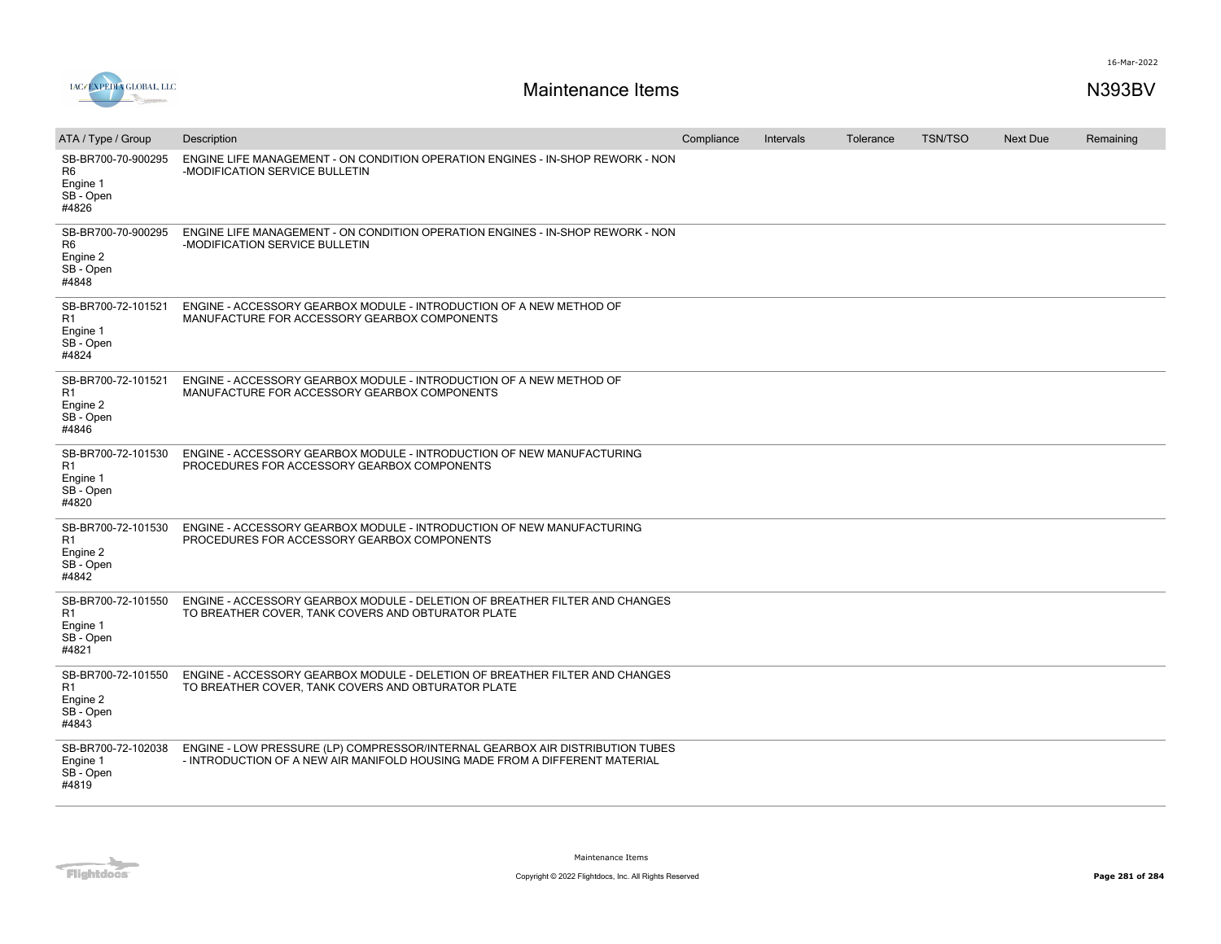

| ATA / Type / Group                                                     | Description                                                                                                                                                  | Compliance | Intervals | Tolerance | <b>TSN/TSO</b> | <b>Next Due</b> | Remaining |
|------------------------------------------------------------------------|--------------------------------------------------------------------------------------------------------------------------------------------------------------|------------|-----------|-----------|----------------|-----------------|-----------|
| SB-BR700-70-900295<br>R <sub>6</sub><br>Engine 1<br>SB - Open<br>#4826 | ENGINE LIFE MANAGEMENT - ON CONDITION OPERATION ENGINES - IN-SHOP REWORK - NON<br>-MODIFICATION SERVICE BULLETIN                                             |            |           |           |                |                 |           |
| SB-BR700-70-900295<br>R <sub>6</sub><br>Engine 2<br>SB - Open<br>#4848 | ENGINE LIFE MANAGEMENT - ON CONDITION OPERATION ENGINES - IN-SHOP REWORK - NON<br>-MODIFICATION SERVICE BULLETIN                                             |            |           |           |                |                 |           |
| SB-BR700-72-101521<br>R1<br>Engine 1<br>SB - Open<br>#4824             | ENGINE - ACCESSORY GEARBOX MODULE - INTRODUCTION OF A NEW METHOD OF<br>MANUFACTURE FOR ACCESSORY GEARBOX COMPONENTS                                          |            |           |           |                |                 |           |
| SB-BR700-72-101521<br>R <sub>1</sub><br>Engine 2<br>SB - Open<br>#4846 | ENGINE - ACCESSORY GEARBOX MODULE - INTRODUCTION OF A NEW METHOD OF<br>MANUFACTURE FOR ACCESSORY GEARBOX COMPONENTS                                          |            |           |           |                |                 |           |
| SB-BR700-72-101530<br>R1<br>Engine 1<br>SB - Open<br>#4820             | ENGINE - ACCESSORY GEARBOX MODULE - INTRODUCTION OF NEW MANUFACTURING<br>PROCEDURES FOR ACCESSORY GEARBOX COMPONENTS                                         |            |           |           |                |                 |           |
| SB-BR700-72-101530<br>R1<br>Engine 2<br>SB - Open<br>#4842             | ENGINE - ACCESSORY GEARBOX MODULE - INTRODUCTION OF NEW MANUFACTURING<br>PROCEDURES FOR ACCESSORY GEARBOX COMPONENTS                                         |            |           |           |                |                 |           |
| SB-BR700-72-101550<br>R1<br>Engine 1<br>SB - Open<br>#4821             | ENGINE - ACCESSORY GEARBOX MODULE - DELETION OF BREATHER FILTER AND CHANGES<br>TO BREATHER COVER, TANK COVERS AND OBTURATOR PLATE                            |            |           |           |                |                 |           |
| SB-BR700-72-101550<br>R1<br>Engine 2<br>SB - Open<br>#4843             | ENGINE - ACCESSORY GEARBOX MODULE - DELETION OF BREATHER FILTER AND CHANGES<br>TO BREATHER COVER, TANK COVERS AND OBTURATOR PLATE                            |            |           |           |                |                 |           |
| SB-BR700-72-102038<br>Engine 1<br>SB - Open<br>#4819                   | ENGINE - LOW PRESSURE (LP) COMPRESSOR/INTERNAL GEARBOX AIR DISTRIBUTION TUBES<br>- INTRODUCTION OF A NEW AIR MANIFOLD HOUSING MADE FROM A DIFFERENT MATERIAL |            |           |           |                |                 |           |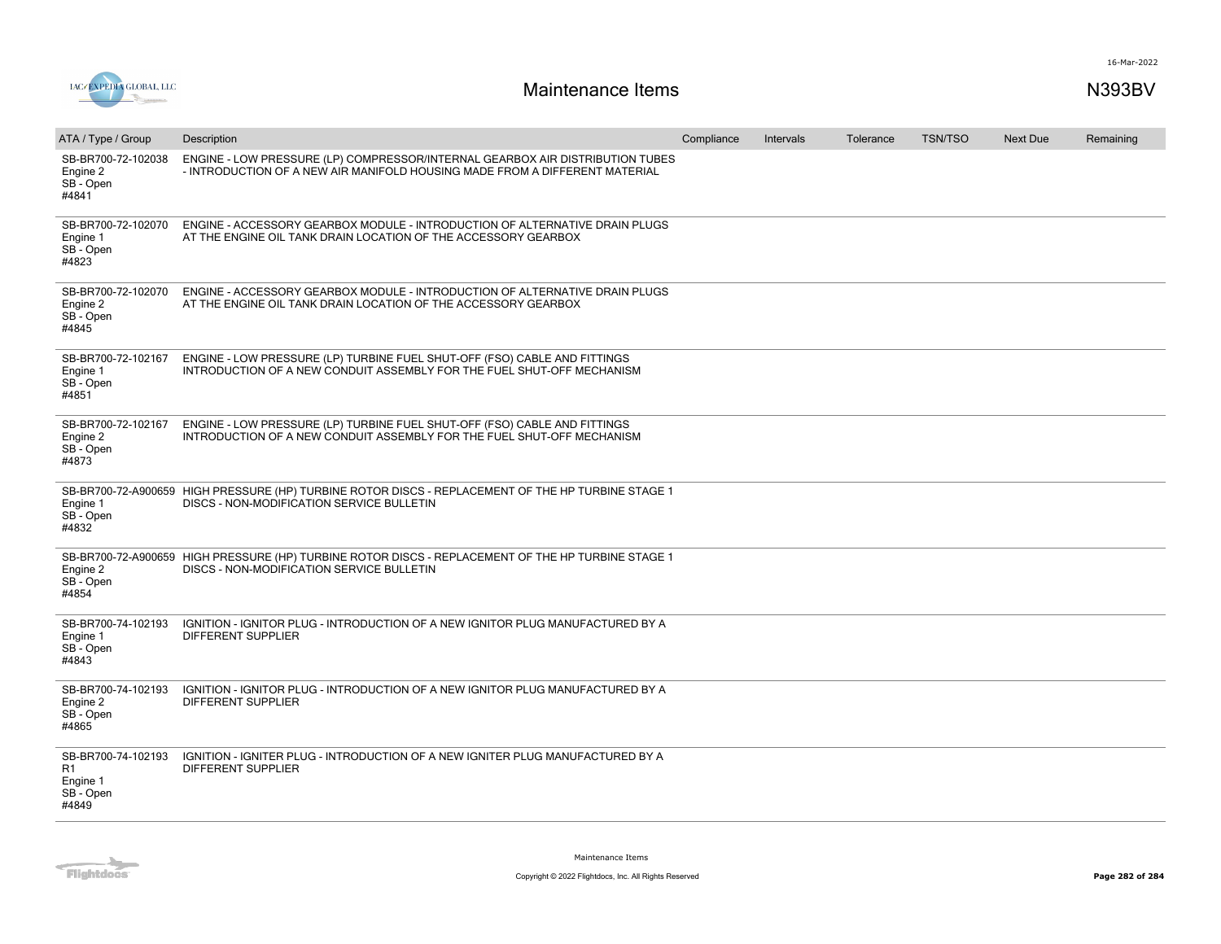



| ATA / Type / Group                                                     | Description                                                                                                                                                  | Compliance | Intervals | Tolerance | <b>TSN/TSO</b> | <b>Next Due</b> | Remaining |
|------------------------------------------------------------------------|--------------------------------------------------------------------------------------------------------------------------------------------------------------|------------|-----------|-----------|----------------|-----------------|-----------|
| SB-BR700-72-102038<br>Engine 2<br>SB - Open<br>#4841                   | ENGINE - LOW PRESSURE (LP) COMPRESSOR/INTERNAL GEARBOX AIR DISTRIBUTION TUBES<br>- INTRODUCTION OF A NEW AIR MANIFOLD HOUSING MADE FROM A DIFFERENT MATERIAL |            |           |           |                |                 |           |
| SB-BR700-72-102070<br>Engine 1<br>SB - Open<br>#4823                   | ENGINE - ACCESSORY GEARBOX MODULE - INTRODUCTION OF ALTERNATIVE DRAIN PLUGS<br>AT THE ENGINE OIL TANK DRAIN LOCATION OF THE ACCESSORY GEARBOX                |            |           |           |                |                 |           |
| SB-BR700-72-102070<br>Engine 2<br>SB - Open<br>#4845                   | ENGINE - ACCESSORY GEARBOX MODULE - INTRODUCTION OF ALTERNATIVE DRAIN PLUGS<br>AT THE ENGINE OIL TANK DRAIN LOCATION OF THE ACCESSORY GEARBOX                |            |           |           |                |                 |           |
| SB-BR700-72-102167<br>Engine 1<br>SB - Open<br>#4851                   | ENGINE - LOW PRESSURE (LP) TURBINE FUEL SHUT-OFF (FSO) CABLE AND FITTINGS<br>INTRODUCTION OF A NEW CONDUIT ASSEMBLY FOR THE FUEL SHUT-OFF MECHANISM          |            |           |           |                |                 |           |
| SB-BR700-72-102167<br>Engine 2<br>SB - Open<br>#4873                   | ENGINE - LOW PRESSURE (LP) TURBINE FUEL SHUT-OFF (FSO) CABLE AND FITTINGS<br>INTRODUCTION OF A NEW CONDUIT ASSEMBLY FOR THE FUEL SHUT-OFF MECHANISM          |            |           |           |                |                 |           |
| Engine 1<br>SB - Open<br>#4832                                         | SB-BR700-72-A900659 HIGH PRESSURE (HP) TURBINE ROTOR DISCS - REPLACEMENT OF THE HP TURBINE STAGE 1<br>DISCS - NON-MODIFICATION SERVICE BULLETIN              |            |           |           |                |                 |           |
| Engine 2<br>SB - Open<br>#4854                                         | SB-BR700-72-A900659 HIGH PRESSURE (HP) TURBINE ROTOR DISCS - REPLACEMENT OF THE HP TURBINE STAGE 1<br>DISCS - NON-MODIFICATION SERVICE BULLETIN              |            |           |           |                |                 |           |
| SB-BR700-74-102193<br>Engine 1<br>SB - Open<br>#4843                   | IGNITION - IGNITOR PLUG - INTRODUCTION OF A NEW IGNITOR PLUG MANUFACTURED BY A<br>DIFFERENT SUPPLIER                                                         |            |           |           |                |                 |           |
| SB-BR700-74-102193<br>Engine 2<br>SB - Open<br>#4865                   | IGNITION - IGNITOR PLUG - INTRODUCTION OF A NEW IGNITOR PLUG MANUFACTURED BY A<br><b>DIFFERENT SUPPLIER</b>                                                  |            |           |           |                |                 |           |
| SB-BR700-74-102193<br>R <sub>1</sub><br>Engine 1<br>SB - Open<br>#4849 | IGNITION - IGNITER PLUG - INTRODUCTION OF A NEW IGNITER PLUG MANUFACTURED BY A<br>DIFFERENT SUPPLIER                                                         |            |           |           |                |                 |           |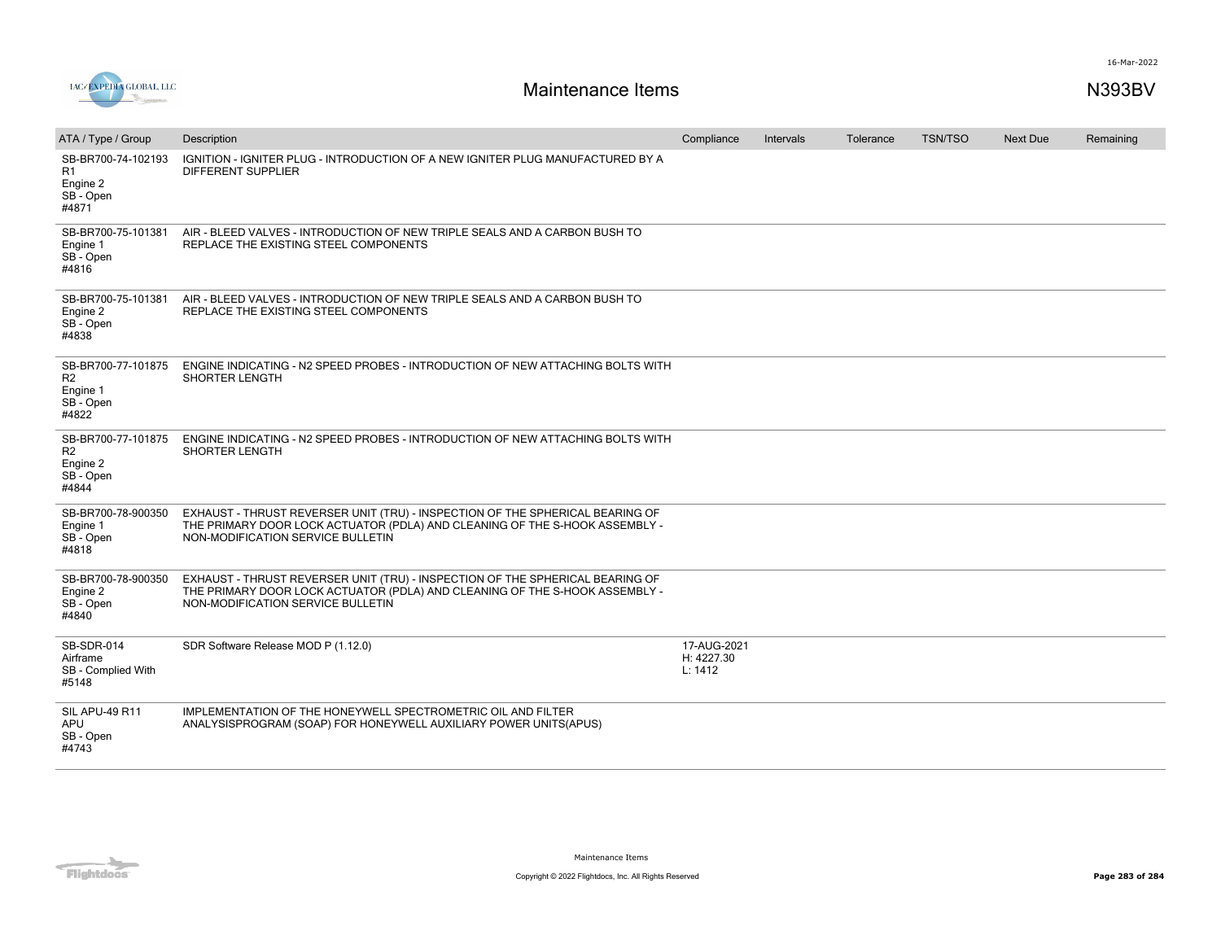

| ATA / Type / Group                                                     | Description                                                                                                                                                                                       | Compliance                           | Intervals | Tolerance | <b>TSN/TSO</b> | <b>Next Due</b> | Remaining |
|------------------------------------------------------------------------|---------------------------------------------------------------------------------------------------------------------------------------------------------------------------------------------------|--------------------------------------|-----------|-----------|----------------|-----------------|-----------|
| SB-BR700-74-102193<br>R1<br>Engine 2<br>SB - Open<br>#4871             | IGNITION - IGNITER PLUG - INTRODUCTION OF A NEW IGNITER PLUG MANUFACTURED BY A<br><b>DIFFERENT SUPPLIER</b>                                                                                       |                                      |           |           |                |                 |           |
| SB-BR700-75-101381<br>Engine 1<br>SB - Open<br>#4816                   | AIR - BLEED VALVES - INTRODUCTION OF NEW TRIPLE SEALS AND A CARBON BUSH TO<br>REPLACE THE EXISTING STEEL COMPONENTS                                                                               |                                      |           |           |                |                 |           |
| SB-BR700-75-101381<br>Engine 2<br>SB - Open<br>#4838                   | AIR - BLEED VALVES - INTRODUCTION OF NEW TRIPLE SEALS AND A CARBON BUSH TO<br>REPLACE THE EXISTING STEEL COMPONENTS                                                                               |                                      |           |           |                |                 |           |
| SB-BR700-77-101875<br>R <sub>2</sub><br>Engine 1<br>SB - Open<br>#4822 | ENGINE INDICATING - N2 SPEED PROBES - INTRODUCTION OF NEW ATTACHING BOLTS WITH<br>SHORTER LENGTH                                                                                                  |                                      |           |           |                |                 |           |
| SB-BR700-77-101875<br>R <sub>2</sub><br>Engine 2<br>SB - Open<br>#4844 | ENGINE INDICATING - N2 SPEED PROBES - INTRODUCTION OF NEW ATTACHING BOLTS WITH<br>SHORTER LENGTH                                                                                                  |                                      |           |           |                |                 |           |
| SB-BR700-78-900350<br>Engine 1<br>SB - Open<br>#4818                   | EXHAUST - THRUST REVERSER UNIT (TRU) - INSPECTION OF THE SPHERICAL BEARING OF<br>THE PRIMARY DOOR LOCK ACTUATOR (PDLA) AND CLEANING OF THE S-HOOK ASSEMBLY -<br>NON-MODIFICATION SERVICE BULLETIN |                                      |           |           |                |                 |           |
| SB-BR700-78-900350<br>Engine 2<br>SB - Open<br>#4840                   | EXHAUST - THRUST REVERSER UNIT (TRU) - INSPECTION OF THE SPHERICAL BEARING OF<br>THE PRIMARY DOOR LOCK ACTUATOR (PDLA) AND CLEANING OF THE S-HOOK ASSEMBLY -<br>NON-MODIFICATION SERVICE BULLETIN |                                      |           |           |                |                 |           |
| SB-SDR-014<br>Airframe<br>SB - Complied With<br>#5148                  | SDR Software Release MOD P (1.12.0)                                                                                                                                                               | 17-AUG-2021<br>H: 4227.30<br>L: 1412 |           |           |                |                 |           |
| <b>SIL APU-49 R11</b><br><b>APU</b><br>SB - Open<br>#4743              | IMPLEMENTATION OF THE HONEYWELL SPECTROMETRIC OIL AND FILTER<br>ANALYSISPROGRAM (SOAP) FOR HONEYWELL AUXILIARY POWER UNITS(APUS)                                                                  |                                      |           |           |                |                 |           |